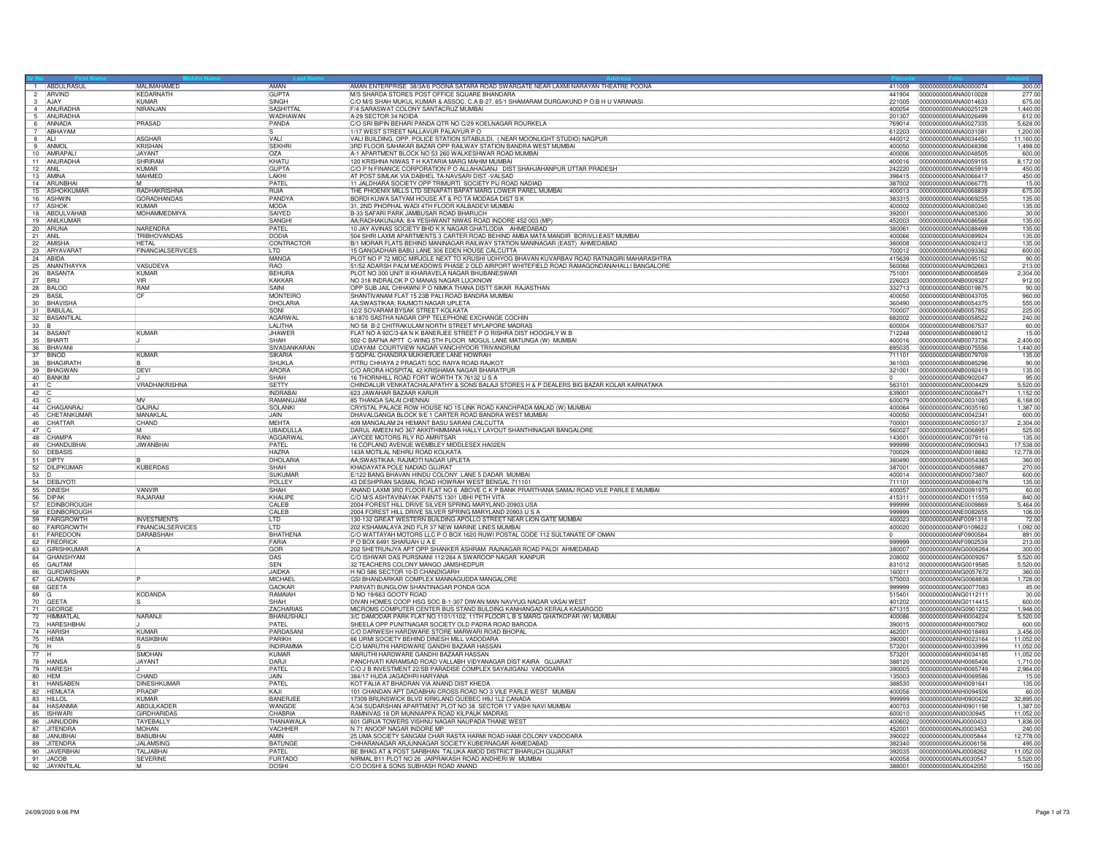|         | 1 ABDULRASUL                                                                         | <b>MAI IMAHAMED</b>      | <b>AMAN</b>       | AMAN ENTERPRISE 38/3A/6 POONA SATARA ROAD SWARGATE NEAR LAXMI NARAYAN THEATRE POONA                                  |        | 411009 0000000000ANA0000074<br>300.0 |
|---------|--------------------------------------------------------------------------------------|--------------------------|-------------------|----------------------------------------------------------------------------------------------------------------------|--------|--------------------------------------|
|         | $\frac{2}{3}$ ARVIND                                                                 | <b>KEDARNATH</b>         | <b>GUPTA</b>      | M/S SHARDA STORES POST OFFICE SQUARE BHANDARA                                                                        | 441904 | 0000000000ANA0010028<br>277.00       |
|         |                                                                                      | KUMAR                    | <b>ISINGH</b>     | C/O M/S SHAH MUKUL KUMAR & ASSOC. C.A B-27, 65/1 SHAMARAM DURGAKUND P O:B H U VARANASI                               | 221005 | 675.00<br>0000000000ANA0014633       |
|         | 4 ANURADHA                                                                           | NIRANJAN                 | SASHITTA          | F/4 SARASWAT COLONY SANTACRUZ MUMBAI                                                                                 | 400054 | 0000000000ANA0025129<br>1.440.00     |
|         | 5 ANURADHA                                                                           |                          | <b>WADHAWAN</b>   | A-29 SECTOR 34 NOIDA                                                                                                 | 201307 | 0000000000ANA0026499<br>612.0        |
|         | 6 ANNADA<br>7 ABHAYAI                                                                | PRASAD                   | PANDA             | C/O SRI BIPIN BEHARI PANDA QTR NO C/29 KOELNAGAR ROURKELA                                                            | 769014 | 0000000000ANA0027335<br>5,628.00     |
|         | ABHAYAM                                                                              |                          |                   | 1/17 WEST STREET NALLAVUR PALAIYUR P O                                                                               | 612203 | 0000000000ANA0031081<br>1.200.00     |
| $8$ ALI |                                                                                      | <b>ASGHAR</b>            | VALI              | VALI BUILDING, OPP. POLICE STATION SITABULDI. (NEAR MOONLIGHT STUDIO) NAGPUR                                         | 440012 | 0000000000ANA0034450<br>11.160.00    |
|         | 9 ANMO                                                                               | KRISHAN                  | <b>SEKHR</b>      | 3RD FLOOR SAHAKAR BAZAR OPP RAILWAY STATION BANDRA WEST MUMBAI                                                       | 400050 | 0000000000ANA0048398<br>1,498.00     |
|         | 10 AMRAPALI                                                                          | JAYANT                   | OZA               | A-1 APARTMENT BLOCK NO 53 260 WALKESHWAR ROAD MUMBAI                                                                 | 400006 | 0000000000ANA0048505<br>600.00       |
|         | 11 ANURADHA                                                                          | SHRIRAM                  | KHATU             | 120 KRISHNA NIWAS T H KATARIA MARG MAHIM MUMBAI                                                                      | 400016 | 0000000000ANA0059155<br>8,172.00     |
|         | $\begin{array}{c c}\n 12 & \text{ANIL} \\  \hline\n 13 & \text{AMINA}\n \end{array}$ | <b>KUMAR</b>             | GUPTA             | C/O P N FINANCE CORPORATION P O ALLAHAGANJ DIST SHAHJAHANPUR UTTAR PRADESH                                           | 242220 | 0000000000ANA0065919<br>450.00       |
|         |                                                                                      | <b>MAHMED</b>            | II AKHI           | AT POST SIMLAK VIA DABHEL TA-NAVSARI DIST - VALSAD                                                                   | 396415 | 0000000000ANA0066417<br>450.00       |
|         | 14 ARUNBHAI                                                                          | <b>IM</b>                | PATEL             | 11 JALDHARA SOCIETY OPP TRIMURTI SOCIETY PIJ ROAD NADIAD                                                             | 387002 | 0000000000ANA0066775<br>15.00        |
|         | 15 ASHOKKUMAR                                                                        | RADHAKRISHNA             | <b>RUIA</b>       | THE PHOENIX MILLS LTD SENAPATI BAPAT MARG LOWER PAREL MUMBAI                                                         | 400013 | 675.00<br>0000000000ANA0068839       |
|         | 16 ASHWIN                                                                            | <b>GORADHANDAS</b>       | PANDYA            | BORDI KUWA SATYAM HOUSE AT & PO TA MODASA DIST S K                                                                   | 383315 | 0000000000ANA0069255<br>135.00       |
|         | 17 ASHOK                                                                             | <b>KUMAR</b>             | <b>MODA</b>       | 31, 2ND PHOPHAL WADI 4TH FLOOR KALBADEVI MUMBAI                                                                      | 400002 | 0000000000ANA0080340<br>135.00       |
|         | 18 ABDULVAHAB                                                                        | MOHAMMEDMIYA             | SAIYED            | B-33 SAFARI PARK JAMBUSAR ROAD BHARUCH                                                                               | 392001 | 0000000000ANA0085300<br>30.00        |
|         | 19 ANILKUMAR                                                                         |                          | SANGH             | AA;RADHAKUNJAA; 8/4 YESHWANT NIWAS ROAD INDORE 452 003 (MP)                                                          | 452003 | 0000000000ANA0086568<br>135.00       |
|         | 20 ARUNA                                                                             | NARENDRA                 | PATEL             | 10 JAY AVINAS SOCIETY BHD K.K NAGAR GHATLODIA AHMEDABAD                                                              | 380061 | 135.00<br>0000000000ANA0088499       |
| 21 ANIL |                                                                                      | TRIBHOVANDAS             | DODIA             | 504 SHRI LAXMI APARTMENTS 3 CARTER ROAD BEHIND AMBA MATA MANDIR BORIVLI EAST MUMBAI                                  | 400066 | 135.00<br>0000000000ANA0089924       |
|         | 22 AMISHA                                                                            | <b>HFTAI</b>             | CONTRACTOR        | B/1 MORAR FLATS BEHIND MANINAGAR RAILWAY STATION MANINAGAR (EAST) AHMEDABAD                                          | 380008 | 0000000000ANA0092412<br>135.0        |
|         | 23 ARYAVARA                                                                          | <b>FINANCIALSERVICES</b> | ll TD             | 15 GANGADHAR BABU LANE 306 EDEN HOUSE CALCUTTA                                                                       | 700012 | 0000000000ANA0093362<br>600.00       |
|         | 24 ABIDA                                                                             |                          | MANGA             | PLOT NO P 72 MIDC MIRJOLE NEXT TO KRUSHI UDHYOG BHAVAN KUVARBAV ROAD RATNAGIRI MAHARASHTRA                           | 415639 | 0000000000ANA0095152<br>90.00        |
|         | 25 ANANTHAYYA                                                                        | VASUDEVA                 | RAO               | 51/52 ADARSH PALM MEADOWS PHASE 2 OLD AIRPORT WHITEFIELD ROAD RAMAGONDANAHALLI BANGALORE                             | 560066 | 0000000000ANA0902663<br>213.00       |
|         | 26 BASANTA                                                                           | KUMAR                    | <b>BEHURA</b>     | PLOT NO 300 UNIT III KHARAVELA NAGAR BHUBANESWAR                                                                     | 751001 | 0000000000ANB0008569<br>2.304.00     |
| 27 BRIJ |                                                                                      | <b>VIR</b>               | KAKKAR            | NO 318 INDRALOK P O MANAS NAGAR LUCKNOW                                                                              | 226023 | 0000000000ANB0009327<br>912.00       |
|         | 28 BALOC                                                                             | <b>RAM</b>               | SAINI             | OPP SUB JAIL CHHAWNI PO NIMKA THANA DISTT SIKAR RAJASTHAN                                                            | 332713 | 0000000000ANB0019875<br>90.00        |
|         | 29 BASIL                                                                             | CF                       | <b>MONTEIRO</b>   | SHANTIVANAM FLAT 15 23B PALI ROAD BANDRA MUMBAI                                                                      | 400050 | 960.00<br>0000000000ANB0043705       |
|         | 30 BHAVISHA                                                                          |                          | DHOLARIA          | AA;SWASTIKAA; RAJMOTI NAGAR UPLETA                                                                                   | 360490 | 0000000000ANB0054375<br>555.00       |
|         | 31 BABULAL                                                                           |                          | SONI              | 12/2 SOVARAM BYSAK STREET KOLKATA                                                                                    | 700007 | 0000000000ANB0057852<br>225.00       |
|         |                                                                                      |                          | AGARWAI           | 6/1870 SASTHA NAGAR OPP TELEPHONE EXCHANGE COCHIN                                                                    | 682002 | 0000000000ANB0058522<br>240.00       |
|         | 32 BASANTILA                                                                         |                          | LALITHA           | NO 58 B-2 CHITRAKULAM NORTH STREET MYLAPORE MADRAS                                                                   | 600004 | 0000000000ANB0067537<br>60.00        |
|         | 34 BASANT                                                                            | <b>KUMAR</b>             | <b>JHAWER</b>     | FLAT NO A 92C/3-6A N K BANERJEE STREET P O RISHRA DIST HOOGHLY W B                                                   | 712248 | 15.00<br>0000000000ANB0069012        |
|         | 35 BHARTI                                                                            |                          | <b>SHAH</b>       | 502-C BAFNA APTT C-WING 5TH FLOOR MOGUL LANE MATUNGA (W) MUMBAI                                                      | 400016 | 0000000000ANB0073736<br>2.400.00     |
|         |                                                                                      |                          | SIVASANKARAN      | UDAYAM COURTVIEW NAGAR VANCHIYOOR TRIVANDRUM                                                                         | 695035 | 0000000000ANB0075556<br>1.440.00     |
|         | 36 BHAVANI<br>37 BINOD<br>38 BHAGIRATH                                               | KUMAR                    | SIKARIA           | 5 GOPAL CHANDRA MUKHERJEE LANE HOWRAH                                                                                | 711101 | 0000000000ANB0079709<br>135.0        |
|         |                                                                                      |                          | <b>SHUKLA</b>     | PITRU CHHAYA 2 PRAGATI SOC RAIYA ROAD RAJKO                                                                          | 361003 | 0000000000ANB0085296<br>90.00        |
|         | 39 BHAGWAN                                                                           | DEVI                     | ARORA             | C/O ARORA HOSPITAL 42 KRISHAMA NAGAR BHARATPUR                                                                       | 321001 | 0000000000ANB0092419<br>135.00       |
|         | 40 BANKIM                                                                            |                          | SHAH              | 16 THORNHILL ROAD FORT WORTH TX 76132 U S A                                                                          |        | 0000000000ANB0902047<br>95.00        |
|         |                                                                                      |                          | <b>SFTTY</b>      |                                                                                                                      | 563101 | 0000000000ANC0004429<br>5.520.00     |
| $41$ C  |                                                                                      | VRADHAKRISHNA            | <b>INDRABA</b>    | CHINDALUR VENKATACHALAPATHY & SONS BALAJI STORES H & P DEALERS BIG BAZAR KOLAR KARNATAKA<br>623 JAWAHAR BAZAAR KARUR | 639001 |                                      |
| $42$ C  |                                                                                      | TMV                      |                   |                                                                                                                      |        | 0000000000ANC0008471<br>1.152.00     |
| $43$ C  |                                                                                      |                          | RAMANUJAN         | 85 THANGA SALAI CHENNAI                                                                                              | 600079 | 0000000000ANC0031065<br>6.168.00     |
|         | 44 CHAGANRAJ                                                                         | <b>GAJRA</b>             | SOLANKI           | CRYSTAL PALACE ROW HOUSE NO 15 LINK ROAD KANCHPADA MALAD (W) MUMBAI                                                  | 400064 | 0000000000ANC0035160<br>1,387.00     |
|         | 45 CHETANKUMAR                                                                       | MANAKLAL                 | JAIN              | DHAVALGANGA BLOCK 9/E 1 CARTER ROAD BANDRA WEST MUMBAI                                                               | 400050 | 0000000000ANC0042341<br>600.00       |
|         | $\begin{array}{c c}\n46 & \text{CHAPTER} \\ 47 & \text{C}\n\end{array}$              | CHAND                    | <b>MFHTA</b>      | 409 MANGALAM 24 HEMANT BASU SARANI CALCUTTA                                                                          | 700001 | 0000000000ANC0050137<br>2.304.00     |
|         |                                                                                      |                          | <b>UBAIDULLA</b>  | DARUL AMEEN NO 367 AKKITHIMMANA HALLY LAYOUT SHANTHINAGAR BANGALORE                                                  | 560027 | 0000000000ANC0068951<br>525.00       |
|         | 48 CHAMPA                                                                            | RANI                     | AGGARWA           | JAYCEE MOTORS RLY RD AMRITSAR                                                                                        | 143001 | 0000000000ANC0079116<br>135.00       |
|         | 49 CHANDUBHAI                                                                        | JIWANBHAI                | PATEL             | 16 COPLAND AVENUE WEMBLEY MIDDLESEX HA02EN                                                                           | 999999 | 0000000000ANC0900943<br>17,538.0     |
|         | 50 DEBASIS                                                                           |                          | <b>HAZRA</b>      | 143A MOTILAL NEHRU ROAD KOLKATA                                                                                      | 700029 | 0000000000AND0018682<br>12,778.00    |
|         | 51 DIPTY                                                                             |                          | DHOLARIA          | AA;SWASTIKAA; RAJMOTI NAGAR UPLETA                                                                                   | 360490 | 0000000000AND0054365<br>360.00       |
|         | 52 DILIPKUMAR                                                                        | <b>KUBERDAS</b>          | SHAH              | KHADAYATA POLE NADIAD GUJRAT                                                                                         | 387001 | 0000000000AND0059887<br>270.00       |
| $53$ D  |                                                                                      |                          | SUKUMA            | E/122 BANG BHAVAN HINDU COLONY LANE 5 DADAR MUMBAI                                                                   | 400014 | 0000000000AND0073807<br>600.00       |
|         | 54 DEBJYOTI                                                                          |                          | <b>POLLEY</b>     | 43 DESHPRAN SASMAL ROAD HOWRAH WEST BENGAL 711101                                                                    | 711101 | 0000000000AND0084078<br>135.00       |
|         |                                                                                      | <b>VANVIR</b>            | SHAH              | ANAND LAXMI 3RD FLOOR FLAT NO 6 ABOVE C K P BANK PRARTHANA SAMAJ ROAD VILE PARLE E MUMBAI                            | 400057 | 0000000000AND0091975<br>60.00        |
|         |                                                                                      | RAJARAM                  | KHAI IPP          | C/O M/S ASHTAVINAYAK PAINTS 1301 UBHI PETH VITA                                                                      | 415311 | 0000000000AND0111559<br>840.00       |
|         |                                                                                      |                          | CALEB             | 2004-FOREST HILL DRIVE SILVER SPRING MARYLAND-20903 USA                                                              | 999999 | 0000000000ANE0009869<br>5,464.00     |
|         | 56 DIPAK<br>57 EDINBOROUGH<br>58 EDINBOROUGH                                         |                          | <b>CALEB</b>      | 2004 FOREST HILL DRIVE SILVER SPRING MARYLAND 20903 U S A                                                            | 999999 | 0000000000ANE0082655<br>106.00       |
|         | 59 FAIRGROWTH                                                                        | <b>INVESTMENTS</b>       | LTD               | 130-132 GREAT WESTERN BUILDING APOLLO STREET NEAR LION GATE MUMBAI                                                   | 400023 | 0000000000ANF0091316<br>72.00        |
|         | 60 FAIRGROWTH                                                                        | <b>FINANCIALSERVICES</b> | I <sub>I</sub> TD | 202 KSHAMALAYA 2ND FLR 37 NEW MARINE LINES MUMBAI                                                                    | 400020 | 0000000000ANF0109622<br>1.092.00     |
|         | 61 FAREDOON                                                                          | <b>DARABSHAH</b>         | BHATHENA          | C/O WATTAYAH MOTORS LLC P O BOX 1620 RUWI POSTAL CODE 112 SULTANATE OF OMAN                                          |        | 0000000000ANF0900584<br>891.00       |
|         | 62 FREDRICK<br>63 GIRISHKUMAR                                                        |                          | FARIA             | P O BOX 6491 SHARJAH U A E                                                                                           | 999999 | 0000000000ANF0902539<br>213.00       |
|         |                                                                                      |                          | <b>GOR</b>        | 202 SHETRUNJYA APT OPP SHANKER ASHRAM RAJNAGAR ROAD PALDI AHMEDABAD                                                  | 380007 | 0000000000ANG0006264<br>300.00       |
|         | 64 GHANSHYAM                                                                         |                          | DAS               | C/O ISHWAR DAS PURSNANI 112/264 A SWAROOP NAGAR KANPUR                                                               | 208002 | 0000000000ANG0009267<br>5,520.00     |
|         | 65 GAUTAM                                                                            |                          | <b>ISEN</b>       | 32 TEACHERS COLONY MANGO JAMSHEDPUR                                                                                  | 831012 | 0000000000ANG0019585<br>5.520.00     |
|         | 66 GURDARSHAN<br>67 GLADWIN                                                          |                          | <b>JAIDKA</b>     | H NO 586 SECTOR 10-D CHANDIGARH                                                                                      | 160011 | 0000000000ANG0057672<br>360.00       |
|         |                                                                                      |                          | MICHAEL           | GSI BHANDARKAR COMPLEX MANNAGUDDA MANGALORE                                                                          | 575003 | 0000000000ANG0068836<br>1,728.00     |
|         | 68 GEETA                                                                             |                          | GAOKAF            | PARVATI BUNGLOW SHANTINAGAR PONDA GOA                                                                                | 999999 | 0000000000ANG0077083<br>45.00        |
| 69 G    |                                                                                      | <b>KODANDA</b>           | RAMAIAH           | D NO 19/663 GOOTY ROAD                                                                                               | 515401 | 0000000000ANG0112111<br>30.00        |
|         | 70 GEETA                                                                             |                          | SHAH              | DIVAN HOMES COOP HSG SOC B-1-307 DIWAN MAN NAVYUG NAGAR VASAI WEST                                                   | 401202 | 0000000000ANG0114415<br>600.00       |
|         | 71 GEORGE                                                                            |                          | ZACHARIAS         | MICROMS COMPUTER CENTER BUS STAND BULDING KANHANGAD KERALA KASARGOD                                                  | 671315 | 0000000000ANG0901232<br>1,948.00     |
|         | 72 HIMMATLAL<br>73 HARESHBHAI                                                        | NARANJI                  | BHANUSHAL         | 3/C DAMODAR PARK FLAT NO 1101/1102, 11TH FLOOR L B S MARG GHATKOPAR (W) MUMBAI                                       | 400086 | 0000000000ANH0004224<br>5,520.00     |
|         |                                                                                      |                          | PATEL             | SHEELA OPP PUNITNAGAR SOCIETY OLD PADRA ROAD BARODA                                                                  | 390015 | 600.00<br>0000000000ANH0007902       |
|         | 74 HARISH                                                                            | KUMAR                    | PARDASAN          | C/O DARWESH HARDWARE STORE MARWARI ROAD BHOPAL                                                                       | 462001 | 0000000000ANH0018493<br>3.456.00     |
|         | 75 HEMA                                                                              | RASIKBHAI                | PARIKH            | 66 URMI SOCIETY BEHIND DINESH MILL VADODARA                                                                          | 390001 | 0000000000ANH0023164<br>11.052.00    |
| 76 H    |                                                                                      |                          | <b>INDIRAMMA</b>  | C/O MARUTHI HARDWARE GANDHI BAZAAR HASSAN                                                                            | 573201 | 0000000000ANH0033999<br>11,052.00    |
| $77$ H  |                                                                                      | SMOHAN                   | KUMAR             | MARUTHI HARDWARE GANDHI BAZAAR HASSAN                                                                                | 573201 | 0000000000ANH0034185<br>11,052.00    |
|         | 78 HANSA                                                                             | <b>JAYANT</b>            | DAR.II            | PANCHVATI KARAMSAD ROAD VALLABH VIDYANAGAR DIST KAIRA GUJARAT                                                        | 388120 | 0000000000ANH0065406<br>1.710.0      |
|         | 79 HARESH                                                                            |                          | PATEL             | C/O J B INVESTMENT 22/SB PARADISE COMPLEX SAYAJIGANJ VADODARA                                                        | 390005 | 0000000000ANH0065749<br>2.964.0      |
|         | 80 HEM                                                                               | CHAND                    | <b>JAIN</b>       | 384/17 HUDA JAGADHRI HARYANA                                                                                         | 135003 | 0000000000ANH0069586<br>15.00        |
|         | 81 HANSABEN                                                                          | <b>DINESHKUMAR</b>       | PATEL             | KOT FALIA AT BHADRAN VIA ANAND DIST KHEDA                                                                            | 388530 | 0000000000ANH0091641<br>135.00       |
|         | 82 HEMLATA                                                                           | PRADIP                   | KAJI              | 101 CHANDAN APT DADABHAI CROSS ROAD NO 3 VILE PARLE WEST MUMBAI                                                      | 400056 | 60.00<br>0000000000ANH0094506        |
|         | 83 HILLOL                                                                            | KUMAR                    | BANERJEI          | 17309 BRUNSWICK BLVD KIRKLAND QUEBEC H9J 1L2 CANADA                                                                  | 999999 | 0000000000ANH0900422<br>32,895.00    |
|         | 84 HASANMIA                                                                          | ABDULKADEF               | WANGDE            | A/34 SUDARSHAN APARTMENT PLOT NO 38 SECTOR 17 VASHI NAVI MUMBAI                                                      | 400703 | 0000000000ANH0901198<br>1.387.00     |
|         | 85 ISHWARI                                                                           | <b>GIRDHARIDAS</b>       | CHABRIA           | RAMNIVAS 18 DR MUNNIAPPA ROAD KILPAUK MADRAS                                                                         | 600010 | 0000000000ANI0030945<br>11.052.00    |
|         | 86 JAINUDDIN                                                                         | TAYEBALLY                | <b>THANAWALA</b>  | 601 GIRIJA TOWERS VISHNU NAGAR NAUPADA THANE WEST                                                                    | 400602 | 0000000000ANJ0000433<br>1,836.00     |
|         | 87 JITENDRA                                                                          | <b>MOHAN</b>             | <b>VACHHER</b>    | N 71 ANOOP NAGAR INDORE MP                                                                                           | 452001 | 240.00<br>0000000000ANJ0003453       |
|         | 88 JANUBHAI                                                                          | <b>BABUBHAI</b>          | <b>AMIN</b>       | 25 UMA SOCIETY SANGAM CHAR RASTA HARMI ROAD HAMI COLONY VADODARA                                                     | 390022 | 12,778.00<br>0000000000ANJ0005844    |
|         | 89 JITENDRA                                                                          | <b>JALAMSING</b>         | <b>BATUNGE</b>    | CHHARANAGAR ARJUNNAGAR SOCIETY KUBERNAGAR AHMEDABAD                                                                  | 382340 | 0000000000ANJ0006156<br>495.00       |
|         | 90 JAVERBHAI                                                                         | TAI JARHAI               | PATFI             | BE BHAG AT & POST SARBHAN TALUKA AMOD DISTRICT BHARUCH GUJARAT                                                       | 392035 | 11.052.00<br>0000000000AN.I0008262   |
|         | 91 JACOB                                                                             | <b>SEVERINE</b>          | FURTADO           | NIRMAL B11 PLOT NO 26 JAIPRAKASH ROAD ANDHERI W MUMBAI                                                               | 400058 | 0000000000ANJ0030547<br>5,520.00     |
|         | 92 JAYANTILA                                                                         |                          | DOSHI             | C/O DOSHI & SONS SUBHASH ROAD ANAND                                                                                  | 388001 | 0000000000ANJ0042050<br>150.00       |
|         |                                                                                      |                          |                   |                                                                                                                      |        |                                      |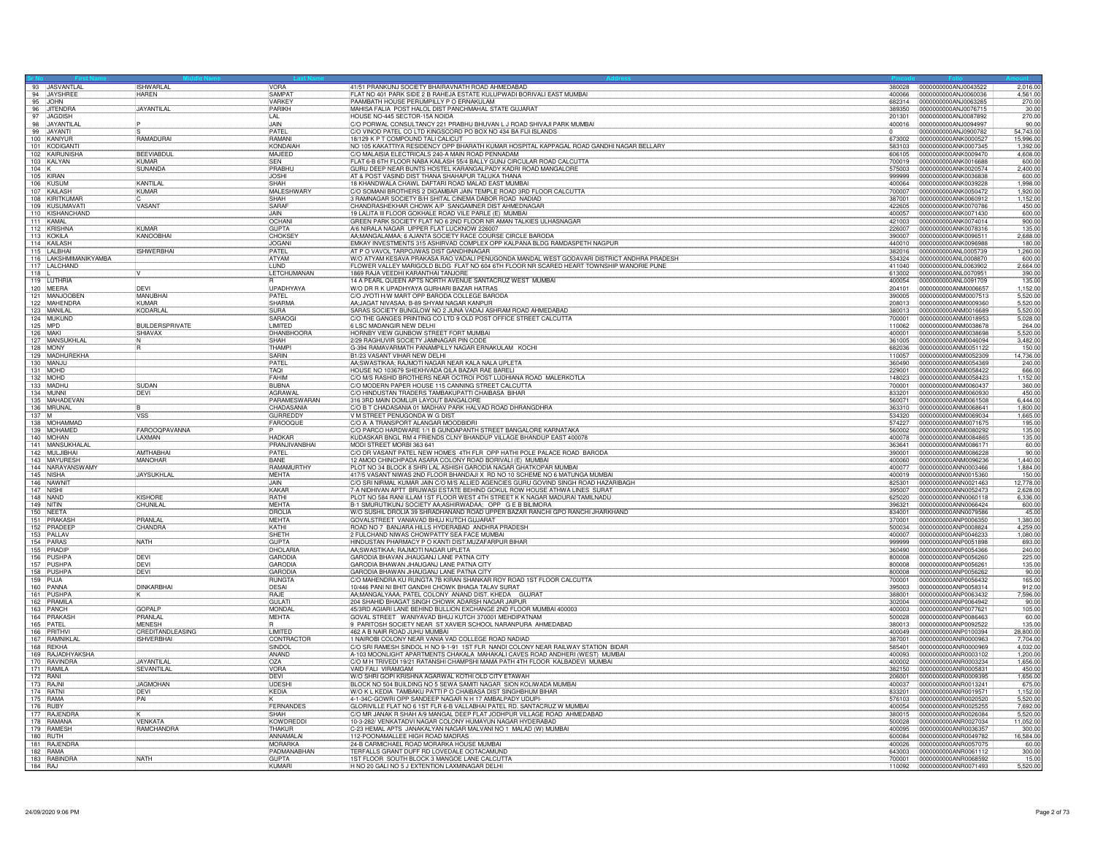|          |                                 |                                     | <b>VORA</b>                       |                                                                                                                                                                 |                  |                                                      | 2,016.00               |
|----------|---------------------------------|-------------------------------------|-----------------------------------|-----------------------------------------------------------------------------------------------------------------------------------------------------------------|------------------|------------------------------------------------------|------------------------|
|          | 93 JASVANTLAL<br>94 JAYSHREE    | <b>ISHWARLAL</b><br><b>HAREN</b>    | <b>SAMPA</b>                      | 41/51 PRANKUNJ SOCIETY BHAIRAVNATH ROAD AHMEDABAD<br>FLAT NO 401 PARK SIDE 2 B RAHEJA ESTATE KULUPWADI BORIVALI EAST MUMBAI                                     | 400066           | 0000000000ANJ0060036                                 | 4,561.00               |
|          | 95 JOHN                         |                                     | VARKEY                            | PAAMBATH HOUSE PERUMPILLY P O ERNAKULAM                                                                                                                         | 682314           | 0000000000ANJ0063285                                 | 270.00                 |
|          | 96 JITENDRA<br>97 JAGDISH       | <b>JAYANTILAL</b>                   | PARIKH                            | MAHISA FALIA POST HALOL DIST PANCHMAHAL STATE GUJARAT                                                                                                           | 389350           | 0000000000ANJ0076715                                 | $\frac{30.00}{270.00}$ |
|          |                                 |                                     | $\overline{II}$ A $\overline{II}$ | HOUSE NO-445 SECTOR-15A NOIDA                                                                                                                                   | 201301           | 0000000000ANJ0087892                                 |                        |
|          | 98 JAYANTILAL<br>99 JAYANTI     |                                     | JAIN<br><b>PATFI</b>              | C/O PORWAL CONSULTANCY 221 PRABHU BHUVAN L J ROAD SHIVAJI PARK MUMBAI<br>C/O VINOD PATEL CO LTD KINGSCORD PO BOX NO 434 BA FIJI ISLANDS                         | 400016           | 0000000000ANJ0094997<br>0000000000ANJ0900782         | 90.00<br>54,743.00     |
|          | 100 KANIYUR                     | RAMADURAL                           | RAMANI                            | 18/129 K P T COMPOUND TALI CALICUT                                                                                                                              | 673002           | 0000000000ANK0000527                                 | 15,996.00              |
|          | 101 KODIGANTI                   |                                     | KONDAIAH                          | NO 105 KAKATTIYA RESIDENCY OPP BHARATH KUMAR HOSPITAL KAPPAGAL ROAD GANDHI NAGAR BELLARY                                                                        | 583103           | 0000000000ANK0007345                                 | 1,392.00               |
|          | 102 KAIRUNISHA                  | <b>BEEVIABDU</b>                    | MAJEED                            | C/O MALAISIA ELECTRICALS 240-A MAIN ROAD PENNADAM                                                                                                               | 606105           | 0000000000ANK0009470                                 | 4,608.00               |
| $104$ K  | 103 KALYAN                      | KUMAR<br><b>SUNANDA</b>             | SFN<br>PRABHU                     | FLAT 6-B 6TH FLOOR NABA KAILASH 55/4 BALLY GUNJ CIRCULAR ROAD CALCUTTA<br>GURU DEEP NEAR BUNTS HOSTEL KARANGALPADY KADRI ROAD MANGALORE                         | 700019<br>575003 | 0000000000ANK0016688<br>0000000000ANK0020574         | 600.00<br>2,400.00     |
|          | 105 KIRAN                       |                                     | <b>JOSHI</b>                      | AT & POST VASIND DIST THANA SHAHAPUR TALUKA THANA                                                                                                               | 999999           | 0000000000ANK0036838                                 | 600.00                 |
|          | 106 KUSUM                       | <b>KANTII AI</b>                    | SHAH                              | 18 KHANDWALA CHAWL DAFTARI ROAD MALAD EAST MUMBAI                                                                                                               | 400064           | 0000000000ANK0039228                                 | 1,998.00               |
|          | 107 KAILASH                     | KUMAR                               | MALESHWARY                        | C/O SOMANI BROTHERS 2 DIGAMBAR JAIN TEMPLE ROAD 3RD FLOOR CALCUTTA                                                                                              | 700007           | 0000000000ANK0050472                                 | 1,920.00               |
|          | 108 KIRITKUMAR<br>109 KUSUMAVAT | VASANT                              | SHAH<br>SARAF                     | 3 RAMNAGAR SOCIETY B/H SHITAL CINEMA DABOR ROAD NADIAD<br>CHANDRASHEKHAR CHOWK A/P SANGAMNER DIST AHMEDNAGAR                                                    | 387001<br>422605 | 0000000000ANK0060912<br>0000000000ANK0070786         | 1,152.00<br>450.00     |
|          | 110 KISHANCHAND                 |                                     | <b>JAIN</b>                       | 19 LALITA III FLOOR GOKHALE ROAD VILE PARLE (E) MUMBAI                                                                                                          | 400057           | 0000000000ANK0071430                                 | 600.00                 |
|          | 111 KAMAL                       |                                     | OCHANI                            | GREEN PARK SOCIETY FLAT NO 6 2ND FLOOR NR AMAN TALKIES ULHASNAGAR                                                                                               | 421003           | 0000000000ANK0074014                                 | 900.00                 |
|          | 112 KRISHNA                     | <b>KUMAR</b>                        | <b>GUPTA</b>                      | A/6 NIRALA NAGAR UPPER FLAT LUCKNOW 226007                                                                                                                      | 226007           | 0000000000ANK0078316                                 | 135.00                 |
|          | 113 KOKILA<br>114 KAILASH       | KANOOBHAI                           | <b>CHOKSEY</b><br><b>JOGANI</b>   | AA;MANGALAMAA; 6 AJANTA SOCIETY RACE COURSE CIRCLE BARODA<br>EMKAY INVESTMENTS 315 ASHIRVAD COMPLEX OPP KALPANA BLDG RAMDASPETH NAGPUR                          | 390007<br>440010 | 0000000000ANK0096511<br>10000000000ANK0096988        | 2,688.00<br>180.00     |
|          | 115 LALBHAI                     | <b>ISHWERBHAI</b>                   | PATEL                             | AT P O VAVOL TARPOJWAS DIST GANDHINAGAR                                                                                                                         | 382016           | 0000000000ANL0005739                                 | 1,260.00               |
|          | 116 LAKSHMIMANIKYAMBA           |                                     | ATYAM                             | W/O ATYAM KESAVA PRAKASA RAO VADALI PENUGONDA MANDAL WEST GODAVARI DISTRICT ANDHRA PRADESH                                                                      | 534324           | 0000000000ANL0008870                                 | 600.00                 |
|          | 117 LALCHAND                    |                                     | LUND                              | FLOWER VALLEY MARIGOLD BLDG FLAT NO 604 6TH FLOOR NR SCARED HEART TOWNSHIP WANORIE PUNE                                                                         | 411040           | 0000000000ANL0063902                                 | 2,664.00               |
| $118$ L  |                                 |                                     | LETCHUMANAN                       | 1869 RAJA VEEDHI KARANTHAI TANJORE                                                                                                                              | 613002           | 0000000000ANL0070951                                 | 390.00                 |
|          | 119 LUTHRIA<br>120 MEERA        | <b>DFVI</b>                         | UPADHYAYA                         | 14 A PEARL QUEEN APTS NORTH AVENUE SANTACRUZ WEST MUMBAL<br>W/O DR R K UPADHYAYA GURHARI BAZAR HATRAS                                                           | 400054<br>204101 | 10000000000ANL0091709<br>0000000000ANM0006657        | 135.00<br>1,152.00     |
|          | 121 MANJOOBEN                   | MANUBHAI                            | PATEI                             | C/O JYOTI H/W MART OPP BARODA COLLEGE BARODA                                                                                                                    | 390005           | 0000000000ANM0007513                                 | 5,520.00               |
|          | 122 MAHENDRA                    | KUMAR                               | SHARMA                            | AA, JAGAT NIVASAA, B-89 SHYAM NAGAR KANPUR                                                                                                                      | 208013           | 0000000000ANM0009360                                 | 5,520.00               |
|          | 123 MANILAL                     | KODARLAL                            | SURA<br>SARAOGI                   | SARAS SOCIETY BUNGLOW NO 2 JUNA VADAJ ASHRAM ROAD AHMEDABAD                                                                                                     | 380013           | 0000000000ANM0016689                                 | 5.520.00               |
| 125 MPD  | 124 MUKUND                      | <b>BUILDERSPRIVATE</b>              | LIMITED                           | C/O THE GANGES PRINTING CO LTD 9 OLD POST OFFICE STREET CALCUTTA<br>6 LSC MADANGIR NEW DELHI                                                                    | 700001<br>110062 | 0000000000ANM0018953<br>0000000000ANM0038678         | 5,028.00<br>264.0      |
| 126 MAKI |                                 | SHIAVAX                             | DHANBHOORA                        | HORNBY VIEW GUNBOW STREET FORT MUMBAI                                                                                                                           | 400001           | 0000000000ANM0038698                                 | 5,520.00               |
|          | 127 MANSUKHLAL                  |                                     | <b>SHAH</b>                       | 2/29 RAGHUVIR SOCIETY JAMNAGAR PIN CODE                                                                                                                         | 361005           | 0000000000ANM0046094                                 | 3.482.00               |
|          | 128 MONY                        | lR.                                 | THAMP                             | G-394 RAMAVARMATH PANAMPILLY NAGAR ERNAKULAM KOCHI                                                                                                              | 880988           | 0000000000ANM0051122                                 | 150.00                 |
|          | 129 MADHUREKHA<br>130 MANJU     |                                     | SARIN<br>PATEL                    | B1/23 VASANT VIHAR NEW DELHI<br>AA;SWASTIKAA; RAJMOTI NAGAR NEAR KALA NALA UPLETA                                                                               | 110057<br>360490 | 0000000000ANM0052309<br>0000000000ANM0054369         | 14,736.00<br>240.00    |
|          | 131 MOHD                        |                                     | TAQI                              | HOUSE NO 103679 SHEKHVADA QILA BAZAR RAE BARELI                                                                                                                 | 229001           | 0000000000ANM0058422                                 | 666.00                 |
|          | 132 MOHD                        |                                     | FAHIM                             | C/O M/S RASHID BROTHERS NEAR OCTROI POST LUDHIANA ROAD MALERKOTLA                                                                                               | 148023           | 0000000000ANM0058423                                 | 1.152.00               |
|          | 133 MADHU                       | <b>SUDAN</b>                        | <b>BURNA</b>                      | C/O MODERN PAPER HOUSE 115 CANNING STREET CALCUTTA                                                                                                              | 700001           | 0000000000ANM0060437                                 | 360.00                 |
|          | 134 MUNNI<br>135 MAHADEVAN      | DEVI                                | AGRAWAL<br>PARAMESWARAN           | C/O HINDUSTAN TRADERS TAMBAKUPATTI CHAIBASA BIHAR<br>316 3RD MAIN DOMLUR LAYOUT BANGALORE                                                                       | 833201<br>560071 | 0000000000ANM0060930<br>0000000000ANM0061508         | 450.00<br>6,444.00     |
|          | 136 MRUNAL                      |                                     | CHADASANIA                        | C/O B T CHADASANIA 01 MADHAV PARK HALVAD ROAD DHRANGDHRA                                                                                                        | 363310           | 0000000000ANM0068641                                 | 1.800.00               |
| $137$ M  |                                 | <b>VSS</b>                          | <b>GURREDDY</b>                   | V M STREET PENUGONDA W G DIST                                                                                                                                   | 534320           | 10000000000ANM0069034                                | 1.665.00               |
|          | 138 MOHAMMAD<br>139 MOHAMED     |                                     | FAROOQUE                          | C/O A A TRANSPORT ALANGAR MOODBIDRI                                                                                                                             | 574227           | 0000000000ANM0071675                                 | 195.00                 |
|          | 140 MOHAN                       | FAROOQPAVANNA<br><b>AXMAN</b>       | <b>HADKAR</b>                     | C/O PARCO HARDWARE 1/1 B GUNDAPANTH STREET BANGALORE KARNATAKA<br>KUDASKAR BNGL RM 4 FRIENDS CLNY BHANDUP VILLAGE BHANDUP EAST 400078                           | 560002<br>400078 | 0000000000ANM0080292<br>0000000000ANM0084865         | 135.00<br>135.00       |
|          | 141 MANSUKHALAL                 |                                     | PRANJIVANBHAI                     | MODI STREET MORBL363 641                                                                                                                                        | 363641           | 0000000000ANM0086171                                 | 60.00                  |
|          | 142 MULJIBHAI                   | AMTHABHA                            | PATFL                             | C/O DR VASANT PATEL NEW HOMES 4TH FLR OPP HATHI POLE PALACE ROAD BARODA                                                                                         | 390001           | 0000000000ANM0086228                                 | 90.00                  |
|          | 143 MAYURESH                    | <b>MANOHAR</b>                      | <b>BANF</b>                       | 12 AMOD CHINCHPADA ASARA COLONY ROAD BORIVALI (E) MUMBAI                                                                                                        | 400060           | 0000000000ANM0096236                                 | 1,440.00               |
|          | 144 NARAYANSWAMY<br>145 NISHA   | <b>JAYSUKHLAL</b>                   | RAMAMURTHY<br><b>MEHTA</b>        | PLOT NO 34 BLOCK 8 SHRI LAL ASHISH GARODIA NAGAR GHATKOPAR MUMBAI<br>417/5 VASANT NIWAS 2ND FLOOR BHANDAJI X RD NO 10 SCHEME NO 6 MATUNGA MUMBAI                | 400077<br>400019 | 0000000000ANN0003466<br>0000000000ANN0015360         | 1,884.00<br>150.00     |
|          | 146 NAWNIT                      |                                     | <b>JAIN</b>                       | C/O SRI NIRMAL KUMAR JAIN C/O M/S ALLIED AGENCIES GURU GOVIND SINGH ROAD HAZARIBAGH                                                                             | 825301           | 0000000000ANN0021463                                 | 12.778.00              |
|          | 147 NISHI                       |                                     | KAKAR                             | 7-A NIDHIVAN APTT BRIJWASI ESTATE BEHIND GOKUL ROW HOUSE ATHWA LINES SURAT                                                                                      | 395007           | 0000000000ANN0052473                                 | 2,628.00               |
|          | 148 NAND                        | <b>KISHORE</b>                      | <b>RATHI</b>                      | PLOT NO 584 RANI ILLAM 1ST FLOOR WEST 4TH STREET K K NAGAR MADURAI TAMILNADU                                                                                    | 625020           | 0000000000ANN0060118                                 | 6.336.0                |
|          | 149 NITIN                       | CHUNILAL                            | <b>MEHTA</b><br><b>DROLIA</b>     | B-1 SMURUTIKUNJ SOCIETY AA;ASHIRWADAA; OPP G E B BILIMORA<br>W/O SUSHIL DROLIA 39 SHRADHANAND ROAD UPPER BAZAR RANCHI GPO RANCHI JHARKHAND                      | 396321<br>834001 | 0000000000ANN0066424<br>0000000000ANN0079586         | 600.00<br>45.00        |
|          | 150 NEETA<br>151 PRAKASH        | PRANI AI                            | <b>MEHTA</b>                      | GOVALSTREET VANIAVAD BHUJ KUTCH GUJARAT                                                                                                                         | 370001           | 0000000000ANP0006350                                 | 1,380.00               |
|          | 152 PRADEEP                     | CHANDRA                             | KATHI                             | ROAD NO 7 BANJARA HILLS HYDERABAD ANDHRA PRADESH                                                                                                                | 500034           | 0000000000ANP0008824                                 | 4,259.00               |
|          | 153 PALLAV                      |                                     | SHETH                             | 2 FULCHAND NIWAS CHOWPATTY SEA FACE MUMBAI                                                                                                                      | 400007           | 0000000000ANP0046233                                 | 1,080.0                |
|          | 154 PARAS<br>155 PRADIP         | <b>NATH</b>                         | <b>GUPTA</b><br><b>DHOLARIA</b>   | HINDUSTAN PHARMACY P O KANTI DIST.MUZAFARPUR BIHAR<br>AA;SWASTIKAA; RAJMOTI NAGAR UPLETA                                                                        | 999999<br>360490 | 0000000000ANP0051898<br>0000000000ANP0054366         | 693.00<br>240.00       |
|          | 156 PUSHPA                      | DFVI                                | <b>GARODIA</b>                    | GARODIA BHAVAN JHAUGANJ LANE PATNA CITY                                                                                                                         | 800008           | 0000000000ANP0056260                                 | 225.00                 |
|          | 157 PUSHPA                      | <b>DEVI</b>                         | GARODIA                           | GARODIA BHAWAN JHAUGANJ LANE PATNA CITY                                                                                                                         | 800008           | 0000000000ANP0056261                                 | 135.00                 |
|          | 158 PUSHPA                      | DEVI                                | <b>GARODIA</b>                    | GARODIA BHAWAN JHAUGANJ LANE PATNA CITY                                                                                                                         | 800008           | 0000000000ANP0056262                                 | 90.00                  |
|          | 159 PUJA<br>160 PANNA           | <b>DINKARRHAI</b>                   | RUNGTA<br>DESAL                   | C/O MAHENDRA KU RUNGTA 7B KIRAN SHANKAR ROY ROAD 1ST FLOOR CALCUTTA<br>10/446 PANI NI BHIT GANDHI CHOWK BHAGA TALAV SURAT                                       | 700001<br>395003 | 0000000000ANP0056432<br>0000000000ANP0058314         | 165.00<br>912.00       |
|          | 161 PUSHPA                      |                                     | RAJE                              | AA;MANGALYAAA; PATEL COLONY ANAND DIST. KHEDA GUJRAT                                                                                                            | 388001           | 0000000000ANP0063432                                 | 7,596.00               |
|          | 162 PRAMILA                     |                                     | <b>GULATI</b>                     | 204 SHAHID BHAGAT SINGH CHOWK ADARSH NAGAR JAIPUR                                                                                                               | 302004           | 0000000000ANP0064942                                 | 90.00                  |
|          | 163 PANCH<br>164 PRAKASH        | <b>GOPALP</b><br>PRANI AI           | MONDAL<br>MFHTA                   | 45/3RD AGIARI LANE BEHIND BULLION EXCHANGE 2ND FLOOR MUMBAI 400003<br>GOVAL STREET WANIYAVAD BHILL KUTCH 370001 MEHDIPATNAM                                     | 400003           | 0000000000ANP0077621<br>0000000000ANP0086463         | 105.00<br>60.00        |
|          | 165 PATEL                       | <b>MENESH</b>                       |                                   | 9 PARITOSH SOCIETY NEAR ST XAVIER SCHOOL NARANPURA AHMEDABAD                                                                                                    | 500028<br>380013 | 0000000000ANP0092522                                 | 135.00                 |
|          | 166 PRITHV                      | CREDITANDLEASING                    | <b>I IMITED</b>                   | 462 A B NAIR ROAD JUHU MUMBAI                                                                                                                                   | 400049           | 0000000000ANP0100394                                 | 28,800.00              |
|          | 167 RAMNIKLAL                   | <b>ISHVERBHAI</b>                   | CONTRACTOR                        | 1 NAIROBI COLONY NEAR VANIA VAD COLLEGE ROAD NADIAD                                                                                                             | 387001           | 10000000000ANR0000963                                | 7,704.00               |
|          | 168 REKHA<br>169 RAJADHYAKSHA   |                                     | SINDOL<br><b>ANAND</b>            | C/O SRI RAMESH SINDOL H NO 9-1-91 1ST FLR NANDI COLONY NEAR RAILWAY STATION BIDAR<br>A-103 MOONLIGHT APARTMENTS CHAKALA MAHAKALLCAVES ROAD ANDHERL(WEST) MUMBAL | 585401<br>400093 | 0000000000ANR0000969<br>10000000000ANR0003102        | 4.032.0<br>1,200.00    |
|          | 170 RAVINDRA                    | JAYANTILAL                          | OZA                               | C/O M H TRIVEDI 19/21 RATANSHI CHAMPSHI MAMA PATH 4TH FLOOR KALBADEVI MUMBAI                                                                                    | 400002           | 0000000000ANR0003234                                 | 1,656.00               |
|          | 171 RAMILA                      | SEVANTILAI                          | VORA                              | VAID FALI VIRAMGAM                                                                                                                                              | 382150           | 0000000000ANR0005831                                 | 450.0                  |
| 172 RANI |                                 |                                     | DEVI                              | W/O SHRI GOPI KRISHNA AGARWAL KOTHI OLD CITY ETAWAH                                                                                                             | 206001           | 0000000000ANR0009395                                 | 1,656.00               |
|          | 173 RAJN<br>174 RATNI           | <b>JAGMOHAN</b><br><b>DEVI</b>      | <b>LIDESH</b><br>KEDIA            | BLOCK NO 504 BUILDING NO 5 SEWA SAMITI NAGAR SION KOLIWADA MUMBAL<br>W/O K L KEDIA TAMBAKU PATTI P O CHAIBASA DIST SINGHBHUM BIHAR                              | 400037<br>833201 | 0000000000ANR0013241<br>0000000000ANR0019571         | 675.00<br>1,152.00     |
|          | 175 RAMA                        | PAI                                 |                                   | 4-1-34C-GOWRI OPP SANDEEP NAGAR N H 17 AMBALPADY UDUPI-                                                                                                         | 576103           | 0000000000ANR0020520                                 | 5,520.00               |
|          | 176 RUBY                        |                                     | FERNANDES                         | GLORIVILLE FLAT NO 6 1ST FLR 6-B VALLABHAI PATEL RD. SANTACRUZ W MUMBAI                                                                                         | 400054           | 0000000000ANR0025255                                 | 7,692.00               |
|          | 177 RAJENDRA                    |                                     | <b>SHAH</b>                       | C/O MR JANAK R SHAH A/9 MANGAL DEEP FLAT JODHPUR VILLAGE ROAD AHMEDABAD                                                                                         | 380015           | 0000000000ANR0026084                                 | 5,520.00               |
|          | 178 RAMANA<br>179 RAMESH        | <b>VENKATA</b><br><b>RAMCHANDRA</b> | KOWDREDDI<br>THAKUR               | 10-3-282/ VENKATADVI NAGAR COLONY HUMAYUN NAGAR HYDERABAD<br>C-23 HEMAL APTS JANAKALYAN NAGAR MALVANI NO 1 MALAD (W) MUMBA                                      | 500028<br>400095 | 0000000000ANR0027034<br>10000000000ANR0036357        | 11.052.00<br>300.00    |
|          | 180 RUTH                        |                                     | ANNAMALAI                         | 112-POONAMALLEE HIGH ROAD MADRAS                                                                                                                                | 600084           | 0000000000ANR0049782                                 | 16,584.00              |
|          | 181 RAJENDRA                    |                                     | <b>MORARKA</b>                    | 24-B CARMICHAEL ROAD MORARKA HOUSE MUMBAI                                                                                                                       | 400026           | 0000000000ANR0057075                                 | 60.0                   |
|          | 182 RAMA                        |                                     | PADMANABHAN                       | TERFALLS GRANT DUFF RD LOVEDALE OOTACAMUND                                                                                                                      | 643003           | 0000000000ANR0061112                                 | 300.00                 |
|          | 183 RABINDRA<br>184 RAJ         | <b>NATH</b>                         | GUPTA<br>KUMARI                   | 1ST FLOOR SOUTH BLOCK 3 MANGOE LANE CALCUTTA<br>H NO 20 GALI NO 5 J EXTENTION LAXMINAGAR DELHI                                                                  | 110092           | 700001  0000000000ANR0068592<br>0000000000ANR0071493 | 15.00<br>5,520.00      |
|          |                                 |                                     |                                   |                                                                                                                                                                 |                  |                                                      |                        |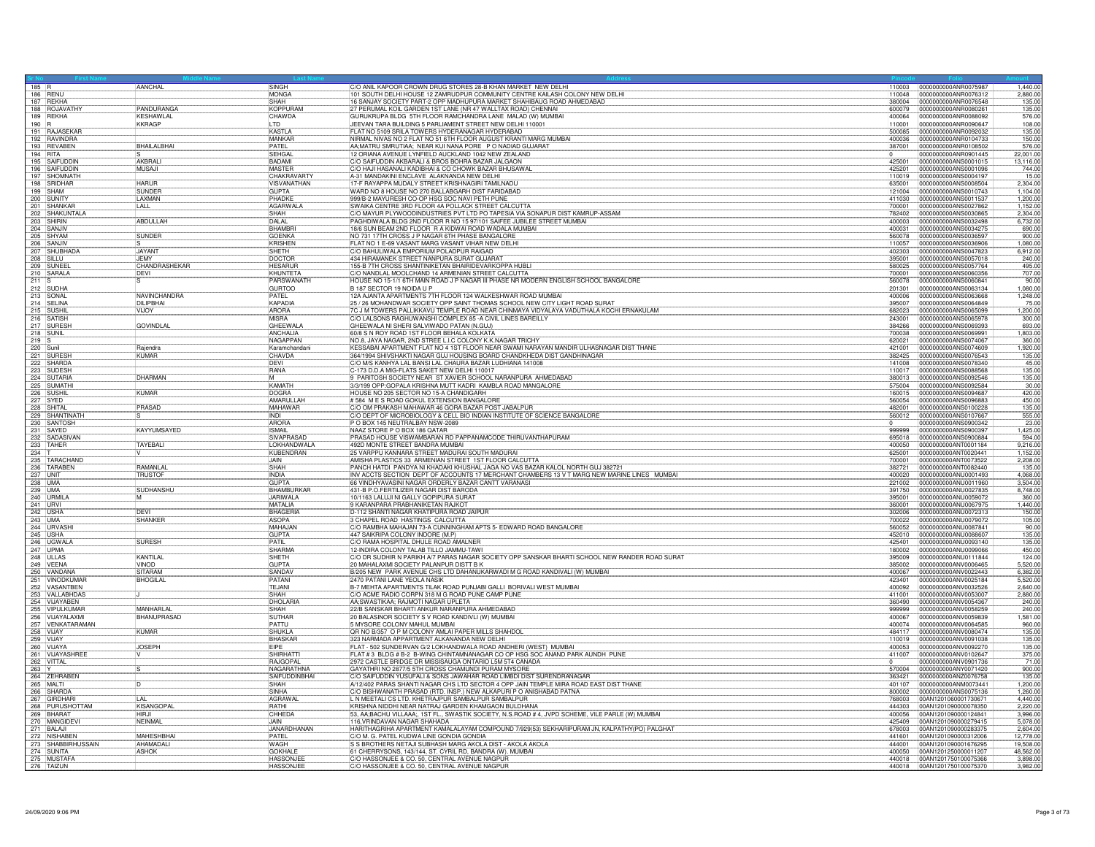| 185 R   |                                                  | AANCHAL                      | SINGH                             | C/O ANIL KAPOOR CROWN DRUG STORES 28-B KHAN MARKET NEW DELH                                                                                                    | 110003           | 0000000000ANR0075987                         | 1,440.00             |
|---------|--------------------------------------------------|------------------------------|-----------------------------------|----------------------------------------------------------------------------------------------------------------------------------------------------------------|------------------|----------------------------------------------|----------------------|
|         | <b>186 RENU</b>                                  |                              | <b>MONGA</b>                      | 101 SOUTH DELHI HOUSE 12 ZAMRUDPUR COMMUNITY CENTRE KAILASH COLONY NEW DELHI                                                                                   | 110048           | 0000000000ANR0076312                         | 2,880.0              |
|         | 187 REKHA                                        |                              | SHAH                              | 16 SANJAY SOCIETY PART-2 OPP MADHUPURA MARKET SHAHIBAUG ROAD AHMEDABAD                                                                                         | 380004           | 0000000000ANR0076548                         | 135.0                |
|         | 188 ROJAVATHY                                    | PANDURANGA                   | KOPPURAM                          | 27 PERUMAL KOIL GARDEN 1ST LANE (NR 47 WALLTAX ROAD) CHENNAI                                                                                                   | 600079<br>400064 | 0000000000ANR0080261                         | 135.00               |
| $190$ R | 189 REKHA                                        | KESHAWLAL<br>KKRAGP          | CHAWDA<br>LTD                     | GURUKRUPA BLDG 5TH FLOOR RAMCHANDRA LANE MALAD (W) MUMBAI<br>JEEVAN TARA BUILDING 5 PARLIAMENT STREET NEW DELHI 110001                                         | 110001           | 0000000000ANR0088092<br>0000000000ANR0090647 | 576.00<br>108.00     |
|         | 191 RAJASEKAR                                    |                              | <b>KASTIA</b>                     | FLAT NO 5109 SRILA TOWERS HYDERANAGAR HYDERABAD                                                                                                                | 500085           | 0000000000ANR0092032                         | 135.00               |
|         | 192 RAVINDRA                                     |                              | MANKAR                            | NIRMAL NIVAS NO 2 FLAT NO 51 6TH FLOOR AUGUST KRANTI MARG MUMBAI                                                                                               | 400036           | 0000000000ANR0104733                         | 150.00               |
|         | 193 REVABEN<br>194 RITA                          | <b>BHAILALBHAI</b>           | PATEL<br><b>SEHGA</b>             | AA;MATRU SMRUTIAA; NEAR KUI NANA PORE P O NADIAD GUJARAT<br>12 ORIANA AVENUE LYNFIELD AUCKLAND 1042 NEW ZEALAND                                                | 387001           | 0000000000ANR0108502<br>0000000000ANR0901445 | 576.00<br>22,001.00  |
|         | 195 SAIFUDDIN                                    | AKBRAI                       | <b>BADAM</b>                      |                                                                                                                                                                | 425001           | 0000000000ANS0001015                         | 13.116.0             |
|         | 196 SAIFUDDIN                                    | MUSAJI                       | <b>MASTER</b>                     | C/O SAIFUDDIN AKBARALI & BROS BOHRA BAZAR JALGAON<br>C/O SAIFUDDIN AKBARALI & BROS BOHRA BAZAR JALGAON                                                         | 425201           | 0000000000ANS0001096                         | 744.0                |
|         | 197 SHOMNATH                                     |                              | CHAKRAVARTY                       | A-31 MANDAKINI ENCLAVE ALAKNANDA NEW DELHI                                                                                                                     | 110019           | 0000000000ANS0004197                         | 15.0                 |
|         | 198 SRIDHAR<br>199 SHAM                          | <b>HARUR</b><br>SUNDER       | VISVANATHAN<br><b>GUPTA</b>       | 17-F RAYAPPA MUDALY STREET KRISHNAGIRI TAMILNADI<br>WARD NO 8 HOUSE NO 270 BALLABGARH DIST FARIDABAD                                                           | 635001<br>121004 | 0000000000ANS0008504<br>0000000000ANS0010743 | 2,304.00<br>1,104.00 |
|         | 200 SUNITY<br>201 SHANKAR                        | LAXMAN                       | PHADKE                            | 999/B-2 MAYURESH CO-OP HSG SOC NAVI PETH PUNE<br>SWAIKA CENTRE 3RD FLOOR 4A POLLACK STREET CALCUTTA                                                            | 411030           | 0000000000ANS0011537                         | 1.200.0              |
|         |                                                  | LALL                         | <b>AGARWALA</b>                   |                                                                                                                                                                | 700001           | 0000000000ANS0027862                         | 1,152.0              |
|         | 202 SHAKUNTALA                                   |                              | SHAH                              | C/O MAYUR PLYWOODINDUSTRIES PVT LTD PO TAPESIA VIA SONAPUR DIST KAMRUP-ASSAM                                                                                   | 782402           | 0000000000ANS0030865                         | 2.304.0              |
|         | 203 SHIRIN<br>204 SANJIV                         | ABDULLAH                     | DALAL<br><b>BHAMBR</b>            | PAGHDIWALA BLDG 2ND FLOOR R NO 15 97/101 SAIFEE JUBILEE STREET MUMBAI<br>18/6 SUN BEAM 2ND FLOOR RAKIDWAI ROAD WADALA MUMBAI                                   | 400003<br>400031 | 0000000000ANS0032498<br>0000000000ANS0034275 | 6,732.0<br>690.00    |
|         | 205 SHYAM                                        | SUNDER                       | GOENKA                            | NO 731 17TH CROSS J P NAGAR 6TH PHASE BANGALORE<br>FLAT NO 1 E-69 VASANT MARG VASANT VIHAR NEW DELHI                                                           | 560078           | 0000000000ANS0036597                         | 900.00               |
|         |                                                  |                              | KRISHEN                           |                                                                                                                                                                | 110057           | 0000000000ANS0036906                         | 1,080.0              |
|         | 207 SHUBHADA                                     | <b>JAYANT</b><br><b>JEMY</b> | SHETH                             | C/O BAHULIWALA EMPORIUM POLADPUR RAIGAD<br>434 HIRAMANEK STREET NANPURA SURAT GUJARAT                                                                          | 402303           | 0000000000ANS0047823                         | 6,912.0              |
|         | 208 SILLU                                        | CHANDRASHEKAR                | DOCTOR<br><b>HESARUR</b>          | 155-B 7TH CROSS SHANTINIKETAN BHAIRIDEVARKOPPA HUBLI                                                                                                           | 395001<br>580025 | 0000000000ANS0057018<br>0000000000ANS0057764 | 240.0<br>495.00      |
|         | 210 SARALA                                       | DEVI                         | KHUNTETA                          | C/O NANDLAL MOOLCHAND 14 ARMENIAN STREET CALCUTTA                                                                                                              | 700001           | 0000000000ANS0060356                         | 707.00               |
| $211$ S |                                                  |                              | PARSWANATH                        | HOUSE NO 15-1/1 6TH MAIN ROAD J P NAGAR III PHASE NR MODERN ENGLISH SCHOOL BANGALORE                                                                           | 560078           | 0000000000ANS0060841                         | 90.00                |
|         | 212 SUDHA                                        |                              | <b>GURTOO</b><br>PATEL            | B 187 SECTOR 19 NOIDA U P<br>12A AJANTA APARTMENTS 7TH FLOOR 124 WALKESHWAR ROAD MUMBAI                                                                        | 201301<br>400006 | 0000000000ANS0063134                         | 1.080.0              |
|         | 213 SONAL<br>214 SELINA                          | NAVINCHANDRA<br>DILIPBHAI    | KAPADIA                           | 25 / 26 MOHANDWAR SOCIETY OPP SAINT THOMAS SCHOOL NEW CITY LIGHT ROAD SURAT                                                                                    | 395007           | 0000000000ANS0063668<br>0000000000ANS0064849 | 1,248.00<br>75.00    |
|         | 215 SUSHIL                                       | VIJOY                        | ARORA                             | 7C J M TOWERS PALLIKKAVU TEMPLE ROAD NEAR CHINMAYA VIDYALAYA VADUTHALA KOCHI ERNAKULAM                                                                         | 682023           | 0000000000ANS0065099                         | 1,200.0              |
|         | 216 SATISH                                       |                              | <b>MISRA</b>                      | C/O LALSONS RAGHUWANSHI COMPLEX 85 - A CIVIL LINES BAREILLY                                                                                                    | 243001           | 0000000000ANS0065978                         | 300.00               |
|         | 217 SURESH                                       | <b>GOVINDLAL</b>             | GHEEWALA                          | GHEEWALA NI SHERI SALVIWADO PATAN (N.GUJ)                                                                                                                      | 384266           | 0000000000ANS0069393                         | 693.0                |
| $219$ S | 218 SUNIL                                        |                              | ANCHALIA<br>NAGAPPAN              | 60/8 S N ROY ROAD 1ST FLOOR BEHALA KOLKATA<br>NO.8, JAYA NAGAR, 2ND STREE L.I.C COLONY K.K.NAGAR TRICHY                                                        | 700038<br>620021 | 0000000000ANS0069991<br>0000000000ANS0074067 | 1,803.00<br>360.00   |
|         | 220 Sunil                                        | Rajendra                     | Karamchandar                      | KESSABAI APARTMENT FLAT NO 4 1ST FLOOR NEAR SWAMI NARAYAN MANDIR ULHASNAGAR DIST THANE                                                                         | 421001           | 0000000000ANS0074609                         | 1,920.0              |
|         | 221 SURESH                                       | <b>KUMAR</b>                 | CHAVDA                            | 364/1994 SHIVSHAKTI NAGAR GUJ HOUSING BOARD CHANDKHEDA DIST GANDHINAGAR                                                                                        | 382425           | 0000000000ANS0076543                         | 135.00               |
|         | 222 SHARDA                                       |                              | DEVI<br>RANA                      | C/O M/S KANHYA LAL BANSI LAL CHAURA BAZAR LUDHIANA 141008<br>C-173 D.D.A MIG-FLATS SAKET NEW DELHI 110017                                                      | 141008<br>110017 | 0000000000ANS0078340<br>0000000000ANS0088568 | 45.00<br>135.00      |
|         | 223 SUDESH                                       | DHARMAN                      | ĪМ                                | 9 PARITOSH SOCIETY NEAR ST XAVIER SCHOOL NARANPURA AHMEDABAD                                                                                                   | 380013           | 0000000000ANS0092546                         | 135.00               |
|         | 225 SUMATHI                                      |                              | KAMATH                            | 3/3/199 OPP:GOPALA KRISHNA MUTT KADRI KAMBLA ROAD MANGALORE                                                                                                    | 575004           | 0000000000ANS0092584                         | 30.00                |
|         |                                                  | <b>KUMAR</b>                 | <b>DOGRA</b>                      | HOUSE NO 205 SECTOR NO 15-A CHANDIGARH                                                                                                                         | 160015           | 0000000000ANS0094687                         | 420.00               |
|         | 227 SYED                                         | PRASAD                       | AMARULLAH<br>MAHAWAR              | #584 M E S ROAD GOKUL EXTENSION BANGALORE<br>C/O OM PRAKASH MAHAWAR 46 GORA BAZAR POST JABALPUR                                                                | 560054<br>482001 | 0000000000ANS0096883<br>0000000000ANS0100228 | 450.00<br>135.00     |
|         | 228 SHITAL<br>229 SHANTINATH                     |                              | <b>INDI</b>                       | C/O DEPT OF MICROBIOLOGY & CELL BIO INDIAN INSTITUTE OF SCIENCE BANGALORE                                                                                      | 560012           | 0000000000ANS0107667                         | 555.00               |
|         | 230 SANTOSH                                      |                              | ARORA                             | P O BOX 145 NEUTRALBAY NSW-2089                                                                                                                                |                  | 0000000000ANS0900342                         | 23.0                 |
|         | 231 SAYED                                        | <b>KAYYUMSAYED</b>           | <b>ISMAIL</b>                     | NAAZ STORE P O BOX 186 QATAR                                                                                                                                   | 999999           | 0000000000ANS0900397                         | 1,425.00             |
|         | 232 SADASIVAN                                    | TAYEBAL                      | SIVAPRASAD<br><b>LOKHANDWALA</b>  | PRASAD HOUSE VISWAMBARAN RD PAPPANAMCODE THIRUVANTHAPURAM<br>492D MONTE STREET BANDRA MUMBAI                                                                   | 695018<br>400050 | 0000000000ANS0900884<br>0000000000ANT0001184 | 594.00<br>9,216.00   |
|         | 233 TAHER                                        |                              | KURENDRAN                         | 25 VARPPU KANNARA STREET MADURAI SOUTH MADURAI                                                                                                                 | 625001           | 00000000000ANT0020441                        | 1.152.00             |
|         | 235 TARACHAND<br>236 TARABEN                     |                              | <b>LIAIN</b>                      | AMISHA PLASTICS 33 ARMENIAN STREET 1ST FLOOR CALCUTTA                                                                                                          | 700001           | 0000000000ANT0073522                         | 2,208.0              |
|         |                                                  | RAMANLAL                     | <b>SHAH</b><br><b>INDIA</b>       | PANCH HATDI PANDYA NI KHADAKI KHUSHAL JAGA NO VAS BAZAR KALOL NORTH GUJ 382721                                                                                 | 382721           | 0000000000ANT0082440                         | 135.00               |
|         |                                                  | <b>TRUSTOF</b>               | <b>GUPTA</b>                      | INV ACCTS SECTION DEPT OF ACCOUNTS 17 MERCHANT CHAMBERS 13 V T MARG NEW MARINE LINES MUMBAI<br>66 VINDHYAVASINI NAGAR ORDERLY BAZAR CANTT VARANASI             | 400020<br>221002 | 0000000000ANU0001493<br>0000000000ANU0011960 | 4,068.00<br>3,504.00 |
|         | 237 UNIT<br>238 UMA<br>239 UMA                   | SUDHANSHU                    | BHAMBURKAR                        | 431-B P.O.FERTILIZER NAGAR DIST BARODA                                                                                                                         | 391750           | 0000000000ANU0027835                         | 8.748.00             |
|         | 240 URMILA                                       | İМ.                          | JARIWALA                          | 10/1163 LALUJI NI GALLY GOPIPURA SURAT                                                                                                                         | 395001           | 0000000000ANU0059072                         | 360.0                |
|         | 241 URVI<br>242 USHA                             | DEVI                         | MATALIA<br>BHAGERIA               | 9 KARANPARA PRABHANIKETAN RAJKOT<br>D-112 SHANTI NAGAR KHATIPURA ROAD JAIPUR                                                                                   | 360001<br>302006 | 0000000000ANU0067975<br>0000000000ANU0072313 | 1,440.0<br>150.0     |
|         |                                                  | <b>SHANKER</b>               | <b>ASOPA</b>                      | 3 CHAPEL ROAD HASTINGS CALCUTTA                                                                                                                                | 700022           | 0000000000ANU0079072                         | 105.00               |
|         | 243 UMA<br>244 URVASH                            |                              | MAHA.JAN                          | C/O RAMBHA MAHAJAN 73-A CUNNINGHAM APTS 5- EDWARD ROAD BANGALORE                                                                                               | 560052           | 0000000000ANU0087841                         | 90.00                |
|         | 245 USHA                                         |                              | <b>GUPTA</b>                      | 447 SAIKRIPA COLONY INDORE (M.P)                                                                                                                               | 452010           | 0000000000ANU0088607                         | 135.00               |
|         | 246 UGWAL<br>247 UPMA                            | SURESH                       | PATIL<br>SHARMA                   | C/O RAMA HOSPITAL DHULE ROAD AMALNER<br>12-INDIRA COLONY TALAB TILLO JAMMU-TAW                                                                                 | 425401<br>180002 | 0000000000ANU0093140<br>0000000000ANU0099066 | 135.00<br>450.00     |
|         | 248 ULLAS                                        | KANTILAI                     | SHETH                             | C/O DR SUDHIR N PARIKH A/7 PARAS NAGAR SOCIETY OPP SANSKAR BHARTI SCHOOL NEW RANDER ROAD SURAT                                                                 | 395009           | 0000000000ANU0111844                         | 124.00               |
|         |                                                  | <b>IVINOD</b>                | <b>GUPTA</b>                      | 20 MAHALAXMI SOCIETY PALANPUR DISTT B K                                                                                                                        | 385002           | 0000000000ANV0006465                         | 5,520.00             |
|         | 250 VANDANA<br>251 VINODKUMAR                    | SITARAN<br><b>BHOGILAL</b>   | SANDAV<br>PATANI                  | B/205 NEW PARK AVENUE CHS LTD DAHANUKARWADI M G ROAD KANDIVALI (W) MUMBAI<br>2470 PATANI LANE YEOLA NASIK                                                      | 400067<br>423401 | 0000000000ANV0022443<br>0000000000ANV0025184 | 6,382.0<br>5,520.00  |
|         |                                                  |                              | <b>TEJANI</b>                     | B-7 MEHTA APARTMENTS TILAK ROAD PUNJABI GALLI BORIVALI WEST MUMBAI                                                                                             | 400092           | 0000000000ANV0032526                         | 2.640.0              |
|         | 252 VASANTBEN<br>253 VALLABHDAS<br>254 VIJAYABEN |                              | SHAH                              | C/O ACME RADIO CORPN 318 M G ROAD PUNE CAMP PUNE                                                                                                               | 411001           | 0000000000ANV0053007                         | 2.880.0              |
|         |                                                  |                              | <b>DHOLARIA</b>                   | AA;SWASTIKAA; RAJMOTI NAGAR UPLETA                                                                                                                             | 360490           | 0000000000ANV0054367                         | 240.00               |
|         | 255 VIPULKUMAR<br>256 VIJAYALAXMI                | MANHARLA<br>BHANUPRASAD      | <b>SHAH</b><br>SUTHAR             | 22/B SANSKAR BHARTI ANKUR NARANPURA AHMEDABAD<br>20 BALASINOR SOCIETY S V ROAD KANDIVLI (W) MUMBAI                                                             | 999999<br>400067 | 0000000000ANV0058259<br>0000000000ANV0059839 | 240.0<br>1,581.00    |
|         |                                                  |                              | PATTU                             | 5 MYSORE COLONY MAHUL MUMBAI                                                                                                                                   | 400074           | 0000000000ANV0064585                         | 960.00               |
|         | 250 VENKATARAMAN<br>258 VIJAY<br>259 VIJAY       | KUMAR                        | SHUKLA                            | OR NO B/357 O P M COLONY AMLAI PAPER MILLS SHAHDOI                                                                                                             | 484117           | 0000000000ANV0080474                         | 135.00               |
|         |                                                  |                              | <b>BHASKAR</b><br>EIPE            | 323 NARMADA APPARTMENT ALKANANDA NEW DELHI                                                                                                                     | 110019           | 0000000000ANV0091038                         | 135.00               |
|         | 260 VIJAYA<br>261 VIJAYASHREE                    | <b>JOSEPH</b>                | <b>ISHIRHATT</b>                  | FLAT - 502 SUNDERVAN G/2 LOKHANDWALA ROAD ANDHERI (WEST) MUMBAI<br>FLAT # 3 BLDG # B-2 B-WING CHINTAMNANAGAR CO OP HSG SOC ANAND PARK AUNDH PUNE               | 400053<br>411007 | 0000000000ANV0092270<br>0000000000ANV0102647 | 135.00<br>375.00     |
|         |                                                  |                              | RAJGOPAL                          | 2972 CASTLE BRIDGE DR MISSISAUGA ONTARIO L5M 5T4 CANADA                                                                                                        |                  | 0000000000ANV0901736                         | 71.00                |
|         | 262 VITTAL<br>263 Y                              | ls                           | <b>NAGARATHNA</b>                 | GAYATHRI NO 2877/5 5TH CROSS CHAMUNDI PURAM MYSORE                                                                                                             | 570004           | 0000000000ANY0071420                         | 900.00               |
|         | 264 ZEHRABEN<br>265 MALTI                        | 1D                           | SAIFUDDINBHAI<br>SHAH             | C/O SAIFUDDIN YUSUFALI & SONS JAWAHAR ROAD LIMBDI DIST SURENDRANAGAR<br>A/12/402 PARAS SHANTI NAGAR CHS LTD SECTOR 4 OPP JAIN TEMPLE MIRA ROAD EAST DIST THANE | 363421<br>401107 | 0000000000ANZ0076758<br>0000000000ANM0073441 | 135.00<br>1,200.0    |
|         | 266 SHARDA                                       |                              | <b>SINHA</b>                      | C/O BISHWANATH PRASAD (RTD. INSP.) NEW ALKAPURI P O ANISHABAD PATNA                                                                                            | 800002           | 0000000000ANS0075136                         | 1.260.0              |
|         | 267 GIRDHARI                                     | il Al                        | AGRAWAI                           | L N MEETALI CS LTD. KHETRAJPUR SAMBALPUR SAMBALPUR                                                                                                             | 768003           | 00AN1201060001730671                         | 4.440.00             |
|         | 268 PURUSHOTTAM                                  | KISANGOPA                    | RATHI                             | KRISHNA NIDDHI NEAR NATRAJ GARDEN KHAMGAON BULDHANA                                                                                                            | 444303           | 00AN1201090000078350                         | 2,220.00             |
|         | 269 BHARAT                                       | HIR.II<br>NEINMAL            | CHHEDA<br>JAIN                    | 53, AA, BACHU VILLAAA;, 1ST FL., SWASTIK SOCIETY, N.S.ROAD # 4, JVPD SCHEME, VILE PARLE (W) MUMBAI<br>116, VRINDAVAN NAGAR SHAHADA                             | 400056<br>425409 | 00AN1201090000124841<br>00AN1201090000279415 | 3,996.00<br>5,078.0  |
|         | 270 MANGIDEV                                     |                              | <b>JANARDHANAN</b>                | HARITHAGRIHA APARTMENT KAMALALAYAM COMPOUND 7/929(53) SEKHARIPURAM JN, KALPATHY(PO) PALGHAT                                                                    | 678003           | 00AN1201090000283375                         | 2,604.0              |
|         | 272 NISHABEN<br>273 SHABBIRHUSSAIN<br>274 SUNITA | <b>MAHFSHRHAI</b>            | PATFI                             | C/O M. G. PATEL KUDWA LINE GONDIA GONDIA                                                                                                                       | 441601           | 00AN1201090000312006                         | 12,778.00            |
|         |                                                  | <b>AHAMADALI</b>             | <b>WAGH</b>                       | S S BROTHERS NETAJI SUBHASH MARG AKOLA DIST - AKOLA AKOLA                                                                                                      | 444001           | 00AN1201090001676295                         |                      |
|         |                                                  | <b>ASHOK</b>                 | <b>GOKHALF</b><br><b>HASSONJE</b> | 61 CHERRYSONS, 143/144, ST. CYRIL RD, BANDRA (W). MUMBAI<br>C/O HASSONJEE & CO. 50, CENTRAL AVENUE NAGPUR                                                      | 400050<br>440018 | 00AN1201250000011207<br>00AN1201750100075366 | 48.562.0<br>3.898.0  |
|         | 275 MUSTAFA                                      |                              | <b>HASSONJE</b>                   | C/O HASSONJEE & CO. 50, CENTRAL AVENUE NAGPUR                                                                                                                  |                  |                                              | 3,982.00             |
|         |                                                  |                              |                                   |                                                                                                                                                                |                  |                                              |                      |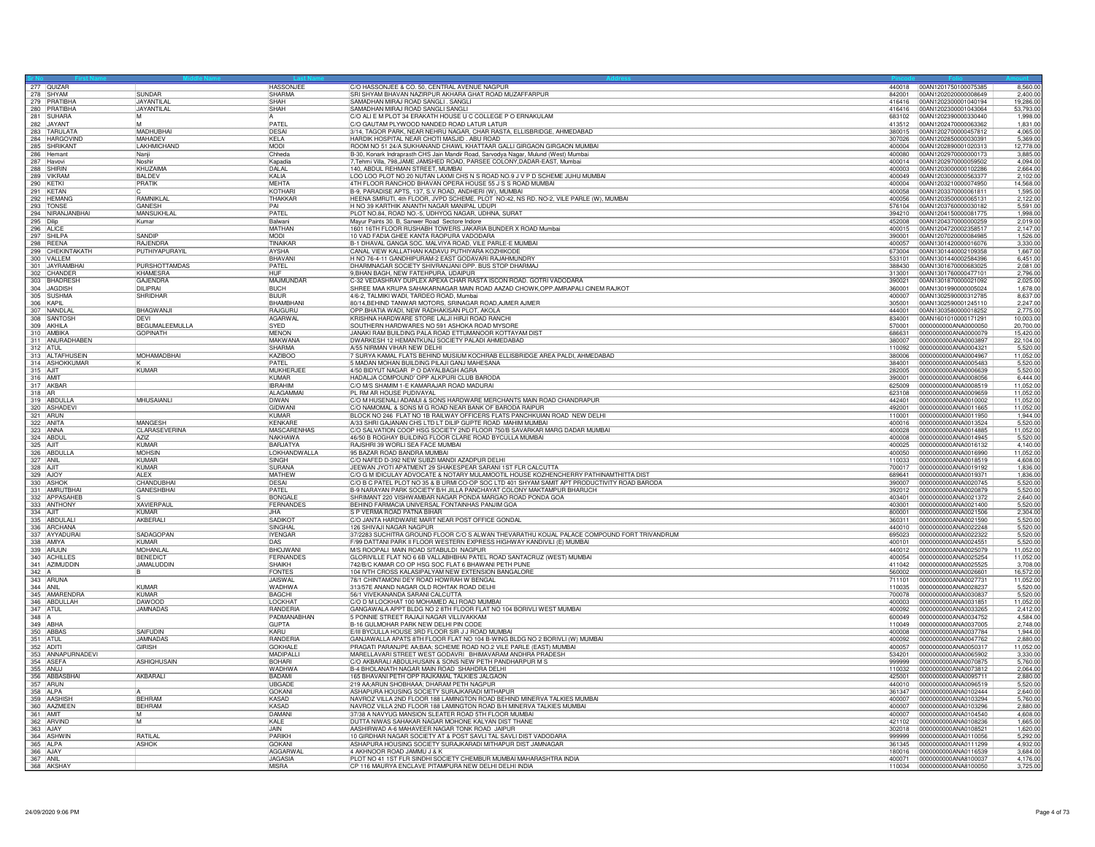|                        |                                        |                                       | <b>HASSONJEE</b>                | C/O HASSONJEE & CO. 50, CENTRAL AVENUE NAGPUR                                                                                                                                        |                  | 440018 00AN1201750100075385                  | 8,560.00              |
|------------------------|----------------------------------------|---------------------------------------|---------------------------------|--------------------------------------------------------------------------------------------------------------------------------------------------------------------------------------|------------------|----------------------------------------------|-----------------------|
|                        | 277 QUIZAR<br>278 SHYAM                | SUNDAR                                | SHARMA                          | SRI SHYAM BHAVAN NAZIRPUR AKHARA GHAT ROAD MUZAFFARPUR                                                                                                                               | 842001           | 00AN1202020000008649                         | 2,400.0               |
|                        | 279 PRATIBHA                           | <b>JAYANTILA</b><br><b>JAYANTILAL</b> | SHAH<br>SHAH                    | SAMADHAN MIRAJ ROAD SANGLI. SANGLI<br>SAMADHAN MIRAJ ROAD SANGLI SANGLI                                                                                                              | 416416<br>416416 | 00AN1202300001040194<br>00AN1202300001043064 | 19,286.00<br>53,793.0 |
|                        | 280 PRATIBHA                           | M                                     | ΙA.                             | C/O ALI E M PLOT 34 ERAKATH HOUSE U C COLLEGE P O ERNAKULAM                                                                                                                          | 683102           | 00AN1202390000330440                         | 1.998.0               |
|                        | 282 JAYANT<br>283 TARULATA             | IM.<br>MADHUBHAI                      | PATF<br>DESAI                   | C/O GAUTAM PLYWOOD NANDED ROAD LATUR LATUR<br>3/14, TAGOR PARK, NEAR NEHRU NAGAR, CHAR RASTA, ELLISBRIDGE, AHMEDABAD                                                                 | 413512<br>380015 | 00AN1202470000063362<br>00AN1202700000457812 | 1,831.00<br>4.065.0   |
|                        | 284 HARGOVIND                          | <b>MAHADEV</b>                        | KELA                            | HARDIK HOSPITAL NEAR CHOTI MASJID . ABU ROAD                                                                                                                                         | 307026           | 00AN1202850000030391                         | 5.369.0               |
|                        | 285 SHRIKANT                           | <b>LAKHMICHAND</b>                    | <b>MODI</b>                     | ROOM NO 51 24/A SUKHANAND CHAWL KHATTAAR GALLI GIRGAON GIRGAON MUMBAI                                                                                                                | 400004           | 00AN1202890001020313                         | 12,778.0              |
|                        | 287 Havovi                             | Nanji<br>Noshir                       | Chheda<br>Kapadia               | B-30, Konark Indraprasth CHS Jain Mandir Road, Sarvodya Nagar, Mulund (West) Mumbai<br>7, Tehmi Villa, 798, JAME JAMSHED ROAD, PARSEE COLONY, DADAR-EAST, Mumbai                     | 400080<br>400014 | 00AN1202970000000173<br>00AN1202970000059502 | 3.885.0<br>4,094.00   |
|                        | 288 SHIRIN                             | KHUZAIMA                              | DALAL                           | 140, ABDUL REHMAN STREET, MUMBAI                                                                                                                                                     | 400003           | 00AN1203000000102286                         | 2.664.0               |
|                        | 289 VIKRAM<br>290 KETKI<br>291 KETAN   | <b>BALDEV</b>                         | KALIA                           | LOO LOO PLOT NO.20 NUTAN LAXMI CHS N S ROAD NO.9 J V P D SCHEME JUHU MUMBAI                                                                                                          | 400049           | 00AN1203000000563377                         | 2,102.00              |
|                        |                                        | PRATIK                                | <b>MFHTA</b><br><b>KOTHAR</b>   | 4TH FLOOR RANCHOD BHAVAN OPERA HOUSE 55 J S S ROAD MUMBAI<br>B-9, PARADISE APTS, 137, S.V.ROAD, ANDHERI (W), MUMBAI                                                                  | 400004<br>400058 | 00AN1203210000074950<br>00AN1203370000061811 | 14.568.0<br>1,595.00  |
|                        | 292 HEMANG                             | RAMNIKLAL                             | THAKKAR                         | HEENA SMRUTI, 4th FLOOR, JVPD SCHEME, PLOT NO:42, NS RD. NO-2, VILE PARLE (W), MUMBAI                                                                                                | 400056           | 00AN1203500000065131                         | 2.122.0               |
|                        | 293 TONSE                              | GANESH<br><b>MANSUKHI A</b>           | PAI<br>PATFI                    | H NO 39 KARTHIK ANANTH NAGAR MANIPAL UDUPI                                                                                                                                           | 576104<br>394210 | 00AN1203760000030182<br>00AN1204150000081775 | 5,591.00<br>1.998.0   |
|                        | 294 NIRANJANBHAI                       | Kumar                                 | Balwani                         | PLOT NO.84, ROAD NO.-5, UDHYOG NAGAR, UDHNA, SURAT<br>Mayur Paints 30. B, Sanwer Road Sectore Indore                                                                                 | 452008           | 00AN1204370000000259                         | 2.019.00              |
| 295 Dilip<br>296 ALICE |                                        |                                       | MATHAN                          | 1601 16TH FLOOR RUSHABH TOWERS JAKARIA BUNDER X ROAD Mumbai                                                                                                                          | 400015           | 00AN1204720002358517                         | 2.147.0               |
|                        | 297 SHILPA<br>298 REENA                | SANDIP<br><b>RAJENDRA</b>             | <b>MODI</b><br>TINAIKAR         | 10 VAD FADIA GHEE KANTA RAOPURA VADODARA<br>B-1 DHAVAL GANGA SOC. MALVIYA ROAD, VILE PARLE-E MUMBAI                                                                                  | 390001<br>400057 | 00AN1207020000084985<br>00AN1301420000016076 | 1.526.0<br>3,330.00   |
|                        | 299 CHEKINTAKATH                       | PUTHIYAPURAYIL                        | <b>AYSHA</b>                    | CANAL VIEW KALLATHAN KADAVU PUTHIYARA KOZHIKODE                                                                                                                                      | 673004           | 00AN1301440002109358                         | 1.667.0               |
|                        | 300 VALLEM<br>301 JAYRAMBHAI           | PURSHOTTAMDAS                         | BHAVANI<br>PATEL                | H NO 76-4-11 GANDHIPURAM-2 EAST GODAVARI RAJAHMUNDRY<br>DHARMNAGAR SOCIETY SHIVRANJANI OPP. BUS STOP DHARMAJ                                                                         | 533101<br>388430 | 00AN1301440002584396<br>00AN1301670000683025 | 6,451.0<br>2.081.0    |
|                        |                                        | KHAMESRA                              | <b>HUF</b>                      | 9, BHAN BAGH, NEW FATEHPURA, UDAIPUR                                                                                                                                                 | 313001           | 00AN1301760000477101                         | 2,796.00              |
|                        | 302 CHANDER<br>303 BHADRESH            | <b>GAJENDRA</b>                       | MAJMUNDAR                       | C-32 VEDASHRAY DUPLEX APEXA CHAR RASTA ISCON ROAD. GOTRI VADODARA                                                                                                                    | 390021           | 00AN1301870000021092                         | 2,025.0               |
|                        | 304 JAGDISH                            | DII IPRAI<br>SHRIDHAR                 | <b>BUCH</b><br><b>BIJUR</b>     | SHREE MAA KRUPA SAHAKARNAGAR MAIN ROAD AAZAD CHOWK,OPP.AMRAPALI CINEM RAJKOT<br>4/6-2, TALMIKI WADI, TARDEO ROAD, Mumbai                                                             | 360001<br>400007 | 00AN1301990000005024<br>00AN1302590000312785 | 1,678.0<br>8,637.0    |
|                        | 305 SUSHMA<br>306 KAPIL                |                                       | BHAMBHANI                       | 80/14, BEHIND TANWAR MOTORS, SRINAGAR ROAD, AJMER AJMER                                                                                                                              | 305001           | 00AN1302590001245110                         | 2,247.0               |
|                        | 307 NANDLAI<br>308 SANTOSH             | <b>BHAGWANJI</b><br><b>DEVI</b>       | RAJGURU<br>AGARWAL              | OPP BHATIA WADI, NEW RADHAKISAN PLOT, AKOLA<br>KRISHNA HARDWARE STORE LALJI HIRJI ROAD RANCH                                                                                         | 444001<br>834001 | 00AN1303580000018252                         | 2,775.00<br>10,003.00 |
|                        | 309 AKHILA                             | BEGUMALEEMULLA                        | SYED                            | SOUTHERN HARDWARES NO 591 ASHOKA ROAD MYSORE                                                                                                                                         | 570001           | 00AN1601010000171291<br>0000000000ANA0000050 | 20,700.00             |
|                        | 310 AMBIKA<br>311 ANURADHABEN          | <b>GOPINATH</b>                       | <b>MENON</b>                    | JANAKI RAM BUILDING PALA ROAD ETTUMANOOR KOTTAYAM DIST                                                                                                                               | 686631           | 0000000000ANA0000079                         | 15,420.0              |
| 312 ATUL               |                                        |                                       | <b>MAKWANA</b><br>SHARMA        | DWARKESH 12 HEMANTKUNJ SOCIETY PALADI AHMEDABAD<br>A/55 NIRMAN VIHAR NEW DELHI                                                                                                       | 380007<br>110092 | 0000000000ANA0003897<br>0000000000ANA0004321 | 22,104.0<br>5.520.0   |
|                        | 313 ALTAFHUSEIN                        | <b>MOHAMADBHAI</b>                    | KAZIBOO                         | 7 SURYA KAMAL FLATS BEHIND MUSIUM KOCHRAB ELLISBRIDGE AREA PALDI, AHMEDABAD                                                                                                          | 380006           | 0000000000ANA0004967                         | 11.052.0              |
|                        | 314 ASHOKKUMAR                         |                                       | PATEL                           | 5 MADAN MOHAN BUILDING PILAJI GANJ MAHESANA                                                                                                                                          | 384001           | 0000000000ANA0005483                         | 5,520.0               |
| 315 AJIT<br>316 AMIT   |                                        | <b>KUMAR</b>                          | MUKHERJEE<br><b>KUMAR</b>       | 4/50 BIDYUT NAGAR P O DAYALBAGH AGRA<br>HADALJA COMPOUND' OPP ALKPURI CLUB BARODA                                                                                                    | 282005<br>390001 | 0000000000ANA0006639<br>0000000000ANA0008056 | 5,520.00<br>6.444.0   |
|                        | 317 AKBAR                              |                                       | <b>IBRAHIM</b>                  | C/O M/S SHAMIM 1-E KAMARAJAR ROAD MADURAI                                                                                                                                            | 625009           | 0000000000ANA0008519                         | 11,052.00             |
| 318 AB                 |                                        |                                       | ALAGAMMA                        | PL RM AR HOUSE PUDIVAYAL                                                                                                                                                             | 623108           | 0000000000ANA0009659                         | 11.052.00             |
|                        | 319 ABDULLA<br>320 ASHADEV             | MHUSAIANLI                            | DIWAN<br><b>GIDWAN</b>          | C/O M HUSENALI ADAMJI & SONS HARDWARE MERCHANTS MAIN ROAD CHANDRAPUR<br>C/O NAMOMAL & SONS M G ROAD NEAR BANK OF BARODA RAIPUR                                                       | 442401<br>492001 | 0000000000ANA0010002<br>0000000000ANA0011665 | 11,052.0<br>11,052.00 |
|                        | 321 ARUN                               |                                       | KUMAR                           | BLOCK NO 246 FLAT NO 1B RAILWAY OFFICERS FLATS PANCHKUIAN ROAD NEW DELHI                                                                                                             | 110001           | 0000000000ANA0011950                         | 1,944.0               |
|                        | 322 ANITA<br>323 ANNA                  | MANGESH<br>CLARASEVERINA              | KENKARE<br><b>MASCARENHAS</b>   | A/33 SHRI GAJANAN CHS LTD LT DILIP GUPTE ROAD MAHIM MUMBAI<br>C/O SALVATION COOP HSG SOCIETY 2ND FLOOR 750/B SAVARKAR MARG DADAR MUMBAI                                              | 400016<br>400028 | 0000000000ANA0013524<br>0000000000ANA0014885 | 5.520.00<br>11,052.0  |
|                        | 324 ABDU                               | <b>AZIZ</b>                           | NAKHAWA                         | 46/50 B ROGHAY BUILDING FLOOR CLARE ROAD BYCULLA MUMBAI                                                                                                                              | 400008           | 0000000000ANA0014945                         | 5.520.0               |
|                        | 325 AJIT<br>326 ABDULLA                | <b>KUMAR</b><br><b>MOHSIN</b>         | <b>BARJATYA</b><br>LOKHANDWALLA | RAJSHRI 39 WORLI SEA FACE MUMBAI<br>95 BAZAR ROAD BANDRA MUMBAI                                                                                                                      | 400025<br>400050 | 0000000000ANA0016132<br>0000000000ANA0016990 | 4,140.00<br>11,052.0  |
| 327 ANIL               |                                        | KUMAR                                 | SINGH                           | C/O NAFED D-392 NEW SUBZI MANDI AZADPUR DELHI                                                                                                                                        | 110033           | 0000000000ANA0018519                         | 4.608.0               |
| 328 AJIT               |                                        | KUMAR                                 | <b>SURANA</b>                   | JEEWAN JYOTI APATMENT 29 SHAKESPEAR SARANI 1ST FLR CALCUTTA                                                                                                                          | 700017           | 0000000000ANA0019192                         | 1,836.00              |
|                        | 329 AJOY<br>330 ASHOK                  | <b>ALEX</b><br>CHANDUBHA              | MATHEW<br>DESAI                 | C/O G M IDICULAY ADVOCATE & NOTARY MULAMOOTIL HOUSE KOZHENCHERRY PATHINAMTHITTA DIST<br>C/O B C PATEL PLOT NO 35 & B URMI CO-OP SOC LTD 401 SHYAM SAMIT APT PRODUCTIVITY ROAD BARODA | 689641<br>390007 | 0000000000ANA0019371<br>0000000000ANA0020745 | 1,836.0<br>5,520.00   |
|                        | 331 AMRUTBHAI                          | <b>GANESHBHAI</b>                     | PATEL                           | B-9 NARAYAN PARK SOCIETY B/H JILLA PANCHAYAT COLONY MAKTAMPUR BHARUCH                                                                                                                | 392012           | 0000000000ANA0020879                         | 5,520.00              |
|                        | 332 APPASAHEB                          |                                       | <b>RONGAL</b>                   | SHRIMANT 220 VISHWAMBAR NAGAR PONDA MARGAO ROAD PONDA GOA                                                                                                                            | 403401           | 0000000000ANA0021372                         | 2.640.0               |
| 334 AJIT               | 333 ANTHONY                            | XAVIERPAUL<br><b>KUMAR</b>            | <b>FERNANDES</b><br>JHA         | BEHIND FARMACIA UNIVERSAL FONTAINHAS PANJIM GOA<br>S P VERMA ROAD PATNA BIHAR                                                                                                        | 403001<br>800001 | 0000000000ANA0021400<br>0000000000ANA0021506 | 5,520.00<br>2,304.0   |
|                        | 335 ABDULALI<br>336 ARCHANA            | AKBERALI                              | SADIKO <sup>T</sup>             | C/O JANTA HARDWARE MART NEAR POST OFFICE GONDAL                                                                                                                                      | 360311           | 0000000000ANA0021590                         | 5,520.00              |
|                        | 337 AYYADURAI                          | SADAGOPAN                             | SINGHAL<br><b>IYENGAR</b>       | 126 SHIVAJI NAGAR NAGPUR<br>37/2283 SUCHITRA GROUND FLOOR C/O S ALWAN THEVARATHU KOIJAL PALACE COMPOUND FORT TRIVANDRUM                                                              | 440010<br>695023 | 0000000000ANA0022248<br>0000000000ANA0022322 | 5,520.00<br>5,520.0   |
|                        | 338 AMIYA                              | KUMAR                                 | <b>DAS</b>                      | F/99 DATTANI PARK II FLOOR WESTERN EXPRESS HIGHWAY KANDIVILI (E) MUMBAI                                                                                                              | 400101           | 0000000000ANA0024551                         | 5,520.0               |
|                        | 339 ARJUN<br>340 ACHILLES              | MOHANLAL                              | <b>BHOJWANI</b>                 | M/S ROOPALI MAIN ROAD SITABULDI NAGPUR                                                                                                                                               | 440012           | 0000000000ANA0025079                         | 11,052.0              |
|                        | 341 AZIMUDDIN                          | <b>BENEDICT</b><br><b>JAMALUDDIN</b>  | FERNANDES<br><b>SHAIKH</b>      | GLORIVILLE FLAT NO 6 6B VALLABHBHAI PATEL ROAD SANTACRUZ (WEST) MUMBAI<br>742/B/C KAMAR CO OP HSG SOC FLAT 6 BHAWANI PETH PUNE                                                       | 400054<br>411042 | 0000000000ANA0025254<br>0000000000ANA0025525 | 11,052.00<br>3.708.00 |
| 342 A                  |                                        |                                       | <b>FONTES</b>                   | 104 IVTH CROSS KALASIPALYAM NEW EXTENSION BANGALORE                                                                                                                                  | 560002           | 0000000000ANA0026601                         | 16,572.0              |
| 344 ANIL               | 343 ARUNA                              | KUMAR                                 | <b>JAISWAL</b><br>WADHWA        | 78/1 CHINTAMONI DEY ROAD HOWRAH W BENGAL<br>313/57E ANAND NAGAR OLD ROHTAK ROAD DELHI                                                                                                | 711101<br>110035 | 0000000000ANA0027731<br>0000000000ANA0028237 | 11,052.0              |
|                        | 345 AMARENDRA                          | KUMAR                                 | <b>BAGCHI</b>                   | 56/1 VIVEKANANDA SARANI CALCUTTA                                                                                                                                                     | 700078           | 0000000000ANA0030837                         | 5,520.00              |
|                        | 346 ABDULLAH                           | DAWOOD                                | LOCKHAT                         | C/O D M LOCKHAT 100 MOHAMED ALI ROAD MUMBAI                                                                                                                                          | 400003           | 0000000000ANA0031851                         | 11,052.00             |
| 347 ATUL<br>$348$ A    |                                        | <b>JAMNADAS</b>                       | RANDERIA<br>PADMANABHAN         | GANGAWALA APPT BLDG NO 2 8TH FLOOR FLAT NO 104 BORIVLI WEST MUMBAI<br>5 PONNIE STREET RAJAJI NAGAR VILLIVAKKAM                                                                       | 400092<br>600049 | 0000000000ANA0033265<br>0000000000ANA0034752 | 2,412.0<br>4,584.0    |
|                        | 349 ABHA                               |                                       | <b>GUPTA</b>                    | B-16 GULMOHAR PARK NEW DELHI PIN CODE                                                                                                                                                | 110049           | 0000000000ANA0037005                         | 2,748.0               |
| 351 ATUL               | 350 ABBAS                              | SAIFUDIN<br><b>JAMNADAS</b>           | KARU<br><b>RANDERIA</b>         | E/III BYCULLA HOUSE 3RD FLOOR SIR J J ROAD MUMBAI<br>GANJAWALLA APATS 8TH FLOOR FLAT NO 104 B-WING BLDG NO 2 BORIVLI (W) MUMBAI                                                      | 400008<br>400092 | 0000000000ANA0037784<br>0000000000ANA0047762 | 1.944.0<br>2,880.00   |
| 352 ADITI              |                                        | <b>GIRISH</b>                         | <b>GOKHALE</b>                  | PRAGATI PARANJPE AA;BAA; SCHEME ROAD NO.2 VILE PARLE (EAST) MUMBAI                                                                                                                   | 400057           | 0000000000ANA0050317                         | 11,052.0              |
|                        | 353 ANNAPURNADEVI                      |                                       | MADIPALL                        | MARELLAVARI STREET WEST GODAVRI BHIMAVARAM ANDHRA PRADESH                                                                                                                            | 534201           | 0000000000ANA0065902                         | 3,330.0               |
|                        | 354 ASEFA<br>355 ANUJ<br>356 ABBASBHAI | <b>ASHIOHUSAIN</b>                    | <b>BOHARI</b><br><b>WADHWA</b>  | C/O AKBARALI ABDULHUSAIN & SONS NEW PETH PANDHARPUR M S<br>B-4 BHOLANATH NAGAR MAIN ROAD SHAHDRA DELHI                                                                               | 999999<br>110032 | 0000000000ANA0070875<br>0000000000ANA0073812 | 5,760.0<br>2.064.0    |
|                        |                                        | AKBARALI                              | <b>BADAMI</b>                   | 165 BHAVANI PETH OPP RAJKAMAL TALKIES JALGAON                                                                                                                                        | 425001           | 0000000000ANA0095711                         | 2,880.0               |
| 358 ALPA               | 357 ARUN                               |                                       | <b>UBGADE</b><br>GOKANI         | 219 AA;ARUN SHOBHAAA; DHARAM PETH NAGPUR<br>ASHAPURA HOUSING SOCIETY SURAJKARADI MITHAPUF                                                                                            | 440010<br>361347 | 0000000000ANA0096519<br>0000000000ANA0102444 | 5,520.0<br>2,640.00   |
|                        | 359 AASHISH                            | <b>BFHRAM</b>                         | KASAD                           | NAVROZ VILLA 2ND FLOOR 188 LAMINGTON ROAD BEHIND MINERVA TALKIES MUMBAI                                                                                                              | 400007           | 0000000000ANA0103294                         | 5,760.00              |
|                        | 360 AAZMEEN                            | <b>BEHRAM</b>                         | KASAD                           | NAVROZ VILLA 2ND FLOOR 188 LAMINGTON ROAD B/H MINERVA TALKIES MUMBAI                                                                                                                 | 400007           | 0000000000ANA0103296                         | 2,880.0               |
| 361 AMIT               |                                        | M<br>M                                | DAMANI<br>KAI F                 | 37/38 A NAVYUG MANSION SLEATER ROAD 5TH FLOOR MUMBAI<br>DUTTA NIWAS SAHAKAR NAGAR MOHONE KALYAN DIST THANE                                                                           | 400007<br>421102 | 0000000000ANA0104540<br>0000000000ANA0108236 | 4,608.00<br>1,665.00  |
|                        | 362 ARVIND<br>363 AJAY                 |                                       | JAIN                            | AASHIRWAD A-6 MAHAVEER NAGAR TONK ROAD JAIPUR                                                                                                                                        | 302018           | 0000000000ANA0108521                         | 1,620.00              |
|                        | 364 ASHWIN                             | RATILAL                               | PARIKH                          | 10 GIRDHAR NAGAR SOCIETY AT & POST SAVLI TAL SAVLI DIST VADODARA                                                                                                                     | 999999           | 0000000000ANA0110056                         | 5,292.0               |
| 366 AJAY               | 365 ALPA                               | <b>ASHOK</b>                          | GOKANI<br><b>AGGARWA</b>        | ASHAPURA HOUSING SOCIETY SURAJKARADI MITHAPUR DIST JAMNAGAR<br>4 AKHNOOR ROAD JAMMU J & K                                                                                            | 361345<br>180016 | 0000000000ANA0111299<br>0000000000ANA0116539 | 4,932.0<br>3,684.0    |
| 367 ANIL               |                                        |                                       | <b>JAGASIA</b>                  | PLOT NO 41 1ST FLR SINDHI SOCIETY CHEMBUR MUMBAI MAHARASHTRA INDIA                                                                                                                   | 400071           | 0000000000ANA8100037                         | 4,176.00              |
|                        | 368 AKSHA                              |                                       | MISRA                           | CP 116 MAURYA ENCLAVE PITAMPURA NEW DELHI DELHI INDIA                                                                                                                                | 110034           | 0000000000ANA8100050                         | 3,725.00              |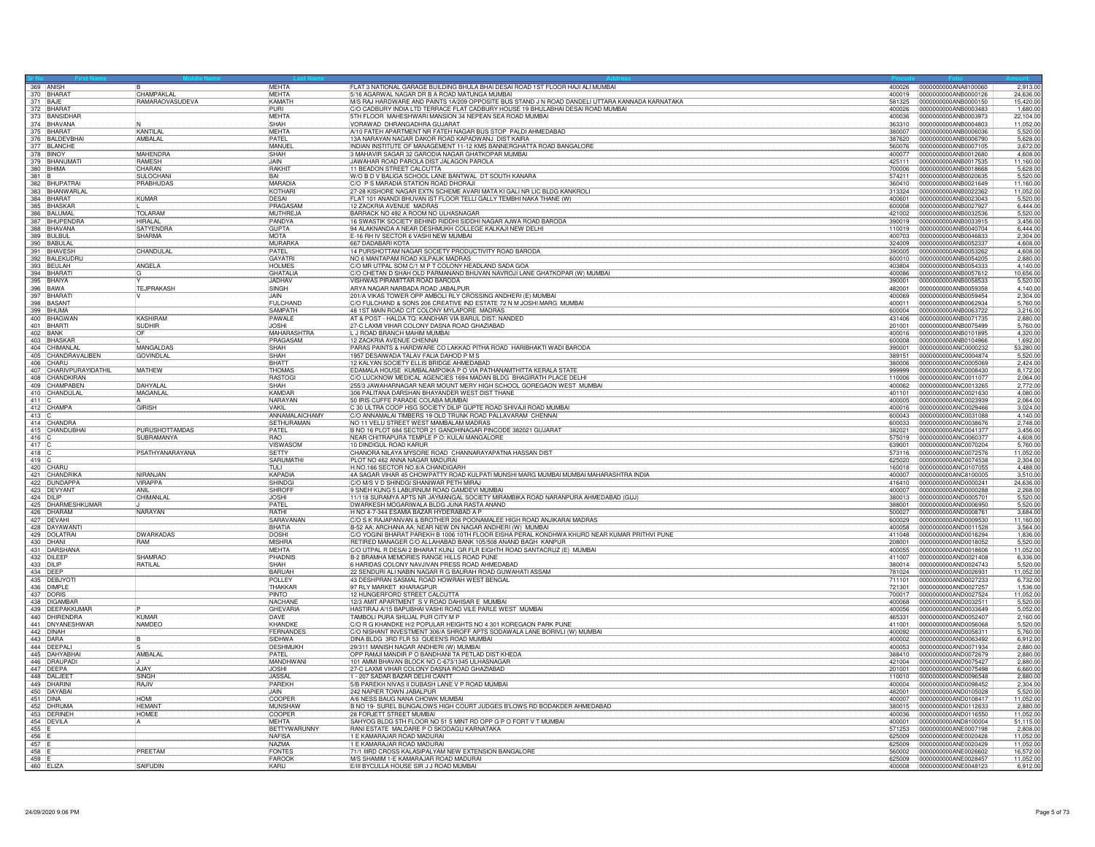|              | 369 ANISH                                  |                       | <b>MFHTA</b>                    | FLAT 3 NATIONAL GARAGE BUILDING BHULA BHAI DESAI ROAD 1ST FLOOR HAJI ALI MUMBAI                                                           |                  | 400026 0000000000ANA8100060<br>2,913.00                               |
|--------------|--------------------------------------------|-----------------------|---------------------------------|-------------------------------------------------------------------------------------------------------------------------------------------|------------------|-----------------------------------------------------------------------|
|              |                                            | CHAMPAKLAL            | <b>MEHTA</b>                    | 5/16 AGARWAL NAGAR DR B A ROAD MATUNGA MUMBAI                                                                                             | 400019           | 0000000000ANB0000126<br>24,636.00<br>0000000000ANB0000150             |
|              | 371 BAJE                                   | RAMARAOVASUDEVA       | <b>KAMATH</b><br>PHRI           | M/S RAJ HARDWARE AND PAINTS 1A/209 OPPOSITE BUS STAND J N ROAD DANDELI UTTARA KANNADA KARNATAKA                                           | 581325<br>400026 | 15,420.00                                                             |
|              | 372 BHARAT<br>373 BANSIDHAR                |                       | <b>MEHTA</b>                    | C/O CADBURY INDIA LTD TERRACE FLAT CADBURY HOUSE 19 BHULABHAI DESAI ROAD MUMBAI<br>5TH FLOOR MAHESHWARI MANSION 34 NEPEAN SEA ROAD MUMBAI | 400036           | 0000000000ANB0003483<br>1,680.00<br>0000000000ANB0003973<br>22,104.00 |
|              |                                            |                       | SHAH                            | VORAWAD DHRANGADHRA GUJARAT                                                                                                               | 363310           | 0000000000ANB0004803<br>11,052.00                                     |
|              | 374 BHAVANA                                | KANTILAL              | MEHTA                           | A/10 FATEH APARTMENT NR FATEH NAGAR BUS STOP PALDI AHMEDABAD                                                                              | 380007           | 0000000000ANB0006036<br>5,520.00                                      |
|              | 376 BALDEVBHAI                             | AMBALAL               | <b>PATEL</b>                    | 13A NARAYAN NAGAR DAKOR ROAD KAPADWANJ DIST KAIRA                                                                                         | 387620           | 0000000000ANB0006790<br>5.628.00                                      |
|              |                                            |                       | MANUEL                          | INDIAN INSTITUTE OF MANAGEMENT 11-12 KMS BANNERGHATTA ROAD BANGALORE                                                                      | 560076           | 0000000000ANB0007105<br>3,672.00                                      |
|              | 377 BLANCHE                                | <b>MAHENDRA</b>       | SHAH                            | 3 MAHAVIR SAGAR 32 GARODIA NAGAR GHATKOPAR MUMBAI                                                                                         | 400077           | 0000000000ANB0012680<br>4,608.00                                      |
|              | 379 BHANUMATI                              | <b>RAMESH</b>         | <b>JAIN</b>                     | JAWAHAR ROAD PAROLA DIST JALAGON PAROLA                                                                                                   | 425111           | 0000000000ANB0017535<br>11,160.00                                     |
|              |                                            | CHARAN                | RAKHIT                          | 11 BEADON STREET CALCUTTA                                                                                                                 | 700006           | 10000000000ANB0018668<br>5.628.00                                     |
|              | 381 B<br>382 BHUPATRAI<br>383 BHANWARLAL   | SULOCHANI             | <b>RAL</b>                      | W/O B D V BALIGA SCHOOL LANE BANTWAL DT SOUTH KANARA                                                                                      | 574211           | 0000000000ANB0020635<br>5,520.00                                      |
|              |                                            | PRABHUDAS             | <b>MARADIA</b>                  | C/O P S MARADIA STATION ROAD DHORAJI                                                                                                      | 360410           | 0000000000ANB0021649<br>11,160.00                                     |
|              |                                            |                       | KOTHARI                         | 27-28 KISHORE NAGAR EXTN SCHEME AVARI MATA KI GALI NR LIC BLDG KANKROLI                                                                   | 313324           | 0000000000ANB0022362<br>11.052.00                                     |
|              | 384 BHARAT<br>385 BHASKAR                  | KUMAR                 | DESAI<br>PRAGASAM               | FLAT 101 ANANDI BHUVAN IST FLOOR TELLI GALLY TEMBHI NAKA THANE (W)<br>12 ZACKRIA AVENUE MADRAS                                            | 400601<br>600008 | 0000000000ANB0023043<br>5,520.00<br>0000000000ANB0027927<br>6.444.00  |
|              |                                            | <b>TOLARAM</b>        | MUTHREJA                        | BARRACK NO 492 A ROOM NO ULHASNAGAR                                                                                                       | 421002           | 0000000000ANB0032536<br>5,520.00                                      |
|              | 386 BALUMAL                                | HIRAI AI              | PANDYA                          | 16 SWASTIK SOCIETY BEHIND RIDDHI SIDDHI NAGAR AJWA ROAD BARODA                                                                            | 390019           | 0000000000ANB0033915<br>3,456.00                                      |
|              | 387 BHUPENDRA                              | <b>SATYENDRA</b>      | <b>GUPTA</b>                    | 94 ALAKNANDA A NEAR DESHMUKH COLLEGE KALKAJI NEW DELHI                                                                                    | 110019           | 0000000000ANB0040704<br>6,444.00                                      |
|              |                                            | <b>SHARMA</b>         | <b>MOTA</b>                     | E-16 RH IV SECTOR 6 VASHI NEW MUMBAI                                                                                                      | 400703           | 0000000000ANB0046833<br>2,304.00                                      |
|              | 389 BULBUL<br>390 BABULAL                  |                       | MURARKA                         | 667 DADABARI KOTA                                                                                                                         | 324009           | 0000000000ANB0052337<br>4.608.00                                      |
|              |                                            | CHANDULAL             | PATEL                           | 14 PURSHOTTAM NAGAR SOCIETY PRODUCTIVITY ROAD BARODA                                                                                      | 390005           | 0000000000ANB0053262<br>4,608.00                                      |
|              |                                            |                       | GAYATRI                         | NO 6 MANTAPAM ROAD KILPAUK MADRAS                                                                                                         | 600010           | 0000000000ANB0054205<br>2,880,00                                      |
|              | 391 BHAVESH<br>392 BALEKUDRU<br>393 BEULAH | ANGELA                | <b>HOLMES</b>                   | C/O MR UTPAL SOM C/1 M P T COLONY HEADLAND SADA GOA                                                                                       | 403804           | 0000000000ANB0054333<br>4,140.00                                      |
|              | 394 BHARATI                                | IG.                   | GHATALIA                        | C/O CHETAN D SHAH OLD PARMANAND BHUVAN NAVROJI LANE GHATKOPAR (W) MUMBAI                                                                  | 400086           | 0000000000ANB0057612<br>10.656.00                                     |
|              |                                            |                       | <b>JADHAV</b>                   | VISHWAS PIRAMITTAR ROAD BARODA                                                                                                            | 390001           | 10000000000ANB0058533<br>5,520.00                                     |
|              | 396 BAWA<br>397 BHARATI<br>398 BASANT      | TEJPRAKASH            | SINGH                           | ARYA NAGAR NARBADA ROAD JABALPUR                                                                                                          | 482001           | 0000000000ANB0059358<br>4,140.00                                      |
|              |                                            |                       | JAIN<br><b>FULCHAND</b>         | 201/A VIKAS TOWER OPP AMBOLI RLY CROSSING ANDHERI (E) MUMBA<br>C/O FULCHAND & SONS 206 CREATIVE IND ESTATE 72 N M JOSHI MARG MUMBAI       | 400069           | 0000000000ANB0059454<br>2,304.00                                      |
|              | 399 BHUMA                                  |                       | SAMPATH                         | 48 1ST MAIN ROAD CIT COLONY MYLAPORE MADRAS                                                                                               | 400011<br>600004 | 0000000000ANB0062934<br>5,760.00<br>0000000000ANB0063722<br>3.216.00  |
|              | 400 BHAGWAN                                | KASHIRAM              | PAWALE                          | AT & POST - HALDA TO: KANDHAR VIA BARUL DIST: NANDED                                                                                      | 431406           | 0000000000ANB0071735<br>2,880.00                                      |
|              | 401 BHARTI                                 | <b>SUDHIR</b>         | <b>JOSHI</b>                    | 27-C LAXMI VIHAR COLONY DASNA ROAD GHAZIABAD                                                                                              | 201001           | 0000000000ANB0075499<br>5,760.00                                      |
|              | 402 BANK                                   |                       | <b>MAHARASHTRA</b>              | L J ROAD BRANCH MAHIM MUMBAI                                                                                                              | 400016           | 0000000000ANB0101895<br>4,320.00                                      |
|              | 403 BHASKAR                                |                       | PRAGASAM                        | 12 ZACKRIA AVENUE CHENNAI                                                                                                                 | 600008           | 0000000000ANB0104966<br>1,692.00                                      |
|              | 404 CHIMANLAL                              | <b>MANGALDAS</b>      | SHAH                            | PARAS PAINTS & HARDWARE CO LAKKAD PITHA ROAD HARIBHAKTI WADI BARODA                                                                       | 390001           | 0000000000ANC0000232<br>53,280.00                                     |
|              | 405 CHANDRAVALIBEN                         | <b>GOVINDLAL</b>      | SHAH                            | 1957 DESAIWADA TALAV FALIA DAHOD P M S                                                                                                    | 389151           | 0000000000ANC0004874<br>5,520.00                                      |
|              | 406 CHARU                                  |                       | <b>BHATT</b>                    | 12 KALYAN SOCIETY ELLIS BRIDGE AHMEDABAD                                                                                                  | 380006           | 0000000000ANC0005069<br>2,424.00                                      |
|              | 407 CHARIVPURAYIDATHIL                     | <b>MATHEW</b>         | THOMAS                          | EDAMALA HOUSE KUMBALAMPOIKA P O VIA PATHANAMTHITTA KERALA STAT                                                                            | 999999           | 0000000000ANC0008430<br>8,172.00                                      |
|              | 408 CHANDKIRAN                             |                       | RASTOGI                         | C/O LUCKNOW MEDICAL AGENCIES 1694 MADAN BLDG BHAGIRATH PLACE DELH                                                                         | 110006           | 0000000000ANC0011077<br>2.064.0                                       |
|              | 409 CHAMPABEN                              | <b>DAHYALAI</b>       | SHAH<br><b>KAMDAR</b>           | 255/3 JAWAHARNAGAR NEAR MOUNT MERY HIGH SCHOOL GOREGAON WEST MUMBAI                                                                       | 400062           | 0000000000ANC0013265<br>2,772.00                                      |
| $411$ C      | 410 CHANDULAL                              | MAGANLAL              | NARAYAN                         | 306 PALITANA DARSHAN BHAYANDER WEST DIST THANE<br>50 IRIS CUFFE PARADE COLABA MUMBAI                                                      | 401101<br>400005 | 0000000000ANC0021630<br>4,080.00<br>0000000000ANC0023939              |
|              | 412 CHAMPA                                 | <b>GIRISH</b>         | <b>VAKIL</b>                    | C 30 ULTRA COOP HSG SOCIETY DILIP GUPTE ROAD SHIVAJI ROAD MUMBAI                                                                          | 400016           | 2,064.0<br>0000000000ANC0029466<br>3,024.00                           |
| $413$ C      |                                            |                       | ANNAMALAICHAMY                  | C/O ANNAMALAI TIMBERS 19 OLD TRUNK ROAD PALLAVARAM CHENNAI                                                                                | 600043           | 0000000000ANC0031088<br>4.140.00                                      |
|              | 414 CHANDRA                                |                       | SETHURAMAN                      | NO 11 VELU STREET WEST MAMBALAM MADRAS                                                                                                    | 600033           | 0000000000ANC0038676<br>2.748.0                                       |
|              |                                            |                       |                                 |                                                                                                                                           |                  |                                                                       |
|              |                                            | <b>PURUSHOTTAMDAS</b> | <b>PATEL</b>                    |                                                                                                                                           | 382021           | 0000000000ANC0041377<br>3.456.00                                      |
| $416$ C      | 415 CHANDUBHAI                             | <b>SUBRAMANYA</b>     | RAO                             | B NO 16 PLOT 684 SECTOR 21 GANDHINAGAR PINCODE 382021 GUJARAT<br>NEAR CHITRAPURA TEMPLE P O: KULAI MANGALORE                              | 575019           | 0000000000ANC0060377<br>4,608.00                                      |
| 417 C        |                                            |                       | VISWASOM                        | 10 DINDIGUL ROAD KARUR                                                                                                                    | 639001           | 0000000000ANC0070204<br>5,760.00                                      |
| $418$ C      |                                            | PSATHYANARAYANA       | <b>ISETTY</b>                   | CHANORA NILAYA MYSORE ROAD CHANNARAYAPATNA HASSAN DIST                                                                                    | 573116           | 0000000000ANC0072576<br>11.052.00                                     |
| $419$ C      |                                            |                       | SARUMATHI                       | PLOT NO 462 ANNA NAGAR MADURAL                                                                                                            | 625020           | 0000000000ANC0074538<br>2,304.0                                       |
|              | 420 CHARU                                  |                       | <b>TULL</b>                     | H.NO.166 SECTOR NO.8/A CHANDIGARH                                                                                                         | 160018           | 0000000000ANC0107055<br>4,488.00                                      |
|              | 421 CHANDRIKA                              | NIRANJAN              | <b>KAPADIA</b>                  | 4A SAGAR VIHAR 45 CHOWPATTY ROAD KULPATI MUNSHI MARG MUMBAI MUMBAI MAHARASHTRA INDIA                                                      | 400007           | 0000000000ANC8100005<br>3,510.00                                      |
|              | 422 DUNDAPPA                               | <b>VIRAPPA</b>        | SHINDGI                         | C/O M/S V D SHINDGI SHANIWAR PETH MIRAJ                                                                                                   | 416410           | 0000000000AND0000241<br>24,636.00                                     |
|              | 423 DEVYANT                                | <b>ANIL</b>           | SHROFF<br><b>LIOSHI</b>         | 9 SNEH KUNG 5 LABURNUM ROAD GAMDEVI MUMBAI                                                                                                | 400007<br>380013 | 0000000000AND0000288<br>2,268,00<br>0000000000AND0005701              |
|              | 424 DILIP                                  | CHIMANLAL             | PATEL                           | 11/118 SURAMYA APTS NR JAYMANGAL SOCIETY MIRAMBIKA ROAD NARANPURA AHMEDABAD (GUJ)                                                         |                  | 5.520.00                                                              |
|              | 425 DHARMESHKUMAR<br>426 DHARAM            | NARAYAN               | <b>RATHI</b>                    | DWARKESH MOGARIWALA BLDG JUNA RASTA ANAND<br>H NO 4-7-344 ESAMIA BAZAR HYDERABAD A P                                                      | 388001<br>500027 | 0000000000AND0006950<br>5,520.00<br>0000000000AND0008761<br>3,684.00  |
|              | 427 DEVAHI                                 |                       | SARAVANAM                       | C/O S K RAJAPANVAN & BROTHER 206 POONAMALEE HIGH ROAD ANJIKARAI MADRAS                                                                    | 600029           | 0000000000AND0009530<br>11,160.00                                     |
|              | 428 DAYAWANT                               |                       | BHATIA                          | B-52 AA; ARCHANA AA; NEAR NEW DN NAGAR ANDHERI (W) MUMBAI                                                                                 | 400058           | 0000000000AND0011528<br>3.564.00                                      |
|              | 429 DOLATRAI                               | <b>DWARKADAS</b>      | DOSHI                           | C/O YOGINI BHARAT PAREKH B 1006 10TH FLOOR EISHA PERAL KONDHWA KHURD NEAR KUMAR PRITHVI PUNE                                              | 411048           | 0000000000AND0016294<br>1,836.0                                       |
|              | 430 DHANI                                  | RAM                   | <b>MISHRA</b>                   | RETIRED MANAGER C/O ALLAHABAD BANK 105/508 ANAND BAGH KANPUR                                                                              | 208001           | 0000000000AND0018052<br>5,520.00                                      |
|              | 431 DARSHANA                               |                       | <b>MEHTA</b>                    | C/O UTPAL R DESAI 2 BHARAT KUNJ GR FLR EIGHTH ROAD SANTACRUZ (E) MUMBAI                                                                   | 400055           | 0000000000AND0018606<br>11,052.00                                     |
|              | 432 DILEEP                                 | <b>SHAMRAO</b>        | PHADNIS                         | B-2 BRAMHA MEMORIES RANGE HILLS ROAD PUNE                                                                                                 | 411007           | 0000000000AND0021408<br>6,336.00                                      |
|              | 433 DILIP                                  | RATILAL               | <b>ISHAH</b>                    | 6 HARIDAS COLONY NAVJIVAN PRESS ROAD AHMEDABAD                                                                                            | 380014           | 10000000000AND0024743<br>5,520.00                                     |
|              | 434 DEEP                                   |                       | <b>BARUAH</b>                   | 22 SENDURI ALI NABIN NAGAR R G BAURAH ROAD GUWAHATI ASSAM                                                                                 | 781024           | 0000000000AND0026931<br>11,052.00                                     |
|              | 435 DEBJYOT                                |                       | POLLEY                          | 43 DESHPRAN SASMAL ROAD HOWRAH WEST BENGAL                                                                                                | 711101<br>721301 | 0000000000AND0027233<br>6,732.00                                      |
|              | 436 DIMPLE<br>437 DORIS                    |                       | THAKKAR<br>PINTO                | 97 RLY MARKET KHARAGPUR<br>12 HUNGERFORD STREET CALCUTTA                                                                                  | 700017           | 0000000000AND0027257<br>1,536.00<br>0000000000AND0027524<br>11.052.00 |
|              | 438 DIGAMBAR                               |                       | <b>NACHANE</b>                  | 12/3 AMIT APARTMENT S V ROAD DAHISAR E MUMBAI                                                                                             | 400068           | 0000000000AND0032511<br>5,520.00                                      |
|              | 439 DEEPAKKUMAF                            |                       | GHEVARIA                        | HASTIRAJ A/15 BAPUBHAI VASHI ROAD VILE PARLE WEST MUMBAI                                                                                  | 400056           | 0000000000AND0033649<br>5,052.0                                       |
|              | 440 DHIRENDRA                              | KUMAR                 | DAVE                            | TAMBOLI PURA SHUJAL PUR CITY M P                                                                                                          | 465331           | 2,160.00<br>0000000000AND0052407                                      |
|              | 441 DNYANESHWAR                            | <b>NAMDEO</b>         | KHANDKE                         | C/O R G KHANDKE H/2 POPULAR HEIGHTS NO 4 301 KOREGAON PARK PUNE                                                                           | 411001           | 0000000000AND0056068<br>5,520.00                                      |
|              | 442 DINAH                                  |                       | FERNANDES                       | C/O NISHANT INVESTMENT 306/A SHROFF APTS SODAWALA LANE BORIVLI (W) MUMBAI                                                                 | 400092           | 0000000000AND0058311<br>5.760.00                                      |
|              | 443 DARA                                   | İΒ.                   | <b>SIDHWA</b>                   | DINA BLDG 3RD FLR 53 QUEEN'S ROAD MUMBAL                                                                                                  |                  | 6,912.00                                                              |
|              | 444 DEEPALI                                |                       | DESHMUKH                        | 29/311 MANISH NAGAR ANDHERI (W) MUMBAI                                                                                                    | 400053           | 0000000000AND0071934<br>2,880.00                                      |
|              | 445 DAHYABHAI                              | AMBALAL               | <b>PATEL</b>                    | OPP RAMJI MANDIR P O BANDHANI TA PETLAD DIST: KHEDA                                                                                       | 388410           | 10000000000AND0072679<br>2,880.00                                     |
|              | 446 DRAUPADI<br>447 DEEPA                  | AJAY                  | <b>MANDHWAN</b><br><b>JOSHI</b> | 101 AMMI BHAVAN BLOCK NO C-673/1345 ULHASNAGAR                                                                                            | 421004<br>201001 | 0000000000AND0075427<br>2,880.00<br>6.660.00                          |
|              | 448 DALJEET                                | SINGH                 | <b>JASSAI</b>                   | 27-C LAXMI VIHAR COLONY DASNA ROAD GHAZIABAD<br>1 - 207 SADAR BAZAR DELHI CANTT                                                           | 110010           | 0000000000AND0075498<br>0000000000AND0096548<br>2,880.00              |
|              | 449 DHARINI                                | RAJIV                 | PAREKH                          | 5/B PAREKH NIVAS II DUBASH LANE V P ROAD MUMBAI                                                                                           | 400004           | 0000000000AND0098452<br>2,304.00                                      |
|              | 450 DAYABAI                                |                       | <b>JAIN</b>                     | 242 NAPIER TOWN JABALPUR                                                                                                                  | 482001           | 5,520.00<br>0000000000AND0105028                                      |
|              | 451 DINA                                   | <b>HOMI</b>           | COOPER                          | A/6 NESS BAUG NANA CHOWK MUMBAI                                                                                                           | 400007           | 0000000000AND0108417<br>11.052.00                                     |
|              | 452 DHRUMA                                 | <b>HFMANT</b>         | <b>MUNSHAW</b>                  | B NO 19- SUREL BUNGALOWS HIGH COURT JUDGES B'LOWS RD BODAKDER AHMEDABAD                                                                   | 380015           | 0000000000AND0112633<br>2,880.0                                       |
|              | 453 DERINEH                                | <b>HOMEE</b>          | <b>COOPER</b>                   | <b>28 FORJETT STREET MUMBAL</b>                                                                                                           | 400036           | 0000000000AND0116550<br>11,052.00                                     |
|              | 454 DEVILA                                 |                       | MEHTA                           | SAHYOG BLDG 5TH FLOOR NO 51 5 MINT RD OPP G P O FORT V T MUMBAI                                                                           | 400001           | 0000000000AND8100004<br>51,115.00                                     |
| 455          |                                            |                       | BETTYWARUNNY<br>NAFISA          | RANI ESTATE MALDARE P O SKODAGU KARNATAKA                                                                                                 | 571253<br>625009 | 0000000000ANE0007198<br>2,808.00<br>0000000000ANF0020428              |
| 456<br>457 E |                                            |                       | NA7MA                           | 1 E KAMARAJAR ROAD MADURAI<br>1 E KAMARAJAR ROAD MADURAI                                                                                  | 625009           | 11,052.00<br>0000000000ANE0020429<br>11.052.0                         |
| 458          |                                            | PREETAM               | <b>FONTES</b>                   | 71/1 IIIRD CROSS KALASIPALYAM NEW EXTENSION BANGALORE                                                                                     | 560002           | 0000000000ANE0026602<br>16,572.00                                     |
| 459          | 460 ELIZA                                  | SAIFUDIN              | FAROOK<br>KARU                  | M/S SHAMIM 1-E KAMARAJAR ROAD MADURAI<br>E/III BYCULLA HOUSE SIR J J ROAD MUMBAI                                                          | 625009<br>400008 | 0000000000ANE0028457<br>11.052.0<br>0000000000ANE0048123<br>6,912.00  |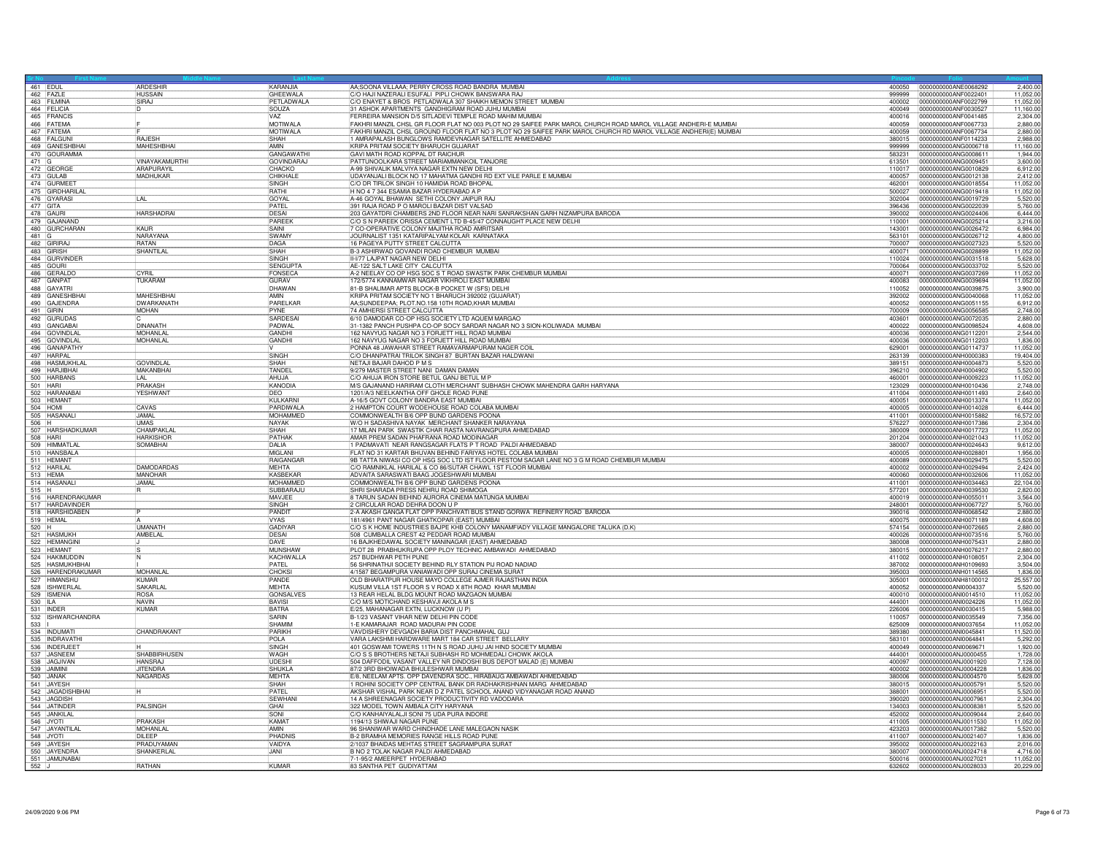|         | 461 EDUL<br>462 FAZLE                           | ARDESHIR<br><b>HUSSAIN</b>         | KARANJIA<br><b>GHEEWALA</b>      | AA;SOONA VILLAAA; PERRY CROSS ROAD BANDRA MUMBAI<br>C/O HAJI NAZERALI ESUFALI PIPLI CHOWK BANSWARA RA.                                    | 999999           | 400050 0000000000ANE0068292<br>2,400.00<br>0000000000ANF0022401<br>11.052.00 |
|---------|-------------------------------------------------|------------------------------------|----------------------------------|-------------------------------------------------------------------------------------------------------------------------------------------|------------------|------------------------------------------------------------------------------|
|         | 463 FILMINA                                     | SIRAJ                              | PETLADWALA                       | C/O ENAYET & BROS PETLADWALA 307 SHAIKH MEMON STREET MUMBAI                                                                               | 400002           | 0000000000ANF0022799<br>11.052.00                                            |
|         | 464 FFI ICIA                                    |                                    | SOUZA                            | 31 ASHOK APARTMENTS GANDHIGRAM ROAD JUHU MUMBAI                                                                                           | 400049           | 0000000000ANF0030527<br>11.160.00                                            |
|         | 465 FRANCIS                                     |                                    | VA7                              | FERREIRA MANSION D/5 SITLADEVI TEMPLE ROAD MAHIM MUMBAI                                                                                   | 400016           | 0000000000ANF0041485<br>2,304.00                                             |
|         | 466 FATEMA                                      |                                    | MOTIWALA                         | FAKHRI MANZIL CHSL GR FLOOR FLAT NO 003 PLOT NO 29 SAIFEE PARK MAROL CHURCH ROAD MAROL VILLAGE ANDHERI-E MUMBAI                           | 400059           | 0000000000ANF0067733<br>2,880.0                                              |
|         | 467 FATEMA                                      |                                    | MOTIWALA                         | FAKHRI MANZIL CHSL GROUND FLOOR FLAT NO 3 PLOT NO 29 SAIFEE PARK MAROL CHURCH RD MAROL VILLAGE ANDHERI(E) MUMBAI                          | 400059           | 0000000000ANF0067734<br>2,880.00                                             |
|         | 468 FALGUNI                                     | <b>RAJFSH</b>                      | SHAH                             | 1 AMRAPALASH BUNGLOWS RAMDEVNAGAR SATELLITE AHMEDABAD                                                                                     | 380015           | 0000000000ANF0114233<br>2.988.00                                             |
|         | 469 GANESHBHAI                                  | MAHESHBHAI                         | AMIN                             | KRIPA PRITAM SOCIETY BHARUCH GUJARAT<br>GAVI MATH ROAD KOPPAL DT RAICHUR                                                                  | 999999           | 0000000000ANG0006718<br>11.160.00                                            |
|         | 470 GOURAMMA                                    |                                    | GANGAWATH                        |                                                                                                                                           | 583231           | 0000000000ANG0008611<br>1.944.00                                             |
| $471$ G | 472 GEORGE                                      | VINAYAKAMURTHI<br>ARAPURAYIL       | <b>GOVINDARAJ</b><br>CHACKO      | PATTUNOOLKARA STREET MARIAMMANKOIL TANJORE<br>A-99 SHIVALIK MALVIYA NAGAR EXTN NEW DELHI                                                  | 613501<br>110017 | 0000000000ANG0009451<br>3,600.00<br>0000000000ANG0010829<br>6,912.00         |
|         | 473 GULAB                                       | <b>MADHUKAR</b>                    | CHIKHALI                         | UDAYANJALI BLOCK NO 17 MAHATMA GANDHI RD EXT VILE PARLE E MUMBAI                                                                          | 400057           | 0000000000ANG0012138<br>2,412.0                                              |
|         | 474 GURMEE                                      |                                    | SINGH                            | C/O DR TIRLOK SINGH 10 HAMIDIA ROAD BHOPAL                                                                                                | 462001           | 0000000000ANG0018554<br>11,052.00                                            |
|         | 475 GIRDHARILAI                                 |                                    | <b>RATHI</b>                     | H NO 4 7 344 ESAMIA BAZAR HYDERABAD A P                                                                                                   | 500027           | 0000000000ANG0019418<br>11,052.00                                            |
|         | 476 GYARASI                                     | LAL                                | GOYAL                            | A-46 GOYAL BHAWAN SETHI COLONY JAIPUR RAJ                                                                                                 | 302004           | 0000000000ANG0019729<br>5,520.00                                             |
|         | 477 GITA                                        |                                    | PATEL                            | 391 RAJA ROAD P O MAROLI BAZAR DIST VALSAD                                                                                                | 396436           | 5,760.00<br>0000000000ANG0022039                                             |
|         | 478 GAURI                                       | <b>HARSHADRAI</b>                  | DESAL                            | 203 GAYATDRI CHAMBERS 2ND FLOOR NEAR NARI SANRAKSHAN GARH NIZAMPURA BARODA                                                                | 390002           | 0000000000ANG0024406<br>6,444.00                                             |
|         | 479 GAJANAND                                    |                                    | PAREEK                           | C/O S N PAREEK ORISSA CEMENT LTD B-45/47 CONNAUGHT PLACE NEW DELHI                                                                        | 110001           | 0000000000ANG0025214<br>3,216.00                                             |
|         | 480 GURCHARAN                                   | KAUR                               | SAINI                            | 7 CO-OPERATIVE COLONY MAJITHA ROAD AMRITSAR                                                                                               | 143001           | 0000000000ANG0026472<br>6,984.00                                             |
| 481 G   |                                                 | NARAYANA                           | <b>SWAMY</b>                     | JOURNALIST 1351 KATARIPALYAM KOLAR KARNATAKA                                                                                              | 563101           | 0000000000ANG0026712<br>4,800.00                                             |
|         | 482 GIRIRAJ                                     | <b>RATAN</b>                       | DAGA                             | 16 PAGEYA PUTTY STREET CALCUTTA                                                                                                           | 700007           | 5,520.00<br>0000000000ANG0027323                                             |
|         | 483 GIRISH                                      | SHANTILAL                          | SHAH<br><b>SINGH</b>             | B-3 ASHIRWAD GOVANDI ROAD CHEMBUR MUMBAI<br>II-V77 LAJPAT NAGAR NEW DELHI                                                                 | 400071<br>110024 | 0000000000ANG0028899<br>11,052.00<br>0000000000ANG0031518                    |
|         | 484 GURVINDER<br>485 GOURI                      |                                    | SENGUPTA                         | AE-122 SALT LAKE CITY CALCUTTA                                                                                                            | 700064           | 5,628.00<br>0000000000ANG0033702<br>5,520.00                                 |
|         | 486 GERALDO                                     | CYRIL                              | FONSECA                          | A-2 NEELAY CO OP HSG SOC S T ROAD SWASTIK PARK CHEMBUR MUMBAI                                                                             | 400071           | 0000000000ANG0037269<br>11,052.00                                            |
|         | 487 GANPAT                                      | TUKARAM                            | <b>GURAV</b>                     | 172/5774 KANNAMWAR NAGAR VIKHROLI EAST MUMBAI                                                                                             | 400083           | 0000000000ANG0039694<br>11.052.00                                            |
|         |                                                 |                                    | DHAWAN                           | 81-B SHALIMAR APTS BLOCK-B POCKET W (SFS) DELHI                                                                                           | 110052           | 0000000000ANG0039875<br>3,900.00                                             |
|         | 488 GAYATRI<br>489 GANESHBHAI                   | <b>MAHESHBHA</b>                   | AMIN                             | KRIPA PRITAM SOCIETY NO 1 BHARUCH 392002 (GUJARAT)                                                                                        | 392002           | 0000000000ANG0040068<br>11,052.00                                            |
|         | 490 GAJENDRA                                    | DWARKANATH                         | PARELKAR                         | AA;SUNDEEPAA; PLOT.NO.158 10TH ROAD,KHAR MUMBAI                                                                                           | 400052           | 0000000000ANG0051155<br>6.912.0                                              |
|         | 491 GIRIN                                       | <b>MOHAN</b>                       | PYNE                             | 74 AMHERSI STREET CALCUTTA                                                                                                                | 700009           | 0000000000ANG0056585<br>2.748.0                                              |
|         | 492 GURUDAS                                     |                                    | SARDESA                          | 6/10 DAMODAR CO-OP HSG SOCIETY LTD AQUEM MARGAO                                                                                           | 403601           | 0000000000ANG0072035<br>2.880.00                                             |
|         | 493 GANGABAI                                    | <b>DINANATH</b>                    | PADWAL                           | 31-1382 PANCH PUSHPA CO-OP SOCY SARDAR NAGAR NO 3 SION-KOLIWADA MUMBAI                                                                    | 400022           | 0000000000ANG0098524<br>4,608.00                                             |
|         | 494 GOVINDLAL                                   | <b>MOHANLAI</b><br>MOHANLAL        | <b>GANDHI</b><br>GANDHI          | 162 NAVYUG NAGAR NO 3 FORJETT HILL ROAD MUMBAI                                                                                            | 400036<br>400036 | 0000000000ANG0112201<br>2,544.00<br>0000000000ANG0112203<br>1,836,00         |
|         | 495 GOVINDLAL<br>496 GANAPATHY                  |                                    |                                  | 162 NAVYUG NAGAR NO 3 FORJETT HILL ROAD MUMBAI<br>PONNA 48 JAWAHAR STREET RAMAVARMAPURAM NAGER COIL                                       | 629001           | 0000000000ANG0114737<br>11.052.00                                            |
|         | 497 HARPAL                                      |                                    | <b>SINGH</b>                     | C/O DHANPATRAI TRILOK SINGH 87 BURTAN BAZAR HALDWANI                                                                                      | 263139           | 0000000000ANH0000383<br>19,404.00                                            |
|         | 498 HASMUKHLAL                                  | <b>GOVINDLA</b>                    | <b>SHAH</b>                      | NETAJI BAJAR DAHOD P M S                                                                                                                  | 389151           | 0000000000ANH0004873<br>5,520.00                                             |
|         |                                                 | MAKANBHA                           | TANDE                            | 9/279 MASTER STREET NANI DAMAN DAMAN                                                                                                      | 396210           | 0000000000ANH0004902<br>5,520.00                                             |
|         | 499 HARJIBHAI<br>500 HARBANS                    | LAL                                | AHUJA                            | C/O AHUJA IRON STORE BETUL GANJ BETUL M P                                                                                                 | 460001           | 0000000000ANH0009223<br>11,052.00                                            |
|         | 501 HARI<br>502 HARANABAI                       | PRAKASH                            | KANODIA                          | M/S GAJANAND HARIRAM CLOTH MERCHANT SUBHASH CHOWK MAHENDRA GARH HARYANA                                                                   | 123029           | 0000000000ANH0010436<br>2.748.00                                             |
|         |                                                 | <b>YESHWANT</b>                    | <b>IDEO</b>                      | 1201/A/3 NEELKANTHA OFF GHOLE ROAD PUNE                                                                                                   | 411004           | 0000000000ANH0011493<br>2.640.00                                             |
|         | 503 HEMANT                                      |                                    | KULKARNI                         | A-16/5 GOVT COLONY BANDRA EAST MUMBAI                                                                                                     | 400051           | 0000000000ANH0013374<br>11,052.00                                            |
|         | 504 HOMI                                        | CAVAS                              | PARDIWALA                        | 2 HAMPTON COURT WODEHOUSE ROAD COLABA MUMBAI                                                                                              | 400005           | 0000000000ANH0014028<br>6,444.0                                              |
| $506$ H | 505 HASANALI                                    | JAMAL<br><b>UMAS</b>               | MOHAMMED<br><b>NAYAK</b>         | COMMONWEALTH B/6 OPP BUND GARDENS POONA<br>W/O H SADASHIVA NAYAK MERCHANT SHANKER NARAYANA                                                | 411001<br>576227 | 0000000000ANH0015882<br>16,572.00<br>2.304.0                                 |
|         | 507 HARSHADKUMAR                                | CHAMPAKI AI                        | <b>SHAH</b>                      | 17 MILAN PARK SWASTIK CHAR RASTA NAVRANGPURA AHMEDABAD                                                                                    | 380009           | 0000000000ANH0017386<br>0000000000ANH0017723<br>11.052.00                    |
|         | 508 HARI                                        | <b>HARKISHOR</b>                   | PATHAK                           | AMAR PREM SADAN PHAFRANA ROAD MODINAGAR                                                                                                   | 201204           | 0000000000ANH0021043<br>11.052.0                                             |
|         |                                                 | SOMABHAI                           | DALIA                            | 1 PADMAVATI NEAR RANGSAGAR FLATS P T ROAD PALDI AHMEDABAD                                                                                 | 380007           | 0000000000ANH0024643<br>9,612.00                                             |
|         | 509 HIMMATLA                                    |                                    | MIGLAN                           | FLAT NO 31 KARTAR BHUVAN BEHIND FARIYAS HOTEL COLABA MUMBA                                                                                | 400005           | 0000000000ANH0028801<br>1,956.00                                             |
|         | 511 HEMANT                                      |                                    | RAIGANGAR                        | 9B TATTA NIWASI CO OP HSG SOC LTD IST FLOOR PESTOM SAGAR LANE NO 3 G M ROAD CHEMBUR MUMBAI                                                | 400089           | 0000000000ANH0029475<br>5,520.0                                              |
|         | 512 HARILAL                                     | <b>DAMODARDAS</b>                  | <b>MEHTA</b>                     | C/O RAMNIKLAL HARILAL & CO 86/SUTAR CHAWL 1ST FLOOR MUMBAI                                                                                | 400002           | 0000000000ANH0029494<br>2,424.00                                             |
|         | 513 HEMA                                        | <b>MANOHAF</b>                     | <b>KASBEKAF</b>                  | ADVAITA SARASWATI BAAG JOGESHWARI MUMBA                                                                                                   | 400060           | 0000000000ANH0032606<br>11.052.0                                             |
|         | 514 HASANALI                                    |                                    |                                  | COMMONWEALTH B/6 OPP BUND GARDENS POONA                                                                                                   |                  |                                                                              |
| $515$ H |                                                 | JAMAL                              | <b>MOHAMMED</b>                  |                                                                                                                                           | 411001           | 0000000000ANH0034463<br>22,104.00                                            |
|         |                                                 |                                    | SUBBARAJU                        | SHRI SHARADA PRESS NEHRU ROAD SHIMOGA                                                                                                     | 577201           | 0000000000ANH0039530<br>2,820.00                                             |
|         |                                                 |                                    | MAVJEE                           | 8 TARUN SADAN BEHIND AURORA CINEMA MATUNGA MUMBAI                                                                                         | 400019           | 0000000000ANH0055011<br>3.564.0                                              |
|         | 516 HARENDRAKUMAR<br>517 HARDAVINDER            |                                    | <b>SINGH</b>                     | 2 CIRCULAR ROAD DEHRA DOON U P                                                                                                            | 248001           | 0000000000ANH0067727<br>5,760.00                                             |
|         | 518 HARSHIDABEN                                 |                                    | PANDIT                           | 2-A AKASH GANGA FLAT OPP PANCHVATI BUS STAND GORWA REFINERY ROAD BARODA                                                                   | 390016<br>400075 | 0000000000ANH0068542<br>2,880.00                                             |
|         |                                                 | <b>UMANATH</b>                     | <b>VYAS</b><br>GADIYAR           | 181/4961 PANT NAGAR GHATKOPAR (EAST) MUMBAI<br>C/O S K HOME INDUSTRIES BAJPE KHB COLONY MANAMFIADY VILLAGE MANGALORE TALUKA (D.K)         | 574154           | 0000000000ANH0071189<br>4,608.00<br>0000000000ANH0072665<br>2,880.00         |
|         | 519 HEMAL<br>520 H                              | AMBELAL                            | <b>DESAL</b>                     | 508 CUMBALLA CREST 42 PEDDAR ROAD MUMBAL                                                                                                  | 400026           | 0000000000ANH0073516<br>5,760.00                                             |
|         | 521 HASMUKH<br>522 HEMANGINI                    |                                    | DAVE                             | 16 BAJKHEDAWAL SOCIETY MANINAGAR (EAST) AHMEDABAD                                                                                         | 380008           | 0000000000ANH0075431<br>2,880.00                                             |
|         |                                                 |                                    | MUNSHAW                          | PLOT 28 PRABHUKRUPA OPP PLOY TECHNIC AMBAWADI AHMEDABAD                                                                                   | 380015           | 0000000000ANH0076217<br>2,880.00                                             |
|         |                                                 | IN.                                | KACHWALLA                        | 257 BUDHWAR PETH PUNE                                                                                                                     | 411002           | 0000000000ANH0108051<br>2,304.00                                             |
|         | 523 HEMANT<br>524 HAKIMUDDIN<br>525 HASMUKHBHAI |                                    | <b>PATEL</b>                     | 56 SHRINATHJI SOCIETY BEHIND RLY STATION PIJ ROAD NADIAD                                                                                  | 387002           | 0000000000ANH0109693<br>3,504.00                                             |
|         |                                                 | <b>MOHANLAL</b>                    | CHOKS                            | 4/1587 BEGAMPURA VANIAWADI OPP SURAJ CINEMA SURAT                                                                                         | 395003           | 0000000000ANH0114565<br>1.836.0                                              |
|         | 526 HARENDRAKUMAR<br>527 HIMANSHU               | <b>KUMAR</b>                       | <b>PANDE</b>                     | OLD BHARATPUR HOUSE MAYO COLLEGE AJMER RAJASTHAN INDIA                                                                                    | 305001           | 0000000000ANH8100012<br>25,557.00                                            |
|         |                                                 | SAKARLA                            | <b>MEHTA</b>                     | KUSUM VILLA 1ST FLOOR S V ROAD X 8TH ROAD KHAR MUMBAI                                                                                     | 400052           | 0000000000ANI0004337<br>5,520.00                                             |
|         |                                                 | <b>ROSA</b><br><b>NAVIN</b>        | <b>GONSALVE</b><br><b>BAVISI</b> | 13 REAR HELAL BLDG MOUNT ROAD MAZGAON MUMBAI                                                                                              | 400010<br>444001 | 11,052.00<br>0000000000ANI0014510<br>0000000000ANI0024226<br>11.052.00       |
|         | 528 ISHWERLAL<br>529 ISMENIA<br>530 ILA         | KUMAR                              |                                  | C/O M/S MOTICHAND KESHAVJI AKOLA M S                                                                                                      |                  |                                                                              |
|         | 531 INDER                                       |                                    | <b>BATRA</b><br>SARIN            | E/25, MAHANAGAR EXTN, LUCKNOW (U P)<br>B-1/23 VASANT VIHAR NEW DELHI PIN CODE                                                             | 226006<br>110057 | 0000000000ANI0030415<br>5,988.0<br>0000000000ANI0035549<br>7,356.00          |
|         | 532 ISHWARCHANDRA                               |                                    | SHAMIM                           | 1-E KAMARAJAR ROAD MADURAI PIN CODE                                                                                                       | 625009           | 0000000000ANI0037654<br>11,052.00                                            |
|         |                                                 | CHANDRAKANT                        | PARIKH                           | VAVDISHERY DEVGADH BARIA DIST PANCHMAHAL GUJ                                                                                              | 389380           | 11,520.00<br>0000000000ANI0045841                                            |
|         | 533  <br>534   INDUMATI<br>535   INDRAVATH      |                                    | POLA                             | VARA LAKSHMI HARDWARE MART 184 CAR STREET BELLARY                                                                                         | 583101           | 10000000000ANI0064841<br>5,292.00                                            |
|         |                                                 |                                    | SINGH                            | 401 GOSWAMI TOWERS 11TH N S ROAD JUHU JAI HIND SOCIETY MUMBAI                                                                             | 400049           | 0000000000ANI0069671<br>1,920.0                                              |
|         | 536 INDERJEET<br>537 JASNEEM                    | <b>SHABBIRHUSEN</b>                | <b>WAGH</b>                      | C/O S S BROTHERS NETAJI SUBHASH RD MOHMEDALI CHOWK AKOLA                                                                                  | 444001           | 1,728.00<br>10000000000ANJ0000455                                            |
|         |                                                 | <b>HANSRAJ</b>                     | UDESHI                           | 504 DAFFODIL VASANT VALLEY NR DINDOSHI BUS DEPOT MALAD (E) MUMBAI                                                                         | 400097           | 7,128.00<br>0000000000ANJ0001920                                             |
|         |                                                 | <b>JITFNDRA</b><br><b>NAGARDAS</b> | SHUKLA                           | 87/2 3RD BHOIWADA BHULESHWAR MUMBAI                                                                                                       | 400002<br>380006 | 0000000000ANJ0004228<br>1.836.00<br>0000000000ANJ0004570                     |
|         | 538 JAGJIVAN<br>538 JAGJIVAN<br>540 JANAK       |                                    | MEHTA<br>SHAH                    | E/8, NEELAM APTS. OPP DAVENDRA SOC., HIRABAUG AMBAWADI AHMEDABAD                                                                          |                  | 5,628.00                                                                     |
|         | 541 JAYESH<br>542 JAGADISHBHAI                  |                                    | PATEL                            | 1 ROHINI SOCIETY OPP CENTRAL BANK DR RADHAKRISHNAN MARG AHMEDABAD<br>AKSHAR VISHAL PARK NEAR D Z PATEL SCHOOL ANAND VIDYANAGAR ROAD ANAND | 380015<br>388001 | 0000000000ANJ0005791<br>5,520.00<br>5,520.00<br>0000000000ANJ0006951         |
|         | 543 JAGDISH                                     |                                    | <b>SEWHAN</b>                    | 14 A SHREENAGAR SOCIETY PRODUCTIVITY RD VADODARA                                                                                          | 390020           | 0000000000ANJ0007961<br>2,304.00                                             |
|         |                                                 | PALSINGH                           | GHAI                             | 322 MODEL TOWN AMBALA CITY HARYANA                                                                                                        | 134003           | 0000000000ANJ0008381<br>5.520.00                                             |
|         | 544 JATINDER                                    |                                    | <b>SONI</b>                      | C/O KANHAIYALALJI SONI 75 UDA PURA INDORE                                                                                                 | 452002           | 0000000000ANJ0009044<br>2,640.00                                             |
|         | 546 JYOTI                                       | PRAKASH                            | KAMAT                            | 1194/13 SHIWAJI NAGAR PUNE                                                                                                                | 411005           | 11,052.00<br>0000000000ANJ0011530                                            |
|         | 547 JAYANTILAL                                  | <b>MOHANLAL</b>                    | AMIN                             | 96 SHANIWAR WARD CHINDHADE LANE MALEGAON NASIK                                                                                            | 423203           | 0000000000ANJ0017382<br>5,520.00                                             |
|         | 548 JYOTI                                       | <b>DI FFP</b>                      | PHADNIS                          | B-2 BRAMHA MEMORIES RANGE HILLS ROAD PUNE                                                                                                 | 411007           | 0000000000AN.J0021407<br>1,836.0                                             |
|         | 549 JAYESH                                      | <b>PRADUYAMAN</b>                  | <b>VAIDYA</b>                    | 2/1037 BHAIDAS MEHTAS STREET SAGRAMPURA SURAT                                                                                             | 395002           | 2.016.00<br>0000000000ANJ0022163                                             |
|         | 550 JAYENDRA                                    | SHANKERLAL                         | JANI                             | B NO 2 TOLAK NAGAR PALDI AHMEDABAD                                                                                                        | 380007           | 0000000000ANJ0024718<br>4,716.00                                             |
|         | 551 JAMUNABA                                    | RATHAN                             | KUMAR                            | 7-1-95/2 AMEERPET HYDERABAD<br>83 SANTHA PET GUDIYATTAM                                                                                   | 500016<br>632602 | 0000000000ANJ0027021<br>11.052.0<br>0000000000ANJ0028033<br>20,229.00        |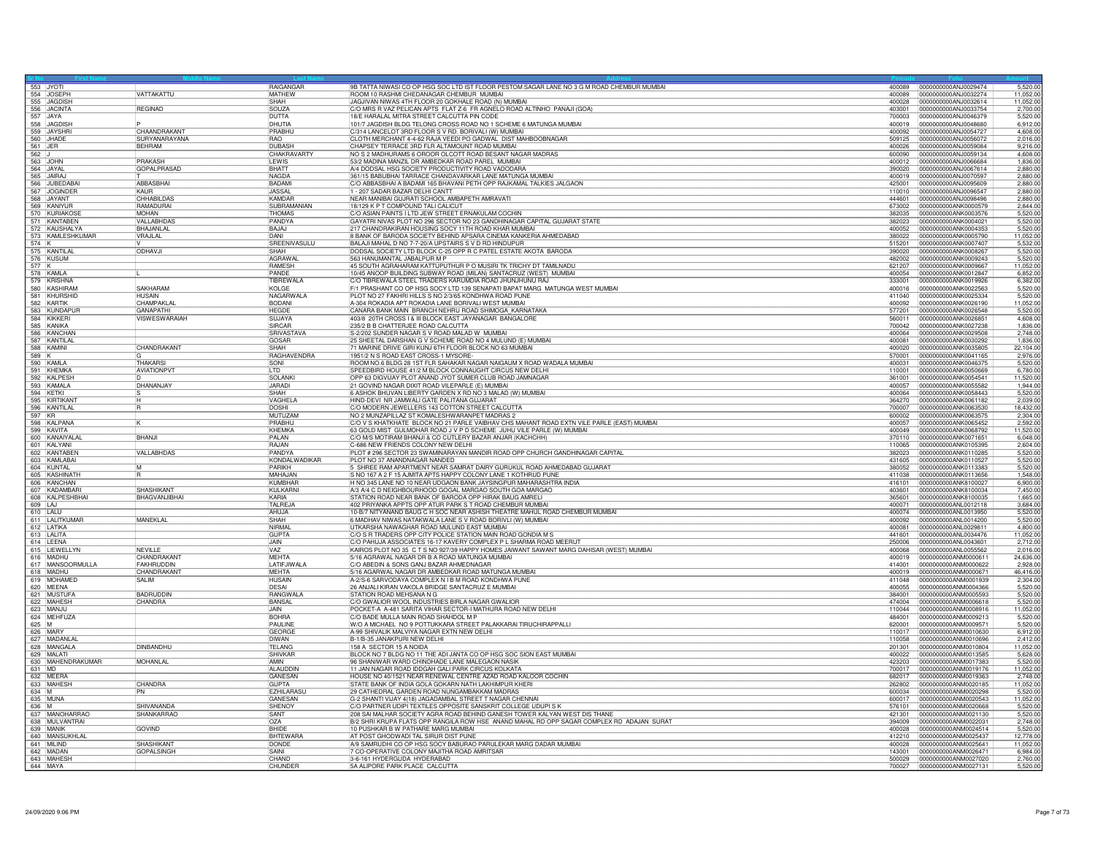| 553 JYOTI<br>554 JOSEPH                                                       |                                             | RAIGANGAR                      | 9B TATTA NIWASI CO OP HSG SOC LTD IST FLOOR PESTOM SAGAR LANE NO 3 G M ROAD CHEMBUR MUMBAI                                               | 400089           | 0000000000ANJ0029474                         | 5,520.00              |
|-------------------------------------------------------------------------------|---------------------------------------------|--------------------------------|------------------------------------------------------------------------------------------------------------------------------------------|------------------|----------------------------------------------|-----------------------|
|                                                                               | VATTAKATTU                                  | <b>MATHEW</b><br>SHAH          | ROOM 10 RASHMI CHEDANAGAR CHEMBUR MUMBAI                                                                                                 | 400089<br>400028 | 0000000000ANJ0032274<br>0000000000ANJ0032614 | 11,052.00             |
| 555 JAGDISH                                                                   | <b>REGINAD</b>                              | SOUZA                          | JAGJIVAN NIWAS 4TH FLOOR 20 GOKHALE ROAD (N) MUMBAI<br>C/O MRS R VAZ PELICAN APTS FLAT Z-6 FR AGNELO ROAD ALTINHO PANAJI (GOA)           | 403001           | 0000000000ANJ0033754                         | 11,052.0<br>2,700.0   |
| 556 JACINTA<br>557 JAYA                                                       |                                             | DUTTA                          | 18/E HARALAL MITRA STREET CALCUTTA PIN CODE                                                                                              | 700003           | 0000000000ANJ0046379                         | 5,520.0               |
| 558 JAGDISH                                                                   |                                             | DHUTIA                         | 101/7 JAGDISH BLDG TELONG CROSS ROAD NO 1 SCHEME 6 MATUNGA MUMBAI                                                                        | 400019           | 0000000000ANJ0048680                         | 6,912.0               |
| 559 JAYSHRI                                                                   | <b>CHAANDRAKANT</b>                         | PRABHU                         | C/314 LANCELOT 3RD FLOOR S V RD. BORIVALI (W) MUMBAI                                                                                     | 400092           | 0000000000ANJ0054727                         | 4.608.0               |
| 560 JHADE                                                                     | SURYANARAYANA                               | RAO                            | CLOTH MERCHANT 4-4-62 RAJA VEEDI PO GADWAL DIST MAHBOOBNAGAR                                                                             | 509125           | 0000000000ANJ0056072                         | 2,016.0               |
| $\begin{array}{c c}\n561 & \text{JER} \\ \hline\n562 & \text{J}\n\end{array}$ | BEHRAM                                      | <b>DUBASH</b>                  | CHAPSEY TERRACE 3RD FLR ALTAMOUNT ROAD MUMBAI                                                                                            | 400026           | 0000000000ANJ0059084                         | 9,216.0               |
| 563 JOHN                                                                      | PRAKASH                                     | CHAKRAVARTY<br>LEWIS           | NO S 2 MADHURAMS 6 OROOR OLCOTT ROAD BESANT NAGAR MADRAS<br>53/2 MADINA MANZIL DR AMBEDKAR ROAD PAREL MUMBAI                             | 600090<br>400012 | 0000000000ANJ0059134<br>0000000000ANJ0066684 | 4.608.0<br>1.836.0    |
| 564 JAYAL                                                                     | <b>GOPALPRASAD</b>                          | <b>BHATT</b>                   | A/4 DODSAL HSG SOCIETY PRODUCTIVITY ROAD VADODARA                                                                                        | 390020           | 10000000000AN.J0067614                       | 2.880.00              |
| 565 JAIRAJ                                                                    |                                             | <b>NAGDA</b>                   | 361/15 BABUBHAI TARRACE CHANDAVARKAR LANE MATUNGA MUMBAI                                                                                 | 400019           | 0000000000ANJ0070597                         | 2,880.0               |
| 566 JUBEDABAI                                                                 | ABBASBHAI                                   | BADAMI                         | C/O ABBASBHAI A BADAMI 165 BHAVANI PETH OPP RAJKAMAL TALKIES JALGAON                                                                     | 425001           | 0000000000ANJ0095609                         | 2,880.00              |
| 567 JOGINDER                                                                  | KAUR                                        | <b>JASSAL</b>                  | - 207 SADAR BAZAR DELHI CANTT                                                                                                            | 110010           | 0000000000ANJ0096547                         | 2,880.0               |
| 568 JAYANT<br>569 KANIYUR                                                     | CHHABILDAS<br><b>RAMADURAL</b>              | <b>KAMDAR</b><br>SUBBRAMANIAN  | NEAR MANIBAI GUJRATI SCHOOL AMBAPETH AMRAVATI<br>18/129 K P T COMPOUND TALI CALICUT                                                      | 444601<br>673002 | 0000000000ANJ0098496                         | 2.880.0<br>2.844.00   |
|                                                                               | <b>MOHAN</b>                                | <b>THOMAS</b>                  | C/O ASIAN PAINTS I LTD JEW STREET ERNAKULAM COCHIN                                                                                       | 382035           | 0000000000ANK0000579<br>0000000000ANK0003576 | 5,520.00              |
| 570 KURIAKOSI<br>571 KANTABEN                                                 | VALLABHDAS                                  | PANDYA                         | GAYATRI NIVAS PLOT NO 296 SECTOR NO 23 GANDHINAGAR CAPITAL GUJARAT STATE                                                                 | 382023           | 0000000000ANK0004021                         | 5,520.00              |
| 572 KAUSHALYA                                                                 | BHAJANLAI                                   | BAJAJ                          | 217 CHANDRAKIRAN HOUSING SOCY 11TH ROAD KHAR MUMBAI                                                                                      | 400052           | 0000000000ANK0004353                         | 5,520.00              |
| 573 KAMLESHKUMAR                                                              | VRAJLAL                                     | DANI                           | 8 BANK OF BARODA SOCIETY BEHIND APSARA CINEMA KANKERIA AHMEDABAD                                                                         | 380022           | 0000000000ANK0005790                         | 11,052.00             |
| $574$ K                                                                       |                                             | SREENIVASULU                   | BALAJI MAHAL D NO 7-7-20/A UPSTAIRS S V D RD HINDUPUR                                                                                    | 515201           | 0000000000ANK0007407                         | 5.532.0               |
| 575 KANTILAL                                                                  | ODHAVJI                                     | SHAH<br>AGRAWA                 | DODSAL SOCIETY LTD BLOCK C-25 OPP R C PATEL ESTATE AKOTA BARODA<br>563 HANUMANTAL JABALPUR M P                                           | 390020<br>482002 | 0000000000ANK0008267<br>0000000000ANK0009243 | 5,520.0               |
| 576 KUSUM<br>577 K                                                            |                                             | RAMESH                         | 45 SOUTH AGRAHARAM KATTUPUTHUR P O MUSIRI TK TRICHY DT TAMILNADU                                                                         | 621207           | 0000000000ANK0009667                         | 5,520.00<br>11,052.00 |
| 578 KAMLA                                                                     |                                             | PANDE                          | 10/45 ANOOP BUILDING SUBWAY ROAD (MILAN) SANTACRUZ (WEST) MUMBAI                                                                         | 400054           | 0000000000ANK0012847                         | 6,852.0               |
| 579 KRISHNA                                                                   |                                             | TIBREWALA                      | C/O TIBREWALA STEEL TRADERS KARUMDIA ROAD JHUNJHUNU RAJ                                                                                  | 333001           | 0000000000ANK0019926                         | 6,382.0               |
| 580 KASHIRAM                                                                  | <b>SAKHARAM</b>                             | KOLGE                          | F/1 PRASHANT CO OP HSG SOCY LTD 139 SENAPATI BAPAT MARG MATUNGA WEST MUMBAI                                                              | 400016           | 0000000000ANK0022563                         | 5,520.0               |
| 581 KHURSHID                                                                  | <b>HUSAIN</b>                               | NAGARWALA                      | PLOT NO 27 FAKHRI HILLS S NO 2/3/65 KONDHWA ROAD PUNE                                                                                    | 411040           | 0000000000ANK0025334                         | 5,520.00              |
| 582 KARTIK<br>583 KUNDAPUR                                                    | CHAMPAKLAL<br>GANAPATH                      | BODANI<br><b>HFGDF</b>         | A-304 ROKADIA APT ROKADIA LANE BORIVALI WEST MUMBAI<br>CANARA BANK MAIN BRANCH NEHRU ROAD SHIMOGA_KARNATAKA                              | 400092<br>577201 | 0000000000ANK0026190<br>0000000000ANK0026548 | 11,052.0<br>5.520.0   |
| 584 KIKKERI                                                                   | VISWESWARAIAH                               | SUJAYA                         | 403/8 20TH CROSS I & III BLOCK EAST JAYANAGAR BANGALORE                                                                                  | 560011           | 0000000000ANK0026851                         | 4,608.00              |
| 585 KANIKA                                                                    |                                             | SIRCAR                         | 235/2 B B CHATTERJEE ROAD CALCUTTA                                                                                                       | 700042           | 0000000000ANK0027238                         | 1.836.0               |
| 586 KANCHAN                                                                   |                                             | <b>SRIVASTAV</b>               | S-2/202 SUNDER NAGAR S V ROAD MALAD W MUMBAI                                                                                             | 400064           | 0000000000ANK0029508                         | 2,748.0               |
| 587 KANTILAL                                                                  |                                             | <b>GOSAR</b>                   | 25 SHEETAL DARSHAN G V SCHEME ROAD NO 4 MULUND (E) MUMBAI                                                                                | 400081           | 0000000000ANK0030292                         | 1.836.00              |
| 588 KAMINI                                                                    | CHANDRAKANT                                 | <b>SHAH</b>                    | 71 MARINE DRIVE GIRI KUNJ 6TH FLOOR BLOCK NO 63 MUMBAI                                                                                   | 400020           | 0000000000ANK0035805                         | 22,104.0              |
| 589 K<br>590 KAMLA                                                            | <b>HAKARS</b>                               | <b>RAGHAVENDRA</b><br>SONI     | 1951/2 N S ROAD EAST CROSS-1 MYSORE<br>ROOM NO.6 BLDG 28 1ST FLR SAHAKAR NAGAR NAIGAUM X ROAD WADALA MUMBAI                              | 570001<br>400031 | 0000000000ANK0041165<br>0000000000ANK0046375 | 2,976.00<br>5,520.0   |
| 591 KHEMKA                                                                    | <b>AVIATIONPV</b>                           | LTD                            | SPEEDBIRD HOUSE 41/2 M BLOCK CONNAUGHT CIRCUS NEW DELHI                                                                                  | 110001           | 0000000000ANK0050669                         | 6,780.00              |
| 592 KALPESH                                                                   |                                             | <b>SOLANKI</b>                 | OPP 63 DIGVIJAY PLOT ANAND JYOT SUMER CLUB ROAD JAMNAGAR                                                                                 | 361001           | 0000000000ANK0054541                         | 11,520.0              |
| 593 KAMALA                                                                    | DHANANJAY                                   | <b>LIARADI</b>                 | 21 GOVIND NAGAR DIXIT ROAD VILEPARLE (E) MUMBAI                                                                                          | 400057           | 0000000000ANK0055582                         | 1.944.0               |
| 594 KETKI                                                                     |                                             | <b>ISHAH</b>                   | 6 ASHOK BHUVAN LIBERTY GARDEN X RD NO 3 MALAD (W) MUMBAI                                                                                 | 400064           | 0000000000ANK0058443                         | 5,520.00              |
| 595 KIRTIKANT                                                                 |                                             | VAGHELA                        | HIND-DEVI NR JAMWALI GATE PALITANA GUJARAT                                                                                               | 364270           | 0000000000ANK0061182                         | 2,039.0               |
| 596 KANTILAL<br>597 KR                                                        |                                             | <b>DOSHI</b><br>MUTUZAM        | C/O MODERN JEWELLERS 143 COTTON STREET CALCUTTA<br>NO 2 MUNZAPILLAZ ST KOMALESHWARANPET MADRAS 2                                         | 700007<br>600002 | 0000000000ANK0063530<br>0000000000ANK0063575 | 18.432.0<br>2.304.00  |
| 598 KALPANA                                                                   |                                             | PRABHU                         | C/O V S KHATKHATE BLOCK NO 21 PARLE VAIBHAV CHS MAHANT ROAD EXTN VILE PARLE (EAST) MUMBAI                                                | 400057           | 0000000000ANK0065452                         | 2,592.0               |
| 599 KAVITA                                                                    |                                             | KHEMKA                         | 63 GOLD MIST GULMOHAR ROAD J V P D SCHEME JUHU VILE PARLE (W) MUMBAI                                                                     | 400049           | 0000000000ANK0068792                         | 11,520.00             |
| 600 KANAIYALAL                                                                | BHANJI                                      | PAI AN                         | C/O M/S MOTIRAM BHANJI & CO CUTLERY BAZAR ANJAR (KACHCHH)                                                                                | 370110           | 0000000000ANK0071651                         | 6,048.00              |
| 601 KALYANI                                                                   |                                             | RAJAN                          | C-686 NEW FRIENDS COLONY NEW DELHI                                                                                                       | 110065           | 0000000000ANK0105395                         | 2,604.00              |
| 602 KANTAREN                                                                  | <b>VALLABHDAS</b>                           | <b>PANDYA</b>                  | PLOT # 296 SECTOR 23 SWAMINARAYAN MANDIR ROAD OPP CHURCH GANDHINAGAR CAPITAL<br>PLOT NO 37 ANANDNAGAR NANDED                             | 382023<br>431605 | 0000000000ANK0110285<br>0000000000ANK0110527 | 5.520.00              |
| 603 KAMLABAI                                                                  | М                                           | <b>KONDALWADIKAR</b><br>PARIKH | 5 SHREE RAM APARTMENT NEAR SAMRAT DAIRY GURUKUL ROAD AHMEDABAD GUJARAT                                                                   | 380052           | 0000000000ANK0113383                         | 5,520.00<br>5,520.0   |
| 605 KASHINATH                                                                 |                                             | MAHAJAN                        | S NO 167 A 2 F 15 AJMITA APTS HAPPY COLONY LANE 1 KOTHRUD PUNE                                                                           | 411038           | 0000000000ANK0113656                         | 1,548.00              |
| 606 KANCHAN                                                                   |                                             | KUMBHAF                        | H NO 345 LANE NO 10 NEAR UDGAON BANK JAYSINGPUR MAHARASHTRA INDIA                                                                        | 416101           | 0000000000ANK8100027                         | 6.900.0               |
| 607 KADAMBAR                                                                  | SHASHIKANT                                  | KULKARN                        | A/3 A/4 C D NEIGHBOURHOOD GOGAL MARGAO SOUTH GOA MARGAO                                                                                  | 403601           | 0000000000ANK8100034                         | 7.450.00              |
| 608 KALPESHBHAI                                                               | BHAGVANJIBHAI                               | KARIA                          | STATION ROAD NEAR BANK OF BARODA OPP HIRAK BAUG AMRELI                                                                                   | 365601           | 0000000000ANK8100035                         | 1,665.0               |
| 609 LAJ<br>610 LALU                                                           |                                             | TALREJA<br>AHUJA               | 402 PRIYANKA APPTS OPP ATUR PARK S T ROAD CHEMBUR MUMBAI<br>10-B/7 NITYANAND BAUG C H SOC NEAR ASHISH THEATRE MAHUL ROAD CHEMBUR MUMBAI  | 400071<br>400074 | 0000000000ANL0012118<br>0000000000ANL0013950 | 3,684.0<br>5,520.00   |
| 611 LALITKUMAR                                                                | <b>MANFKI AI</b>                            | SHAH                           | 6 MADHAV NIWAS NATAKWALA LANE S V ROAD BORIVLI (W) MUMBAI                                                                                | 400092           | 0000000000ANL0014200                         | 5.520.0               |
| 612 LATIKA                                                                    |                                             | NIRMAL                         | UTKARSHA NAWAGHAR ROAD MULUND EAST MUMBAI                                                                                                | 400081           | 0000000000ANL0029811                         | 4.800.00              |
| 613 LALITA                                                                    |                                             | <b>GUPTA</b>                   | C/O S R TRADERS OPP CITY POLICE STATION MAIN ROAD GONDIA M S                                                                             | 441601           | 0000000000ANL0034476                         | 11,052.0              |
|                                                                               |                                             | JAIN                           | C/O PAHUJA ASSOCIATES 16-17 KAVERY COMPLEX P L SHARMA ROAD MEERUT                                                                        | 250006           | 0000000000ANL0043601                         | 2,712.00              |
| 615 LIEWELLYN<br>616 MADHU                                                    | NEVILLE<br>CHANDRAKAN <sup>T</sup>          | VAZ<br>MFHTA                   | KAIROS PLOT NO 35 C T S NO 927/39 HAPPY HOMES JAIWANT SAWANT MARG DAHISAR (WEST) MUMBAI<br>5/16 AGRAWAL NAGAR DR B A ROAD MATUNGA MUMBAI | 400068<br>400019 | 0000000000ANL0055562<br>0000000000ANM0000611 | 2,016.0<br>24.636.0   |
| 617 MANSOORMULLA                                                              | <b>FAKHRUDDIN</b>                           | LATIFJIWALA                    | C/O ABEDIN & SONS GANJ BAZAR AHMEDNAGAR                                                                                                  | 414001           | 0000000000ANM0000622                         | 2,928.00              |
|                                                                               | CHANDRAKANT                                 | MEHTA                          | 5/16 AGARWAL NAGAR DR AMBEDKAR ROAD MATUNGA MUMBAI                                                                                       | 400019           | 0000000000ANM0000671                         | 46,416.0              |
| 618 MADHU<br>619 MOHAMED                                                      | SALIM                                       | <b>HUSAIN</b>                  | A-2/S-6 SARVODAYA COMPLEX N I B M ROAD KONDHWA PUNE                                                                                      | 411048           | 0000000000ANM0001939                         | 2,304.0               |
| 620 MFFNA                                                                     |                                             | DESAL                          | 26 ANJALI KIRAN VAKOLA BRIDGE SANTACRUZ E MUMBAI                                                                                         | 400055           | 0000000000ANM0004366                         | 5,520.00              |
| 621 MUSTUF                                                                    | <b>BADRUDDIN</b>                            | <b>RANGWAL</b>                 | <b>ISTATION ROAD MEHSANA N G</b>                                                                                                         | 384001           | 0000000000ANM0005593                         | 5.520.0               |
| 622 MAHESH<br>623 MANJL                                                       | CHANDRA                                     | BANSAL<br><b>JAIN</b>          | C/O GWALIOR WOOL INDUSTRIES BIRLA NAGAR GWALIOR<br>POCKET-A A-481 SARITA VIHAR SECTOR-I MATHURA ROAD NEW DELHI                           | 474004<br>110044 | 0000000000ANM0006618<br>0000000000ANM0008916 | 5,520.00<br>11.052.0  |
| 624 MEHFUZA                                                                   |                                             | <b>BOHRA</b>                   | C/O BADE MULLA MAIN ROAD SHAHDOL M P                                                                                                     | 484001           | 0000000000ANM0009213                         | 5,520.00              |
| $625$ M                                                                       |                                             | <b>PAULINE</b>                 | W/O A MICHAEL NO 9 POTTUKKARA STREET PALAKKARAI TIRUCHIRAPPALLI                                                                          | 620001           | 0000000000ANM0009571                         | 5,520.00              |
| 626 MARY                                                                      |                                             | GEORGE                         | A-99 SHIVALIK MALVIYA NAGAR EXTN NEW DELHI                                                                                               | 110017           | 0000000000ANM0010630                         | 6,912.0               |
| 627 MADANLAL                                                                  |                                             | <b>DIWAN</b>                   | B-1/B-35 JANAKPURI NEW DELHI                                                                                                             | 110058           | 0000000000ANM0010696                         | 2,412.00              |
| 628 MANGALA<br>629 MALATI                                                     | DINBANDHU                                   | <b>TELANG</b><br>SHIVKAR       | 158 A SECTOR 15 A NOIDA<br>BLOCK NO 7 BLDG NO 11 THE ADI JANTA CO OP HSG SOC SION EAST MUMBAI                                            | 201301<br>400022 | 0000000000ANM0010804<br>0000000000ANM0013585 | 11,052.0<br>5,628.00  |
| 630 MAHENDRAKUMAR                                                             | MOHANLAL                                    | AMIN                           | 96 SHANIWAR WARD CHINDHADE LANE MALEGAON NASIK                                                                                           | 423203           | 0000000000ANM0017383                         | 5,520.0               |
| 631 MD                                                                        |                                             | AI AUDDIN                      | 11 JAN NAGAR ROAD IDDGAH GALI PARK CIRCUS KOLKATA                                                                                        | 700017           | 0000000000ANM0019176                         | 11,052.0              |
| 632 MEERA                                                                     |                                             | <b>GANESAN</b>                 | HOUSE NO 40/1521 NEAR RENEWAL CENTRE AZAD ROAD KALOOR COCHIN                                                                             | 682017           | 0000000000ANM0019363                         | 2,748.00              |
| 633 MAHESH                                                                    | CHANDRA                                     | <b>GUPTA</b>                   | STATE BANK OF INDIA GOLA GOKARN NATH LAKHIMPUR KHERI                                                                                     | 262802           | 0000000000ANM0020185                         | 11,052.0              |
| $634$ M                                                                       | $\overline{\mathsf{PN}}$                    | EZHILARASL<br><b>GANESAN</b>   | 29 CATHEDRAL GARDEN ROAD NUNGAMBAKKAM MADRAS                                                                                             | 600034           | 0000000000ANM0020298                         | 5,520.00              |
| 635 MUNA<br>636 M                                                             | SHIVANANDA                                  | SHENOY                         | G-2 SHANTI VIJAY 4(18) JAGADAMBAL STREET T NAGAR CHENNAI<br>C/O PARTNER UDIPI TEXTILES OPPOSITE SANSKRIT COLLEGE UDUPI S K               | 600017<br>576101 | 0000000000ANM0020543<br>0000000000ANM0020668 | 11,052.00<br>5.520.0  |
| 637 MANOHARRAO                                                                | SHANKARRAO                                  | <b>SANT</b>                    | 208 SAI MALHAR SOCIETY AGRA ROAD BEHIND GANESH TOWER KALYAN WEST DIS THANE                                                               | 421301           | 0000000000ANM0021130                         | 5,520.00              |
| 638 MULVANTRAI                                                                |                                             | <b>OZA</b>                     | B/2 SHRI KRUPA FLATS OPP RANGILA ROW HSE ANAND MAHAL RD OPP SAGAR COMPLEX RD ADAJAN SURAT                                                | 394009           | 0000000000ANM0022031                         | 2,748.00              |
| 639 MANIK                                                                     | <b>GOVIND</b>                               | <b>BHIDE</b>                   | 10 PUSHKAR B W PATHARE MARG MUMBAI                                                                                                       | 400028           | 0000000000ANM0024514                         |                       |
| 640 MANSUKHLAL                                                                |                                             | <b>BHTEWARA</b>                | AT POST GHODWADI TAL SIRUR DIST PUNE                                                                                                     | 412210           | 0000000000ANM0025437                         | 12,778.00             |
| 641 MILIND<br>642 MADAN                                                       | SHASHIKAN <sup>®</sup><br><b>GOPALSINGH</b> | <b>DONDE</b><br>SAIN           | A/9 SAMRUDHI CO OP HSG SOCY BABURAO PARULEKAR MARG DADAR MUMBAI<br>7 CO-OPERATIVE COLONY MAJITHA ROAD AMRITSAR                           | 400028<br>143001 | 0000000000ANM0025641<br>0000000000ANM0026471 | 11,052.0<br>6,984.0   |
| 643 MAHESH                                                                    |                                             | CHAND                          | 3-6-161 HYDERGUDA HYDERABAD                                                                                                              | 500029           | 0000000000ANM0027020                         | 2.760.0               |
| 644 MAYA                                                                      |                                             | CHUNDER                        | 5A ALIPORE PARK PLACE CALCUTTA                                                                                                           | 700027           | 0000000000ANM0027131                         | 5,520.00              |
|                                                                               |                                             |                                |                                                                                                                                          |                  |                                              |                       |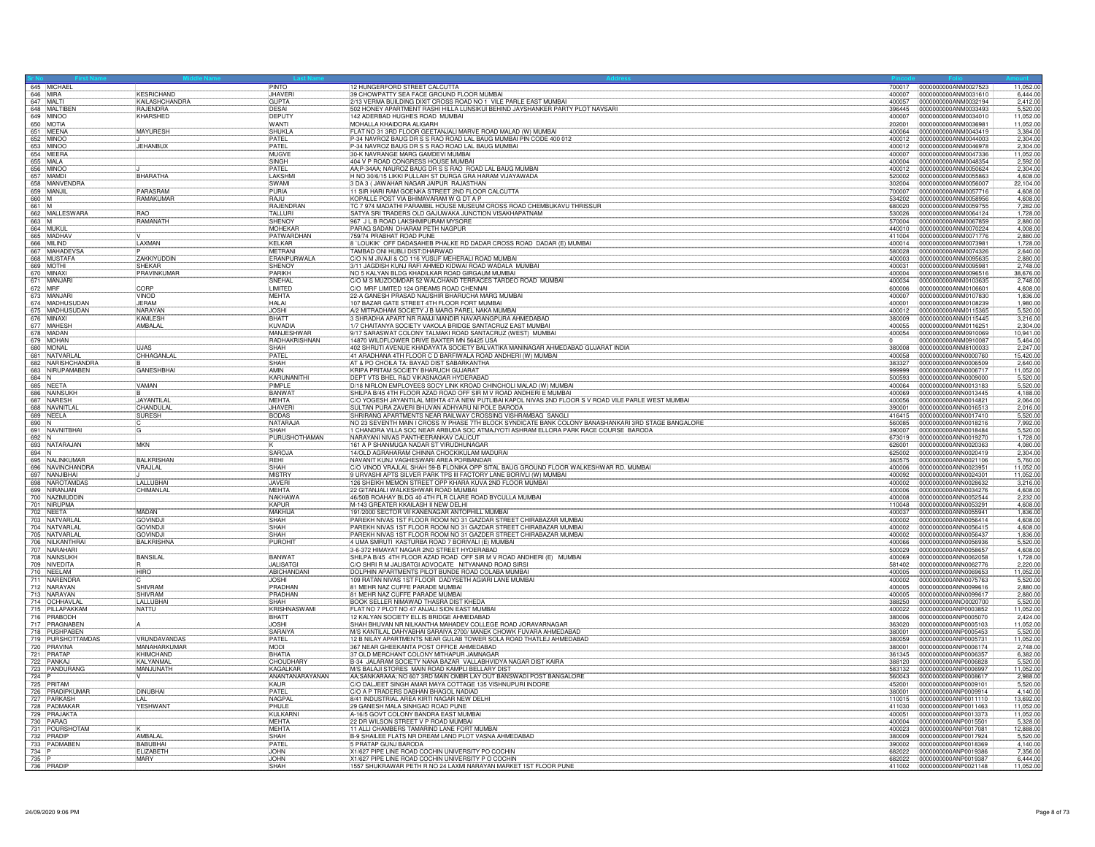| 646 MIRA            | 645 MICHAEL                        | <b>KESRICHAND</b>              | PINTO<br><b>JHAVER</b>        | 12 HUNGERFORD STREET CALCUTTA<br>39 CHOWPATTY SEA FACE GROUND FLOOR MUMBAI                                                                              | 700017<br>400007 | 0000000000ANM0027523<br>0000000000ANM0031610 | 11,052.0<br>6.444.0   |
|---------------------|------------------------------------|--------------------------------|-------------------------------|---------------------------------------------------------------------------------------------------------------------------------------------------------|------------------|----------------------------------------------|-----------------------|
| 647 MALTI           |                                    | KAILASHCHANDRA                 | <b>GUPTA</b>                  | 2/13 VERMA BUILDING DIXIT CROSS ROAD NO 1 VILE PARLE EAST MUMBAI                                                                                        | 400057           | 0000000000ANM0032194                         | 2,412.00              |
|                     | 648 MAI TIBEN                      | <b>RAJFNDRA</b>                | <b>DESAI</b>                  | 502 HONEY APARTMENT RASHI HILLA LUNSIKUI BEHIND JAYSHANKER PARTY PLOT NAVSARI                                                                           | 396445           | 0000000000ANM0033493                         | 5,520.0               |
| 649 MINOO           |                                    | KHARSHED                       | <b>DEPUTY</b>                 | 142 ADERBAD HUGHES ROAD MUMBAI                                                                                                                          | 400007           | 0000000000ANM0034010                         | 11,052.0              |
| 650 MOTIA           | 651 MEENA                          | <b>MAYURESH</b>                | <b>WANTI</b><br><b>SHUKLA</b> | MOHALLA KHAIDORA ALIGARH<br>FLAT NO 31 3RD FLOOR GEETANJALI MARVE ROAD MALAD (W) MUMBAI                                                                 | 202001<br>400064 | 0000000000ANM0036981<br>0000000000ANM0043419 | 11,052.0<br>3,384.0   |
| 652 MINOC           |                                    |                                | PATFI                         | P-34 NAVROZ BAUG DR S S RAO ROAD LAL BAUG MUMBAI PIN CODE 400 012                                                                                       | 400012           | 0000000000ANM0044003                         | 2,304.00              |
| 653 MINOO           |                                    | <b>JEHANBUX</b>                | PATFI                         | P-34 NAVROZ BAUG DR S S RAO ROAD LAL BAUG MUMBAI                                                                                                        | 400012           | 0000000000ANM0046978                         | 2,304.00              |
| 654 MEERA           |                                    |                                | <b>MUGVI</b>                  | 30-K NAVRANGE MARG GAMDEVI MUMBAI                                                                                                                       | 400007           | 0000000000ANM0047336                         | 11.052.0              |
| 655 MALA            |                                    |                                | SINGH                         | 404 V P ROAD CONGRESS HOUSE MUMBAI                                                                                                                      | 400004           | 0000000000ANM0048354                         | 2,592.0               |
| 657 MAMDI           | 656 MINOO                          | BHARATHA                       | PATFI<br>LAKSHM               | AA;P-34AA; NAUROZ BAUG DR S S RAO ROAD LAL BAUG MUMBAI<br>H NO 30/6/15 LIKKI PULLAIH ST DURGA GRA HARAM VIJAYAWADA                                      | 400012<br>520002 | 0000000000ANM0050624<br>0000000000ANM0055863 | 2,304.00              |
|                     | 658 MANVENDRA                      |                                | SWAMI                         | 3 DA 3 ( JAWAHAR NAGAR JAIPUR RAJASTHAN                                                                                                                 | 302004           | 0000000000ANM0056007                         | 4,608.0<br>22,104.00  |
| 659 MANJIL          |                                    | PARASRAM                       | PURIA                         | 11 SIR HARI RAM GOENKA STREET 2ND FLOOR CALCUTTA                                                                                                        | 700007           | 0000000000ANM0057716                         | 4,608.0               |
| 660 M               |                                    | RAMAKUMAR                      | <b>RAIU</b>                   | KOPALLE POST VIA BHIMAVARAM W G DT A P                                                                                                                  | 534202           | 0000000000ANM0058956                         | 4,608.00              |
| 661 M               |                                    |                                | RAJENDRAN                     | TC 7 974 MADATHI PARAMBIL HOUSE MUSEUM CROSS ROAD CHEMBUKAVU THRISSUR                                                                                   | 680020           | 0000000000ANM0059755                         | 7,282.0               |
| 663 M               | 662 MALLESWARA                     | <b>RAO</b><br>RAMANATH         | TALLURI<br>SHENOY             | SATYA SRI TRADERS OLD GAJUWAKA JUNCTION VISAKHAPATNAM<br>967 J L B ROAD LAKSHMIPURAM MYSORE                                                             | 530026<br>570004 | 0000000000ANM0064124<br>0000000000ANM0067859 | 1,728.0<br>2,880.0    |
| 664 MUKUI           |                                    |                                | MOHEKAF                       | PARAG SADAN DHARAM PETH NAGPUR                                                                                                                          | 440010           | 0000000000ANM0070224                         | 4,008.0               |
|                     | 665 MADHAV                         |                                | PATWARDHAN                    | 759/74 PRABHAT ROAD PUNE                                                                                                                                | 411004           | 0000000000ANM0071776                         | 2.880.0               |
| 666 MILIND          |                                    | LAXMAN                         | <b>KELKAR</b>                 | 8 LOUKIK' OFF DADASAHEB PHALKE RD DADAR CROSS ROAD DADAR (E) MUMBAI                                                                                     | 400014           | 0000000000ANM0073981                         | 1.728.0               |
|                     | 667 MAHADEVS/                      |                                | MFTRANI                       | TAMBAD ONI HUBLI DIST:DHARWAD                                                                                                                           | 580028           | 0000000000ANM0074326                         | 2,640.0               |
| 669 MOTH            | 668 MUSTAFA                        | ZAKKIYUDDIN<br>SHEKAR          | ERANPURWALA<br><b>SHENO</b>   | C/O N M JIVAJI & CO 116 YUSUF MEHERALI ROAD MUMBAI<br>3/11 JAGDISH KUNJ RAFI AHMED KIDWAI ROAD WADALA MUMBAI                                            | 400003<br>400031 | 0000000000ANM0095635<br>0000000000ANM0095981 | 2,880.0<br>2,748.00   |
| 670 MINAXI          |                                    | PRAVINKUMAR                    | PARIKH                        | NO 5 KALYAN BLDG KHADILKAR ROAD GIRGAUM MUMBAI                                                                                                          | 400004           | 0000000000ANM0096516                         | 38,676.00             |
|                     | 671 MANJAR                         |                                | SNFHAI                        | C/O M S MUZOOMDAR 52 WALCHAND TERRACES TARDEO ROAD MUMBAI                                                                                               | 400034           | 10000000000ANM0103635                        | 2.748.0               |
| 672 MRF             |                                    | CORE                           | LIMITED                       | C/O MRF LIMITED 124 GREAMS ROAD CHENNAI                                                                                                                 | 600006           | 0000000000ANM0106601                         | 4,608.00              |
|                     | 673 MANJAR                         | <b>VINOD</b>                   | MEHTA                         | 22-A GANESH PRASAD NAUSHIR BHARUCHA MARG MUMBAI                                                                                                         | 400007           | 0000000000ANM0107830                         | 1,836.0               |
|                     | 674 MADHUSUDAN<br>675 MADHUSUDAN   | <b>JERAM</b><br>NARAYAN        | <b>HALAI</b><br><b>JOSHI</b>  | 107 BAZAR GATE STREET 4TH FLOOR FORT MUMBAI<br>A/2 MITRADHAM SOCIETY J B MARG PAREL NAKA MUMBAI                                                         | 400001<br>400012 | 0000000000ANM0108239<br>0000000000ANM0115365 | 1.980.0<br>5.520.0    |
| 676 MINAXI          |                                    | <b>KAMI FSH</b>                | <b>BHATT</b>                  | 3 SHRADHA APART NR RAMJI MANDIR NAVARANGPURA AHMEDABAD                                                                                                  | 380009           | 0000000000ANM0115445                         | 3.216.00              |
|                     | 677 MAHESH                         | AMBALAL                        | KUVADIA                       | 1/7 CHAITANYA SOCIETY VAKOLA BRIDGE SANTACRUZ EAST MUMBAI                                                                                               | 400055           | 0000000000ANM0116251                         | 2,304.0               |
|                     | 678 MADAN                          |                                | MANJESHWAR                    | 9/17 SARASWAT COLONY TALMAKI ROAD SANTACRUZ (WEST) MUMBAI                                                                                               | 400054           | 0000000000ANM0910069                         | 10,941.00             |
|                     | 679 MOHAN                          |                                | RADHAKRISHNAN                 | 4870 WILDFLOWER DRIVE BAXTER MN 56425 USA                                                                                                               |                  | 0000000000ANM0910087                         | 5,464.00              |
| 680 MONAL           |                                    | LIAS<br>CHHAGANLA              | SHAH<br>PATFI                 | 402 SHRUTI AVENUE KHADAYATA SOCIETY BALVATIKA MANINAGAR AHMEDABAD GUJARAT INDIA                                                                         | 380008<br>400058 | 0000000000ANM8100033                         | 2.247.0               |
|                     | 681 NATVARLAL<br>682 NARISHCHANDRA |                                | <b>SHAH</b>                   | 41 ARADHANA 4TH FLOOR C D BARFIWALA ROAD ANDHERI (W) MUMBAI<br>AT & PO CHOILA TA: BAYAD DIST SABARKANTHA                                                | 383327           | 0000000000ANN0000760<br>0000000000ANN0006509 | 15,420.00<br>2,640.0  |
|                     | 683 NIRUPAMABEN                    | <b>GANESHBHAI</b>              | AMIN                          | KRIPA PRITAM SOCIETY BHARUCH GUJARAT                                                                                                                    | 999999           | 0000000000ANN0006717                         | 11,052.0              |
| $684$ N             |                                    |                                | KARUNANITHI                   | DEPT VTS BHEL R&D VIKASNAGAR HYDERABAD                                                                                                                  | 500593           | 0000000000ANN0009000                         | 5,520.00              |
| 685 NEETA           |                                    | VAMAN                          | <b>PIMPI F</b>                | D/18 NIRLON EMPLOYEES SOCY LINK KROAD CHINCHOLI MALAD (W) MUMBAI                                                                                        | 400064           | 0000000000ANN0013183                         | 5.520.0               |
|                     | 686 NAINSUKH                       |                                | BANWAT                        | SHILPA B/45 4TH FLOOR AZAD ROAD OFF SIR M V ROAD ANDHERI E MUMBAI                                                                                       | 400069           | 0000000000ANN0013445                         | 4,188.0               |
|                     | 687 NARESH<br>688 NAVNITLA         | <b>JAYANTILAI</b><br>CHANDULAL | <b>MEHTA</b><br><b>JHAVER</b> | C/O YOGESH JAYANTILAL MEHTA 47/A NEW PUTLIBAI KAPOL NIVAS 2ND FLOOR S V ROAD VILE PARLE WEST MUMBAI<br>SULTAN PURA ZAVERI BHUVAN ADHYARU NI POLE BARODA | 400056<br>390001 | 0000000000ANN0014821<br>0000000000ANN0016513 | 2,064.0<br>2,016.00   |
| 689 NEELA           |                                    | <b>SURESH</b>                  | <b>BODAS</b>                  | SHRIRANG APARTMENTS NEAR RAILWAY CROSSING VISHRAMBAG SANGLI                                                                                             | 416415           | 0000000000ANN0017410                         | 5,520.00              |
| 690 N               |                                    |                                | NATARAJA                      | NO 23 SEVENTH MAIN I CROSS IV PHASE 7TH BLOCK SYNDICATE BANK COLONY BANASHANKARI 3RD STAGE BANGALORE                                                    | 560085           | 0000000000ANN0018216                         | 7.992.0               |
|                     | 691 NAVNITBHAI                     | G                              | <b>SHAH</b>                   | 1 CHANDRA VILLA SOC NEAR ARBUDA SOC ATMAJYOTI ASHRAM ELLORA PARK RACE COURSE BARODA                                                                     | 390007           | 0000000000ANN0018484                         | 5,520.00              |
| 692 N               |                                    | <b>MKN</b>                     | PURUSHOTHAMAN                 | NARAYANI NIVAS PANTHEERANKAV CALICUT                                                                                                                    | 673019           | 0000000000ANN0019270                         | 1,728.0               |
| 694 N               | 693 NATARAJAN                      |                                | SAROJA                        | 161 A P SHANMUGA NADAR ST VIRUDHUNAGAF<br>14/OLD AGRAHARAM CHINNA CHOCKIKULAM MADURAI                                                                   | 626001<br>625002 | 0000000000ANN0020363<br>0000000000ANN0020419 | 4,080.00<br>2,304.00  |
|                     | 695 NALINKUMAR                     | <b>BALKRISHAN</b>              | <b>RFHI</b>                   | NAVANIT KUNJ VAGHESWARI AREA PORBANDAR                                                                                                                  | 360575           | 0000000000ANN0021106                         | 5,760.0               |
|                     | 696 NAVINCHANDRA                   | VRAJLAL                        | <b>SHAH</b>                   | C/O VINOD VRAJLAL SHAH 59-B FLONIKA OPP SITAL BAUG GROUND FLOOR WALKESHWAR RD. MUMBAI                                                                   | 400006           | 0000000000ANN0023951                         | 11.052.0              |
|                     | 697 NANJIBHAI                      |                                | <b>MISTRY</b>                 | 9 URVASHI APTS SILVER PARK TPS III FACTORY LANE BORIVLI (W) MUMBAI                                                                                      | 400092           | 0000000000ANN0024301                         | 11,052.00             |
|                     | 698 NAROTAMDAS<br>699 NIRANJAN     | LALLUBHA<br>CHIMANLAL          | JAVERI<br><b>MEHTA</b>        | 126 SHEIKH MEMON STREET OPP KHARA KUVA 2ND FLOOR MUMBAI<br>22 GITANJALI WALKESHWAR ROAD MUMBA                                                           | 400002           | 0000000000ANN0028632<br>0000000000ANN0034276 | 3,216.00<br>4.608.00  |
|                     | 700 NAZIMUDDIN                     |                                | NAKHAW/                       | 46/50B ROAHAY BLDG 40 4TH FLR CLARE ROAD BYCULLA MUMBAI                                                                                                 | 400006<br>400008 | 0000000000ANN0052544                         | 2,232.0               |
|                     | 701 NIRUPMA                        |                                | KAPUR                         | M-143 GREATER KKAILASH II NEW DELHI                                                                                                                     | 110048           | 0000000000ANN0053291                         | 4,608.0               |
|                     | 702 NEETA                          | MADAN                          | <b>MAKHIJA</b>                | 191/2000 SECTOR VII KANENAGAR ANTOPHILL MUMBAI                                                                                                          | 400037           | 0000000000ANN0055941                         | 1,836.00              |
|                     | 703 NATVARLA                       | <b>GOVINDJ</b>                 | SHAH                          | PAREKH NIVAS 1ST FLOOR ROOM NO 31 GAZDAR STREET CHIRABAZAR MUMBAI                                                                                       | 400002           | 0000000000ANN0056414                         | 4.608.0               |
|                     | 704 NATVARI AI                     | GOVIND.II<br><b>GOVINDJ</b>    | SHAH<br>SHAH                  | PAREKH NIVAS 1ST FLOOR ROOM NO 31 GAZDAR STREET CHIRABAZAR MUMBAI                                                                                       | 400002           | 0000000000ANN0056415<br>0000000000ANN0056437 | 4.608.00              |
|                     | 705 NATVARLAL<br>706 NILKANTHRAI   | <b>BALKRISHNA</b>              | PUROHIT                       | PAREKH NIVAS 1ST FLOOR ROOM NO 31 GAZDER STREET CHIRABAZAR MUMBAI<br>4 UMA SMRUTI KASTURBA ROAD 7 BORIVALI (E) MUMBAI                                   | 400002<br>400066 | 0000000000ANN0056936                         | 1,836.0<br>5,520.0    |
|                     | 707 NARAHARI                       |                                |                               | 3-6-372 HIMAYAT NAGAR 2ND STREET HYDERABAD                                                                                                              | 500029           | 0000000000ANN0058657                         | 4,608.00              |
|                     | 708 NAINSUKH                       | <b>BANSILAL</b>                | BANWAT                        | SHILPA B/45 4TH FLOOR AZAD ROAD OFF SIR M V ROAD ANDHERI (E) MUMBAI                                                                                     | 400069           | 0000000000ANN0062058                         | 1,728.00              |
|                     | 709 NIVEDITA                       |                                | <b>JALISATGI</b>              | C/O SHRI R M JALISATGI ADVOCATE NITYANAND ROAD SIRSI                                                                                                    | 581402           | 0000000000ANN0062776                         | 2,220.00              |
|                     | 710 NEELAM<br>711 NARENDRA         | <b>HIRO</b>                    | ABICHANDAN<br><b>JOSHI</b>    | DOLPHIN APARTMENTS PILOT BUNDE ROAD COLABA MUMBAI<br>109 RATAN NIVAS 1ST FLOOR DADYSETH AGIARI LANE MUMBAI                                              | 400005<br>400002 | 0000000000ANN0069653<br>0000000000ANN0075763 | 11,052.0<br>5,520.00  |
|                     | 712 NARAYAN                        | <b>SHIVRAM</b>                 | PRADHAN                       | 81 MEHR NAZ CUFFE PARADE MUMBAI                                                                                                                         | 400005           | 0000000000ANN0099616                         | 2,880.00              |
|                     | 713 NARAYAN                        | SHIVRAM                        | PRADHAN                       | 81 MEHR NAZ CUFFF PARADE MUMBA                                                                                                                          | 400005           | 0000000000ANN0099617                         | 2.880.0               |
|                     | 714 OCHHAVLAI                      | LALLUBHA                       | <b>SHAH</b>                   | BOOK SELLER NIMAWAD THASRA DIST KHEDA                                                                                                                   | 388250           | 0000000000ANO0020700                         | 5,520.0               |
|                     | 715 PILLAPAKKAM                    | NATTU                          | <b>KRISHNASWAMI</b>           | FLAT NO 7 PLOT NO 47 ANJALI SION EAST MUMBAI                                                                                                            | 400022           | 0000000000ANP0003852                         | 11,052.0              |
|                     | 716 PRABODH<br>717 PRAGNAREN       |                                | BHATT<br><b>JOSHI</b>         | 12 KALYAN SOCIETY ELLIS BRIDGE AHMEDABAD<br>SHAH BHUVAN NR NILKANTHA MAHADEV COLLEGE ROAD JORAVARNAGAR                                                  | 380006<br>363020 | 0000000000ANP0005070<br>0000000000ANP0005103 | 2,424.0<br>11,052.00  |
|                     | 718 PUSHPAREN                      |                                | SARAIYA                       | M/S KANTILAL DAHYABHAI SARAIYA 2700/ MANEK CHOWK FUVARA AHMEDABAD                                                                                       | 380001           | 0000000000ANP0005453                         | 5.520.0               |
|                     | 719 PURSHOTTAMDAS                  | VRUNDAVANDAS                   | PATFL                         | 12 B NILAY APARTMENTS NEAR GULAB TOWER SOLA ROAD THATLEJ AHMEDABAD                                                                                      | 380059           | 0000000000ANP0005731                         | 11,052.0              |
|                     | 720 PRAVINA                        | MANAHARKUMAR                   | <b>MODI</b>                   | 367 NEAR GHEEKANTA POST OFFICE AHMEDABAD                                                                                                                | 380001           | 0000000000ANP0006174                         | 2,748.0               |
|                     | 721 PRATAP                         | KHIMCHAND                      | BHATIA                        | 37 OLD MERCHANT COLONY MITHAPUR JAMNAGAR                                                                                                                | 361345           | 0000000000ANP0006357                         | 6,382.0               |
|                     | 722 PANKAJ<br>723 PANDURANG        | KAI YANMA<br>MANJUNATH         | CHOUDHARY<br>KAGALKAR         | B-34 JALARAM SOCIETY NANA BAZAR VALLABHVIDYA NAGAR DIST KAIRA<br>M/S BALAJI STORES MAIN ROAD KAMPLI BELLARY DIST                                        | 388120<br>583132 | 0000000000ANP0006828<br>0000000000ANP0006997 | 5.520.0<br>11,052.0   |
| 724 P               |                                    | v                              | ANANTANARAYANAN               | AA;SANKARAAA; NO 607 3RD MAIN OMBR LAY OUT BANSWADI POST BANGALORE                                                                                      | 560043           | 0000000000ANP0008617                         | 2.988.0               |
|                     | 725 PRITAM                         |                                | KAUR                          | C/O DALJEET SINGH AMAR MAYA COTTAGE 135 VISHNUPURI INDORE                                                                                               | 452001           | 0000000000ANP0009101                         | 5,520.00              |
|                     | 726 PRADIPKUMAP                    | <b>DINUBHAI</b>                | PATFI                         | C/O A P TRADERS DABHAN BHAGOL NADIAD                                                                                                                    | 380001           | 0000000000ANP0009914                         | 4,140.00              |
|                     | 727 PARKASH                        | LAL                            | <b>NAGPAL</b>                 | 8/41 INDUSTRIAL AREA KIRTI NAGAR NEW DELHI                                                                                                              | 110015           | 0000000000ANP0011110                         | 13,692.0              |
|                     | 728 PADMAKAR<br>729 PRAJAKTA       | <b>YFSHWANT</b>                | PHULF<br>KULKARN              | 29 GANESH MALA SINHGAD ROAD PUNE<br>A-16/5 GOVT COLONY BANDRA EAST MUMBAI                                                                               | 411030<br>400051 | 0000000000ANP0011463<br>0000000000ANP0013373 | 11.052.0<br>11,052.00 |
|                     | 730 PARAG                          |                                | <b>MEHTA</b>                  | 22 DR WILSON STREET V P ROAD MUMBAI                                                                                                                     | 400004           | 0000000000ANP0015501                         | 5,328.00              |
|                     | 731 POURSHOTAM                     |                                | MEHTA                         | 11 ALLI CHAMBERS TAMARIND LANE FORT MUMBAI                                                                                                              | 400023           | 0000000000ANP0017081                         | 12,888.00             |
|                     | 732 PRADIP                         | AMRAI A                        | SHAH                          | B-9 SHAILEE FLATS NR DREAM LAND PLOT VASNA AHMEDABAD                                                                                                    | 380009           | 0000000000ANP0017924                         | 5,520.0               |
|                     | 733 PADMABEN                       | <b>BABUBHA</b>                 | PATFI                         | 5 PRATAP GUNJ BARODA                                                                                                                                    | 390002           | 0000000000ANP0018369                         | 4.140.0               |
| 734 P               |                                    | ELIZABETH                      | <b>JOHN</b>                   | X1/627 PIPE LINE ROAD COCHIN UNIVERSITY PO COCHIN                                                                                                       | 682022           | 0000000000ANP0019386                         | 7,356.0               |
| 735 P<br>736 PRADIE |                                    | MARY                           | <b>JOHN</b><br>SHAH           | X1/627 PIPE LINE ROAD COCHIN UNIVERSITY P O COCHIN<br>1557 SHUKRAWAR PETH R NO 24 LAXMI NARAYAN MARKET 1ST FLOOR PUNE                                   | 682022<br>411002 | 0000000000ANP0019387<br>0000000000ANP0021148 | 6.444.0<br>11,052.00  |
|                     |                                    |                                |                               |                                                                                                                                                         |                  |                                              |                       |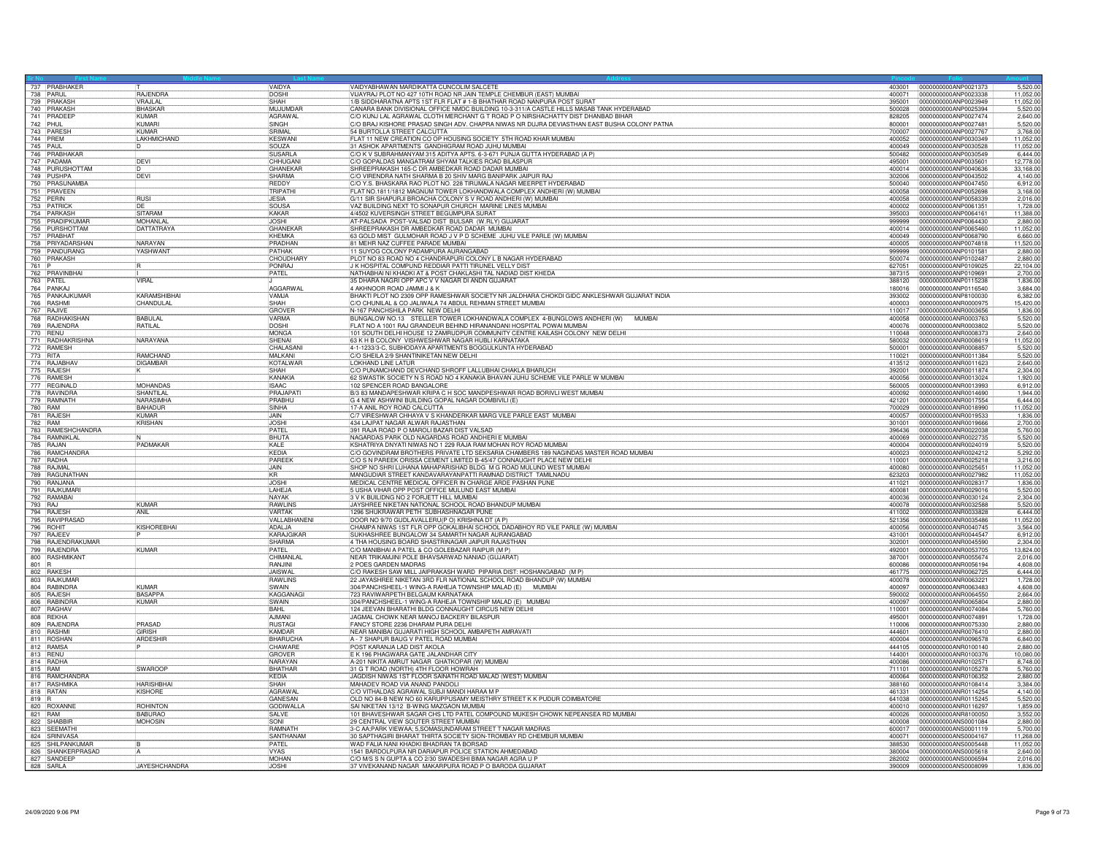|         | 737 PRABHAKER<br>738 PARUL                       |                                | VAIDYA                    | VAIDYABHAWAN MARDIKATTA CUNCOLIM SALCETE                                                        |                  | 5,520.00<br>403001 0000000000ANP0021373                              |
|---------|--------------------------------------------------|--------------------------------|---------------------------|-------------------------------------------------------------------------------------------------|------------------|----------------------------------------------------------------------|
|         |                                                  | <b>RAJENDRA</b>                | <b>DOSHI</b>              | VIJAYRAJ PLOT NO 427 10TH ROAD NR JAIN TEMPLE CHEMBUR (EAST) MUMBAI                             | 400071           | 0000000000ANP0023338<br>11,052.00                                    |
|         | 739 PRAKASH                                      | VRAJLAL                        | SHAH                      | 1/B SIDDHARATNA APTS 1ST FLR FLAT # 1-B BHATHAR ROAD NANPURA POST SURAT                         | 395001           | 0000000000ANP0023949<br>11.052.00                                    |
|         | 740 PRAKASH                                      | <b>BHASKAR</b>                 | MUJUMDAR                  | CANARA BANK DIVISIONAL OFFICE NMDC BUILDING 10-3-311/A CASTLE HILLS MASAB TANK HYDERABAD        | 500028           | 0000000000ANP0025394<br>5,520.00                                     |
|         | 741 PRADEEP                                      | KUMAR                          | AGRAWAL                   | IC/O KUNJ LAL AGRAWAL CLOTH MERCHANT G T ROAD P O NIRSHACHATTY DIST DHANBAD BIHAR               | 828205           | 2,640.00<br>0000000000ANP0027474                                     |
|         | 742 PHUL                                         | KUMARI                         | SINGH                     | C/O BRAJ KISHORE PRASAD SINGH ADV. CHAPRA NIWAS NR DUJRA DEVIASTHAN EAST BUSHA COLONY PATNA     | 800001           | 0000000000ANP0027481<br>5,520.00                                     |
|         | 743 PARESH                                       | KÜMAR                          | SRIMAL                    | 54 BURTOLLA STREET CALCUTTA                                                                     | 700007           | 0000000000ANP0027767<br>3,768.00                                     |
|         | 744 PREM                                         | <b>I AKHMICHAND</b>            | KESWAN                    | FLAT 11 NEW CREATION CO OP HOUSING SOCIETY 5TH ROAD KHAR MUMBAI                                 | 400052           | 0000000000ANP0030349<br>11.052.00                                    |
|         | 745 PAUL                                         |                                | <b>ISOUZA</b>             | 31 ASHOK APARTMENTS GANDHIGRAM ROAD JUHU MUMBAL                                                 | 400049           | 0000000000ANP0030528<br>11.052.0                                     |
|         | 746 PRABHAKAR                                    |                                | <b>SUSARLA</b>            | C/O K V SUBRAHMANYAM 315 ADITYA APTS. 6-3-671 PUNJA GUTTA HYDERABAD (A P)                       | 500482           | 0000000000ANP0030549<br>6.444.0                                      |
|         | 747 PADAMA                                       | DEVI                           | CHHUGANI                  | C/O GOPALDAS MANGATRAM SHYAM TALKIES ROAD BILASPUR                                              | 495001           | 12,778.00<br>0000000000ANP0035601                                    |
|         | 748 PURUSHOTTAM                                  | ΙD                             | GHANFKAF                  | SHREEPRAKASH 165-C DR AMBEDKAR ROAD DADAR MUMBAI                                                | 400014           | 0000000000ANP0040636<br>33,168.00                                    |
|         | 749 PUSHPA<br>750 PRASUNAMBA<br>751 PRAVEEN      | DEVI                           | <b>SHARMA</b>             | C/O VIRENDRA NATH SHARMA B 20 SHIV MARG BANIPARK JAIPUR RAJ                                     | 302006           | 0000000000ANP0043502<br>4.140.00                                     |
|         |                                                  |                                | <b>REDDY</b>              | C/O Y.S. BHASKARA RAO PLOT NO. 228 TIRUMALA NAGAR MEERPET HYDERABAD                             | 500040           | 0000000000ANP0047450<br>6,912.00                                     |
|         |                                                  |                                | TRIPATHI                  | FLAT NO.1811/1812 MAGNUM TOWER LOKHANDWALA COMPLEX ANDHERI (W) MUMBAI                           | 400058           | 0000000000ANP0052698<br>3,168.00                                     |
|         |                                                  | <b>RUSI</b>                    | <b>JESIA</b>              | G/11 SIR SHAPURJI BROACHA COLONY S V ROAD ANDHERI (W) MUMBAI                                    | 400058           | 0000000000ANP0058339<br>2,016.00                                     |
|         | 752 PERIN<br>753 PATRICH                         | DE                             | SOUSA                     | VAZ BUILDING NEXT TO SONAPUR CHURCH MARINE LINES MUMBAI                                         | 400002           | 0000000000ANP0061351<br>1.728.00                                     |
|         | 754 PARKASH<br>755 PRADIPKUMAR<br>756 PURSHOTTAM | SITARAM                        | KAKAR                     | 4/4502 KUVERSINGH STREET BEGUMPURA SURAT                                                        | 395003           | 0000000000ANP0064161<br>11,388.00                                    |
|         |                                                  | MOHANLAI                       | <b>JOSHI</b>              | AT-PALSADA POST-VALSAD DIST BULSAR (W.RLY) GUJARAT                                              | 999999           | 0000000000ANP0064430<br>2,880.00                                     |
|         |                                                  | <b>DATTATRAYA</b>              | GHANEKAR                  | SHREEPRAKASH DR AMBEDKAR ROAD DADAR MUMBAI                                                      | 400014           | 11,052.00<br>0000000000ANP0065460                                    |
|         | 757 PRABHAT                                      |                                | KHEMKA                    | 63 GOLD MIST GULMOHAR ROAD J V P D SCHEME JUHU VILE PARLE (W) MUMBAI                            | 400049           | 0000000000ANP0068790<br>6.660.0                                      |
|         | 758 PRIYADARSHAN                                 | NARAYAN                        | PRADHAN                   | 81 MEHR NAZ CUFFEE PARADE MUMBAI                                                                | 400005           | 0000000000ANP0074818<br>11.520.00                                    |
|         | 759 PANDURANG                                    | YASHWANT                       | PATHAK                    | 11 SUYOG COLONY PADAMPURA AURANGABAD                                                            | 999999           | 0000000000ANP0101581<br>2,880.00                                     |
|         | 760 PRAKASH                                      |                                | CHOUDHARY                 | PLOT NO 83 ROAD NO 4 CHANDRAPURI COLONY L B NAGAR HYDERABAD                                     | 500074           | 0000000000ANP0102487<br>2,880.00                                     |
| 761 P   |                                                  |                                | PONRAJ                    | J K HOSPITAL COMPUND REDDIAR PATTI TIRUNEL VELLY DIST                                           | 627051           | 0000000000ANP0109025<br>22,104.00                                    |
|         | 762 PRAVINBHAI                                   |                                | PATEL                     | NATHABHAI NI KHADKI AT & POST CHAKLASHI TAL NADIAD DIST KHEDA                                   | 387315           | 0000000000ANP0109691<br>2,700.00                                     |
|         |                                                  | VIRAL                          | LL.                       | 35 DHARA NAGRI OPP APC V V NAGAR DI ANDN GUJARAT                                                | 388120           | 0000000000ANP0115238<br>1,836.00                                     |
|         | 764 PANKAJ                                       |                                | <b>AGGARWA</b>            | 4 AKHNOOR ROAD JAMMI J & K                                                                      | 180016           | 0000000000ANP0116540<br>3,684.00                                     |
|         | 765 PANKAJKUMAR                                  | KARAMSHIBHAI                   | VAMJA                     | BHAKTI PLOT NO 2309 OPP RAMESHWAR SOCIETY NR JALDHARA CHOKDI GIDC ANKLESHWAR GUJARAT INDIA      | 393002           | 0000000000ANP8100030<br>6,382.00                                     |
|         | 766 RASHMI                                       | CHANDULAL                      | SHAH                      | C/O CHUNILAL & CO JALIWALA 74 ABDUL REHMAN STREET MUMBAI                                        | 400003           | 0000000000ANR0000975<br>15,420.00                                    |
|         |                                                  |                                | GROVER                    | N-167 PANCHSHILA PARK NEW DELHI                                                                 | 110017           | 0000000000ANR0003656<br>1,836.0                                      |
|         | 767 RAJIVE<br>768 RADHAKISHAN                    | <b>BABULAL</b>                 | <b>VARMA</b>              | BUNGALOW NO.13 STELLER TOWER LOKHANDWALA COMPLEX 4-BUNGLOWS ANDHERI (W) MUMBAI                  | 400058           | 0000000000ANR0003763<br>5,520.00                                     |
|         | 769 RAJENDRA                                     | RATILAL                        | DOSHI                     | FLAT NO A 1001 RAJ GRANDEUR BEHIND HIRANANDANI HOSPITAL POWAI MUMBA                             | 400076           | 0000000000ANR0003802<br>5,520.00                                     |
|         | 770 RENU                                         |                                | MONGA                     | 101 SOUTH DELHI HOUSE 12 ZAMRUDPUR COMMUNITY CENTRE KAILASH COLONY NEW DELHI                    | 110048           | 0000000000ANR0008373<br>2,640.00                                     |
|         | 771 RADHAKRISHNA                                 | NARAYANA                       | <b>SHENA</b>              | 63 K H B COLONY VISHWESHWAR NAGAR HUBLI KARNATAKA                                               | 580032           | 0000000000ANR0008619<br>11.052.00                                    |
|         | 772 RAMESH                                       |                                | CHALASANI                 | 4-1-1233/3-C, SUBHODAYA APARTMENTS BOGGULKUNTA HYDERABAD                                        | 500001           | 0000000000ANR0008857<br>5,520.00                                     |
|         | 773 RITA                                         | RAMCHAND                       | MALKANI                   | C/O SHEILA 2/9 SHANTINIKETAN NEW DELHI                                                          | 110021           | 0000000000ANR0011384<br>5,520.00                                     |
|         | 774 RAJABHAV                                     | <b>DIGAMBAR</b>                | KOTALWAR                  | LOKHAND LINE LATUR                                                                              | 413512           | 0000000000ANR0011623<br>2,640.00                                     |
|         | 775 RAJESH                                       |                                | SHAH                      | C/O PUNAMCHAND DEVCHAND SHROFF LALLUBHAI CHAKLA BHARUCH                                         | 392001           | 0000000000ANR0011874<br>2,304.00                                     |
|         | 776 RAMESH                                       |                                | <b>KANAKIA</b><br>ISAAC   | 62 SWASTIK SOCIETY N S ROAD NO 4 KANAKIA BHAVAN JUHU SCHEME VILE PARLE W MUMBAI                 |                  | 1,920.00                                                             |
|         | 777 REGINALD<br>778 RAVINDRA                     | <b>MOHANDAS</b>                |                           | 102 SPENCER ROAD BANGALORE                                                                      | 560005           | 0000000000ANR0013993<br>6,912.0                                      |
|         |                                                  | SHANTILAL<br>NARASIMHA         | PRAJAPAT                  | B/3 83 MANDAPESHWAR KRIPA C H SOC MANDPESHWAR ROAD BORIVLI WEST MUMBAI                          | 400092           | 0000000000ANR0014690<br>1.944.00<br>0000000000ANR0017554<br>6.444.00 |
|         | 779 RAMNATH<br>780 RAM<br>781 RAJESH             | <b>BAHADUR</b>                 | PRABHU<br><b>SINHA</b>    | G 4 NEW ASHWINI BUILDING GOPAL NAGAR DOMBIVILI (E)<br>17-A ANIL ROY ROAD CALCUTTA               | 421201<br>700029 | 0000000000ANR0018990<br>11.052.00                                    |
|         |                                                  | <b>KUMAR</b>                   | <b>JAIN</b>               | C/7 VIRESHWAR CHHAYA V S KHANDERKAR MARG VILE PARLE EAST MUMBAI                                 | 400057           | 0000000000ANR0019533<br>1.836.00                                     |
|         | 782 RAM                                          | <b>KRISHAN</b>                 | <b>JOSHI</b>              | 434 LAJPAT NAGAR ALWAR RAJASTHAN                                                                | 301001           | 0000000000ANR0019666<br>2,700.00                                     |
|         | 783 RAMESHCHANDRA                                |                                | PATEL                     | 391 RAJA ROAD P O MAROLI BAZAR DIST VALSAD                                                      | 396436           | 5,760.00<br>0000000000ANR0022038                                     |
|         | 784 RAMNIKLAL                                    |                                | BHUTA                     | NAGARDAS PARK OLD NAGARDAS ROAD ANDHERI E MUMBAI                                                | 400069           | 0000000000ANR0022735<br>5,520.00                                     |
|         | 785 RAJAN                                        | PADMAKAR                       | KAI F                     | KSHATRIYA DNYATI NIWAS NO 1 229 RAJA RAM MOHAN ROY ROAD MUMBAI                                  | 400004           | 0000000000ANR0024019<br>5.520.00                                     |
|         | 786 RAMCHANDRA                                   |                                | KEDIA                     | C/O GOVINDRAM BROTHERS PRIVATE LTD SEKSARIA CHAMBERS 189 NAGINDAS MASTER ROAD MUMBAI            | 400023           | 0000000000ANR0024212<br>5,292.00                                     |
|         | 787 RADHA                                        |                                | PAREEK                    | C/O S N PAREEK ORISSA CEMENT LIMITED B-45/47 CONNAUGHT PLACE NEW DELHI                          | 110001           | 0000000000ANR0025218<br>3,216.00                                     |
|         | 788 RAJMAL                                       |                                | <b>JAIN</b>               | SHOP NO SHRI LUHANA MAHAPARISHAD BLDG M G ROAD MULUND WEST MUMBAI                               | 400080           | 0000000000ANR0025651<br>11,052.00                                    |
|         | 789 RAGUNATHAN                                   |                                | KR                        | MANGUDIAR STREET KANDAVARAYANPATTI RAMNAD DISTRICT TAMILNADU                                    | 623203           | 0000000000ANR0027982<br>11,052.00                                    |
|         | 790 RANJANA                                      |                                | <b>JOSH</b>               | MEDICAL CENTRE MEDICAL OFFICER IN CHARGE ARDE PASHAN PUNE                                       | 411021           | 0000000000ANR0028317<br>1,836.00                                     |
|         | 791 RAJKUMAR                                     |                                | LAHEJA                    | 5 USHA VIHAR OPP POST OFFICE MULUND EAST MUMBAI                                                 | 400081           | 5,520.00<br>0000000000ANR0029016                                     |
|         | 792 RAMABAL                                      |                                | <b>NAYAK</b>              | 3 V K BUILIDNG NO 2 FORJETT HILL MUMBAI                                                         | 400036           | 0000000000ANR0030124<br>2,304.00                                     |
|         |                                                  | <b>KUMAR</b>                   | <b>RAWLINS</b>            | JAYSHREE NIKETAN NATIONAL SCHOOL ROAD BHANDUP MUMBAI                                            | 400078           | 5,520.00<br>0000000000ANR0032588                                     |
|         | 794 RAJESH                                       | ANIL                           | VARTAK                    | 1296 SHUKRAWAR PETH SUBHASHNAGAR PUNE                                                           | 411002           | 0000000000ANR0033828<br>6,444.00                                     |
|         | 795 RAVIPRASAD                                   |                                | VALLABHANEN               | DOOR NO 9/70 GUDLAVALLERU(P O) KRISHNA DT (A P)                                                 | 521356           | 0000000000ANR0035486<br>11.052.0                                     |
|         | 796 ROHIT                                        | KISHOREBHAI                    | ADALJA                    | CHAMPA NIWAS 1ST FLR OPP GOKALIBHAI SCHOOL DADABHOY RD VILE PARLE (W) MUMBAI                    | 400056           | 0000000000ANR0040745<br>3,564.00                                     |
|         | 797 RAJEEY                                       |                                | KARAJGIKAF                | SUKHASHREE BUNGALOW 34 SAMARTH NAGAR AURANGABAD                                                 | 431001           | 0000000000ANR0044547<br>6,912.00                                     |
|         | 798 RAJENDRAKUMAR                                |                                | <b>SHARMA</b>             | 4 THA HOUSING BOARD SHASTRINAGAR JAIPUR RAJASTHAN                                               | 302001           | 0000000000ANR0045590<br>2,304.00                                     |
|         | 799 RAJENDRA                                     | KUMAR                          | PATEL                     | C/O MANIBHAI A PATEL & CO GOLEBAZAR RAIPUR (M P)                                                | 492001           | 13,824.00<br>0000000000ANR0053705                                    |
|         | 800 RASHMIKANT                                   |                                | CHIMANLAI                 | NEAR TRIKAMJINI POLE BHAVSARWAD NANIAD (GUJARAT)                                                | 387001           | 0000000000ANR0055674<br>2,016.00                                     |
| $801$ R |                                                  |                                | RANJINI                   | 2 POES GARDEN MADRAS                                                                            | 600086           | 0000000000ANR0056194<br>4,608.00                                     |
|         | 802 RAKESH                                       |                                | JAISWAL                   | C/O RAKESH SAW MILL JAIPRAKASH WARD PIPARIA DIST: HOSHANGABAD (M P)                             | 461775           | 0000000000ANR0062725<br>6,444.00                                     |
|         | 803 RAJKUMAR                                     |                                | <b>RAWLINS</b>            | 22 JAYASHREE NIKETAN 3RD FLR NATIONAL SCHOOL ROAD BHANDUP (W) MUMBAI                            | 400078           | 0000000000ANR0063221<br>1,728.00                                     |
|         | 804 RABINDRA                                     | <b>KUMAF</b>                   | SWAIN                     | 304/PANCHSHEEL-1 WING-A RAHEJA TOWNSHIP MALAD (E) MUMBAI                                        | 400097           | 0000000000ANR0063483<br>4,608.00                                     |
|         | 805 RAJESH<br>806 RABINDRA                       | <b>BASAPPA</b><br><b>KUMAR</b> | KAGGANAG<br><b>ISWAIN</b> | 723 RAVIWARPETH BELGAUM KARNATAKA                                                               | 590002           | 0000000000ANR0064550<br>2,664.00<br>0000000000ANB0065804<br>2.880.00 |
|         |                                                  |                                | <b>BAHI</b>               | 304/PANCHSHEEL-1 WING-A RAHEJA TOWNSHIP MALAD (E) MUMBAI                                        | 400097           |                                                                      |
|         | 807 RAGHAV                                       |                                | AJMANI                    | 124 JEEVAN BHARATHI BLDG CONNAUGHT CIRCUS NEW DELHI<br>JAGMAL CHOWK NEAR MANOJ BACKERY BILASPUR | 110001           | 0000000000ANR0074084<br>5,760.00<br>0000000000ANR0074891<br>1,728.00 |
|         | 809 RAJENDRA                                     | PRASAD                         | RUSTAGI                   | FANCY STORE 2236 DHARAM PURA DELHI                                                              | 495001<br>110006 | 0000000000ANR0075330<br>2,880.00                                     |
|         | 810 RASHMI                                       | <b>GIRISH</b>                  | KAMDAR                    | NEAR MANIBAI GUJARATI HIGH SCHOOL AMBAPETH AMRAVATI                                             | 444601           | 0000000000ANR0076410<br>2,880.00                                     |
|         | 811 ROSHAN                                       | ARDESHIP                       | <b>BHARUCHA</b>           | A - 7 SHAPUR BAUG V PATEL ROAD MUMBAI                                                           | 400004           | 10000000000ANR0096578<br>6,840.00                                    |
|         |                                                  |                                | CHAWARE                   | POST KARANJA LAD DIST AKOLA                                                                     | 444105           | 0000000000ANR0100140<br>2,880.00                                     |
|         | 812 RAMSA                                        |                                | <b>GROVER</b>             | E K 196 PHAGWARA GATE JALANDHAR CITY                                                            | 144001           | 0000000000ANR0100376<br>10,080.00                                    |
|         | 814 RADHA                                        |                                | NARAYAN                   | A-201 NIKITA AMRUT NAGAR GHATKOPAR (W) MUMBAI                                                   | 400086           | 0000000000ANB0102571<br>8.748.00                                     |
|         | 815 RAM                                          | SWAROOP                        | BHATHAR                   | 31 G T ROAD (NORTH) 4TH FLOOR HOWRAH                                                            | 711101           | 0000000000ANR0105278<br>5,760.00                                     |
|         | 816 RAMCHANDRA                                   |                                | KEDIA                     | JAGDISH NIWAS 1ST FLOOR SAINATH ROAD MALAD (WEST) MUMBAI                                        | 400064           | 0000000000ANR0106352<br>2,880.00                                     |
|         | 817 RASHMIKA                                     | <b>HARISHBHA</b>               | SHAH                      | MAHADEV ROAD VIA ANAND PANDOLI                                                                  | 388160           | 0000000000ANR0108414<br>3,384.00                                     |
|         | 818 RATAN                                        | <b>KISHORE</b>                 | AGRAWAL                   | C/O VITHALDAS AGRAWAL SUBJI MANDI HARAA M P                                                     | 461331           | 0000000000ANR0114254<br>4,140.00                                     |
| 819 R   |                                                  |                                | <b>GANESAN</b>            | OLD NO 84-B NEW NO 60 KARUPPUSAMY MEISTHRY STREET K K PUDUR COIMBATORE                          | 641038           | 0000000000ANR0115245<br>5.520.00                                     |
|         | 820 ROXANNE                                      | <b>ROHINTON</b>                | GODIWALLA                 | SAI NIKETAN 13/12 B-WING MAZGAON MUMBAI                                                         | 400010           | 0000000000ANR0116297<br>1.859.00                                     |
|         | 821 RAM                                          | <b>BABURAO</b>                 | <b>SALVE</b>              | 101 BHAVESHWAR SAGAR CHS LTD PATEL COMPOUND MUKESH CHOWK NEPEANSEA RD MUMBAI                    | 400026           | 0000000000ANR8100050<br>3,552.00                                     |
|         | 822 SHABBIR<br>823 SEEMATHI                      | <b>MOHOSIN</b>                 | SONI                      | 29 CENTRAL VIEW SOUTER STREET MUMBAI                                                            | 400008           | 0000000000ANS0001084<br>2,880.00                                     |
|         |                                                  |                                | RAMNATH                   | 3-C AA; PARK VIEWAA; 5, SOMASUNDARAM STREET T NAGAR MADRAS                                      | 600017           | 0000000000ANS0001119<br>5,700.00                                     |
|         | 824 SRINIVASA                                    |                                | SANTHANAM                 | 30 SAPTHAGIRI BHARAT THIRTA SOCIETY SION-TROMBAY RD CHEMBUR MUMBAI                              | 400071           | 0000000000ANS0004167<br>11,268.00                                    |
|         | 825 SHILPANKUMAR<br>826 SHANKERPRASAD            |                                | PATEL                     | WAD FALIA NANI KHADKI BHADRAN TA BORSAD                                                         | 388530           | 0000000000ANS0005448<br>11,052.00                                    |
|         |                                                  |                                | <b>VYAS</b>               | 1541 BARDOLPURA NR DARIAPUR POLICE STATION AHMEDABAD                                            | 380004           | 0000000000ANS0005618<br>2.640.00                                     |
|         | 827 SANDEEP                                      | <b>JAYESHCHANDRA</b>           | <b>MOHAN</b>              | C/O M/S S N GUPTA & CO 2/30 SWADESHI BIMA NAGAR AGRA U P                                        | 282002           | 0000000000ANS0006594<br>2,016.00                                     |
|         |                                                  |                                | <b>JOSHI</b>              | 37 VIVEKANAND NAGAR MAKARPURA ROAD P O BARODA GUJARAT                                           |                  | 1,836.00                                                             |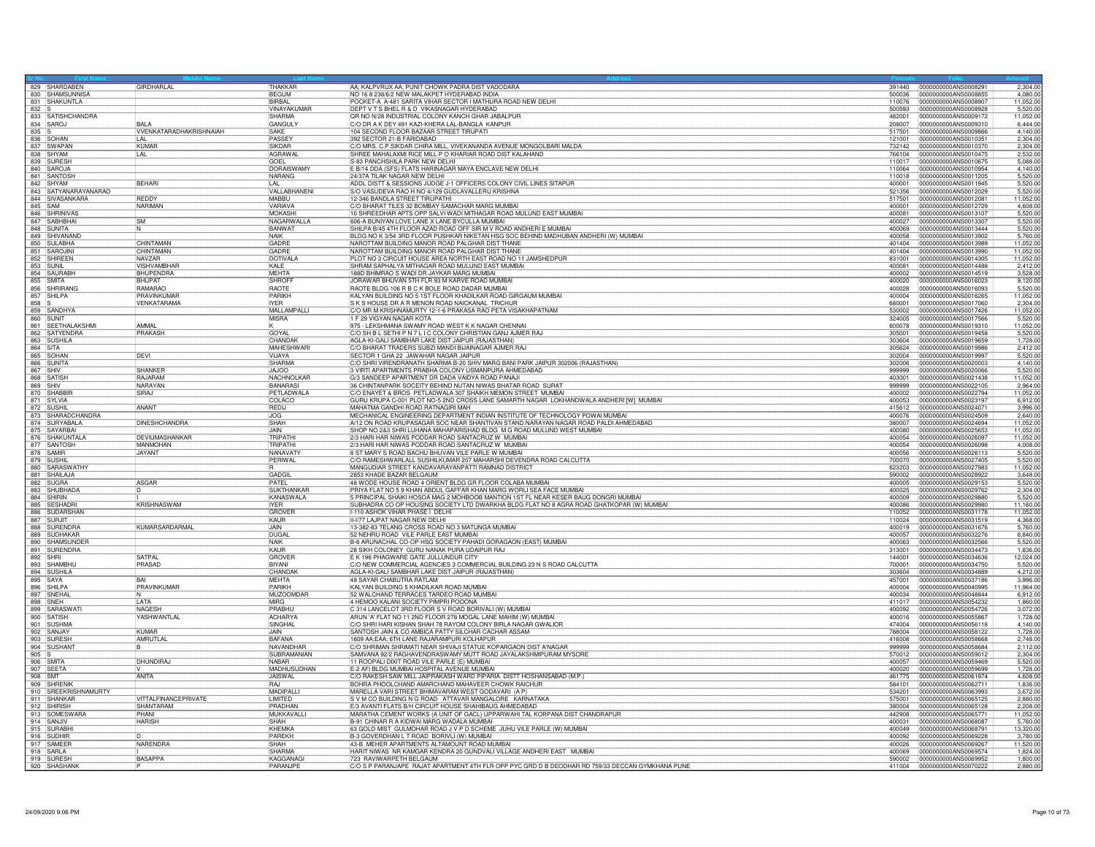|           | 829 SHARDABEN            | GIRDHARLAL                     | THAKKAR            | AA; KALPVRUX AA; PUNIT CHOWK PADRA DIST VADODARA                                                 |        | 391440 0000000000ANS0008291                  | 2,304.00             |
|-----------|--------------------------|--------------------------------|--------------------|--------------------------------------------------------------------------------------------------|--------|----------------------------------------------|----------------------|
|           | 830 SHAMSUNNISA          |                                | <b>BEGUM</b>       | NO 16 8 238/6/2 NEW MALAKPET HYDERABAD INDIA                                                     | 500036 | 0000000000ANS0008855                         | 4,080.00             |
|           | 831 SHAKUNTLA            |                                | RIRRAL             | POCKET-A A-481 SARITA VIHAR SECTOR I MATHURA ROAD NEW DELHI                                      | 110076 | 0000000000ANS0008907                         | 11,052.00            |
| 832 S     |                          |                                | VINAYAKUMAR        | DEPT V T S BHEL R & D VIKASNAGAR HYDERABAD                                                       | 500593 | 0000000000ANS0008928                         | 5,520.00             |
|           | 833 SATISHCHANDRA        |                                | <b>SHARMA</b>      | OR NO N/28 INDUSTRIAL COLONY KANCH GHAR JABALPUR                                                 | 482001 | 0000000000ANS0009172                         | 11,052.00            |
|           | 834 SAROJ                | <b>BAI A</b>                   | GANGULY            | C/O DR A K DEY 491 KAZI-KHERA LAL-BANGLA KANPUR                                                  | 208007 | 0000000000ANS0009310                         | 6,444.00             |
| $835$ S   |                          | <b>VVENKATARADHAKRISHNAIAH</b> | SAKE               | 104 SECOND FLOOR BAZAAR STREET TIRUPATI                                                          | 517501 | 0000000000ANS0009866                         | 4.140.00             |
|           | 836 SOHAN                |                                | <b>PASSEY</b>      | 392 SECTOR 21-B FARIDABAD                                                                        | 121001 | 0000000000ANS0010351                         | 2,304.00             |
|           | 837 SWAPAN               | <b>KUMAR</b>                   | <b>SIKDAR</b>      | C/O MRS. C.P.SIKDAR CHIRA MILL, VIVEKANANDA AVENUE MONGOLBARI MALDA                              | 732142 | 0000000000ANS0010370                         | 2,304.00             |
|           | 838 SHYAM                | LÄL                            | AGRAWAL            | SHREE MAHALAXMI RICE MILL P O KHARIAR ROAD DIST KALAHAND                                         | 766104 | 0000000000ANS0010475                         | 2,532.00             |
|           | 839 SURESH               |                                | GOEL               | S-83 PANCHSHILA PARK NEW DELHI                                                                   | 110017 | 0000000000ANS0010675                         | 5,088.00             |
|           | 840 SAROJA               |                                | DORAISWAMY         | E B/14 DDA (SFS) FLATS HARINAGAR MAYA ENCLAVE NEW DELHI                                          | 110064 | 0000000000ANS0010954                         | 4.140.00             |
|           | 841 SANTOSH              |                                | NARANG             | 24/37A TILAK NAGAR NEW DELHI                                                                     | 110018 | 0000000000ANS0011205                         | 5,520.00             |
|           | 842 SHYAM                | <b>BEHARI</b>                  | LAL                | ADDL DISTT & SESSIONS JUDGE J-1 OFFICERS COLONY CIVIL LINES SITAPUR                              | 400001 | 0000000000ANS0011945                         | 5,520.00             |
|           | 843 SATYANARAYANARAO     |                                | VALLABHANENI       | S/O VASUDEVA RAO H NO 4/129 GUDLAVALLERU KRISHNA                                                 | 521356 | 0000000000ANS0012029                         | 5,520.00             |
|           | 844 SIVASANKARA          | <b>REDDY</b>                   | MABBU              | 12-346 BANDLA STREET TIRUPATHI                                                                   | 517501 | 0000000000ANS0012081                         | 11,052.00            |
| 845 SAM   |                          | <b>NARIMAN</b>                 | <b>VARIAVA</b>     | C/O BHARAT TILES 32 BOMBAY SAMACHAR MARG MUMBAI                                                  | 400001 | 0000000000ANS0012729                         | 4,608.00             |
|           | 846 SHRINIVAS            |                                | MOKASHI            | 10 SHREEDHAR APTS OPP SALVI WADI MITHAGAR ROAD MULUND EAST MUMBAI                                | 400081 | 0000000000ANS0013107                         | 5,520.00             |
|           | 847 SABHBHAI             | $\overline{\text{SM}}$         | NAGARWALLA         | 606-A BUNIYAN LOVE LANE X LANE BYCULLA MUMBAI                                                    | 400027 | 0000000000ANS0013307                         | 5,520.00             |
|           | 848 SUNITA               |                                | BANWAT             | SHILPA B/45 4TH FLOOR AZAD ROAD OFF SIR M V ROAD ANDHERI E MUMBAI                                | 400069 | 0000000000ANS0013444                         | 5,520.00             |
|           | 849 SHIVANAND            |                                | <b>NAIK</b>        | BLDG NO K 3/54 3RD FLOOR PUSHKAR NIKETAN HSG SOC BEHIND MADHUBAN ANDHERI (W) MUMBAI              | 400058 | 0000000000ANS0013902                         | 5,760.00             |
|           | 850 SULABHA              | CHINTAMAN                      | GADRE              | NAROTTAM BUILDING MANOR ROAD PALGHAR DIST THANE                                                  | 401404 | 0000000000ANS0013989                         | 11,052.00            |
|           | 851 SAROJIN              | CHINTAMAN                      | GADRE              | NAROTTAM BUILDING MANOR ROAD PALGHAR DIST THANE                                                  | 401404 | 0000000000ANS0013990                         | 11,052.00            |
|           | 852 SHIREEN              | NAVZAR                         | DOTIVALA           | PLOT NO 3 CIRCUIT HOUSE AREA NORTH EAST ROAD NO 11 JAMSHEDPUR                                    | 831001 | 0000000000ANS0014305                         | 11,052.00            |
|           | 853 SUNIL                | <b>VISHVAMBHAR</b>             | KALE               | SHRAM SAPHALYA MITHAGAR ROAD MULUND EAST MUMBAI                                                  | 400081 | 0000000000ANS0014488                         | 2,412.00             |
|           | 854 SAURABH              | <b>BHUPENDRA</b>               | MFHTA              | 188D BHIMRAO S WADI DR JAYKAR MARG MUMBAI                                                        | 400002 | 0000000000ANS0014519                         | 3,528.00             |
|           | 855 SMITA                | <b>BHUPAT</b>                  | <b>SHROFF</b>      | JORAWAR BHUVAN 5TH FLR 93 M KARVE ROAD MUMBAI                                                    | 400020 | 0000000000ANS0016023                         | 9,120.00             |
|           | 856 SHRIRANG             | RAMARAO                        | <b>RAOTE</b>       | RAOTE BLDG 106 R B C K BOLE ROAD DADAR MUMBAI                                                    | 400028 | 0000000000ANS0016093                         | 5,520.00             |
|           | 857 SHILPA               | PRAVINKUMAR                    | PARIKH             | KALYAN BUILDING NO 5 1ST FLOOR KHADILKAR ROAD GIRGAUM MUMBAI                                     | 400004 | 000000000ANS0016265                          | 11,052.00            |
| $858$ $S$ |                          | VENKATARAMA                    | <b>IYFR</b>        | S K S HOUSE DR A R MENON ROAD NAICKANAL TRICHUR                                                  | 680001 | 0000000000ANS0017060                         | 2,304.00             |
|           | 859 SANDHYA              |                                | MALLAMPALLI        | C/O MR M KRISHNAMURTY 12-1-6 PRAKASA RAO PETA VISAKHAPATNAM                                      | 530002 | 0000000000ANS0017426                         | 11,052.0             |
|           | 860 SUNIT                |                                | <b>MISRA</b>       | 1 F 29 VIGYAN NAGAR KOTA                                                                         | 324005 | 0000000000ANS0017566                         | 5,520.00             |
|           | 861 SEETHALAKSHM         | AMMAL                          |                    | 975 - LEKSHMANA SWAMY ROAD WEST K K NAGAR CHENNAI                                                | 600078 | 0000000000ANS0019310                         | 11,052.00            |
|           | 862 SATYENDRA            | PRAKASH                        | GOYAL              | C/O SH B L SETHI P N 7 L I C COLONY CHRISTIAN GANJ AJMER RAJ                                     | 305001 | 0000000000ANS0019458                         | 5,520.00             |
|           | 863 SUSHILA              |                                | CHANDAK            | AGLA-KI-GALI SAMBHAR LAKE DIST JAIPUR (RAJASTHAN)                                                | 303604 | 0000000000ANS0019659                         | 1,728.00             |
| 864 SITA  |                          |                                | <b>MAHESHWARI</b>  | C/O BHARAT TRADERS SUBZI MANDI BIJAINAGAR AJMER RAJ                                              | 305624 | 0000000000ANS0019986                         | 2,412.00             |
|           | 865 SOHAN                | DEVI                           | <b>VIJAYA</b>      | SECTOR 1 GHA 22 JAWAHAR NAGAR JAIPUR                                                             | 302004 | 0000000000ANS0019997                         | 5,520.00             |
|           | 866 SUNITA               |                                | <b>SHARMA</b>      | C/O SHRI VIRENDRANATH SHARMA B-20 SHIV MARG BANI PARK JAIPUR 302006 (RAJASTHAN)                  | 302006 | 0000000000ANS0020003                         | 4,140.00             |
|           | 867 SHIV                 | SHANKEE                        | <b>JAJOO</b>       | 3 VIRTI APARTMENTS PRABHA COLONY USMANPURA AHMEDABAD                                             | 999999 | 0000000000ANS0020066                         | 5,520.00             |
|           | 868 SATISH               | RAJARAM                        | <b>NACHNOLKAR</b>  | G/3 SANDEEP APARTMENT DR DADA VAIDYA ROAD PANAJI                                                 | 403001 | 0000000000ANS0021438                         | 11,052.00            |
|           | 869 SHIV                 | NARAYAN                        | RANARASI           | 36 CHINTANPARK SOCEITY BEHIND NUTAN NIWAS BHATAR ROAD SURAT                                      | 999999 | 0000000000ANS0022105                         |                      |
|           |                          | SIRAJ                          |                    |                                                                                                  | 400002 |                                              | 2,964.0              |
|           | 870 SHABBI               |                                | PETLADWALA         | C/O ENAYET & BROS PETLADWALA 307 SHAIKH MEMON STREET MUMBAI                                      |        | 0000000000ANS0022794                         | 11,052.00            |
|           | 871 SYLVIA               |                                | COLACO             | GURU KRUPA C-001 PLOT NO-5 2ND CROSS LANE SAMARTH NAGAR LOKHANDWALA ANDHERI [W] MUMBAI           | 400053 | 0000000000ANS0023197                         | 6,912.00             |
|           | 872 SUSHIL               | ANANT                          | <b>REDIJ</b>       | MAHATMA GANDHI ROAD RATNAGIRI MAH                                                                | 415612 | 0000000000ANS0024071                         | 3,996.00             |
|           | 873 SHARADCHANDRA        |                                | <b>JOG</b>         | MECHANICAL ENGINEERING DEPARTMENT INDIAN INSTITUTE OF TECHNOLOGY POWAI MUMBAI                    | 400076 | 0000000000ANS0024509                         | 2,640.00             |
|           | 874 SURYABALA            | <b>DINESHCHANDRA</b>           | SHAH               | A/12 ON ROAD KRUPASAGAR SOC NEAR SHANTIVAN STAND NARAYAN NAGAR ROAD PALDI AHMEDABAD              | 380007 | 0000000000ANS0024694                         | 11,052.0             |
|           | 875 SAYARBAI             |                                | <b>JAIN</b>        | SHOP NO 2&3 SHRI LUHANA MAHAPARISHAD BLDG M G ROAD MULUND WEST MUMBAI                            | 400080 | 0000000000ANS0025653                         | 11,052.00            |
|           | 876 SHAKUNTALA           | <b>DEVILIMASHANKAR</b>         | TRIPATH            | 2/3 HARI HAR NIWAS PODDAR ROAD SANTACRUZ W MUMBAI                                                | 400054 | 0000000000ANS0026097                         | 11,052.00            |
|           | 877 SANTOSH              | <b>MANMOHAN</b>                | TRIPATHI           | 2/3 HARI HAR NIWAS PODDAR ROAD SANTACRUZ W MUMBAI                                                | 400054 | 0000000000ANS0026098                         | 4,008.00             |
|           | 878 SAMIR                | <b>JAYANT</b>                  | <b>NANAVATY</b>    | 8 ST MARY S ROAD BACHU BHUVAN VILE PARLE W MUMBAI                                                | 400056 | 0000000000ANS0026113                         | 5,520.00             |
|           | 879 SUSHIL               |                                | PERIWAL            | C/O RAMESHWARLALL SUSHILKUMAR 207 MAHARSHI DEVENDRA ROAD CALCUTTA                                | 700070 | 0000000000ANS0027405                         | 5,520.0              |
|           | 880 SARASWATHY           |                                |                    | MANGUDIAR STREET KANDAVARAYANPATTI RAMNAD DISTRICT                                               | 623203 | 0000000000ANS0027983                         | 11,052.00            |
|           | 881 SHAILAJA             |                                | GADGIL             | 2853 KHADE BAZAR BELGAUM                                                                         | 590002 | 0000000000ANS0028922                         | 3,648.00             |
|           | 882 SUGRA                | ASGAR                          | PATEL              | 48 WODE HOUSE ROAD 4 ORIENT BLDG GR FLOOR COLABA MUMBAI                                          | 400005 | 0000000000ANS0029153                         | 5,520.00             |
|           | 883 SHUBHADA             |                                | <b>SUKTHANKAR</b>  | PRIYA FLAT NO 5 9 KHAN ABDUL GAFFAR KHAN MARG WORLI SEA FACE MUMBAI                              | 400025 | 0000000000ANS0029762                         | 2,304.00             |
|           | 884 SHIRIN               |                                | KANASWALA          | 5 PRINCIPAL SHAIKI HOSOA MAG 2 MOHBOOB MANTION 1ST FL NEAR KESER BAUG DONGRI MUMBAI              | 400009 | 0000000000ANS0029880                         | 5,520.00             |
|           | 885 SESHADR              | <b>KRISHNASWAM</b>             | <b>IYFR</b>        | SUBHADRA CO OP HOUSING SOCIETY LTD DWARKHA BLDG FLAT NO 8 AGRA ROAD GHATKOPAR (W) MUMBAI         | 400086 | 0000000000ANS0029980                         | 11,160.00            |
|           | 886 SUDARSHAM            |                                | GROVER             | I-110 ASHOK VIHAR PHASE I DELHI                                                                  | 110052 | 0000000000ANS0031178                         | 11,052.00            |
|           | 887 SUBJIT               |                                | KAUR               | II-V77 LAJPAT NAGAR NEW DELHI                                                                    | 110024 | 0000000000ANS0031519                         | 4,368.00             |
|           | 888 SURENDRA             | KUMARSARDARMAL                 | <b>JAIN</b>        | 13-382-83 TELANG CROSS ROAD NO 3 MATUNGA MUMBAL                                                  | 400019 | 0000000000ANS0031676                         | 5,760.00             |
|           | 889 SUDHAKAR             |                                | DUGAL              | 52 NEHRU ROAD VILE PARLE EAST MUMBAI                                                             | 400057 | 0000000000ANS0032276                         | 6,840.00             |
|           | 890 SHAMSUNDEF           |                                | NAIK               | B-6 ARUNACHAL CO-OP HSG SOCIETY PAHADI GORAGAON (EAST) MUMBAI                                    | 400063 | 0000000000ANS0032566                         | 5,520.00             |
|           | 891 SURENDRA             |                                | KAUR               | 28 SIKH COLONEY GURU NANAK PURA UDAIPUR RAJ                                                      | 313001 | 0000000000ANS0034473                         | 1.836.00             |
|           | 892 SHRI                 | <b>SATPAI</b>                  | GROVER             | E K 196 PHAGWARE GATE JULLUNDUR CITY                                                             | 144001 | 0000000000ANS0034636                         | 12,024.00            |
|           | 893 SHAMBHU              | PRASAD                         | <b>BIYANI</b>      | C/O NEW COMMERCIAL AGENCIES 3 COMMERCIAL BUILDING 23 N S ROAD CALCUTTA                           | 700001 | 0000000000ANS0034750                         | 5,520.00             |
|           | 894 SUSHILA              |                                | CHANDAK            | AGLA-KI-GALI SAMBHAR LAKE DIST JAIPUR (RAJASTHAN)                                                | 303604 | 0000000000ANS0034889                         | 4,212.00             |
|           | 895 SAYA                 | BAI                            | <b>MEHTA</b>       | 48 SAYAR CHABUTRA RATLAM                                                                         | 457001 | 0000000000ANS0037186                         | 3,996.00             |
|           | 896 SHILPA               | <b>PRAVINKUMAF</b>             | PARIKH             | KAI YAN BUILDING 5 KHADILKAR ROAD MUMBA                                                          | 400004 | 0000000000ANS0040995                         | 11,964.00            |
|           | 897 SNEHA                |                                | MUZOOMDAF          | 52 WALCHAND TERRACES TARDEO ROAD MUMBAI                                                          | 400034 | 0000000000ANS0048844                         | 6,912.00             |
|           | 898 SNEH                 | <b>I ATA</b>                   | <b>MIRG</b>        | 4 HEMOO KALANI SOCIETY PIMPRI POOONA                                                             | 411017 | 0000000000ANS0054232                         | 1,860.00             |
|           | 899 SARASWAT             | NAGESI                         | PRABHU             | C 314 LANCELOT 3RD FLOOR S V ROAD BORIVALI (W) MUMBA                                             | 400092 | 0000000000ANS0054726                         | 3,072.00             |
|           | 900 SATISH               | YASHWANTLAI                    | <b>ACHARYA</b>     | ARUN 'A' FLAT NO 11 2ND FLOOR 278 MOGAL LANE MAHIM (W) MUMBA                                     | 400016 | 0000000000ANS0055867                         | 1,728.00             |
|           | 901 SUSHMA               |                                | SINGHAL            | C/O SHRI HARI KISHAN SHAH 78 RAYOM COLONY BIRLA NAGAR GWALIOR                                    | 474004 | 0000000000ANS0056118                         | 4,140.00             |
|           | 902 SANJAY               | KUMAR                          | JAIN               | SANTOSH JAIN & CO AMBICA PATTY SILCHAR CACHAR ASSAM                                              | 788004 | 0000000000ANS0058122                         | 1.728.0              |
|           | 903 SURESH               | AMRUTLA                        | <b>BAFANA</b>      | 1609 AA;EAA; 6TH LANE RAJARAMPURI KOLHAPUR                                                       | 416008 | 0000000000ANS0058668                         | 2,748.00             |
|           | 904 SUSHANT              |                                | NAVANDHAP          | C/O SHRIMAN SHRIMATI NEAR SHIVAJI STATUE KOPARGAON DIST A'NAGAR                                  | 999999 | 000000000ANS0058684                          | 2,112.00             |
| $905$ S   |                          |                                | SUBRAMANIAN        | SAMVANA 92/2 RAGHAVENDRASWAMY MUTT ROAD JAYALAKSHMIPURAM MYSORE                                  | 570012 | 000000000ANS0059012                          | 2,304.00             |
|           | 906 SMITA                | DHUNDIRAJ                      | <b>NARAR</b>       | 11 ROOPALI DIXIT ROAD VILE PARLE (E) MUMBAI                                                      | 400057 | 0000000000ANS0059469                         | 5,520.00             |
|           | 907 SEETA                |                                | <b>MADHUSUDHAN</b> | E-2 AFI BLDG MUMBAI HOSPITAL AVENUE MUMBAI                                                       | 400020 | 0000000000ANS0059699                         | 1,728.0              |
| 908 SMT   |                          | ANITA                          | JAISWAL            | C/O RAKESH SAW MILL JAIPRAKASH WARD PIPARIA DISTT HOSHANSABAD (M.P.)                             | 461775 | 0000000000ANS0061974                         | 4,608.00             |
|           | 909 SHRENIP              |                                | <b>RAJ</b>         | BOHRA PHOOLCHAND AMARCHAND MAHAVEER CHOWK RAICHUR                                                | 584101 | 0000000000ANS0062711                         | 1,836.00             |
|           | 910 SREEKRISHNAMURTY     |                                | MADIPALLI          | MARELLA VARI STREET BHIMAVARAM WEST GODAVARI (A P)                                               | 534201 | 0000000000ANS0063993                         | 3,672.00             |
|           | 911 SHANKAR              | VITTALFINANCEPRIVATE           | I IMITED           | S V M CO BUILDING N G ROAD ATTAVAR MANGALORE KARNATAKA                                           | 575001 | 0000000000ANS0065125                         | 2,880.00             |
|           | 912 SHIRISH              | <b>SHANTARAM</b>               | PRADHAN            | E/3 AVANTI FLATS B/H CIRCUIT HOUSE SHAHIBAUG AHMEDABAD                                           | 380004 | 0000000000ANS0065128                         | 2,208.0              |
|           | 913 SOMESWARA            | PHANI                          | MUKKAVALL          | MARATHA CEMENT WORKS (A UNIT OF GACL) UPPARWAHI TAL KORPANA DIST CHANDRAPUR                      | 442908 | 0000000000ANS0065771                         | 11,052.00            |
|           | 914 SANJIV               | <b>HARISH</b>                  | SHAH               | B-91 CHINAR R A KIDWAI MARG WADALA MUMBAI                                                        | 400031 | 0000000000ANS0068087                         | 5,760.00             |
|           | 915 SURABH               |                                | KHEMKA             | 63 GOLD MIST GULMOHAR ROAD J V P D SCHEME JUHU VILE PARLE (W) MUMBAI                             | 400049 | 0000000000ANS0068791                         | 13,320.00            |
|           |                          |                                | PAREKH             |                                                                                                  | 400092 |                                              |                      |
|           | 916 SUDHIR<br>917 SAMEEF | NARENDRA                       | SHAH               | B-3 GOVERDHAN L T ROAD BORIVLI (W) MUMBAI<br>43-B MEHER APARTMENTS ALTAMOUNT ROAD MUMBAI         | 400026 | 0000000000ANS0069228<br>0000000000ANS0069267 | 3,780.0<br>11,520.00 |
|           | 918 SARLA                |                                | SHARMA             | HARIT NIWAS NR KAMGAR KENDRA 20 GUNDVALI VILLAGE ANDHERI EAST MUMBAI                             | 400069 | 0000000000ANS0069574                         | 1,824.00             |
|           | 919 SURESH               | <b>BASAPPA</b>                 | KAGGANAG           | 723 RAVIWARPETH BELGAUM                                                                          | 590002 | 0000000000ANS0069952                         | 1,800.00             |
|           |                          |                                | PARANJPE           | C/O S P PARANJAPE RAJAT APARTMENT 4TH FLR OPP PYC GRD D B DEODHAR RD 759/33 DECCAN GYMKHANA PUNE | 411004 | 0000000000ANS0070222                         |                      |
|           | 920 SHASHANK             |                                |                    |                                                                                                  |        |                                              | 2,880.00             |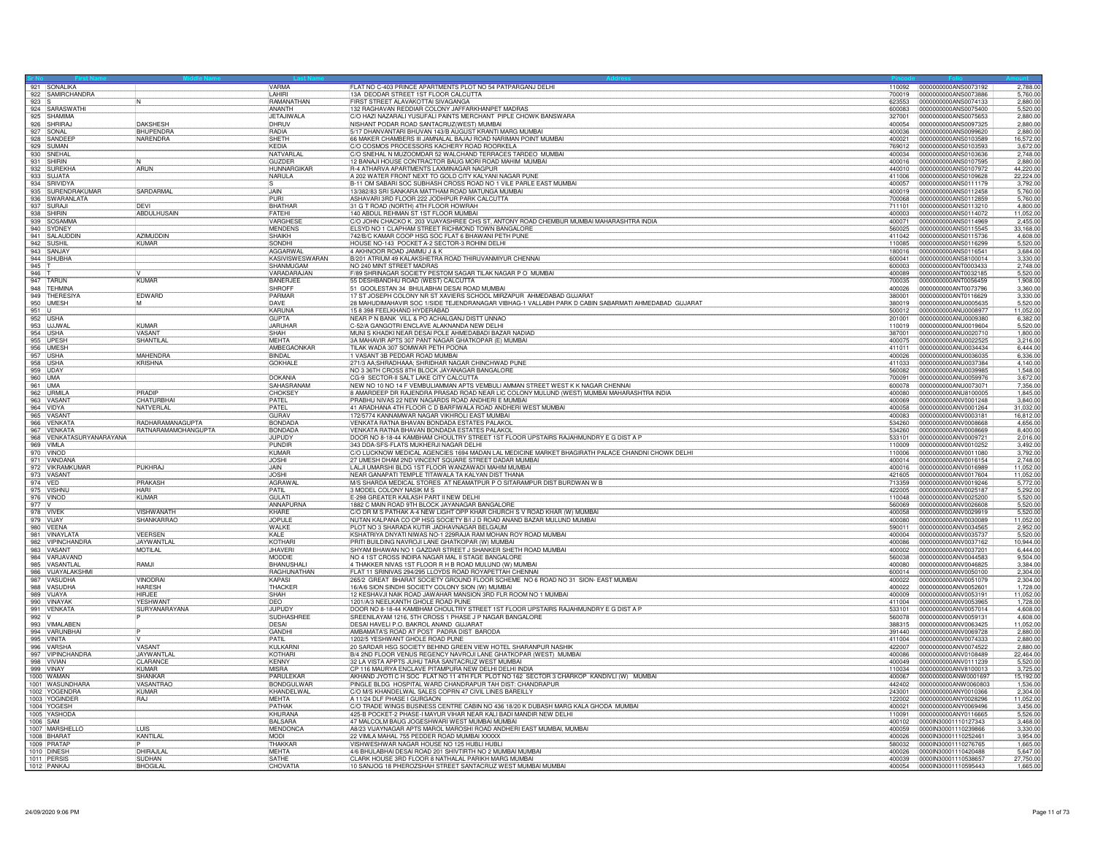|          | 921 SONALIKA                           |                                        | <b>VARMA</b>               | FLAT NO C-403 PRINCE APARTMENTS PLOT NO 54 PATPARGANJ DELHI                                                                                                                | 110092           | 0000000000ANS0073192                          | 2,788.0               |
|----------|----------------------------------------|----------------------------------------|----------------------------|----------------------------------------------------------------------------------------------------------------------------------------------------------------------------|------------------|-----------------------------------------------|-----------------------|
|          | 922 SAMIRCHANDRA                       |                                        | LAHIRI                     | 13A DEODAR STREET 1ST FLOOR CALCUTTA                                                                                                                                       | 700019           | 0000000000ANS0073886                          | 5,760.00              |
| 923 S    |                                        | ΙN                                     | RAMANATHAN<br>ANANTH       | FIRST STREET ALAVAKOTTAI SIVAGANGA<br>132 RAGHAVAN REDDIAR COLONY JAFFARKHANPET MADRAS                                                                                     | 623553<br>600083 | 0000000000ANS0074133<br>0000000000ANS0075400  | 2,880.0<br>5,520.00   |
|          | 924 SARASWATHI<br>925 SHAMIMA          |                                        | JETAJIWALA                 | C/O HAZI NAZARALI YUSUFALI PAINTS MERCHANT PIPLE CHOWK BANSWARA                                                                                                            | 327001           | 0000000000ANS0075653                          | 2,880.0               |
|          | 926 SHRIRAJ                            | <b>DAKSHESH</b>                        | DHRUV                      | NISHANT PODAR ROAD SANTACRUZ(WEST) MUMBAI                                                                                                                                  | 400054           | 0000000000ANS0097325                          | 2,880.00              |
|          | 927 SONAL                              | <b>BHUPENDRA</b>                       | <b>RADIA</b>               | 5/17 DHANVANTARI BHUVAN 143/B AUGUST KRANTI MARG MUMBAI                                                                                                                    | 400036           | 0000000000ANS0099620                          | 2.880.0               |
|          | 928 SANDEER                            | NARENDRA                               | SHETH                      | 66 MAKER CHAMBERS III JAMNALAL BAJAJ ROAD NARIMAN POINT MUMBAI                                                                                                             | 400021           | 0000000000ANS0103589                          | 16,572.00             |
|          | 929 SUMAN                              |                                        | KEDIA                      | C/O COSMOS PROCESSORS KACHERY ROAD ROORKELA                                                                                                                                | 769012           | 0000000000ANS0103593                          | 3,672.0               |
|          | 930 SNEHAL                             |                                        | NATVARLAL                  | C/O SNEHAL N MUZOOMDAR 52 WALCHAND TERRACES TARDEO MUMBAI                                                                                                                  | 400034           | 0000000000ANS0103636                          | 2,748.00              |
|          | 931 SHIRIN                             |                                        | <b>GUZDER</b>              | 12 BANAJI HOUSE CONTRACTOR BAUG MORI ROAD MAHIM MUMBAI                                                                                                                     | 400016           | 0000000000ANS0107595                          | 2,880.00              |
|          | 932 SUREKHA                            | ARUN                                   | <b>HUNNARGIKAR</b>         | <b>R-4 ATHARVA APARTMENTS LAXMINAGAR NAGPUR</b>                                                                                                                            |                  | 440010 0000000000ANS0107972                   | 44,220.0              |
|          | 933 SUJATA                             |                                        | NARULA                     | A 202 WATER FRONT NEXT TO GOLD CITY KALYANI NAGAR PUNE                                                                                                                     | 411006           | 0000000000ANS0109628                          | 22,224.0              |
|          | 934 SRIVIDYA                           |                                        |                            | B-11 OM SABARI SOC SUBHASH CROSS ROAD NO 1 VILE PARLE EAST MUMBAI                                                                                                          |                  | 400057 0000000000ANS0111179                   | 3,792.00              |
|          | 935 SURENDRAKUMAR<br>936 SWARANLATA    | SARDARMAL                              | JAIN<br>PURI               | 13/382/83 SRI SANKARA MATTHAM ROAD MATUNGA MUMBAI                                                                                                                          | 400019           | 10000000000ANS0112458<br>0000000000ANS0112859 | 5,760.00<br>5,760.00  |
|          | 937 SURAJI                             | <b>DFVI</b>                            | <b>BHATHAR</b>             | ASHAVARI 3RD FLOOR 222 JODHPUR PARK CALCUTTA<br>31 G T ROAD (NORTH) 4TH FLOOR HOWRAH                                                                                       | 700068<br>711101 | 0000000000ANS0113210                          | 4,800.0               |
|          | 938 SHIRIN                             | ABDULHUSAIN                            | FATEHI                     | 140 ABDUL REHMAN ST 1ST FLOOR MUMBAI                                                                                                                                       | 400003           | 0000000000ANS0114072                          | 11,052.00             |
|          | 939 SOSAMMA                            |                                        | VARGHESE                   | C/O JOHN CHACKO K. 203 VIJAYASHREE CHS ST, ANTONY ROAD CHEMBUR MUMBAI MAHARASHTRA INDIA                                                                                    | 400071           | 0000000000ANS0114969                          | 2,455.00              |
|          | 940 SYDNEY                             |                                        | <b>MENDENS</b>             | ELSYD NO 1 CLAPHAM STREET RICHMOND TOWN BANGALORE                                                                                                                          | 560025           | 0000000000ANS0115545                          | 33,168.00             |
|          | 941 SALAUDDIN                          | <b>AZIMUDDIN</b>                       | SHAIKH                     | 742/B/C KAMAR COOP HSG SOC FLAT 6 BHAWANI PETH PUNE                                                                                                                        | 411042           | 0000000000ANS0115736                          | 4.608.0               |
|          | 942 SUSHIL                             | <b>KUMAR</b>                           | SONDHI                     | HOUSE NO-143 POCKET A-2 SECTOR-3 ROHINI DELHI                                                                                                                              | 110085           | 0000000000ANS0116299                          | 5,520.0               |
|          | 943 SANJAY                             |                                        | <b>AGGARWAL</b>            | 4 AKHNOOR ROAD JAMMU J & K                                                                                                                                                 | 180016           | 0000000000ANS0116541                          | 3,684.0               |
|          | 944 SHUBHA                             |                                        | KASIVISWESWARAN            | B/201 ATRIUM 49 KALAKSHETRA ROAD THIRUVANMIYUR CHENNAI                                                                                                                     | 600041           | 0000000000ANS8100014                          | 3,330.00              |
| 945      |                                        |                                        | SHANMUGAM                  | NO 240 MINT STREET MADRAS                                                                                                                                                  | 600003           | 0000000000ANT0003433                          | 2,748.00              |
| $946$ T  |                                        |                                        | VARADARAJAN                | F/89 SHRINAGAR SOCIETY PESTOM SAGAR TILAK NAGAR P O MUMBAI                                                                                                                 | 400089           | 0000000000ANT0032185                          | 5,520.00              |
|          | 947 TARUN                              | KUMAR                                  | <b>BANFRJFF</b>            | 55 DESHBANDHU ROAD (WEST) CALCUTTA                                                                                                                                         | 700035           | 0000000000ANT0056459                          | 1,908.0               |
|          | 948 TEHMINA                            |                                        | <b>SHROFF</b>              | 51 GOOLESTAN 34 BHULABHAI DESAI ROAD MUMBAI                                                                                                                                | 400026           | 0000000000ANT0073796                          | 3,360.00              |
|          | 949 THERESIYA                          | EDWARD                                 | PARMAR                     | 17 ST JOSEPH COLONY NR ST XAVIERS SCHOOL MIRZAPUR AHMEDABAD GUJARAT<br>28 MAHUDIMAHAVIR SOC 1/SIDE TEJENDRANAGAR VIBHAG-1 VALLABH PARK D CABIN SABARMATI AHMEDABAD GUJARAT | 380001           | 0000000000ANT0116629                          | 3,330.00              |
| 951 U    | 950 UMESH                              | M                                      | DAVE<br>KARUNA             | 15 8 398 FFFI KHAND HYDFRABAD                                                                                                                                              | 380019<br>500012 | 0000000000ANU0005635<br>0000000000ANU0008977  | 5,520.00              |
|          | 952 USHA                               |                                        | <b>GUPTA</b>               | NEAR P N BANK VILL & PO ACHALGANJ DISTT UNNAO                                                                                                                              | 201001           | 0000000000ANU0009380                          | 11,052.0<br>6,382.00  |
|          | 953 UJJWAL                             | <b>KUMAR</b>                           | <b>JARUHAR</b>             | C-52/A GANGOTRI ENCLAVE ALAKNANDA NEW DELHI                                                                                                                                | 110019           | 0000000000ANU0019604                          | 5,520.0               |
|          | 954 USHA                               | <b>VASANT</b>                          | SHAH                       | MUNI S KHADKI NEAR DESAI POLE AHMEDABADI BAZAR NADIAD                                                                                                                      | 387001           | 0000000000ANU0020710                          | 1,800.00              |
|          | 955 UPESH                              | SHANTILAL                              | <b>MEHTA</b>               | 3A MAHAVIR APTS 307 PANT NAGAR GHATKOPAR (E) MUMBAI                                                                                                                        | 400075           | 0000000000ANU0022525                          | 3,216.00              |
|          | 956 UMESH                              |                                        | AMBEGAONKAR                | TILAK WADA 307 SOMWAR PETH POONA                                                                                                                                           | 411011           | 0000000000ANU0034434                          | 6.444.0               |
|          | 957 USHA                               | MAHENDRA                               | <b>BINDAL</b>              | 1 VASANT 3B PEDDAR ROAD MUMBAI                                                                                                                                             | 400026           | 0000000000ANU0036035                          | 6,336.00              |
|          | 958 USHA                               | KRISHNA                                | <b>GOKHALE</b>             | 271/3 AA;SHRADHAAA; SHRIDHAR NAGAR CHINCHWAD PUNE                                                                                                                          | 411033           | 0000000000ANU0037384                          | 4,140.00              |
|          | 959 UDAY                               |                                        |                            | NO 3 36TH CROSS 8TH BLOCK JAYANAGAR BANGALORE                                                                                                                              | 560082           | 0000000000ANU0039985                          | 1,548.00              |
| 960 UMA  |                                        |                                        | DOKANIA                    | CG-9 SECTOR-II SALT LAKE CITY CALCUTTA                                                                                                                                     | 700091           | 0000000000ANU0059976                          | 3,672.00              |
| 961 UMA  |                                        |                                        | SAHASRANAM                 | NEW NO 10 NO 14 F VEMBULIAMMAN APTS VEMBULI AMMAN STREET WEST K K NAGAR CHENNAI                                                                                            | 600078           | 0000000000ANU0073071                          | 7,356.0               |
|          | 962 URMILA                             | PRADIP                                 | CHOKSEY                    | 8 AMARDEEP DR RAJENDRA PRASAD ROAD NEAR LIC COLONY MULUND (WEST) MUMBAI MAHARASHTRA INDIA                                                                                  | 400080           | 0000000000ANU8100005                          | 1,845.00              |
|          | 963 VASANT                             | CHATURBHAI                             | PATEL                      | PRABHU NIVAS 22 NEW NAGARDS ROAD ANDHERI E MUMBAI                                                                                                                          | 400069           | 0000000000ANV0001248                          | 3,840.00              |
|          | 964 VIDYA<br>965 VASANT                | NATVERLAL                              | PATEL<br>GURAV             | 41 ARADHANA 4TH FLOOR C D BARFIWALA ROAD ANDHERI WEST MUMBAI<br>172/5774 KANNAMWAR NAGAR VIKHROLL FAST MUMBAL                                                              | 400058<br>400083 | 0000000000ANV0001264<br>0000000000ANV0003181  | 31.032.0<br>16.812.00 |
|          | 966 VENKATA                            | RADHARAMANAGUPTA                       | <b>BONDADA</b>             | VENKATA RATNA BHAVAN BONDADA ESTATES PALAKOI                                                                                                                               | 534260           | 0000000000ANV0008668                          | 4,656.0               |
|          |                                        |                                        |                            |                                                                                                                                                                            |                  |                                               |                       |
|          |                                        |                                        |                            |                                                                                                                                                                            |                  |                                               |                       |
|          | 967 VENKATA                            | RATNARAMAMOHANGUPTA                    | BONDADA                    | VENKATA RATNA BHAVAN BONDADA ESTATES PALAKOL                                                                                                                               | 534260<br>533101 | 0000000000ANV0008669                          | 8,400.00              |
|          | 968 VENKATASURYANARAYANA<br>969 VIMI A |                                        | <b>JUPUDY</b><br>PUNDIR    | DOOR NO 8-18-44 KAMBHAM CHOULTRY STREET 1ST FLOOR UPSTAIRS RAJAHMUNDRY E G DIST A P<br>343 DDA-SES-FLATS MUKHEBJLNAGAR DELHI                                               | 110009           | 0000000000ANV0009721<br>0000000000ANV0010252  | 2,016.00              |
|          | 970 VINOD                              |                                        | KUMAR                      | C/O LUCKNOW MEDICAL AGENCIES 1694 MADAN LAL MEDICINE MARKET BHAGIRATH PALACE CHANDNI CHOWK DELHI                                                                           | 110006           | 10000000000ANV0011080                         | 3,492.00<br>3,792.00  |
|          | 971 VANDANA                            |                                        | <b>JOSHI</b>               | 27 UMESH DHAM 2ND VINCENT SQUARE STREET DADAR MUMBAI                                                                                                                       | 400014           | 0000000000ANV0016154                          | 2,748.0               |
|          | 972 VIKRAMKUMAR                        | PUKHRAJ                                | <b>JAIN</b>                | LALJI UMARSHI BLDG 1ST FLOOR WANZAWADI MAHIM MUMBAI                                                                                                                        | 400016           | 0000000000ANV0016989                          | 11,052.00             |
|          | 973 VASANT                             |                                        | <b>JOSHI</b>               | NEAR GANAPATI TEMPLE TITAWALA TA KALYAN DIST THANA                                                                                                                         | 421605           | 0000000000ANV0017604                          | 11,052.00             |
| 974 VFD  |                                        | PRAKASH                                | AGRAWAI                    | M/S SHARDA MEDICAL STORES AT NEAMATPUR P O SITARAMPUR DIST BURDWAN W B                                                                                                     | 713359           | 0000000000ANV0019246                          | 5.772.0               |
|          | 975 VISHNL                             | HARI                                   | PATIL                      | 3 MODEL COLONY NASIK M S                                                                                                                                                   | 422005           | 0000000000ANV0025187                          | 5,292.00              |
|          | 976 VINOD                              | <b>KUMAR</b>                           | <b>GULATI</b>              | E-298 GREATER KAILASH PART II NEW DELHI                                                                                                                                    | 110048           | 0000000000ANV0025200                          | 5,520.0               |
| $977$ V  |                                        |                                        | ANNAPURNA                  | 1882 C MAIN ROAD 9TH BLOCK JAYANAGAR BANGALORE                                                                                                                             | 560069           | 0000000000ANV0026608                          | 5,520.00              |
|          | 978 VIVEK<br>979 VI.IAY                | <b>VISHWANATH</b><br><b>SHANKARRAO</b> | KHARF<br>JOPULE            | C/O DR M S PATHAK A-4 NEW LIGHT OPP KHAR CHURCH S V ROAD KHAR (W) MUMBAI                                                                                                   | 400058<br>400080 | 0000000000ANV0029919                          | 5,520.00<br>11.052.0  |
|          |                                        |                                        | WALKE                      | NUTAN KALPANA CO OP HSG SOCIETY B/I J D ROAD ANAND BAZAR MULUND MUMBAI<br>PLOT NO 3 SHARADA KUTIR JADHAVNAGAR BELGAUM                                                      | 590011           | 0000000000ANV0030089                          |                       |
|          | 980 VEENA<br>981 VINAYLATA             | VEERSEN                                | KALE                       | KSHATRIYA DNYATI NIWAS NO-1 229RAJA RAM MOHAN ROY ROAD MUMBAI                                                                                                              | 400004           | 0000000000ANV0034565<br>0000000000ANV0035737  | 2,952.00<br>5,520.0   |
|          | 982 VIPINCHANDRA                       | JAYWANTI A                             | KOTHAR                     | PRITI BUILDING NAVROJI LANE GHATKOPAR (W) MUMBAI                                                                                                                           | 400086           | 0000000000ANV0037162                          | 10,944.00             |
|          | 983 VASANT                             | MOTILAL                                | <b>JHAVERI</b>             | SHYAM BHAWAN NO 1 GAZDAR STREET J SHANKER SHETH ROAD MUMBAL                                                                                                                | 400002           | 0000000000ANV0037201                          | 6,444.00              |
|          | 984 VARJAVAND                          |                                        | <b>MODDIE</b>              | NO 4 1ST CROSS INDIRA NAGAR MAL II STAGE BANGALORE                                                                                                                         | 560038           | 0000000000ANV0044583                          | 9,504.0               |
|          | 985 VASANTLAL                          | RAMJI                                  | BHANUSHAL                  | 4 THAKKER NIVAS 1ST FLOOR R H B ROAD MULUND (W) MUMBAI                                                                                                                     | 400080           | 0000000000ANV0046825                          | 3,384.00              |
|          | 986 VIJAYALAKSHMI                      |                                        | RAGHUNATHAN                | FLAT 11 SRINIVAS 294/295 LLOYDS ROAD ROYAPETTAH CHENNAI                                                                                                                    | 600014           | 0000000000ANV0050100                          |                       |
|          | 987 VASUDHA                            | VINODRAI                               | KAPASI                     | 265/2 GREAT BHARAT SOCIETY GROUND FLOOR SCHEME NO 6 ROAD NO 31 SION- EAST MUMBAI                                                                                           | 400022           | 0000000000ANV0051079                          | 2,304.00              |
|          | 988 VASUDHA                            | <b>HARFSH</b>                          | THACKEF                    | 16/A/6 SION SINDHI SOCIETY COLONY SION (W) MUMBAI                                                                                                                          |                  | 400022  0000000000ANV0052601                  | 1,728.0               |
|          | 989 VIJAYA                             | HIRJFF                                 | SHAH                       | 12 KESHAVJI NAIK ROAD JAWAHAR MANSION 3RD FLR ROOM NO 1 MUMBAI                                                                                                             | 400009           | 0000000000ANV0053191                          | 11,052.0              |
|          | 990 VINAYAK                            | YESHWAN <sup>®</sup><br>SURYANARAYANA  | <b>DEO</b>                 | 1201/A/3 NEELKANTH GHOLE ROAD PUNE                                                                                                                                         | 411004           | 0000000000ANV0053965<br>0000000000ANV0057014  | 1,728.00              |
| $992$ V  | 991 VENKATA                            |                                        | <b>JUPUDY</b><br>SUDHASHRE | DOOR NO 8-18-44 KAMBHAM CHOULTRY STREET 1ST FLOOR UPSTAIRS RAJAHMUNDRY E G DIST A P<br>SREENILAYAM 1216, 5TH CROSS 1 PHASE J P NAGAR BANGALORE                             | 533101<br>560078 | 0000000000ANV0059131                          | 4,608.0<br>4,608.00   |
|          | 993 VIMALABEN                          |                                        | <b>DESAL</b>               | DESAI HAVELI P.O. BAKROL ANAND GUJARAT                                                                                                                                     | 388315           | 0000000000ANV0063425                          | 11,052.00             |
|          | 994 VARUNBHAI                          |                                        | <b>GANDHI</b>              | AMBAMATA'S ROAD AT POST PADRA DIST BARODA                                                                                                                                  | 391440           | 0000000000ANV0069728                          | 2,880.0               |
|          | 995 VINITA                             |                                        | PATIL                      | 1202/5 YESHWANT GHOLE ROAD PUNE                                                                                                                                            |                  |                                               | 2,880.00              |
|          | 996 VARSHA                             | VASANT                                 | KULKARNI                   | 20 SARDAR HSG SOCIETY BEHIND GREEN VIEW HOTEL SHARANPUR NASHIK                                                                                                             | 422007           | 0000000000ANV0074522                          | 2,880.00              |
|          | 997 VIPINCHANDRA                       | <b>JAYWANTLA</b>                       | KOTHARI                    | B/4 2ND FLOOR VENUS REGENCY NAVROJI LANE GHATKOPAR (WEST) MUMBAI                                                                                                           | 400086           | 0000000000ANV0108489                          | 22,464.00             |
|          | 998 VIVIAN                             | CLARANCE                               | <b>KENNY</b>               | 32 LA VISTA APPTS JUHU TARA SANTACRUZ WEST MUMBAI                                                                                                                          | 400049           | 0000000000ANV0111239                          | 5,520.00              |
|          | 999 VINAY                              | KUMAR                                  | <b>MISRA</b>               | CP 116 MAURYA ENCLAVE PITAMPURA NEW DELHI DELHI INDIA                                                                                                                      | 110034           | 0000000000ANV8100013                          | 3,725.0               |
|          | 1000 WAMAN                             | SHANKAR                                | PARULEKAF                  | AKHAND JYOTIC H SOC FLAT NO 11 4TH FLR PLOT NO 162 SECTOR 3 CHARKOP KANDIVLI (W) MUMBAI                                                                                    | 400067           | 0000000000ANW0001697                          | 15,192.00             |
|          | 1001 WASUNDHARA<br>1002 YOGENDRA       | <b>VASANTRAO</b><br>KUMAR              | BONDGULWAR<br>KHANDFI WAI  | PINGLE BLDG HOSPITAL WARD CHANDRAPUR TAH DIST: CHANDRAPUR                                                                                                                  | 442402<br>243001 | 0000000000ANW0060803<br>0000000000ANY0010366  | 1.536.0<br>2.304.0    |
|          |                                        |                                        | <b>MEHTA</b>               | C/O M/S KHANDELWAL SALES COPRN 47 CIVIL LINES BAREILLY                                                                                                                     |                  |                                               |                       |
|          | 1003 YOGINDER<br>1004 YOGESH           | RAJ                                    | PATHAK                     | A 11/24 DLF PHASE I GURGAON<br>C/O TRADE WINGS BUSINESS CENTRE CABIN NO 436 18/20 K DUBASH MARG KALA GHODA MUMBAI                                                          | 122002<br>400021 | 0000000000ANY0028296<br>0000000000ANY0069496  | 11,052.0<br>3,456.0   |
|          | 1005 YASHODA                           |                                        | KHURANA                    | 425-B POCKET-2 PHASE-I MAYUR VIHAR NEAR KALI BADI MANDIR NEW DELHI                                                                                                         | 110091           | 0000000000ANY0116665                          | 5,526.00              |
| 1006 SAM |                                        |                                        | <b>BALSARA</b>             | 47 MALCOLM BAUG JOGESHWARI WEST MUMBAI MUMBAI                                                                                                                              | 400102           | 0000IN30001110127343                          | 3,468.00              |
|          | 1007 MARSHELLO                         | <b>ILUIS</b>                           | <b>MENDONCA</b>            | A8/23 VIJAYNAGAR APTS MAROL MAROSHI ROAD ANDHERI EAST MUMBAI, MUMBAI                                                                                                       | 400059           | 0000IN30001110239866                          | 3.330.0               |
|          | 1008 BHARAT                            | KANTILAL                               | <b>MODI</b>                | 22 VIMLA MAHAL 755 PEDDER ROAD MUMBAI XXXXX                                                                                                                                | 400026           | 0000IN30001110252461                          | 3,954.00              |
|          | 1009 PRATA                             |                                        | <b>THAKKAF</b>             | VISHWESHWAR NAGAR HOUSE NO 125 HUBLI HUBLI                                                                                                                                 | 580032           | 0000IN30001110276765                          | 1.665.0               |
|          | 1010 DINESH                            | DHIRAJLA                               | <b>MEHTA</b>               | 4/6 BHULABHAI DESAI ROAD 201 SHIVTIRTH NO 2 MUMBAI MUMBAI                                                                                                                  |                  | 400026  00000N30001110420488                  | 5,647.00              |
|          | 1011 PFRSIS<br>1012 PANKAJ             | SUDHAN<br><b>BHOGILAL</b>              | SATHE<br><b>CHOVATIA</b>   | CLARK HOUSE 3RD FLOOR 8 NATHALAL PARIKH MARG MUMBAI<br>10 SANJOG 18 PHEROZSHAH STREET SANTACRUZ WEST MUMBAI MUMBAI                                                         | 400039           | 0000IN30001110538657                          | 27,750.00<br>1,665.00 |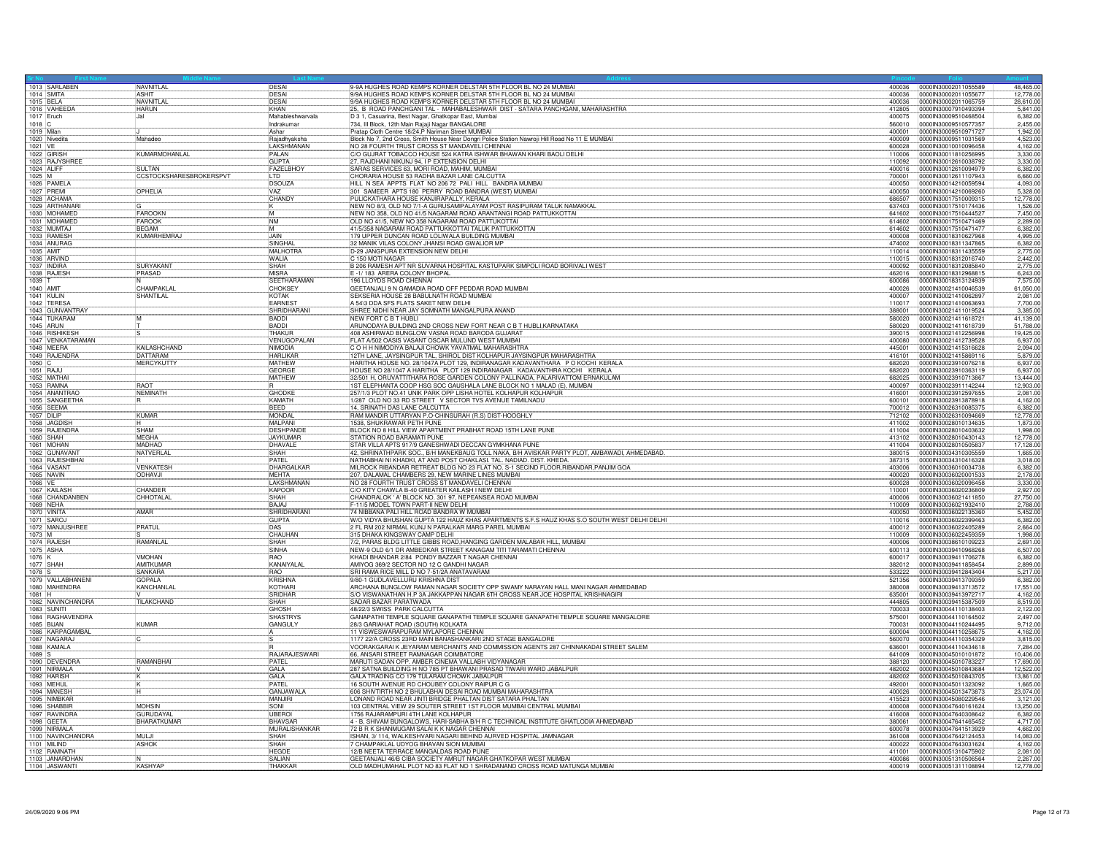|                        | 1013 SARLABEN                      | NAVNITLAL               | DESAI                              | 9-9A HUGHES ROAD KEMPS KORNER DELSTAR 5TH FLOOR BL NO 24 MUMBAI                                                                                                   |                  | 400036 0000IN30002011055589                          | 48,465.00             |
|------------------------|------------------------------------|-------------------------|------------------------------------|-------------------------------------------------------------------------------------------------------------------------------------------------------------------|------------------|------------------------------------------------------|-----------------------|
| 1014 SMITA             |                                    | <b>ASHIT</b>            | DESAI                              | 9/9A HUGHES ROAD KEMPS KORNER DELSTAR 5TH FLOOR BL NO 24 MUMBAI                                                                                                   | 400036           | 0000IN30002011055677                                 | 12,778.00             |
| 1015 BELA              |                                    | <b>NAVNITI A</b>        | <b>DESAL</b>                       | 9/9A HUGHES ROAD KEMPS KORNER DELSTAR 5TH FLOOR BL NO 24 MUMBAI                                                                                                   | 400036           | 0000IN30002011065759                                 | 28.610.00             |
|                        | 1016 VAHEEDA                       | <b>HARUN</b>            | KHAN                               | 25, B ROAD PANCHGANI TAL - MAHABALESHWAR DIST - SATARA PANCHGANI, MAHARASHTRA                                                                                     | 412805           | 0000IN30007910493394                                 | 5,841.00              |
| 1017 Eruch             |                                    | Jal                     | Mahableshwarvala                   | D 3 1, Casuarina, Best Nagar, Ghatkopar East, Mumbai                                                                                                              | 400075           | 00000N30009510468504                                 | 6,382.00              |
| $1018$ C<br>1019 Milan |                                    |                         | Indrakumar<br>Ashar                | 734, III Block, 12th Main Rajaji Nagar BANGALORE<br>Pratap Cloth Centre 18/24, P Nariman Street MUMBAI                                                            | 560010<br>400001 | 0000IN30009510577357<br>0000IN30009510971727         | 2,455.00<br>1.942.00  |
|                        | 1020 Nivedita                      | Mahadeo                 | Rajadhyaksha                       | Block No 7, 2nd Cross, Smith House Near Dongri Police Station Nawroji Hill Road No 11 E MUMBAI                                                                    | 400009           | 0000IN30009511031569                                 | 4,523.00              |
| 1021 VE                |                                    |                         | LAKSHMANAN                         | NO 28 FOURTH TRUST CROSS ST MANDAVELI CHENNAI                                                                                                                     | 600028           | 0000IN30010010096458                                 | 4,162.00              |
| 1022 GIRISH            |                                    | KUMARMOHANLAL           | PALAN                              | C/O GUJRAT TOBACCO HOUSE 524 KATRA ISHWAR BHAWAN KHARI BAOLI DELHI                                                                                                | 110006           | 00000N30011810256995                                 | 3,330.00              |
|                        | 1023 RAJYSHREE                     |                         | GUPTA                              | 27, RAJDHANI NIKUNJ 94, I P EXTENSION DELHI                                                                                                                       | 110092           | 0000IN30012610038792                                 | 3,330.00              |
| 1024 ALIFE             |                                    | SLILTAN                 | <b>FAZELBHOY</b>                   | SARAS SERVICES 63, MORI ROAD, MAHIM, MUMBAI                                                                                                                       | 400016           | 100001N30012610094979                                | 6.382.00              |
| 1025 M                 |                                    | CCSTOCKSHARESBROKERSPVT | li TD.                             | CHORARIA HOUSE 53 RADHA BAZAR LANE CALCUTTA                                                                                                                       | 700001           | 0000IN30012611107943                                 | 6,660.00              |
|                        | 1026 PAMELA                        |                         | DSOUZA                             | HILL N SEA APPTS FLAT NO 206 72 PALI HILL BANDRA MUMBAI                                                                                                           | 400050           | 0000IN30014210059594                                 | 4,093.00              |
|                        | 1027 PREMI                         | OPHELIA                 |                                    | 301 SAMEER APTS 180 PERRY ROAD BANDRA (WEST) MUMBAI                                                                                                               | 400050           | 00000N30014210069260                                 | 5,328.00              |
|                        | 1028 ACHAMA                        |                         | CHANDY                             | PULICKATHARA HOUSE KANJIRAPALLY, KERALA                                                                                                                           |                  | 686507 00000N30017510009315                          | 12,778.00             |
|                        | 1029 ARTHANAR                      | IK.                     |                                    | NEW NO 8/3, OLD NO 7/1-A GURUSAMIPALAYAM POST RASIPURAM TALUK NAMAKKAL                                                                                            |                  | 637403 0000IN30017510174436                          | 1.526.00              |
|                        | 1030 MOHAMED                       | FAROOKN<br>M            |                                    | NEW NO 358, OLD NO 41/5 NAGARAM ROAD ARANTANGI ROAD PATTUKKOTTAI                                                                                                  | 641602           | 0000IN30017510444527                                 | 7,450.00              |
|                        | 1031 MOHAMED                       | FAROOK                  | <b>NM</b>                          | OLD NO 41/5, NEW NO 358 NAGARAM ROAD PATTUKOTTAI                                                                                                                  | 614602           | 0000lN30017510471469                                 | 2,289.00              |
|                        | 1032 MUMTAJ                        | <b>BEGAM</b><br>ĪΜ      |                                    | 41/5/358 NAGARAM ROAD PATTUKKOTTAI TALUK PATTUKKOTTAI                                                                                                             | 614602           | 00000N30017510471477                                 | 6.382.00              |
|                        | 1033 RAMESH                        | KUMARHEMRAJ             | JAIN<br>SINGHAL                    | 179 UPPER DUNCAN ROAD LOLIWALA BUILDING MUMBAI                                                                                                                    | 400008           | 0000IN30018310627968                                 | 4.995.00              |
|                        | 1034 ANURAG                        |                         |                                    | 32 MANIK VILAS COLONY JHANSI ROAD GWALIOR MP                                                                                                                      |                  | 474002  0000IN30018311347865                         | 6.382.00              |
| 1035 AMIT              | 1036 ARVIND                        |                         | MALHOTRA<br><b>WALIA</b>           | D-29 JANGPURA EXTENSION NEW DELHI<br>C 150 MOTI NAGAR                                                                                                             | 110014<br>110015 | 0000IN30018311435559<br>00000130018312016740         | 2,775.00<br>2,442.00  |
|                        | 1037 INDIRA                        | SURYAKANT               | SHAH                               | B 206 RAMESH APT NR SUVARNA HOSPITAL KASTUPARK SIMPOLI ROAD BORIVALI WEST                                                                                         | 400092           | 0000lN30018312085840                                 | 2,775.00              |
|                        | 1038 RAJESH                        | PRASAD                  | <b>MISRA</b>                       | E -1/183 ARERA COLONY BHOPAL                                                                                                                                      | 462016           | 0000IN30018312968815                                 | 6.243.00              |
| 1039 T                 |                                    |                         | <b>SEETHARAMAN</b>                 | 196 LLOYDS ROAD CHENNAI                                                                                                                                           | 600086           | 0000IN30018313124939                                 | 7,575.00              |
| 1040 AMIT              |                                    | CHAMPAKLAI              | CHOKSEY                            | GEETANJALI 9 N GAMADIA ROAD OFF PEDDAR ROAD MUMBAI                                                                                                                | 400026           | 0000IN30021410046539                                 | 61,050.00             |
| 1041 KULIN             |                                    | SHANTILAL               | <b>KOTAK</b>                       | SEKSERIA HOUSE 28 BABULNATH ROAD MUMBAI                                                                                                                           | 400007           | 0000IN30021410062897                                 | 2,081.00              |
|                        | 1042 TERESA                        |                         | <b>EARNES</b>                      | A 54\3 DDA SFS FLATS SAKET NEW DELHI                                                                                                                              | 110017           | 0000IN30021410063693                                 | 7,700.00              |
|                        | 1043 GUNVANTRAY                    |                         | SHRIDHARAN                         | SHREE NIDHI NEAR JAY SOMNATH MANGALPURA ANAND                                                                                                                     | 388001           | 0000lN30021411019524                                 | 3.385.00              |
|                        | 1044 TUKARAM                       | M                       | <b>BADDI</b>                       | NEW FORT C B T HUBLI                                                                                                                                              | 580020           | 0000IN30021411618721                                 | 41,139.00             |
| 1045 ARUN              |                                    |                         | BADDI                              | ARUNODAYA BUILDING 2ND CROSS NEW FORT NEAR C B T HUBLI, KARNATAKA                                                                                                 | 580020           | 0000IN30021411618739                                 | 51,788.00             |
|                        | 1046 RISHIKESH                     |                         | THAKUF                             | 408 ASHIRWAD BUNGLOW VASNA ROAD BARODA GUJARAT                                                                                                                    | 390015           | 0000IN30021412256998                                 | 19,425.00             |
|                        | 1047 VENKATARAMAN                  |                         | VENUGOPALAN                        | FLAT A/502 OASIS VASANT OSCAR MULUND WEST MUMBAI                                                                                                                  | 400080           | 0000IN30021412739528                                 | 6,937.00              |
|                        | 1048 MEERA                         | KAILASHCHAND            | <b>NIMODIA</b>                     | C O H H NIMODIYA BALAJI CHOWK YAVATMAL MAHARASHTRA                                                                                                                | 445001           | 0000IN30021415316628                                 | 2.094.00              |
|                        | 1049 RAJENDRA                      | <b>DATTARAM</b>         | <b>HARI IKAF</b>                   | 12TH LANE, JAYSINGPUR TAL, SHIROL DIST KOLHAPUR JAYSINGPUR MAHARASHTRA                                                                                            | 416101           | 0000lN30021415869116                                 | 5.879.00              |
| 1050 C                 |                                    | MERCYKUTTY              | MATHEW                             | HARITHA HOUSE NO. 28/1047A PLOT 129, INDIRANAGAR KADAVANTHARA PO KOCHI KERALA<br>HOUSE NO 28/1047 A HARITHA PLOT 129 INDIRANAGAR KADAVANTHRA KOCHI KERALA         | 682020<br>682020 | 0000IN30023910076218                                 | 6,937.00              |
| 1051 RAJL              | 1052 MATHAI                        |                         | GEORGE<br><b>MATHEW</b>            | 32/501 H, ORUVATTITHARA ROSE GARDEN COLONY PALLINADA, PALARIVATTOM ERNAKULAM                                                                                      | 682025           | 0000IN30023910363119<br>0000030023910713867          | 6,937.00<br>13,444.00 |
|                        | 1053 RAMNA                         | <b>RAOT</b>             |                                    | 1ST ELEPHANTA COOP HSG SOC GAUSHALA LANE BLOCK NO 1 MALAD (E), MUMBAI                                                                                             | 400097           | 0000IN30023911142244                                 | 12,903.00             |
|                        | 1054 ANANTRAO                      | <b>NEMINATH</b>         | <b>GHODKE</b>                      | 257/1/3 PLOT NO.41 UNIK PARK OPP LISHA HOTEL KOLHAPUR KOLHAPUR                                                                                                    | 416001           | 0000lN30023912597655                                 | 2,081.00              |
|                        | 1055 SANGEETHA                     |                         | KAMATH                             | 1/287 OLD NO 33 RD STREET V SECTOR TVS AVENUE TAMILNADU                                                                                                           | 600101           | 0000lN30023913878918                                 | 4,162.00              |
|                        | 1056 SEEMA                         |                         | <b>BEED</b>                        | 14, SRINATH DAS LANE CALCUTTA                                                                                                                                     | 700012           | 00000N30026310085375                                 | 6.382.00              |
| 1057 DILIP             |                                    | <b>KUMAR</b>            | MONDAL                             | RAM MANDIR UTTARYAN P.O-CHINSURAH (R.S) DIST-HOOGHLY                                                                                                              |                  | 712102  00000030026310094669                         | 12,778.00             |
|                        | 1058 JAGDISH                       |                         | MAI PANI                           | 1538, SHUKRAWAR PETH PUNE                                                                                                                                         | 411002           | 0000IN30028010134635                                 | 1.873.00              |
|                        | 1059 RAJENDRA                      | SHAM                    | DESHPANDE                          | BLOCK NO'S HILL VIEW APARTMENT PRABHAT ROAD 15TH LANE PUNE                                                                                                        |                  | 411004 0000lN30028010403632                          | 1,998.00              |
| 1060 SHAH              |                                    | MFGHA                   | <b>JAYKUMAR</b>                    | STATION ROAD BARAMATI PUNE                                                                                                                                        | 413102           | 0000IN30028010430143                                 | 12,778.00             |
|                        | 1061 MOHAN                         | MADHAO                  | DHAVALE                            | STAR VILLA APTS 917/9 GANESHWADI DECCAN GYMKHANA PUNE                                                                                                             | 411004           | 0000IN30028010505837                                 | 17,128.00             |
|                        | 1062 GUNAVANT                      | NATVERLAL               | <b>SHAH</b>                        | 42, SHRINATHPARK SOC., B/H MANEKBAUG TOLL NAKA, B/H AVISKAR PARTY PLOT, AMBAWADI, AHMEDABAD.                                                                      |                  |                                                      | 1.665.00              |
|                        | 1063 RAJESHBHAI                    |                         | PATEL                              | NATHABHAI NI KHADKI, AT AND POST CHAKLASI. TAL. NADIAD. DIST. KHEDA.                                                                                              | 387315           | 00000N30034310416328                                 | 3.018.00              |
|                        | 1064 VASANT                        | <b>VENKATESH</b>        | DHARGALKA                          | MILROCK RIBANDAR RETREAT BLDG NO 23 FLAT NO. S-1 SECIND FLOOR, RIBANDAR, PANJIM GOA                                                                               | 403006           | 0000IN30036010034738                                 | 6,382.00              |
|                        | 1065 NAVIN                         | ODHAVJI                 | <b>MEHTA</b>                       | 207, DALAMAL CHAMBERS 29, NEW MARINE LINES MUMBAI                                                                                                                 | 400020           | 0000IN30036020001533                                 | 2,178.00              |
| 1066 VE                | 1067 KAILASH                       | CHANDER                 | <b>LAKSHMANAN</b><br><b>KAPOOR</b> | NO 28 FOURTH TRUST CROSS ST MANDAVELI CHENNAI<br>C/O KITY CHAWLA B-40 GREATER KAILASH I NEW DELHI                                                                 | 600028           | 0000IN30036020096458<br>110001  0000IN30036020236809 | 3.330.00              |
|                        |                                    |                         | SHAH                               |                                                                                                                                                                   | 400006           |                                                      | 2.927.00              |
| 1069 NEHA              | 1068 CHANDANBEN                    | CHHOTALAL               | BAJAJ                              | CHANDRALOK ' A' BLOCK NO. 301 97, NEPEANSEA ROAD MUMBAI<br>F-11/5 MODEL TOWN PART-II NEW DELHI                                                                    | 110009           | 0000IN30036021411850<br>00000N30036021932410         | 27,750.00<br>2,788.00 |
| 1070 VINITA            |                                    | AMAR                    | SHRIDHARANI                        | 74 NIBBANA PALI HILL ROAD BANDRA W MUMBAI                                                                                                                         | 400050           | 0000IN30036022135360                                 | 5,452.00              |
| 1071 SAROJ             |                                    |                         | <b>GUPTA</b>                       | W/O VIDYA BHUSHAN GUPTA 122 HAUZ KHAS APARTMENTS S.F.S HAUZ KHAS S.O SOUTH WEST DELHI DELHI                                                                       | 110016           | 0000030036022399463                                  | 6.382.00              |
|                        | 1072 MANJUSHREE                    | PRATUL                  | DAS                                | 2 FL RM 202 NIRMAL KUNJ N PARALKAR MARG PAREL MUMBAI                                                                                                              |                  | 400012  0000IN30036022405289                         | 2.664.00              |
| 1073 M<br>1074 RAJESH  |                                    |                         | CHAUHAN                            | 315 DHAKA KINGSWAY CAMP DELHI                                                                                                                                     | 110009           | 0000IN30036022459359                                 | 1,998.00              |
|                        |                                    | RAMANLAL                | <b>SHAH</b>                        | 7/2, PARAS BLDG LITTLE GIBBS ROAD, HANGING GARDEN MALABAR HILL, MUMBAI                                                                                            | 400006           | 00000N30038610109223                                 | 2.691.00              |
| 1075 ASHA              |                                    |                         | SINHA                              | NEW-9 OLD 6/1 DR AMBEDKAR STREET KANAGAM TITI TARAMATI CHENNAI                                                                                                    | 600113           | 0000IN30039410968268                                 | 6,507.00              |
| $1076$ K               |                                    | <b>VMOHAN</b>           | <b>RAO</b>                         | KHADI BHANDAR 2/84 PONDY BAZZAR T NAGAR CHENNAI                                                                                                                   | 600017           | 0000IN30039411706278                                 | 6.382.00              |
| 1077 SHAH              |                                    | <b>AMITKUMAF</b>        | KANAIYALA                          | AMIYOG 369/2 SECTOR NO 12 C GANDHI NAGAR                                                                                                                          | 382012           | 0000IN30039411858454                                 | 2,899.00              |
| 1078 S                 |                                    | <b>SANKARA</b>          | <b>RAO</b>                         | SRI RAMA RICE MILL D NO 7-51/2A ANATAVARAM                                                                                                                        | 533222           | 0000IN30039412843404                                 | 5,217.00              |
|                        | 1079 VALLABHANENI<br>1080 MAHENDRA | <b>GOPALA</b>           | <b>KRISHNA</b><br>KOTHARI          | 9/80-1 GUDLAVELLURU KRISHNA DIST                                                                                                                                  | 380008           | 00000N30039413713572                                 | 6,382.00              |
| 1081 H                 |                                    | KANCHANLAI              | SRIDHAR                            | ARCHANA BUNGLOW RAMAN NAGAR SOCIETY OPP SWAMY NARAYAN HALL MANI NAGAR AHMEDABAD<br>S/O VISWANATHAN H.P 3A JAKKAPPAN NAGAR 6TH CROSS NEAR JOE HOSPITAL KRISHNAGIRI | 635001           | 00000N30039413972717                                 | 17,551.00<br>4.162.00 |
|                        | 1082 NAVINCHANDRA                  | TILAKCHAND              | <b>SHAH</b>                        | SADAR BAZAR PARATWADA                                                                                                                                             | 444805           | 0000IN30039415387509                                 | 8,519.00              |
|                        | 1083 SUNITI                        |                         | <b>GHOSH</b>                       | 48/22/3 SWISS PARK CALCUTTA                                                                                                                                       | 700033           | 0000IN30044110138403                                 | 2.122.00              |
|                        | 1084 RAGHAVENDRA                   |                         | <b>SHASTRYS</b>                    | GANAPATHI TEMPLE SQUARE GANAPATHI TEMPLE SQUARE GANAPATHI TEMPLE SQUARE MANGALORE                                                                                 | 575001           | 00000N30044110164502                                 | 2,497.00              |
| 1085 BIJAN             |                                    | KUMAR                   | GANGULY                            | 28/3 GARIAHAT ROAD (SOUTH) KOLKATA                                                                                                                                | 700031           | 0000IN30044110244495                                 | 9,712.00              |
|                        | 1086 KARPAGAMBA                    |                         |                                    | 11 VISWESWARAPURAM MYLAPORE CHENNAL                                                                                                                               | 600004           | 0000IN30044110258675                                 | 4.162.00              |
|                        | 1087 NAGARAJ                       |                         |                                    | 1177 22/A CROSS 23RD MAIN BANASHANKARI 2ND STAGE BANGALORE                                                                                                        | 560070           | 0000IN30044110354329                                 | 3,815.00              |
|                        | 1088 KAMALA                        |                         |                                    | VOORAKGARAI K JEYARAM MERCHANTS AND COMMISSION AGENTS 287 CHINNAKADAI STREET SALEM                                                                                | 636001           | 0000IN30044110434618                                 | 7.284.00              |
| 1089 S                 |                                    |                         | RAJARAJESWARI                      | 66, ANSARI STREET RAMNAGAR COIMBATORE                                                                                                                             | 641009           | 00000030045010101872                                 | 10,406.00             |
|                        | 1090 DEVENDRA                      | <b>RAMANBHAI</b>        | PATFI                              | MARUTI SADAN OPP. AMBER CINEMA VALLABH VIDYANAGAR                                                                                                                 | 388120           | 0000IN30045010783227                                 | 17,690.00             |
|                        | 1091 NIRMALA                       |                         | GAL A<br>GALA                      | 287 SATNA BUILDING H NO 785 PT BHAWANI PRASAD TIWARI WARD JABALPUR                                                                                                | 482002           | 0000IN30045010843684                                 | 12,522.00             |
|                        | 1092 HARISH                        |                         | PATEI                              | GALA TRADING CO 179 TULARAM CHOWK JABALPUR                                                                                                                        | 482002<br>492001 | 0000IN30045010843705                                 | 13,861.00             |
| 1093 MEHU              | 1094 MANESH                        | ਸ                       | GANJAWALA                          | 16 SOUTH AVENUE RD CHOUBEY COLONY RAIPUR C G<br>606 SHIVTIRTH NO 2 BHULABHAI DESAI ROAD MUMBAI MAHARASHTRA                                                        | 400026           | 0000IN30045011323092<br>0000IN30045013473873         | 1,665.00<br>23,074.00 |
|                        | 1095 NIMBKAR                       |                         | MANJIRI                            | LONAND ROAD NEAR JINTI BRIDGE PHALTAN DIST SATARA PHALTAN                                                                                                         | 415523           | 0000IN30045080229546                                 | 3,121.00              |
|                        | 1096 SHABBIR                       | <b>MOHSIN</b>           | SONI                               | 103 CENTRAL VIEW 29 SOUTER STREET 1ST FLOOR MUMBAI CENTRAL MUMBAI                                                                                                 | 400008           | 0000IN30047640161624                                 | 13,250.00             |
|                        | 1097 RAVINDRA                      | GURUDAYAL               | <b>UBERO</b>                       | 1756 RAJARAMPURI 4TH LANE KOLHAPUR                                                                                                                                | 416008           | 0000IN30047640308642                                 | 6,382.00              |
|                        | 1098 GEETA                         | BHARATKUMAR             | <b>BHAVSAR</b>                     | 4 - B, SHIVAM BUNGALOWS, HARI-SABHA B/H R C TECHNICAL INSTITUTE GHATLODIA AHMEDABAD                                                                               | 380061           | 0000IN30047641465452                                 | 4,717.00              |
|                        | 1099 NIRMALA                       |                         | MURALISHANKAR                      | 72 B R K SHANMUGAM SALAI K K NAGAR CHENNAI                                                                                                                        | 600078           | 00000N30047641513929                                 | 4.662.00              |
|                        | 1100 NAVINCHANDRA                  | MH.II                   | SHAH                               | ISHAN, 3/ 114, WALKESHVARI NAGARI BEHIND AURVED HOSPITAL JAMNAGAR                                                                                                 | 361008           | 0000IN30047642124453                                 | 14,083.00             |
| 1101 MILIND            |                                    | ASHOK                   | SHAH                               | 7 CHAMPAKLAL UDYOG BHAVAN SION MUMBAI                                                                                                                             | 400022           | 0000IN30047643031624                                 | 4,162.00              |
|                        | 1102 RAMNATH                       |                         | <b>HEGDE</b>                       | 12/B NEETA TERRACE MANGALDAS ROAD PUNE                                                                                                                            | 411001           | 00000030051310475902                                 | 2,081.00              |
|                        | 1103 JANARDHAN                     |                         | SALIAN                             | GEETANJALI 46/B CIBA SOCIETY AMRUT NAGAR GHATKOPAR WEST MUMBAI                                                                                                    | 400086           | 0000IN30051310506564                                 | 2.267.00              |
|                        | 1104 JASWANTI                      | KASHYAP                 | <b>THAKKAF</b>                     | OLD MADHUMAHAL PLOT NO 83 FLAT NO 1 SHRADANAND CROSS ROAD MATUNGA MUMBAI                                                                                          |                  |                                                      | 12,778.00             |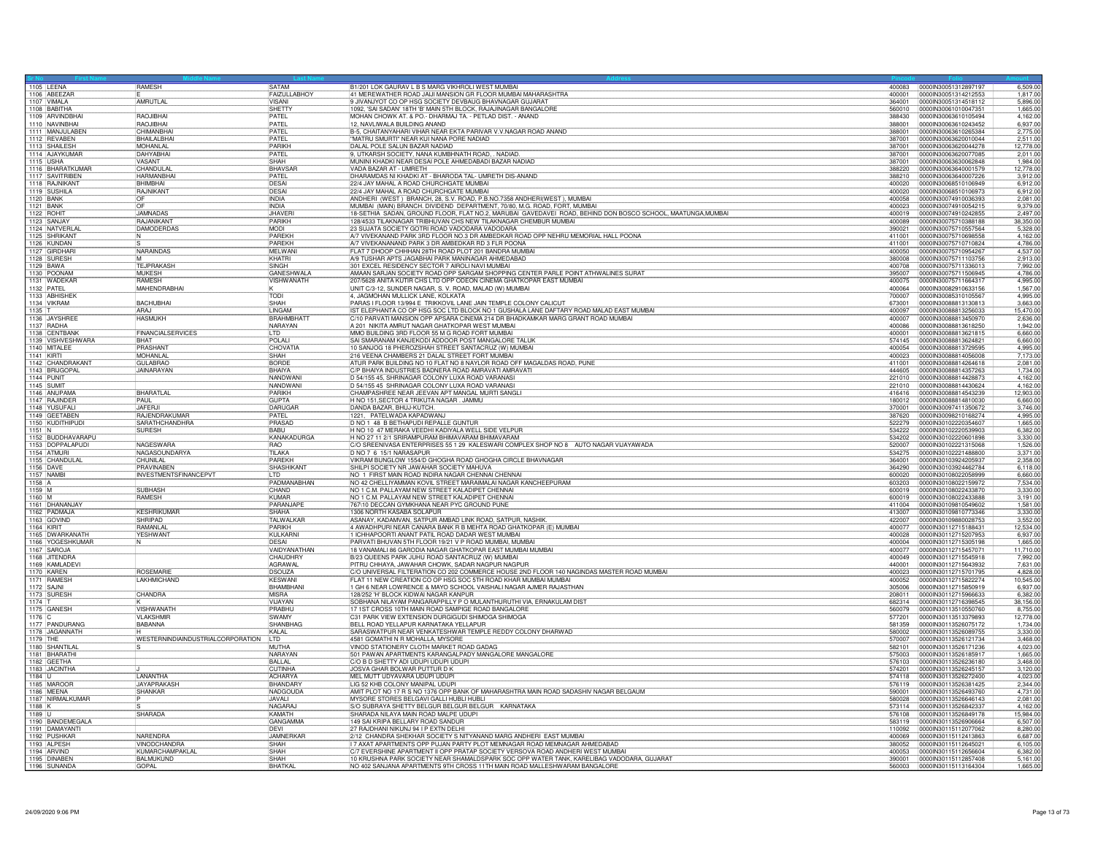|            | 1105 LEENA        | RAMESH                                | <b>SATAM</b>        | B1/201 LOK GAURAV L B S MARG VIKHROLI WEST MUMBAI                                                           |        | 400083 0000IN30051312897197 | 6,509.00  |
|------------|-------------------|---------------------------------------|---------------------|-------------------------------------------------------------------------------------------------------------|--------|-----------------------------|-----------|
|            | 1106 ABEEZAF      |                                       | <b>FAIZULLABHOY</b> | 41 MEREWATHER ROAD JAIJI MANSION GR FLOOR MUMBAI MAHARASHTRA                                                | 400001 | 0000IN30051314212553        | 1,817.00  |
|            | 1107 VIMALA       | AMRUTLAL                              | <b>VISANI</b>       | 9 JIVANJYOT CO OP HSG SOCIETY DEVBAUG BHAVNAGAR GUJARAT                                                     | 364001 | 0000lN30051314518112        | 5,896.00  |
|            | 1108 BABITHA      |                                       | SHETTY              | 1092, 'SAI SADAN' 18TH 'B' MAIN 5TH BLOCK, RAJAJINAGAR BANGALORE                                            | 560010 | 0000IN30061010047351        | 1.665.00  |
|            | 1109 ARVINDBHA    | RAQJIBHAI                             | PATEL               | MOHAN CHOWK AT. & PO.- DHARMAJ TA. - PETLAD DIST. - ANAND                                                   | 388430 | 00000830063610105494        | 4.162.00  |
|            | 1110 NAVINBHAI    | RAOJIBHAI                             | PATEL               | 12, NAVLIWALA BUILDING ANAND                                                                                | 388001 | 0000IN30063610243452        | 6,937.00  |
|            | 1111 MANJULABEN   | CHIMANBHAI                            | PATEL               | B-5, CHAITANYAHARI VIHAR NEAR EKTA PARIVAR V.V.NAGAR ROAD ANAND                                             | 388001 | 0000IN30063610265384        | 2,775.00  |
|            | 1112 REVABEN      | <b>BHAILALBHAI</b>                    | PATEL               | "MATRU SMURTI" NEAR KUI NANA PORE NADIAD                                                                    | 387001 | 0000IN30063620010044        | 2.511.00  |
|            | 1113 SHAILESH     | <b>MOHANI AI</b>                      | PARIKH              | DALAL POLE SALUN BAZAR NADIAD                                                                               | 387001 | 0000IN30063620044278        | 12,778.00 |
|            | 1114 AJAYKUMAR    | <b>DAHYABHA</b>                       | PATFL               | 9, UTKARSH SOCIETY, NANA KUMBHNATH ROAD, . NADIAD.                                                          | 387001 | 0000IN30063620077085        | 2.011.00  |
| 1115 USHA  |                   | VASANT                                | SHAH                | MUNINI KHADKI NEAR DESAI POLE AHMEDABADI BAZAR NADIAD                                                       | 387001 | 0000IN30063630062848        | 1,984.00  |
|            | 1116 BHARATKUMAF  | CHANDULAL                             | <b>BHAVSAF</b>      | VADA BAZAR AT - UMRETH                                                                                      | 388220 | 0000IN30063640001579        | 12,778.00 |
|            | 1117 SAVITRIBEN   | <b>HARMANRHA</b>                      | PATEL               | DHARAMDAS NI KHADKI AT - BHARODA TAL- UMRETH DIS-ANAND                                                      | 388210 | 0000IN30063640007226        | 3.912.00  |
|            | 1118 RAJNIKANT    | <b>BHIMBHAI</b>                       | <b>DESAI</b>        | 22/4 JAY MAHAL A ROAD CHURCHGATE MUMBAI                                                                     | 400020 | 0000IN30068510106949        | 6.912.00  |
|            | 1119 SUSHILA      | RAJNIKANT                             | DESAL               | 22/4 JAY MAHAL A ROAD CHURCHGATE MUMBAI                                                                     | 400020 | 0000IN30068510106973        | 6,912.00  |
| 1120 BANK  |                   | OF                                    | INDIA               | ANDHERI (WEST) BRANCH, 28, S.V. ROAD, P.B.NO.7358 ANDHERI(WEST), MUMBAI                                     | 400058 | 0000lN30074910036393        | 2.081.00  |
| 1121 BANK  |                   |                                       | <b>INDIA</b>        | MUMBAI (MAIN) BRANCH. DIVIDEND DEPARTMENT, 70/80, M.G. ROAD, FORT, MUMBAI                                   | 400023 | 0000IN30074910054215        | 9,379.00  |
| 1122 ROHIT |                   | <b>JAMNADAS</b>                       | <b>JHAVER</b>       | 18-SETHIA SADAN, GROUND FLOOR, FLAT NO.2, MARUBAI GAVEDAVEI ROAD, BEHIND DON BOSCO SCHOOL, MAATUNGA, MUMBAI | 400019 | 0000IN30074910242855        | 2.497.00  |
|            | 1123 SANJAY       | <b>RAIANIKANT</b>                     | PARIKH              | 128/4533 TILAKNAGAR TRIBHUVAN CHS NEW TILAKNAGAR CHEMBUR MUMBAI                                             | 400089 | 0000IN30075710388188        | 38,350.00 |
|            | 1124 NATVERLAL    | <b>DAMODERDAS</b>                     | <b>MODI</b>         | 23 SUJATA SOCIETY GOTRI ROAD VADODARA VADODARA                                                              | 390021 | 00000N30075710557564        | 5.328.00  |
|            | 1125 SHRIKANT     |                                       | PAREKH              | A/7 VIVEKANAND PARK 3RD FLOOR NO.3 DR AMBEDKAR ROAD OPP NEHRU MEMORIAL HALL POONA                           | 411001 | 0000IN30075710698558        | 4.162.00  |
|            | 1126 KUNDAN       |                                       | PARFKH              | A/7 VIVEKANANAND PARK 3 DR AMBEDKAR RD 3 FLR POONA                                                          | 411001 | 0000IN30075710710824        | 4,786.00  |
|            | 1127 GIRDHARI     | NARAINDAS                             | <b>MELWAN</b>       | FLAT 7 DHOOP CHHHAN 28TH ROAD PLOT 201 BANDRA MUMBAI                                                        | 400050 | 0000IN30075710954267        | 4.537.00  |
|            | 1128 SURESH       | iM.                                   | KHATRI              | A/9 TUSHAR APTS JAGABHAI PARK MANINAGAR AHMEDABAD                                                           | 380008 | 0000IN30075711103756        | 2,913.00  |
| 1129 BAWA  |                   | <b>TEJPRAKASH</b>                     | <b>SINGH</b>        | 301 EXCEL RESIDENCY SECTOR 7 AIROLI NAVI MUMBAI                                                             | 400708 | 0000IN30075711336013        | 7,992.00  |
|            | 1130 POONAM       | <b>MUKESH</b>                         | <b>GANESHWALA</b>   | AMAAN SARJAN SOCIETY ROAD OPP SARGAM SHOPPING CENTER PARLE POINT ATHWALINES SURAT                           | 395007 | 0000IN30075711506945        | 4,786.00  |
|            | 1131 WADEKAR      | RAMESH                                | <b>VISHWANATH</b>   | 207/5628 ANITA KUTIR CHS LTD OPP ODEON CINEMA GHATKOPAR EAST MUMBAI                                         | 400075 | 0000IN30075711664317        | 4.995.00  |
| 1132 PATEL |                   | MAHENDRABHAI                          |                     | UNIT C/3-12, SUNDER NAGAR, S. V. ROAD, MALAD (W) MUMBAI                                                     | 400064 | 0000IN30082910633156        | 1.567.00  |
|            | 1133 ABHISHEK     |                                       | <b>TODI</b>         | 4, JAGMOHAN MULLICK LANE, KOLKATA                                                                           | 700007 | 0000IN30085310105567        | 4,995.00  |
|            | 1134 VIKRAM       | BACHUBHAI                             | <b>SHAH</b>         | PARAS I FLOOR 13/994 E TRIKKOVIL LANE JAIN TEMPLE COLONY CALICUT                                            | 673001 | 0000IN30088813130813        | 3.663.00  |
| 1135       |                   | ARAJ                                  | LINGAM              | IST ELEPHANTA CO OP HSG SOC LTD BLOCK NO 1 GUSHALA LANE DAFTARY ROAD MALAD EAST MUMBAI                      | 400097 | 0000IN30088813256033        | 15.470.00 |
|            | 1136 JAYSHREE     | <b>HASMUKH</b>                        | BRAHMBHAT           | C/10 PARVATI MANSION OPP APSARA CINEMA 214 DR BHADKAMKAR MARG GRANT ROAD MUMBAL                             | 400007 | 0000IN30088813450970        | 2.636.00  |
|            | 1137 RADHA        |                                       | NARAYAN             | A 201 NIKITA AMRUT NAGAR GHATKOPAR WEST MUMBAI                                                              | 400086 | 0000IN30088813618250        | 1,942.00  |
|            | 1138 CENTBANK     | FINANCIALSERVICES                     | LTD                 | MMO BUILDING 3RD FLOOR 55 M G ROAD FORT MUMBAI                                                              | 400001 | 0000IN30088813621815        | 6,660.00  |
|            | 1139 VISHVESHWARA | <b>BHAT</b>                           | POLAL               | SAI SMARANAM KANJEKODI ADDOOR POST MANGALORE TALUK                                                          | 574145 | 0000IN30088813624821        | 6,660.00  |
|            | 1140 MITALEE      | PRASHANT                              | CHOVATIA            | 10 SANJOG 18 PHEROZSHAH STREET SANTACRUZ (W) MUMBAI                                                         | 400054 | 0000IN30088813729595        | 4.995.00  |
| 1141 KIRTI |                   | MOHANLAL                              | SHAH                | 216 VEENA CHAMBERS 21 DALAL STREET FORT MUMBAI                                                              | 400023 | 0000IN30088814056008        | 7.173.00  |
|            | 1142 CHANDRAKANT  | <b>GULABRAO</b>                       | <b>BORDE</b>        | ATUR PARK BUILDING NO 10 FLAT NO 8 NAYLOR ROAD OFF MAGALDAS ROAD, PUNE                                      | 411001 | 0000IN30088814264618        | 2,081.00  |
|            | 1143 BRIJGOPAL    | <b>JAINARAYAN</b>                     | BHAIYA              | C/P BHAIYA INDUSTRIES BADNERA ROAD AMRAVATI AMRAVATI                                                        | 444605 | 0000IN30088814357263        | 1.734.00  |
|            | 1144 PUNIT        |                                       | NANDWANI            | D 54/155 45, SHRINAGAR COLONY LUXA ROAD VARANASI                                                            | 221010 | 0000IN30088814428873        | 4,162.00  |
| 1145 SUMIT |                   |                                       | NANDWANI            | D 54/155 45 SHRINAGAR COLONY LUXA ROAD VARANASI                                                             | 221010 | 0000IN30088814430624        | 4.162.00  |
|            | 1146 ANUPAMA      | <b>BHARATLAL</b>                      | PARIKH              | CHAMPASHREE NEAR JEEVAN APT MANGAL MURTI SANGLI                                                             | 416416 | 0000IN30088814543239        | 12,903.00 |
|            | 1147 RAJINDER     | PAUL                                  | GUPTA               | H NO 151, SECTOR 4 TRIKUTA NAGAR. JAMMU                                                                     | 180012 | 0000IN30088814810030        | 6.660.00  |
|            | 1148 YUSUFAL      | <b>JAFERJ</b>                         | <b>DARUGAR</b>      | DANDA BAZAR, BHUJ-KUTCH.                                                                                    | 370001 | 0000IN30097411350672        | 3.746.00  |
|            | 1149 GEETABEN     | RAJENDRAKUMAR                         | PATEL               | 1221, PATELWADA KAPADWANJ                                                                                   | 387620 | 0000IN30098210168274        | 4,995.00  |
|            | 1150 KUDITHIPUDI  | <b>SARATHCHANDHRA</b>                 | PRASAD              | D NO 1 48 B BETHAPUDI REPALLE GUNTUR                                                                        | 522279 | 0000IN30102220354607        | 1.665.00  |
| $1151$ N   |                   | <b>SURESH</b>                         | <b>RARII</b>        | H NO 10 47 MERAKA VEEDHI KADIYALA WELL SIDE VELPUR                                                          | 534222 | 0000lN30102220539903        | 6,382.00  |
|            | 1152 BUDDHAVARAPU |                                       | KANAKADURGA         | H NO 27 11 2/1 SRIRAMPURAM BHIMAVARAM BHIMAVARAM                                                            | 534202 | 0000IN30102220601898        | 3,330.00  |
|            | 1153 DOPPALAPUDI  | NAGESWARA                             | <b>RAO</b>          | C/O SREENIVASA ENTERPRISES 55 1 29 KALESWARI COMPLEX SHOP NO 8 AUTO NAGAR VIJAYAWADA                        | 520007 | 0000lN30102221315068        | 1,526.00  |
|            | 1154 ATMURI       | <b>NAGASOUNDARYA</b>                  | TILAKA              | D NO 7 6 15/1 NARASAPUR                                                                                     | 534275 | 0000IN30102221488800        | 3,371.00  |
|            | 1155 CHANDULAL    | CHUNILAL                              | PARFKH              | VIKRAM BUNGLOW 1554/D GHOGHA ROAD GHOGHA CIRCLE BHAVNAGAR                                                   | 364001 | 0000IN30103924205937        | 2,358.00  |
| 1156 DAVE  |                   | PRAVINABEN                            | SHASHIKANT          | SHILPI SOCIETY NR JAWAHAR SOCIETY MAHUVA                                                                    | 364290 | 0000IN30103924462784        | 6,118.00  |
|            | 1157 NAMB         | <b>INVESTMENTSFINANCEPVT</b>          | II TD.              | NO 1 FIRST MAIN ROAD INDIRA NAGAR CHENNAI CHENNAI                                                           | 600020 | 0000IN30108022058999        | 6,660.00  |
| 1158 A     |                   |                                       | PADMANABHAN         | NO 42 CHELLIYAMMAN KOVIL STREET MARAIMALAI NAGAR KANCHEEPURAM                                               | 603203 | 0000IN30108022159972        | 7,534.00  |
| 1159 M     |                   | <b>SUBHASH</b>                        | <b>CHAND</b>        | NO 1 C.M. PALLAYAM NEW STREET KALADIPET CHENNAL                                                             | 600019 | 0000IN30108022433870        | 3.330.00  |
| 1160 M     |                   | <b>RAMESH</b>                         | KUMAR               | NO 1 C.M. PALLAYAM NEW STREET KALADIPET CHENNAI                                                             | 600019 | 0000IN30108022433888        | 3.191.00  |
|            | 1161 DHANANJAY    |                                       | PARANJAPE           | 767\10 DECCAN GYMKHANA NEAR PYC GROUND PUNE                                                                 | 411004 | 00000N30109810549602        | 1,581.00  |
|            | 1162 PADMAJA      | <b>KESHRIKUMAR</b>                    | <b>SHAHA</b>        | 1306 NORTH KASABA SOLAPUR                                                                                   | 413007 | 0000lN30109810773346        | 3,330.00  |
|            | 1163 GOVIND       | <b>SHRIPAD</b>                        | <b>TAI WAI KAF</b>  | ASANAY, KADAMVAN, SATPUR AMBAD LINK ROAD, SATPUR, NASHIK.                                                   | 422007 | 0000IN30109880028753        | 3.552.00  |
| 1164 KIRIT |                   | <b>RAMANI AI</b>                      | PARIKH              | 4 AWADHPURI NEAR CANARA BANK R B MEHTA ROAD GHATKOPAR (E) MUMBAI                                            | 400077 | 0000IN30112715188431        | 12,534.00 |
|            | 1165 DWARKANATH   | YESHWANT                              | KULKARNI            | 1 ICHHAPOORTI ANANT PATIL ROAD DADAR WEST MUMBAI                                                            | 400028 | 0000lN30112715207953        | 6,937.00  |
|            | 1166 YOGESHKUMAR  |                                       | <b>DESAI</b>        | PARVATI BHUVAN 5TH FLOOR 19/21 V P ROAD MUMBAI, MUMBAI                                                      | 400004 | 0000IN30112715305198        | 1.665.00  |
|            | 1167 SAROJA       |                                       | VAIDYANATHAN        | 18 VANAMALI 86 GARODIA NAGAR GHATKOPAR EAST MUMBAI MUMBAI                                                   | 400077 | 0000lN30112715457071        | 11,710.00 |
|            | 1168 JITENDRA     |                                       | CHAUDHRY            | B/23 QUEENS PARK JUHU ROAD SANTACRUZ (W) MUMBAI                                                             | 400049 | 0000IN30112715545918        | 7.992.00  |
|            | 1169 KAMLADEVI    |                                       | AGRAWAL             | PITRU CHHAYA, JAWAHAR CHOWK, SADAR NAGPUR NAGPUR                                                            | 440001 | 0000IN30112715643932        | 7,631.00  |
|            | 1170 KAREN        | ROSEMARI                              | <b>DSOUZA</b>       | C/O UNIVERSAL FILTERATION CO 202 COMMERCE HOUSE 2ND FLOOR 140 NAGINDAS MASTER ROAD MUMBAI                   | 400023 | 0000lN30112715701795        | 4.828.0   |
|            | 1171 RAMESH       | <b>LAKHMICHAND</b>                    | <b>KESWAN</b>       | FLAT 11 NEW CREATION CO OP HSG SOC 5TH ROAD KHAR MUMBAI MUMBAI                                              | 400052 | 0000IN30112715822274        | 10,545.00 |
| 1172 SAJNI |                   |                                       | <b>BHAMBHAN</b>     | 1 GH 6 NEAR LOWRENCE & MAYO SCHOOL VAISHALI NAGAR AJMER RAJASTHAN                                           | 305006 | 0000IN30112715850919        | 6.937.00  |
|            | 1173 SURESH       | CHANDRA                               | <b>MISRA</b>        | 128/252 'H' BLOCK KIDWAI NAGAR KANPUR                                                                       | 208011 | 0000IN30112715966633        | 6.382.00  |
| 1174       |                   |                                       | <b>VIJAYAN</b>      | SOBHANA NILAYAM PANGARAPPILLY P O MULANTHURUTHI VIA, ERNAKULAM DIST                                         | 682314 | 0000IN30112716398545        | 38,156.00 |
|            | 1175 GANESH       | <b>VISHWANATH</b>                     | PRABHL              | 17 1ST CROSS 10TH MAIN ROAD SAMPIGE ROAD BANGALORE                                                          | 560079 | 0000lN30113510550760        | 8.755.00  |
| 1176 C     |                   | <b>VLAKSHMIR</b>                      | SWAMY               | C31 PARK VIEW EXTENSION DURGIGUDI SHIMOGA SHIMOGA                                                           | 577201 | 0000IN30113513379893        | 12,778.00 |
|            | 1177 PANDURANG    | <b>BABANNA</b>                        | SHANBHAG            | BELL ROAD YELLAPUR KARNATAKA YELLAPUR                                                                       | 581359 | 0000IN30113526075172        | 1.734.00  |
|            | 1178 JAGANNATH    |                                       | KALAL               | SARASWATPUR NEAR VENKATESHWAR TEMPLE REDDY COLONY DHARWAD                                                   | 580002 | 0000IN30113526089755        | 3,330.00  |
| 1179 THE   |                   | WESTERNINDIAINDUSTRIALCORPORATION LTD |                     | 4581 GOMATHI N R MOHALLA, MYSORE                                                                            | 570007 | 0000lN30113526121734        | 3,468.00  |
|            | 1180 SHANTILAL    |                                       | <b>MUTHA</b>        | VINOD STATIONERY CLOTH MARKET ROAD GADAG                                                                    | 582101 | 0000lN30113526171236        | 4,023.00  |
|            | 1181 BHARATHI     |                                       | NARAYAN             | 501 PAWAN APARTMENTS KARANGALPADY MANGALORE MANGALORE                                                       | 575003 | 0000IN30113526185917        | 1,665.00  |
|            | 1182 GEETHA       |                                       | <b>RALLAL</b>       | C/O B D SHETTY ADI UDUPI UDUPI UDUPI                                                                        | 576103 | 0000IN30113526236180        | 3,468.00  |
|            | 1183 JACINTHA     |                                       | <b>CUTINHA</b>      | JOSVA GHAR BOLWAR PUTTUR D K                                                                                | 574201 | 0000IN30113526245157        | 3,120.00  |
| $1184$ U   |                   | <b>LANANTHA</b>                       | ACHARYA             | MEL MUTT UDYAVARA UDUPI UDUPI                                                                               | 574118 | 00000130113526272400        | 4,023.00  |
|            | 1185 MAROOR       | <b>JAYAPRAKASH</b>                    | <b>BHANDARY</b>     | LIG 52 KHB COLONY MANIPAL UDUPI                                                                             | 576119 | 0000IN30113526381425        | 2,344.00  |
|            | 1186 MEENA        | <b>SHANKAR</b>                        | NADGOUDA            | AMIT PLOT NO 17 R S NO 1376 OPP BANK OF MAHARASHTRA MAIN ROAD SADASHIV NAGAR BELGAUM                        | 590001 | 0000IN30113526493760        | 4.731.00  |
|            | 1187 NIRMALKUMAR  |                                       | <b>JAVALL</b>       | MYSORE STORES BELGAVI GALLI HUBLI HUBLI                                                                     | 580028 | 0000IN30113526646143        | 2,081.00  |
| 1188 K     |                   |                                       | <b>NAGARA</b>       | S/O SUBRAYA SHETTY BELGUR BELGUR BELGUR KARNATAKA                                                           | 573114 | 0000IN30113526842337        | 4,162.00  |
| $1189$ U   |                   | <b>SHARADA</b>                        | KAMATH              | SHARADA NILAYA MAIN ROAD MALPE UDUPI                                                                        | 576108 | 0000IN30113526849178        | 15,984.00 |
|            | 1190 BANDEMEGALA  |                                       | GANGAMMA            | 149 SAI KRIPA BELLARY ROAD SANDUR                                                                           | 583119 | 0000lN30113526906664        | 6,507.00  |
|            | 1191 DAMAYANTI    |                                       | DFVI                | 27 RAJDHANI NIKUNJ 94 I P EXTN DELHI                                                                        | 110092 | 0000IN30115112077062        | 8.280.00  |
|            | 1192 PUSHKAR      | NARENDRA                              | JAMNERKAR           | 2/12 CHANDRA SHEKHAR SOCIETY S NITYANAND MARG ANDHERI EAST MUMBAI                                           | 400069 | 0000IN30115112413863        | 6,687.00  |
|            | 1193 ALPESH       | VINODCHANDR/                          | SHAH                | 7 AXAT APARTMENTS OPP PUJAN PARTY PLOT MEMNAGAR ROAD MEMNAGAR AHMEDABAD                                     |        | 0000IN30115112645021        | 6.105.00  |
|            | 1194 ARVIND       | KUMARCHAMPAKLAL                       | <b>SHAH</b>         | C/7 EVERSHINE APARTMENT II OPP PRATAP SOCIETY VERSOVA ROAD ANDHERI WEST MUMBAI                              | 400053 | 0000lN30115112656604        | 6.382.00  |
|            | 1195 DINABEN      | <b>BALMUKUND</b>                      | SHAH                | 10 KRUSHNA PARK SOCIETY NEAR SHAMALDSPARK SOC OPP WATER TANK, KARELIBAG VADODARA, GUJARAT                   | 390001 | 0000IN30115112857408        | 5.161.00  |
|            | 1196 SUNANDA      | <b>GOPAL</b>                          | BHATKAL             | NO 402 SANJANA APARTMENTS 9TH CROSS 11TH MAIN ROAD MALLESHWARAM BANGALORE                                   | 560003 | 00000030115113164304        | 1,665.00  |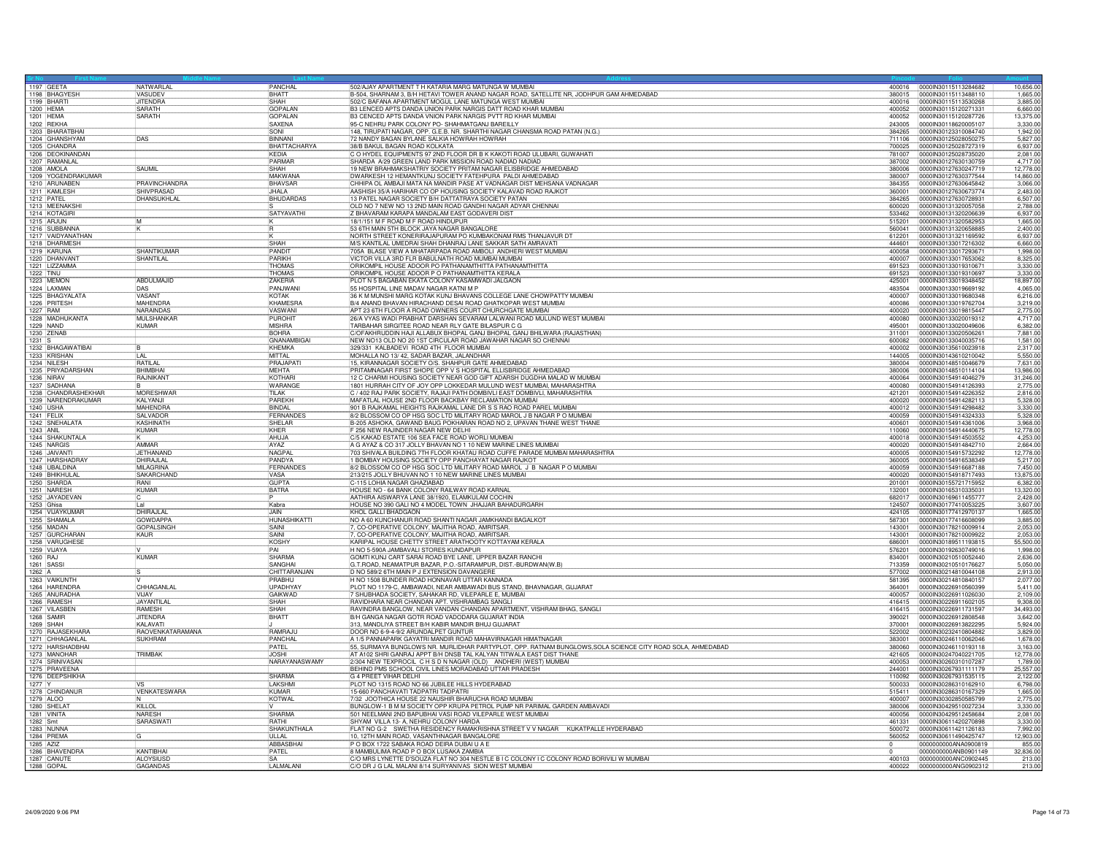| 1197 GEETA                          | NATWARLAL                      | PANCHAL                      | 502/AJAY APARTMENT T H KATARIA MARG MATUNGA W MUMBAI                                                                                              | 400016           | 0000IN30115113284682                         | 10,656.00             |
|-------------------------------------|--------------------------------|------------------------------|---------------------------------------------------------------------------------------------------------------------------------------------------|------------------|----------------------------------------------|-----------------------|
| 1198 BHAGYESH<br>1199 BHARTI        | VASUDEV<br><b>LIITENDRA</b>    | BHATT<br>SHAH                | B-504, SHARNAM 3, B/H HETAVI TOWER ANAND NAGAR ROAD, SATELLITE NR, JODHPUR GAM AHMEDABAD<br>502/C BAFANA APARTMENT MOGUL LANE MATUNGA WEST MUMBAI | 380015<br>400016 | 0000IN30115113488110<br>0000IN30115113530268 | 1.665.00<br>3.885.00  |
| 1200 HEMA                           | SARATH                         | <b>GOPALAN</b>               | B3 LENCED APTS DANDA UNION PARK NARGIS DATT ROAD KHAR MUMBAL                                                                                      | 400052           | 0000IN30115120271331                         | 6,660.00              |
| 1201 HEMA                           | <b>SARATH</b>                  | GOPALAN                      | B3 CENCED APTS DANDA VNION PARK NARGIS PVTT RD KHAR MUMBAI                                                                                        | 400052           | 0000lN30115120287726                         | 13,375.00             |
| 1202 REKHA                          |                                | <b>SAXENA</b>                | 95-C NEHRU PARK COLONY PO- SHAHMATGANJ BAREILLY                                                                                                   | 243005           | 0000IN30118620005107                         | 3,330.00              |
| 1203 BHARATBHA                      |                                | <b>ISONI</b>                 | 148, TIRUPATI NAGAR, OPP. G.E.B. NR. SHARTHI NAGAR CHANSMA ROAD PATAN (N.G.)                                                                      | 384265           | 0000IN30123310084740                         | 1.942.00              |
| 1204 GHANSHYAM                      | DAS                            | RINNANI                      | 72 NANDY BAGAN BYLANE SALKIA HOWRAH HOWRAH                                                                                                        | 711106           | 0000IN30125028050275                         | 5.827.00              |
| 1205 CHANDRA                        |                                | BHATTACHARYA                 | 38/B BAKUL BAGAN ROAD KOLKATA                                                                                                                     | 700025           | 0000IN30125028727319                         | 6,937.00              |
| 1206 DEOKINANDAN                    |                                | KFDIA                        | O HYDEL EQUIPMENTS 97 2ND FLOOR DR B K KAKOTI ROAD ULUBARI, GUWAHATI                                                                              | 781007           | 0000IN30125028735020                         | 2.081.00              |
| 1207 RAMANLAL<br>1208 AMOLA         | SAUMIL                         | PARMAR                       | SHARDA A/29 GREEN LAND PARK MISSION ROAD NADIAD NADIAD<br>19 NEW BRAHMAKSHATRIY SOCIETY PRITAM NAGAR ELISBRIDGE AHMEDABAD                         | 387002           | 0000IN30127630130759                         | 4,717.00<br>12.778.00 |
|                                     |                                | <b>SHAH</b><br><b>MAKWAN</b> |                                                                                                                                                   | 380006<br>380007 | 0000IN30127630247719                         |                       |
| 1209 YOGENDRAKUMAR<br>1210 ARUNABEN | PRAVINCHANDRA                  | <b>BHAVSAR</b>               | DWARKESH 12 HEMANTKUNJ SOCIETY FATEHPURA PALDI AHMEDABAD<br>CHHIPA OL AMBAJI MATA NA MANDIR PASE AT VADNAGAR DIST MEHSANA VADNAGAR                | 384355           | 0000IN30127630377544<br>0000lN30127630645842 | 14,860.00<br>3,066.00 |
| 1211 KAMLESH                        | SHIVPRASAD                     | JHALA                        | AASHISH 35/A HARIHAR CO OP HOUSING SOCIETY KALAVAD ROAD RAJKOT                                                                                    | 360001           | 0000IN30127630673774                         | 2.483.00              |
| 1212 PATEL                          | <b>DHANSUKHLAL</b>             | BHUDARDAS                    | 13 PATEL NAGAR SOCIETY B/H DATTATRAYA SOCIETY PATAN                                                                                               | 384265           | 0000IN30127630728931                         | 6,507.00              |
| 1213 MEENAKSHI                      |                                |                              | OLD NO 7 NEW NO 13 2ND MAIN ROAD GANDHI NAGAR ADYAR CHENNAL                                                                                       | 600020           | 0000IN30131320057058                         | 2.788.00              |
| 1214 KOTAGIRI                       |                                | SATYAVATHI                   | Z BHAVARAM KARAPA MANDALAM EAST GODAVERI DIST                                                                                                     | 533462           | 0000lN30131320206639                         | 6,937.00              |
| 1215 ARJUN                          | M                              |                              | 18/1/151 M F ROAD M F ROAD HINDUPUR                                                                                                               | 515201           | 0000IN30131320582953                         | 1.665.00              |
| 1216 SUBBANNA                       |                                |                              | 53 6TH MAIN 5TH BLOCK JAYA NAGAR BANGALORI                                                                                                        | 560041           | 0000IN30131320658885                         | 2,400.00              |
| 1217 VAIDYANATHAN<br>1218 DHARMESH  |                                | SHAH                         | NORTH STREET KONERIRAJAPURAM PO KUMBAKONAM RMS THANJAVUR DT<br>M/S KANTILAL UMEDRAI SHAH DHANRAJ LANE SAKKAR SATH AMRAVATI                        | 612201<br>444601 | 0000IN30131321169592<br>0000IN30133017216302 | 6.937.00<br>6.660.00  |
| 1219 KARUNA                         | SHANTIKUMAI                    | PANDIT                       | 705A BLASE VIEW A MHATARPADA ROAD AMBOLI ANDHERI WEST MUMBAI                                                                                      | 400058           | 0000IN30133017293671                         | 1,998.00              |
| 1220 DHANVANT                       | SHANTILAI                      | PARIKH                       | VICTOR VILLA 3RD FLR BABULNATH ROAD MUMBAI MUMBAI                                                                                                 | 400007           | 0000IN30133017653062                         | 8.325.00              |
| 1221 LIZZAMMA                       |                                | <b>THOMAS</b>                | ORIKOMPIL HOUSE ADOOR PO PATHANAMTHITTA PATHANAMTHITTA                                                                                            | 691523           | 0000IN30133019310671                         | 3,330.00              |
| 1222 TINU                           |                                | THOMAS                       | ORIKOMPIL HOUSE ADOOR P O PATHANAMTHITTA KERALA                                                                                                   | 691523           | 0000030133019310697                          | 3.330.00              |
| 1223 MEMON                          | ABDULMAJID                     | <b>ZAKERIA</b>               | PLOT N 5 BAGABAN EKATA COLONY KASAMWADI JALGAON                                                                                                   | 425001           | 0000IN30133019348452                         | 18,897.00             |
| 1224 LAXMAN                         | DAS                            | PANJWAN                      | 55 HOSPITAL LINE MADAV NAGAR KATNI M P                                                                                                            | 483504           | 0000IN30133019669192                         | 4.065.00              |
| 1225 BHAGYALATA                     | VASANT                         | <b>KOTAK</b>                 | 36 K M MUNSHI MARG KOTAK KUNJ BHAVANS COLLEGE LANE CHOWPATTY MUMBAI                                                                               | 400007           | 0000IN30133019680348                         | 6,216.00              |
| 1226 PRITESH                        | MAHENDRA                       | KHAMESRA                     | B/4 ANAND BHAVAN HIRACHAND DESAI ROAD GHATKOPAR WEST MUMBAI                                                                                       | 400086           | 0000IN30133019762704<br>0000IN30133019815447 | 3,219.00              |
| 1227 RAM<br>1228 MADHUKANTA         | NARAINDAS<br><b>MULSHANKAF</b> | VASWANI<br>PUROHIT           | APT 23 6TH FLOOR A ROAD OWNERS COURT CHURCHGATE MUMBAI<br>26/A VYAS WADI PRABHAT DARSHAN SEVARAM LALWANI ROAD MULUND WEST MUMBAI                  | 400020<br>400080 | 0000IN30133020019312                         | 2.775.00<br>4,717.00  |
| 1229 NAND                           | KUMAR                          | MISHRA                       | TARBAHAR SIRGITEE ROAD NEAR RLY GATE BILASPUR C G                                                                                                 | 495001           | 0000IN30133020049606                         | 6.382.00              |
| 1230 ZENAE                          |                                | <b>BOHRA</b>                 | C/OFAKHRUDDIN HAJI ALLABUX BHOPAL GANJ BHOPAL GANJ BHILWARA (RAJASTHAN)                                                                           | 311001           | 0000IN30133020506261                         | 7.881.00              |
| $1231$ S                            |                                | GNANAMBIGAI                  | NEW NO13 OLD NO 20 1ST CIRCULAR ROAD JAWAHAR NAGAR SO CHENNAL                                                                                     | 600082           | 0000IN30133040035716                         | 1,581.00              |
| 1232 BHAGAWATIBAI                   |                                | KHFMKA                       | 329/331 KALBADEVI ROAD 4TH FLOOR MUMBAI                                                                                                           | 400002           | 0000IN30135610023918                         | 2.317.00              |
| 1233 KRISHAN                        | $\overline{H}$ Al              | MITTAI                       | MOHALLA NO 13/42, SADAR BAZAR, JALANDHAR                                                                                                          | 144005           | 0000lN30143610210042                         | 5,550.00              |
| 1234 NILESH                         | RATILAL                        | PRAJAPAT                     | 15, KIRANNAGAR SOCIETY O/S. SHAHPUR GATE AHMEDABAD                                                                                                | 380004           | 0000IN30148510046679                         | 7.631.00              |
| 1235 PRIYADARSHAN                   | <b>BHIMBHA</b>                 | <b>MEHTA</b>                 | PRITAMNAGAR FIRST SHOPE OPP V S HOSPITAL ELLISBRIDGE AHMEDABAD                                                                                    | 380006           | 0000lN30148510114104                         | 13,986.00             |
| <b>1236 NIRAV</b>                   | RAJNIKANT                      | KOTHARI<br><b>WARANGE</b>    | 12 C CHARMI HOUSING SOCIETY NEAR GOD GIFT ADARSH DUGDHA MALAD W MUMBAI<br>1801 HURRAH CITY OF JOY OPP LOKKEDAR MULUND WEST MUMBAI, MAHARASHTRA    | 400064           | 0000IN30154914046279                         | 31.246.00             |
| 1237 SADHANA<br>1238 CHANDRASHEKHAR | <b>MORESHWAR</b>               | TII AK                       | C / 402 RAJ PARK SOCIETY, RAJAJI PATH DOMBIVLI EAST DOMBIVLI, MAHARASHTRA                                                                         | 400080<br>421201 | 0000IN30154914126393<br>0000IN30154914226352 | 2,775.00<br>2,816.00  |
| 1239 NARENDRAKUMAR                  | KALYANJI                       | <b>PAREKH</b>                | MAFATLAL HOUSE 2ND FLOOR BACKBAY RECLAMATION MUMBAI                                                                                               | 400020           | 0000IN30154914282113                         | 5,328.00              |
| 1240 USHA                           | <b>MAHENDRA</b>                | BINDAL                       | 901 B RAJKAMAL HEIGHTS RAJKAMAL LANE DR S S RAO ROAD PAREL MUMBAI                                                                                 | 400012           | 0000lN30154914298482                         | 3,330.00              |
| 1241 FELIX                          | SALVADOR                       | FERNANDES                    | 8/2 BLOSSOM CO OP HSG SOC LTD MILITARY ROAD MAROL J B NAGAR P O MUMBAI                                                                            | 400059           | 0000IN30154914324333                         | 5,328.00              |
| 1242 SNEHALATA                      | <b>KASHINATH</b>               | SHELAR                       | B-205 ASHOKA, GAWAND BAUG POKHARAN ROAD NO 2, UPAVAN THANE WEST THANE                                                                             | 400601           | 0000IN30154914361006                         | 3.968.00              |
| 1243 ANIL                           | <b>KUMAR</b>                   | KHER                         | F 256 NEW RAJINDER NAGAR NEW DELHI                                                                                                                | 110060           | 0000lN30154914440675                         | 12,778.00             |
| 1244 SHAKUNTALA                     |                                | AHUJA                        | C/5 KAKAD ESTATE 106 SEA FACE ROAD WORLI MUMBAI                                                                                                   | 400018           | 0000IN30154914503552                         | 4,253.00              |
| 1245 NARGIS                         | AMMAR                          | AYAZ                         | A G AYAZ & CO 317 JOLLY BHAVAN NO 1 10 NEW MARINE LINES MUMBAI                                                                                    | 400020           | 0000lN30154914842710                         | 2,664.00              |
| 1246 JAIVANT                        | JFTHANAND                      | <b>NAGPAL</b>                | 703 SHIVALA BUILDING 7TH FLOOR KHATAU ROAD CUFFE PARADE MUMBAI MAHARASHTRA                                                                        | 400005           | 0000IN30154915732292                         | 12,778.00             |
| 1247 HARSHADRAY                     | DHIRAJLAL                      | PANDYA                       | 1 BOMBAY HOUSING SOCIETY OPP PANCHAYAT NAGAR RAJKOT                                                                                               | 360005           | 0000IN30154916538349                         | 5,217.00              |
| 1248 UBALDINA<br>1249 BHIKHULAL     | MILAGRINA<br>SAKARCHAND        | <b>FERNANDE</b><br>VASA      | 8/2 BLOSSOM CO OP HSG SOC LTD MILITARY ROAD MAROL J B NAGAR P O MUMBAI<br>213/215 JOLLY BHUVAN NO 1 10 NEW MARINE LINES MUMBAI                    | 400059<br>400020 | 0000lN30154916687188<br>0000lN30154918717493 | 7,450.00<br>13,875.00 |
| 1250 SHARDA                         | RANI                           | <b>GUPTA</b>                 | C-115 LOHIA NAGAR GHAZIABAD                                                                                                                       | 201001           | 0000IN30155721715952                         | 6.382.00              |
| 1251 NARESH                         | KUMAR                          | <b>BATRA</b>                 | HOUSE NO - 64 BANK COLONY RAILWAY ROAD KARNAL                                                                                                     | 132001           | 0000IN30165310335031                         | 13.320.00             |
| 1252 JAYADEVAN                      |                                |                              | AATHIRA AISWARYA LANE 38/1920, ELAMKULAM COCHIN                                                                                                   | 682017           | 0000IN30169611455777                         | 2,428.00              |
| 1253 Ghisa                          | Lal                            | Kabra                        | HOUSE NO 390 GALI NO 4 MODEL TOWN JHAJJAR BAHADURGARH                                                                                             | 124507           | 0000IN30177410053225                         | 3.607.00              |
| 1254 VIJAYKUMAR                     | DHIRAJLAL                      | JAIN                         | KHOL GALLI BHADGAON                                                                                                                               | 424105           | 0000lN30177412970137                         | 1,665.00              |
| 1255 SHAMALA                        | <b>GOWDAPP</b>                 | <b>HUNASHIKATTI</b>          | NO A 60 KUNCHANUR ROAD SHANTI NAGAR JAMKHANDI BAGALKOT                                                                                            | 587301           | 0000IN30177416608099                         | 3.885.00              |
| 1256 MADAN                          | <b>GOPALSINGH</b>              | SAINI                        | 7, CO-OPERATIVE COLONY, MAJITHA ROAD, AMRITSAR.                                                                                                   | 143001           | 0000IN30178210009914                         | 2.053.00              |
| 1257 GURCHARAN<br>1258 VARUGHESE    | KAUR                           | SAINI<br>KOSHY               | 7, CO-OPERATIVE COLONY, MAJITHA ROAD, AMRITSAR.<br>KARIPAL HOUSE CHETTY STREET ARATHOOTY KOTTAYAM KERALA                                          | 143001<br>686001 | 0000lN30178210009922<br>0000IN30189511193815 | 2,053.00<br>55,500.00 |
| 1259 VIJAYA                         |                                | PAI                          | H NO 5-590A JAMBAVALI STORES KUNDAPUR                                                                                                             | 576201           | 0000IN30192630749016                         | 1.998.00              |
| 1260 RAJ                            | KUMAR                          | SHARMA                       | GOMTI KUNJ CART SARAI ROAD BYE LANE, UPPER BAZAR RANCHI                                                                                           | 834001           | 0000IN30210510052440                         | 2.636.00              |
| 1261 SASSI                          |                                | <b>SANGHAI</b>               | G.T.ROAD, NEAMATPUR BAZAR, P.O.-SITARAMPUR, DIST.-BURDWAN(W.B)                                                                                    | 713359           | 0000IN30210510176627                         | 5.050.00              |
| 1262 A                              |                                | CHITTARANJAN                 | D NO 589/2 6TH MAIN P J EXTENSION DAVANGERE                                                                                                       | 577002           | 0000lN30214810044108                         | 2.913.00              |
| 1263 VAIKUNTH                       |                                | PRABHU                       | H NO 1508 BUNDER ROAD HONNAVAR UTTAR KANNADA                                                                                                      | 581395           | 0000IN30214810840157                         | 2.077.00              |
| 1264 HARFNDRA                       | CHHAGANI AI                    | UPADHYA'                     | PLOT NO 1179-C. AMBAWADL NEAR AMBAWADLBUS STAND, BHAVNAGAR, GUJARAT                                                                               | 364001           | 0000IN30226910560399                         | 5.411.00              |
| 1265 ANURADHA                       | <b>VLIAY</b>                   | <b>GAIKWAD</b>               | 7 SHUBHADA SOCIETY, SAHAKAR RD, VILEPARLE E, MUMBAI                                                                                               | 400057           | 0000IN30226911026030                         | 2.109.00              |
| 1266 RAMESH                         | <b>JAYANTILAI</b><br>RAMESH    | <b>SHAH</b><br>SHAH          | RAVIDHARA NEAR CHANDAN APT. VISHRAMBAG SANGLI                                                                                                     | 416415<br>416415 | 0000IN30226911602105<br>0000IN30226911731597 | 9,308.00<br>34.493.00 |
| 1267 VILASBEN<br>1268 SAMIR         | <b>JITENDRA</b>                | BHATT                        | RAVINDRA BANGLOW, NEAR VANDAN CHANDAN APARTMENT, VISHRAM BHAG, SANGLI<br>B/H GANGA NAGAR GOTR ROAD VADODARA GUJARAT INDIA                         | 390021           | 0000IN30226912808548                         | 3,642.00              |
| 1269 SHAH                           | <b>KAI AVAT</b>                |                              | 313, MANDLIYA STREET B/H KABIR MANDIR BHUJ GUJARAT                                                                                                | 370001           | 0000IN30226913822295                         | 5.924.00              |
| 1270 RAJASEKHARA                    | <b>RAOVENKATARAMANA</b>        | RAMRA.IU                     | DOOR NO 6-9-4-9/2 ARUNDALPET GUNTUR                                                                                                               | 522002           | 0000IN30232410804882                         | 3.829.00              |
| 1271 CHHAGANLAL                     | <b>SUKHRAM</b>                 | PANCHAL                      | A 1/5 PANNAPARK GAYATRI MANDIR ROAD MAHAVIRNAGAR HIMATNAGAR                                                                                       | 383001           | 0000lN30246110062046                         | 1,678.00              |
| 1272 HARSHADBHA                     |                                | PATEL                        | 55, SURMAYA BUNGLOWS NR. MURLIDHAR PARTYPLOT, OPP. RATNAM BUNGLOWS, SOLA SCIENCE CITY ROAD SOLA, AHMEDABAD                                        | 380060           | 0000IN30246110193118                         | 3.163.00              |
| 1273 MANOHAR                        | <b>TRIMBAK</b>                 | <b>IJOSHI</b>                | AT A102 SHRI GANRAJ APPT B/H DNSB TAL KALYAN TITWALA EAST DIST THANE                                                                              | 421605           | 0000IN30247040221705                         | 12,778.00             |
| 1274 SRINIVASAN                     |                                | NARAYANASWAMY                | 2/304 NEW TEXPROCIL C H S D N NAGAR (OLD) ANDHERI (WEST) MUMBAI<br>BEHIND PMS SCHOOL CIVIL LINES MORADABAD UTTAR PRADESH                          | 400053           | 0000IN30260310107287                         | 1.789.00              |
| 1275 PRAVEENA<br>1276 DEEPSHIKHA    |                                | SHARMA                       | <b>G 4 PREET VIHAR DELHI</b>                                                                                                                      | 244001<br>110092 | 0000IN30267931111179<br>0000IN30267931535115 | 25,557.00<br>2,122.00 |
| 1277 Y                              |                                | LAKSHMI                      | PLOT NO 1315 ROAD NO 66 JUBILEE HILLS HYDERABAD                                                                                                   | 500033           | 0000IN30286310162910                         | 6,798.00              |
| 1278 CHINDANUR                      | <b>VENKATESWARA</b>            | KUMAR                        | 15-660 PANCHAVATI TADPATRI TADPATRI                                                                                                               | 515411           | 0000IN30286310167329                         | 1,665.00              |
| 1279 ALOO                           |                                | KOTWAL                       | 7/32 JOOTHICA HOUSE 22 NAUSHIR BHARUCHA ROAD MUMBAI                                                                                               | 400007           | 0000IN30302850585799                         | 2,775.00              |
| 1280 SHELA                          | KILO                           |                              | BUNGLOW-1 B M M SOCIETY OPP KRUPA PETROL PUMP NR PARIMAL GARDEN AMBAVADI                                                                          | 380006           | 0000IN30429510027234                         | 3.330.00              |
| 1281 VINITA                         | <b>NARESH</b>                  | <b>SHARMA</b>                | 501 NEELMANI 2ND BAPUBHAI VASI ROAD VILEPARLE WEST MUMBAI                                                                                         | 400056           | 0000lN30429512458684                         | 2,081.00              |
| 1282 Smt                            | SARASWATI                      | <b>RATHI</b>                 | SHYAM VILLA 13- A, NEHRU COLONY HARDA                                                                                                             | 461331           | 0000IN30611420270898                         | 3,330.00              |
| <b>1283 NUNN</b>                    |                                | SHAKUNTHALA                  | FLAT NO G-2 SWETHA RESIDENCY RAMAKRISHNA STREET V V NAGAR KUKATPALLE HYDERABAD                                                                    | 500072           | 00000N30611421126183                         | 7,992.00              |
| 1284 PREMA<br>1285 AZIZ             |                                | UILAI<br>ABBASBHA            | 10, 12TH MAIN ROAD, VASANTHNAGAR BANGALORE<br>P O BOX 1722 SABAKA ROAD DEIRA DUBAI U A E                                                          | 560052           | 0000IN30611490425747<br>0000000000ANA0900819 | 12,903.00<br>855.00   |
| 1286 BHAVENDRA                      | KANTIBHA                       | PATEL                        | 8 MAMBULIMA ROAD P O BOX LUSAKA ZAMBIA                                                                                                            |                  | 0000000000ANB0901149                         | 32,836.00             |
| 1287 CANUTE                         | <b>ALOYSIUSD</b>               | <b>SA</b>                    | C/O MRS LYNETTE D'SOUZA FLAT NO 304 NESTLE B I C COLONY I C COLONY ROAD BORIVILI W MUMBAI                                                         | 400103           | 0000000000ANC0902445                         | 213.00                |
| 1288 GOPAL                          | GAGANDAS                       | LALMALANI                    | C/O DR J G LAL MALANI 8/14 SURYANIVAS SION WEST MUMBAI                                                                                            | 400022           | 0000000000ANG0902312                         | 213.00                |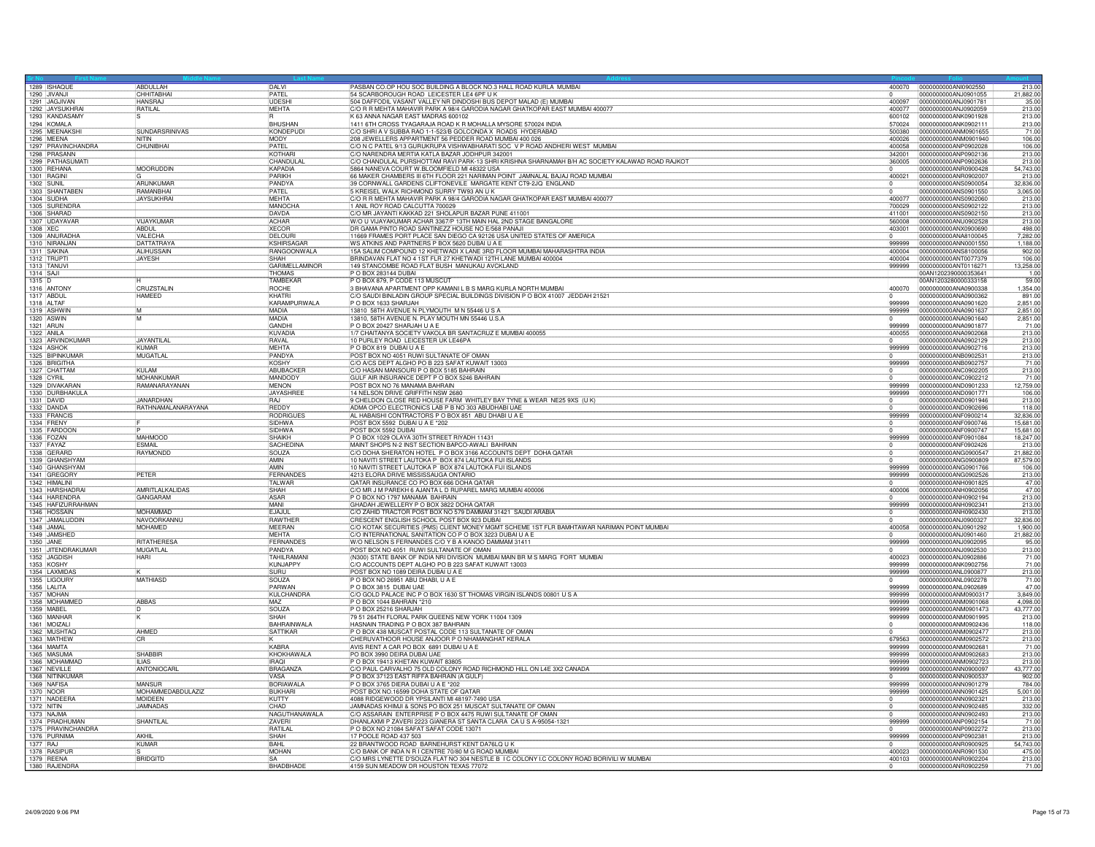|            | 1289 ISHAQUE<br>1290 JIVANJI        | ABDULLAH<br>CHHITABHAI              | DAI VI<br>PATEL              | PASBAN CO.OP HOU SOC BUILDING A BLOCK NO.3 HALL ROAD KURLA MUMBAI<br>54 SCARBOROUGH ROAD LEICESTER LE4 6PF U K                                   |                          | 400070 0000000000ANI0902550<br>0000000000ANJ0901055 | 213.00<br>21.882.00  |
|------------|-------------------------------------|-------------------------------------|------------------------------|--------------------------------------------------------------------------------------------------------------------------------------------------|--------------------------|-----------------------------------------------------|----------------------|
|            | 1291 JAGJIVAN                       | <b>HANSRAJ</b>                      | <b>IIDESHI</b>               | 504 DAFFODIL VASANT VALLEY NR DINDOSHI BUS DEPOT MALAD (E) MUMBAI                                                                                | 400097                   | 0000000000ANJ0901781                                | 35.00                |
|            | 1292 JAYSUKHRAI                     | RATILAL                             | MEHTA                        | C/O R R MEHTA MAHAVIR PARK A 98/4 GARODIA NAGAR GHATKOPAR EAST MUMBAI 400077                                                                     |                          | 400077  0000000000ANJ0902059                        | 213.00               |
|            | 1293 KANDASAMY                      |                                     |                              | K 63 ANNA NAGAR EAST MADRAS 600102                                                                                                               | 600102                   | 0000000000ANK0901928                                | 213.00               |
|            | 1294 KOMALA                         | <b>SUNDARSRINIVAS</b>               | <b>BHUSHAN</b><br>KONDEPUD   | 1411 6TH CROSS TYAGARAJA ROAD K R MOHALLA MYSORE 570024 INDIA<br>C/O SHRI A V SUBBA RAO 1-1-523/B GOLCONDA X ROADS HYDERABAD                     | 570024                   | 0000000000ANK0902111                                | 213.00<br>71.00      |
|            | 1295 MEENAKSH<br>1296 MEENA         | <b>NITIN</b>                        | <b>MODY</b>                  | 208 JEWELLERS APPARTMENT 56 PEDDER ROAD MUMBAI 400 026                                                                                           | 500380<br>400026         | 0000000000ANM0901655<br>0000000000ANM0901940        | 106.00               |
|            | 1297 PRAVINCHANDRA                  | CHUNIBHAI                           | PATEL                        | C/O N C PATEL 9/13 GURUKRUPA VISHWABHARATI SOC V P ROAD ANDHERI WEST MUMBAI                                                                      | 400058                   | 0000000000ANP0902028                                | 106.00               |
|            | 1298 PRASANN                        |                                     | KOTHARI                      | C/O NARENDRA MERTIA KATLA BAZAR JODHPUR 342001                                                                                                   | 342001                   | 0000000000ANP0902136                                | 213.00               |
|            | 1299 PATHASUMATI                    |                                     | CHANDULAL                    | C/O CHANDULAL PURSHOTTAM RAVI PARK-13 SHRI KRISHNA SHARNAMAH B/H AC SOCIETY KALAWAD ROAD RAJKOT                                                  | 360005                   | 0000000000ANP0902636                                | 213.00               |
|            | 1300 REHANA                         | MOORUDDIN                           | KAPADIA                      | 5864 NANEVA COURT W.BLOOMFIELD MI 48322 USA                                                                                                      | $\overline{0}$           | 0000000000ANB0900428                                | 54.743.00            |
| 1302 SUNIL | 1301 RAGINI                         | <b>ARLINKLIMAF</b>                  | PARIKH<br>PANDYA             | 66 MAKER CHAMBERS III 6TH FLOOR 221 NARIMAN POINT JAMNALAL BAJAJ ROAD MUMBAI<br>39 CORNWALL GARDENS CLIFTONEVILE MARGATE KENT CT9-2JQ ENGLAND    | 400021<br>10             | 0000000000ANR0902007<br>0000000000ANS0900054        | 213.00<br>32,836.00  |
|            | 1303 SHANTABEN                      | RAMANBHAI                           | <b>PATEL</b>                 | 5 KREISEL WALK RICHMOND SURRY TW93 AN U K                                                                                                        |                          | 0000000000ANS0901550                                | 3,065.00             |
|            | 1304 SUDHA                          | <b>JAYSUKHRA</b>                    | MEHTA                        | C/O R R MEHTA MAHAVIR PARK A 98/4 GARODIA NAGAR GHATKOPAR EAST MUMBAI 400077                                                                     | 400077                   | 0000000000ANS0902060                                | 213.00               |
|            | 1305 SURENDRA                       |                                     | <b>MANOCHA</b>               | 1 ANIL ROY ROAD CALCUTTA 700029                                                                                                                  |                          |                                                     | 213.00               |
|            | 1306 SHARAD                         |                                     | DAVDA                        | C/O MR JAYANTI KAKKAD 221 SHOLAPUR BAZAR PUNE 411001                                                                                             | 411001                   | 0000000000ANS0902150                                | 213.00               |
|            | 1307 UDAYAVAR                       | VIJAYKUMAR<br><b>ABDUL</b>          | <b>ACHAR</b><br><b>XECOR</b> | W/O U VIJAYAKUMAR ACHAR 3367/P 13TH MAIN HAL 2ND STAGE BANGALORE                                                                                 | 560008<br>403001         | 0000000000ANU0902528<br>0000000000ANX0900690        | 213.00<br>498.00     |
| 1308 XEC   | 1309 ANURADHA                       | VAI FCHA                            | DELOURI                      | DR GAMA PINTO ROAD SANTINEZZ HOUSE NO E/568 PANAJI<br>11669 FRAMES PORT PLACE SAN DIEGO CA 92126 USA UNITED STATES OF AMERICA                    |                          | 0000000000ANA8100045                                | 7.282.00             |
|            | 1310 NIRANJAN                       | <b>DATTATRAYA</b>                   | KSHIRSAGAR                   | WS ATKINS AND PARTNERS P BOX 5620 DUBAI U A E                                                                                                    | 999999                   | 0000000000ANN0001550                                | 1.188.00             |
|            | 1311 SAKINA                         | ALIHUSSAIN                          | RANGOONWALA                  | 15A SALIM COMPOUND 12 KHETWADI X LANE 3RD FLOOR MUMBAI MAHARASHTRA INDIA                                                                         | 400004                   | 0000000000ANS8100056                                | 902.00               |
|            | 1312 TRUPTI                         | JAYESH                              | SHAH                         | BRINDAVAN FLAT NO 4 1ST FLR 27 KHETWADI 12TH LANE MUMBAI 400004                                                                                  | 400004                   | 0000000000ANT0077379                                | 106.00               |
|            | 1313 TANUVI                         |                                     | GARIMELLAMINOR               | 149 STANCOMBE ROAD FLAT BUSH MANUKAU AVCKLAND                                                                                                    | 999999                   | 0000000000ANT0116271                                | 13,258.00            |
| 1314 SAJI  |                                     |                                     | <b>THOMAS</b>                | P O BOX 283144 DUBAI                                                                                                                             |                          | 00AN1202390000353641                                | 1.00                 |
| 1315 D     |                                     |                                     | <b>TAMBEKAF</b>              | P O BOX 879, P CODE 113 MUSCUT                                                                                                                   | 400070                   | 00AN1203280000333158                                | 59.00                |
| 1317 ABDUI | 1316 ANTONY                         | CRUZSTALIN<br><b>HAMEED</b>         | ROCHE<br>KHATRI              | 3 BHAVANA APARTMENT OPP KAMANI L B S MARG KURLA NORTH MUMBAI<br>C/O SAUDI BINLADIN GROUP SPECIAL BUILDINGS DIVISION P O BOX 41007 JEDDAH 21521   |                          | 0000000000ANA0900338<br>0000000000ANA0900362        | 1,354.00<br>891.00   |
| 1318 ALTAR |                                     |                                     | KARAMPURWALA                 | P O BOX 1633 SHARJAH                                                                                                                             | 999999                   | 0000000000ANA0901620                                | 2,851.00             |
|            | 1319 ASHWIN                         |                                     | MADIA                        | 13810 58TH AVENUE N PLYMOUTH M N 55446 U S A                                                                                                     | 999999                   | 0000000000ANA0901637                                | 2.851.00             |
|            | 1320 ASWIN                          | İM.                                 | <b>MADIA</b>                 | 13810, 58TH AVENUE N. PLAY MOUTH MN 55446 U.S.A                                                                                                  | l0.                      | 0000000000ANA0901640                                | 2,851.00             |
| 1321 ARUN  |                                     |                                     | GANDHI                       | P O BOX 20427 SHARJAH U A E                                                                                                                      | 999999                   | 0000000000ANA0901877                                | 71.00                |
| 1322 ANILA | 1323 ARVINDKUMAR                    | <b>JAYANTILAL</b>                   | KUVADIA<br>RAVAL             | 1/7 CHAITANYA SOCIETY VAKOLA BR SANTACRUZ E MUMBAI 400055<br>10 PURLEY ROAD LEICESTER UK LE46PA                                                  | 400055<br>$\overline{0}$ | 0000000000ANA0902068<br>0000000000ANA0902129        | 213.00<br>213.00     |
|            | 1324 ASHOK                          | KUMAR                               | <b>MFHTA</b>                 | POROX 819 DUBALU A F                                                                                                                             | 999999                   | 0000000000ANA0902716                                | 213.00               |
|            | 1325 BIPINKUMAR                     | MUGATLA                             | PANDYA                       | POST BOX NO 4051 RUWI SULTANATE OF OMAN                                                                                                          | ١o                       | 0000000000ANB0902531                                | 213.00               |
|            | 1326 BRIGITHA                       |                                     | KOSHY                        | C/O A/CS DEPT ALGHO PO B 223 SAFAT KUWAIT 13003                                                                                                  | 999999                   | 0000000000ANB0902757                                | 71.00                |
|            | 1327 CHATTAM                        | KUI AM                              | ABUBACKER                    | C/O HASAN MANSOURI P O BOX 5185 BAHRAIN                                                                                                          |                          | 0000000000ANC0902205                                | 213.00               |
|            | 1328 CYRIL                          | <b>MOHANKUMAF</b>                   | <b>MANDODY</b>               | GULF AIR INSURANCE DEPT P O BOX 5246 BAHRAIN                                                                                                     |                          | 0000000000ANC0902212                                | 71.00                |
|            | 1329 DIVAKARAN                      | RAMANARAYANAN                       | <b>MENON</b>                 | POST BOX NO 76 MANAMA BAHRAIN                                                                                                                    | 999999<br>999999         | 0000000000AND0901233                                | 12,759.00            |
|            | 1330 DURBHAKULA<br>1331 DAVID       | <b>ANARDHAN</b>                     | JAYASHREE<br><b>RAJ</b>      | 14 NELSON DRIVE GRIFFITH NSW 2680<br>9 CHELDON CLOSE RED HOUSE FARM WHITLEY BAY TYNE & WEAR NE25 9XS (UK)                                        |                          | 0000000000AND0901771<br>0000000000AND0901946        | 106.00<br>213.00     |
|            | 1332 DANDA                          | RATHNAMALANARAYANA                  | <b>REDDY</b>                 | ADMA OPCO ELECTRONICS LAB P B NO 303 ABUDHABI UAE                                                                                                |                          | 0000000000AND0902696                                | 118.00               |
|            | 1333 FRANCIS                        |                                     | RODRIGUES                    | AL HABAISHI CONTRACTORS P O BOX 851 ABU DHABI U A E                                                                                              | 999999                   | 0000000000ANF0900214                                | 32,836.00            |
|            | 1334 FRENY                          |                                     | SIDHWA                       | POST BOX 5592 DUBAI U A E *202                                                                                                                   |                          | 0000000000ANF0900746                                | 15,681.00            |
|            | 1335 FARDOON                        |                                     | <b>SIDHWA</b>                | POST BOX 5592 DUBAI                                                                                                                              | 10                       | 0000000000ANF0900747                                | 15,681.00            |
|            | 1336 FOZAN<br>1337 FAYAZ            | MAHMOOD<br><b>ESMAIL</b>            | SHAIKH<br><b>SACHEDINA</b>   | P O BOX 1029 OLAYA 30TH STREET RIYADH 11431<br>MAINT SHOPS N-2 INST SECTION BAPCO-AWALI BAHRAIN                                                  | 999999                   | 0000000000ANF0901084<br>0000000000ANF0902426        | 18,247.00<br>213.00  |
|            | 1338 GFRARD                         | RAYMONDD                            | ISOUZA                       | C/O DOHA SHERATON HOTEL P O BOX 3166 ACCOUNTS DEPT DOHA QATAR                                                                                    |                          | 0000000000ANG0900547                                | 21.882.00            |
|            | 1339 GHANSHYAM                      |                                     | AMIN                         | 10 NAVITI STREET LAUTOKA P BOX 874 LAUTOKA FIJI ISLANDS                                                                                          |                          | 0000000000ANG0900809                                | 87,579.00            |
|            | 1340 GHANSHYAM                      |                                     | <b>AMIN</b>                  | 10 NAVITI STREET LAUTOKA P BOX 874 LAUTOKA FIJI ISLANDS                                                                                          | 999999                   | 0000000000ANG0901766                                | 106.00               |
|            | 1341 GREGORY                        | PETER                               | FERNANDES                    | 4213 ELORA DRIVE MISSISSAUGA ONTARIO                                                                                                             | 999999                   | 0000000000ANG0902526                                | 213.00               |
|            | 1342 HIMALINI                       |                                     | <b>TALWAR</b>                | QATAR INSURANCE CO PO BOX 666 DOHA QATAR                                                                                                         |                          | 0000000000ANH0901825                                | 47.00                |
|            | 1343 HARSHADRAI                     | <b>AMRITLALKALIDAS</b>              | <b>SHAH</b><br>ASAR          | C/O MR J M PAREKH 6 AJANTA L D RUPAREL MARG MUMBAI 400006<br>P O BOX NO 1797 MANAMA BAHRAIN                                                      | 400006                   | 0000000000ANH0902056<br>0000000000ANH0902194        | 47.00                |
|            | 1344 HARENDRA<br>1345 HAFIZURRAHMAN | GANGARAM                            | MANI                         | GHADAH JEWELLERY P O BOX 3822 DOHA QATAR                                                                                                         | 999999                   | 10000000000ANH0902341                               | 213.00<br>213.00     |
|            | 1346 HOSSAIN                        | <b>MOHAMMAD</b>                     | EJAJUL                       | C/O ZAHID TRACTOR POST BOX NO 579 DAMMAM 31421 SAUDI ARABIA                                                                                      |                          | 0000000000ANH0902430                                | 213.00               |
|            | 1347 JAMALUDDIN                     | NAVOORKANN                          | <b>RAWTHER</b>               | CRESCENT ENGLISH SCHOOL POST BOX 923 DUBAI                                                                                                       |                          | 0000000000AN.J0900327                               | 32.836.00            |
|            | 1348 JAMAL                          | <b>MOHAMED</b>                      | MEERAN                       | C/O KOTAK SECURITIES (PMS) CLIENT MONEY MGMT SCHEME 1ST FLR BAMHTAWAR NARIMAN POINT MUMBAI                                                       |                          |                                                     | 1.900.00             |
|            | 1349 JAMSHED                        |                                     | <b>MEHTA</b>                 | C/O INTERNATIONAL SANITATION CO P O BOX 3223 DUBAI U A E                                                                                         | 10                       | 0000000000ANJ0901460                                | 21,882.00            |
| 1350 JANE  | 1351 JITENDRAKUMAR                  | <b>RITATHERESA</b><br>MUGATLAL      | FERNANDES<br>PANDYA          | W/O NELSON S FERNANDES C/O Y B A KANOO DAMMAM 31411<br>POST BOX NO 4051 RUWI SULTANATE OF OMAN                                                   | 999999                   | 10000000000ANJ0902095<br>0000000000ANJ0902530       | 95.00<br>213.00      |
|            | 1352 JAGDISH                        | <b>HARI</b>                         | <b>TAHIL RAMAN</b>           | (N300) STATE BANK OF INDIA NRI DIVISION MUMBAI MAIN BR M S MARG FORT MUMBAI                                                                      | 400023                   | 0000000000ANJ0902886                                | 71.00                |
|            | 1353 KOSHY                          |                                     | <b>KUNJAPPY</b>              | C/O ACCOUNTS DEPT ALGHO PO B 223 SAFAT KUWAIT 13003                                                                                              | 999999                   | 0000000000ANK0902756                                | 71.00                |
|            | 1354 LAXMIDAS                       |                                     | SURU                         | POST BOX NO 1089 DEIRA DUBAI U A E                                                                                                               | 999999                   | 0000000000ANL0900877                                | 213.00               |
|            | 1355 LIGOURY                        | <b>MATHIASD</b>                     | <b>SOUZA</b>                 | P O BOX NO 26951 ABU DHABI, U A E                                                                                                                |                          | 0000000000ANL0902278                                | 71.00                |
|            | 1356   ALITA<br>1357 MOHAN          |                                     | PARWAN                       | P O BOX 3815 DUBALUAE<br>C/O GOLD PALACE INC P O BOX 1630 ST THOMAS VIRGIN ISLANDS 00801 U S A                                                   | 999999                   | 0000000000ANL0902689<br>0000000000ANM0900317        | 47.00                |
|            | 1358 MOHAMMED                       | ABBAS                               | KULCHANDRA<br>MA7            | P O BOX 1044 BAHRAIN *210                                                                                                                        | 999999<br>999999         | 0000000000ANM0901068                                | 3.849.00<br>4,098.00 |
|            | 1359 MABEL                          |                                     | SOUZA                        | P O BOX 25216 SHARJAH                                                                                                                            | 999999                   | 0000000000ANM0901473                                | 43,777.00            |
|            | 1360 MANHAF                         |                                     | SHAH                         | 79 51 264TH FLORAL PARK QUEENS NEW YORK 11004 1309                                                                                               | 999999                   | 0000000000ANM0901995                                | 213.00               |
|            | 1361 MOIZALI                        |                                     | <b>BAHRAINWALA</b>           | HASNAIN TRADING P O BOX 387 BAHBAIN                                                                                                              |                          | 0000000000ANM0902436                                | 118.00               |
|            | 1362 MUSHTAC                        | AHMED                               | SATTIKAR                     | P O BOX 438 MUSCAT POSTAL CODE 113 SULTANATE OF OMAN                                                                                             |                          | 0000000000ANM0902477                                | 213,00               |
|            | 1363 MATHEW                         | <b>CR</b>                           |                              | CHERUVATHOOR HOUSE ANJOOR PO NHAMANGHAT KERALA                                                                                                   |                          | 679563  0000000000ANM0902572                        | 213.00               |
|            | 1364 MAMTA<br>1365 MASUMA           | SHABBIR                             | KABRA<br>KHOKHAWALA          | AVIS RENT A CAR PO BOX 6891 DUBAI U A E<br>PO BOX 3990 DEIRA DUBAI UAE                                                                           | 999999<br>999999         | 0000000000ANM0902681<br>0000000000ANM0902683        | 71.00<br>213.00      |
|            | 1366 MOHAMMAD                       | II IAS                              | <b>IRAOI</b>                 | P O BOX 19413 KHETAN KUWAIT 83805                                                                                                                | 999999                   | 0000000000ANM0902723                                | 213.00               |
|            | 1367 NFVILLE                        | ANTONIOCAR                          | BRAGANZA                     | C/O PAUL CARVALHO 75 OLD COLONY ROAD RICHMOND HILL ON L4E 3X2 CANADA                                                                             | 999999                   | 00000000000ANN0900097                               | 43.777.00            |
|            | 1368 NITINKUMAF                     |                                     | VASA                         | P O BOX 37123 EAST RIFFA BAHRAIN (A GULF)                                                                                                        | lo                       | 0000000000ANN0900537                                | 902.00               |
|            | 1369 NAFISA                         | MANSUF                              | <b>BORIAWALA</b>             | P O BOX 3765 DIERA DUBAI U A E *202                                                                                                              | 999999                   | 0000000000ANN0901279                                | 784.00               |
|            | 1370 NOOR                           | MOHAMMEDABDULAZIZ<br><b>MOIDEEN</b> | <b>BUKHARI</b>               | POST BOX NO.16599 DOHA STATE OF QATAR                                                                                                            | 999999                   | 0000000000ANN0901425                                | 5,001.00             |
| 1372 NITIN | 1371 NADEER                         | <b>JAMNADAS</b>                     | KUTTY<br>CHAD                | 4088 RIDGEWOOD DR YPSILANTI MI 48197-7490 USA<br>JAMNADAS KHIMJI & SONS PO BOX 251 MUSCAT SULTANATE OF OMAN                                      |                          | 0000000000ANN0902321<br>0000000000ANN0902485        | 213.00<br>332.00     |
|            | 1373 NAJMA                          |                                     | NAGUTHANAWALA                | C/O ASSARAIN ENTERPRISE P O BOX 4475 RUWI SULTANATE OF OMAN                                                                                      |                          | 0000000000ANN0902493                                | 213.00               |
|            | 1374 PRADHUMAN                      | SHANTILAL                           | ZAVERI                       | DHANLAXMI P ZAVERI 2223 GIANERA ST SANTA CLARA CA U S A-95054-1321                                                                               | 999999                   | 0000000000ANP0902154                                | 71.00                |
|            | 1375 PRAVINCHANDRA                  |                                     | RATILAL                      | P O BOX NO 21084 SAFAT SAFAT CODE 13071                                                                                                          |                          | 0000000000ANP0902272                                | 213.00               |
|            | 1376 PURNIMA                        | AKHII                               | SHAH                         | 17 POOLE ROAD 437 503                                                                                                                            | 999999                   | 0000000000ANP0902381                                | 213.00               |
| 1377 RAJ   |                                     | KUMAR                               | RAHI<br><b>MOHAN</b>         | 22 BRANTWOOD ROAD BARNEHURST KENT DA76LQ U K                                                                                                     | 400023                   | 0000000000ANR0900925                                | 54,743.00            |
|            | 1378 RASIPUR<br>1379 REENA          | <b>BRIDGITD</b>                     | <b>SA</b>                    | C/O BANK OF INDA N R I CENTRE 70/80 M G ROAD MUMBAI<br>C/O MRS LYNETTE D'SOUZA FLAT NO 304 NESTLE B I C COLONY I.C COLONY ROAD BORIVILI W MUMBAI | 400103                   | 0000000000ANR0901530<br>0000000000ANR0902204        | 475.00<br>213.00     |
|            | 1380 RAJENDRA                       |                                     | BHADBHADE                    | 4159 SUN MEADOW DR HOUSTON TEXAS 77072                                                                                                           | 10                       | 0000000000ANR0902259                                | 71.00                |
|            |                                     |                                     |                              |                                                                                                                                                  |                          |                                                     |                      |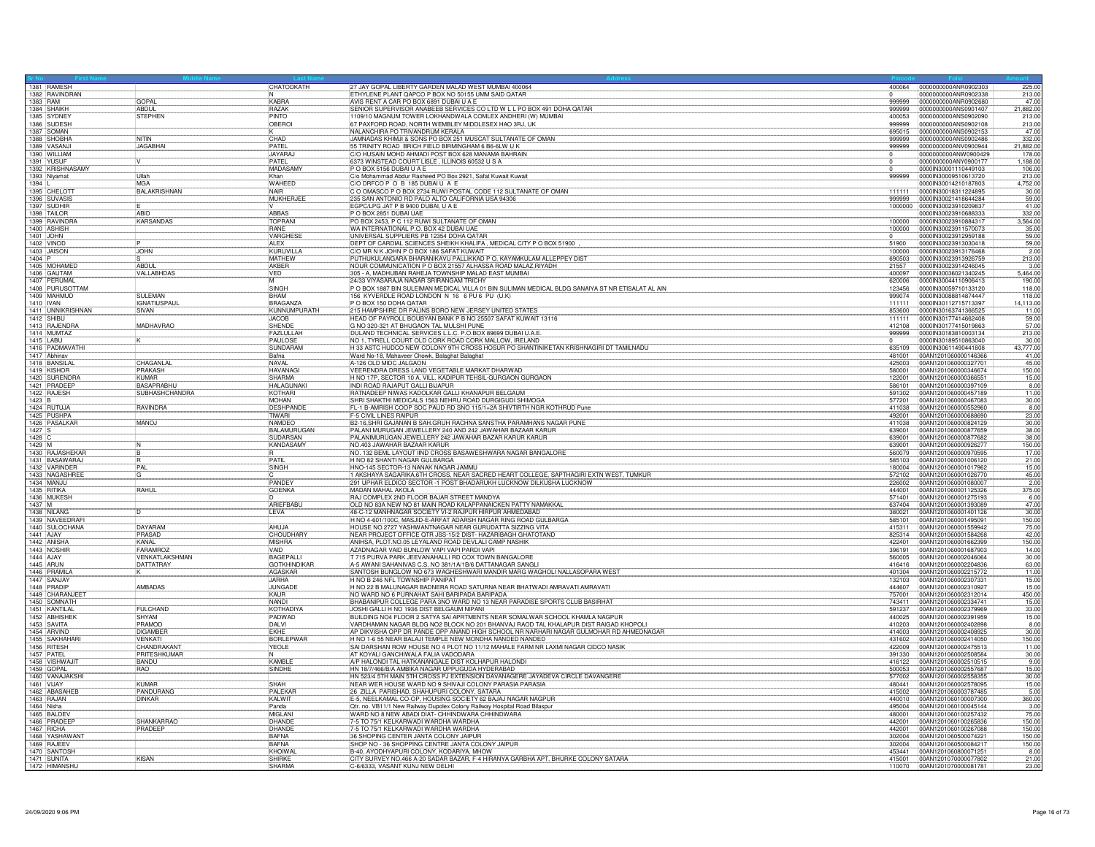|                  | 1381 RAMESH                                                        | CHATODKATH                      | 27 JAY GOPAL LIBERTY GARDEN MALAD WEST MUMBAI 400064                                                                                                                          | 400064           | 0000000000ANR0902303                         | 225.00              |
|------------------|--------------------------------------------------------------------|---------------------------------|-------------------------------------------------------------------------------------------------------------------------------------------------------------------------------|------------------|----------------------------------------------|---------------------|
|                  | 1382 RAVINDRAN<br>GOPAL                                            | KABRA                           | ETHYLENE PLANT QAPCO P BOX NO 50155 UMM SAID QATAR                                                                                                                            | 999999           | 0000000000ANR0902338                         | 213.00<br>47.00     |
| 1383 RAM         | 1384 SHAIKH<br><b>ABDUL</b>                                        | RAZAK                           | AVIS RENT A CAR PO BOX 6891 DUBAI U A E<br>SENIOR SUPERVISOR ANABEEB SERVICES CO LTD W L L PO BOX 491 DOHA QATAR 1109/10 MAGNUM TOWER LOKHANDWALA COMLEX ANDHERI (W) MUMBAI   | 999999           | 0000000000ANR0902680<br>0000000000ANS0901407 | 21,882.00           |
|                  | 1385 SYDNEY<br>STEPHEN                                             | PINTO                           |                                                                                                                                                                               | 400053           | 0000000000ANS0902090                         | 213.00              |
|                  | 1386 SUDESH<br>1387 SOMAN                                          | OBEROI                          | 67 PAXFORD ROAD, NORTH WEMBLEY MIDDLESEX HAO 3RJ, UK<br>NALANCHIRA PO TRIVANDRUM KERALA                                                                                       | 999999<br>695015 | 0000000000ANS0902108<br>0000000000ANS0902153 | 213.00<br>47.00     |
|                  | 1388 SHOBHA<br>NITIN                                               | CHAD                            | JAMNADAS KHIMJI & SONS PO BOX 251 MUSCAT SULTANATE OF OMAN                                                                                                                    | 999999           | 0000000000ANS0902486                         | 332.00              |
|                  | <b>JAGABHAI</b><br>1389 VASANJ<br>1390 WILLIAM                     | PATEL<br><b>JAYARAJ</b>         | 55 TRINITY ROAD BRICH FIELD BIRMINGHAM 6 B6-6LW U K                                                                                                                           | 999999           | 0000000000ANV0900944<br>0000000000ANW0900429 | 21,882.00<br>178.00 |
|                  | 1391 YUSUF                                                         | PATEL                           | 6373 WINSTEAD COURT LISLE, ILLINOIS 60532 U S A                                                                                                                               |                  | 0000000000ANY0900177                         | 1,188.00            |
|                  | 1392 KRISHNASAMY<br>1393 Niyamat<br>Ullah                          | MADASAMY<br>Khan                | P O BOX 5156 DUBAI U A E<br>C/o Mohammad Abdur Rasheed PO Box 2921, Safat Kuwait Kuwait                                                                                       | 999999           | 0000IN30001110449103<br>0000IN30009510613720 | 106.00<br>213.00    |
| 1394             | <b>MGA</b>                                                         | <b>WAHEED</b>                   | C/O DRFCO P O B 185 DUBAI U A E<br>C O OMASCO P O BOX 2734 RUWI POSTAL CODE 112 SULTANATE OF OMAN                                                                             |                  | 0000IN30014210187803                         | 4,752.00            |
|                  | 1395 CHELOTT<br><b>BALAKRISHNAN</b><br>1396 SUVASIS                | <b>NAIR</b><br>MUKHERJEE        | 235 SAN ANTONIO RD PALO ALTO CALIFORNIA USA 94306                                                                                                                             | 111111<br>999999 | 0000IN30018311224895<br>0000lN30021418644284 | 30.00<br>59.00      |
|                  | 1397 SUDHIR                                                        |                                 | EGPC/LPG JAT P B 9400 DUBAI, U A E                                                                                                                                            | 1000000          | 00000N30023910209837                         | 41.00               |
|                  | 1398 TAILOR<br><b>ARID</b><br><b>KARSANDAS</b><br>1399 RAVINDRA    | ABBAS<br>TOPRANI                | P O BOX 2851 DUBAI UAE<br>PO BOX 2453, P C 112 RUWI SULTANATE OF OMAN                                                                                                         | 100000           | 0000IN30023910688333                         | 332.00<br>3,564.00  |
|                  | 1400 ASHISH                                                        | <b>RANF</b>                     | WA INTERNATIONAL P.O. BOX 42 DUBAI UAE                                                                                                                                        | 100000           | 0000IN30023910884317<br>0000lN30023911570073 | 35.00               |
|                  | 1401 JOHN                                                          | VARGHESE<br>ALEX                | UNIVERSAL SUPPLIERS PB 12354 DOHA QATAR<br>DEPT OF CARDIAL SCIENCES SHEIKH KHALIFA, MEDICAL CITY PO BOX 51900                                                                 | 51900            | 0000IN30023912959188                         | 59.00               |
|                  | 1402 VINOD<br>1403 JAISON<br><b>JOHN</b>                           | KURUVILLA                       | C/O MR N K JOHN P O BOX 186 SAFAT KUWAIT                                                                                                                                      | 100000           | 0000IN30023913030418<br>0000IN30023913176468 | 59.00<br>2.00       |
| 1404 P           |                                                                    | MATHEW                          | PUTHUKULANGARA BHARANIKAVU PALLIKKAD P O, KAYAMKULAM ALLEPPEY DIST                                                                                                            | 690503           | 0000IN30023913926759                         | 213.00              |
|                  | 1405 MOHAMED<br><b>ABDUI</b><br>1406 GAUTAM<br>VALLABHDAS          | AKBER<br><b>VED</b>             | NOUR COMMUNICATION P O BOX 21557 ALHASSA ROAD MALAZ, RIYADH<br>305 - A, MADHUBAN RAHEJA TOWNSHIP MALAD EAST MUMBAI                                                            | 21557<br>400097  | 0000IN30023914246045<br>0000IN30036021340245 | 3.00<br>5,464.00    |
|                  | 1407 PERUMAL                                                       | M                               | 24/33 VIYASARAJA NAGAR SRIRANGAM TRICHY                                                                                                                                       | 620006           | 0000IN30044110906413                         | 190.00              |
|                  | 1408 PURUSOTTAM<br>SLIL FMAN<br>1409 MAHMUD                        | SINGH<br>RHAM                   | P O BOX 1887 BIN SULEIMAN MEDICAL VILLA 01 BIN SULIMAN MEDICAL BLDG SANAIYA ST NR ETISALAT AL AIN<br>156 KYVERDLE ROAD LONDON N 16 6 PU 6 PU (U.K)                            | 123456<br>999074 | 0000lN30059710133120<br>0000IN30088814874447 | 118.00<br>118.00    |
| 1410 IVAN        | <b>IGNATIUSPAUL</b>                                                | BRAGANZA                        | P O BOX 150 DOHA QATAR                                                                                                                                                        | 111111           | 00000N30112715713397                         | 14,113.00           |
|                  | 1411 UNNIKRISHNAN<br>SIVAN<br>1412 SHIBU                           | KUNNUMPURATH<br><b>JACOB</b>    | 215 HAMPSHIRE DR PALINS BORO NEW JERSEY UNITED STATES<br>HEAD OF PAYROLL BOUBYAN BANK P B NO 25507 SAFAT KUWAIT 13116                                                         | 853600<br>111111 | 0000lN30163741366525<br>0000IN30177414662408 | 11.00<br>59.00      |
|                  | MADHAVRAO<br>1413 RAJENDRA                                         | SHENDE                          | G NO 320-321 AT BHUGAON TAL MULSHI PUNE                                                                                                                                       | 412108           | 0000lN30177415019863                         | 57.00               |
|                  | 1414 MUMTAZ                                                        | FAZLULLAH                       | DULAND TECHNICAL SERVICES L.L.C. P.O.BOX 89699 DUBAI U.A.E                                                                                                                    | 999999           | 0000IN30183810003134                         | 213.00              |
|                  | 1415 LABU<br>1416 PADMAVATHI                                       | PAULOSE<br>SUNDARAM             | NO 1, TYRELL COURT OLD CORK ROAD CORK MALLOW, IRELAND<br>H 33 ASTC HUDCO NEW COLONY 9TH CROSS HOSUR PO SHANTINIKETAN KRISHNAGIRI DT TAMILNADU                                 | 635109           | 0000IN30189510863040<br>0000IN30611490441808 | 30.00<br>43,777.00  |
|                  | 1417 Abhinav                                                       | Bafna                           | Ward No-18, Mahaveer Chowk, Balaghat Balaghat                                                                                                                                 | 481001           | 00AN1201060000146366                         | 41.00               |
|                  | 1418 BANSILAI<br>CHAGANLAL<br>1419 KISHOR<br>PRAKASH               | NAVAI<br><b>HAVANAG</b>         | A-126 OLD MIDC JALGAON<br>VEERENDRA DRESS LAND VEGETABLE MARKAT DHARWAD                                                                                                       | 425003<br>580001 | 00AN1201060000327701<br>00AN1201060000346674 | 45.00<br>150.00     |
|                  | 1420 SURENDRA<br><b>KUMAR</b>                                      | SHARMA                          | H NO 17P, SECTOR 10 A, VILL. KADIPUR TEHSIL-GURGAON GURGAON                                                                                                                   | 122001           | 00AN1201060000366551                         | 15.00               |
|                  | 1421 PRADEEP<br><b>BASAPRABHU</b><br>1422 RAJFSH<br>SUBHASHCHANDRA | <b>HALAGUNAKI</b><br>KOTHARI    | INDI ROAD RAJAPUT GALLI BIJAPUR<br>RATNADEEP NIWAS KADOLKAR GALLI KHANAPUR BELGAUM                                                                                            | 586101<br>591302 | 00AN1201060000397109<br>00AN1201060000457189 | 8.00<br>11.00       |
| 1423 B           |                                                                    | <b>MOHAN</b>                    | SHRI SHAKTHI MEDICALS 1563 NEHRU ROAD DURGIGUDI SHIMOGA                                                                                                                       | 577201           | 00AN1201060000467083                         | 30.00               |
|                  | 1424 RUTUJA<br>RAVINDRA<br>1425 PUSHPA                             | DESHPANDE<br>TIWARI             | FL-1 B-AMRISH COOP SOC PAUD RD SNO 115/1+2A SHIVTIRTH NGR KOTHRUD Pune<br><b>F-5 CIVIL LINES RAIPUF</b>                                                                       | 411038<br>492001 | 00AN1201060000552960                         | 8.00<br>23.00       |
|                  | 1426 PASALKAR<br>MANOJ                                             | NAMDEO                          | B2-16, SHRI GAJANAN B SAH GRUH RACHNA SANSTHA PARAMHANS NAGAR PUNE                                                                                                            | 411038           | 00AN1201060000688690<br>00AN1201060000824129 | 30.00               |
| $1427$ S         |                                                                    | BALAMURUGAN                     | PALANI MURUGAN JEWELLERY 240 AND 242 JAWAHAR BAZAAR KARUR                                                                                                                     | 639001           | 00AN1201060000877659                         | 38.00               |
| 1428 C<br>1429 M |                                                                    | SUDARSAN<br><b>KANDASAM</b>     | PALANIMURUGAN JEWELLERY 242 JAWAHAR BAZAR KARUR KARUR<br>NO.403 JAWAHAR BAZAAR KARUR                                                                                          | 639001<br>639001 | 00AN1201060000877682<br>00AN1201060000926277 | 38.00<br>150.00     |
|                  | 1430 RAJASHEKAR                                                    |                                 | NO. 132 BEML LAYOUT IIND CROSS BASAWESHWARA NAGAR BANGALORE                                                                                                                   | 560079           | 00AN1201060000970595                         | 17.00               |
|                  | 1431 BASAWARAJ<br><b>PAL</b><br>1432 VARINDER                      | PATIL<br><b>SINGH</b>           | H NO 82 SHANTI NAGAR GULBARGA<br>HNO-145 SECTOR-13 NANAK NAGAR JAMMU                                                                                                          | 585103<br>180004 | 00AN1201060001006120<br>00AN1201060001017962 | 21.00<br>15.00      |
|                  | 1433 NAGASHREE                                                     |                                 | 1 AKSHAYA SAGARIKA,6TH CROSS, NEAR SACRED HEART COLLEGE, SAPTHAGIRI EXTN WEST, TUMKUR                                                                                         | 572102           | 00AN1201060001026770                         | 45.00               |
|                  | 1434 MANJU<br>1435 RITIKA<br>RAHUL                                 | PANDEY<br><b>GOENKA</b>         | 291 UPHAR ELDICO SECTOR -1 POST BHADARUKH LUCKNOW DILKUSHA LUCKNOW<br>MADAN MAHAL AKOLA                                                                                       | 226002<br>444001 | 00AN1201060001080007<br>00AN1201060001125326 | 2.00<br>375.00      |
|                  | 1436 MUKESH                                                        |                                 | RAJ COMPLEX 2ND FLOOR BAJAR STREET MANDYA                                                                                                                                     | 571401           | 00AN1201060001275193                         | 6.00                |
| 1437 M           | 1438 NILANG                                                        | ARIEFBABU                       | OLD NO 83A NEW NO 81 MAIN ROAD KALAPPANAICKEN PATTY NAMAKKAL<br>48-C-12 MANHNAGAR SOCIETY VI-2 RAJPUR HIRPUR AHMEDABAD                                                        | 637404<br>380021 | 00AN1201060001393089<br>00AN1201060001401126 | 47.00<br>30.00      |
|                  | 1439 NAVEEDRAFI                                                    | LEVA                            | H NO 4-601/100C, MASJID-E-ARFAT ADARSH NAGAR RING ROAD GULBARGA                                                                                                               | 585101           | 00AN1201060001495091                         | 150.00              |
| 1441 AJAY        | 1440 SULOCHANA<br><b>DAYARAM</b>                                   | <b>AHUJA</b>                    | HOUSE NO.2727 YASHWANTNAGAR NEAR GURUDATTA SIZZING VITA                                                                                                                       | 415311           | 00AN1201060001559942                         | 75.00               |
|                  | PRASAD<br>1442 ANISHA<br>KANAI                                     | CHOUDHARY<br><b>MISHRA</b>      | NEAR PROJECT OFFICE OTR JSS-15/2 DIST- HAZARIBAGH GHATOTAND<br>ANIHSA, PLOT.NO.05 LEYALAND ROAD DEVLALI CAMP NASHIK                                                           | 825314<br>422401 | 00AN1201060001584268<br>00AN1201060001662399 | 42.00<br>150.00     |
|                  | 1443 NOSHIR<br><b>FARAMROZ</b>                                     | VAID                            | AZADNAGAR VAID BUNLOW VAPI VAPI PARDI VAPI                                                                                                                                    | 396191           | 00AN1201060001687903                         | 14.00               |
| 1444 AJAY        | VENKATLAKSHMAN<br>1445 ARUN<br>DATTATRAY                           | BAGEPALL<br><b>GOTKHINDIKAR</b> | T 715 PURVA PARK JEEVANAHALLI RD COX TOWN BANGALORE<br>A-5 AWANI SAHANIVAS C.S. NO 381/1A/1B/6 DATTANAGAR SANGLI                                                              | 560005<br>416416 | 00AN1201060002046064<br>00AN1201060002204836 | 30.00<br>63.00      |
|                  | 1446 PRAMII A                                                      | AGASKAR                         | SANTOSH BUNGLOW NO 673 WAGHESHWARI MANDIR MARG WAGHOLI NALLASOPARA WEST                                                                                                       | 401304           | 00AN1201060002215772                         | 11.00               |
|                  | 1447 SANJAY<br>1448 PRADIF<br>AMBADAS                              | <b>JARHA</b><br>JUNGADE         | H NO B 246 NFL TOWNSHIP PANIPAT<br>H NO 22 B MALUNAGAR BADNERA ROAD SATURNA NEAR BHATWADI AMRAVATI AMRAVATI                                                                   | 132103<br>444607 | 00AN1201060002307331<br>00AN1201060002310927 | 15.00<br>15.00      |
|                  | 1449 CHARANJEET                                                    | KAUR                            | NO WARD NO 6 PURNAHAT SAHI BARIPADA BARIPADA                                                                                                                                  | 757001           | 00AN1201060002312014                         | 450.00              |
|                  | 1450 SOMNATH<br>1451 KANTILAL<br><b>FULCHAND</b>                   | <b>NANDI</b><br>KOTHADIYA       | BHABANIPUR COLLEGE PARA 3NO WARD NO 13 NEAR PARADISE SPORTS CLUB BASIRHAT<br>JOSHI GALLI H NO 1936 DIST BELGAUM NIPANI                                                        | 743411<br>591237 | 00AN1201060002334741<br>00AN1201060002379969 | 15.00<br>33.00      |
|                  | 1452 ABHISHEM<br>SHYAM                                             | PADWAD                          | BUILDING NO4 FLOOR 2 SATYA SAI APRTMENTS NEAR SOMALWAR SCHOOL KHAMLA NAGPUR                                                                                                   | 440025           | 00AN1201060002391959                         | 15.00               |
|                  | 1453 SAVITA<br>PRAMOD<br>1454 ARVIND<br><b>DIGAMBER</b>            | DALVI<br>EKHE                   | VARDHAMAN NAGAR BLDG NO2 BLOCK NO 201 BHANVAJ RAOD TAL KHALAPUR DIST RAIGAD KHOPOLI<br>AP DIKVISHA OPP DR PANDE OPP ANAND HIGH SCHOOL NR NARHARI NAGAR GULMOHAR RD AHMEDNAGAR | 410203<br>414003 | 00AN1201060002402898<br>00AN1201060002408925 | 8.00<br>30.00       |
|                  | 1455 SAKHAHARI<br><b>VFNKATI</b>                                   | <b>BORL FPWAR</b>               | H NO 1-6 55 NEAR BALAJI TEMPLE NEW MONDHA NANDED NANDED                                                                                                                       | 431602           | 00AN1201060002414050                         | 150.00              |
|                  | 1456 RITESH<br>CHANDRAKANT<br>1457 PATEL<br>PRITESHKUMAR           | YEOLE                           | SAI DARSHAN ROW HOUSE NO 4 PLOT NO 11/12 MAHALE FARM NR LAXMI NAGAR CIDCO NASIK<br>AT KOYALI GANCHIWALA FALIA VADODARA                                                        | 422009<br>391330 | 00AN1201060002475513<br>00AN1201060002508584 | 11.00<br>30.00      |
|                  | 1458 VISHWAJIT<br><b>BANDU</b>                                     | KAMBLE                          | A/P HALONDI TAL HATKANANGALE DIST KOLHAPUR HALONDI                                                                                                                            | 416122           | 00AN1201060002510515                         | 9.00                |
|                  | 1459 GOPAL<br>RAO                                                  | SINDHE                          | HN 18/7/466/B/A AMBIKA NAGAR UPPUGUDA HYDERABAD                                                                                                                               | 500053           | 00AN1201060002557687                         | 15.00               |
| 1461 VIJAY       | 1460 VANAJAKSHI<br><b>KUMAR</b>                                    | SHAH                            | HN 523/4 5TH MAIN 5TH CROSS PJ EXTENSION DAVANAGERE JAYADEVA CIRCLE DAVANGERE<br>NEAR WER HOUSE WARD NO 9 SHIVAJI COLONY PARASIA PARASIA                                      | 577002<br>480441 | 00AN1201060002558355<br>00AN1201060002578095 | 30.00<br>15.00      |
|                  | 1462 ABASAHEB<br>PANDURANG                                         | PALEKAR                         | 26 ZILLA PARISHAD, SHAHUPURI COLONY, SATARA                                                                                                                                   | 415002           | 00AN1201060003787485                         | 5.00                |
| 1464 Nisha       | 1463 RAJAN<br><b>DINKAR</b>                                        | KALWIT<br>Panda                 | E-5, NEELKAMAL CO-OP, HOUSING SOCIETY 62 BAJAJ NAGAR NAGPUR                                                                                                                   | 440010<br>495004 | 00AN1201060100007300<br>00AN1201060100045144 | 360.00<br>3.00      |
|                  | 1465 BALDEV                                                        | MIGLANI                         | Qtr. no. VB11/1 New Railway Dupolex Colony Railway Hospital Road Bilaspur<br>WARD NO 8 NEW ABADI DIAT- CHHINDWARA CHHINDWARA                                                  | 480001           | 00AN1201060100257432                         | 75.00               |
|                  | 1466 PRADEEP<br>SHANKARRAO<br>1467 RICHA<br>PRADEEP                | DHANDE<br>DHANDE                | 7-5 TO 75/1 KELKARWADI WARDHA WARDHA<br>7-5 TO 75/1 KELKARWADI WARDHA WARDHA                                                                                                  | 442001<br>442001 | 00AN1201060100265836<br>00AN1201060100267088 | 150.00<br>150.00    |
|                  | 1468 YASHAWANT                                                     | <b>BAFNA</b>                    | 36 SHOPING CENTER JANTA COLONY JAIPUR                                                                                                                                         | 302004           | 00AN1201060500074221                         | 150.00              |
|                  | 1469 RAIFFV<br>1470 SANTOSH                                        | <b>BAFNA</b><br>KHOIWA          | SHOP NO - 36 SHOPPING CENTRE JANTA COLONY JAIPUR<br>B-40, AYODHYAPURI COLONY, KODARIYA, MHOW                                                                                  | 302004<br>453441 | 00AN1201060500084217<br>00AN1201060800071251 | 150.00<br>8.00      |
|                  | 1471 SUNITA<br><b>KISAN</b>                                        | SHIRKE                          | CITY SURVEY NO.466 A-20 SADAR BAZAR, F-4 HIRANYA GARBHA APT, BHURKE COLONY SATARA                                                                                             | 415001           | 00AN1201070000077802                         | 21.00               |
|                  | 1472 HIMANSHU                                                      | SHARMA                          | C-6/6333, VASANT KUNJ NEW DELHI                                                                                                                                               | 110070           | 00AN1201070000081781                         | 23.00               |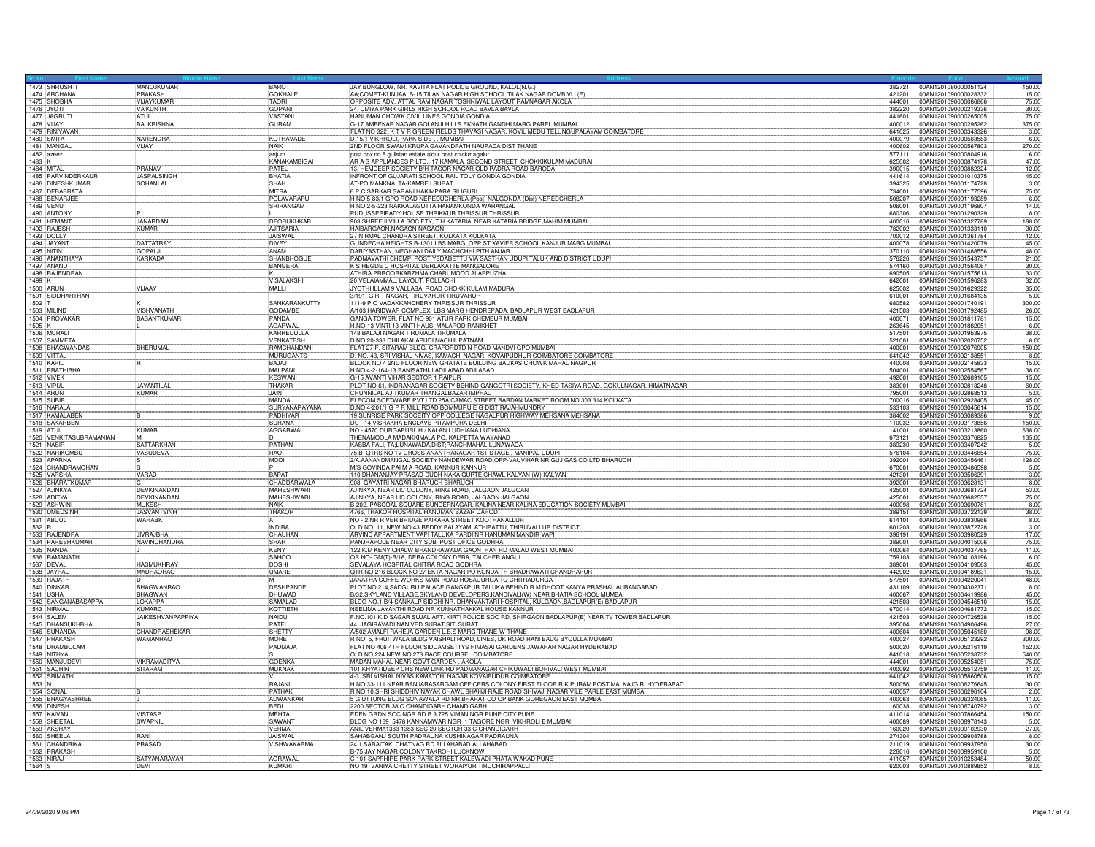| 1473 SHRUSHTI                  | MANOJKUMAR                        | BAROT                     | JAY BUNGLOW, NR. KAVITA FLAT POLICE GROUND, KALOL(N.G.)                                                                                     | 382721           | 00AN1201080000051124<br>150.00                                        |
|--------------------------------|-----------------------------------|---------------------------|---------------------------------------------------------------------------------------------------------------------------------------------|------------------|-----------------------------------------------------------------------|
| 1474 ARCHANA                   | PRAKASH                           | <b>GOKHALE</b>            | AA;COMET-KUNJAA; B-15 TILAK NAGAR HIGH SCHOOL TILAK NAGAR DOMBIVLI (E)                                                                      | 421201           | 15.00<br>00AN1201090000028332                                         |
| 1475 SHOBHA                    | <b>VIJAYKUMAF</b>                 | <b>TAORI</b>              | OPPOSITE ADV. ATTAL RAM NAGAR TOSHNIWAL LAYOUT RAMNAGAR AKOLA                                                                               | 444001           | 00AN1201090000086866<br>75.00                                         |
| 1476 JYOTI                     | VAIKUNTH                          | GOPANI                    | 24, UMIYA PARK GIRLS HIGH SCHOOL ROAD BAVLA BAVLA                                                                                           | 382220           | 00AN1201090000219336<br>30.00                                         |
| 1477 JAGRUT                    | ATUL                              | <b>VASTANI</b>            | HANUMAN CHOWK CIVIL LINES GONDIA GONDIA                                                                                                     | 441601           | 75.00<br>00AN1201090000265005                                         |
| 1478 VIJAY                     | <b>BALKRISHNA</b>                 | <b>GURAM</b>              | G-17 AMBEKAR NAGAR GOLANJI HILLS EKNATH GANDHI MARG PAREL MUMBAI                                                                            | 400012           | 00AN1201090000295262<br>375.00                                        |
| 1479 RINIYAVAN                 |                                   |                           | FLAT NO 322, K T V R GREEN FIELDS THAVASI NAGAR, KOVIL MEDU TELUNGUPALAYAM COIMBATORE                                                       | 641025           | 00AN1201090000343326<br>3.00                                          |
| 1480 SMITA                     | <b>NARENDRA</b>                   | KOTHAVADE                 | D 15/1 VIKHROLI, PARK SIDE, . MUMBAI                                                                                                        | 400079           | 00AN1201090000563583<br>6.00                                          |
| 1481 MANGA                     | VIJAY                             | <b>NAIK</b>               | 2ND FLOOR SWAMI KRUPA GAVANDPATH NAUPADA DIST THANE                                                                                         | 400602           | 270.00<br>00AN1201090000567803                                        |
| 1482 azeez                     |                                   | anjum                     | post box no 8 gulistan estate aldur post chickmagalur                                                                                       | 577111           | 00AN1201090000804916<br>6.00                                          |
| $1483$ K                       |                                   | KANAKAMBIGAI              | AR A S APPLIANCES P LTD., 17 KAMALA, SECOND STREET, CHOKKIKULAM MADURAI                                                                     | 625002           | 00AN1201090000874178<br>47.00                                         |
| 1484 MITAL                     | PRANAV                            | PATFI                     | 13, HEMDEEP SOCIETY B/H TAGOR NAGAR OLD PADRA ROAD BARODA                                                                                   | 390015           | 12.00<br>00AN1201090000882324                                         |
| 1485 PARVINDERKAUR             | <b>JASPAL SINGI</b>               | BHATIA                    | INFRONT OF GUJARATI SCHOOL RAIL TOLY GONDIA GONDIA                                                                                          | 441614           | 45.00<br>00AN1201090001010375                                         |
| 1486 DINESHKUMAR               | SOHANLAL                          | SHAH                      | AT-PO, MANKNA, TA-KAMREJ SURAT                                                                                                              | 394325           | 3.00<br>00AN1201090001174728                                          |
| 1487 DEBABRATA                 |                                   | MITRA                     | 6 P C SARKAR SARANI HAKIMPARA SILIGURI                                                                                                      | 734001           | 75.00<br>00AN1201090001177596                                         |
| 1488 BENARJEE                  |                                   | POLAVARAPL                | H NO 5-83/1 GPO ROAD NEREDUCHERLA (Post) NALGONDA (Dist) NEREDCHERLA                                                                        | 508207           | 00AN1201090001193289<br>6.00                                          |
| 1489 VENU                      |                                   | SRIRANGAM                 | H NO 2-5-223 NAKKALAGUTTA HANAMKONDA WARANGAL                                                                                               | 506001           | 00AN1201090001196807<br>14.00                                         |
| 1490 ANTONY                    |                                   |                           | PUDUSSERIPADY HOUSE THRIKKUR THRISSUR THRISSUP                                                                                              | 680306           | 00AN1201090001290329<br>8.00                                          |
| 1491 HEMANT                    | <b>JANARDAN</b>                   | DEORUKHKAR                | 903, SHREEJI VILLA SOCIETY, T.H.KATARIA, NEAR KATARIA BRIDGE, MAHIM MUMBAI                                                                  | 400016           | 00AN1201090001327789<br>188.00                                        |
| 1492 RAJESH                    | <b>KUMAR</b>                      | <b>AJITSARIA</b>          | HAIBARGAON, NAGAON NAGAON                                                                                                                   | 782002           | 00AN1201090001333110<br>30.00                                         |
| 1493 DOLLY                     |                                   | <b>JAISWAL</b>            | 27 NIRMAL CHANDRA STREET, KOLKATA KOLKATA                                                                                                   | 700012           | 12.00<br>00AN1201090001361784                                         |
| 1494 JAYANT                    | <b>DATTATRAY</b>                  | <b>DIVEY</b>              | GUNDECHA HEIGHTS B-1301 LBS MARG ,OPP ST XAVIER SCHOOL KANJUR MARG MUMBAI                                                                   | 400078           | 00AN1201090001420079<br>45.00                                         |
| 1495 NITIN                     | <b>GOPALJ</b>                     | ANAM                      | DARIYASTHAN, MEGHANI DAILY MACHCHHI PITH ANJAR                                                                                              | 370110           | 00AN1201090001488556<br>48.00                                         |
| 1496 ANANTHAYA                 | <b>KARKADA</b>                    | SHANBHOGUE                | PADMAVATHI CHEMPI POST YEDABETTU VIA SASTHAN UDUPI TALUK AND DISTRICT UDUPI                                                                 | 576226           | 00AN1201090001543737<br>21.00                                         |
| 1497 ANAND                     |                                   | BANGERA                   | K S HEGDE C HOSPITAL DERLAKATTE MANGALORE                                                                                                   | 574160           | 00AN1201090001564067<br>30.00                                         |
| 1498 RAJENDRAN                 |                                   |                           | ATHIRA PRROORKARZHMA CHARUMOOD ALAPPUZHA                                                                                                    | 690505           | 00AN1201090001575613<br>33.00                                         |
| $1499$ K                       |                                   | VISALAKSHI                | 20 VELAIAMMAL, LAYOUT, POLLACHI                                                                                                             | 642001           | 00AN1201090001596283<br>32.00                                         |
| 1500 ARUN                      | VIJAAY                            | MALLI                     | JYOTHI ILLAM 9 VALLABAI ROAD CHOKKIKULAM MADURAI                                                                                            | 625002           | 00AN1201090001629322<br>35.00                                         |
| 1501 SIDDHARTHAN               |                                   |                           | 3/191, G R T NAGAR, TIRUVARUR TIRUVARUR                                                                                                     | 610001           | 5.00<br>00AN1201090001684135                                          |
| 1502 T                         |                                   | SANKARANKUTTY             | 111-9 P O VADAKKANCHERY THRISSUR THRISSUF                                                                                                   | 680582           | 300.00<br>00AN1201090001740191                                        |
| 1503 MILIND                    | <b>VISHVANATH</b>                 | <b>GODAMBE</b>            | A/103 HARIDWAR COMPLEX, LBS MARG HENDREPADA, BADLAPUR WEST BADLAPUR                                                                         | 421503           | 00AN1201090001792485<br>26.00                                         |
| 1504 PROVAKAR                  | <b>BASANTKUMAR</b>                | PANDA                     | GANGA TOWER, FLAT NO 901 ATUR PARK CHEMBUR MUMBAI                                                                                           | 400071           | 15.00<br>00AN1201090001811781                                         |
| $1505$ K                       |                                   | AGARWAL                   | H.NO-13 VINTI 13 VINTI HAUS, MALAROD RANIKHET                                                                                               | 263645           | 6.00<br>00AN1201090001882051                                          |
| 1506 MURAI                     |                                   | KARREDULLA                | 148 BALAJI NAGAR TIRUMALA TIRUMALA                                                                                                          | 517501           | 00AN1201090001953975                                                  |
| 1507 SAMMETA                   |                                   | <b>VENKATESH</b>          | D NO 20-333 CHILAKALAPUDI MACHILIPATNAM                                                                                                     | 521001           | 38.00<br>6.00<br>00AN1201090002020752                                 |
| 1508 BHAGWANDAS                | <b>BHERUMAL</b>                   | RAMCHANDANI               | FLAT 27-F, SITARAM BLDG. CRAFORDTD N ROAD MANDVI GPO MUMBAI                                                                                 | 400001           | 00AN1201090002076905<br>150.00                                        |
| 1509 VITTAL                    |                                   | MURUGANTS                 | D. NO. 43, SRI VISHAL NIVAS, KAMACHI NAGAR, KOVAIPUDHUR COIMBATORE COIMBATORE                                                               | 641042           | 00AN1201090002138551<br>8.00                                          |
|                                |                                   | <b>BAJAJ</b>              |                                                                                                                                             | 440008           | 15.00<br>00AN1201090002145833                                         |
| 1510 KAPIL<br>1511 PRATHIBHA   |                                   | MAI PANI                  | BLOCK NO 4 2ND FLOOR NEW GHATATE BUILDING BADKAS CHOWK MAHAL NAGPUR                                                                         | 504001           |                                                                       |
|                                |                                   |                           | H NO 4-2-164-13 RANISATHIJI ADILABAD ADILABAD                                                                                               |                  | 00AN1201090002554567<br>38.00                                         |
| 1512 VIVEK                     |                                   | <b>KESWANI</b>            | G-15 AVANTI VIHAR SECTOR 1 RAIPUR                                                                                                           | 492001           | 00AN1201090002689105<br>15.00                                         |
| 1513 VIPUL<br><b>1514 ARUN</b> | <b>JAYANTILAL</b><br><b>KUMAR</b> | THAKAR<br><b>JAIN</b>     | PLOT NO-61, INDRANAGAR SOCIETY BEHIND GANGOTRI SOCIETY, KHED TASIYA ROAD, GOKULNAGAR, HIMATNAGAR<br>CHUNNILAL AJITKUMAR THANGALBAZAR IMPHAL | 383001<br>795001 | 00AN1201090002813248<br>60.00<br>00AN1201090002868513<br>5.00         |
|                                |                                   | MANDAL                    |                                                                                                                                             |                  |                                                                       |
| 1515 SUBIR                     |                                   |                           | ELECOM SOFTWARE PVT LTD 25A, CAMAC STREET BARDAN MARKET ROOM NO 303 314 KOLKATA                                                             | 700016           | 45.00<br>00AN1201090002928405                                         |
| 1516 NARAL                     |                                   | SURYANARAYANA             | D.NO.4-201/1 G P R MILL ROAD BOMMURU E G DIST RAJAHMUNDRY                                                                                   | 533103           | 00AN1201090003045614<br>15.00                                         |
| 1517 KAMALABEN                 |                                   | PADHIYAR                  | 19 SUNRISE PARK SOCEITY OPP COLLEGE NAGALPUR HIGHWAY MEHSANA MEHSANA                                                                        | 384002           | 00AN1201090003089386<br>9.00                                          |
| 1518 SAKARBEN                  |                                   | <b>SURANA</b>             | DU - 14 VISHAKHA ENCLAVE PITAMPURA DELHI                                                                                                    | 110032           | 00AN1201090003173856<br>150.00<br>00AN1201090003213860                |
| 1519 ATUL                      | KUMAR                             | AGGARWAL                  | NO - 4570 DURGAPURI H / KALAN LUDHIANA LUDHIANA                                                                                             | 141001           | 638.00                                                                |
| 1520 VENKITASUBRAMANIAN        | i M                               | ID                        | THENAMOOLA MADAKKIMALA PO, KALPETTA WAYANAD                                                                                                 | 673121           | 00AN1201090003376825<br>135.00                                        |
| 1521 NASIR                     | <b>SATTARKHAN</b>                 | PATHAN                    | KASBA FALI, TA;LUNAWADA,DIST;PANCHMAHAL LUNAWADA                                                                                            | 389230           | 5.00<br>00AN1201090003407242                                          |
| 1522 NARIKOMBU                 | VASUDEVA                          | RAO                       | 75 B QTRS NO 1V CROSS ANANTHANAGAR 1ST STAGE, MANIPAL UDUPI                                                                                 | 576104           | 75.00<br>00AN1201090003446854                                         |
| 1523 APARNA                    |                                   | MODI                      | 2/A AANANDMANGAL SOCIETY NANDEWAR ROAD OPP-VAUVIHAR NR.GUJ GAS CO.LTD BHARUCH                                                               | 392001           | 128.00<br>00AN1201090003456461                                        |
| 1524 CHANDRAMOHAN              |                                   |                           | M/S GOVINDA PAI M A ROAD, KANNUR KANNUR                                                                                                     | 670001           | 00AN1201090003486598<br>5.00                                          |
| 1525 VARSHA                    | VARAD                             | <b>BAPAT</b>              | 110 DHANANJAY PRASAD DUDH NAKA GUPTE CHAWL KALYAN (W) KALYAN                                                                                | 421301           | 00AN1201090003506391<br>3.00                                          |
| 1526 BHARATKUMAR               |                                   | CHADDARWALA               | 908, GAYATRI NAGAR BHARUCH BHARUCH                                                                                                          | 392001           | 00AN1201090003628131<br>8.00                                          |
| 1527 AJINKYA                   | DEVKINANDAN                       | MAHESHWARI                | AJINKYA, NEAR LIC COLONY, RING ROAD, JALGAON JALGOAN                                                                                        | 425001           | 00AN1201090003681724<br>53.00                                         |
| 1528 ADITYA                    | DEVKINANDAN                       | <b>MAHESHWARI</b>         | AJINKYA, NEAR LIC COLONY, RING ROAD, JALGAON JALGAON                                                                                        | 425001           | 00AN1201090003682557<br>75.00                                         |
| 1529 ASHWIN                    | <b>MUKESH</b>                     | <b>NAK</b>                | B-202, PASCOAL SQUARE SUNDERNAGAR, KALINA NEAR KALINA EDUCATION SOCIETY MUMBAI                                                              | 400098           | 8.00<br>00AN1201090003690781                                          |
| 1530 UMEDSINH                  | <b>JASVANTSINH</b>                | THAKOR                    | 4766, THAKOR HOSPITAL HANUMAN BAZAR DAHOD                                                                                                   | 389151           | 00AN1201090003722139<br>38.00                                         |
| 1531 ABDUL                     | WAHABK                            |                           | NO - 2 NR RIVER BRIDGE PAIKARA STREET KOOTHANALLUR                                                                                          | 614101           | 00AN1201090003830966<br>8.00                                          |
| $1532$ <sub>R</sub>            |                                   | <b>INDIRA</b>             | OLD NO. 11, NEW NO 43 REDDY PALAYAM, ATHIPATTU, THIRUVALLUR DISTRICT                                                                        | 601203           | 00AN1201090003872728<br>3.00                                          |
| 1533 RAJENDRA                  | JIVRAJBHAI                        | CHAUHAN                   | ARVIND APPARTMENT VAPI TALUKA PARDI NR HANUMAN MANDIR VAPI                                                                                  | 396191           | 17.00<br>00AN1201090003980529                                         |
| 1534 PARESHKUMAR               | <b>NAVINCHANDRA</b>               | SHAH                      | PANJRAPOLE NEAR CITY SUB POST OFICE GODHRA                                                                                                  | 389001           | 00AN1201090004015006<br>75.00                                         |
| 1535 NANDA                     |                                   | KENY                      | 122 K.M KENY CHALW BHANDRAWADA GAONTHAN RD MALAD WEST MUMBAI                                                                                | 400064           | 00AN1201090004037765<br>11.00                                         |
| 1536 RAMANATH                  |                                   | SAHOC                     | OR NO- GM(T)-B/18, DERA COLONY DERA, TALCHER ANGUL                                                                                          | 759103           | 00AN1201090004103196<br>6.00                                          |
| 1537 DEVAL                     | <b>HASMUKHRAY</b>                 | <b>DOSHI</b>              | SEVALAYA HOSPITAL CHITRA ROAD GODHRA                                                                                                        | 389001           | 45.00<br>00AN1201090004109563                                         |
| 1538 JAYPAI                    | MADHAORAO                         | <b>UMARE</b><br><b>IM</b> | QTR NO 216 BLOCK NO 27 EKTA NAGAR PO KONDA TH BHADRAWATI CHANDRAPUR                                                                         | 442902           | 00AN1201090004189631<br>15.00                                         |
| 1539 RAJATI                    |                                   |                           |                                                                                                                                             | 577501           | 00AN1201090004220041<br>48.00<br>00AN1201090004302371<br>8.00         |
|                                |                                   |                           | JANATHA COFFE WORKS MAIN ROAD HOSADURGA TO CHITRADURGA                                                                                      |                  |                                                                       |
| 1540 DINKAR                    | <b>BHAGWANRAO</b>                 | DESHPANDE                 | PLOT NO 214, SADGURU PALACE GANGAPUR TALUKA BEHIND R.M DHOOT KANYA PRASHAL AURANGABAD                                                       | 431109           |                                                                       |
| 1541 USHA                      | <b>BHAGWAN</b>                    | DHUWAD                    | B/32, SKYLAND VILLAGE, SKYLAND DEVELOPERS, KANDIVALI(W) NEAR BHATIA SCHOOL MUMBAI                                                           | 400067           | 45.00<br>00AN1201090004419986                                         |
| 1542 SANGANABASAPPA            | <b>I</b> OKAPPA                   | SAMALAD                   | BLDG NO.1, B/4 SANKALP SIDDHI NR. DHANVANTARI HOSPITAL, KULGAON, BADLAPUR(E) BADLAPUR                                                       | 421503           | 15.00<br>00AN1201090004546510                                         |
| 1543 NIRMAL                    | KUMARC                            | KOTTIETH                  | NEELIMA JAYANTHI ROAD NR KUNNATHAKKAL HOUSE KANNUR                                                                                          | 670014           | 00AN1201090004681772<br>15.00                                         |
| 1544 SALEM                     | <b>JAIKESHVANPAPPIYA</b>          | NAIDU                     | F.NO.101,K.D SAGAR SUJAL APT. KIRTI POLICE SOC RD, SHIRGAON BADLAPUR(E) NEAR TV TOWER BADLAPUR                                              | 421503           | 15.00<br>00AN1201090004726538                                         |
| 1545 DHANSUKHBHAI              |                                   | PATEL                     | 44, JAGIRAVADI NANIVED SURAT SITI SURAT                                                                                                     | 395004           | 27.00<br>00AN1201090004906496                                         |
| 1546 SUNANDA                   | CHANDRASHEKAR                     | SHETTY                    | A/502 AMALFI RAHEJA GARDEN L.B.S MARG THANE-W THANE                                                                                         | 400604           | 00AN1201090005045180<br>98.00                                         |
| 1547 PRAKASH                   | <b>WAMANRAO</b>                   | <b>MORE</b>               | R NO. 5, FRUITWALA BLDG VAISHALI ROAD, LINES, DK ROAD RANI BAUG BYCULLA MUMBAI                                                              | 400027           | 00AN1201090005123292<br>300.00                                        |
| 1548 DHAMBOLAM                 |                                   | PADMAJA                   | FLAT NO 406 4TH FLOOR SIDDAMSETTYS HIMASAI GARDENS JAWAHAR NAGAR HYDERABAD                                                                  | 500020           | 00AN1201090005216119<br>152.00                                        |
| 1549 NITHYA                    |                                   |                           | OLD NO 224 NEW NO 273 RACE COURSE . COIMBATORE                                                                                              | 641018           | 00AN1201090005238732<br>540.00                                        |
| 1550 MANJUDEV                  | <b>VIKRAMADITYA</b>               | <b>GOENKA</b>             | MADAN MAHAL NEAR GOVT GARDEN . AKOLA                                                                                                        | 444001           | 00AN1201090005254051<br>75.00                                         |
| 1551 SACHIN                    | <b>SITARAM</b>                    | MUKNAK                    | 101 KHYATIDEEP CHS NEW LINK RD PADMANAGAR CHIKUWADI BORIVALI WEST MUMBAI                                                                    | 400092           | 00AN1201090005512759<br>11.00                                         |
| 1552 SRIMATHI                  |                                   |                           | 4-3, SRI VISHAL NIVAS KAMATCHI NAGAR KOVAIPUDUR COIMBATORE                                                                                  | 641042           | 00AN1201090005860506<br>15.00                                         |
| 1553 N                         |                                   | RAJANI                    | H NO 33-111 NEAR BANJARASARGAM OFFICERS COLONY FIRST FLOOR R K PURAM POST MALKAJGIRI HYDERABAD                                              | 500056           | 00AN1201090006276645<br>30.00                                         |
| 1554 SONA                      |                                   | PATHAK                    | R NO 10, SHRI SHIDDHIVINAYAK CHAWL SHAHJI RAJE ROAD SHIVAJI NAGAR VILE PARLE EAST MUMBAI                                                    | 400057           | 00AN1201090006296104<br>2.00                                          |
| 1555 BHAGYASHREE               |                                   | ADWANKAR                  | 5 G UTTUNG BLDG SONAWALA RD NR BHARAT CO OP BANK GOREGAON EAST MUMBA                                                                        | 400063           | 11.00<br>00AN1201090006324065                                         |
| 1556 DINESH                    |                                   | <b>BEDI</b>               | 2200 SECTOR 38 C CHANDIGARH CHANDIGARH                                                                                                      | 160038           | 00AN1201090006740792<br>3.00                                          |
| 1557 KAIVAN                    | <b>VISTASF</b>                    | MEHTA                     | EDEN GRDN SOC NGR RD B 3 725 VIMAN NGR PUNE CITY PUNE                                                                                       | 411014           | 00AN1201090007866454<br>150.00                                        |
| 1558 SHEETAL                   | SWAPNIL                           | SAWANT                    | BLDG NO 169 5478 KANNAMWAR NGR 1 TAGORE NGR VIKHROLI E MUMBAI                                                                               | 400089           | 00AN1201090008978143<br>5.00                                          |
| 1559 AKSHAY                    |                                   | <b>VERMA</b>              | ANIL VERMA1383 1383 SEC 20 SECTOR 33 C CHANDIGARH                                                                                           | 160020           | 27.00<br>00AN1201090009102930                                         |
| 1560 SHEELA                    | RANI                              | <b>JAISWAL</b>            | SAHABGANJ SOUTH PADRAUNA KUSHINAGAR PADRAUNA                                                                                                | 274304           | 00AN1201090009908788<br>8.00                                          |
| 1561 CHANDRIKA                 | PRASAD                            | <b>VISHWAKARMA</b>        | 24 1 SARAITAKI CHATNAG RD ALLAHABAD ALLAHABAD                                                                                               | 211019           | 00AN1201090009937950<br>30.00                                         |
| 1562 PRAKASH                   |                                   |                           | B-75 JAY NAGAR COLONY TAKROHI LUCKNOW                                                                                                       | 226016           | 5.00<br>00AN1201090009959100                                          |
| 1563 NIRAJ<br>$1564$ S         | SATYANARAYAN<br><b>DEVI</b>       | <b>AGRAWA</b><br>KUMARI   | C 101 SAPPHIRE PARK PARK STREET KALEWADI PHATA WAKAD PUNE<br>NO 19 VANIYA CHETTY STREET WORAIYUR TIRUCHIRAPPALLI                            | 411057           | 00AN1201090010253484<br>50.00<br>620003  00AN1201090010889852<br>8.00 |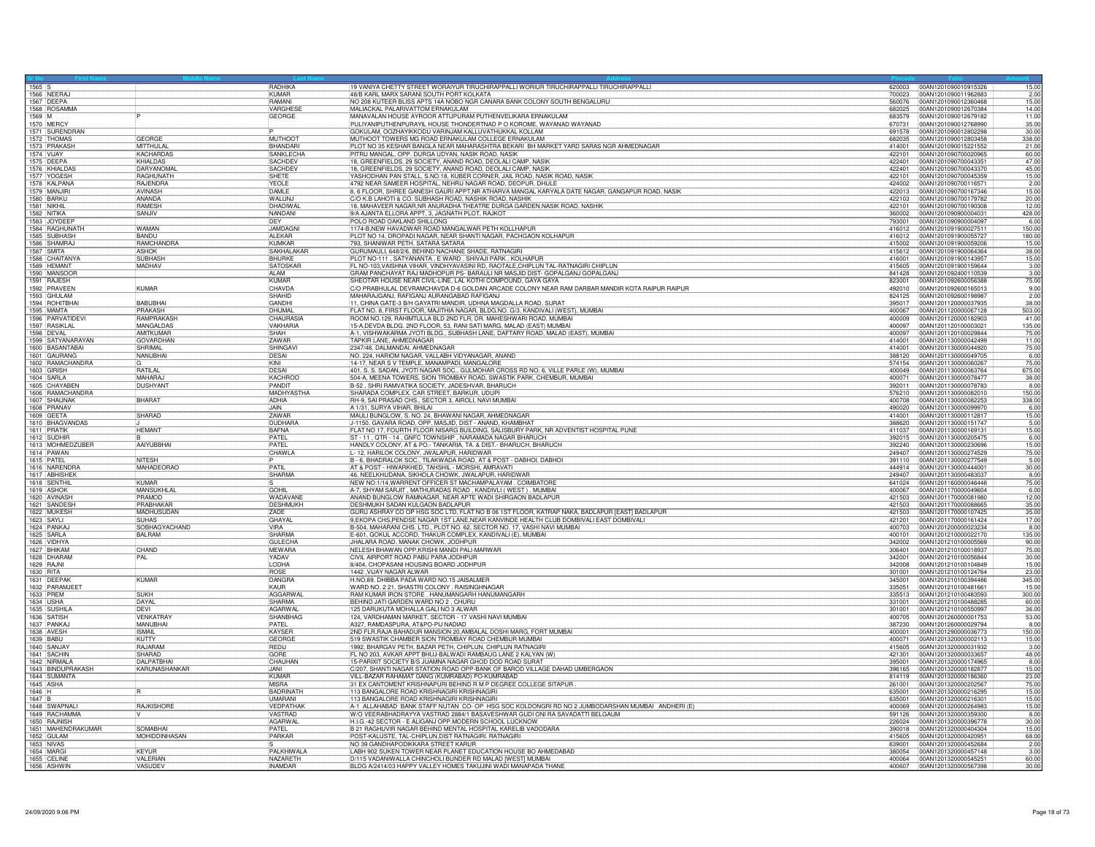| $\begin{array}{ c c c c c }\n\hline\n1565 & S \\ \hline\n\end{array}$ |                                 | RADHIKA                        | 19 VANIYA CHETTY STREET WORAIYUR TIRUCHIRAPPALLI WORIUR TIRUCHIRAPPALLI TIRUCHIRAPPALLI                                                          |                  | 620003 00AN1201090010915326<br>15.00                           |
|-----------------------------------------------------------------------|---------------------------------|--------------------------------|--------------------------------------------------------------------------------------------------------------------------------------------------|------------------|----------------------------------------------------------------|
| 1566 NEERAJ                                                           |                                 | KUMAR                          | 48/B KARL MARX SARANI SOUTH PORT KOLKATA                                                                                                         | 700023           | 2.00<br>00AN1201090011962883                                   |
| 1567 DEEPA                                                            |                                 | RAMANI                         | NO 208 KUTEER BLISS APTS 14A NOBO NGR CANARA BANK COLONY SOUTH BENGALURU                                                                         | 560076           | 00AN1201090012360468<br>15.00                                  |
| 1568 ROSAMMA                                                          |                                 | VARGHESE                       | MALIACKAL PALARIVATTOM ERNAKULAM                                                                                                                 | 682025           | 00AN1201090012670384<br>14.00                                  |
| 1569 M<br>1570 MERCY                                                  |                                 | GEORGE                         | MANAVALAN HOUSE AYROOR ATTUPURAM PUTHENVELIKARA ERNAKULAM<br>PULIYANIPUTHENPURAYIL HOUSE THONDERTNAD P O KOROME, WAYANAD WAYANAD                 | 683579<br>670731 | 00AN1201090012679182<br>11.00<br>00AN1201090012768990<br>35.00 |
| 1571 SURENDRAN                                                        |                                 |                                | GOKULAM, OOZHAYIKKODU VARINJAM KALLUVATHUKKAL KOLLAM                                                                                             | 691578           | 30.00<br>00AN1201090012802298                                  |
|                                                                       | GEORGE                          | <b>MUTHOOT</b>                 | MUTHOOT TOWERS MG ROAD ERNAKULAM COLLEGE ERNAKULAM                                                                                               | 682035           | 00AN1201090012803458                                           |
| 1572 THOMAS                                                           | MITTHULAL                       | BHANDARI                       | PLOT NO 35 KESHAR BANGLA NEAR MAHARASHTRA BEKARI BH MARKET YARD SARAS NGR AHMEDNAGAR                                                             | 414001           | 338.00<br>00AN1201090015221552<br>21.00                        |
| 1573 PRAKASH<br>1574 VIJAY                                            | KACHARDAS                       | SANKLECHA                      | PITRU MANGAL, OPP. DURGA UDYAN, NASIK ROAD, NASIK                                                                                                | 422101           | 60.00<br>00AN1201090700020965                                  |
| 1575 DEEPA                                                            | KHIALDAS                        | SACHDEV                        | 18, GREENFIELDS, 29 SOCIETY, ANAND ROAD, DEOLALI CAMP, NASIK                                                                                     | 422401           | 00AN1201090700043351<br>47.00                                  |
| 1576 KHIALDAS                                                         | DARYANOMAL                      | SACHDEV                        | 18, GREENFIELDS, 29 SOCIETY, ANAND ROAD, DEOLALI CAMP, NASIK                                                                                     | 422401           | 45.00<br>100AN1201090700043370                                 |
| 1577 YOGESH                                                           | RAGHUNATH                       | SHETE                          | YASHODHAN PAN STALL, S.NO.18, KUBER CORNER, JAIL ROAD, NASIK ROAD, NASIK                                                                         | 422101           | 00AN1201090700045359<br>15.00                                  |
| 1578 KALPANA                                                          | RAJENDRA                        | YEOLE                          | 4792 NEAR SAMEER HOSPITAL, NEHRU NAGAR ROAD, DEOPUR, DHULE                                                                                       | 424002           | 00AN1201090700116571<br>2.00                                   |
| 1579 MANJIRI                                                          | <b>AVINASH</b>                  | <b>DAMLE</b>                   | 8, 6 FLOOR, SHREE GANESH GAURI APPT, NR ATHARVA MANGAL KARYALA DATE NAGAR, GANGAPUR ROAD, NASIK                                                  | 422013           | 15.00<br>00AN1201090700167346                                  |
| 1580 BARKU                                                            | ANANDA                          | WALUNJ                         | C/O K.B LAHOTI & CO. SUBHASH ROAD, NASHIK ROAD, NASHIK                                                                                           | 422103           | 00AN1201090700179782<br>20.00                                  |
| 1581 NIKHIL                                                           | <b>RAMESH</b>                   | DHADIWAL                       | 18, MAHAVEER NAGAR, NR ANURADHA THEATRE DURGA GARDEN, NASIK ROAD, NASHIK                                                                         | 422101           | 12.00<br>00AN1201090700190308                                  |
| 1582 NITIKA                                                           | SANJIV                          | NANDANI                        | 9/A AJANTA ELLORA APPT, 3, JAGNATH PLOT, RAJKOT                                                                                                  | 360002           | 00AN1201090900004031<br>428.00                                 |
| 1583 JOYDEEF                                                          |                                 | DEY                            | POLO ROAD OAKLAND SHILLONG                                                                                                                       | 793001           | 00AN1201090900004097<br>6.00                                   |
| 1584 RAGHUNATH                                                        | <b>WAMAN</b>                    | <b>JAMDAGNI</b>                | 74-B, NEW HAVADWAR ROAD MANGALWAR PETH KOLLHAPUR                                                                                                 | 416012           | 00AN1201091900027511<br>150.00                                 |
| 1585 SUBHASH                                                          | <b>BANDU</b>                    | ALEKAR                         | PLOT NO 14, DROPADI NAGAR, NEAR SHANTI NAGAR, PACHGAON KOLHAPUR                                                                                  | 416012           | 00AN1201091900055727<br>180.00                                 |
| 1586 SHAMRAJ                                                          | <b>RAMCHANDRA</b>               | KUMKAR                         | 793, SHANIWAR PETH, SATARA SATARA                                                                                                                | 415002           | 00AN1201091900059206<br>15.00                                  |
| 1587 SMITA                                                            | <b>ASHOK</b>                    | SAKHALAKAF                     | GURUMAULI, 648/2/6, BEHIND NACHANE SHADE, RATNAGIRI                                                                                              | 415612           | 00AN1201091900064364<br>38.00                                  |
| 1588 CHAITANYA                                                        | <b>SUBHASH</b>                  | BHURKE                         | PLOT NO-111, SATYANANTA, E WARD, SHIVAJI PARK, KOLHAPUR                                                                                          | 416001           | 15.00<br>00AN1201091900143957                                  |
| 1589 HEMANT                                                           | <b>MADHAV</b>                   | SATOSKAF                       | FL NO-103, VAISHNA VIHAR, VINDHYAVASINI RD, RAOTALE, CHIPLUN TAL-RATNAGIRI CHIPLUN                                                               | 415605           | 00AN1201091900159644<br>3.00                                   |
| 1590 MANSOOR                                                          |                                 | AI AM                          | GRAM PANCHAYAT RAJ MADHOPUR PS- BARAULI NR MASJID DIST- GOPALGANJ GOPALGANJ                                                                      | 841428           | 00AN1201092400110539<br>3.00                                   |
| 1591 RAJESH                                                           |                                 | KUMAR                          | SHEOTAR HOUSE NEAR CIVIL-LINE, LAL KOTHI COMPOUND, GAYA GAYA                                                                                     | 823001           | 75.00<br>00AN1201092600056388                                  |
| 1592 PRAVEEN                                                          | <b>KUMAR</b>                    | CHAVDA                         | C/O PRABHULAL DEVRAMCHAVDA D-6 GOLDAN ARCADE COLONY NEAR RAM DARBAR MANDIR KOTA RAIPUR RAIPUR                                                    | 492010           | 9.00<br>00AN1201092600165013                                   |
| 1593 GHULAM                                                           |                                 | SHAHID                         | MAHARAJGANJ, RAFIGANJ AURANGABAD RAFIGANJ                                                                                                        | 824125           | 2.00<br>00AN1201092600198987                                   |
| 1594 ROHITBHAI                                                        | <b>BABURHAL</b>                 | GANDHI                         | 11, CHINA GATE-3 B/H GAYATRI MANDIR, UDHNA MAGDALLA ROAD, SURAT                                                                                  | 395017           | 00AN1201120000037935<br>38.00                                  |
| 1595 MAMTA                                                            | PRAKASH                         | <b>DHUMAI</b>                  | FLAT NO. 8, FIRST FLOOR, MAJITHIA NAGAR, BLDG.NO. G/3, KANDIVALI (WEST), MUMBAI                                                                  | 400067           | 00AN1201120000067128<br>503.00                                 |
| 1596 PARVATIDEVI                                                      | RAMPRAKASH                      | <b>CHAURASI</b>                | ROOM NO.129, RAHIMTULLA BLD 2ND FLR, DR. MAHESHWARI ROAD, MUMBAI                                                                                 | 400009           | 00AN1201120000182903<br>41.00                                  |
| 1597 RASIKLAL                                                         | MANGALDAS                       | VAKHARIA                       | 15-A, DEVDA BLDG, 2ND FLOOR, 53, RANI SATI MARG, MALAD (EAST) MUMBAI                                                                             | 400097           | 135.00<br>00AN1201120100003021                                 |
| 1598 DEVA                                                             | AMITKUMAF                       | SHAH                           | A-1, VISHWAKARMA JYOTI BLDG., SUBHASH LANE, DAFTARY ROAD, MALAD (EAST), MUMBAI                                                                   | 400097           | 75.00<br>00AN1201120100029844                                  |
| 1599 SATYANARAYAN                                                     | <b>GOVARDHAN</b>                | ZAWAR                          | TAPKIR LANE, AHMEDNAGAR                                                                                                                          | 414001           | 11.00<br>00AN1201130000042499                                  |
| 1600 BASANTABAI                                                       | SHRIMAL                         | SHINGAV                        | 2347/48, DALMANDAI, AHMEDNAGAR                                                                                                                   | 414001           | 00AN1201130000044920<br>75.00                                  |
| 1601 GAURANG                                                          | NANUBHAI                        | DESAL                          | NO. 224, HARIOM NAGAR, VALLABH VIDYANAGAR, ANAND                                                                                                 | 388120           | 00AN1201130000049705<br>6.00                                   |
| 1602 RAMACHANDRA                                                      |                                 | KINI                           | 14-17, NEAR S V TEMPLE, MANAMPADI, MANGALORE                                                                                                     | 574154           | 00AN1201130000060267<br>75.00                                  |
| 1603 GIRISH                                                           | RATILAL                         | DESAL                          | 401, S. S. SADAN, JYOTI NAGAR SOC., GULMOHAR CROSS RD NO. 6, VILLE PARLE (W), MUMBAI                                                             | 400049           | 00AN1201130000063764<br>675.00                                 |
| 1604 SARLA                                                            | MAHARA.                         | KACHROO                        | 504-A, MEENA TOWERS, SION TROMBAY ROAD, SWASTIK PARK, CHEMBUR, MUMBAI                                                                            | 400071           | 38.00<br>00AN1201130000078477                                  |
| 1605 CHAYABEN                                                         | <b>DUSHYANT</b>                 | PANDIT                         | B-52, SHRI RAMVATIKA SOCIETY, JADESHVAR, BHARUCH                                                                                                 | 392011           | 8.00<br>00AN1201130000078783                                   |
| 1606 RAMACHANDRA                                                      |                                 | MADHYASTHA                     | SHARADA COMPLEX, CAR STREET, BARKUR, UDUPI                                                                                                       | 576210           | 00AN1201130000082010<br>150.00                                 |
| 1607 SHAUNAK                                                          | BHARAT                          | ADHIA                          | RH-9, SAI PRASAD CHS., SECTOR 3, AIROLI, NAVI MUMBAI                                                                                             | 400708           | 00AN1201130000082253<br>338.00                                 |
| 1608 PRANAV<br>1609 GEETA                                             | SHARAD                          | <b>JAIN</b><br>ZAWAR           | A 1/31, SURYA VIHAR, BHILAI<br>MAULI BUNGLOW, S. NO. 24, BHAWANI NAGAR, AHMEDNAGAR                                                               | 490020           | 00AN1201130000099970<br>6.00<br>15.00<br>00AN1201130000112817  |
|                                                                       |                                 |                                |                                                                                                                                                  | 414001<br>388620 | 5.00<br>00AN1201130000151747                                   |
| 1610 BHAGVANDAS<br>1611 PRATIK                                        | <b>HEMANT</b>                   | <b>DUDHARA</b><br><b>BAFNA</b> | J-1150, GAVARA ROAD, OPP. MASJID, DIST - ANAND, KHAMBHAT<br>FLAT NO 17, FOURTH FLOOR NISARG BUILDING, SALISBURY PARK, NR ADVENTIST HOSPITAL PUNE | 411037           | 00AN1201130000169131<br>15.00                                  |
| 1612 SUDHIR                                                           |                                 | PATEL                          | ST - 11, QTR - 14, GNFC TOWNSHIP, NARAMADA NAGAR BHARUCH                                                                                         | 392015           | 00AN1201130000205475<br>6.00                                   |
| 1613 MOHMEDZUBER                                                      | AAIYUBBHAI                      | PATEL                          | HANDLY COLONY, AT & PO.- TANKARIA, TA. & DIST.- BHARUCH, BHARUCH                                                                                 | 392240           | 15.00<br>00AN1201130000230696                                  |
| 1614 PAWAN                                                            |                                 | CHAWLA                         | L-12, HARILOK COLONY, JWALAPUR, HARIDWAR                                                                                                         | 249407           | 75.00<br>00AN1201130000274529                                  |
| 1615 PATEL                                                            | NITESH                          |                                | B - 6, BHADRALOK SOC., TILAKWADA ROAD, AT & POST - DABHOI, DABHOI                                                                                | 391110           | 00AN1201130000277549<br>5.00                                   |
| 1616 NARENDRA                                                         | MAHADEORAO                      | PATIL                          | AT & POST - HIWARKHED, TAHSHIL - MORSHI, AMRAVATI                                                                                                | 444914           | 00AN1201130000444001<br>30.00                                  |
| 1617 ABHISHEK                                                         |                                 | <b>SHARMA</b>                  | 46, NEELKHUDANA, SIKHOLA CHOWK, JWALAPUR, HARIDWAR                                                                                               | 249407           | 00AN1201130000483037<br>8.00                                   |
| 1618 SENTHIL                                                          | <b>KUMAR</b>                    |                                | NEW NO:1/14, WARRENT OFFICER ST MACHAMPALAYAM . COIMBATORE                                                                                       | 641024           | 75.00<br>00AN1201160000046448                                  |
| <b>1619 ASHOK</b>                                                     | MANSUKHI AI                     | <b>GOHIL</b>                   | A-7, SHYAM SARJIT, MATHURADAS ROAD, KANDIVLI (WEST). MUMBAI                                                                                      | 400067           | 6.00<br>00AN1201170000049604                                   |
| 1620 AVINASH                                                          | PRAMOD                          | WADAVANE                       | ANAND BUNGLOW RAMNAGAR, NEAR APTE WADI SHIRGAON BADLAPUR                                                                                         | 421503           | 00AN1201170000081980<br>12.00                                  |
| 1621 SANDESH                                                          | PRABHAKAR                       | DESHMUKH                       | DESHMUKH SADAN KULGAON BADLAPUR                                                                                                                  | 421503           | 00AN1201170000088665<br>35.00                                  |
| 1622 MUKESH                                                           | <b>MADHUSUDAN</b>               | ZADE                           | GURU ASHRAY CO OP HSG SOC LTD, FLAT NO B 06 1ST FLOOR, KATRAP NAKA, BADLAPUR [EAST] BADLAPUR                                                     | 421503           | 35.00<br>00AN1201170000107425                                  |
| 1623 SAYLL                                                            | <b>SUHAS</b>                    | GHAYAL                         | 9, EKOPA CHS, PENDSE NAGAR 1ST LANE, NEAR KANVINDE HEALTH CLUB DOMBIVALI EAST DOMBIVALI                                                          | 421201           | 17.00<br>00AN1201170000161424                                  |
| 1624 PANKAJ                                                           | SOBHAGYACHAND                   | VIRA                           | B-504, MAHARANI CHS. LTD., PLOT NO. 62, SECTOR NO. 17, VASHI NAVI MUMBAI                                                                         |                  | 400703  00AN1201200000023234<br>8.00                           |
| 1625 SARLA                                                            | <b>BALRAM</b>                   | SHARMA                         | E-601, GOKUL ACCORD, THAKUR COMPLEX, KANDIVALI (E), MUMBAI                                                                                       | 400101           | 00AN1201210000022170<br>135.00                                 |
| 1626 VIDHYA                                                           |                                 | <b>GULECHA</b>                 | JHALARA ROAD, MANAK CHOWK, JODHPUR                                                                                                               | 342002           | 90.00<br>00AN1201210100005569                                  |
| 1627 BHIKAN                                                           | CHAND                           | <b>MEWARA</b>                  | NELESH BHAWAN OPP.KRISHI MANDI PALI-MARWAR                                                                                                       | 306401           | 00AN1201210100018937<br>75.00                                  |
| 1628 DHARAM                                                           | PAI                             | YADAV                          | CIVIL AIRPORT ROAD PABU PARA JODHPUR                                                                                                             | 342001           | 00AN1201210100056844<br>30.00                                  |
| 1629 RAJNI                                                            |                                 | <b>LODHA</b>                   | 8/404, CHOPASANI HOUSING BOARD JODHPUR                                                                                                           | 342008           | 15.00<br>00AN1201210100104849                                  |
| 1630 RITA                                                             |                                 | <b>ROSE</b>                    | 1442, VIJAY NAGAR ALWAR                                                                                                                          | 301001           | 00AN1201210100124764<br>23.00                                  |
| 1631 DEEPAI                                                           | KUMAR                           | DANGRA                         | H.NO.89, DHIBBA PADA WARD NO.15 JAISALMER                                                                                                        | 345001           | 00AN1201210100394486<br>345.00                                 |
| 1632 PARAM IFF                                                        |                                 | KAUR                           | WARD NO. 2 21, SHASTRI COLONY . RAISINGHNAGAF                                                                                                    | 335051           | 15.00<br>00AN1201210100481661                                  |
| 1633 PREM                                                             | SUKH<br>DAYAL                   | AGGARWA<br><b>SHARMA</b>       | RAM KUMAR IRON STORE. HANUMANGARH HANUMANGARH                                                                                                    | 335513           | 00AN1201210100483593<br>300.00                                 |
| 1634 USHA                                                             |                                 |                                | BEHIND JATI GARDEN WARD NO 2 . CHURU                                                                                                             | 331001           | 00AN1201210100488285<br>60.00                                  |
| 1635 SUSHILA                                                          | <b>DEVI</b><br><b>VENKATRAY</b> | <b>AGARWAL</b>                 | 125 DARUKUTA MOHALLA GALI NO 3 ALWAR                                                                                                             | 301001           | 00AN1201210100550997<br>36.00                                  |
| 1636 SATISH<br>1637 PANKA                                             | <b>MANURHAL</b>                 | SHANBHAG<br>PATFI              | 124, VARDHAMAN MARKET, SECTOR - 17 VASHI NAVI MUMBAI<br>A327, RAMDASPURA, AT&PO-PIJ NADIAD                                                       | 400705<br>387230 | 00AN1201260000001753<br>53.00<br>8.00                          |
| 1638 AVESH                                                            | <b>ISMAIL</b>                   | KAYSEE                         | 2ND FLR, RAJA BAHADUR MANSION 20, AMBALAL DOSHI MARG, FORT MUMBAI                                                                                | 400001           | 00AN1201260000029794<br>00AN1201290000036773<br>150.00         |
| 1639 BABU                                                             | KUTTY                           | <b>GEORGE</b>                  | 519 SWASTIK CHAMBER SION TROMBAY ROAD CHEMBUR MUMBAI                                                                                             | 400071           | 00AN1201320000002113<br>15.00                                  |
| 1640 SANJAY                                                           | RAJARAM                         | <b>REDIJ</b>                   | 1992, BHARGAV PETH, BAZAR PETH, CHIPLUN, CHIPLUN RATNAGIR                                                                                        | 415605           | 00AN1201320000031932<br>3.00                                   |
| 1641 SACHIN                                                           | SHARAD                          | GORF                           | FL NO 203, AVKAR APPT BHUJ-BALWADI RAMBAUG LANE 2 KALYAN (W)                                                                                     | 421301           | 00AN1201320000033657<br>48.00                                  |
| 1642 NIRMALA                                                          | <b>DAI PATRHAI</b>              | CHAUHAN                        | 15-PARIXIT SOCIETY B/S JUAMNA NAGAR GHOD DOD ROAD SURAT                                                                                          | 395001           | 00AN1201320000174965<br>8.00                                   |
| 1643 BINDUPRAKASH                                                     | KARUNASHANKAR                   | <b>JANI</b>                    | C/207, SHANTI NAGAR STATION ROAD OPP-BANK OF BAROD VILLAGE DAHAD UMBERGAON                                                                       | 396165           | 00AN1201320000182877<br>15.00                                  |
| 1644 SUMANTA                                                          |                                 | KUMAR                          | VILL-BAZAR RAHAMAT GANG (KUMRABAD) PO-KUMRABAD                                                                                                   | 814119           | 00AN1201320000186360<br>23.00                                  |
| 1645 ASHA                                                             |                                 | MISRA                          | 31 EX CANTOMENT KRISHNAPURI BEHIND R M P DEGREE COLLEGE SITAPUR                                                                                  | 261001           | 00AN1201320000202567<br>75.00                                  |
| $1646$ H                                                              |                                 | BADRINATH                      | 113 BANGALORE ROAD KRISHNAGIRI KRISHNAGIRI                                                                                                       | 635001           | 15.00<br>00AN1201320000216295                                  |
| 1647 B                                                                |                                 | <b>UMARANI</b>                 | 113 BANGALORE ROAD KRISHNAGIRI KRISHNAGIRI                                                                                                       | 635001           | 15.00<br>00AN1201320000216301                                  |
| 1648 SWAPNALI                                                         | RAJKISHORE                      | VEDPATHAM                      | A-1 ALLAHABAD BANK STAFF NUTAN CO-OP HSG SOC KOLDONGRI RD NO 2 JUMBODARSHAN MUMBAI ANDHERI (E)                                                   | 400069           | 00AN1201320000264983<br>15.00                                  |
| 1649 RACHAMMA                                                         |                                 | VASTRAD                        | W/O VEERABHADRAYYA VASTRAD 2884/1 BASAVESHWAR GUDI ONI RA SAVADATTI BELGAUM                                                                      | 591126           | 00AN1201320000359300<br>8.00                                   |
| 1650 RAJNISH                                                          |                                 | <b>AGARWAL</b>                 | H.I.G.-42 SECTOR - E ALIGANJ OPP.MODERN SCHOOL LUCKNOW                                                                                           | 226024           | 00AN1201320000396778<br>30.00                                  |
| 1651 MAHENDRAKUMAR                                                    | SOMABHAI                        | PATEL                          | B 21 RAGHUVIR NAGAR BEHIND MENTAL HOSPITAL KARELIB VADODARA                                                                                      | 390018           | 15.00<br>00AN1201320000404304                                  |
| 1652 GULAM                                                            | MOHIDDINHASAN                   | PARKAR                         | POST-KALUSTE, TAL-CHIPLUN, DIST RATNAGIRI. RATNAGIRI                                                                                             | 415605           | 00AN1201320000420951<br>68.00                                  |
| 1653 NIVAS                                                            |                                 |                                | NO 39 GANDHAPODIKKARA STREET KARUR                                                                                                               | 639001           | 00AN1201320000452684<br>2.00                                   |
| 1654 MARG                                                             | KEYUR                           | PALKHIWAL                      | LABH 902 SUKEN TOWER NEAR PLANET EDUCATION HOUSE BO AHMEDABAD                                                                                    | 380054           | 00AN1201320000457148<br>3.00                                   |
| 1655 CELINE                                                           | <b>VALEBIAN</b>                 | NAZARETH                       | D/115 VADANIWALLA CHINCHOLI BUNDER RD MALAD [WEST] MUMBAI                                                                                        | 400064           | 00AN1201320000545251<br>60.00                                  |
| 1656 ASHWIN                                                           | VASUDEV                         | <b>INAMDAR</b>                 | BLDG A/2414/03 HAPPY VALLEY HOMES TAKUJINI WADI MANAPADA THANE                                                                                   |                  | 400607 00AN1201320000567398<br>30.00                           |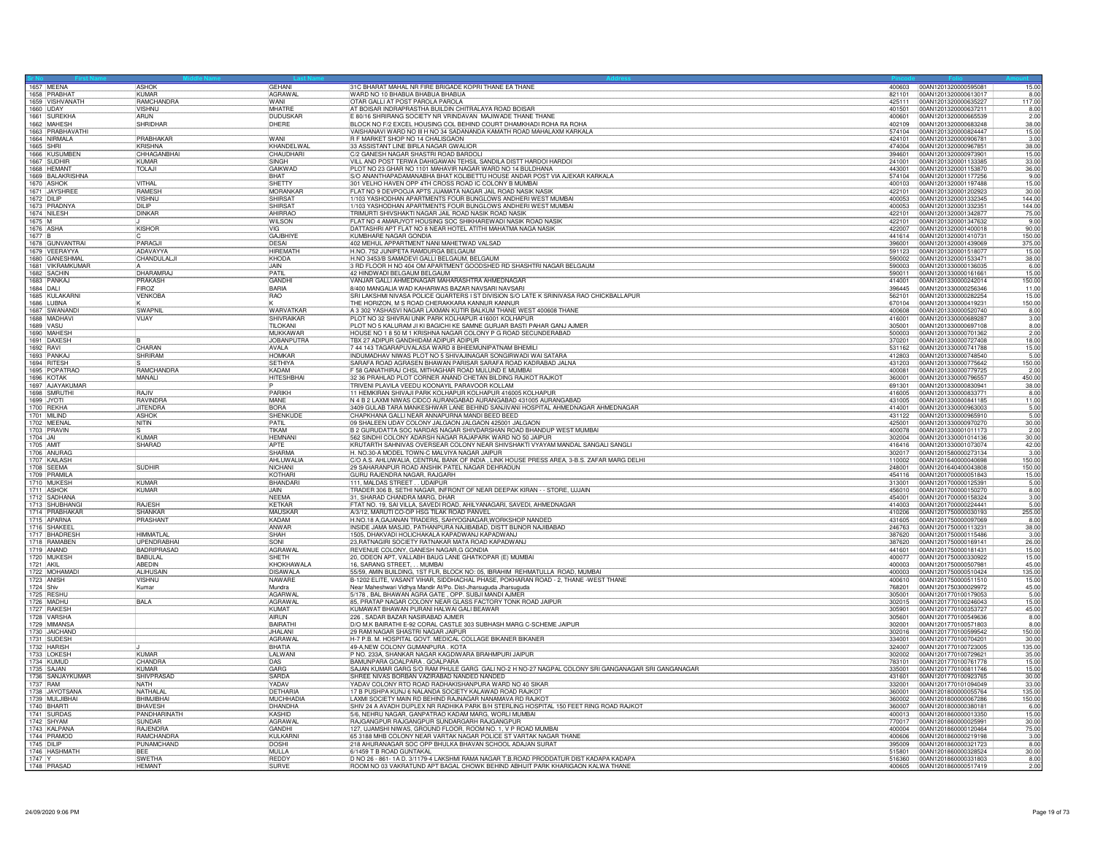| 1657 MEENA                         |                                   |                               |                                                                                                                                                                          |                  |                                                                       |
|------------------------------------|-----------------------------------|-------------------------------|--------------------------------------------------------------------------------------------------------------------------------------------------------------------------|------------------|-----------------------------------------------------------------------|
| 1658 PRABHAT                       | ASHOK<br><b>KUMAF</b>             | GEHANI<br><b>AGRAWAL</b>      | 31C BHARAT MAHAL NR FIRE BRIGADE KOPRI THANE EA THANE<br>WARD NO 10 BHABUA BHABUA BHABUA                                                                                 | 821101           | 400603 00AN1201320000595081<br>15.00<br>00AN1201320000613017<br>8.00  |
| 1659 VISHVANATH                    | <b>RAMCHANDRA</b>                 | WANI                          | OTAR GALLI AT POST PAROLA PAROLA                                                                                                                                         | 425111           | 117.00<br>00AN1201320000635227                                        |
| 1660 UDAY                          | VISHNU                            | MHATRE                        | AT BOISAR INDRAPRASTHA BUILDIN CHITRALAYA ROAD BOISAR                                                                                                                    | 401501           | 00AN1201320000637211<br>$\frac{8.00}{2.00}$                           |
| 1661 SUREKHA<br>1662 MAHESH        | <b>ARUN</b><br><b>SHRIDHAR</b>    | DUDUSKAR<br>DHERE             | E 80/16 SHRIRANG SOCIETY NR VRINDAVAN MAJIWADE THANE THANE<br>BLOCK NO F/2 EXCEL HOUSING COL BEHIND COURT DHAMKHADI ROHA RA ROHA                                         | 400601           | 00AN1201320000665539<br>402109 00AN1201320000683248<br>38.00          |
| 1663 PRABHAVATHI                   |                                   |                               | VAISHANAVI WARD NO III H NO 34 SADANANDA KAMATH ROAD MAHALAXM KARKALA                                                                                                    | 574104           | 00AN1201320000824447<br>15.00                                         |
| 1664 NIRMALA                       | PRABHAKAR                         | WANI                          | B F MARKET SHOP NO 14 CHALISGAON                                                                                                                                         | 424101           | 3.00<br>00AN1201320000906781                                          |
| 1665 SHRI                          | KRISHNA                           | KHANDELWAL                    | 33 ASSISTANT LINE BIRLA NAGAR GWALIOR                                                                                                                                    | 474004           | 38.00<br>00AN1201320000967851                                         |
| 1666 KUSUMBEN<br>1667 SUDHIR       | CHHAGANBHA<br>KUMAR               | CHAUDHARI<br><b>SINGH</b>     | C/2 GANESH NAGAR SHASTRI ROAD BARDOLI<br>VILL AND POST TERWA DAHIGAWAN TEHSIL SANDILA DISTT HARDOI HARDOI                                                                | 394601<br>241001 | 15.00<br>00AN1201320000973901<br>00AN1201320001133385<br>33.00        |
| 1668 HEMANT                        | TOLAJI                            | <b>GAIKWAD</b>                | PLOT NO 23 GHAR NO 1101 MAHAVIR NAGAR WARD NO 14 BULDHANA                                                                                                                | 443001           | 00AN1201320001153870<br>36.00                                         |
| 1669 BALAKRISHNA                   |                                   | <b>BHAT</b>                   | S/O ANANTHAPADAMANABHA BHAT KOLIBETTU HOUSE ANDAR POST VIA AJEKAR KARKALA                                                                                                | 574104           | 9.00<br>00AN1201320001177256                                          |
| 1670 ASHOK<br>1671 JAYSHRE         | <b>VITHAI</b><br><b>RAMESH</b>    | SHFTTY<br><b>MORANKAF</b>     | 301 VELHO HAVEN OPP 4TH CROSS ROAD IC COLONY B MUMBAL<br>FLAT NO 9 DEVPOOJA APTS JIJAMATA NAGAR JAIL ROAD NASIK NASIK                                                    | 400103<br>422101 | 15.00<br>00AN1201320001197488<br>00AN1201320001202923<br>30.00        |
| 1672 DILIP                         | <b>VISHNU</b>                     | SHIRSAT                       | 1/103 YASHODHAN APARTMENTS FOUR BUNGLOWS ANDHERI WEST MUMBAI                                                                                                             | 400053           | 00AN1201320001332345<br>144.0                                         |
| 1673 PRADNYA                       | DILIP                             | SHIRSAT                       | 1/103 YASHODHAN APARTMENTS FOUR BUNGLOWS ANDHERI WEST MUMBAI                                                                                                             | 400053           | 144.00<br>00AN1201320001332351                                        |
| 1674 NILESH                        | <b>DINKAR</b>                     | AHIRRAO                       | TRIMURTI SHIVSHAKTI NAGAR JAIL ROAD NASIK ROAD NASIK                                                                                                                     | 422101           | 75.00<br>00AN1201320001342877                                         |
| 1675 M<br>1676 ASHA                | KISHOR                            | <b>WILSON</b><br>TVIG         | FLAT NO 4 AMARJYOT HOUSING SOC SHIKHAREWADI NASIK ROAD NASIK<br>DATTASHRI APT FLAT NO 8 NEAR HOTEL ATITHI MAHATMA NAGA NASIK                                             | 422101<br>422007 | 00AN1201320001347632<br>9.00<br>00AN1201320001400018<br>90.00         |
| 1677 B                             |                                   | <b>GAJBHIYE</b>               | KUMBHARE NAGAR GONDIA                                                                                                                                                    | 441614           | 00AN1201320001410731<br>150.00                                        |
| 1678 GUNVANTRAI                    | PARAGJI                           | DESAI                         | 402 MEHUL APPARTMENT NANI MAHETWAD VALSAD                                                                                                                                | 396001           | 375.00<br>00AN1201320001439069                                        |
| 1679 VEERAYYA                      | ADAVAYYA                          | <b>HIREMATH</b>               | H.NO. 752 JUNIPETA RAMDURGA BELGAUM                                                                                                                                      | 591123           | 15.00<br>00AN1201320001518077                                         |
| 1680 GANESHMAI<br>1681 VIKRAMKUMAR | CHANDULALJ                        | KHODA<br>JAIN                 | H.NO 3453/B SAMADEVI GALLI BELGAUM, BELGAUM<br>3 RD FLOOR H NO 404 OM APARTMENT GOODSHED RD SHASHTRI NAGAR BELGAUM                                                       | 590002<br>590003 | 00AN1201320001533471<br>38.00<br>6.00<br>00AN1201330000136035         |
| 1682 SACHIN                        | <b>DHARAMRA</b>                   | PATIL                         | 42 HINDWADI BELGAUM BELGAUM                                                                                                                                              | 590011           | 00AN1201330000161661<br>15.00                                         |
| 1683 PANKA.                        | PRAKASH                           | GANDHI                        | VANJAR GALLI AHMEDNAGAR MAHARASHTRA AHMEDNAGAR                                                                                                                           | 414001           | 150.00<br>100AN1201330000242014                                       |
| 1684 DALI                          | FIROZ                             | BARIA                         | 8/400 MANGALIA WAD KAHARWAS BAZAR NAVSARI NAVSARI                                                                                                                        | 396445           | 00AN1201330000256346<br>11.00                                         |
| 1685 KULAKARNI<br>1686 LUBNA       | <b>VENKOBA</b>                    | RAO<br>ΙK                     | SRI LAKSHMI NIVASA POLICE QUARTERS I ST DIVISION S/O LATE K SRINIVASA RAO CHICKBALLAPUR<br>THE HORIZON, M S ROAD CHERAKKARA KANNUR KANNUR                                | 562101<br>670104 | 00AN1201330000282254<br>15.00<br>150.00<br>00AN1201330000419231       |
| 1687 SWANANDI                      | SWAPNI                            | WARVATKAR                     | A 3 302 YASHASVI NAGAR LAXMAN KUTIR BALKUM THANE WEST 400608 THANE                                                                                                       | 400608           | 00AN1201330000520740<br>8.00                                          |
| 1688 MADHAVI                       | <b>VIJAY</b>                      | SHIVRAIKAR                    | PLOT NO 32 SHIVRAI UNIK PARK KOLHAPUR 416001 KOLHAPUR                                                                                                                    |                  | 3.00                                                                  |
| 1689 VASU                          |                                   | <b>TILOKANI</b>               | PLOT NO 5 KALURAM JI KI BAGICHI KE SAMNE GURJAR BASTI PAHAR GANJ AJMER                                                                                                   | 305001           | 00AN1201330000697108<br>8.00                                          |
| 1690 MAHESH<br>1691 DAXESH         |                                   | MUKKAWAF<br><b>JOBANPUTRA</b> | HOUSE NO 1 8 50 M 1 KRISHNA NAGAR COLONY P G ROAD SECUNDERABAD<br>TBX 27 ADIPUR GANDHIDAM ADIPUR ADIPUR                                                                  | 500003<br>370201 | 00AN1201330000701362<br>2.00<br>18.00<br>00AN1201330000727408         |
| 1692 RAVI                          | CHARAN                            | AVALA                         | 7 44 143 TAGARAPUVALASA WARD 8 BHEEMUNIPATNAM BHEMIL                                                                                                                     | 531162           | 00AN1201330000741788                                                  |
| 1693 PANKAJ                        | SHRIRAM                           | <b>HOMKAR</b>                 | INDUMADHAV NIWAS PLOT NO 5 SHIVAJINAGAR SONGIRWADI WAI SATARA                                                                                                            | 412803           | $\frac{15.00}{5.00}$<br>00AN1201330000748540                          |
| 1694 RITESH                        |                                   | <b>SETHIYA</b>                | SARAFA ROAD AGRASEN BHAWAN PARISAR SARAFA ROAD KADRABAD JALNA                                                                                                            | 431203           | 00AN1201330000775642<br>150.00                                        |
| 1695 POPATRAO<br>1696 KOTAK        | <b>RAMCHANDRA</b><br>MANALI       | KADAM<br><b>HITESHBHAI</b>    | F 58 GANATHIRAJ CHSL MITHAGHAR ROAD MULUND E MUMBAI<br>32 36 PRAHLAD PLOT CORNER ANAND CHETAN BILDING RAJKOT RAJKOT                                                      | 400081<br>360001 | 00AN1201330000779725<br>2.00<br>450.00<br>00AN1201330000796557        |
| 1697 AJAYAKUMAR                    |                                   |                               | TRIVENI PLAVILA VEEDU KOONAYIL PARAVOOR KOLLAM                                                                                                                           | 691301           | 00AN1201330000830941<br>38.00                                         |
| 1698 SMRUTHI                       | RA.IIV                            | PARIKH                        | 11 HEMKIRAN SHIVAJI PARK KOLHAPUR KOLHAPUR 416005 KOLHAPUR                                                                                                               | 416005           | 8.00<br>00AN1201330000833771                                          |
| 1699 JYOTI<br>1700 REKHA           | RAVINDRA<br>JITENDRA              | MANE<br><b>BORA</b>           | N 4 B 2 LAXMI NIWAS CIDCO AURANGABAD AURANGABAD 431005 AURANGABAD<br>3409 GULAB TARA MANKESHWAR LANE BEHIND SANJIVANI HOSPITAL AHMEDNAGAR AHMEDNAGAR                     | 431005<br>414001 | 00AN1201330000841185<br>11.00<br>5.00                                 |
| 1701 MILIND                        | <b>ASHOK</b>                      | SHENKUDE                      | CHAPKHANA GALLI NEAR ANNAPURNA MANDI BEED BEED                                                                                                                           | 431122           | 00AN1201330000963003<br>5.00<br>00AN1201330000965910                  |
| 1702 MEENA                         | NITIN                             | PATIL                         | 09 SHALEEN UDAY COLONY JALGAON JALGAON 425001 JALGAON                                                                                                                    | 425001           | 30.00<br>00AN1201330000970270                                         |
| 1703 PRAVIN                        |                                   | <b>TIKAM</b>                  | B 2 GURUDATTA SOC NARDAS NAGAR SHIVDARSHAN ROAD BHANDUP WEST MUMBAI                                                                                                      | 400078           | 2.00<br>00AN1201330001011173                                          |
| 1704 JAI<br>1705 AMIT              | KUMAR<br>SHARAD                   | <b>HEMNANI</b><br>APTF        | 562 SINDHI COLONY ADARSH NAGAR RAJAPARK WARD NO 50 JAIPUF<br>KRUTARTH SAHNIVAS OVERSEAR COLONY NEAR SHIVSHAKTI VYAYAM MANDAL SANGALI SANGLI                              | 302004<br>416416 | 30.00<br>00AN1201330001014136<br>42.00<br>00AN1201330001073074        |
| 1706 ANURAG                        |                                   | SHARMA                        | H. NO.30-A MODEL TOWN-C MALVIYA NAGAR JAIPUR                                                                                                                             | 302017           | 3.00<br>00AN1201580000273134                                          |
| 1707 KAILASH                       |                                   | AHLUWALIA                     | C/O A.S. AHLUWALIA, CENTRAL BANK OF INDIA, LINK HOUSE PRESS AREA, 3-B.S. ZAFAR MARG DELHI                                                                                | 110002           | 150.00<br>00AN1201640000040698                                        |
| 1708 SEEMA                         | <b>SUDHIR</b>                     | <b>NICHANI</b>                | 29 SAHARANPUR ROAD ANSHIK PATEL NAGAR DEHRADUN                                                                                                                           | 248001           | 00AN1201640400043808<br>150.00                                        |
| 1709 PRAMILA<br>1710 MUKESH        | KUMAR                             | KOTHARI<br>BHANDARI           | GURU RAJENDRA NAGAR, RAJGARH<br>111, MALDAS STREET UDAIPUR                                                                                                               | 454116<br>313001 | 00AN1201700000051843<br>15.00<br>5.00<br>00AN1201700000125391         |
| 1711 ASHOK                         | KUMAR                             | JAIN                          | TRADER 306 B, SETHI NAGAR, INFRONT OF NEAR DEEPAK KIRAN - - STORE, UJJAIN                                                                                                | 456010           | 8.00<br>00AN1201700000150270                                          |
| 1712 SADHANA                       |                                   | <b>NFFMA</b>                  | 31, SHARAD CHANDRA MARG, DHAR                                                                                                                                            | 454001           | 3.00<br>00AN1201700000158324                                          |
| 1713 SHUBHANGI                     | <b>RAJFSH</b>                     | KETKAR                        | FTAT NO. 19, SAI VILLA, SAVEDI ROAD, AHILYANAGARI, SAVEDI, AHMEDNAGAR                                                                                                    | 414003           | 00AN1201700000224441<br>5.00                                          |
| 1714 PRABHAKAR<br>1715 APARNA      | SHANKAF<br>PRASHANT               | <b>MAUSKAR</b><br>KADAM       | A/3/12, MARUTI CO-OP HSG TILAK ROAD PANVEL<br>H.NO.18 A, GAJANAN TRADERS, SAHYOGNAGAR, WORKSHOP NANDED                                                                   | 410206<br>431605 | 00AN1201750000030193<br>255.00<br>8.00<br>00AN1201750000097069        |
| 1716 SHAKEEL                       |                                   | ANWAR                         | INSIDE JAMA MASJID, PATHANPURA NAJIBABAD, DISTT BIJNOR NAJIBABAD                                                                                                         |                  | 38.00<br>246763  00AN1201750000113231                                 |
| 1717 BHADRESH                      | <b>HIMMATLAL</b>                  | SHAH                          | 1505, DHAKVADI HOLICHAKALA KAPADWANJ KAPADWANJ                                                                                                                           | 387620           | 00AN1201750000115486<br>3.00                                          |
| 1718 RAMABEN<br>1719 ANAND         | UPENDRABHAI<br><b>BADRIPRASAD</b> | SONI<br><b>AGRAWAL</b>        | 23, RATNAGIRI SOCIETY RATNAKAR MATA ROAD KAPADWANJ<br>REVENUE COLONY, GANESH NAGAR, G GONDIA                                                                             | 387620<br>441601 | 00AN1201750000169141<br>26.00<br>00AN1201750000181431<br>15.00        |
| 1720 MUKESH                        | <b>BABULAL</b>                    | SHFTH                         | 20, ODEON APT, VALLABH BAUG LANE GHATKOPAR (E) MUMBAI                                                                                                                    | 400077           | 15.00<br>00AN1201750000330922                                         |
| 1721 AKIL                          | <b>ARFDIN</b>                     | KHOKHAWALA                    | 16, SARANG STREET, MUMBAI                                                                                                                                                | 400003           | 45.00<br>00AN1201750000507981                                         |
| 1722 MOHAMADI                      | <b>ALIHUSAIN</b>                  | <b>DISAWALA</b>               | 55/59, AMIN BUILDING, 1ST FLR, BLOCK NO: 05, IBRAHIM REHMATULLA ROAD, MUMBAI                                                                                             | 400003           | 00AN1201750000510424<br>135.00                                        |
| 1723 ANISH<br>1724 Shiv            | <b>VISHNU</b><br>Kumar            | <b>NAWARE</b><br>Mundra       | B-1202 ELITE, VASANT VIHAR, SIDDHACHAL PHASE, POKHARAN ROAD - 2, THANE -WEST THANE<br>Near Maheshwari Vidhya Mandir At/Po. Dist-Jharsuguda Jharsuguda                    | 400610<br>768201 | 15.00<br>00AN1201750000511510<br>45.00<br>00AN1201750300029972        |
| 1725 RESHU                         |                                   | AGARWAL                       | 5/178, BAL BHAWAN AGRA GATE, OPP. SUBJI MANDI AJMER                                                                                                                      | 305001           | 00AN1201770100179053                                                  |
| 1726 MADHU                         | <b>BALA</b>                       | <b>AGRAWAL</b>                | 85, PRATAP NAGAR COLONY NEAR GLASS FACTORY TONK ROAD JAIPUR                                                                                                              | 302015           | $\frac{5.00}{15.00}$<br>00AN1201770100246043                          |
| 1727 RAKESH                        |                                   | KUMAT                         | KUMAWAT BHAWAN PURANI HALWAI GALI BEAWAR                                                                                                                                 | 305901           | 00AN1201770100353727<br>45.00                                         |
| 1728 VARSHA<br>1729 MIMANSA        |                                   | AIRUN<br><b>BAIRATHI</b>      | 226 . SADAR BAZAR NASIRABAD AJMER<br>D/O M.K BAIRATHI E-92 CORAL CASTLE 303 SUBHASH MARG C-SCHEME JAIPUR                                                                 | 305601<br>302001 | 8.00<br>00AN1201770100549636<br>8.00<br>00AN1201770100571803          |
| 1730 JAICHAND                      |                                   | JHAI ANI                      | 29 RAM NAGAR SHASTRI NAGAR JAIPUR                                                                                                                                        | 302016           | 150.00<br>00AN1201770100599542                                        |
| 1731 SUDESH                        |                                   | AGRAWAL                       | H-7 P.B. M. HOSPITAL GOVT. MEDICAL COLLAGE BIKANER BIKANER                                                                                                               |                  | 334001 00AN1201770100704201<br>30.00                                  |
| 1732 HARISH                        | KUMAF                             | BHATIA                        | 49-A, NEW COLONY GUMANPURA. KOTA                                                                                                                                         | 324007           | 00AN1201770100723005<br>135.0                                         |
| 1733 LOKESH<br>1734 KUMUD          | CHANDRA                           | LALWANI<br>DAS                | P NO. 233A, SHANKAR NAGAR KAGDIWARA BRAHMPURI JAIPUR<br>BAMUNPARA GOALPARA GOALPARA                                                                                      | 302002<br>783101 | 35.00<br>00AN1201770100729621<br>00AN1201770100761778                 |
| 1735 SAJAN                         | KUMAR                             | GARG                          | SAJAN KUMAR GARG S/O RAM PHULE GARG GALI NO-2 H NO-27 NAGPAL COLONY SRI GANGANAGAR SRI GANGANAGAR                                                                        | 335001           | $\frac{15.00}{15.00}$<br>00AN1201770100811746                         |
| 1736 SANJAYKUMAR                   | SHIVPRASAD                        | SARDA                         | SHREE NIVAS BORBAN VAZIRABAD NANDED NANDED                                                                                                                               | 431601           | 00AN1201770100923765<br>30.00                                         |
| 1737 RAM<br>1738 JAYOTSANA         | NATH<br>NATHALAL                  | YADAV<br>DETHARIA             | YADAV COLONY RTO ROAD RADHAKISHANPURA WARD NO 40 SIKAR<br>17 B PUSHPA KUNJ 6 NALANDA SOCIETY KALAWAD ROAD RAJKOT                                                         | 332001<br>360001 | 00AN1201770101094049<br>33.00<br>135.00<br>00AN1201800000055764       |
| 1739 MULJIBHAI                     | <b>BHIMJIBHA</b>                  | <b>MUCHHADIA</b>              | LAXMI SOCIETY MAIN RD BEHIND RAJNAGAR NANAMAVA RD RAJKOT                                                                                                                 | 360002           | 00AN1201800000067286<br>150.00                                        |
| 1740 BHARTI                        | RHAVESH                           | DHANDHA                       | SHIV 24 A AVADH DUPLEX NR RADHIKA PARK B/H STERLING HOSPITAL 150 FEET RING ROAD RAJKOT                                                                                   | 360007           | 00AN1201800000380181<br>6.00                                          |
| 1741 SURDAS                        | PANDHARINATH                      | KASHID                        | 5/6, NEHRU NAGAR, GANPATRAO KADAM MARG, WORLI MUMBAI                                                                                                                     | 400013           | 00AN1201860000013350<br>15.00                                         |
| 1742 SHYAM<br>1743 KALPANA         | <b>SUNDAR</b><br><b>RAJENDRA</b>  | <b>AGRAWAL</b><br>GANDHI      | RAJGANGPUR RAJGANGPUR SUNDARGARH RAJGANGPUR<br>127, UJAMSHI NIWAS, GROUND FLOOR, ROOM NO. 1, V P ROAD MUMBAI                                                             | 770017<br>400004 | 00AN1201860000025991<br>$\frac{30.00}{75.00}$<br>00AN1201860000120464 |
| 1744 PRAMOD                        | <b>RAMCHANDRA</b>                 | KULKARNI                      | 65 3188 MHB COLONY NEAR VARTAK NAGAR POLICE ST VARTAK NAGAR THANE                                                                                                        | 400606           | 00AN1201860000219198                                                  |
| 1745 DILIP                         | PUNAMCHAND                        | DOSHI                         | 218 AHURANAGAR SOC OPP BHULKA BHAVAN SCHOOL ADAJAN SURAT                                                                                                                 | 395009           | $\frac{3.00}{8.00}$<br>00AN1201860000321723                           |
| 1746 HASHMATH                      | BEE                               | MULLA                         | 6/1459 T B ROAD GUNTAKAL                                                                                                                                                 | 515801           | 00AN1201860000328524<br>30.00                                         |
| 1747 Y                             | <b>SWETHA</b><br><b>HEMANT</b>    | REDDY<br>SURVE                | D NO 26 - 861- 1A D. 3/1179-4 LAKSHMI RAMA NAGAR T.B.ROAD PRODDATUR DIST KADAPA KADAPA<br>ROOM NO 03 VAKRATUND APT BAGAL CHOWK BEHIND ABHIJIT PARK KHARIGAON KALWA THANE | 516360           | 00AN1201860000331803<br>8.00<br>2.00<br>400605 00AN1201860000517419   |
| 1748 PRASAD                        |                                   |                               |                                                                                                                                                                          |                  |                                                                       |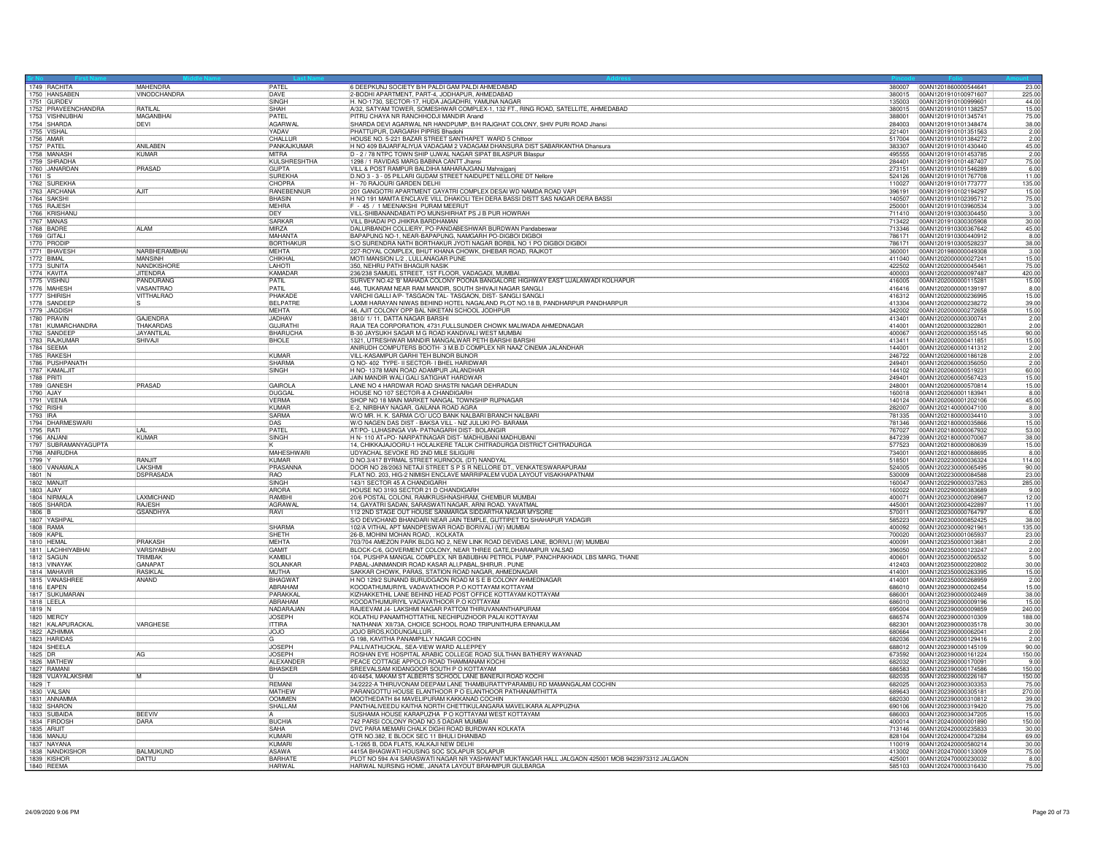| 1749 RACHITA                 |                      | <b>MAHENDRA</b>                 | PATFI                | 6 DEEPKUNJ SOCIETY B/H PALDI GAM PALDI AHMEDABAD                                                                                                     |                  | 380007 00AN1201860000544641<br>23.00                            |
|------------------------------|----------------------|---------------------------------|----------------------|------------------------------------------------------------------------------------------------------------------------------------------------------|------------------|-----------------------------------------------------------------|
|                              | 1750 HANSABEN        | <b>VINODCHANDRA</b>             | DAVE                 | 2-BODHI APARTMENT, PART-4, JODHAPUR, AHMEDABAD                                                                                                       | 380015           | 00AN1201910100971607<br>225.00                                  |
| 1751 GURDEV                  | 1752 PRAVEENCHANDRA  | RATILA                          | <b>SINGH</b><br>SHAH | H. NO-1730, SECTOR-17, HUDA JAGADHRI, YAMUNA NAGAR<br>A/32, SATYAM TOWER, SOMESHWAR COMPLEX-1, 132 FT., RING ROAD, SATELLITE, AHMEDABAD              | 135003<br>380015 | 00AN1201910100999601<br>44.00                                   |
|                              | 1753 VISHNUBHAI      | MAGANBHAI                       | PATEL                | PITRU CHAYA NR RANCHHODJI MANDIR Anand                                                                                                               | 388001           | 00AN1201910101138257<br>15.00<br>00AN1201910101345741<br>75.00  |
| 1754 SHARDA                  |                      | DEVI                            | AGARWAL              | SHARDA DEVI AGARWAL NR HANDPUMP, B/H RAJGHAT COLONY, SHIV PURI ROAD Jhansi                                                                           | 284003           | 00AN1201910101348474<br>38.00                                   |
| 1755 VISHAL                  |                      |                                 | YADAV                | PHATTUPUR, DARGARH PIPRIS Bhadohi                                                                                                                    | 221401           | 00AN1201910101351563<br>2.00                                    |
| 1756 AMAR                    |                      |                                 | CHALLUR              | HOUSE NO. 5-221 BAZAR STREET SANTHAPET WARD 5 Chittoor                                                                                               | 517004           | 00AN1201910101384272<br>2.00                                    |
| 1757 PATEI                   |                      | ANILABEN                        | PANKAJKUMAR          | H NO 409 BAJARFALIYUA VADAGAM 2 VADAGAM DHANSURA DIST SABARKANTHA Dhansura                                                                           | 383307           | 00AN1201910101430440<br>45.00                                   |
| 1758 MANASH                  |                      | <b>KUMAR</b>                    | <b>MITRA</b>         | D - 2 / 78 NTPC TOWN SHIP UJWAL NAGAR SIPAT BILASPUR Bilaspur                                                                                        | 495555           | 2.00<br>00AN1201910101453785                                    |
|                              | 1759 SHRADHA         |                                 | KULSHRESHTHA         | 1298 / 1 RAVIDAS MARG BABINA CANTT Jhansi                                                                                                            | 284401           | 00AN1201910101487407<br>75.00                                   |
|                              | 1760 JANARDAN        | PRASAD                          | GUPTA                | VILL & POST RAMPUR BALDIHA MAHARAJGANJ Mahrajganj                                                                                                    | 273151           | 6.00<br>100AN1201910101546289                                   |
| 1761 S                       |                      |                                 | <b>SUREKHA</b>       | D.NO 3 - 3 - 05 PILLARI GUDAM STREET NAIDUPET NELLORE DT Nellore                                                                                     | 524126           | 00AN1201910101767708<br>11.00                                   |
|                              | 1762 SUREKHA         |                                 | CHOPRA               | H - 70 RAJOURI GARDEN DELHI                                                                                                                          | 110027           | 00AN1201910101773777<br>135.00                                  |
|                              | 1763 ARCHANA         | AJIT                            | RANEBENNUR           | 201 GANGOTRI APARTMENT GAYATRI COMPLEX DESAI WD NAMDA ROAD VAPI                                                                                      | 396191           | 15.00<br>00AN1201910102194297                                   |
| 1764 SAKSHI                  |                      |                                 | BHASIN               | H NO 191 MAMTA ENCLAVE VILL DHAKOLI TEH DERA BASSI DISTT SAS NAGAR DERA BASSI                                                                        | 140507           | 00AN1201910102395712<br>75.00                                   |
| 1765 RAJESH                  |                      |                                 | <b>MFHRA</b>         | F - 45 / 1 MEENAKSHI PURAM MEERUT                                                                                                                    | 250001           | 3.00<br>00AN1201910103960534                                    |
|                              | 1766 KRISHANL        |                                 | DEY                  | VILL-SHIBANANDABATI PO MUNSHIRHAT PS J B PUR HOWRAH                                                                                                  | 711410           | 00AN1201910300304450<br>3.00                                    |
| 1767 MANAS                   |                      |                                 | SARKAR               | VILL BHADAI PO JHIKRA BARDHAMAN                                                                                                                      | 713422           | 30.00<br>00AN1201910300305908                                   |
| 1768 BADRE                   |                      | <b>ALAM</b>                     | <b>MIRZA</b>         | DALURBANDH COLLIERY, PO-PANDABESHWAR BURDWAN Pandabeswar                                                                                             | 713346           | 00AN1201910300367642<br>45.00                                   |
| 1769 GITAL                   |                      |                                 | <b>MAHANTA</b>       | BAPAPUNG NO-1, NEAR-BAPAPUNG, NAMGARH PO-DIGBOI DIGBOI                                                                                               | 786171           | 00AN1201910300440912<br>8.00                                    |
| 1770 PRODIF                  |                      |                                 | BORTHAKUI            | S/O SURENDRA NATH BORTHAKUR JYOTI NAGAR BORBIL NO 1 PO DIGBOI DIGBOI                                                                                 | 786171           | 38.00<br>00AN1201910300528237                                   |
| 1772 BIMAL                   | 1771 BHAVESH         | NARBHERAMBHAI<br><b>MANSINH</b> | MEHTA<br>CHIKHAI     | 227-ROYAL COMPLEX, BHUT KHANA CHOWK, DHEBAR ROAD, RAJKOT                                                                                             | 360001<br>411040 | 00AN1201980000049308<br>3.00<br>00AN1202000000027241            |
| 1773 SUNITA                  |                      | <b>NANDKISHOR</b>               | LAHOTI               | MOTI MANSION L/2, LULLANAGAR PUNE<br>350, NEHRU PATH BHAGUR NASIK                                                                                    | 422502           | 15.00<br>75.00<br>00AN1202000000045461                          |
| 1774 KAVITA                  |                      | <b>JITFNDRA</b>                 | KAMADAR              | 236/238 SAMUEL STREET, 1ST FLOOR, VADAGADI, MUMBAI.                                                                                                  | 400003           | 00AN120200000097487<br>420.00                                   |
| 1775 VISHNU                  |                      | PANDURANG                       | PATIL                | SURVEY NO.42 'B' MAHADA COLONY POONA BANGALORE HIGHWAY EAST UJALAIWADI KOLHAPUR                                                                      | 416005           | 00AN1202000000115281<br>15.00                                   |
| 1776 MAHESH                  |                      | VASANTRAO                       | PATIL                | 446, TUKARAM NEAR RAM MANDIR, SOUTH SHIVAJI NAGAR SANGLI                                                                                             | 416416           | 8.00<br>00AN1202000000139197                                    |
| 1777 SHIRISH                 |                      | VITTHALRAO                      | PHAKADE              | VARCHI GALLI A/P- TASGAON TAL- TASGAON, DIST- SANGLI SANGLI                                                                                          | 416312           | 15.00<br>00AN1202000000236995                                   |
|                              | 1778 SANDEEP         |                                 | BELPATRE             | LAXMI HARAYAN NIWAS BEHIND HOTEL NAGALAND PLOT NO.18 B, PANDHARPUR PANDHARPUR                                                                        | 413304           | 00AN1202000000238272<br>39.00                                   |
| 1779 JAGDISH                 |                      |                                 | MFHTA                | 46, AJIT COLONY OPP BAL NIKETAN SCHOOL JODHPUR                                                                                                       | 342002           | 00AN1202000000272658<br>15.00                                   |
| 1780 PRAVIN                  |                      | <b>GAJFNDRA</b>                 | <b>JADHAV</b>        | 3810/1/11, DATTA NAGAR BARSHI                                                                                                                        | 413401           | 00AN1202000000300741<br>2.00                                    |
|                              | 1781 KUMARCHANDRA    | THAKARDAS                       | <b>GUJRATH</b>       | RAJA TEA CORPORATION, 4731, FULLSUNDER CHOWK MALIWADA AHMEDNAGAR                                                                                     | 414001           | 2.00<br>00AN1202000000322801                                    |
|                              | 1782 SANDEEP         | <b>JAYANTILAL</b>               | BHARUCHA             | B-30 JAYSUKH SAGAR M G ROAD KANDIVALI WEST MUMBAI                                                                                                    | 400067           | 00AN1202000000355145<br>90.00                                   |
|                              | 1783 RAJKUMAF        | SHIVAJI                         | <b>BHOLE</b>         | 321, UTRESHWAR MANDIR MANGALWAR PETH BARSHI BARSH                                                                                                    | 413411           | 00AN1202000000411851<br>15.00                                   |
| 1784 SEEMA                   |                      |                                 |                      | ANIRUDH COMPUTERS BOOTH- 3 M.B.D COMPLEX NR NAAZ CINEMA JALANDHAR                                                                                    | 144001           | 00AN1202060000141312<br>2.00                                    |
| 1785 RAKESH                  |                      |                                 | <b>KIMAR</b>         | VILL-KASAMPUR GARHI TEH BIJNOR BIJNOR                                                                                                                | 246722           | 00AN1202060000186128<br>2.00                                    |
|                              | 1786 PUSHPANATH      |                                 | SHARMA               | Q NO- 402 TYPE- II SECTOR- I BHEL HARIDWAR                                                                                                           | 249401           | 2.00<br>00AN1202060000356050                                    |
|                              | 1787 KAMALJIT        |                                 | SINGH                | H NO- 1378 MAIN ROAD ADAMPUR JALANDHAR                                                                                                               | 144102           | 00AN1202060000519231<br>60.00                                   |
| 1788 PRITI                   |                      |                                 |                      | JAIN MANDIR WALI GALI SATIGHAT HARDWAR                                                                                                               | 249401           | 00AN1202060000567423<br>15.00                                   |
| 1789 GANESH                  |                      | PRASAD                          | GAIROLA              | LANE NO 4 HARDWAR ROAD SHASTRI NAGAR DEHRADUN                                                                                                        | 248001           | 15.00<br>00AN1202060000570814                                   |
| 1790 AJAY                    |                      |                                 | <b>DUGGAL</b>        | HOUSE NO 107 SECTOR-8 A CHANDIGARH                                                                                                                   | 160018           | 00AN1202060001183941<br>8.00                                    |
| 1791 VEENA                   |                      |                                 | <b>VERMA</b>         | SHOP NO 18 MAIN MARKET NANGAL TOWNSHIP RUPNAGAR                                                                                                      | 140124           | 00AN1202060001202106<br>45.00                                   |
| 1792 RISHI                   |                      |                                 | KUMAR<br>SARMA       | E-2, NIRBHAY NAGAR, GAILANA ROAD AGRA                                                                                                                | 282007           | 8.00<br>00AN1202140000047100<br>3.00                            |
| 1793 IRA                     | 1794 DHARMESWARI     |                                 | <b>DAS</b>           | W/O MR. H. K. SARMA C/O/ UCO BANK NALBARI BRANCH NALBARI<br>W/O NAGEN DAS DIST - BAKSA VILL - NIZ JULUKI PO- BARAMA                                  | 781335<br>781346 | 00AN1202180000034410<br>15.00<br>00AN1202180000035866           |
| 1795 RATI                    |                      | $\overline{A}$                  | PATEL                | AT/PO- LUHASINGA VIA- PATNAGARH DIST- BOLANGIR                                                                                                       | 767027           | 00AN1202180000067932<br>53.00                                   |
| 1796 ANJANI                  |                      | <b>KUMAR</b>                    | SINGH                | H N- 110 AT+PO- NARPATINAGAR DIST- MADHUBANI MADHUBANI                                                                                               | 847239           | 00AN1202180000070067<br>38.00                                   |
|                              | 1797 SUBRAMANYAGUPTA |                                 |                      | 14, CHIKKAJAJOORU-1 HOLALKERE TALUK CHITRADURGA DISTRICT CHITRADURGA                                                                                 | 577523           | 15.00<br>00AN1202180000080639                                   |
|                              | 1798 ANIRUDHA        |                                 | MAHESHWARI           | UDYACHAL SEVOKE RD 2ND MILE SILIGURI                                                                                                                 | 734001           | 00AN1202180000088695<br>8.00                                    |
| 1799 Y                       |                      | RANJIT                          | KUMAR                | D NO.3/417 BYRMAL STREET KURNOOL (DT) NANDYAL                                                                                                        | 518501           | 00AN1202230000036324<br>114.00                                  |
|                              | 1800 VANAMALA        | LAKSHMI                         | PRASANNA             | DOOR NO 28/2063 NETAJI STREET S P S R NELLORE DT., VENKATESWARAPURAM                                                                                 | 524005           | 00AN1202230000065495<br>90.00                                   |
| 1801 N                       |                      | <b>DSPRASADA</b>                | RAO                  | FLAT NO. 203, HIG-2 NIMISH ENCLAVE MARRIPALEM VUDA LAYOUT VISAKHAPATNAM                                                                              | 530009           | 00AN1202230000084588<br>23.00                                   |
| 1802 MANJI                   |                      |                                 | <b>SINGH</b>         | 143/1 SECTOR 45 A CHANDIGARH                                                                                                                         | 160047           | 00AN1202290000037263<br>285.00                                  |
| 1803 AJAY                    |                      |                                 | <b>AROBA</b>         | HOUSE NO 3193 SECTOR 21 D CHANDIGARH                                                                                                                 | 160022           | 00AN1202290000383689<br>9.00                                    |
| 1804 NIRMAL                  |                      | LAXMICHAND                      | RAMBHI               | 20/6 POSTAL COLONI, RAMKRUSHNASHRAM, CHEMBUR MUMBAI                                                                                                  | 400071           | 00AN1202300000208967<br>12.00                                   |
| 1805 SHARDA                  |                      | RAJESH                          | AGRAWAL              | 14, GAYATRI SADAN, SARASWATI NAGAR, ARNI ROAD. YAVATMAL                                                                                              | 445001           | 00AN1202300000422897<br>11.00                                   |
| 1806 B                       |                      | <b>GSANDHYA</b>                 | RAVI                 | 112 2ND STAGE OUT HOUSE SANMARGA SIDDARTHA NAGAR MYSORE                                                                                              | 570011           | 6.00<br>00AN1202300000764797                                    |
| 1807 YASHPA                  |                      |                                 |                      | S/O DEVICHAND BHANDARI NEAR JAIN TEMPLE, GUTTIPET TO SHAHAPUR YADAGIR                                                                                | 585223           | 00AN1202300000852425<br>38.00                                   |
| 1808 RAMA                    |                      |                                 | SHARMA               | 102/A VITHAL APT MANDPESWAR ROAD BORIVALI (W) MUMBAI                                                                                                 |                  | 135.00<br>400092  00AN1202300000921961                          |
| 1809 KAPIL                   |                      |                                 | SHETH                | 26-B, MOHINI MOHAN ROAD, . KOLKATA                                                                                                                   | 700020           | 00AN1202300001065937<br>23.00                                   |
| 1810 HEMAL                   |                      | <b>PRAKASH</b>                  | <b>MEHTA</b>         | 703/704 AMEZON PARK BLDG NO 2, NEW LINK ROAD DEVIDAS LANE, BORIVLI (W) MUMBAI                                                                        | 400091           | 2.00<br>00AN1202350000013681                                    |
| 1812 SAGUN                   | 1811 LACHHIYABHAI    | VARSIYABHA<br>TRIMBAK           | GAMIT<br>KAMBL       | BLOCK-C/6, GOVERMENT COLONY, NEAR THREE GATE, DHARAMPUR VALSAD<br>104, PUSHPA MANGAL COMPLEX, NR BABUBHAI PETROL PUMP, PANCHPAKHADI, LBS MARG, THANE | 396050           | 2.00<br>00AN1202350000123247                                    |
|                              |                      | <b>GANAPAT</b>                  |                      |                                                                                                                                                      | 400601           | 5.00<br>00AN1202350000206532<br>30.00                           |
| 1813 VINAYAK<br>1814 MAHAVIR |                      | <b>RASIKLAL</b>                 | SOLANKAR<br>MUTHA    | PABAL-JAINMANDIR ROAD KASAR ALI, PABAL, SHIRUR. PUNE<br>SAKKAR CHOWK, PARAS, STATION ROAD NAGAR, AHMEDNAGAR                                          | 412403<br>414001 | 00AN1202350000220802<br>00AN1202350000263395<br>15.00           |
|                              | 1815 VANASHRE        | ANAND                           | BHAGWA <sup>-</sup>  | H NO 129/2 SUNAND BURUDGAON ROAD M S E B COLONY AHMEDNAGAR                                                                                           | 414001           | 2.00<br>00AN1202350000268959                                    |
| 1816 <b>FAPFN</b>            |                      |                                 | ABRAHAM              | KOODATHUMURIYIL VADAVATHOOR P.O KOTTAYAM KOTTAYAM                                                                                                    | 686010           | 15.00<br>00AN1202390000002454                                   |
|                              | 1817 SUKUMARAN       |                                 | PARAKKAL             | KIZHAKKETHIL LANE BEHIND HEAD POST OFFICE KOTTAYAM KOTTAYAM                                                                                          | 686001           | 00AN1202390000002469<br>38.00                                   |
| 1818 LEELA                   |                      |                                 | ARRAHAM              | KOODATHUMURIYIL VADAVATHOOR P.O KOTTAYAM                                                                                                             | 686010           | 15.00<br>00AN1202390000009196                                   |
| 1819 N                       |                      |                                 | NADARAJAN            | RAJEEVAM J4- LAKSHMI NAGAR PATTOM THIRUVANANTHAPURAM                                                                                                 | 695004           | 00AN1202390000009859<br>240.00                                  |
| 1820 MERCY                   |                      |                                 | JOSEPH               | KOLATHU PANAMTHOTTATHIL NECHIPUZHOOR PALAI KOTTAYAM                                                                                                  | 686574           | 00AN1202390000010309<br>188.00                                  |
|                              | 1821 KALAPURACKAL    | VARGHESE                        | <b>ITTIRA</b>        | 'NATHANIA' XII/73A, CHOICE SCHOOL ROAD TRIPUNITHURA ERNAKULAM                                                                                        | 682301           | 00AN1202390000035178<br>30.00                                   |
|                              | 1822 AZHIMMA         |                                 | <b>JOJO</b>          | JOJO BROS, KODUNGALLUR                                                                                                                               | 680664           | 00AN1202390000062041<br>2.00                                    |
| 1823 HARIDAS                 |                      |                                 | lG                   | G 198, KAVITHA PANAMPILLY NAGAR COCHIN                                                                                                               | 682036           | 00AN1202390000129416<br>2.00                                    |
| 1824 SHEELA                  |                      |                                 | <b>JOSEPH</b>        | PALLIVATHUCKAL, SEA-VIEW WARD ALLEPPEY                                                                                                               | 688012           | 00AN1202390000145109<br>90.00                                   |
| 1825 DR                      |                      | AG                              | <b>JOSEPH</b>        | ROSHAN EYE HOSPITAL ARABIC COLLEGE ROAD SULTHAN BATHERY WAYANAD                                                                                      | 673592           | 00AN1202390000161224<br>150.00                                  |
|                              | 1826 MATHEW          |                                 | ALEXANDER            | PEACE COTTAGE APPOLO ROAD THAMMANAM KOCHI                                                                                                            | 682032           | 00AN1202390000170091<br>9.00                                    |
| 1827 RAMANI                  |                      |                                 | BHASKER              | SREEVALSAM KIDANGOOR SOUTH P O KOTTAYAM                                                                                                              | 686583           | 150.00<br>00AN1202390000174586                                  |
|                              | 1828 VIJAYALAKSHMI   | М                               |                      | 40/4454, MAKAM ST ALBERTS SCHOOL LANE BANERJI ROAD KOCHI                                                                                             | 682035           | 00AN1202390000226167<br>150.00                                  |
| 1829 T                       |                      |                                 | REMANI               | 34/2222-A THIRUVONAM DEEPAM LANE THAMBURATTYPARAMBU RD MAMANGALAM COCHIN                                                                             | 682025           | 00AN1202390000303353<br>75.00                                   |
| 1830 VALSAN                  |                      |                                 | <b>MATHEW</b>        | PARANGOTTU HOUSE ELANTHOOR P O ELANTHOOR PATHANAMTHITTA                                                                                              | 689643           | 270.00<br>00AN1202390000305181                                  |
|                              | 1831 ANNAMMA         |                                 | <b>OOMMEN</b>        | MOOTHEDATH 84 MAVELIPURAM KAKKANAD COCHIN                                                                                                            | 682030           | 00AN1202390000310812<br>39.00                                   |
| 1832 SHARON                  |                      |                                 | SHALLAM              | PANTHALIVEEDU KAITHA NORTH CHETTIKULANGARA MAVELIKARA ALAPPUZHA                                                                                      | 690106           | 00AN1202390000319420<br>75.00                                   |
| 1833 SUBAIDA                 | 1834 FIRDOSH         | <b>BEEVIV</b><br><b>DARA</b>    | <b>BUCHIA</b>        | SUSHAMA HOUSE KARAPUZHA P O KOTTAYAM WEST KOTTAYAM<br>742 PARSI COLONY ROAD NO.5 DADAR MUMBA                                                         | 686003<br>400014 | 00AN1202390000347205<br>15.00<br>00AN1202400000001890<br>150.00 |
| 1835 ARIJIT                  |                      |                                 | <b>SAHA</b>          | DVC PARA MEMARI CHALK DIGHI ROAD BURDWAN KOLKATA                                                                                                     | 713146           | 00AN1202420000235833<br>30.00                                   |
| 1836 MANJU                   |                      |                                 | KI IMARI             | QTR NO.382, E BLOCK SEC 11 BHULI DHANBAD                                                                                                             | 828104           | 00AN1202420000473284<br>69.00                                   |
| 1837 NAYANA                  |                      |                                 | KUMARI               | L-1/265 B, DDA FLATS, KALKAJI NEW DELHI                                                                                                              | 110019           | 00AN1202420000580214<br>30.00                                   |
|                              | 1838 NANDKISHOR      | BALMUKUND                       | ASAWA                | 4415A BHAGWATI HOUSING SOC SOLAPUR SOLAPUR                                                                                                           | 413002           | 00AN1202470000133009<br>75.00                                   |
| 1839 KISHOR                  |                      | DATTU                           | <b>BARHATE</b>       | PLOT NO 594 A/4 SARASWATI NAGAR NR YASHWANT MUKTANGAR HALL JALGAON 425001 MOB 9423973312 JALGAON                                                     | 425001           | 00AN1202470000230032<br>8.00                                    |
| 1840 REEMA                   |                      |                                 | <b>HARWAL</b>        | HARWAL NURSING HOME, JANATA LAYOUT BRAHMPUR GULBARGA                                                                                                 |                  | 585103 00AN1202470000316430<br>75.00                            |
|                              |                      |                                 |                      |                                                                                                                                                      |                  |                                                                 |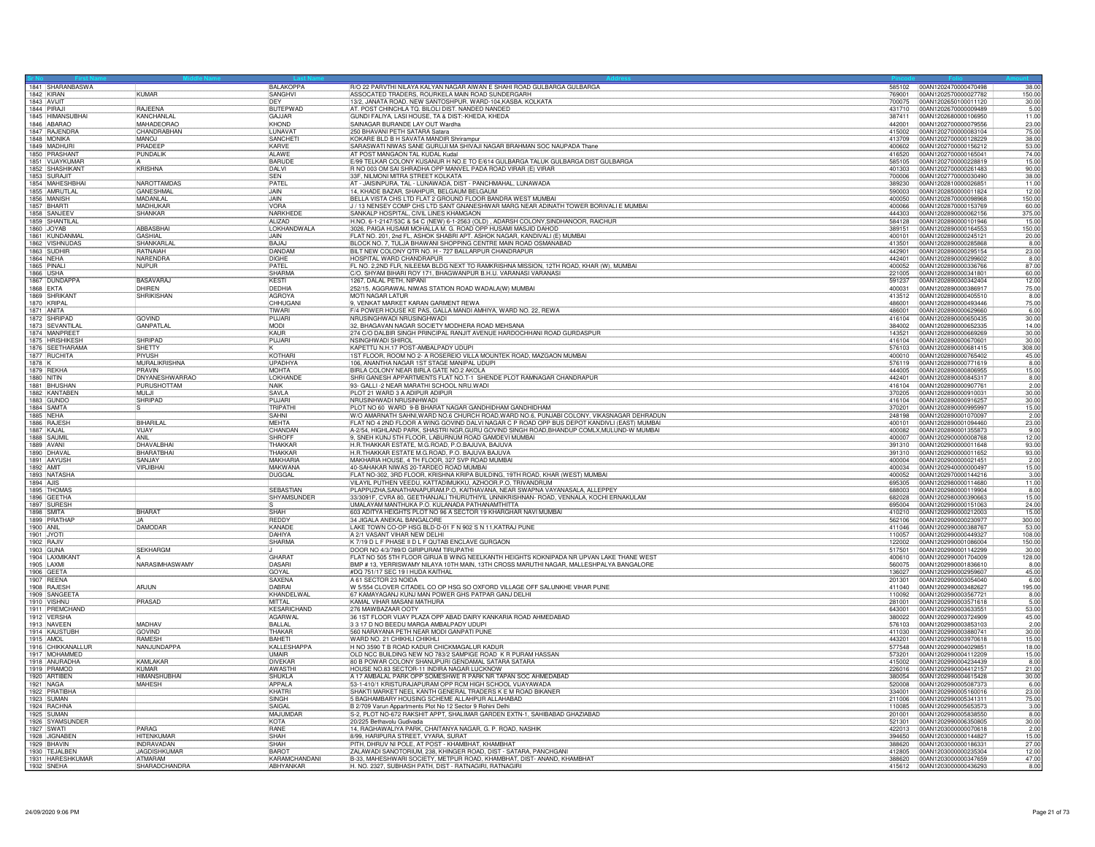|                   | 1841 SHARANBASWA  |                          | BALAKOPPA                         | R/O 22 PARVTHI NILAYA KALYAN NAGAR AIWAN E SHAHI ROAD GULBARGA GULBARGA                                                          |                  | 585102 00AN1202470000470498<br>38.00                  |
|-------------------|-------------------|--------------------------|-----------------------------------|----------------------------------------------------------------------------------------------------------------------------------|------------------|-------------------------------------------------------|
| 1842 KIRAN        |                   | <b>KUMAR</b>             | SANGHVI                           | ASSOCATED TRADERS, ROURKELA MAIN ROAD SUNDERGARH                                                                                 | 769001           | 150.00<br>00AN1202570000027782                        |
| 1843 AVIJIT       |                   |                          | <b>IDEY</b>                       | 13/2, JANATA ROAD. NEW SANTOSHPUR. WARD-104, KASBA. KOLKATA                                                                      | 700075           | 00AN1202650100011120<br>30.00                         |
| 1844 PIRAJ        |                   | <b>RAJEENA</b>           | <b>BUTEPWAD</b>                   | AT. POST CHINCHLA TO. BILOLI DIST. NANDED NANDED                                                                                 | 431710           | 00AN1202670000009489<br>5.00                          |
|                   | 1845 HIMANSUBHAI  | KANCHANLA                | <b>GAJJAR</b>                     | GUNDI FALIYA, LASI HOUSE, TA & DIST:-KHEDA, KHEDA                                                                                | 387411           | 11.00<br>00AN1202680000106950                         |
| 1846 ABARAO       |                   | MAHADEORAO               | KHOND                             | SAINAGAR BURANDE LAY OUT Wardha                                                                                                  | 442001           | 00AN1202700000079556<br>23.00                         |
| 1847 RAJENDRA     |                   | CHANDRABHAN              | <b>II UNAVAT</b>                  | 250 BHAVANI PFTH SATARA Satara                                                                                                   | 415002           | 100AN1202700000083104<br>75.00                        |
| 1848 MONIKA       |                   | <b>MANOJ</b>             | SANCHET                           | KOKARE BLD B H SAVATA MANDIR Shrirampur                                                                                          | 413709           | 00AN1202700000128229<br>38.00                         |
| 1849 MADHURI      |                   | PRADEER                  | KARVE                             | SARASWATI NIWAS SANE GURUJI MA SHIVAJI NAGAR BRAHMAN SOC NAUPADA Thane                                                           | 400602           | 53.00<br>00AN1202700000156212                         |
| 1850 PRASHANT     |                   | <b>PUNDALIK</b>          | ALAWE                             | AT POST MANGAON TAL KUDAL Kudal                                                                                                  | 416520           | 00AN1202700000165041<br>74.00                         |
|                   | 1851 VIJAYKUMAR   |                          | <b>BARUDE</b>                     | E/99 TELKAR COLONY KUSANUR H NO.E TO E/614 GULBARGA TALUK GULBARGA DIST GULBARGA                                                 | 585105           | 00AN1202700000228819<br>15.00                         |
|                   | 1852 SHASHIKANT   | KRISHNA                  | DALVI                             | R NO 003 OM SAI SHRADHA OPP MANVEL PADA ROAD VIRAR (E) VIRAR                                                                     | 401303           | 00AN1202700000261483<br>90.00                         |
| 1853 SURAJIT      |                   |                          | <b>ISFN</b>                       | 33F, NILMONI MITRA STREET KOLKATA                                                                                                | 700006           | 00AN1202770000030490<br>38.00                         |
|                   | 1854 MAHESHBHAI   | NAROTTAMDAS              | PATEI                             | AT - JAISINPURA, TAL - LUNAWADA, DIST - PANCHMAHAL, LUNAWADA                                                                     | 389230           | 11.00<br>00AN1202810000026851                         |
|                   | 1855 AMRUTLAL     | <b>GANESHMAL</b>         | JAIN                              | 14, KHADE BAZAR, SHAHPUR, BELGAUM BELGAUM                                                                                        | 590003           | 00AN1202850000011824<br>12.00                         |
| 1856 MANISH       |                   | <b>MADANI AI</b>         | <b>JAIN</b>                       | BELLA VISTA CHS LTD FLAT 2 GROUND FLOOR BANDRA WEST MUMBAI                                                                       | 400050           | 00AN1202870000098968<br>150.00                        |
| 1857 BHARTI       |                   | MADHUKAF                 | <b>VORA</b>                       | J / 13 NENSEY COMP CHS LTD SANT GNANESHWAR MARG NEAR ADINATH TOWER BORIVALI E MUMBAI                                             | 400066           | 00AN1202870000153769<br>60.00                         |
| 1858 SANJEE       |                   | <b>SHANKAR</b>           | NARKHEDE                          | SANKALP HOSPITAL, CIVIL LINES KHAMGAON                                                                                           | 444303           | 00AN1202890000062156<br>375.00                        |
| 1859 SHANTILAL    |                   |                          | ALIZAD                            | H.NO. 6-1-2147/53C & 54 C (NEW) 6-1-2563 (OLD), ADARSH COLONY, SINDHANOOR, RAICHUR                                               | 584128           | 00AN1202890000101946<br>15.00                         |
| 1860 JOYAB        |                   | <b>ABBASBHAI</b>         | LOKHANDWALA                       | 3026, PAIGA HUSAMI MOHALLA M. G. ROAD OPP HUSAMI MASJID DAHOD                                                                    | 389151           | 150.00<br>00AN1202890000164553                        |
|                   | 1861 KUNDANMAL    | GASHIAL                  | <b>LIAIN</b>                      | FLAT NO. 201, 2nd FL, ASHOK SHABRI APT. ASHOK NAGAR, KANDIVALI (E) MUMBAI                                                        | 400101           | 00AN1202890000245121<br>20.00                         |
|                   | 1862 VISHNUDAS    | SHANKARLA                | BAJAJ                             | BLOCK NO. 7, TULJA BHAWANI SHOPPING CENTRE MAIN ROAD OSMANABAD                                                                   | 413501           | 00AN1202890000285868<br>8.00                          |
| 1863 SUDHIR       |                   | RATNAIAH                 | DANDAM                            | BILT NEW COLONY QTR NO. H - 727 BALLARPUR CHANDRAPUR                                                                             | 442901           | 00AN1202890000295154<br>23.00                         |
| 1864 NEHA         |                   | NARENDRA                 | DIGHE                             | HOSPITAL WARD CHANDRAPUR                                                                                                         | 442401           | 00AN1202890000299602<br>8.00                          |
| 1865 PINAL        |                   | NUPUR                    | PATFI                             | FL NO. 2.2ND FLR. NILEEMA BLDG NEXT TO RAMKRISHNA MISSION, 12TH ROAD, KHAR (W), MUMBAL                                           | 400052           | 87.00<br>100AN1202890000336766                        |
|                   |                   |                          |                                   |                                                                                                                                  |                  |                                                       |
| 1866 USHA         |                   |                          | SHARMA                            | C/O. SHYAM BIHARI ROY 171, BHAGWANPUR B.H.U. VARANASI VARANASI                                                                   | 221005           | 00AN1202890000341801<br>60.00                         |
| 1867 DUNDAPPA     |                   | BASAVARAJ                | KESTI                             | 1267, DALAL PETH, NIPANI                                                                                                         | 591237           | 00AN1202890000342404<br>12.00                         |
| 1868 EKTA         |                   | DHIREN                   | DEDHIA                            | 252/15, AGGRAWAL NIWAS STATION ROAD WADALA(W) MUMBAI                                                                             | 400031           | 00AN1202890000386917<br>75.00                         |
| 1869 SHRIKAN      |                   | <b>SHRIKISHAN</b>        | AGROYA                            | MOTI NAGAR LATUR                                                                                                                 | 413512           | 8.00<br>00AN1202890000405510                          |
| 1870 KRIPAL       |                   |                          | <b>CHHUGAN</b>                    | 9. VENKAT MARKET KARAN GARMENT REWA                                                                                              | 486001           | 75.00<br>00AN1202890000493446                         |
| 1871 ANITA        |                   |                          | <b>TIWARI</b>                     | F/4 POWER HOUSE KE PAS, GALLA MANDI AMHIYA, WARD NO. 22, REWA                                                                    | 486001           | 00AN1202890000629660<br>6.00                          |
| 1872 SHRIPAD      |                   | GOVIND                   | PUJARI                            | NRUSINGHWADI NRUSINGHWADI                                                                                                        |                  | 30.00                                                 |
|                   | 1873 SEVANTILA    | <b>GANPATLAL</b>         | MODI                              | 32, BHAGAVAN NAGAR SOCIETY MODHERA ROAD MEHSANA                                                                                  | 384002           | 14.00<br>00AN1202890000652335                         |
| 1874 MANPREET     |                   |                          | KAUR                              | 274 C/O DALBIR SINGH PRINCIPAL RANJIT AVENUE HARDOCHHANI ROAD GURDASPUR                                                          | 143521           | 00AN1202890000669269<br>30.00                         |
|                   | 1875 HRISHIKESH   | SHRIPAD                  | PUJARI                            | NSINGHWADI SHIROL                                                                                                                | 416104           | 00AN1202890000670601<br>30.00                         |
|                   | 1876 SEETHARAMA   | <b>SHETTY</b>            |                                   | KAPETTU N.H.17 POST-AMBALPADY UDUPI                                                                                              | 576103           | 00AN1202890000681415<br>308.00                        |
| 1877 RUCHITA      |                   | PIYUSH                   | KOTHARI                           | 1ST FLOOR, ROOM NO 2- A ROSEREIO VILLA MOUNTEK ROAD, MAZGAON MUMBAI                                                              | 400010           | 00AN1202890000765402<br>45.00                         |
| 1878 K            |                   | MURALIKRISHNA            | LIPADHYA                          | 106, ANANTHA NAGAR 1ST STAGE MANIPAL UDUPI                                                                                       | 576119           | 00AN1202890000771619<br>8.00                          |
| 1879 RFKHA        |                   | PRAVIN                   | MOHTA                             | BIRLA COLONY NEAR BIRLA GATE NO.2 AKOLA                                                                                          | 444005           | 15.00<br>00AN1202890000806955                         |
| <b>1880 NITIN</b> |                   | DNYANESHWARRAO           | LOKHANDI                          | SHRI GANESH APPARTMENTS FLAT NO.T-1 SHENDE PLOT RAMNAGAR CHANDRAPUR                                                              | 442401           | 00AN1202890000845317<br>8.00                          |
| 1881 BHUSHAN      |                   | PURUSHOTTAM              | <b>NAIK</b>                       | 93- GALLI -2 NEAR MARATHI SCHOOL NRU.WADI                                                                                        | 416104           | 00AN1202890000907761<br>2.00                          |
| 1882 KANTABEN     |                   | MULJI <sup>1</sup>       | <b>SAVLA</b>                      | PLOT 21 WARD 3 A ADIPUR ADIPUR                                                                                                   | 370205           | 00AN1202890000910031<br>30.00                         |
| 1883 GUNDO        |                   | <b>SHRIPAD</b>           | PLIARI                            | NRUSINHWADI NRUSINHWADI                                                                                                          | 416104           | 00AN1202890000916257<br>30.00                         |
| 1884 SAMTA        |                   |                          | TRIPATHI                          | PLOT NO 60 WARD 9-B BHARAT NAGAR GANDHIDHAM GANDHIDHAM                                                                           | 370201           | 00AN1202890000995997<br>15.00                         |
| 1885 NEHA         |                   |                          | SAHNI                             | W/O AMARNATH SAHNI, WARD NO.6 CHURCH ROAD, WARD NO.6, PUNJABI COLONY, VIKASNAGAR DEHRADUN                                        | 248198           | 00AN1202890001070097<br>2.00                          |
| 1886 RAJESH       |                   | <b>BIHARILAL</b>         | <b>MEHTA</b>                      | FLAT NO 4 2ND FLOOR A WING GOVIND DALVI NAGAR C P ROAD OPP BUS DEPOT KANDIVLI (EAST) MUMBAI                                      | 400101           | 00AN1202890001094460<br>23.00                         |
| 1887 KAJAL        |                   | <b>VIJAY</b>             | CHANDAN                           | A-2/54, HIGHLAND PARK, SHASTRI NGR, GURU GOVIND SINGH ROAD, BHANDUP COMLX, MULUND-W MUMBAI                                       | 400082           | 00AN1202890001355873<br>9.00                          |
|                   |                   |                          |                                   |                                                                                                                                  |                  |                                                       |
| 1888 SAUMIL       |                   | ANII                     | SHROFF                            | 9, SNEH KUNJ 5TH FLOOR, LABURNUM ROAD GAMDEVI MUMBAI                                                                             | 400007           | 00AN1202900000008768<br>12.00                         |
| 1889 AVANI        |                   | DHAVALBHAI               | THAKKAR                           | H.R.THAKKAR ESTATE, M.G.ROAD, P.O.BAJUVA, BAJUVA                                                                                 | 391310           | 00AN1202900000011648<br>93.00                         |
| 1890 DHAVA        |                   | <b>BHARATBHA</b>         | <b>THAKKAF</b>                    | H.R.THAKKAR ESTATE M.G.ROAD, P.O. BAJUVA BAJUVA                                                                                  | 391310           | 100AN1202900000011652<br>93.00                        |
| 1891 AAYUSH       |                   | SANJAY                   | MAKHARIA                          | MAKHARIA HOUSE, 4 TH FLOOR, 327 SVP ROAD MUMBAI                                                                                  | 400004           | 00AN1202900000021451<br>$\frac{2.00}{15.00}$          |
| 1892 AMIT         |                   | <b>VIRJIBHAI</b>         | <b>MAKWANA</b>                    | 40-SAHAKAR NIWAS 20-TARDEO ROAD MUMBAL                                                                                           | 400034           | 00AN1202940000000497                                  |
| 1893 NATASHA      |                   |                          | <b>DUGGAL</b>                     | FLAT NO-302, 3RD FLOOR, KRISHNA KRIPA BUILDING, 19TH ROAD, KHAR (WEST) MUMBAI                                                    | 400052           | 00AN1202970000144216<br>3.00                          |
| 1894 AJIS         |                   |                          |                                   | VILAYIL PUTHEN VEEDU, KATTADIMUKKU, AZHOOR.P.O, TRIVANDRUM                                                                       | 695305           | 00AN1202980000114680<br>11.00                         |
| 1895 THOMAS       |                   |                          | <b>SEBASTIAN</b>                  | PLAPPUZHA, SANATHANAPURAM.P.O, KAITHAVANA, NEAR SWAPNA VAYANASALA, ALLEPPEY                                                      | 688003           | 00AN1202980000119904<br>8.00                          |
| 1896 GEETHA       |                   |                          | SHYAMSUNDER                       | 33/3091F, CVRA 80, GEETHANJALI THURUTHIYIL UNNIKRISHNAN- ROAD, VENNALA, KOCHI ERNAKULAM                                          | 682028           | 00AN1202980000390663<br>15.00                         |
| 1897 SURESH       |                   |                          |                                   | UMALAYAM MANTHUKA P.O. KULANADA PATHANAMTHITTA                                                                                   | 695004           | 24.00<br>00AN1202990000151063                         |
| 1898 SMITA        |                   | <b>BHARAT</b>            | <b>SHAH</b>                       | 603 ADITYA HEIGHTS PLOT NO 96 A SECTOR 19 KHARGHAR NAVI MUMBAI                                                                   | 410210           | 00AN1202990000212003<br>15.00                         |
| 1899 PRATHAP      |                   |                          | <b>REDD</b>                       | 34 JIGALA ANEKAL BANGALORE                                                                                                       | 562106           | 00AN1202990000230977<br>300.00                        |
| 1900 ANIL         |                   | <b>DAMODAR</b>           | KANADE                            | LAKE TOWN CO-OP HSG BLD-D-01 F N 902 S N 11, KATRAJ PUNE                                                                         | 411046           | 00AN1202990000388767<br>53.00                         |
| 1901 JYOTI        |                   |                          | <b>DAHIYA</b>                     | A 2/1 VASANT VIHAR NEW DELHI                                                                                                     | 110057           | 108.00<br>00AN1202990000449327                        |
| 1902 RAJIV        |                   |                          | <b>SHARMA</b>                     | K 7/19 D L F PHASE II D L F QUTAB ENCLAVE GURGAON                                                                                | 122002           | 00AN1202990001086004<br>150.00                        |
| 1903 GUNA         |                   | <b>SEKHARGM</b>          |                                   | DOOR NO 4/3/789/D GIRIPURAM TIRUPATHI                                                                                            | 517501           | 00AN1202990001142299<br>30.00                         |
|                   | 1904 LAXMIKANT    |                          | GHARAT                            | FLAT NO 505 5TH FLOOR GIRIJA B WING NEELKANTH HEIGHTS KOKNIPADA NR UPVAN LAKE THANE WEST                                         | 400610           | 00AN1202990001704009<br>128.00                        |
| 1905 LAXMI        |                   | <b>NARASIMHASWAMY</b>    | DASARI                            | BMP # 13, YERRISWAMY NILAYA 10TH MAIN, 13TH CROSS MARUTHI NAGAR, MALLESHPALYA BANGALORE                                          | 560075           | 00AN1202990001836610<br>8.00                          |
| 1906 GEETA        |                   |                          | GOYAL                             | #DQ 751/17 SEC 19 I HUDA KAITHAL                                                                                                 | 136027           | 00AN1202990002959607<br>45.00                         |
| 1907 REENA        |                   |                          | <b>SAXENA</b>                     | A 61 SECTOR 23 NOIDA                                                                                                             | 201301           | 00AN1202990003054040<br>6.00                          |
| 1908 RAJESH       |                   | <b>ARJUN</b>             | DABRAI                            | W 5/554 CLOVER CITADEL CO OP HSG SO OXFORD VILLAGE OFF SALUNKHE VIHAR PUNE                                                       | 411040           | 00AN1202990003482627<br>195.00                        |
|                   | 1909 SANGEETA     |                          | KHANDELWA                         | 67 KAMAYAGANJ KUNJ MAN POWER GHS PATPAR GANJ DELHI                                                                               | 110092           | 00AN1202990003567721<br>8.00                          |
| 1910 VISHNU       |                   | PRASAD                   | <b>MITTAI</b>                     | KAMAL VIHAR MASANI MATHURA                                                                                                       | 281001           | 5.00<br>00AN1202990003571618                          |
|                   | 1911 PREMCHAND    |                          | KESARICHAND                       | 276 MAWBAZAAR OOTY                                                                                                               | 643001           | 00AN1202990003633551<br>53.00                         |
| 1912 VERSHA       |                   |                          | AGARWAL                           | 36 1ST FLOOR VIJAY PLAZA OPP ABAD DAIRY KANKARIA ROAD AHMEDABAD                                                                  | 380022           | 45.00<br>00AN1202990003724909                         |
| 1913 NAVEEN       |                   | MADHAV                   | BALLAL                            | 3 3 17 D NO BEEDU MARGA AMBALPADY UDUPI                                                                                          | 576103           | 00AN1202990003853103<br>2.00                          |
| 1914 KAUSTUBH     |                   | GOVIND                   | THAKAR                            | 560 NARAYANA PETH NEAR MODI GANPATI PUNE                                                                                         | 411030           | 00AN1202990003880741<br>30.00                         |
| 1915 AMOL         |                   | <b>RAMESH</b>            | BAHETI                            | WARD NO. 21 CHIKHLI CHIKHLI                                                                                                      | 443201           | 15.00<br>00AN1202990003970618                         |
|                   | 1916 CHIKKANALLUR | NANJUNDAPPA              | KALLESHAPPA                       | H NO 3590 T B ROAD KADUR CHICKMAGALUR KADUR                                                                                      | 577548           | 00AN1202990004029851<br>18.00                         |
|                   | 1917   MOHAMMED   |                          | UMAIR                             | OLD NCC BUILDING NEW NO 783/2 SAMPIGE ROAD K R PURAM HASSAN                                                                      | 573201           | 15.00<br>00AN1202990004112209                         |
|                   | 1918 ANURADHA     | <b>KAMI AKAF</b>         | DIVEKAR                           | 80 B POWAR COLONY SHANUPURI GENDAMAL SATARA SATARA                                                                               | 415002           | 00AN1202990004234439<br>8.00                          |
|                   |                   | KUMAR                    |                                   |                                                                                                                                  |                  |                                                       |
| 1919 PRAMOD       |                   | <b>HIMANSHUBHAI</b>      | AWASTHI<br><b>SHUKLA</b>          | HOUSE NO.83 SECTOR-11 INDIRA NAGAR LUCKNOW                                                                                       | 226016<br>380054 | 00AN1202990004412157<br>21.00<br>00AN1202990004615428 |
| 1920 ARTIBEN      |                   |                          |                                   | A 17 AMBALAL PARK OPP SOMESHWE R PARK NR TAPAN SOC AHMEDABAD                                                                     |                  | 30.00                                                 |
| 1921 NAGA         |                   | MAHESH                   | APPALA                            | 53-1-410/1 KRISTURAJAPURAM OPP RCM HIGH SCHOOL VIJAYAWADA                                                                        | 520008           | 00AN1202990005087373<br>6.00                          |
| 1922 PRATIBHA     |                   |                          | KHATRI                            | SHAKTI MARKET NEEL KANTH GENERAL TRADERS K E M ROAD BIKANER                                                                      | 334001           | 00AN1202990005160016<br>23.00                         |
| 1923 SUMAN        |                   |                          | SINGH                             | 5 BAGHAMBARY HOUSING SCHEME ALLAHPUR ALLAHABAD                                                                                   | 211006           | 00AN1202990005341311<br>75.00                         |
| 1924 RACHNA       |                   |                          | SAIGAL                            | B 2/709 Varun Appartments Plot No 12 Sector 9 Rohini Delhi                                                                       | 110085           | 00AN1202990005653573<br>3.00                          |
| 1925 SUMAN        |                   |                          | <b>MAJUMDAF</b>                   | S-2, PLOT NO-672 RAKSHIT APPT, SHALIMAR GARDEN EXTN-1, SAHIBABAD GHAZIABAD                                                       | 201001           | 00AN1202990005838550<br>8.00                          |
|                   | 1926 SYAMSUNDER   |                          | KOTA                              | 20/225 Bethavolu Gudivada                                                                                                        | 521301           | 00AN1202990006350805<br>30.00                         |
| 1927 SWATI        |                   | PARAG                    | RANE                              | 14, RAGHAWALIYA PARK, CHAITANYA NAGAR, G. P. ROAD, NASHIK                                                                        | 422013           | 00AN1203000000070618<br>2.00                          |
|                   | 1928 JIGNABEN     | <b>HITFNKUMAR</b>        | SHAH                              | 8/99, HARIPURA STREET, VYARA, SURAT                                                                                              | 394650           | 15.00<br>00AN1203000000144827                         |
|                   |                   | INDRAVADAN               | SHAH                              | PITH, DHRUV NI POLE, AT POST - KHAMBHAT, KHAMBHAT                                                                                | 388620           | 00AN1203000000186331<br>27.00                         |
| 1929 BHAVIN       |                   |                          |                                   |                                                                                                                                  |                  |                                                       |
| 1930 TEJALBEN     |                   | <b>JAGDISHKUMAR</b>      | BAROT                             | ZALAWADI SANOTORIUM, 238, KHINGER ROAD, DIST - SATARA, PANCHGANI                                                                 | 412805           | 00AN1203000000235304<br>12.00                         |
| 1932 SNEHA        | 1931 HARESHKUMAR  | ATMARAM<br>SHARADCHANDRA | KARAMCHANDANI<br><b>ARHYANKAR</b> | B-33, MAHESHWARI SOCIETY, METPUR ROAD, KHAMBHAT, DIST- ANAND, KHAMBHAT<br>H. NO. 2327, SUBHASH PATH, DIST - RATNAGIRI, RATNAGIRI | 388620           | 00AN1203000000347659<br>47.00<br>8.00                 |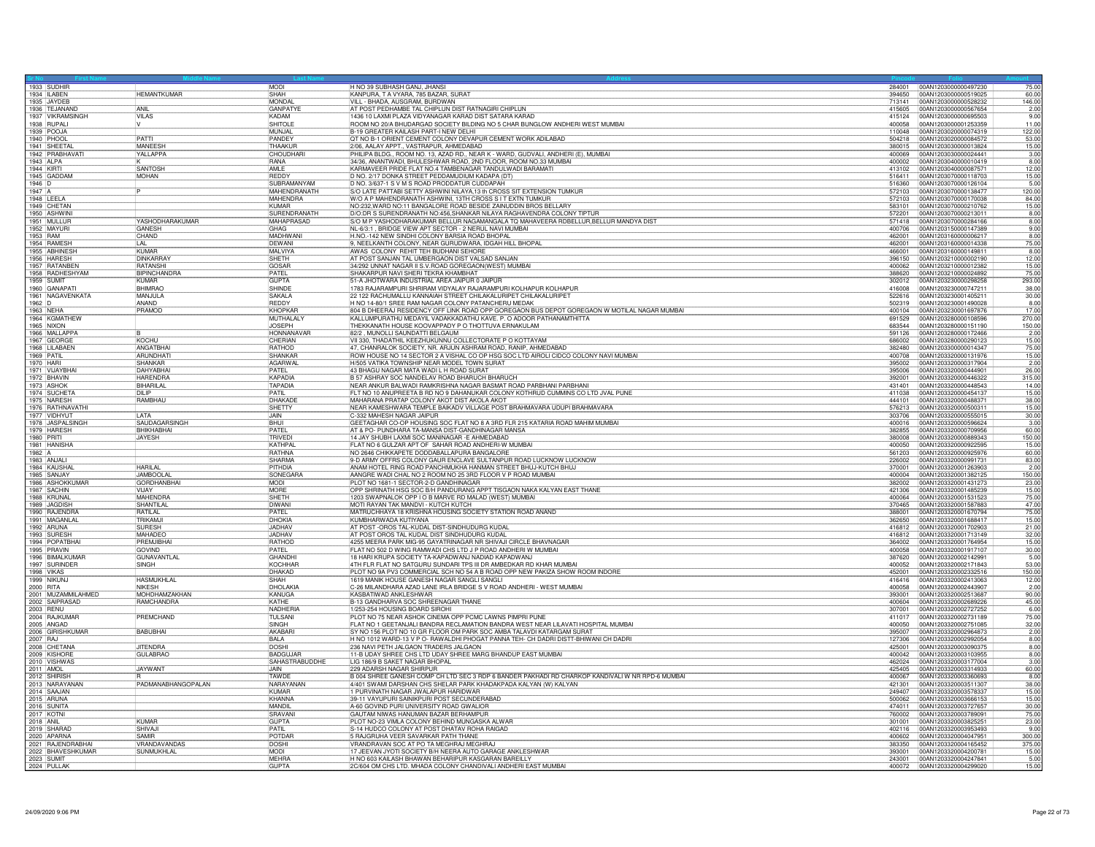| 1933 SUDHIR                       |                                           | MODI                        | H NO 39 SUBHASH GANJ, JHANSI                                                                                                                               |                   | 284001 00AN1203000000497230                  | 75.00                       |
|-----------------------------------|-------------------------------------------|-----------------------------|------------------------------------------------------------------------------------------------------------------------------------------------------------|-------------------|----------------------------------------------|-----------------------------|
| 1934 ILABEN                       | <b>HEMANTKUMAR</b>                        | SHAH                        | KANPURA, T A VYARA, 785 BAZAR, SURAT                                                                                                                       | 394650            | 00AN1203000000519025                         | 60.00                       |
| 1935 JAYDEB                       |                                           | MONDAL                      | VILL - BHADA, AUSGRAM, BURDWAN                                                                                                                             | 713141            | 00AN1203000000528232                         | 146.00                      |
| 1936 TEJANAND<br>1937 VIKRAMSINGH | ANI<br><b>VII AS</b>                      | <b>GANPATYE</b><br>KADAM    | AT POST PEDHAMBE TAL CHIPLUN DIST RATNAGIRI CHIPLUN<br>1436 10 LAXMI PLAZA VIDYANAGAR KARAD DIST SATARA KARAD                                              | 415605            | 00AN1203000000567654                         | 2.00<br>9.00                |
| 1938 RUPALI                       | IV.                                       | SHITOLE                     | ROOM NO 20/A BHUDARGAD SOCIETY BILDING NO 5 CHAR BUNGLOW ANDHERI WEST MUMBAI                                                                               | 400058            | 00AN1203000001253359                         | 11.00                       |
| 1939 POOJA                        |                                           | MUNJAL                      | B-19 GREATER KAILASH PART-I NEW DELHI                                                                                                                      | 110048            | 00AN1203020000074319                         | 122.00                      |
| 1940 PHOOL<br>1941 SHEFTA         | PATTI<br>MANFFSH                          | PANDEY<br>THAAKUF           | QT NO B-1 ORIENT CEMENT COLONY DEVAPUR CEMENT WORK ADILABAD<br>2/06, AALAY APPT., VASTRAPUR, AHMEDABAD                                                     | 504218<br>380015  | 00AN1203020000084572<br>00AN1203030000013824 | 53.00<br>15.00              |
| 1942 PRABHAVATI                   | YALLAPPA                                  | CHOUDHARI                   | PHILIPA BLDG., ROOM NO. 13, AZAD RD., NEAR K - WARD, GUDVALI, ANDHERI (E), MUMBAI                                                                          | 400069            | 00AN1203030000024441                         | 3.00                        |
| 1943 ALPA                         |                                           | RANA                        | 34/36, ANANTWADI, BHULESHWAR ROAD, 2ND FLOOR, ROOM NO.33 MUMBAI                                                                                            | 400002            | 00AN1203040000010419                         | 8.00                        |
| 1944 KIRTI<br>1945 GADDAM         | SANTOSH<br><b>MOHAN</b>                   | AMLE<br>REDDY               | KARMAVEER PRIDE FLAT NO.4 TAMBENAGAR TANDULWADI BARAMATI<br>D NO. 2/17 DONKA STREET PEDDAMUDIUM KADAPA (DT)                                                | 413102<br>516411  | 00AN1203040000087571<br>00AN1203070000118703 | 12.00                       |
| $1946$ D                          |                                           | SUBRAMANYAM                 | D NO. 3/637-1 S V M S ROAD PRODDATUR CUDDAPAH                                                                                                              | 516360            | 00AN1203070000126104                         | $\frac{15.00}{5.00}$ 120.00 |
| 1947 A                            |                                           | MAHENDRANATH                | S/O LATE PATTABI SETTY ASHWINI NILAYA,13 th CROSS SIT EXTENSION TUMKUR                                                                                     | 572103            | 00AN1203070000138477                         |                             |
| 1948 LEELA<br>1949 CHETAN         |                                           | MAHENDRA<br><b>KUMAR</b>    | W/O A P MAHENDRANATH ASHWINI, 13TH CROSS S IT EXTN TUMKUR<br>NO:232, WARD NO:11 BANGALORE ROAD BESIDE ZAINUDDIN BROS BELLAR                                | 572103<br>583101  | 00AN1203070000170038<br>00AN1203070000210762 | 84.00<br>15.00              |
| 1950 ASHWIN                       |                                           | SURFNDRANATH                | D/O:DR S SURENDRANATH NO:456, SHANKAR NILAYA RAGHAVENDRA COLONY TIPTUR                                                                                     | 572201            | 00AN1203070000213011                         | 8.00                        |
| 1951 MULLUR                       | <b>YASHODHARAKUMAR</b>                    | <b>MAHAPRASAD</b>           | S/O M P YASHODHARAKUMAR BELLUR NAGAMANGALA TO MAHAVEERA RDBELLUR, BELLUR MANDYA DIST                                                                       | 571418            | 00AN1203070000284166                         | $\frac{8.00}{9.00}$         |
| 1952 MAYURI<br>1953 RAM           | <b>GANESH</b>                             | GHAG<br><b>MADHWANI</b>     | NL-6/3:1, BRIDGE VIEW APT SECTOR - 2 NERUL NAVI MUMBAI<br>H.NO.-142 NEW SINDHI COLONY BARSIA ROAD BHOPAL                                                   | 400706<br>462001  | 00AN1203150000147389                         |                             |
| 1954 RAMESH                       | CHAND<br>'LAL                             | DEWANI                      | 9, NEELKANTH COLONY, NEAR GURUDWARA, IDGAH HILL BHOPAL                                                                                                     | 462001            | 00AN1203160000006217<br>00AN1203160000014338 | 8.00<br>75.00               |
| 1955 ABHINESH                     | KUMAR                                     | MAI VIYA                    | AWAS COLONY REHIT TEH BUDHANI SEHORE                                                                                                                       | 466001            | 00AN1203160000149811                         | 8.00                        |
| 1956 HARESH<br>1957 RATANBEN      | <b>DINKARRAY</b><br><b>RATANSHI</b>       | SHFTH<br>GOSAR              | AT POST SANJAN TAL UMBERGAON DIST VALSAD SANJAN<br>34/292 UNNAT NAGAR II S.V.ROAD GOREGAON(WEST) MUMBAI                                                    | 396150            | 00AN1203210000002190                         | 12.00<br>15.00              |
| 1958 RADHESHYAM                   | BIPINCHANDRA                              | PATFI                       | SHAKARPUR NAVI SHERI TEKRA KHAMBHAT                                                                                                                        | 400062<br>388620  | 00AN1203210000012382<br>00AN1203210000024892 | 75.00                       |
| 1959 SUMIT                        | KUMAR                                     | <b>GUPTA</b>                | 51-A JHOTWARA INDUSTRIAL AREA JAIPUR 0 JAIPUR                                                                                                              | 302012            | 00AN1203230000298258                         | 293.00                      |
| 1960 GANAPATI                     | <b>RHIMRAC</b>                            | SHINDE                      | 1783 RAJARAMPURI SHRIRAM VIDYALAY RAJARAMPURI KOLHAPUR KOLHAPUR                                                                                            | 416008            | 00AN1203230000747211                         | 38.00                       |
| 1961 NAGAVENKATA<br>1962 D        | MANJULA<br>ANAND                          | SAKALA<br>REDDY             | 22 122 RACHUMALLU KANNAIAH STREET CHILAKALURIPET CHILAKALURIPET<br>H NO 14-80/1 SREE RAM NAGAR COLONY PATANCHERU MEDAK                                     | 522616<br>502319  | 00AN1203230001405211<br>00AN1203230001490028 | 30.00<br>8.00               |
| 1963 NEHA                         | PRAMOD                                    | KHOPKAR                     | 804 B DHEERAJ RESIDENCY OFF LINK ROAD OPP GOREGAON BUS DEPOT GOREGAON W MOTILAL NAGAR MUMBAI                                                               | 400104            | 00AN1203230001697876                         | 17.00                       |
| 1964 KGMATHEW                     |                                           | MUTHALALY                   | KALLUMPURATHU MEDAYIL VADAKKADATHU KAVE. P. O ADOOR PATHANAMTHITTA                                                                                         | 691529            | 00AN1203280000108596                         | 270.00                      |
| 1965 NIXON<br>1966 MALLAPPA       |                                           | <b>JOSEPH</b><br>HONNANAVAR | THEKKANATH HOUSE KOOVAPPADY P O THOTTUVA ERNAKULAM<br>82/2, MUNOLLI SAUNDATTI BELGAUM                                                                      | 683544<br>591126  | 00AN1203280000151190<br>00AN1203280000172466 | 150.00<br>2.00              |
| 1967 GEORGE                       | KOCHU                                     | CHERIAN                     | VII 330, THADATHIL KEEZHUKUNNU COLLECTORATE P O KOTTAYAM                                                                                                   | 686002            | 00AN1203280000290123                         | 15.00                       |
| 1968 LILABAEN                     | ANGATBHAI                                 | RATHOD                      | 47, CHANRALOK SOCIETY, NR. ARJUN ASHRAM ROAD, RANIP, AHMEDABAD                                                                                             | 382480            | 00AN1203300000014347                         | 75.00                       |
| 1969 PATIL<br>1970 HARI           | ARUNDHAT<br>SHANKAR                       | SHANKAR<br>AGARWAL          | ROW HOUSE NO 14 SECTOR 2 A VISHAL CO OP HSG SOC LTD AIROLI CIDCO COLONY NAVI MUMBAI<br>H/505 VATIKA TOWNSHIP NEAR MODEL TOWN SURAT                         | 400708<br>395002  | 00AN1203320000131976<br>00AN1203320000317904 | 15.00<br>2.00               |
| 1971 VIJAYBHAI                    | DAHYABHAI                                 | PATFI                       | 43 BHAGU NAGAR MATA WADI L H ROAD SURAT                                                                                                                    | 395006            | 00AN1203320000444901                         | 26.00                       |
| 1972 BHAVIN                       | <b>HARENDRA</b>                           | KAPADIA                     | B 57 ASHRAY SOC NANDELAV ROAD BHARUCH BHARUCH                                                                                                              | 392001            | 00AN1203320000446322                         | 315.00                      |
| 1973 ASHOK<br>1974 SUCHETA        | <b>BIHARILAL</b><br><b>DI IP</b>          | <b>TAPADIA</b><br>PATIL     | NEAR ANKUR BALWADI RAMKRISHNA NAGAR BASMAT ROAD PARBHANI PARBHANI<br>FLT NO 10 ANUPREETA B RD NO 9 DAHANUKAR COLONY KOTHRUD CUMMINS CO LTD JVAL PUNE       | 431401<br>411038  | 00AN1203320000448543<br>00AN1203320000454137 | 14.00<br>15.00              |
| 1975 NARESH                       | RAMBHAU                                   | DHAKADE                     | MAHARANA PRATAP COLONY AKOT DIST AKOLA AKOT                                                                                                                | 444101            | 00AN1203320000488371                         | 38.00                       |
| 1976 RATHNAVATHI                  |                                           | SHETTY                      | NEAR KAMESHWARA TEMPLE BAIKADV VILLAGE POST BRAHMAVARA UDUPI BRAHMAVARA                                                                                    | 576213            | 00AN1203320000500311                         | 15.00                       |
| 1977 VIDHYUT<br>1978 JASPALSINGH  | LATA<br><b>SAUDAGARSINGH</b>              | JAIN<br><b>BHUI</b>         | C-332 MAHESH NAGAR JAIPUR<br>GEETAGHAR CO-OP HOUSING SOC FLAT NO 8 A 3RD FLR 215 KATARIA ROAD MAHIM MUMBAI                                                 | 303706<br>400016  | 00AN1203320000555015<br>00AN1203320000596624 | 30.00<br>3.00               |
| 1979 HARESH                       | <b>BHIKHABHAI</b>                         | PATFI                       | AT & PO- PUNDHARA TA-MANSA DIST-GANDHINAGAR MANSA                                                                                                          | 382855            | 00AN1203320000709956                         | 60.00                       |
| 1980 PRITI                        | <b>JAYESH</b>                             | TRIVED                      | 14 JAY SHUBH LAXMI SOC MANINAGAR - E AHMEDABAD                                                                                                             | 380008            | 00AN1203320000889343                         | 150.00                      |
| 1981 HANISHA<br>1982 A            |                                           | KATHPA<br><b>RATHNA</b>     | FLAT NO 6 GULZAR APT OF SAHAR ROAD ANDHERI-W MUMBAI<br>NO 2646 CHIKKAPETE DODDABALLAPURA BANGALORE                                                         | 400050<br>561203  | 00AN1203320000922595<br>00AN1203320000925976 | 15.00<br>60.00              |
| 1983 ANJALI                       |                                           | SHARMA                      | 9-D ARMY OFFRS COLONY GAUR ENCLAVE SULTANPUR ROAD LUCKNOW LUCKNOW                                                                                          | 226002            | 00AN1203320000991731                         | 83.00                       |
| 1984 KAUSHAL                      | <b>HARILAI</b>                            | PITHDIA                     | ANAM HOTEL RING ROAD PANCHMUKHA HANMAN STREET BHUJ-KUTCH BHUJ                                                                                              | 370001            | 00AN1203320001263903                         | 2.00                        |
| 1985 SANJAY<br>1986 ASHOKKUMAR    | <b>JAMBOOLAI</b><br><b>GORDHANBHAI</b>    | SONEGARA<br><b>MODI</b>     | AANGRE WADI CHAL NO 2 ROOM NO 25 3RD FLOOR V P ROAD MUMBAI<br>PLOT NO 1681-1 SECTOR-2-D GANDHINAGAR                                                        | 400004<br>382002  | 00AN1203320001382125<br>00AN1203320001431273 | 150.00<br>23.00             |
| 1987 SACHIN                       | VIJAY                                     | MORE                        | OPP SHRINATH HSG SOC B/H PANDURANG APPT TISGAON NAKA KALYAN EAST THANE                                                                                     | 421306            | 00AN1203320001485239                         | 15.00                       |
| 1988 KRUNAL                       | <b>MAHFNDRA</b>                           | SHFTH                       | 1203 SWAPNALOK OPP I O B MARVE RD MALAD (WEST) MUMBAI                                                                                                      | 400064            | 00AN1203320001531523                         | 75.00                       |
| 1989 JAGDISH                      | SHANTILAL<br>RATILAL                      | <b>DIWANI</b>               | MOTI RAYAN TAK MANDVI - KUTCH KUTCH                                                                                                                        | 370465<br>388001  | 00AN1203320001587883                         | 47.00<br>75.00              |
| 1990 RAJENDRA<br>1991 MAGANLAL    | TRIKAMJI                                  | PATEL<br>DHOKIA             | MATRUCHHAYA 18 KRISHNA HOUSING SOCIETY STATION ROAD ANAND<br>KUMBHARWADA KUTIYANA                                                                          | 362650            | 00AN1203320001670794<br>00AN1203320001688417 | 15.00                       |
| 1992 ARUNA                        | SURESH                                    | JADHAV                      | AT POST -OROS TAL-KUDAL DIST-SINDHUDURG KUDAL                                                                                                              | 416812            | 00AN1203320001702903                         | 21.00                       |
| 1993 SURESH<br>1994 POPATBHAI     | MAHADEC<br>PREMJIBHAI                     | JADHAV<br><b>RATHOD</b>     | AT POST OROS TAL KUDAL DIST SINDHUDURG KUDAL                                                                                                               | 416812<br>364002  | 00AN1203320001713149                         | 32.00                       |
| 1995 PRAVIN                       | <b>GOVIND</b>                             | PATEL                       | 4255 MEERA PARK MIG-95 GAYATRINAGAR NR SHIVAJI CIRCLE BHAVNAGAR<br>FLAT NO 502 D WING RAMWADI CHS LTD J P ROAD ANDHERI W MUMBAI                            | 400058            | 00AN1203320001764954<br>00AN1203320001917107 | 15.00<br>30.00              |
| 1996 BIMALKUMAR                   | GUNAVANTLA                                | GHANDH                      | 18 HARI KRUPA SOCIETY TA-KAPADWANJ NADIAD KAPADWANJ                                                                                                        | 387620            | 00AN1203320002142991                         | 5.00                        |
| 1997 SURINDER                     | <b>SINGH</b>                              | KOCHHAR                     | 4TH FLR FLAT NO SATGURU SUNDARI TPS III DR AMBEDKAR RD KHAR MUMBAI                                                                                         | 400052            | 00AN1203320002171843<br>00AN1203320002332516 | 53.00                       |
| 1998 VIKAS<br>1999 NIKUNJ         | <b>HASMUKHLAL</b>                         | DHAKAD<br><b>SHAH</b>       | PLOT NO 9A PV3 COMMERCIAL SCH NO 54 A B ROAD OPP NEW PAKIZA SHOW ROOM INDORE<br>1619 MANIK HOUSE GANESH NAGAR SANGLI SANGLI                                | 452001<br>416416  | 00AN1203320002413063                         | 150.00<br>12.00             |
| 2000 RITA                         | NIKESH                                    | DHOLAKIA                    | C-26 MILANDHARA AZAD LANE IRLA BRIDGE S V ROAD ANDHERI - WEST MUMBAI                                                                                       | 400058            | 00AN1203320002443907                         | 2.00                        |
| 2001 MUZAMMILAHMED                | <b>MOHDHAMZAKHAN</b><br><b>RAMCHANDRA</b> | KANUGA<br>KATHF             | KASBATIWAD ANKI FSHWAR<br>B-13 GANDHARVA SOC SHREENAGAR THANE                                                                                              | 1393001<br>400604 | 00AN1203320002513687<br>00AN1203320002689226 | 90.00<br>45.00              |
| 2003 RENU                         |                                           | NADHERIA                    | 1/253-254 HOUSING BOARD SIROHI                                                                                                                             | 307001            | 00AN1203320002727252                         | 6.00                        |
| 2004 RAJKUMAF                     | PREMCHAND                                 | TULSANI                     | PLOT NO 75 NEAR ASHOK CINEMA OPP PCMC LAWNS PIMPRI PUNE                                                                                                    | 411017            | 00AN1203320002731189                         | 75.00                       |
| 2005 ANGAD                        | <b>BABUBHAI</b>                           | SINGH<br>AKABAR             | FLAT NO 1 GEETANJALI BANDRA RECLAMATION BANDRA WEST NEAR LILAVATI HOSPITAL MUMBAI<br>SY NO 156 PLOT NO 10 GR FLOOR OM PARK SOC AMBA TALAVDI KATARGAM SURAT | 400050<br>395007  | 00AN1203320002751085<br>00AN1203320002964873 | 32.00                       |
| 2006 GIRISHKUMAR<br>2007 RAJ      |                                           | BALA                        | H NO 1012 WARD-13 V P O- RAWALDHI PHOGAT PANNA TEH- CH DADRI DISTT-BHIWANI CH DADRI                                                                        | 127306            | 00AN1203320002992054                         | $\frac{2.00}{8.00}$         |
| 2008 CHETANA                      | <b>JITENDRA</b>                           | <b>DOSHI</b>                | 236 NAVI PETH JALGAON TRADERS JALGAON                                                                                                                      | 425001            | 00AN1203320003090375                         | 8.00                        |
|                                   | <b>GULABRAO</b>                           | BADGUJAF                    | 11-B UDAY SHREE CHS LTD UDAY SHREE MARG BHANDUP EAST MUMBAI<br>LIG 186/9 B SAKET NAGAR BHOPAL                                                              | 400042<br>462024  | 00AN1203320003103955<br>00AN1203320003177004 | 8.00                        |
| 2010 VISHWAS<br>2011 AMOL         | JAYWANT                                   | SAHASTRABUDDHE<br>JAIN.     | 229 ADARSH NAGAR SHIRPUR                                                                                                                                   | 425405            | 00AN1203320003314933                         | 3.00<br>60.00               |
| 2012 SHIRISH                      |                                           | <b>TAWDE</b>                | B 004 SHREE GANESH COMP CH LTD SEC 3 RDP 6 BANDER PAKHADI RD CHARKOP KANDIVALI W NR RPD-6 MUMBAI                                                           | 400067            | 00AN1203320003360693                         | 8.00                        |
| 2013 NARAYANAN<br>2014 SAAJAN     | PADMANABHANGOPALAN                        | NARAYANAN<br>KUMAR          | 4/401 SWAMI DARSHAN CHS SHELAR PARK KHADAKPADA KALYAN (W) KALYAN                                                                                           | 421301<br>249407  | 00AN1203320003511307                         | 38.00                       |
| 2015 ARUNA                        |                                           | KHANNA                      | 1 PURVINATH NAGAR JWALAPUR HARIDWAR<br>39-11 VAYUPURI SAINIKPURI POST SECUNDERABAD                                                                         | 500062            | 00AN1203320003578337<br>00AN1203320003666153 | 15.00<br>15.00              |
| 2016 SUNITA                       |                                           | MANDIL                      | A-60 GOVIND PURI UNIVERSITY ROAD GWALIOR                                                                                                                   | 474011            | 00AN1203320003727657                         | 30.00                       |
| <b>2017 KOTNI</b>                 |                                           | SRAVANI                     | GAUTAM NIWAS HANUMAN BAZAR BERHAMPUR                                                                                                                       | 760002            | 00AN1203320003789091                         | 75.00                       |
| 2018 ANIL<br>2019 SHARAD          | KUMAR<br>SHIVAJI                          | <b>GUPTA</b><br>PATIL       | PLOT NO-23 VIMLA COLONY BEHIND MUNGASKA ALWAR<br>S-14 HUDCO COLONY AT POST DHATAV ROHA RAIGAD                                                              | 301001<br>402116  | 00AN1203320003825251<br>00AN1203320003953493 | 23.00<br>$-9.00$            |
| 2020 APARNA                       | SAMIR                                     | POTDAR                      | 5 RAJGRUHA VEER SAVARKAR PATH THANE                                                                                                                        | 400602            | 00AN1203320004047951                         | 300.00                      |
| 2021 RAJENDRABHAI                 | VRANDAVANDAS                              | <b>DOSHI</b>                | VRANDRAVAN SOC AT PO TA MEGHRAJ MEGHRAJ                                                                                                                    | 383350            | 00AN1203320004165452                         | 375.00                      |
| 2022 BHAVESHKUMAR<br>2023 SUMIT   | SUNMUKHLAL                                | MODI<br><b>MEHRA</b>        | 17 JEEVAN JYOTI SOCIETY B/H NEERA AUTO GARAGE ANKLESHWAR<br>H NO 603 KAILASH BHAWAN BEHARIPUR KASGARAN BAREILLY                                            | 393001<br>243001  | 00AN1203320004200781<br>00AN1203320004247841 | 15.00<br>5.00               |
| 2024 PULLAK                       |                                           | GUPTA                       | 2C/604 OM CHS LTD. MHADA COLONY CHANDIVALI ANDHERI EAST MUMBAI                                                                                             |                   |                                              | 15.00                       |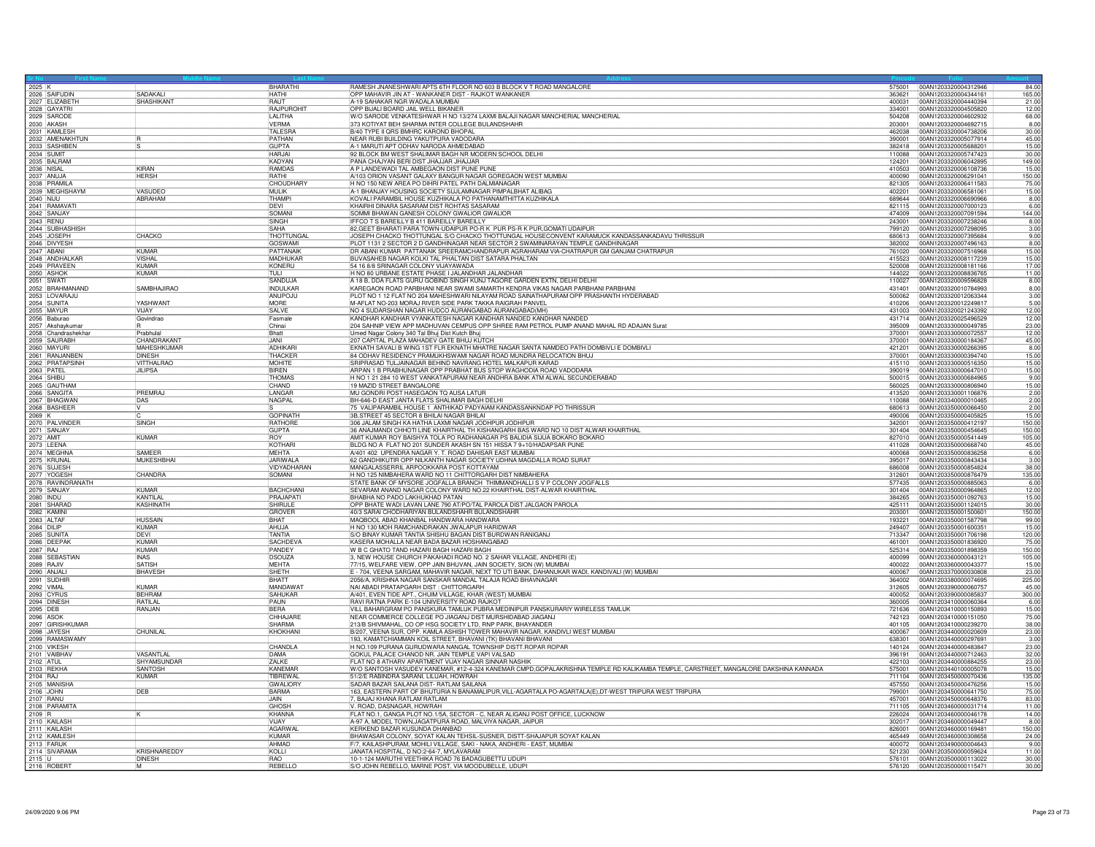|                                     |                               | BHARATHI                        | RAMESH JNANESHWARI APTS 6TH FLOOR NO 603 B BLOCK V T ROAD MANGALORE                                                                  |                  | 575001 00AN1203320004312946                  | 84.00                 |
|-------------------------------------|-------------------------------|---------------------------------|--------------------------------------------------------------------------------------------------------------------------------------|------------------|----------------------------------------------|-----------------------|
| 2025 K<br>2026 SAIFUDIN             | SADAKALI                      | <b>HATHI</b>                    | OPP MAHAVIR JIN AT - WANKANER DIST - RAJKOT WANKANER                                                                                 | 363621           | 00AN1203320004344161                         | 165.00                |
| 2027 ELIZABETH                      | SHASHIKANT                    | <b>RAUT</b>                     | A-19 SAHAKAR NGR WADALA MUMBAI                                                                                                       | 400031           | 00AN1203320004440394                         | 21.00                 |
| 2028 GAYATRI<br>2029 SARODE         |                               | RAJPUROHIT                      | OPP BIJALI BOARD JAIL WELL BIKANER                                                                                                   | 334001           | 00AN1203320004505820                         | $\frac{12.00}{68.00}$ |
|                                     |                               | <b>II AI ITHA</b>               | W/O SARODE VENKATESHWAR H NO 13/274 LAXMI BALAJI NAGAR MANCHERIAL MANCHERIAL                                                         | 504208           | 00AN1203320004602932                         |                       |
| 2030 AKASH<br>2031 KAMLESH          |                               | <b>VERMA</b><br>TALESRA         | 373 KOTIYAT BEH SHARMA INTER COLLEGE BULANDSHAHR<br>B/40 TYPE II ORS BMHRC KAROND BHOPAL                                             | 203001<br>462038 | 00AN1203320004692715<br>00AN1203320004738206 | 8.00<br>30.00         |
| 2032 AMENAKHTUN                     |                               | PATHAN                          | NEAR RUBI BUILDING YAKUTPURA VADODARA                                                                                                | 390001           | 00AN1203320005077914                         | 45.00                 |
| 2033 SASHIBEN                       |                               | <b>GUPTA</b>                    | A-1 MARUTI APT ODHAV NARODA AHMEDABAD                                                                                                | 382418           | 00AN1203320005688201                         | 15.00                 |
|                                     |                               | HAR.IA                          | 92 BLOCK BM WEST SHALIMAR BAGH NR MODERN SCHOOL DELHI                                                                                | 110088           | 00AN1203320005747423                         | 30.00                 |
| 2035 BALRAM                         | KIRAN                         | KADYAN                          | PANA CHAJYAN BERI DIST JHAJJAR JHAJJAR                                                                                               | 124201           | 00AN1203320006042895                         | 149.00                |
| 2037 ANUJA                          | <b>HERSH</b>                  | RAMDAS<br>RATHI                 | A P LANDEWADI TAL AMBEGAON DIST PUNE PUNE<br>A/103 ORION VASANT GALAXY BANGUR NAGAR GOREGAON WEST MUMBAI                             | 410503<br>400090 | 00AN1203320006108736<br>00AN1203320006291041 | 15.00<br>150.00       |
|                                     |                               |                                 | H NO 150 NEW AREA PO DIHRI PATEL PATH DALMIANAGAR                                                                                    | 821305           | 00AN1203320006411583                         |                       |
| 2038 PRAMILA<br>2039 MEGHSHAYM      | <b>VASUDEO</b>                | CHOUDHARY                       | A-1 BHANJAY HOUSING SOCIETY SUJLAMNAGAR PIMPALBHAT ALIBAG                                                                            | 402201           | 00AN1203320006581061                         | $\frac{75.00}{15.00}$ |
| 2040 NIJU<br>2041 RAMAVAT           | ABRAHAM                       | THAMPI                          | KOVALI PARAMBIL HOUSE KUZHIKALA PO PATHANAMTHITTA KUZHIKALA                                                                          | 689644           | 00AN1203320006690966                         | 8.00                  |
|                                     |                               | DEVI                            | KHAIRHI DINARA SASARAM DIST ROHTAS SASARAM                                                                                           | 821115           | 00AN1203320007000123                         | 6.00                  |
| 2042 SANJAY                         |                               | SOMAN<br>SINGH                  | SOMMI BHAWAN GANESH COLONY GWALIOR GWALIOR<br>IFFCO T S BAREILLY B 411 BAREILLY BAREILLY                                             | 474009<br>243001 | 00AN1203320007091594                         | 144.00                |
| 2043 RENU<br>2044 SUBHASHISH        |                               | SAHA                            | 82, GEET BHARATI PARA TOWN-UDAIPUR PO-R K PUR PS-R K PUR, GOMATI UDAIPUR                                                             | 799120           | 00AN1203320007238246<br>00AN1203320007298095 | $\frac{8.00}{3.00}$   |
| 2045 JOSEPH                         | CHACKO                        | THOTTUNGAL                      | JOSEPH CHACKO THOTTUNGAL S/O CHACKO THOTTUNGAL HOUSECONVENT KARAMUCK KANDASSANKADAVU THRISSUR                                        | 680613           | 00AN1203320007395684                         | 9.00                  |
| 2046 DIVYESH                        |                               | <b>GOSWAMI</b>                  | PLOT 1131 2 SECTOR 2 D GANDHINAGAR NEAR SECTOR 2 SWAMINARAYAN TEMPLE GANDHINAGAR                                                     | 382002           | 00AN1203320007496163                         | 8.00                  |
| 2047 ABANI                          | KUMAR                         | PATTANAIK                       | DR ABANI KUMAR PATTANAIK SREERAMCHANDRAPUR AGRAHARAM VIA-CHATRAPUR GM GANJAM CHATRAPUR                                               | 761020           | 00AN1203320007516968                         | 15.00                 |
| 2048 ANDHALKAR<br>2049 PRAVEEN      | <b>VISHAI</b><br><b>KIMAR</b> | MADHUKAR<br>KONERU              | BUVASAHEB NAGAR KOLKI TAL PHALTAN DIST SATARA PHALTAN                                                                                | 415523<br>520008 | 00AN1203320008117239                         | $\frac{15.00}{17.00}$ |
|                                     | <b>KUMAR</b>                  | TULI                            | 54 16 8/8 SRINAGAR COLONY VIJAYAWADA<br>H NO 80 URBANE ESTATE PHASE I JALANDHAR JALANDHAR                                            | 144022           | 00AN1203320008181166<br>00AN1203320008836765 | 11.00                 |
| 2050 ASHOK<br>2051 SWATI            |                               | SANDUJA                         | A 18 B, DDA FLATS GURU GOBIND SINGH KUNJ TAGORE GARDEN EXTN, DELHI DELHI                                                             | 110027           | 00AN1203320009596828                         | 8.00                  |
| 2052 BRAHMANAND                     | <b>SAMBHAJIRAO</b>            | <b>INDUI KAR</b>                | KAREGAON ROAD PARBHANI NEAR SWAMI SAMARTH KENDRA VIKAS NAGAR PARBHANI PARBHANI                                                       | 431401           | 00AN1203320010784993                         | 8.00                  |
| 2053 LOVARAJU<br>2054 SUNITA        |                               | ANUPOJU                         | PLOT NO 1 12 FLAT NO 204 MAHESHWARI NILAYAM ROAD SAINATHAPURAM OPP PRASHANTH HYDERABAD                                               | 500062           | 00AN1203320012063344                         | $\frac{3.00}{5.00}$   |
|                                     | YASHWANT                      | MORF                            | M-AFLAT NO-203 MORAJ RIVER SIDE PARK TAKKA RAIGRAH PANVEL                                                                            | 410206           | 00AN1203320012249817                         |                       |
| 2055 MAYUR<br>2056 Baburao          | VIJAY<br>Govindrao            | SALVE<br>Fasmale                | NO 4 SUDARSHAN NAGAR HUDCO AURANGABAD AURANGABAD(MH)<br>KANDHAR KANDHAR VYANKATESH NAGAR KANDHAR NANDED KANDHAR NANDED               | 431003<br>431714 | 00AN1203320021243392<br>00AN1203320025496529 | 12.00<br>12.00        |
| 2057 Akshaykumar                    |                               | Chinai                          | 204 SAHNIP VIEW APP MADHUVAN CEMPUS OPP SHREE RAM PETROL PUMP ANAND MAHAL RD ADAJAN Surat                                            | 395009           | 00AN1203330000049785                         | 23.00                 |
|                                     | Prabhula                      | Bhatt                           | Umed Nagar Colony 340 Tal Bhuj Dist Kutch Bhuj                                                                                       | 370001           | 00AN1203330000072557                         | 12.00                 |
| 2058 Chandrashekhar<br>2059 SAURABH | CHANDRAKAN                    | <b>JANI</b>                     | 207 CAPITAL PLAZA MAHADEV GATE BHUJ KUTCH                                                                                            | 370001           | 00AN1203330000184367                         | 45.00                 |
| 2060 MAYURI                         | <b>MAHESHKUMAR</b>            | ADHIKAR                         | EKNATH SAVALI B WING 1ST FLR EKNATH MHATRE NAGAR SANTA NAMDEO PATH DOMBIVLI E DOMBIVLI                                               | 421201           | 00AN1203330000266395                         | 8.00                  |
| 2061 RANJANBEN                      | <b>DINESH</b>                 | THACKER<br><b>MOHITE</b>        | 84 ODHAV RESIDENCY PRAMUKHSWAMI NAGAR ROAD MUNDRA RELOCATION BHUJ                                                                    | 370001<br>415110 | 00AN1203330000394740                         | 15.00                 |
| 2062 PRATAPSINH                     | VITTHALRAC<br><b>JILIPSA</b>  | <b>BIREN</b>                    | SRIPRASAD TULJAINAGAR BEHIND NAVRANG HOTEL MALKAPUR KARAD<br>ARPAN 1 B PRABHUNAGAR OPP PRABHAT BUS STOP WAGHODIA ROAD VADODARA       | 390019           | 00AN1203330000516350<br>00AN1203330000647010 | 15.00<br>15.00        |
| 2063 PATEL                          |                               | <b>THOMAS</b>                   | H NO 1 21 284 10 WEST VANKATAPURAM NEAR ANDHRA BANK ATM ALWAL SECUNDERABAD                                                           | 500015           | 00AN1203330000684965                         | 9.00                  |
| 2065 GAUTHAM                        |                               | CHAND                           | 19 MAZID STREET BANGALORE                                                                                                            | 560025           | 00AN1203330000806940                         | 15.00                 |
| 2066 SANGITA                        | PREMRAJ                       | LANGAR                          | MU GONDRI POST HASEGAON TO AUSA LATUR                                                                                                | 413520           | 00AN1203330001106876                         | $\frac{3}{2.00}$      |
| 2067 BHAGWAN                        | DAS                           | NAGPAL                          | BH-646-D EAST JANTA FLATS SHALIMAR BAGH DELHI                                                                                        | 110088           | 00AN1203340000010465                         | 2.00                  |
| 2068 BASHEER                        |                               | GOPINATH                        | 75 VALIPARAMBIL HOUSE 1 ANTHIKAD PADYAIAM KANDASSANKNDAP PO THRISSUR<br>3B, STREET 45 SECTOR 8 BHILAI NAGAR BHILAI                   | 680613<br>490006 | 00AN1203350000066450<br>00AN1203350000405825 | 2.00<br>15.00         |
| 2070 PALVINDER                      | SINGH                         | RATHORE                         | 306 JALAM SINGH KA HATHA LAXMI NAGAR JODHPUR JODHPUR                                                                                 | 342001           | 00AN1203350000412197                         | 150.00                |
| 2071 SANJAY                         |                               | <b>GUPTA</b>                    | 36 ANAJMANDI CHHOTI LINE KHAIRTHAL TH KISHANGARH BAS WARD NO 10 DIST ALWAR KHAIRTHAL                                                 | 301404           | 00AN1203350000454645                         | 150.00                |
| 2072 AMIT                           | KUMAR                         | <b>ROY</b>                      | AMIT KUMAR ROY BAISHYA TOLA PO RADHANAGAR PS BALIDIA SIJUA BOKARO BOKARO                                                             | 827010           | 00AN1203350000541449                         | 105.00                |
| 2073 LEENA<br>2074 MEGHNA           |                               | KOTHARI                         | BLDG NO A FLAT NO 201 SUNDER AKASH SN 151 HISSA 7 9+10/HADAPSAR PUNE                                                                 | 411028           | 00AN1203350000668740                         | 45.00                 |
|                                     | SAMEEF<br>MUKESHBHAI          | <b>MEHTA</b><br><b>JARIWALA</b> | A/401 402 UPENDRA NAGAR Y. T. ROAD DAHISAR EAST MUMBAI<br>62 GANDHIKUTIR OPP NILKANTH NAGAR SOCIETY UDHNA MAGDALLA ROAD SURAT        | 400068<br>395017 | 00AN1203350000836258<br>00AN1203350000843434 | 6.00<br>3.00          |
| 2075 KRUNAL<br>2076 SUJESH          |                               | VIDYADHARAN                     | MANGALASSEBBIL ABPOOKKABA POST KOTTAYAM                                                                                              | 686008           | 00AN1203350000854824                         | 38.00                 |
| 2077 YOGESH                         | CHANDRA                       | SOMANI                          | H NO 125 NIMBAHERA WARD NO 11 CHITTORGARH DIST NIMBAHERA                                                                             | 312601           | 00AN1203350000876479                         | 135.00                |
| 2078 RAVINDRANATH                   |                               |                                 | STATE BANK OF MYSORE JOGFALLA BRANCH THIMMANDHALLI S V P COLONY JOGFALLS                                                             | 577435           | 00AN1203350000885063                         | 6.00                  |
|                                     | <b>KUMAR</b>                  | BACHCHANI                       | SEVARAM ANAND NAGAR COLONY WARD NO.22 KHAIRTHAL DIST-ALWAR KHAIRTHAL                                                                 | 301404           | 00AN1203350000964865                         | 12.00                 |
| 2080 INDU<br>2081 SHARAD            | KANTILAI<br>KASHINATH         | PRAJAPATI<br><b>SHIRULE</b>     | BHABHA NO PADO LAKHUKHAD PATAN<br>OPP BHATE WADI LAVAN LANE 790 AT/PO/TAL PAROLA DIST JALGAON PAROLA                                 | 384265<br>425111 | 00AN1203350001092763<br>00AN1203350001124015 | 15.00<br>30.00        |
| 2082 KAMINI                         |                               | <b>GROVER</b>                   | 40/3 SARAI CHODHARIYAN BULANDSHAHR BULANDSHAHR                                                                                       | 203001           | 00AN1203350001500601                         | 150.00                |
| 2083 ALTAF                          | <b>HUSSAIN</b>                | <b>BHAT</b>                     | MAQBOOL ABAD KHANBAL HANDWARA HANDWARA                                                                                               | 193221           | 00AN1203350001587798                         | 99.00                 |
| 2084 DILIP                          | <b>KUMAR</b>                  | AHUJA                           | H NO 130 MOH RAMCHANDRAKAN JWALAPUR HARIDWAF                                                                                         | 249407           | 00AN1203350001600351                         | 15.00                 |
| 2085 SUNITA                         | DFVI                          | TANTIA                          | S/O BINAY KUMAR TANTIA SHISHU BAGAN DIST BURDWAN RANIGANJ                                                                            | 713347           | 00AN1203350001706198                         | 120.00                |
|                                     | KUMAR                         | <b>SACHDEVA</b>                 | KASERA MOHALLA NEAR BADA BAZAR HOSHANGABAD                                                                                           | 461001           | 00AN1203350001836920                         | 75.00                 |
| 2087 RAJ<br>2088 SEBASTIAN          | KUMAR<br><b>INAS</b>          | PANDEY<br><b>DSOUZA</b>         | W B C GHATO TAND HAZARI BAGH HAZARI BAGH<br>3, NEW HOUSE CHURCH PAKAHADI ROAD NO. 2 SAHAR VILLAGE, ANDHERI (E)                       | 525314<br>400099 | 00AN1203350001898359<br>00AN1203360000043121 | 150.00<br>105.00      |
| 2089 RAJIV                          | SATISH                        | MEHTA                           | 77/15, WELFARE VIEW, OPP JAIN BHUVAN, JAIN SOCIETY, SION (W) MUMBAI                                                                  | 400022           | 00AN1203360000043377                         | 15.00                 |
| 2090 ANJALI<br>2091 SUDHIF          | BHAVESH                       | SHFTH                           | E - 704, VEENA SARGAM, MAHAVIR NAGAR, NEXT TO UTI BANK, DAHANUKAR WADI, KANDIVALI (W) MUMBAI                                         | 400067           | 00AN1203370000030808                         | 23.00                 |
|                                     |                               | <b>BHATT</b>                    | 2056/A, KRISHNA NAGAR SANSKAR MANDAL TALAJA ROAD BHAVNAGAR                                                                           | 364002           | 00AN1203380000074695                         | 225.00                |
| 2092 VIMAL                          | <b>KUMAR</b>                  | <b>MANDAWAT</b>                 | NAI ABADI PRATAPGARH DIST : CHITTORGARH                                                                                              | 312605           | 00AN1203390000060757                         | 45.00                 |
| 2093 CYRUS<br>2094 DINESH           | <b>BEHRAM</b><br>RATILAL      | SAHUKAR<br>PAUN                 | A/401, EVEN TIDE APT., CHUIM VILLAGE, KHAR (WEST) MUMBAI<br>RAVI RATNA PARK E-104 UNIVERSITY ROAD RAJKOT                             | 400052<br>360005 | 00AN1203390000085837<br>00AN1203410000060364 | 300.00<br>6.00        |
|                                     | RANJAN                        | <b>BFRA</b>                     | VILL BAHARGRAM PO PANSKURA TAMLUK PUBRA MEDINIPUR PANSKURARIY WIRELESS TAMLUK                                                        | 721636           | 00AN1203410000150893                         |                       |
| 2095 DEB<br>2096 ASOK               |                               | CHHAJARE                        | NEAR COMMERCE COLLEGE PO JIAGANJ DIST MURSHIDABAD JIAGANJ                                                                            | 742123           | 00AN1203410000151050                         | $\frac{15.00}{75.00}$ |
| 2097 GIRISHKUMAR                    |                               | SHARMA                          | 213/B SHIVMAHAL, CO OP HSG SOCIETY LTD, RNP PARK, BHAYANDER                                                                          | 401105           | 00AN1203410000239270                         | 38.00                 |
| 2098 JAYESH<br>2099 RAMASWAMY       | CHUNILAI                      | KHOKHANI                        | B/207, VEENA SUR, OPP. KAMLA ASHISH TOWER MAHAVIR NAGAR, KANDIVLI WEST MUMBAI                                                        | 400067           | 00AN1203440000020609                         | 23.00                 |
|                                     |                               |                                 | 193, KAMATCHIAMMAN KOIL STREET, BHAVANI (TK) BHAVANI BHAVANI                                                                         | 638301           | 00AN1203440000297691                         | 3.00                  |
| 2100 VIKESH<br>2101 VAIBHAV         | <b>VASANTI AI</b>             | CHANDLA<br>DAMA                 | H NO.109 PURANA GURUDWARA NANGAL TOWNSHIP DISTT.ROPAR ROPAR<br>GOKUL PALACE CHANOD NR. JAIN TEMPLE VAPI VALSAD                       | 140124<br>396191 | 00AN1203440000483847<br>00AN1203440000712463 | 23.00<br>32.00        |
| 2102 ATUL                           | SHYAMSUNDAR                   | ZALKE                           | FLAT NO 8 ATHARV APARTMENT VIJAY NAGAR SINNAR NASHIP                                                                                 | 422103           | 00AN1203440000884255                         | 23.00                 |
| 2103 REKHA                          | <b>SANTOSH</b>                | KANFMAR                         | W/O SANTOSH VASUDEV KANEMAR, #12-4-324 KANEMAR CMPD, GOPALAKRISHNA TEMPLE RD KALIKAMBA TEMPLE, CARSTREET, MANGALORE DAKSHINA KANNADA | 575001           | 00AN1203440100005078                         | 15.00                 |
| 2104 RAJ                            | <b>KUMAR</b>                  | TIBREWAL                        | 51/2/E RABINDRA SARANI, LILUAH, HOWRAH                                                                                               | 711104           | 00AN1203450000070436                         | 135.00                |
| 2105 MANISHA                        |                               | <b>GWALIORY</b>                 | SADAR BAZAR SAILANA DIST- RATLAM SAILANA                                                                                             | 457550           | 00AN1203450000476256                         | 15.00                 |
| 2106 JOHN                           | <b>DEB</b>                    | <b>BARMA</b><br><b>JAIN</b>     | 163, EASTERN PART OF BHUTURIA N BANAMALIPUR, VILL-AGARTALA PO-AGARTALA(E), DT-WEST TRIPURA WEST TRIPURA                              | 799001           | 00AN1203450000641750                         | 75.00                 |
| 2107 RANU<br>2108 PARAMITA          |                               | GHOSH                           | 7, BAJAJ KHANA RATLAM RATLAM<br>V. ROAD, DASNAGAR, HOWRAH                                                                            | 457001<br>711105 | 00AN1203450000648376<br>00AN1203460000031714 | 83.00<br>11.00        |
| 2109 R                              |                               | KHANNA                          | FLAT NO.1, GANGA PLOT NO.1/5A, SECTOR - C, NEAR ALIGANJ POST OFFICE, LUCKNOW                                                         | 226024           | 00AN1203460000046178                         | 14.00                 |
| 2110 KAILASH                        |                               | VIJAY                           | A-97 A, MODEL TOWN, JAGATPURA ROAD, MALVIYA NAGAR, JAIPUR                                                                            | 302017           | 00AN1203460000049447                         | 8.00                  |
| 2111 KAILASH                        |                               | <b>AGARWAL</b>                  | KERKEND BAZAR KUSUNDA DHANBAD                                                                                                        | 826001           | 00AN1203460000169481                         | 150.00                |
| 2112 KAMLESH                        |                               | KUMAR                           | BHAWASAR COLONY, SOYAT KALAN TEHSIL-SUSNER, DISTT-SHAJAPUR SOYAT KALAN                                                               | 465449           | 00AN1203460000308658                         | 24.00                 |
| 2113 FARUK<br>2114 SIVARAMA         | KRISHNAREDDY                  | AHMAD<br>$K$ OI I I             | F/7, KAILASHPURAM, MOHILI VILLAGE, SAKI - NAKA, ANDHERI - EAST, MUMBAI<br>JANATA HOSPITAL, D NO:2-64-7, MYLAVARAM                    | 400072<br>521230 | 00AN1203490000004643<br>00AN1203500000059624 | 9.00<br>11.00         |
|                                     | <b>DINESH</b>                 | RAO                             | 10-1-124 MARUTHI VEETHIKA ROAD 76 BADAGUBETTU UDUPI                                                                                  | 576101           | 00AN1203500000113022                         | 30.00                 |
| 2115 U<br>2116 ROBER                |                               | REBELLO                         | S/O JOHN REBELLO, MARNE POST, VIA MOODUBELLE, UDUPI                                                                                  |                  | 576120 00AN1203500000115471                  | 30.00                 |
|                                     |                               |                                 |                                                                                                                                      |                  |                                              |                       |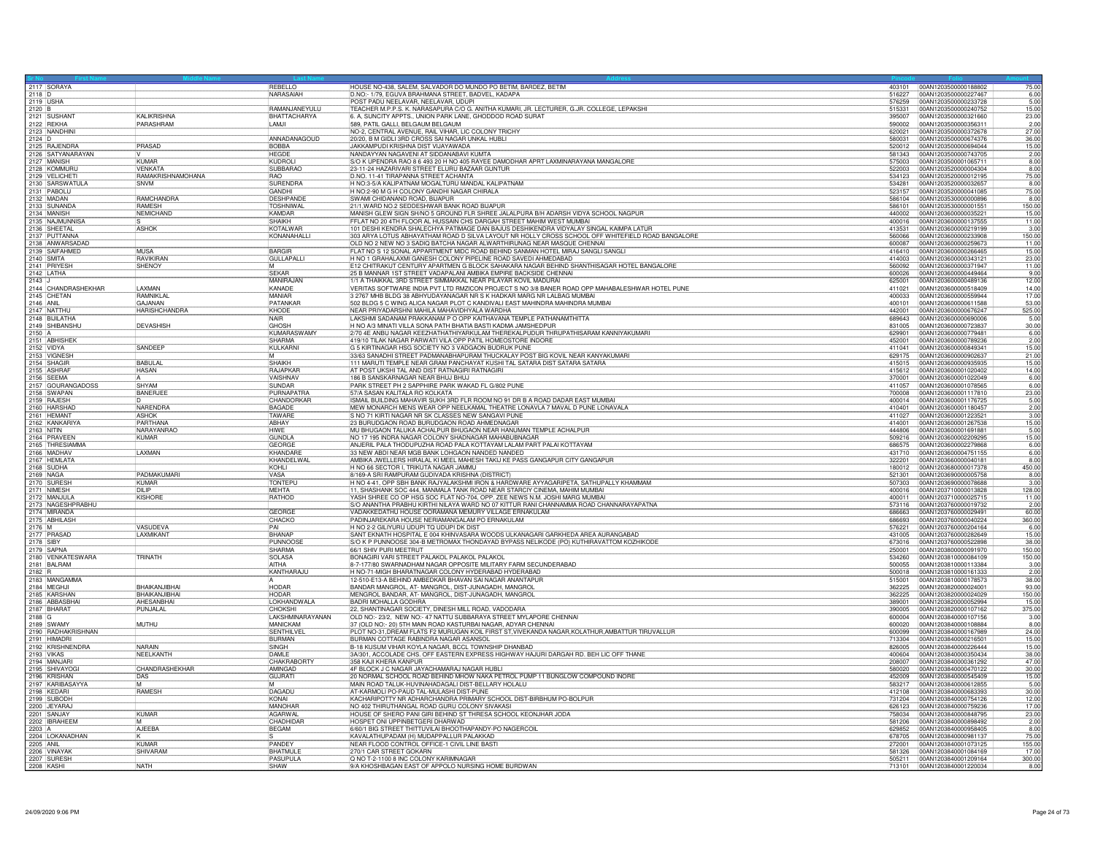| 2117 SORAYA<br>403101 00AN1203500000188802<br>REBELLO<br>D.NO:- 1/79, EGUVA BRAHMANA STREET, BADVEL, KADAPA<br>NARASAIAH<br>6.00<br>00AN1203500000227467<br>516227<br>2119 USHA<br>POST PADU NEELAVAR, NEELAVAR, UDUPI<br>576259<br>00AN1203500000233728<br>5.00<br>RAMANJANEYULU<br>TEACHER M.P.P.S. K. NARASAPURA C/O G. ANITHA KUMARI, JR. LECTURER, G.JR. COLLEGE, LEPAKSHI<br>2120 B<br>2121 SUSHANT<br>00AN1203500000240752<br>15.00<br>515331<br><b>KALIKRISHNA</b><br>BHATTACHARYA<br>6. A, SUNCITY APPTS., UNION PARK LANE, GHODDOD ROAD SURAT<br>00AN1203500000321660<br>23.00<br>395007<br>2122 REKHA<br>2123 NANDHINI<br>589, PATIL GALLI, BELGAUM BELGAUM<br>PARASHRAM<br>LAMJI<br>590002<br>00AN1203500000356311<br>2.00<br>27.00<br>NO-2, CENTRAL AVENUE, RAIL VIHAR, LIC COLONY TRICHY<br>620021<br>00AN1203500000372678<br>2124 D<br>ANNADANAGOUD<br>20/20, B M GIDLI 3RD CROSS SAI NAGAR UNKAL HUBLI<br>580031<br>00AN1203500000674376<br>36.00<br>2125 RAJENDRA<br>2126 SATYANARAYAN<br>PRASAD<br>BOBBA<br>JAKKAMPUDI KRISHNA DIST VIJAYAWADA<br>520012<br>00AN1203500000694044<br>15.00<br>NANDAYYAN NAGAVENI AT SIDDANABAVI KUMTA<br>2.00<br><b>HFGDF</b><br>581343<br>00AN1203500000743705<br>2127 MANISH<br>2128 KOMMURU<br>KUMAR<br>KUDROLI<br>S/O K UPENDRA RAO 8 6 493 20 H NO 405 RAYEE DAMODHAR APRT LAXMINARAYANA MANGALORE<br>575003<br>00AN1203500001065711<br>8.00<br>SUBBARAO<br>23-11-24 HAZARIVARI STREET ELURU BAZAAR GUNTUR<br>8.00<br><b>VENKATA</b><br>522003<br>100AN1203520000004304<br>RAMAKRISHNAMOHANA<br>2129 VELICHETI<br><b>RAO</b><br>D.NO. 11-41 TIRAPANNA STREET ACHANTA<br>534123<br>00AN1203520000012195<br>2130 SARSWATULA<br>H NO:3-5/A KALIPATNAM MOGALTURU MANDAL KALIPATNAM<br>SURENDRA<br>00AN1203520000032657<br>SNVM<br>534281<br>H NO:2-90 M G H COLONY GANDHI NAGAR CHIRALA<br>75.00<br><b>GANDHI</b><br>523157<br>00AN1203520000041085<br>2132 MADAN<br>2133 SUNANDA<br>DESHPANDE<br>SWAMI CHIDANAND ROAD, BIJAPUR<br>8.00<br>RAMCHANDRA<br>586104<br>00AN1203530000000896<br>21/1, WARD NO.2 SEDDESHWAR BANK ROAD BUAPUR<br>150.00<br><b>RAMESH</b><br><b>TOSHNIWAL</b><br>00AN1203530000001551<br>586101<br>2134 MANISH<br>NEMICHAND<br>KAMDAR<br>MANISH GLEW SIGN SH/NO 5 GROUND FLR SHREE JALALPURA B/H ADARSH VIDYA SCHOOL NAGPUR<br>440002<br>00AN1203600000035221<br>2135 NAJMUNNISA<br><b>SHAIKH</b><br>FFLAT NO 20 4TH FLOOR AL HUSSAIN CHS DARGAH STREET MAHIM WEST MUMBAI<br>00AN1203600000137555<br>400016<br><b>ASHOK</b><br><b>KOTALWAR</b><br>101 DESHI KENDRA SHALECHYA PATIMAGE DAN BAJUS DESHIKENDRA VIDYALAY SINGAL KAIMPA LATUR<br>413531<br>00AN1203600000219199<br>3.00<br>2137 PUTTANNA<br>2138 ANWARSADAD<br>303 ARYA LOTUS ABHAYATHAM ROAD D SILVA LAYOUT NR HOLLY CROSS SCHOOL OFF WHITEFIELD ROAD BANGALORE<br>KONANAHALL<br>00AN1203600000233908<br>150.00<br>560066<br>OLD NO 2 NEW NO 3 SADIO BATCHA NAGAR ALWARTHIRUNAG NEAR MASQUE CHENNAI<br>600087<br>00AN1203600000259673<br>2139 SAIFAHMED<br><b>MUSA</b><br><b>BARGIR</b><br>FLAT NO S 12 SONAL APPARTMENT MIDC ROAD BEHIND SANMAN HOTEL MIRAJ SANGLI SANGL<br>416410<br>00AN1203600000266465<br>2140 SMITA<br>2141 PRIYESH<br><b>RAVIKIRAN</b><br>H NO 1 GRAHALAXMI GANESH COLONY PIPELINE ROAD SAVEDI AHMEDABAD<br>00AN1203600000343121<br><b>GULLAPALLI</b><br>414003<br>23.00<br>SHENOY<br>E12 CHITRAKUT CENTURY APARTMEN G BLOCK SAHAKARA NAGAR BEHIND SHANTHISAGAR HOTEL BANGALORE<br>560092<br>00AN1203600000371947<br>2142 LATHA<br><b>SEKAR</b><br>25 B MANNAR 1ST STREET VADAPALANI AMBIKA EMPIRE BACKSIDE CHENNAI<br>00AN1203600000449464<br>9.00<br>600026<br>2143<br>1/1 A THAIKKAL 3RD STREET SIMMAKKAL NEAR PILAYAR KOVIL MADURAI<br>MANIRA.IAN<br>625001<br>00AN1203600000489136<br>2144 CHANDRASHEKHAR<br>LAXMAN<br>KANADE<br>VERITAS SOFTWARE INDIA PVT LTD RMZICON PROJECT S NO 3/8 BANER ROAD OPP MAHABALESHWAR HOTEL PUNE<br>411021<br>00AN1203600000518409<br>2145 CHETAN<br>2146 ANIL<br>RAMNIKLA<br><b>MANIAR</b><br>3 2767 MHB BLDG 38 ABHYUDAYANAGAR NR S K HADKAR MARG NR LALBAG MUMBAI<br>400033<br>00AN1203600000559944<br>502 BLDG 5 C WING ALICA NAGAR PLOT C KANDIVALI EAST MAHINDRA MAHINDRA MUMBAI<br>GAJANAN<br>PATANKAR<br>400101<br>00AN1203600000611588<br>2147 NATTHU<br>NEAR PRIYADARSHNI MAHILA MAHAVIDHYALA WARDHA<br>KHODE<br>00AN1203600000676247<br><b>HARISHCHANDRA</b><br>442001<br>LAKSHMI SADANAM PRAKKANAM PO OPP KAITHAVANA TEMPLE PATHANAMTHITTA<br>2148 BIJILATHA<br><b>NAIR</b><br>2149 SHIBANSHU<br><b>DEVASHISH</b><br>GHOSH<br>H NO A/3 MINATI VILLA SONA PATH BHATIA BASTI KADMA JAMSHEDPUR<br>30.00<br>831005<br>00AN1203600000723837<br>2150 A<br><b>KUMARASWAMY</b><br>2/70 4E ANBU NAGAR KEEZHATHATHIYARKULAM THEREKALPUDUR THRUPATHISARAM KANNIYAKUMARI<br>629901<br>00AN1203600000779481<br>2151 ABHISHEK<br>SHARMA<br>419/10 TILAK NAGAR PARWATI VILA OPP PATIL HOMEOSTORE INDORE<br>00AN1203600000789236<br>452001<br>2152 VIDYA<br>2153 VIGNESH<br>G 5 KIRTINAGAR HSG SOCIETY NO 3 VADGAON BUDRUK PUNE<br>SANDEEP<br>KULKARNI<br>00AN1203600000849341<br>411041<br>33/63 SANADHI STREET PADMANABHAPURAM THUCKALAY POST BIG KOVIL NEAR KANYAKUMARI<br>M<br>629175<br>00AN1203600000902637<br>2154 SHAGIR<br>BABULAL<br>SHAIKH<br>111 MARUTI TEMPLE NEAR GRAM PANCHAYAT KUSHI TAL SATARA DIST SATARA SATARA<br>15.00<br>415015<br>00AN1203600000935935<br>2155 ASHRAF<br>AT POST UKSHI TAL AND DIST RATNAGIRI RATNAGIRI<br>HASAN<br>RAJAPKAF<br>415612<br>00AN1203600001020402<br>2156 SEEMA<br>VAISHNAV<br>186 B SANSKARNAGAR NEAR BHUJ BHUJ<br>00AN1203600001022049<br>370001<br>2157 GOURANGADOSS<br>PARK STREET PH 2 SAPPHIRE PARK WAKAD FL G/802 PUNE<br>SHYAM<br>SUNDAR<br>411057<br>00AN1203600001078565<br>6.00<br><b>BANERJEE</b><br>PURNAPATRA<br>57/A SASAN KALITALA RO KOLKATA<br>700008<br>00AN1203600001117810<br>23.00<br>CHANDORKAR<br>ISMAIL BUILDING MAHAVIR SUKH 3RD FLR ROOM NO 91 DR B A ROAD DADAR EAST MUMBAI<br>5.00<br>2159 RAJESH<br>400014<br>00AN1203600001176725<br>2160 HARSHAD<br>NARENDRA<br>MEW MONARCH MENS WEAR OPP NEELKAMAL THEATRE LONAVLA 7 MAVAL D PUNE LONAVALA<br><b>BAGADE</b><br>410401<br>00AN1203600001180457<br>2.00<br>2161 HEMANT<br><b>ASHOK</b><br>TAWARE<br>S NO 71 KIRTI NAGAR NR SK CLASSES NEW SANGAVI PUNE<br>3.00<br>411027<br>00AN1203600001223521<br>2162 KANKARIYA<br>23 BURUDGAON ROAD BURUDGAON ROAD AHMEDNAGAR<br>15.00<br>PARTHANA<br>ABHAY<br>00AN1203600001267538<br>414001<br>MU BHUGAON TALUKA ACHALPUR BHUGAON NEAR HANUMAN TEMPLE ACHALPUR<br><b>NARAYANRAC</b><br><b>HIWF</b><br>444806<br>00AN1203600001691881<br>5.00<br>2164 PRAVEEN<br>KUMAR<br><b>GUNDLA</b><br>NO 17 195 INDRA NAGAR COLONY SHADNAGAR MAHABUBNAGAR<br>509216<br>00AN1203600002209295<br>15.00<br>2165 THRESIAMMA<br>2166 MADHAV<br>ANJERIL PALA THODUPUZHA ROAD PALA KOTTAYAM LALAM PART PALAI KOTTAYAM<br>GEORGE<br>686575<br>00AN1203600002279868<br>6.00<br>LÄXMÄN<br>33 NEW ABDI NEAR MGB BANK LOHGAON NANDED NANDED<br>6.00<br>KHANDARE<br>431710<br>00AN1203600004751155<br>2167 HEMLATA<br>AMBIKA JWELLERS HIRALAL KI MEEL MAHESH TAKIJ KE PASS GANGAPUR CITY GANGAPUR<br>KHANDELWAL<br>322201<br>00AN1203660000040181<br>8.00<br>KOHLI<br>H NO 66 SECTOR I, TRIKUTA NAGAR JAMMU<br>180012<br>00AN1203680000017378<br>450.00<br>2169 NAGA<br>PADMAKUMAR<br>VASA<br>8/169-A SRI RAMPURAM GUDIVADA KRISHNA (DISTRICT)<br>521301<br>00AN1203690000005758<br>8.00<br>2170 SURESH<br>H NO 4-41, OPP SBH BANK RAJYALAKSHMI IRON & HARDWARE AYYAGARIPETA, SATHUPALLY KHAMMAM<br>KUMAR<br><b>TONTEPU</b><br>507303<br>00AN1203690000078688<br>3.00<br>11, SHASHANK SOC 444, MANMALA TANK ROAD NEAR STARCIY CINEMA, MAHIM MUMBAI<br><b>DILIP</b><br><b>MEHTA</b><br>00AN1203710000013828<br>128.00<br>400016<br>2172 MANJULA<br>2173 NAGESHPRABHU<br>YASH SHREE CO OP HSG SOC FLAT NO-704, OPP. ZEE NEWS N.M. JOSHI MARG MUMBA<br><b>KISHORE</b><br>RATHOD<br>400011<br>00AN1203710000025715<br>11.00<br>S/O ANANTHA PRABHU KIRTHI NILAYA WARD NO 07 KITTUR RANI CHANNAMMA ROAD CHANNARAYAPATNA<br>00AN1203760000019732<br>2.00<br>573116<br>2174 MIRANDA<br>2175 ABHILASH<br>2176 M<br>2177 PRASAD<br>2178 SIBY<br>GEORGE<br>VADAKKEDATHU HOUSE OORAMANA MEMURY VILLAGE ERNAKULAM<br>Eaaaaa<br>00AN1203760000029491<br>60.00<br>PADINJAREKARA HOUSE NERIAMANGALAM PO ERNAKULAM<br>CHACKO<br>686693<br>00AN1203760000040224<br>360.00<br>VASUDEVA<br>H NO 2-2 GILIYURU UDUPI TO UDUPI DK DIST<br>PAI<br>576221<br>00AN1203760000204164<br>SANT EKNATH HOSPITAL E 004 KHINVASARA WOODS ULKANAGARI GARKHEDA AREA AURANGABAD<br>LAXMIKANT<br><b>BHANAF</b><br>431005<br>00AN1203760000282649<br>15.00<br>PUNNOOS<br>S/O K P PUNNOOSE 304-B METROMAX THONDAYAD BYPASS NELIKODE (PO) KUTHIRAVATTOM KOZHIKODE<br>00AN1203760000522898<br>38.00<br>673016<br>2179 SAPNA<br><b>SHARMA</b><br>66/1 SHIV PURI MEETRUT<br>250001<br>00AN1203800000091970<br>150.00<br>2180 VENKATESWARA<br>TRINATH<br>BONAGIRI VARI STREET PALAKOL PALAKOL PALAKOL<br><b>SOLASA</b><br>534260<br>150.00<br>00AN1203810000084109<br>8-7-177/80 SWARNADHAM NAGAR OPPOSITE MILITARY FARM SECUNDERABAD<br><b>AITHA</b><br>500055<br>00AN1203810000113384<br>2182 R<br>2183 MANGAMMA<br>KANTHARAJU<br>H NO-71-MIGH BHARATNAGAR COLONY HYDERABAD HYDERABAD<br>500018<br>00AN1203810000161333<br>12-510-E13-A BEHIND AMBEDKAR BHAVAN SAI NAGAR ANANTAPUR<br>515001<br>00AN1203810000178573<br>2184 MEGHJI<br><b>BHAIKANJIBHAI</b><br><b>HODAR</b><br>BANDAR MANGROL, AT-MANGROL, DIST-JUNAGADH, MANGROL<br>MENGROL BANDAR, AT-MANGROL, DIST-JUNAGADH, MANGROL<br>362225<br>00AN1203820000024001<br>2185 KARSHAN<br>BHAIKANJIBHA<br>HODAR<br>150.00<br>362225<br>00AN1203820000024029<br>2186 ABBASBHAI<br>LOKHANDWALA<br><b>BADRI MOHALLA GODHRA</b><br>AHFSANBHAI<br>389001<br>00AN1203820000052994<br>22, SHANTINAGAR SOCIETY, DINESH MILL ROAD, VADODARA<br>2187 BHARAT<br>2188 G<br>PUNJALAL<br>CHOKSHI<br>390005<br>00AN1203820000107162<br>375.00<br>LAKSHMINARAYANAN<br>OLD NO:- 23/2, NEW NO:- 47 NATTU SUBBARAYA STREET MYLAPORE CHENNAL<br>00AN1203840000107156<br>600004<br>MANICKAM<br>37 (OLD NO:- 20) 5TH MAIN ROAD KASTURBAI NAGAR, ADYAR CHENNAI<br>2189 SWAMY<br>2190 RADHAKRISHNAN<br>2191 HIMADRI<br><b>MUTHU</b><br>600020<br>00AN1203840000108884<br>PLOT NO-31, DREAM FLATS F2 MURUGAN KOIL FIRST ST, VIVEKANDA NAGAR, KOLATHUR, AMBATTUR TIRUVALLUR<br><b>SENTHILVE</b><br>600099<br>00AN1203840000167989<br>24.00<br>BURMAN COTTAGE RABINDRA NAGAR ASANSOL<br><b>BURMAN</b><br>713304<br>00AN1203840000216501<br>2192 KRISHNENDRA<br>NARAIN<br>SINGH<br>B-18 KUSUM VIHAR KOYLA NAGAR, BCCL TOWNSHIP DHANBAD<br>00AN1203840000226444<br>15.00<br>826005<br>NEELKANTH<br>3A/301, ACCOLADE CHS. OFF EASTERN EXPRESS HIGHWAY HAJURI DARGAH RD. BEH LIC OFF THANE<br>DAMI F<br>400604<br>00AN1203840000350434<br>38.00<br>CHAKRABORTY<br>2194 MANJAR<br>358 KAJI KHERA KANPUR<br>208007<br>00AN1203840000361292<br>4F BLOCK J C NAGAR JAYACHAMARAJ NAGAR HUBLI<br>CHANDRASHEKHAR<br>2195 SHIVAYOG<br>2196 KRISHAN<br>AMINGAD<br>580020<br>00AN1203840000470122<br>30.00<br>20 NORMAL SCHOOL ROAD BEHIND MHOW NAKA PETROL PUMP 11 BUNGLOW COMPOUND INORE<br>DAS<br>GUJRATI<br>452009<br>00AN1203840000545409<br>2197 KARIBASAYYA<br>2198 KEDARI<br>MAIN ROAD TALUK-HUVINAHADAGALI DIST-BELLARY HOLALU<br>583217<br>00AN1203840000612855<br>5.00<br>łм.<br><b>RAMESH</b><br>DAGADU<br>AT-KARMOLI PO-PAUD TAL-MULASHI DIST-PUNE<br>412108<br>00AN1203840000683393<br>2199 SUBODH<br>KONAI<br>KACHARIPOTTY NR ADHARCHANDRA PRIMARY SCHOOL DIST-BIRBHUM PO-BOLPUR<br>12.00<br>731204<br>100AN1203840000754126<br>NO 402 THIRUTHANGAL ROAD GURU COLONY SIVAKASI<br>2200 JEYARAJ<br>2201 SANJAY<br>MANOHAE<br>17.00<br>00AN1203840000759236<br>626123<br>HOUSE OF SHERO PANI GIRI BEHIND ST THRESA SCHOOL KEONJHAR JODA<br>KUMAR<br>AGARWAL<br>758034<br>00AN1203840000848795<br>2202 IBRAHEEM<br>CHADHIDAR<br>HOSPET ONI UPPINBETGERI DHARWAD<br>581206<br>00AN1203840000898492<br>2.00<br>AJEEBA<br><b>BEGAM</b><br>6/60/1 BIG STREET THITTUVILAI BHOOTHAPANDY-PO NAGERCOIL<br>629852<br>00AN1203840000958405<br>KAVALATHUPADAM (H) MUDAPPALLUR PALAKKAD<br>NEAR FLOOD CONTROL OFFICE-1 CIVIL LINE BASTI<br>2204 LOKANADHAN<br>2205 ANIL<br>678705<br>00AN1203840000981137<br>75.00<br><b>KUMAR</b><br>PANDEY<br>00AN1203840001073125<br>155.00<br>272001<br>2206 VINAYAK<br>SHIVARAM<br><b>BHATMULL</b><br>270/1 CAR STREET GOKARN<br>581326<br>00AN1203840001084169<br><b>PASUPULA</b><br>Q NO T-2-1100 8 INC COLONY KARIMNAGAR<br>2207 SURESH<br>505211<br>00AN1203840001209164<br>300.00<br><b>NATH</b><br>SHAW<br>9/A KHOSHBAGAN EAST OF APPOLO NURSING HOME BURDWAN<br>713101 00AN1203840001220034<br>8.00 |  |  |                                                                |        |
|--------------------------------------------------------------------------------------------------------------------------------------------------------------------------------------------------------------------------------------------------------------------------------------------------------------------------------------------------------------------------------------------------------------------------------------------------------------------------------------------------------------------------------------------------------------------------------------------------------------------------------------------------------------------------------------------------------------------------------------------------------------------------------------------------------------------------------------------------------------------------------------------------------------------------------------------------------------------------------------------------------------------------------------------------------------------------------------------------------------------------------------------------------------------------------------------------------------------------------------------------------------------------------------------------------------------------------------------------------------------------------------------------------------------------------------------------------------------------------------------------------------------------------------------------------------------------------------------------------------------------------------------------------------------------------------------------------------------------------------------------------------------------------------------------------------------------------------------------------------------------------------------------------------------------------------------------------------------------------------------------------------------------------------------------------------------------------------------------------------------------------------------------------------------------------------------------------------------------------------------------------------------------------------------------------------------------------------------------------------------------------------------------------------------------------------------------------------------------------------------------------------------------------------------------------------------------------------------------------------------------------------------------------------------------------------------------------------------------------------------------------------------------------------------------------------------------------------------------------------------------------------------------------------------------------------------------------------------------------------------------------------------------------------------------------------------------------------------------------------------------------------------------------------------------------------------------------------------------------------------------------------------------------------------------------------------------------------------------------------------------------------------------------------------------------------------------------------------------------------------------------------------------------------------------------------------------------------------------------------------------------------------------------------------------------------------------------------------------------------------------------------------------------------------------------------------------------------------------------------------------------------------------------------------------------------------------------------------------------------------------------------------------------------------------------------------------------------------------------------------------------------------------------------------------------------------------------------------------------------------------------------------------------------------------------------------------------------------------------------------------------------------------------------------------------------------------------------------------------------------------------------------------------------------------------------------------------------------------------------------------------------------------------------------------------------------------------------------------------------------------------------------------------------------------------------------------------------------------------------------------------------------------------------------------------------------------------------------------------------------------------------------------------------------------------------------------------------------------------------------------------------------------------------------------------------------------------------------------------------------------------------------------------------------------------------------------------------------------------------------------------------------------------------------------------------------------------------------------------------------------------------------------------------------------------------------------------------------------------------------------------------------------------------------------------------------------------------------------------------------------------------------------------------------------------------------------------------------------------------------------------------------------------------------------------------------------------------------------------------------------------------------------------------------------------------------------------------------------------------------------------------------------------------------------------------------------------------------------------------------------------------------------------------------------------------------------------------------------------------------------------------------------------------------------------------------------------------------------------------------------------------------------------------------------------------------------------------------------------------------------------------------------------------------------------------------------------------------------------------------------------------------------------------------------------------------------------------------------------------------------------------------------------------------------------------------------------------------------------------------------------------------------------------------------------------------------------------------------------------------------------------------------------------------------------------------------------------------------------------------------------------------------------------------------------------------------------------------------------------------------------------------------------------------------------------------------------------------------------------------------------------------------------------------------------------------------------------------------------------------------------------------------------------------------------------------------------------------------------------------------------------------------------------------------------------------------------------------------------------------------------------------------------------------------------------------------------------------------------------------------------------------------------------------------------------------------------------------------------------------------------------------------------------------------------------------------------------------------------------------------------------------------------------------------------------------------------------------------------------------------------------------------------------------------------------------------------------------------------------------------------------------------------------------------------------------------------------------------------------------------------------------------------------------------------------------------------------------------------------------------------------------------------------------------------------------------------------------------------------------------------------------------------------------------------------------------------------------------------------------------------------------------------------------------------------------------------------------------------------------------------------------------------------------------------------------------------------------------------------------------------------------------------------------------------------------------------------------------------------------------------------------------------------------------------------------------------------------------------------------------------------------------------------------------------------------------------------------------------------------------------------------------------------------------------------------------------------------------------------------------------------------------------------------------------------------------------------------------------------------------------------------------------------------------------------------------------------------------------------------------------------------------------------------------------------------------------------------------------------------------------------------------------------------------------------------------------------------------------------------------------------------------------------------------------------------------------------------------------------------------------------------------------------------------------------------------------------------------------------------------------------------------------------------------------------------------------------------------------------------------------------------------------------------------------------------------------------------------------------------------------------------------------------------------------------------------------------------------------------------------------------------------------------------------------------------------------------------------------------------------------------------------------------------------------------------------------------------------------------------------------------------------------------------------------------------------------------------------------------------------------------------------------------------------------------------------------------------------------------------------------------------------------------------------------------------------------------------------------------------------------------------------------------------------------------------------------------------------------------------------------------------------------------------------------------------------------------------------------------------------------------------------------------------------------------------------------------------------------------------------------------------------------------------------------------------------------------------------------------------------------------------------------------------------------------------------------------------------------------------------------------------------------------------------------------------------------------------------------------------------------------------------------------------------------------------------------------------------------------------------------------------------------------------------------------------------------------------------------------------------------------------------------------------------------------------------------------------------------------------------------------------------------------------------------------------------------------------------------------------------------------|--|--|----------------------------------------------------------------|--------|
|                                                                                                                                                                                                                                                                                                                                                                                                                                                                                                                                                                                                                                                                                                                                                                                                                                                                                                                                                                                                                                                                                                                                                                                                                                                                                                                                                                                                                                                                                                                                                                                                                                                                                                                                                                                                                                                                                                                                                                                                                                                                                                                                                                                                                                                                                                                                                                                                                                                                                                                                                                                                                                                                                                                                                                                                                                                                                                                                                                                                                                                                                                                                                                                                                                                                                                                                                                                                                                                                                                                                                                                                                                                                                                                                                                                                                                                                                                                                                                                                                                                                                                                                                                                                                                                                                                                                                                                                                                                                                                                                                                                                                                                                                                                                                                                                                                                                                                                                                                                                                                                                                                                                                                                                                                                                                                                                                                                                                                                                                                                                                                                                                                                                                                                                                                                                                                                                                                                                                                                                                                                                                                                                                                                                                                                                                                                                                                                                                                                                                                                                                                                                                                                                                                                                                                                                                                                                                                                                                                                                                                                                                                                                                                                                                                                                                                                                                                                                                                                                                                                                                                                                                                                                                                                                                                                                                                                                                                                                                                                                                                                                                                                                                                                                                                                                                                                                                                                                                                                                                                                                                                                                                                                                                                                                                                                                                                                                                                                                                                                                                                                                                                                                                                                                                                                                                                                                                                                                                                                                                                                                                                                                                                                                                                                                                                                                                                                                                                                                                                                                                                                                                                                                                                                                                                                                                                                                                                                                                                                                                                                                                                                                                                                                                                                                                                                                                                                                                                                                                                                                                                                                                                                                                                                                                                                                                                                                                                                                                                                                                                                                                                                                                                                                                                                                                                                                                                                                                                                                                                                                                                                                                                                                                                                                                                                                                                                                                                                                                                                                                                                                                                                                                                                                                                                                                              |  |  | HOUSE NO-438, SALEM, SALVADOR DO MUNDO PO BETIM, BARDEZ, BETIM | 75.00  |
|                                                                                                                                                                                                                                                                                                                                                                                                                                                                                                                                                                                                                                                                                                                                                                                                                                                                                                                                                                                                                                                                                                                                                                                                                                                                                                                                                                                                                                                                                                                                                                                                                                                                                                                                                                                                                                                                                                                                                                                                                                                                                                                                                                                                                                                                                                                                                                                                                                                                                                                                                                                                                                                                                                                                                                                                                                                                                                                                                                                                                                                                                                                                                                                                                                                                                                                                                                                                                                                                                                                                                                                                                                                                                                                                                                                                                                                                                                                                                                                                                                                                                                                                                                                                                                                                                                                                                                                                                                                                                                                                                                                                                                                                                                                                                                                                                                                                                                                                                                                                                                                                                                                                                                                                                                                                                                                                                                                                                                                                                                                                                                                                                                                                                                                                                                                                                                                                                                                                                                                                                                                                                                                                                                                                                                                                                                                                                                                                                                                                                                                                                                                                                                                                                                                                                                                                                                                                                                                                                                                                                                                                                                                                                                                                                                                                                                                                                                                                                                                                                                                                                                                                                                                                                                                                                                                                                                                                                                                                                                                                                                                                                                                                                                                                                                                                                                                                                                                                                                                                                                                                                                                                                                                                                                                                                                                                                                                                                                                                                                                                                                                                                                                                                                                                                                                                                                                                                                                                                                                                                                                                                                                                                                                                                                                                                                                                                                                                                                                                                                                                                                                                                                                                                                                                                                                                                                                                                                                                                                                                                                                                                                                                                                                                                                                                                                                                                                                                                                                                                                                                                                                                                                                                                                                                                                                                                                                                                                                                                                                                                                                                                                                                                                                                                                                                                                                                                                                                                                                                                                                                                                                                                                                                                                                                                                                                                                                                                                                                                                                                                                                                                                                                                                                                                                                                                              |  |  |                                                                |        |
|                                                                                                                                                                                                                                                                                                                                                                                                                                                                                                                                                                                                                                                                                                                                                                                                                                                                                                                                                                                                                                                                                                                                                                                                                                                                                                                                                                                                                                                                                                                                                                                                                                                                                                                                                                                                                                                                                                                                                                                                                                                                                                                                                                                                                                                                                                                                                                                                                                                                                                                                                                                                                                                                                                                                                                                                                                                                                                                                                                                                                                                                                                                                                                                                                                                                                                                                                                                                                                                                                                                                                                                                                                                                                                                                                                                                                                                                                                                                                                                                                                                                                                                                                                                                                                                                                                                                                                                                                                                                                                                                                                                                                                                                                                                                                                                                                                                                                                                                                                                                                                                                                                                                                                                                                                                                                                                                                                                                                                                                                                                                                                                                                                                                                                                                                                                                                                                                                                                                                                                                                                                                                                                                                                                                                                                                                                                                                                                                                                                                                                                                                                                                                                                                                                                                                                                                                                                                                                                                                                                                                                                                                                                                                                                                                                                                                                                                                                                                                                                                                                                                                                                                                                                                                                                                                                                                                                                                                                                                                                                                                                                                                                                                                                                                                                                                                                                                                                                                                                                                                                                                                                                                                                                                                                                                                                                                                                                                                                                                                                                                                                                                                                                                                                                                                                                                                                                                                                                                                                                                                                                                                                                                                                                                                                                                                                                                                                                                                                                                                                                                                                                                                                                                                                                                                                                                                                                                                                                                                                                                                                                                                                                                                                                                                                                                                                                                                                                                                                                                                                                                                                                                                                                                                                                                                                                                                                                                                                                                                                                                                                                                                                                                                                                                                                                                                                                                                                                                                                                                                                                                                                                                                                                                                                                                                                                                                                                                                                                                                                                                                                                                                                                                                                                                                                                                                              |  |  |                                                                |        |
|                                                                                                                                                                                                                                                                                                                                                                                                                                                                                                                                                                                                                                                                                                                                                                                                                                                                                                                                                                                                                                                                                                                                                                                                                                                                                                                                                                                                                                                                                                                                                                                                                                                                                                                                                                                                                                                                                                                                                                                                                                                                                                                                                                                                                                                                                                                                                                                                                                                                                                                                                                                                                                                                                                                                                                                                                                                                                                                                                                                                                                                                                                                                                                                                                                                                                                                                                                                                                                                                                                                                                                                                                                                                                                                                                                                                                                                                                                                                                                                                                                                                                                                                                                                                                                                                                                                                                                                                                                                                                                                                                                                                                                                                                                                                                                                                                                                                                                                                                                                                                                                                                                                                                                                                                                                                                                                                                                                                                                                                                                                                                                                                                                                                                                                                                                                                                                                                                                                                                                                                                                                                                                                                                                                                                                                                                                                                                                                                                                                                                                                                                                                                                                                                                                                                                                                                                                                                                                                                                                                                                                                                                                                                                                                                                                                                                                                                                                                                                                                                                                                                                                                                                                                                                                                                                                                                                                                                                                                                                                                                                                                                                                                                                                                                                                                                                                                                                                                                                                                                                                                                                                                                                                                                                                                                                                                                                                                                                                                                                                                                                                                                                                                                                                                                                                                                                                                                                                                                                                                                                                                                                                                                                                                                                                                                                                                                                                                                                                                                                                                                                                                                                                                                                                                                                                                                                                                                                                                                                                                                                                                                                                                                                                                                                                                                                                                                                                                                                                                                                                                                                                                                                                                                                                                                                                                                                                                                                                                                                                                                                                                                                                                                                                                                                                                                                                                                                                                                                                                                                                                                                                                                                                                                                                                                                                                                                                                                                                                                                                                                                                                                                                                                                                                                                                                                                              |  |  |                                                                |        |
|                                                                                                                                                                                                                                                                                                                                                                                                                                                                                                                                                                                                                                                                                                                                                                                                                                                                                                                                                                                                                                                                                                                                                                                                                                                                                                                                                                                                                                                                                                                                                                                                                                                                                                                                                                                                                                                                                                                                                                                                                                                                                                                                                                                                                                                                                                                                                                                                                                                                                                                                                                                                                                                                                                                                                                                                                                                                                                                                                                                                                                                                                                                                                                                                                                                                                                                                                                                                                                                                                                                                                                                                                                                                                                                                                                                                                                                                                                                                                                                                                                                                                                                                                                                                                                                                                                                                                                                                                                                                                                                                                                                                                                                                                                                                                                                                                                                                                                                                                                                                                                                                                                                                                                                                                                                                                                                                                                                                                                                                                                                                                                                                                                                                                                                                                                                                                                                                                                                                                                                                                                                                                                                                                                                                                                                                                                                                                                                                                                                                                                                                                                                                                                                                                                                                                                                                                                                                                                                                                                                                                                                                                                                                                                                                                                                                                                                                                                                                                                                                                                                                                                                                                                                                                                                                                                                                                                                                                                                                                                                                                                                                                                                                                                                                                                                                                                                                                                                                                                                                                                                                                                                                                                                                                                                                                                                                                                                                                                                                                                                                                                                                                                                                                                                                                                                                                                                                                                                                                                                                                                                                                                                                                                                                                                                                                                                                                                                                                                                                                                                                                                                                                                                                                                                                                                                                                                                                                                                                                                                                                                                                                                                                                                                                                                                                                                                                                                                                                                                                                                                                                                                                                                                                                                                                                                                                                                                                                                                                                                                                                                                                                                                                                                                                                                                                                                                                                                                                                                                                                                                                                                                                                                                                                                                                                                                                                                                                                                                                                                                                                                                                                                                                                                                                                                                                                              |  |  |                                                                |        |
|                                                                                                                                                                                                                                                                                                                                                                                                                                                                                                                                                                                                                                                                                                                                                                                                                                                                                                                                                                                                                                                                                                                                                                                                                                                                                                                                                                                                                                                                                                                                                                                                                                                                                                                                                                                                                                                                                                                                                                                                                                                                                                                                                                                                                                                                                                                                                                                                                                                                                                                                                                                                                                                                                                                                                                                                                                                                                                                                                                                                                                                                                                                                                                                                                                                                                                                                                                                                                                                                                                                                                                                                                                                                                                                                                                                                                                                                                                                                                                                                                                                                                                                                                                                                                                                                                                                                                                                                                                                                                                                                                                                                                                                                                                                                                                                                                                                                                                                                                                                                                                                                                                                                                                                                                                                                                                                                                                                                                                                                                                                                                                                                                                                                                                                                                                                                                                                                                                                                                                                                                                                                                                                                                                                                                                                                                                                                                                                                                                                                                                                                                                                                                                                                                                                                                                                                                                                                                                                                                                                                                                                                                                                                                                                                                                                                                                                                                                                                                                                                                                                                                                                                                                                                                                                                                                                                                                                                                                                                                                                                                                                                                                                                                                                                                                                                                                                                                                                                                                                                                                                                                                                                                                                                                                                                                                                                                                                                                                                                                                                                                                                                                                                                                                                                                                                                                                                                                                                                                                                                                                                                                                                                                                                                                                                                                                                                                                                                                                                                                                                                                                                                                                                                                                                                                                                                                                                                                                                                                                                                                                                                                                                                                                                                                                                                                                                                                                                                                                                                                                                                                                                                                                                                                                                                                                                                                                                                                                                                                                                                                                                                                                                                                                                                                                                                                                                                                                                                                                                                                                                                                                                                                                                                                                                                                                                                                                                                                                                                                                                                                                                                                                                                                                                                                                                                                              |  |  |                                                                |        |
|                                                                                                                                                                                                                                                                                                                                                                                                                                                                                                                                                                                                                                                                                                                                                                                                                                                                                                                                                                                                                                                                                                                                                                                                                                                                                                                                                                                                                                                                                                                                                                                                                                                                                                                                                                                                                                                                                                                                                                                                                                                                                                                                                                                                                                                                                                                                                                                                                                                                                                                                                                                                                                                                                                                                                                                                                                                                                                                                                                                                                                                                                                                                                                                                                                                                                                                                                                                                                                                                                                                                                                                                                                                                                                                                                                                                                                                                                                                                                                                                                                                                                                                                                                                                                                                                                                                                                                                                                                                                                                                                                                                                                                                                                                                                                                                                                                                                                                                                                                                                                                                                                                                                                                                                                                                                                                                                                                                                                                                                                                                                                                                                                                                                                                                                                                                                                                                                                                                                                                                                                                                                                                                                                                                                                                                                                                                                                                                                                                                                                                                                                                                                                                                                                                                                                                                                                                                                                                                                                                                                                                                                                                                                                                                                                                                                                                                                                                                                                                                                                                                                                                                                                                                                                                                                                                                                                                                                                                                                                                                                                                                                                                                                                                                                                                                                                                                                                                                                                                                                                                                                                                                                                                                                                                                                                                                                                                                                                                                                                                                                                                                                                                                                                                                                                                                                                                                                                                                                                                                                                                                                                                                                                                                                                                                                                                                                                                                                                                                                                                                                                                                                                                                                                                                                                                                                                                                                                                                                                                                                                                                                                                                                                                                                                                                                                                                                                                                                                                                                                                                                                                                                                                                                                                                                                                                                                                                                                                                                                                                                                                                                                                                                                                                                                                                                                                                                                                                                                                                                                                                                                                                                                                                                                                                                                                                                                                                                                                                                                                                                                                                                                                                                                                                                                                                                                              |  |  |                                                                |        |
|                                                                                                                                                                                                                                                                                                                                                                                                                                                                                                                                                                                                                                                                                                                                                                                                                                                                                                                                                                                                                                                                                                                                                                                                                                                                                                                                                                                                                                                                                                                                                                                                                                                                                                                                                                                                                                                                                                                                                                                                                                                                                                                                                                                                                                                                                                                                                                                                                                                                                                                                                                                                                                                                                                                                                                                                                                                                                                                                                                                                                                                                                                                                                                                                                                                                                                                                                                                                                                                                                                                                                                                                                                                                                                                                                                                                                                                                                                                                                                                                                                                                                                                                                                                                                                                                                                                                                                                                                                                                                                                                                                                                                                                                                                                                                                                                                                                                                                                                                                                                                                                                                                                                                                                                                                                                                                                                                                                                                                                                                                                                                                                                                                                                                                                                                                                                                                                                                                                                                                                                                                                                                                                                                                                                                                                                                                                                                                                                                                                                                                                                                                                                                                                                                                                                                                                                                                                                                                                                                                                                                                                                                                                                                                                                                                                                                                                                                                                                                                                                                                                                                                                                                                                                                                                                                                                                                                                                                                                                                                                                                                                                                                                                                                                                                                                                                                                                                                                                                                                                                                                                                                                                                                                                                                                                                                                                                                                                                                                                                                                                                                                                                                                                                                                                                                                                                                                                                                                                                                                                                                                                                                                                                                                                                                                                                                                                                                                                                                                                                                                                                                                                                                                                                                                                                                                                                                                                                                                                                                                                                                                                                                                                                                                                                                                                                                                                                                                                                                                                                                                                                                                                                                                                                                                                                                                                                                                                                                                                                                                                                                                                                                                                                                                                                                                                                                                                                                                                                                                                                                                                                                                                                                                                                                                                                                                                                                                                                                                                                                                                                                                                                                                                                                                                                                                                                              |  |  |                                                                |        |
|                                                                                                                                                                                                                                                                                                                                                                                                                                                                                                                                                                                                                                                                                                                                                                                                                                                                                                                                                                                                                                                                                                                                                                                                                                                                                                                                                                                                                                                                                                                                                                                                                                                                                                                                                                                                                                                                                                                                                                                                                                                                                                                                                                                                                                                                                                                                                                                                                                                                                                                                                                                                                                                                                                                                                                                                                                                                                                                                                                                                                                                                                                                                                                                                                                                                                                                                                                                                                                                                                                                                                                                                                                                                                                                                                                                                                                                                                                                                                                                                                                                                                                                                                                                                                                                                                                                                                                                                                                                                                                                                                                                                                                                                                                                                                                                                                                                                                                                                                                                                                                                                                                                                                                                                                                                                                                                                                                                                                                                                                                                                                                                                                                                                                                                                                                                                                                                                                                                                                                                                                                                                                                                                                                                                                                                                                                                                                                                                                                                                                                                                                                                                                                                                                                                                                                                                                                                                                                                                                                                                                                                                                                                                                                                                                                                                                                                                                                                                                                                                                                                                                                                                                                                                                                                                                                                                                                                                                                                                                                                                                                                                                                                                                                                                                                                                                                                                                                                                                                                                                                                                                                                                                                                                                                                                                                                                                                                                                                                                                                                                                                                                                                                                                                                                                                                                                                                                                                                                                                                                                                                                                                                                                                                                                                                                                                                                                                                                                                                                                                                                                                                                                                                                                                                                                                                                                                                                                                                                                                                                                                                                                                                                                                                                                                                                                                                                                                                                                                                                                                                                                                                                                                                                                                                                                                                                                                                                                                                                                                                                                                                                                                                                                                                                                                                                                                                                                                                                                                                                                                                                                                                                                                                                                                                                                                                                                                                                                                                                                                                                                                                                                                                                                                                                                                                                                              |  |  |                                                                |        |
|                                                                                                                                                                                                                                                                                                                                                                                                                                                                                                                                                                                                                                                                                                                                                                                                                                                                                                                                                                                                                                                                                                                                                                                                                                                                                                                                                                                                                                                                                                                                                                                                                                                                                                                                                                                                                                                                                                                                                                                                                                                                                                                                                                                                                                                                                                                                                                                                                                                                                                                                                                                                                                                                                                                                                                                                                                                                                                                                                                                                                                                                                                                                                                                                                                                                                                                                                                                                                                                                                                                                                                                                                                                                                                                                                                                                                                                                                                                                                                                                                                                                                                                                                                                                                                                                                                                                                                                                                                                                                                                                                                                                                                                                                                                                                                                                                                                                                                                                                                                                                                                                                                                                                                                                                                                                                                                                                                                                                                                                                                                                                                                                                                                                                                                                                                                                                                                                                                                                                                                                                                                                                                                                                                                                                                                                                                                                                                                                                                                                                                                                                                                                                                                                                                                                                                                                                                                                                                                                                                                                                                                                                                                                                                                                                                                                                                                                                                                                                                                                                                                                                                                                                                                                                                                                                                                                                                                                                                                                                                                                                                                                                                                                                                                                                                                                                                                                                                                                                                                                                                                                                                                                                                                                                                                                                                                                                                                                                                                                                                                                                                                                                                                                                                                                                                                                                                                                                                                                                                                                                                                                                                                                                                                                                                                                                                                                                                                                                                                                                                                                                                                                                                                                                                                                                                                                                                                                                                                                                                                                                                                                                                                                                                                                                                                                                                                                                                                                                                                                                                                                                                                                                                                                                                                                                                                                                                                                                                                                                                                                                                                                                                                                                                                                                                                                                                                                                                                                                                                                                                                                                                                                                                                                                                                                                                                                                                                                                                                                                                                                                                                                                                                                                                                                                                                                                              |  |  |                                                                |        |
|                                                                                                                                                                                                                                                                                                                                                                                                                                                                                                                                                                                                                                                                                                                                                                                                                                                                                                                                                                                                                                                                                                                                                                                                                                                                                                                                                                                                                                                                                                                                                                                                                                                                                                                                                                                                                                                                                                                                                                                                                                                                                                                                                                                                                                                                                                                                                                                                                                                                                                                                                                                                                                                                                                                                                                                                                                                                                                                                                                                                                                                                                                                                                                                                                                                                                                                                                                                                                                                                                                                                                                                                                                                                                                                                                                                                                                                                                                                                                                                                                                                                                                                                                                                                                                                                                                                                                                                                                                                                                                                                                                                                                                                                                                                                                                                                                                                                                                                                                                                                                                                                                                                                                                                                                                                                                                                                                                                                                                                                                                                                                                                                                                                                                                                                                                                                                                                                                                                                                                                                                                                                                                                                                                                                                                                                                                                                                                                                                                                                                                                                                                                                                                                                                                                                                                                                                                                                                                                                                                                                                                                                                                                                                                                                                                                                                                                                                                                                                                                                                                                                                                                                                                                                                                                                                                                                                                                                                                                                                                                                                                                                                                                                                                                                                                                                                                                                                                                                                                                                                                                                                                                                                                                                                                                                                                                                                                                                                                                                                                                                                                                                                                                                                                                                                                                                                                                                                                                                                                                                                                                                                                                                                                                                                                                                                                                                                                                                                                                                                                                                                                                                                                                                                                                                                                                                                                                                                                                                                                                                                                                                                                                                                                                                                                                                                                                                                                                                                                                                                                                                                                                                                                                                                                                                                                                                                                                                                                                                                                                                                                                                                                                                                                                                                                                                                                                                                                                                                                                                                                                                                                                                                                                                                                                                                                                                                                                                                                                                                                                                                                                                                                                                                                                                                                                                                              |  |  |                                                                |        |
|                                                                                                                                                                                                                                                                                                                                                                                                                                                                                                                                                                                                                                                                                                                                                                                                                                                                                                                                                                                                                                                                                                                                                                                                                                                                                                                                                                                                                                                                                                                                                                                                                                                                                                                                                                                                                                                                                                                                                                                                                                                                                                                                                                                                                                                                                                                                                                                                                                                                                                                                                                                                                                                                                                                                                                                                                                                                                                                                                                                                                                                                                                                                                                                                                                                                                                                                                                                                                                                                                                                                                                                                                                                                                                                                                                                                                                                                                                                                                                                                                                                                                                                                                                                                                                                                                                                                                                                                                                                                                                                                                                                                                                                                                                                                                                                                                                                                                                                                                                                                                                                                                                                                                                                                                                                                                                                                                                                                                                                                                                                                                                                                                                                                                                                                                                                                                                                                                                                                                                                                                                                                                                                                                                                                                                                                                                                                                                                                                                                                                                                                                                                                                                                                                                                                                                                                                                                                                                                                                                                                                                                                                                                                                                                                                                                                                                                                                                                                                                                                                                                                                                                                                                                                                                                                                                                                                                                                                                                                                                                                                                                                                                                                                                                                                                                                                                                                                                                                                                                                                                                                                                                                                                                                                                                                                                                                                                                                                                                                                                                                                                                                                                                                                                                                                                                                                                                                                                                                                                                                                                                                                                                                                                                                                                                                                                                                                                                                                                                                                                                                                                                                                                                                                                                                                                                                                                                                                                                                                                                                                                                                                                                                                                                                                                                                                                                                                                                                                                                                                                                                                                                                                                                                                                                                                                                                                                                                                                                                                                                                                                                                                                                                                                                                                                                                                                                                                                                                                                                                                                                                                                                                                                                                                                                                                                                                                                                                                                                                                                                                                                                                                                                                                                                                                                                                                              |  |  |                                                                |        |
|                                                                                                                                                                                                                                                                                                                                                                                                                                                                                                                                                                                                                                                                                                                                                                                                                                                                                                                                                                                                                                                                                                                                                                                                                                                                                                                                                                                                                                                                                                                                                                                                                                                                                                                                                                                                                                                                                                                                                                                                                                                                                                                                                                                                                                                                                                                                                                                                                                                                                                                                                                                                                                                                                                                                                                                                                                                                                                                                                                                                                                                                                                                                                                                                                                                                                                                                                                                                                                                                                                                                                                                                                                                                                                                                                                                                                                                                                                                                                                                                                                                                                                                                                                                                                                                                                                                                                                                                                                                                                                                                                                                                                                                                                                                                                                                                                                                                                                                                                                                                                                                                                                                                                                                                                                                                                                                                                                                                                                                                                                                                                                                                                                                                                                                                                                                                                                                                                                                                                                                                                                                                                                                                                                                                                                                                                                                                                                                                                                                                                                                                                                                                                                                                                                                                                                                                                                                                                                                                                                                                                                                                                                                                                                                                                                                                                                                                                                                                                                                                                                                                                                                                                                                                                                                                                                                                                                                                                                                                                                                                                                                                                                                                                                                                                                                                                                                                                                                                                                                                                                                                                                                                                                                                                                                                                                                                                                                                                                                                                                                                                                                                                                                                                                                                                                                                                                                                                                                                                                                                                                                                                                                                                                                                                                                                                                                                                                                                                                                                                                                                                                                                                                                                                                                                                                                                                                                                                                                                                                                                                                                                                                                                                                                                                                                                                                                                                                                                                                                                                                                                                                                                                                                                                                                                                                                                                                                                                                                                                                                                                                                                                                                                                                                                                                                                                                                                                                                                                                                                                                                                                                                                                                                                                                                                                                                                                                                                                                                                                                                                                                                                                                                                                                                                                                                                                              |  |  |                                                                | 75.00  |
|                                                                                                                                                                                                                                                                                                                                                                                                                                                                                                                                                                                                                                                                                                                                                                                                                                                                                                                                                                                                                                                                                                                                                                                                                                                                                                                                                                                                                                                                                                                                                                                                                                                                                                                                                                                                                                                                                                                                                                                                                                                                                                                                                                                                                                                                                                                                                                                                                                                                                                                                                                                                                                                                                                                                                                                                                                                                                                                                                                                                                                                                                                                                                                                                                                                                                                                                                                                                                                                                                                                                                                                                                                                                                                                                                                                                                                                                                                                                                                                                                                                                                                                                                                                                                                                                                                                                                                                                                                                                                                                                                                                                                                                                                                                                                                                                                                                                                                                                                                                                                                                                                                                                                                                                                                                                                                                                                                                                                                                                                                                                                                                                                                                                                                                                                                                                                                                                                                                                                                                                                                                                                                                                                                                                                                                                                                                                                                                                                                                                                                                                                                                                                                                                                                                                                                                                                                                                                                                                                                                                                                                                                                                                                                                                                                                                                                                                                                                                                                                                                                                                                                                                                                                                                                                                                                                                                                                                                                                                                                                                                                                                                                                                                                                                                                                                                                                                                                                                                                                                                                                                                                                                                                                                                                                                                                                                                                                                                                                                                                                                                                                                                                                                                                                                                                                                                                                                                                                                                                                                                                                                                                                                                                                                                                                                                                                                                                                                                                                                                                                                                                                                                                                                                                                                                                                                                                                                                                                                                                                                                                                                                                                                                                                                                                                                                                                                                                                                                                                                                                                                                                                                                                                                                                                                                                                                                                                                                                                                                                                                                                                                                                                                                                                                                                                                                                                                                                                                                                                                                                                                                                                                                                                                                                                                                                                                                                                                                                                                                                                                                                                                                                                                                                                                                                                                                              |  |  |                                                                | 8.00   |
|                                                                                                                                                                                                                                                                                                                                                                                                                                                                                                                                                                                                                                                                                                                                                                                                                                                                                                                                                                                                                                                                                                                                                                                                                                                                                                                                                                                                                                                                                                                                                                                                                                                                                                                                                                                                                                                                                                                                                                                                                                                                                                                                                                                                                                                                                                                                                                                                                                                                                                                                                                                                                                                                                                                                                                                                                                                                                                                                                                                                                                                                                                                                                                                                                                                                                                                                                                                                                                                                                                                                                                                                                                                                                                                                                                                                                                                                                                                                                                                                                                                                                                                                                                                                                                                                                                                                                                                                                                                                                                                                                                                                                                                                                                                                                                                                                                                                                                                                                                                                                                                                                                                                                                                                                                                                                                                                                                                                                                                                                                                                                                                                                                                                                                                                                                                                                                                                                                                                                                                                                                                                                                                                                                                                                                                                                                                                                                                                                                                                                                                                                                                                                                                                                                                                                                                                                                                                                                                                                                                                                                                                                                                                                                                                                                                                                                                                                                                                                                                                                                                                                                                                                                                                                                                                                                                                                                                                                                                                                                                                                                                                                                                                                                                                                                                                                                                                                                                                                                                                                                                                                                                                                                                                                                                                                                                                                                                                                                                                                                                                                                                                                                                                                                                                                                                                                                                                                                                                                                                                                                                                                                                                                                                                                                                                                                                                                                                                                                                                                                                                                                                                                                                                                                                                                                                                                                                                                                                                                                                                                                                                                                                                                                                                                                                                                                                                                                                                                                                                                                                                                                                                                                                                                                                                                                                                                                                                                                                                                                                                                                                                                                                                                                                                                                                                                                                                                                                                                                                                                                                                                                                                                                                                                                                                                                                                                                                                                                                                                                                                                                                                                                                                                                                                                                                                                              |  |  |                                                                |        |
|                                                                                                                                                                                                                                                                                                                                                                                                                                                                                                                                                                                                                                                                                                                                                                                                                                                                                                                                                                                                                                                                                                                                                                                                                                                                                                                                                                                                                                                                                                                                                                                                                                                                                                                                                                                                                                                                                                                                                                                                                                                                                                                                                                                                                                                                                                                                                                                                                                                                                                                                                                                                                                                                                                                                                                                                                                                                                                                                                                                                                                                                                                                                                                                                                                                                                                                                                                                                                                                                                                                                                                                                                                                                                                                                                                                                                                                                                                                                                                                                                                                                                                                                                                                                                                                                                                                                                                                                                                                                                                                                                                                                                                                                                                                                                                                                                                                                                                                                                                                                                                                                                                                                                                                                                                                                                                                                                                                                                                                                                                                                                                                                                                                                                                                                                                                                                                                                                                                                                                                                                                                                                                                                                                                                                                                                                                                                                                                                                                                                                                                                                                                                                                                                                                                                                                                                                                                                                                                                                                                                                                                                                                                                                                                                                                                                                                                                                                                                                                                                                                                                                                                                                                                                                                                                                                                                                                                                                                                                                                                                                                                                                                                                                                                                                                                                                                                                                                                                                                                                                                                                                                                                                                                                                                                                                                                                                                                                                                                                                                                                                                                                                                                                                                                                                                                                                                                                                                                                                                                                                                                                                                                                                                                                                                                                                                                                                                                                                                                                                                                                                                                                                                                                                                                                                                                                                                                                                                                                                                                                                                                                                                                                                                                                                                                                                                                                                                                                                                                                                                                                                                                                                                                                                                                                                                                                                                                                                                                                                                                                                                                                                                                                                                                                                                                                                                                                                                                                                                                                                                                                                                                                                                                                                                                                                                                                                                                                                                                                                                                                                                                                                                                                                                                                                                                                                              |  |  |                                                                |        |
|                                                                                                                                                                                                                                                                                                                                                                                                                                                                                                                                                                                                                                                                                                                                                                                                                                                                                                                                                                                                                                                                                                                                                                                                                                                                                                                                                                                                                                                                                                                                                                                                                                                                                                                                                                                                                                                                                                                                                                                                                                                                                                                                                                                                                                                                                                                                                                                                                                                                                                                                                                                                                                                                                                                                                                                                                                                                                                                                                                                                                                                                                                                                                                                                                                                                                                                                                                                                                                                                                                                                                                                                                                                                                                                                                                                                                                                                                                                                                                                                                                                                                                                                                                                                                                                                                                                                                                                                                                                                                                                                                                                                                                                                                                                                                                                                                                                                                                                                                                                                                                                                                                                                                                                                                                                                                                                                                                                                                                                                                                                                                                                                                                                                                                                                                                                                                                                                                                                                                                                                                                                                                                                                                                                                                                                                                                                                                                                                                                                                                                                                                                                                                                                                                                                                                                                                                                                                                                                                                                                                                                                                                                                                                                                                                                                                                                                                                                                                                                                                                                                                                                                                                                                                                                                                                                                                                                                                                                                                                                                                                                                                                                                                                                                                                                                                                                                                                                                                                                                                                                                                                                                                                                                                                                                                                                                                                                                                                                                                                                                                                                                                                                                                                                                                                                                                                                                                                                                                                                                                                                                                                                                                                                                                                                                                                                                                                                                                                                                                                                                                                                                                                                                                                                                                                                                                                                                                                                                                                                                                                                                                                                                                                                                                                                                                                                                                                                                                                                                                                                                                                                                                                                                                                                                                                                                                                                                                                                                                                                                                                                                                                                                                                                                                                                                                                                                                                                                                                                                                                                                                                                                                                                                                                                                                                                                                                                                                                                                                                                                                                                                                                                                                                                                                                                                                                              |  |  |                                                                |        |
|                                                                                                                                                                                                                                                                                                                                                                                                                                                                                                                                                                                                                                                                                                                                                                                                                                                                                                                                                                                                                                                                                                                                                                                                                                                                                                                                                                                                                                                                                                                                                                                                                                                                                                                                                                                                                                                                                                                                                                                                                                                                                                                                                                                                                                                                                                                                                                                                                                                                                                                                                                                                                                                                                                                                                                                                                                                                                                                                                                                                                                                                                                                                                                                                                                                                                                                                                                                                                                                                                                                                                                                                                                                                                                                                                                                                                                                                                                                                                                                                                                                                                                                                                                                                                                                                                                                                                                                                                                                                                                                                                                                                                                                                                                                                                                                                                                                                                                                                                                                                                                                                                                                                                                                                                                                                                                                                                                                                                                                                                                                                                                                                                                                                                                                                                                                                                                                                                                                                                                                                                                                                                                                                                                                                                                                                                                                                                                                                                                                                                                                                                                                                                                                                                                                                                                                                                                                                                                                                                                                                                                                                                                                                                                                                                                                                                                                                                                                                                                                                                                                                                                                                                                                                                                                                                                                                                                                                                                                                                                                                                                                                                                                                                                                                                                                                                                                                                                                                                                                                                                                                                                                                                                                                                                                                                                                                                                                                                                                                                                                                                                                                                                                                                                                                                                                                                                                                                                                                                                                                                                                                                                                                                                                                                                                                                                                                                                                                                                                                                                                                                                                                                                                                                                                                                                                                                                                                                                                                                                                                                                                                                                                                                                                                                                                                                                                                                                                                                                                                                                                                                                                                                                                                                                                                                                                                                                                                                                                                                                                                                                                                                                                                                                                                                                                                                                                                                                                                                                                                                                                                                                                                                                                                                                                                                                                                                                                                                                                                                                                                                                                                                                                                                                                                                                                                                              |  |  |                                                                | 15.00  |
|                                                                                                                                                                                                                                                                                                                                                                                                                                                                                                                                                                                                                                                                                                                                                                                                                                                                                                                                                                                                                                                                                                                                                                                                                                                                                                                                                                                                                                                                                                                                                                                                                                                                                                                                                                                                                                                                                                                                                                                                                                                                                                                                                                                                                                                                                                                                                                                                                                                                                                                                                                                                                                                                                                                                                                                                                                                                                                                                                                                                                                                                                                                                                                                                                                                                                                                                                                                                                                                                                                                                                                                                                                                                                                                                                                                                                                                                                                                                                                                                                                                                                                                                                                                                                                                                                                                                                                                                                                                                                                                                                                                                                                                                                                                                                                                                                                                                                                                                                                                                                                                                                                                                                                                                                                                                                                                                                                                                                                                                                                                                                                                                                                                                                                                                                                                                                                                                                                                                                                                                                                                                                                                                                                                                                                                                                                                                                                                                                                                                                                                                                                                                                                                                                                                                                                                                                                                                                                                                                                                                                                                                                                                                                                                                                                                                                                                                                                                                                                                                                                                                                                                                                                                                                                                                                                                                                                                                                                                                                                                                                                                                                                                                                                                                                                                                                                                                                                                                                                                                                                                                                                                                                                                                                                                                                                                                                                                                                                                                                                                                                                                                                                                                                                                                                                                                                                                                                                                                                                                                                                                                                                                                                                                                                                                                                                                                                                                                                                                                                                                                                                                                                                                                                                                                                                                                                                                                                                                                                                                                                                                                                                                                                                                                                                                                                                                                                                                                                                                                                                                                                                                                                                                                                                                                                                                                                                                                                                                                                                                                                                                                                                                                                                                                                                                                                                                                                                                                                                                                                                                                                                                                                                                                                                                                                                                                                                                                                                                                                                                                                                                                                                                                                                                                                                                                                              |  |  |                                                                | 11.00  |
|                                                                                                                                                                                                                                                                                                                                                                                                                                                                                                                                                                                                                                                                                                                                                                                                                                                                                                                                                                                                                                                                                                                                                                                                                                                                                                                                                                                                                                                                                                                                                                                                                                                                                                                                                                                                                                                                                                                                                                                                                                                                                                                                                                                                                                                                                                                                                                                                                                                                                                                                                                                                                                                                                                                                                                                                                                                                                                                                                                                                                                                                                                                                                                                                                                                                                                                                                                                                                                                                                                                                                                                                                                                                                                                                                                                                                                                                                                                                                                                                                                                                                                                                                                                                                                                                                                                                                                                                                                                                                                                                                                                                                                                                                                                                                                                                                                                                                                                                                                                                                                                                                                                                                                                                                                                                                                                                                                                                                                                                                                                                                                                                                                                                                                                                                                                                                                                                                                                                                                                                                                                                                                                                                                                                                                                                                                                                                                                                                                                                                                                                                                                                                                                                                                                                                                                                                                                                                                                                                                                                                                                                                                                                                                                                                                                                                                                                                                                                                                                                                                                                                                                                                                                                                                                                                                                                                                                                                                                                                                                                                                                                                                                                                                                                                                                                                                                                                                                                                                                                                                                                                                                                                                                                                                                                                                                                                                                                                                                                                                                                                                                                                                                                                                                                                                                                                                                                                                                                                                                                                                                                                                                                                                                                                                                                                                                                                                                                                                                                                                                                                                                                                                                                                                                                                                                                                                                                                                                                                                                                                                                                                                                                                                                                                                                                                                                                                                                                                                                                                                                                                                                                                                                                                                                                                                                                                                                                                                                                                                                                                                                                                                                                                                                                                                                                                                                                                                                                                                                                                                                                                                                                                                                                                                                                                                                                                                                                                                                                                                                                                                                                                                                                                                                                                                                                                              |  |  |                                                                |        |
|                                                                                                                                                                                                                                                                                                                                                                                                                                                                                                                                                                                                                                                                                                                                                                                                                                                                                                                                                                                                                                                                                                                                                                                                                                                                                                                                                                                                                                                                                                                                                                                                                                                                                                                                                                                                                                                                                                                                                                                                                                                                                                                                                                                                                                                                                                                                                                                                                                                                                                                                                                                                                                                                                                                                                                                                                                                                                                                                                                                                                                                                                                                                                                                                                                                                                                                                                                                                                                                                                                                                                                                                                                                                                                                                                                                                                                                                                                                                                                                                                                                                                                                                                                                                                                                                                                                                                                                                                                                                                                                                                                                                                                                                                                                                                                                                                                                                                                                                                                                                                                                                                                                                                                                                                                                                                                                                                                                                                                                                                                                                                                                                                                                                                                                                                                                                                                                                                                                                                                                                                                                                                                                                                                                                                                                                                                                                                                                                                                                                                                                                                                                                                                                                                                                                                                                                                                                                                                                                                                                                                                                                                                                                                                                                                                                                                                                                                                                                                                                                                                                                                                                                                                                                                                                                                                                                                                                                                                                                                                                                                                                                                                                                                                                                                                                                                                                                                                                                                                                                                                                                                                                                                                                                                                                                                                                                                                                                                                                                                                                                                                                                                                                                                                                                                                                                                                                                                                                                                                                                                                                                                                                                                                                                                                                                                                                                                                                                                                                                                                                                                                                                                                                                                                                                                                                                                                                                                                                                                                                                                                                                                                                                                                                                                                                                                                                                                                                                                                                                                                                                                                                                                                                                                                                                                                                                                                                                                                                                                                                                                                                                                                                                                                                                                                                                                                                                                                                                                                                                                                                                                                                                                                                                                                                                                                                                                                                                                                                                                                                                                                                                                                                                                                                                                                                                                              |  |  |                                                                |        |
|                                                                                                                                                                                                                                                                                                                                                                                                                                                                                                                                                                                                                                                                                                                                                                                                                                                                                                                                                                                                                                                                                                                                                                                                                                                                                                                                                                                                                                                                                                                                                                                                                                                                                                                                                                                                                                                                                                                                                                                                                                                                                                                                                                                                                                                                                                                                                                                                                                                                                                                                                                                                                                                                                                                                                                                                                                                                                                                                                                                                                                                                                                                                                                                                                                                                                                                                                                                                                                                                                                                                                                                                                                                                                                                                                                                                                                                                                                                                                                                                                                                                                                                                                                                                                                                                                                                                                                                                                                                                                                                                                                                                                                                                                                                                                                                                                                                                                                                                                                                                                                                                                                                                                                                                                                                                                                                                                                                                                                                                                                                                                                                                                                                                                                                                                                                                                                                                                                                                                                                                                                                                                                                                                                                                                                                                                                                                                                                                                                                                                                                                                                                                                                                                                                                                                                                                                                                                                                                                                                                                                                                                                                                                                                                                                                                                                                                                                                                                                                                                                                                                                                                                                                                                                                                                                                                                                                                                                                                                                                                                                                                                                                                                                                                                                                                                                                                                                                                                                                                                                                                                                                                                                                                                                                                                                                                                                                                                                                                                                                                                                                                                                                                                                                                                                                                                                                                                                                                                                                                                                                                                                                                                                                                                                                                                                                                                                                                                                                                                                                                                                                                                                                                                                                                                                                                                                                                                                                                                                                                                                                                                                                                                                                                                                                                                                                                                                                                                                                                                                                                                                                                                                                                                                                                                                                                                                                                                                                                                                                                                                                                                                                                                                                                                                                                                                                                                                                                                                                                                                                                                                                                                                                                                                                                                                                                                                                                                                                                                                                                                                                                                                                                                                                                                                                                                                              |  |  |                                                                | 11.00  |
|                                                                                                                                                                                                                                                                                                                                                                                                                                                                                                                                                                                                                                                                                                                                                                                                                                                                                                                                                                                                                                                                                                                                                                                                                                                                                                                                                                                                                                                                                                                                                                                                                                                                                                                                                                                                                                                                                                                                                                                                                                                                                                                                                                                                                                                                                                                                                                                                                                                                                                                                                                                                                                                                                                                                                                                                                                                                                                                                                                                                                                                                                                                                                                                                                                                                                                                                                                                                                                                                                                                                                                                                                                                                                                                                                                                                                                                                                                                                                                                                                                                                                                                                                                                                                                                                                                                                                                                                                                                                                                                                                                                                                                                                                                                                                                                                                                                                                                                                                                                                                                                                                                                                                                                                                                                                                                                                                                                                                                                                                                                                                                                                                                                                                                                                                                                                                                                                                                                                                                                                                                                                                                                                                                                                                                                                                                                                                                                                                                                                                                                                                                                                                                                                                                                                                                                                                                                                                                                                                                                                                                                                                                                                                                                                                                                                                                                                                                                                                                                                                                                                                                                                                                                                                                                                                                                                                                                                                                                                                                                                                                                                                                                                                                                                                                                                                                                                                                                                                                                                                                                                                                                                                                                                                                                                                                                                                                                                                                                                                                                                                                                                                                                                                                                                                                                                                                                                                                                                                                                                                                                                                                                                                                                                                                                                                                                                                                                                                                                                                                                                                                                                                                                                                                                                                                                                                                                                                                                                                                                                                                                                                                                                                                                                                                                                                                                                                                                                                                                                                                                                                                                                                                                                                                                                                                                                                                                                                                                                                                                                                                                                                                                                                                                                                                                                                                                                                                                                                                                                                                                                                                                                                                                                                                                                                                                                                                                                                                                                                                                                                                                                                                                                                                                                                                                                                              |  |  |                                                                | 15.00  |
|                                                                                                                                                                                                                                                                                                                                                                                                                                                                                                                                                                                                                                                                                                                                                                                                                                                                                                                                                                                                                                                                                                                                                                                                                                                                                                                                                                                                                                                                                                                                                                                                                                                                                                                                                                                                                                                                                                                                                                                                                                                                                                                                                                                                                                                                                                                                                                                                                                                                                                                                                                                                                                                                                                                                                                                                                                                                                                                                                                                                                                                                                                                                                                                                                                                                                                                                                                                                                                                                                                                                                                                                                                                                                                                                                                                                                                                                                                                                                                                                                                                                                                                                                                                                                                                                                                                                                                                                                                                                                                                                                                                                                                                                                                                                                                                                                                                                                                                                                                                                                                                                                                                                                                                                                                                                                                                                                                                                                                                                                                                                                                                                                                                                                                                                                                                                                                                                                                                                                                                                                                                                                                                                                                                                                                                                                                                                                                                                                                                                                                                                                                                                                                                                                                                                                                                                                                                                                                                                                                                                                                                                                                                                                                                                                                                                                                                                                                                                                                                                                                                                                                                                                                                                                                                                                                                                                                                                                                                                                                                                                                                                                                                                                                                                                                                                                                                                                                                                                                                                                                                                                                                                                                                                                                                                                                                                                                                                                                                                                                                                                                                                                                                                                                                                                                                                                                                                                                                                                                                                                                                                                                                                                                                                                                                                                                                                                                                                                                                                                                                                                                                                                                                                                                                                                                                                                                                                                                                                                                                                                                                                                                                                                                                                                                                                                                                                                                                                                                                                                                                                                                                                                                                                                                                                                                                                                                                                                                                                                                                                                                                                                                                                                                                                                                                                                                                                                                                                                                                                                                                                                                                                                                                                                                                                                                                                                                                                                                                                                                                                                                                                                                                                                                                                                                                                                              |  |  |                                                                |        |
|                                                                                                                                                                                                                                                                                                                                                                                                                                                                                                                                                                                                                                                                                                                                                                                                                                                                                                                                                                                                                                                                                                                                                                                                                                                                                                                                                                                                                                                                                                                                                                                                                                                                                                                                                                                                                                                                                                                                                                                                                                                                                                                                                                                                                                                                                                                                                                                                                                                                                                                                                                                                                                                                                                                                                                                                                                                                                                                                                                                                                                                                                                                                                                                                                                                                                                                                                                                                                                                                                                                                                                                                                                                                                                                                                                                                                                                                                                                                                                                                                                                                                                                                                                                                                                                                                                                                                                                                                                                                                                                                                                                                                                                                                                                                                                                                                                                                                                                                                                                                                                                                                                                                                                                                                                                                                                                                                                                                                                                                                                                                                                                                                                                                                                                                                                                                                                                                                                                                                                                                                                                                                                                                                                                                                                                                                                                                                                                                                                                                                                                                                                                                                                                                                                                                                                                                                                                                                                                                                                                                                                                                                                                                                                                                                                                                                                                                                                                                                                                                                                                                                                                                                                                                                                                                                                                                                                                                                                                                                                                                                                                                                                                                                                                                                                                                                                                                                                                                                                                                                                                                                                                                                                                                                                                                                                                                                                                                                                                                                                                                                                                                                                                                                                                                                                                                                                                                                                                                                                                                                                                                                                                                                                                                                                                                                                                                                                                                                                                                                                                                                                                                                                                                                                                                                                                                                                                                                                                                                                                                                                                                                                                                                                                                                                                                                                                                                                                                                                                                                                                                                                                                                                                                                                                                                                                                                                                                                                                                                                                                                                                                                                                                                                                                                                                                                                                                                                                                                                                                                                                                                                                                                                                                                                                                                                                                                                                                                                                                                                                                                                                                                                                                                                                                                                                                                              |  |  |                                                                | 11.00  |
|                                                                                                                                                                                                                                                                                                                                                                                                                                                                                                                                                                                                                                                                                                                                                                                                                                                                                                                                                                                                                                                                                                                                                                                                                                                                                                                                                                                                                                                                                                                                                                                                                                                                                                                                                                                                                                                                                                                                                                                                                                                                                                                                                                                                                                                                                                                                                                                                                                                                                                                                                                                                                                                                                                                                                                                                                                                                                                                                                                                                                                                                                                                                                                                                                                                                                                                                                                                                                                                                                                                                                                                                                                                                                                                                                                                                                                                                                                                                                                                                                                                                                                                                                                                                                                                                                                                                                                                                                                                                                                                                                                                                                                                                                                                                                                                                                                                                                                                                                                                                                                                                                                                                                                                                                                                                                                                                                                                                                                                                                                                                                                                                                                                                                                                                                                                                                                                                                                                                                                                                                                                                                                                                                                                                                                                                                                                                                                                                                                                                                                                                                                                                                                                                                                                                                                                                                                                                                                                                                                                                                                                                                                                                                                                                                                                                                                                                                                                                                                                                                                                                                                                                                                                                                                                                                                                                                                                                                                                                                                                                                                                                                                                                                                                                                                                                                                                                                                                                                                                                                                                                                                                                                                                                                                                                                                                                                                                                                                                                                                                                                                                                                                                                                                                                                                                                                                                                                                                                                                                                                                                                                                                                                                                                                                                                                                                                                                                                                                                                                                                                                                                                                                                                                                                                                                                                                                                                                                                                                                                                                                                                                                                                                                                                                                                                                                                                                                                                                                                                                                                                                                                                                                                                                                                                                                                                                                                                                                                                                                                                                                                                                                                                                                                                                                                                                                                                                                                                                                                                                                                                                                                                                                                                                                                                                                                                                                                                                                                                                                                                                                                                                                                                                                                                                                                                                              |  |  |                                                                |        |
|                                                                                                                                                                                                                                                                                                                                                                                                                                                                                                                                                                                                                                                                                                                                                                                                                                                                                                                                                                                                                                                                                                                                                                                                                                                                                                                                                                                                                                                                                                                                                                                                                                                                                                                                                                                                                                                                                                                                                                                                                                                                                                                                                                                                                                                                                                                                                                                                                                                                                                                                                                                                                                                                                                                                                                                                                                                                                                                                                                                                                                                                                                                                                                                                                                                                                                                                                                                                                                                                                                                                                                                                                                                                                                                                                                                                                                                                                                                                                                                                                                                                                                                                                                                                                                                                                                                                                                                                                                                                                                                                                                                                                                                                                                                                                                                                                                                                                                                                                                                                                                                                                                                                                                                                                                                                                                                                                                                                                                                                                                                                                                                                                                                                                                                                                                                                                                                                                                                                                                                                                                                                                                                                                                                                                                                                                                                                                                                                                                                                                                                                                                                                                                                                                                                                                                                                                                                                                                                                                                                                                                                                                                                                                                                                                                                                                                                                                                                                                                                                                                                                                                                                                                                                                                                                                                                                                                                                                                                                                                                                                                                                                                                                                                                                                                                                                                                                                                                                                                                                                                                                                                                                                                                                                                                                                                                                                                                                                                                                                                                                                                                                                                                                                                                                                                                                                                                                                                                                                                                                                                                                                                                                                                                                                                                                                                                                                                                                                                                                                                                                                                                                                                                                                                                                                                                                                                                                                                                                                                                                                                                                                                                                                                                                                                                                                                                                                                                                                                                                                                                                                                                                                                                                                                                                                                                                                                                                                                                                                                                                                                                                                                                                                                                                                                                                                                                                                                                                                                                                                                                                                                                                                                                                                                                                                                                                                                                                                                                                                                                                                                                                                                                                                                                                                                                                                              |  |  |                                                                | 12.00  |
|                                                                                                                                                                                                                                                                                                                                                                                                                                                                                                                                                                                                                                                                                                                                                                                                                                                                                                                                                                                                                                                                                                                                                                                                                                                                                                                                                                                                                                                                                                                                                                                                                                                                                                                                                                                                                                                                                                                                                                                                                                                                                                                                                                                                                                                                                                                                                                                                                                                                                                                                                                                                                                                                                                                                                                                                                                                                                                                                                                                                                                                                                                                                                                                                                                                                                                                                                                                                                                                                                                                                                                                                                                                                                                                                                                                                                                                                                                                                                                                                                                                                                                                                                                                                                                                                                                                                                                                                                                                                                                                                                                                                                                                                                                                                                                                                                                                                                                                                                                                                                                                                                                                                                                                                                                                                                                                                                                                                                                                                                                                                                                                                                                                                                                                                                                                                                                                                                                                                                                                                                                                                                                                                                                                                                                                                                                                                                                                                                                                                                                                                                                                                                                                                                                                                                                                                                                                                                                                                                                                                                                                                                                                                                                                                                                                                                                                                                                                                                                                                                                                                                                                                                                                                                                                                                                                                                                                                                                                                                                                                                                                                                                                                                                                                                                                                                                                                                                                                                                                                                                                                                                                                                                                                                                                                                                                                                                                                                                                                                                                                                                                                                                                                                                                                                                                                                                                                                                                                                                                                                                                                                                                                                                                                                                                                                                                                                                                                                                                                                                                                                                                                                                                                                                                                                                                                                                                                                                                                                                                                                                                                                                                                                                                                                                                                                                                                                                                                                                                                                                                                                                                                                                                                                                                                                                                                                                                                                                                                                                                                                                                                                                                                                                                                                                                                                                                                                                                                                                                                                                                                                                                                                                                                                                                                                                                                                                                                                                                                                                                                                                                                                                                                                                                                                                                                                              |  |  |                                                                | 14.00  |
|                                                                                                                                                                                                                                                                                                                                                                                                                                                                                                                                                                                                                                                                                                                                                                                                                                                                                                                                                                                                                                                                                                                                                                                                                                                                                                                                                                                                                                                                                                                                                                                                                                                                                                                                                                                                                                                                                                                                                                                                                                                                                                                                                                                                                                                                                                                                                                                                                                                                                                                                                                                                                                                                                                                                                                                                                                                                                                                                                                                                                                                                                                                                                                                                                                                                                                                                                                                                                                                                                                                                                                                                                                                                                                                                                                                                                                                                                                                                                                                                                                                                                                                                                                                                                                                                                                                                                                                                                                                                                                                                                                                                                                                                                                                                                                                                                                                                                                                                                                                                                                                                                                                                                                                                                                                                                                                                                                                                                                                                                                                                                                                                                                                                                                                                                                                                                                                                                                                                                                                                                                                                                                                                                                                                                                                                                                                                                                                                                                                                                                                                                                                                                                                                                                                                                                                                                                                                                                                                                                                                                                                                                                                                                                                                                                                                                                                                                                                                                                                                                                                                                                                                                                                                                                                                                                                                                                                                                                                                                                                                                                                                                                                                                                                                                                                                                                                                                                                                                                                                                                                                                                                                                                                                                                                                                                                                                                                                                                                                                                                                                                                                                                                                                                                                                                                                                                                                                                                                                                                                                                                                                                                                                                                                                                                                                                                                                                                                                                                                                                                                                                                                                                                                                                                                                                                                                                                                                                                                                                                                                                                                                                                                                                                                                                                                                                                                                                                                                                                                                                                                                                                                                                                                                                                                                                                                                                                                                                                                                                                                                                                                                                                                                                                                                                                                                                                                                                                                                                                                                                                                                                                                                                                                                                                                                                                                                                                                                                                                                                                                                                                                                                                                                                                                                                                                                              |  |  |                                                                | 17.00  |
|                                                                                                                                                                                                                                                                                                                                                                                                                                                                                                                                                                                                                                                                                                                                                                                                                                                                                                                                                                                                                                                                                                                                                                                                                                                                                                                                                                                                                                                                                                                                                                                                                                                                                                                                                                                                                                                                                                                                                                                                                                                                                                                                                                                                                                                                                                                                                                                                                                                                                                                                                                                                                                                                                                                                                                                                                                                                                                                                                                                                                                                                                                                                                                                                                                                                                                                                                                                                                                                                                                                                                                                                                                                                                                                                                                                                                                                                                                                                                                                                                                                                                                                                                                                                                                                                                                                                                                                                                                                                                                                                                                                                                                                                                                                                                                                                                                                                                                                                                                                                                                                                                                                                                                                                                                                                                                                                                                                                                                                                                                                                                                                                                                                                                                                                                                                                                                                                                                                                                                                                                                                                                                                                                                                                                                                                                                                                                                                                                                                                                                                                                                                                                                                                                                                                                                                                                                                                                                                                                                                                                                                                                                                                                                                                                                                                                                                                                                                                                                                                                                                                                                                                                                                                                                                                                                                                                                                                                                                                                                                                                                                                                                                                                                                                                                                                                                                                                                                                                                                                                                                                                                                                                                                                                                                                                                                                                                                                                                                                                                                                                                                                                                                                                                                                                                                                                                                                                                                                                                                                                                                                                                                                                                                                                                                                                                                                                                                                                                                                                                                                                                                                                                                                                                                                                                                                                                                                                                                                                                                                                                                                                                                                                                                                                                                                                                                                                                                                                                                                                                                                                                                                                                                                                                                                                                                                                                                                                                                                                                                                                                                                                                                                                                                                                                                                                                                                                                                                                                                                                                                                                                                                                                                                                                                                                                                                                                                                                                                                                                                                                                                                                                                                                                                                                                                                                              |  |  |                                                                | 53.00  |
|                                                                                                                                                                                                                                                                                                                                                                                                                                                                                                                                                                                                                                                                                                                                                                                                                                                                                                                                                                                                                                                                                                                                                                                                                                                                                                                                                                                                                                                                                                                                                                                                                                                                                                                                                                                                                                                                                                                                                                                                                                                                                                                                                                                                                                                                                                                                                                                                                                                                                                                                                                                                                                                                                                                                                                                                                                                                                                                                                                                                                                                                                                                                                                                                                                                                                                                                                                                                                                                                                                                                                                                                                                                                                                                                                                                                                                                                                                                                                                                                                                                                                                                                                                                                                                                                                                                                                                                                                                                                                                                                                                                                                                                                                                                                                                                                                                                                                                                                                                                                                                                                                                                                                                                                                                                                                                                                                                                                                                                                                                                                                                                                                                                                                                                                                                                                                                                                                                                                                                                                                                                                                                                                                                                                                                                                                                                                                                                                                                                                                                                                                                                                                                                                                                                                                                                                                                                                                                                                                                                                                                                                                                                                                                                                                                                                                                                                                                                                                                                                                                                                                                                                                                                                                                                                                                                                                                                                                                                                                                                                                                                                                                                                                                                                                                                                                                                                                                                                                                                                                                                                                                                                                                                                                                                                                                                                                                                                                                                                                                                                                                                                                                                                                                                                                                                                                                                                                                                                                                                                                                                                                                                                                                                                                                                                                                                                                                                                                                                                                                                                                                                                                                                                                                                                                                                                                                                                                                                                                                                                                                                                                                                                                                                                                                                                                                                                                                                                                                                                                                                                                                                                                                                                                                                                                                                                                                                                                                                                                                                                                                                                                                                                                                                                                                                                                                                                                                                                                                                                                                                                                                                                                                                                                                                                                                                                                                                                                                                                                                                                                                                                                                                                                                                                                                                                                              |  |  |                                                                | 525.00 |
|                                                                                                                                                                                                                                                                                                                                                                                                                                                                                                                                                                                                                                                                                                                                                                                                                                                                                                                                                                                                                                                                                                                                                                                                                                                                                                                                                                                                                                                                                                                                                                                                                                                                                                                                                                                                                                                                                                                                                                                                                                                                                                                                                                                                                                                                                                                                                                                                                                                                                                                                                                                                                                                                                                                                                                                                                                                                                                                                                                                                                                                                                                                                                                                                                                                                                                                                                                                                                                                                                                                                                                                                                                                                                                                                                                                                                                                                                                                                                                                                                                                                                                                                                                                                                                                                                                                                                                                                                                                                                                                                                                                                                                                                                                                                                                                                                                                                                                                                                                                                                                                                                                                                                                                                                                                                                                                                                                                                                                                                                                                                                                                                                                                                                                                                                                                                                                                                                                                                                                                                                                                                                                                                                                                                                                                                                                                                                                                                                                                                                                                                                                                                                                                                                                                                                                                                                                                                                                                                                                                                                                                                                                                                                                                                                                                                                                                                                                                                                                                                                                                                                                                                                                                                                                                                                                                                                                                                                                                                                                                                                                                                                                                                                                                                                                                                                                                                                                                                                                                                                                                                                                                                                                                                                                                                                                                                                                                                                                                                                                                                                                                                                                                                                                                                                                                                                                                                                                                                                                                                                                                                                                                                                                                                                                                                                                                                                                                                                                                                                                                                                                                                                                                                                                                                                                                                                                                                                                                                                                                                                                                                                                                                                                                                                                                                                                                                                                                                                                                                                                                                                                                                                                                                                                                                                                                                                                                                                                                                                                                                                                                                                                                                                                                                                                                                                                                                                                                                                                                                                                                                                                                                                                                                                                                                                                                                                                                                                                                                                                                                                                                                                                                                                                                                                                                                                              |  |  |                                                                | 5.00   |
|                                                                                                                                                                                                                                                                                                                                                                                                                                                                                                                                                                                                                                                                                                                                                                                                                                                                                                                                                                                                                                                                                                                                                                                                                                                                                                                                                                                                                                                                                                                                                                                                                                                                                                                                                                                                                                                                                                                                                                                                                                                                                                                                                                                                                                                                                                                                                                                                                                                                                                                                                                                                                                                                                                                                                                                                                                                                                                                                                                                                                                                                                                                                                                                                                                                                                                                                                                                                                                                                                                                                                                                                                                                                                                                                                                                                                                                                                                                                                                                                                                                                                                                                                                                                                                                                                                                                                                                                                                                                                                                                                                                                                                                                                                                                                                                                                                                                                                                                                                                                                                                                                                                                                                                                                                                                                                                                                                                                                                                                                                                                                                                                                                                                                                                                                                                                                                                                                                                                                                                                                                                                                                                                                                                                                                                                                                                                                                                                                                                                                                                                                                                                                                                                                                                                                                                                                                                                                                                                                                                                                                                                                                                                                                                                                                                                                                                                                                                                                                                                                                                                                                                                                                                                                                                                                                                                                                                                                                                                                                                                                                                                                                                                                                                                                                                                                                                                                                                                                                                                                                                                                                                                                                                                                                                                                                                                                                                                                                                                                                                                                                                                                                                                                                                                                                                                                                                                                                                                                                                                                                                                                                                                                                                                                                                                                                                                                                                                                                                                                                                                                                                                                                                                                                                                                                                                                                                                                                                                                                                                                                                                                                                                                                                                                                                                                                                                                                                                                                                                                                                                                                                                                                                                                                                                                                                                                                                                                                                                                                                                                                                                                                                                                                                                                                                                                                                                                                                                                                                                                                                                                                                                                                                                                                                                                                                                                                                                                                                                                                                                                                                                                                                                                                                                                                                                                              |  |  |                                                                |        |
|                                                                                                                                                                                                                                                                                                                                                                                                                                                                                                                                                                                                                                                                                                                                                                                                                                                                                                                                                                                                                                                                                                                                                                                                                                                                                                                                                                                                                                                                                                                                                                                                                                                                                                                                                                                                                                                                                                                                                                                                                                                                                                                                                                                                                                                                                                                                                                                                                                                                                                                                                                                                                                                                                                                                                                                                                                                                                                                                                                                                                                                                                                                                                                                                                                                                                                                                                                                                                                                                                                                                                                                                                                                                                                                                                                                                                                                                                                                                                                                                                                                                                                                                                                                                                                                                                                                                                                                                                                                                                                                                                                                                                                                                                                                                                                                                                                                                                                                                                                                                                                                                                                                                                                                                                                                                                                                                                                                                                                                                                                                                                                                                                                                                                                                                                                                                                                                                                                                                                                                                                                                                                                                                                                                                                                                                                                                                                                                                                                                                                                                                                                                                                                                                                                                                                                                                                                                                                                                                                                                                                                                                                                                                                                                                                                                                                                                                                                                                                                                                                                                                                                                                                                                                                                                                                                                                                                                                                                                                                                                                                                                                                                                                                                                                                                                                                                                                                                                                                                                                                                                                                                                                                                                                                                                                                                                                                                                                                                                                                                                                                                                                                                                                                                                                                                                                                                                                                                                                                                                                                                                                                                                                                                                                                                                                                                                                                                                                                                                                                                                                                                                                                                                                                                                                                                                                                                                                                                                                                                                                                                                                                                                                                                                                                                                                                                                                                                                                                                                                                                                                                                                                                                                                                                                                                                                                                                                                                                                                                                                                                                                                                                                                                                                                                                                                                                                                                                                                                                                                                                                                                                                                                                                                                                                                                                                                                                                                                                                                                                                                                                                                                                                                                                                                                                                                                              |  |  |                                                                | 6.00   |
|                                                                                                                                                                                                                                                                                                                                                                                                                                                                                                                                                                                                                                                                                                                                                                                                                                                                                                                                                                                                                                                                                                                                                                                                                                                                                                                                                                                                                                                                                                                                                                                                                                                                                                                                                                                                                                                                                                                                                                                                                                                                                                                                                                                                                                                                                                                                                                                                                                                                                                                                                                                                                                                                                                                                                                                                                                                                                                                                                                                                                                                                                                                                                                                                                                                                                                                                                                                                                                                                                                                                                                                                                                                                                                                                                                                                                                                                                                                                                                                                                                                                                                                                                                                                                                                                                                                                                                                                                                                                                                                                                                                                                                                                                                                                                                                                                                                                                                                                                                                                                                                                                                                                                                                                                                                                                                                                                                                                                                                                                                                                                                                                                                                                                                                                                                                                                                                                                                                                                                                                                                                                                                                                                                                                                                                                                                                                                                                                                                                                                                                                                                                                                                                                                                                                                                                                                                                                                                                                                                                                                                                                                                                                                                                                                                                                                                                                                                                                                                                                                                                                                                                                                                                                                                                                                                                                                                                                                                                                                                                                                                                                                                                                                                                                                                                                                                                                                                                                                                                                                                                                                                                                                                                                                                                                                                                                                                                                                                                                                                                                                                                                                                                                                                                                                                                                                                                                                                                                                                                                                                                                                                                                                                                                                                                                                                                                                                                                                                                                                                                                                                                                                                                                                                                                                                                                                                                                                                                                                                                                                                                                                                                                                                                                                                                                                                                                                                                                                                                                                                                                                                                                                                                                                                                                                                                                                                                                                                                                                                                                                                                                                                                                                                                                                                                                                                                                                                                                                                                                                                                                                                                                                                                                                                                                                                                                                                                                                                                                                                                                                                                                                                                                                                                                                                                                                              |  |  |                                                                | 2.00   |
|                                                                                                                                                                                                                                                                                                                                                                                                                                                                                                                                                                                                                                                                                                                                                                                                                                                                                                                                                                                                                                                                                                                                                                                                                                                                                                                                                                                                                                                                                                                                                                                                                                                                                                                                                                                                                                                                                                                                                                                                                                                                                                                                                                                                                                                                                                                                                                                                                                                                                                                                                                                                                                                                                                                                                                                                                                                                                                                                                                                                                                                                                                                                                                                                                                                                                                                                                                                                                                                                                                                                                                                                                                                                                                                                                                                                                                                                                                                                                                                                                                                                                                                                                                                                                                                                                                                                                                                                                                                                                                                                                                                                                                                                                                                                                                                                                                                                                                                                                                                                                                                                                                                                                                                                                                                                                                                                                                                                                                                                                                                                                                                                                                                                                                                                                                                                                                                                                                                                                                                                                                                                                                                                                                                                                                                                                                                                                                                                                                                                                                                                                                                                                                                                                                                                                                                                                                                                                                                                                                                                                                                                                                                                                                                                                                                                                                                                                                                                                                                                                                                                                                                                                                                                                                                                                                                                                                                                                                                                                                                                                                                                                                                                                                                                                                                                                                                                                                                                                                                                                                                                                                                                                                                                                                                                                                                                                                                                                                                                                                                                                                                                                                                                                                                                                                                                                                                                                                                                                                                                                                                                                                                                                                                                                                                                                                                                                                                                                                                                                                                                                                                                                                                                                                                                                                                                                                                                                                                                                                                                                                                                                                                                                                                                                                                                                                                                                                                                                                                                                                                                                                                                                                                                                                                                                                                                                                                                                                                                                                                                                                                                                                                                                                                                                                                                                                                                                                                                                                                                                                                                                                                                                                                                                                                                                                                                                                                                                                                                                                                                                                                                                                                                                                                                                                                                                              |  |  |                                                                | 15.00  |
|                                                                                                                                                                                                                                                                                                                                                                                                                                                                                                                                                                                                                                                                                                                                                                                                                                                                                                                                                                                                                                                                                                                                                                                                                                                                                                                                                                                                                                                                                                                                                                                                                                                                                                                                                                                                                                                                                                                                                                                                                                                                                                                                                                                                                                                                                                                                                                                                                                                                                                                                                                                                                                                                                                                                                                                                                                                                                                                                                                                                                                                                                                                                                                                                                                                                                                                                                                                                                                                                                                                                                                                                                                                                                                                                                                                                                                                                                                                                                                                                                                                                                                                                                                                                                                                                                                                                                                                                                                                                                                                                                                                                                                                                                                                                                                                                                                                                                                                                                                                                                                                                                                                                                                                                                                                                                                                                                                                                                                                                                                                                                                                                                                                                                                                                                                                                                                                                                                                                                                                                                                                                                                                                                                                                                                                                                                                                                                                                                                                                                                                                                                                                                                                                                                                                                                                                                                                                                                                                                                                                                                                                                                                                                                                                                                                                                                                                                                                                                                                                                                                                                                                                                                                                                                                                                                                                                                                                                                                                                                                                                                                                                                                                                                                                                                                                                                                                                                                                                                                                                                                                                                                                                                                                                                                                                                                                                                                                                                                                                                                                                                                                                                                                                                                                                                                                                                                                                                                                                                                                                                                                                                                                                                                                                                                                                                                                                                                                                                                                                                                                                                                                                                                                                                                                                                                                                                                                                                                                                                                                                                                                                                                                                                                                                                                                                                                                                                                                                                                                                                                                                                                                                                                                                                                                                                                                                                                                                                                                                                                                                                                                                                                                                                                                                                                                                                                                                                                                                                                                                                                                                                                                                                                                                                                                                                                                                                                                                                                                                                                                                                                                                                                                                                                                                                                                                              |  |  |                                                                | 21.00  |
|                                                                                                                                                                                                                                                                                                                                                                                                                                                                                                                                                                                                                                                                                                                                                                                                                                                                                                                                                                                                                                                                                                                                                                                                                                                                                                                                                                                                                                                                                                                                                                                                                                                                                                                                                                                                                                                                                                                                                                                                                                                                                                                                                                                                                                                                                                                                                                                                                                                                                                                                                                                                                                                                                                                                                                                                                                                                                                                                                                                                                                                                                                                                                                                                                                                                                                                                                                                                                                                                                                                                                                                                                                                                                                                                                                                                                                                                                                                                                                                                                                                                                                                                                                                                                                                                                                                                                                                                                                                                                                                                                                                                                                                                                                                                                                                                                                                                                                                                                                                                                                                                                                                                                                                                                                                                                                                                                                                                                                                                                                                                                                                                                                                                                                                                                                                                                                                                                                                                                                                                                                                                                                                                                                                                                                                                                                                                                                                                                                                                                                                                                                                                                                                                                                                                                                                                                                                                                                                                                                                                                                                                                                                                                                                                                                                                                                                                                                                                                                                                                                                                                                                                                                                                                                                                                                                                                                                                                                                                                                                                                                                                                                                                                                                                                                                                                                                                                                                                                                                                                                                                                                                                                                                                                                                                                                                                                                                                                                                                                                                                                                                                                                                                                                                                                                                                                                                                                                                                                                                                                                                                                                                                                                                                                                                                                                                                                                                                                                                                                                                                                                                                                                                                                                                                                                                                                                                                                                                                                                                                                                                                                                                                                                                                                                                                                                                                                                                                                                                                                                                                                                                                                                                                                                                                                                                                                                                                                                                                                                                                                                                                                                                                                                                                                                                                                                                                                                                                                                                                                                                                                                                                                                                                                                                                                                                                                                                                                                                                                                                                                                                                                                                                                                                                                                                                                              |  |  |                                                                |        |
|                                                                                                                                                                                                                                                                                                                                                                                                                                                                                                                                                                                                                                                                                                                                                                                                                                                                                                                                                                                                                                                                                                                                                                                                                                                                                                                                                                                                                                                                                                                                                                                                                                                                                                                                                                                                                                                                                                                                                                                                                                                                                                                                                                                                                                                                                                                                                                                                                                                                                                                                                                                                                                                                                                                                                                                                                                                                                                                                                                                                                                                                                                                                                                                                                                                                                                                                                                                                                                                                                                                                                                                                                                                                                                                                                                                                                                                                                                                                                                                                                                                                                                                                                                                                                                                                                                                                                                                                                                                                                                                                                                                                                                                                                                                                                                                                                                                                                                                                                                                                                                                                                                                                                                                                                                                                                                                                                                                                                                                                                                                                                                                                                                                                                                                                                                                                                                                                                                                                                                                                                                                                                                                                                                                                                                                                                                                                                                                                                                                                                                                                                                                                                                                                                                                                                                                                                                                                                                                                                                                                                                                                                                                                                                                                                                                                                                                                                                                                                                                                                                                                                                                                                                                                                                                                                                                                                                                                                                                                                                                                                                                                                                                                                                                                                                                                                                                                                                                                                                                                                                                                                                                                                                                                                                                                                                                                                                                                                                                                                                                                                                                                                                                                                                                                                                                                                                                                                                                                                                                                                                                                                                                                                                                                                                                                                                                                                                                                                                                                                                                                                                                                                                                                                                                                                                                                                                                                                                                                                                                                                                                                                                                                                                                                                                                                                                                                                                                                                                                                                                                                                                                                                                                                                                                                                                                                                                                                                                                                                                                                                                                                                                                                                                                                                                                                                                                                                                                                                                                                                                                                                                                                                                                                                                                                                                                                                                                                                                                                                                                                                                                                                                                                                                                                                                                                                              |  |  |                                                                | 14.00  |
|                                                                                                                                                                                                                                                                                                                                                                                                                                                                                                                                                                                                                                                                                                                                                                                                                                                                                                                                                                                                                                                                                                                                                                                                                                                                                                                                                                                                                                                                                                                                                                                                                                                                                                                                                                                                                                                                                                                                                                                                                                                                                                                                                                                                                                                                                                                                                                                                                                                                                                                                                                                                                                                                                                                                                                                                                                                                                                                                                                                                                                                                                                                                                                                                                                                                                                                                                                                                                                                                                                                                                                                                                                                                                                                                                                                                                                                                                                                                                                                                                                                                                                                                                                                                                                                                                                                                                                                                                                                                                                                                                                                                                                                                                                                                                                                                                                                                                                                                                                                                                                                                                                                                                                                                                                                                                                                                                                                                                                                                                                                                                                                                                                                                                                                                                                                                                                                                                                                                                                                                                                                                                                                                                                                                                                                                                                                                                                                                                                                                                                                                                                                                                                                                                                                                                                                                                                                                                                                                                                                                                                                                                                                                                                                                                                                                                                                                                                                                                                                                                                                                                                                                                                                                                                                                                                                                                                                                                                                                                                                                                                                                                                                                                                                                                                                                                                                                                                                                                                                                                                                                                                                                                                                                                                                                                                                                                                                                                                                                                                                                                                                                                                                                                                                                                                                                                                                                                                                                                                                                                                                                                                                                                                                                                                                                                                                                                                                                                                                                                                                                                                                                                                                                                                                                                                                                                                                                                                                                                                                                                                                                                                                                                                                                                                                                                                                                                                                                                                                                                                                                                                                                                                                                                                                                                                                                                                                                                                                                                                                                                                                                                                                                                                                                                                                                                                                                                                                                                                                                                                                                                                                                                                                                                                                                                                                                                                                                                                                                                                                                                                                                                                                                                                                                                                                                                              |  |  |                                                                | 6.00   |
|                                                                                                                                                                                                                                                                                                                                                                                                                                                                                                                                                                                                                                                                                                                                                                                                                                                                                                                                                                                                                                                                                                                                                                                                                                                                                                                                                                                                                                                                                                                                                                                                                                                                                                                                                                                                                                                                                                                                                                                                                                                                                                                                                                                                                                                                                                                                                                                                                                                                                                                                                                                                                                                                                                                                                                                                                                                                                                                                                                                                                                                                                                                                                                                                                                                                                                                                                                                                                                                                                                                                                                                                                                                                                                                                                                                                                                                                                                                                                                                                                                                                                                                                                                                                                                                                                                                                                                                                                                                                                                                                                                                                                                                                                                                                                                                                                                                                                                                                                                                                                                                                                                                                                                                                                                                                                                                                                                                                                                                                                                                                                                                                                                                                                                                                                                                                                                                                                                                                                                                                                                                                                                                                                                                                                                                                                                                                                                                                                                                                                                                                                                                                                                                                                                                                                                                                                                                                                                                                                                                                                                                                                                                                                                                                                                                                                                                                                                                                                                                                                                                                                                                                                                                                                                                                                                                                                                                                                                                                                                                                                                                                                                                                                                                                                                                                                                                                                                                                                                                                                                                                                                                                                                                                                                                                                                                                                                                                                                                                                                                                                                                                                                                                                                                                                                                                                                                                                                                                                                                                                                                                                                                                                                                                                                                                                                                                                                                                                                                                                                                                                                                                                                                                                                                                                                                                                                                                                                                                                                                                                                                                                                                                                                                                                                                                                                                                                                                                                                                                                                                                                                                                                                                                                                                                                                                                                                                                                                                                                                                                                                                                                                                                                                                                                                                                                                                                                                                                                                                                                                                                                                                                                                                                                                                                                                                                                                                                                                                                                                                                                                                                                                                                                                                                                                                                                              |  |  |                                                                |        |
|                                                                                                                                                                                                                                                                                                                                                                                                                                                                                                                                                                                                                                                                                                                                                                                                                                                                                                                                                                                                                                                                                                                                                                                                                                                                                                                                                                                                                                                                                                                                                                                                                                                                                                                                                                                                                                                                                                                                                                                                                                                                                                                                                                                                                                                                                                                                                                                                                                                                                                                                                                                                                                                                                                                                                                                                                                                                                                                                                                                                                                                                                                                                                                                                                                                                                                                                                                                                                                                                                                                                                                                                                                                                                                                                                                                                                                                                                                                                                                                                                                                                                                                                                                                                                                                                                                                                                                                                                                                                                                                                                                                                                                                                                                                                                                                                                                                                                                                                                                                                                                                                                                                                                                                                                                                                                                                                                                                                                                                                                                                                                                                                                                                                                                                                                                                                                                                                                                                                                                                                                                                                                                                                                                                                                                                                                                                                                                                                                                                                                                                                                                                                                                                                                                                                                                                                                                                                                                                                                                                                                                                                                                                                                                                                                                                                                                                                                                                                                                                                                                                                                                                                                                                                                                                                                                                                                                                                                                                                                                                                                                                                                                                                                                                                                                                                                                                                                                                                                                                                                                                                                                                                                                                                                                                                                                                                                                                                                                                                                                                                                                                                                                                                                                                                                                                                                                                                                                                                                                                                                                                                                                                                                                                                                                                                                                                                                                                                                                                                                                                                                                                                                                                                                                                                                                                                                                                                                                                                                                                                                                                                                                                                                                                                                                                                                                                                                                                                                                                                                                                                                                                                                                                                                                                                                                                                                                                                                                                                                                                                                                                                                                                                                                                                                                                                                                                                                                                                                                                                                                                                                                                                                                                                                                                                                                                                                                                                                                                                                                                                                                                                                                                                                                                                                                                                                              |  |  |                                                                |        |
|                                                                                                                                                                                                                                                                                                                                                                                                                                                                                                                                                                                                                                                                                                                                                                                                                                                                                                                                                                                                                                                                                                                                                                                                                                                                                                                                                                                                                                                                                                                                                                                                                                                                                                                                                                                                                                                                                                                                                                                                                                                                                                                                                                                                                                                                                                                                                                                                                                                                                                                                                                                                                                                                                                                                                                                                                                                                                                                                                                                                                                                                                                                                                                                                                                                                                                                                                                                                                                                                                                                                                                                                                                                                                                                                                                                                                                                                                                                                                                                                                                                                                                                                                                                                                                                                                                                                                                                                                                                                                                                                                                                                                                                                                                                                                                                                                                                                                                                                                                                                                                                                                                                                                                                                                                                                                                                                                                                                                                                                                                                                                                                                                                                                                                                                                                                                                                                                                                                                                                                                                                                                                                                                                                                                                                                                                                                                                                                                                                                                                                                                                                                                                                                                                                                                                                                                                                                                                                                                                                                                                                                                                                                                                                                                                                                                                                                                                                                                                                                                                                                                                                                                                                                                                                                                                                                                                                                                                                                                                                                                                                                                                                                                                                                                                                                                                                                                                                                                                                                                                                                                                                                                                                                                                                                                                                                                                                                                                                                                                                                                                                                                                                                                                                                                                                                                                                                                                                                                                                                                                                                                                                                                                                                                                                                                                                                                                                                                                                                                                                                                                                                                                                                                                                                                                                                                                                                                                                                                                                                                                                                                                                                                                                                                                                                                                                                                                                                                                                                                                                                                                                                                                                                                                                                                                                                                                                                                                                                                                                                                                                                                                                                                                                                                                                                                                                                                                                                                                                                                                                                                                                                                                                                                                                                                                                                                                                                                                                                                                                                                                                                                                                                                                                                                                                                                                              |  |  |                                                                |        |
|                                                                                                                                                                                                                                                                                                                                                                                                                                                                                                                                                                                                                                                                                                                                                                                                                                                                                                                                                                                                                                                                                                                                                                                                                                                                                                                                                                                                                                                                                                                                                                                                                                                                                                                                                                                                                                                                                                                                                                                                                                                                                                                                                                                                                                                                                                                                                                                                                                                                                                                                                                                                                                                                                                                                                                                                                                                                                                                                                                                                                                                                                                                                                                                                                                                                                                                                                                                                                                                                                                                                                                                                                                                                                                                                                                                                                                                                                                                                                                                                                                                                                                                                                                                                                                                                                                                                                                                                                                                                                                                                                                                                                                                                                                                                                                                                                                                                                                                                                                                                                                                                                                                                                                                                                                                                                                                                                                                                                                                                                                                                                                                                                                                                                                                                                                                                                                                                                                                                                                                                                                                                                                                                                                                                                                                                                                                                                                                                                                                                                                                                                                                                                                                                                                                                                                                                                                                                                                                                                                                                                                                                                                                                                                                                                                                                                                                                                                                                                                                                                                                                                                                                                                                                                                                                                                                                                                                                                                                                                                                                                                                                                                                                                                                                                                                                                                                                                                                                                                                                                                                                                                                                                                                                                                                                                                                                                                                                                                                                                                                                                                                                                                                                                                                                                                                                                                                                                                                                                                                                                                                                                                                                                                                                                                                                                                                                                                                                                                                                                                                                                                                                                                                                                                                                                                                                                                                                                                                                                                                                                                                                                                                                                                                                                                                                                                                                                                                                                                                                                                                                                                                                                                                                                                                                                                                                                                                                                                                                                                                                                                                                                                                                                                                                                                                                                                                                                                                                                                                                                                                                                                                                                                                                                                                                                                                                                                                                                                                                                                                                                                                                                                                                                                                                                                                                                              |  |  |                                                                |        |
|                                                                                                                                                                                                                                                                                                                                                                                                                                                                                                                                                                                                                                                                                                                                                                                                                                                                                                                                                                                                                                                                                                                                                                                                                                                                                                                                                                                                                                                                                                                                                                                                                                                                                                                                                                                                                                                                                                                                                                                                                                                                                                                                                                                                                                                                                                                                                                                                                                                                                                                                                                                                                                                                                                                                                                                                                                                                                                                                                                                                                                                                                                                                                                                                                                                                                                                                                                                                                                                                                                                                                                                                                                                                                                                                                                                                                                                                                                                                                                                                                                                                                                                                                                                                                                                                                                                                                                                                                                                                                                                                                                                                                                                                                                                                                                                                                                                                                                                                                                                                                                                                                                                                                                                                                                                                                                                                                                                                                                                                                                                                                                                                                                                                                                                                                                                                                                                                                                                                                                                                                                                                                                                                                                                                                                                                                                                                                                                                                                                                                                                                                                                                                                                                                                                                                                                                                                                                                                                                                                                                                                                                                                                                                                                                                                                                                                                                                                                                                                                                                                                                                                                                                                                                                                                                                                                                                                                                                                                                                                                                                                                                                                                                                                                                                                                                                                                                                                                                                                                                                                                                                                                                                                                                                                                                                                                                                                                                                                                                                                                                                                                                                                                                                                                                                                                                                                                                                                                                                                                                                                                                                                                                                                                                                                                                                                                                                                                                                                                                                                                                                                                                                                                                                                                                                                                                                                                                                                                                                                                                                                                                                                                                                                                                                                                                                                                                                                                                                                                                                                                                                                                                                                                                                                                                                                                                                                                                                                                                                                                                                                                                                                                                                                                                                                                                                                                                                                                                                                                                                                                                                                                                                                                                                                                                                                                                                                                                                                                                                                                                                                                                                                                                                                                                                                                                                              |  |  |                                                                |        |
|                                                                                                                                                                                                                                                                                                                                                                                                                                                                                                                                                                                                                                                                                                                                                                                                                                                                                                                                                                                                                                                                                                                                                                                                                                                                                                                                                                                                                                                                                                                                                                                                                                                                                                                                                                                                                                                                                                                                                                                                                                                                                                                                                                                                                                                                                                                                                                                                                                                                                                                                                                                                                                                                                                                                                                                                                                                                                                                                                                                                                                                                                                                                                                                                                                                                                                                                                                                                                                                                                                                                                                                                                                                                                                                                                                                                                                                                                                                                                                                                                                                                                                                                                                                                                                                                                                                                                                                                                                                                                                                                                                                                                                                                                                                                                                                                                                                                                                                                                                                                                                                                                                                                                                                                                                                                                                                                                                                                                                                                                                                                                                                                                                                                                                                                                                                                                                                                                                                                                                                                                                                                                                                                                                                                                                                                                                                                                                                                                                                                                                                                                                                                                                                                                                                                                                                                                                                                                                                                                                                                                                                                                                                                                                                                                                                                                                                                                                                                                                                                                                                                                                                                                                                                                                                                                                                                                                                                                                                                                                                                                                                                                                                                                                                                                                                                                                                                                                                                                                                                                                                                                                                                                                                                                                                                                                                                                                                                                                                                                                                                                                                                                                                                                                                                                                                                                                                                                                                                                                                                                                                                                                                                                                                                                                                                                                                                                                                                                                                                                                                                                                                                                                                                                                                                                                                                                                                                                                                                                                                                                                                                                                                                                                                                                                                                                                                                                                                                                                                                                                                                                                                                                                                                                                                                                                                                                                                                                                                                                                                                                                                                                                                                                                                                                                                                                                                                                                                                                                                                                                                                                                                                                                                                                                                                                                                                                                                                                                                                                                                                                                                                                                                                                                                                                                                                                              |  |  |                                                                |        |
|                                                                                                                                                                                                                                                                                                                                                                                                                                                                                                                                                                                                                                                                                                                                                                                                                                                                                                                                                                                                                                                                                                                                                                                                                                                                                                                                                                                                                                                                                                                                                                                                                                                                                                                                                                                                                                                                                                                                                                                                                                                                                                                                                                                                                                                                                                                                                                                                                                                                                                                                                                                                                                                                                                                                                                                                                                                                                                                                                                                                                                                                                                                                                                                                                                                                                                                                                                                                                                                                                                                                                                                                                                                                                                                                                                                                                                                                                                                                                                                                                                                                                                                                                                                                                                                                                                                                                                                                                                                                                                                                                                                                                                                                                                                                                                                                                                                                                                                                                                                                                                                                                                                                                                                                                                                                                                                                                                                                                                                                                                                                                                                                                                                                                                                                                                                                                                                                                                                                                                                                                                                                                                                                                                                                                                                                                                                                                                                                                                                                                                                                                                                                                                                                                                                                                                                                                                                                                                                                                                                                                                                                                                                                                                                                                                                                                                                                                                                                                                                                                                                                                                                                                                                                                                                                                                                                                                                                                                                                                                                                                                                                                                                                                                                                                                                                                                                                                                                                                                                                                                                                                                                                                                                                                                                                                                                                                                                                                                                                                                                                                                                                                                                                                                                                                                                                                                                                                                                                                                                                                                                                                                                                                                                                                                                                                                                                                                                                                                                                                                                                                                                                                                                                                                                                                                                                                                                                                                                                                                                                                                                                                                                                                                                                                                                                                                                                                                                                                                                                                                                                                                                                                                                                                                                                                                                                                                                                                                                                                                                                                                                                                                                                                                                                                                                                                                                                                                                                                                                                                                                                                                                                                                                                                                                                                                                                                                                                                                                                                                                                                                                                                                                                                                                                                                                                                              |  |  |                                                                |        |
|                                                                                                                                                                                                                                                                                                                                                                                                                                                                                                                                                                                                                                                                                                                                                                                                                                                                                                                                                                                                                                                                                                                                                                                                                                                                                                                                                                                                                                                                                                                                                                                                                                                                                                                                                                                                                                                                                                                                                                                                                                                                                                                                                                                                                                                                                                                                                                                                                                                                                                                                                                                                                                                                                                                                                                                                                                                                                                                                                                                                                                                                                                                                                                                                                                                                                                                                                                                                                                                                                                                                                                                                                                                                                                                                                                                                                                                                                                                                                                                                                                                                                                                                                                                                                                                                                                                                                                                                                                                                                                                                                                                                                                                                                                                                                                                                                                                                                                                                                                                                                                                                                                                                                                                                                                                                                                                                                                                                                                                                                                                                                                                                                                                                                                                                                                                                                                                                                                                                                                                                                                                                                                                                                                                                                                                                                                                                                                                                                                                                                                                                                                                                                                                                                                                                                                                                                                                                                                                                                                                                                                                                                                                                                                                                                                                                                                                                                                                                                                                                                                                                                                                                                                                                                                                                                                                                                                                                                                                                                                                                                                                                                                                                                                                                                                                                                                                                                                                                                                                                                                                                                                                                                                                                                                                                                                                                                                                                                                                                                                                                                                                                                                                                                                                                                                                                                                                                                                                                                                                                                                                                                                                                                                                                                                                                                                                                                                                                                                                                                                                                                                                                                                                                                                                                                                                                                                                                                                                                                                                                                                                                                                                                                                                                                                                                                                                                                                                                                                                                                                                                                                                                                                                                                                                                                                                                                                                                                                                                                                                                                                                                                                                                                                                                                                                                                                                                                                                                                                                                                                                                                                                                                                                                                                                                                                                                                                                                                                                                                                                                                                                                                                                                                                                                                                                                                              |  |  |                                                                |        |
|                                                                                                                                                                                                                                                                                                                                                                                                                                                                                                                                                                                                                                                                                                                                                                                                                                                                                                                                                                                                                                                                                                                                                                                                                                                                                                                                                                                                                                                                                                                                                                                                                                                                                                                                                                                                                                                                                                                                                                                                                                                                                                                                                                                                                                                                                                                                                                                                                                                                                                                                                                                                                                                                                                                                                                                                                                                                                                                                                                                                                                                                                                                                                                                                                                                                                                                                                                                                                                                                                                                                                                                                                                                                                                                                                                                                                                                                                                                                                                                                                                                                                                                                                                                                                                                                                                                                                                                                                                                                                                                                                                                                                                                                                                                                                                                                                                                                                                                                                                                                                                                                                                                                                                                                                                                                                                                                                                                                                                                                                                                                                                                                                                                                                                                                                                                                                                                                                                                                                                                                                                                                                                                                                                                                                                                                                                                                                                                                                                                                                                                                                                                                                                                                                                                                                                                                                                                                                                                                                                                                                                                                                                                                                                                                                                                                                                                                                                                                                                                                                                                                                                                                                                                                                                                                                                                                                                                                                                                                                                                                                                                                                                                                                                                                                                                                                                                                                                                                                                                                                                                                                                                                                                                                                                                                                                                                                                                                                                                                                                                                                                                                                                                                                                                                                                                                                                                                                                                                                                                                                                                                                                                                                                                                                                                                                                                                                                                                                                                                                                                                                                                                                                                                                                                                                                                                                                                                                                                                                                                                                                                                                                                                                                                                                                                                                                                                                                                                                                                                                                                                                                                                                                                                                                                                                                                                                                                                                                                                                                                                                                                                                                                                                                                                                                                                                                                                                                                                                                                                                                                                                                                                                                                                                                                                                                                                                                                                                                                                                                                                                                                                                                                                                                                                                                                                                              |  |  |                                                                |        |
|                                                                                                                                                                                                                                                                                                                                                                                                                                                                                                                                                                                                                                                                                                                                                                                                                                                                                                                                                                                                                                                                                                                                                                                                                                                                                                                                                                                                                                                                                                                                                                                                                                                                                                                                                                                                                                                                                                                                                                                                                                                                                                                                                                                                                                                                                                                                                                                                                                                                                                                                                                                                                                                                                                                                                                                                                                                                                                                                                                                                                                                                                                                                                                                                                                                                                                                                                                                                                                                                                                                                                                                                                                                                                                                                                                                                                                                                                                                                                                                                                                                                                                                                                                                                                                                                                                                                                                                                                                                                                                                                                                                                                                                                                                                                                                                                                                                                                                                                                                                                                                                                                                                                                                                                                                                                                                                                                                                                                                                                                                                                                                                                                                                                                                                                                                                                                                                                                                                                                                                                                                                                                                                                                                                                                                                                                                                                                                                                                                                                                                                                                                                                                                                                                                                                                                                                                                                                                                                                                                                                                                                                                                                                                                                                                                                                                                                                                                                                                                                                                                                                                                                                                                                                                                                                                                                                                                                                                                                                                                                                                                                                                                                                                                                                                                                                                                                                                                                                                                                                                                                                                                                                                                                                                                                                                                                                                                                                                                                                                                                                                                                                                                                                                                                                                                                                                                                                                                                                                                                                                                                                                                                                                                                                                                                                                                                                                                                                                                                                                                                                                                                                                                                                                                                                                                                                                                                                                                                                                                                                                                                                                                                                                                                                                                                                                                                                                                                                                                                                                                                                                                                                                                                                                                                                                                                                                                                                                                                                                                                                                                                                                                                                                                                                                                                                                                                                                                                                                                                                                                                                                                                                                                                                                                                                                                                                                                                                                                                                                                                                                                                                                                                                                                                                                                                                                              |  |  |                                                                |        |
|                                                                                                                                                                                                                                                                                                                                                                                                                                                                                                                                                                                                                                                                                                                                                                                                                                                                                                                                                                                                                                                                                                                                                                                                                                                                                                                                                                                                                                                                                                                                                                                                                                                                                                                                                                                                                                                                                                                                                                                                                                                                                                                                                                                                                                                                                                                                                                                                                                                                                                                                                                                                                                                                                                                                                                                                                                                                                                                                                                                                                                                                                                                                                                                                                                                                                                                                                                                                                                                                                                                                                                                                                                                                                                                                                                                                                                                                                                                                                                                                                                                                                                                                                                                                                                                                                                                                                                                                                                                                                                                                                                                                                                                                                                                                                                                                                                                                                                                                                                                                                                                                                                                                                                                                                                                                                                                                                                                                                                                                                                                                                                                                                                                                                                                                                                                                                                                                                                                                                                                                                                                                                                                                                                                                                                                                                                                                                                                                                                                                                                                                                                                                                                                                                                                                                                                                                                                                                                                                                                                                                                                                                                                                                                                                                                                                                                                                                                                                                                                                                                                                                                                                                                                                                                                                                                                                                                                                                                                                                                                                                                                                                                                                                                                                                                                                                                                                                                                                                                                                                                                                                                                                                                                                                                                                                                                                                                                                                                                                                                                                                                                                                                                                                                                                                                                                                                                                                                                                                                                                                                                                                                                                                                                                                                                                                                                                                                                                                                                                                                                                                                                                                                                                                                                                                                                                                                                                                                                                                                                                                                                                                                                                                                                                                                                                                                                                                                                                                                                                                                                                                                                                                                                                                                                                                                                                                                                                                                                                                                                                                                                                                                                                                                                                                                                                                                                                                                                                                                                                                                                                                                                                                                                                                                                                                                                                                                                                                                                                                                                                                                                                                                                                                                                                                                                                                              |  |  |                                                                |        |
|                                                                                                                                                                                                                                                                                                                                                                                                                                                                                                                                                                                                                                                                                                                                                                                                                                                                                                                                                                                                                                                                                                                                                                                                                                                                                                                                                                                                                                                                                                                                                                                                                                                                                                                                                                                                                                                                                                                                                                                                                                                                                                                                                                                                                                                                                                                                                                                                                                                                                                                                                                                                                                                                                                                                                                                                                                                                                                                                                                                                                                                                                                                                                                                                                                                                                                                                                                                                                                                                                                                                                                                                                                                                                                                                                                                                                                                                                                                                                                                                                                                                                                                                                                                                                                                                                                                                                                                                                                                                                                                                                                                                                                                                                                                                                                                                                                                                                                                                                                                                                                                                                                                                                                                                                                                                                                                                                                                                                                                                                                                                                                                                                                                                                                                                                                                                                                                                                                                                                                                                                                                                                                                                                                                                                                                                                                                                                                                                                                                                                                                                                                                                                                                                                                                                                                                                                                                                                                                                                                                                                                                                                                                                                                                                                                                                                                                                                                                                                                                                                                                                                                                                                                                                                                                                                                                                                                                                                                                                                                                                                                                                                                                                                                                                                                                                                                                                                                                                                                                                                                                                                                                                                                                                                                                                                                                                                                                                                                                                                                                                                                                                                                                                                                                                                                                                                                                                                                                                                                                                                                                                                                                                                                                                                                                                                                                                                                                                                                                                                                                                                                                                                                                                                                                                                                                                                                                                                                                                                                                                                                                                                                                                                                                                                                                                                                                                                                                                                                                                                                                                                                                                                                                                                                                                                                                                                                                                                                                                                                                                                                                                                                                                                                                                                                                                                                                                                                                                                                                                                                                                                                                                                                                                                                                                                                                                                                                                                                                                                                                                                                                                                                                                                                                                                                                                                              |  |  |                                                                |        |
|                                                                                                                                                                                                                                                                                                                                                                                                                                                                                                                                                                                                                                                                                                                                                                                                                                                                                                                                                                                                                                                                                                                                                                                                                                                                                                                                                                                                                                                                                                                                                                                                                                                                                                                                                                                                                                                                                                                                                                                                                                                                                                                                                                                                                                                                                                                                                                                                                                                                                                                                                                                                                                                                                                                                                                                                                                                                                                                                                                                                                                                                                                                                                                                                                                                                                                                                                                                                                                                                                                                                                                                                                                                                                                                                                                                                                                                                                                                                                                                                                                                                                                                                                                                                                                                                                                                                                                                                                                                                                                                                                                                                                                                                                                                                                                                                                                                                                                                                                                                                                                                                                                                                                                                                                                                                                                                                                                                                                                                                                                                                                                                                                                                                                                                                                                                                                                                                                                                                                                                                                                                                                                                                                                                                                                                                                                                                                                                                                                                                                                                                                                                                                                                                                                                                                                                                                                                                                                                                                                                                                                                                                                                                                                                                                                                                                                                                                                                                                                                                                                                                                                                                                                                                                                                                                                                                                                                                                                                                                                                                                                                                                                                                                                                                                                                                                                                                                                                                                                                                                                                                                                                                                                                                                                                                                                                                                                                                                                                                                                                                                                                                                                                                                                                                                                                                                                                                                                                                                                                                                                                                                                                                                                                                                                                                                                                                                                                                                                                                                                                                                                                                                                                                                                                                                                                                                                                                                                                                                                                                                                                                                                                                                                                                                                                                                                                                                                                                                                                                                                                                                                                                                                                                                                                                                                                                                                                                                                                                                                                                                                                                                                                                                                                                                                                                                                                                                                                                                                                                                                                                                                                                                                                                                                                                                                                                                                                                                                                                                                                                                                                                                                                                                                                                                                                                                              |  |  |                                                                |        |
|                                                                                                                                                                                                                                                                                                                                                                                                                                                                                                                                                                                                                                                                                                                                                                                                                                                                                                                                                                                                                                                                                                                                                                                                                                                                                                                                                                                                                                                                                                                                                                                                                                                                                                                                                                                                                                                                                                                                                                                                                                                                                                                                                                                                                                                                                                                                                                                                                                                                                                                                                                                                                                                                                                                                                                                                                                                                                                                                                                                                                                                                                                                                                                                                                                                                                                                                                                                                                                                                                                                                                                                                                                                                                                                                                                                                                                                                                                                                                                                                                                                                                                                                                                                                                                                                                                                                                                                                                                                                                                                                                                                                                                                                                                                                                                                                                                                                                                                                                                                                                                                                                                                                                                                                                                                                                                                                                                                                                                                                                                                                                                                                                                                                                                                                                                                                                                                                                                                                                                                                                                                                                                                                                                                                                                                                                                                                                                                                                                                                                                                                                                                                                                                                                                                                                                                                                                                                                                                                                                                                                                                                                                                                                                                                                                                                                                                                                                                                                                                                                                                                                                                                                                                                                                                                                                                                                                                                                                                                                                                                                                                                                                                                                                                                                                                                                                                                                                                                                                                                                                                                                                                                                                                                                                                                                                                                                                                                                                                                                                                                                                                                                                                                                                                                                                                                                                                                                                                                                                                                                                                                                                                                                                                                                                                                                                                                                                                                                                                                                                                                                                                                                                                                                                                                                                                                                                                                                                                                                                                                                                                                                                                                                                                                                                                                                                                                                                                                                                                                                                                                                                                                                                                                                                                                                                                                                                                                                                                                                                                                                                                                                                                                                                                                                                                                                                                                                                                                                                                                                                                                                                                                                                                                                                                                                                                                                                                                                                                                                                                                                                                                                                                                                                                                                                                                                              |  |  |                                                                |        |
|                                                                                                                                                                                                                                                                                                                                                                                                                                                                                                                                                                                                                                                                                                                                                                                                                                                                                                                                                                                                                                                                                                                                                                                                                                                                                                                                                                                                                                                                                                                                                                                                                                                                                                                                                                                                                                                                                                                                                                                                                                                                                                                                                                                                                                                                                                                                                                                                                                                                                                                                                                                                                                                                                                                                                                                                                                                                                                                                                                                                                                                                                                                                                                                                                                                                                                                                                                                                                                                                                                                                                                                                                                                                                                                                                                                                                                                                                                                                                                                                                                                                                                                                                                                                                                                                                                                                                                                                                                                                                                                                                                                                                                                                                                                                                                                                                                                                                                                                                                                                                                                                                                                                                                                                                                                                                                                                                                                                                                                                                                                                                                                                                                                                                                                                                                                                                                                                                                                                                                                                                                                                                                                                                                                                                                                                                                                                                                                                                                                                                                                                                                                                                                                                                                                                                                                                                                                                                                                                                                                                                                                                                                                                                                                                                                                                                                                                                                                                                                                                                                                                                                                                                                                                                                                                                                                                                                                                                                                                                                                                                                                                                                                                                                                                                                                                                                                                                                                                                                                                                                                                                                                                                                                                                                                                                                                                                                                                                                                                                                                                                                                                                                                                                                                                                                                                                                                                                                                                                                                                                                                                                                                                                                                                                                                                                                                                                                                                                                                                                                                                                                                                                                                                                                                                                                                                                                                                                                                                                                                                                                                                                                                                                                                                                                                                                                                                                                                                                                                                                                                                                                                                                                                                                                                                                                                                                                                                                                                                                                                                                                                                                                                                                                                                                                                                                                                                                                                                                                                                                                                                                                                                                                                                                                                                                                                                                                                                                                                                                                                                                                                                                                                                                                                                                                                                                              |  |  |                                                                |        |
|                                                                                                                                                                                                                                                                                                                                                                                                                                                                                                                                                                                                                                                                                                                                                                                                                                                                                                                                                                                                                                                                                                                                                                                                                                                                                                                                                                                                                                                                                                                                                                                                                                                                                                                                                                                                                                                                                                                                                                                                                                                                                                                                                                                                                                                                                                                                                                                                                                                                                                                                                                                                                                                                                                                                                                                                                                                                                                                                                                                                                                                                                                                                                                                                                                                                                                                                                                                                                                                                                                                                                                                                                                                                                                                                                                                                                                                                                                                                                                                                                                                                                                                                                                                                                                                                                                                                                                                                                                                                                                                                                                                                                                                                                                                                                                                                                                                                                                                                                                                                                                                                                                                                                                                                                                                                                                                                                                                                                                                                                                                                                                                                                                                                                                                                                                                                                                                                                                                                                                                                                                                                                                                                                                                                                                                                                                                                                                                                                                                                                                                                                                                                                                                                                                                                                                                                                                                                                                                                                                                                                                                                                                                                                                                                                                                                                                                                                                                                                                                                                                                                                                                                                                                                                                                                                                                                                                                                                                                                                                                                                                                                                                                                                                                                                                                                                                                                                                                                                                                                                                                                                                                                                                                                                                                                                                                                                                                                                                                                                                                                                                                                                                                                                                                                                                                                                                                                                                                                                                                                                                                                                                                                                                                                                                                                                                                                                                                                                                                                                                                                                                                                                                                                                                                                                                                                                                                                                                                                                                                                                                                                                                                                                                                                                                                                                                                                                                                                                                                                                                                                                                                                                                                                                                                                                                                                                                                                                                                                                                                                                                                                                                                                                                                                                                                                                                                                                                                                                                                                                                                                                                                                                                                                                                                                                                                                                                                                                                                                                                                                                                                                                                                                                                                                                                                                                              |  |  |                                                                |        |
|                                                                                                                                                                                                                                                                                                                                                                                                                                                                                                                                                                                                                                                                                                                                                                                                                                                                                                                                                                                                                                                                                                                                                                                                                                                                                                                                                                                                                                                                                                                                                                                                                                                                                                                                                                                                                                                                                                                                                                                                                                                                                                                                                                                                                                                                                                                                                                                                                                                                                                                                                                                                                                                                                                                                                                                                                                                                                                                                                                                                                                                                                                                                                                                                                                                                                                                                                                                                                                                                                                                                                                                                                                                                                                                                                                                                                                                                                                                                                                                                                                                                                                                                                                                                                                                                                                                                                                                                                                                                                                                                                                                                                                                                                                                                                                                                                                                                                                                                                                                                                                                                                                                                                                                                                                                                                                                                                                                                                                                                                                                                                                                                                                                                                                                                                                                                                                                                                                                                                                                                                                                                                                                                                                                                                                                                                                                                                                                                                                                                                                                                                                                                                                                                                                                                                                                                                                                                                                                                                                                                                                                                                                                                                                                                                                                                                                                                                                                                                                                                                                                                                                                                                                                                                                                                                                                                                                                                                                                                                                                                                                                                                                                                                                                                                                                                                                                                                                                                                                                                                                                                                                                                                                                                                                                                                                                                                                                                                                                                                                                                                                                                                                                                                                                                                                                                                                                                                                                                                                                                                                                                                                                                                                                                                                                                                                                                                                                                                                                                                                                                                                                                                                                                                                                                                                                                                                                                                                                                                                                                                                                                                                                                                                                                                                                                                                                                                                                                                                                                                                                                                                                                                                                                                                                                                                                                                                                                                                                                                                                                                                                                                                                                                                                                                                                                                                                                                                                                                                                                                                                                                                                                                                                                                                                                                                                                                                                                                                                                                                                                                                                                                                                                                                                                                                                                                              |  |  |                                                                |        |
|                                                                                                                                                                                                                                                                                                                                                                                                                                                                                                                                                                                                                                                                                                                                                                                                                                                                                                                                                                                                                                                                                                                                                                                                                                                                                                                                                                                                                                                                                                                                                                                                                                                                                                                                                                                                                                                                                                                                                                                                                                                                                                                                                                                                                                                                                                                                                                                                                                                                                                                                                                                                                                                                                                                                                                                                                                                                                                                                                                                                                                                                                                                                                                                                                                                                                                                                                                                                                                                                                                                                                                                                                                                                                                                                                                                                                                                                                                                                                                                                                                                                                                                                                                                                                                                                                                                                                                                                                                                                                                                                                                                                                                                                                                                                                                                                                                                                                                                                                                                                                                                                                                                                                                                                                                                                                                                                                                                                                                                                                                                                                                                                                                                                                                                                                                                                                                                                                                                                                                                                                                                                                                                                                                                                                                                                                                                                                                                                                                                                                                                                                                                                                                                                                                                                                                                                                                                                                                                                                                                                                                                                                                                                                                                                                                                                                                                                                                                                                                                                                                                                                                                                                                                                                                                                                                                                                                                                                                                                                                                                                                                                                                                                                                                                                                                                                                                                                                                                                                                                                                                                                                                                                                                                                                                                                                                                                                                                                                                                                                                                                                                                                                                                                                                                                                                                                                                                                                                                                                                                                                                                                                                                                                                                                                                                                                                                                                                                                                                                                                                                                                                                                                                                                                                                                                                                                                                                                                                                                                                                                                                                                                                                                                                                                                                                                                                                                                                                                                                                                                                                                                                                                                                                                                                                                                                                                                                                                                                                                                                                                                                                                                                                                                                                                                                                                                                                                                                                                                                                                                                                                                                                                                                                                                                                                                                                                                                                                                                                                                                                                                                                                                                                                                                                                                                                                              |  |  |                                                                |        |
|                                                                                                                                                                                                                                                                                                                                                                                                                                                                                                                                                                                                                                                                                                                                                                                                                                                                                                                                                                                                                                                                                                                                                                                                                                                                                                                                                                                                                                                                                                                                                                                                                                                                                                                                                                                                                                                                                                                                                                                                                                                                                                                                                                                                                                                                                                                                                                                                                                                                                                                                                                                                                                                                                                                                                                                                                                                                                                                                                                                                                                                                                                                                                                                                                                                                                                                                                                                                                                                                                                                                                                                                                                                                                                                                                                                                                                                                                                                                                                                                                                                                                                                                                                                                                                                                                                                                                                                                                                                                                                                                                                                                                                                                                                                                                                                                                                                                                                                                                                                                                                                                                                                                                                                                                                                                                                                                                                                                                                                                                                                                                                                                                                                                                                                                                                                                                                                                                                                                                                                                                                                                                                                                                                                                                                                                                                                                                                                                                                                                                                                                                                                                                                                                                                                                                                                                                                                                                                                                                                                                                                                                                                                                                                                                                                                                                                                                                                                                                                                                                                                                                                                                                                                                                                                                                                                                                                                                                                                                                                                                                                                                                                                                                                                                                                                                                                                                                                                                                                                                                                                                                                                                                                                                                                                                                                                                                                                                                                                                                                                                                                                                                                                                                                                                                                                                                                                                                                                                                                                                                                                                                                                                                                                                                                                                                                                                                                                                                                                                                                                                                                                                                                                                                                                                                                                                                                                                                                                                                                                                                                                                                                                                                                                                                                                                                                                                                                                                                                                                                                                                                                                                                                                                                                                                                                                                                                                                                                                                                                                                                                                                                                                                                                                                                                                                                                                                                                                                                                                                                                                                                                                                                                                                                                                                                                                                                                                                                                                                                                                                                                                                                                                                                                                                                                                                                              |  |  |                                                                |        |
|                                                                                                                                                                                                                                                                                                                                                                                                                                                                                                                                                                                                                                                                                                                                                                                                                                                                                                                                                                                                                                                                                                                                                                                                                                                                                                                                                                                                                                                                                                                                                                                                                                                                                                                                                                                                                                                                                                                                                                                                                                                                                                                                                                                                                                                                                                                                                                                                                                                                                                                                                                                                                                                                                                                                                                                                                                                                                                                                                                                                                                                                                                                                                                                                                                                                                                                                                                                                                                                                                                                                                                                                                                                                                                                                                                                                                                                                                                                                                                                                                                                                                                                                                                                                                                                                                                                                                                                                                                                                                                                                                                                                                                                                                                                                                                                                                                                                                                                                                                                                                                                                                                                                                                                                                                                                                                                                                                                                                                                                                                                                                                                                                                                                                                                                                                                                                                                                                                                                                                                                                                                                                                                                                                                                                                                                                                                                                                                                                                                                                                                                                                                                                                                                                                                                                                                                                                                                                                                                                                                                                                                                                                                                                                                                                                                                                                                                                                                                                                                                                                                                                                                                                                                                                                                                                                                                                                                                                                                                                                                                                                                                                                                                                                                                                                                                                                                                                                                                                                                                                                                                                                                                                                                                                                                                                                                                                                                                                                                                                                                                                                                                                                                                                                                                                                                                                                                                                                                                                                                                                                                                                                                                                                                                                                                                                                                                                                                                                                                                                                                                                                                                                                                                                                                                                                                                                                                                                                                                                                                                                                                                                                                                                                                                                                                                                                                                                                                                                                                                                                                                                                                                                                                                                                                                                                                                                                                                                                                                                                                                                                                                                                                                                                                                                                                                                                                                                                                                                                                                                                                                                                                                                                                                                                                                                                                                                                                                                                                                                                                                                                                                                                                                                                                                                                                                                              |  |  |                                                                | 6.00   |
|                                                                                                                                                                                                                                                                                                                                                                                                                                                                                                                                                                                                                                                                                                                                                                                                                                                                                                                                                                                                                                                                                                                                                                                                                                                                                                                                                                                                                                                                                                                                                                                                                                                                                                                                                                                                                                                                                                                                                                                                                                                                                                                                                                                                                                                                                                                                                                                                                                                                                                                                                                                                                                                                                                                                                                                                                                                                                                                                                                                                                                                                                                                                                                                                                                                                                                                                                                                                                                                                                                                                                                                                                                                                                                                                                                                                                                                                                                                                                                                                                                                                                                                                                                                                                                                                                                                                                                                                                                                                                                                                                                                                                                                                                                                                                                                                                                                                                                                                                                                                                                                                                                                                                                                                                                                                                                                                                                                                                                                                                                                                                                                                                                                                                                                                                                                                                                                                                                                                                                                                                                                                                                                                                                                                                                                                                                                                                                                                                                                                                                                                                                                                                                                                                                                                                                                                                                                                                                                                                                                                                                                                                                                                                                                                                                                                                                                                                                                                                                                                                                                                                                                                                                                                                                                                                                                                                                                                                                                                                                                                                                                                                                                                                                                                                                                                                                                                                                                                                                                                                                                                                                                                                                                                                                                                                                                                                                                                                                                                                                                                                                                                                                                                                                                                                                                                                                                                                                                                                                                                                                                                                                                                                                                                                                                                                                                                                                                                                                                                                                                                                                                                                                                                                                                                                                                                                                                                                                                                                                                                                                                                                                                                                                                                                                                                                                                                                                                                                                                                                                                                                                                                                                                                                                                                                                                                                                                                                                                                                                                                                                                                                                                                                                                                                                                                                                                                                                                                                                                                                                                                                                                                                                                                                                                                                                                                                                                                                                                                                                                                                                                                                                                                                                                                                                                                                              |  |  |                                                                |        |
|                                                                                                                                                                                                                                                                                                                                                                                                                                                                                                                                                                                                                                                                                                                                                                                                                                                                                                                                                                                                                                                                                                                                                                                                                                                                                                                                                                                                                                                                                                                                                                                                                                                                                                                                                                                                                                                                                                                                                                                                                                                                                                                                                                                                                                                                                                                                                                                                                                                                                                                                                                                                                                                                                                                                                                                                                                                                                                                                                                                                                                                                                                                                                                                                                                                                                                                                                                                                                                                                                                                                                                                                                                                                                                                                                                                                                                                                                                                                                                                                                                                                                                                                                                                                                                                                                                                                                                                                                                                                                                                                                                                                                                                                                                                                                                                                                                                                                                                                                                                                                                                                                                                                                                                                                                                                                                                                                                                                                                                                                                                                                                                                                                                                                                                                                                                                                                                                                                                                                                                                                                                                                                                                                                                                                                                                                                                                                                                                                                                                                                                                                                                                                                                                                                                                                                                                                                                                                                                                                                                                                                                                                                                                                                                                                                                                                                                                                                                                                                                                                                                                                                                                                                                                                                                                                                                                                                                                                                                                                                                                                                                                                                                                                                                                                                                                                                                                                                                                                                                                                                                                                                                                                                                                                                                                                                                                                                                                                                                                                                                                                                                                                                                                                                                                                                                                                                                                                                                                                                                                                                                                                                                                                                                                                                                                                                                                                                                                                                                                                                                                                                                                                                                                                                                                                                                                                                                                                                                                                                                                                                                                                                                                                                                                                                                                                                                                                                                                                                                                                                                                                                                                                                                                                                                                                                                                                                                                                                                                                                                                                                                                                                                                                                                                                                                                                                                                                                                                                                                                                                                                                                                                                                                                                                                                                                                                                                                                                                                                                                                                                                                                                                                                                                                                                                                                                              |  |  |                                                                |        |
|                                                                                                                                                                                                                                                                                                                                                                                                                                                                                                                                                                                                                                                                                                                                                                                                                                                                                                                                                                                                                                                                                                                                                                                                                                                                                                                                                                                                                                                                                                                                                                                                                                                                                                                                                                                                                                                                                                                                                                                                                                                                                                                                                                                                                                                                                                                                                                                                                                                                                                                                                                                                                                                                                                                                                                                                                                                                                                                                                                                                                                                                                                                                                                                                                                                                                                                                                                                                                                                                                                                                                                                                                                                                                                                                                                                                                                                                                                                                                                                                                                                                                                                                                                                                                                                                                                                                                                                                                                                                                                                                                                                                                                                                                                                                                                                                                                                                                                                                                                                                                                                                                                                                                                                                                                                                                                                                                                                                                                                                                                                                                                                                                                                                                                                                                                                                                                                                                                                                                                                                                                                                                                                                                                                                                                                                                                                                                                                                                                                                                                                                                                                                                                                                                                                                                                                                                                                                                                                                                                                                                                                                                                                                                                                                                                                                                                                                                                                                                                                                                                                                                                                                                                                                                                                                                                                                                                                                                                                                                                                                                                                                                                                                                                                                                                                                                                                                                                                                                                                                                                                                                                                                                                                                                                                                                                                                                                                                                                                                                                                                                                                                                                                                                                                                                                                                                                                                                                                                                                                                                                                                                                                                                                                                                                                                                                                                                                                                                                                                                                                                                                                                                                                                                                                                                                                                                                                                                                                                                                                                                                                                                                                                                                                                                                                                                                                                                                                                                                                                                                                                                                                                                                                                                                                                                                                                                                                                                                                                                                                                                                                                                                                                                                                                                                                                                                                                                                                                                                                                                                                                                                                                                                                                                                                                                                                                                                                                                                                                                                                                                                                                                                                                                                                                                                                                                              |  |  |                                                                |        |
|                                                                                                                                                                                                                                                                                                                                                                                                                                                                                                                                                                                                                                                                                                                                                                                                                                                                                                                                                                                                                                                                                                                                                                                                                                                                                                                                                                                                                                                                                                                                                                                                                                                                                                                                                                                                                                                                                                                                                                                                                                                                                                                                                                                                                                                                                                                                                                                                                                                                                                                                                                                                                                                                                                                                                                                                                                                                                                                                                                                                                                                                                                                                                                                                                                                                                                                                                                                                                                                                                                                                                                                                                                                                                                                                                                                                                                                                                                                                                                                                                                                                                                                                                                                                                                                                                                                                                                                                                                                                                                                                                                                                                                                                                                                                                                                                                                                                                                                                                                                                                                                                                                                                                                                                                                                                                                                                                                                                                                                                                                                                                                                                                                                                                                                                                                                                                                                                                                                                                                                                                                                                                                                                                                                                                                                                                                                                                                                                                                                                                                                                                                                                                                                                                                                                                                                                                                                                                                                                                                                                                                                                                                                                                                                                                                                                                                                                                                                                                                                                                                                                                                                                                                                                                                                                                                                                                                                                                                                                                                                                                                                                                                                                                                                                                                                                                                                                                                                                                                                                                                                                                                                                                                                                                                                                                                                                                                                                                                                                                                                                                                                                                                                                                                                                                                                                                                                                                                                                                                                                                                                                                                                                                                                                                                                                                                                                                                                                                                                                                                                                                                                                                                                                                                                                                                                                                                                                                                                                                                                                                                                                                                                                                                                                                                                                                                                                                                                                                                                                                                                                                                                                                                                                                                                                                                                                                                                                                                                                                                                                                                                                                                                                                                                                                                                                                                                                                                                                                                                                                                                                                                                                                                                                                                                                                                                                                                                                                                                                                                                                                                                                                                                                                                                                                                                                                              |  |  |                                                                |        |
|                                                                                                                                                                                                                                                                                                                                                                                                                                                                                                                                                                                                                                                                                                                                                                                                                                                                                                                                                                                                                                                                                                                                                                                                                                                                                                                                                                                                                                                                                                                                                                                                                                                                                                                                                                                                                                                                                                                                                                                                                                                                                                                                                                                                                                                                                                                                                                                                                                                                                                                                                                                                                                                                                                                                                                                                                                                                                                                                                                                                                                                                                                                                                                                                                                                                                                                                                                                                                                                                                                                                                                                                                                                                                                                                                                                                                                                                                                                                                                                                                                                                                                                                                                                                                                                                                                                                                                                                                                                                                                                                                                                                                                                                                                                                                                                                                                                                                                                                                                                                                                                                                                                                                                                                                                                                                                                                                                                                                                                                                                                                                                                                                                                                                                                                                                                                                                                                                                                                                                                                                                                                                                                                                                                                                                                                                                                                                                                                                                                                                                                                                                                                                                                                                                                                                                                                                                                                                                                                                                                                                                                                                                                                                                                                                                                                                                                                                                                                                                                                                                                                                                                                                                                                                                                                                                                                                                                                                                                                                                                                                                                                                                                                                                                                                                                                                                                                                                                                                                                                                                                                                                                                                                                                                                                                                                                                                                                                                                                                                                                                                                                                                                                                                                                                                                                                                                                                                                                                                                                                                                                                                                                                                                                                                                                                                                                                                                                                                                                                                                                                                                                                                                                                                                                                                                                                                                                                                                                                                                                                                                                                                                                                                                                                                                                                                                                                                                                                                                                                                                                                                                                                                                                                                                                                                                                                                                                                                                                                                                                                                                                                                                                                                                                                                                                                                                                                                                                                                                                                                                                                                                                                                                                                                                                                                                                                                                                                                                                                                                                                                                                                                                                                                                                                                                                                                              |  |  |                                                                | 3.00   |
|                                                                                                                                                                                                                                                                                                                                                                                                                                                                                                                                                                                                                                                                                                                                                                                                                                                                                                                                                                                                                                                                                                                                                                                                                                                                                                                                                                                                                                                                                                                                                                                                                                                                                                                                                                                                                                                                                                                                                                                                                                                                                                                                                                                                                                                                                                                                                                                                                                                                                                                                                                                                                                                                                                                                                                                                                                                                                                                                                                                                                                                                                                                                                                                                                                                                                                                                                                                                                                                                                                                                                                                                                                                                                                                                                                                                                                                                                                                                                                                                                                                                                                                                                                                                                                                                                                                                                                                                                                                                                                                                                                                                                                                                                                                                                                                                                                                                                                                                                                                                                                                                                                                                                                                                                                                                                                                                                                                                                                                                                                                                                                                                                                                                                                                                                                                                                                                                                                                                                                                                                                                                                                                                                                                                                                                                                                                                                                                                                                                                                                                                                                                                                                                                                                                                                                                                                                                                                                                                                                                                                                                                                                                                                                                                                                                                                                                                                                                                                                                                                                                                                                                                                                                                                                                                                                                                                                                                                                                                                                                                                                                                                                                                                                                                                                                                                                                                                                                                                                                                                                                                                                                                                                                                                                                                                                                                                                                                                                                                                                                                                                                                                                                                                                                                                                                                                                                                                                                                                                                                                                                                                                                                                                                                                                                                                                                                                                                                                                                                                                                                                                                                                                                                                                                                                                                                                                                                                                                                                                                                                                                                                                                                                                                                                                                                                                                                                                                                                                                                                                                                                                                                                                                                                                                                                                                                                                                                                                                                                                                                                                                                                                                                                                                                                                                                                                                                                                                                                                                                                                                                                                                                                                                                                                                                                                                                                                                                                                                                                                                                                                                                                                                                                                                                                                                                                              |  |  |                                                                | 2.00   |
|                                                                                                                                                                                                                                                                                                                                                                                                                                                                                                                                                                                                                                                                                                                                                                                                                                                                                                                                                                                                                                                                                                                                                                                                                                                                                                                                                                                                                                                                                                                                                                                                                                                                                                                                                                                                                                                                                                                                                                                                                                                                                                                                                                                                                                                                                                                                                                                                                                                                                                                                                                                                                                                                                                                                                                                                                                                                                                                                                                                                                                                                                                                                                                                                                                                                                                                                                                                                                                                                                                                                                                                                                                                                                                                                                                                                                                                                                                                                                                                                                                                                                                                                                                                                                                                                                                                                                                                                                                                                                                                                                                                                                                                                                                                                                                                                                                                                                                                                                                                                                                                                                                                                                                                                                                                                                                                                                                                                                                                                                                                                                                                                                                                                                                                                                                                                                                                                                                                                                                                                                                                                                                                                                                                                                                                                                                                                                                                                                                                                                                                                                                                                                                                                                                                                                                                                                                                                                                                                                                                                                                                                                                                                                                                                                                                                                                                                                                                                                                                                                                                                                                                                                                                                                                                                                                                                                                                                                                                                                                                                                                                                                                                                                                                                                                                                                                                                                                                                                                                                                                                                                                                                                                                                                                                                                                                                                                                                                                                                                                                                                                                                                                                                                                                                                                                                                                                                                                                                                                                                                                                                                                                                                                                                                                                                                                                                                                                                                                                                                                                                                                                                                                                                                                                                                                                                                                                                                                                                                                                                                                                                                                                                                                                                                                                                                                                                                                                                                                                                                                                                                                                                                                                                                                                                                                                                                                                                                                                                                                                                                                                                                                                                                                                                                                                                                                                                                                                                                                                                                                                                                                                                                                                                                                                                                                                                                                                                                                                                                                                                                                                                                                                                                                                                                                                                                              |  |  |                                                                | 38.00  |
|                                                                                                                                                                                                                                                                                                                                                                                                                                                                                                                                                                                                                                                                                                                                                                                                                                                                                                                                                                                                                                                                                                                                                                                                                                                                                                                                                                                                                                                                                                                                                                                                                                                                                                                                                                                                                                                                                                                                                                                                                                                                                                                                                                                                                                                                                                                                                                                                                                                                                                                                                                                                                                                                                                                                                                                                                                                                                                                                                                                                                                                                                                                                                                                                                                                                                                                                                                                                                                                                                                                                                                                                                                                                                                                                                                                                                                                                                                                                                                                                                                                                                                                                                                                                                                                                                                                                                                                                                                                                                                                                                                                                                                                                                                                                                                                                                                                                                                                                                                                                                                                                                                                                                                                                                                                                                                                                                                                                                                                                                                                                                                                                                                                                                                                                                                                                                                                                                                                                                                                                                                                                                                                                                                                                                                                                                                                                                                                                                                                                                                                                                                                                                                                                                                                                                                                                                                                                                                                                                                                                                                                                                                                                                                                                                                                                                                                                                                                                                                                                                                                                                                                                                                                                                                                                                                                                                                                                                                                                                                                                                                                                                                                                                                                                                                                                                                                                                                                                                                                                                                                                                                                                                                                                                                                                                                                                                                                                                                                                                                                                                                                                                                                                                                                                                                                                                                                                                                                                                                                                                                                                                                                                                                                                                                                                                                                                                                                                                                                                                                                                                                                                                                                                                                                                                                                                                                                                                                                                                                                                                                                                                                                                                                                                                                                                                                                                                                                                                                                                                                                                                                                                                                                                                                                                                                                                                                                                                                                                                                                                                                                                                                                                                                                                                                                                                                                                                                                                                                                                                                                                                                                                                                                                                                                                                                                                                                                                                                                                                                                                                                                                                                                                                                                                                                                                                              |  |  |                                                                | 93.00  |
|                                                                                                                                                                                                                                                                                                                                                                                                                                                                                                                                                                                                                                                                                                                                                                                                                                                                                                                                                                                                                                                                                                                                                                                                                                                                                                                                                                                                                                                                                                                                                                                                                                                                                                                                                                                                                                                                                                                                                                                                                                                                                                                                                                                                                                                                                                                                                                                                                                                                                                                                                                                                                                                                                                                                                                                                                                                                                                                                                                                                                                                                                                                                                                                                                                                                                                                                                                                                                                                                                                                                                                                                                                                                                                                                                                                                                                                                                                                                                                                                                                                                                                                                                                                                                                                                                                                                                                                                                                                                                                                                                                                                                                                                                                                                                                                                                                                                                                                                                                                                                                                                                                                                                                                                                                                                                                                                                                                                                                                                                                                                                                                                                                                                                                                                                                                                                                                                                                                                                                                                                                                                                                                                                                                                                                                                                                                                                                                                                                                                                                                                                                                                                                                                                                                                                                                                                                                                                                                                                                                                                                                                                                                                                                                                                                                                                                                                                                                                                                                                                                                                                                                                                                                                                                                                                                                                                                                                                                                                                                                                                                                                                                                                                                                                                                                                                                                                                                                                                                                                                                                                                                                                                                                                                                                                                                                                                                                                                                                                                                                                                                                                                                                                                                                                                                                                                                                                                                                                                                                                                                                                                                                                                                                                                                                                                                                                                                                                                                                                                                                                                                                                                                                                                                                                                                                                                                                                                                                                                                                                                                                                                                                                                                                                                                                                                                                                                                                                                                                                                                                                                                                                                                                                                                                                                                                                                                                                                                                                                                                                                                                                                                                                                                                                                                                                                                                                                                                                                                                                                                                                                                                                                                                                                                                                                                                                                                                                                                                                                                                                                                                                                                                                                                                                                                                                                              |  |  |                                                                |        |
|                                                                                                                                                                                                                                                                                                                                                                                                                                                                                                                                                                                                                                                                                                                                                                                                                                                                                                                                                                                                                                                                                                                                                                                                                                                                                                                                                                                                                                                                                                                                                                                                                                                                                                                                                                                                                                                                                                                                                                                                                                                                                                                                                                                                                                                                                                                                                                                                                                                                                                                                                                                                                                                                                                                                                                                                                                                                                                                                                                                                                                                                                                                                                                                                                                                                                                                                                                                                                                                                                                                                                                                                                                                                                                                                                                                                                                                                                                                                                                                                                                                                                                                                                                                                                                                                                                                                                                                                                                                                                                                                                                                                                                                                                                                                                                                                                                                                                                                                                                                                                                                                                                                                                                                                                                                                                                                                                                                                                                                                                                                                                                                                                                                                                                                                                                                                                                                                                                                                                                                                                                                                                                                                                                                                                                                                                                                                                                                                                                                                                                                                                                                                                                                                                                                                                                                                                                                                                                                                                                                                                                                                                                                                                                                                                                                                                                                                                                                                                                                                                                                                                                                                                                                                                                                                                                                                                                                                                                                                                                                                                                                                                                                                                                                                                                                                                                                                                                                                                                                                                                                                                                                                                                                                                                                                                                                                                                                                                                                                                                                                                                                                                                                                                                                                                                                                                                                                                                                                                                                                                                                                                                                                                                                                                                                                                                                                                                                                                                                                                                                                                                                                                                                                                                                                                                                                                                                                                                                                                                                                                                                                                                                                                                                                                                                                                                                                                                                                                                                                                                                                                                                                                                                                                                                                                                                                                                                                                                                                                                                                                                                                                                                                                                                                                                                                                                                                                                                                                                                                                                                                                                                                                                                                                                                                                                                                                                                                                                                                                                                                                                                                                                                                                                                                                                                                                              |  |  |                                                                | 15.00  |
|                                                                                                                                                                                                                                                                                                                                                                                                                                                                                                                                                                                                                                                                                                                                                                                                                                                                                                                                                                                                                                                                                                                                                                                                                                                                                                                                                                                                                                                                                                                                                                                                                                                                                                                                                                                                                                                                                                                                                                                                                                                                                                                                                                                                                                                                                                                                                                                                                                                                                                                                                                                                                                                                                                                                                                                                                                                                                                                                                                                                                                                                                                                                                                                                                                                                                                                                                                                                                                                                                                                                                                                                                                                                                                                                                                                                                                                                                                                                                                                                                                                                                                                                                                                                                                                                                                                                                                                                                                                                                                                                                                                                                                                                                                                                                                                                                                                                                                                                                                                                                                                                                                                                                                                                                                                                                                                                                                                                                                                                                                                                                                                                                                                                                                                                                                                                                                                                                                                                                                                                                                                                                                                                                                                                                                                                                                                                                                                                                                                                                                                                                                                                                                                                                                                                                                                                                                                                                                                                                                                                                                                                                                                                                                                                                                                                                                                                                                                                                                                                                                                                                                                                                                                                                                                                                                                                                                                                                                                                                                                                                                                                                                                                                                                                                                                                                                                                                                                                                                                                                                                                                                                                                                                                                                                                                                                                                                                                                                                                                                                                                                                                                                                                                                                                                                                                                                                                                                                                                                                                                                                                                                                                                                                                                                                                                                                                                                                                                                                                                                                                                                                                                                                                                                                                                                                                                                                                                                                                                                                                                                                                                                                                                                                                                                                                                                                                                                                                                                                                                                                                                                                                                                                                                                                                                                                                                                                                                                                                                                                                                                                                                                                                                                                                                                                                                                                                                                                                                                                                                                                                                                                                                                                                                                                                                                                                                                                                                                                                                                                                                                                                                                                                                                                                                                                                                              |  |  |                                                                |        |
|                                                                                                                                                                                                                                                                                                                                                                                                                                                                                                                                                                                                                                                                                                                                                                                                                                                                                                                                                                                                                                                                                                                                                                                                                                                                                                                                                                                                                                                                                                                                                                                                                                                                                                                                                                                                                                                                                                                                                                                                                                                                                                                                                                                                                                                                                                                                                                                                                                                                                                                                                                                                                                                                                                                                                                                                                                                                                                                                                                                                                                                                                                                                                                                                                                                                                                                                                                                                                                                                                                                                                                                                                                                                                                                                                                                                                                                                                                                                                                                                                                                                                                                                                                                                                                                                                                                                                                                                                                                                                                                                                                                                                                                                                                                                                                                                                                                                                                                                                                                                                                                                                                                                                                                                                                                                                                                                                                                                                                                                                                                                                                                                                                                                                                                                                                                                                                                                                                                                                                                                                                                                                                                                                                                                                                                                                                                                                                                                                                                                                                                                                                                                                                                                                                                                                                                                                                                                                                                                                                                                                                                                                                                                                                                                                                                                                                                                                                                                                                                                                                                                                                                                                                                                                                                                                                                                                                                                                                                                                                                                                                                                                                                                                                                                                                                                                                                                                                                                                                                                                                                                                                                                                                                                                                                                                                                                                                                                                                                                                                                                                                                                                                                                                                                                                                                                                                                                                                                                                                                                                                                                                                                                                                                                                                                                                                                                                                                                                                                                                                                                                                                                                                                                                                                                                                                                                                                                                                                                                                                                                                                                                                                                                                                                                                                                                                                                                                                                                                                                                                                                                                                                                                                                                                                                                                                                                                                                                                                                                                                                                                                                                                                                                                                                                                                                                                                                                                                                                                                                                                                                                                                                                                                                                                                                                                                                                                                                                                                                                                                                                                                                                                                                                                                                                                                                                              |  |  |                                                                | 3.00   |
|                                                                                                                                                                                                                                                                                                                                                                                                                                                                                                                                                                                                                                                                                                                                                                                                                                                                                                                                                                                                                                                                                                                                                                                                                                                                                                                                                                                                                                                                                                                                                                                                                                                                                                                                                                                                                                                                                                                                                                                                                                                                                                                                                                                                                                                                                                                                                                                                                                                                                                                                                                                                                                                                                                                                                                                                                                                                                                                                                                                                                                                                                                                                                                                                                                                                                                                                                                                                                                                                                                                                                                                                                                                                                                                                                                                                                                                                                                                                                                                                                                                                                                                                                                                                                                                                                                                                                                                                                                                                                                                                                                                                                                                                                                                                                                                                                                                                                                                                                                                                                                                                                                                                                                                                                                                                                                                                                                                                                                                                                                                                                                                                                                                                                                                                                                                                                                                                                                                                                                                                                                                                                                                                                                                                                                                                                                                                                                                                                                                                                                                                                                                                                                                                                                                                                                                                                                                                                                                                                                                                                                                                                                                                                                                                                                                                                                                                                                                                                                                                                                                                                                                                                                                                                                                                                                                                                                                                                                                                                                                                                                                                                                                                                                                                                                                                                                                                                                                                                                                                                                                                                                                                                                                                                                                                                                                                                                                                                                                                                                                                                                                                                                                                                                                                                                                                                                                                                                                                                                                                                                                                                                                                                                                                                                                                                                                                                                                                                                                                                                                                                                                                                                                                                                                                                                                                                                                                                                                                                                                                                                                                                                                                                                                                                                                                                                                                                                                                                                                                                                                                                                                                                                                                                                                                                                                                                                                                                                                                                                                                                                                                                                                                                                                                                                                                                                                                                                                                                                                                                                                                                                                                                                                                                                                                                                                                                                                                                                                                                                                                                                                                                                                                                                                                                                                                                              |  |  |                                                                | 8.00   |
|                                                                                                                                                                                                                                                                                                                                                                                                                                                                                                                                                                                                                                                                                                                                                                                                                                                                                                                                                                                                                                                                                                                                                                                                                                                                                                                                                                                                                                                                                                                                                                                                                                                                                                                                                                                                                                                                                                                                                                                                                                                                                                                                                                                                                                                                                                                                                                                                                                                                                                                                                                                                                                                                                                                                                                                                                                                                                                                                                                                                                                                                                                                                                                                                                                                                                                                                                                                                                                                                                                                                                                                                                                                                                                                                                                                                                                                                                                                                                                                                                                                                                                                                                                                                                                                                                                                                                                                                                                                                                                                                                                                                                                                                                                                                                                                                                                                                                                                                                                                                                                                                                                                                                                                                                                                                                                                                                                                                                                                                                                                                                                                                                                                                                                                                                                                                                                                                                                                                                                                                                                                                                                                                                                                                                                                                                                                                                                                                                                                                                                                                                                                                                                                                                                                                                                                                                                                                                                                                                                                                                                                                                                                                                                                                                                                                                                                                                                                                                                                                                                                                                                                                                                                                                                                                                                                                                                                                                                                                                                                                                                                                                                                                                                                                                                                                                                                                                                                                                                                                                                                                                                                                                                                                                                                                                                                                                                                                                                                                                                                                                                                                                                                                                                                                                                                                                                                                                                                                                                                                                                                                                                                                                                                                                                                                                                                                                                                                                                                                                                                                                                                                                                                                                                                                                                                                                                                                                                                                                                                                                                                                                                                                                                                                                                                                                                                                                                                                                                                                                                                                                                                                                                                                                                                                                                                                                                                                                                                                                                                                                                                                                                                                                                                                                                                                                                                                                                                                                                                                                                                                                                                                                                                                                                                                                                                                                                                                                                                                                                                                                                                                                                                                                                                                                                                                                              |  |  |                                                                |        |
|                                                                                                                                                                                                                                                                                                                                                                                                                                                                                                                                                                                                                                                                                                                                                                                                                                                                                                                                                                                                                                                                                                                                                                                                                                                                                                                                                                                                                                                                                                                                                                                                                                                                                                                                                                                                                                                                                                                                                                                                                                                                                                                                                                                                                                                                                                                                                                                                                                                                                                                                                                                                                                                                                                                                                                                                                                                                                                                                                                                                                                                                                                                                                                                                                                                                                                                                                                                                                                                                                                                                                                                                                                                                                                                                                                                                                                                                                                                                                                                                                                                                                                                                                                                                                                                                                                                                                                                                                                                                                                                                                                                                                                                                                                                                                                                                                                                                                                                                                                                                                                                                                                                                                                                                                                                                                                                                                                                                                                                                                                                                                                                                                                                                                                                                                                                                                                                                                                                                                                                                                                                                                                                                                                                                                                                                                                                                                                                                                                                                                                                                                                                                                                                                                                                                                                                                                                                                                                                                                                                                                                                                                                                                                                                                                                                                                                                                                                                                                                                                                                                                                                                                                                                                                                                                                                                                                                                                                                                                                                                                                                                                                                                                                                                                                                                                                                                                                                                                                                                                                                                                                                                                                                                                                                                                                                                                                                                                                                                                                                                                                                                                                                                                                                                                                                                                                                                                                                                                                                                                                                                                                                                                                                                                                                                                                                                                                                                                                                                                                                                                                                                                                                                                                                                                                                                                                                                                                                                                                                                                                                                                                                                                                                                                                                                                                                                                                                                                                                                                                                                                                                                                                                                                                                                                                                                                                                                                                                                                                                                                                                                                                                                                                                                                                                                                                                                                                                                                                                                                                                                                                                                                                                                                                                                                                                                                                                                                                                                                                                                                                                                                                                                                                                                                                                                                                              |  |  |                                                                | 15.00  |
|                                                                                                                                                                                                                                                                                                                                                                                                                                                                                                                                                                                                                                                                                                                                                                                                                                                                                                                                                                                                                                                                                                                                                                                                                                                                                                                                                                                                                                                                                                                                                                                                                                                                                                                                                                                                                                                                                                                                                                                                                                                                                                                                                                                                                                                                                                                                                                                                                                                                                                                                                                                                                                                                                                                                                                                                                                                                                                                                                                                                                                                                                                                                                                                                                                                                                                                                                                                                                                                                                                                                                                                                                                                                                                                                                                                                                                                                                                                                                                                                                                                                                                                                                                                                                                                                                                                                                                                                                                                                                                                                                                                                                                                                                                                                                                                                                                                                                                                                                                                                                                                                                                                                                                                                                                                                                                                                                                                                                                                                                                                                                                                                                                                                                                                                                                                                                                                                                                                                                                                                                                                                                                                                                                                                                                                                                                                                                                                                                                                                                                                                                                                                                                                                                                                                                                                                                                                                                                                                                                                                                                                                                                                                                                                                                                                                                                                                                                                                                                                                                                                                                                                                                                                                                                                                                                                                                                                                                                                                                                                                                                                                                                                                                                                                                                                                                                                                                                                                                                                                                                                                                                                                                                                                                                                                                                                                                                                                                                                                                                                                                                                                                                                                                                                                                                                                                                                                                                                                                                                                                                                                                                                                                                                                                                                                                                                                                                                                                                                                                                                                                                                                                                                                                                                                                                                                                                                                                                                                                                                                                                                                                                                                                                                                                                                                                                                                                                                                                                                                                                                                                                                                                                                                                                                                                                                                                                                                                                                                                                                                                                                                                                                                                                                                                                                                                                                                                                                                                                                                                                                                                                                                                                                                                                                                                                                                                                                                                                                                                                                                                                                                                                                                                                                                                                                                                              |  |  |                                                                |        |
|                                                                                                                                                                                                                                                                                                                                                                                                                                                                                                                                                                                                                                                                                                                                                                                                                                                                                                                                                                                                                                                                                                                                                                                                                                                                                                                                                                                                                                                                                                                                                                                                                                                                                                                                                                                                                                                                                                                                                                                                                                                                                                                                                                                                                                                                                                                                                                                                                                                                                                                                                                                                                                                                                                                                                                                                                                                                                                                                                                                                                                                                                                                                                                                                                                                                                                                                                                                                                                                                                                                                                                                                                                                                                                                                                                                                                                                                                                                                                                                                                                                                                                                                                                                                                                                                                                                                                                                                                                                                                                                                                                                                                                                                                                                                                                                                                                                                                                                                                                                                                                                                                                                                                                                                                                                                                                                                                                                                                                                                                                                                                                                                                                                                                                                                                                                                                                                                                                                                                                                                                                                                                                                                                                                                                                                                                                                                                                                                                                                                                                                                                                                                                                                                                                                                                                                                                                                                                                                                                                                                                                                                                                                                                                                                                                                                                                                                                                                                                                                                                                                                                                                                                                                                                                                                                                                                                                                                                                                                                                                                                                                                                                                                                                                                                                                                                                                                                                                                                                                                                                                                                                                                                                                                                                                                                                                                                                                                                                                                                                                                                                                                                                                                                                                                                                                                                                                                                                                                                                                                                                                                                                                                                                                                                                                                                                                                                                                                                                                                                                                                                                                                                                                                                                                                                                                                                                                                                                                                                                                                                                                                                                                                                                                                                                                                                                                                                                                                                                                                                                                                                                                                                                                                                                                                                                                                                                                                                                                                                                                                                                                                                                                                                                                                                                                                                                                                                                                                                                                                                                                                                                                                                                                                                                                                                                                                                                                                                                                                                                                                                                                                                                                                                                                                                                                                                              |  |  |                                                                |        |
|                                                                                                                                                                                                                                                                                                                                                                                                                                                                                                                                                                                                                                                                                                                                                                                                                                                                                                                                                                                                                                                                                                                                                                                                                                                                                                                                                                                                                                                                                                                                                                                                                                                                                                                                                                                                                                                                                                                                                                                                                                                                                                                                                                                                                                                                                                                                                                                                                                                                                                                                                                                                                                                                                                                                                                                                                                                                                                                                                                                                                                                                                                                                                                                                                                                                                                                                                                                                                                                                                                                                                                                                                                                                                                                                                                                                                                                                                                                                                                                                                                                                                                                                                                                                                                                                                                                                                                                                                                                                                                                                                                                                                                                                                                                                                                                                                                                                                                                                                                                                                                                                                                                                                                                                                                                                                                                                                                                                                                                                                                                                                                                                                                                                                                                                                                                                                                                                                                                                                                                                                                                                                                                                                                                                                                                                                                                                                                                                                                                                                                                                                                                                                                                                                                                                                                                                                                                                                                                                                                                                                                                                                                                                                                                                                                                                                                                                                                                                                                                                                                                                                                                                                                                                                                                                                                                                                                                                                                                                                                                                                                                                                                                                                                                                                                                                                                                                                                                                                                                                                                                                                                                                                                                                                                                                                                                                                                                                                                                                                                                                                                                                                                                                                                                                                                                                                                                                                                                                                                                                                                                                                                                                                                                                                                                                                                                                                                                                                                                                                                                                                                                                                                                                                                                                                                                                                                                                                                                                                                                                                                                                                                                                                                                                                                                                                                                                                                                                                                                                                                                                                                                                                                                                                                                                                                                                                                                                                                                                                                                                                                                                                                                                                                                                                                                                                                                                                                                                                                                                                                                                                                                                                                                                                                                                                                                                                                                                                                                                                                                                                                                                                                                                                                                                                                                                                              |  |  |                                                                | 47.00  |
|                                                                                                                                                                                                                                                                                                                                                                                                                                                                                                                                                                                                                                                                                                                                                                                                                                                                                                                                                                                                                                                                                                                                                                                                                                                                                                                                                                                                                                                                                                                                                                                                                                                                                                                                                                                                                                                                                                                                                                                                                                                                                                                                                                                                                                                                                                                                                                                                                                                                                                                                                                                                                                                                                                                                                                                                                                                                                                                                                                                                                                                                                                                                                                                                                                                                                                                                                                                                                                                                                                                                                                                                                                                                                                                                                                                                                                                                                                                                                                                                                                                                                                                                                                                                                                                                                                                                                                                                                                                                                                                                                                                                                                                                                                                                                                                                                                                                                                                                                                                                                                                                                                                                                                                                                                                                                                                                                                                                                                                                                                                                                                                                                                                                                                                                                                                                                                                                                                                                                                                                                                                                                                                                                                                                                                                                                                                                                                                                                                                                                                                                                                                                                                                                                                                                                                                                                                                                                                                                                                                                                                                                                                                                                                                                                                                                                                                                                                                                                                                                                                                                                                                                                                                                                                                                                                                                                                                                                                                                                                                                                                                                                                                                                                                                                                                                                                                                                                                                                                                                                                                                                                                                                                                                                                                                                                                                                                                                                                                                                                                                                                                                                                                                                                                                                                                                                                                                                                                                                                                                                                                                                                                                                                                                                                                                                                                                                                                                                                                                                                                                                                                                                                                                                                                                                                                                                                                                                                                                                                                                                                                                                                                                                                                                                                                                                                                                                                                                                                                                                                                                                                                                                                                                                                                                                                                                                                                                                                                                                                                                                                                                                                                                                                                                                                                                                                                                                                                                                                                                                                                                                                                                                                                                                                                                                                                                                                                                                                                                                                                                                                                                                                                                                                                                                                                                                              |  |  |                                                                |        |
|                                                                                                                                                                                                                                                                                                                                                                                                                                                                                                                                                                                                                                                                                                                                                                                                                                                                                                                                                                                                                                                                                                                                                                                                                                                                                                                                                                                                                                                                                                                                                                                                                                                                                                                                                                                                                                                                                                                                                                                                                                                                                                                                                                                                                                                                                                                                                                                                                                                                                                                                                                                                                                                                                                                                                                                                                                                                                                                                                                                                                                                                                                                                                                                                                                                                                                                                                                                                                                                                                                                                                                                                                                                                                                                                                                                                                                                                                                                                                                                                                                                                                                                                                                                                                                                                                                                                                                                                                                                                                                                                                                                                                                                                                                                                                                                                                                                                                                                                                                                                                                                                                                                                                                                                                                                                                                                                                                                                                                                                                                                                                                                                                                                                                                                                                                                                                                                                                                                                                                                                                                                                                                                                                                                                                                                                                                                                                                                                                                                                                                                                                                                                                                                                                                                                                                                                                                                                                                                                                                                                                                                                                                                                                                                                                                                                                                                                                                                                                                                                                                                                                                                                                                                                                                                                                                                                                                                                                                                                                                                                                                                                                                                                                                                                                                                                                                                                                                                                                                                                                                                                                                                                                                                                                                                                                                                                                                                                                                                                                                                                                                                                                                                                                                                                                                                                                                                                                                                                                                                                                                                                                                                                                                                                                                                                                                                                                                                                                                                                                                                                                                                                                                                                                                                                                                                                                                                                                                                                                                                                                                                                                                                                                                                                                                                                                                                                                                                                                                                                                                                                                                                                                                                                                                                                                                                                                                                                                                                                                                                                                                                                                                                                                                                                                                                                                                                                                                                                                                                                                                                                                                                                                                                                                                                                                                                                                                                                                                                                                                                                                                                                                                                                                                                                                                                                                              |  |  |                                                                | 15.00  |
|                                                                                                                                                                                                                                                                                                                                                                                                                                                                                                                                                                                                                                                                                                                                                                                                                                                                                                                                                                                                                                                                                                                                                                                                                                                                                                                                                                                                                                                                                                                                                                                                                                                                                                                                                                                                                                                                                                                                                                                                                                                                                                                                                                                                                                                                                                                                                                                                                                                                                                                                                                                                                                                                                                                                                                                                                                                                                                                                                                                                                                                                                                                                                                                                                                                                                                                                                                                                                                                                                                                                                                                                                                                                                                                                                                                                                                                                                                                                                                                                                                                                                                                                                                                                                                                                                                                                                                                                                                                                                                                                                                                                                                                                                                                                                                                                                                                                                                                                                                                                                                                                                                                                                                                                                                                                                                                                                                                                                                                                                                                                                                                                                                                                                                                                                                                                                                                                                                                                                                                                                                                                                                                                                                                                                                                                                                                                                                                                                                                                                                                                                                                                                                                                                                                                                                                                                                                                                                                                                                                                                                                                                                                                                                                                                                                                                                                                                                                                                                                                                                                                                                                                                                                                                                                                                                                                                                                                                                                                                                                                                                                                                                                                                                                                                                                                                                                                                                                                                                                                                                                                                                                                                                                                                                                                                                                                                                                                                                                                                                                                                                                                                                                                                                                                                                                                                                                                                                                                                                                                                                                                                                                                                                                                                                                                                                                                                                                                                                                                                                                                                                                                                                                                                                                                                                                                                                                                                                                                                                                                                                                                                                                                                                                                                                                                                                                                                                                                                                                                                                                                                                                                                                                                                                                                                                                                                                                                                                                                                                                                                                                                                                                                                                                                                                                                                                                                                                                                                                                                                                                                                                                                                                                                                                                                                                                                                                                                                                                                                                                                                                                                                                                                                                                                                                                                                              |  |  |                                                                |        |
|                                                                                                                                                                                                                                                                                                                                                                                                                                                                                                                                                                                                                                                                                                                                                                                                                                                                                                                                                                                                                                                                                                                                                                                                                                                                                                                                                                                                                                                                                                                                                                                                                                                                                                                                                                                                                                                                                                                                                                                                                                                                                                                                                                                                                                                                                                                                                                                                                                                                                                                                                                                                                                                                                                                                                                                                                                                                                                                                                                                                                                                                                                                                                                                                                                                                                                                                                                                                                                                                                                                                                                                                                                                                                                                                                                                                                                                                                                                                                                                                                                                                                                                                                                                                                                                                                                                                                                                                                                                                                                                                                                                                                                                                                                                                                                                                                                                                                                                                                                                                                                                                                                                                                                                                                                                                                                                                                                                                                                                                                                                                                                                                                                                                                                                                                                                                                                                                                                                                                                                                                                                                                                                                                                                                                                                                                                                                                                                                                                                                                                                                                                                                                                                                                                                                                                                                                                                                                                                                                                                                                                                                                                                                                                                                                                                                                                                                                                                                                                                                                                                                                                                                                                                                                                                                                                                                                                                                                                                                                                                                                                                                                                                                                                                                                                                                                                                                                                                                                                                                                                                                                                                                                                                                                                                                                                                                                                                                                                                                                                                                                                                                                                                                                                                                                                                                                                                                                                                                                                                                                                                                                                                                                                                                                                                                                                                                                                                                                                                                                                                                                                                                                                                                                                                                                                                                                                                                                                                                                                                                                                                                                                                                                                                                                                                                                                                                                                                                                                                                                                                                                                                                                                                                                                                                                                                                                                                                                                                                                                                                                                                                                                                                                                                                                                                                                                                                                                                                                                                                                                                                                                                                                                                                                                                                                                                                                                                                                                                                                                                                                                                                                                                                                                                                                                                                                              |  |  |                                                                | 30.00  |
|                                                                                                                                                                                                                                                                                                                                                                                                                                                                                                                                                                                                                                                                                                                                                                                                                                                                                                                                                                                                                                                                                                                                                                                                                                                                                                                                                                                                                                                                                                                                                                                                                                                                                                                                                                                                                                                                                                                                                                                                                                                                                                                                                                                                                                                                                                                                                                                                                                                                                                                                                                                                                                                                                                                                                                                                                                                                                                                                                                                                                                                                                                                                                                                                                                                                                                                                                                                                                                                                                                                                                                                                                                                                                                                                                                                                                                                                                                                                                                                                                                                                                                                                                                                                                                                                                                                                                                                                                                                                                                                                                                                                                                                                                                                                                                                                                                                                                                                                                                                                                                                                                                                                                                                                                                                                                                                                                                                                                                                                                                                                                                                                                                                                                                                                                                                                                                                                                                                                                                                                                                                                                                                                                                                                                                                                                                                                                                                                                                                                                                                                                                                                                                                                                                                                                                                                                                                                                                                                                                                                                                                                                                                                                                                                                                                                                                                                                                                                                                                                                                                                                                                                                                                                                                                                                                                                                                                                                                                                                                                                                                                                                                                                                                                                                                                                                                                                                                                                                                                                                                                                                                                                                                                                                                                                                                                                                                                                                                                                                                                                                                                                                                                                                                                                                                                                                                                                                                                                                                                                                                                                                                                                                                                                                                                                                                                                                                                                                                                                                                                                                                                                                                                                                                                                                                                                                                                                                                                                                                                                                                                                                                                                                                                                                                                                                                                                                                                                                                                                                                                                                                                                                                                                                                                                                                                                                                                                                                                                                                                                                                                                                                                                                                                                                                                                                                                                                                                                                                                                                                                                                                                                                                                                                                                                                                                                                                                                                                                                                                                                                                                                                                                                                                                                                                                                                              |  |  |                                                                |        |
|                                                                                                                                                                                                                                                                                                                                                                                                                                                                                                                                                                                                                                                                                                                                                                                                                                                                                                                                                                                                                                                                                                                                                                                                                                                                                                                                                                                                                                                                                                                                                                                                                                                                                                                                                                                                                                                                                                                                                                                                                                                                                                                                                                                                                                                                                                                                                                                                                                                                                                                                                                                                                                                                                                                                                                                                                                                                                                                                                                                                                                                                                                                                                                                                                                                                                                                                                                                                                                                                                                                                                                                                                                                                                                                                                                                                                                                                                                                                                                                                                                                                                                                                                                                                                                                                                                                                                                                                                                                                                                                                                                                                                                                                                                                                                                                                                                                                                                                                                                                                                                                                                                                                                                                                                                                                                                                                                                                                                                                                                                                                                                                                                                                                                                                                                                                                                                                                                                                                                                                                                                                                                                                                                                                                                                                                                                                                                                                                                                                                                                                                                                                                                                                                                                                                                                                                                                                                                                                                                                                                                                                                                                                                                                                                                                                                                                                                                                                                                                                                                                                                                                                                                                                                                                                                                                                                                                                                                                                                                                                                                                                                                                                                                                                                                                                                                                                                                                                                                                                                                                                                                                                                                                                                                                                                                                                                                                                                                                                                                                                                                                                                                                                                                                                                                                                                                                                                                                                                                                                                                                                                                                                                                                                                                                                                                                                                                                                                                                                                                                                                                                                                                                                                                                                                                                                                                                                                                                                                                                                                                                                                                                                                                                                                                                                                                                                                                                                                                                                                                                                                                                                                                                                                                                                                                                                                                                                                                                                                                                                                                                                                                                                                                                                                                                                                                                                                                                                                                                                                                                                                                                                                                                                                                                                                                                                                                                                                                                                                                                                                                                                                                                                                                                                                                                                                                              |  |  |                                                                |        |
|                                                                                                                                                                                                                                                                                                                                                                                                                                                                                                                                                                                                                                                                                                                                                                                                                                                                                                                                                                                                                                                                                                                                                                                                                                                                                                                                                                                                                                                                                                                                                                                                                                                                                                                                                                                                                                                                                                                                                                                                                                                                                                                                                                                                                                                                                                                                                                                                                                                                                                                                                                                                                                                                                                                                                                                                                                                                                                                                                                                                                                                                                                                                                                                                                                                                                                                                                                                                                                                                                                                                                                                                                                                                                                                                                                                                                                                                                                                                                                                                                                                                                                                                                                                                                                                                                                                                                                                                                                                                                                                                                                                                                                                                                                                                                                                                                                                                                                                                                                                                                                                                                                                                                                                                                                                                                                                                                                                                                                                                                                                                                                                                                                                                                                                                                                                                                                                                                                                                                                                                                                                                                                                                                                                                                                                                                                                                                                                                                                                                                                                                                                                                                                                                                                                                                                                                                                                                                                                                                                                                                                                                                                                                                                                                                                                                                                                                                                                                                                                                                                                                                                                                                                                                                                                                                                                                                                                                                                                                                                                                                                                                                                                                                                                                                                                                                                                                                                                                                                                                                                                                                                                                                                                                                                                                                                                                                                                                                                                                                                                                                                                                                                                                                                                                                                                                                                                                                                                                                                                                                                                                                                                                                                                                                                                                                                                                                                                                                                                                                                                                                                                                                                                                                                                                                                                                                                                                                                                                                                                                                                                                                                                                                                                                                                                                                                                                                                                                                                                                                                                                                                                                                                                                                                                                                                                                                                                                                                                                                                                                                                                                                                                                                                                                                                                                                                                                                                                                                                                                                                                                                                                                                                                                                                                                                                                                                                                                                                                                                                                                                                                                                                                                                                                                                                                                                              |  |  |                                                                | 23.00  |
|                                                                                                                                                                                                                                                                                                                                                                                                                                                                                                                                                                                                                                                                                                                                                                                                                                                                                                                                                                                                                                                                                                                                                                                                                                                                                                                                                                                                                                                                                                                                                                                                                                                                                                                                                                                                                                                                                                                                                                                                                                                                                                                                                                                                                                                                                                                                                                                                                                                                                                                                                                                                                                                                                                                                                                                                                                                                                                                                                                                                                                                                                                                                                                                                                                                                                                                                                                                                                                                                                                                                                                                                                                                                                                                                                                                                                                                                                                                                                                                                                                                                                                                                                                                                                                                                                                                                                                                                                                                                                                                                                                                                                                                                                                                                                                                                                                                                                                                                                                                                                                                                                                                                                                                                                                                                                                                                                                                                                                                                                                                                                                                                                                                                                                                                                                                                                                                                                                                                                                                                                                                                                                                                                                                                                                                                                                                                                                                                                                                                                                                                                                                                                                                                                                                                                                                                                                                                                                                                                                                                                                                                                                                                                                                                                                                                                                                                                                                                                                                                                                                                                                                                                                                                                                                                                                                                                                                                                                                                                                                                                                                                                                                                                                                                                                                                                                                                                                                                                                                                                                                                                                                                                                                                                                                                                                                                                                                                                                                                                                                                                                                                                                                                                                                                                                                                                                                                                                                                                                                                                                                                                                                                                                                                                                                                                                                                                                                                                                                                                                                                                                                                                                                                                                                                                                                                                                                                                                                                                                                                                                                                                                                                                                                                                                                                                                                                                                                                                                                                                                                                                                                                                                                                                                                                                                                                                                                                                                                                                                                                                                                                                                                                                                                                                                                                                                                                                                                                                                                                                                                                                                                                                                                                                                                                                                                                                                                                                                                                                                                                                                                                                                                                                                                                                                                                                              |  |  |                                                                |        |
|                                                                                                                                                                                                                                                                                                                                                                                                                                                                                                                                                                                                                                                                                                                                                                                                                                                                                                                                                                                                                                                                                                                                                                                                                                                                                                                                                                                                                                                                                                                                                                                                                                                                                                                                                                                                                                                                                                                                                                                                                                                                                                                                                                                                                                                                                                                                                                                                                                                                                                                                                                                                                                                                                                                                                                                                                                                                                                                                                                                                                                                                                                                                                                                                                                                                                                                                                                                                                                                                                                                                                                                                                                                                                                                                                                                                                                                                                                                                                                                                                                                                                                                                                                                                                                                                                                                                                                                                                                                                                                                                                                                                                                                                                                                                                                                                                                                                                                                                                                                                                                                                                                                                                                                                                                                                                                                                                                                                                                                                                                                                                                                                                                                                                                                                                                                                                                                                                                                                                                                                                                                                                                                                                                                                                                                                                                                                                                                                                                                                                                                                                                                                                                                                                                                                                                                                                                                                                                                                                                                                                                                                                                                                                                                                                                                                                                                                                                                                                                                                                                                                                                                                                                                                                                                                                                                                                                                                                                                                                                                                                                                                                                                                                                                                                                                                                                                                                                                                                                                                                                                                                                                                                                                                                                                                                                                                                                                                                                                                                                                                                                                                                                                                                                                                                                                                                                                                                                                                                                                                                                                                                                                                                                                                                                                                                                                                                                                                                                                                                                                                                                                                                                                                                                                                                                                                                                                                                                                                                                                                                                                                                                                                                                                                                                                                                                                                                                                                                                                                                                                                                                                                                                                                                                                                                                                                                                                                                                                                                                                                                                                                                                                                                                                                                                                                                                                                                                                                                                                                                                                                                                                                                                                                                                                                                                                                                                                                                                                                                                                                                                                                                                                                                                                                                                                                                              |  |  |                                                                | 8.00   |
|                                                                                                                                                                                                                                                                                                                                                                                                                                                                                                                                                                                                                                                                                                                                                                                                                                                                                                                                                                                                                                                                                                                                                                                                                                                                                                                                                                                                                                                                                                                                                                                                                                                                                                                                                                                                                                                                                                                                                                                                                                                                                                                                                                                                                                                                                                                                                                                                                                                                                                                                                                                                                                                                                                                                                                                                                                                                                                                                                                                                                                                                                                                                                                                                                                                                                                                                                                                                                                                                                                                                                                                                                                                                                                                                                                                                                                                                                                                                                                                                                                                                                                                                                                                                                                                                                                                                                                                                                                                                                                                                                                                                                                                                                                                                                                                                                                                                                                                                                                                                                                                                                                                                                                                                                                                                                                                                                                                                                                                                                                                                                                                                                                                                                                                                                                                                                                                                                                                                                                                                                                                                                                                                                                                                                                                                                                                                                                                                                                                                                                                                                                                                                                                                                                                                                                                                                                                                                                                                                                                                                                                                                                                                                                                                                                                                                                                                                                                                                                                                                                                                                                                                                                                                                                                                                                                                                                                                                                                                                                                                                                                                                                                                                                                                                                                                                                                                                                                                                                                                                                                                                                                                                                                                                                                                                                                                                                                                                                                                                                                                                                                                                                                                                                                                                                                                                                                                                                                                                                                                                                                                                                                                                                                                                                                                                                                                                                                                                                                                                                                                                                                                                                                                                                                                                                                                                                                                                                                                                                                                                                                                                                                                                                                                                                                                                                                                                                                                                                                                                                                                                                                                                                                                                                                                                                                                                                                                                                                                                                                                                                                                                                                                                                                                                                                                                                                                                                                                                                                                                                                                                                                                                                                                                                                                                                                                                                                                                                                                                                                                                                                                                                                                                                                                                                                                                              |  |  |                                                                |        |
|                                                                                                                                                                                                                                                                                                                                                                                                                                                                                                                                                                                                                                                                                                                                                                                                                                                                                                                                                                                                                                                                                                                                                                                                                                                                                                                                                                                                                                                                                                                                                                                                                                                                                                                                                                                                                                                                                                                                                                                                                                                                                                                                                                                                                                                                                                                                                                                                                                                                                                                                                                                                                                                                                                                                                                                                                                                                                                                                                                                                                                                                                                                                                                                                                                                                                                                                                                                                                                                                                                                                                                                                                                                                                                                                                                                                                                                                                                                                                                                                                                                                                                                                                                                                                                                                                                                                                                                                                                                                                                                                                                                                                                                                                                                                                                                                                                                                                                                                                                                                                                                                                                                                                                                                                                                                                                                                                                                                                                                                                                                                                                                                                                                                                                                                                                                                                                                                                                                                                                                                                                                                                                                                                                                                                                                                                                                                                                                                                                                                                                                                                                                                                                                                                                                                                                                                                                                                                                                                                                                                                                                                                                                                                                                                                                                                                                                                                                                                                                                                                                                                                                                                                                                                                                                                                                                                                                                                                                                                                                                                                                                                                                                                                                                                                                                                                                                                                                                                                                                                                                                                                                                                                                                                                                                                                                                                                                                                                                                                                                                                                                                                                                                                                                                                                                                                                                                                                                                                                                                                                                                                                                                                                                                                                                                                                                                                                                                                                                                                                                                                                                                                                                                                                                                                                                                                                                                                                                                                                                                                                                                                                                                                                                                                                                                                                                                                                                                                                                                                                                                                                                                                                                                                                                                                                                                                                                                                                                                                                                                                                                                                                                                                                                                                                                                                                                                                                                                                                                                                                                                                                                                                                                                                                                                                                                                                                                                                                                                                                                                                                                                                                                                                                                                                                                                                                              |  |  |                                                                |        |
|                                                                                                                                                                                                                                                                                                                                                                                                                                                                                                                                                                                                                                                                                                                                                                                                                                                                                                                                                                                                                                                                                                                                                                                                                                                                                                                                                                                                                                                                                                                                                                                                                                                                                                                                                                                                                                                                                                                                                                                                                                                                                                                                                                                                                                                                                                                                                                                                                                                                                                                                                                                                                                                                                                                                                                                                                                                                                                                                                                                                                                                                                                                                                                                                                                                                                                                                                                                                                                                                                                                                                                                                                                                                                                                                                                                                                                                                                                                                                                                                                                                                                                                                                                                                                                                                                                                                                                                                                                                                                                                                                                                                                                                                                                                                                                                                                                                                                                                                                                                                                                                                                                                                                                                                                                                                                                                                                                                                                                                                                                                                                                                                                                                                                                                                                                                                                                                                                                                                                                                                                                                                                                                                                                                                                                                                                                                                                                                                                                                                                                                                                                                                                                                                                                                                                                                                                                                                                                                                                                                                                                                                                                                                                                                                                                                                                                                                                                                                                                                                                                                                                                                                                                                                                                                                                                                                                                                                                                                                                                                                                                                                                                                                                                                                                                                                                                                                                                                                                                                                                                                                                                                                                                                                                                                                                                                                                                                                                                                                                                                                                                                                                                                                                                                                                                                                                                                                                                                                                                                                                                                                                                                                                                                                                                                                                                                                                                                                                                                                                                                                                                                                                                                                                                                                                                                                                                                                                                                                                                                                                                                                                                                                                                                                                                                                                                                                                                                                                                                                                                                                                                                                                                                                                                                                                                                                                                                                                                                                                                                                                                                                                                                                                                                                                                                                                                                                                                                                                                                                                                                                                                                                                                                                                                                                                                                                                                                                                                                                                                                                                                                                                                                                                                                                                                                                                              |  |  |                                                                | 17.00  |
|                                                                                                                                                                                                                                                                                                                                                                                                                                                                                                                                                                                                                                                                                                                                                                                                                                                                                                                                                                                                                                                                                                                                                                                                                                                                                                                                                                                                                                                                                                                                                                                                                                                                                                                                                                                                                                                                                                                                                                                                                                                                                                                                                                                                                                                                                                                                                                                                                                                                                                                                                                                                                                                                                                                                                                                                                                                                                                                                                                                                                                                                                                                                                                                                                                                                                                                                                                                                                                                                                                                                                                                                                                                                                                                                                                                                                                                                                                                                                                                                                                                                                                                                                                                                                                                                                                                                                                                                                                                                                                                                                                                                                                                                                                                                                                                                                                                                                                                                                                                                                                                                                                                                                                                                                                                                                                                                                                                                                                                                                                                                                                                                                                                                                                                                                                                                                                                                                                                                                                                                                                                                                                                                                                                                                                                                                                                                                                                                                                                                                                                                                                                                                                                                                                                                                                                                                                                                                                                                                                                                                                                                                                                                                                                                                                                                                                                                                                                                                                                                                                                                                                                                                                                                                                                                                                                                                                                                                                                                                                                                                                                                                                                                                                                                                                                                                                                                                                                                                                                                                                                                                                                                                                                                                                                                                                                                                                                                                                                                                                                                                                                                                                                                                                                                                                                                                                                                                                                                                                                                                                                                                                                                                                                                                                                                                                                                                                                                                                                                                                                                                                                                                                                                                                                                                                                                                                                                                                                                                                                                                                                                                                                                                                                                                                                                                                                                                                                                                                                                                                                                                                                                                                                                                                                                                                                                                                                                                                                                                                                                                                                                                                                                                                                                                                                                                                                                                                                                                                                                                                                                                                                                                                                                                                                                                                                                                                                                                                                                                                                                                                                                                                                                                                                                                                                                                              |  |  |                                                                |        |
|                                                                                                                                                                                                                                                                                                                                                                                                                                                                                                                                                                                                                                                                                                                                                                                                                                                                                                                                                                                                                                                                                                                                                                                                                                                                                                                                                                                                                                                                                                                                                                                                                                                                                                                                                                                                                                                                                                                                                                                                                                                                                                                                                                                                                                                                                                                                                                                                                                                                                                                                                                                                                                                                                                                                                                                                                                                                                                                                                                                                                                                                                                                                                                                                                                                                                                                                                                                                                                                                                                                                                                                                                                                                                                                                                                                                                                                                                                                                                                                                                                                                                                                                                                                                                                                                                                                                                                                                                                                                                                                                                                                                                                                                                                                                                                                                                                                                                                                                                                                                                                                                                                                                                                                                                                                                                                                                                                                                                                                                                                                                                                                                                                                                                                                                                                                                                                                                                                                                                                                                                                                                                                                                                                                                                                                                                                                                                                                                                                                                                                                                                                                                                                                                                                                                                                                                                                                                                                                                                                                                                                                                                                                                                                                                                                                                                                                                                                                                                                                                                                                                                                                                                                                                                                                                                                                                                                                                                                                                                                                                                                                                                                                                                                                                                                                                                                                                                                                                                                                                                                                                                                                                                                                                                                                                                                                                                                                                                                                                                                                                                                                                                                                                                                                                                                                                                                                                                                                                                                                                                                                                                                                                                                                                                                                                                                                                                                                                                                                                                                                                                                                                                                                                                                                                                                                                                                                                                                                                                                                                                                                                                                                                                                                                                                                                                                                                                                                                                                                                                                                                                                                                                                                                                                                                                                                                                                                                                                                                                                                                                                                                                                                                                                                                                                                                                                                                                                                                                                                                                                                                                                                                                                                                                                                                                                                                                                                                                                                                                                                                                                                                                                                                                                                                                                                                                              |  |  |                                                                |        |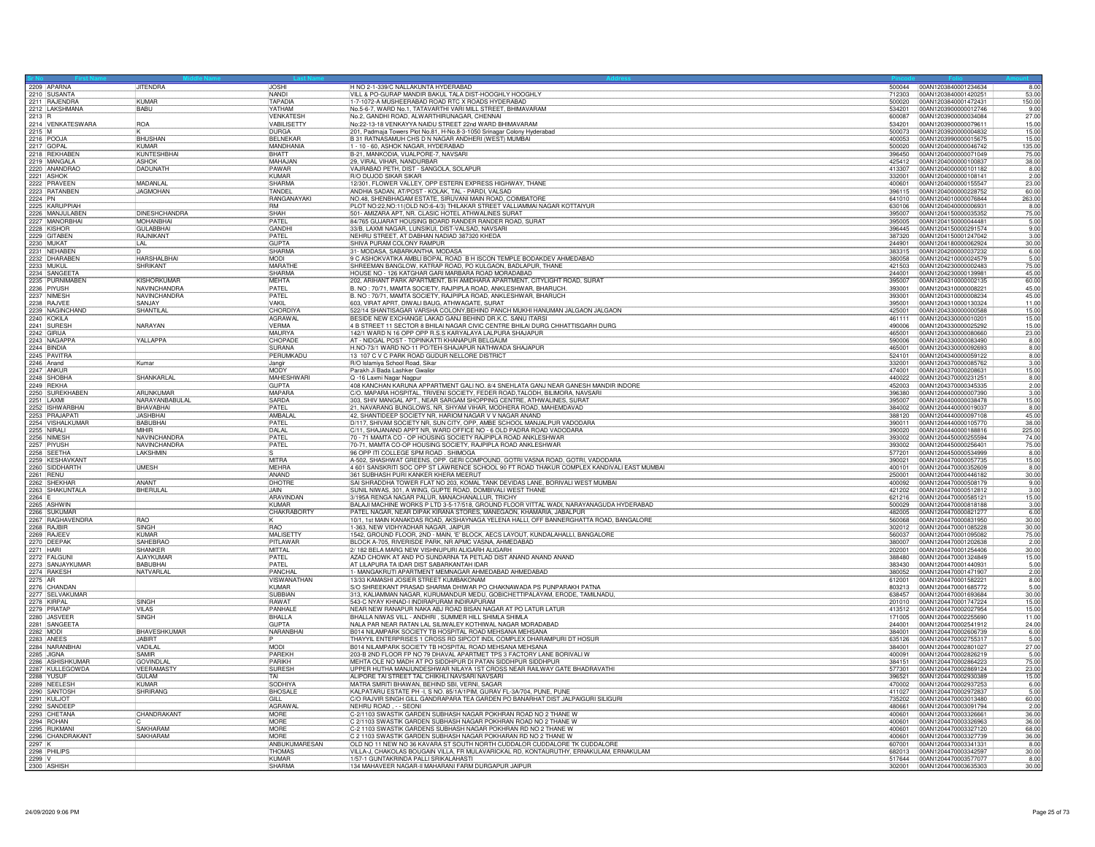| 2209 APARNA                       | <b>JITENDRA</b>                     | <b>JOSHI</b>                     | H NO 2-1-339/C NALLAKUNTA HYDERABAD                                                                                                                                                    |                  | 500044 00AN1203840001234634                   | 8.00                   |
|-----------------------------------|-------------------------------------|----------------------------------|----------------------------------------------------------------------------------------------------------------------------------------------------------------------------------------|------------------|-----------------------------------------------|------------------------|
| 2210 SUSANTA                      |                                     | <b>NANDI</b>                     | VILL & PO-GURAP MANDIR BAKUL TALA DIST-HOOGHLY HOOGHLY                                                                                                                                 | 712303           | 00AN1203840001420251                          | 53.00                  |
| 2211 RAJENDRA                     | KIIMAR                              | <b>TAPADIA</b>                   | 1-7-1072-A MUSHEERABAD ROAD RTC X ROADS HYDERABAD                                                                                                                                      | 500020           | 00AN1203840001472431                          | 150.00                 |
| 2212 LAKSHMANA                    | BABU                                | YATHAM                           | No.5-6-7, WARD No.1, TATAVARTHI VARI MILL STREET, BHIMAVARAM                                                                                                                           | 534201           | 00AN1203900000012746                          | 9.00                   |
| 2213 R                            | <b>ROA</b>                          | <b>VENKATESH</b><br>VABILISETTY  | No.2, GANDHI ROAD, ALWARTHIRUNAGAR, CHENNAI<br>No:22-13-18 VENKAYYA NAIDU STREET 22nd WARD BHIMAVARAM                                                                                  | 600087<br>534201 | 00AN1203900000034084<br>00AN1203900000079611  | 27.00<br>15.00         |
| 2214 VENKATESWARA<br>2215 M       |                                     | <b>DURGA</b>                     | 201, Padmaja Towers Plot No.81, H-No.8-3-1050 Srinagar Colony Hyderabad                                                                                                                | 500073           | 00AN1203920000004832                          | 15.00                  |
| 2216 POOJ/                        | <b>BHUSHAN</b>                      | <b>BFI NFKAF</b>                 | B 31 RATNASAMUH CHS D N NAGAR ANDHERI (WEST) MUMBAI                                                                                                                                    | 400053           | 00AN1203990000015675                          | 15.00                  |
| 2217 GOPAL                        | KUMAR                               | MANDHANIA                        | 1 - 10 - 60, ASHOK NAGAR, HYDERABAD                                                                                                                                                    | 500020           | 00AN1204000000046742                          | 135.00                 |
| 2218 REKHABEN                     | KUNTESHBHA                          | <b>BHATT</b>                     | B-21, MANKODIA, VIJALPORE-7, NAVSARI                                                                                                                                                   | 396450           | 00AN1204000000071049                          | 75.0                   |
| 2219 MANGALA                      | ASHOK                               | MAHAJAN                          | 29, VIRAL VIHAR, NANDURBAR                                                                                                                                                             | 425412           | 00AN1204000000100837                          | 38.00                  |
| 2220 ANANDRAC                     | <b>DADUNATH</b>                     | PAWAR                            | VAJRABAD PETH, DIST - SANGOLA, SOLAPUR                                                                                                                                                 | 413307           | 00AN1204000000101182                          | 8.00                   |
| 2221 ASHOK                        |                                     | KUMAR                            | R/O DUJOD SIKAR SIKAR                                                                                                                                                                  | 332001           | 00AN1204000000108141                          | 2.00                   |
| 2222 PRAVEEN                      | MADANLA                             | <b>SHARMA</b>                    | 12/301, FLOWER VALLEY, OPP ESTERN EXPRESS HIGHWAY, THANE                                                                                                                               | 400601           | 00AN1204000000155547                          | 23.00                  |
| 2223 RATANBEN                     | <b>JAGMOHAN</b>                     | TANDEL                           | ANDHIA SADAN, AT/POST - KOLAK, TAL - PARDI, VALSAD                                                                                                                                     | 396115           | 00AN1204000000228752                          | 60.00                  |
| 2224 PN<br>2225 KARUPPIAH         |                                     | RANGANAYAKI<br>RM                | NO.48, SHENBHAGAM ESTATE, SIRUVANI MAIN ROAD, COIMBATORE<br>PLOT NO:22, NO:11(OLD NO:6-4/3) THILAKAR STREET VALLIAMMAI NAGAR KOTTAIYUR                                                 | 641010           | 00AN1204010000076844<br>00AN1204040000006931  | 263.00<br>8.00         |
|                                   | <b>DINESHCHANDRA</b>                | SHAH                             |                                                                                                                                                                                        | 630106<br>395007 |                                               |                        |
| 2226 MANJULABEN<br>2227 MANORBHAI | MOHANBHA                            | PATEL                            | 501- AMIZARA APT, NR. CLASIC HOTEL ATHWALINES SURAT<br>84/765 GUJARAT HOUSING BOARD RANDER RANDER ROAD, SURAT                                                                          | 395005           | 00AN1204150000035352<br>00AN1204150000044481  | 75.00<br>5.00          |
| 2228 KISHOR                       | <b>GULABBHA</b>                     | <b>GANDHI</b>                    | 33/B, LAXMI NAGAR, LUNSIKUI, DIST-VALSAD, NAVSARI                                                                                                                                      | 396445           | 00AN1204150000291574                          | 9.00                   |
| 2229 GITABEN                      | RAJNIKANT                           | PATEL                            | NEHRU STREET, AT DABHAN NADIAD 387320 KHEDA                                                                                                                                            | 387320           | 00AN1204150001247042                          | 3.00                   |
| 2230 MUKAT                        | LAL                                 | GUPTA                            | SHIVA PURAM COLONY RAMPUR                                                                                                                                                              | 244901           | 00AN1204180000062924                          | 30.00                  |
| 2231 NEHABEN                      | ID                                  | SHARMA                           | 31- MODASA, SABARKANTHA. MODASA                                                                                                                                                        | 383315           | 00AN1204200000037232                          | 6.00                   |
| 2232 DHARABEN                     | <b>HARSHALBHAI</b>                  | <b>MODI</b>                      | 9 C ASHOKVATIKA AMBLI BOPAL ROAD B H ISCON TEMPLE BODAKDEV AHMEDABAD                                                                                                                   | 380058           | 00AN1204210000024579                          | 5.00                   |
| 2233 MUKUL                        | SHRIKANT                            | MARATHE                          | SHREEMAN BANGLOW, KATRAP ROAD, PO KULGAON, BADLAPUR, THANE                                                                                                                             | 421503           | 00AN1204230000002483                          | 75.00                  |
| 2234 SANGEETA                     |                                     | <b>SHARMA</b>                    | HOUSE NO - 126 KATGHAR GARI MARBARA ROAD MORADABAD                                                                                                                                     | 244001           | 00AN1204230000139981                          | 45.00                  |
| 2235 PURNIMABEN                   | KISHORKUMAR                         | <b>MEHTA</b>                     | 202, ARIHANT PARK APARTMENT, B/H AMIDHARA APARTMENT, CITYLIGHT ROAD, SURAT                                                                                                             | 395007           | 00AN1204310000002135                          | 60.00                  |
| 2236 PIYUSH<br>2237 NIMESH        | <b>NAVINCHANDRA</b><br>NAVINCHANDRA | PATEL<br>PATEL                   | B. NO: 70/71, MAMTA SOCIETY, RAJPIPLA ROAD, ANKLESHWAR, BHARUCH<br>B. NO: 70/71, MAMTA SOCIETY, RAJPIPLA ROAD, ANKLESHWAR, BHARUCH                                                     | 393001<br>393001 | 00AN1204310000008221<br>00AN1204310000008234  | 45.00<br>45.00         |
| 2238 RAJVEE                       | SANJAY                              | VAKIL                            | 603, VIRAT APRT, DIWALI BAUG, ATHWAGATE, SURAT                                                                                                                                         | 395001           | 00AN1204310000130324                          | 11.00                  |
| 2239 NAGINCHAND                   | SHANTILAL                           | <b>CHORDIYA</b>                  | 522/14 SHANTISAGAR VARSHA COLONY, BEHIND PANCH MUKHI HANUMAN JALGAON JALGAON                                                                                                           | 425001           | 00AN1204330000000588                          |                        |
| 2240 KOKILA                       |                                     | <b>AGRAWAL</b>                   | BESIDE NEW EXCHANGE LAKAD GANJ BEHIND DR.K.C. SANU ITARSI                                                                                                                              | 461111           | 00AN1204330000010201                          | $\frac{15.00}{15.00}$  |
| 2241 SURESH                       | NARAYAN                             | <b>VERMA</b>                     | 4 B STREET 11 SECTOR 8 BHILAI NAGAR CIVIC CENTRE BHILAI DURG CHHATTISGARH DURG                                                                                                         | 490006           | 00AN1204330000025292                          | 15.00                  |
| 2242 GIRIJA                       |                                     | MAURYA                           | 142/1 WARD N 16 OPP OPP R.S.S KARYALAYA LALPURA SHAJAPUR                                                                                                                               | 465001           | 00AN1204330000080660                          | 23.00                  |
| 2243 NAGAPPA                      | YALLAPPA                            | CHOPADE                          | AT - NIDGAL POST - TOPINKATTI KHANAPUR BELGAUM                                                                                                                                         | 590006           | 00AN1204330000083490                          | 8.00                   |
| 2244 BINDIA                       |                                     | SURANA                           | H.NO-73/1 WARD NO-11 PO/TEH-SHAJAPUR NATHWADA SHAJAPUR                                                                                                                                 | 465001           | 00AN1204330000092693                          | 8.00                   |
| 2245 PAVITRA                      |                                     | PERUMKADI                        | 13 107 C V C PARK ROAD GUDUR NELLORE DISTRICT                                                                                                                                          | 524101           | 00AN1204340000059122                          | 8.00                   |
| 2246 Anand                        | Kumar                               | Jangi                            | R/O Islamiya School Road, Sikar                                                                                                                                                        | 332001           | 00AN1204370000085762                          | 3.00                   |
| 2247 ANKUR<br>2248 SHOBHA         | SHANKARLAL                          | <b>MODY</b><br><b>MAHESHWARI</b> | Parakh Ji Bada Lashker Gwalior<br>Q -16 Laxmi Nagar Nagpur                                                                                                                             | 474001<br>440022 | 00AN1204370000208631<br>00AN1204370000231251  | 15.00<br>8.00          |
| 2249 RFKHA                        |                                     | <b>GUPTA</b>                     | 408 KANCHAN KARUNA APPARTMENT GALI NO. 8/4 SNEHLATA GANJ NEAR GANESH MANDIR INDORE                                                                                                     | 452003           | 00AN1204370000345335                          |                        |
| 2250 SUREKHABEN                   | <b>ARLINKLIMAR</b>                  | <b>MAPARA</b>                    | C/O. MAPARA HOSPITAL, TRIVENI SOCIETY, FEDER ROAD, TALODH, BILIMORA, NAVSARI                                                                                                           | 396380           | 00AN1204400000007390                          | $\frac{2.00}{3.00}$    |
| 2251 LAXMI                        | NARAYANBABULA                       | SARDA                            | 303, SHIV MANGAL APT., NEAR SARGAM SHOPPING CENTRE, ATHWALINES, SURAT                                                                                                                  | 395007           | 00AN1204400000038478                          | 15.00                  |
| 2252 ISHWARBHA                    | <b>BHAVABHAI</b>                    | PATEL                            | 21, NAVARANG BUNGLOWS, NR, SHYAM VIHAR, MODHERA ROAD, MAHEMDAVAD                                                                                                                       | 384002           | 00AN1204440000019037                          | 8.00                   |
| 2253 PRAJAPATI                    | <b>JASHBHAI</b>                     | AMBALAL                          | 42, SHANTIDEEP SOCIETY NR, HARIOM NAGAR V V NAGAR ANAND                                                                                                                                | 388120           | 00AN1204440000097108                          | 45.00                  |
| 2254 VISHALKUMAR                  | BABUBHAI                            | PATFI                            | D/117, SHIVAM SOCIETY NR, SUN CITY, OPP, AMBE SCHOOL MANJALPUR VADODARA                                                                                                                | 390011           | 00AN1204440000105770                          | 38.0                   |
| 2255 NIRALI                       | MIHIR                               | <b>DAI AI</b>                    | C/11, SHAJANAND APPT NR, WARD OFFICE NO - 6 OLD PADRA ROAD VADODARA                                                                                                                    | 390020           | 00AN1204440000188816                          | 225.00                 |
| 2256 NIMES                        | <b>NAVINCHANDRA</b>                 | PATE                             | 70 - 71 MAMTA CO - OP HOUSING SOCIETY RAJPIPLA ROAD ANKLESHWAR                                                                                                                         | 393002           | 00AN1204450000255594                          | 74.0                   |
| 2257 PIYUSH<br>2258 SEETHA        | NAVINCHANDRA<br>LAKSHMIN            | PATEL                            | 70-71, MAMTA CO-OP HOUSING SOCIETY, RAJPIPLA ROAD ANKLESHWAR<br>96 OPP ITI COLLEGE SPM ROAD . SHIMOGA                                                                                  | 393002<br>577201 | 00AN1204450000256401<br>00AN1204450000534999  | 75.00<br>8.00          |
| 2259 KESHAVKANT                   |                                     | <b>MITRA</b>                     | A-502, SHASHWAT GREENS, OPP. GERI COMPOUND, GOTRI VASNA ROAD, GOTRI, VADODARA                                                                                                          | 390021           | 00AN1204470000057735                          | 15.00                  |
| 2260 SIDDHARTH                    | <b>UMESH</b>                        | <b>MFHRA</b>                     | 4 601 SANSKRITI SOC OPP ST LAWRENCE SCHOOL 90 FT ROAD THAKUR COMPLEX KANDIVALI EAST MUMBAI                                                                                             | 400101           | 00AN1204470000352609                          | 8.00                   |
| 2261 RENU                         |                                     | ANAND                            | 361 SUBHASH PURI KANKER KHERA MEERUT                                                                                                                                                   | 250001           | 00AN1204470000446182                          | 30.00                  |
| 2262 SHEKHAF                      | ANANT                               | DHOTRE                           | SAI SHRADDHA TOWER FLAT NO 203, KOMAL TANK DEVIDAS LANE, BORIVALI WEST MUMBAI                                                                                                          | 400092           | 00AN1204470000508179                          |                        |
| 2263 SHAKUNTALA                   | BHERULA                             | <b>JAIN</b>                      | SUNIL NIWAS, 301, A WING, GUPTE ROAD, DOMBIVALI WEST THANE                                                                                                                             | 421202           | 00AN1204470000512812                          | $\frac{9.00}{3.00}$    |
| 2264 E                            |                                     | ARAVINDAN                        | 3/195A RENGA NAGAR PALUR, MANACHANALLUR, TRICHY                                                                                                                                        | 621216           | 00AN1204470000585121                          | 15.00                  |
| 2265 ASHWIN                       |                                     | KUMAR                            | BALAJI MACHINE WORKS P LTD 3-5-17/518, GROUND FLOOR VITTAL WADI, NARAYANAGUDA HYDERABAD                                                                                                | 500029           | 00AN1204470000818188                          | 3.00                   |
| 2266 SUKUMAF                      |                                     | <b>CHAKRABORTY</b>               | PATEL NAGAR, NEAR DIPAK KIRANA STORES, MANEGAON, KHAMARIA, JABALPUR                                                                                                                    | 482005           | 00AN1204470000821277                          | 6.00                   |
| 2267 RAGHAVENDRA<br>2268 RAJBIR   | <b>BAO</b><br>SINGH                 | RAO                              | 10/1, 1st MAIN KANAKDAS ROAD, AKSHAYNAGA YELENA HALLI, OFF BANNERGHATTA ROAD, BANGALORE<br>1-363. NEW VIDHYADHAR NAGAR, JAIPUR                                                         | 560068<br>302012 | 00AN1204470000831950<br>00AN1204470001085228  | 30.00<br>30.00         |
| 2269 RAJEE\                       | KUMAR                               | MALISETT                         | 1542, GROUND FLOOR, 2ND - MAIN, 'E' BLOCK, AECS LAYOUT, KUNDALAHALLI, BANGALORE                                                                                                        | 560037           | 00AN1204470001095082                          | 75.00                  |
| 2270 DEEPAK                       | SAHEBRAC                            | PITLAWAR                         | BLOCK A-705, RIVERISDE PARK, NR APMC VASNA, AHMEDABAD                                                                                                                                  | 380007           | 00AN1204470001202638                          | 2.00                   |
| 2271 HARI                         | SHANKER                             | <b>MITTAL</b>                    | 2/182 BELA MARG NEW VISHNUPURI ALIGARH ALIGARH                                                                                                                                         | 202001           | 00AN1204470001254406                          | 30.00                  |
| 2272 FALGUN                       | <b>AJAYKUMAF</b>                    | PATEL                            | AZAD CHOWK AT AND PO SUNDARNA TA PETLAD DIST ANAND ANAND ANAND                                                                                                                         | 388480           | 00AN1204470001324849                          | $\frac{15.00}{5.00}$   |
| 2273 SANJAYKUMAR                  | <b>BABUBHAI</b>                     | PATFI                            | AT LILAPURA TA IDAR DIST SABARKANTAH IDAR                                                                                                                                              | 383430           | 00AN1204470001440931                          |                        |
| 2274 RAKESH                       | NATVARLAI                           | PANCHA                           | 1- MANGAKRUTI APARTMENT MEMNAGAR AHMEDABAD AHMEDABAD                                                                                                                                   | 380052           | 00AN1204470001471907                          | $\frac{2.00}{8.00}$    |
| 2275 AR                           |                                     | <b>VISWANATHAN</b>               | 13/33 KAMASHI JOSIER STREET KUMBAKONAM                                                                                                                                                 | 612001           | 00AN1204470001582221                          |                        |
| 2276 CHANDAN<br>2277 SELVAKUMAR   |                                     | <b>KUMAR</b><br><b>SUBBIAN</b>   | S/O SHREEKANT PRASAD SHARMA DHIWAR PO CHAKNAWADA PS PUNPARAKH PATNA<br>313, KALIAMMAN NAGAR, KURUMANDUR MEDU, GOBICHETTIPALAYAM, ERODE, TAMILNADU                                      | 803213<br>638457 | 00AN1204470001685772<br>00AN1204470001693684  | 5.00                   |
| 2278 KIRPAL                       | SINGH                               | <b>RAWAT</b>                     | 543-C NYAY KHNAD-I INDIRAPURAM INDIRAPURAM                                                                                                                                             | 201010           | 00AN1204470001747224                          | $\frac{30.00}{15.00}$  |
| 2279 PRATAF                       | <b>VILAS</b>                        | PANHALE                          | NEAR NEW RANAPUR NAKA ABJ ROAD BISAN NAGAR AT PO LATUR LATUR                                                                                                                           | 413512           | 00AN1204470002027954                          | 15.00                  |
| 2280 JASVEER                      | SINGH                               | BHALLA                           | BHALLA NIWAS VILL - ANDHRI, SUMMER HILL SHIMLA SHIMLA                                                                                                                                  | 171005           | 00AN1204470002255690                          | 11.00                  |
| 2281 SANGEETA                     |                                     | <b>GUPTA</b>                     | NALA PAR NEAR RATAN LAL SILIWALEY KOTHIWAL NAGAR MORADABAD                                                                                                                             | 244001           | 00AN1204470002541912                          | 24.00                  |
| 2282 MODI                         | <b>BHAVESHKUMAF</b>                 | NARANBHA                         | B014 NILAMPARK SOCIETY TB HOSPITAL ROAD MEHSANA MEHSANA                                                                                                                                | 384001           | 00AN1204470002606739                          | $\frac{6.00}{5.00}$    |
| 2283 ANEES                        | <b>JABIRT</b>                       |                                  | THAYYIL ENTERPRISES 1 CROSS RD SIPCOT INDL COMPLEX DHARAMPURI DT HOSUR                                                                                                                 |                  |                                               |                        |
| 2284 NARANBHAI                    | VADILAL                             | MODI                             | B014 NILAMPARK SOCIETY TB HOSPITAL ROAD MEHSANA MEHSANA                                                                                                                                | 384001           | 00AN1204470002801027                          | 27.00                  |
| 2285 JJGNA<br>2286 ASHISHKUMAR    | SAMIR<br><b>GOVINDLAI</b>           | PAREKH<br>PARIKH                 | 203-B 2ND FLOOR FP NO 79 DHAVAL APARTMET TPS 3 FACTORY LANE BORIVALI W<br>MEHTA OLE NO MADH AT PO SIDDHPUR DI PATAN SIDDHPUR SIDDHPUR                                                  | 400091<br>384151 | 100AN1204470002826219<br>00AN1204470002864223 | 5.00                   |
| 2287 KULLEGOWDA                   | VEERAMASTY                          | <b>SURESH</b>                    | UPPER HUTHA MANJUNDESHWAR NILAYA 1ST CROSS NEAR RAILWAY GATE BHADRAVATHI                                                                                                               | 577301           | 00AN1204470002869124                          | $\frac{75.00}{23.00}$  |
| 2288 YUSUR                        | GUI AM                              | TAI                              | ALIPORE TAI STREET TAL CHIKHLI NAVSARI NAVSARI                                                                                                                                         | 396521           | 00AN1204470002930389                          | 15.00                  |
| 2289 NEELESH                      | KUMAR                               | SODHIYA                          | MATRA SMRITI BHAWAN, BEHIND SBI, VERNI, SAGAR                                                                                                                                          | 470002           | 00AN1204470002937253                          | 6.00                   |
| 2290 SANTOSH                      | SHRIRANG                            | <b>BHOSALE</b>                   | KALPATARU ESTATE PH -I, S NO. 85/1A/1PIM, GURAV FL-3A/704, PUNE, PUNE                                                                                                                  | 411027           | 00AN1204470002972837                          | 5.00                   |
| 2291 KULJOT                       |                                     | GILL                             | C/O RAJVIR SINGH GILL GANDRAPARA TEA GARDEN PO BANARHAT DIST JALPAIGURI SILIGURI                                                                                                       | 735202           | 00AN1204470003013480                          | 60.00                  |
| 2292 SANDEER                      |                                     | AGRAWAL                          | NEHRU ROAD . - - SEONI                                                                                                                                                                 | 480661           | 00AN1204470003091794                          | 2.00                   |
| 2293 CHETANA                      | CHANDRAKANT                         | <b>MORE</b>                      | C-2/1103 SWASTIK GARDEN SUBHASH NAGAR POKHRAN ROAD NO 2 THANE W                                                                                                                        | 400601           | 00AN1204470003326661                          | 36.00                  |
| 2294 ROHAN                        | <b>SAKHARAM</b>                     | MORF<br>MORE                     | C 2/1103 SWASTIK GARDEN SUBHASH NAGAR POKHRAN ROAD NO 2 THANE W                                                                                                                        | 400601<br>400601 | 00AN1204470003326963                          | 36.00<br>68.00         |
| 2295 RUKMAN<br>2296 CHANDRAKANT   | SAKHARAM                            | <b>MORF</b>                      | C-2 1103 SWASTIK GARDENS SUBHASH NAGAR POKHRAN RD NO 2 THANE W<br>C 2 1103 SWASTIK GARDEN SUBHASH NAGAR POKHARAN RD NO 2 THANE W                                                       | 400601           | 00AN1204470003327120<br>00AN1204470003327739  |                        |
|                                   |                                     | ANBUKUMARESAN                    | OLD NO 11 NEW NO 36 KAVARA ST SOUTH NORTH CUDDALOR CUDDALORE TK CUDDALORE                                                                                                              | 607001           | 00AN1204470003341331                          | 36.00<br>8.00          |
| 2297 K                            |                                     |                                  |                                                                                                                                                                                        |                  |                                               |                        |
| 2298 PHILIPS                      |                                     | THOMAS                           |                                                                                                                                                                                        | 682013           |                                               |                        |
| 2299<br>2300 ASHISH               |                                     | <b>KUMAF</b><br>SHARMA           | VILLA-J, CHAKOLAS BOUGAIN VILLA, FR MULAVARICKAL RD, KONTAURUTHY, ERNAKULAM, ERNAKULAM<br>1/57-1 GUNTAKRINDA PALLI SRIKALAHASTI<br>134 MAHAVEER NAGAR-II MAHARANI FARM DURGAPUR JAIPUR | 517644           | 00AN1204470003342597<br>00AN1204470003577077  | 30.00<br>8.00<br>30.00 |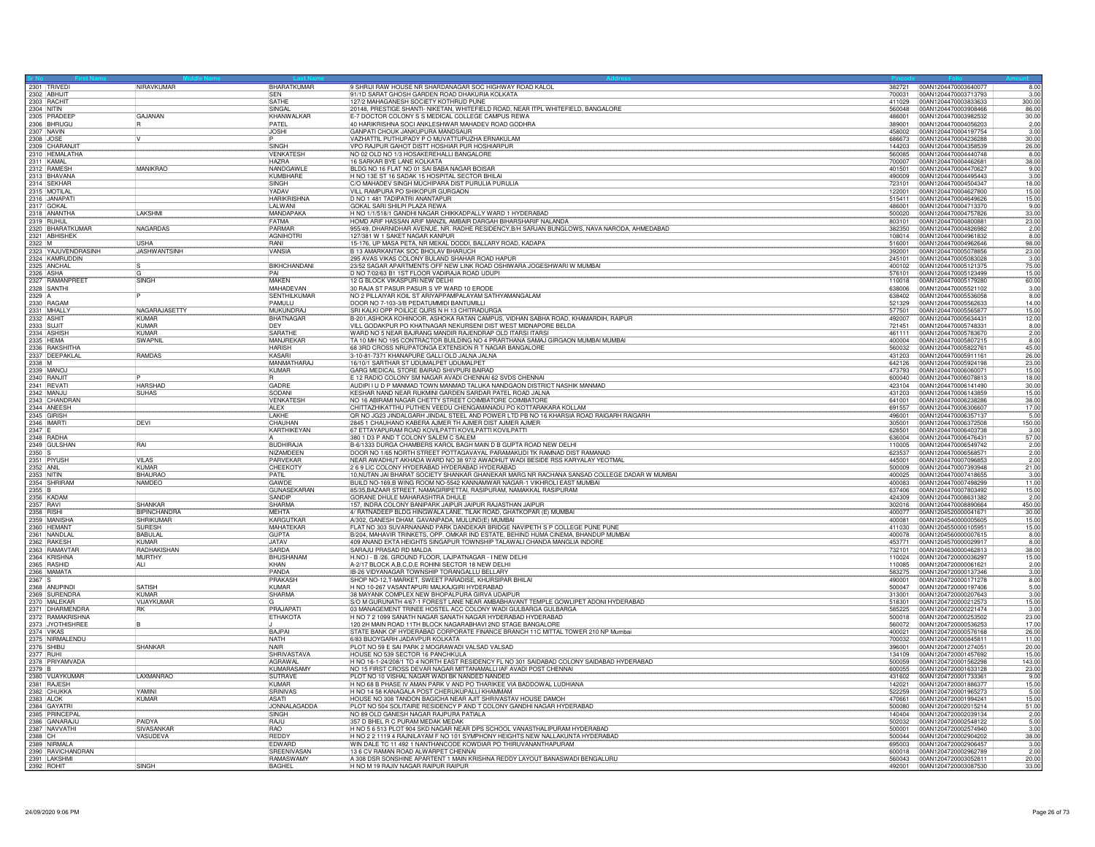| 2301 TRIVED         |                               | NIRAVKUMAR                       | BHARATKUMAR               | 9 SHRIJI RAW HOUSE NR SHARDANAGAR SOC HIGHWAY ROAD KALOL                                                                                                       |                  | 382721 00AN1204470003640077                         | 8.00                  |
|---------------------|-------------------------------|----------------------------------|---------------------------|----------------------------------------------------------------------------------------------------------------------------------------------------------------|------------------|-----------------------------------------------------|-----------------------|
| 2302 ABHIJIT        |                               |                                  | <b>SEN</b>                | 91/1D SARAT GHOSH GARDEN ROAD DHAKURIA KOLKATA                                                                                                                 | 700031           | 00AN1204470003713793                                | 3.00                  |
|                     | 2303 RACHIT                   |                                  | SATHE                     | 127/2 MAHAGANESH SOCIETY KOTHRUD PUNE                                                                                                                          | 411029<br>560048 | 00AN1204470003833633                                | 300.00                |
| 2304 NITIN          | 2305 PRADEE                   | GAJANAN                          | SINGAL<br>KHANWALKAR      | 20148, PRESTIGE SHANTI- NIKETAN, WHITEFIELD ROAD, NEAR ITPL WHITEFIELD, BANGALORE<br>E-7 DOCTOR COLONY S S MEDICAL COLLEGE CAMPUS REWA                         | 486001           | 00AN1204470003908466<br>00AN1204470003982532        | 86.00<br>30.00        |
|                     | 2306 BHRUGU                   |                                  | PATEL                     | 40 HARIKRISHNA SOCI ANKLESHWAR MAHADEV ROAD GODHRA                                                                                                             | 389001           | 00AN1204470004056203                                | 2.00                  |
| <b>2307 NAVIN</b>   |                               |                                  | <b>JOSHI</b>              | GANPATI CHOUK JANKUPURA MANDSAUR                                                                                                                               | 458002           | 00AN1204470004197754                                | 3.00                  |
| 2308 JOSE           |                               |                                  |                           | VAZHATTIL PUTHUPADY P O MUVATTUPUZHA ERNAKULAM                                                                                                                 | 686673           | 00AN1204470004236288                                | 30.00                 |
|                     | 2309 CHARANJI                 |                                  | <b>SINGH</b>              | VPO RAJPUR GAHOT DISTT HOSHIAR PUR HOSHIARPUR                                                                                                                  | 144203           | 00AN1204470004358539                                | 26.00                 |
|                     | 2310 HEMALATHA                |                                  | VENKATESH                 | NO 02 OLD NO 1/3 HOSAKEREHALLI BANGALORE                                                                                                                       | 560085           | 00AN1204470004440748                                | 8.00                  |
| 2311 KAMAL          |                               |                                  | <b>HAZRA</b>              | 16 SARKAR BYE LANE KOLKATA                                                                                                                                     | 700007           | 00AN1204470004462681                                | 38.00                 |
|                     | 2312 RAMESH                   | <b>MANIKRAO</b>                  | NANDGAWLE                 | BLDG NO 16 FLAT NO 01 SAI BABA NAGAR BOISAR                                                                                                                    | 401501           | 00AN1204470004470627                                | 9.00                  |
|                     | 2313 BHAVANA                  |                                  | KUMBHARE                  | H NO 13E ST 16 SADAK 15 HOSPITAL SECTOR BHILAI                                                                                                                 | 490009           | 00AN1204470004495443                                | 3.00                  |
|                     | 2314 SEKHAR<br>2315 MOTILAL   |                                  | SINGH<br>YADAV            | C/O MAHADEV SINGH MUCHIPARA DIST PURULIA PURULIA<br>VILL RAMPURA PO SHIKOPUR GURGAON                                                                           | 723101<br>122001 | 00AN1204470004504347<br>00AN1204470004627800        | 18.00                 |
|                     | 2316 JANAPATI                 |                                  | <b>HARIKRISHNA</b>        | D NO 1 481 TADIPATRI ANANTAPUR                                                                                                                                 | 515411           | 00AN1204470004649626                                | 15.00<br>15.00        |
| 2317 GOKAL          |                               |                                  | LALWANI                   | GOKAL SARLSHILPI PLAZA REWA                                                                                                                                    | 486001           | 00AN1204470004713370                                | 9.00                  |
|                     | 2318 ANANTHA                  | LAKSHMI                          | MANDAPAK/                 | H NO 1/1/518/1 GANDHI NAGAR CHIKKADPALLY WARD 1 HYDERABAD                                                                                                      | 500020           | 00AN1204470004757826                                | 33.00                 |
| 2319 RUHUL          |                               |                                  | FATMA                     | HOMD ARIF HASSAN ARIF MANZIL AMBAIR DARGAH BIHARSHARIF NALANDA                                                                                                 | 803101           | 00AN1204470004800881                                | 23.00                 |
|                     | 2320 BHARATKUMAR              | <b>NAGARDAS</b>                  | PARMAR                    | 955/49, DHARNIDHAR AVENUE, NR. RADHE RESIDENCY, B/H SARJAN BUNGLOWS, NAVA NARODA, AHMEDABAD                                                                    | 382350           | 00AN1204470004826982                                | 2.00                  |
|                     | 2321 ABHISHEK                 |                                  | <b>AGNIHOTRI</b>          | 127/381 W 1 SAKET NAGAR KANPUR                                                                                                                                 | 108014           | 00AN1204470004961832                                | 8.00                  |
|                     |                               | <b>USHA</b>                      | RANI                      | 15-176, UP MASA PETA, NR MEKAL DODDI, BALLARY ROAD, KADAPA                                                                                                     | 516001           | 00AN1204470004962646                                | 98.00                 |
|                     | 2323 YAJUVENDRASINH           | <b>JASHWANTSINH</b>              | VANSIA                    | B 13 AMARKANTAK SOC BHOLAV BHARUCH                                                                                                                             | 392001           | 00AN1204470005078856                                | 23.00                 |
|                     | 2324 KAMRUDDIN                |                                  |                           | 295 AVAS VIKAS COLONY BULAND SHAHAR ROAD HAPUR                                                                                                                 | 245101           | 00AN1204470005083028                                | 3.00                  |
|                     | 2325 ANCHAL                   |                                  | BIKHCHANDANI<br>PAI       | 23/52 SAGAR APARTMENTS OFF NEW LINK ROAD OSHIWARA JOGESHWARI W MUMBAI                                                                                          | 400102           | 00AN1204470005121375                                | 75.00                 |
|                     | 2326 ASHA<br>2327 RAMANPREET  | SINGH                            | MAKEN                     | D NO 7/02/63 B1 1ST FLOOR VADIRAJA ROAD UDUPI<br>12 G BLOCK VIKASPURI NEW DELHI                                                                                | 576101           | 00AN1204470005123499                                | 15.00                 |
| 2328 SANTHI         |                               |                                  | MAHADEVAN                 | 30 RAJA ST PASUR PASUR S VP WARD 10 ERODE                                                                                                                      | 638006           | 00AN1204470005521102                                | 60.00                 |
| 2329 A              |                               |                                  | <b>SENTHILKUMAR</b>       | NO 2 PILLAIYAR KOIL ST ARIYAPPAMPALAYAM SATHYAMANGALAM                                                                                                         | 638402           | 00AN1204470005536058                                | 3.00<br>8.00          |
| 2330 RAGAN          |                               |                                  | PAMULU                    | DOOR NO 7-103-3/B PEDATUMMIDI BANTUMILLI                                                                                                                       | 521329           | 00AN1204470005562633                                | 14.00                 |
|                     | 2331 MHALLY                   | NAGARAJASETTY                    | MUKUNDRA                  | SRI KALKI OPP POILICE QURS N H 13 CHITRADURGA                                                                                                                  | 577501           | 00AN1204470005565877                                | 15.00                 |
| 2332 ASHIT          |                               | KUMAR                            | BHATNAGAR                 | B-201, ASHOKA KOHINOOR, ASHOKA RATAN CAMPUS, VIDHAN SABHA ROAD, KHAMARDIH, RAIPUR                                                                              | 492007           | 00AN1204470005634431                                | 12.00                 |
| 2333 SUJIT          |                               | <b>KUMAR</b>                     | DEY                       | VILL GODAKPUR PO KHATNAGAR NEKURSENI DIST WEST MIDNAPORE BELDA                                                                                                 | 721451           | 00AN1204470005748331                                | 8.00                  |
| 2334 ASHISH         |                               | <b>KUMAR</b>                     | SARATHE                   | WARD NO 5 NEAR BAJRANG MANDIR RAJENDRAP OLD ITARSI ITARS                                                                                                       | 461111           | 00AN1204470005783670                                | 2.00                  |
| 2335 HEMA           |                               | <b>SWAPNIL</b>                   | MANJREKAR                 | A 10 MH NO 195 CONTRACTOR BUILDING NO 4 PRARTHANA SAMAJ GIRGAON MUMBAI MUMBAI                                                                                  | 400004           | 00AN1204470005807215                                | 8.00                  |
|                     | 2336 RAKSHITHA                |                                  | <b>HARISH</b>             | 68 3RD CROSS NRUPATONGA EXTENSION R T NAGAR BANGALORE                                                                                                          | 560032           | 00AN1204470005822761                                | 45.00                 |
|                     | 2337 DEEPAKLAL                | RAMDAS                           | KASARI                    | 3-10-81-7371 KHANAPURE GALLI OLD JALNA JALNA                                                                                                                   | 431203           | 00AN1204470005911161                                | 26.00                 |
| 2338 M<br>2339 MANO |                               |                                  | MANMATHARAJ               | 16/10/1 SARTHAR ST UDUMALPET UDUMALPET<br>GARG MEDICAL STORE BAIRAD SHIVPURI BAIRAD                                                                            | 642126<br>473793 | 00AN1204470005924198                                | 23.00                 |
| 2340 RANJI          |                               | ĪR                               | <b>KUMAR</b>              | E 12 RADIO COLONY SM NAGAR AVADI CHENNAI 62 SVDS CHENNAI                                                                                                       | 600040           | 00AN1204470006060071<br>00AN1204470006078813        | 15.00<br>18.00        |
| 2341 REVAT          |                               | <b>HARSHAD</b>                   | GADRE                     | AUDIPITU D P MANMAD TOWN MANMAD TALUKA NANDGAON DISTRICT NASHIK MANMAD                                                                                         | 423104           | 00AN1204470006141490                                | 30.00                 |
| 2342 MANJU          |                               | <b>SUHAS</b>                     | SODANI                    | KESHAR NAND NEAR RUKMINI GARDEN SARDAR PATEL ROAD JALNA                                                                                                        | 431203           | 00AN1204470006143859                                | 15.00                 |
|                     | 2343 CHANDRAN                 |                                  | <b>VENKATESH</b>          | NO 16 ABIRAMI NAGAR CHETTY STREET COIMBATORE COIMBATORE                                                                                                        | 641001           | 00AN1204470006238286                                | 38.00                 |
|                     | 2344 ANEESH                   |                                  | ALEX                      | CHITTAZHIKATTHU PUTHEN VEEDU CHENGAMANADU PO KOTTARAKARA KOLLAM                                                                                                | 691557           | 00AN1204470006306607                                | 17.00                 |
| 2345 GIRISH         |                               |                                  | LAKHE                     | OR NO JG23 JINDALGARH JINDAL STEEL AND POWER LTD PB NO 16 KHARSIA ROAD RAIGARH RAIGARH                                                                         | 496001           | 00AN1204470006357137                                | 5.00                  |
| 2346 IMARTI         |                               | DEVI                             | CHAUHAN                   | 2845 1 CHAUHANO KABERA AJMER TH AJMER DIST AJMER AJMER                                                                                                         | 305001           | 00AN1204470006372508                                | 150.00                |
| 2347 E              |                               |                                  | KARTHIKEYAN               | 67 ETTAYAPURAM ROAD KOVILPATTI KOVILPATTI KOVILPATTI                                                                                                           | 628501           | 00AN1204470006403738                                | 3.00                  |
| 2348 RADHA          |                               |                                  | BUDHIRAJA                 | 380 1 D3 P AND T COLONY SALEM C SALEM<br>B-6/1333 DURGA CHAMBERS KAROL BAGH MAIN D B GUPTA ROAD NEW DELHI                                                      | 636004           | 00AN1204470006476431                                | 57.00                 |
| 2350 S              | 2349 GULSHAN                  | RAI                              | NIZAMDEEN                 | DOOR NO 1/65 NORTH STREET POTTAGAVAYAL PARAMAKUDI TK RAMNAD DIST RAMANAD                                                                                       | 110005<br>623537 | 00AN1204470006549742<br>00AN1204470006568571        | 2.00<br>2.00          |
| 2351 PIYUSH         |                               | <b>VILAS</b>                     | PARVEKAR                  | NEAR AWADHUT AKHADA WARD NO 38 97/2 AWADHUT WADI BESIDE RSS KARYALAY YEOTMAL                                                                                   | 445001           | 00AN1204470007096853                                | 2.00                  |
| 2352 ANIL           |                               | KUMAR                            | CHEEKOTY                  | 2 6 9 LIC COLONY HYDERABAD HYDERABAD HYDERABAD                                                                                                                 | 500009           | 00AN1204470007393948                                | 21.00                 |
| 2353 NITIN          |                               | <b>BHAURAO</b>                   | PATIL                     | 10, NUTAN JAI BHARAT SOCIETY SHANKAR GHANEKAR MARG NR RACHANA SANSAD COLLEGE DADAR W MUMBAI                                                                    | 400025           | 00AN1204470007418655                                | 3.00                  |
|                     | 2354 SHRIRAM                  | NAMDEO                           | GAWDE                     | BUILD NO-169,B WING ROOM NO-5542 KANNAMWAR NAGAR-1 VIKHROLI EAST MUMBAI                                                                                        | 400083           | 00AN1204470007498299                                | 11.00                 |
| 2355 B              |                               |                                  | GUNASEKARAN               | 85/35, BAZAAR STREET, NAMAGIRIPETTAI, RASIPURAM, NAMAKKAL RASIPURAM                                                                                            | 637406           | 00AN1204470007803492                                | 15.00                 |
| 2356 KADAM          |                               |                                  | SANDIP                    | GORANE DHULE MAHARASHTRA DHULE                                                                                                                                 | 424309           | 00AN1204470008631382                                | 2.00                  |
| 2357 RAVI           |                               | SHANKAR                          | SHARMA                    | 157, INDRA COLONY BANIPARK JAIPUR JAIPUR RAJASTHAN JAIPUR                                                                                                      | 302016           | 00AN1204470008890664                                | 450.00                |
| 2358 RISHI          |                               | BIPINCHANDRA<br><b>SHRIKUMAR</b> | <b>MEHTA</b><br>KARGUTKAR | 4/ RATNADEEP BLDG HINGWALA LANE, TILAK ROAD, GHATKOPAR (E) MUMBAI<br>A/302, GANESH DHAM, GAVANPADA, MULUND(E) MUMBAI                                           | 400077<br>400081 | 00AN1204520000041671<br>00AN1204540000005605        | 30.00                 |
|                     | 2359 MANISHA<br>2360 HEMANT   | <b>SURESH</b>                    | MAHATEKAR                 | FLAT NO 303 SUVARNANAND PARK DANDEKAR BRIDGE NAVIPETH S P COLLEGE PUNE PUNE                                                                                    | 411030           | 00AN1204550000105951                                | $\frac{15.00}{15.00}$ |
|                     | 2361 NANDLAL                  | <b>BABULAL</b>                   | <b>GUPTA</b>              | B/204, MAHAVIR TRINKETS, OPP. OMKAR IND ESTATE, BEHIND HUMA CINEMA, BHANDUP MUMBAI                                                                             | 400078           | 00AN1204560000007615                                | 8.00                  |
|                     | 2362 RAKESH                   | <b>KUMAR</b>                     | <b>JATAV</b>              | 409 ANAND EKTA HEIGHTS SINGAPUR TOWNSHIP TALAWALI CHANDA MANGLIA INDORE                                                                                        | 453771           | 00AN1204570000029917                                | 8.00                  |
|                     | 2363 RAMAVTAR                 | RADHAKISHAN                      | SARDA                     | SARAJU PRASAD RD MALDA                                                                                                                                         | 732101           | 00AN1204630000462813                                | 38.00                 |
|                     | 2364 KRISHNA                  | <b>MURTHY</b>                    | <b>BHUSHANAN</b>          | H.NO.I - B/26, GROUND FLOOR, LAJPATNAGAR - INEW DELHI<br> A-2/17 BLOCK A,B,C,D,E ROHINI SECTOR 18 NEW DELHI                                                    | 110024           | 00AN1204720000036297                                | 15.00                 |
|                     |                               | i Al I                           | KHAN                      |                                                                                                                                                                | 110085           | 00AN1204720000061621                                | 2.00                  |
|                     | 2366 MAMATA                   |                                  | PANDA                     | IB-26 VIDYANAGAR TOWNSHIP TORANGALLU BELLARY                                                                                                                   | 583275           | 00AN1204720000137346                                | 3.00                  |
| 2367 S              |                               |                                  | PRAKASH                   | SHOP NO-12,T-MARKET, SWEET PARADISE, KHURSIPAR BHILAI                                                                                                          | 490001           | 00AN1204720000171278                                | 8.00                  |
|                     | 2368 ANUPINDI                 | <b>SATISH</b><br>KUMAR           | KUMAR                     | H NO 10-267 VASANTAPURI MALKAJGIRI HYDERABAD<br>38 MAYANK COMPLEX NEW BHOPALPURA GIRVA UDAIPUR                                                                 | 500047<br>313001 | 00AN1204720000197406<br>00AN1204720000207643        | $\frac{5.00}{3.00}$   |
|                     | 2369 SURENDRA<br>2370 MALEKAR | VIJAYKUMAR                       | SHARMA                    | S/O M GURUNATH 4/67-1 FOREST LANE NEAR AMBABHAVANT TEMPLE GOWLIPET ADONI HYDERABAD                                                                             | 518301           | 00AN1204720000212573                                | 15.00                 |
|                     | 2371 DHARMENDRA               | RK                               | G.<br>PRAJAPATI           | 03 MANAGEMENT TRINEE HOSTEL ACC COLONY WADI GULBARGA GULBARGA                                                                                                  | 585225           | 00AN1204720000221474                                | 3.00                  |
|                     | 2372 RAMAKRISHNA              |                                  | ETHAKOTA                  | H NO 7 2 1099 SANATH NAGAR SANATH NAGAR HYDERABAD HYDERABAD                                                                                                    | 500018           | 00AN1204720000253502                                | 23.00                 |
|                     | 2373 JYOTHISHREE              |                                  |                           | 120 2H MAIN ROAD 11TH BLOCK NAGARABHAVI 2ND STAGE BANGALORE                                                                                                    | 560072           | 00AN1204720000536253                                |                       |
|                     |                               |                                  | <b>BAJPAI</b>             | STATE BANK OF HYDERABAD CORPORATE FINANCE BRANCH 11C MITTAL TOWER 210 NP Mumbai                                                                                | 400021           | 00AN1204720000576168                                | $\frac{17.00}{26.00}$ |
|                     | 2374 VIKAS<br>2375 NIRMALENDU |                                  | <b>NATH</b>               | 6/83 BIJOYGARH JADAVPUR KOLKATA                                                                                                                                |                  |                                                     | 11.00                 |
| 2376 SHIBU          |                               | SHANKAR                          | <b>NAIR</b>               | PLOT NO 59 E SAI PARK 2 MOGRAWADI VALSAD VALSAD                                                                                                                | 396001           | 00AN1204720001274051                                | 20.00                 |
| 2377 RUHI           |                               |                                  | SHRIVASTAVA               | HOUSE NO 539 SECTOR 16 PANCHKULA                                                                                                                               | 134109           | 100AN1204720001457692                               | 15.00                 |
|                     | 2378 PRIYAMVADA               |                                  | AGRAWAL<br>KUMARASAMY     | H NO 16-1-24/208/1 TO 4 NORTH EAST RESIDENCY FL NO 301 SAIDABAD COLONY SAIDABAD HYDERABAD<br>NO 15 FIRST CROSS DEVAR NAGAR MITTANAMALLI IAF AVADI POST CHENNAI | 500059           | 00AN1204720001562298                                | 143.00                |
|                     | 2379 B<br>2380 VIJAYKUMAR     | LAXMANRAO                        | SUTRAVE                   | PLOT NO 10 VISHAL NAGAR WADI BK NANDED NANDED                                                                                                                  | 600055           | 00AN1204720001633128<br>431602 00AN1204720001733361 | 23.00                 |
|                     | 2381 RAJESH                   |                                  | KUMAR                     | H NO 68 B PHASE IV AMAN PARK V AND PO THARIKEE VIA BADDOWAL LUDHIANA                                                                                           | 142021           | 00AN1204720001886377                                | 9.00<br>15.00         |
|                     | 2382 CHUKKA                   | YAMINI                           | <b>SRINIVAS</b>           | H NO 14 58 KANAGALA POST CHERUKUPALLI KHAMMAM                                                                                                                  | 522259           | 00AN1204720001965273                                | 5.00                  |
| 2383 ALOK           |                               | <b>KUMAR</b>                     | ASATI                     | HOUSE NO 308 TANDON BAGICHA NEAR AJIT SHRIVASTAV HOUSE DAMOH                                                                                                   | 470661           | 00AN1204720001994241                                | 15.00                 |
|                     | 2384 GAYATR                   |                                  | JONNALAGADDA              | PLOT NO 504 SOLITAIRE RESIDENCY P AND T COLONY GANDHI NAGAR HYDERABAD                                                                                          | 500080           | 00AN1204720002015214                                | 51.00                 |
|                     | 2385 PRINCEPAL                |                                  | SINGH                     | NO 89 OLD GANESH NAGAR RAJPURA PATIALA                                                                                                                         |                  |                                                     | 2.00                  |
|                     | 2386 GANARAJU                 | PAIDYA                           | RAJU                      | 357 D BHEL R C PURAM MEDAK MEDAK                                                                                                                               | 502032           | 00AN1204720002548122                                | 5.00                  |
|                     | 2387 NAVVATHI                 | SIVASANKAF                       | RAO                       | H NO 5 6 513 PLOT 904 SKD NAGAR NEAR DPS SCHOOL VANASTHALIPURAM HYDERABAD                                                                                      | 500001           | 00AN1204720002574940                                | 3.00                  |
| 2388 CH             |                               | VASUDEVA                         | <b>REDDY</b>              | H NO 2 2 1119 4 RAJNILAYAM F NO 101 SYMPHONY HEIGHTS NEW NALLAKUNTA HYDERABAD WIN DALE TC 11 492 1 NANTHANCODE KOWDIAR PO THIRUVANANTHAPURAM                   | 500044           | 00AN1204720002904202                                | 38.00                 |
|                     | 2389 NIRMALA                  |                                  | FDWARD                    |                                                                                                                                                                | 695003           | 00AN1204720002906457                                | 3.00                  |
|                     | 2390 RAVICHANDRAN             |                                  | <b>SREENIVASAN</b>        | 13 6 CV RAMAN ROAD ALWARPET CHENNAL                                                                                                                            |                  | 600018 00AN1204720002962789                         | 2.00                  |
| 2392 ROHIT          | 2391 LAKSHMI                  | SINGH                            | RAMASWAMY<br>BAGHEL       | A 308 DSR SONSHINE APARTENT 1 MAIN KRISHNA REDDY LAYOUT BANASWADI BENGALURU<br>H NO M 19 RAJIV NAGAR RAIPUR RAIPUR                                             | 560043           | 00AN1204720003052811<br>492001 00AN1204720003087530 | 20.00<br>33.00        |
|                     |                               |                                  |                           |                                                                                                                                                                |                  |                                                     |                       |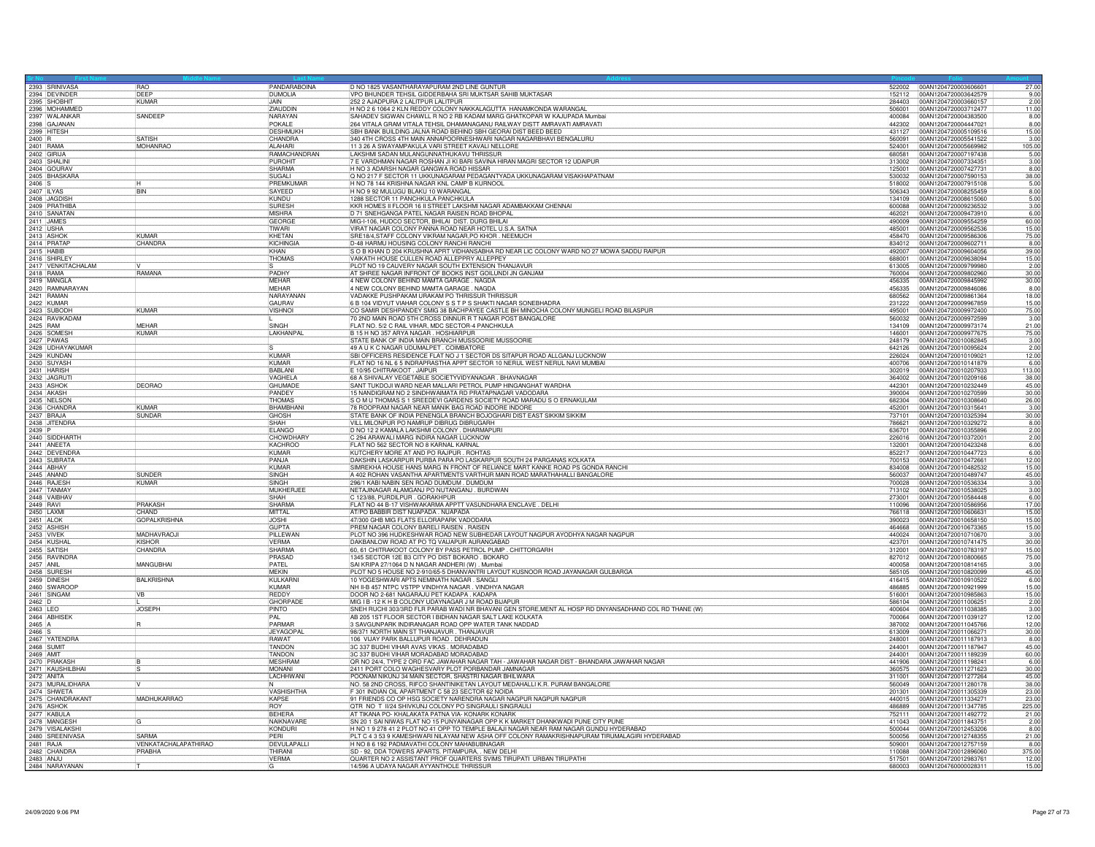|                                 | <b>RAO</b>                       | PANDARABOINA                    | D NO 1825 VASANTHARAYAPURAM 2ND LINE GUNTUR                                                                                                                       | 522002 00AN1204720003606601                                      | 27.00                 |
|---------------------------------|----------------------------------|---------------------------------|-------------------------------------------------------------------------------------------------------------------------------------------------------------------|------------------------------------------------------------------|-----------------------|
| 2393 SRINIVASA                  | DEEP                             | <b>DUMOLIA</b>                  | VPO BHUNDER TEHSIL GIDDERBAHA SRI MUKTSAR SAHIB MUKTASAR                                                                                                          | 152112<br>00AN1204720003642579                                   | 9.00                  |
| 2395 SHOBHIT                    | KUMAR                            | <b>JAIN</b>                     | 252 2 AJADPURA 2 LALITPUR LALITPUR                                                                                                                                | 00AN1204720003660157<br>284403                                   | 2.00                  |
| 2396 MOHAMMED                   | SANDEEP                          | ZIAUDDIN<br>NARAYAN             | H NO 2 6 1064 2 KLN REDDY COLONY NAKKALAGUTTA HANAMKONDA WARANGAL<br>SAHADEV SIGWAN CHAWLL R NO 2 RB KADAM MARG GHATKOPAR W KAJUPADA Mumbai                       | 00AN1204720003712477<br>506001<br>00AN1204720004383500<br>400084 | 11.00<br>8.00         |
|                                 |                                  | POKALE                          | 264 VITALA GRAM VITALA TEHSIL DHAMANAGANU RAILWAY DISTT AMRAVATI AMRAVATI                                                                                         | 442302<br>00AN1204720004447021                                   | 8.00                  |
| 2398 GAJANAN<br>2399 HITESH     |                                  | <b>DESHMUKH</b>                 | SBH BANK BUILDING JALNA ROAD BEHIND SBH GEORAI DIST BEED BEED                                                                                                     | 431127<br>00AN1204720005109516                                   | 15.00                 |
| $2400$ R                        | <b>SATISH</b><br><b>MOHANRAC</b> | CHANDRA<br><b>ALAHARI</b>       | 340 4TH CROSS 4TH MAIN ANNAPOORNESHWARI NAGAR NAGARBHAVI BENGALURU<br>11 3 26 A SWAYAMPAKULA VARI STREET KAVALI NELLORE                                           | 560091<br>00AN1204720005541522<br>00AN1204720005669982<br>524001 | 3.00                  |
| 2401 RAMA<br>2402 GIRIJA        |                                  | RAMACHANDRAN                    | LAKSHMI SADAN MULANGUNNATHUKAVU THRISSUR                                                                                                                          | 00AN1204720007197438<br>680581                                   | $\frac{105.00}{5.00}$ |
| 2403 SHALINI                    |                                  | <b>PUROHIT</b>                  | 7 E VARDHMAN NAGAR ROSHAN JI KI BARI SAVINA HIRAN MAGRI SECTOR 12 UDAIPUR                                                                                         | 313002<br>00AN1204720007334351                                   | 3.00                  |
| 2404 GOURAV                     |                                  | <b>SHARMA</b>                   | H NO 3 ADARSH NAGAR GANGWA ROAD HISSAR                                                                                                                            | 125001<br>00AN1204720007427731                                   | 8.00                  |
| 2405 BHASKARA                   |                                  | SUGALI<br>PREMKUMAR             | Q NO 217 F SECTOR 11 UKKUNAGARAM PEDAGANTYADA UKKUNAGARAM VISAKHAPATNAM<br>H NO 78 144 KRISHNA NAGAR KNL CAMP B KURNOOL                                           | 530032<br>00AN1204720007590153<br>00AN1204720007915108<br>518002 | $\frac{38.00}{5.00}$  |
| 2406 S<br>2407 ILYAS            | <b>BIN</b>                       | SAYEED                          | H NO 9 92 MULUGU BLAKU 10 WARANGAL                                                                                                                                | 00AN1204720008255459<br>506343                                   |                       |
| 2408 JAGDISH                    |                                  | KUNDU                           | 1288 SECTOR 11 PANCHKULA PANCHKULA                                                                                                                                | 134109<br>00AN1204720008615060                                   | 5.00                  |
| 2409 PRATHIBA<br>2410 SANATAN   |                                  | <b>SURESH</b><br><b>MISHRA</b>  | KKR HOMES II FLOOR 16 II STREET LAKSHMI NAGAR ADAMBAKKAM CHENNAI<br>D 71 SNEHGANGA PATEL NAGAR RAISEN ROAD BHOPAL                                                 | 600088<br>00AN1204720009236532<br>462021<br>00AN1204720009473910 | 3.00<br>6.00          |
|                                 |                                  | <b>GEORGE</b>                   | MIG-I-106, HUDCO SECTOR, BHILAI DIST, DURG BHILAI                                                                                                                 | 490009<br>00AN1204720009554259                                   |                       |
| 2411 JAMES<br>2412 USHA         |                                  | TIWARI                          | VIRAT NAGAR COLONY PANNA ROAD NEAR HOTEL U.S.A. SATNA                                                                                                             | 485001<br>00AN1204720009562536                                   | $\frac{60.00}{15.00}$ |
| 2413 ASHOP<br>2414 PRATAF       | KUMAR<br>CHANDRA                 | KHETAN<br>KICHINGIA             | SRE18/4, STAFF COLONY VIKRAM NAGAR, PO KHOR. NEEMUCH<br>D-48 HARMU HOUSING COLONY RANCHI RANCH                                                                    | 458470<br>00AN1204720009586306<br>834012<br>00AN1204720009602711 | 75.00<br>8.00         |
| 2415 HABIR                      |                                  | KHAN                            | S O B KHAN D 204 KRUSHNA APRT VIDHANSABHA RD NEAR LIC COLONY WARD NO 27 MOWA SADDU RAIPUR                                                                         | 492007<br>00AN1204720009604056                                   | 39.00                 |
| 2416 SHIRLEY                    |                                  | <b>THOMAS</b>                   | VAIKATH HOUSE CULLEN ROAD ALLEPPRY ALLEPPEY                                                                                                                       | 688001<br>00AN1204720009638094                                   | $\frac{15.00}{2.00}$  |
| 2417 VENKITACHALAM              |                                  |                                 | PLOT NO 19 CAUVERY NAGAR SOUTH EXTENSION THANJAVUR                                                                                                                | 613005<br>00AN1204720009799980                                   |                       |
| 2418 RAMA<br>2419 MANGLA        | RAMANA                           | PADHY<br>MEHAR                  | AT SHREE NAGAR INFRONT OF BOOKS INST GOILUNDI JN GANJAM<br>4 NEW COLONY BEHIND MAMTA GARAGE . NAGDA                                                               | 760004<br>00AN1204720009802960<br>456335<br>00AN1204720009845992 | 30.00<br>30.00        |
| 2420 RAMNARAYAN                 |                                  | <b>MFHAR</b>                    | 4 NEW COLONY BEHIND MAMTA GARAGE . NAGDA                                                                                                                          | 456335<br>00AN1204720009846086                                   | 8.00                  |
| 2421 RAMAN                      |                                  | NARAYANAN                       | VADAKKE PUSHPAKAM URAKAM PO THRISSUR THRISSUF                                                                                                                     | 680562<br>00AN1204720009861364                                   | 18.00                 |
| 2422 KUMAR                      |                                  | GAURAV                          | 6 B 104 VIDYUT VIAHAR COLONY S S T P S SHAKTI NAGAR SONEBHADRA                                                                                                    | 00AN1204720009967859<br>231222                                   | 15.00                 |
| 2423 SUBODH<br>2424 RAVIKADAM   | <b>KUMAR</b>                     | <b>VISHNOI</b>                  | CO SAMIR DESHPANDEY SMIG 38 BACHPAYEE CASTLE BH MINOCHA COLONY MUNGELI ROAD BILASPUR<br>70 2ND MAIN ROAD 5TH CROSS DINNUR R T NAGAR POST BANGALORE                | 495001<br>00AN1204720009972400<br>560032<br>00AN1204720009972599 | 75.00<br>3.00         |
| 2425 RAM                        | MEHAR                            | SINGH                           | FLAT NO. 5/2 C RAIL VIHAR, MDC SECTOR-4 PANCHKULA                                                                                                                 | 134109<br>00AN1204720009973174                                   | 21.00                 |
| 2426 SOMESH                     | KUMAR                            | LAKHANPA                        | B 15 H NO 357 ARYA NAGAR . HOSHIARPUR                                                                                                                             | 146001<br>00AN1204720009977675                                   | 75.00                 |
| 2428 UDHAYAKUMAR                |                                  |                                 | STATE BANK OF INDIA MAIN BRANCH MUSSOORIE MUSSOORIE<br>49 A U K C NAGAR UDUMALPET. COIMBATORE                                                                     | 248179<br>00AN1204720010082845<br>642126<br>00AN1204720010095624 | 3.00<br>2.00          |
| 2429 KUNDAN                     |                                  | KUMAR                           | SBI OFFICERS RESIDENCE FLAT NO J 1 SECTOR DS SITAPUR ROAD ALLGANJ LUCKNOW                                                                                         | 00AN1204720010109021<br>226024                                   | 12.00                 |
| 2430 SUYASH                     |                                  | KUMAR                           | FLAT NO 16 NL 6 5 INDRAPRASTHA APPT SECTOR 10 NERUL WEST NERUL NAVI MUMBAI                                                                                        | 400706<br>00AN1204720010141879                                   | 6.00                  |
| 2431 HARISH<br>2432 JAGRUT      |                                  | <b>BABLANI</b>                  | E 10/95 CHITRAKOOT. JAIPUR                                                                                                                                        | 302019<br>00AN1204720010207933                                   | 113.00                |
| 2433 ASHOK                      | <b>DEORAO</b>                    | VAGHELA<br>GHUMADE              | 68 A SHIVALAY VEGETABLE SOCIETYVIDYANAGAR. BHAVNAGAR<br>SANT TUKDOJI WARD NEAR MALLARI PETROL PUMP HINGANGHAT WARDHA                                              | 364002<br>00AN1204720010209166<br>442301<br>00AN1204720010232449 | 38.00<br>45.00        |
| 2434 AKASH                      |                                  | PANDEY                          | 15 NANDIGRAM NO 2 SINDHWAIMATA RD PRATAPNAGAR VADODARA                                                                                                            | 390004<br>00AN1204720010270599                                   | 30.00                 |
| 2435 NELSON                     |                                  | THOMAS                          | S O M U THOMAS S 1 SREEDEVI GARDENS SOCIETY ROAD MARADU S O ERNAKULAM                                                                                             | 682304<br>00AN1204720010308640                                   | 26.00                 |
| 2436 CHANDRA<br>2437 BRAJA      | KUMAR<br>SUNDAR                  | <b>BHAMBHAN</b><br><b>GHOSH</b> | 78 ROOPRAM NAGAR NEAR MANIK BAG ROAD INDORE INDORE<br>STATE BANK OF INDIA PENENGLA BRANCH BOJOGHARI DIST EAST SIKKIM SIKKIM                                       | 00AN1204720010315641<br>452001                                   | 3.00<br>30.00         |
| 2438 JITENDRA                   |                                  | SHAH                            | VILL MILONPUR PO NAMRUP DIBRUG DIBRUGARH                                                                                                                          | 737101<br>00AN1204720010325394<br>786621<br>00AN1204720010329272 | 8.00                  |
| 2439 P                          |                                  | <b>FI ANGO</b>                  | D NO 12 2 KAMALA LAKSHMI COLONY . DHARMAPURI                                                                                                                      | 636701<br>00AN1204720010355896                                   | 2.00                  |
| 2440 SIDDHARTH                  |                                  | CHOW DHAR                       | C 294 ARAWALI MARG INDIRA NAGAR LUCKNOW                                                                                                                           | 226016<br>00AN1204720010372001                                   | 2.00                  |
| 2441 ANEETA<br>2442 DEVENDRA    |                                  | <b>KACHROO</b><br><b>KUMAR</b>  | FLAT NO 562 SECTOR NO 8 KARNAL KARNAL<br>KUTCHERY MORE AT AND PO RAJPUR. ROHTAS                                                                                   | 132001<br>00AN1204720010423248<br>852217<br>00AN1204720010447723 | 6.00<br>6.00          |
| 2443 SUBRATA                    |                                  | PANJA                           | DAKSHIN LASKARPUR PURBA PARA PO LASKARPUR SOUTH 24 PARGANAS KOLKATA                                                                                               | 700153<br>00AN1204720010472661                                   | 12.00                 |
| 2444 ABHAY                      |                                  | KUMAR                           | SIMREKHA HOUSE HANS MARG IN FRONT OF RELIANCE MART KANKE ROAD PS GONDA RANCHI                                                                                     | 834008<br>00AN1204720010482532                                   | 15.00                 |
| 2445 ANAND                      | SUNDER<br>KUMAR                  | SINGH<br><b>SINGH</b>           | A 402 ROHAN VASANTHA APARTMENTS VARTHUR MAIN ROAD MARATHAHALLI BANGALORE                                                                                          | 560037<br>00AN1204720010489747<br>00AN1204720010536334           | 45.00                 |
| 2446 RAJESH<br>2447 TANMAY      |                                  | MUKHERJEE                       | 296/1 KABI NABIN SEN ROAD DUMDUM . DUMDUM<br>NETAJINAGAR ALAMGANJ PO NUTANGANJ . BURDWAN                                                                          | 700028<br>00AN1204720010538025<br>713102                         | 3.00<br>3.00          |
| 2448 VAIBHAV                    |                                  | SHAH                            | C 123/88, PURDILPUR . GORAKHPUR                                                                                                                                   | 273001<br>00AN1204720010584448                                   | $\frac{6.00}{17.00}$  |
| 2449 RAVI                       | PRAKASH                          | SHARMA                          | FLAT NO 44 B-17 VISHWAKARMA APPTT VASUNDHARA ENCLAVE . DELHI                                                                                                      | 110096<br>00AN1204720010586956                                   |                       |
| 2450 LAXM<br>2451 ALOK          | CHAND<br><b>GOPALKRISHNA</b>     | MITTAL<br><b>JOSHI</b>          | AT/PO BABBIR DIST NUAPADA . NUAPADA<br>47/300 GHB MIG FLATS ELLORAPARK VADODARA                                                                                   | 766118<br>00AN1204720010606631<br>390023<br>00AN1204720010658150 | 15.00<br>15.00        |
| 2452 ASHISH                     |                                  | <b>GUPTA</b>                    | PREM NAGAR COLONY BARELI RAISEN. RAISEN                                                                                                                           | 464668<br>00AN1204720010673365                                   | 15.00                 |
| 2453 VIVEK                      | MADHAVRAQJI                      | PILLEWAN                        | PLOT NO 396 HUDKESHWAR ROAD NEW SUBHEDAR LAYOUT NAGPUR AYODHYA NAGAR NAGPUR                                                                                       | 440024<br>00AN1204720010710670                                   | 3.00                  |
| 2454 KUSHAI                     | KISHOR                           | <b>VFRMA</b>                    | DAKBANLOW ROAD AT PO TO VAIJAPUR AURANGABAD                                                                                                                       | 423701<br>00AN1204720010741475                                   | 30.00                 |
| 2455 SATISH<br>2456 RAVINDRA    | CHANDRA                          | <b>SHARMA</b><br>PRASAD         | 60, 61 CHITRAKOOT COLONY BY PASS PETROL PUMP. CHITTORGARH<br>1345 SECTOR 12E B3 CITY PO DIST BOKARO . BOKARO                                                      | 312001<br>00AN1204720010783197<br>827012<br>00AN1204720010800665 | 15.00<br>75.00        |
| 2457 ANIL                       | MANGUBHAI                        | <b>PATEL</b>                    | SAI KRIPA 27/1064 D N NAGAR ANDHERI (W) . Mumbai                                                                                                                  | 400058<br>00AN1204720010814165                                   | 3.00                  |
| 2458 SURESH                     |                                  | MEKIN                           | PLOT NO 5 HOUSE NO 2-910/65-5 DHANVANTRI LAYOUT KUSNOOR ROAD JAYANAGAR GULBARGA                                                                                   | 585105<br>00AN1204720010820099                                   | 45.00                 |
| 2459 DINESH<br>2460 SWAROOF     | <b>BALKRISHNA</b>                | KULKARNI<br>KUMAR               | 10 YOGESHWARI APTS NEMINATH NAGAR. SANGLI<br>NH II-B 457 NTPC VSTPP VINDHYA NAGAR. VINDHYA NAGAR                                                                  | 416415<br>00AN1204720010910522<br>486885<br>00AN1204720010921999 | 6.00<br>15.00         |
| 2461 SINGAM                     | VB                               | REDDY                           | DOOR NO 2-681 NAGARAJU PET KADAPA . KADAPA                                                                                                                        | 516001<br>00AN1204720010985863                                   | 15.00                 |
|                                 |                                  | <b>GHORPAD</b>                  | MIG I B-12 K H B COLONY UDAYNAGAR J M ROAD BIJAPUR                                                                                                                | 00AN1204720011006251<br>586104                                   | 2.00                  |
| 2463 LEO<br>2464 ABHISEK        | <b>JOSEPH</b>                    | PINTO<br>PAI                    | SNEH RUCHI 303/3RD FLR PARAB WADI NR BHAVANI GEN STORE, MENT AL HOSP RD DNYANSADHAND COL RD THANE (W)<br>AB 205 1ST FLOOR SECTOR I BIDHAN NAGAR SALT LAKE KOLKATA | 400604<br>00AN1204720011038385<br>700064<br>00AN1204720011039127 | 3.00<br>12.00         |
| 2465 A                          |                                  | PARMAR                          | 3 SAVGUNPARK INDIRANAGAR ROAD OPP WATER TANK NADDAD                                                                                                               | 387002<br>00AN1204720011045766                                   | 12.00                 |
| 2466 S                          |                                  | <b>JEYAGOPA</b>                 | 98/371 NORTH MAIN ST THANJAVUR. THANJAVUR                                                                                                                         | 00AN1204720011066271<br>613009                                   | 30.00                 |
| 2467 YATENDRA                   |                                  | <b>RAWAT</b>                    | 106 VIJAY PARK BALLUPUR ROAD. DEHRADUN                                                                                                                            | 00AN1204720011187913<br>248001                                   | 8.00                  |
| 2468 SUMIT<br>2469 AMIT         |                                  | <b>TANDON</b><br>TANDON         | 3C 337 BUDHI VIHAR AVAS VIKAS . MORADABAD<br>3C 337 BUDHI VIHAR MORADABAD MORADABAD                                                                               | 244001<br>00AN1204720011187947<br>00AN1204720011189239<br>244001 | 45.00<br>60.00        |
| 2470 PRAKASH                    |                                  | <b>MESHRAM</b>                  | OR NO 24/4, TYPE 2 ORD FAC JAWAHAR NAGAR TAH - JAWAHAR NAGAR DIST - BHANDARA JAWAHAR NAGAR                                                                        | 441906<br>00AN1204720011198241                                   | 6.00                  |
| 2471 KAUSHILBHAI                |                                  | <b>MONANI</b>                   | 2411 PORT COLO WAGHESVARY PLOT PORBANDAR JAMNAGAR                                                                                                                 | 00AN1204720011271623<br>360575                                   | 30.00                 |
| 2472 ANITA                      |                                  | LACHHWANI                       | POONAM NIKUNJ 34 MAIN SECTOR, SHASTRI NAGAR BHILWARA<br>NO. 58 2ND CROSS, RIFCO SHANTINIKETAN LAYOUT MEDAHALLI K.R. PURAM BANGALORE                               | 311001<br>00AN1204720011277264<br>560049<br>00AN1204720011280178 | 45.00<br>38.00        |
| 2473 MURALIDHARA                |                                  | <b>VASHISHTHA</b>               | F 301 INDIAN OIL APARTMENT C 58 23 SECTOR 62 NOIDA                                                                                                                | 201301<br>00AN1204720011305339                                   | 23.00                 |
| 2475 CHANDRAKANT                | MADHUKARRAO                      | <b>KAPSE</b>                    | 91 FRIENDS CO OP HSG SOCIETY NARENDRA NAGAR NAGPUR NAGPUR NAGPUR                                                                                                  | 440015<br>00AN1204720011334271                                   | 23.00                 |
| 2476 ASHOK                      |                                  | <b>ROY</b>                      | QTR NO T II/24 SHIVKUNJ COLONY PO SINGRAULI SINGRAULI                                                                                                             | 486889<br>00AN1204720011347785                                   | 225.00                |
| 2477 KABULA                     |                                  | <b>BEHERA</b><br>NAIKNAVARE     | AT TIKANA PO- KHALAKATA PATNA VIA- KONARK KONARK<br>SN 201 SAI NIWAS FLAT NO 15 PUNYAINAGAR OPP K K MARKET DHANKWADI PUNE CITY PUNE                               | 752111<br>00AN1204720011492772<br>411043<br>00AN1204720011843751 | 21.00<br>2.00         |
| 2478 MANGESH<br>2479 VISALAKSHI |                                  | KONDURI                         | H NO 1 9 278 41 2 PLOT NO 41 OPP TO TEMPLE BALAJI NAGAR NEAR RAM NAGAR GUNDU HYDERABAD                                                                            | 500044<br>00AN1204720012453206                                   | 8.00                  |
| 2480 SREENIVASA                 | SARMA                            | PFRI                            | PLT C 4 3 53 9 KAMESHWARI NILAYAM NEW ASHA OFF COLONY RAMAKRISHNAPURAM TIRUMALAGIRI HYDERABAD                                                                     | 500056<br>00AN1204720012748355                                   | 21.00                 |
| 2481 RAJA                       | VENKATACHALAPATHIRAO<br>PRABHA   | DEVULAPALL<br>THIRANI           | H NO 8 6 192 PADMAVATHI COLONY MAHABUBNAGAR<br>SD - 92, DDA TOWERS APARTS. PITAMPURA, . NEW DELHI                                                                 | 00AN1204720012757159<br>509001<br>110088                         | 8.00                  |
| 2482 CHANDRA<br>2483 ANJU       |                                  | <b>VERMA</b>                    | QUARTER NO 2 ASSISTANT PROF QUARTERS SVIMS TIRUPATI URBAN TIRUPATHI                                                                                               | 00AN1204720012896060<br>00AN1204720012983761<br>517501           | 375.00<br>12.00       |
| 2484 NARAYANAN                  |                                  | G                               | 14/596 A UDAYA NAGAR AYYANTHOLE THRISSUR                                                                                                                          |                                                                  | 15.00                 |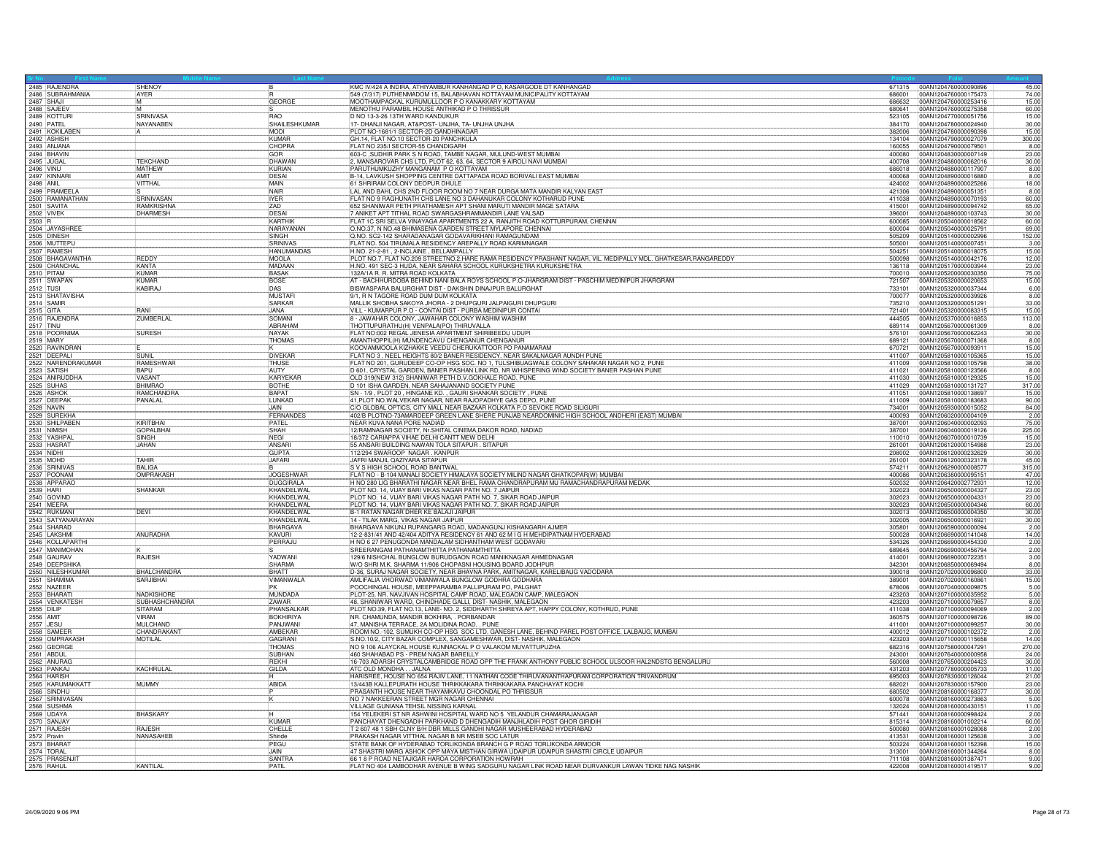| 2485 RAJENDRA<br>2486 SUBRAHMANIA | <b>SHENOY</b>                  |                              | KMC IV/424 A INDIRA, ATHIYAMBUR KANHANGAD P O, KASARGODE DT KANHANGAD                                                                                                      |                  | 671315 00AN1204760000090896<br>45.00                           |
|-----------------------------------|--------------------------------|------------------------------|----------------------------------------------------------------------------------------------------------------------------------------------------------------------------|------------------|----------------------------------------------------------------|
|                                   | <b>AYER</b>                    |                              | 549 (7/317) PUTHENMADOM 15, BALABHAVAN KOTTAYAM MUNICIPALITY KOTTAYAM                                                                                                      | 686001           | 74.00<br>00AN1204760000175473                                  |
| 2487 SHAJI                        | IM.                            | <b>GEORGE</b>                | MOOTHAMPACKAL KURUMULLOOR P O KANAKKARY KOTTAYAM                                                                                                                           | 686632           | 004N1204760000253416<br>15.00                                  |
| 2488 SAJEE\                       | M                              | <b>RAO</b>                   | MENOTHU PARAMBIL HOUSE ANTHIKAD P O THRISSUR                                                                                                                               | 680641           | 00AN1204760000275358<br>60.00                                  |
| 2489 KOTTUR                       | <b>SRINIVASA</b>               |                              | D NO 13-3-26 13TH WARD KANDUKUR<br>17- DHANJI NAGAR, AT&POST- UNJHA, TA- UNJHA UNJHA                                                                                       | 523105           | 00AN1204770000051756<br>15.00                                  |
| 2490 PATEL<br>2491 KOKILABEN      | NAYANABEN                      | SHAILESHKUMAR<br><b>MODI</b> | PLOT NO-1681/1 SECTOR-2D GANDHINAGAR                                                                                                                                       | 384170<br>382006 | 00AN1204780000024940<br>30.00<br>15.00<br>00AN1204780000090398 |
| 2492 ASHISH                       |                                | <b>KIMAR</b>                 | GH.14, FLAT NO.10 SECTOR-20 PANCHKULA                                                                                                                                      | 134104           | 00AN1204790000027079<br>300.00                                 |
| 2493 ANJANA                       |                                | CHOPRA                       | FLAT NO 235/I SECTOR-55 CHANDIGARH                                                                                                                                         | 160055           | 00AN1204790000079501<br>8.00                                   |
| 2494 BHAVIN                       |                                | GOR                          | 603-C , SUDHIR PARK S N ROAD, TAMBE NAGAR, MULUND-WEST MUMBAI                                                                                                              | 400080           | 23.00<br>00AN1204830000007149                                  |
| 2495 JUGAL                        | TEKCHAND                       | DHAWAN                       | 2, MANSAROVAR CHS LTD, PLOT 62, 63, 64, SECTOR 9 AIROLI NAVI MUMBAI                                                                                                        | 400708           | 00AN1204880000062016<br>30.00                                  |
| <b>2496 VINU</b>                  | <b>MATHFW</b>                  | KURIAN                       | PARUTHUMKUZHY MANGANAM PO KOTTAYAM                                                                                                                                         | 686018           | 100AN1204880000117907<br>8.00                                  |
| 2497 KINNAR                       | AMIT                           | DESAL                        | B-14, LAVKUSH SHOPPING CENTRE DATTAPADA ROAD BORIVALI EAST MUMBAI                                                                                                          | 400068           | 00AN1204890000016880<br>8.00                                   |
| 2498 ANIL                         | VITTHAL                        | MAIN                         | 61 SHRIRAM COLONY DEOPUR DHULE                                                                                                                                             | 424002           | 00AN1204890000025266<br>18.00                                  |
| 2499 PRAMEELA                     |                                | <b>NAIR</b>                  | LAL AND BAHL CHS 2ND FLOOR ROOM NO 7 NEAR DURGA MATA MANDIR KALYAN EAST                                                                                                    | 421306           | 00AN1204890000051351<br>8.00                                   |
| 2500 RAMANATHAN                   | SRINIVASAN                     | <b>IYER</b>                  | FLAT NO 9 RAGHUNATH CHS LANE NO 3 DAHANUKAR COLONY KOTHARUD PUNE                                                                                                           | 411038           | 00AN1204890000070193<br>60.00                                  |
|                                   | <b>RAMKRISHNA</b>              | 7AD                          | 652 SHANIWAR PETH PRATHAMESH APT SHANI MARUTI MANDIR MAGE SATARA                                                                                                           | 415001           | 65.00<br>00AN1204890000094742                                  |
| 2502 VIVEK                        | <b>DHARMESH</b>                | DESAI                        | 7 ANIKET APT TITHAL ROAD SWARGASHRAMMANDIR LANE VALSAD                                                                                                                     | 396001           | 00AN1204890000103743<br>30.00                                  |
| 2503 R                            |                                | KARTHIK                      | FLAT 1C SRI SELVA VINAYAGA APARTMENTS 22 A, RANJITH ROAD KOTTURPURAM, CHENNAI                                                                                              | 600085           | 00AN1205040000018562<br>60.00                                  |
| 2504 JAYASHREE                    |                                | NARAYANAN                    | O.NO.37, N NO.48 BHIMASENA GARDEN STREET MYLAPORE CHENNAI                                                                                                                  | 600004           | 00AN1205040000025791<br>69.00                                  |
| 2505 DINESH                       |                                | <b>SINGH</b>                 | Q.NO. SC2-142 SHARADANAGAR GODAVARIKHANI RAMAGUNDAM                                                                                                                        | 505209           | 00AN1205140000002996<br>152.00                                 |
|                                   |                                | SRINIVAS                     | FLAT NO. 504 TIRUMALA RESIDENCY AREPALLY ROAD KARIMNAGAR                                                                                                                   | 505001           | 00AN1205140000007451<br>3.00                                   |
| 2507 RAMESH                       |                                | <b>HANUMANDAS</b>            | H.NO. 21-2-81, 2-INCLAINE, BELLAMPALLY                                                                                                                                     | 504251           | 00AN1205140000018075<br>15.00                                  |
| 2508 BHAGAVANTHA                  | REDDY                          | MOOLA                        | PLOT NO.7, FLAT NO.209 STREETNO.2, HARE RAMA RESIDENCY PRASHANT NAGAR, VIL. MEDIPALLY MDL. GHATKESAR, RANGAREDDY                                                           | 500098           | 00AN1205140000042176<br>12.00                                  |
| 2509 CHANCHAL                     | KANTA                          | MADAAN                       | H.NO. 491 SEC-3 HUDA, NEAR SAHARA SCHOOL KURUKSHETRA KURUKSHETRA                                                                                                           | 136118           | 00AN1205170000003944<br>23.00                                  |
| 2510 PITAM<br>2511 SWAPAN         | KUMAR<br>KUMAR                 | <b>BASAK</b><br><b>BOSE</b>  | 132A/1A B. B. MITRA BOAD KOLKATA<br>AT - BACHHURDOBA BEHIND NANI BALA ROYS SCHOOL P.O-JHARGRAM DIST - PASCHIM MEDINIPUR JHARGRAM                                           | 700010<br>721507 | 00AN1205200000030350<br>75.00<br>15.00                         |
|                                   | <b>KABIRAJ</b>                 | DAS                          | BISWASPARA BALURGHAT DIST - DAKSHIN DINAJPUR BALURGHAT                                                                                                                     | 733101           | 00AN1205320000020653<br>00AN1205320000037344<br>6.00           |
| 2512 TUSI                         |                                | <b>MUSTAF</b>                | 9/1, R N TAGORE ROAD DUM DUM KOLKATA                                                                                                                                       | 700077           | 00AN1205320000039926<br>8.00                                   |
| 2513 SHATAVISHA<br>2514 SAMIR     |                                | SARKAR                       | MALLIK SHOBHA SAKOYA JHORA - 2 DHUPGURI JALPAIGURI DHUPGURI                                                                                                                | 735210           | 00AN1205320000051291<br>33.00                                  |
|                                   | <b>RANI</b>                    | JANA                         | VILL - KUMARPUR P.O - CONTAI DIST - PURBA MEDINIPUR CONTAI                                                                                                                 | 721401           | 00AN1205320000083315<br>15.00                                  |
| 2515 GITA<br>2516 RAJENDRA        | ZUMBERLAL                      | SOMANI                       | 8 - JAWAHAR COLONY, JAWAHAR COLONY WASHIM WASHIM                                                                                                                           | 444505           | 00AN1205370000016853<br>113.00                                 |
| 2517 TINU                         |                                | ABRAHAM                      | THOTTUPURATHU(H) VENPALA(PO) THIRUVALLA                                                                                                                                    | 689114           | 00AN1205670000061309<br>8.00                                   |
| 2518 POORNIMA                     | <b>SURESH</b>                  | NAYAK                        | FLAT NO:002 REGAL JENESIA APARTMENT SHIRIBEEDU UDUPI                                                                                                                       | 576101           | 00AN1205670000062243<br>30.00                                  |
|                                   |                                | THOMAS                       | AMANTHOPPIL(H) MUNDENCAVU CHENGANUR CHENGANUR                                                                                                                              | 689121           | 00AN1205670000071368<br>8.00                                   |
| 2520 RAVINDRAN<br>2521 DEEPALI    |                                |                              | KOOVAMMOOLA KIZHAKKE VEEDU CHERUKATTOOR PO PANAMARAM                                                                                                                       | 670721           | 00AN1205670000093911<br>15.00                                  |
|                                   | SUNIL                          | DIVEKAR                      | FLAT NO 3, NEEL HEIGHTS 80/2 BANER RESIDENCY, NEAR SAKALNAGAR AUNDH PUNE                                                                                                   | 411007           | 15.00<br>00AN1205810000105365                                  |
| 2522 NARENDRAKUMAR                | <b>RAMESHWAR</b>               | THUSE                        | FLAT NO 201, GURUDEEP CO-OP HSG SOC. NO 1, TULSHIBUAGWALE COLONY SAHAKAR NAGAR NO 2, PUNE                                                                                  | 411009           | 00AN1205810000105798<br>38.00                                  |
| 2523 SATISH<br>2524 ANIRUDDHA     | <b>BAPU</b>                    | AUTY                         | D 601, CRYSTAL GARDEN, BANER PASHAN LINK RD, NR WHISPERING WIND SOCIETY BANER PASHAN PUNE                                                                                  | 411021           | 00AN1205810000123566<br>8.00                                   |
|                                   | <b>VASANT</b>                  | KARYEKAR                     | OLD 319(NEW 312) SHANWAR PETH D.V.GOKHALE ROAD, PUNE                                                                                                                       | 411030           | 15.00<br>00AN1205810000129325                                  |
| 2525 SUHAS                        | <b>RHIMRAO</b>                 | <b>ROTHE</b>                 | D 101 ISHA GARDEN, NEAR SAHAJANAND SOCIETY PUNE                                                                                                                            | 411029           | 317.00<br>00AN1205810000131727                                 |
|                                   | RAMCHANDRA                     | <b>BAPAT</b>                 | SN - 1/9, PLOT 20, HINGANE KD., GAURI SHANKAR SOCIETY, PUNE                                                                                                                | 411051           | 00AN1205810000138697<br>15.00                                  |
| 2527 DEEPAK                       | PANALAL                        | LUNKAD                       | 41, PLOT NO.WALVEKAR NAGAR, NEAR RAJOPADHYE GAS DEPO, PUNE                                                                                                                 | 411009           | 00AN1205810000183683<br>90.00                                  |
| 2528 NAVIN<br>2529 SUREKHA        |                                | <b>JAIN</b><br>FERNANDES     | C/O GLOBAL OPTICS, CITY MALL NEAR BAZAAR KOLKATA P.O SEVOKE ROAD SILIGURI<br>402/B PLOTNO-73AMARDEEP GREEN LANE SHERE PUNJAB NEARDOMINIC HIGH SCHOOL ANDHERI (EAST) MUMBAI | 734001<br>400093 | 00AN1205930000015052<br>84.00<br>2.00<br>00AN1206020000004109  |
|                                   | KIRITRHAI                      | PATFI                        | NEAR KUVA NANA PORE NADIAD                                                                                                                                                 | 387001           | 75.00<br>00AN1206040000002093                                  |
| 2530 SHILPABEN<br>2531 NIMISH     | <b>GOPALBHAI</b>               | <b>SHAH</b>                  | 12/RAMNAGAR SOCIETY, Nr.SHITAL CINEMA, DAKOR ROAD, NADIAD                                                                                                                  | 387001           | 00AN1206040000019126<br>225.00                                 |
| 2532 YASHPAI                      | SINGH                          | <b>NFGI</b>                  | 18/372 CARIAPPA VIHAE DELHI CANTT MEW DELHI                                                                                                                                | 110010           | 00AN1206070000010739<br>15.00                                  |
|                                   | JAHAN                          | ANSAR                        | 55 ANSARI BUILDING NAWAN TOLA SITAPUR. SITAPUR                                                                                                                             | 261001           | 23.00<br>00AN1206120000154988                                  |
| 2533 HASRAT<br>2534 NIDHI         |                                | <b>GUPTA</b>                 | 112/294 SWAROOP NAGAR KANPUR                                                                                                                                               | 208002           | I00AN1206120000232629<br>30.00                                 |
|                                   | TAHIR                          | JAFARI                       | JAFRI MANJIL QAZIYARA SITAPUR                                                                                                                                              | 261001           | 00AN1206120000323178<br>45.00                                  |
| 2535 MOHD<br>2536 SRINIVAS        | BALIGA                         |                              | S V S HIGH SCHOOL ROAD BANTWAL                                                                                                                                             | 574211           | 315.00<br>00AN1206290000008577                                 |
| 2537 POONAM                       | <b>OMPRAKASH</b>               | <b>JOGESHWAR</b>             | FLAT NO - B-104 MANALI SOCIETY HIMALAYA SOCIETY MILIND NAGAR GHATKOPAR(W) MUMBAI                                                                                           | 400086           | 00AN1206380000095151<br>47.00                                  |
| 2538 APPARAO                      |                                | <b>DUGGIRALA</b>             | H NO 280 LIG BHARATHI NAGAR NEAR BHEL RAMA CHANDRAPURAM MU RAMACHANDRAPURAM MEDAK                                                                                          | 502032           | 00AN1206420002772931<br>12.00                                  |
|                                   | SHANKAR                        | <b>KHANDFI WAI</b>           | PLOT NO. 14, VIJAY BARI VIKAS NAGAR PATH NO. 7 JAIPUR                                                                                                                      | 302023           | 23.00<br>00AN1206500000004327                                  |
| 2540 GOVIND<br>2541 MEERA         |                                | KHANDELWAL                   | PLOT NO. 14, VIJAY BARI VIKAS NAGAR PATH NO. 7, SIKAR ROAD JAIPUR                                                                                                          | 302023           | 00AN1206500000004331<br>23.00                                  |
|                                   |                                | KHANDELWA                    | PLOT NO. 14, VIJAY BARI VIKAS NAGAR PATH NO. 7, SIKAR ROAD JAIPUR                                                                                                          | 302023           | 00AN1206500000004346<br>60.00                                  |
| 2542 RUKMAN                       | <b>DEVI</b>                    | KHANDELWAL                   | B-1 RATAN NAGAR DHER KE BALAJI JAIPUR                                                                                                                                      | 302013           | 30.00<br>00AN1206500000004350                                  |
| 2543 SATYANARAYAN<br>2544 SHARAD  |                                | KHANDEL WAL                  | 14 - TILAK MARG, VIKAS NAGAR JAIPUR<br>BHARGAVA NIKUNJ RUPANGARG ROAD, MADANGUNJ KISHANGARH AJMER                                                                          | 302005           | 00AN1206500000016921<br>30.00                                  |
|                                   |                                | BHARGAVA                     |                                                                                                                                                                            | 305801           | 00AN1206590000000094<br>2.00                                   |
| 2545 LAKSHMI<br>2546 KOLLAPARTH   | ANURADHA                       | KAVURI<br>PERRAJU            | 12-2-831/41 AND 42/404 ADITYA RESIDENCY 61 AND 62 M I G H MEHDIPATNAM HYDERABAD<br>H NO 6 27 PENUGONDA MANDALAM SIDHANTHAM WEST GODAVARI                                   | 500028<br>534326 | 00AN1206690000141048<br>14.00<br>2.00<br>00AN1206690000454330  |
| 2547 MANIMOHAN                    |                                |                              | SREERANGAM PATHANAMTHITTA PATHANAMTHITTA                                                                                                                                   | 689645           | 00AN1206690000456794<br>2.00                                   |
|                                   | <b>RAJFSH</b>                  | YADWANI                      | 129/6 NISHCHAL BUNGLOW BURUDGAON ROAD MANIKNAGAR AHMEDNAGAR                                                                                                                | 414001           | 00AN1206690000722351<br>3.00                                   |
| 2548 GAURAV<br>2549 DEEPSHIKA     |                                | <b>SHARMA</b>                | W/O SHRI M.K. SHARMA 11/906 CHOPASNI HOUSING BOARD JODHPUR                                                                                                                 | 342301           | 00AN1206850000069494<br>8.00                                   |
|                                   | BHALCHANDRA                    | <b>BHATT</b>                 | D-36, SURAJ NAGAR SOCIETY, NEAR BHAVNA PARK, AMITNAGAR, KARELIBAUG VADODARA                                                                                                | 390018           | 00AN1207020000096800<br>33.00                                  |
| 2550 NILESHKUMAR<br>2551 SHAMIMA  | SARJIBHAI                      | VIMANWALA                    | AMLIFALIA VHORWAD VIMANWALA BUNGLOW GODHRA GODHARA                                                                                                                         | 389001           | 15.00<br>00AN1207020000160861                                  |
| 2552 NAZEER                       |                                | iPK.                         | POOCHINGAL HOUSE, MEEPPARAMBA PALLIPURAM PO, PALGHAT                                                                                                                       | 678006           | 5.00<br>00AN1207040000009875                                   |
| 2553 BHARATI<br>2554 VENKATESH    | NADKISHORE                     | MUNDADA                      | PLOT-25, NR. NAVJIVAN HOSPITAL CAMP ROAD, MALEGAON CAMP, MALEGAON                                                                                                          | 423203           | 00AN1207100000035952<br>5.00                                   |
|                                   | <b>SUBHASHCHANDRA</b>          | ZAWAR                        | 48, SHANIWAR WARD, CHINDHADE GALLI, DIST- NASHIK, MALEGAON                                                                                                                 | 423203           | 00AN1207100000079857<br>8.00                                   |
| 2555 DILIP                        | <b>SITARAM</b>                 | PHANSALKAR                   | PLOT NO.39, FLAT NO.13, LANE- NO. 2, SIDDHARTH SHREYA APT, HAPPY COLONY, KOTHRUD, PUNE                                                                                     | 411038           | 00AN1207100000094069<br>2.00                                   |
| 2556 AMIT                         | <b>VIRAM</b>                   | <b>BOKHIRIYA</b>             | NR. CHAMUNDA, MANDIR BOKHIRA, . PORBANDAR                                                                                                                                  | 360575           | 00AN1207100000098726<br>89.00                                  |
| 2557 JESU                         | MUI CHAND<br><b>CHANDRAKAN</b> | PAN.IWAN<br>AMRFKAR          | 47, MANISHA TERRACE, 2A MOLIDINA ROAD, . PUNE                                                                                                                              | 411001<br>400012 | 00AN1207100000099257<br>30.00<br>00AN1207100000102372<br>2.00  |
| 2558 SAMEEF<br>2559 OMPRAKASH     | MOTILAL                        | <b>GAGRAN</b>                | ROOM NO.-102, SUMUKH CO-OP HSG SOC LTD, GANESH LANE, BEHIND PAREL POST OFFICE, LALBAUG, MUMBAI<br>S.NO.10/2, CITY BAZAR COMPLEX, SANGAMESHWAR, DIST- NASHIK, MALEGAON      | 423203           | 00AN1207100000115658<br>14.00                                  |
| 2560 GEORGE                       |                                | <b>THOMAS</b>                | NO 9 106 ALAYCKAL HOUSE KUNNACKAL P O VALAKOM MUVATTUPUZHA                                                                                                                 | 682316           | 00AN1207580000047291<br>270.00                                 |
| 2561 ABDUL                        |                                | SUBHAN                       | 460 SHAHABAD PS - PREM NAGAR BAREILLY                                                                                                                                      | 243001           | 00AN1207640000000958<br>24.00                                  |
| 2562 ANURAG                       |                                | RFKHI                        | 16-703 ADARSH CRYSTALCAMBRIDGE ROAD OPP THE FRANK ANTHONY PUBLIC SCHOOL ULSOOR HAL2NDSTG BENGALURU                                                                         | 560008           | 00AN1207650000204423<br>30.00                                  |
| 2563 PANKAJ                       | <b>KACHRULA</b>                | <b>GII DA</b>                | ATC OLD MONDHA  JAI NA                                                                                                                                                     | 431203           | 00AN1207780000005733<br>11.00                                  |
| 2564 HARISH                       |                                |                              | HARISREE, HOUSE NO 654 RAJIV LANE, 11 NATHAN CODE THIRUVANANTHAPURAM CORPORATION TRIVANDRUM                                                                                | 695003           | 00AN1207830000126044<br>21.00                                  |
| 2565 KARUMAKKATT                  | <b>MUMMY</b>                   | ABIDA                        | 13/443B KALLEPURATH HOUSE THRIKKAKARA THRIKKAKARA PANCHAYAT KOCHI                                                                                                          | 682021           | 00AN1207830000157900<br>23.00                                  |
|                                   |                                |                              | PRASANTH HOUSE NEAR THAYAMKAVU CHOONDAL PO THRISSUR                                                                                                                        | 680502           | 30.00<br>00AN1208160000168377                                  |
| 2567 SRINIVASAN                   |                                |                              | NO 7 NAKKEERAN STREET MGR NAGAR CHENNAI                                                                                                                                    | 600078           | 5.00<br>00AN1208160000273863                                   |
| 2568 SUSHMA                       |                                |                              | VILLAGE GUNIANA TEHSIL NISSING KARNAL                                                                                                                                      | 132024           | 00AN1208160000430151<br>11.00                                  |
| 2569 UDAYA                        | <b>BHASKARY</b>                |                              | 154 YELEKERI ST NR ASHWINI HOSPITAL WARD NO 5 YELANDUR CHAMARAJANAGAR                                                                                                      | 571441           | 2.00<br>00AN1208160000998424                                   |
| 2570 SANJAY<br>2571 RAJESH        | <b>RAJFSH</b>                  | KUMAR                        | PANCHAYAT DHENGADIH PARKHAND D DHENGADIH MANJHLADIH POST GHOR GIRIDIH                                                                                                      | 815314           | 00AN1208160001002214<br>60.00                                  |
|                                   |                                | CHELLE                       | T 2 607 48 1 SBH CLNY B/H DBR MILLS GANDHI NAGAR MUSHEERABAD HYDERABAD                                                                                                     | 500080           | 2.00<br>00AN1208160001028068                                   |
| 2572 Pravin                       | NANASAHEE                      | Shinde<br>PEGU               | PRAKASH NAGAR VITTHAL NAGAR B NR MSEB SOC LATUR                                                                                                                            | 413531           | 00AN1208160001125638<br>3.00                                   |
| 2573 BHARA<br>2574 TORAL          |                                | <b>JAIN</b>                  | STATE BANK OF HYDERABAD TORLIKONDA BRANCH G P ROAD TORLIKONDA ARMOOR<br>47 SHASTRI MARG ASHOK OPP MAYA MISTHAN GIRWA UDAIPUR UDAIPUR SHASTRI CIRCLE UDAIPUR                | 503224<br>313001 | 00AN1208160001152398<br>15.00<br>8.00<br>00AN1208160001344264  |
|                                   |                                | SANTRA                       | 66 1 8 P ROAD NETAJIGAR HAROA CORPORATION HOWRAH                                                                                                                           | 711108           | 00AN1208160001387471<br>9.00                                   |
| 2575 PRASENJIT<br>2576 RAHUL      | KANTILAL                       | PATIL                        | FLAT NO 404 LAMBODHAR AVENUE B WING SADGURU NAGAR LINK ROAD NEAR DURVANKUR LAWAN TIDKE NAG NASHIK                                                                          | 422008           | 00AN1208160001419517<br>9.00                                   |
|                                   |                                |                              |                                                                                                                                                                            |                  |                                                                |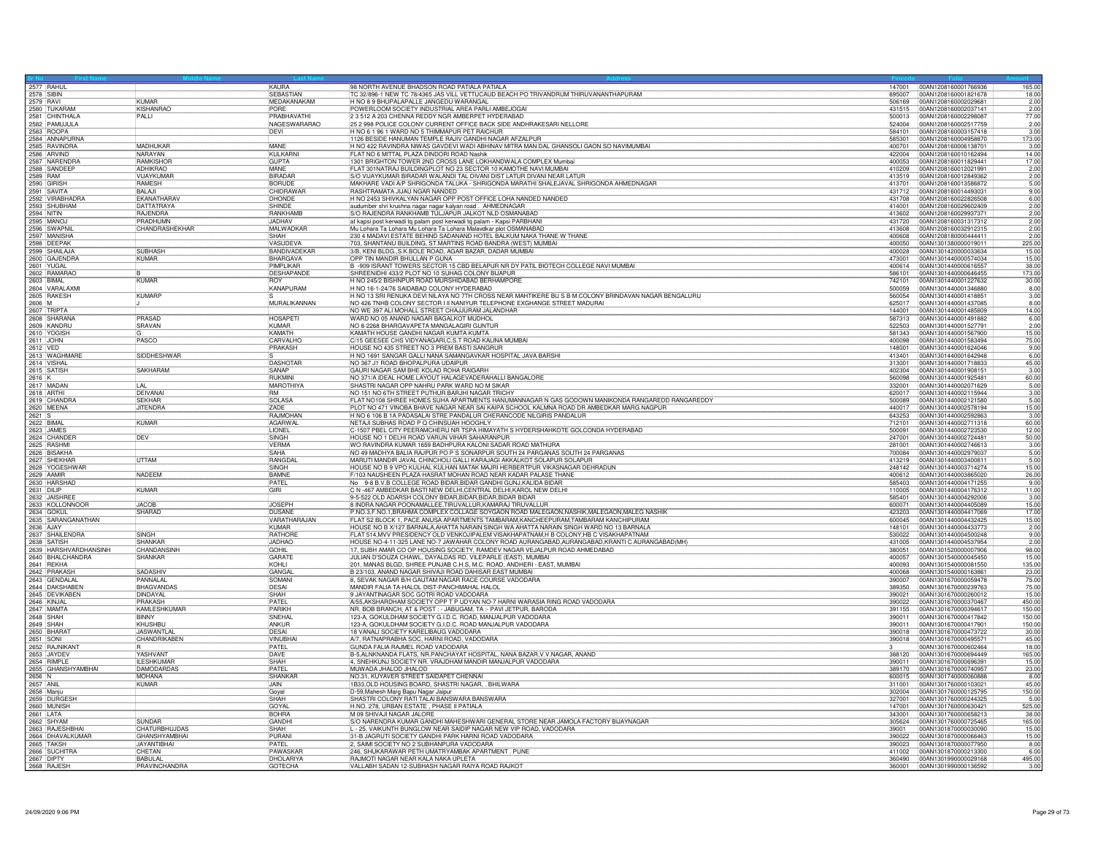| 2577 RAHUL<br>2578 SIBIN         |                                | KAURA                              | 98 NORTH AVENUE BHADSON ROAD PATIALA PATIALA                                                                                                                     |                  | 147001 00AN1208160001766936                         | 165.00               |
|----------------------------------|--------------------------------|------------------------------------|------------------------------------------------------------------------------------------------------------------------------------------------------------------|------------------|-----------------------------------------------------|----------------------|
|                                  |                                | <b>SEBASTIAN</b>                   | C 32/896-1 NEW TC 78/4365 JAS VILL VETTUCAUD BEACH PO TRIVANDRUM THIRUVANANTHAPURAM                                                                              | 695007           | 00AN1208160001821678                                | 18.00                |
| 2579 RAVI                        | <b>KUMAR</b>                   | MFDAKANAKAM                        | H NO 8.9 BHUPALAPALLE JANGEDU WARANGAL                                                                                                                           | 506169           | 00AN1208160002029681                                | 2.00                 |
| 2580 TUKARAM<br>2581 CHINTHALA   | <b>KISHANRAC</b>               | PORF                               | POWERLOOM SOCIETY INDUSTRIAL AREA PARLLAMBEJOGAL                                                                                                                 | 431515           | 00AN1208160002037141                                | $\frac{2.00}{77.00}$ |
| 2582 PAMUJULA                    | PALLI                          | <b>PRABHAVATHI</b><br>NAGESWARARAO | 2 3 512 A 203 CHENNA REDDY NGR AMBERPET HYDERABAD<br>25 2 998 POLICE COLONY CURRENT OFFICE BACK SIDE ANDHRAKESARI NELLORE                                        | 500013           | 00AN1208160002298087<br>524004 00AN1208160002517759 |                      |
| 2583 ROOPA                       |                                | DEVI                               | H NO 6 1 96 1 WARD NO 5 THIMMAPUR PET RAICHUR                                                                                                                    | 584101           | 00AN1208160003157418                                | 2.00<br>3.00         |
| 2584 ANNAPURNA                   |                                |                                    | 1126 BESIDE HANUMAN TEMPLE RAJIV GANDHI NAGAR AFZALPUR                                                                                                           | 585301           | 00AN1208160004958870                                | 173.00               |
|                                  | <b>MADHLIKAF</b>               | MANE                               | H NO 422 RAVINDRA NIWAS GAVDEVI WADI ABHINAV MITRA MAN DAL GHANSOLI GAON SO NAVIMUMBAI                                                                           | 400701           | 00AN1208160006138701                                | 3.00                 |
| 2585 RAVINDRA<br>2586 ARVIND     | NARAYAN                        | KULKARN                            | FLAT NO 6 MITTAL PLAZA DINDORI ROAD Nashik                                                                                                                       | 422004           | 00AN1208160010162494                                | 14.00                |
|                                  | <b>RAMKISHOF</b>               | <b>GUPTA</b>                       | 1301 BRIGHTON TOWER 2ND CROSS LANE LOKHANDWALA COMPLEX Mumbai                                                                                                    |                  | 400053 00AN1208160011829441                         | 17.00                |
| 2587 NARENDRA<br>2588 SANDEEP    | ADHIKRAO                       | MANF                               | FLAT 301NATRAJ BUILDINGPLOT NO 23 SECTOR 10 KAMOTHE NAVI MUMBAI                                                                                                  | 410209           | 00AN1208160012021991                                | 2.00                 |
| 2589 RAM                         | <b>VI.IAYKUMAF</b>             | <b>BIRADAR</b>                     | S/O VIJAYKUMAR BIRADAR WALANDI TAL DIVANI DIST LATUR DIVANI NEAR LATUR                                                                                           | 413519           | 00AN1208160012849362                                | 2.00                 |
|                                  | <b>RAMESH</b>                  | <b>BORUDE</b>                      | MAKHARE VADI A/P SHRIGONDA TALUKA - SHRIGONDA MARATHI SHALEJAVAL SHRIGONDA AHMEDNAGAR                                                                            | 413701           | 00AN1208160013586872                                | 5.00                 |
| 2590 GIRISH                      | <b>BALAJI</b>                  | CHIDRAWAF                          | RASHTRAMATA JIJAU NGAR NANDED                                                                                                                                    | 431712           | 00AN1208160014493031                                | 9.00                 |
| 2592 VIRABHADRA<br>2593 SHUBHAM  | EKANATHARAV                    | DHONDE                             | H NO 2453 SHIVKALYAN NAGAR OPP POST OFFICE LOHA NANDED NANDED                                                                                                    | 431708           | 00AN1208160022826508                                | 6.00                 |
|                                  | <b>DATTATRAYA</b>              | SHINDE                             | audumber shri krushna nagar nagar kalyan road. AHMEDNAGAR                                                                                                        | 414001           | 00AN1208160029602409                                | 2.00                 |
| 2594 NITIN                       | RAJENDRA                       | <b>RANKHAMP</b>                    | S/O RAJENDRA RANKHAMB TULJAPUR JALKOT NLD OSMANABAD                                                                                                              | 413602           | 00AN1208160029937371                                | 2.00                 |
| 2595 MANOJ<br>2596 SWAPNIL       | PRADHUMN                       | JADHAV                             | at kapsi post kerwadi tq palam post kerwadi tq palam - Kapsi PARBHANI                                                                                            |                  | 431720 00AN1208160031317312                         | 2.00                 |
|                                  | CHANDRASHEKHAR                 | MALWADKAR                          | Mu Lohara Ta Lohara Mu Lohara Ta Lohara Malavdkar plot OSMANABAD                                                                                                 | 413608           | 00AN1208160032912315                                | 2.00                 |
| 2597 MANISHA<br>2598 DEEPAK      |                                | SHAH                               | 230 4 MADAVI ESTATE BEHIND SADANAND HOTEL BALKUM NAKA THANE W THANE                                                                                              | 400608           | 00AN1208180000444411                                | 2.00                 |
|                                  |                                | VASUDEVA                           | 703, SHANTANU BUILDING, ST.MARTINS ROAD BANDRA (WEST) MUMBAI                                                                                                     | 400050           | 00AN1301380000019011                                | 225.00               |
| 2599 SHAILAJA                    | SUBHASH                        | BANDIVADEKAF                       | 3/B, KENI BLDG., S.K.BOLE ROAD, AGAR BAZAR, DADAR MUMBAI                                                                                                         | 400028           | 00AN1301420000033634                                | 15.00                |
| 2600 GAJENDRA                    | KUMAR                          | BHARGAVA                           | OPP TIN MANDIR BHULLAN P GUNA                                                                                                                                    | 473001           | 00AN1301440000574034                                | 15.00                |
| 2601 YUGAL                       |                                | PIMPLIKAF                          | B -909 ISRANT TOWERS SECTOR 15 CBD BELAPUR NR DY PATIL BIOTECH COLLEGE NAVI MUMBAI                                                                               | 400614           | 00AN1301440000616557                                | 38.00                |
| 2602 RAMARAO                     | KUMAR                          | DESHAPANDE<br><b>ROY</b>           | SHREENIDHI 433/2 PLOT NO 10 SUHAG COLONY BIJAPUR<br>H NO 245/2 BISHNPUR BOAD MURSHIDARAD BERHAMPORE                                                              | 586101           | 00AN1301440000646455                                | 173.00<br>30.00      |
|                                  |                                |                                    |                                                                                                                                                                  | 500059           | 742101  00AN1301440001227632                        |                      |
| 2604 VARALAXMI                   | <b>KUMARP</b>                  | <b>KANAPURAM</b>                   | H NO 16-1-24/76 SAIDABAD COLONY HYDERABAD<br>H NO 13 SRI RENUKA DEVI NILAYA NO 7TH CROSS NEAR MAHTIKERE BU S B M COLONY BRINDAVAN NAGAR BENGALURU                | 560054           | 00AN1301440001346880<br>00AN1301440001418851        | 8.00<br>3.00         |
| 2605 RAKESH<br>2606 M            |                                | MURALIKANNAN                       | NO 426 TNHB COLONY SECTOR I II NANIYUR TELEPHONE EXGHANGE STREET MADURAL                                                                                         | 625017           | 00AN1301440001437085                                | 8.00                 |
| 2607 TRIPTA                      |                                |                                    | NO WE 397 ALI MOHALL STREET CHAJJURAM JALANDHAR                                                                                                                  | 144001           | 00AN1301440001485809                                | 14.00                |
| 2608 SHARANA                     | PRASAD                         | <b>HOSAPETI</b>                    | WARD NO 05 ANAND NAGAR BAGALKOT MUDHOL                                                                                                                           |                  |                                                     | 6.00                 |
| 2609 KANDRU                      | SRAVAN                         | KUMAR                              | NO 8-2268 BHARGAVAPETA MANGALAGIRI GUNTUR                                                                                                                        | 522503           | 00AN1301440001527791                                | 2.00                 |
|                                  |                                | <b>KAMATH</b>                      | KAMATH HOUSE GANDHI NAGAR KUMTA KUMTA                                                                                                                            |                  | 581343 00AN1301440001567900                         | 15.00                |
| 2610 YOGISH                      | PASCO                          | CARVALHO                           | C/15 GEESEE CHS VIDYANAGARI,C.S.T ROAD KALINA MUMBAI                                                                                                             | 400098           | 00AN1301440001583494                                | 75.00                |
| 2612 VED<br>2613 WAGHMARE        |                                | PRAKASH                            | HOUSE NO 435 STREET NO 3 PREM BASTI SANGRUR                                                                                                                      | 148001           | 00AN1301440001624046                                | 9.00                 |
|                                  | SIDDHESHWAR                    |                                    | H NO 1691 SANGAR GALLI NANA SAMANGAVKAR HOSPITAL JAVA BARSHI                                                                                                     | 413401           | 00AN1301440001642948                                | 6.00                 |
| 2614 VISHA                       |                                | <b>DASHOTAR</b>                    | NO 367 J1 ROAD BHOPALPURA UDAIPUR                                                                                                                                | 313001           | 00AN1301440001718833                                | 45.00                |
| 2615 SATISH                      | <b>SAKHARAM</b>                | SANAP                              | GAURI NAGAR SAM BHE KOLAD ROHA RAIGARH                                                                                                                           |                  | 402304 00AN1301440001908151                         | 3.00                 |
|                                  |                                | RUKMINI                            | NO 371/A IDEAL HOME LAYOUT HALAGEVADERAHALLI BANGALORE                                                                                                           | 560098           | 00AN1301440001925481                                | 60.00                |
| 2617 MADAN                       | $\parallel$ Al                 | <b>MAROTHIYA</b>                   | SHASTRI NAGAR OPP NAHRI I PARK WARD NO M SIKAR                                                                                                                   | 332001           | 00AN1301440002071629                                | 5.00                 |
| 2618 ARTHI                       | <b>IDFIVANA</b>                | <b>RM</b>                          | NO 151 NO 6TH STREET PUTHUR BARJHI NAGAR TRICHY                                                                                                                  | 620017           | 00AN1301440002115944                                | 3.00                 |
| 2619 CHANDRA                     | <b>SEKHAF</b>                  | <b>SOLASA</b>                      | FLAT NO108 SHREE HOMES SUHA APARTMENTS HANUMANNAGAR N GAS GODOWN MANIKONDA RANGAREDD RANGAREDDY                                                                  | 500089           | 00AN1301440002121580                                | 5.00                 |
| 2620 MEENA                       | <b>JITENDRA</b>                | ZADE<br>RAJMOHAN                   | PLOT NO 471 VINOBA BHAVE NAGAR NEAR SAI KAIPA SCHOOL KALMNA ROAD DR AMBEDKAR MARG NAGPUR<br>H NO 6 106 B 1A PADASALAI STRE PANDALUR CHERANCODE NILGIRIS PANDALUR | 440017           | 00AN1301440002578194                                | 15.00                |
|                                  |                                |                                    |                                                                                                                                                                  | 643253<br>712101 | 00AN1301440002592863<br>00AN1301440002711318        | 3.00                 |
| 2622 BIMAL<br>2623 JAMES         | KUMAR                          | AGARWAL<br><b>LIONEL</b>           | NETAJI SUBHAS ROAD P Q CHINSUAH HOOGHLY<br>C-1507 PBEL CITY PEERAMCHERU NR TSPA HIMAYATH S HYDERSHAHKOTE GOLCONDA HYDERABAD                                      |                  |                                                     | 60.00                |
| 2624 CHANDER                     | DEV                            | SINGH                              | HOUSE NO 1 DELHI ROAD VARUN VIHAR SAHARANPUR                                                                                                                     | 500091<br>247001 | 00AN1301440002723530<br>00AN1301440002724481        | 12.00<br>50.00       |
|                                  |                                | <b>VERMA</b>                       | WO RAVINDRA KUMAR 1659 BADHPURA KALONI SADAR ROAD MATHURA                                                                                                        | 281001           | 00AN1301440002746613                                | 3.00                 |
| 2625 RASHMI<br>2626 BISAKHA      |                                | <b>SAHA</b>                        | NO 49 MADHYA BALIA RAJPUR PO P S SONARPUR SOUTH 24 PARGANAS SOUTH 24 PARGANAS                                                                                    | 700084           | 100AN1301440002979037                               | 5.00                 |
|                                  | UTTAM                          | RANGDAL                            | MARUTI MANDIR JAVAL CHINCHOLI GALLI KARAJAGI AKKALKOT SOLAPUR SOLAPUR                                                                                            | 413219           | 00AN1301440003400811                                | 5.00                 |
| 2627 SHEKHAR<br>2628 YOGESHWAR   |                                | <b>SINGH</b>                       | HOUSE NO B 9 VPO KULHAL KULHAN MATAK MAJRI HERBERTPUR VIKASNAGAR DEHRADUN                                                                                        |                  |                                                     | 15.00                |
| 2629 AAMIR                       | <b>NADEEM</b>                  | <b>BAMNE</b>                       | F/103 NAUSHEEN PLAZA HASRAT MOHAN ROAD NEAR KADAR PALASE THANE                                                                                                   | 400612           | 00AN1301440003865020                                | 26.00                |
|                                  |                                | PATEL                              | No 9-8 B.V.B COLLEGE ROAD BIDAR, BIDAR GANDHI GUNJ, KALIDA BIDAR                                                                                                 | 585403           | 00AN1301440004171255                                | 9.00                 |
| 2630 HARSHAD                     | KUMAR                          | <b>GIRI</b>                        | C N -467 AMBEDKAR BASTI NEW DELHI, CENTRAL DELHI, KAROL NEW DELHI                                                                                                |                  | 110005  00AN1301440004176312                        | 11.00                |
|                                  |                                |                                    | 9-5-522 OLD ADARSH COLONY BIDAR, BIDAR, BIDAR, BIDAR BIDAR                                                                                                       | 585401           | 00AN1301440004292006                                | 3.00                 |
| 2632 JAISHREE<br>2633 KOLLONNOOR | <b>JACOB</b>                   | <b>JOSEPH</b>                      | 8 INDRA NAGAR POONAMALLEE, TIRUVALLUR, KAMARAJ TIRUVALLUR                                                                                                        | 600071           | 00AN1301440004405089                                | 15.00                |
| 2634 GOKUI                       | SHARAD                         | <b>DUSANE</b>                      | P.NO.3,F.NO.1,BRAHMA COMPLEX COLLAGE SOYGAON ROAD MALEGAON,NASHIK,MALEGAON,MALEG NASHIK                                                                          | 423203           | 00AN1301440004417069                                | 17.00                |
| 2635 SARANGANATHAN               |                                | VARATHARAJAN                       | FLAT S2 BLOCK 1, PACE ANUSA APARTMENTS TAMBARAM.KANCHEEPURAM.TAMBARAM KANCHIPURAM                                                                                | 600045           | 00AN1301440004432425                                | 15.00                |
|                                  |                                | KUMAR                              | HOUSE NO B X/127 BARNALA, AHATTA NARAIN SINGH WA AHATTA NARAIN SINGH WARD NO 13 BARNALA                                                                          | 148101           | 00AN1301440004433773                                | 2.00                 |
| 2637 SHAILENDRA                  | SINGH                          | RATHORE                            | FLAT 514, MVV PRESIDENCY OLD VENKOJIPALEM VISAKHAPATNAM, H B COLONY, HB C VISAKHAPATNAM                                                                          | 530022           | 00AN1301440004500248                                | 9.00                 |
| 2638 SATISH                      | SHANKAR                        | <b>JADHAO</b>                      | HOUSE NO-4-11-325 LANE NO-7 JAWAHAR COLONY ROAD AURANGABAD, AURANGABAD, KRANTI C AURANGABAD (MH)                                                                 | 431005           | 00AN1301440004537954                                | 2.00                 |
| 2639 HARSHVARDHANSINH            | CHANDANSINH                    | GOHIL                              | 17. SUBH AMAR CO OP HOUSING SOCIETY. RAMDEV NAGAR VEJALPUR ROAD AHMEDABAD                                                                                        | 380051           | 00AN1301520000007906                                | 98.00                |
| 2640 BHALCHANDRA                 | <b>SHANKAR</b>                 | GARATE<br>KOHI I                   | JULIAN D'SOUZA CHAWL, DAYALDAS RD, VILEPARLE (EAST), MUMBAI                                                                                                      | 400057<br>400093 | 00AN1301540000045450                                | 15.00                |
| 2641 REKHA<br>2642 PRAKASH       | <b>SADASHIV</b>                | GANGA                              | 201, MANAS BLGD, SHREE PUNJAB C.H.S, M.C. ROAD, ANDHERI - EAST, MUMBAI<br>B 23/103, ANAND NAGAR SHIVAJI ROAD DAHISAR EAST MUMBAI                                 | 400068           | 00AN1301540000081550<br>00AN1301540000163861        | 135.00               |
| 2643 GENDALAL                    | PANNAL AL                      | SOMAN                              | 8, SEVAK NAGAR B/H GAUTAM NAGAR RACE COURSE VADODARA                                                                                                             | 390007           | 00AN1301670000059478                                | 23.00<br>75.00       |
| 2644 DAKSHABEN                   | <b>BHAGVANDAS</b>              | DESAL                              | MANDIR FALIA TA-HALOL DIST-PANCHMAHAL HALOL                                                                                                                      | 389350           | 00AN1301670000239763                                | 75.00                |
|                                  | DINDAYAL                       | <b>SHAH</b>                        | 9 JAYANTINAGAR SOC GOTRI ROAD VADODARA                                                                                                                           | 390021           | 00AN1301670000260012                                | 15.00                |
| 2645 DEVIKABEN<br>2646 KINJAL    | <b>PRAKASH</b>                 | PATFL                              | A/55, AKSHARDHAM SOCIETY OPP T P UDYAN NO-7 HARNI WARASIA RING ROAD VADODARA                                                                                     | 390022           | 00AN1301670000370467                                | 450.00               |
|                                  | KAMLESHKUMAR                   | PARIKH                             | NR, BOB BRANCH, AT & POST : - JABUGAM, TA :- PAVI JETPUR, BARODA                                                                                                 | 391155           | 00AN1301670000394617                                | 150.00               |
| 2647 MAMTA                       | <b>BINNY</b>                   | SNEHAL                             | 123-A, GOKULDHAM SOCIETY G.I.D.C. ROAD, MANJALPUR VADODARA                                                                                                       | 390011           | 00AN1301670000417842                                | 150.00               |
| 2649 SHAH                        | KHUSHBL                        | ANKUR                              | 123-A, GOKULDHAM SOCIETY G.I.D.C. ROAD MANJALPUR VADODARA                                                                                                        | 390011           | 00AN1301670000417901                                | 150.00               |
| 2650 BHARA                       | <b>JASWANTLA</b>               | <b>DESAI</b>                       | 18 VANALI SOCIETY KARELIBAUG VADODARA                                                                                                                            | 390018           | 00AN1301670000473722                                | 30.00                |
| 2651 SONI                        | CHANDRIKABEN                   | <b>VINUBHAI</b>                    | A/7, RATNAPRABHA SOC, HARNI ROAD, VADODARA                                                                                                                       |                  |                                                     | 45.00                |
| 2652 RAJNIKANT                   |                                | PATEL                              | GUNDA FALIA RAJMEL ROAD VADODARA                                                                                                                                 |                  | 00AN1301670000602464                                | 18.00                |
| 2653 JAYDEV                      | YASHVANT                       | DAVE                               | B-5, ALNKNANDA FLATS, NR. PANCHAYAT HOSPITAL, NANA BAZAR, V. V. NAGAR, ANAND                                                                                     | 388120           | 00AN1301670000694449                                | 165.00               |
| 2654 RIMPLE                      | <b>II ESHKLIMAR</b>            | SHAH                               | 4, SNEHKUNJ SOCIETY NR. VRAJDHAM MANDIR MANJALPUR VADODARA                                                                                                       | 390011           | 00AN1301670000696391                                | 15.00                |
| 2655 GHANSHYAMBHAI               | <b>DAMODARDAS</b>              | PATEL                              | MUWADA JHALOD JHALOD                                                                                                                                             | 389170           | 00AN1301670000740957                                | 23.00                |
| $2656$ N                         | MOHANA<br><b>KUMAR</b>         | SHANKAR<br>JAIN                    | NO.31, KUYAVER STREET SAIDAPET CHENNAI<br>1B33, OLD HOUSING BOARD, SHASTRI NAGAR, . BHILWARA                                                                     | 311001           | 600015 00AN1301740000060888<br>00AN1301760000103021 | 8.00<br>45.00        |
| 2657 ANIL<br>2658 Manju          |                                | Goval                              | D-59, Mahesh Marg Bapu Nagar Jaipur                                                                                                                              | 302004           | 00AN1301760000125795                                | 150.00               |
| 2659 DURGESH                     |                                | SHAH                               | SHASTRI COLONY RATI TALAI BANSWARA BANSWARA                                                                                                                      | 327001           | 00AN1301760000244325                                | 5.00                 |
| 2660 MUNISH                      |                                | GOYAL                              | H.NO. 278, URBAN ESTATE, PHASE II PATIALA                                                                                                                        | 147001           | 00AN1301760000630421                                | 525.00               |
| 2661 LATA                        |                                | <b>BOHRA</b>                       | M 09 SHIVAJI NAGAR JALORE                                                                                                                                        | 343001           | 00AN1301760000658213                                | 38.00                |
|                                  | <b>SUNDAR</b>                  | GANDHI                             | S/O NARENDRA KUMAR GANDHI MAHESHWARI GENERAL STORE NEAR JAMOLA FACTORY BIJAYNAGAR                                                                                | 305624           | 00AN1301760000725465                                | 165.00               |
| 2662 SHYAM<br>2663 RAJESHBHAI    | <b>CHATURBHUJDAS</b>           | SHAH                               | L - 25, VAIKUNTH BUNGLOW NEAR SAIDIP NAGAR NEW VIP ROAD, VADODARA                                                                                                | 39001            | 100AN1301870000030090                               | 15.00                |
| 2664 DHAVALKUMAR                 | GHANSHYAMBHAI                  | PURANI                             | 31-B JAGRUTI SOCIETY GANDHI PARK HARNI ROAD VADODARA                                                                                                             |                  | 390022 00AN1301870000066463                         | 15.00                |
| 2665 TAKSH                       | <b>JAYANTIBHAI</b>             | PATEL                              | , SAIMI SOCIETY NO 2 SUBHANPURA VADODARA                                                                                                                         | 390023           | 00AN1301870000077950                                | 8.00                 |
|                                  |                                |                                    |                                                                                                                                                                  |                  |                                                     |                      |
| 2666 SUCHITRA                    | CHETAN                         | PAWASKAF                           | 246, SHUKARAWAR PETH UMATRYAMBAK APARTMENT . PUNE                                                                                                                |                  | 411002 00AN1301870000213300                         | 6.00                 |
| 2667 DIPTY<br>2668 RAJESH        | <b>BABULA</b><br>PRAVINCHANDRA | DHOLARIYA<br>GOTECHA               | RAJMOTI NAGAR NEAR KALA NAKA UPLETA<br>VALLABH SADAN 12-SUBHASH NAGAR RAIYA ROAD RAJKOT                                                                          | 360490           | 00AN1301990000029168                                | 495.00<br>3.00       |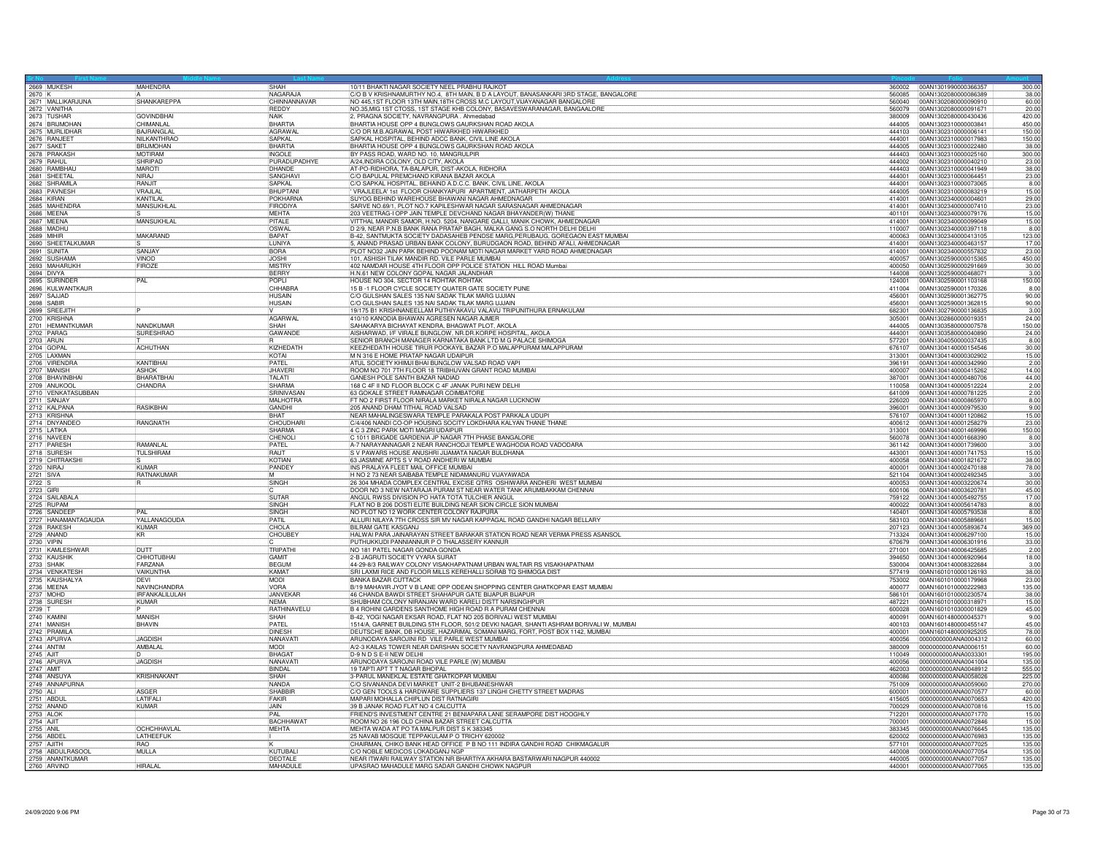|                                  | 2669 MUKESH                                                          | MAHENDRA                       | SHAH                         | 10/11 BHAKTI NAGAR SOCIETY NEEL PRABHU RAJKOT                                                        | 360002           | 00AN1301990000366357<br>300.00                                  |
|----------------------------------|----------------------------------------------------------------------|--------------------------------|------------------------------|------------------------------------------------------------------------------------------------------|------------------|-----------------------------------------------------------------|
|                                  |                                                                      |                                | NAGARAJA                     | C/O B V KRISHNAMURTHY NO.4, 8TH MAIN, B D A LAYOUT, BANASANKARI 3RD STAGE, BANGALORE                 | 560085           | 00AN1302080000086389<br>38.00                                   |
|                                  | 2671 MALLIKARJUNA                                                    | SHANKAREPPA                    | CHINNANNAVAE                 | NO 445,1ST FLOOR 13TH MAIN,18TH CROSS M.C LAYOUT, VIJAYANAGAR BANGALORE                              | 560040           | 00AN1302080000090910<br>60.00                                   |
|                                  | 2672 VANITHA<br>2673 TUSHAR                                          |                                | REDDY<br><b>NAIK</b>         | NO.35 MIG 1ST CTOSS, 1ST STAGE KHB COLONY, BASAVESWARANAGAR, BANGAALORE                              | 560079<br>380009 | 00AN1302080000091671<br>20.00<br>420.00                         |
|                                  |                                                                      | <b>GOVINDBHAI</b><br>CHIMANLAL | <b>BHARTIA</b>               | 2, PRAGNA SOCIETY, NAVRANGPURA . Ahmedabad<br>BHARTIA HOUSE OPP 4 BUNGLOWS GAURKSHAN ROAD AKOLA      | 444005           | 00AN1302080000430436<br>450.00                                  |
|                                  | 2674 BRIJMOHAN<br>2675 MURLIDHAR                                     | <b>BAJRANGLA</b>               | AGRAWA                       | C/O DR M.B.AGRAWAL POST HIWARKHED HIWARKHED                                                          | 444103           | 00AN1302310000003841<br>00AN1302310000006141<br>150.00          |
|                                  | 2676 RANJEET                                                         | NII KANTHRAC                   | SAPKAL                       | SAPKAL HOSPITAL, BEHIND ADCC BANK, CIVIL LINE AKOLA                                                  | 444001           | 00AN1302310000017983<br>150.00                                  |
|                                  |                                                                      | <b>RRLIMOHAN</b>               | <b>BHARTIA</b>               | BHARTIA HOUSE OPP 4 BUNGLOWS GAURKSHAN ROAD AKOLA                                                    | 444005           | 00AN1302310000022480<br>38.00                                   |
|                                  | 2677 SAKET<br>2678 PRAKASH                                           | <b>MOTIRAM</b>                 | <b>INGOLE</b>                | BY PASS ROAD, WARD NO. 10, MANGRULPIR                                                                | 444403           | 00AN1302310000025160<br>300.00                                  |
|                                  |                                                                      | SHRIPAD                        | PURADUPADHYE                 | A/24, INDIRA COLONY, OLD CITY, AKOLA                                                                 | 444002           | 00AN1302310000040210<br>23.00                                   |
|                                  | 2679 RAHUL<br>2680 RAMBHAU                                           | MAROTI                         | DHANDE                       | AT-PO-RIDHORA, TA-BALAPUR, DIST-AKOLA, RIDHORA                                                       | 444403           | 00AN1302310000041949<br>38.00                                   |
|                                  | 2681 SHEETAL                                                         | NIRA.                          | <b>SANGHAV</b>               | C/O BAPULAL PREMCHAND KIRANA BAZAR AKOLA                                                             | 444001           | 23.00<br>00AN1302310000064451                                   |
|                                  |                                                                      | RAN.IIT                        | SAPKAL                       | C/O SAPKAL HOSPITAL, BEHAIND A.D.C.C. BANK, CIVIL LINE, AKOLA                                        | 444001           | 00AN1302310000073065<br>8.00                                    |
|                                  | 2682 SHRAMILA<br>2683 PAVNESH                                        | VRAJLAI                        | <b>BHUPTAN</b>               | VRAJLEELA' 1st FLOOR CHANKYAPURI APARTMENT, JATHARPETH AKOLA                                         | 444005           | 00AN1302310000083219<br>15.00                                   |
|                                  | 2684 KIRAN<br>2685 MAHENDRA                                          | KANTILAL                       | POKHARNA                     | SUYOG BEHIND WAREHOUSE BHAWANI NAGAR AHMEDNAGAR                                                      | 414001           | 00AN1302340000004601<br>29.00                                   |
|                                  |                                                                      | <b>MANSUKHLAL</b>              | FIRODIYA                     | SARVE NO.69/1, PLOT NO.7 KAPILESHWAR NAGAR SARASNAGAR AHMEDNAGAR                                     | 414001           | 00AN1302340000007410<br>23.00                                   |
|                                  | 2686 MEENA                                                           |                                | <b>MFHTA</b>                 | 203 VEETRAG-I OPP JAIN TEMPLE DEVCHAND NAGAR BHAYANDER(W) THANE                                      | 401101           | 00AN1302340000079176<br>15.00                                   |
|                                  | 2687 MEENA                                                           | MANSUKHLAL                     | PITAI F                      | VITTHAL MANDIR SAMOR, H.NO. 5204, NANGARE GALLI, MANIK CHOWK, AHMEDNAGAR                             | 414001           | 00AN1302340000099049<br>15.00                                   |
|                                  |                                                                      |                                | <b>OSWAL</b>                 | D 2/9, NEAR P.N.B BANK RANA PRATAP BAGH, MALKA GANG S.O NORTH DELHI DELHI                            | 110007           | 8.00<br>00AN1302340000397118                                    |
|                                  | 2689 MIHIR<br>2690 SHEETALKUMAR                                      | MAKARAND                       | <b>BAPAT</b>                 | B-42, SANTMUKTA SOCIETY DADASAHEB PENDSE MARG, PERUBAUG, GOREGAON EAST MUMBAI                        | 400063           | 00AN1302340000413105<br>123.00                                  |
|                                  |                                                                      |                                | <b>ILINIYA</b>               | 5, ANAND PRASAD URBAN BANK COLONY, BURUDGAON ROAD, BEHIND AFALI, AHMEDNAGAR                          | 414001           | 00AN1302340000463157<br>17.00                                   |
|                                  | 2691 SUNITA                                                          | SANJAY                         | <b>BORA</b>                  | PLOT NO32 JAIN PARK BEHIND POONAM MOTI NAGAR MARKET YARD ROAD AHMEDNAGAR                             | 414001           | 00AN1302340000557832<br>23.00                                   |
|                                  | 2692 SUSHAMA                                                         | <b>VINOD</b>                   | <b>JOSHI</b>                 | 101, ASHISH TILAK MANDIR RD. VILE PARLE MUMBAI                                                       | 400057           | 00AN1302590000015365<br>450.00                                  |
|                                  |                                                                      | FIROZE                         | MISTRY<br><b>BERRY</b>       | 402 NAMDAR HOUSE 4TH FLOOR OPP POLICE STATION HILL ROAD Mumbai                                       | 400050           | 00AN1302590000291669<br>30.00<br>3.00                           |
|                                  | 2694 DIVYA<br>2695 SURINDER                                          | PAI                            | POPLI                        | H.N.61 NEW COLONY GOPAL NAGAR JALANDHAR                                                              | 144008<br>124001 | 00AN1302590000468071<br>150.00                                  |
|                                  | 2696 KULWANTKAUF                                                     |                                | CHHABR/                      | HOUSE NO 304, SECTOR 14 ROHTAK ROHTAK<br>15 B -1 FLOOR CYCLE SOCIETY QUATER GATE SOCIETY PUNE        | 411004           | 00AN1302590001103168<br>00AN1302590001170326<br>8.00            |
|                                  |                                                                      |                                | <b>HUSAIN</b>                | C/O GULSHAN SALES 135 NAI SADAK TILAK MARG UJJIAN                                                    | 456001           | 00AN1302590001362775<br>90.00                                   |
|                                  | 2697 SAJJAD<br>2698 SABIR                                            |                                | <b>HUSAIN</b>                | C/O GULSHAN SALES 135 NAI SADAK TILAK MARG UJJAIN                                                    | 456001           | 00AN1302590001362815<br>90.00                                   |
|                                  |                                                                      |                                |                              | 19/175 B1 KRISHNANEELLAM PUTHIYAKAVU VALAVU TRIPUNITHURA ERNAKULAM                                   | 682301           | 00AN1302790000136835<br>3.00                                    |
|                                  | 2699 SREEJITH                                                        |                                | AGARWAL                      | 410/10 KANODIA BHAWAN AGRESEN NAGAR AJMER                                                            | 305001           | 00AN1302860000019351<br>24.00                                   |
|                                  | 2701 HEMANTKUMAR                                                     | NANDKUMAF                      | SHAH                         | SAHAKARYA BICHAYAT KENDRA, BHAGWAT PLOT, AKOLA                                                       | 444005           | 00AN1303580000007578<br>150.00                                  |
|                                  |                                                                      | <b>SURESHRAC</b>               | GAWANDE                      | AISHARWAD, I/F VIRALE BUNGLOW, NR.DR.KORPE HOSPITAL, AKOLA                                           | 444001           | 00AN1303580000040890<br>24.00                                   |
|                                  | 2702 PARAG                                                           |                                |                              | SENIOR BRANCH MANAGER KARNATAKA BANK LTD M G PALACE SHIMOGA                                          | 577201           | 8.00<br>00AN1304050000037435                                    |
|                                  | 2704 GOPAL<br>2705 LAXMAN                                            | <b>ACHUTHAN</b>                | KIZHEDATH                    | KEEZHEDATH HOUSE TIRUR POOKAYIL BAZAR P.O MALAPPURAM MALAPPURAM                                      | 676107           | 00AN1304140000154546<br>30.00                                   |
|                                  |                                                                      |                                | KOTAL                        | M N 316 E HOME PRATAP NAGAR UDAIPUR                                                                  | 313001           | 15.00<br>00AN1304140000302902                                   |
|                                  | 2706 VIRENDRA                                                        | KANTIBHAI                      | PATEL                        | ATUL SOCIETY KHIMJI BHAI BUNGLOW VALSAD ROAD VAPI                                                    | 396191           | 00AN1304140000342990<br>2.00                                    |
|                                  |                                                                      | <b>ASHOK</b>                   | JHAVER                       | ROOM NO 701 7TH FLOOR 18 TRIBHUVAN GRANT ROAD MUMBAL                                                 | 400007           | 00AN1304140000415262<br>14.00                                   |
|                                  | 2707 MANISH<br>2708 BHAVINBHAI<br>2709 ANUKOOL<br>2710 VENKATASUBBAN | <b>BHARATBHAI</b>              | TALATI                       | GANESH POLE SANTH BAZAR NADIAD                                                                       | 387001           | 44.00<br>00AN1304140000480706                                   |
|                                  |                                                                      | CHANDRA                        | SHARMA                       | 168 C 4F II ND FLOOR BLOCK C 4F JANAK PURI NEW DELHI                                                 | 110058           | 2.00<br>00AN1304140000512224                                    |
|                                  |                                                                      |                                | SRINIVASAN                   | 63 GOKALE STREET RAMNAGAR COIMBATORE                                                                 | 641009           | 2.00<br>00AN1304140000781225                                    |
|                                  | 2711 SANJAY                                                          |                                | MALHOTRA                     | FT NO 2 FIRST FLOOR NIRALA MARKET NIRALA NAGAR LUCKNOW                                               | 226020           | 00AN1304140000865970<br>8.00                                    |
|                                  | 2712 KALPANA                                                         | <b>RASIKBHAI</b>               | <b>GANDHI</b><br><b>BHAT</b> | 205 ANAND DHAM TITHAL ROAD VALSAD<br>NEAR MAHALINGESWARA TEMPLE PARAKALA POST PARKALA UDUPI          | 396001           | 00AN1304140000979530<br>9.00<br>15.00                           |
|                                  |                                                                      | RANGNATH                       | CHOUDHARI                    |                                                                                                      | 576107<br>400612 | 00AN1304140001120862<br>00AN1304140001258279<br>23.00           |
|                                  | 2714 DNYANDEO                                                        |                                | <b>SHARMA</b>                | C/4/406 NANDI CO-OP HOUSING SOCITY LOKDHARA KALYAN THANE THANE<br>4 C 3 ZINC PARK MOTI MAGRI UDAIPUR | 313001           | 00AN1304140001469996<br>150.00                                  |
|                                  |                                                                      |                                | CHENOLI                      | C 1011 BRIGADE GARDENIA JP NAGAR 7TH PHASE BANGALORE                                                 | 560078           | 00AN1304140001668390<br>8.00                                    |
|                                  | 2716 NAVEEN<br>2717 PARESH<br>2718 SURESH                            | RAMANLAL                       | PATEL                        | A-7 NARAYANNAGAR 2 NEAR RANCHODJI TEMPLE WAGHODIA ROAD VADODARA                                      | 361142           | 3.00<br>00AN1304140001739600                                    |
|                                  |                                                                      | <b>TUI SHIRAM</b>              | <b>RAUT</b>                  | S V PAWARS HOUSE ANUSHRI JIJAMATA NAGAR BULDHANA                                                     | 443001           | 15.00<br>00AN1304140001741753                                   |
|                                  |                                                                      |                                | KOTIAN                       | 63 JASMINE APTS S V ROAD ANDHERI W MUMBAI                                                            | 400058           | 00AN1304140001821672<br>38.00                                   |
|                                  | 2719 CHITRAKSHI<br>2720 NIRAJ                                        | KUMAR                          | PANDEY                       | INS PRALAYA FLEET MAIL OFFICE MUMBAI                                                                 | 400001           | 78.00<br>00AN1304140002470188                                   |
|                                  |                                                                      | RATNAKUMAR<br>lм               |                              | H NO 2 73 NEAR SAIBABA TEMPLE NIDAMANURU VIJAYAWADA                                                  | 521104           | 00AN1304140002492345<br>3.00                                    |
| 2721 SIVA<br>2722 S<br>2723 GIRI |                                                                      |                                | SINGH                        | 26 304 MHADA COMPLEX CENTRAL EXCISE QTRS OSHIWARA ANDHERI WEST MUMBAI                                | 400053           | 30.00<br>00AN1304140003220674                                   |
|                                  |                                                                      |                                |                              | DOOR NO 3 NEW NATARAJA PURAM ST NEAR WATER TANK ARUMBAKKAM CHENNAI                                   | 600106           | 45.00<br>00AN1304140003620781                                   |
|                                  | 2724 SAILABALA                                                       |                                | SUTAR                        | ANGUL RWSS DIVISION PO HATA TOTA TULCHER ANGUL                                                       | 759122           | 00AN1304140005492755<br>17.00                                   |
|                                  |                                                                      |                                | SINGH                        | FLAT NO B 206 DOSTI ELITE BUILDING NEAR SION CIRCLE SION MUMBAI                                      | 400022           | 8.00<br>00AN1304140005614783                                    |
|                                  | 2726 SANDEEP<br>2727 HANAMANTAGAUDA<br>2728 RAKESH                   | PAI                            | SINGH                        | NO PLOT NO 12 WORK CENTER COLONY RAJPURA                                                             | 140401           | 8.00<br>00AN1304140005793538                                    |
|                                  |                                                                      | YALLANAGOUDA                   | PATIL                        | ALLURI NILAYA 7TH CROSS SIR MV NAGAR KAPPAGAL ROAD GANDHI NAGAR BELLARY                              | 583103           | 00AN1304140005889661<br>15.00                                   |
|                                  |                                                                      | KUMAR                          | CHOLA                        | BILRAM GATE KASGANJ                                                                                  | 207123           | 369.00<br>00AN1304140005893674                                  |
|                                  | 2729 ANAND                                                           | KR                             | CHOUBEY                      | HALWAI PARA JAINARAYAN STREET BARAKAR STATION ROAD NEAR VERMA PRESS ASANSOI                          | 713324           | 00AN1304140006297100<br>15.00                                   |
|                                  |                                                                      | DUTT                           | TRIPATHI                     | PUTHUKKUDI PANNIANNUR PO THALASSERY KANNUR<br>NO 181 PATEL NAGAR GONDA GONDA                         | 670679<br>271001 | 00AN1304140006301916<br>33.00                                   |
|                                  | 2731 KAMLESHWAR<br>2732 KAUSHIK<br>2733 SHAIK                        | CHHOTURHA                      | GAMIT                        | 2-B JAGRUTI SOCIETY VYARA SURAT                                                                      | 394650           | 2.00<br>00AN1304140006425685<br>18.00<br>00AN1304140006920964   |
|                                  |                                                                      | <b>FARZANA</b>                 | <b>BEGUM</b>                 | 44-29-8/3 RAILWAY COLONY VISAKHAPATNAM URBAN WALTAIR RS VISAKHAPATNAM                                | 530004           | 00AN1304140008322684<br>3.00                                    |
|                                  |                                                                      | <b>VAIKUNTHA</b>               | KAMAT                        | SRI LAXMI RICE AND FLOOR MILLS KEREHALLI SORAB TO SHIMOGA DIST                                       | 577419           | 00AN1601010000126193<br>38.00                                   |
|                                  | 2734 VENKATESH<br>2735 KAUSHALYA                                     | <b>DFVI</b>                    | <b>MODI</b>                  | <b>BANKA BAZAR CUTTACK</b>                                                                           | 753002           | 00AN1601010000179968<br>23.00                                   |
|                                  |                                                                      | <b>NAVINCHANDRA</b>            | VORA                         | B/19 MAHAVIR JYOT V B LANE OPP ODEAN SHOPPING CENTER GHATKOPAR EAST MUMBAI                           | 400077           | 00AN1601010000222983<br>135.00                                  |
|                                  | 2736 MEENA                                                           | <b>IREANKALILILAH</b>          | JANVEKAR                     | 46 CHANDA BAWDI STREET SHAHAPUR GATE BIJAPUR BIJAPUR                                                 | 586101           | 00AN1601010000230574<br>38.00                                   |
|                                  | 2738 SURESH                                                          | <b>KUMAR</b>                   | <b>NFMA</b>                  | SHUBHAM COLONY NIRANJAN WARD KARELI DISTT NARSINGHPUR                                                | 487221           | 00AN1601010000318971<br>15.00                                   |
| 2739 T<br>2740 KAMIN             |                                                                      |                                | RATHINAVELU                  | B 4 ROHINI GARDENS SANTHOME HIGH ROAD R A PURAM CHENNA                                               | 600028           | 00AN1601010300001829<br>45.00                                   |
|                                  |                                                                      | <b>MANISH</b>                  | SHAH                         | B-42, YOGI NAGAR EKSAR ROAD, FLAT NO 205 BORIVALI WEST MUMBA                                         | 400091           | 9.00<br>00AN1601480000045371                                    |
|                                  | 2741 MANISH                                                          | BHAVIN                         | PATFI                        | 1514/A, GARNET BUILDING 5TH FLOOR, 501/2 DEVKI NAGAR, SHANTI ASHRAM BORIVALI W, MUMBAI               | 400103           | 45.00<br>00AN1601480000455147                                   |
|                                  | 2742 PRAMILA                                                         |                                | <b>DINESE</b>                | DEUTSCHE BANK, DB HOUSE, HAZARIMAL SOMANI MARG, FORT, POST BOX 1142, MUMBAI                          | 400001           | 00AN1601480000925205<br>78.00                                   |
|                                  | 2743 APURVA                                                          | <b>JAGDISH</b>                 | NANAVAT                      | ARUNODAYA SAROJINI RD VILE PARLE WEST MUMBAI                                                         | 400056           | 0000000000ANA0004312<br>60.00                                   |
|                                  | 2744 ANTIM                                                           | AMBALAL                        | MODI<br>BHAGAT               | A/2-3 KAILAS TOWER NEAR DARSHAN SOCIETY NAVRANGPURA AHMEDABAD<br>D-9 N D S E-II NEW DELHI            | 380009           | 0000000000ANA0006151<br>60.00<br>195.00<br>0000000000ANA0033301 |
|                                  | 2746 APURVA                                                          |                                | NANAVAT                      |                                                                                                      | 110049<br>400056 | 0000000000ANA0041004<br>135.00                                  |
| 2747 AMIT                        |                                                                      | <b>JAGDISH</b>                 | <b>BINDAL</b>                | ARUNODAYA SAROJNI ROAD VILE PARLE (W) MUMBAI<br>19 TAPTI APT T T NAGAR BHOPAL                        | 462003           | 0000000000ANA0048912<br>555.00                                  |
|                                  | 2748 ANSUYA                                                          | KRISHNAKANT                    | <b>SHAH</b>                  | 3-PARUL MANEKLAL ESTATE GHATKOPAR MUMBAI                                                             | 400086           | 225.00<br>0000000000ANA0058026                                  |
|                                  |                                                                      |                                | NANDA                        | C/O SIVANANDA DEVI MARKET UNIT-2 BHUBANESHWAR                                                        | 751009           | 0000000000ANA0059060<br>270.00                                  |
|                                  | 2749 ANNAPURNA                                                       | <b>ASGER</b>                   | SHABBIF                      | C/O GEN TOOLS & HARDWARE SUPPLIERS 137 LINGHI CHETTY STREET MADRAS                                   | 600001           | 0000000000ANA0070577<br>60.00                                   |
| 2751 ABDU                        |                                                                      | <b>I ATIFAI</b>                | FAKIR                        | MAPARI MOHALLA CHIPLUN DIST RATNAGIRI                                                                | 415605           | 0000000000ANA0070653<br>420.00                                  |
| 2752 ANANI                       |                                                                      | <b>KUMAR</b>                   | JAIN                         | 39 B JANAK ROAD FLAT NO 4 CALCUTTA                                                                   | 700029           | 0000000000ANA0070816<br>15.00                                   |
|                                  |                                                                      |                                | <b>PAL</b>                   | FRIEND'S INVESTMENT CENTRE 21 BENIAPARA LANE SERAMPORE DIST HOOGHLY                                  | 712201           | 15.00<br>0000000000ANA0071770                                   |
| 2754 AJIT<br>2755 ANIL           |                                                                      |                                | BACHHAWAT                    | ROOM NO 26 196 OLD CHINA BAZAR STREET CALCUTTA                                                       | 700001           | 15.00<br>0000000000ANA0072846                                   |
|                                  |                                                                      | <b>OCHCHHAVI AI</b>            | <b>MEHTA</b>                 | MEHTA WADA AT PO TA MALPUR DIST S K 383345                                                           | 383345           | 135.00<br>0000000000ANA0076645                                  |
| 2756 ABDE                        |                                                                      | LATHEEFUK                      |                              | 25 NAVAB MOSQUE TEPPAKULAM P O TRICHY 620002                                                         | 620002           | 0000000000ANA0076983<br>135.00                                  |
| 2757 AJITH                       |                                                                      | <b>RAO</b>                     |                              | CHAIRMAN, CHIKO BANK HEAD OFFICE P B NO 111 INDIRA GANDHI ROAD CHIKMAGALUR                           | 577101           | 0000000000ANA0077025<br>135.00                                  |
|                                  | 2758 ABDULRASOOL                                                     | MULLA                          | KUTUBALI                     | C/O NOBLE MEDICOS LOKADGANJ NGP                                                                      | 440008           | 0000000000ANA0077054<br>135.00                                  |
|                                  | 2759 ANANTKUMAR<br>2760 ARVIND                                       |                                | <b>DEOTALE</b>               | NEAR ITWARI RAILWAY STATION NR BHARTIYA AKHARA BASTARWARI NAGPUR 440002                              | 440005           | 0000000000ANA0077057<br>135.00                                  |
|                                  |                                                                      | <b>HIRALAI</b>                 | MAHADUL                      | UPASRAO MAHADULE MARG SADAR GANDHI CHOWK NAGPUR                                                      | 440001           | 135.00<br>0000000000ANA0077065                                  |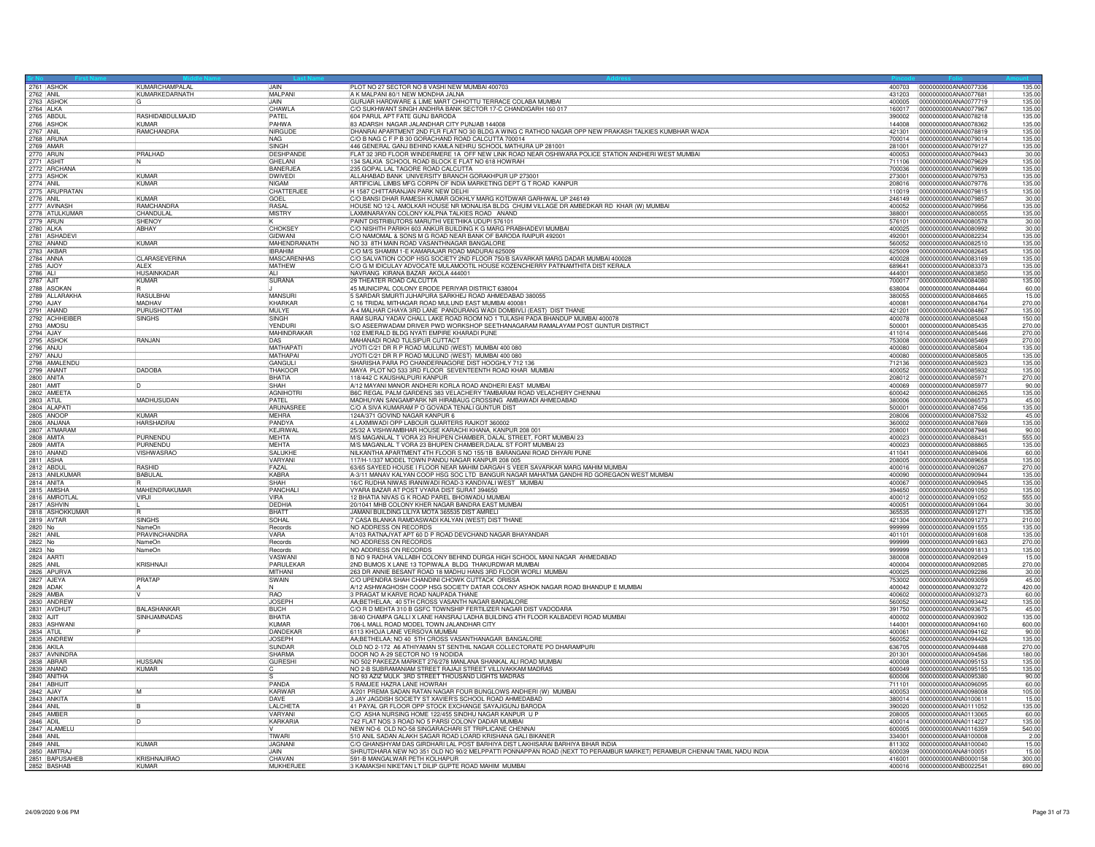|                             | KUMARCHAMPALAL                   | <b>JAIN</b>                    |                                                                                                                                                      |                  | 135.00                                                           |
|-----------------------------|----------------------------------|--------------------------------|------------------------------------------------------------------------------------------------------------------------------------------------------|------------------|------------------------------------------------------------------|
| 2761 ASHOK                  | KUMARKEDARNATH                   | <b>MALPAN</b>                  | PLOT NO 27 SECTOR NO 8 VASHI NEW MUMBAI 400703<br>A K MALPANI 80/1 NEW MONDHA JALNA                                                                  | 431203           | 400703  0000000000ANA0077336<br>0000000000ANA0077681<br>135.00   |
| 2763 ASHOI                  |                                  | <b>JAIN</b>                    | GURJAR HARDWARE & LIME MART CHHOTTU TERRACE COLABA MUMBAI                                                                                            | 400005           | 0000000000ANA0077719<br>135.00                                   |
| 2764 ALKA<br>2765 ABDUL     |                                  | CHAWLA                         | C/O SUKHWANT SINGH ANDHRA BANK SECTOR 17-C CHANDIGARH 160 017                                                                                        | 160017           | 0000000000ANA0077967<br>135.00                                   |
|                             | RASHIDABDULMAJID                 | PATFI                          | 604 PARUL APT FATE GUNJ BARODA                                                                                                                       | 390002           | 135.00<br>0000000000ANA0078218                                   |
| 2766 ASHOK<br>2767 ANIL     | KUMAR<br>RAMCHANDRA              | PAHWA<br>NIRGUDE               | 83 ADARSH NAGAR JALANDHAR CITY PUNJAB 144008<br>DHANRAI APARTMENT 2ND FLR FLAT NO 30 BLDG A WING C RATHOD NAGAR OPP NEW PRAKASH TALKIES KUMBHAR WADA | 144008<br>421301 | 0000000000ANA0078362<br>135.00<br>0000000000ANA0078819<br>135.00 |
| 2768 ARUNA                  |                                  | <b>NAG</b>                     | C/O B NAG C F P B 30 GORACHAND ROAD CALCUTTA 700014                                                                                                  | 700014           | 0000000000ANA0079014<br>135.00                                   |
|                             |                                  | <b>SINGH</b>                   | 446 GENERAL GANJ BEHIND KAMLA NEHRU SCHOOL MATHURA UP 281001                                                                                         | 281001           | 0000000000ANA0079127<br>135.00                                   |
| 2769 AMAR                   | PRALHAD                          | <b>DESHPANDE</b>               | FLAT 32 3RD FLOOR WINDERMERE 1A OFF NEW LINK ROAD NEAR OSHIWARA POLICE STATION ANDHERI WEST MUMBAI                                                   | 400053           | 0000000000ANA0079443<br>30.00                                    |
| 2771 ASHIT<br>2772 ARCHANA  | IN.                              | GHELANI                        | 134 SALKIA SCHOOL ROAD BLOCK E FLAT NO 618 HOWRAH                                                                                                    | 711106           | 0000000000ANA0079629<br>135.00                                   |
|                             |                                  | BANERJEA                       | 235 GOPAL LAL TAGORE ROAD CALCUTTA                                                                                                                   | 700036           | 0000000000ANA0079699<br>135.00                                   |
| 2773 ASHOK                  | KUMAR<br>KUMAR                   | <b>DWIVEDI</b><br><b>NIGAM</b> | ALLAHABAD BANK UNIVERSITY BRANCH GORAKHPUR UP 273001<br>ARTIFICIAL LIMBS MFG CORPN OF INDIA MARKETING DEPT G T ROAD KANPUR                           | 273001<br>208016 | 0000000000ANA0079753<br>135.00<br>0000000000ANA0079776           |
| 2774 ANIL<br>2775 ARUPRATAN |                                  | CHATTERJEE                     | H 1587 CHITTARANJAN PARK NEW DELHI                                                                                                                   | 110019           | 135.00<br>135.00<br>0000000000ANA0079815                         |
|                             | KUMAR                            | GOEL                           | C/O BANSI DHAR RAMESH KUMAR GOKHLY MARG KOTDWAR GARHWAL UP 246149                                                                                    | 246149           | 0000000000ANA0079857<br>30.00                                    |
| 2776 ANIL<br>2777 AVINASH   | RAMCHANDRA                       | RASA                           | HOUSE NO 12-L AMOLKAR HOUSE NR MONALISA BLDG CHUIM VILLAGE DR AMBEDKAR RD KHAR (W) MUMBAI                                                            | 400052           | 0000000000ANA0079956<br>135.00                                   |
| 2778 ATULKUMAR              | CHANDULAL                        | <b>MISTRY</b>                  | LAXMINARAYAN COLONY KALPNA TALKIES ROAD ANAND                                                                                                        | 388001           | 0000000000ANA0080055<br>135.00                                   |
| 2779 ARUN<br>2780 ALKA      | <b>SHENOY</b>                    |                                | PAINT DISTRIBUTORS MARUTHI VEETHIKA UDUPI 576101                                                                                                     | 576101           | 0000000000ANA0080578<br>30.00                                    |
|                             | <b>ARHAY</b>                     | <b>CHOKSEY</b>                 | C/O NISHITH PARIKH 603 ANKUR BUILDING K G MARG PRABHADEVI MUMBAI                                                                                     | 400025           | 30.00<br>0000000000ANA0080992                                    |
| 2781 ASHADEV<br>2782 ANAND  | <b>KUMAR</b>                     | GIDWANI<br>MAHENDRANATH        | C/O NAMOMAL & SONS M G ROAD NEAR BANK OF BARODA RAIPUR 492001<br>NO 33 8TH MAIN ROAD VASANTHNAGAR BANGALORE                                          | 492001<br>560052 | 0000000000ANA0082234<br>135.00<br>0000000000ANA0082510<br>135.00 |
| 2783 AKBAF                  |                                  | <b>IBRAHIM</b>                 | C/O M/S SHAMIM 1-E KAMARAJAR ROAD MADURAI 625009                                                                                                     | 625009           | 0000000000ANA0082645<br>135.00                                   |
|                             | <b>CLARASEVERINA</b>             | <b>MASCARENHAS</b>             | C/O SALVATION COOP HSG SOCIETY 2ND FLOOR 750/B SAVARKAR MARG DADAR MUMBAI 400028                                                                     | 400028           | 0000000000ANA0083169<br>135.00                                   |
| 2784 ANNA                   | AI FX                            | MATHEW                         | C/O G M IDICULAY ADVOCATE MULAMOOTIL HOUSE KOZENCHERRY PATINAMTHITA DIST KERALA                                                                      | 689641           | 0000000000ANA0083373<br>135.00                                   |
| 2786 ALI                    | <b>HUSAINKADAR</b>               | ALI                            | NAVRANG KIRANA BAZAR AKOLA 444001                                                                                                                    | 444001           | 0000000000ANA0083850<br>135.00                                   |
| 2787 AJIT                   | KUMAR                            | SURANA                         | 29 THEATER ROAD CALCUTTA                                                                                                                             | 700017           | 0000000000ANA0084080<br>135.00                                   |
| 2788 ASOKAN                 |                                  |                                | 45 MUNICIPAL COLONY ERODE PERIYAR DISTRICT 638004                                                                                                    | 638004           | 0000000000ANA0084464<br>60.00                                    |
| 2789 ALLARAKHA<br>2790 AJAY | <b>RASULBHA</b><br><b>MADHAV</b> | <b>MANSURI</b><br>KHARKAR      | 5 SARDAR SMURTI JUHAPURA SARKHEJ ROAD AHMEDABAD 380055                                                                                               | 380055           | 0000000000ANA0084665<br>15.00<br>270.00                          |
| 2791 ANAND                  | PURUSHOTTAM                      | MUI YF                         | C 16 TRIDAL MITHAGAR ROAD MULUND EAST MUMBAI 400081<br>A-4 MALHAR CHAYA 3RD LANE PANDURANG WADI DOMBIVLI (EAST) DIST THANE                           | 400081<br>421201 | 0000000000ANA0084764<br>0000000000ANA0084867<br>135.00           |
| 2792 ACHHEIBE               | <b>SINGHS</b>                    | SINGH                          | RAM SURAJ YADAV CHALL LAKE ROAD ROOM NO 1 TULASHI PADA BHANDUP MUMBAI 400078                                                                         | 400078           | 0000000000ANA0085048<br>150.00                                   |
| 2793 AMOSU                  |                                  | YENDURI                        | S/O ASEERWADAM DRIVER PWD WORKSHOP SEETHANAGARAM RAMALAYAM POST GUNTUR DISTRICT                                                                      | 500001           | 270.00<br>0000000000ANA0085435                                   |
| 2794 AJAY<br>2795 ASHOI     |                                  | MAHINDRAKAR                    | 102 EMERALD BLDG NYATI EMPIRE KHARADI PUNE                                                                                                           | 411014           | 0000000000ANA0085446<br>270.00                                   |
|                             | RANJAN                           | <b>DAS</b>                     | MAHANADI ROAD TULSIPUR CUTTACT                                                                                                                       | 753008           | 0000000000ANA0085469<br>270.00                                   |
| 2796 ANJU                   |                                  | <b>MATHAPAT</b>                | JYOTI C/21 DR R P ROAD MULUND (WEST) MUMBAI 400 080                                                                                                  | 400080           | 0000000000ANA0085804<br>135.00                                   |
| 2797 ANJU                   |                                  | MATHAPAI                       | JYOTI C/21 DR R P ROAD MULUND (WEST) MUMBAI 400 080                                                                                                  | 400080           | 0000000000ANA0085805<br>135.00                                   |
| 2798 AMALENDL               | <b>DADOBA</b>                    | GANGUL<br>THAKOOR              | SHARISHA PARA PO CHANDERNAGORE DIST HOOGHLY 712 136                                                                                                  | 712136<br>400052 | 0000000000ANA0085923<br>135.00<br>0000000000ANA0085932<br>135.00 |
| 2799 ANANT<br>2800 ANITA    |                                  | BHATIA                         | MAYA PLOT NO 533 3RD FLOOR SEVENTEENTH ROAD KHAR MUMBAI<br>118/442 C KAUSHALPURI KANPUR                                                              | 208012           | 270.00<br>0000000000ANA0085971                                   |
| 2801 AMIT                   |                                  | SHAH                           | A/12 MAYANI MANOR ANDHERI KORLA ROAD ANDHERI EAST MUMBAI                                                                                             | 400069           | 0000000000ANA0085977<br>90.00                                    |
| 2802 AMFFTA                 |                                  | AGNIHOTRI                      | B6C REGAL PALM GARDENS 383 VELACHERY TAMBARAM ROAD VELACHERY CHENNAI                                                                                 | 600042           | 135.00<br>10000000000ANA0086265                                  |
| 2803 ATUL                   | MADHUSUDAN                       | PATEL                          | MADHUYAN SANGAMPARK NR HIRABAUG CROSSING AMBAWADI AHMEDABAD                                                                                          | 380006           | 0000000000ANA0086573<br>45.00                                    |
| 2804 ALAPAT                 |                                  | ARUNASREI                      | C/O A SIVA KUMARAM P O GOVADA TENALI GUNTUR DIST                                                                                                     | 500001           | 0000000000ANA0087456<br>135.00                                   |
| 2805 ANOOP                  | <b>KUMAR</b>                     | MEHRA                          | 24A/371 GOVIND NAGAR KANPUR 6                                                                                                                        | 208006           | 0000000000ANA0087532<br>45.00                                    |
| 2806 ANJANA<br>2807 ATMARAM | <b>HARSHADRA</b>                 | PANDYA<br><b>KFJRIWAL</b>      | 4 LAXMIWADI OPP LABOUR QUARTERS RAJKOT 360002<br>25/32 A VISHWAMBHAR HOUSE KARACHI KHANA, KANPUR 208 001                                             | 360002<br>208001 | 0000000000ANA0087669<br>135.00<br>0000000000ANA0087946<br>90.00  |
| 2808 AMITA                  | PURNENDL                         | MEHTA                          | M/S MAGANLAL T VORA 23 RHUPEN CHAMBER, DALAL STREET, FORT MUMBAI 23                                                                                  | 400023           | 0000000000ANA0088431<br>555.00                                   |
| 2809 AMITA                  | PURNENDI                         | <b>MEHTA</b>                   | M/S MAGANLAL T VORA 23 BHUPEN CHAMBER, DALAL ST FORT MUMBAI 23                                                                                       | 400023           | 135.00<br>0000000000ANA0088865                                   |
| 2810 ANAND                  | <b>VISHWASRAC</b>                | SALUKHE                        | NILKANTHA APARTMENT 4TH FLOOR S NO 155/1B BARANGANI ROAD DHYARI PUNE                                                                                 | 411041           | 0000000000ANA0089406<br>60.00                                    |
| 2811 ASHA                   |                                  | VARYANI                        | 117/H-1/337 MODEL TOWN PANDU NAGAR KANPUR 208 005                                                                                                    | 208005           | 0000000000ANA0089658<br>135.00                                   |
| 2812 ABDUL                  | <b>RASHID</b>                    | FAZAI                          | 63/65 SAYEED HOUSE I FLOOR NEAR MAHIM DARGAH S VEER SAVARKAR MARG MAHIM MUMBAI                                                                       | 400016           | 0000000000ANA0090267<br>270.00                                   |
| 2813 ANILKUMAF              | <b>BABULAL</b>                   | KABRA                          | A-3/11 MANAV KALYAN COOP HSG SOC LTD BANGUR NAGAR MAHATMA GANDHI RD GOREGAON WEST MUMBAI                                                             | 400090           | 0000000000ANA0090944<br>135.00                                   |
| 2814 ANITA<br>2815 AMISH    | <b>MAHENDRAKUMAR</b>             | SHAH<br>PANCHALI               | 16/C RUDHA NIWAS IRANIWADI ROAD-3 KANDIVALI WEST MUMBAI<br>VYARA BAZAR AT POST VYARA DIST SURAT 394650                                               | 400067<br>394650 | 0000000000ANA0090945<br>135.00<br>0000000000ANA0091050<br>135.00 |
| 2816 AMROTLAL               | VIRJI                            | VIRA                           | 12 BHATIA NIVAS G K ROAD PAREL BHOIWADU MUMBAI                                                                                                       | 400012           | 0000000000ANA0091052<br>555.00                                   |
| 2817 ASHVIN                 |                                  | DEDHIA                         | 20/1041 MHB COLONY KHER NAGAR BANDRA EAST MUMBAI                                                                                                     | 400051           | 0000000000ANA0091064<br>30.00                                    |
| 2818 ASHOKKUMAR             |                                  | BHATT                          | JAMANI BUILDING LILIYA MOTA 365535 DIST AMRELI                                                                                                       | 365535           | 0000000000ANA0091271<br>135.00                                   |
| 2819 AVTAR                  | <b>SINGHS</b>                    | SOHAL                          | 7 CASA BLANKA RAMDASWADI KALYAN (WEST) DIST THANE                                                                                                    | 421304           | 0000000000ANA0091273<br>210.00                                   |
| 2820 No                     | NameOr                           | Records                        | NO ADDRESS ON RECORDS                                                                                                                                | 999999           | 0000000000ANA0091555<br>135.00                                   |
| 2821 ANIL<br>2822 No        | PRAVINCHANDRA                    | VARA                           | A/103 RATNAJYAT APT 60 D P ROAD DEVCHAND NAGAR BHAYANDAR                                                                                             | 401101           | 135.00<br>0000000000ANA0091608                                   |
| 2823 No                     | NameOn<br>NameOn                 | Records<br>Records             | NO ADDRESS ON RECORDS<br>NO ADDRESS ON RECORDS                                                                                                       | 999999<br>999999 | 0000000000ANA0091663<br>270.00<br>000000000ANA0091813<br>135.00  |
| 2824 AARTI                  |                                  | VASWANI                        | B NO 9 RADHA VALLABH COLONY BEHIND DURGA HIGH SCHOOL MANI NAGAR AHMEDABAD                                                                            | 380008           | 0000000000ANA0092049<br>15.00                                    |
| 2825 ANIL                   | KRISHNAJI                        | PARULEKAR                      | 2ND BUMOS X LANE 13 TOPIWALA BLDG THAKURDWAR MUMBAI                                                                                                  | 400004           | 0000000000ANA0092085<br>270.00                                   |
| 2826 APURVA                 |                                  | MITHANI                        | 263 DR ANNIE BESANT ROAD 18 MADHU HANS 3RD FLOOR WORLI MUMBAI                                                                                        | 400025           | 0000000000ANA0092286<br>30.00                                    |
| 2827 AJEYA                  | PRATAP                           | SWAIN                          | C/O UPENDRA SHAH CHANDINI CHOWK CUTTACK ORISSA                                                                                                       | 753002           | 0000000000ANA0093059<br>45.00                                    |
| 2828 ADAK                   |                                  |                                | A/12 ASHWAGHOSH COOP HSG SOCIETY DATAR COLONY ASHOK NAGAR ROAD BHANDUP E MUMBAI                                                                      | 400042           | 0000000000ANA0093272<br>420.00                                   |
| 2829 AMBA<br>2830 ANDREW    |                                  | RAO<br><b>JOSEPH</b>           | 3 PRAGAT M KARVE ROAD NAUPADA THANE<br>AA;BETHELAA; 40 5TH CROSS VASANTH NAGAR BANGALORE                                                             | 400602<br>560052 | 0000000000ANA0093273<br>60.00<br>135.00<br>0000000000ANA0093442  |
| 2831 AVDHUT                 | <b>BALASHANKAR</b>               | <b>BUCH</b>                    | C/O R D MEHTA 310 B GSFC TOWNSHIP FERTILIZER NAGAR DIST VADODARA                                                                                     | 391750           | 0000000000ANA0093675<br>45.00                                    |
| 2832 AJIT                   | SINHJAMNADAS                     | <b>BHATIA</b>                  | 38/40 CHAMPA GALLI X LANE HANSRAJ LADHA BUILDING 4TH FLOOR KALBADEVI ROAD MUMBAI                                                                     | 400002           | 0000000000ANA0093902<br>135.00                                   |
| 2833 ASHWANI                |                                  | KUMAR                          | 706-L MALL ROAD MODEL TOWN JALANDHAR CITY                                                                                                            | 144001           | 0000000000ANA0094160<br>600.00                                   |
| 2834 ATUL<br>2835 ANDREW    |                                  | DANDEKAI                       | 6113 KHOJA LANE VERSOVA MUMBAI                                                                                                                       | 400061           | 0000000000ANA0094162<br>90.00                                    |
|                             |                                  | <b>JOSEPH</b>                  | AA;BETHELAA; NO 40 5TH CROSS VASANTHANAGAR BANGALORE                                                                                                 | 560052           | 0000000000ANA0094426<br>135.00                                   |
| 2836 AKILA<br>2837 AVNINDRA |                                  | <b>SUNDAR</b>                  | OLD NO 2-172 A6 ATHIYAMAN ST SENTHIL NAGAR COLLECTORATE PO DHARAMPURI                                                                                | 636705           | 0000000000ANA0094488<br>270.00                                   |
| 2838 ABRAF                  | <b>HUSSAIN</b>                   | SHARMA<br><b>GURESHI</b>       | DOOR NO A-29 SECTOR NO 19 NODIDA<br>NO 502 PAKEEZA MARKET 276/278 MANLANA SHANKAL ALI ROAD MUMBAI                                                    | 201301<br>400008 | 180.00<br>0000000000ANA0094586<br>135.00<br>0000000000ANA0095153 |
| 2839 ANAND                  | KUMAR                            |                                | NO 2-B SUBRAMANIAM STREET RAJAJI STREET VILLIVAKKAM MADRAS                                                                                           | 600049           | 0000000000ANA0095155<br>135.00                                   |
| 2840 ANITHA                 |                                  |                                | NO 93 AZIZ MULK 3RD STREET THOUSAND LIGHTS MADRAS                                                                                                    | 600006           | 0000000000ANA0095380<br>90.00                                    |
| 2841 ABHIJIT                |                                  | PANDA                          | 5 RAMJEE HAZRA LANE HOWRAH                                                                                                                           | 711101           | 0000000000ANA0096095<br>60.00                                    |
|                             | M                                | KARWAR                         | A/201 PREMA SADAN RATAN NAGAR FOUR BUNGLOWS ANDHERI (W) MUMBAI                                                                                       | 400053           | 105.00<br>0000000000ANA0098008                                   |
| 2843 ANKITA                 |                                  | DAVE                           | 3 JAY JAGDISH SOCIETY ST XAVIER'S SCHOOL ROAD AHMEDABAD                                                                                              | 380014           | 15.00<br>0000000000ANA0100611                                    |
| 2844 ANIL                   |                                  | I ALCHETA                      | 41 PAYAL GR FLOOR OPP STOCK EXCHANGE SAYAJIGUNJ BARODA                                                                                               | 390020           | 0000000000ANA0111052<br>135.00                                   |
| 2845 AMBEF                  |                                  | VARYANI<br><b>KARKARIA</b>     | C/O ASHA NURSING HOME 122/455 SINDHU NAGAR KANPUR U P<br>742 FLAT NOS 3 ROAD NO 5 PARSI COLONY DADAR MUMBAI                                          | 208005<br>400014 | 0000000000ANA0113065<br>60.00<br>0000000000ANA0114227<br>135.00  |
| 2846 ADIL<br>2847 ALAMELL   |                                  |                                | NEW NO-6 OLD NO-58 SINGARACHARI ST TRIPLICANE CHENNAL                                                                                                | 600005           | 0000000000ANA0116359<br>540.00                                   |
| 2848 ANIL                   |                                  | <b>TIWAR</b>                   | 510 ANIL SADAN ALAKH SAGAR ROAD LOARD KRISHANA GALI BIKANER                                                                                          | 334001           | 0000000000ANA8100008                                             |
| 2849 ANIL                   | KUMAR                            | JAGNANI                        | C/O GHANSHYAM DAS GIRDHARI LAL POST BARHIYA DIST LAKHISARAI BARHIYA BIHAR INDIA                                                                      | 811302           | $\frac{2.00}{15.00}$<br>0000000000ANA8100040                     |
| 2850 AMITRAJ                |                                  | <b>LIAIN</b>                   | SHRUTDHARA NEW NO 351 OLD NO 90/2 MELPPATTI PONNAPPAN ROAD (NEXT TO PERAMBUR MARKET) PERAMBUR CHENNAI TAMIL NADU INDIA                               | 600039           | 15.00<br>0000000000ANA8100051                                    |
| 2851 BAPUSAHEB              | KRISHNAJIRAO                     | CHAVAN                         | 591-B MANGALWAR PETH KOLHAPUR                                                                                                                        | 416001           | 0000000000ANB0000158<br>300.00                                   |
| 2852 BASHAB                 | KUMAR                            | MUKHERJE                       | 3 KAMAKSHI NIKETAN LT DILIP GUPTE ROAD MAHIM MUMBAI                                                                                                  | 400016           | 0000000000ANB0022541<br>690.00                                   |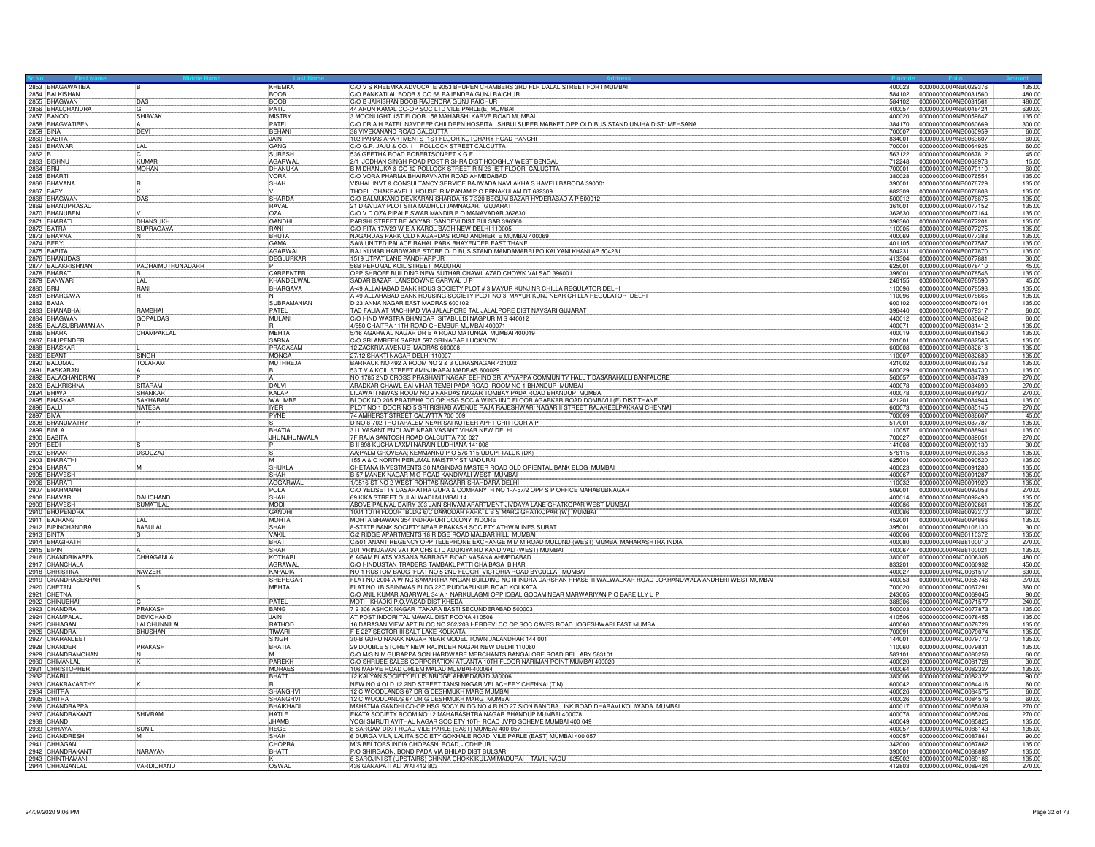| 2853 BHAGAWATIBAI                    | <b>B</b>                           | KHEMKA                        | C/O V S KHEEMKA ADVOCATE 9053 BHUPEN CHAMBERS 3RD FLR DALAL STREET FORT MUMBAL<br> C/O BANKATLAL BOOB & CO 68 RAJENDRA GUNJ RAICHUR                                               | 400023           | 0000000000ANB0029376                         | 135.00                           |
|--------------------------------------|------------------------------------|-------------------------------|-----------------------------------------------------------------------------------------------------------------------------------------------------------------------------------|------------------|----------------------------------------------|----------------------------------|
| 2854 BALKISHAN                       |                                    | <b>BOOB</b>                   |                                                                                                                                                                                   | 584102           | 0000000000ANB0031560                         | 480.00                           |
| 2855 BHAGWAN                         | DAS                                | <b>BOOB</b><br>PATIL          | C/O B JAIKISHAN BOOB RAJENDRA GUNJ RAICHUR                                                                                                                                        | 584102           | 0000000000ANB0031561                         | 480.00                           |
| 2856 BHALCHANDRA<br>2857 BANOO       | <b>SHIAVAK</b>                     | <b>MISTRY</b>                 | 44 ARUN KAMAL CO-OP SOC LTD VILE PARLE(E) MUMBAI<br>3 MOONLIGHT 1ST FLOOR 158 MAHARSHI KARVE ROAD MUMBAI                                                                          | 400057<br>400020 | 0000000000ANB0048424<br>0000000000ANB0059847 | 630.00<br>135.00                 |
| 2858 BHAGVATIBEN                     |                                    | PATEL                         | C/O DR A H PATEL NAVDEEP CHILDREN HOSPITAL SHRIJI SUPER MARKET OPP OLD BUS STAND UNJHA DIST. MEHSANA                                                                              | 384170           | 0000000000ANB0060669                         | 300.00                           |
| 2859 BINA                            | DEVI                               | <b>BEHAN</b>                  | 38 VIVEKANAND ROAD CALCUTTA                                                                                                                                                       | 700007           | 0000000000ANB0060959                         | 60.00                            |
| 2860 BABITA                          |                                    | JAIN.                         | 102 PARAS APARTMENTS 1ST FLOOR KUTCHARY ROAD RANCHI                                                                                                                               | 834001           | 0000000000ANB0063607                         | 60.00                            |
| 2861 BHAWAR                          | LAL                                | GANG                          | C/O G.P. JAJU & CO. 11 POLLOCK STREET CALCUTTA                                                                                                                                    | 700001           | 0000000000ANB0064926                         | 60.00                            |
| 2862 B                               |                                    | <b>SURESH</b>                 | 536 GEETHA ROAD ROBERTSONPET K G F                                                                                                                                                | 563122           | 0000000000ANB0067812                         | 45.00                            |
| 2863 BISHNU                          | KUMAR                              | AGARWAI                       | 2/1 JODHAN SINGH ROAD POST RISHRA DIST HOOGHLY WEST BENGAL                                                                                                                        | 712248           | 0000000000ANB0068973                         | 15.00                            |
| 2864 BRIJ                            | <b>MOHAN</b>                       | DHANUKA                       | B M DHANUKA & CO 12 POLLOCK STREET R N 26 IST FLOOR CALUCTTA                                                                                                                      | 700001           | 0000000000ANB0070110                         | 60.00                            |
| 2865 BHARTI                          |                                    | VORA                          | C/O VORA PHARMA BHAIRAVNATH ROAD AHMEDABAD                                                                                                                                        | 380028           | 0000000000ANB0076554                         | 135.00                           |
| 2866 BHAVANA                         | R                                  | SHAH                          | VISHAL INVT & CONSULTANCY SERVICE BAJWADA NAVLAKHA S HAVELI BARODA 390001                                                                                                         | 390001           | 0000000000ANB0076729                         | 135.00                           |
| 2867 BABY                            |                                    |                               | THOPIL CHAKRAVELIL HOUSE IRIMPANAM P O ERNAKULAM DT 68230                                                                                                                         | 682309           | 0000000000ANB0076808                         | 135.00                           |
| 2868 BHAGWAN<br>2869 BHANUPRASAD     | DAS                                | <b>SHARDA</b><br><b>RAVAL</b> | C/O BALMUKAND DEVKARAN SHARDA 15 7 320 BEGUM BAZAR HYDERABAD A P 500012                                                                                                           | 500012           | 0000000000ANB0076875<br>0000000000ANB0077152 | 135.00<br>135.00                 |
|                                      |                                    |                               | 21 DIGVIJAY PLOT SITA MADHULI JAMNAGAR, GUJARAT                                                                                                                                   | 361001           |                                              |                                  |
| 2870 BHANUBEN<br>2871 BHARATI        | DHANSUKH                           | OZA<br>GANDHI                 | C/O V D OZA PIPALE SWAR MANDIR P O MANAVADAR 362630                                                                                                                               | 362630           | 0000000000ANB0077164<br>0000000000ANB0077201 | 135.00<br>135.00                 |
| 2872 BATRA                           | SUPRAGAYA                          | RANI                          | PARSHI STREET BE AGIYARI GANDEVI DIST BULSAR 396360<br>C/O RITA 17A/29 W E A KAROL BAGH NEW DELHI 110005                                                                          | 396360<br>110005 | 0000000000ANB0077275                         | 135.00                           |
| 2873 BHAVNA                          |                                    | <b>BHUTA</b>                  | NAGARDAS PARK OLD NAGARDAS ROAD ANDHERI E MUMBAI 400069                                                                                                                           | 400069           | 0000000000ANB0077388                         | 135.00                           |
| 2874 BERYL                           |                                    | GAMA                          | SA/8 UNITED PALACE RAHAL PARK BHAYENDER EAST THANE                                                                                                                                | 401105           | 0000000000ANB0077587                         | 135.00                           |
| 2875 BABITA                          |                                    | AGARWAL                       | RAJ KUMAR HARDWARE STORE OLD BUS STAND MANDAMARRI PO KALYANI KHANI AP 504231                                                                                                      | 504231           | 0000000000ANB0077870                         | 135.00                           |
| 2876 BHANUDAS                        |                                    | DEGLURKAR                     | 1519 UTPAT LANE PANDHARPUR                                                                                                                                                        | 413304           | 0000000000ANB0077881                         | 30.00                            |
| 2877 BALAKRISHNAN                    | PACHAIMUTHUNADARR                  |                               | 56B PERUMAL KOIL STREET MADURAI                                                                                                                                                   | 625001           | 0000000000ANB0078410                         | 45.00                            |
| 2878 BHARAT                          |                                    | CARPENTER                     | OPP SHROFF BUILDING NEW SUTHAR CHAWL AZAD CHOWK VALSAD 396001                                                                                                                     | 396001           | 0000000000ANB0078546                         | 135.00                           |
| 2879 BANWAR                          | il Al                              | KHANDELWAL                    | SADAR BAZAR LANSDOWNE GARWAL U P                                                                                                                                                  | 246155           | 0000000000ANB0078590                         | 45.00                            |
| 2880 BRIJ                            | RANI                               | BHARGAVA                      | A-49 ALLAHABAD BANK HOUS SOCIETY PLOT # 3 MAYUR KUNJ NR CHILLA REGULATOR DELHI                                                                                                    | 110096           | 0000000000ANB0078593                         | 135.00                           |
| 2881 BHARGAVA                        |                                    |                               | A-49 ALLAHABAD BANK HOUSING SOCIETY PLOT NO 3 MAYUR KUNJ NEAR CHILLA REGULATOR DELHI                                                                                              | 110096           | 0000000000ANB0078665                         | 135.00                           |
| 2882 BAMA                            |                                    | SUBRAMANIAN                   | D 23 ANNA NAGAR EAST MADRAS 600102                                                                                                                                                | 600102           | 0000000000ANB0079104                         | 135.00                           |
| 2883 BHANABHAI                       | <b>RAMBHA</b>                      | PATEL                         | TAD FALIA AT MACHHAD VIA JALALPORE TAL JALALPORE DIST NAVSARI GUJARAT.<br> C/O HIND WASTRA BHANDAR SITABULDI NAGPUR M S 440012                                                    | 396440           | 0000000000ANB0079317                         | 60.00                            |
| 2884 BHAGWAN                         | <b>GOPALDAS</b>                    | MULANI                        |                                                                                                                                                                                   | 440012           | 0000000000ANB0080642                         | 60.00                            |
| 2885 BALASUBRAMANIAN<br>2886 BHARAT  | CHAMPAKLAL                         | <b>MEHTA</b>                  | 4/550 CHAITRA 11TH ROAD CHEMBUR MUMBAI 400071<br>5/16 AGARWAL NAGAR DR B A ROAD MATUNGA MUMBAI 400019                                                                             | 400071<br>400019 | 0000000000ANB0081412<br>0000000000ANB0081560 | 135.00<br>135.00                 |
| 2887 BHUPENDER                       |                                    | SARNA                         | C/O SRI AMREEK SARNA 597 SRINAGAR LUCKNOW                                                                                                                                         | 201001           | 0000000000ANB0082585                         | 135.00                           |
| 2888 BHASKAR                         |                                    | PRAGASAM                      | 12 ZACKRIA AVENUE MADRAS 600008                                                                                                                                                   | 600008           | 0000000000ANB0082618                         | 135.00                           |
| 2889 BEANT                           | SINGH                              | <b>MONGA</b>                  | 27/12 SHAKTI NAGAR DELHI 110007                                                                                                                                                   | 110007           | 0000000000ANB0082680                         | 135.00                           |
| 2890 BALUMA                          | <b>TOLARAM</b>                     | MUTHREJA                      | BARRACK NO 492 A ROOM NO 2 & 3 ULHASNAGAR 421002                                                                                                                                  | 421002           | 0000000000ANB0083753                         | 135.00                           |
| 2891 BASKARAN                        |                                    |                               | 53 T V A KOIL STREET AMINJIKARAI MADRAS 600029                                                                                                                                    | 600029           | 0000000000ANB0084730                         | 135.00                           |
| 2892 BALACHANDRAN                    |                                    | A                             | NO 1785 2ND CROSS PRASHANT NAGAR BEHIND SRI AYYAPPA COMMUNITY HALL T DASARAHALLI BANFALORE                                                                                        | 560057           | 0000000000ANB0084789                         | 270.00                           |
| 2893 BALKRISHNA                      | SITARAM                            | DALVI                         | ARADKAR CHAWL SAI VIHAR TEMBI PADA ROAD ROOM NO 1 BHANDUP MUMBAI                                                                                                                  | 400078           | 0000000000ANB0084890                         | 270.00                           |
| 2894 BHIWA                           | <b>SHANKAR</b>                     | KAI AP                        | LILAWATI NIWAS ROOM NO 9 NARDAS NAGAR TOMBAY PADA ROAD BHANDUP MUMBAI                                                                                                             | 400078           | 0000000000ANB0084937                         | 270.00                           |
| 2895 BHASKA                          | SAKHARAM                           | <b>WALIMBI</b>                | BLOCK NO 205 PRATIBHA CO OP HSG SOC A WING IIND FLOOR AGARKAR ROAD DOMBIVLI (E) DIST THANE                                                                                        | 421201           | 0000000000ANB0084944                         | 135.00                           |
| 2896 BALU                            | <b>NATESA</b>                      | <b>IYER</b>                   | PLOT NO 1 DOOR NO 5 SRI RISHAB AVENUE RAJA RAJESHWARI NAGAR II STREET RAJAKEELPAKKAM CHENNAI                                                                                      | 600073           | 0000000000ANB0085145                         | 270.00                           |
| 2897 BIVA                            |                                    | PYNE                          | 74 AMHERST STREET CALWTTA 700 009                                                                                                                                                 | 700009           | 0000000000ANB0086607                         | 45.00                            |
| 2898 BHANUMATHY<br>2899 BIMLA        |                                    | <b>BHATIA</b>                 | D NO 8-702 THOTAPALEM NEAR SAI KUTEER APPT CHITTOOR A P                                                                                                                           | 517001<br>110057 | 0000000000ANB0087787                         | 135.00<br>135.00                 |
|                                      |                                    |                               | 311 VASANT ENCLAVE NEAR VASANT VIHAR NEW DELHI                                                                                                                                    | 700027           | 0000000000ANB0088941<br>0000000000ANB0089051 |                                  |
| 2900 BABITA<br>2901 BEDI             |                                    | JHUNJHUNWALA                  | 7F RAJA SANTOSH ROAD CALCUTTA 700 027<br>B II 898 KUCHA LAXMI NARAIN LUDHIANA 141008                                                                                              | 141008           | 0000000000ANB0090130                         | 270.00<br>30.00                  |
|                                      |                                    |                               |                                                                                                                                                                                   |                  |                                              |                                  |
|                                      |                                    |                               |                                                                                                                                                                                   |                  |                                              |                                  |
| 2902 BRAAN                           | <b>DSOUZAJ</b>                     |                               | AA;PALM GROVEAA; KEMMANNU P O 576 115 UDUPI TALUK (DK)                                                                                                                            | 576115           | 0000000000ANB0090353                         | 135.00                           |
| 2903 BHARATHI                        |                                    | M                             | 155 A & C NORTH PERUMAL MAISTRY ST MADURAL                                                                                                                                        | 625001           | 0000000000ANB0090520                         | 135.00                           |
| 2904 BHARAT                          | M                                  | SHUKLA                        | CHETANA INVESTMENTS 30 NAGINDAS MASTER ROAD OLD ORIENTAL BANK BLDG MUMBAI                                                                                                         | 400023           | 0000000000ANB0091280                         | 135.00                           |
| 2905 BHAVESH<br>2906 BHARATI         |                                    | SHAH<br><b>AGGARWA</b>        | B-57 MANEK NAGAR M G ROAD KANDIVALI WEST MUMBAI<br>1/9516 ST NO 2 WEST ROHTAS NAGARR SHAHDARA DELHI                                                                               | 400067<br>110032 | 0000000000ANB0091287<br>0000000000ANB0091929 | 135.00<br>135.00                 |
| 2907 BRAHMAIAH                       |                                    | POLA                          | C/O YELISETTY DASARATHA GUPA & COMPANY H NO 1-7-57/2 OPP S P OFFICE MAHABUBNAGAR                                                                                                  | 509001           | 0000000000ANB0092053                         | 270.00                           |
| 2908 BHAVAR                          | DAI ICHAND                         | SHAH                          | 69 KIKA STREET GULALWADI MUMBAI 14                                                                                                                                                | 400014           | 0000000000ANB0092490                         | 135.00                           |
| 2909 BHAVESH                         | SUMATILAL                          | MODI                          | ABOVE PALIVAL DAIRY 203 JAIN SHIVAM APARTMENT JIVDAYA LANE GHATKOPAR WEST MUMBAI                                                                                                  | 400086           | 0000000000ANB0092661                         | 135.00                           |
| 2910 BHUPENDRA                       |                                    | <b>GANDHI</b>                 | 1004 10TH FLOOR BLDG 6/C DAMODAR PARK L B S MARG GHATKOPAR (W) MUMBAI                                                                                                             | 400086           | 0000000000ANB0093370                         | 60.00                            |
| 2911 BAJRANG                         |                                    | <b>MOHTA</b>                  | MOHTA BHAWAN 354 INDRAPURI COLONY INDORE                                                                                                                                          | 452001           | 0000000000ANB0094866                         | 135.00                           |
| 2912 BIPINCHANDRA                    | <b>BABULAL</b>                     | SHAH                          | 8-STATE BANK SOCIETY NEAR PRAKASH SOCIETY ATHWALINES SURAT                                                                                                                        | 395001           | 0000000000ANB0106130                         | 30.00                            |
| 2913 BINTA                           |                                    | VAKII                         | C/2 RIDGE APARTMENTS 18 RIDGE ROAD MALBAR HILL MUMBAL                                                                                                                             | 400006           | 0000000000ANB0110372                         | 135.00                           |
| 2914 BHAGIRATH                       |                                    | BHAT                          | C/501 ANANT REGENCY OPP TELEPHONE EXCHANGE M M M ROAD MULUND (WEST) MUMBAI MAHARASHTRA INDIA                                                                                      | 400080           | 0000000000ANB8100010                         | 270.00                           |
| 2915 BIPIN                           |                                    | <b>SHAH</b>                   | 301 VRINDAVAN VATIKA CHS LTD ADUKIYA RD KANDIVALI (WEST) MUMBAI                                                                                                                   | 400067<br>380007 | 0000000000ANB8100021<br>0000000000ANC0006306 | 135.00<br>480.00                 |
| 2916 CHANDRIKABEN                    | CHHAGANLAI                         | KOTHARI<br><b>AGRAWAL</b>     | 6 AGAM FLATS VASANA BARRAGE ROAD VASANA AHMEDABAD                                                                                                                                 | 833201           | 0000000000ANC0060932                         | 450.00                           |
| 2917 CHANCHALA                       |                                    | KAPADIA                       | C/O HINDUSTAN TRADERS TAMBAKUPATTI CHAIBASA BIHAR                                                                                                                                 | 400027           |                                              |                                  |
| 2918 CHRISTINA<br>2919 CHANDRASEKHAR | NAVZER                             | SHEREGAR                      | NO 1 RUSTOM BAUG FLAT NO 5 2ND FLOOR VICTORIA ROAD BYCULLA MUMBAI                                                                                                                 | 400053           | 0000000000ANC0061517<br>0000000000ANC0065746 | 630.00<br>270.00                 |
| 2920 CHETAN                          |                                    | <b>MEHTA</b>                  | FLAT NO 2004 A WING SAMARTHA ANGAN BUILDING NO III INDRA DARSHAN PHASE III WALWALKAR ROAD LOKHANDWALA ANDHERI WEST MUMBAI<br>FLAT NO 1B SRINIWAS BLDG 22C PUDDAPUKUR ROAD KOLKATA | 700020           | 0000000000ANC0067291                         | 360.00                           |
| 2921 CHETNA                          |                                    |                               | C/O ANIL KUMAR AGARWAL 34 A 1 NARKULAGMI OPP IQBAL GODAM NEAR MARWARIYAN P O BAREILLY U P                                                                                         | 243005           | 0000000000ANC0069045                         | 90.00                            |
| 2922 CHINUBHAI                       |                                    | PATEL                         | MOTI - KHADKI P.O.VASAD DIST KHEDA                                                                                                                                                | 388306           | 0000000000ANC0071577                         | 240.00                           |
| 2923 CHANDRA                         | PRAKASH                            | <b>BANG</b>                   | 7 2 306 ASHOK NAGAR TAKARA BASTI SECUNDERABAD 500003                                                                                                                              | 500003           | 0000000000ANC0077873                         | 135.00                           |
| 2924 CHAMPALA                        | <b>DEVICHAND</b>                   | <b>JAIN</b>                   | AT POST INDORI TAL MAWAL DIST POONA 410506                                                                                                                                        | 410506           | 0000000000ANC0078455                         | 135.00                           |
| 2925 CHHAGAN                         | <b>LALCHUNNILA</b>                 | RATHOD                        | 16 DARASAN VIEW APT BLOC NO 202/203 HERDEVI CO OP SOC CAVES ROAD JOGESHWARI EAST MUMBAI                                                                                           | 400060           | 0000000000ANC0078726                         | 135.00                           |
| 2926 CHANDRA                         | <b>BHUSHAN</b>                     | <b>TIWARI</b>                 | F E 227 SECTOR III SALT LAKE KOLKATA                                                                                                                                              | 700091           | 0000000000ANC0079074                         | 135.00                           |
| 2927 CHARANJEET                      |                                    | SINGH                         | 30-B GURU NANAK NAGAR NEAR MODEL TOWN JALANDHAR 144 001                                                                                                                           | 144001           | 0000000000ANC0079770                         | 135.00                           |
| 2928 CHANDER                         | PRAKASH<br>$\overline{\mathsf{N}}$ | BHATIA                        | 29 DOUBLE STOREY NEW RAJINDER NAGAR NEW DELHI 110060                                                                                                                              | 110060<br>583101 | 0000000000ANC0079831<br>0000000000ANC0080256 | 135.00<br>60.00                  |
| 2929 CHANDRAMOHAN<br>2930 CHIMANLAI  |                                    | PAREKH                        | C/O M/S N M GURAPPA SON HARDWARE MERCHANTS BANGALORE ROAD BELLARY 583101                                                                                                          | 400020           | 0000000000ANC0081728                         | 30.00                            |
|                                      |                                    | <b>MORAES</b>                 | C/O SHRIJEE SALES CORPORATION ATLANTA 10TH FLOOR NARIMAN POINT MUMBAI 400020<br>106 MARVE ROAD ORLEM MALAD MUMBAI-400064                                                          | 400064           | 0000000000ANC0082327                         | 135.00                           |
| 2931 CHRISTOPHEF<br>2932 CHARU       |                                    | <b>BHATT</b>                  | 12 KALYAN SOCIETY ELLIS BRIDGE AHMEDABAD 380006                                                                                                                                   | 380006           | 0000000000ANC0082372                         | 90.00                            |
| 2933 CHAKRAVARTHY                    |                                    |                               | NEW NO 4 OLD 12 2ND STREET TANSI NAGAR VELACHERY CHENNAI (T N)                                                                                                                    | 600042           | 0000000000ANC0084416                         | 60.00                            |
| 2934 CHITRA                          |                                    | SHANGHVI                      | 12 C WOODLANDS 67 DR G DESHMUKH MARG MUMBAI                                                                                                                                       | 400026           | 0000000000ANC0084575                         | 60.00                            |
| 2935 CHITRA                          |                                    | SHANGHV                       | 12 C WOODLANDS 67 DR G DESHMUKH MARG MUMBAI                                                                                                                                       | 400026           | 0000000000ANC0084576                         | 60.00                            |
| 2936 CHANDRAPPA                      |                                    | BHAIKHADI                     |                                                                                                                                                                                   | 400017           | 0000000000ANC0085039                         | 270.00                           |
| 2937 CHANDRAKANT                     | SHIVRAM                            | <b>HATLE</b>                  | MAHATMA GANDHI CO-OP HSG SOCY BLDG NO 4 R NO 27 SION BANDRA LINK ROAD DHARAVI KOLIWADA MUMBAI.<br>JEKATA SOCIETY ROOM NO 12 MAHARASHTRA NAGAR BHANDUP MUMBAI 400078               | 400078           | 0000000000ANC0085204                         | 270.00                           |
| 2938 CHAND                           |                                    | JHAMB                         | YOGI SMRUTI AVITHAL NAGAR SOCIETY 10TH ROAD JVPD SCHEME MUMBAI 400 049                                                                                                            | 400049           | 0000000000ANC0085825                         | 135.00                           |
| 2939 CHHAYA                          | <b>SUNIL</b>                       | REGE                          | 8 SARGAM DIXIT ROAD VILE PARLE (EAST) MUMBAI-400 057                                                                                                                              | 400057           | 0000000000ANC0086143                         | 135.00                           |
| 2940 CHANDRESH                       |                                    | SHAH                          |                                                                                                                                                                                   | 400057           | 0000000000ANC0087861                         |                                  |
| 2941 CHHAGAN                         |                                    | <b>CHOPRA</b><br>BHATT        | 6 DURGA VILA, LALITA SOCIETY GOKHALE ROAD, VILE PARLE (EAST) MUMBAI 400 057<br>M/S BELTORS INDIA CHOPASNI ROAD, JODHPUR                                                           | 342000<br>390001 | 0000000000ANC0087862                         | $\frac{90.00}{135.00}$<br>135.00 |
| 2942 CHANDRAKANT                     | NARAYAN                            |                               | P/O SHIRGAON, BOND PADA VIA BHILAD DIST BULSAR                                                                                                                                    | 625002           | 0000000000ANC0088897<br>0000000000ANC0089186 |                                  |
| 2943 CHINTHAMAN<br>2944 CHHAGANLAL   | VARDICHAND                         | OSWAL                         | 6 SAROJINI ST (UPSTAIRS) CHINNA CHOKKIKULAM MADURAI TAMIL NADU<br>436 GANAPATI ALI WAI 412 803                                                                                    | 412803           | 0000000000ANC0089424                         | 135.00<br>270.00                 |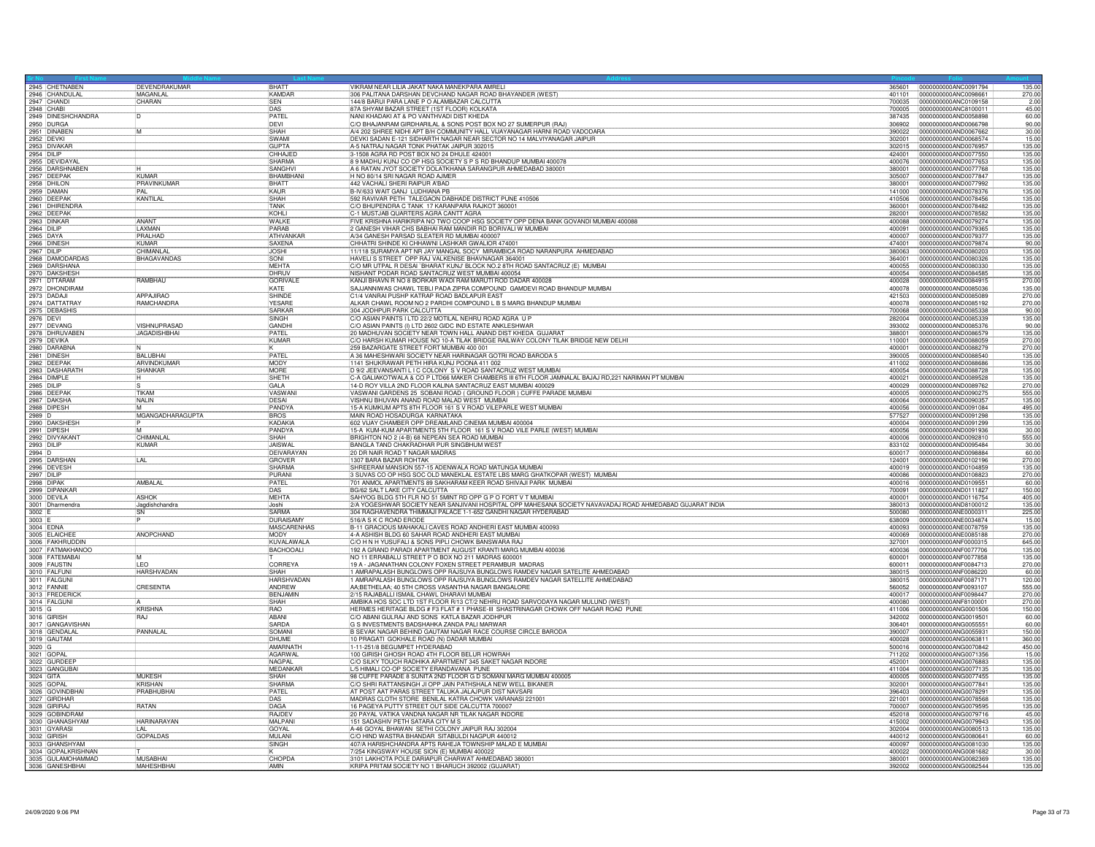|                           | 2945 CHETNABEN                       | DEVENDRAKUMAR       | <b>BHATT</b>              | VIKRAM NEAR LILIA JAKAT NAKA MANEKPARA AMRELI                                                                                                                   |                  | 135.00<br>365601 0000000000ANC0091794                            |
|---------------------------|--------------------------------------|---------------------|---------------------------|-----------------------------------------------------------------------------------------------------------------------------------------------------------------|------------------|------------------------------------------------------------------|
|                           |                                      | MAGANLAL            | KAMDAR                    | 306 PALITANA DARSHAN DEVCHAND NAGAR ROAD BHAYANDER (WEST)                                                                                                       | 401101           | 0000000000ANC0098661<br>270.00                                   |
| 2947 CHANDI               |                                      | CHARAN              | <b>SEN</b>                | 144/8 BARUI PARA LANE P O ALAMBAZAR CALCUTTA                                                                                                                    | 700035           | 0000000000ANC0109158<br>2.00                                     |
|                           | 2948 CHABI<br>2949 DINESHCHANDRA     |                     | DAS                       | 87A SHYAM BAZAR STREET (1ST FLOOR) KOLKATA                                                                                                                      | 700005           | 0000000000ANC8100011<br>45.00                                    |
|                           |                                      | הו                  | PATFI                     | NANI KHADAKI AT & PO VANTHVADI DIST KHEDA                                                                                                                       | 387435           | 0000000000AND0058898<br>60.00                                    |
|                           | 2950 DURGA<br>2951 DINABEN           |                     | DEVI                      | C/O BHAJANRAM GIRDHARILAL & SONS POST BOX NO 27 SUMERPUR (RAJ)                                                                                                  | 306902           | 0000000000AND0066798<br>90.00                                    |
|                           |                                      | ĪМ                  | SHAH                      | A/4 202 SHREE NIDHI APT B/H COMMUNITY HALL VIJAYANAGAR HARNI ROAD VADODARA                                                                                      | 390022           | 0000000000AND0067662<br>30.00                                    |
| 2952 DEVKI                |                                      |                     | SWAMI                     | DEVKI SADAN E-121 SIDHARTH NAGAR NEAR SECTOR NO 14 MALVIYANAGAR JAIPUR                                                                                          | 302001           | 0000000000AND0068574<br>15.00                                    |
|                           | 2953 DIVAKAR<br>2954 DILIP           |                     | GUPTA                     | A-5 NATRAJ NAGAR TONK PHATAK JAIPUR 302015                                                                                                                      | 302015           | 0000000000AND0076957<br>135.00                                   |
|                           |                                      |                     | CHHAJED                   | 3-1508 AGRA RD POST BOX NO 24 DHULE 424001                                                                                                                      | 424001           | 135.00<br>0000000000AND0077550                                   |
|                           | 2955 DEVIDAYAL<br>2956 DARSHNABEN    |                     | SHARMA                    | 8 9 MADHU KUNJ CO OP HSG SOCIETY S P S RD BHANDUP MUMBAI 400078                                                                                                 | 400076           | 0000000000AND0077653<br>135.00                                   |
|                           |                                      |                     | <b>SANGHVI</b>            | A 6 RATAN JYOT SOCIETY DOLATKHANA SARANGPUR AHMEDABAD 380001                                                                                                    | 380001           | 0000000000AND0077768<br>135.00                                   |
|                           | 2957 DEEPAK                          | KUMAR               | <b>BHAMBHAM</b>           | H NO 80/14 SRI NAGAR ROAD AJMER                                                                                                                                 | 305007           | 0000000000AND0077847<br>135.00                                   |
| 2958 DHILON<br>2959 DAMAN |                                      | PRAVINKUMAR         | <b>BHATT</b>              | 442 VACHALI SHERI RAIPUR A'BAD                                                                                                                                  | 380001           | 0000000000AND0077992<br>135.00                                   |
|                           |                                      | <b>PAL</b>          | <b>KAUR</b>               | B-IV/633 WAIT GANJ LUDHIANA PB                                                                                                                                  | 141000           | 0000000000AND0078376<br>135.00                                   |
|                           | 2960 DEEPAK<br>2961 DHIRENDRA        | <b>KANTILAL</b>     | SHAH                      | 592 RAVIVAR PETH TALEGAON DABHADE DISTRICT PUNE 410506                                                                                                          | 410506           | 0000000000AND0078456<br>135.00                                   |
|                           |                                      |                     | TANK                      | C/O BHUPENDRA C TANK 17 KARANPARA RAJKOT 360001                                                                                                                 | 360001           | 0000000000AND0078482<br>135.00                                   |
| 2962 DEEPAK               |                                      |                     | KOHI                      | C-1 MUSTJAB QUARTERS AGRA CANTT AGRA                                                                                                                            | 282001           | 0000000000AND0078582<br>135.00                                   |
|                           |                                      | ANANT               | WALKE                     | FIVE KRISHNA HARIKRIPA NO TWO COOP HSG SOCIETY OPP DENA BANK GOVANDI MUMBAI 400088                                                                              | 400088           | 0000000000AND0079274<br>135.00                                   |
| 2963 DINKAP<br>2964 DILIP |                                      | LAXMAN              | PARAB                     | 2 GANESH VIHAR CHS BABHAI RAM MANDIR RD BORIVALI W MUMBAI                                                                                                       | 400091           | 135.00<br>0000000000AND0079365                                   |
| 2965 DAYA                 |                                      | PRALHAD             | ATHVANKAR                 | A/34 GANESH PARSAD SLEATER RD MUMBAI 400007                                                                                                                     | 400007           | 135.00<br>0000000000AND0079377                                   |
| 2966 DINES                |                                      | KUMAR               | SAXENA                    | CHHATRI SHINDE KI CHHAWNI LASHKAR GWALIOR 474001                                                                                                                | 474001           | 0000000000AND0079874<br>90.00                                    |
| 2967 DILIP                |                                      | CHIMANLAL           | <b>JOSHI</b>              | 11/118 SURAMYA APT NR JAY MANGAL SOCY MIRAMBICA ROAD NARANPURA AHMEDABAD                                                                                        | 380063           | 0000000000AND0080203<br>135.00                                   |
|                           |                                      | BHAGAVANDAS         | SONI                      | HAVELI S STREET OPP RAJ VALKENISE BHAVNAGAR 364001                                                                                                              | 364001           | 0000000000AND0080326<br>135.00                                   |
|                           | 2968 DAMODARDAS<br>2969 DARSHANA     |                     | MEHTA                     | C/O MR UTPAL R DESAI `BHARAT KUNJ' BLOCK NO.2 8TH ROAD SANTACRUZ (E) MUMBAI                                                                                     | 400055           | 0000000000AND0080330<br>135.00                                   |
|                           |                                      |                     | DHRUV                     | NISHANT PODAR ROAD SANTACRUZ WEST MUMBAI 400054                                                                                                                 | 400054           | 0000000000AND0084585<br>135.00                                   |
|                           | 2970 DAKSHESH                        | RAMBHAU             | <b>GORIVAL</b>            | KANJI BHAVN R NO 8 BORKAR WADI RAM MARUTI ROD DADAR 400028                                                                                                      | 400028           | 0000000000AND0084915<br>270.00                                   |
|                           | 2972 DHONDIRAM                       |                     | KATE                      | SAJJANNIWAS CHAWL TEBLI PADA ZIPRA COMPOUND GAMDEVI ROAD BHANDUP MUMBAI                                                                                         | 400078           | 0000000000AND0085036<br>135.00                                   |
| 2973 DADAJI               |                                      | <b>APPAJIRAO</b>    | SHINDE                    | C1/4 VANRAI PUSHP KATRAP ROAD BADLAPUR EAST                                                                                                                     | 421503           | 270.00<br>0000000000AND0085089                                   |
|                           | 2974 DATTATRAY                       | RAMCHANDRA          | YESARE                    | ALKAR CHAWL ROOM NO 2 PARDHI COMPOUND L B S MARG BHANDUP MUMBAI                                                                                                 | 400078           | 0000000000AND0085192<br>270.00                                   |
|                           | 2975 DEBASHIS                        |                     | <b>SARKAR</b>             | 304 JODHPUR PARK CALCUTTA                                                                                                                                       | 700068           | 0000000000AND0085338<br>90.0                                     |
| 2976 DEVI                 |                                      |                     | <b>SINGH</b>              | C/O ASIAN PAINTS I LTD 22/2 MOTILAL NEHRU ROAD AGRA U P                                                                                                         | 282004           | 0000000000AND0085339<br>135.00                                   |
|                           | 2977 DEVANG                          | VISHNUPRASAD        | GANDHI                    | C/O ASIAN PAINTS (I) LTD 2602 GIDC IND ESTATE ANKLESHWAR                                                                                                        | 393002           | 0000000000AND0085376<br>90.00                                    |
|                           | 2978 DHRUVABEN                       | <b>JAGADISHBHAI</b> | PATEL                     | 20 MADHUVAN SOCIETY NEAR TOWN HALL ANAND DIST KHEDA GUJARAT                                                                                                     | 388001           | 135.00<br>0000000000AND0086579                                   |
| 2979 DEVIKA               |                                      |                     | KUMAF                     | C/O HARSH KUMAR HOUSE NO 10-A TILAK BRIDGE RAILWAY COLONY TILAK BRIDGE NEW DELHI                                                                                | 110001           | 0000000000AND0088059<br>270.00                                   |
|                           |                                      |                     |                           | 259 BAZARGATE STREET FORT MUMBAI 400 001                                                                                                                        | 400001           | 0000000000AND0088279<br>270.00                                   |
|                           | 2980 DARABNA                         | BALUBHAI            | PATFI                     | A 36 MAHESHWARI SOCIETY NEAR HARINAGAR GOTRI ROAD BARODA 5                                                                                                      | 390005           | 0000000000AND0088540<br>135.00                                   |
| 2982 DEEPAK               |                                      | ARVINDKUMAR         | MODY                      | 1141 SHUKRAWAR PETH HIRA KUNJ POONA 411 002                                                                                                                     | 411002           | 0000000000AND0088686<br>135.00                                   |
|                           |                                      | SHANKAR             | MORE                      | D 9/2 JEEVANSANTI L I C COLONY S V ROAD SANTACRUZ WEST MUMBAI                                                                                                   | 400054           | 135.00<br>0000000000AND0088728                                   |
|                           | 2983 DASHARATH                       | lн.                 | <b>ISHETH</b>             | C-A GALIAKOTWALA & CO P LTD66 MAKER CHAMBERS III 6TH FLOOR JAMNALAL BAJAJ RD,221 NARIMAN PT MUMBAI                                                              | 400021           | 0000000000AND0089528<br>135.00                                   |
|                           |                                      |                     | GALA                      | 14-D ROY VILLA 2ND FLOOR KALINA SANTACRUZ EAST MUMBAI 400029                                                                                                    |                  | 0000000000AND0089762<br>270.00                                   |
| 2985 DILIP<br>2986 DEEPAK |                                      | TIKAM               | VASWANI                   | VASWANI GARDENS 25 SOBANI ROAD (GROUND FLOOR) CUFFE PARADE MUMBAI                                                                                               | 400029<br>400005 | 555.00<br>0000000000AND0090275                                   |
| 2987 DAKSHA               |                                      | NAI IN              | DESAL                     | VISHNU BHUVAN ANAND ROAD MALAD WEST MUMBAI                                                                                                                      | 400064           | 135.00<br>0000000000AND0090357                                   |
|                           |                                      |                     | PANDYA                    | 15-A KUMKUM APTS 8TH FLOOR 161 S V ROAD VILEPARLE WEST MUMBAI                                                                                                   | 400056           | 0000000000AND0091084<br>495.00                                   |
| 2988 DIPESH               |                                      | MGANGADHARAGUPTA    | <b>BROS</b>               | MAIN ROAD HOSADURGA KARNATAKA                                                                                                                                   | 577527           | 0000000000AND0091298                                             |
| 2989 D                    |                                      |                     | KADAKIA                   | 602 VIJAY CHAMBER OPP DREAMLAND CINEMA MUMBAI 400004                                                                                                            | 400004           | 135.00<br>0000000000AND0091299                                   |
|                           | 2990 DAKSHESH                        | ান                  | PANDYA                    | 15-A KUM-KUM APARTMENTS 5TH FLOOR 161 S V ROAD VILE PARLE (WEST) MUMBAI                                                                                         | 400056           | 135.00<br>0000000000AND0091936<br>30.00                          |
|                           | 2992 DIVYAKAN                        | CHIMANI AI          | SHAH                      | BRIGHTON NO 2 (4-B) 68 NEPEAN SEA ROAD MUMBAI                                                                                                                   | 400006           | 555.00<br>0000000000AND0092810                                   |
| 2993 DILIP                |                                      | KUMAR               | JAISWAI                   | BANGLA TAND CHAKRADHAR PUR SINGBHUM WEST                                                                                                                        | 833102           | 0000000000AND0095484<br>30.00                                    |
|                           |                                      |                     |                           |                                                                                                                                                                 |                  |                                                                  |
|                           |                                      |                     |                           |                                                                                                                                                                 |                  |                                                                  |
| 2994 D                    |                                      |                     | DEIVARAYAN                | 20 DR NAIR ROAD T NAGAR MADRAS                                                                                                                                  | 600017           | 0000000000AND0098884<br>60.00                                    |
|                           |                                      | LAL                 | GROVER                    | 1307 BARA BAZAR ROHTAK                                                                                                                                          | 124001           | 0000000000AND0102196<br>270.00                                   |
|                           | 2995 DARSHAN<br>2996 DEVESH          |                     | SHARMA<br>PURANI          | SHREERAM MANSION 557-15 ADENWALA ROAD MATUNGA MUMBAI                                                                                                            | 400019           | 135.00<br>0000000000AND0104859                                   |
| 2997 DILIP                |                                      |                     |                           | 3 SUVAS CO OP HSG SOC OLD MANEKLAL ESTATE LBS MARG GHATKOPAR (WEST) MUMBAI                                                                                      | 400086           | 0000000000AND0108823<br>270.00                                   |
| 2998 DIPAK                | 2999 DIPANKAR                        | AMBALAL             | PATEL                     | 701 ANMOL APARTMENTS 89 SAKHARAM KEER ROAD SHIVAJI PARK MUMBAI<br>BG/62 SALT LAKE CITY CALCUTTA                                                                 | 400016<br>700091 | 0000000000AND0109551<br>60.00<br>0000000000AND0111827<br>150.00  |
| 3000 DEVILA               |                                      | ASHOK               | DAS<br>MEHTA              |                                                                                                                                                                 | 400001           |                                                                  |
|                           |                                      |                     | .loshi                    | SAHYOG BLDG 5TH FLR NO 51 5MINT RD OPP G P O FORT V T MUMBAI                                                                                                    | 380013           | 0000000000AND0116754<br>405.00<br>135.00                         |
|                           | 3001 Dharmendra                      | Jagdishchandra      | <b>SARMA</b>              | 2/A YOGESHWAR SOCIETY NEAR SANJIVANI HOSPITAL OPP MAHESANA SOCIETY NAVAVADAJ ROAD AHMEDABAD GUJARAT INDIA                                                       |                  | 0000000000AND8100012                                             |
| 3002 E                    |                                      | SN                  | <b>DURAISAMY</b>          | 304 RAGHAVENDRA THIMMAJI PALACE 1-1-652 GANDHI NAGAR HYDERABAD<br>516/A S K C ROAD ERODE                                                                        | 500080<br>638009 | 0000000000ANE0000311<br>225.00<br>0000000000ANE0034874           |
| 3003<br>3004 EDNA         |                                      |                     | <b>MASCARENHAS</b>        | B-11 GRACIOUS MAHAKALI CAVES ROAD ANDHERI EAST MUMBAI 400093                                                                                                    | 400093           | 15.00<br>135.00<br>0000000000ANE0078759                          |
|                           |                                      | ANOPCHAND           | MODY                      | 4-A ASHISH BLDG 60 SAHAR ROAD ANDHERI EAST MUMBAI                                                                                                               | 400069           | 270.00                                                           |
|                           | 3005 ELAICHEE<br>3006 FAKHRUDDIN     |                     | KUVALAWALA                |                                                                                                                                                                 | 327001           | 0000000000ANE0085188<br>645.00<br>0000000000ANF0000315           |
|                           | 3007 FATMAKHANOO                     |                     |                           | C/O H N H YUSUFALI & SONS PIPLI CHOWK BANSWARA RAJ                                                                                                              | 400036           | 0000000000ANF0077706                                             |
|                           | 3008 FATEMABAI                       |                     | <b>BACHOOALI</b>          | 192 A GRAND PARADI APARTMENT AUGUST KRANTI MARG MUMBAI 400036<br>NO 11 ERRABALU STREET P O BOX NO 211 MADRAS 600001                                             | 600001           | 135.00<br>0000000000ANF0077858<br>135.00                         |
|                           | 3009 FAUSTIN                         | <b>TFO</b>          | CORREYA                   | 19 A - JAGANATHAN COLONY FOXEN STREET PERAMBUR MADRAS                                                                                                           | 600011           | 0000000000ANF0084713<br>270.00                                   |
|                           |                                      | HARSHVADAN          | SHAH                      |                                                                                                                                                                 | 380015           | 0000000000ANF0086220<br>60.00                                    |
|                           |                                      |                     | <b>HARSHVADAN</b>         | 1 AMRAPALASH BUNGLOWS OPP RAJSUYA BUNGLOWS RAMDEV NAGAR SATELITE AHMEDABAD<br>1 AMRAPALASH BUNGLOWS OPP RAJSUYA BUNGLOWS RAMDEV NAGAR SATELLITE AHMEDABAD       | 380015           | 0000000000ANF0087171<br>120.00                                   |
|                           | 3010 FALFUNI<br>3011 FALGUNI         |                     |                           |                                                                                                                                                                 |                  |                                                                  |
| 3012 FANNIE               |                                      | CRESENTIA           | ANDREW<br><b>BENJAMIN</b> | AA;BETHELAA; 40 5TH CROSS VASANTHA NAGAR BANGALORE<br>2/15 RAJABALLI ISMAIL CHAWL DHARAVI MUMBAI                                                                | 560052<br>400017 | 0000000000ANF0093107<br>555.00<br>0000000000ANF0098447<br>270.00 |
|                           |                                      |                     | SHAH                      |                                                                                                                                                                 | 400080           | 270.00<br>0000000000ANE8100001                                   |
|                           | 3013 FREDERICK                       |                     | <b>RAO</b>                | AMBIKA HOS SOC LTD 1ST FLOOR R/13 CT/2 NEHRU ROAD SARVODAYA NAGAR MULUND (WEST)                                                                                 |                  |                                                                  |
|                           |                                      | <b>KRISHNA</b>      | ABANI                     | HERMES HERITAGE BLDG # F3 FLAT # 1 PHASE-III SHASTRINAGAR CHOWK OFF NAGAR ROAD PUNE                                                                             | 411006<br>342002 | 0000000000ANG0001506<br>150.00<br>0000000000ANG0019501           |
| 3015 G<br>3016 GIRISH     | 3017 GANGAVISHAN                     | RAJ                 | SARDA                     | C/O ABANI GULRAJ AND SONS KATLA BAZAR JODHPUR<br>G S INVESTMENTS BADSHAHKA ZANDA PALI MARWAR                                                                    | 306401           | 60.00<br>0000000000ANG0055551<br>60.00                           |
|                           |                                      |                     | SOMANI                    |                                                                                                                                                                 | 390007           | 0000000000ANG0055931<br>150.00                                   |
|                           | 3018 GENDALAL<br>3019 GAUTAM         | PANNALAI            | DHUMF                     | B SEVAK NAGAR BEHIND GAUTAM NAGAR RACE COURSE CIRCLE BARODA<br>10 PRAGATI GOKHALE ROAD (N) DADAR MUMBAI                                                         | 400028           | 10000000000ANG0063811<br>360.00                                  |
|                           |                                      |                     | AMARNATH                  | 1-11-251/8 BEGUMPET HYDERABAD                                                                                                                                   | 500016           | 0000000000ANG0070842<br>450.00                                   |
| 3020 G<br>3021 GOPA       |                                      |                     | <b>AGARWAL</b>            | 100 GIRISH GHOSH ROAD 4TH FLOOR BELUR HOWRAH                                                                                                                    | 711202           | 15.00<br>0000000000ANG0071356                                    |
|                           | 3022 GURDEFF                         |                     | NAGPAL                    |                                                                                                                                                                 | 452001           | 0000000000ANG0076883<br>135.00                                   |
|                           |                                      |                     | MEDANKAR                  | C/O SILKY TOUCH RADHIKA APARTMENT 345 SAKET NAGAR INDORE<br>L/5 HIMALI CO-OP SOCIETY ERANDAVANA PUNE                                                            | 411004           | 0000000000ANG0077135<br>135.00                                   |
|                           | 3023 GANGUBAL<br>3024 GITA           | <b>MUKESH</b>       | SHAH                      |                                                                                                                                                                 | 400005           | 0000000000ANG0077455<br>135.00                                   |
| 3025 GOPA                 |                                      | <b>KRISHAN</b>      | SHARMA                    | 98 CUFFE PARADE 8 SUNITA 2ND FLOOR G D SOMANI MARG MUMBAI 400005<br>C/O SHRI RATTANSINGH JI OPP JAIN PATHSHALA NEW WELL BIKANER                                 | 302001           | 0000000000ANG0077841<br>135.00                                   |
|                           | 3026 GOVINDBHAI                      | PRABHUBHAI          | PATEL                     | AT POST AAT PARAS STREET TALUKA JALAJPUR DIST NAVSARI                                                                                                           | 396403           | 0000000000ANG0078291<br>135.00                                   |
|                           | 3027 GIRDHAR                         |                     |                           |                                                                                                                                                                 | 221001           | 135.00<br>0000000000ANG0078568                                   |
|                           |                                      | <b>RATAN</b>        | DAS<br>DAGA               |                                                                                                                                                                 | 700007           | 0000000000ANG0079595<br>135.00                                   |
| 3028 GIRIRAJ              | 3029 GOBINDRAM                       |                     | <b>RAJDEY</b>             | MADRAS CLOTH STORE BENILAL KATRA CHOWK VARANASI 221001<br>16 PAGEYA PUTTY STREET OUT SIDE CALCUTTA 700007<br>20 PAYAL VATIKA VANDNA NAGAR NR TILAK NAGAR INDORI | 452018           | 0000000000ANG0079716<br>45.00                                    |
|                           |                                      | <b>HARINARAYAN</b>  | <b>MALPANI</b>            | 151 SADASHIV PETH SATARA CITY M S                                                                                                                               | 415002           | 0000000000ANG0079943<br>135.00                                   |
|                           | 3030 GHANASHYAM<br>3031 GYARASI      | LAL                 | GOYAL                     | A-46 GOYAL BHAWAN SETHI COLONY JAIPUR RAJ 302004                                                                                                                | 302004           | 0000000000ANG0080513<br>135.00                                   |
|                           |                                      |                     | MULANI                    |                                                                                                                                                                 | 440012           | 0000000000ANG0080641                                             |
| 3032 GIRISH               |                                      | <b>GOPALDAS</b>     | SINGH                     | C/O HIND WASTRA BHANDAR SITABULDI NAGPUR 440012<br>407/A HARISHCHANDRA APTS RAHEJA TOWNSHIP MALAD E MUMBAI                                                      | 400097           | 60.00<br>0000000000ANG0081030<br>135.00                          |
|                           | 3033 GHANSHYAM<br>3034 GOPALKRISHNAN |                     |                           |                                                                                                                                                                 | 400022           | 0000000000ANG0081682<br>30.00                                    |
|                           | 3035 GULAMOHAMMAD                    | <b>MUSABHAI</b>     | CHOPDA                    | 7/254 KINGSWAY HOUSE SION (E) MUMBAI 400022<br>3101 LAKHOTA POLE DARIAPUR CHARWAT AHMEDABAD 380001<br>KRIPA PRITAM SOCIETY NO 1 BHARUCH 392002 (GUJARAT)        | 380001           | 0000000000ANG0082369<br>135.00                                   |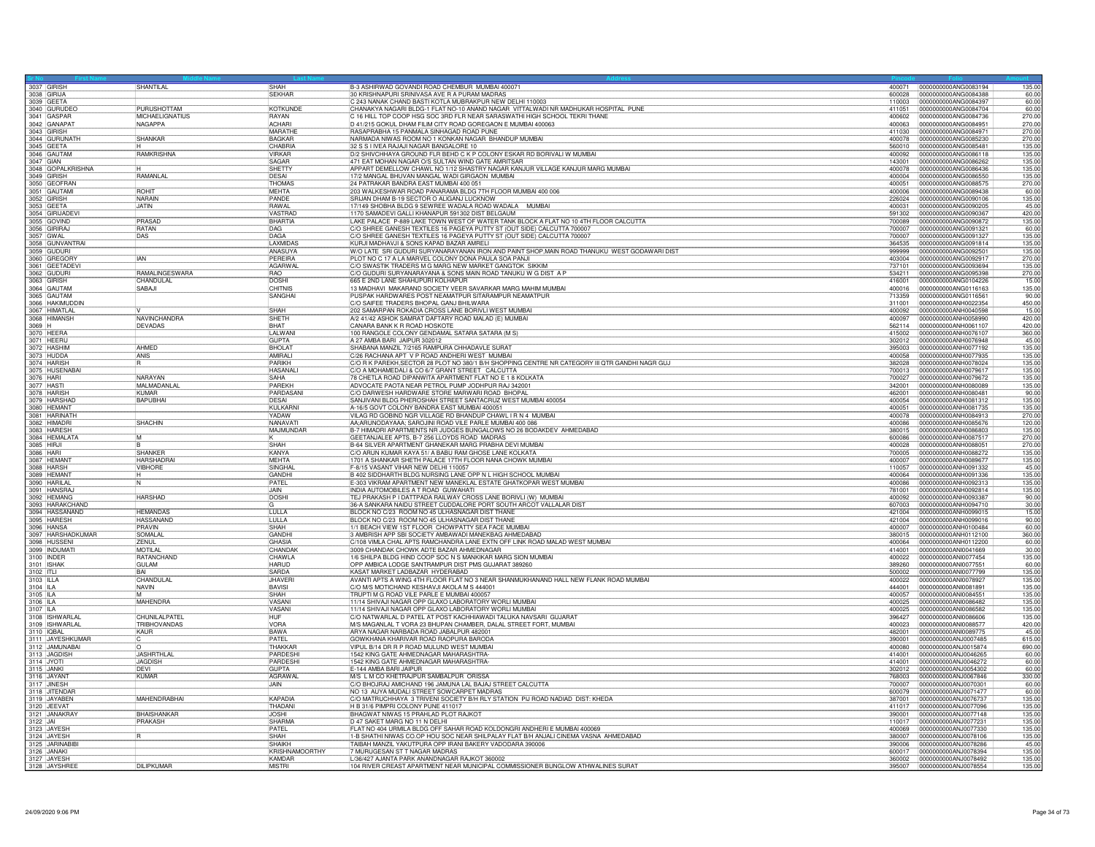| 3037 GIRISH                 |                                   | <b>SHANTILAL</b>           | SHAH                      | B-3 ASHIRWAD GOVANDI ROAD CHEMBUR MUMBAI 400071                                                                                                  | 400071           | 0000000000ANG0083194<br>135.00                                    |
|-----------------------------|-----------------------------------|----------------------------|---------------------------|--------------------------------------------------------------------------------------------------------------------------------------------------|------------------|-------------------------------------------------------------------|
|                             |                                   |                            | SFKHAR                    | 30 KRISHNAPURI SRINIVASA AVE R A PURAM MADRAS                                                                                                    | 600028           | 0000000000ANG0084388<br>60.00                                     |
| 3039 GEETA                  |                                   |                            |                           | C 243 NANAK CHAND BASTI KOTLA MUBRAKPUR NEW DELHI 110003                                                                                         | 110003           | 0000000000ANG0084397<br>60.00                                     |
|                             | 3040 GURUDEO<br>3041 GASPAR       | PURUSHOTTAM                | KOTKUNDE                  | CHANAKYA NAGARI BLDG-1 FLAT NO-10 ANAND NAGAR VITTALWADI NR MADHUKAR HOSPITAL PUNE                                                               | 411051           | 0000000000ANG0084704<br>60.00                                     |
|                             |                                   | MICHAELIGNATIUS<br>NAGAPPA | RAYAN<br><b>ACHARI</b>    | C 16 HILL TOP COOP HSG SOC 3RD FLR NEAR SARASWATHI HIGH SCHOOL TEKRI THANE<br>D 41/215 GOKUL DHAM FILIM CITY ROAD GOREGAON E MUMBAI 400063       | 400602<br>400063 | 0000000000ANG0084736<br>270.00<br>0000000000ANG0084951<br>270.00  |
|                             | 3042 GANAPAT                      |                            | MARATHE                   | RASAPRABHA 15 PANMALA SINHAGAD ROAD PUNE                                                                                                         | 411030           | 0000000000ANG0084971<br>270.00                                    |
|                             | 3044 GURUNATH                     | <b>SHANKAR</b>             | <b>BAGKAR</b>             | NARMADA NIWAS ROOM NO 1 KONKAN NAGAR BHANDUP MUMBAI                                                                                              | 400078           | 0000000000ANG0085230<br>270.00                                    |
|                             |                                   |                            | CHABRIA                   | 32 S S I IVEA RAJAJI NAGAR BANGALORE 10                                                                                                          | 560010           | 0000000000ANG0085481<br>135.00                                    |
|                             | 3045 GEETA<br>3046 GAUTAM         | RAMKRISHNA                 | VIRKAR                    | D/2 SHIVCHHAYA GROUND FLR BEHD C K P COLONY ESKAR RD BORIVALI W MUMBAI                                                                           | 400092           | 135.00<br>0000000000ANG0086118                                    |
|                             |                                   |                            | SAGAR                     | 471 EAT MOHAN NAGAR O/S SULTAN WIND GATE AMRITSAR                                                                                                | 143001           | 0000000000ANG0086262<br>135.00                                    |
|                             | 3047 GIAN<br>3048 GOPALKRISHNA    |                            | SHETTY                    | APPART DEMELLOW CHAWL NO 1/12 SHASTRY NAGAR KANJUR VILLAGE KANJUR MARG MUMBAI                                                                    | 400078           | 0000000000ANG0086436<br>135.00                                    |
| 3049 GIRISH                 |                                   | RAMANLA                    | DESAI                     | 17/2 MANGAL BHUVAN MANGAL WADI GIRGAON MUMBAI                                                                                                    | 400004           | 0000000000ANG0086550<br>135.00                                    |
|                             |                                   |                            | THOMAS                    | 24 PATRAKAR BANDRA EAST MUMBAI 400 051                                                                                                           | 400051           | 0000000000ANG0088575<br>270.00                                    |
|                             | 3050 GEOFRAN<br>3051 GAUTAMI      | <b>ROHIT</b>               | <b>IMEHTA</b>             | 203 WALKESHWAR ROAD PANARAMA BLDG 7TH FLOOR MUMBAI 400 006                                                                                       | 400006           | 0000000000ANG0089438<br>60.00                                     |
| 3052 GIRISH                 |                                   | <b>NARAIN</b>              | PANDE                     | SRIJAN DHAM B-19 SECTOR O ALIGANJ LUCKNOW                                                                                                        | 226024           | 0000000000ANG0090106<br>135.00                                    |
|                             |                                   | <b>JATIN</b>               | <b>RAWAL</b>              | 17/149 SHOBHA BLDG 9 SEWREE WADALA ROAD WADALA MUMBAI                                                                                            | 400031           | 0000000000ANG0090205<br>45.00                                     |
|                             | 3054 GIRIJADEVI                   |                            | VASTRAD                   | 1170 SAMADEVI GALLI KHANAPUR 591302 DIST BELGAUM                                                                                                 | 591302           | 0000000000ANG0090367<br>420.00                                    |
| 3055 GOVIND<br>3056 GIRIRAJ |                                   | PRASAD                     | BHARTIA                   | LAKE PALACE P-889 LAKE TOWN WEST OF WATER TANK BLOCK A FLAT NO 10 4TH FLOOR CALCUTTA                                                             | 700089           | 0000000000ANG0090872<br>135.00                                    |
|                             |                                   | <b>RATAN</b>               | DAG                       | C/O SHREE GANESH TEXTILES 16 PAGEYA PUTTY ST (OUT SIDE) CALCUTTA 70000                                                                           | 700007           | 0000000000ANG0091321<br>60.00                                     |
|                             | 3057 GWAL<br>3058 GUNVANTRAI      | DAS                        | DAGA                      | C/O SHREE GANESH TEXTILES 16 PAGEYA PUTTY ST (OUT SIDE) CALCUTTA 700007                                                                          | 700007           | 0000000000ANG0091327<br>135.00                                    |
|                             |                                   |                            | LAXMIDAS                  | KURJI MADHAVJI & SONS KAPAD BAZAR AMRELI                                                                                                         | 364535           | 135.00<br>0000000000ANG0091814                                    |
|                             | 3059 GUDURI                       |                            | ANASUYA                   | W/O LATE SRI GUDURI SURYANARAYANAN IRON AND PAINT SHOP, MAIN ROAD THANUKU WEST GODAWARI DIST                                                     | 999999           | 0000000000ANG0092501<br>135.00                                    |
|                             | 3060 GREGORY<br>3061 GEETADEVI    | <b>IAN</b>                 | PEREIRA                   | PLOT NO C 17 A LA MARVEL COLONY DONA PAULA SOA PANJI                                                                                             | 403004           | 0000000000ANG0092917<br>270.00                                    |
|                             |                                   |                            | AGARWAL                   | C/O SWASTIK TRADERS M G MARG NEW MARKET GANGTOK SIKKIM                                                                                           | 737101           | 0000000000ANG0093694<br>135.00                                    |
| 3062 GUDURI<br>3063 GIRISH  |                                   | RAMALINGESWARA             | RAO                       | C/O GUDURI SURYANARAYANA & SONS MAIN ROAD TANUKU W G DIST A P                                                                                    | 534211           | 0000000000ANG0095398<br>270.00                                    |
|                             |                                   | CHANDULAL                  | <b>DOSHI</b>              | 665 E 2ND LANE SHAHUPURI KOLHAPUR                                                                                                                | 416001           | 0000000000ANG0104226<br>15.00                                     |
|                             | 3064 GAUTAM                       | SABAJI                     | CHITNIS                   | 13 MADHAVI MAKARAND SOCIETY VEER SAVARKAR MARG MAHIM MUMBAI<br>PUSPAK HARDWARES POST NEAMATPUR SITARAMPUR NEAMATPUR                              | 400016<br>713359 | 0000000000ANG0116163<br>135.00<br>0000000000ANG0116561<br>90.00   |
|                             | 3065 GAUTAM<br>3066 HAKIMUDDIN    |                            | SANGHAI                   | C/O SAIFEE TRADERS BHOPAL GANJ BHILWARA                                                                                                          | 311001           | 0000000000ANH0022354<br>450.00                                    |
|                             |                                   |                            | SHAH                      | 202 SAMARPAN ROKADIA CROSS LANE BORIVLI WEST MUMBAI                                                                                              | 400092           | 15.00<br>0000000000ANH0040598                                     |
|                             | 3067 HIMATLAL<br>3068 HIMANSH     | NAVINCHANDRA               | <b>SHETH</b>              | A/2 41/42 ASHOK SAMRAT DAFTARY ROAD MALAD (E) MUMBAI                                                                                             | 400097           | 420.00<br>0000000000ANH0058990                                    |
| 3069 H                      |                                   | <b>DEVADAS</b>             | <b>BHAT</b>               | CANARA BANK K R ROAD HOSKOTE                                                                                                                     | 562114           | 420.00<br>0000000000ANH0061107                                    |
|                             |                                   |                            | LALWAN                    | 100 RANGOLE COLONY GENDAMAL SATARA SATARA (M S)                                                                                                  | 415002           | 0000000000ANH0076107<br>360.00                                    |
| 3070 HEERA                  |                                   |                            | <b>GUPTA</b>              | A 27 AMBA BARI JAIPUR 302012                                                                                                                     | 302012           | 0000000000ANH0076948<br>45.00                                     |
| 3072 HASHIM                 |                                   | AHMED                      | <b>BHOLA</b>              | SHABANA MANZIL 7/2165 RAMPURA CHHADAVLE SURAT                                                                                                    | 395003           | 0000000000ANH0077192<br>135.00                                    |
| 3073 HUDDA                  |                                   | <b>ANIS</b>                | AMIRAI I                  | C/26 RACHANA APT V P ROAD ANDHERI WEST MUMBAI                                                                                                    | 400058           | 135.00<br>0000000000ANH0077935                                    |
| 3074 HARISH                 |                                   |                            | PARIKH                    | C/O R K PAREKH, SECTOR 28 PLOT NO 380/1 B/H SHOPPING CENTRE NR CATEGORY III OTR GANDHI NAGR GUJ                                                  | 382028           | 0000000000ANH0078024<br>135.00                                    |
|                             |                                   |                            | <b>HASANAL</b>            | C/O A MOHAMEDALI & CO 6/7 GRANT STREET CALCUTTA                                                                                                  | 700013           | 0000000000ANH0079617<br>135.00                                    |
|                             | 3075 HUSENABA                     | <b>NARAYAN</b>             | <b>SAHA</b>               | 78 CHETLA ROAD DIPANWITA APARTMENT FLAT NO E 1 8 KOLKATA                                                                                         | 700027           | 135.00<br>0000000000ANH0079672                                    |
| 3077 HAST                   |                                   | MALMADANLAI                | PARFKH                    | ADVOCATE PAOTA NEAR PETROL PUMP JODHPUR RAJ 342001                                                                                               | 342001           | 135.00<br>0000000000ANH0080089                                    |
| 3078 HARISH                 |                                   | <b>KIIMAR</b>              | PARDASAN                  | C/O DARWESH HARDWARE STORE MARWARI ROAD BHOPAL                                                                                                   | 462001           | 0000000000ANH0080481<br>90.00                                     |
|                             | 3079 HARSHAD                      | <b>BAPUBHAI</b>            | <b>DESAI</b>              | SANJIVANI BLDG PHEROSHAH STREET SANTACRUZ WEST MUMBAI 400054                                                                                     | 400054           | 0000000000ANH0081312<br>135.00                                    |
| 3080 HEMANT                 |                                   |                            | KULKARNI                  | A-16/5 GOVT COLONY BANDRA EAST MUMBAI 400051                                                                                                     | 400051           | 0000000000ANH0081735<br>135.00                                    |
|                             | 3081 HARINATH                     |                            | YADAW                     | VILAG RD GOBIND NGR VILLAGE RD BHANDUP CHAWL I R N 4 MUMBAI                                                                                      | 400078           | 270.00<br>0000000000ANH0084913                                    |
| 3082 HIMADRI<br>3083 HARESH |                                   | SHACHIN                    | NANAVAT                   | AA;ARUNODAYAAA; SAROJINI ROAD VILE PARLE MUMBAI 400 086                                                                                          | 400086           | 120.00<br>0000000000ANH0085676                                    |
|                             |                                   |                            | MAJMUNDAF                 | B-7 HIMADRI APARTMENTS NR JUDGES BUNGALOWS NO 26 BODAKDEV AHMEDABAD                                                                              | 380015           | 0000000000ANH0086803<br>135.00                                    |
|                             | 3084 HEMALATA                     |                            | SHAF                      | GEETANJALEE APTS, B-7 256 LLOYDS ROAD MADRAS                                                                                                     | 600086           | 0000000000ANH0087517<br>270.00                                    |
| 3085 HIRJI<br>3086 HARI     |                                   | SHANKEF                    | KANYA                     | B-64 SILVER APARTMENT GHANEKAR MARG PRABHA DEVI MUMBAI<br>C/O ARUN KUMAR KAYA 51/ A BABU RAM GHOSE LANE KOLKATA                                  | 400028<br>700005 | 0000000000ANH0088051<br>270.00<br>0000000000ANH0088272<br>135.00  |
|                             |                                   | <b>HARSHADRA</b>           | <b>MEHTA</b>              | 1701 A SHANKAR SHETH PALACE 17TH FLOOR NANA CHOWK MUMBAI                                                                                         | 400007           |                                                                   |
| 3087 HEMANT<br>3088 HARSH   |                                   | <b>VIBHORE</b>             | <b>SINGHAL</b>            | F-8/15 VASANT VIHAR NEW DELHI 110057                                                                                                             | 110057           | 0000000000ANH0089677<br>135.00<br>0000000000ANH0091332<br>45.00   |
| 3089 HEMAN                  |                                   |                            | GANDH                     | B 402 SIDDHARTH BLDG NURSING LANE OPP N L HIGH SCHOOL MUMBAI                                                                                     | 400064           | 0000000000ANH0091336<br>135.00                                    |
| 3090 HARILAL                |                                   |                            | PATEL                     | E-303 VIKRAM APARTMENT NEW MANEKLAL ESTATE GHATKOPAR WEST MUMBAI                                                                                 | 400086           | 0000000000ANH0092313<br>135.00                                    |
|                             | 3091 HANSRAJ                      |                            | <b>JAIN</b>               | INDIA AUTOMOBILES A T ROAD GUWAHATI                                                                                                              | 781001           | 0000000000ANH0092814<br>135.00                                    |
|                             |                                   | <b>HARSHAD</b>             | DOSHI                     | TEJ PRAKASH P I DATTPADA RAILWAY CROSS LANE BORIVLI (W) MUMBAI                                                                                   | 400092           | 0000000000ANH0093387<br>90.00                                     |
|                             | 3092 HEMANG<br>3093 HARAKCHAND    | lG                         |                           | 36-A SANKARA NAIDU STREET CUDDALORE PORT SOUTH ARCOT VALLALAR DIST                                                                               | 607003           | 0000000000ANH0094710<br>30.00                                     |
|                             | 3094 HASSANAND                    | <b>HEMANDAS</b>            | LULLA                     | BLOCK NO C/23 ROOM NO 45 ULHASNAGAR DIST THANE                                                                                                   | 421004           | 0000000000ANH0099015<br>15.00                                     |
|                             | 3095 HARESH                       | <b>HASSANAND</b>           | LULLA                     | BLOCK NO C/23 ROOM NO 45 ULHASNAGAR DIST THANE                                                                                                   | 421004           | 0000000000ANH0099016<br>90.00                                     |
| 3096 HANSA                  |                                   | <b>PRAVIN</b>              | SHAH                      | 1/1 BEACH VIEW 1ST FLOOR CHOWPATTY SEA FACE MUMBA                                                                                                | 400007           | 60.00<br>0000000000ANH0100484                                     |
|                             | 3097 HARSHADKUMAR<br>3098 HUSSENI | SOMALA                     | GANDHI                    | 3 AMBRISH APP SBI SOCIETY AMBAWADI MANEKBAG AHMEDABAD                                                                                            | 380015           | 0000000000ANH0112100<br>360.00                                    |
|                             |                                   | ZENUL                      | <b>GHASIA</b>             | C/108 VIMLA CHAL APTS RAMCHANDRA LANE EXTN OFF LINK ROAD MALAD WEST MUMBAI                                                                       | 400064           | 0000000000ANH0112200<br>60.00                                     |
|                             | 3099 INDUMAT                      | <b>MOTILAL</b>             | CHANDAK                   | 3009 CHANDAK CHOWK ADTE BAZAR AHMEDNAGAR                                                                                                         | 414001           | 0000000000ANI0041669<br>30.00                                     |
| 3100 INDER                  |                                   | RATANCHAND                 | CHAWLA                    | 1/6 SHILPA BLDG HIND COOP SOC N S MANKIKAR MARG SION MUMBAI                                                                                      | 400022           | 0000000000ANI0077454<br>135.00                                    |
|                             |                                   | <b>GUI AM</b>              | <b>HARUD</b>              | OPP AMBICA LODGE SANTRAMPUR DIST PMS GUJARAT 389260                                                                                              | 389260           | 0000000000ANI0077551<br>60.00                                     |
| 3102 ITLI<br>3103 ILLA      |                                   | BAI<br>CHANDULAL           | SARDA<br><b>JHAVER</b>    | KASAT MARKET LADBAZAR HYDERABAD<br>AVANTI APTS A WING 4TH FLOOR FLAT NO 3 NEAR SHANMUKHANAND HALL NEW FLANK ROAD MUMBAI                          | 500002<br>400022 | 0000000000ANI0077799<br>135.00<br>0000000000ANI0078927<br>135.00  |
| 3104 ILA                    |                                   | <b>NAVIN</b>               | <b>BAVISI</b>             | C/O M/S MOTICHAND KESHAVJI AKOLA M S 444001                                                                                                      | 444001           | 0000000000ANI0081891<br>135.00                                    |
| 3105 ILA                    |                                   | м                          | <b>SHAH</b>               | TRUPTI M G ROAD VILE PARLE E MUMBAI 400057                                                                                                       | 400057           | 0000000000ANI0084551<br>135.00                                    |
| 3106 ILA                    |                                   | <b>MAHENDRA</b>            | <b>VASANI</b>             | 11/14 SHIVAJI NAGAR OPP GLAXO LABORATORY WORLI MUMBAI                                                                                            | 400025           | 135.00<br>0000000000ANI0086482                                    |
|                             |                                   |                            | VASANI                    | 11/14 SHIVAJI NAGAR OPP GLAXO LABORATORY WORLI MUMBAI                                                                                            | 400025           | 0000000000ANI0086582<br>135.00                                    |
|                             | 3107 ILA<br>3108 ISHWARLAL        | CHUNILALPATEL              | <b>HUF</b>                | C/O NATWARLAL D PATEL AT POST KACHHIAWADI TALUKA NAVSARI GUJARAT                                                                                 | 396427           | 135.00<br>0000000000ANI0086606                                    |
|                             | 3109 ISHWARLAL                    | <b>TRIBHOVANDAS</b>        | <b>VORA</b>               | M/S MAGANLAL T VORA 23 BHUPAN CHAMBER, DALAL STREET FORT, MUMBAI                                                                                 | 400023           | 420.00<br>0000000000ANI0088577                                    |
| 3110 IOBAI                  |                                   | KAUR                       | <b>BAWA</b>               | ARYA NAGAR NARBADA ROAD JABALPUR 482001                                                                                                          | 482001           | 0000000000ANI0089775<br>45.00                                     |
|                             | 3111 JAYESHKUMAR                  | IC.                        | <b>PATEL</b>              | GOWKHANA KHARIVAR ROAD RAOPURA BARODA                                                                                                            | 390001           | 615.00<br>0000000000ANJ0007485                                    |
|                             | 3112 JAMUNABAI                    |                            | THAKKAR                   | VIPUL B/14 DR R P ROAD MULUND WEST MUMBAI                                                                                                        | 400080           | 0000000000ANJ0015874<br>690.00                                    |
|                             |                                   | <b>JASHRTHLAI</b>          | PARDESH                   | 1542 KING GATE AHMEDNAGAR MAHARASHTRA-                                                                                                           | 414001           | 0000000000ANJ0046265<br>60.00                                     |
| 3114 JYOTI                  |                                   | <b>JAGDISH</b>             | PARDESH                   | 1542 KING GATE AHMEDNAGAR MAHARASHTRA-                                                                                                           | 414001           | 60.00<br>0000000000ANJ0046272                                     |
| 3115 JANK                   |                                   | <b>DFVI</b>                | GUPTA                     | F-144 AMBA BARLJAIPUR                                                                                                                            | 302012           | 0000000000ANJ0054302<br>60.00                                     |
| 3116 JAYANT                 |                                   | KUMAR                      | AGRAWAL                   | M/S L M CO KHETRAJPUR SAMBALPUR ORISSA                                                                                                           | 768003           | 0000000000ANJ0067846<br>330.00                                    |
|                             | 3117 JINESH<br>3118 JITENDAF      |                            | JAIN                      | C/O BHOJRAJ AMICHAND 196 JAMUNA LAL BAJAJ STREET CALCUTTA                                                                                        | 700007           | 0000000000ANJ0070301<br>60.00                                     |
|                             |                                   |                            |                           | NO 13 AUYA MUDALI STREET SOWCARPET MADRAS                                                                                                        | 600079           | 0000000000ANJ0071477<br>60.00                                     |
| 3120 JEEVAT                 | 3119 JAYABEN                      | MAHENDRABHA                | <b>KAPADIA</b><br>THADANI | C/O MATRUCHHAYA 3 TRIVENI SOCIETY B/H RLY STATION PU ROAD NADIAD DIST: KHEDA<br>H B 31/6 PIMPRI COLONY PUNE 411017                               | 387001<br>411017 | 135.00<br>0000000000ANJ0076737<br>0000000000AN.J0077096<br>135.00 |
|                             | 3121 JANAKRAY                     | <b>RHAISHANKAR</b>         | <b>JOSHI</b>              | BHAGWAT NIWAS 15 PRAHLAD PLOT RAJKOT                                                                                                             | 390001           | 0000000000ANJ0077148<br>135.00                                    |
|                             |                                   | PRAKASH                    | SHARMA                    | D 47 SAKET MARG NO 11 N DELHI                                                                                                                    | 110017           | 0000000000ANJ0077231<br>135.00                                    |
| 3122 JAI<br>3123 JAYESI     |                                   |                            | PATEL                     | FLAT NO 404 URMILA BLDG OFF SAHAR ROAD KOLDONGRI ANDHERI E MUMBAI 400069                                                                         | 400069           | 135.00<br>0000000000ANJ0077330                                    |
|                             |                                   |                            | SHAH                      | 1-B SHATHI NIWAS CO.OP HOU SOC NEAR SHILPALAY FLAT B/H ANJALI CINEMA VASNA AHMEDABAD<br>TAIBAH MANZIL YAKUTPURA OPP IRANI BAKERY VADODARA 390006 | 380007           | 135.00<br>0000000000ANJ0078106                                    |
|                             | 3124 JAYESH<br>3125 JARINABIB     |                            | <b>SHAIKH</b>             |                                                                                                                                                  | 390006           | 0000000000ANJ0078286<br>45.00                                     |
| 3126 JANAKI                 |                                   |                            | KRISHNAMOORTHY            | 7 MURUGESAN ST T NAGAR MADRAS                                                                                                                    | 600017           | 0000000000ANJ0078394<br>135.00                                    |
|                             |                                   |                            | KAMDAR                    | L/36/427 AJANTA PARK ANANDNAGAR RAJKOT 360002                                                                                                    | 360002           | 0000000000ANJ0078492<br>135.00                                    |
|                             | 3127 JAYESH<br>3128 JAYSHRE       | DILIPKUMAR                 | MISTRI                    | 104 RIVER CREAST APARTMENT NEAR MUNICIPAL COMMISSIONER BUNGLOW ATHWALINES SURAT                                                                  | 395007           | 0000000000ANJ0078554<br>135.00                                    |
|                             |                                   |                            |                           |                                                                                                                                                  |                  |                                                                   |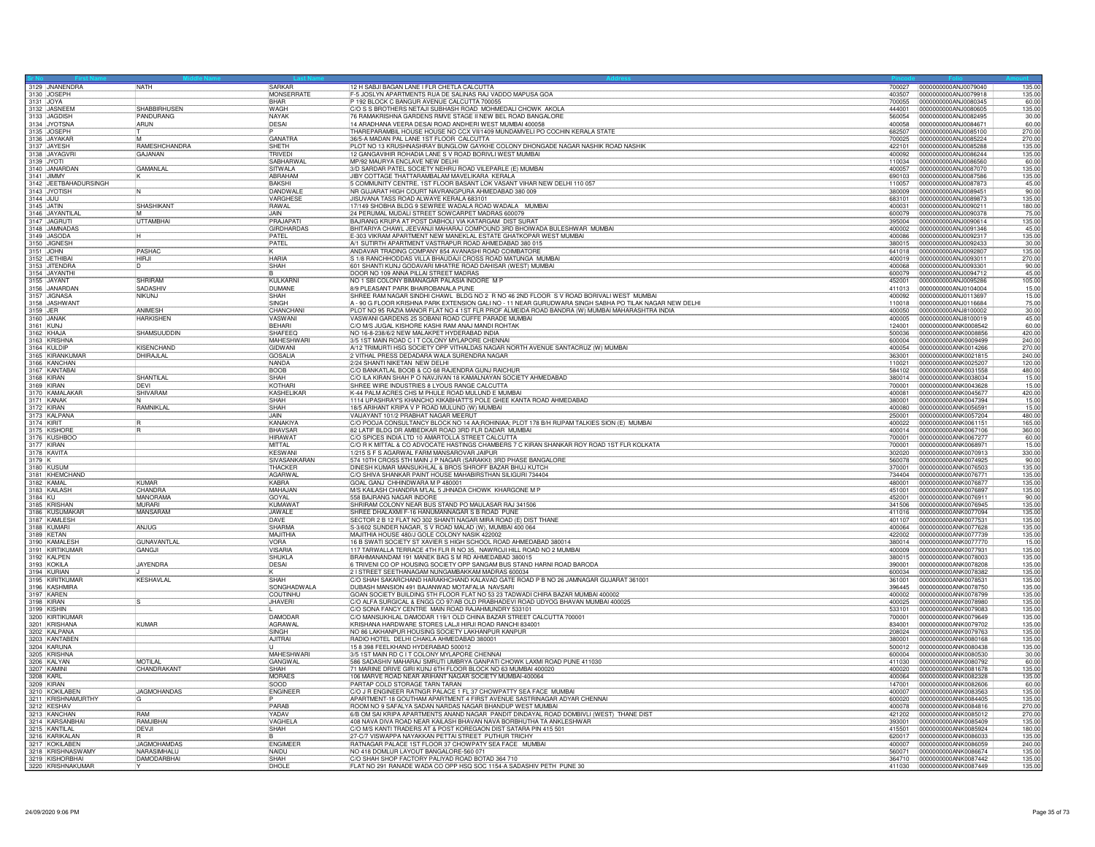| 3129 JNANENDRA                | NATH                | SARKAR                         | 12 H SABJI BAGAN LANE I FLR CHETLA CALCUTTA                                                                                                         | 700027           | 0000000000ANJ0079040                         | 135.00           |
|-------------------------------|---------------------|--------------------------------|-----------------------------------------------------------------------------------------------------------------------------------------------------|------------------|----------------------------------------------|------------------|
| 3130 JOSEPH                   |                     | <b>MONSERRATE</b>              | -5 JOSLYN APARTMENTS RUA DE SALINAS RAJ VADDO MAPUSA GOA                                                                                            | 403507           | 0000000000ANJ0079918                         | 135.00           |
| 3131 JOYA                     |                     | <b>RHAR</b>                    | P 192 BLOCK C BANGUR AVENUE CALCUTTA 700055                                                                                                         | 700055           | 0000000000ANJ0080345                         | 60.00            |
| 3132 JASNEEM                  | <b>SHABBIRHUSEN</b> | WAGH<br><b>NAYAK</b>           | C/O S S BROTHERS NETAJI SUBHASH ROAD MOHMEDALI CHOWK AKOLA                                                                                          | 444001           | 0000000000ANJ0080605                         | 135.00           |
| 3133 JAGDISH<br>3134 JYOTSNA  | PANDURANG<br>ARUN   | DESAI                          | 76 RAMAKRISHNA GARDENS RMVE STAGE II NEW BEL ROAD BANGALORE<br>14 ARADHANA VEERA DESAI ROAD ANDHERI WEST MUMBAI 400058                              | 560054<br>400058 | 0000000000ANJ0082495<br>0000000000ANJ0084671 | 30.00<br>60.00   |
| 3135 JOSEPH                   |                     |                                | THAREPARAMBIL HOUSE HOUSE NO CCX VII/1409 MUNDAMVELI PO COCHIN KERALA STATE                                                                         | 682507           | 0000000000ANJ0085100                         | 270.00           |
| 3136 JAYAKAR                  | <b>M</b>            | GANATRA                        | 36/5-A MADAN PAL LANE 1ST FLOOR CALCUTTA                                                                                                            | 700025           | 0000000000ANJ0085224                         | 270.00           |
| 3137 JAYESH                   | RAMESHCHANDRA       | <b>SHETH</b>                   | PLOT NO 13 KRUSHNASHRAY BUNGLOW GAYKHE COLONY DHONGADE NAGAR NASHIK ROAD NASHIK                                                                     | 422101           | 0000000000ANJ0085288                         | 135.00           |
| 3138 JAYAGVR                  | GAJANAN             | TRIVEDI                        | 12 GANGAVIHIR ROHADIA LANE S V ROAD BORIVLI WEST MUMBAI                                                                                             | 400092           | 0000000000ANJ0086244                         | 135.00           |
| 3139 JYOTI                    |                     | SABHARWAI                      | MP/92 MAURYA ENCLAVE NEW DELHI                                                                                                                      | 110034           | 0000000000ANJ0086560                         | 60.00            |
| 3140 JANARDAN                 | <b>GAMANLAL</b>     | SITWALA                        | 3/D SARDAR PATEL SOCIETY NEHRU ROAD VILEPARLE (E) MUMBAI                                                                                            | 400057           | 10000000000AN.J0087070                       | 135.00           |
| 3141 JIMMY                    |                     | ABRAHAM                        | JIBY COTTAGE THATTARAMBALAM MAVELIKARA KERALA                                                                                                       | 690103           | 0000000000ANJ0087586                         | 135.00           |
| 3142 JEETBAHADURSINGH         |                     | <b>BAKSHI</b>                  | 5 COMMUNITY CENTRE, 1ST FLOOR BASANT LOK VASANT VIHAR NEW DELHI 110 057                                                                             | 110057           | 0000000000ANJ0087873                         | 45.00            |
| 3143 JYOTISH                  |                     | DANDWALE                       | NR GUJARAT HIGH COURT NAVRANGPURA AHMEDABAD 380 009                                                                                                 | 380009           | 10000000000ANJ0089451                        | 90.00            |
| 3144 JIJU                     |                     | VARGHESE                       | JISUVANA TASS ROAD ALWAYE KERALA 683101                                                                                                             | 683101           | 0000000000ANJ0089873                         | 135.00           |
| 3145 JATIN                    | SHASHIKANT          | <b>RAWAL</b>                   | 17/149 SHOBHA BLDG 9 SEWREE WADALA ROAD WADALA MUMBAI                                                                                               | 400031           | 0000000000AN.J0090211                        | 180.00           |
| 3146 JAYANTILA                |                     | <b>JAIN</b>                    | 24 PERUMAL MUDALI STREET SOWCARPET MADRAS 600079                                                                                                    | 600079           | 0000000000ANJ0090378                         | 75.00            |
| 3147 JAGRUTI<br>3148 JAMNADAS | <b>UTTAMBHAI</b>    | PRAJAPATI<br><b>GIRDHARDAS</b> | BAJRANG KRUPA AT POST DABHOLI VIA KATARGAM DIST SURAT<br>BHITARIYA CHAWL JEEVANJI MAHARAJ COMPOUND 3RD BHOIWADA BULESHWAR MUMBAI                    | 395004<br>400002 | 0000000000ANJ0090614<br>0000000000ANJ0091346 | 135.00<br>45.00  |
| 3149 JASODA                   |                     | PATEL                          | E-303 VIKRAM APARTMENT NEW MANEKLAL ESTATE GHATKOPAR WEST MUMBAI                                                                                    | 400086           | 0000000000AN.J0092317                        | 135.00           |
| 3150 JIGNESH                  |                     | PATFI                          | A/1 SUTIRTH APARTMENT VASTRAPUR ROAD AHMEDABAD 380 015                                                                                              | 380015           | 0000000000ANJ0092433                         | 30.00            |
| 3151 JOHN                     | PASHAC              |                                | ANDAVAR TRADING COMPANY 854 AVANASHI ROAD COIMBATORE                                                                                                | 641018           | 0000000000ANJ0092807                         | 135.00           |
| 3152 JETHIBA                  | <b>HIRJI</b>        | <b>HARIA</b>                   | S 1/8 RANCHHODDAS VILLA BHAUDAJI CROSS ROAD MATUNGA MUMBAI                                                                                          | 400019           | 0000000000ANJ0093011                         | 270.00           |
| 3153 JITENDRA                 |                     | SHAH                           | 601 SHANTI KUNJ GODAVARI MHATRE ROAD DAHISAR (WEST) MUMBAI                                                                                          | 400068           | 0000000000ANJ0093301                         | 90.00            |
| 3154 JAYANTHI                 |                     |                                | DOOR NO 109 ANNA PILLAI STREET MADRAS                                                                                                               | 600079           | 0000000000AN.J0094712                        | 45.00            |
| 3155 JAYANT                   | SHRIRAM             | KUI KARNI                      | NO 1 SBI COLONY BIMANAGAR PALASIA INDORE M P                                                                                                        | 452001           | 0000000000ANJ0095286                         | 105.00           |
| 3156 JANARDAN                 | SADASHIV            | <b>DUMANE</b>                  | 8/9 PLEASANT PARK BHAIROBANALA PUNE                                                                                                                 | 411013           | 0000000000ANJ0104004                         | 15.00            |
| 3157 JIGNASA                  | <b>NIKUNJ</b>       | SHAH                           | SHREE RAM NAGAR SINDHI CHAWL BLDG NO 2 R NO 46 2ND FLOOR S V ROAD BORIVALI WEST MUMBAI                                                              | 400092           | 0000000000ANJ0113697                         | 15.00            |
| 3158 JASHWANT                 |                     | <b>SINGH</b>                   | A - 90 G FLOOR KRISHNA PARK EXTENSION GALI NO - 11 NEAR GURUDWARA SINGH SABHA PO TILAK NAGAR NEW DELHI                                              | 110018           | 0000000000ANJ0116684                         | 75.00            |
| 3159 JER                      | ANIMESH             | CHANCHAN<br>VASWANI            | PLOT NO 95 RAZIA MANOR FLAT NO 4 1ST FLR PROF ALMEIDA ROAD BANDRA (W) MUMBAI MAHARASHTRA INDIA                                                      | 400050           | 0000000000AN.I8100002                        | 30.00            |
| 3160 JANAK                    | <b>HARKISHEN</b>    | <b>BEHARI</b>                  | VASWANI GARDENS 25 SOBANI ROAD CUFFE PARADE MUMBAI<br>C/O M/S JUGAL KISHORE KASHI RAM ANAJ MANDI ROHTAK                                             | 400005<br>124001 | 0000000000ANJ8100019<br>0000000000ANK0008542 | 45.00<br>60.00   |
| 3161 KUNJ<br>3162 KHAJA       | SHAMSUUDDIN         | SHAFEEC                        | NO 16-8-238/6/2 NEW MALAKPET HYDERABAD INDIA                                                                                                        | 500036           | 0000000000ANK0008856                         | 420.00           |
| 3163 KRISHNA                  |                     | <b>MAHESHWARI</b>              | 3/5 1ST MAIN ROAD C IT COLONY MYLAPORE CHENNA                                                                                                       | 600004           | 0000000000ANK0009499                         | 240.00           |
| 3164 KULDIP                   | KISFNCHAND          | GIDWANI                        | A/12 TRIMURTI HSG SOCIETY OPP VITHALDAS NAGAR NORTH AVENUE SANTACRUZ (W) MUMBAI                                                                     | 400054           | 0000000000ANK0014266                         | 270.00           |
| 3165 KIRANKUMAR               | DHIRAJLAL           | GOSALIA                        | 2 VITHAL PRESS DEDADARA WALA SURENDRA NAGAR                                                                                                         | 363001           | 0000000000ANK0021815                         | 240.00           |
| 3166 KANCHAN                  |                     | NANDA                          | 2/24 SHANTI NIKETAN NEW DELHI                                                                                                                       | 110021           | 0000000000ANK0025207                         | 120.00           |
| 3167 KANTABAI                 |                     | <b>BOOB</b>                    | C/O BANKATLAL BOOB & CO 68 RAJENDRA GUNJ RAICHUR                                                                                                    | 584102           | 0000000000ANK0031558                         | 480.00           |
| 3168 KIRAN                    | SHANTILAL           | <b>SHAH</b>                    | C/O ILA KIRAN SHAH P O NAVJIVAN 18 KAMALNAYAN SOCIETY AHMEDABAD                                                                                     | 380014           | 0000000000ANK0038034                         | 15.00            |
| 3169 KIRAN                    | DEVI                | KOTHARI                        | SHREE WIRE INDUSTRIES 8 LYOUS RANGE CALCUTTA                                                                                                        | 700001           | 0000000000ANK0043628                         | 15.00            |
| 3170 KAMALAKAR                | SHIVARAM            | KASHELIKAR                     | K-44 PALM ACRES CHS M PHULE ROAD MULUND E MUMBAI                                                                                                    | 400081           | 0000000000ANK0045677                         | 420.00           |
| 3171 KANAK<br>3172 KIRAN      | RAMNIKLAI           | SHAH<br><b>SHAH</b>            | 1114 UPASHRAY'S KHANCHO KIKABHATT'S POLE GHEE KANTA ROAD AHMEDABAD<br>18/5 ARIHANT KRIPA V P ROAD MULUND (W) MUMBAI                                 | 380001<br>400080 | 0000000000ANK0047394<br>0000000000ANK0056591 | 15.00<br>15.00   |
| 3173 KALPANA                  |                     | JAIN                           | VAIJAYANT 101/2 PRABHAT NAGAR MEERUT                                                                                                                | 250001           | 0000000000ANK0057204                         | 480.00           |
| 3174 KIRIT                    |                     | <b>KANAKIYA</b>                | C/O POOJA CONSULTANCY BLOCK NO 14 AA; ROHINIAA; PLOT 178 B/H RUPAM TALKIES SION (E) MUMBAI                                                          | 400022           | 0000000000ANK0061151                         | 165.00           |
| 3175 KISHORI                  |                     | BHAVSAR                        | 82 LATIF BLDG DR AMBEDKAR ROAD 3RD FLR DADAR MUMBAI                                                                                                 | 400014           | 0000000000ANK0067106                         | 360.00           |
| 3176 KUSHBOC                  |                     | <b>HIRAWAT</b>                 | C/O SPICES INDIA LTD 10 AMARTOLLA STREET CALCUTTA                                                                                                   | 700001           | 0000000000ANK0067277                         | 60.00            |
| 3177 KIRAN                    |                     | MITTAL                         | C/O R K MITTAL & CO ADVOCATE HASTINGS CHAMBERS 7 C KIRAN SHANKAR ROY ROAD 1ST FLR KOLKATA                                                           | 700001           | 0000000000ANK0068971                         | 15.00            |
| 3178 KAVITA                   |                     | <b>KFSWANI</b>                 | 1/215 S F S AGARWAL FARM MANSAROVAR JAIPUR                                                                                                          | 1302020          | 10000000000ANK0070913                        | 330.00           |
| 3179 K                        |                     | SIVASANKARAN                   | 574 10TH CROSS 5TH MAIN J P NAGAR (SARAKKI) 3RD PHASE BANGALORE                                                                                     | 560078           | 0000000000ANK0074925                         | 90.00            |
| 3180 KUSUM                    |                     | THACKER                        | DINESH KUMAR MANSUKHLAL & BROS SHROFF BAZAR BHUJ KUTCH                                                                                              | 370001           | 0000000000ANK0076503                         | 135.00           |
| 3181 KHEMCHAND<br>3182 KAMAL  | KUMAR               | <b>AGARWAL</b><br>KABRA        | C/O SHIVA SHANKAR PAINT HOUSE MAHABIRSTHAN SILIGURI 734404<br>GOAL GANJ CHHINDWARA M P 480001                                                       | 734404<br>480001 | 0000000000ANK0076771<br>0000000000ANK0076877 | 135.00<br>135.00 |
| 3183 KAILASH                  | CHANDRA             | MAHA.JAN                       | M/S KAILASH CHANDRA M'LAL 5 JHNADA CHOWK KHARGONE M P                                                                                               | 451001           | 0000000000ANK0076897                         | 135.00           |
| 3184 KU                       | <b>MANORAMA</b>     | GOYAL                          | 558 BAJRANG NAGAR INDORE                                                                                                                            | 452001           | 0000000000ANK0076911                         | 90.00            |
| 3185 KRISHAN                  | MURARI              | KUMAWAT                        | SHRIRAM COLONY NEAR BUS STAND PO MAULASAR RAJ 341506                                                                                                | 341506           | 10000000000ANK0076945                        | 135.00           |
| 3186 KUSUMAKAR                | <b>MANSARAM</b>     | JAWALE                         | SHREE DHALAXMI F-16 HANUMANNAGAR S B ROAD PUNE                                                                                                      | 411016           | 0000000000ANK0077094                         | 135.00           |
| 3187 KAMLESH                  |                     | DAVE                           | SECTOR 2 B 12 FLAT NO 302 SHANTI NAGAR MIRA ROAD (E) DIST THANE                                                                                     | 401107           | 0000000000ANK0077531                         | 135.00           |
| 3188 KUMARI                   | AN.IUG              | SHARMA                         | S-3/602 SUNDER NAGAR, S V ROAD MALAD (W), MUMBAI 400 064                                                                                            | 400064           | 0000000000ANK0077628                         | 135.00           |
| 3189 KETAN                    |                     | MAJITHIA                       | MAJITHIA HOUSE 480/J GOLE COLONY NASIK 422002                                                                                                       | 422002           | 0000000000ANK0077739                         | 135.00           |
| 3190 KAMALESH                 | <b>GUNAVANTLAI</b>  | <b>VORA</b>                    | 16 B SWATI SOCIETY ST XAVIER S HIGH SCHOOL ROAD AHMEDABAD 380014                                                                                    | 380014           | 10000000000ANK0077770                        | 15.00            |
| 3191 KIRTIKUMAR               | GANGJI              | <b>VISARIA</b>                 | 117 TARWALLA TERRACE 4TH FLR R NO 35, NAWROJI HILL ROAD NO 2 MUMBAI<br>BRAHMANANDAM 191 MANEK BAG S M BD AHMEDABAD 380015                           | 400009           | 0000000000ANK0077931                         | 135.00           |
| 3192 KALPEN<br>3193 KOKILA    | <b>JAYENDRA</b>     | SHUKLA<br><b>DESAI</b>         | 6 TRIVENI CO OP HOUSING SOCIETY OPP SANGAM BUS STAND HARNI ROAD BARODA                                                                              | 380015<br>390001 | 0000000000ANK0078003<br>0000000000ANK0078208 | 135.00<br>135.00 |
| 3194 KURIAN                   |                     |                                | 2 I STREET SEETHANAGAM NUNGAMBAKKAM MADRAS 600034                                                                                                   | 600034           | 0000000000ANK0078382                         | 135.00           |
| 3195 KIRITKUMAF               | KESHAVLAL           | SHAH                           | C/O SHAH SAKARCHAND HARAKHCHAND KALAVAD GATE ROAD P B NO 26 JAMNAGAR GUJARAT 361001                                                                 | 361001           | 0000000000ANK0078531                         | 135.00           |
| 3196 KASHMIRA                 |                     | SONGHADWALA                    | DUBASH MANSION 491 BAJANWAD MOTAFALIA NAVSARI                                                                                                       | 396445           | 0000000000ANK0078750                         | 135.00           |
|                               |                     | <b>COUTINHL</b>                | GOAN SOCIETY BUILDING 5TH FLOOR FLAT NO 53 23 TADWADI CHIRA BAZAR MUMBAI 400002                                                                     | 400002           | 0000000000ANK0078799                         | 135.00           |
| 3197 KAREN<br>3198 KIRAN      |                     | <b>JHAVERI</b>                 | C/O ALFA SURGICAL & ENGG CO 97/AB OLD PRABHADEVI ROAD UDYOG BHAVAN MUMBAI 400025                                                                    | 400025           | 0000000000ANK0078980                         | 135.00           |
| 3199 KISHIN                   |                     |                                | C/O SONA FANCY CENTRE MAIN ROAD RAJAHMUNDRY 533101                                                                                                  | 533101           | 0000000000ANK0079083                         | 135.00           |
| 3200 KIRTIKUMAR               |                     | <b>DAMODAR</b>                 | C/O MANSUKHLAL DAMODAR 119/1 OLD CHINA BAZAR STREET CALCUTTA 700001                                                                                 | 700001           | 0000000000ANK0079649                         | 135.00           |
| 3201 KRISHANA                 | KUMAR               | <b>AGRAWAL</b>                 | KRISHANA HARDWARE STORES LALJI HIRJI ROAD RANCHI 834001                                                                                             | 834001           | 0000000000ANK0079702                         | 135.00           |
| 3202 KALPANA<br>3203 KANTABEN |                     | SINGH<br><b>AJITRAI</b>        | NO 86 LAKHANPUR HOUSING SOCIETY LAKHANPUR KANPUR                                                                                                    | 208024<br>380001 | 0000000000ANK0079763                         | 135.00           |
| 3204 KARUNA                   |                     |                                | RADIO HOTEL DELHI CHAKLA AHMEDABAD 380001<br>15 8 398 FEELKHAND HYDERABAD 500012                                                                    | 500012           | 0000000000ANK0080168<br>0000000000ANK0080438 | 135.00<br>135.00 |
| 3205 KRISHNA                  |                     | MAHESHWARI                     | 3/5 1ST MAIN RD C IT COLONY MYLAPORE CHENNAI                                                                                                        | 600004           | 0000000000ANK0080530                         | 30.00            |
| 3206 KALYAN                   | <b>MOTILAL</b>      | <b>GANGWAL</b>                 | 586 SADASHIV MAHARAJ SMRUTI UMBRYA GANPATI CHOWK LAXMI ROAD PUNE 411030                                                                             | 411030           | 0000000000ANK0080792                         | 60.00            |
| 3207 KAMINI                   | <b>CHANDRAKAN</b>   | SHAH                           | 71 MARINE DRIVE GIRI KUNJ 6TH FLOOR BLOCK NO 63 MUMBAI 400020                                                                                       | 400020           | 0000000000ANK0081678                         | 135.00           |
| 3208 KARL                     |                     | <b>MORAES</b>                  | 106 MARVE ROAD NEAR ARIHANT NAGAR SOCIETY MUMBAI-400064                                                                                             | 400064           | 0000000000ANK0082328                         | 135.00           |
| 3209 KIRAN<br>3210 KOKILABEN  |                     | SOOD                           | PARTAP COLD STORAGE TARN TARAN                                                                                                                      | 147001           | 0000000000ANK0082606                         | 60.00            |
|                               | <b>JAGMOHANDAS</b>  | <b>ENGINEEF</b>                | C/O J R ENGINEER RATNGR PALACE 1 FL 37 CHOWPATTY SEA FACE MUMBAI                                                                                    | 400007           | 0000000000ANK0083563                         | 135.00           |
| 3211 KRISHNAMURTHY            |                     | PARAR                          | APARTMENT-18 GOUTHAM APARTMENT 4 FIRST AVENUE SASTRINAGAR ADYAR CHENNAI                                                                             | 600020           | 0000000000ANK0084405                         | 135.00           |
| 3212 KESHAV<br>3213 KANCHAN   | <b>RAM</b>          | YADAV                          | ROOM NO 9 SAFALYA SADAN NARDAS NAGAR BHANDUP WEST MUMBAI<br>6/B OM SAI KRIPA APARTMENTS ANAND NAGAR PANDIT DINDAYAL ROAD DOMBIVLI (WEST) THANE DIST | 400078<br>421202 | 0000000000ANK0084816<br>0000000000ANK0085012 | 270.00<br>270.00 |
|                               | RAMJIBHAI           | VAGHELA                        | 408 NAVA DIVA ROAD NEAR KAILASH BHAVAN NAVA BORBHUTHA TA ANKLESHWAR                                                                                 | 393001           | 0000000000ANK0085409                         | 135.00           |
| 3214 KARSANBHAI               | <b>DEVJI</b>        | <b>SHAH</b>                    | C/O M/S KANTI TRADERS AT & POST KOREGAON DIST SATARA PIN 415 501                                                                                    | 415501           | 0000000000ANK0085924                         | 180.00           |
| 3216 KARIKALAN                |                     |                                | 27-C/7 VISWAPPA NAYAKKAN PETTAI STREET PUTHUR TRICHY                                                                                                | 620017           | 0000000000ANK0086033                         | 135.00           |
| 3217 KOKILABEN                | JAGMOHAMDAS         | <b>ENGIMEER</b>                | RATNAGAR PALACE 1ST FLOOR 37 CHOWPATY SEA FACE MUMBAI                                                                                               | 400007           | 0000000000ANK0086059                         | 240.00           |
| 3218 KRISHNASWAMY             | NARASIMHALU         | NAIDU                          | NO 418 DOMLUR LAYOUT BANGALORE-560 071                                                                                                              | 560071           | 0000000000ANK0086674                         | 135.00           |
| 3219 KISHORBHAI               | <b>DAMODARBHAI</b>  | SHAH                           | C/O SHAH SHOP FACTORY PALIYAD ROAD BOTAD 364 710                                                                                                    | 364710           | 0000000000ANK0087442                         | 135.00           |
| 3220 KRISHNAKUMAR             |                     | DHOLE                          | FLAT NO 291 RANADE WADA CO OPP HSQ SOC 1154-A SADASHIV PETH PUNE 30                                                                                 |                  | 411030 0000000000ANK0087449                  | 135.00           |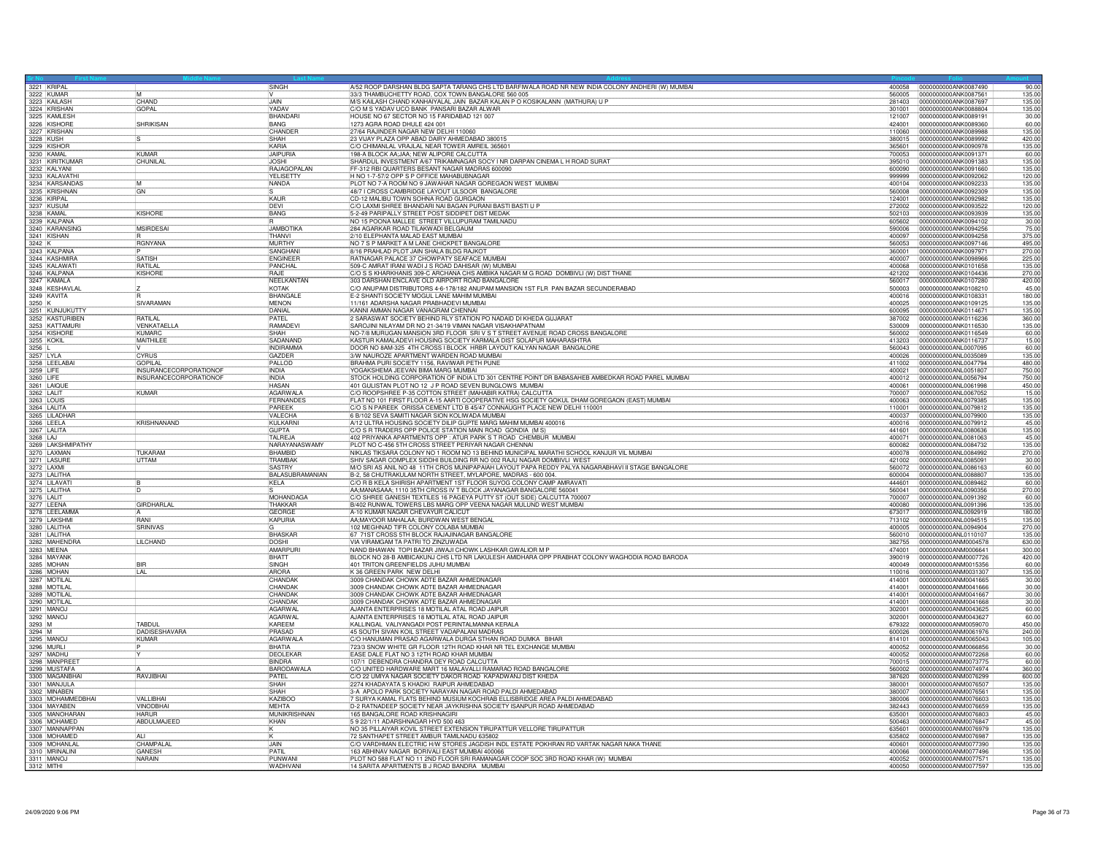| 3221 KRIPAL                     |                                 | SINGH                      | A/52 ROOP DARSHAN BLDG SAPTA TARANG CHS LTD BARFIWALA ROAD NR NEW INDIA COLONY ANDHERI (W) MUMBAI                                                                            |                  | 400058 0000000000ANK0087490                   | 90.00            |
|---------------------------------|---------------------------------|----------------------------|------------------------------------------------------------------------------------------------------------------------------------------------------------------------------|------------------|-----------------------------------------------|------------------|
| 3222 KUMAR                      |                                 |                            | 33/3 THAMBUCHETTY ROAD, COX TOWN BANGALORE 560 005                                                                                                                           | 560005           | 0000000000ANK0087561                          | 135.00           |
| 3223 KAILASH                    | CHAND                           | <b>LIAIN</b>               | M/S KAILASH CHAND KANHAIYALAL JAIN BAZAR KALAN P O KOSIKALANN (MATHURA) U P                                                                                                  | 281403           | 0000000000ANK0087697                          | 135.00           |
| 3224 KRISHAN<br>3225 KAMLESH    | <b>GOPAL</b>                    | YADAV                      | C/O M S YADAV UCO BANK PANSARI BAZAR ALWAR                                                                                                                                   | 301001           | 0000000000ANK0088804                          | 135.00           |
|                                 |                                 | BHANDARI                   | HOUSE NO 67 SECTOR NO 15 FARIDABAD 121 007                                                                                                                                   | 121007           | 0000000000ANK0089191                          | 30.00            |
| 3226 KISHORE                    | <b>SHRIKISAN</b>                | <b>BANG</b><br>CHANDER     | 1273 AGRA ROAD DHULE 424 001<br>27/64 RAJINDER NAGAR NEW DELHI 110060                                                                                                        | 424001<br>110060 | 0000000000ANK0089360<br>10000000000ANK0089988 | 60.00<br>135.00  |
| 3228 KUSH                       |                                 | SHAH                       |                                                                                                                                                                              | 380015           | 0000000000ANK0089992                          | 420.00           |
| 3229 KISHOR                     |                                 | KARIA                      | 23 VIJAY PLAZA OPP ABAD DAIRY AHMEDABAD 380015<br>C/O CHIMANLAL VRAJLAL NEAR TOWER AMREIL 365601                                                                             | 365601           | 0000000000ANK0090978                          | 135.00           |
| 3230 KAMAL                      | KUMAR                           | <b>JAIPURIA</b>            | 98-A BLOCK AA;JAA; NEW ALIPORE CALCUTTA                                                                                                                                      | 700053           | 0000000000ANK0091371                          | 60.00            |
| 3231 KIRITKUMAR                 | CHUNILAL                        | <b>JOSHI</b>               | SHARDUL INVESTMENT A/67 TRIKAMNAGAR SOCY I NR DARPAN CINEMA L H ROAD SURAT                                                                                                   | 395010           | 0000000000ANK0091383                          | 135.00           |
| 3232 KALYANI                    |                                 | RAJAGOPALAN                | FF-312 RBI QUARTERS BESANT NAGAR MADRAS 600090                                                                                                                               | 600090           | 0000000000ANK0091660                          | 135.00           |
| 3233 KALAVATH                   |                                 | YELISETTY                  | H NO 1-7-57/2 OPP S P OFFICE MAHABUBNAGAR                                                                                                                                    | 999999           | 0000000000ANK0092062                          | 120.00           |
|                                 |                                 | NANDA                      | PLOT NO 7-A ROOM NO 9 JAWAHAR NAGAR GOREGAON WEST MUMBAI                                                                                                                     | 400104           | 0000000000ANK0092233                          | 135.00           |
| 3234 KARSANDAS<br>3235 KRISHNAN | GN                              |                            | 48/7 I CROSS CAMBRIDGE LAYOUT ULSOOR BANGALORE                                                                                                                               | 560008           | 0000000000ANK0092309                          | 135.00           |
| 3236 KIRPAL                     |                                 | KAUR                       | CD-12 MALIBU TOWN SOHNA ROAD GURGAON                                                                                                                                         | 124001           | 0000000000ANK0092982                          | 135.00           |
| 3237 KUSUM                      |                                 | <b>IDFVI</b>               | C/O LAXMI SHREE BHANDARI NAI BAGAN PURANI BASTI BASTI U P                                                                                                                    | 272002           | 0000000000ANK0093522                          | 120.00           |
| 3238 KAMAL                      | KISHORE                         | <b>BANG</b>                | 5-2-49 PARIPALLY STREET POST SIDDIPET DIST MEDAH                                                                                                                             | 502103           | 0000000000ANK0093939                          | 135.00           |
| 3239 KALPANA                    |                                 |                            | NO 15 POONA MALLEE STREET VILLUPURAM TAMILNADU                                                                                                                               | 605602           | 0000000000ANK0094102                          | 30.00            |
| 3240 KARANSING                  | <b>MSIRDESAI</b>                | <b>JAMBOTIKA</b>           | 284 AGARKAR ROAD TILAKWADI BELGAUM                                                                                                                                           | 590006           | 0000000000ANK0094256                          | 75.00            |
| 3241 KISHAN                     |                                 | <b>THANVI</b>              | 2/10 ELEPHANTA MALAD EAST MUMBAI                                                                                                                                             | 400097           | 0000000000ANK0094258                          | 375.00           |
| 3242 K                          | <b>RGNYANA</b>                  | MURTHY                     | NO 7 S P MARKET A M LANE CHICKPET BANGALORE                                                                                                                                  | 560053           | 0000000000ANK0097146                          | 495.00           |
| 3243 KALPANA                    |                                 | SANGHAN                    | 8/16 PRAHLAD PLOT JAIN SHALA BLDG RAJKOT                                                                                                                                     | 360001           | 0000000000ANK0097971                          | 270.00           |
| 3244 KASHMIRA<br>3245 KALAWATI  | <b>SATISH</b><br><b>RATILAL</b> | <b>ENGINEER</b><br>PANCHAL | RATNAGAR PALACE 37 CHOWPATY SEAFACE MUMBAI<br>509-C AMRAT IRANI WADI J S ROAD DAHISAR (W) MUMBA                                                                              | 400007           | 0000000000ANK0098966                          | 225.00<br>135.00 |
|                                 |                                 | RAJE                       |                                                                                                                                                                              | 400068           | 10000000000ANK0101658                         |                  |
| 3246 KALPANA<br>3247 KAMALA     | <b>KISHORE</b>                  | NEELKANTAN                 | C/O S S KHARKHANIS 309-C ARCHANA CHS AMBIKA NAGAR M G ROAD DOMBIVLI (W) DIST THANE<br>303 DARSHAN ENCLAVE OLD AIRPORT ROAD BANGALORE                                         | 421202<br>560017 | 0000000000ANK0104436<br>0000000000ANK0107280  | 270.00<br>420.00 |
| 3248 KESHAVLAL                  |                                 | KOTAK                      | C/O ANUPAM DISTRIBUTORS 4-6-178/182 ANUPAM MANSION 1ST FLR PAN BAZAR SECUNDERABAD                                                                                            | 500003           | 0000000000ANK0108210                          | 45.00            |
| 3249 KAVITA                     |                                 | <b>BHANGAL</b>             | E-2 SHANTI SOCIETY MOGUL LANE MAHIM MUMBAI                                                                                                                                   | 400016           | 0000000000ANK0108331                          | 180.00           |
| 3250 K                          | SIVARAMAN                       | <b>MENON</b>               | 11/161 ADARSHA NAGAR PRABHADEVI MUMBAI                                                                                                                                       | 400025           | 0000000000ANK0109125                          | 135.00           |
| 3251 KUNJUKUTTY                 |                                 | DANIAL                     | KANNI AMMAN NAGAR VANAGRAM CHENNAI                                                                                                                                           | 600095           | 0000000000ANK0114671                          | 135.00           |
| 3252 KASTURIBEN                 | RATILAL                         | PATEL                      | 2 SARASWAT SOCIETY BEHIND RLY STATION PO NADAID DI KHEDA GUJARAT                                                                                                             | 387002           | 0000000000ANK0116236                          | 360.00           |
| 3253 KATTAMURI                  | <b>VENKATAFLLA</b>              | RAMADEV                    | SAROJINI NILAYAM DR NO 21-34/19 VIMAN NAGAR VISAKHAPATNAM                                                                                                                    | 530009           | 10000000000ANK0116530                         | 135.00           |
| 3254 KISHORE<br>3255 KOKIL      | KUMARC                          | <b>SHAH</b>                | NO-7/8 MURUGAN MANSION 3RD FLOOR SRIVS TSTREET AVENUE ROAD CROSS BANGALORE                                                                                                   | 560002           | 0000000000ANK0116549                          | 60.00            |
|                                 | MAITHILEI                       | SADANAND                   | KASTUR KAMALADEVI HOUSING SOCIETY KARMALA DIST SOLAPUR MAHARASHTRA                                                                                                           | 413203           | 0000000000ANK0116737                          | 15.00            |
| 3256 L                          |                                 | <b>INDIRAMMA</b>           | DOOR NO 8AM-325 4TH CROSS I BLOCK HRBR LAYOUT KALYAN NAGAR BANGALORE                                                                                                         | 560043           | 0000000000ANL0007095                          | 60.00            |
| 3257 LYLA                       | CYRUS                           | GAZDER                     | 3/W NAUROZE APARTMENT WARDEN ROAD MUMBAL                                                                                                                                     | 400026           | 0000000000ANL0035089                          | 135.00           |
| 3258 LEELABA                    | <b>GOPILAL</b>                  | PALLOD                     | BRAHMA PURI SOCIETY 1156, RAVIWAR PETH PUNE                                                                                                                                  | 411002           | 0000000000ANL0047794                          | 480.00           |
| 3259 LIFE                       | INSURANCECORPORATIONOF          | <b>INDIA</b>               | YOGAKSHEMA JEEVAN BIMA MARG MUMBAI                                                                                                                                           | 400021           | 0000000000ANL0051807                          | 750.00           |
| 3260 LIFE                       | <b>INSURANCECORPORATIONOF</b>   | <b>INDIA</b>               | STOCK HOLDING CORPORATION OF INDIA LTD 301 CENTRE POINT DR BABASAHEB AMBEDKAR ROAD PAREL MUMBAI                                                                              | 400012           | 0000000000ANL0056794                          | 750.00           |
| 3261 LAIQU                      |                                 | <b>HASAN</b>               | 401 GULISTAN PLOT NO 12 J P ROAD SEVEN BUNGLOWS MUMBAI                                                                                                                       | 400061           | 0000000000ANL0061998                          | 450.00           |
| 3262 LALIT                      | <b>KUMAR</b>                    | <b>AGARWALA</b>            | C/O ROOPSHREE P-35 COTTON STREET (MAHABIR KATRA) CALCUTTA                                                                                                                    | 700007           | 0000000000ANL0067052                          | 15.00            |
| 3263 LOUIS                      |                                 | FERNANDE:                  | FLAT NO 101 FIRST FLOOR A-15 AARTI COOPERATIVE HSG SOCIETY GOKUL DHAM GOREGAON (EAST) MUMBAI                                                                                 | 400063           | 0000000000ANL0079385                          | 135.00           |
| 3264 LALITA<br>3265 LILADHAP    |                                 | PAREEK<br>VALECHA          | C/O S N PAREEK ORISSA CEMENT LTD B 45/47 CONNAUGHT PLACE NEW DELHI 110001<br>6 B/102 SEVA SAMITI NAGAR SION KOLIWADA MUMBAI                                                  | 110001           | 0000000000ANL0079812                          | 135.00<br>135.00 |
| 3266 LEELA                      | KRISHNANAND                     | KULKARN                    | A/12 ULTRA HOUSING SOCIETY DILIP GUPTE MARG MAHIM MUMBAI 400016                                                                                                              | 400037<br>400016 | 0000000000ANL0079900<br>0000000000ANL0079912  | 45.00            |
| 3267 LALITA                     |                                 | GUPTA                      | C/O S R TRADERS OPP POLICE STATION MAIN ROAD GONDIA (MS)                                                                                                                     | 441601           | 00000000000ANI 0080636                        | 135.00           |
| 3268 LAJ                        |                                 | TAI RF.IA                  | 402 PRIYANKA APARTMENTS OPP : ATUR PARK S T ROAD CHEMBUR MUMBAI                                                                                                              | 400071           | 0000000000ANL0081063                          | 45.00            |
| 3269 LAKSHMIPATHY               |                                 | NARAYANASWAMY              | PLOT NO C-456 5TH CROSS STREET PERIYAR NAGAR CHENNAI                                                                                                                         | 600082           | 0000000000ANL0084732                          | 135.00           |
| 3270 LAXMAN                     | <b>TUKARAM</b>                  | BHAMBID                    | NIKLAS TIKSARA COLONY NO 1 ROOM NO 13 BEHIND MUNICIPAL MARATHI SCHOOL KANJUR VIL MUMBAI                                                                                      | 400078           | 10000000000ANL0084992                         | 270.00           |
| 3271 LASURE                     | <b>UTTAM</b>                    | TRAMBAK                    |                                                                                                                                                                              | 421002           | 0000000000ANL0085091                          | 30.00            |
| 3272 LAXMI                      |                                 | <b>SASTRY</b>              | SHIV SAGAR COMPLEX SIDDHI BUILDING RR NO 002 RAJU NAGAR DOMBIVLI WEST<br> MIO SRI AS ANIL NO 48 11TH CROS MUNIPAPAIAH LAYOUT PAPA REDDY PALYA NAGARABHAVI II STAGE BANGALORE | 560072           | 0000000000ANL0086163                          | 60.00            |
| 3273 LALITHA                    |                                 | BALASUBRAMANIAN            | B-2, 58 CHUTRAKULAM NORTH STREET, MYLAPORE, MADRAS - 600 004.                                                                                                                | 600004           | 0000000000ANL0088807                          | 135.00           |
| 3274 LILAVAT                    |                                 | KELA                       | C/O R B KELA SHIRISH APARTMENT 1ST FLOOR SUYOG COLONY CAMP AMRAVATI                                                                                                          | 444601           | 0000000000ANL0089462                          | 60.00            |
| 3275 LALITHA                    | Б                               |                            | AA;MANASAAA; 1110 35TH CROSS IV T BLOCK JAYANAGAR BANGALORE 560041                                                                                                           | 560041           | 0000000000ANL0090356                          | 270.00           |
| 3276 LALIT                      |                                 | MOHANDAGA                  | C/O SHREE GANESH TEXTILES 16 PAGEYA PUTTY ST (OUT SIDE) CALCUTTA 700007                                                                                                      | 700007           | 0000000000ANL0091392                          | 60.00            |
| 3277 LEENA                      | GIRDHARLAL                      | THAKKAR                    | B/402 RUNWAL TOWERS LBS MARG OPP VEENA NAGAR MULUND WEST MUMBAI                                                                                                              | 400080           | 0000000000ANL0091396                          | 135.00           |
| 3278 LEELAMMA                   |                                 | GEORGE                     | A-10 KUMAR NAGAR CHEVAYUR CALICUT                                                                                                                                            | 673017           | 0000000000ANL0092919                          | 180.00           |
| 3279 LAKSHMI                    | RANI                            | <b>KAPURIA</b>             | AA;MAYOOR MAHALAA; BURDWAN WEST BENGAL                                                                                                                                       | 713102           | 0000000000ANL0094515                          | 135.00           |
| 3280 LALITHA                    | <b>SRINIVAS</b>                 |                            | 102 MEGHNAD TIFR COLONY COLABA MUMBAI                                                                                                                                        | 400005           | 0000000000ANL0094904                          | 270.00           |
| 3281 LALITHA<br>3282 MAHENDRA   | LILCHAND                        | BHASKAR<br>DOSHI           | 67 71ST CROSS 5TH BLOCK RAJAJINAGAR BANGALORE<br>VIA VIRAMGAM TA PATRI TO ZINZUWADA                                                                                          | 560010<br>382755 | 0000000000ANL0110107<br>10000000000ANM0004578 | 135.00<br>630.00 |
| 3283 MEENA                      |                                 | <b>AMARPUR</b>             | NAND BHAWAN TOPI BAZAR JIWAJI CHOWK LASHKAR GWALIOR M P                                                                                                                      | 474001           | 0000000000ANM0006641                          | 300.00           |
| 3284 MAYANK                     |                                 | <b>BHATT</b>               | BLOCK NO 28-B AMBICAKUNJ CHS LTD NR LAKULESH AMIDHARA OPP PRABHAT COLONY WAGHODIA ROAD BARODA                                                                                | 390019           | 0000000000ANM0007726                          | 420.00           |
| 3285 MOHAN                      | RIF                             | SINGH                      | 401 TRITON GREENFIELDS JUHU MUMBAL                                                                                                                                           | 400049           | 0000000000ANM0015356                          | 60.00            |
|                                 | LAL                             | ARORA                      | K 36 GREEN PARK NEW DELHI                                                                                                                                                    | 110016           | 0000000000ANM0031307                          | 135.00           |
| 3286 MOHAN<br>3287 MOTILAL      |                                 | CHANDAM                    | 3009 CHANDAK CHOWK ADTE BAZAR AHMEDNAGAR                                                                                                                                     | 414001           | 0000000000ANM0041665                          | 30.00            |
| 3288 MOTILAL                    |                                 | CHANDAK                    | 3009 CHANDAK CHOWK ADTE BAZAR AHMEDNAGAR                                                                                                                                     | 414001           | 0000000000ANM0041666                          | 30.00            |
| 3289 MOTILAI                    |                                 | CHANDAR                    | 3009 CHANDAK CHOWK ADTE BAZAR AHMEDNAGAR                                                                                                                                     | 414001           | 0000000000ANM0041667                          | 30.00            |
| 3290 MOTILAL                    |                                 | <b>CHANDAK</b>             | 3009 CHANDAK CHOWK ADTE BAZAR AHMEDNAGAR                                                                                                                                     | 414001           | 0000000000ANM0041668                          | 30.00            |
| 3291 MANOJ                      |                                 | <b>AGARWAL</b>             | AJANTA ENTERPRISES 18 MOTILAL ATAL ROAD JAIPUR                                                                                                                               | 302001           | 0000000000ANM0043625                          | 60.00            |
| 3292 MANO                       |                                 | AGARWAI                    | AJANTA ENTERPRISES 18 MOTILAL ATAL ROAD JAIPUR                                                                                                                               | 302001           | 0000000000ANM0043627                          | 60.00            |
| 3293 M                          | TABDUL                          | KAREEM                     | KALLINGAL VALIYANGADI POST PERINTALMANNA KERALA                                                                                                                              | 679322           | 0000000000ANM0059070                          | 450.00           |
| 3294 M                          | DADISESHAVARA<br>KUMAR          | PRASAD                     | 45 SOUTH SIVAN KOIL STREET VADAPALANI MADRAS                                                                                                                                 | 600026<br>814101 | 0000000000ANM0061976                          | 240.00           |
| 3295 MANO<br>3296 MURLI         |                                 | <b>AGARWAL</b><br>BHATIA   | C/O HANUMAN PRASAD AGARWALA DURGA STHAN ROAD DUMKA BIHAR<br>723/3 SNOW WHITE GR FLOOR 12TH ROAD KHAR NR TEL EXCHANGE MUMBAI                                                  | 400052           | 0000000000ANM0065043<br>0000000000ANM0066856  | 105.00<br>30.00  |
| 3297 MADHL                      |                                 | <b>DEOLEKAR</b>            | EASE DALE FLAT NO 3 12TH ROAD KHAR MUMBA                                                                                                                                     | 400052           | 0000000000ANM0072268                          | 60.00            |
| 3298 MANPREE                    |                                 | <b>BINDRA</b>              | 107/1 DEBENDRA CHANDRA DEY ROAD CALCUTTA                                                                                                                                     | 700015           | 0000000000ANM0073775                          | 60.00            |
| 3299 MUSTAFA                    |                                 | BARODAWALA                 | C/O UNITED HARDWARE MART 16 MALAVALLI RAMARAO ROAD BANGALORE                                                                                                                 | 560002           | 0000000000ANM0074974                          | 360.00           |
| 3300 MAGANBHAI                  | RAVJIBHAI                       | PATEL                      | C/O 22 UMIYA NAGAR SOCIETY DAKOR ROAD KAPADWANJ DIST KHEDA                                                                                                                   | 387620           | 0000000000ANM0076299                          | 600.00           |
| 3301 MANJULA                    |                                 | SHAH                       | 2274 KHADAYATA S KHADKI RAIPUR AHMEDABAD                                                                                                                                     | 380001           | 0000000000ANM0076507                          | 135.00           |
| 3302 MINABEN                    |                                 | SHAH                       | 3-A APOLO PARK SOCIETY NARAYAN NAGAR ROAD PALDI AHMEDABAD                                                                                                                    | 380007           | 0000000000ANM0076561                          | 135.00           |
| 3303 MOHAMMEDBHAI               | VALLIBHAI                       | KAZIBOO                    | 7 SURYA KAMAL FLATS BEHIND MUSIUM KOCHRAB ELLISBRIDGE AREA PALDI AHMEDABAD                                                                                                   | 380006           | 0000000000ANM0076603                          | 135.00           |
| 3304 MAYABEN                    | VINODBHAI                       | MEHTA                      | D-2 RATNADEEP SOCIETY NEAR JAYKRISHNA SOCIETY ISANPUR ROAD AHMEDABAD                                                                                                         | 382443           | 0000000000ANM0076659                          | 135.00           |
| 3305 MANOHARAN                  | <b>HARUR</b>                    | MUNIKRISHNAN               | 165 BANGALORE ROAD KRISHNAGIRI                                                                                                                                               | 635001           | 0000000000ANM0076803                          | 45.00            |
| 3306 MOHAMED<br>3307 MANNAPPAN  | ABDULMAJEED                     | KHAN                       | 59 22/1/11 ADARSHNAGAR HYD 500 463                                                                                                                                           | 500463           | 0000000000ANM0076847                          | 45.00            |
|                                 |                                 |                            |                                                                                                                                                                              |                  |                                               | 135.00           |
|                                 |                                 |                            | NO 35 PILLAIYAR KOVIL STREET EXTENSION TIRUPATTUR VELLORE TIRUPATTUR                                                                                                         | 635601           | 0000000000ANM0076979                          |                  |
| 3308 MOHAMED                    |                                 |                            | 72 SANTHAPET STREET AMBUR TAMILNADU 635802                                                                                                                                   | 635802           | 0000000000ANM0076987                          | 135.00           |
|                                 | CHAMPALAL                       | <b>JAIN</b>                | C/O VARDHMAN ELECTRIC H/W STORES JAGDISH INDL ESTATE POKHRAN RD VARTAK NAGAR NAKA THANE                                                                                      | 400601           | 0000000000ANM0077390                          |                  |
| 3309 MOHANLAL<br>3310 MRINALINI | <b>GANESH</b>                   | PATIL                      | 163 ABHINAV NAGAR BORIVALI EAST MUMBAI 400066                                                                                                                                | 400066           | 0000000000ANM0077496                          | 135.00<br>135.00 |
| 3311 MANOJ                      | NARAIN                          | PUNWAN<br><b>WADHVANI</b>  | PLOT NO 588 FLAT NO 11 2ND FLOOR SRI RAMANAGAR COOP SOC 3RD ROAD KHAR (W) MUMBA<br>14 SARITA APARTMENTS B J ROAD BANDRA MUMBAI                                               | 400052           | 0000000000ANM0077571                          | 135.00<br>135.00 |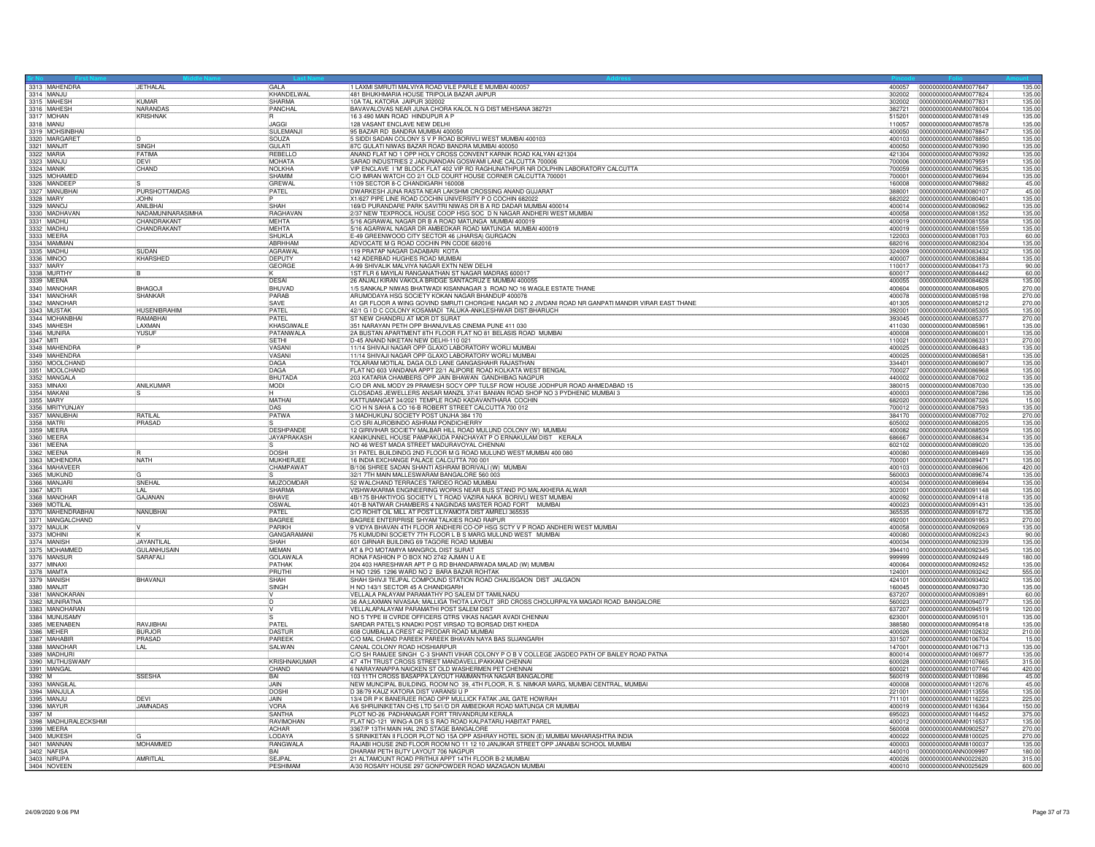| 3313 MAHENDRA                         | JETHALAL                    | GAI A                         | 1 LAXMI SMRUTI MALVIYA ROAD VILE PARLE E MUMBAI 400057                                                                                                                    |                  | 400057 0000000000ANM0077647<br>135.00                            |
|---------------------------------------|-----------------------------|-------------------------------|---------------------------------------------------------------------------------------------------------------------------------------------------------------------------|------------------|------------------------------------------------------------------|
| 3314 MANJU                            | <b>KIMAR</b>                | KHANDELWAL<br>SHARMA          | 481 BHUKHMARIA HOUSE TRIPOLIA BAZAR JAIPUR                                                                                                                                | 302002           | 0000000000ANM0077824<br>135.00                                   |
| 3315 MAHESH                           |                             |                               | 10A TAL KATORA JAIPUR 302002<br>BAVAVALOVAS NEAR JUNA CHORA KALOL N G DIST MEHSANA 382721                                                                                 | 302002           | 0000000000ANM0077831<br>135.00                                   |
| 3316 MAHESH<br>3317 MOHAN             | NARANDAS<br><b>KRISHNAK</b> | PANCHAL                       | 16 3 490 MAIN ROAD HINDUPUR A P                                                                                                                                           | 382721<br>515201 | 0000000000ANM0078004<br>135.00<br>0000000000ANM0078149<br>135.00 |
| 3318 MANU                             |                             | <b>JAGGI</b>                  | 128 VASANT ENCLAVE NEW DELHI                                                                                                                                              | 110057           | 0000000000ANM0078578<br>135.00                                   |
| 3319 MOHSINBHAI                       |                             | SULEMANJI                     | 95 BAZAR RD BANDRA MUMBAI 400050                                                                                                                                          | 400050           | 0000000000ANM0078847<br>135.00                                   |
| 3320 MARGARET                         |                             | SOUZA                         | 5 SIDDI SADAN COLONY S V P ROAD BORIVLI WEST MUMBAI 400103                                                                                                                | 400103           | 135.00<br>0000000000ANM0078850                                   |
| 3321 MANJIT                           | <b>SINGH</b>                | <b>GULATI</b>                 | 87C GULATI NIWAS BAZAR ROAD BANDRA MUMBAI 400050                                                                                                                          | 400050           | 0000000000ANM0079390<br>135.00                                   |
| 3322 MARIA                            | FATIMA                      | REBELLO                       | ANAND FLAT NO 1 OPP HOLY CROSS CONVENT KARNIK ROAD KALYAN 421304                                                                                                          | 421304           | 0000000000ANM0079392<br>135.00                                   |
| 3323 MANJU                            | DEVI                        | <b>MOHATA</b>                 | SARAD INDUSTRIES 2 JADUNANDAN GOSWAMI LANE CALCUTTA 700006                                                                                                                | 700006           | 0000000000ANM0079591<br>135.00                                   |
| 3324 MANIK                            | CHAND                       | NOLKHA                        | VIP ENCLAVE I 'M' BLOCK FLAT 402 VIP RD RAGHUNATHPUR NR DOLPHIN LABORATORY CALCUTTA                                                                                       | 700059           | 0000000000ANM0079635<br>135.00                                   |
| 3325 MOHAMED                          |                             | SHAMIM                        | C/O IMRAN WATCH CO 2/1 OLD COURT HOUSE CORNER CALCUTTA 700001                                                                                                             | 700001           | 0000000000ANM0079694<br>135.00                                   |
| 3326 MANDEEP<br>3327 MANUBHA          | PURSHOTTAMDAS               | <b>GREWAL</b><br><b>PATEL</b> | 1109 SECTOR 8-C CHANDIGARH 160008<br>DWARKESH JUNA RASTA NEAR LAKSHMI CROSSING ANAND GUJARAT                                                                              | 160008<br>388001 | 0000000000ANM0079882<br>45.00<br>45.00<br>0000000000ANM0080107   |
| 3328 MARY                             | <b>JOHN</b>                 |                               | X1/627 PIPE LINE ROAD COCHIN UNIVERSITY P O COCHIN 682022                                                                                                                 | 682022           | 0000000000ANM0080401<br>135.00                                   |
| 3329 MANO                             | <b>ANIL BHAI</b>            | SHAH                          | 169/D PURANDARE PARK SAVITRI NIWAS DR B A RD DADAR MUMBAI 400014                                                                                                          | 400014           | 0000000000ANM0080962<br>135.00                                   |
| 3330 MADHAVAN                         | NADAMUNINARASIMHA           | RAGHAVAN                      | 2/37 NEW TEXPROCIL HOUSE COOP HSG SOC D N NAGAR ANDHERI WEST MUMBAI                                                                                                       | 400058           | 0000000000ANM0081352<br>135.00                                   |
| 3331 MADHU                            | CHANDRAKANT                 | <b>MEHTA</b>                  | 5/16 AGRAWAL NAGAR DR B A ROAD MATUNGA MUMBAI 400019                                                                                                                      | 400019           | 0000000000ANM0081558<br>135.00                                   |
| 3332 MADHU                            | CHANDRAKANT                 | <b>MEHTA</b>                  | 5/16 AGARWAL NAGAR DR AMBEDKAR ROAD MATUNGA MUMBAI 400019                                                                                                                 | 400019           | 135.00<br>0000000000ANM0081559                                   |
| 3333 MEERA                            |                             | <b>SHUKLA</b>                 | E-49 GREENWOOD CITY SECTOR 46 (JHARSA) GURGAON                                                                                                                            | 122003           | 0000000000ANM0081703<br>60.00                                    |
| 3334 MAMMAN                           |                             | ABRHHAM                       | ADVOCATE M G ROAD COCHIN PIN CODE 682016                                                                                                                                  | 682016           | 135.00<br>0000000000ANM0082304                                   |
| 3335 MADHU                            | SUDAN                       | <b>AGRAWAL</b>                | 119 PRATAP NAGAR DADABARI KOTA                                                                                                                                            | 324009           | 0000000000ANM0083432<br>135.00                                   |
| 3336 MINOC                            | KHARSHED                    | <b>DEPUTY</b>                 | 142 ADERBAD HUGHES ROAD MUMBAI                                                                                                                                            | 400007           | 0000000000ANM0083884<br>135.00                                   |
| 3337 MARY                             |                             | <b>GEORGE</b>                 | A-99 SHIVALIK MALVIYA NAGAR EXTN NEW DELHI                                                                                                                                | 110017           | 0000000000ANM0084173<br>90.00                                    |
| 3338 MURTHY                           |                             |                               | 1ST FLR 6 MAYILAI RANGANATHAN ST NAGAR MADRAS 600017                                                                                                                      | 600017           | 0000000000ANM0084442<br>60.00                                    |
| 3339 MEENA                            |                             | DESAI                         | 26 ANJALI KIRAN VAKOLA BRIDGE SANTACRUZ E MUMBAI 400055                                                                                                                   | 400055           | 135.00<br>10000000000ANM0084628                                  |
| 3340 MANOHAF                          | <b>BHAGOJI</b>              | BHUVAD                        | 1/5 SANKALP NIWAS BHATWADI KISANNAGAR 3 ROAD NO 16 WAGLE ESTATE THANE                                                                                                     | 400604           | 0000000000ANM0084905<br>270.00                                   |
| 3341 MANOHAF                          | <b>SHANKAR</b>              | PARAB                         | ARUMODAYA HSG SOCIETY KOKAN NAGAR BHANDUP 400078                                                                                                                          | 400078           | 270.00<br>0000000000ANM0085198                                   |
| 3342 MANOHAR<br>3343 MUSTAK           | <b>HUSFNIBRAHIM</b>         | SAVE<br>PATEL                 | A1 GR FLOOR A WING GOVIND SMRUTI CHORGHE NAGAR NO 2 JIVDANI ROAD NR GANPATI MANDIR VIRAR EAST THANE                                                                       | 401305<br>392001 | 0000000000ANM0085212<br>270.00<br>135.00<br>0000000000ANM0085305 |
| 3344 MOHANBHAI                        | <b>RAMARHAI</b>             | PATFI                         | 42/1 G I D C COLONY KOSAMADI TALUKA-ANKLESHWAR DIST:BHARUCH<br>ST NEW CHANDRU AT MOR DT SURAT                                                                             | 393045           | 0000000000ANM0085377<br>270.00                                   |
| 3345 MAHESH                           | LAXMAN                      | KHASGIWALE                    | 351 NARAYAN PETH OPP BHANUVILAS CINEMA PUNE 411 030                                                                                                                       | 411030           | 0000000000ANM0085961<br>135.00                                   |
| 3346 MUNIRA                           | YUSUF                       | PATANWALA                     | 2A BUSTAN APARTMENT 8TH FLOOR FLAT NO 81 BELASIS ROAD MUMBAI                                                                                                              | 400008           | 135.00<br>0000000000ANM0086001                                   |
| 3347 MITI                             |                             | <b>SETHI</b>                  | D-45 ANAND NIKETAN NEW DELHI-110 021                                                                                                                                      | 110021           | 0000000000ANM0086331<br>270.00                                   |
| 3348 MAHENDRA                         |                             | VASAN                         | 11/14 SHIVAJI NAGAR OPP GLAXO LABORATORY WORLI MUMBAI                                                                                                                     | 400025           | 0000000000ANM0086483<br>135.0                                    |
| 3349 MAHENDRA                         |                             | VASAN                         | 11/14 SHIVAJI NAGAR OPP GLAXO LABORATORY WORLI MUMBAI                                                                                                                     | 400025           | 0000000000ANM0086581<br>135.00                                   |
| 3350 MOOLCHAND                        |                             | DAGA                          | TOLARAM MOTILAL DAGA OLD LANE GANGASHAHR RAJASTHAN                                                                                                                        | 334401           | 0000000000ANM0086907<br>135.0                                    |
| 3351 MOOLCHAND                        |                             | DAGA                          | FLAT NO 603 VANDANA APPT 22/1 ALIPORE ROAD KOLKATA WEST BENGAL                                                                                                            | 700027           | 0000000000ANM0086968<br>135.00                                   |
| 3352 MANGALA                          |                             | <b>BHUTADA</b>                | 203 KATARIA CHAMBERS OPP JAIN BHAWAN GANDHIBAG NAGPUR                                                                                                                     | 440002           | 0000000000ANM0087002<br>135.00                                   |
| 3353 MINAXI                           | <b>ANILKUMAR</b>            | <b>MODI</b>                   | C/O DR ANIL MODY 29 PRAMESH SOCY OPP TULSF ROW HOUSE JODHPUR ROAD AHMEDABAD 15                                                                                            | 380015           | 0000000000ANM0087030<br>135.00                                   |
| 3354 MAKANI                           |                             | IН.                           | CLOSADAS JEWELLERS ANSAR MANZIL 37/41 BANIAN ROAD SHOP NO 3 PYDHENIC MUMBAI 3                                                                                             | 400003           | 0000000000ANM0087286<br>135.00                                   |
| 3355 MARY                             |                             | <b>MATHAI</b>                 | KATTUMANGAT 34/2021 TEMPLE ROAD KADAVANTHARA COCHIN                                                                                                                       | 682020           | 15.00<br>0000000000ANM0087326                                    |
| 3356 MRITYUNJAY<br>3357 MANUBHAI      | RATILAL                     | DAS<br>PATWA                  | C/O H N SAHA & CO 16-B ROBERT STREET CALCUTTA 700 012<br>3 MADHUKUNJ SOCIETY POST UNJHA 384 170                                                                           | 700012<br>384170 | 0000000000ANM0087593<br>135.00<br>0000000000ANM0087702<br>270.00 |
| 3358 MATRI                            | PRASAD                      |                               | C/O SRI AUROBINDO ASHRAM PONDICHERRY                                                                                                                                      | 605002           | 0000000000ANM0088205<br>135.00                                   |
| 3359 MEERA                            |                             | <b>DESHPANDE</b>              | 12 GIRIVIHAR SOCIETY MALBAR HILL ROAD MULUND COLONY (W) MUMBAI                                                                                                            | 400082           | 0000000000ANM0088509<br>135.00                                   |
| 3360 MEERA                            |                             | <b>JAYAPRAKASH</b>            | KANIKUNNEL HOUSE PAMPAKUDA PANCHAYAT P O ERNAKULAM DIST KERALA                                                                                                            | 686667           | 0000000000ANM0088634<br>135.00                                   |
| 3361 MEENA                            |                             |                               | NO 46 WEST MADA STREET MADURAVOYAL CHENNAI                                                                                                                                | 602102           | 0000000000ANM0089020<br>135.00                                   |
| 3362 MEENA                            |                             | <b>DOSHI</b>                  | 31 PATEL BUILDINDG 2ND FLOOR M G ROAD MULUND WEST MUMBAI 400 080                                                                                                          | 400080           | 0000000000ANM0089469<br>135.00                                   |
| 3363 MOHENDRA                         | NATH                        | <b>MUKHERJE</b>               | 16 INDIA EXCHANGE PALACE CALCUTTA 700 001                                                                                                                                 | 700001           | 0000000000ANM0089471<br>135.0                                    |
| 3364 MAHAVEER                         |                             | CHAMPAWAT                     | B/106 SHREE SADAN SHANTI ASHRAM BORIVALI (W) MUMBAI                                                                                                                       | 400103           | 0000000000ANM0089606<br>420.00                                   |
| 3365 MUKUND                           |                             |                               | 32/1 7TH MAIN MALLESWARAM BANGALORE 560 003                                                                                                                               | 560003           | 0000000000ANM0089674<br>135.00                                   |
| 3366 MANJARI                          | SNEHAL                      | <b>MUZOOMDAR</b>              | 52 WALCHAND TERRACES TARDEO ROAD MUMBAI                                                                                                                                   | 400034           | 0000000000ANM0089694<br>135.00                                   |
| 3367 MOTI                             | <b>LAL</b>                  | SHARMA                        | VISHWAKARMA ENGINEERING WORKS NEAR BUS STAND PO MALAKHERA ALWAR                                                                                                           | 302001           | 0000000000ANM0091148<br>135.00                                   |
| 3368 MANOHAR                          | GAJANAN                     | <b>BHAVE</b>                  | 4B/175 BHAKTIYOG SOCIETY L T ROAD VAZIRA NAKA BORIVLI WEST MUMBAI                                                                                                         | 400092           | 0000000000ANM0091418<br>135.00                                   |
| 3369 MOTILAL                          |                             | OSWAL                         | 401-B NATWAR CHAMBERS 4 NAGINDAS MASTER ROAD FORT MUMBAI<br>C/O ROHIT OIL MILL AT POST LILIYAMOTA DIST AMRELI 365535                                                      | 400023           | 0000000000ANM0091431<br>135.00<br>0000000000ANM0091672           |
| 3370 MAHENDRABHAI<br>3371 MANGALCHAND | <b>NANUBHAI</b>             | PATEL<br><b>BAGREE</b>        | BAGREE ENTERPRISE SHYAM TALKIES ROAD RAIPUR                                                                                                                               | 365535<br>492001 | 135.00<br>0000000000ANM0091953<br>270.00                         |
| 3372 MAULIK                           |                             | PARIKH                        | 9 VIDYA BHAVAN 4TH FLOOR ANDHERI CO-OP HSG SCTY V P ROAD ANDHERI WEST MUMBAI                                                                                              | 400058           | 0000000000ANM0092069<br>135.00                                   |
| 3373 MOHINI                           |                             | <b>GANGARAMANI</b>            | 75 KUMUDINI SOCIETY 7TH FLOOR L B S MARG MULUND WEST MUMBAI                                                                                                               | 400080           | 0000000000ANM0092243<br>90.00                                    |
| 3374 MANISH                           | JAYANTILAL                  | SHAH                          | 601 GIRNAR BUILDING 69 TAGORE ROAD MUMBAI                                                                                                                                 | 400034           | 0000000000ANM0092339<br>135.00                                   |
| 3375 MOHAMMED                         | <b>GULANHUSAIN</b>          | <b>MFMAN</b>                  | AT & PO MOTAMIYA MANGROL DIST SURAT                                                                                                                                       | 394410           | 0000000000ANM0092345<br>135.00                                   |
| 3376 MANSUR                           | SARAFALI                    | GOLAWAL                       | RONA FASHION P O BOX NO 2742 AJMAN U A E                                                                                                                                  | 999999           | 180.00<br>0000000000ANM0092449                                   |
| 3377 MINAXI                           |                             | PATHAK                        | 204 403 HARESHWAR APT P G RD BHANDARWADA MALAD (W) MUMBAI                                                                                                                 | 400064           | 0000000000ANM0092452<br>135.00                                   |
| 3378 MAMTA                            |                             | PRUTHI                        | H NO 1295 1296 WARD NO 2 BARA BAZAR ROHTAK                                                                                                                                | 124001           | 0000000000ANM0093242<br>555.00                                   |
| 3379 MANISH                           | BHAVANJI                    | SHAH                          | SHAH SHIVJI TEJPAL COMPOUND STATION ROAD CHALISGAON DIST JALGAON                                                                                                          | 424101           | 0000000000ANM0093402<br>135.00                                   |
| 3380 MANJIT<br>3381 MANOKARAN         |                             | SINGH                         | H NO 143/1 SECTOR 45 A CHANDIGARH<br>VELLALA PALAYAM PARAMATHY PO SALEM DT TAMILNADU                                                                                      | 160045           | 0000000000ANM0093730<br>135.00<br>0000000000ANM0093891<br>60.00  |
| 3382 MUNIRATNA                        |                             | ID.                           | 36 AA;LAXMAN NIVASAA; MALLIGA THOTA LAYOUT 3RD CROSS CHOLURPALYA MAGADI ROAD BANGALORE                                                                                    | 637207<br>560023 | 135.00<br>0000000000ANM0094077                                   |
| 3383 MANOHARAN                        |                             | lV.                           | VELLALAPALAYAM PARAMATHI POST SALEM DIST                                                                                                                                  | 637207           | 0000000000ANM0094519<br>120.00                                   |
| 3384 MUNUSAMY                         |                             |                               | NO 5 TYPE III CVRDE OFFICERS QTRS VIKAS NAGAR AVADI CHENNAI                                                                                                               | 623001           | 135.00<br>0000000000ANM0095101                                   |
| 3385 MEENABEN                         | RAVJIBHAI                   | PATEL                         | SARDAR PATEL'S KNADKI POST VIRSAD TO BORSAD DIST KHEDA                                                                                                                    | 388580           | 0000000000ANM0095418<br>135.00                                   |
| 3386 MFHFR                            | <b>BURJOR</b>               | DASTUR                        | 608 CUMBALLA CREST 42 PEDDAR ROAD MUMBAI                                                                                                                                  | 400026           | 0000000000ANM0102632<br>210.00                                   |
| 3387 MAHABIR                          | <b>PRASAD</b>               | PARFFK                        | C/O MAL CHAND PAREEK PAREEK BHAVAN NAYA BAS SUJANGARH                                                                                                                     |                  | 15.00                                                            |
| 3388 MANOHAR                          | LAL                         | <b>SALWAN</b>                 | CANAL COLONY ROAD HOSHIARPUR                                                                                                                                              | 147001           | 0000000000ANM0106713<br>135.00                                   |
| 3389 MADHURI                          |                             |                               | C/O SH RAMJEE SINGH C-3 SHANTI VIHAR COLONY P O B V COLLEGE JAGDEO PATH OF BAILEY ROAD PATNA                                                                              | 800014           | 135.00<br>10000000000ANM0106977                                  |
| 3390 MUTHUSWAMY                       |                             | <b>KRISHNAKUMAR</b>           | 47 4TH TRUST CROSS STREET MANDAVELLIPAKKAM CHENNAI                                                                                                                        | 600028           | 0000000000ANM0107665<br>315.00                                   |
| 3391 MANGAL                           |                             | CHAND                         | 6 NARAYANAPPA NAICKEN ST OLD WASHERMEN PET CHENNAL                                                                                                                        | 600021           | 0000000000ANM0107746<br>420.00                                   |
| 3392 M                                | <b>SSESHA</b>               | <b>BAI</b><br><b>JAIN</b>     | 103 11TH CROSS BASAPPA LAYOUT HAMMANTHA NAGAR BANGALORE                                                                                                                   | 560019           | 0000000000ANM0110896<br>45.00                                    |
| 3393 MANGILA<br>3394 MANJULA          |                             | <b>DOSH</b>                   | NEW MUNCIPAL BUILDING, ROOM NO 39, 4TH FLOOR, R. S. NIMKAR MARG, MUMBAI CENTRAL, MUMBAI<br>D 38/79 KAUZ KATORA DIST VARANSI U P                                           | 400008<br>221001 | 0000000000ANM0112076<br>45.00<br>135.00<br>0000000000ANM0113556  |
| 3395 MANJL                            | DEVI                        | JAIN                          | 13/4 DR P K BANERJEE ROAD OPP MULLICK FATAK JAIL GATE HOWRAH                                                                                                              | 711101           | 0000000000ANM0116223<br>225.00                                   |
| 3396 MAYUF                            | <b>JAMNADAS</b>             | VORA                          | A/6 SHRIJINIKETAN CHS LTD 541/D DR AMBEDKAR ROAD MATUNGA CR MUMBAI                                                                                                        | 400019           | 150.00<br>0000000000ANM0116364                                   |
| 3397 M                                |                             | <b>SANTHA</b>                 | PLOT NO-26 PADHANAGAR FORT TRIVANDRUM KERALA                                                                                                                              | 695023           | 0000000000ANM0116452<br>375.00                                   |
| 3398 MADHURALECKSHMI                  |                             | RAVIMOHAN                     | FLAT NO-121 WING-A DR S S RAO ROAD KALPATARU HABITAT PAREL                                                                                                                | 400012           | 0000000000ANM0116537<br>135.0                                    |
| 3399 MEERA                            |                             | <b>ACHAR</b>                  | 3367/P 13TH MAIN HAL 2ND STAGE BANGALORE                                                                                                                                  | 560008           | 270.00<br>0000000000ANM0902527                                   |
| 3400 MUKESH                           |                             | LODAYA                        | 5 SRINIKETAN II FLOOR PLOT NO 15A OPP ASHRAY HOTEL SION (E) MUMBAI MAHARASHTRA INDIA<br>RAJABI HOUSE 2ND FLOOR ROOM NO 11 12 10 JANJIKAR STREET OPP JANABAI SCHOOL MUMBAI | 400022           | 0000000000ANM8100025<br>270.00                                   |
| 3401 MANNAN                           | MOHAMMED                    | <b>RANGWAL</b>                |                                                                                                                                                                           | 400003           | 0000000000ANM8100037<br>135.00                                   |
| 3402 NAFISA                           |                             | RAI                           | DHARAM PETH BUTY LAYOUT 706 NAGPUR                                                                                                                                        | 440010           | 0000000000ANN0009997<br>180.00                                   |
| 3403 NIRUPA                           | AMRITLAL                    | <b>SEJPAL</b>                 | 21 ALTAMOUNT ROAD PRITHUI APPT 14TH FLOOR B-2 MUMBAI                                                                                                                      | 400026           | 0000000000ANN0022620<br>315.00                                   |
| 3404 NOVEEN                           |                             | PESHIMAN                      | A/30 ROSARY HOUSE 297 GONPOWDER ROAD MAZAGAON MUMBA                                                                                                                       |                  | 600.00                                                           |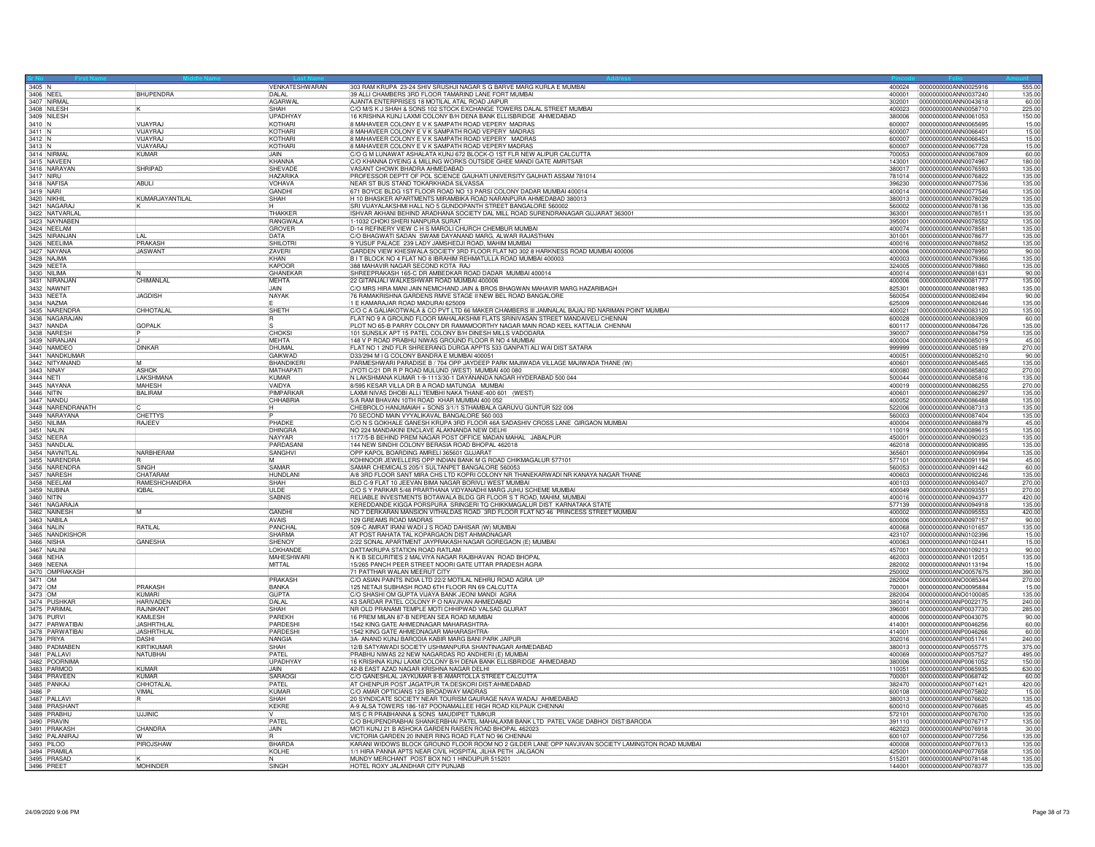| $3405$ N           |                                    |                                        |                                   |                                                                                                                                                            | 400024           |                                                                  |
|--------------------|------------------------------------|----------------------------------------|-----------------------------------|------------------------------------------------------------------------------------------------------------------------------------------------------------|------------------|------------------------------------------------------------------|
| 3406 NEEL          |                                    | <b>BHUPENDRA</b>                       | VENKATESHWARAN<br>DAI AI          | 303 RAM KRUPA 23-24 SHIV SRUSHJI NAGAR S G BARVE MARG KURLA E MUMBAI<br>39 ALLI CHAMBERS 3RD FLOOR TAMARIND LANE FORT MUMBAI                               | 400001           | 0000000000ANN0025916<br>555.00<br>0000000000ANN0037240<br>135.00 |
|                    | 3407 NIRMA                         |                                        | AGARWAL                           | AJANTA ENTERPRISES 18 MOTILAL ATAL ROAD JAIPUR                                                                                                             | 302001           | 0000000000ANN0043618<br>60.00                                    |
|                    | 3408 NILESH                        |                                        | SHAH                              | C/O M/S K J SHAH & SONS 102 STOCK EXCHANGE TOWERS DALAL STREET MUMBAL                                                                                      | 400023           | 0000000000ANN0058710<br>225.00                                   |
| 3410 N             | 3409 NILESH                        | VIJAYRAJ                               | UPADHYAY<br>KOTHARI               | 16 KRISHNA KUNJ LAXMI COLONY B/H DENA BANK ELLISBRIDGE AHMEDABAD<br>8 MAHAVEER COLONY E V K SAMPATH ROAD VEPERY MADRAS                                     | 380006<br>600007 | 0000000000ANN0061053<br>150.00<br>0000000000ANN0065695<br>15.00  |
| $3411$ N           |                                    | VIJAYRAJ                               | KOTHARI                           | 8 MAHAVEER COLONY E V K SAMPATH ROAD VEPERY MADRAS                                                                                                         | 600007           | 15.00<br>0000000000ANN0066401                                    |
| 3412 N             |                                    | VIJAYRAJ                               | KOTHAR                            | 8 MAHAVEER COLONY E V K SAMPATH ROAD VEPERY MADRAS                                                                                                         | 600007           | 0000000000ANN0066453<br>15.00                                    |
|                    | 3413 N<br>3414 NIRMAI              | VIJAYARAJ                              | KOTHARI<br><b>JAIN</b>            | 8 MAHAVEER COLONY E V K SAMPATH ROAD VEPERY MADRAS                                                                                                         | 600007           | 0000000000ANN0067728<br>15.00                                    |
|                    | 3415 NAVEEN                        | <b>KUMAR</b>                           | KHANNA                            | C/O G M LUNAWAT ASHALATA KUNJ 672 BLOCK-O 1ST FLR NEW ALIPUR CALCUTTA<br>C/O KHANNA DYEING & MILLING WORKS OUTSIDE GHEE MANDI GATE AMRITSAR                | 700053<br>143001 | 0000000000ANN0067809<br>60.00<br>0000000000ANN0074967<br>180.00  |
|                    | 3416 NARAYAN                       | <b>SHRIPAD</b>                         | SHEVADE                           | VASANT CHOWK BHADRA AHMEDABAD                                                                                                                              | 380017           | 0000000000ANN0076593<br>135.00                                   |
| 3417 NIRU          |                                    |                                        | <b>HAZARIKA</b>                   | PROFESSOR DEPTT OF POL SCIENCE GAUHATI UNIVERSITY GAUHATI ASSAM 781014                                                                                     | 781014           | 0000000000ANN0076822<br>135.00                                   |
|                    | 3418 NAFISA                        | ABULI                                  | VOHAVA<br><b>GANDHI</b>           | NEAR ST BUS STAND TOKARKHADA SILVASSA<br>671 BOYCE BLDG 1ST FLOOR ROAD NO 13 PARSI COLONY DADAR MUMBAI 400014                                              | 396230<br>400014 | 0000000000ANN0077536<br>135.00<br>0000000000ANN0077546<br>135.00 |
| 3420 NIKHI         |                                    | KUMARJAYANTILAL                        | SHAH                              | H 10 BHASKER APARTMENTS MIRAMBIKA ROAD NARANPURA AHMEDABAD 380013                                                                                          | 380013           | 0000000000ANN0078029<br>135.00                                   |
|                    | 3421 NAGARA                        |                                        |                                   | SRI VIJAYALAKSHMI HALL NO 5 GUNDOPANTH STREET BANGALORE 560002                                                                                             | 560002           | 0000000000ANN0078136<br>135.00                                   |
|                    | 3422 NATVARLAL                     |                                        | THAKKER                           | ISHVAR AKHANI BEHIND ARADHANA SOCIETY DAL MILL ROAD SURENDRANAGAR GUJARAT 363001                                                                           | 363001           | 0000000000ANN0078511<br>135.00                                   |
|                    | 3423 NAYNABEN<br>3424 NEELAM       |                                        | RANGWALA<br><b>GROVER</b>         | 1-1032 CHOKI SHERI NANPURA SURAT<br>D-14 REFINERY VIEW C H S MAROLI CHURCH CHEMBUR MUMBAI                                                                  | 395001<br>400074 | 0000000000ANN0078552<br>135.00<br>0000000000ANN0078581<br>135.00 |
|                    | 3425 NIRANJAN                      |                                        | DATA                              | C/O BHAGWATI SADAN SWAMI DAYANAND MARG, ALWAR RAJASTHAN                                                                                                    | 301001           | 0000000000ANN0078677<br>135.00                                   |
|                    | 3426 NEELIMA                       | PRAKASH                                | <b>SHILOTR</b>                    | 9 YUSUF PALACE 239 LADY JAMSHEDJI ROAD, MAHIM MUMBAI                                                                                                       | 400016           | 135.00<br>0000000000ANN0078852                                   |
|                    | 3427 NAYANA                        | <b>JASWANT</b>                         | ZAVERI                            | GARDEN VIEW KHESWALA SOCIETY 3RD FLOOR FLAT NO 302 8 HARKNESS ROAD MUMBAI 400006                                                                           | 400006           | 0000000000ANN0078950<br>90.00                                    |
|                    | 3428 NAJMA<br>3429 NEETA           |                                        | KHAN<br>KAPOOR                    | B IT BLOCK NO 4 FLAT NO 8 IBRAHIM REHMATULLA ROAD MUMBAI 400003<br>388 MAHAVIR NAGAR SECOND KOTA RAJ                                                       | 400003<br>324005 | 0000000000ANN0079366<br>135.00<br>0000000000ANN0079860<br>135.00 |
|                    | 3430 NILIMA                        |                                        | GHANFKAF                          | SHREEPRAKASH 165-C DR AMBEDKAR ROAD DADAR MUMBAI 400014                                                                                                    | 400014           | 0000000000ANN0081631<br>90.00                                    |
|                    | 3431 NIRANJAN                      | CHIMANLAL                              | MEHTA                             | 22 GITANJALI WALKESHWAR ROAD MUMBAI 400006                                                                                                                 | 400006           | 135.00<br>0000000000ANN0081777                                   |
|                    | 3432 NAWNIT                        |                                        | <b>JAIN</b>                       | C/O MRS HIRA MANI JAIN NEMICHAND JAIN & BROS BHAGWAN MAHAVIR MARG HAZARIBAGH                                                                               | 825301           | 0000000000ANN0081983<br>135.00                                   |
|                    | 3433 NEETA<br>3434 NAZMA           | <b>JAGDISH</b>                         | <b>NAYAK</b>                      | 76 RAMAKRISHNA GARDENS RMVE STAGE II NEW BEL ROAD BANGALORE<br>1 E KAMARAJAR ROAD MADURAI 625009                                                           | 560054<br>625009 | 0000000000ANN0082494<br>90.00<br>0000000000ANN0082646<br>135.00  |
|                    | 3435 NARENDRA                      | CHHOTALAL                              | SHETH                             | C/O C A GALIAKOTWALA & CO PVT LTD 66 MAKER CHAMBERS III JAMNALAL BAJAJ RD NARIMAN POINT MUMBAI                                                             | 400021           | 0000000000ANN0083120<br>135.00                                   |
|                    | 3436 NAGARAJAN                     | İΒ.                                    |                                   | FLAT NO 9 A GROUND FLOOR MAHALAKSHMI FLATS SRINIVASAN STREET MANDAIVELI CHENNAI                                                                            | 600028           | 0000000000ANN0083909<br>60.00                                    |
|                    | 3437 NANDA                         | <b>GOPALK</b>                          |                                   | PLOT NO 65-B PARRY COLONY DR RAMAMOORTHY NAGAR MAIN ROAD KEEL KATTALIA CHENNAI                                                                             | 600117           | 135.00<br>0000000000ANN0084726                                   |
|                    | 3438 NARESH<br>3439 NIRANJAN       |                                        | CHOKS<br><b>MEHTA</b>             | 101 SUNSILK APT 15 PATEL COLONY B/H DINESH MILLS VADODARA<br>148 V P ROAD PRABHU NIWAS GROUND FLOOR R NO 4 MUMBAI                                          | 390007<br>400004 | 135.00<br>0000000000ANN0084759<br>0000000000ANN0085019<br>45.00  |
|                    | 3440 NAMDEO                        | <b>DINKAR</b>                          | <b>DHUMAL</b>                     | FLAT NO 1 2ND FLR SHREERANG DURGA APPTS 533 GANPATI ALI WAI DIST SATARA                                                                                    | 999999           | 270.00<br>0000000000ANN0085189                                   |
|                    | 3441 NANDKUMAR                     |                                        | <b>GAIKWAD</b>                    | D33/294 M I G COLONY BANDRA E MUMBAI 400051                                                                                                                | 400051           | 0000000000ANN0085210<br>90.00                                    |
|                    | 3442 NITYANAND                     |                                        | BHANDIKER                         | PARMESHWARI PARADISE B / 704 OPP JAYDEEP PARK MAJIWADA VILLAGE MAJIWADA THANE (W)                                                                          | 400601           | 135.00<br>0000000000ANN0085465                                   |
| 3444 NETI          | 3443 NINAY                         | <b>ASHOK</b><br>LAKSHMANA              | MATHAPATI<br>KUMAR                | JYOTI C/21 DR R P ROAD MULUND (WEST) MUMBAI 400 080<br>N LAKSHMANA KUMAR 1-9-1113/30-1 DAYANANDA NAGAR HYDERABAD 500 044                                   | 400080<br>500044 | 0000000000ANN0085802<br>270.00<br>0000000000ANN0085816<br>135.00 |
|                    | 3445 NAYANA                        | <b>MAHFSH</b>                          | VAIDYA                            | 8/595 KESAR VILLA DR B A ROAD MATUNGA MUMBAI                                                                                                               | 400019           | 0000000000ANN0086255<br>270.00                                   |
|                    | 3446 NITIN                         | <b>BALIRAM</b>                         | PIMPARKAF                         | LAXMI NIVAS DHOBI ALLI TEMBHI NAKA THANE-400 601 (WEST)                                                                                                    | 400601           | 0000000000ANN0086297<br>135.00                                   |
|                    | 3447 NANDL                         |                                        | CHHABRIA                          | 5/A RAM BHAVAN 10TH ROAD KHAR MUMBAI 400 052                                                                                                               | 400052           | 0000000000ANN0086488<br>135.00                                   |
|                    | 3448 NARENDRANATH<br>3449 NARAYANA | <b>CHETTYS</b>                         |                                   | CHEBROLO HANUMAIAH + SONS 3/1/1 STHAMBALA GARUVU GUNTUR 522 006<br>70 SECOND MAIN VYYALIKAVAL BANGALORE 560 003                                            | 522006<br>560003 | 0000000000ANN0087313<br>135.00<br>0000000000ANN0087404<br>135.00 |
|                    | 3450 NILIMA                        | RAJEEV                                 | PHADKE                            | C/O N S GOKHALE GANESH KRUPA 3RD FLOOR 46A SADASHIV CROSS LANE GIRGAON MUMBAI                                                                              | 400004           | 45.00<br>0000000000ANN0088879                                    |
|                    | 3451 NALIN                         |                                        | DHINGRA                           | NO 224 MANDAKINI ENCLAVE ALAKNANDA NEW DELHI                                                                                                               | 110019           | 0000000000ANN0089615<br>135.00                                   |
|                    | 3452 NEERA                         |                                        | NAYYAR                            | 1177/5-B BEHIND PREM NAGAR POST OFFICE MADAN MAHAL JABALPUR                                                                                                | 450001           | 0000000000ANN0090023<br>135.00                                   |
|                    | 3453 NANDLA<br>3454 NAVNITLAL      | <b>NARBHERAM</b>                       | PARDASAN<br>SANGHVI               | 144 NEW SINDHI COLONY BERASIA ROAD BHOPAL 462018<br>OPP KAPOL BOARDING AMRELI 365601 GUJARAT                                                               | 462018<br>365601 | 0000000000ANN0090895<br>135.00<br>135.00<br>0000000000ANN0090994 |
|                    | 3455 NARENDRA                      | M                                      |                                   | KOHINOOR JEWELLERS OPP INDIAN BANK M G ROAD CHIKMAGALUR 577101                                                                                             | 577101           | 0000000000ANN0091194<br>45.00                                    |
|                    | 3456 NARENDRA                      | SINGH                                  | <b>SAMAR</b>                      | SAMAR CHEMICALS 205/1 SULTANPET BANGALORE 560053                                                                                                           | 560053           | 0000000000ANN0091442<br>60.00                                    |
|                    | 3457 NARESH                        | CHATARAM                               | <b>HUNDLAN</b>                    | A/8 3RD FLOOR SANT MIRA CHS LTD KOPRI COLONY NR THANEKARWADI NR KANAYA NAGAR THANE                                                                         | 400603           | 0000000000ANN0092246<br>135.00                                   |
|                    | 3458 NEELAM<br>3459 NUBINA         | RAMESHCHANDRA<br><b>IQBAL</b>          | SHAH<br>ULDE                      | BLD C-9 FLAT 10 JEEVAN BIMA NAGAR BORIVLI WEST MUMBAI<br>C/O S Y PARKAR 5/48 PRARTHANA VIDYANADHI MARG JUHU SCHEME MUMBA                                   | 400103<br>400049 | 0000000000ANN0093407<br>270.00<br>0000000000ANN0093551<br>270.00 |
|                    | 3460 NITIN                         |                                        | <b>SABNIS</b>                     | RELIABLE INVESTMENTS BOTAWALA BLDG GR FLOOR S T ROAD, MAHIM, MUMBAI                                                                                        | 400016           | 0000000000ANN0094377<br>420.00                                   |
|                    | 3461 NAGARAJA                      |                                        |                                   | KEREDDANDE KIGGA PORSPURA SRINGERI TO CHIKKMAGALUR DIST KARNATAKA STATE                                                                                    | 577139           | 0000000000ANN0094918<br>135.00                                   |
|                    | 3462 NAINESH                       |                                        | GANDHI                            | NO 7 DERKARAN MANSION VITHALDAS ROAD 3RD FLOOR FLAT NO 46 PRINCESS STREET MUMBAI                                                                           | 400002           | 0000000000ANN0095553<br>420.00                                   |
|                    | 3463 NABILA<br>3464 NALIN          | RATILAL                                | AVAIS<br>PANCHAL                  | 129 GREAMS ROAD MADRAS<br>509-C AMRAT IRANI WADI J S ROAD DAHISAR (W) MUMBAI                                                                               | 600006<br>400068 | 0000000000ANN0097157<br>90.00<br>0000000000ANN0101657<br>135.00  |
|                    |                                    |                                        | SHARMA                            | AT POST RAHATA TAL KOPARGAON DIST AHMADNAGAR                                                                                                               | 423107           | 0000000000ANN0102396<br>15.00                                    |
|                    | 3465 NANDKISHOR<br>3466 NISHA      | <b>GANESHA</b>                         | SHENOY                            | 2/22 SONAL APARTMENT JAYPRAKASH NAGAR GOREGAON (E) MUMBAI                                                                                                  | 400063           | 0000000000ANN0102441<br>15.00                                    |
|                    | 3467 NALINI                        |                                        | LOKHANDE                          | DATTAKRUPA STATION ROAD RATLAM<br>N K B SECURITIES 2 MALVIYA NAGAR RAJBHAVAN ROAD BHOPAL                                                                   | 457001           | 0000000000ANN0109213<br>90.00                                    |
| 3468 NEHA          | 3469 NFFNA                         |                                        | <b>MAHESHWAR</b><br><b>MITTAL</b> | 15/265 PANCH PEER STREET NOORI GATE UTTAR PRADESH AGRA                                                                                                     | 462003<br>282002 | 0000000000ANN0112051<br>135.00<br>0000000000ANN0113194<br>15.00  |
|                    |                                    |                                        |                                   | 71 PATTHAR WALAN MEERUT CITY                                                                                                                               | 250002           | 0000000000ANO0057675<br>390.00                                   |
|                    | 3470 OMPRAKASH                     |                                        | PRAKASH                           | C/O ASIAN PAINTS INDIA LTD 22/2 MOTILAL NEHRU ROAD AGRA UP                                                                                                 | 282004           | 0000000000ANO0085344<br>270.00                                   |
| 3472 OM<br>3473 OM |                                    | PRAKASH<br>KUMARI                      | <b>BANKA</b><br><b>GUPTA</b>      | 125 NETAJI SUBHASH ROAD 6TH FLOOR RN 69 CALCUTTA<br>C/O SHASHI OM GUPTA VIJAYA BANK JEONI MANDI AGRA                                                       | 700001<br>282004 | 0000000000ANO0095884<br>15.00<br>0000000000ANO0100085<br>135.00  |
|                    | 3474 PUSHKAR                       | <b>HARIVADEN</b>                       | DAI AI                            | 43 SARDAR PATEL COLONY P O NAVJIVAN AHMEDABAD                                                                                                              | 380014           | 240.00<br>0000000000ANP0022175                                   |
|                    | 3475 PARIMAL<br>3476 PURVI         | RAJNIKANT                              | SHAH                              | NR OLD PRANAMI TEMPLE MOTI CHHIPWAD VALSAD GUJRAT                                                                                                          | 396001           | 0000000000ANP0037730<br>285.00                                   |
|                    |                                    | <b>KAMLESH</b>                         | PAREKH                            | 16 PREM MILAN 87-B NEPEAN SEA ROAD MUMBAI                                                                                                                  | 400006           | 0000000000ANP0043075<br>90.00                                    |
|                    | 3477 PARWATIBAL<br>3478 PARWATIBAI | <b>JASHRTHLAI</b><br><b>JASHRTHLAL</b> | PARDESH<br>PARDESH                | 1542 KING GATE AHMEDNAGAR MAHARASHTRA-<br>1542 KING GATE AHMEDNAGAR MAHARASHTRA-                                                                           | 414001<br>414001 | 0000000000ANP0046256<br>60.00<br>0000000000ANP0046266<br>60.00   |
|                    | 3479 PRIYA                         | DASHI                                  | <b>NANGIA</b>                     | 3A- ANAND KUNJ BARODIA KABIR MARG BANI PARK JAIPUR                                                                                                         | 302016           | 0000000000ANP0051741<br>240.00                                   |
|                    | 3480 PADMABEN<br>3481 PALLAVI      | KIRTIKUMAR                             | <b>SHAH</b>                       | 12/B SATYAWADI SOCIETY USHMANPURA SHANTINAGAR AHMEDABAD                                                                                                    | 380013           | 0000000000ANP0055775<br>375.00                                   |
|                    |                                    | NATUBHAI                               | PATEL                             | PRABHU NIWAS 22 NEW NAGARDAS RD ANDHERI (E) MUMBAI                                                                                                         | 400069           | 0000000000ANP0057527<br>495.00                                   |
|                    | 3482 POORNIMA<br>3483 PARMOD       | KUMAR                                  | UPADHYAY<br>JAIN.                 | 16 KRISHNA KUNJ LAXMI COLONY B/H DENA BANK ELLISBRIDGE AHMEDABAD<br>42-B EAST AZAD NAGAR KRISHNA NAGAR DELHI                                               | 380006<br>110051 | 150.00<br>0000000000ANP0061052<br>0000000000ANP0065935<br>630.00 |
|                    | 3484 PRAVEEN                       | KUMAR                                  | <b>SARAOGI</b>                    | C/O GANESHLAL JAYKUMAR 8-B AMARTOLLA STREET CALCUTTA                                                                                                       | 700001           | 0000000000ANP0068742<br>60.00                                    |
|                    | 3485 PANKAJ<br>3486 P              | CHHOTALA                               | PATEL                             | AT CHENPUR POST JAGATPUR TA:DESKORI DIST:AHMEDABAD                                                                                                         | 382470           | 0000000000ANP0071421<br>420.00                                   |
|                    |                                    | <b>VIMAL</b>                           | KUMAF                             | IC/O AMAR OPTICIANS 123 BROADWAY MADRAS                                                                                                                    | 600108           | 15.00<br>0000000000ANP0075802                                    |
|                    | 3487 PALLAV<br>3488 PRASHAN        |                                        | SHAH<br>KFKRF                     | 20 SYNDICATE SOCIETY NEAR TOURISM GAURAGE NAVA WADAJ AHMEDABAD<br>A-9 ALSA TOWERS 186-187 POONAMALLEE HIGH ROAD KILPAUK CHENNAI                            | 380013<br>600010 | 135.00<br>0000000000ANP0076620<br>0000000000ANP0076685<br>45.00  |
|                    | 3489 PRABHU                        | <b>UJJINIC</b><br>$\mathbf{v}$         |                                   | M/S C R PRABHANNA & SONS MAUDIPET TUMKUR                                                                                                                   | 572101           | 135.00<br>0000000000ANP0076700                                   |
|                    | 3490 PRAVIN<br>3491 PRAKASH        |                                        | PATEL                             | C/O BHUPENDRABHAI SHANKERBHAI PATEL MAHALAXMI BANK LTD PATEL VAGE DABHOI DIST:BARODA                                                                       | 391110           | 0000000000ANP0076717<br>135.00                                   |
|                    |                                    | CHANDRA                                | JAIN                              | MOTI KUNJ 21 B ASHOKA GARDEN RAISEN ROAD BHOPAL 462023                                                                                                     | 462023           | 30.00<br>0000000000ANP0076918                                    |
|                    | 3492 PALANIRA<br>3493 PILOO        | <b>PIROJSHAW</b>                       | BHARDA                            | VICTORIA GARDEN 20 INNER RING ROAD FLAT NO 96 CHENNAI<br>KARANI WIDOWS BLOCK GROUND FLOOR ROOM NO 2 GILDER LANE OPP NAVJIVAN SOCIETY LAMINGTON ROAD MUMBAI | 600107<br>400008 | 135.00<br>0000000000ANP0077256<br>135.00<br>0000000000ANP0077613 |
|                    | 3494 PRAMILA                       |                                        | KOLHE                             | 1/1 HIRA PANNA APTS NEAR CIVIL HOSPITAL JILHA PETH JALGAON                                                                                                 | 425001           | 0000000000ANP0077658<br>135.00                                   |
|                    | 3495 PRASAD                        |                                        |                                   | MUNDY MERCHANT POST BOX NO 1 HINDUPUR 515201                                                                                                               | 515201           | 0000000000ANP0078148<br>135.00                                   |
|                    | 3496 PREET                         | MOHINDEF                               | SINGH                             | HOTEL ROXY JALANDHAR CITY PUNJAB                                                                                                                           | 144001           | 0000000000ANP0078377<br>135.00                                   |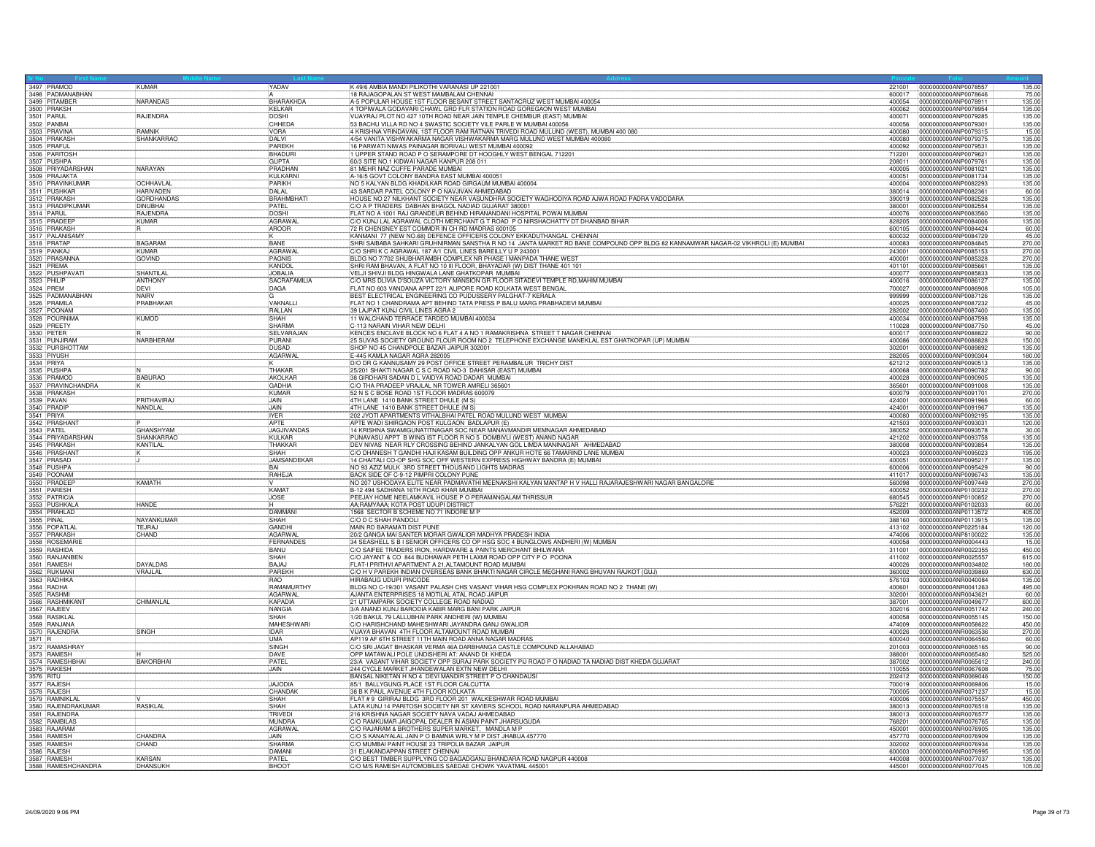| 3497 PRAMOD                       | <b>KUMAR</b>                     | YADAV                | K 49/6 AMBIA MANDI PILIKOTHI VARANASI UP 221001                                                                                                  |                  | 221001 0000000000ANP0078557                  | 135.00           |
|-----------------------------------|----------------------------------|----------------------|--------------------------------------------------------------------------------------------------------------------------------------------------|------------------|----------------------------------------------|------------------|
| 3498 PADMANABHAN                  |                                  |                      | 18 RAJAGOPALAN ST WEST MAMBALAM CHENNAI                                                                                                          | 600017           | 0000000000ANP0078646                         | 75.00            |
| 3499 PITAMBER                     | <b>NARANDAS</b>                  | BHARAKHDA            | A-5 POPULAR HOUSE 1ST FLOOR BESANT STREET SANTACRUZ WEST MUMBAI 400054                                                                           | 400054           | 0000000000ANP0078911                         | 135.00           |
| 3500 PRAKSH<br>3501 PARUL         |                                  | KELKAR               | 4 TOPIWALA GODAVARI CHAWL GRD FLR STATION ROAD GOREGAON WEST MUMBAL                                                                              | 400062           | 0000000000ANP0078954                         | 135.00           |
|                                   | RAJENDRA                         | <b>DOSHI</b>         | VIJAYRAJ PLOT NO 427 10TH ROAD NEAR JAIN TEMPLE CHEMBUR (EAST) MUMBAI                                                                            | 400071           | 0000000000ANP0079285                         | 135.00           |
| 3502 PANBAI                       |                                  | CHHEDA               | 53 BACHU VILLA RD NO 4 SWASTIC SOCIETY VILE PARLE W MUMBAI 400056                                                                                | 400056           | 0000000000ANP0079301                         | 135.00           |
| 3503 PRAVINA                      | <b>RAMNIK</b>                    | <b>VORA</b>          | 4 KRISHNA VRINDAVAN, 1ST FLOOR RAM RATNAN TRIVEDI ROAD MULUND (WEST), MUMBAI 400 080                                                             | 400080           | 0000000000ANP0079315                         | 15.00            |
| 3504 PRAKASH                      | SHANKARRAC                       | DAI VI               | 4/54 VANITA VISHWAKARMA NAGAR VISHWAKARMA MARG MULUND WEST MUMBAI 400080                                                                         | 400080           | 0000000000ANP0079375                         | 135.00           |
| 3505 PRAFUL<br>3506 PARITOSH      |                                  | PAREKH               | 16 PARWATI NIWAS PAINAGAR BORIVALI WEST MUMBAI 400092                                                                                            | 400092           | 0000000000ANP0079531                         | 135.00           |
|                                   |                                  | BHADURI              | 1 UPPER STAND ROAD P O SERAMPORE DT HOOGHLY WEST BENGAL 712201                                                                                   | 712201           | 0000000000ANP0079621                         | 135.00           |
| 3507 PUSHPA                       |                                  | <b>GUPTA</b>         | 60/3 SITE NO.1 KIDWAI NAGAR KANPUR 208 011                                                                                                       | 208011           | 0000000000ANP0079761                         | 135.00           |
| 3508 PRIYADARSHAN                 | <b>NARAYAN</b>                   | PRADHAN              | 81 MEHR NAZ CUFFE PARADE MUMBAI                                                                                                                  | 400005           | 0000000000ANP0081021                         | 135.00           |
| 3509 PRAJAKTA                     |                                  | KULKARN              | A-16/5 GOVT COLONY BANDRA EAST MUMBAI 400051                                                                                                     | 400051           | 0000000000ANP0081734                         | 135.00           |
| 3510 PRAVINKUMAR<br>3511 PUSHKAR  | <b>OCHHAVLA</b>                  | PARIKH               | NO 5 KALYAN BLDG KHADILKAR ROAD GIRGAUM MUMBAI 400004                                                                                            | 400004           | 0000000000ANP0082293                         | 135.00           |
|                                   | <b>HARIVADEN</b>                 | <b>DALAL</b>         | 43 SARDAR PATEL COLONY P O NAVJIVAN AHMEDABAD                                                                                                    | 380014           | 10000000000ANP0082361                        | 60.00            |
| 3512 PRAKASH<br>3513 PRADIPKUMAR  | <b>GORDHANDAS</b>                | BRAHMBHATI           | HOUSE NO 27 NILKHANT SOCIETY NEAR VASUNDHRA SOCIETY WAGHODIYA ROAD AJWA ROAD PADRA VADODARA                                                      | 390019           | 0000000000ANP0082528                         | 135.00           |
|                                   | <b>DINUBHAI</b>                  | PATFL                | C/O A P TRADERS DABHAN BHAGOL NADIAD GUJARAT 380001                                                                                              | 380001           | 0000000000ANP0082554                         | 135.00           |
| 3514 PARUL                        | <b>RAJENDRA</b>                  | <b>DOSHI</b>         | FLAT NO A 1001 RAJ GRANDEUR BEHIND HIRANANDANI HOSPITAL POWAI MUMBAI                                                                             | 400076           | 0000000000ANP0083560                         | 135.00           |
| 3515 PRADEEP                      | KUMAR                            | AGRAWA               | C/O KUNJ LAL AGRAWAL CLOTH MERCHANT G T ROAD P O NIRSHACHATTY DT DHANBAD BIHAR                                                                   | 828205           | 0000000000ANP0084006                         | 135.00           |
|                                   |                                  | AROOR                | R CHENSNEY EST COMMDR IN CH RD MADRAS 600105                                                                                                     | 600105           | 0000000000ANP0084424                         | 60.00            |
| 3517 PALANISAMY                   |                                  |                      | KANMANI 77 (NEW NO.68) DEFENCE OFFICERS COLONY EKKADUTHANGAL CHENNAI                                                                             | 600032           | 0000000000ANP0084729                         | 45.00            |
|                                   | <b>BAGARAM</b>                   | BANE                 | SHRI SAIBABA SAHKARI GRUHNIRMAN SANSTHA R NO 14 JANTA MARKET RD BANE COMPOUND OPP BLDG 82 KANNAMWAR NAGAR-02 VIKHROLI (E) MUMBAI                 | 400083           | 0000000000ANP0084845                         | 270.00           |
| 3519 PANKAJ                       | KUMAR                            | AGRAWA               | C/O SHRI K C AGRAWAL 187 A/1 CIVIL LINES BAREILLY U P 243001                                                                                     | 243001           | 0000000000ANP0085153                         | 270.00           |
| 3520 PRASANNA                     | GOVIND                           | PAGNIS               | BLDG NO 7/702 SHUBHARAMBH COMPLEX NR PHASE I MANPADA THANE WEST                                                                                  | 400001           | 0000000000ANP0085328                         | 270.00           |
| 3521 PREMA                        |                                  | KANDOL               | SHRI RAM BHAVAN, A FLAT NO 10 III FLOOR, BHAYADAR (W) DIST THANE 401 101                                                                         | 401101           | 0000000000ANP0085661                         | 135.00           |
| 3522 PUSHPAVATI                   | SHANTIL AI                       | JOBALIA              | VELJI SHIVJI BLDG HINGWALA LANE GHATKOPAR MUMBAI                                                                                                 | 400077           | 0000000000ANP0085833                         | 135.00           |
|                                   | ANTHONY                          | SACRAFAMILIA         | C/O MRS DLIVIA D'SOUZA VICTORY MANSION GR FLOOR SITADEVI TEMPLE RD, MAHIM MUMBAI                                                                 | 400016           | 10000000000ANP0086127                        | 135.00           |
| 3524 PREM                         | DEVI                             | DAGA                 | FLAT NO 603 VANDANA APPT 22/1 ALIPORE ROAD KOLKATA WEST BENGAL                                                                                   | 700027           | 0000000000ANP0086908                         | 105.00           |
| 3525 PADMANABHAN                  | <b>NAIRV</b>                     |                      | BEST ELECTRICAL ENGINEERING CO PUDUSSERY PALGHAT-7 KERALA                                                                                        | 999999           | 0000000000ANP0087126                         | 135.00           |
| 3526 PRAMILA                      | PRABHAKAR                        | VAKNALLI             | FLAT NO 1 CHANDRAMA APT BEHIND TATA PRESS P BALU MARG PRABHADEVI MUMBAI                                                                          | 400025           | 0000000000ANP0087232                         | 45.00            |
| 3527 POONAM<br>3528 POURNIMA      |                                  | RALLAN               | 39 LAJPAT KUNJ CIVIL LINES AGRA 2                                                                                                                | 282002           | 0000000000ANP0087400                         | 135.00           |
|                                   | KUMOD                            | <b>SHAH</b>          | 11 WALCHAND TERRACE TARDEO MUMBAI 400034                                                                                                         | 400034           | 0000000000ANP0087598                         | 135.00           |
| 3529 PREETY                       |                                  | SHARMA               | C-113 NARAIN VIHAR NEW DELHI                                                                                                                     | 110028           | 0000000000ANP0087750                         | 45.00            |
| 3530 PETER                        |                                  | SELVARAJAN           | KENCES ENCLAVE BLOCK NO 6 FLAT 4 A NO 1 RAMAKRISHNA STREET T NAGAR CHENNAI                                                                       | 600017           | 0000000000ANP0088822                         | 90.00            |
| 3531 PUNJIRAM                     | <b>NARBHERAM</b>                 | PURANI               | 25 SUVAS SOCIETY GROUND FLOUR ROOM NO 2 TELEPHONE EXCHANGE MANEKLAL EST GHATKOPAR (UP) MUMBAI                                                    | 400086           | 0000000000ANP0088828                         | 150.00           |
|                                   |                                  | <b>DUSAD</b>         | SHOP NO 45 CHANDPOLE BAZAR JAIPUR 302001                                                                                                         | 302001           | 0000000000ANP0089892                         | 135.00           |
| 3532 PURSHOTTAM                   |                                  | AGARWAL              | E-445 KAMLA NAGAR AGRA 282005                                                                                                                    | 282005           | 0000000000ANP0090304                         | 180.00           |
| 3534 PRIYA                        |                                  |                      | D/O DR G KANNUSAMY 29 POST OFFICE STREET PERAMBALUR TRICHY DIST                                                                                  | 621212           | 0000000000ANP0090513                         | 135.00           |
| 3535 PUSHPA                       |                                  | THAKAR               | 25/201 SHAKTI NAGAR C S C ROAD NO-3 DAHISAR (EAST) MUMBAI                                                                                        | 400068           | 0000000000ANP0090782                         | 90.00            |
| 3536 PRAMOD                       | BABURAO                          | AKOLKAR              | 38 GIRDHARI SADAN D L VAIDYA ROAD DADAR MUMBAI                                                                                                   | 400028           | 0000000000ANP0090905                         | 135.00           |
| 3537 PRAVINCHANDRA                |                                  | GADHIA               | C/O THA PRADEEP VRAJLAL NR TOWER AMRELI 365601                                                                                                   | 365601           | 0000000000ANP0091008                         | 135.00           |
| 3538 PRAKASH                      |                                  | <b>KUMAR</b>         | 52 N S C BOSE ROAD 1ST FLOOR MADRAS 600079                                                                                                       | 600079           | 0000000000ANP0091701                         | 270.00           |
| 3539 PAVAN                        | PRITHAVIRA.                      | JAIN                 | 4TH LANE 1410 BANK STREET DHULE (M S)                                                                                                            | 424001           | 0000000000ANP0091966                         | 60.00            |
| 3540 PRADIP                       | NANDLAL                          | JAIN                 | 4TH LANE 1410 BANK STREET DHULE (M S)                                                                                                            | 424001           | 0000000000ANP0091967                         | 135.00           |
| 3541 PRIYA                        |                                  | <b>IYER</b>          | 202 JYOTI APARTMENTS VITHALBHAI PATEL ROAD MULUND WEST MUMBAI                                                                                    | 400080           | 0000000000ANP0092195                         | 135.00           |
| 3542 PRASHANT                     |                                  | APTF                 | APTE WADI SHIRGAON POST KULGAON BADLAPUR (E)                                                                                                     | 421503           | 0000000000ANP0093031                         | 120.00           |
| 3543 PATEL                        | <b>GHANSHYAM</b>                 | <b>JAGJIVANDAS</b>   | 14 KRISHNA SWAMIGUNATITNAGAR SOC NEAR MANAVMANDIR MEMNAGAR AHMEDABAD                                                                             | 380052           | 0000000000ANP0093578                         | 30.00            |
| 3544 PRIYADARSHAN                 | SHANKARRAG                       | KULKAR               | PUNAVASU APPT B WING IST FLOOR R NO 5 DOMBIVLI (WEST) ANAND NAGAR                                                                                | 421202           | 0000000000ANP0093758                         | 135.00           |
| 3545 PRAKASH                      | <b>KANTILAL</b>                  | THAKKAR              | DEV NIVAS NEAR RLY CROSSING BEHIND JANKALYAN GOL LIMDA MANINAGAR AHMEDABAD                                                                       | 380008           | 0000000000ANP0093854                         | 135.00           |
| 3546 PRASHANT                     |                                  | SHAH                 | C/O DHANESH T GANDHI HAJI KASAM BUILDING OPP ANKUR HOTE 66 TAMARIND LANE MUMBAI                                                                  | 400023           | 10000000000ANP0095023                        | 195.00           |
| 3547 PRASAD                       |                                  | JAMSANDEKAR          | 14 CHAITALI CO-OP SHG SOC OFF WESTERN EXPRESS HIGHWAY BANDRA (E) MUMBAI                                                                          | 400051           |                                              | 135.00           |
|                                   |                                  | <b>RAI</b>           |                                                                                                                                                  |                  | 0000000000ANP0095217                         | 90.00            |
| 3548 PUSHPA                       |                                  |                      | NO 93 AZIZ MULK 3RD STREET THOUSAND LIGHTS MADRAS                                                                                                | 600006           | 0000000000ANP0095429<br>0000000000ANP0096743 |                  |
| 3549 POONAM<br>3550 PRADEEP       | <b>KAMATH</b>                    | RAHEJA               | BACK SIDE OF C-9-12 PIMPRI COLONY PUNE<br>NO 207 USHODAYA ELITE NEAR PADMAVATHI MEENAKSHI KALYAN MANTAP H V HALLI RAJARAJESHWARI NAGAR BANGALORE | 411017<br>560098 | 0000000000ANP0097449                         | 135.00<br>270.00 |
| 3551 PARESH                       |                                  | KAMAT                | B-12 494 SADHANA 16TH ROAD KHAR MUMBAI                                                                                                           | 400052           | 0000000000ANP0100232                         | 270.00           |
|                                   |                                  |                      | PEEJAY HOME NEELAMKAVIL HOUSE P O PERAMANGALAM THRISSUR                                                                                          | 680545           | 0000000000ANP0100852                         | 270.00           |
| 3552 PATRICIA<br>3553 PUSHKALA    | <b>HANDE</b>                     | <b>JOSE</b>          | AA;RAMYAAA; KOTA POST UDUPI DISTRICT                                                                                                             | 576221           | 0000000000ANP0102033                         | 60.00            |
| 3554 PRAHLAD                      |                                  | DAMMANI              | 1568 SECTOR B SCHEME NO 71 INDORE M P                                                                                                            | 452009           | 0000000000ANP0113572                         | 405.00           |
| 3555 PINAL                        | NAYANKUMAR                       | SHAH                 | C/O D C SHAH PANDOLI                                                                                                                             | 388160           | 0000000000ANP0113915                         | 135.00           |
| 3556 POPATLAL                     | TEJRAJ                           | GANDHI               | MAIN RD BARAMATI DIST PUNE                                                                                                                       | 413102           | 0000000000ANP0225184                         | 120.00           |
|                                   | CHAND                            | AGARWAI              | 20/2 GANGA MAI SANTER MORAR GWALIOR MADHYA PRADESH INDIA                                                                                         | 474006           | 0000000000ANP8100022                         | 135.00           |
| 3557 PRAKASH<br>3558 ROSEMARIE    |                                  | FERNANDES            | 34 SEASHELL S B I SENIOR OFFICERS CO OP HSG SOC 4 BUNGLOWS ANDHERI (W) MUMBAI                                                                    | 400058           | 0000000000ANR0004443                         | 15.00            |
| 3559 RASHIDA                      |                                  | BANU                 | C/O SAIFEE TRADERS IRON, HARDWARE & PAINTS MERCHANT BHILWARA                                                                                     | 311001           | 0000000000ANR0022355                         | 450.00           |
| 3560 RANJANBEN                    |                                  | SHAH                 | C/O JAYANT & CO 844 BUDHAWAR PETH LAXMI ROAD OPP CITY P O POONA                                                                                  | 411002           | 0000000000ANR0025557                         | 615.00           |
| 3561 RAMESH                       | <b>DAYALDAS</b>                  | BAJAJ                | FLAT-I PRITHVI APARTMENT A 21, ALTAMOUNT ROAD MUMBAI                                                                                             | 400026           | 10000000000ANB0034802                        | 180.00           |
|                                   | VRAJLAL                          | PAREKH               | C/O H V PAREKH INDIAN OVERSEAS BANK BHAKTI NAGAR CIRCLE MEGHANI RANG BHUVAN RAJKOT (GUJ)                                                         | 360002           | 0000000000ANR0039869                         | 630.00           |
| 3562 RUKMANI<br>3563 RADHIKA      |                                  | <b>RAO</b>           | HIRABAUG UDUPI PINCODE                                                                                                                           | 576103           | 0000000000ANR0040084                         | 135.00           |
| 3564 RADHA                        |                                  | RAMAMURTHY           | BLDG NO C-19/301 VASANT PALASH CHS VASANT VIHAR HSG COMPLEX POKHRAN ROAD NO 2 THANE (W)                                                          | 400601           | 0000000000ANR0041263                         | 495.00           |
| 3565 RASHMI                       |                                  | AGARWAL              | AJANTA ENTERPRISES 18 MOTILAL ATAL ROAD JAIPUR                                                                                                   | 302001           | 0000000000ANR0043621                         | 60.00            |
| 3566 RASHMIKANT                   | CHIMANLAL                        | KAPADIA              | 21 UTTAMPARK SOCIETY COLLEGE ROAD NADIAD                                                                                                         | 387001           | 0000000000ANR0049677                         | 600.00           |
|                                   |                                  | NANGIA               | 3/A ANAND KUNJ BARODIA KABIR MARG BANI PARK JAIPUR                                                                                               | 302016           | 0000000000ANR0051742                         | 240.00           |
| 3567 RAJEEV<br>3568 RASIKLA       |                                  | <b>SHAH</b>          | 1/20 BAKUL 79 LALLUBHAI PARK ANDHERI (W) MUMBAI                                                                                                  | 400058           | 0000000000ANR0055145                         | 150.00           |
|                                   |                                  |                      |                                                                                                                                                  |                  | 0000000000ANR0058622                         |                  |
|                                   |                                  |                      |                                                                                                                                                  |                  |                                              |                  |
| 3569 RANJANA                      |                                  | MAHESHWAR            | C/O HARISHCHAND MAHESHWARI JAYANDRA GANJ GWALIOR                                                                                                 | 474009           |                                              | 450.00           |
|                                   | SINGH                            | <b>IDAR</b>          | VIJAYA BHAVAN 4TH FLOOR ALTAMOUNT ROAD MUMBAI                                                                                                    | 400026           | 0000000000ANR0063536                         | 270.00           |
| 3570 RAJENDRA                     |                                  | <b>IUMA</b>          | AP119 AF 6TH STREET 11TH MAIN ROAD ANNA NAGAR MADRAS                                                                                             | 600040           | 0000000000ANR0064560                         | 60.00            |
|                                   |                                  | SINGH                | C/O SRI JAGAT BHASKAR VERMA 46A DARBHANGA CASTLE COMPOUND ALLAHABAD                                                                              | 201003           | 0000000000ANR0065165                         | 90.00            |
| 3572 RAMASHRAY<br>3573 RAMESH     |                                  | DAVE                 | OPP MATAWALI POLE UNDISHERI AT: ANAND DI: KHEDA                                                                                                  | 388001           | 10000000000ANR0065480                        | 525.00           |
| 3574 RAMESHBHA                    | <b>BAKORBHAI</b>                 | PATEL                | 23/A VASANT VIHAR SOCIETY OPP SURAJ PARK SOCIETY PIJ ROAD P O NADIAD TA NADIAD DIST KHEDA GUJARAT                                                | 387002           | 0000000000ANR0065612                         | 240.00           |
|                                   |                                  | <b>JAIN</b>          | 244 CYCLE MARKET JHANDEWALAN EXTN NEW DELHI                                                                                                      | 110055           | 0000000000ANR0067608                         | 75.00            |
| 3575 RAKESH                       |                                  |                      | BANSAL NIKETAN H NO 4 DEVI MANDIR STREET P O CHANDAUSI                                                                                           | 202412           | 0000000000ANR0069046                         | 150.00           |
|                                   |                                  | <b>JAJODIA</b>       | 85/1 BALLYGUNG PLACE 1ST FLOOR CALCUTTA                                                                                                          | 700019           | 0000000000ANR0069806                         | 15.00            |
| 3577 RAJESH                       |                                  | CHANDAH              | 38 B K PAUL AVENUE 4TH FLOOR KOLKATA                                                                                                             | 700005           | 0000000000ANR0071237                         | 15.00            |
| 3579 RAMNIKLA                     |                                  | SHAH                 | FLAT #9 GIRIRAJ BLDG 3RD FLOOR 201 WALKESHWAR ROAD MUMBAI                                                                                        | 400006           | 10000000000ANR0075557                        | 450.00           |
| 3580 RAJENDRAKUMAR                | <b>RASKI AI</b>                  | SHAH                 | LATA KUNJ 14 PARITOSH SOCIETY NR ST XAVIERS SCHOOL ROAD NARANPURA AHMEDABAD                                                                      | 380013           | 0000000000ANB0076518                         | 135.00           |
| 3581 RAJENDRA                     |                                  | <b>TRIVEDI</b>       | 216 KRISHNA NAGAR SOCIETY NAVA VADAJ AHMEDABAD                                                                                                   | 380013           | 0000000000ANR0076577                         | 135.00           |
|                                   |                                  | MUNDRA               | C/O RAMKUMAR JAIGOPAL DEALER IN ASIAN PAINT JHARSUGUDA                                                                                           | 768201           | 0000000000ANR0076765                         | 135.00           |
| 3582 RAMBILAS<br>3583 RAJARAM     |                                  | AGRAWA               | C/O RAJARAM & BROTHERS SUPER MARKET, MANDLA M P                                                                                                  | 450001           | 0000000000ANR0076905                         | 135.00           |
| 3584 RAMESH                       | CHANDRA                          | JAIN.                | C/O S KANAIYALAL JAIN P O BAMNIA WRLY M P DIST JHABUA 457770                                                                                     | 457770           | 0000000000ANR0076909                         | 135.00           |
| 3585 RAMESH                       | CHAND                            | SHARMA               | C/O MUMBAI PAINT HOUSE 23 TRIPOLIA BAZAR JAIPUR                                                                                                  | 302002           | 10000000000ANR0076934                        | 135.00           |
| 3586 RAJESH                       |                                  | DAMANI               | 31 ELAKANDAPPAN STREET CHENNAL                                                                                                                   | 600003           | 0000000000ANR0076995                         | 135.00           |
| 3587 RAMESH<br>3588 RAMESHCHANDRA | <b>KARSAN</b><br><b>DHANSUKH</b> | PATE<br><b>BHOOT</b> | C/O BEST TIMBER SUPPLYING CO BAGADGANJ BHANDARA ROAD NAGPUR 440008<br>C/O M/S RAMESH AUTOMOBILES SAEDAE CHOWK YAVATMAL 445001                    | 440008<br>445001 | 0000000000ANR0077037<br>0000000000ANR0077045 | 135.00<br>105.00 |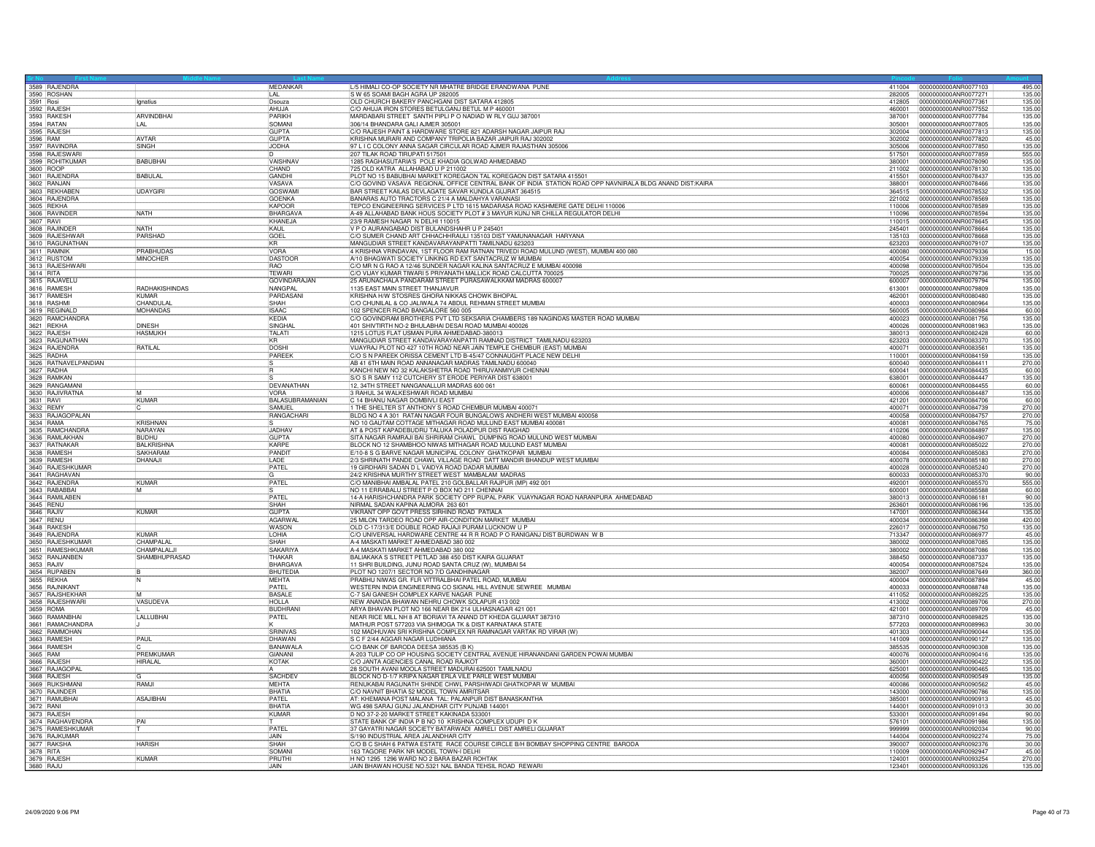|           | 3589 RAJENDRA                        |                   | MEDANKAR            | L/5 HIMALI CO-OP SOCIETY NR MHATRE BRIDGE ERANDWANA PUNE                                                                                 |        | 411004 0000000000ANR0077103 | 495.00 |
|-----------|--------------------------------------|-------------------|---------------------|------------------------------------------------------------------------------------------------------------------------------------------|--------|-----------------------------|--------|
|           | 3590 ROSHAN                          |                   | LAL                 | S W 65 SOAMI BAGH AGRA UP 282005                                                                                                         | 282005 | 0000000000ANR0077271        | 135.00 |
| 3591 Rosi |                                      | Ignatius          | Dsouza              | OLD CHURCH BAKERY PANCHGANI DIST SATARA 412805                                                                                           | 412805 | 0000000000ANR0077361        | 135.00 |
|           | 3592 RAJESH<br>3593 RAKESH           |                   | AHUJA               | C/O AHUJA IRON STORES BETULGANJ BETUL M P 460001                                                                                         | 460001 | 0000000000ANR0077552        | 135.00 |
|           |                                      | ARVINDBHAI        | <b>PARIKH</b>       | MARDABARI STREET SANTH PIPLI PO NADIAD W RLY GUJ 387001                                                                                  | 387001 | 0000000000ANR0077784        | 135.00 |
|           | 3594 RATAN                           | LAL               | SOMANI              | 306/14 BHANDARA GALI AJMER 305001                                                                                                        | 305001 | 0000000000ANR0077805        | 135.00 |
|           | 3595 RAJESH                          |                   | <b>GUPTA</b>        | C/O RAJESH PAINT & HARDWARE STORE 821 ADARSH NAGAR JAIPUR RAJ                                                                            | 302004 | 0000000000ANR0077813        | 135.00 |
| 3596 RAM  |                                      | <b>AVTAR</b>      | <b>GUPTA</b>        | KRISHNA MURARI AND COMPANY TRIPOLIA BAZAR JAIPUR RAJ 302002                                                                              | 302002 | 0000000000ANR0077820        | 45.00  |
|           | 3597 RAVINDRA<br>3598 RAJESWARI      | SINGH             | <b>JODHA</b>        | 97 L I C COLONY ANNA SAGAR CIRCULAR ROAD AJMER RAJASTHAN 305006                                                                          | 305006 | 0000000000ANR0077850        | 135.00 |
|           |                                      |                   |                     | 207 TILAK ROAD TIRUPATI 517501                                                                                                           | 517501 | 0000000000ANR0077859        | 555.00 |
|           | 3599 ROHITKUMAR                      | <b>BABUBHAI</b>   | VAISHNAV            | 1285 RAGHASUTARIA'S POLE KHADIA GOLWAD AHMEDABAD                                                                                         | 380001 | 0000000000ANR0078090        | 135.00 |
| 3600 ROOP |                                      |                   | CHAND               | 725 OLD KATRA ALLAHABAD U P 211002                                                                                                       | 211002 | 0000000000ANR0078130        | 135.00 |
|           | 3601 RAJENDRA                        | <b>BABULAL</b>    | GANDHI              | PLOT NO 15 BABUBHAI MARKET KOREGAON TAL KOREGAON DIST SATARA 415501                                                                      | 415501 | 0000000000ANR0078437        | 135.00 |
|           | 3602 RANJAN<br>3603 REKHABEN         |                   | VASAVA              | C/O GOVIND VASAVA REGIONAL OFFICE CENTRAL BANK OF INDIA STATION ROAD OPP NAVNIRALA BLDG ANAND DIST: KAIRA                                | 388001 | 0000000000ANR0078466        | 135.00 |
|           |                                      | <b>UDAYGIRI</b>   | <b>GOSWAM</b>       | BAR STREET KAILAS DEVLAGATE SAVAR KUNDLA GUJRAT 364515                                                                                   | 364515 | 0000000000ANR0078532        | 135.00 |
|           | 3604 RAJENDRA                        |                   | <b>GOENKA</b>       | BANARAS AUTO TRACTORS C 21/4 A MALDAHYA VARANASI                                                                                         | 221002 | 0000000000ANR0078569        | 135.00 |
|           |                                      |                   | KAPOOR              | TEPCO ENGINEERING SERVICES P LTD 1615 MADARASA ROAD KASHMERE GATE DELHI 110006                                                           | 110006 | 0000000000ANB0078589        | 135.00 |
|           | 3606 RAVINDER                        | NATH              | <b>BHARGAVA</b>     | A-49 ALLAHABAD BANK HOUS SOCIETY PLOT # 3 MAYUR KUNJ NR CHILLA REGULATOR DELHI                                                           | 110096 | 0000000000ANR0078594        | 135.00 |
|           | 3607 RAVI<br>3608 RAJINDER           |                   | KHANEJA             | 23/9 RAMESH NAGAR N DELHI 110015                                                                                                         | 110015 | 0000000000ANR0078645        | 135.00 |
|           |                                      | <b>NATH</b>       | KAUL                | V P O AURANGABAD DIST BULANDSHAHR U P 245401                                                                                             | 245401 | 0000000000ANR0078664        | 135.00 |
|           | 3609 RAJESHWAR                       | PARSHAD           | GOEL                | C/O SUMER CHAND ART CHHACHHRAULI 135103 DIST YAMUNANAGAR HARYANA                                                                         | 135103 | 0000000000ANR0078668        | 135.00 |
|           | 3610 RAGUNATHAN                      |                   | <b>KR</b>           | MANGUDIAR STREET KANDAVARAYANPATTI TAMILNADU 623203                                                                                      | 623203 | 0000000000ANR0079107        | 135.00 |
|           | 3611 RAMNIK                          | PRABHUDAS         | VORA                | 4 KRISHNA VRINDAVAN, 1ST FLOOR RAM RATNAN TRIVEDI ROAD MULUND (WEST), MUMBAI 400 080                                                     | 400080 | 0000000000ANR0079336        | 15.00  |
|           | 3612 RUSTOM<br>3613 RAJESHWARI       | <b>MINOCHER</b>   | DASTOOR             | A/10 BHAGWATI SOCIETY LINKING RD EXT SANTACRUZ W MUMBAI                                                                                  | 400054 | 0000000000ANR0079339        | 135.00 |
|           |                                      |                   | RAO                 | C/O MR N G RAO A 12/46 SUNDER NAGAR KALINA SANTACRUZ E MUMBAI 400098                                                                     | 400098 | 0000000000ANR0079504        | 135.00 |
|           | 3614 RITA<br>3615 RAJAVELU           |                   | <b>TFWAR</b>        | C/O VIJAY KUMAR TIWARI 5 PRIYANATH MALLICK ROAD CALCUTTA 700025                                                                          | 700025 | 0000000000ANR0079736        | 135.00 |
|           |                                      |                   | <b>GOVINDARAJAN</b> | 25 ARUNACHALA PANDARAM STREET PURASAWALKKAM MADRAS 600007                                                                                | 600007 | 0000000000ANR0079794        | 135.00 |
|           | 3616 RAMESH                          | RADHAKISHINDAS    | NANGPAL             | 1135 EAST MAIN STREET THANJAVUR                                                                                                          | 613001 | 0000000000ANR0079809        | 135.00 |
|           | 3617 RAMESH                          | KUMAR             | PARDASAN            | KRISHNA H/W STOSRES GHORA NIKKAS CHOWK BHOPAL                                                                                            | 462001 | 0000000000ANR0080480        | 135.00 |
|           | 3618 RASHM                           | CHANDULAI         | SHAH                | C/O CHUNILAL & CO JALIWALA 74 ABDUL REHMAN STREET MUMBAI                                                                                 | 400003 | 0000000000ANR0080964        | 135.00 |
|           | 3619 REGINALD<br>3620 RAMCHANDRA     | <b>MOHANDAS</b>   | <b>ISAAC</b>        | 102 SPENCER ROAD BANGALORE 560 005                                                                                                       | 560005 | 0000000000ANR0080984        | 60.00  |
|           |                                      |                   | KFDIA               | C/O GOVINDRAM BROTHERS PVT LTD SEKSARIA CHAMBERS 189 NAGINDAS MASTER ROAD MUMBAL                                                         | 400023 | 0000000000ANR0081756        | 135.00 |
|           | 3621 REKHA                           | <b>DINESH</b>     | SINGHAI             | 401 SHIVTIRTH NO-2 BHULABHAI DESAI ROAD MUMBAI 400026                                                                                    | 400026 | 0000000000ANR0081963        | 135.00 |
|           | 3622 RAJESH<br>3623 RAGUNATHAN       | <b>HASMUKH</b>    | TALATI              | 1215 LOTUS FLAT USMAN PURA AHMEDABAD-380013                                                                                              | 380013 | 0000000000ANR0082428        | 60.00  |
|           |                                      |                   | KR                  | MANGUDIAR STREET KANDAVARAYANPATTI RAMNAD DISTRICT TAMILNADU 623203                                                                      | 623203 | 0000000000ANR0083370        | 135.00 |
|           | 3624 RAJENDRA<br>3625 RADHA          | RATILAL           | DOSHI               |                                                                                                                                          | 400071 | 0000000000ANR0083561        | 135.00 |
|           |                                      |                   | PAREEK              | VIJAYRAJ PLOT NO 427 10TH ROAD NEAR JAIN TEMPLE CHEMBUR (EAST) MUMBAL C/O S N PAREEK ORISSA CEMENT LTD B-45/47 CONNAUGHT PLACE NEW DELHI | 110001 | 0000000000ANR0084159        | 135.00 |
|           | 3626 RATNAVELPANDIAN                 |                   |                     | AB 41 6TH MAIN ROAD ANNANAGAR MADRAS TAMILNADU 600040                                                                                    | 600040 | 0000000000ANR0084411        | 270.00 |
|           | 3627 RADHA                           |                   |                     | KANCHI NEW NO 32 KALAKSHETRA ROAD THIRUVANMIYUR CHENNAI                                                                                  | 600041 | 0000000000ANR0084435        | 60.00  |
|           | 3628 RAMKAN                          |                   |                     |                                                                                                                                          | 638001 | 0000000000ANR0084447        | 135.00 |
|           | 3629 RANGAMANI<br>3630 RAJIVRATNA    |                   | DEVANATHAN          | S/O S R SAMY 112 CUTCHERY ST ERODE PERIYAR DIST 638001<br>12, 34TH STREET NANGANALLUR MADRAS 600 061                                     | 600061 | 0000000000ANR0084455        | 60.00  |
|           |                                      |                   | <b>VORA</b>         | 3 RAHUL 34 WALKESHWAR ROAD MUMBAI                                                                                                        | 400006 | 0000000000ANR0084487        | 135.00 |
| 3631 RAVI |                                      | KUMAR             | BALASUBRAMANIAN     | C 14 BHANU NAGAR DOMBIVLI EAST                                                                                                           | 421201 | 0000000000ANR0084706        | 60.00  |
| 3632 REMY |                                      |                   | SAMUEL              | 1 THE SHELTER ST ANTHONY S ROAD CHEMBUR MUMBAI 400071                                                                                    | 400071 | 0000000000ANR0084739        | 270.00 |
|           | 3633 RAJAGOPALAN                     |                   | RANGACHARI          | BLDG NO 4 A 301 RATAN NAGAR FOUR BUNGALOWS ANDHERI WEST MUMBAI 400058                                                                    | 400058 | 0000000000ANR0084757        | 270.00 |
|           |                                      | KRISHNAN          |                     | NO 10 GAUTAM COTTAGE MITHAGAR ROAD MULUND EAST MUMBAI 400081                                                                             | 400081 | 0000000000ANR0084765        | 75.00  |
|           | 3634 RAMA<br>3635 RAMCHANDRA         | NARAYAN           | <b>JADHAV</b>       | AT & POST KAPADEBUDRU TALUKA POLADPUR DIST RAIGHAD                                                                                       | 410206 | 0000000000ANR0084897        | 135.00 |
|           | 3636 RAMLAKHAN                       | <b>BUDHU</b>      | <b>GUPTA</b>        | SITA NAGAR RAMRAJI BAI SHRIRAM CHAWL DUMPING ROAD MULUND WEST MUMBAI                                                                     | 400080 | 0000000000ANR0084907        | 270.00 |
|           | 3637 RATNAKAR                        | <b>BALKRISHNA</b> | KARPF               | BLOCK NO 12 SHAMBHOO NIWAS MITHAGAR ROAD MULUND EAST MUMBAI                                                                              | 400081 | 0000000000ANR0085022        | 270.00 |
|           | 3638 RAMESH                          | <b>SAKHARAM</b>   | PANDIT              | E/10-8 S G BARVE NAGAR MUNICIPAL COLONY GHATKOPAR MUMBAI                                                                                 | 400084 | 0000000000ANR0085083        | 270.00 |
|           |                                      | DHANAJI           | I ADE               | 2/3 SHRINATH PANDE CHAWL VILLAGE ROAD DATT MANDIR BHANDUP WEST MUMBAI                                                                    | 400078 | 0000000000ANR0085180        | 270.00 |
|           | 3639 RAMESH<br>3640 RAJESHKUMAR      |                   | PATEL               | 19 GIRDHARI SADAN D L VAIDYA ROAD DADAR MUMBAI                                                                                           | 400028 | 0000000000ANR0085240        | 270.00 |
|           | 3641 RAGHAVAN                        |                   |                     | 24/2 KRISHNA MURTHY STREET WEST MAMBALAM MADRAS                                                                                          | 600033 | 0000000000ANR0085370        | 90.00  |
|           | 3642 RAJENDRA                        | KUMAR             | PATEL               | C/O MANIBHAI AMBALAL PATEL 210 GOLBALLAR RAJPUR (MP) 492 001                                                                             | 492001 | 0000000000ANR0085570        | 555.00 |
|           | 3643 RABABBAI                        | M                 |                     | NO 11 ERRABALU STREET P O BOX NO 211 CHENNAI                                                                                             | 600001 | 0000000000ANR0085588        | 60.00  |
|           |                                      |                   | PATFI               | 14-A HARISHCHANDRA PARK SOCIETY OPP RUPAL PARK VIJAYNAGAR ROAD NARANPURA AHMEDABAD                                                       | 380013 | 0000000000ANR0086181        | 90.00  |
|           | 3644 RAMILABEN<br>3645 RENU          |                   | <b>SHAH</b>         | NIRMAL SADAN KAPINA ALMORA 263 601                                                                                                       | 263601 | 0000000000ANR0086196        | 135.00 |
|           | 3646 RAJIV                           | <b>KUMAR</b>      | <b>GUPTA</b>        | VIKRANT OPP GOVT PRESS SIRHIND ROAD PATIALA                                                                                              | 147001 | 0000000000ANR0086344        | 135.00 |
| 3647 RENU |                                      |                   | <b>AGARWA</b>       | 25 MILON TARDEO ROAD OPP AIR-CONDITION MARKET MUMBAI                                                                                     | 400034 | 0000000000ANR0086398        | 420.00 |
|           | 3648 RAKESH                          |                   | <b>WASON</b>        | OLD C-17/313/E DOUBLE ROAD RAJAJI PURAM LUCKNOW U P                                                                                      | 226017 | 0000000000ANR0086750        | 135.00 |
|           |                                      | KIIMAR            | I OHIA              | C/O UNIVERSAL HARDWARE CENTRE 44 R R ROAD P O RANIGANJ DIST BURDWAN W B                                                                  | 713347 | 0000000000ANR0086977        | 45.00  |
|           | 3649 RAJENDRA<br>3650 RAJESHKUMAR    | CHAMPALAL         | <b>SHAH</b>         | A-4 MASKATI MARKET AHMEDABAD 380 002                                                                                                     | 380002 | 0000000000ANR0087085        | 135.00 |
|           | 3651 RAMESHKUMAR                     | CHAMPALALJ        | SAKARIYA            | A-4 MASKATI MARKET AHMEDABAD 380 002                                                                                                     | 380002 | 0000000000ANR0087086        | 135.00 |
|           | 3652 RANJANBEN                       | SHAMBHUPRASAD     | <b>THAKAR</b>       | BALIAKAKA S STREET PETLAD 388 450 DIST KAIRA GUJARAT                                                                                     | 388450 | 0000000000ANR0087337        | 135.00 |
|           |                                      |                   | <b>BHARGAVA</b>     | 11 SHRI BUILDING, JUNU ROAD SANTA CRUZ (W), MUMBAI 54                                                                                    | 400054 | 0000000000ANR0087524        | 135.00 |
|           |                                      |                   | <b>BHUTEDIA</b>     | PLOT NO 1207/1 SECTOR NO 7/D GANDHINAGAR                                                                                                 | 382007 | 0000000000ANR0087649        | 360.00 |
|           | 3654 RUPABEN<br>3655 REKHA           | W                 | <b>MEHTA</b>        | PRABHU NIWAS GR. FLR VITTRALBHAI PATEL ROAD, MUMBAI                                                                                      | 400004 | 0000000000ANR0087894        | 45.00  |
|           | 3656 RAJNIKANT                       |                   | PATEL               | WESTERN INDIA ENGINEERING CO SIGNAL HILL AVENUE SEWREE MUMBAI                                                                            | 400033 | 0000000000ANR0088748        | 135.00 |
|           | 3657 RAJSHEKHAR                      |                   | <b>BASALE</b>       | C-7 SAI GANESH COMPLEX KARVE NAGAR PUNE                                                                                                  | 411052 | 0000000000ANR0089225        | 135.00 |
|           |                                      | VASUDEVA          | <b>HOLLA</b>        | NEW ANANDA BHAWAN NEHRU CHOWK SOLAPUR 413 002                                                                                            | 413002 | 0000000000ANR0089706        | 270.00 |
|           |                                      |                   | <b>BUDHRAN</b>      | ARYA BHAVAN PLOT NO 166 NEAR BK 214 ULHASNAGAR 421 001                                                                                   | 421001 | 0000000000ANR0089709        | 45.00  |
|           | 3659 ROMA<br>3660 RAMANBHAI          | LALLUBHAI         | PATEL               | NEAR RICE MILL NH 8 AT BORIAVI TA ANAND DT KHEDA GUJARAT 387310                                                                          | 387310 | 0000000000ANR0089825        | 135.00 |
|           | 3661 RAMACHANDRA                     |                   |                     | MATHUR POST 577203 VIA SHIMOGA TK & DIST KARNATAKA STATE                                                                                 | 577203 | 0000000000ANR0089963        | 30.00  |
|           |                                      |                   | SRINIVAS            | 102 MADHUVAN SRI KRISHNA COMPLEX NR RAMNAGAR VARTAK RD VIRAR (W)                                                                         | 401303 | 0000000000ANR0090044        | 135.00 |
|           | 3662 RAMMOHAN<br>3663 RAMESH         | PAUL              | <b>DHAWAN</b>       | S C F 2/44 AGGAR NAGAR LUDHIANA                                                                                                          | 141009 | 0000000000ANR0090127        | 135.00 |
|           |                                      |                   | <b>BANAWALA</b>     | C/O BANK OF BARODA DEESA 385535 (B K)                                                                                                    | 385535 | 0000000000ANR0090308        | 135.00 |
|           | 3664 RAMESH                          | PREMKUMAR         | <b>GIANANI</b>      | A-203 TULIP CO OP HOUSING SOCIETY CENTRAL AVENUE HIRANANDANI GARDEN POWAI MUMBAI                                                         | 400076 | 0000000000ANR0090416        | 135.00 |
|           | 3666 RAJESH                          | <b>HIRALAL</b>    | <b>KOTAK</b>        | C/O JANTA AGENCIES CANAL ROAD RAJKOT                                                                                                     | 360001 | 0000000000ANR0090422        | 135.00 |
|           | 3667 RAJAGOPAL                       |                   |                     | 28 SOUTH AVANI MOOLA STREET MADURAI 625001 TAMILNADU                                                                                     | 625001 | 0000000000ANR0090465        | 135.00 |
|           | 3668 RAJESH                          |                   | SACHDEV             | BLOCK NO D-1/7 KRIPA NAGAR ERLA VILE PARLE WEST MUMBAI                                                                                   | 400056 | 0000000000ANR0090549        | 135.00 |
|           |                                      | RAMJI             | <b>MEHTA</b>        | RENUKABAI RAGUNATH SHINDE CHWL PARSHIWADI GHATKOPAR W MUMBAI                                                                             | 400086 | 0000000000ANR0090562        | 45.00  |
|           | 3669 RUKSHMANI<br>3670 RAJINDER      |                   | <b>BHATIA</b>       | C/O NAVNIT BHATIA 52 MODEL TOWN AMRITSAR                                                                                                 | 143000 | 0000000000ANR0090786        | 135.00 |
|           | 3671 RAMUBHAI                        | <b>ASAJIBHAI</b>  | PATEL               | AT: KHEMANA POST MALANA TAL: PALANPUR DIST BANASKANTHA                                                                                   | 385001 | 0000000000ANR0090913        | 45.00  |
| 3672 RANI |                                      |                   | BHATIA              | WG 498 SARAJ GUNJ JALANDHAR CITY PUNJAB 144001                                                                                           | 144001 | 0000000000ANR0091013        | 30.00  |
|           | 3673 RAJESH                          |                   | KUMAR               | D NO 37-2-20 MARKET STREET KAKINADA 533001                                                                                               | 533001 | 0000000000ANR0091494        | 90.00  |
|           |                                      | PAI               |                     | STATE BANK OF INDIA P B NO 10 KRISHNA COMPLEX UDUPI D I                                                                                  | 576101 | 0000000000ANR0091986        | 135.00 |
|           | 3674 RAGHAVENDRA<br>3675 RAMESHKUMAR |                   | PATEL               | 37 GAYATRI NAGAR SOCIETY BATARWADI AMRELI DIST AMRELI GUJARAT                                                                            | 999999 | 0000000000ANR0092034        | 90.00  |
|           |                                      |                   | <b>JAIN</b>         | S/190 INDUSTRIAL AREA JALANDHAR CITY                                                                                                     | 144004 | 0000000000ANR0092274        | 75.00  |
|           | 3676 RAJKUMAR<br>3677 RAKSHA         | <b>HARISH</b>     | <b>SHAH</b>         | C/O B C SHAH 6 PATWA ESTATE RACE COURSE CIRCLE B/H BOMBAY SHOPPING CENTRE BARODA                                                         | 390007 | 0000000000ANR0092376        | 30.00  |
| 3678 RITA |                                      |                   | SOMAN               | 163 TAGORE PARK NR MODEL TOWN-I DELHI                                                                                                    | 110009 | 0000000000ANR0092947        | 45.00  |
|           | 3679 RAJES                           | <b>KUMAR</b>      | PRUTH               | H NO 1295 1296 WARD NO 2 BARA BAZAR ROHTAK                                                                                               | 124001 | 0000000000ANR0093254        | 270.00 |
| 3680 RAJU |                                      |                   | <b>JAIN</b>         | JAIN BHAWAN HOUSE NO.5321 NAL BANDA TÉHSIL ROAD REWARI                                                                                   | 123401 | 0000000000ANR0093326        | 135.00 |
|           |                                      |                   |                     |                                                                                                                                          |        |                             |        |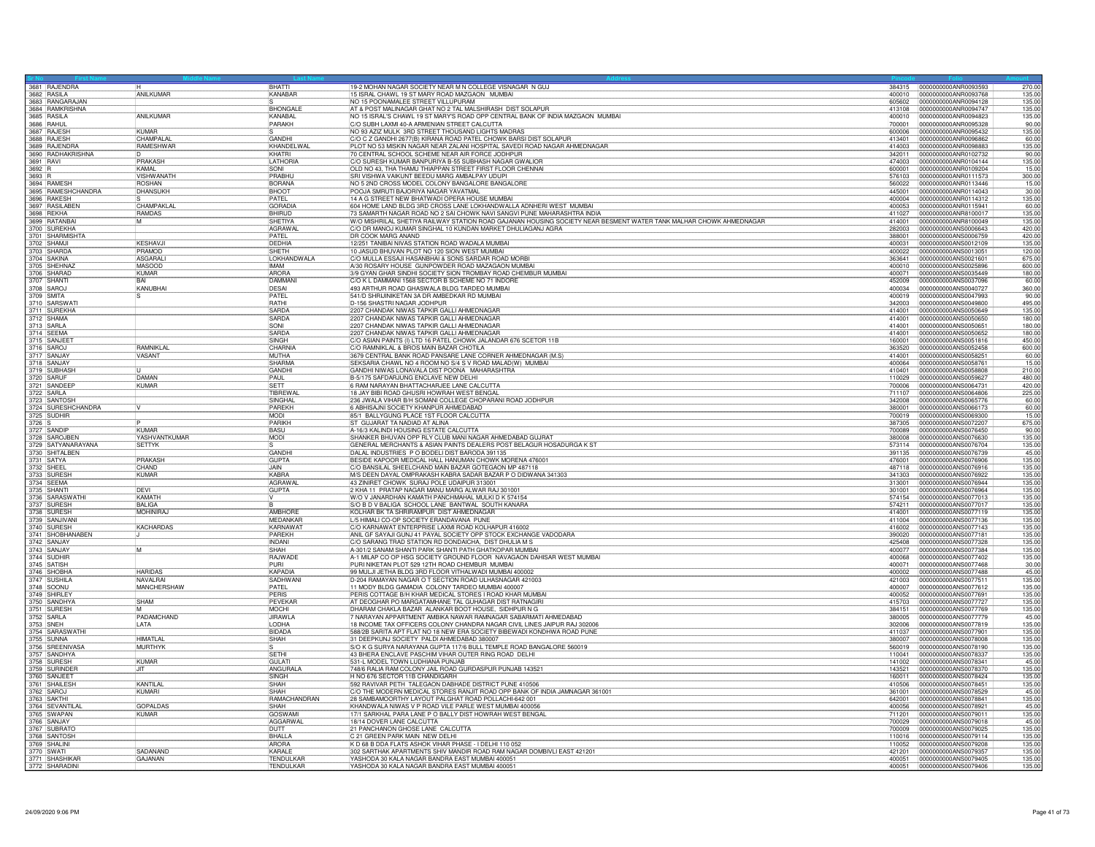|                     | 3681 RAJENDRA                      |                    | <b>BHATTI</b>   | 19-2 MOHAN NAGAR SOCIETY NEAR M N COLLEGE VISNAGAR N GUJ                                                                                                                                      | 384315           | 0000000000ANR0093593                         | 270.00 |
|---------------------|------------------------------------|--------------------|-----------------|-----------------------------------------------------------------------------------------------------------------------------------------------------------------------------------------------|------------------|----------------------------------------------|--------|
|                     | 3682 RASILA                        | ANILKUMAR          | KANABAR         | 15 ISRAL CHAWL 19 ST MARY ROAD MAZGAON MUMBAI                                                                                                                                                 | 400010           | 0000000000ANR0093768                         | 135.00 |
|                     | 3683 RANGARAJAN                    |                    |                 | NO 15 POONAMALEE STREET VILLUPURAM                                                                                                                                                            | 605602           | 0000000000ANR0094128                         | 135.00 |
|                     | 3684 RAMKRISHNA                    |                    | <b>BHONGALE</b> | AT & POST MALINAGAR GHAT NO 2 TAL MALSHIRASH DIST SOLAPUR                                                                                                                                     | 413108           | 0000000000ANR0094747                         | 135.00 |
|                     | 3685 RASILA                        | ANILKUMAR          | KANABAL         | NO 15 ISRAL'S CHAWL 19 ST MARY'S ROAD OPP CENTRAL BANK OF INDIA MAZGAON MUMBAI                                                                                                                | 400010           | 0000000000ANR0094823                         | 135.00 |
|                     | 3686 RAHUL<br>3687 RAJESH          |                    | PARAKH          | C/O SUBH LAXMI 40-A ARMENIAN STREET CALCUTTA                                                                                                                                                  | 700001           | 0000000000ANR0095328                         | 90.00  |
|                     |                                    | <b>KUMAR</b>       |                 | NO 93 AZIZ MULK 3RD STREET THOUSAND LIGHTS MADRAS                                                                                                                                             | 600006           | 0000000000ANR0095432                         | 135.00 |
|                     | 3688 RAJESH                        | CHAMPALA           | GANDHI          | C/O C Z GANDHI 2677(B) KIRANA ROAD PATEL CHOWK BARSI DIST SOLAPUR                                                                                                                             | 413401           | 0000000000ANR0096862                         | 60.00  |
|                     | 3689 RAJENDRA                      | RAMESHWAR          | KHANDELWAI      | PLOT NO 53 MISKIN NAGAR NEAR ZALANI HOSPITAL SAVEDI ROAD NAGAR AHMEDNAGAR                                                                                                                     | 414003           | 0000000000ANR0098883                         | 135.00 |
|                     | 3690 RADHAKRISHNA                  |                    | KHATRI          | 70 CENTRAL SCHOOL SCHEME NEAR AIR FORCE JODHPUR                                                                                                                                               | 342011           | 0000000000ANR0102732                         | 90.00  |
| 3691 RAVI<br>3692 R |                                    | PRAKASH            | LATHORIA        | C/O SURESH KUMAR BANPURIYA B-55 SUBHASH NAGAR GWALIOR                                                                                                                                         | 474003           | 0000000000ANR0104144                         | 135.00 |
|                     |                                    | KAMAI              | SONI            | OLD NO 43. THA THAMU THIAPPAN STREET FIRST FLOOR CHENNAL                                                                                                                                      | 600001           | 0000000000ANR0109204                         | 15.00  |
| 3693 R              |                                    | <b>VISHWANATH</b>  | PRABHU          | SRI VISHWA VAIKUNT BEEDU MARG AMBALPAY UDUPI                                                                                                                                                  | 576103           | 0000000000ANR0111573                         | 300.00 |
|                     | 3694 RAMESH                        | <b>ROSHAN</b>      | <b>BORANA</b>   | NO 5 2ND CROSS MODEL COLONY BANGALORE BANGALORE                                                                                                                                               | 560022           | 0000000000ANR0113446                         | 15.00  |
|                     | 3695 RAMESHCHANDRA                 | <b>DHANSUKH</b>    | <b>BHOOT</b>    | POOJA SMRUTI BAJORIYA NAGAR YAVATMAL                                                                                                                                                          | 445001           | 0000000000ANR0114043                         | 30.00  |
|                     | 3696 RAKESH                        |                    | PATEL           | 14 A G STREET NEW BHATWADI OPERA HOUSE MUMBAI                                                                                                                                                 | 400004           | 0000000000ANR0114312                         | 135.00 |
|                     | 3697 RASILABEN                     | CHAMPAKLAL         | <b>GORADIA</b>  | 604 HOME LAND BLDG 3RD CROSS LANE LOKHANDWALLA ADNHERI WEST MUMBAI                                                                                                                            | 400053           | 0000000000ANR0115941                         | 60.00  |
|                     | 3698 REKHA                         |                    | <b>BHIRUD</b>   |                                                                                                                                                                                               | 411027           | 0000000000ANR8100017                         | 135.00 |
|                     | 3699 RATANBA                       | RAMDAS<br>M        | SHETIYA         | 73 SAMARTH NAGAR ROAD NO 2 SAI CHOWK NAVI SANGVI PUNE MAHARASHTRA INDIA<br>W/O MISHRILAL SHETIYA RAILWAY STATION ROAD GAJANAN HOUSING SOCIETY NEAR BESMENT WATER TANK MALHAR CHOWK AHMEDNAGAR |                  | 0000000000ANR8100049                         | 135.00 |
|                     | 3700 SUREKHA                       |                    | AGRAWA          | C/O DR MANOJ KUMAR SINGHAL 10 KUNDAN MARKET DHULIAGANJ AGRA                                                                                                                                   | 414001<br>282003 | 0000000000ANS0006643                         | 420.00 |
|                     |                                    |                    | <b>PATEL</b>    |                                                                                                                                                                                               |                  |                                              |        |
|                     | 3701 SHARMISHTA                    | <b>KFSHAVJ</b>     |                 | DR COOK MARG ANAND                                                                                                                                                                            | 388001           | 0000000000ANS0006759                         | 420.00 |
|                     | 3702 SHAMJI                        |                    | DEDHIA          | 12/251 TANIBAI NIVAS STATION ROAD WADALA MUMBAI                                                                                                                                               | 400031           | 0000000000ANS0012109                         | 135.00 |
|                     | 3703 SHARDA                        | PRAMOD             | SHFTH           | 10 JASUD BHUVAN PLOT NO 120 SION WEST MUMBAI                                                                                                                                                  | 400022           | 0000000000ANS0013051                         | 120.00 |
|                     | 3704 SAKINA                        | ASGARAL            | LOKHANDWALA     | C/O MULLA ESSAJI HASANBHAI & SONS SARDAR ROAD MORB                                                                                                                                            | 363641           | 0000000000ANS0021601                         | 675.00 |
|                     | 3705 SHEHNAZ                       | MASOOD             | <b>IMAM</b>     | A/30 ROSARY HOUSE GUNPOWDER ROAD MAZAGAON MUMBAI                                                                                                                                              | 400010           | 0000000000ANS0025896                         | 600.00 |
|                     | 3706 SHARAD                        | <b>KUMAR</b>       | ARORA           | 3/9 GYAN GHAR SINDHI SOCIETY SION TROMBAY ROAD CHEMBUR MUMBAI                                                                                                                                 | 400071           | 0000000000ANS0035449                         | 180.00 |
|                     | 3707 SHANTI                        | <b>BAI</b>         | DAMMANI         | C/O K L DAMMANI 1568 SECTOR B SCHEME NO 71 INDORE                                                                                                                                             | 452009           | 0000000000ANS0037096                         | 60.00  |
|                     | 3708 SAROJ                         | KANUBHAI           | DESAI           | 493 ARTHUR ROAD GHASWALA BLDG TARDEO MUMBAI                                                                                                                                                   | 400034           | 0000000000ANS0040727                         | 360.00 |
| 3709 SMITA          |                                    |                    | PATEL           | 541/D SHRIJINIKETAN 3A DR AMBEDKAR RD MUMBAI                                                                                                                                                  | 400019           | 0000000000ANS0047993                         | 90.00  |
|                     | 3710 SARSWATI                      |                    | <b>RATHI</b>    | D-156 SHASTRI NAGAR JODHPUR                                                                                                                                                                   | 342003           | 0000000000ANS0049800                         | 495.00 |
|                     | 3711 SUREKHA                       |                    | SARDA           | 2207 CHANDAK NIWAS TAPKIR GALLI AHMEDNAGAR                                                                                                                                                    | 414001           | 0000000000ANS0050649                         | 135.00 |
|                     | 3712 SHAMA                         |                    | SARDA           | 2207 CHANDAK NIWAS TAPKIR GALLI AHMEDNAGAR                                                                                                                                                    | 414001           | 0000000000ANS0050650                         | 180.00 |
| 3713 SARLA          |                                    |                    | SONI            | 2207 CHANDAK NIWAS TAPKIR GALLI AHMEDNAGAR                                                                                                                                                    | 414001           | 0000000000ANS0050651                         | 180.00 |
|                     | 3714 SEEMA                         |                    | <b>SARDA</b>    | 2207 CHANDAK NIWAS TAPKIR GALLI AHMEDNAGAR                                                                                                                                                    | 414001           | 0000000000ANS0050652                         | 180.00 |
|                     | 3715 SANJEET                       |                    | <b>SINGH</b>    | C/O ASIAN PAINTS (I) LTD 16 PATEL CHOWK JALANDAR 676 SCETOR 11B                                                                                                                               | 160001           | 0000000000ANS0051816                         | 450.00 |
| 3716 SAROJ          |                                    | RAMNIKLA           | CHARNIA         | C/O RAMNIKLAL & BROS MAIN BAZAR CHOTILA                                                                                                                                                       | 363520           | 0000000000ANS0052458                         | 600.00 |
|                     | 3717 SANJAY                        | <b>VASANT</b>      | MUTHA           | 3679 CENTRAL BANK ROAD PANSARE LANE CORNER AHMEDNAGAR (M.S)                                                                                                                                   | 414001           | 0000000000ANS0058251                         | 60.00  |
|                     | 3718 SANJAY                        |                    | SHARMA          |                                                                                                                                                                                               | 400064           | 0000000000ANS0058761                         | 15.00  |
|                     | 3719 SUBHASH                       |                    | GANDHI          | SEKSARIA CHAWL NO 4 ROOM NO S/4 S V ROAD MALAD(W) MUMBAI GANDHI NIWAS LONAVALA DIST POONA MAHARASHTRA                                                                                         | 410401           | 0000000000ANS0058808                         | 210.00 |
|                     | 3720 SARUF                         | DAMAN              | <b>PAUL</b>     | B-5/175 SAFDARJUNG ENCLAVE NEW DELHI                                                                                                                                                          | 110029           | 0000000000ANS0059627                         | 480.00 |
|                     | 3721 SANDEEP                       | <b>KUMAR</b>       | <b>SETT</b>     | 6 RAM NARAYAN BHATTACHARJEE LANE CALCUTTA                                                                                                                                                     | 700006           | 0000000000ANS0064731                         | 420.00 |
|                     | 3722 SARLA                         |                    | TIBREWAL        | 18 JAY BIBI ROAD GHUSRI HOWRAH WEST BENGAL                                                                                                                                                    | 711107           | 0000000000ANS0064806                         | 225.00 |
|                     |                                    |                    | SINGHAL         | 236 JWALA VIHAR B/H SOMANI COLLEGE CHOPARANI ROAD JODHPUR                                                                                                                                     | 342008           | 0000000000ANS0065776                         | 60.00  |
|                     | 3723 SANTOSH<br>3724 SURESHCHANDRA |                    | PAREKH          | 6 ABHISAJNI SOCIETY KHANPUR AHMEDABAD                                                                                                                                                         | 380001           | 0000000000ANS0066173                         | 60.00  |
|                     | 3725 SUDHIR                        |                    | <b>MODI</b>     | 85/1 BALLYGUNG PLACE 1ST FLOOR CALCUTTA                                                                                                                                                       | 700019           | 0000000000ANS0069300                         | 15.00  |
| 3726 S              |                                    |                    | PARIKH          | ST GUJARAT TA NADIAD AT ALINA                                                                                                                                                                 | 387305           | 0000000000ANS0072207                         | 675.00 |
|                     | 3727 SANDIP                        | KLIMAR             | <b>BASU</b>     | A-16/3 KALINDI HOUSING ESTATE CALCUTTA                                                                                                                                                        | 700089           | 0000000000ANS0076450                         | 90.00  |
|                     |                                    |                    |                 |                                                                                                                                                                                               |                  |                                              |        |
|                     | 3728 SAROJBEN                      | YASHVANTKUMAR      | MODI            | SHANKER BHUVAN OPP RLY CLUB MANI NAGAR AHMEDABAD GUJRAT                                                                                                                                       | 380008           | 0000000000ANS0076630                         | 135.00 |
|                     | 3729 SATYANARAYANA                 | <b>SETTYK</b>      |                 | GENERAL MERCHANTS & ASIAN PAINTS DEALERS POST BELAGUR HOSADURGA K ST                                                                                                                          | 573114           | 0000000000ANS0076704                         | 135.00 |
|                     | 3730 SHITALBEN                     |                    | GANDHI          | DALAL INDUSTRIES P O BODELI DIST BARODA 391135                                                                                                                                                | 391135           | 0000000000ANS0076739                         | 45.00  |
|                     | 3731 SATYA                         | PRAKASH            | <b>GUPTA</b>    | BESIDE KAPOOR MEDICAL HALL HANUMAN CHOWK MORENA 476001                                                                                                                                        | 476001           | 0000000000ANS0076906                         | 135.00 |
| 3732 SHEEL          |                                    | CHAND              | JAIN.           | C/O BANSILAL SHEELCHAND MAIN BAZAR GOTEGAON MP 487118                                                                                                                                         | 487118           | 0000000000ANS0076916                         | 135.00 |
|                     | 3733 SURESH                        | KUMAR              | KABRA           | M/S DEEN DAYAL OMPRAKASH KABRA SADAR BAZAR P O DIDWANA 341303                                                                                                                                 | 341303           | 0000000000ANS0076922                         | 135.00 |
|                     | 3734 SEEMA                         |                    | <b>AGRAWAL</b>  | 43 ZINIRET CHOWK SURAJ POLE UDAIPUR 313001                                                                                                                                                    | 313001           | 0000000000ANS0076944                         | 135.00 |
|                     | 3735 SHANTI                        | DEVI               | <b>GUPTA</b>    | 2 KHA 11 PRATAP NAGAR MANU MARG ALWAR RAJ 301001                                                                                                                                              | 301001           | 0000000000ANS0076964                         | 135.00 |
|                     | 3736 SARASWATHI<br>3737 SURESH     | KAMATH             |                 | W/O V JANARDHAN KAMATH PANCHMAHAL MULKI D K 574154                                                                                                                                            | 574154           | 0000000000ANS0077013                         | 135.00 |
|                     |                                    | <b>BALIGA</b>      |                 | S/O B D V BALIGA SCHOOL LANE BANTWAL SOUTH KANARA                                                                                                                                             | 574211           | 0000000000ANS0077017                         | 135.00 |
|                     | 3738 SURESH                        | <b>MOHINIRAJ</b>   | AMBHORE         | KOLHAR BK TA SHRIRAMPUR DIST AHMEDNAGAR                                                                                                                                                       | 414001           | 0000000000ANS0077119                         | 135.00 |
|                     | 3739 SANJIVANI                     |                    | MEDANKAR        | L/5 HIMALI CO-OP SOCIETY ERANDAVANA PUNE                                                                                                                                                      | 411004           | 0000000000ANS0077136                         | 135.00 |
|                     | 3740 SURESH                        | KACHARDAS          | KARNAWAT        | C/O KARNAWAT ENTERPRISE LAXMI ROAD KOLHAPUR 416002                                                                                                                                            | 416002           | 0000000000ANS0077143                         | 135.00 |
|                     | 3741 SHOBHANABEN                   |                    | PAREKH          | ANIL GF SAYAJI GUNJ 41 PAYAL SOCIETY OPP STOCK EXCHANGE VADODARA                                                                                                                              | 390020           | 0000000000ANS0077181                         | 135.00 |
|                     | 3742 SANJAY                        |                    | <b>INDANI</b>   | C/O SARANG TRAD STATION RD DONDAICHA, DIST DHULIA M S                                                                                                                                         | 425408           | 0000000000ANS0077328                         | 135.00 |
|                     | 3743 SANJAY                        | M                  | SHAH            | A-301/2 SANAM SHANTI PARK SHANTI PATH GHATKOPAR MUMBA                                                                                                                                         | 400077           | 0000000000ANS0077384                         | 135.00 |
|                     | 3744 SUDHIR                        |                    | RAJWADE         | A-1 MILAP CO OP HSG SOCIETY GROUND FLOOR NAVAGAON DAHISAR WEST MUMBAI                                                                                                                         | 400068           | 0000000000ANS0077402                         | 135.00 |
|                     | 3745 SATISH                        |                    | PLIRI           | PURI NIKETAN PLOT 529 12TH ROAD CHEMBUR MUMBAI                                                                                                                                                | 400071           | 0000000000ANS0077468                         | 30.00  |
|                     | 3746 SHOBHA                        | <b>HARIDAS</b>     | KAPADIA         | 99 MULJI JETHA BLDG 3RD FLOOR VITHALWADI MUMBAI 400002                                                                                                                                        | 400002           | 0000000000ANS0077488                         | 45.00  |
|                     | 3747 SUSHILA                       | NAVALRAI           | SADHWAN         | D-204 RAMAYAN NAGAR O T SECTION ROAD ULHASNAGAR 421003                                                                                                                                        | 421003           | 0000000000ANS0077511                         | 135.00 |
|                     | 3748 SOONU                         | <b>MANCHERSHAW</b> | PATEL           | 11 MODY BLDG GAMADIA COLONY TARDEO MUMBAI 400007                                                                                                                                              | 400007           | 0000000000ANS0077612                         | 135.00 |
|                     | 3749 SHIRLEY                       |                    | PERIS           | PERIS COTTAGE B/H KHAR MEDICAL STORES I ROAD KHAR MUMBAI                                                                                                                                      | 400052           | 0000000000ANS0077691                         | 135.00 |
|                     | 3750 SANDHYA                       | SHAM               | PEVEKAR         | AT DEOGHAR PO MARGATAMHANE TAL GUHAGAR DIST RATNAGIRI                                                                                                                                         | 415703           | 0000000000ANS0077727                         | 135.00 |
|                     | 3751 SURESH                        |                    | MOCHI           | DHARAM CHAKLA BAZAR ALANKAR BOOT HOUSE, SIDHPUR N G                                                                                                                                           | 384151           | 0000000000ANS0077769                         | 135.00 |
|                     | 3752 SARLA                         | PADAMCHAND         | <b>JIRAWLA</b>  | 7 NARAYAN APPARTMENT AMBIKA NAWAR RAMNAGAR SABARMATI AHMEDABAD                                                                                                                                | 380005           | 0000000000ANS0077779                         | 45.00  |
| 3753 SNEH           |                                    | LATA               | LODHA           | 18 INCOME TAX OFFICERS COLONY CHANDRA NAGAR CIVIL LINES JAIPUR RAJ 302006                                                                                                                     | 302006           | 0000000000ANS0077819                         | 135.00 |
|                     | 3754 SARASWATHI                    |                    | <b>BIDADA</b>   | 588/2B SARITA APT FLAT NO 18 NEW ERA SOCIETY BIBEWADI KONDHWA ROAD PUNE                                                                                                                       | 411037           | 0000000000ANS0077901                         | 135.00 |
|                     | 3755 SUNNA                         | HIMATI AI          | SHAH            | 31 DEEPKUNJ SOCIETY PALDI AHMEDABAD 380007                                                                                                                                                    | 380007           | 0000000000ANS0078008                         | 135.00 |
|                     | 3756 SREENIVASA                    | MURTHYK            |                 | S/O K G SURYA NARAYANA GUPTA 117/6 BULL TEMPLE ROAD BANGALORE 560019                                                                                                                          | 560019           | 0000000000ANS0078190                         | 135.00 |
|                     | 3757 SANDHYA                       |                    | <b>ISETH</b>    | 43 BHERA ENCLAVE PASCHIM VIHAR OUTER RING ROAD DELHI                                                                                                                                          | 110041           | 0000000000ANS0078337                         | 135.00 |
|                     | 3758 SURESH                        | KUMAR              | <b>GUI ATI</b>  | 531-L MODEL TOWN LUDHIANA PUNJAB                                                                                                                                                              | 141002           | 0000000000ANS0078341                         | 45.00  |
|                     | 3759 SURINDEF                      | JIT.               | ANGURALA        | 748/6 RALIA RAM COLONY JAIL ROAD GURDASPUR PUNJAB 143521                                                                                                                                      | 143521           | 0000000000ANS0078370                         | 135.00 |
|                     | 3760 SANJEET                       |                    | <b>SINGH</b>    | H NO 676 SECTOR 11B CHANDIGARH                                                                                                                                                                | 160011           | 0000000000ANS0078424                         | 135.00 |
|                     | 3761 SHAILESH                      | KANTILAI           | SHAH            | 592 RAVIVAR PETH TALEGAON DABHADE DISTRICT PUNE 410506                                                                                                                                        | 410506           | 0000000000ANS0078451                         | 135.00 |
|                     | 3762 SAROJ                         | KUMARI             | SHAH            | C/O THE MODERN MEDICAL STORES RANJIT ROAD OPP BANK OF INDIA JAMNAGAR 361001                                                                                                                   | 361001           | 0000000000ANS0078529                         | 45.00  |
|                     | 3763 SAKTHI                        |                    | RAMACHANDRAN    | 28 SAMBAMOORTHY LAYOUT PALGHAT ROAD POLLACHI-642 001                                                                                                                                          | 642001           | 0000000000ANS0078841                         | 135.00 |
|                     | 3764 SEVANTILAL                    | <b>GOPALDAS</b>    | SHAH            | KHANDWALA NIWAS V P ROAD VILE PARLE WEST MUMBAI 400056                                                                                                                                        | 400056           | 0000000000ANS0078921                         | 45.00  |
|                     | 3765 SWAPAN                        | <b>KUMAR</b>       | <b>GOSWAM</b>   | 17/1 SARKHAL PARA LANE P O BALLY DIST HOWRAH WEST BENGAL                                                                                                                                      | 711201           | 0000000000ANS0079011                         | 135.00 |
|                     | 3766 SANJAY                        |                    | AGGARWA         | 18/14 DOVER LANE CALCUTTA                                                                                                                                                                     | 700029           | 0000000000ANS0079018                         | 45.00  |
|                     | 3767 SUBRATO                       |                    | <b>DUTT</b>     | 21 PANCHANON GHOSE LANE CALCUTTA                                                                                                                                                              | 700009           | 0000000000ANS0079025                         | 135.00 |
|                     |                                    |                    | <b>BHALLA</b>   |                                                                                                                                                                                               | 110016           |                                              | 135.00 |
|                     | 3768 SANTOSH                       |                    | ARORA           | C 21 GREEN PARK MAIN NEW DELHI<br>K D 68 B DDA FLATS ASHOK VIHAR PHASE - I DELHI 110 052                                                                                                      | 110052           | 0000000000ANS0079114<br>0000000000ANS0079208 | 135.00 |
|                     | 3769 SHALINI<br>3770 SWATI         | SADANANE           | KARALE          | 302 SARTHAK APARTMENTS SHIV MANDIR ROAD RAM NAGAR DOMBIVLI EAST 421201                                                                                                                        | 421201           | 0000000000ANS0079357                         | 135.00 |
|                     |                                    |                    |                 |                                                                                                                                                                                               |                  |                                              |        |
|                     | 3771 SHASHIKAR<br>3772 SHARADINI   | <b>GAJANAN</b>     | TENDULKAR       | YASHODA 30 KALA NAGAR BANDRA EAST MUMBAI 400051                                                                                                                                               | 400051           | 0000000000ANS0079405                         | 135.00 |
|                     |                                    |                    | TENDULKAR       | YASHODA 30 KALA NAGAR BANDRA EAST MUMBAI 400051                                                                                                                                               | 400051           | 0000000000ANS0079406                         | 135.00 |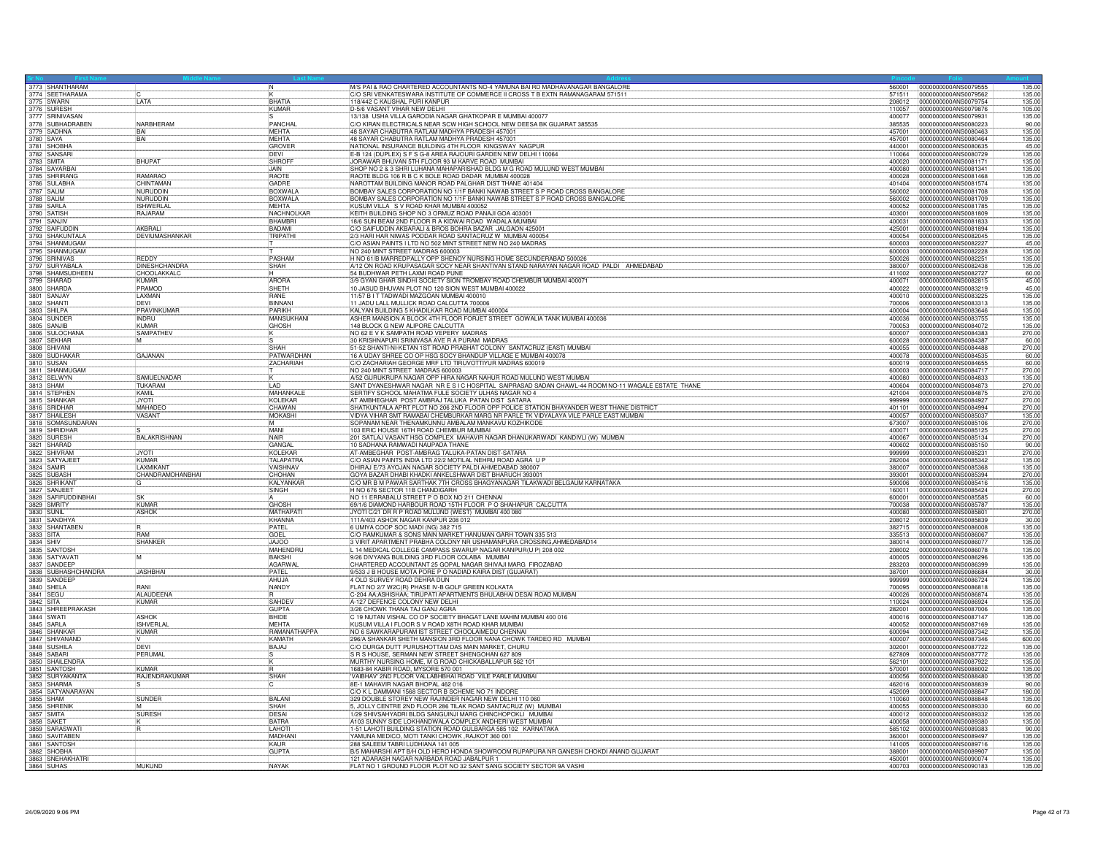| 3773 SHANTHARAM                     |                                      | $\overline{\mathsf{N}}$     | M/S PAI & RAO CHARTERED ACCOUNTANTS NO-4 YAMUNA BAI RD MADHAVANAGAR BANGALORE<br>C/O SRI VENKATESWARA INSTITUTE OF COMMERCE II CROSS T B EXTN RAMANAGARAM 571511 | 560001           | 0000000000ANS0079555<br>135.00<br>135.00                         |
|-------------------------------------|--------------------------------------|-----------------------------|------------------------------------------------------------------------------------------------------------------------------------------------------------------|------------------|------------------------------------------------------------------|
|                                     |                                      | <b>BHATIA</b>               |                                                                                                                                                                  | 571511           | 0000000000ANS0079562                                             |
| 3775 SWARN<br>3776 SURESH           | LATA                                 | KUMAR                       | 118/442 C KAUSHAL PURI KANPUR<br>D-5/6 VASANT VIHAR NEW DELHI                                                                                                    | 208012<br>110057 | 0000000000ANS0079754<br>135.00<br>0000000000ANS0079876<br>105.00 |
| 3777 SRINIVASAN                     |                                      |                             | 13/138 USHA VILLA GARODIA NAGAR GHATKOPAR E MUMBAI 400077                                                                                                        | 400077           | 0000000000ANS0079931<br>135.00                                   |
|                                     | NARBHERAM                            | PANCHAL                     | C/O KIRAN ELECTRICALS NEAR SCW HIGH SCHOOL NEW DEESA BK GUJARAT 385535                                                                                           | 385535           | 0000000000ANS0080223<br>90.00                                    |
| 3778 SUBHADRABEN<br>3779 SADHNA     | <b>BAI</b>                           | MEHTA                       | 48 SAYAR CHABUTRA RATLAM MADHYA PRADESH 457001                                                                                                                   | 457001           | 135.00<br>0000000000ANS0080463                                   |
| 3780 SAYA                           | BAI                                  | <b>MEHTA</b>                | 48 SAYAR CHABUTRA RATLAM MADHYA PRADESH 457001                                                                                                                   | 457001           | 0000000000ANS0080464<br>135.00                                   |
| 3781 SHOBHA<br>3782 SANSARI         |                                      | GROVER                      | NATIONAL INSURANCE BUILDING 4TH FLOOR KINGSWAY NAGPUR                                                                                                            | 440001           | 45.00<br>0000000000ANS0080635                                    |
|                                     |                                      | DEVI                        | E-B 124 (DUPLEX) S F S G-8 AREA RAJOURI GARDEN NEW DELHI 110064                                                                                                  | 110064           | 0000000000ANS0080729<br>135.00                                   |
| 3783 SMITA<br>3784 SAYARBA          | <b>BHUPAT</b>                        | SHROF                       | JORAWAR BHUVAN 5TH FLOOR 93 M KARVE ROAD MUMBAI                                                                                                                  | 400020           | 0000000000ANS0081171<br>135.00                                   |
|                                     | <b>RAMARAC</b>                       | <b>JAIN</b><br><b>RAOTI</b> | SHOP NO 2 & 3 SHRI LUHANA MAHAPARISHAD BLDG M G ROAD MULUND WEST MUMBAI                                                                                          | 400080           | 0000000000ANS0081341<br>135.00                                   |
| 3785 SHRIRANG<br>3786 SULABHA       | <b>CHINTAMAN</b>                     | GADRE                       | RAOTE BLDG 106 R B C K BOLE ROAD DADAR MUMBAI 400028<br>NAROTTAM BUILDING MANOR ROAD PALGHAR DIST THANE 401404                                                   | 400028<br>401404 | 0000000000ANS0081468<br>135.00<br>135.00<br>0000000000ANS0081574 |
| 3787 SALIM                          | NURUDDIN                             | <b>BOXWALA</b>              | BOMBAY SALES CORPORATION NO 1/1F BANKI NAWAB STREET S P ROAD CROSS BANGALORE                                                                                     | 560002           | 0000000000ANS0081708<br>135.00                                   |
|                                     | NURUDDIN                             | <b>BOXWALA</b>              | BOMBAY SALES CORPORATION NO 1/1F BANKI NAWAB STREET S P ROAD CROSS BANGALORE                                                                                     | 560002           | 135.0<br>0000000000ANS0081709                                    |
| 3788 SALIM<br>3789 SARLA            | <b>ISHWERLAL</b>                     | MEHTA                       | KUSUM VILLA S V ROAD KHAR MUMBAI 400052                                                                                                                          | 400052           | 0000000000ANS0081785<br>135.00                                   |
| 3790 SATISH                         | RAJARAM                              | NACHNOLKAR                  | KEITH BUILDING SHOP NO 3 ORMUZ ROAD PANAJI GOA 403001                                                                                                            | 403001           | 135.00<br>0000000000ANS0081809                                   |
| 3791 SANJI                          |                                      | BHAMBRI                     | 18/6 SUN BEAM 2ND FLOOR R A KIDWAI ROAD WADALA MUMBA                                                                                                             | 400031           | 135.00<br>0000000000ANS0081833                                   |
| 3792 SAIFUDDIN                      | AKBRAL                               | <b>BADAMI</b>               | C/O SAIFUDDIN AKBARALI & BROS BOHRA BAZAR JALGAON 425001                                                                                                         | 425001           | 0000000000ANS0081894<br>135.00                                   |
| 3793 SHAKUNTALA<br>3794 SHANMUGAM   | DEVIUMASHANKAR                       | TRIPATHI                    | 2/3 HARI HAR NIWAS PODDAR ROAD SANTACRUZ W MUMBAI 400054                                                                                                         | 400054           | 135.00<br>0000000000ANS0082045                                   |
|                                     |                                      |                             | C/O ASIAN PAINTS I LTD NO 502 MINT STREET NEW NO 240 MADRAS                                                                                                      | 600003           | 0000000000ANS0082227<br>45.00                                    |
| 3795 SHANMUGAM                      |                                      |                             | NO 240 MINT STREET MADRAS 600003                                                                                                                                 | 600003           | 135.00<br>0000000000ANS0082228                                   |
| 3796 SRINIVAS<br>3797 SURYABAL/     | <b>REDDY</b><br><b>DINESHCHANDRA</b> | PASHAM<br>SHAH              | H NO 61/B MARREDPALLY OPP SHENOY NURSING HOME SECUNDERABAD 500026<br>A/12 ON ROAD KRUPASAGAR SOCY NEAR SHANTIVAN STAND NARAYAN NAGAR ROAD PALDI AHMEDABAD        | 500026<br>380007 | 135.00<br>0000000000ANS0082251<br>0000000000ANS0082438<br>135.00 |
|                                     | CHOOLAKKALC                          |                             | 54 BUDHWAR PETH LAXMI ROAD PUNE                                                                                                                                  | 411002           | 0000000000ANS0082727<br>60.0                                     |
| 3798 SHAMSUDHEEN<br>3799 SHARAD     | <b>KIMAR</b>                         | <b>ARORA</b>                | 3/9 GYAN GHAR SINDHI SOCIETY SION TROMBAY ROAD CHEMBUR MUMBAI 400071                                                                                             | 400071           | 0000000000ANS0082815<br>45.00                                    |
| 3800 SHARDA                         | PRAMOD                               | SHETH                       | 10 JASUD BHUVAN PLOT NO 120 SION WEST MUMBAI 400022                                                                                                              | 400022           | 45.00<br>0000000000ANS0083219                                    |
| 3801 SANJAY                         | LAXMAN                               | RANE                        | 11/57 B I T TADWADI MAZGOAN MUMBAI 400010                                                                                                                        | 400010           | 0000000000ANS0083225<br>135.00                                   |
| 3802 SHANT                          | <b>DEVI</b>                          | BINNANI                     | 11 JADU LALL MULLICK ROAD CALCUTTA 700006                                                                                                                        | 700006           | 0000000000ANS0083313<br>135.00                                   |
| 3803 SHILPA                         | PRAVINKUMAR                          | PARIKH                      | KALYAN BUILDING 5 KHADILKAR ROAD MUMBAI 400004                                                                                                                   | 400004           | 0000000000ANS0083646<br>135.00                                   |
| 3804 SUNDER                         | <b>INDRU</b>                         | MANSUKHANI                  | ASHER MANSION A BLOCK 4TH FLOOR FORJET STREET GOWALIA TANK MUMBAI 400036                                                                                         | 400036           | 0000000000ANS0083755<br>135.00                                   |
| 3805 SANJIB                         | KUMAF                                | <b>GHOSH</b>                | 148 BLOCK G NEW ALIPORE CALCUTTA                                                                                                                                 | 700053           | 0000000000ANS0084072<br>135.00                                   |
| 3806 SULOCHANA                      | <b>SAMPATHE</b>                      |                             | NO 62 E V K SAMPATH ROAD VEPERY MADRAS                                                                                                                           | 600007           | 270.00<br>0000000000ANS0084383                                   |
| 3807 SEKHAR                         | M                                    |                             | 30 KRISHNAPURI SRINIVASA AVE R A PURAM MADRAS                                                                                                                    | 600028           | 0000000000ANS0084387<br>60.00                                    |
| 3808 SHIVANI                        |                                      | SHAH                        | 51-52 SHANTI-NI-KETAN 1ST ROAD PRABHAT COLONY SANTACRUZ (EAST) MUMBAI                                                                                            | 400055           | 0000000000ANS0084488<br>270.00                                   |
| 3809 SUDHAKAR                       | <b>GAJANAN</b>                       | PATWARDHAN                  | 16 A UDAY SHREE CO OP HSG SOCY BHANDUP VILLAGE E MUMBAI 400078                                                                                                   | 400078<br>600019 | 0000000000ANS0084535<br>60.00<br>0000000000ANS0084655            |
| 3810 SUSAN<br>3811 SHANMUGAM        |                                      | ZACHARIAH                   | C/O ZACHARIAH GEORGE MRF LTD TIRUVOTTIYUR MADRAS 600019<br>NO 240 MINT STREET MADRAS 600003                                                                      | 600003           | 60.00<br>0000000000ANS0084717<br>270.00                          |
| 3812 SELWYN                         | SAMUELNADAR                          |                             | A/52 GURUKRUPA NAGAR OPP HIRA NAGAR NAHUR ROAD MULUND WEST MUMBAI                                                                                                | 400080           | 0000000000ANS0084833<br>135.00                                   |
| 3813 SHAM                           | <b>TUKARAM</b>                       | II AD                       | SANT DYANESHWAR NAGAR NR E S I C HOSPITAL SAIPRASAD SADAN CHAWL-44 ROOM NO-11 WAGALE ESTATE THANE                                                                | 400604           | 270.00<br>0000000000ANS0084873                                   |
| 3814 STEPHEN                        | KAMIL                                | MAHANKALE                   | SERTIFY SCHOOL MAHATMA FULE SOCIETY ULHAS NAGAR NO 4                                                                                                             | 421004           | 0000000000ANS0084875<br>270.00                                   |
| 3815 SHANKAR                        | <b>JYOTI</b>                         | <b>KOLEKAR</b>              | AT AMBHEGHAR POST AMBRAJ TALUKA PATAN DIST SATARA                                                                                                                | 999999           | 0000000000ANS0084927<br>270.00                                   |
| 3816 SRIDHAR                        | <b>MAHADEO</b>                       | CHAWAN                      | SHATKUNTALA APRT PLOT NO 206 2ND FLOOR OPP POLICE STATION BHAYANDER WEST THANE DISTRICT                                                                          | 401101           | 270.00<br>0000000000ANS0084994                                   |
| 3817 SHAILESH                       | VASANT                               | MOKASHI                     | VIDYA VIHAR SMT RAMABAI CHEMBURKAR MARG NR PARLE TK VIDYALAYA VILE PARLE EAST MUMBAI                                                                             | 400057           | 0000000000ANS0085037<br>135.00                                   |
| 3818 SOMASUNDARAN                   |                                      | M                           | SOPANAM NEAR THENAMKUNNU AMBALAM MANKAVU KOZHIKODE                                                                                                               | 673007           | 0000000000ANS0085106<br>270.00                                   |
|                                     |                                      | <b>MANI</b>                 | 103 ERIC HOUSE 16TH ROAD CHEMBUR MUMBAI                                                                                                                          | 400071           | 0000000000ANS0085125<br>270.00                                   |
| 3820 SURESH                         | <b>BALAKRISHNAN</b>                  | <b>NAIR</b>                 | 201 SATLAJ VASANT HSG COMPLEX MAHAVIR NAGAR DHANUKARWADI KANDIVLI (W) MUMBAI                                                                                     | 400067           | 0000000000ANS0085134<br>270.00                                   |
| 3821 SHARAD<br>3822 SHIVRAM         | <b>I.IYOTI</b>                       | GANGAL<br><b>KOLEKAE</b>    | 10 SADHANA RAMWADI NAUPADA THANE<br>AT-AMBEGHAR POST-AMBRAG TALUKA-PATAN DIST-SATARA                                                                             | 400602           | 0000000000ANS0085150<br>90.00<br>10000000000ANS0085231           |
|                                     | KIIMAR                               |                             |                                                                                                                                                                  | 999999<br>282004 | 270.00<br>0000000000ANS0085342                                   |
| 3823 SATYAJEE<br>3824 SAMIR         | LAXMIKAN                             | TALAPATRA<br>VAISHNAV       | C/O ASIAN PAINTS INDIA LTD 22/2 MOTILAL NEHRU ROAD AGRA U P<br>DHIRAJ E/73 AYOJAN NAGAR SOCIETY PALDI AHMEDABAD 380007                                           | 380007           | 135.00<br>0000000000ANS0085368<br>135.00                         |
| 3825 SUBASH                         | CHANDRAMOHANBHAI                     | CHOHAN                      | GOYA BAZAR DHABI KHADKI ANKELSHWAR DIST BHARUCH 393001                                                                                                           | 393001           | 0000000000ANS0085394<br>270.00                                   |
| 3826 SHRIKAN                        |                                      | <b>KALYANKAF</b>            | C/O MR B M PAWAR SARTHAK 7TH CROSS BHAGYANAGAR TILAKWADI BELGAUM KARNATAKA                                                                                       | 590006           | 135.00<br>0000000000ANS0085416                                   |
| 3827 SANJEET                        |                                      | <b>ISINGH</b>               | H NO 676 SECTOR 11B CHANDIGARH                                                                                                                                   | 160011           | 0000000000ANS0085424<br>270.00                                   |
| 3828 SAFIFUDDINBHAI                 |                                      |                             | NO 11 ERRABALU STREET P O BOX NO 211 CHENNAI                                                                                                                     | 600001           | 0000000000ANS0085585<br>60.00                                    |
|                                     | KUMAF                                | GHOSH                       | 69/1/6 DIAMOND HARBOUR ROAD 15TH FLOOR P O SHAHAPUR CALCUTTA                                                                                                     | 700038           | 0000000000ANS0085787<br>135.00                                   |
| 3830 SUNIL                          | <b>ASHOK</b>                         | MATHAPATI                   | JYOTI C/21 DR R P ROAD MULUND (WEST) MUMBAI 400 080                                                                                                              | 400080           | 0000000000ANS0085801<br>270.00                                   |
| 3831 SANDHY                         |                                      | KHANNA                      | 111A/403 ASHOK NAGAR KANPUR 208 012                                                                                                                              | 208012           | 0000000000ANS0085839<br>30.00                                    |
| 3832 SHANTABEN                      | <b>RAM</b>                           | PATFI                       | 6 UMIYA COOP SOC MADI (NG) 382 715                                                                                                                               | 382715           | 135.00<br>10000000000ANS0086008                                  |
| 3833 SITA<br>3834 SHIV              | SHANKER                              | GOEL<br><b>JAJOO</b>        | C/O RAMKUMAR & SONS MAIN MARKET HANUMAN GARH TOWN 335 513<br>3 VIRIT APARTMENT PRABHA COLONY NR USHAMANPURA CROSSING, AHMEDABAD14                                | 335513<br>380014 | 0000000000ANS0086067<br>135.00<br>0000000000ANS0086077<br>135.00 |
| 3835 SANTOSH                        |                                      | MAHENDRU                    | L 14 MEDICAL COLLEGE CAMPASS SWARUP NAGAR KANPUR(U P) 208 002                                                                                                    | 208002           | 135.00<br>0000000000ANS0086078                                   |
| 3836 SATYAVAT                       |                                      | BAKSHI                      | 9/26 DIVYANG BUILDING 3RD FLOOR COLABA MUMBAI                                                                                                                    | 400005           | 135.00<br>0000000000ANS0086296                                   |
| 3837 SANDEEP                        |                                      | <b>AGARWA</b>               | CHARTERED ACCOUNTANT 25 GOPAL NAGAR SHIVAJI MARG FIROZABAD                                                                                                       | 283203           | 00000000000ANS0086399<br>135.00                                  |
|                                     | JASHBHAI                             | PATEI                       | 9/533 J B HOUSE MOTA PORE P O NADIAD KAIRA DIST (GUJARAT)                                                                                                        | 387001           | 0000000000ANS0086684<br>30.00                                    |
| 3838 SUBHASHCHANDRA<br>3839 SANDEEP |                                      | AHUJA                       | 4 OLD SURVEY ROAD DEHRA DUN                                                                                                                                      | 999999           | 135.00<br>0000000000ANS0086724                                   |
| 3840 SHELA                          | RANI                                 | NANDY                       | FLAT NO 2/7 W2C(R) PHASE IV-B GOLF GREEN KOLKATA                                                                                                                 | 700095           | 135.00<br>0000000000ANS0086818                                   |
| 3841 SEGU                           | ALAUDEENA                            |                             | C-204 AA;ASHISHAA; TIRUPATI APARTMENTS BHULABHAI DESAI ROAD MUMBAI                                                                                               | 400026           | 135.00<br>0000000000ANS0086874                                   |
| 3842 SITA                           | <b>KUMAR</b>                         | <b>SAHDEV</b>               | A-127 DEFENCE COLONY NEW DELHI                                                                                                                                   | 110024           | 0000000000ANS0086924<br>135.00                                   |
| 3843 SHREEPRAKASH<br>3844 SWATI     |                                      | <b>GUPTA</b>                | 3/26 CHOWK THANA TAJ GANJ AGRA                                                                                                                                   | 282001           | 0000000000ANS0087006<br>135.00                                   |
|                                     | <b>ASHOK</b>                         | <b>BHIDE</b>                | C 19 NUTAN VISHAL CO OP SOCIETY BHAGAT LANE MAHIM MUMBAI 400 016                                                                                                 | 400016           | 135.00<br>0000000000ANS0087147                                   |
| 3845 SARLA<br>3846 SHANKAR          | <b>ISHVERLA</b><br>KUMAR             | MEHTA<br>RAMANATHAPPA       | KUSUM VILLA I FLOOR S V ROAD X8TH ROAD KHAR MUMBAI<br>NO 6 SAWKARAPURAM IST STREET CHOOLAIMEDU CHENNAI                                                           | 400052<br>600094 | 135.00<br>0000000000ANS0087169<br>0000000000ANS0087342<br>135.00 |
| 3847 SHIVANAND                      | IV.                                  | KAMATH                      | 296/A SHANKAR SHETH MANSION 3RD FLOOR NANA CHOWK TARDEO RD MUMBAI                                                                                                | 400007           | 10000000000ANS0087346<br>600.00                                  |
| 3848 SUSHILA                        | DFVI                                 | BAJAJ                       | C/O DURGA DUTT PURUSHOTTAM DAS MAIN MARKET, CHURU                                                                                                                | 302001           | 0000000000ANS0087722<br>135.00                                   |
| 3849 SABAR                          | PERUMAL                              |                             | S R S HOUSE, SERMAN NEW STREET SHENGOHAN 627 809                                                                                                                 | 627809           | 135.00<br>0000000000ANS0087772                                   |
| 3850 SHAILENDRA                     |                                      |                             | MURTHY NURSING HOME. M G ROAD CHICKABALLAPUR 562 101                                                                                                             | 562101           | 135.00<br>0000000000ANS0087922                                   |
| 3851 SANTOSH                        | KUMAR                                |                             | 1683-84 KABIR ROAD, MYSORE 570 001                                                                                                                               | 570001           | 135.00<br>0000000000ANS0088002                                   |
| 3852 SURYAKANTA                     | RAJENDRAKUMAR                        | SHAH                        | VAIBHAV 2ND FLOOR VALLABHBHAI ROAD VILE PARLE MUMBAI                                                                                                             | 400056           | 0000000000ANS0088480<br>135.00                                   |
| 3853 SHARMA<br>3854 SATYANARAYAN    |                                      |                             | 8E-1 MAHAVIR NAGAR BHOPAL 462 016                                                                                                                                | 462016           | 90.00<br>0000000000ANS0088839                                    |
|                                     |                                      |                             | C/O K L DAMMANI 1568 SECTOR B SCHEME NO 71 INDORE                                                                                                                | 452009           | 0000000000ANS0088847<br>180.00                                   |
| 3855 SHAM                           | <b>SUNDER</b>                        | <b>BALANI</b>               | 329 DOUBLE STOREY NEW BAJINDER NAGAR NEW DELHL110 060                                                                                                            | 110060           | 135.00<br>10000000000ANS0088848                                  |
| 3856 SHRENI                         | SURFSH                               | SHAH<br><b>DESAL</b>        | 5. JOLLY CENTRE 2ND FLOOR 286 TILAK ROAD SANTACRUZ (W) MUMBA                                                                                                     | 400055           | 60.00<br>0000000000ANS0089330                                    |
| 3857 SMITA                          |                                      | BATRA                       | 1/29 SHIVSAHYADRI BLDG SANGUINJI MARG CHINCHOPOKLI MUMBAI<br>A103 SUNNY SIDE LOKHANDWALA COMPLEX ANDHERI WEST MUMBAI                                             | 400012<br>400058 | 0000000000ANS0089332<br>135.00<br>0000000000ANS0089380<br>135.0  |
| 3858 SAKET<br>3859 SARASWAT         |                                      | LAHOT                       | 1-51 LAHOTI BUILDING STATION ROAD GULBARGA 585 102 KARNATAKA                                                                                                     | 585102           | 90.00<br>0000000000ANS0089383                                    |
|                                     |                                      | MADHAN                      | YAMUNA MEDICO, MOTI TANKI CHOWK , RAJKOT 360 001                                                                                                                 | 360001           | 0000000000ANS0089497<br>135.00                                   |
| 3860 SAVITABEN<br>3861 SANTOSH      |                                      | KAUR                        | 288 SALEEM TABRI LUDHIANA 141 005                                                                                                                                | 141005           | 0000000000ANS0089716<br>135.00                                   |
| 3862 SHOBHA                         |                                      | <b>GUPTA</b>                | B/5 MAHARSHI APT B/H OLD HERO HONDA SHOWROOM RUPAPURA NR GANESH CHOKDI ANAND GUJARAT                                                                             | 388001           | 0000000000ANS0089907<br>135.00                                   |
| 3863 SNEHAKHATR                     |                                      |                             | 121 ADARASH NAGAR NARBADA ROAD JABALPUR 1                                                                                                                        | 450001           | 0000000000ANS0090074<br>135.00                                   |
| 3864 SUHAS                          | <b>MUKUND</b>                        | NAYAK                       | FLAT NO 1 GROUND FLOOR PLOT NO 32 SANT SANG SOCIETY SECTOR 9A VASHI                                                                                              | 400703           | 135.00<br>0000000000ANS0090183                                   |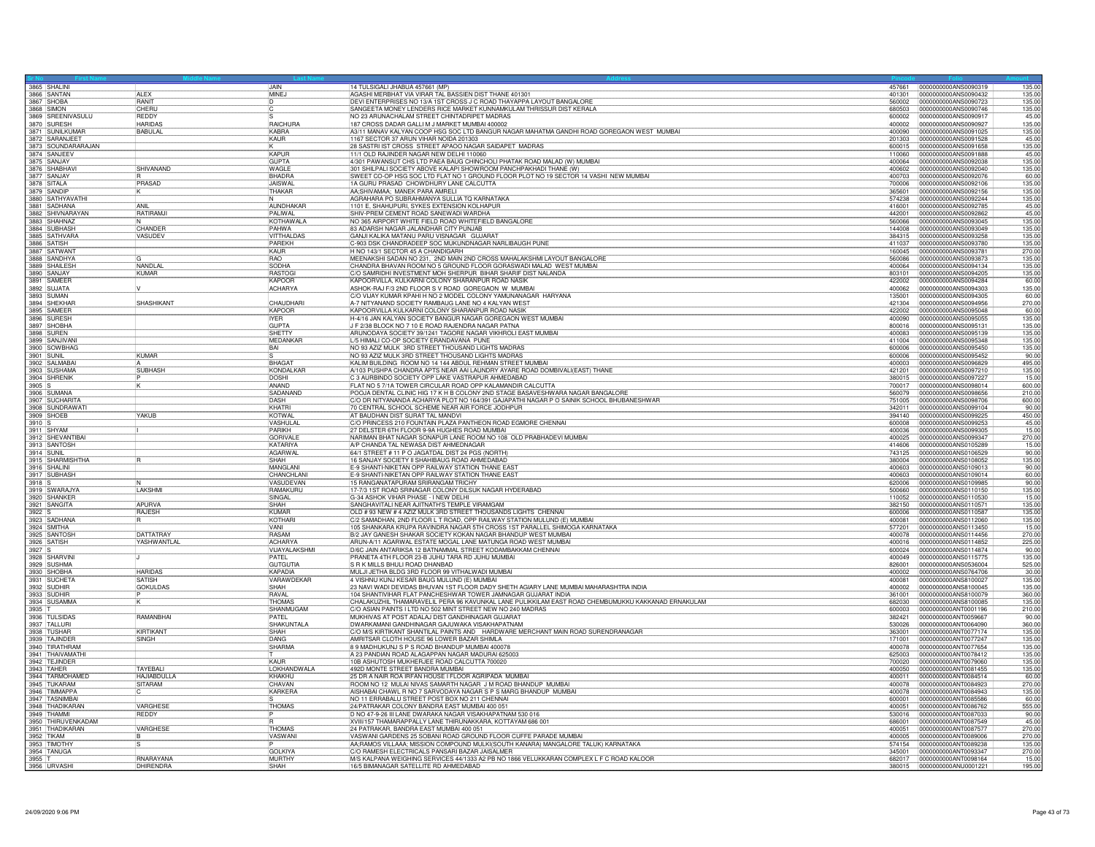| 3865 SHALINI<br>3866 SANTAN        |                    | <b>JAIN</b>       | 14 TULSIGALI JHABUA 457661 (MP)                                                                                                             |        | 457661 0000000000ANS0090319 | 135.00 |
|------------------------------------|--------------------|-------------------|---------------------------------------------------------------------------------------------------------------------------------------------|--------|-----------------------------|--------|
|                                    | <b>ALEX</b>        | MINEJ             | AGASHI MERBHAT VIA VIRAR TAL BASSIEN DIST THANE 401301                                                                                      | 401301 | 0000000000ANS0090432        | 135.00 |
| 3867 SHOBA                         | <b>RANIT</b>       |                   | DEVI ENTERPRISES NO 13/A 1ST CROSS J C ROAD THAYAPPA LAYOUT BANGALORE                                                                       | 560002 | 10000000000ANS0090723       | 135.00 |
| 3868 SIMON<br>3869 SREENIVASULU    | CHFRL              |                   | SANGEETA MONEY LENDERS RICE MARKET KUNNAMKULAM THRISSUR DIST KERALA                                                                         | 680503 | 0000000000ANS0090746        | 135.00 |
|                                    | <b>RFDD</b>        |                   | NO 23 ARUNACHALAM STREET CHINTADRIPET MADRAS                                                                                                | 600002 | 0000000000ANS0090917        | 45.00  |
| 3870 SURESH                        | <b>HARIDAS</b>     | RAICHURA          | 187 CROSS DADAR GALLI M J MARKET MUMBAI 400002                                                                                              | 400002 | 0000000000ANS0090927        | 135.00 |
| 3871 SUNILKUMAR                    | BABULAL            | KABRA             | A3/11 MANAV KALYAN COOP HSG SOC LTD BANGUR NAGAR MAHATMA GANDHI ROAD GOREGAON WEST MUMBAI                                                   | 400090 | 0000000000ANS0091025        | 135.00 |
| 3872 SARANJEET                     |                    | KAUR              | 1167 SECTOR 37 ARUN VIHAR NOIDA 201303<br> 28 SASTRI IST CROSS_STREET APAOO NAGAR SAIDAPET_MADRAS                                           | 201303 | 0000000000ANS0091528        | 45.00  |
| 3873 SOUNDARARAJAN<br>3874 SANJEEV |                    |                   |                                                                                                                                             | 600015 | 0000000000ANS0091658        | 135.00 |
|                                    |                    | KAPUF             | 11/1 OLD RAJINDER NAGAR NEW DELHI 110060                                                                                                    | 110060 | 0000000000ANS0091888        | 45.00  |
| 3875 SANJAY                        |                    | <b>GUPTA</b>      | 4/301 PAWANSUT CHS LTD PAEA BAUG CHINCHOLI PHATAK ROAD MALAD (W) MUMBAI                                                                     | 400064 | 0000000000ANS0092038        | 135.00 |
| 3876 SHABHAV                       | SHIVANAND          | <b>WAGIF</b>      | 301 SHILPALI SOCIETY ABOVE KALAPI SHOWROOM PANCHPAKHADI THANE (W)                                                                           | 400602 | 0000000000ANS0092040        | 135.00 |
| 3877 SANJAY                        |                    | BHADRA            | SWEET CO-OP HSG SOC LTD FLAT NO 1 GROUND FLOOR PLOT NO 19 SECTOR 14 VASHI NEW MUMBAI                                                        | 400703 | 0000000000ANS0092076        | 60.00  |
| 3878 SITALA<br>3879 SANDIP         | PRASAD             | JAISWAL           |                                                                                                                                             |        | 700006 0000000000ANS0092106 | 135.00 |
|                                    |                    | THAKAR            | AA;SHIVAMAA; MANEK PARA AMRELI                                                                                                              | 365601 | 0000000000ANS0092156        | 135.00 |
| 3880 SATHYAVATHI                   |                    |                   | AGRAHARA PO SUBRAHMANYA SULLIA TO KARNATAKA                                                                                                 | 574238 | 0000000000ANS0092244        | 135.00 |
| 3881 SADHANA                       | <b>ANIL</b>        | AUNDHAKAR         | 1101 E. SHAHUPURI, SYKES EXTENSION KOLHAPUR                                                                                                 | 416001 | 0000000000ANS0092785        | 45.00  |
| 3882 SHIVNARAYAN                   | RATIRAMJI          | PALIWAL           | SHIV-PREM CEMENT ROAD SANEWADI WARDHA<br>NO 365 AIRPORT WHITE FIELD ROAD WHITEFIELD BANGALORE                                               | 442001 | 0000000000ANS0092862        | 45.00  |
| 3883 SHAHNAZ<br>3884 SUBHASH       | IN.                | <b>KOTHAWALA</b>  |                                                                                                                                             | 560066 | 0000000000ANS0093045        | 135.00 |
|                                    | CHANDER            | PAHWA             | 83 ADARSH NAGAR JALANDHAR CITY PUNJAB                                                                                                       | 144008 | 0000000000ANS0093049        | 135.00 |
| 3885 SATHVARA                      | VASUDEV            | VITTHALDAS        | GANJI KALIKA MATANU PARU VISNAGAR GUJARAT                                                                                                   | 384315 | 0000000000ANS0093258        | 135.00 |
| 3886 SATISH                        |                    | PAREKH            | C-903 DSK CHANDRADEEP SOC MUKUNDNAGAR NARLIBAUGH PUNE                                                                                       | 411037 | 0000000000ANS0093780        | 135.00 |
| 3887 SATWAN                        |                    | KAUR              | H NO 143/1 SECTOR 45 A CHANDIGARH                                                                                                           | 160045 | 0000000000ANS0093781        | 270.00 |
| 3888 SANDHYA<br>3889 SHAILESH      |                    | RAO               | MEENAKSHI SADAN NO 231, 2ND MAIN 2ND CROSS MAHALAKSHMI LAYOUT BANGALORE                                                                     | 560086 | 0000000000ANS0093873        | 135.00 |
|                                    | NANDLAL            | SODHA             | CHANDRA BHAVAN ROOM NO'S GROUND FLOOR GORASWADI MALAD WEST MUMBAI                                                                           | 400064 | 0000000000ANS0094134        | 135.00 |
| 3890 SANJAY<br>3891 SAMEER         | <b>KUMAR</b>       | <b>RASTOGI</b>    | C/O SAMRIDHI INVESTMENT MOH SHERPUR BIHAR SHARIF DIST NALANDA                                                                               | 803101 | 0000000000ANS0094205        | 135.00 |
|                                    |                    | <b>IKAPOOR</b>    | KAPOORVILLA, KULKARNI COLONY SHARANPUR ROAD NASIK                                                                                           | 422002 | 10000000000ANS0094284       | 60.00  |
| 3892 SUJATA                        |                    | <b>ACHARYA</b>    | ASHOK-RAJ F/3 2ND FLOOR S V ROAD GOREGAON W MUMBAI                                                                                          | 400062 | 0000000000ANS0094303        | 135.00 |
| 3893 SUMAN<br>3894 SHEKHAR         |                    |                   | C/O VIJAY KUMAR KPAHI H NO 2 MODEL COLONY YAMUNANAGAR HARYANA                                                                               | 135001 | 0000000000ANS0094305        | 60.00  |
|                                    | SHASHIKANT         | CHAUDHAR          | A-7 NITYANAND SOCIETY RAMBAUG LANE NO 4 KALYAN WEST                                                                                         | 421304 | 0000000000ANS0094956        | 270.00 |
| 3895 SAMEER                        |                    | KAPOOR            |                                                                                                                                             | 422002 | 0000000000ANS0095048        | 60.00  |
| 3896 SURESH                        |                    | <b>IYFR</b>       | KAPOORVILLA KULKARNI COLONY SHARANPUR ROAD NASIK<br> H-4/16 JAN KALYAN SOCIETY BANGUR NAGAR GOREGAON WEST MUMBAI                            |        |                             | 135.00 |
| 3897 SHOBHA                        |                    | <b>GUPTA</b>      | J F 2/38 BLOCK NO 7 10 E ROAD RAJENDRA NAGAR PATNA                                                                                          | 800016 | 0000000000ANS0095131        | 135.00 |
| 3898 SUREN                         |                    | SHETTY            | ARUNODAYA SOCIETY 39/1241 TAGORE NAGAR VIKHROLI EAST MUMBAI                                                                                 | 400083 | 0000000000ANS0095139        | 135.00 |
| 3899 SANJIVANI                     |                    | <b>MEDANKAR</b>   | L/5 HIMALI CO-OP SOCIETY ERANDAVANA PUNE                                                                                                    | 411004 | 0000000000ANS0095348        | 135.00 |
|                                    |                    | BAI               |                                                                                                                                             | 600006 | 0000000000ANS0095450        | 135.00 |
| 3900 SOWBHAG                       | KUMAR              |                   | NO 93 AZIZ MULK 3RD STREET THOUSAND LIGHTS MADRAS<br>NO 93 AZIZ MULK 3RD STREET THOUSAND LIGHTS MADRAS                                      | 600006 | 0000000000ANS0095452        | 90.00  |
| 3902 SALMABA                       |                    | BHAGAT            | KALIM BUILDING ROOM NO 14 144 ABDUL REHMAN STREET MUMBAI                                                                                    | 400003 | 0000000000ANS0096829        | 495.00 |
| 3903 SUSHAMA                       | <b>SUBHASH</b>     | KONDALKAR         | A/103 PUSHPA CHANDRA APTS NEAR AAI LAUNDRY AYARE ROAD DOMBIVALI(EAST) THANE                                                                 | 421201 | 0000000000ANS0097210        | 135.00 |
| 3904 SHRENIK                       |                    | <b>DOSHI</b>      | C 3 AURBINDO SOCIETY OPP LAKE VASTRAPUR AHMEDABAD                                                                                           | 380015 | 0000000000ANS0097227        | 15.00  |
| $3905$ S                           |                    | ANAND             |                                                                                                                                             | 700017 | 0000000000ANS0098014        | 600.00 |
| 3906 SUMANA                        |                    | SADANAND          | FLAT NO 57/1A TOWER CIRCULAR ROAD OPP KALAMANDIR CALCUTTA<br>POOJA DENTAL CLINIC HIG 17 K H B COLONY 2ND STAGE BASAVESHWARA NAGAR BANGALORE | 560079 | 0000000000ANS0098656        | 210.00 |
|                                    |                    |                   |                                                                                                                                             |        |                             |        |
| 3907 SUCHARIT                      |                    | DASH              | C/O DR NITYANANDA ACHARYA PLOT NO 164/391 GAJAPATHI NAGAR P O SAINIK SCHOOL BHUBANESHWAR                                                    | 751005 | 0000000000ANS0098706        | 600.00 |
| 3908 SUNDRAWATI                    |                    | KHATR             | 70 CENTRAL SCHOOL SCHEME NEAR AIR FORCE JODHPUR<br>AT BAUDHAN DIST SURAT TAL MANDVI                                                         | 342011 | 0000000000ANS0099104        | 90.00  |
| 3909 SHOEB                         | YAKUB              | KOTWAL            |                                                                                                                                             | 394140 | 0000000000ANS0099225        | 450.00 |
| 3910 S                             |                    | VASHULA<br>PARIKH | C/O PRINCESS 210 FOUNTAIN PLAZA PANTHEON ROAD EGMORE CHENNAI                                                                                | 600008 | 0000000000ANS0099253        | 45.00  |
| 3911 SHYAM                         |                    |                   | 27 DELSTER 6TH FLOOR 9-9A HUGHES ROAD MUMBAI                                                                                                | 400036 | 0000000000ANS0099305        | 15.00  |
| 3912 SHEVANTIBAI                   |                    | <b>GORIVALI</b>   | NARIMAN BHAT NAGAR SONAPUR LANE ROOM NO 108 OLD PRABHADEVI MUMBAI                                                                           | 400025 | 0000000000ANS0099347        | 270.00 |
| 3913 SANTOSH                       |                    | KATARIYA          | A/P CHANDA TAL NEWASA DIST AHMEDNAGAR                                                                                                       | 414606 | 0000000000ANS0105289        | 15.00  |
| 3914 SUNIL                         |                    | <b>AGARWAL</b>    | 64/1 STREET # 11 P O JAGATDAL DIST 24 PGS (NORTH)                                                                                           | 743125 | 0000000000ANS0106529        | 90.00  |
| 3915 SHARMISHTHA                   | lR.                | SHAH              | 16 SANJAY SOCIETY II SHAHIBAUG ROAD AHMEDABAD                                                                                               | 380004 | 0000000000ANS0108052        | 135.00 |
| 3916 SHALINI                       |                    | <b>MANGLAN</b>    | E-9 SHANTI-NIKETAN OPP RAILWAY STATION THANE EAST                                                                                           | 400603 | 0000000000ANS0109013        | 90.00  |
| 3917 SUBHASH                       |                    | CHANCHLAN         | E-9 SHANTI-NIKETAN OPP RAILWAY STATION THANE EAST                                                                                           | 400603 | 0000000000ANS0109014        | 60.00  |
| 3918 S                             |                    | VASUDEVAN         | 15 RANGANATAPURAM SRIRANGAM TRICHY                                                                                                          | 620006 | 0000000000ANS0109985        | 90.00  |
| 3919 SWARAJYA                      | LAKSHMI            | RAMAKURU          | 17-7/3 1ST ROAD SRINAGAR COLONY DILSUK NAGAR HYDERABAD                                                                                      | 500660 | 0000000000ANS0110150        | 135.00 |
| 3920 SHANKER<br>3921 SANGITA       |                    | SINGAL            | G-34 ASHOK VIHAR PHASE - I NEW DELHI                                                                                                        | 110052 | 0000000000ANS0110530        | 15.00  |
|                                    | APURVA             | <b>SHAH</b>       | SANGHAVITALI NEAR AJITNATH'S TEMPLE VIRAMGAM                                                                                                | 382150 | 0000000000ANS0110571        | 135.00 |
| 3922 S                             | RAJESH             | KUMAR             | OLD # 93 NEW # 4 AZIZ MULK 3RD STREET THOUSANDS LIGHTS CHENNAI                                                                              | 600006 | 0000000000ANS0110587        | 135.00 |
| 3923 SADHANA                       |                    | KOTHARI           | C/2 SAMADHAN, 2ND FLOOR L T ROAD, OPP RAILWAY STATION MULUND (E) MUMBAI                                                                     | 400081 | 0000000000ANS0112060        | 135.00 |
| 3924 SMITHA                        |                    | <b>VANI</b>       | 105 SHANKARA KRUPA RAVINDRA NAGAR 5TH CROSS 1ST PARALLEL SHIMOGA KARNATAKA                                                                  | 577201 | 0000000000ANS0113450        | 15.00  |
| 3925 SANTOSH                       | <b>DATTATRAY</b>   | RASAM             | B/2 JAY GANESH SHAKAR SOCIETY KOKAN NAGAR BHANDUP WEST MUMBAI                                                                               | 400078 | 0000000000ANS0114456        | 270.00 |
|                                    | YASHWANTLAI        | ACHARYA           | ARUN-A/11 AGARWAL ESTATE MOGAL LANE MATUNGA ROAD WEST MUMBAI                                                                                | 400016 | 10000000000ANS0114852       | 225.00 |
| 3927 S                             |                    | VIJAYALAKSHMI     | D/6C JAIN ANTARIKSA 12 BATNAMMAL STREET KODAMBAKKAM CHENNAI                                                                                 | 600024 | 0000000000ANS0114874        | 90.00  |
| 3928 SHARVINI                      |                    | PATFI             | PRANETA 4TH FLOOR 23-B JUHU TARA RD JUHU MUMBAI                                                                                             | 400049 | 0000000000ANS0115775        | 135.00 |
| 3929 SUSHMA                        |                    | <b>GUTGUTIA</b>   | IS R K MILLS BHULI ROAD DHANBAD                                                                                                             | 826001 | 10000000000ANS0536004       | 525.00 |
| 3930 SHOBHA                        | <b>HARIDAS</b>     | KAPADIA           | MULJI JETHA BLDG 3RD FLOOR 99 VITHALWADI MUMBAI                                                                                             | 400002 | 0000000000ANS0764706        | 30.00  |
|                                    | <b>SATISH</b>      | VARAWDEKAR        | 4 VISHNU KUNJ KESAR BAUG MULUND (E) MUMBAI                                                                                                  | 400081 | 0000000000ANS8100027        | 135.00 |
| 3932 SUDHIF                        | <b>GOKULDAS</b>    | SHAH              | 23 NAVI WADI DEVIDAS BHUVAN 1ST FLOOR DADY SHETH AGIARY LANE MUMBAI MAHARASHTRA INDIA                                                       | 400002 | 0000000000ANS8100045        | 135.00 |
| 3933 SUDHIE                        |                    | <b>RAVAL</b>      | 104 SHANTIVIHAR FLAT PANCHESHWAR TOWER JAMNAGAR GUJARAT INDIA                                                                               | 361001 | 0000000000ANS8100079        | 360.00 |
| 3934 SUSAMMA                       |                    | <b>THOMAS</b>     | CHALAKUZHIL THAMARAVELIL PERA 96 KAVUNKAL LANE PULIKKILAM EAST ROAD CHEMBUMUKKU KAKKANAD ERNAKULAM                                          | 682030 | 0000000000ANS8100085        | 135.00 |
| 3935 T                             |                    | SHANMUGAM         | C/O ASIAN PAINTS I LTD NO 502 MINT STREET NEW NO 240 MADRAS                                                                                 | 600003 | 0000000000ANT0001196        | 210.00 |
| 3936 TULSIDAS                      | RAMANBHAI          | PATEL             | MUKHIVAS AT POST ADALAJ DIST GANDHINAGAR GUJARAT                                                                                            | 382421 | 0000000000ANT0059667        | 90.00  |
| 3937 TALLURI                       |                    | SHAKUNTALA        | DWARKAMANI GANDHINAGAR GAJUWAKA VISAKHAPATNAM                                                                                               | 530026 | 00000000000ANT0064090       | 360.00 |
| 3938 TUSHAR                        | <b>KIRTIKAN</b>    | SHAH              | C/O M/S KIRTIKANT SHANTILAL PAINTS AND HARDWARE MERCHANT MAIN ROAD SURENDRANAGAR                                                            | 363001 | 0000000000ANT0077174        | 135.00 |
| 3939 TAJINDER                      | SINGH              | DANG              | AMRITSAR CLOTH HOUSE 96 LOWER BAZAR SHIMLA                                                                                                  | 171001 | 0000000000ANT0077247        | 135.00 |
| 3940 TIRATHRAM                     |                    | <b>SHARMA</b>     | 8 9 MADHUKUNJ S P S ROAD BHANDUP MUMBAI 400078                                                                                              | 400078 | 0000000000ANT0077654        | 135.00 |
| 3941 THAIVAMATHI                   |                    |                   | A 23 PANDIAN ROAD ALAGAPPAN NAGAR MADURAI 625003                                                                                            | 625003 | 0000000000ANT0078412        | 135.00 |
| 3942 TEJINDER                      |                    | KAUF              | 10B ASHUTOSH MUKHERJEE ROAD CALCUTTA 700020                                                                                                 | 700020 | 0000000000ANT0079060        | 135.00 |
| 3943 TAHER                         | <b>TAYFBALL</b>    | LOKHANDWALA       | 492D MONTE STREET BANDRA MUMBAI                                                                                                             | 400050 | 0000000000ANT0081455        | 135.00 |
| 3944 TARMOHAMED                    | <b>HAJIABDULLA</b> | KHAKHU            | 25 DR A NAIR ROA IRFAN HOUSE I FLOOR AGRIPADA MUMBAI                                                                                        | 400011 | 0000000000ANT0084514        | 60.00  |
| 3945 TUKARAM                       | <b>SITARAM</b>     | CHAVAN            | ROOM NO 12 MULAI NIVAS SAMARTH NAGAR J M ROAD BHANDUP MUMBA                                                                                 | 400078 | 0000000000ANT0084923        | 270.00 |
| 3946 TIMMAPPA                      |                    | <b>KARKERA</b>    | AISHABAI CHAWL R NO 7 SARVODAYA NAGAR S P S MARG BHANDUP MUMBAI                                                                             | 400078 | 0000000000ANT0084943        | 135.00 |
| 3947 TASNIMBA                      |                    |                   |                                                                                                                                             | 600001 | 0000000000ANT0085586        | 60.00  |
| 3948 THADIKARAN                    | VARGHESE           | THOMAS            | NO 11 ERRABALU STREET POST BOX NO 211 CHENNAI<br>24/PATRAKAR COLONY BANDRA EAST MUMBAI 400 051                                              | 400051 | 0000000000ANT0086762        | 555.00 |
| 3949 THAMMI                        | REDDY              |                   | D NO 47-9-26 III LANE DWARAKA NAGAR VISAKHAPATNAM 530 016                                                                                   | 530016 | 0000000000ANT0087033        | 90.00  |
|                                    |                    |                   | XVIII/157 THAMARAPPALLY LANE THIRUNAKKARA, KOTTAYAM 686 001                                                                                 | 686001 | 0000000000ANT0087549        | 45.00  |
| 3950 THIRUVENKADAM                 | VARGHESE           | <b>THOMAS</b>     | 24 PATRAKAR, BANDRA EAST MUMBAI 400 051                                                                                                     | 400051 | 0000000000ANT0087577        | 270.00 |
| 3952 TIKAM                         |                    | VASWANI           | VASWANI GARDENS 25 SOBANI ROAD GROUND FLOOR CUFFE PARADE MUMBAI                                                                             | 400005 | 0000000000ANT0089006        | 270.00 |
|                                    |                    |                   | AA;RAMOS VILLAAA; MISSION COMPOUND MULKI(SOUTH KANARA) MANGALORE TALUK) KARNATAKA                                                           | 574154 | 0000000000ANT0089238        | 135.00 |
| 3953 TIMOTHY<br>3954 TANUGA        |                    | <b>GOLKIYA</b>    | C/O RAMESH ELECTRICALS PANSARI BAZAR JAISALMER                                                                                              | 345001 | 0000000000ANT0093347        | 270.00 |
| 3955 T                             | RNARAYANA          | <b>MURTHY</b>     | M/S KALPANA WEIGHING SERVICES 44/1333 A2 PB NO 1866 VELUKKARAN COMPLEX L F C ROAD KALOOR                                                    | 682017 | 0000000000ANT0098164        | 15.00  |
| 3956 URVASH                        | DHIRENDRA          | SHAH              | 16/5 BIMANAGAR SATELLITE RD AHMEDABAD                                                                                                       |        | 380015 0000000000ANU0001221 | 195.00 |
|                                    |                    |                   |                                                                                                                                             |        |                             |        |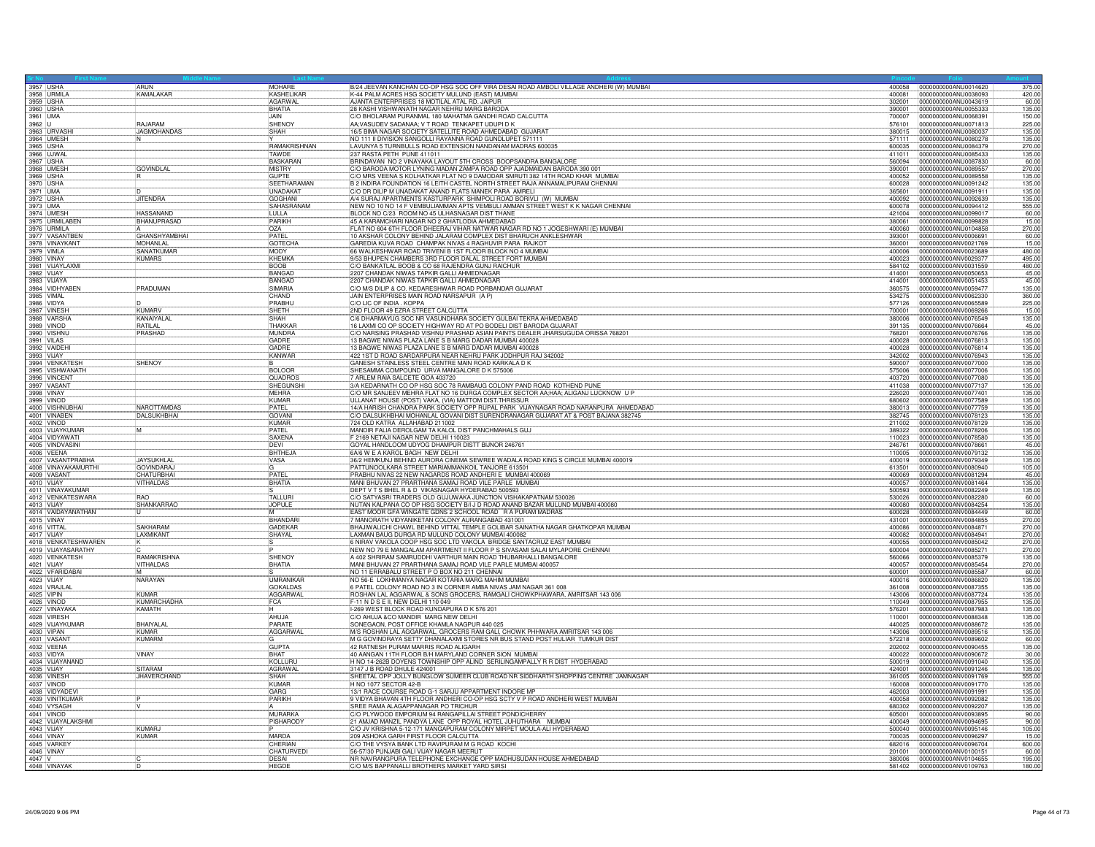|                          | 3957 USHA                         | ARUN                      | MOHARE                     | B/24 JEEVAN KANCHAN CO-OP HSG SOC OFF VIRA DESAI ROAD AMBOLI VILLAGE ANDHERI (W) MUMBAI<br>K-44 PALM ACRES HSG SOCIETY MULUND (EAST) MUMBAI             |                  | 400058 0000000000ANU0014620<br>375.00                  |
|--------------------------|-----------------------------------|---------------------------|----------------------------|---------------------------------------------------------------------------------------------------------------------------------------------------------|------------------|--------------------------------------------------------|
|                          |                                   | <b>KAMAI AKAR</b>         | KASHELIKAR                 |                                                                                                                                                         | 400081           | 0000000000ANU0038093<br>420.00                         |
| 3959 USHA                |                                   |                           | AGARWAL                    | AJANTA ENTERPRISES 18 MOTILAL ATAL RD. JAIPUR                                                                                                           | 302001           | 0000000000ANU0043619<br>60.00                          |
| 3960 USHA<br>3961 UMA    |                                   |                           | BHATIA                     | 28 KASHI VISHWANATH NAGAR NEHRU MARG BARODA                                                                                                             | 390001           | 0000000000ANU0055333<br>135.00                         |
|                          |                                   |                           | <b>JAIN</b>                | C/O BHOLARAM PURANMAL 180 MAHATMA GANDHI ROAD CALCUTTA                                                                                                  | 700007           | 0000000000ANU0068391<br>150.00                         |
| 3962 U                   |                                   | <b>RAJARAM</b>            | SHENOY                     | AA; VASUDEV SADANAA; V T ROAD TENKAPET UDUPI D K                                                                                                        | 576101           | 0000000000ANU0071813<br>225.00                         |
|                          | 3963 URVASH                       | <b>JAGMOHANDAS</b>        | SHAH                       | 16/5 BIMA NAGAR SOCIETY SATELLITE ROAD AHMEDABAD GUJARAT                                                                                                | 380015           | 0000000000ANU0080037<br>135.00                         |
|                          | 3964 UMESH                        |                           |                            | NO 111 II DIVISION SANGOLLI RAYANNA ROAD GUNDLUPET 571111                                                                                               | 571111           | 0000000000ANU0080278<br>135.00                         |
| 3965 USHA<br>3966 UJWAL  |                                   |                           | RAMAKRISHNAN               | LAVUNYA 5 TURNBULLS ROAD EXTENSION NANDANAM MADRAS 600035                                                                                               | 600035           | 0000000000ANU0084379<br>270.00                         |
|                          |                                   |                           | TAWDE                      | 237 RASTA PETH PUNE 411011                                                                                                                              | 411011           | 0000000000ANU0085433<br>135.00                         |
|                          | 3967 USHA<br>3968 UMESH           |                           | <b>BASKARAN</b>            | BRINDAVAN NO 2 VINAYAKA LAYOUT 5TH CROSS BOOPSANDRA BANGALORE                                                                                           | 560094           | 0000000000ANU0087830<br>60.00                          |
|                          |                                   | <b>GOVINDLAL</b>          | MISTRY                     | C/O BARODA MOTOR LYNING MADAN ZAMPA ROAD OPP AJADMAIDAN BARODA 390 001                                                                                  | 390001           | 270.00<br>0000000000ANU0089557                         |
|                          | 3969 USHA                         |                           | GUPTE                      | C/O MRS VEENA S KOLHATKAR FLAT NO 9 DAMODAR SMRUTI 382 14TH ROAD KHAR MUMBAI                                                                            | 400052           | 0000000000ANU0089558<br>135.00                         |
| 3970 USHA                |                                   |                           | SEETHARAMAN                | B 2 INDIRA FOUNDATION 16 LEITH CASTEL NORTH STREET RAJA ANNAMALIPURAM CHENNAI                                                                           | 600028           | 0000000000ANU0091242<br>135.00                         |
|                          |                                   |                           | UNADAKAT                   | O DR DILIP M UNADAKAT ANAND FLATS MANEK PARA AMRELI                                                                                                     | 365601           | 0000000000ANU0091911<br>135.00                         |
| 3972 USHA<br>3973 UMA    |                                   | <b>JITENDRA</b>           | <b>GOGHANI</b>             | A/4 SURAJ APARTMENTS KASTURPARK SHIMPOLI ROAD BORIVLI (W) MUMBAI                                                                                        | 400092           | 0000000000ANU0092639<br>135.00                         |
|                          |                                   |                           | SAHASRANAM                 | NEW NO 10 NO 14 F VEMBULIAMMAN APTS VEMBULI AMMAN STREET WEST K K NAGAR CHENNAI                                                                         | 600078           | 0000000000ANU0094412<br>555.00                         |
|                          | 3974 UMESH                        | <b>HASSANAND</b>          | LULLA                      | BLOCK NO C/23 ROOM NO 45 ULHASNAGAR DIST THANE                                                                                                          | 421004           | 0000000000ANU0099017<br>60.00                          |
|                          | 3975 URMILABEN<br>3976 URMILA     | BHANUPRASAD               | PARIKH                     | 45 A KARAMCHARI NAGAR NO 2 GHATLODIA AHMEDABAD                                                                                                          | 380061           | 0000000000ANU0099828<br>15.00                          |
|                          |                                   |                           | <b>OZA</b>                 | FLAT NO 604 6TH FLOOR DHEERAJ VIHAR NATWAR NAGAR RD NO 1 JOGESHWARI (E) MUMBAI                                                                          | 400060           | 270.00<br>0000000000ANU0104858                         |
|                          | 3977 VASANTBEN<br>3978 VINAYKANT  | <b>GHANSHYAMBHAI</b>      | PATEL                      | 10 AKSHAR COLONY BEHIND JALARAM COMPLEX DIST BHARUCH ANKLESHWAR                                                                                         | 393001           | 0000000000ANV0006691<br>60.00                          |
|                          |                                   | <b>MOHANI AI</b>          | <b>GOTECHA</b>             | GAREDIA KUVA ROAD CHAMPAK NIVAS 4 RAGHUVIR PARA RAJKOT                                                                                                  | 360001           | 15.00<br>0000000000ANV0021769                          |
|                          | 3979 VIMLA                        | SANATKUMAI                | MODY                       | 66 WALKESHWAR ROAD TRIVENI B 1ST FLOOR BLOCK NO 4 MUMBA                                                                                                 | 400006           | 0000000000ANV0023689<br>480.00                         |
|                          | 3980 VINAY<br>3981 VIJAYLAXMI     | <b>KUMARS</b>             | KHEMKA                     | 9/53 BHUPEN CHAMBERS 3RD FLOOR DALAL STREET FORT MUMBAI                                                                                                 | 400023           | 0000000000ANV0029377<br>495.00                         |
|                          |                                   |                           | <b>BOOB</b>                | C/O BANKATLAL BOOB & CO 68 RAJENDRA GUNJ RAICHUR                                                                                                        | 584102           | 0000000000ANV0031559<br>480.00                         |
|                          |                                   |                           | <b>BANGAL</b>              |                                                                                                                                                         | 414001           | 0000000000ANV0050653<br>45.00                          |
|                          | 3982 VIJAY<br>3983 VIJAYA         |                           | BANGAD                     | 2207 CHANDAK NIWAS TAPKIR GALLI AHMEDNAGAR<br>2207 CHANDAK NIWAS TAPKIR GALLI AHMEDNAGAR                                                                | 414001           | 0000000000ANV0051453<br>45.00                          |
|                          | 3984 VIDHYABEN                    | PRADUMAN                  | SIMARIA                    | C/O M/S DILIP & CO. KEDARESHWAR ROAD PORBANDAR GUJARAT                                                                                                  | 360575           | 135.00<br>0000000000ANV0059477                         |
|                          |                                   |                           | CHAND                      | JAIN ENTERPRISES MAIN ROAD NARSAPUR (A P)                                                                                                               | 534275           | 0000000000ANV0062330<br>360.00                         |
| 3985 VIMAL<br>3986 VIDYA |                                   |                           | PRABHU                     | C/O LIC OF INDIA . KOPPA                                                                                                                                | 577126           | 0000000000ANV0065589<br>225.00                         |
|                          | 3987 VINESH                       | <b>KUMARV</b>             | SHFTH                      | 2ND FLOOR 49 EZRA STREET CALCUTTA                                                                                                                       | 700001           | 0000000000ANV0069266<br>15.00                          |
|                          | 3988 VARSHA                       | KANAIYALAI                | <b>SHAH</b>                | C/6 DHARMAYUG SOC NR VASUNDHARA SOCIETY GULBAI TEKRA AHMEDABAD                                                                                          | 380006           | 0000000000ANV0076549<br>135.00                         |
|                          | 3989 VINOD                        | RATILAL                   | THAKKAF                    | 16 LAXMI CO OP SOCIETY HIGHWAY RD AT PO BODELI DIST BARODA GUJARAT                                                                                      | 391135           | 45.00<br>0000000000ANV0076664                          |
|                          | 3990 VISHNL                       | PRASHAD                   | MUNDRA                     | C/O NARSING PRASHAD VISHNU PRASHAD ASIAN PAINTS DEALER JHARSUGUDA ORISSA 768201                                                                         | 768201           | 0000000000ANV0076766<br>135.00                         |
| 3991 VILAS               |                                   |                           | GADRE                      | 13 BAGWE NIWAS PLAZA LANE S B MARG DADAR MUMBAI 400028                                                                                                  | 400028           | 0000000000ANV0076813<br>135.00                         |
|                          | 3992 VAIDEH                       |                           | GADRE                      |                                                                                                                                                         | 400028           | 135.00<br>0000000000ANV0076814                         |
| 3993 VIJAY               |                                   |                           | KANWAR                     | 13 BAGWE NIWAS PLAZA LANE S B MARG DADAR MUMBAI 400028<br>422 1ST D ROAD SARDARPURA NEAR NEHRU PARK JODHPUR RAJ 342002                                  | 342002           | 0000000000ANV0076943<br>135.00                         |
|                          | 3994 VENKATESH                    | SHENOY                    |                            | GANESH STAINLESS STEEL CENTRE MAIN ROAD KARKALA D K                                                                                                     | 590007           | 135.00<br>0000000000ANV0077000                         |
|                          | 3995 VISHWANATH                   |                           | <b>BOLOOR</b>              | SHESAMMA COMPOUND URVA MANGALORE D K 575006                                                                                                             | 575006           | 0000000000ANV0077006<br>135.00                         |
|                          | 3996 VINCENT                      |                           | <b>QUADROS</b>             | 7 ARLEM RAIA SALCETE GOA 403720                                                                                                                         | 403720           | 0000000000ANV0077080<br>135.00                         |
|                          | 3997 VASANT                       |                           | SHEGUNSH                   |                                                                                                                                                         | 411038           | 0000000000ANV0077137<br>135.00                         |
|                          | 3998 VINAY                        |                           | <b>MEHRA</b>               | SA KEDARNATH CO OP HSG SOC 78 RAMBAUG COLONY PAND ROAD KOTHEND PUNE<br>CIÓ MR SANJEEV MEHRA FLAT NO 16 DURGA COMPLEX SECTOR AA;HAA; ALIGANJ LUCKNOW U P | 226020           | 0000000000ANV0077401<br>135.00                         |
|                          | 3999 VINOD                        |                           | KUMAR                      | ULLANAT HOUSE (POST) VAKA, (VIA) MATTOM DIST.THRISSUR                                                                                                   | 680602           | 0000000000ANV0077589<br>135.00                         |
|                          | 4000 VISHNUBHAI                   | NAROTTAMDAS               | PATEL                      | 14/A HARISH CHANDRA PARK SOCIETY OPP RUPAL PARK VIJAYNAGAR ROAD NARANPURA AHMEDABAD                                                                     | 380013           | 0000000000ANV0077759<br>135.00                         |
|                          | 4001 VINABEN                      | <b>DALSUKHBHAI</b>        | GOVANI                     | C/O DALSUKHBHAI MOHANLAL GOVANI DIST SURENDRANAGAR GUJARAT AT & POST BAJANA 382745                                                                      | 382745           | 0000000000ANV0078123<br>135.00                         |
|                          |                                   |                           | KUMAR                      | 724 OLD KATRA ALLAHABAD 211002                                                                                                                          | 211002           | 0000000000ANV0078129<br>135.00                         |
|                          | 4002 VINOD                        | M                         | <b>PATFI</b>               | MANDIR FALIA DEROLGAM TA KALOL DIST PANCHMAHALS GUJ                                                                                                     | 389322           | 135.00                                                 |
|                          | 4003 VIJAYKUMAR                   |                           |                            |                                                                                                                                                         |                  | 0000000000ANV0078206                                   |
|                          | 4004 VIDYAWATI                    |                           | <b>SAXENA</b>              | F 2169 NETAJI NAGAR NEW DELHI 110023                                                                                                                    | 110023           | 0000000000ANV0078580<br>135.00                         |
|                          | 4005 VINDVASINI                   |                           | DEVI                       | GOYAL HANDLOOM UDYOG DHAMPUR DISTT BIJNOR 246761                                                                                                        | 246761           | 0000000000ANV0078661<br>45.00                          |
|                          | 4006 VEENA                        |                           | <b>BHTHEJA</b>             | 6A/6 W E A KAROL BAGH NEW DELHI                                                                                                                         | 110005           | 0000000000ANV0079132<br>135.00                         |
|                          | 4007 VASANTPRABHA                 | <b>JAYSUKHLAI</b>         | VASA                       | 36/2 HEMKUNJ BEHIND AURORA CINEMA SEWREE WADALA ROAD KING S CIRCLE MUMBAI 400019                                                                        | 400019           | 135.00<br>0000000000ANV0079349                         |
|                          | 4008 VINAYAKAMURTHI               | <b>GOVINDARAJ</b>         | lG.                        | PATTUNOOLKARA STREET MARIAMMANKOIL TANJORE 613501                                                                                                       | 613501           | 0000000000ANV0080940<br>105.00                         |
|                          | 4009 VASANT                       | CHATURBHA                 | PATEL                      | PRABHU NIVAS 22 NEW NAGARDS ROAD ANDHERI E MUMBAI 400069                                                                                                | 400069           | 000000000ANV0081294<br>45.00                           |
| 4010 VIJAY               |                                   | <b>VITHALDAS</b>          | BHATIA                     | MANI BHUVAN 27 PRARTHANA SAMAJ ROAD VILE PARLE MUMBAI                                                                                                   | 400057           | 0000000000ANV0081464<br>135.00                         |
|                          | 4011 VINAYAKUMAR                  |                           |                            | DEPT V T S BHEL R & D VIKASNAGAR HYDERABAD 500593                                                                                                       | 500593           | 0000000000ANV0082249<br>135.00                         |
|                          | 4012 VENKATESWARA<br>4013 VIJAY   | R <sub>AO</sub>           | TALLIR                     | C/O SATYASRI TRADERS OLD GUJUWAKA JUNCTION VISHAKAPATNAM 530026                                                                                         | 530026           | 0000000000ANV0082280<br>60.0                           |
|                          |                                   | SHANKARRAC                | <b>JOPULE</b>              | NUTAN KALPANA CO OP HSG SOCIETY B/I J D ROAD ANAND BAZAR MULUND MUMBAI 400080                                                                           | 400080           | 0000000000ANV0084254<br>135.00                         |
|                          | 4014 VAIDAYANATHAN                |                           |                            | EAST MOOR GFA WINGATE GDNS 2 SCHOOL ROAD R A PURAM MADRAS                                                                                               | 600028           | 0000000000ANV0084449<br>60.00                          |
|                          | 4015 VINAY                        |                           | BHANDARI                   | 7 MANORATH VIDYANIKETAN COLONY AURANGABAD 431001<br>BHAJIWALICHI CHAWL BEHIND VITTAL TEMPLE GOLIBAR SAINATHA NAGAR GHATKOPAR MUMBAI                     | 431001           | 0000000000ANV0084855<br>270.00                         |
|                          | 4016 VITTAL                       | SAKHARAM                  | GADEKAR                    |                                                                                                                                                         | 400086           | 270.00<br>0000000000ANV0084871                         |
|                          | 4017 VIJAY<br>4018 VENKATESHWAREN | LAXMIKANT                 | SHAYAL                     | LAXMAN BAUG DURGA RD MULUND COLONY MUMBAI 400082                                                                                                        | 400082           | 0000000000ANV0084941<br>270.00                         |
|                          |                                   |                           |                            | 6 NIRAV VAKOLA COOP HSG SOC LTD VAKOLA BRIDGE SANTACRUZ EAST MUMBAI                                                                                     | 400055           | 0000000000ANV0085042<br>270.00                         |
|                          | 4019 VIJAYASARATHY                |                           |                            | NEW NO 79 E MANGALAM APARTMENT II FLOOR P S SIVASAMI SALAI MYLAPORE CHENNAI                                                                             | 600004           | 0000000000ANV0085271<br>270.00                         |
|                          | 4020 VENKATESH                    | <b>RAMAKRISHNA</b>        | SHENOY<br><b>BHATIA</b>    | A 402 SHRIRAM SAMRUDDHI VARTHUR MAIN ROAD THUBARHALLI BANGALORE                                                                                         | 560066<br>400057 | 135.00<br>0000000000ANV0085379<br>0000000000ANV0085454 |
| 4021 VIJAY               |                                   | <b>VITHALDAS</b>          |                            | MANI BHUVAN 27 PRARTHANA SAMAJ ROAD VILE PARLE MUMBAI 400057                                                                                            |                  | 270.00                                                 |
|                          | 4022 VFARIDABA                    |                           |                            | NO 11 ERRABALU STREET P O BOX NO 211 CHENNAL                                                                                                            | 600001           | 0000000000ANV0085587<br>60.00                          |
|                          |                                   | NARAYAN                   | UMRANIKAR                  | NO 56-E LOKHMANYA NAGAR KOTARIA MARG MAHIM MUMBAI                                                                                                       | 400016           | 0000000000ANV0086820<br>135.00                         |
|                          | 4024 VRAJLA                       | KUMAR                     | <b>GOKALDAS</b><br>AGGARWA | 6 PATEL COLONY ROAD NO 3 IN CORNER AMBA NIVAS JAM NAGAR 361 008<br>ROSHAN LAL AGGARWAL & SONS GROCERS, RAMGALI CHOWKPHAWARA, AMRITSAR 143 006           | 361008           | 0000000000ANV0087355<br>135.00<br>135.00               |
| 4025 VIPIN               |                                   | KUMARCHADHA               |                            |                                                                                                                                                         | 143006           | 0000000000ANV0087724                                   |
|                          | 4026 VINOD                        |                           | FCA                        | F-11 N D S E II, NEW DELHI 110 049                                                                                                                      | 110049           | 0000000000ANV0087955<br>135.00                         |
|                          | 4027 VINAYAKA<br>4028 VIRESH      | KAMATH                    | AHUJA                      | I-269 WEST BLOCK ROAD KUNDAPURA D K 576 201                                                                                                             | 576201           | 0000000000ANV0087983<br>135.00                         |
|                          |                                   |                           |                            | C/O AHUJA & CO MANDIR MARG NEW DELHI                                                                                                                    | 110001           | 0000000000ANV0088348<br>135.00                         |
|                          | 4029 VIJAYKUMAR                   | BHAIYALAL<br><b>KUMAR</b> | PARATE                     | SONEGAON, POST OFFICE KHAMLA NAGPUR 440 025                                                                                                             | 440025           | 135.00<br>0000000000ANV0088672                         |
| 4030 VIPAN               | 4031 VASANT                       | KUMARM                    | AGGARWA                    | MS ROSHAN LAL AGGARWAL, GROCERS RAM GALI, CHOWK PHHWARA AMRITSAR 143 006 M G GOVINDRAYA SETTY DHANALAXMI STORES NR BUS STAND POST HULIAR TUMKUR DIST    | 143006           | 0000000000ANV0089516<br>135.00                         |
|                          |                                   |                           | lG                         |                                                                                                                                                         |                  | 60.00                                                  |
|                          | 4032 VEENA                        |                           | <b>GUPTA</b>               | 42 RATNESH PURAM MARRIS ROAD ALIGARH                                                                                                                    | 202002           | 135.00<br>0000000000ANV0090455                         |
| 4033 VIDYA               |                                   | VINAY                     | BHAT                       | 40 AANGAN 11TH FLOOR B/H MARYLAND CORNER SION MUMBAI                                                                                                    | 400022           | 30.00<br>0000000000ANV0090672                          |
|                          | 4034 VIJAYANAND                   | SITARAM                   | KOLLURL                    | H NO 14-262B DOYENS TOWNSHIP OPP ALIND SERILINGAMPALLY R R DIST HYDERABAD                                                                               | 500019<br>424001 | 0000000000ANV0091040<br>135.00                         |
| 4035 VIJAY               |                                   | <b>JHAVERCHAND</b>        | AGRAWA<br>SHAH             | 3147 J B ROAD DHULE 424001                                                                                                                              |                  | 0000000000ANV0091246<br>135.00                         |
|                          | 4036 VINESH                       |                           |                            | SHEETAL OPP JOLLY BUNGLOW SUMEER CLUB ROAD NR SIDDHARTH SHOPPING CENTRE JAMNAGAR                                                                        | 361005           | 0000000000ANV0091769<br>555.00                         |
|                          | 4037 VINOD<br>4038 VIDYADEV       |                           | KUMAR                      | H NO 1077 SECTOR 42-B<br>13/1 RACE COURSE ROAD G-1 SARJU APPARTMENT INDORE MP                                                                           | 160008           | 135.00<br>0000000000ANV0091770                         |
|                          |                                   |                           | GARG                       |                                                                                                                                                         | 462003           | 135.00<br>0000000000ANV0091991                         |
|                          | 4039 VINITKUMAR                   |                           | PARIKH                     | 9 VIDYA BHAVAN 4TH FLOOR ANDHERI CO-OP HSG SCTY V P ROAD ANDHERI WEST MUMBAI                                                                            | 400058           | 135.00<br>0000000000ANV0092082                         |
|                          | 4040 VYSAGH                       |                           | <b>MIRARKA</b>             | SREE RAMA ALAGAPPANAGAR PO TRICHUR                                                                                                                      | 680302           | 0000000000ANV0092207<br>135.00                         |
|                          | 4041 VINOD                        |                           |                            | C/O PLYWOOD EMPORIUM 94 RANGAPILLAI STREET PONDICHERRY                                                                                                  | 605001           | 0000000000ANV0093895<br>90.00                          |
|                          | 4042 VIJAYALAKSHMI                |                           | PISHARODY                  | 21 AMJAD MANZIL PANDYA LANE OPP ROYAL HOTEL JUHUTHARA MUMBAI                                                                                            | 400049           | 0000000000ANV0094695<br>90.0                           |
| 4043 VIJAY               |                                   | KUMAR.                    |                            | C/O JV KRISHNA 5-12-171 MANGAPURAM COLONY MIRPET MOULA-ALI HYDERABAD                                                                                    | 500040           | 105.00<br>0000000000ANV0095146                         |
| 4044 VINAY               |                                   | KUMAR                     | MARDA                      | 209 ASHOKA GARH FIRST FLOOR CALCUTTA<br>C/O THE VYSYA BANK LTD RAVIPURAM M G ROAD KOCHI                                                                 | 700035           | 0000000000ANV0096297<br>15.00                          |
|                          | 4045 VARKE                        |                           | CHERIAN                    |                                                                                                                                                         | 682016           | 600.00<br>0000000000ANV0096704                         |
| 4046 VINAY               |                                   |                           | <b>CHATURVED</b>           | 56-57/30 PUNJABI GALI VIJAY NAGAR MEERUT                                                                                                                | 201001           | 0000000000ANV0100151<br>60.00                          |
| 4047 V                   |                                   |                           | <b>DESAI</b>               | NR NAVRANGPURA TELEPHONE EXCHANGE OPP MADHUSUDAN HOUSE AHMEDABAD                                                                                        | 380006           | 0000000000ANV0104655<br>195.00                         |
|                          | 4048 VINAYA                       |                           | <b>HEGD</b>                | C/O M/S BAPPANALLI BROTHERS MARKET YARD SIRSI                                                                                                           | 581402           | 180.00<br>0000000000ANV0109763                         |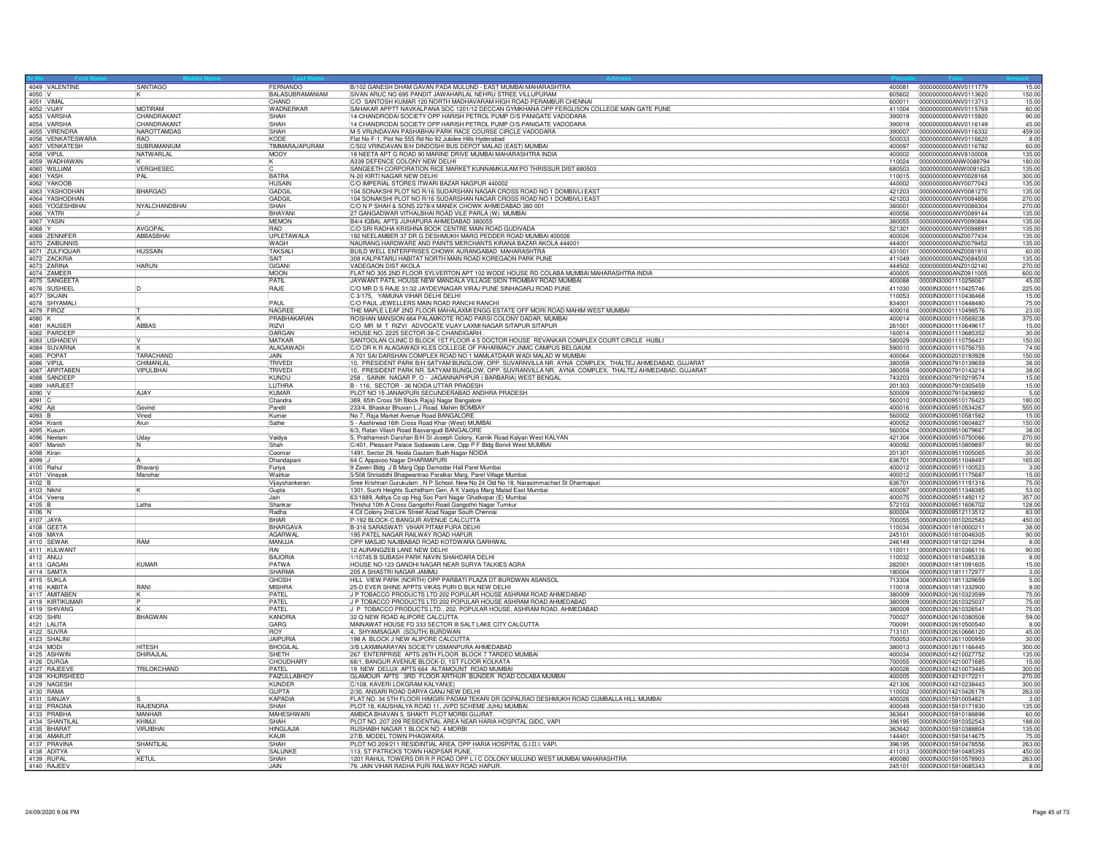| 4049 VALENTINE<br>$4050$ V    | SANTIAGO                         | FERNANDO<br>BALASUBRAMANIAM | B/102 GANESH DHAM GAVAN PADA MULUND - EAST MUMBAI MAHARASHTRA<br>SIVAN ARUC NO 695 PANDIT JAWAHARLAL NEHRU STREE VILLUPURAM                                 | 400081<br>605602 | 15.00<br>0000000000ANV0111779<br>150.00<br>0000000000ANV0113620  |
|-------------------------------|----------------------------------|-----------------------------|-------------------------------------------------------------------------------------------------------------------------------------------------------------|------------------|------------------------------------------------------------------|
| 4051 VIMAL                    |                                  | CHAND                       | C/O SANTOSH KUMAR 120 NORTH MADHAVARAM HIGH ROAD PERAMBUR CHENNAI                                                                                           | 600011           | 0000000000ANV0113713<br>15.00                                    |
| 4052 VIJAY                    | <b>MOTIRAM</b>                   | WADNERKAR                   | SAHAKAR APPTT NAVKALPANA SOC 1201/12 DECCAN GYMKHANA OPP FERGUSON COLLEGE MAIN GATE PUNE                                                                    | 411004           | 0000000000ANV0115769<br>60.00                                    |
| 4053 VARSHA                   | <b>CHANDRAKANT</b>               | <b>SHAH</b>                 | 14-CHANDRODAI SOCIETY OPP HARISH PETROL PUMP O/S PANIGATE VADODARA                                                                                          | 390019           | 0000000000ANV0115920<br>90.00                                    |
| 4054 VARSHA<br>4055 VIRENDRA  | CHANDRAKANT                      | SHAH                        | 14 CHANDRODAI SOCIETY OPP HARISH PETROL PUMP O/S PANIGATE VADODARA                                                                                          | 390019           | 0000000000ANV0116149<br>45.00                                    |
|                               | <b>NAROTTAMDAS</b><br><b>RAO</b> | SHAH<br>KODE                | M-5 VRUNDAVAN PASHABHAI PARK RACE COURSE CIRCLE VADODARA                                                                                                    | 390007<br>500033 | 459.00<br>0000000000ANV0116332<br>0000000000ANV0116620           |
|                               | 4056 VENKATESWARA<br>SUBRAMANIUM | TIMMARAJAPURAM              | Flat No F-1, Plot No 555 Rd No 92 Jubilee Hills Hyderabad<br>C/502 VRINDAVAN B/H DINDOSHI BUS DEPOT MALAD (EAST) MUMBAI                                     | 400097           | 8.00<br>0000000000ANV0116782<br>60.00                            |
| 4057 VENKATESH                | NATWARLAL                        | MODY                        | 19 NEETA APT G ROAD 90 MARINE DRIVE MUMBAI MAHARASHTRA INDIA                                                                                                | 400002           | 0000000000ANV8100008<br>135.00                                   |
| 4059 WADHAWAN                 |                                  |                             | A339 DEFENCE COLONY NEW DELHI                                                                                                                               | 110024           | 0000000000ANW0088794<br>180.00                                   |
| 4060 WILLIAM                  | <b>VERGHESEC</b><br>IC.          |                             | SANGEETH CORPORATION RICE MARKET KUNNAMKULAM PO THRISSUR DIST 680503                                                                                        | 680503           | 0000000000ANW0091623<br>135.00                                   |
| 4061 YASH                     | PAL                              | BATRA<br><b>HUSAIN</b>      | N-20 KIRTI NAGAR NEW DELHI<br>C/O IMPERIAL STORES ITWARI BAZAR NAGPUR 440002                                                                                | 110015           | 0000000000ANY0028168<br>300.00<br>0000000000ANY0077043<br>135.00 |
| 4062 YAKOOB<br>4063 YASHODHAN | <b>BHARGAO</b>                   | <b>GADGIL</b>               | 104 SONAKSHI PLOT NO R/16 SUDARSHAN NAGAR CROSS ROAD NO 1 DOMBIVLI EAST                                                                                     | 440002<br>421203 | 0000000000ANY0081270<br>135.00                                   |
| 4064 YASHODHAN                |                                  | GADGI                       | 104 SONAKSHI PLOT NO R/16 SUDARSHAN NAGAR CROSS ROAD NO 1 DOMBIVLI EAST                                                                                     | 421203           | 0000000000ANY0084856<br>270.00                                   |
| 4065 YOGESHBHAI               | NYALCHANDBHAI                    | <b>SHAH</b>                 | C/O N P SHAH & SONS 2278/4 MANEK CHOWK AHMEDABAD 380 001                                                                                                    | 380001           | 0000000000ANY0088304<br>270.00                                   |
| 4066 YATRI                    |                                  | BHAYAN                      | 27 GANGADWAR VITHALBHAI ROAD VILE PARLA (W) MUMBAI                                                                                                          | 400056           | 0000000000ANY0089144<br>135.00                                   |
| 4067 YASIN                    |                                  | MEMON                       | B4/4 IQBAL APTS JUHAPURA AHMEDABAD 380055                                                                                                                   | 380055           | 135.00<br>0000000000ANY0090844                                   |
| $4068$ Y<br>4069 ZENNIFER     | <b>AVGOPAL</b><br>ABBASBHA       | <b>RAO</b><br>UPLETAWALA    | C/O SRI RADHA KRISHNA BOOK CENTRE MAIN ROAD GUDIVADA<br>192 NEELAMBER 37 DR G DESHMUKH MARG PEDDER ROAD MUMBAI 400026                                       | 521301<br>400026 | 0000000000ANY0098891<br>135.00<br>0000000000ANZ0077434<br>135.00 |
| 4070 ZAIBUNNIS                |                                  | WAGH                        | NAURANG HARDWARE AND PAINTS MERCHANTS KIRANA BAZAR AKOLA 444001                                                                                             | 444001           | 135.00<br>0000000000ANZ0079452                                   |
| 4071 ZULFIQUAR                | HUSSAIN                          | <b>TAKSALI</b>              | BUILD WELL ENTERPRISES CHOWK AURANGABAD MAHARASHTRA                                                                                                         | 431001           | 60.00<br>0000000000ANZ0081910                                    |
| 4072 ZACKRIA                  |                                  | SAIT                        | 308 KALPATARU HABITAT NORTH MAIN ROAD KOREGAON PARK PUNE                                                                                                    | 411049           | 0000000000ANZ0084500<br>135.00                                   |
| 4073 ZARINA                   | <b>HARUN</b>                     | GIGAN                       | VADEGAON DIST AKOLA                                                                                                                                         | 444502           | 0000000000ANZ0102140<br>270.00                                   |
| 4074 ZAMEER                   |                                  | MOON                        | FLAT NO 305 2ND FLOOR SYLVERTON APT 102 WODE HOUSE RD COLABA MUMBAI MAHARASHTRA INDIA                                                                       | 400005           | 0000000000ANZ0911005<br>600.00                                   |
| 4075 SANGEETA<br>4076 SUSHEEI |                                  | PATIL<br>RAJE               | JAYWANT PATIL HOUSE NEW MANDALA VILLAGE SION TROMBAY ROAD MUMBAI<br>C/O MR D S RAJE 31/32 JAYDEVNAGAR VIRAJ PUNE SINHAGARJ ROAD PUNE                        | 400088<br>411030 | 0000IN30001110256067<br>45.00<br>225.00<br>0000IN30001110425746  |
| 4077 SKJAIN                   |                                  |                             | C 3/175, YAMUNA VIHAR DELHI DELHI                                                                                                                           | 110053           | 0000IN30001110436468<br>15.00                                    |
| 4078 SHYAMALI                 |                                  | PAUL                        | C/O PAUL JEWELLERS MAIN ROAD RANCHI RANCHI                                                                                                                  | 834001           | 0000IN30001110448480<br>75.00                                    |
| 4079 FIROZ                    |                                  | NAGREE                      | THE MAPLE LEAF 2ND FLOOR MAHALAXMI ENGG ESTATE OFF MORI ROAD MAHIM WEST MUMBAI                                                                              | 400016           | 23.00<br>0000IN30001110498576                                    |
| $4080$ K                      |                                  | PRABHAKARAN                 | ROSHAN MANSION 664 PALAMKOTE ROAD PARSI COLONY DADAR, MUMBAI                                                                                                | 400014           | 375.00<br>0000IN30001110569238                                   |
| 4081 KAUSER                   | <b>ABBAS</b>                     | RIZVI                       | C/O MR M T RIZVI ADVOCATE VIJAY LAXMI NAGAR SITAPUR SITAPUR                                                                                                 | 261001           | 0000IN30001110649617<br>15.00                                    |
| 4082 PARDEEF<br>4083 USHADEVI |                                  | DARGAN<br>MATKAR            | HOUSE NO. 2225 SECTOR-38-C CHANDIGARH<br>SANTOOLAN CLINIC D BLOCK 1ST FLOOR 4 5 DOCTOR HOUSE REVANKAR COMPLEX COURT CIRCLE HUBLI                            | 160014<br>580029 | 0000IN30001110685352<br>30.00<br>150.00<br>0000IN30001110756431  |
|                               |                                  | ALAGAWADI                   | C/O DR K R ALAGAWADI KLES COLLEGE OF PAHARMACY JNMC CAMPUS BELGAUM                                                                                          | 590010           | 0000IN30001110756755<br>74.00                                    |
| 4084 SUVARNA<br>4085 POPAT    | <b>TARACHAND</b>                 | <b>JAIN</b>                 | A 701 SAI DARSHAN COMPLEX ROAD NO 1 MAMLATDAAR WADI MALAD W MUMBAI                                                                                          | 400064           | 0000lN30002010193928<br>150.00                                   |
| 4086 VIPUI                    | CHIMANLAI                        | TRIVED                      | 10, PRESIDENT PARK B/H SATYAM BUNGLOW, OPP. SUVARNVILLA NR. AYNA COMPLEX, THALTEJ AHMEDABAD, GUJARAT                                                        | 380059           | 0000IN30007910139659<br>38.00                                    |
| 4087 ARPITABEN                | VIPULBHAI                        | TRIVED                      | 10, PRESIDENT PARK NR. SATYAM BUNGLOW, OPP. SUVRANVILLA NR. AYNA COMPLEX, THALTEJ AHMEDABAD, GUJARAT                                                        | 380059           | 0000IN30007910143214<br>38.00                                    |
| 4088 SANDEEP                  |                                  | KUNDU<br><b>ILITHRA</b>     | 258, SAINIK NAGAR P. O - JAGANNAPHPUR (BARBARIA) WEST BENGAL<br>B - 116, SECTOR - 36 NOIDA UTTAR PRADESH                                                    | 743203<br>201303 | 15.00<br>0000IN30007910219574<br>15.00<br>0000IN30007910305459   |
| 4089 HARJEET<br>4090 V        | AJAY                             | KUMAR                       | PLOT NO 15 JANAKPURI SECUNDERABAD ANDHRA PRADESH                                                                                                            | 500009           | 0000IN30007910439892<br>5.00                                     |
| 4091 C                        |                                  | Chandra                     | 369, 65th Cross 5th Block Rajaji Nagar Bangalore                                                                                                            | 560010           | 0000IN30009510176423<br>180.00                                   |
| 4092 Ajit                     | Govind                           | Pandit                      | 233/4, Bhaskar Bhuvan L J Road, Mahim BOMBAY                                                                                                                | 400016           | 0000IN30009510534267<br>555.00                                   |
| $4093$ B                      | Vinod                            | Kumar                       | No 7, Raja Market Avenue Road BANGALORE                                                                                                                     | 560002           | 0000IN30009510581562<br>15.00                                    |
| 4094 Kranti                   | Arun                             | Sathe                       | 5 - Aashirwad 16th Cross Road Khar (West) MUMBAI                                                                                                            | 400052           | 0000IN30009510604827<br>150.00                                   |
| 4095 Kusum<br>4096 Neelan     |                                  | Vaidya                      | 6/3, Ratan Vilash Road Basvangudi BANGALORE                                                                                                                 | 560004<br>421304 | 0000IN30009510679667<br>38.00<br>0000IN30009510750066<br>270.00  |
| 4097 Manish                   | Uday<br>IN.                      | Shah                        | 5, Prathamesh Darshan B/H St Joseph Colony, Karnik Road Kalyan West KALYAN                                                                                  | 400092           | 0000IN30009510809897<br>90.00                                    |
| 4098 Kiran                    |                                  | l Coomar                    | C/401, Pleasant Palace Sodawala Lane, Opp P F Bldg Borivii West MUMBAI<br>1491, Sector 29, Noida Gautam Budh Nagar NOIDA                                    | 201301           | 30.00<br>100001N30009511005065                                   |
| 4099 J                        |                                  | Dhandapani                  | 64 C Appavoo Nagar DHARMAPURI                                                                                                                               | 636701           | 0000IN30009511048497<br>165.00                                   |
| 4100 Rahul                    | Bhavanji                         | Furiya                      | 9 Zaveri Bldg J B Marg Opp Damodar Hall Parel Mumbai                                                                                                        | 400012           | 0000IN30009511100523<br>3.00                                     |
| 4101 Vinayal<br>4102 B        | Manohar                          | Wairkar                     | 5/508 Shrisiddhi Bhagwantrao Paralkar Marg, Parel Village Mumbai<br>Sree Krishnan Gurukulam , N P School, New No 24 Old No 18, Narasimmachari St Dharmapuri | 400012           | 0000IN30009511175687<br>15.00                                    |
| 4103 Nikhil                   |                                  | Vijayshankerar<br>Gupta     | 1301, Suchi Heights Suchidham Gen, A K Vaidya Marg Malad East Mumbai                                                                                        | 636701<br>400097 | 0000IN30009511191316<br>75.00<br>53.00<br>0000IN30009511348385   |
| 4104 Veena                    | Jain                             |                             | 63/1889, Aditya Co op Hsg Soc Pant Nagar Ghatkopar (E) Mumba                                                                                                | 400075           | 0000lN30009511492112<br>357.00                                   |
| $4105$ B                      | Latha                            | Shankar                     | Thrishul 10th A Cross Gangothri Road Gangothri Nagar Tumkur                                                                                                 | 572103           | 0000IN30009511606702<br>128.00                                   |
| 4106 N                        |                                  | Radha                       | 4 Cit Colony 2nd Link Street Azad Nagar South Chennai<br>P-192 BLOCK-C BANGUR AVENUE CALCUTTA                                                               | 600004           | 83.00<br>0000IN30009512113512                                    |
| 4107 JAYA                     |                                  | <b>BHAR</b>                 |                                                                                                                                                             | 700055           | 450.00<br>0000IN30010010202583                                   |
| 4108 GEETA                    |                                  | BHARGAVA                    | B-316 SARASWATI VIHAR PITAM PURA DELHI                                                                                                                      | 110034           | 0000IN30011810000211<br>38.00                                    |
| 4109 MAYA<br>4110 SEWAH       | RAM                              | AGARWAL<br>MANUJA           | 195 PATEL NAGAR RAILWAY ROAD HAPUR<br>OPP MASJID NAJIBABAD ROAD KOTDWARA GARHWAL                                                                            | 245101<br>246149 | 0000IN30011810048305<br>90.00<br>8.00<br>00000N30011810213294    |
| 4111 KULWAN                   |                                  | RAI                         | 12 AURANGZEB LANE NEW DELHI                                                                                                                                 | 110011           | 0000IN30011810366116<br>90.00                                    |
| 4112 ANUJ                     |                                  | <b>BAJORIA</b>              | 1/10745 B SUBASH PARK NAVIN SHAHDARA DELHI                                                                                                                  | 110032           | 0000IN30011810485338<br>8.00                                     |
| 4113 GAGAN                    | KUMAR                            | <b>PATWA</b>                | HOUSE NO-123 GANDHI NAGAR NEAR SURYA TALKIES AGRA                                                                                                           | 282001           | 15.00<br>0000IN30011811091605                                    |
| 4114 SAMTA<br>4115 SUKLA      |                                  | SHARMA<br><b>GHOSH</b>      | 205 A SHASTRI NAGAR JAMMU                                                                                                                                   | 180004<br>713304 | 0000lN30011811172977<br>3.00<br>00000N30011811329659             |
| 4116 KABITA                   | <b>RANI</b>                      | <b>MISHRA</b>               | HILL VIEW PARK (NORTH) OPP PARBATI PLAZA DT BURDWAN ASANSOL<br>25-D EVER SHINE APPTS VIKAS PURI D BLK NEW DELHI                                             | 110018           | 5.00<br>8.00<br>0000IN30011811332900                             |
| 4117 AMITAREN                 |                                  | PATFL                       | J P TOBACCO PRODUCTS LTD 202 POPULAR HOUSE ASHRAM ROAD AHMEDABAD                                                                                            | 380009           | 0000IN30012610323599<br>75.00                                    |
| 4118 KIRTIKUMAR               |                                  | PATFI                       | J P TOBACCO PRODUCTS LTD 202 POPULAR HOUSE ASHRAM ROAD AHMEDABAD                                                                                            | 380009           | 75.00<br>0000IN30012610325037                                    |
| 4119 SHIVANG                  |                                  | PATEL                       | J P TOBACCO PRODUCTS LTD., 202, POPULAR HOUSE, ASHRAM ROAD, AHMEDABAD                                                                                       | 380009           | 75.00<br>0000IN30012610326541                                    |
| 4120 SHRI                     | BHAGWAN                          | KANORIA                     | 32 Q NEW ROAD ALIPORE CALCUTTA                                                                                                                              | 700027           | 0000IN30012610380508<br>59.00                                    |
| 4121 LALITA<br>4122 SUVRA     |                                  | GARG<br><b>ROY</b>          | MAINAWAT HOUSE FD 333 SECTOR III SALT LAKE CITY CALCUTTA<br>4, SHYAMSAGAR (SOUTH) BURDWAN                                                                   | 700091<br>713101 | 8.00<br>0000IN30012610500540<br>0000IN30012610666120<br>45.00    |
| 4123 SHALINI                  |                                  | <b>JAPURIA</b>              | 198 A BLOCK J NEW ALIPORE CALCUTTA                                                                                                                          | 700053           | 0000lN30012611000959<br>30.00                                    |
| 4124 MODI                     | <b>HITESH</b>                    | <b>BHOGILAL</b>             | 3/B LAXMINARAYAN SOCIETY USMANPURA AHMEDABAD                                                                                                                | 380013           | 0000IN30012611166445<br>300.00                                   |
| 4125 ASHWIN                   | DHIRAJLAL                        | <b>SHFTH</b>                | 267 ENTERPRISE APTS 26TH FLOOR BLOCK 7 TARDEO MUMBAI                                                                                                        | 400034           | 0000IN30014210027752<br>135.00                                   |
| 4126 DURGA                    |                                  | CHOUDHARY                   | 68/1, BANGUR AVENUE BLOCK-D, 1ST FLOOR KOLKATA                                                                                                              | 700055           | 0000IN30014210071685<br>15.00                                    |
| 4127 RAIFFVI                  | TRILOKCHAND                      | PATEL                       | 19 NEW DELUX APTS 664 ALTAMOUNT ROAD MUMBAI<br>GLAMOUR APTS 3RD FLOOR ARTHUR BUNDER ROAD COLABA MUMBAI                                                      | 400026           | 0000IN30014210073445<br>300.00                                   |
| 4128 KHURSHEED<br>4129 NAGESH |                                  | FAIZULLABHOY<br>KUNDER      | C/108, KAVERI LOKGRAM KALYAN(E)                                                                                                                             | 400005<br>421306 | 0000lN30014210172211<br>270.00<br>0000lN30014210238443<br>300.00 |
| 4130 RAMA                     |                                  | GUPTA                       | 2/30, ANSARI ROAD DARYA GANJ NEW DELHI                                                                                                                      | 110002           | 263.00<br>0000IN30014210426178                                   |
| 4131 SANJAY                   |                                  | <b>KAPADIA</b>              | FLAT NO. 34 5TH FLOOR HIMGIRI PADAM TEKARI DR GOPALRAO DESHMUKH ROAD CUMBALLA HILL MUMBAI                                                                   | 400026           | 0000IN30015910054821<br>3.00                                     |
| 4132 PRAGNA                   | RAJENDRA                         | SHAH                        | PLOT 18, KAUSHALYA ROAD 11, JVPD SCHEME JUHU MUMBAI.                                                                                                        | 400049           | 0000IN30015910171930<br>135.00                                   |
| 4133 PRABHA                   | <b>MANHAR</b>                    | MAHESHWAR                   | AMBICA BHAVAN 5, SHAKTI PLOT MORBI GUJRAT                                                                                                                   | 363641           | 0000IN30015910188898<br>60.00                                    |
| 4134 SHANTILAL<br>4135 BHARAT | KHIM.II<br>VIRJIBHAI             | SHAH<br><b>HINGLAJIA</b>    | PLOT NO. 207 209 RESIDENTIAL AREA NEAR HARIA HOSPITAL GIDC, VAPI<br>RUSHABH NAGAR 1 BLOCK NO. 4 MORBI                                                       | 396195           | 0000IN30015910352543<br>188.00<br>135.00<br>0000IN30015910388804 |
| 4136 AMARJIT                  |                                  | KAUR                        | 27/B, MODEL TOWN PHAGWARA.                                                                                                                                  | 363642<br>144401 | 0000IN30015910414675<br>75.00                                    |
| 4137 PRAVINA                  | SHANTILAL                        | SHAH                        | PLOT NO 209/211 RESIDINTIAL AREA, OPP HARIA HOSPITAL G.I.D.I. VAPI.                                                                                         | 396195           | 0000IN30015910478556<br>263.00                                   |
| 4138 ADITYA                   |                                  | SALUNKE                     | 113, ST PATRICKS TOWN HADPSAR PUNE.                                                                                                                         | 411013           | 0000IN30015910485393<br>450.00                                   |
| 4139 RUPAL                    | KETUL                            | SHAH                        | 1201 RAHUL TOWERS DR R P ROAD OPP L I C COLONY MULUND WEST MUMBAI MAHARASHTRA                                                                               | 400080           | 0000IN30015910578903<br>263.00                                   |
| 4140 RAJEEV                   |                                  | <b>JAIN</b>                 | 79, JAIN VIHAR RADHA PURI RAILWAY ROAD HAPUR.                                                                                                               | 245101           | 00000N30015910685343<br>8.00                                     |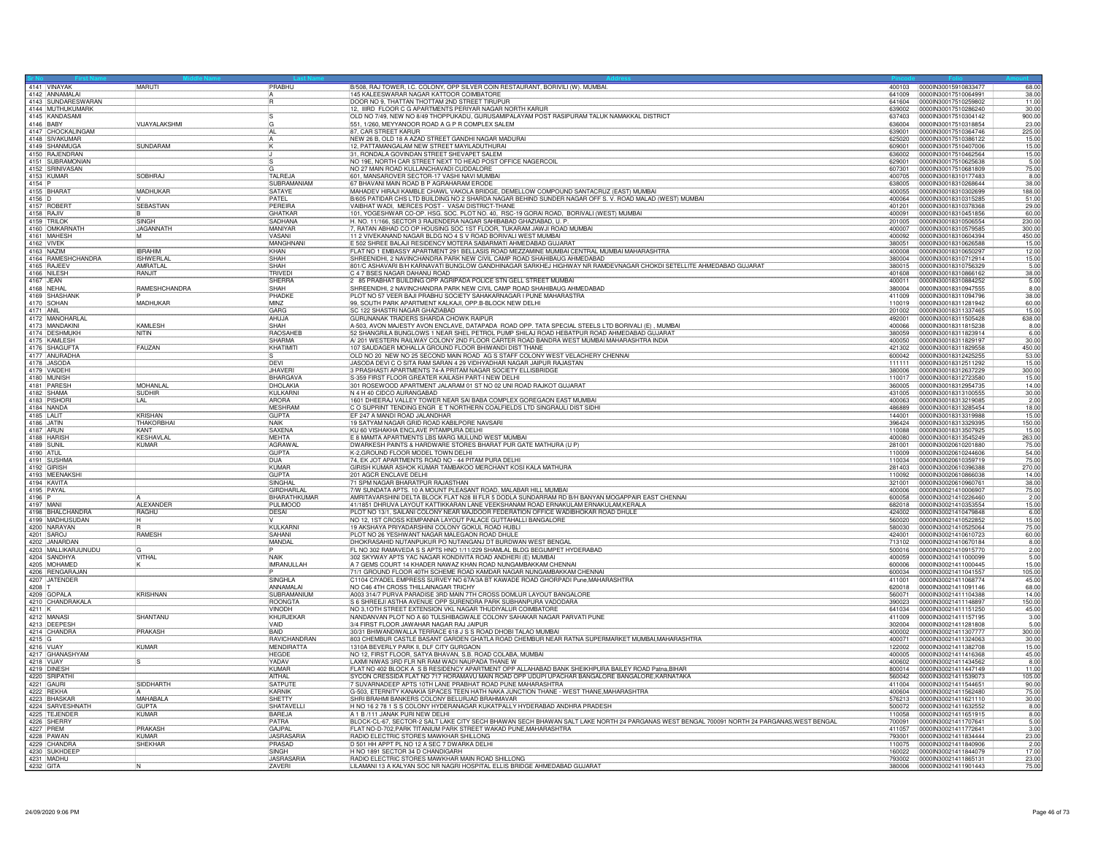| 4141 VINAYAK<br>MARUTI<br>PRABHU<br>400103 0000IN30015910833477<br>145 KALEESWARAR NAGAR KATTOOR COIMBATORE<br>4142 ANNAMALAI<br>0000IN30017510064991<br>38.00<br>641009<br>4143 SUNDARESWARAN<br>DOOR NO 9. THATTAN THOTTAM 2ND STREET TIRUPUR<br>641604<br>00000N30017510259802<br>11.00<br>12, IIIRD FLOOR C G APARTMENTS PERIYAR NAGAR NORTH KARUR<br>4144 MUTHUKUMARK<br>639002<br>0000IN30017510286240<br>30.00<br>4145 KANDASAMI<br>OLD NO 7/49, NEW NO 8/49 THOPPUKADU, GURUSAMIPALAYAM POST RASIPURAM TALUK NAMAKKAL DISTRICT<br>00000N30017510304142<br>900.00<br>637403<br>4146 BABY<br>VIJAYALAKSHMI<br>551, 1/260, MEYYANOOR ROAD A G P R COMPLEX SALEM<br>0000lN30017510318854<br>23.00<br>lG<br>636004<br>4147 CHOCKALINGAM<br>AL<br>87, CAR STREET KARUR<br>0000IN30017510364746<br>225.00<br>639001<br>4148 SIVAKUMAR<br>NEW 26 B, OLD 18 A AZAD STREET GANDHI NAGAR MADURAI<br>625020<br>0000IN30017510386122<br>15.00<br>4149 SHANMUGA<br>4150 RAJENDRAN<br>SUNDARAM<br>12, PATTAMANGALAM NEW STREET MAYILADUTHURAI<br>0000IN30017510407006<br>609001<br>15.00<br>31, RONDALA GOVINDAN STREET SHEVAPET SALEM<br>0000lN30017510462564<br>15.00<br>636002<br>4151 SUBRAMONIAN<br>NO 19E, NORTH CAR STREET NEXT TO HEAD POST OFFICE NAGERCOIL<br>629001<br>0000IN30017510625638<br>5.00<br>4152 SRINIVASAN<br>NO 27 MAIN ROAD KULLANCHAVADI CUDDALORE<br>75.00<br>607301<br>100001N30017510681809<br>4153 KUMAR<br><b>TALREJA</b><br>601, MANSAROVER SECTOR-17 VASHI NAVI MUMBAI<br>SOBHRAJ<br>400705<br>00000130018310177483<br>8.00<br>4154 P<br>4155 BHARAT<br>SUBRAMANIAM<br>67 BHAVANI MAIN ROAD B P AGRAHARAM ERODE<br>0000IN30018310268644<br>38.00<br>638005<br>MADHUKAR<br>SATAYE<br>MAHADEV HIRAJI KAMBLE CHAWL VAKOLA BRIDGE, DEMELLOW COMPOUND SANTACRUZ (EAST) MUMBAI<br>400055<br>00000N30018310302699<br>188,00<br>4156 D<br>PATEL<br>B/605 PATIDAR CHS LTD BUILDING NO 2 SHARDA NAGAR BEHIND SUNDER NAGAR OFF S. V. ROAD MALAD (WEST) MUMBAI<br>0000IN30018310315285<br>51.00<br>400064<br>4157 ROBER<br>SEBASTIAN<br>PERFIRA<br>VAIBHAT WADI, MERCES POST - VASAI DISTRICT-THANE<br>29.00<br>401201<br>100001N30018310378368<br>4158 RAJIV<br><b>GHATKAR</b><br>101, YOGESHWAR CO-OP. HSG. SOC. PLOT NO. 40, RSC-19 GORAI ROAD, BORIVALI (WEST) MUMBAI<br>400091<br>0000IN30018310451856<br>60.00<br>4159 TRILOR<br>SINGH<br>SADHANA<br>H. NO. 11/166, SECTOR 3 RAJENDERA NAGAR SAHIBABAD GHAZIABAD, U. P.<br>0000IN30018310506554<br>201005<br>230.00<br>4160 OMKARNATH<br><b>JAGANNATH</b><br>, RATAN ABHAD CO OP HOUSING SOC 1ST FLOOR, TUKARAM JAWJI ROAD MUMBAI<br><b>MANIYAR</b><br>400007<br>00000N30018310579585<br>300.00<br>11 2 VIVEKANAND NAGAR BLDG NO 4 S V ROAD BORIVALI WEST MUMBAI<br>4161 MAHESH<br>0000IN30018310604394<br>M<br><b>VASANI</b><br>400092<br>450.00<br>4162 VIVEK<br>F 502 SHREE BALAJI RESIDENCY MOTERA SABARMATI AHMEDABAD GIJJARA<br>MANGHNAN<br>380051<br>0000IN30018310626588<br>15.00<br>4163 NAZIM<br><b>IBRAHIM</b><br>KHAN<br>FLAT NO 1 EMBASSY APARTMENT 291 BELLASIS ROAD MEZZAMINE MUMBAI CENTRAL MUMBAI MAHARASHTRA<br>400008<br>0000IN30018310650297<br>12.00<br>4164 RAMESHCHANDRA<br><b>ISHWERLAL</b><br>SHREENIDHI, 2 NAVINCHANDRA PARK NEW CIVIL CAMP ROAD SHAHIBAUG AHMEDABAD<br>SHAH<br>380004<br>00000030018310712914<br>15.00<br>4165 RAJEEV<br>801/C ASHAVARI B/H KARNAVATI BUNGLOW GANDHINAGAR SARKHEJ HIGHWAY NR RAMDEVNAGAR CHOKDI SETELLITE AHMEDABAD GUJARAT<br><b>AMRATLAL</b><br>SHAH<br>380015<br>00000N30018310756329<br>5.00<br>TRIVED<br>C 4 7 BSES NAGAR DAHANU ROAD<br>4166 NILESH<br><b>RANJIT</b><br>401608<br>0000IN30018310866162<br>38.00<br>4167 JEAN<br>2 85 PRABHAT BUILDING OPP AGRIPADA POLICE STN GELL STREET MUMBAI<br>5.00<br><b>SHERRA</b><br>400011  00000IN30018310884252<br>4168 NEHAI<br>RAMESHCHANDRA<br>SHAH<br>SHREENIDHI, 2 NAVINCHANDRA PARK NEW CIVIL CAMP ROAD SHAHIBAUG AHMEDABAD<br>380004<br>0000IN30018310947555<br>8.00<br>4169 SHASHANK<br>PHADKE<br>PLOT NO 57 VEER BAJI PRABHU SOCIETY SAHAKARNAGAR I PUNE MAHARASTRA<br>411009<br>00000N30018311094796<br>38.00<br>4170 SOHAN<br>MADHUKAR<br>99, SOUTH PARK APARTMENT KALKAJI, OPP B-BLOCK NEW DELHI<br><b>MINZ</b><br>110019<br>0000IN30018311281942<br>60.00<br>4171 ANIL<br>SC 122 SHASTRI NAGAR GHAZIABAD<br>GARG<br>0000IN30018311337465<br>201002<br>15.00<br>4172 MANOHARLAL<br>GURUNANAK TRADERS SHARDA CHOWK RAIPUR<br>AHLIJA<br>492001  00000IN30018311505428<br>638.00<br>4173 MANDAKINI<br><b>KAMI FSH</b><br>SHAH<br>A-503, AVON MAJESTY AVON ENCLAVE, DATAPADA ROAD OPP. TATA SPECIAL STEELS LTD BORIVALI (E), MUMBAI<br>0000lN30018311815238<br>400066<br>8.00<br>4174 DESHMUKH<br>RAOSAHEB<br>52 SHANGRILA BUNGLOWS 1 NEAR SHEL PETROL PUMP SHILAJ ROAD HEBATPUR ROAD AHMEDABAD GUJARAT<br>NITIN<br>380059<br>0000IN30018311823914<br>6.00<br>4175 KAMLESH<br>A/ 201 WESTERN RAILWAY COLONY 2ND FLOOR CARTER ROAD BANDRA WEST MUMBAI MAHARASHTRA INDIA<br>SHARMA<br>0000IN30018311829197<br>30.00<br>400050<br>4176 SHAGUFTA<br>107 SAUDAGER MOHALLA GROUND FLOOR BHIWANDI DIST THANE<br><b>FAUZAN</b><br>KHATIMIT<br>00000N30018311829558<br>450.00<br>421302<br>4177 ANURADHA<br>OLD NO 20 NEW NO 25 SECOND MAIN ROAD AG S STAFF COLONY WEST VELACHERY CHENNAL<br>600042<br>0000IN30018312425255<br>53.00<br>4178 JASODA<br><b>DEVI</b><br>JASODA DEVI C O SITA RAM SARAN 4 29 VIDHYADHAR NAGAR JAIPUR RAJASTAN<br>0000lN30018312511292<br>15.00<br>111111<br>4179 VAIDEHI<br>3 PRASHASTI APARTMENTS 74-A PRITAM NAGAR SOCIETY ELLISBRIDGE<br>JHAVER<br>380006<br>0000IN30018312637229<br>300.00<br>4180 MUNISH<br>BHARGAVA<br>3-359 FIRST FLOOR GREATER KAILASH PART-I NEW DELHI<br>0000IN30018312723580<br>15.00<br>110017<br>4181 PARESH<br>301 ROSEWOOD APARTMENT JALARAM 01 ST NO 02 UNI ROAD RAJKOT GUJARAT<br><b>MOHANI AI</b><br>0000lN30018312954735<br><b>DHOLAKIA</b><br>14.00<br>360005<br>4182 SHAMA<br>SUDHIR<br><b>KULKARN</b><br>N 4 H 40 CIDCO AURANGABAD<br>431005<br>00000N30018313100555<br>30.00<br>4183 PISHOR<br>ARORA<br>1601 DHEERAJ VALLEY TOWER NEAR SAI BABA COMPLEX GOREGAON EAST MUMBAI<br>LAL<br>400063<br>0000IN30018313219085<br>2.00<br>4184 NANDA<br>C O SUPRINT TENDING ENGR E T NORTHERN COALFIELDS LTD SINGRAULI DIST SIDHI<br><b>MESHRAM</b><br>486889<br>0000IN30018313285454<br>18.00<br>4185 LALIT<br><b>KRISHAN</b><br><b>GUPTA</b><br>EF 247 A MANDI ROAD JALANDHAR<br>15.00<br>144001<br>0000IN30018313319988<br>4186 JATIN<br>4187 ARUN<br><b>THAKORBHAI</b><br>19 SATYAM NAGAR GRID ROAD KABILPORE NAVSARI<br>NAIK<br>0000030018313329395<br>150.00<br>396424<br>KANT<br><b>SAXENA</b><br>KU 60 VISHAKHA ENCLAVE PITAMPURA DELHI<br>110088<br>00000N30018313507925<br>15.00<br>E 8 MAMTA APARTMENTS LBS MARG MULUND WEST MUMBAI<br>4188 HARISH<br>KESHAVLA<br>MEHTA<br>400080<br>0000IN30018313545249<br>263.00<br>DWARKESH PAINTS & HARDWARE STORES BHARAT PUR GATE MATHURA (U P)<br>4189 SUNIL<br>KUMAR<br><b>AGRAWA</b><br>0000IN30020610201880<br>75.00<br>281001<br>4190 ATUL<br>K-2, GROUND FLOOR MODEL TOWN DELHI<br>54.00<br><b>GUPTA</b><br>0000IN30020610244606<br>110009<br>4191 SUSHMA<br>74, EK JOT APARTMENTS ROAD NO - 44 PITAM PURA DELHI<br>00000N30020610359719<br>75.00<br>DUA<br>110034<br>4192 GIRISH<br>KUMAR<br>GIRISH KUMAR ASHOK KUMAR TAMBAKOO MERCHANT KOSI KALA MATHURA<br>0000IN30020610396388<br>270.00<br>281403<br>4193 MEENAKSH<br><b>GUPTA</b><br>201 AGCR ENCLAVE DELHI<br>110092<br>0000IN30020610866038<br>14.00<br>71 SPM NAGAR BHARATPUR RAJASTHAN<br>4194 KAVITA<br>0000IN30020610960761<br>SINGHA<br>321001<br>38.00<br>4195 PAYAL<br><b>GIRDHARLAL</b><br>7/W SUNDATA APTS. 10 A MOUNT PLEASANT ROAD, MALABAR HILL MUMBAI<br>75.00<br>0000IN30021410006907<br>400006<br>4196 P<br>4197 MAN<br>AMRITAVARSHINI DELTA BLOCK FLAT N28 III FLR 5 DODLA SUNDARRAM RD B/H BANYAN MOGAPPAIR EAST CHENNAI<br>BHARATHKUMAR<br>00000N30021410226460<br>600058<br>2.00<br>ALEXANDER<br>PULIMOOD<br>41/1851 DHRUVA LAYOUT KATTIKKARAN LANE VEEKSHANAM ROAD ERNAKULAM ERNAKULAM, KERALA<br>0000IN30021410353554<br>15.00<br>682018<br>PLOT NO 13/1, SAILANI COLONY NEAR MAJDOOR FEDERATION OFFICE WADIBHOKAR ROAD DHULE<br>4198 BHALCHANDRA<br>RAGHU<br>DESAI<br>424002<br>0000lN30021410479848<br>6.00<br>NO 12, 1ST CROSS KEMPANNA LAYOUT PALACE GUTTAHALLI BANGALORE<br>4199 MADHUSUDAN<br>0000IN30021410522852<br>15.00<br>560020<br>4200 NARAYAN<br>KULKARNI<br>19 AKSHAYA PRIYADARSHINI COLONY GOKUL ROAD HUBLI<br>75.00<br>0000IN30021410525064<br>580030<br>4201 SAROJ<br>RAMESH<br>PLOT NO 26 YESHWANT NAGAR MALEGAON ROAD DHULE<br>SAHANI<br>424001 0000IN30021410610723<br>60.00<br>4202 JANARDAN<br>MANDAL<br>DHOKRASAHID NUTANPUKUR PO NUTANGANJ DT BURDWAN WEST BENGAL<br>0000lN30021410670184<br>8.00<br>713102<br>4203 MALLIKARJUNUDU<br>FL NO 302 RAMAVEDA S S APTS HNO 1/11/229 SHAMLAL BLDG BEGUMPET HYDERABAD<br>500016<br>0000IN30021410915770<br>2.00<br>4204 SANDHYA<br>NAIK<br>302 SKYWAY APTS YAC NAGAR KONDIVITA ROAD ANDHERI (E) MUMBAI<br>VITHAL<br>400059<br>00000N30021411000099<br>5.00<br>4205 MOHAMED<br><b>IMRANULLAH</b><br>A 7 GEMS COURT 14 KHADER NAWAZ KHAN BOAD NUNGAMBAKKAM CHENNA<br>15.00<br>800006<br>00000N30021411000445<br>4206 RENGARAJAN<br>4207 JATENDER<br>71/1 GROUND FLOOR 40TH SCHEME ROAD KAMDAR NAGAR NUNGAMBAKKAM CHENNAI<br>600034<br>0000IN30021411041557<br>105.00<br>SINGHLA<br>C1104 CIYADEL EMPRESS SURVEY NO 67A/3A BT KAWADE ROAD GHORPADI Pune, MAHARASHTRA<br>45.00<br>411001<br>00000N30021411068774<br>4208 T<br><b>ANNAMALA</b><br>NO C46 4TH CROSS THILLAINAGAR TRICHY<br>0000IN30021411091146<br>68.00<br>620018<br><b>SUBRAMANIUM</b><br>A003 314/7 PURVA PARADISE 3RD MAIN 7TH CROSS DOMLUR LAYOUT BANGALORE<br>4209 GOPALA<br>KRISHNAN<br>0000IN30021411104388<br>560071<br>14.00<br>4210 CHANDRAKALA<br>S 6 SHREEJI ASTHA AVENUE OPP SURENDRA PARK SUBHANPURA VADODARA<br>150.00<br><b>ROONGTA</b><br>390023<br>0000IN30021411148897<br>4211 K<br><b>VINODH</b><br>NO 3,10TH STREET EXTENSION VKL NAGAR THUDIYALUR COIMBATORE<br>641034<br>0000IN30021411151250<br>45.00<br>4212 MANASI<br>SHANTANU<br>KHURJEKAR<br>NANDANVAN PLOT NO A 60 TULSHIBAGWALE COLONY SAHAKAR NAGAR PARVATI PUNE<br>00000030021411157195<br>411009<br>3.00<br>4213 DEEPESH<br>3/4 FIRST FLOOR JAWAHAR NAGAR RAJ JAIPUR<br>00000N30021411281808<br>VAID<br>302004<br>5.00<br>4214 CHANDRA<br><b>PRAKASH</b><br>30/31 BHIWANDIWALLA TERRACE 618 J S S ROAD DHOBI TALAO MUMBAI<br><b>BAID</b><br>400002<br>0000IN30021411307777<br>300.00<br>$4215$ <sup>G</sup><br>803 CHEMBUR CASTLE BASANT GARDEN GHATLA ROAD CHEMBUR NEAR RATNA SUPERMARKET MUMBAI MAHARASHTRA<br>RAVICHANDRAN<br>400071  00000IN30021411324063<br>30.00<br>4216 VIJAY<br>4217 GHANASHYAM<br><b>KUMAR</b><br>MENDIRATTA<br>1310A BEVERLY PARK II, DLF CITY GURGAON<br>122002<br>00000N30021411382708<br>15.00<br>NO 12, FIRST FLOOR, SATYA BHAVAN, S.B. ROAD COLABA, MUMBAI<br>45.00<br><b>HEGDE</b><br>400005<br>00000N30021411416368<br>4218 VIJAY<br>LAXMI NIWAS 3RD FLR NR RAM WADI NAUPADA THANE W<br>YADAV<br>400602<br>0000IN30021411434562<br>8.00<br>FLAT NO 402 BLOCK A S B RESIDENCY APARTMENT OPP ALLAHABAD BANK SHEIKHPURA BAILEY ROAD Patna, BIHAR<br>4219 DINESH<br>KUMAR<br>800014<br>00000830021411447149<br>11.00<br>4220 SRIPATHI<br>SYCON CRESSIDA FLAT NO 717 HORAMAVU MAIN ROAD OPP UDUPI UPACHAR BANGALORE BANGALORE KARNATAKA<br>AITHAI<br>560042 0000IN30021411539073<br>105.00<br>4221 GAURI<br>SIDDHARTH<br>SATPUTE<br>7 SUVARNADEEP APTS 10TH LANE PRABHAT ROAD PUNE MAHARASHTRA<br>411004<br>0000lN30021411544651<br>90.00<br>4222 REKHA<br>G-503, ETERNITY KANAKIA SPACES TEEN HATH NAKA JUNCTION THANE - WEST THANE, MAHARASHTRA<br>75.00<br>KARNIK<br>400604  00000IN30021411562480<br><b>MAHABALA</b><br>SHETTY<br>SHRI BRAHMI BANKERS COLONY BELURJAD BRAHMAVAR<br>4223 BHASKAF<br>576213<br>00000N30021411621110<br>30.00<br>H NO 16 2 78 1 S S COLONY HYDERANAGAR KUKATPALLY HYDERABAD ANDHRA PRADESH<br>4224 SARVESHNATH<br>SHATAVFI<br>0000IN30021411632552<br>GUPTA<br>500072<br>8.00<br>4225 TEJENDER<br><b>KUMAR</b><br>BAREJA<br>A 1 B /111 JANAK PURI NEW DELHI<br>110058<br>0000IN30021411651915<br>8.00<br>4226 SHERRY<br>PATRA<br>BLOCK-CL-67, SECTOR-2 SALT LAKE CITY SECH BHAWAN SECH BHAWAN SALT LAKE NORTH 24 PARGANAS WEST BENGAL 700091 NORTH 24 PARGANAS, WEST BENGAL<br>0000lN30021411707641<br>700091<br>5.00<br>4227 PREM<br>PRAKASH<br>FLAT NO-D-702, PARK TITANIUM PARK STREET WAKAD PUNE, MAHARASHTRA<br>GAJPAL<br>411057<br>00000N30021411772641<br>3.00<br>RADIO ELECTRIC STORES MAWKHAR SHILLONG<br>4228 PAWAN<br>KUMAR<br><b>JASRASARL</b><br>00000N30021411834444<br>23.00<br>793001<br>D 501 HH APPT PL NO 12 A SEC 7 DWARKA DELHI<br>4229 CHANDRA<br>SHEKHAR<br>PRASAD<br>110075<br>0000IN30021411840906<br>2.00<br>4230 SUKHDEEP<br>17.00<br><b>ISINGH</b><br>H NO 1891 SECTOR 34 D CHANDIGARH<br>160022<br>0000lN30021411844079<br>4231 MADHU<br><b>JASRASARI</b><br>RADIO ELECTRIC STORES MAWKHAR MAIN ROAD SHILLONG<br>0000lN30021411865131<br>793002<br>23.00<br>4232 GITA<br>LILAMANI 13 A KALYAN SOC NR NAGRI HOSPITAL ELLIS BRIDGE AHMEDABAD GUJARAT<br>$\overline{\mathsf{N}}$<br>ZAVERI<br>380006 00000N30021411901443<br>75.00 |  |  |                                                                                  |  |       |
|-------------------------------------------------------------------------------------------------------------------------------------------------------------------------------------------------------------------------------------------------------------------------------------------------------------------------------------------------------------------------------------------------------------------------------------------------------------------------------------------------------------------------------------------------------------------------------------------------------------------------------------------------------------------------------------------------------------------------------------------------------------------------------------------------------------------------------------------------------------------------------------------------------------------------------------------------------------------------------------------------------------------------------------------------------------------------------------------------------------------------------------------------------------------------------------------------------------------------------------------------------------------------------------------------------------------------------------------------------------------------------------------------------------------------------------------------------------------------------------------------------------------------------------------------------------------------------------------------------------------------------------------------------------------------------------------------------------------------------------------------------------------------------------------------------------------------------------------------------------------------------------------------------------------------------------------------------------------------------------------------------------------------------------------------------------------------------------------------------------------------------------------------------------------------------------------------------------------------------------------------------------------------------------------------------------------------------------------------------------------------------------------------------------------------------------------------------------------------------------------------------------------------------------------------------------------------------------------------------------------------------------------------------------------------------------------------------------------------------------------------------------------------------------------------------------------------------------------------------------------------------------------------------------------------------------------------------------------------------------------------------------------------------------------------------------------------------------------------------------------------------------------------------------------------------------------------------------------------------------------------------------------------------------------------------------------------------------------------------------------------------------------------------------------------------------------------------------------------------------------------------------------------------------------------------------------------------------------------------------------------------------------------------------------------------------------------------------------------------------------------------------------------------------------------------------------------------------------------------------------------------------------------------------------------------------------------------------------------------------------------------------------------------------------------------------------------------------------------------------------------------------------------------------------------------------------------------------------------------------------------------------------------------------------------------------------------------------------------------------------------------------------------------------------------------------------------------------------------------------------------------------------------------------------------------------------------------------------------------------------------------------------------------------------------------------------------------------------------------------------------------------------------------------------------------------------------------------------------------------------------------------------------------------------------------------------------------------------------------------------------------------------------------------------------------------------------------------------------------------------------------------------------------------------------------------------------------------------------------------------------------------------------------------------------------------------------------------------------------------------------------------------------------------------------------------------------------------------------------------------------------------------------------------------------------------------------------------------------------------------------------------------------------------------------------------------------------------------------------------------------------------------------------------------------------------------------------------------------------------------------------------------------------------------------------------------------------------------------------------------------------------------------------------------------------------------------------------------------------------------------------------------------------------------------------------------------------------------------------------------------------------------------------------------------------------------------------------------------------------------------------------------------------------------------------------------------------------------------------------------------------------------------------------------------------------------------------------------------------------------------------------------------------------------------------------------------------------------------------------------------------------------------------------------------------------------------------------------------------------------------------------------------------------------------------------------------------------------------------------------------------------------------------------------------------------------------------------------------------------------------------------------------------------------------------------------------------------------------------------------------------------------------------------------------------------------------------------------------------------------------------------------------------------------------------------------------------------------------------------------------------------------------------------------------------------------------------------------------------------------------------------------------------------------------------------------------------------------------------------------------------------------------------------------------------------------------------------------------------------------------------------------------------------------------------------------------------------------------------------------------------------------------------------------------------------------------------------------------------------------------------------------------------------------------------------------------------------------------------------------------------------------------------------------------------------------------------------------------------------------------------------------------------------------------------------------------------------------------------------------------------------------------------------------------------------------------------------------------------------------------------------------------------------------------------------------------------------------------------------------------------------------------------------------------------------------------------------------------------------------------------------------------------------------------------------------------------------------------------------------------------------------------------------------------------------------------------------------------------------------------------------------------------------------------------------------------------------------------------------------------------------------------------------------------------------------------------------------------------------------------------------------------------------------------------------------------------------------------------------------------------------------------------------------------------------------------------------------------------------------------------------------------------------------------------------------------------------------------------------------------------------------------------------------------------------------------------------------------------------------------------------------------------------------------------------------------------------------------------------------------------------------------------------------------------------------------------------------------------------------------------------------------------------------------------------------------------------------------------------------------------------------------------------------------------------------------------------------------------------------------------------------------------------------------------------------------------------------------------------------------------------------------------------------------------------------------------------------------------------------------------------------------------------------------------------------------------------------------------------------------------------------------------------------------------------------------------------------------------------------------------------------------------------------------------------------------------------------------------------------------------------------------------------------------------------------------------------------------------------------------------------------------------------------------------------------------------------------------------------------------------------------------------------------------------------------------------------------------------------------------------------------------------------------------------------------------------------------------------------------------------------------------------------------------------------------------------------------------------------------------------------------------------------------------------------------------------------------------------------------------------------------------------------------------------------------------------------------------------------------------------------------------------------------------------------------------------------------------------------------------------------------------------------------------------------------------------------------------------------------------------------------------------------------------------------------------------------------------------------------------------------------------------------------------------------------------------------------------------------------------------------------------------------------------------------------------------------------------------------------------------------------------------------------------------------------------------------------------------------------------------------------------------------------------------------------------------------------------------------------------------------------------------------------------------------------------------------------------------------------------------------------------------------------------------------------------------------------------------------------------------------------------------------------------------------------------------------------------------------------------------------------------------------------------------------------------------------------------------------------------------------------------------------------------------------------------|--|--|----------------------------------------------------------------------------------|--|-------|
|                                                                                                                                                                                                                                                                                                                                                                                                                                                                                                                                                                                                                                                                                                                                                                                                                                                                                                                                                                                                                                                                                                                                                                                                                                                                                                                                                                                                                                                                                                                                                                                                                                                                                                                                                                                                                                                                                                                                                                                                                                                                                                                                                                                                                                                                                                                                                                                                                                                                                                                                                                                                                                                                                                                                                                                                                                                                                                                                                                                                                                                                                                                                                                                                                                                                                                                                                                                                                                                                                                                                                                                                                                                                                                                                                                                                                                                                                                                                                                                                                                                                                                                                                                                                                                                                                                                                                                                                                                                                                                                                                                                                                                                                                                                                                                                                                                                                                                                                                                                                                                                                                                                                                                                                                                                                                                                                                                                                                                                                                                                                                                                                                                                                                                                                                                                                                                                                                                                                                                                                                                                                                                                                                                                                                                                                                                                                                                                                                                                                                                                                                                                                                                                                                                                                                                                                                                                                                                                                                                                                                                                                                                                                                                                                                                                                                                                                                                                                                                                                                                                                                                                                                                                                                                                                                                                                                                                                                                                                                                                                                                                                                                                                                                                                                                                                                                                                                                                                                                                                                                                                                                                                                                                                                                                                                                                                                                                                                                                                                                                                                                                                                                                                                                                                                                                                                                                                                                                                                                                                                                                                                                                                                                                                                                                                                                                                                                                                                                                                                                                                                                                                                                                                                                                                                                                                                                                                                                                                                                                                                                                                                                                                                                                                                                                                                                                                                                                                                                                                                                                                                                                                                                                                                                                                                                                                                                                                                                                                                                                                                                                                                                                                                                                                                                                                                                                                                                                                                                                                                                                                                                                                                                                                                                                                                                                                                                                                                                                                                                                                                                                                                                                                                                                                                                                                                                                                                                                                                                                                                                                                                                                                                                                                                                                                                                                                                                                         |  |  | B/508, RAJ TOWER, I.C. COLONY, OPP SILVER COIN RESTAURANT, BORIVILI (W). MUMBAI. |  | 68.00 |
|                                                                                                                                                                                                                                                                                                                                                                                                                                                                                                                                                                                                                                                                                                                                                                                                                                                                                                                                                                                                                                                                                                                                                                                                                                                                                                                                                                                                                                                                                                                                                                                                                                                                                                                                                                                                                                                                                                                                                                                                                                                                                                                                                                                                                                                                                                                                                                                                                                                                                                                                                                                                                                                                                                                                                                                                                                                                                                                                                                                                                                                                                                                                                                                                                                                                                                                                                                                                                                                                                                                                                                                                                                                                                                                                                                                                                                                                                                                                                                                                                                                                                                                                                                                                                                                                                                                                                                                                                                                                                                                                                                                                                                                                                                                                                                                                                                                                                                                                                                                                                                                                                                                                                                                                                                                                                                                                                                                                                                                                                                                                                                                                                                                                                                                                                                                                                                                                                                                                                                                                                                                                                                                                                                                                                                                                                                                                                                                                                                                                                                                                                                                                                                                                                                                                                                                                                                                                                                                                                                                                                                                                                                                                                                                                                                                                                                                                                                                                                                                                                                                                                                                                                                                                                                                                                                                                                                                                                                                                                                                                                                                                                                                                                                                                                                                                                                                                                                                                                                                                                                                                                                                                                                                                                                                                                                                                                                                                                                                                                                                                                                                                                                                                                                                                                                                                                                                                                                                                                                                                                                                                                                                                                                                                                                                                                                                                                                                                                                                                                                                                                                                                                                                                                                                                                                                                                                                                                                                                                                                                                                                                                                                                                                                                                                                                                                                                                                                                                                                                                                                                                                                                                                                                                                                                                                                                                                                                                                                                                                                                                                                                                                                                                                                                                                                                                                                                                                                                                                                                                                                                                                                                                                                                                                                                                                                                                                                                                                                                                                                                                                                                                                                                                                                                                                                                                                                                                                                                                                                                                                                                                                                                                                                                                                                                                                                                                                                         |  |  |                                                                                  |  |       |
|                                                                                                                                                                                                                                                                                                                                                                                                                                                                                                                                                                                                                                                                                                                                                                                                                                                                                                                                                                                                                                                                                                                                                                                                                                                                                                                                                                                                                                                                                                                                                                                                                                                                                                                                                                                                                                                                                                                                                                                                                                                                                                                                                                                                                                                                                                                                                                                                                                                                                                                                                                                                                                                                                                                                                                                                                                                                                                                                                                                                                                                                                                                                                                                                                                                                                                                                                                                                                                                                                                                                                                                                                                                                                                                                                                                                                                                                                                                                                                                                                                                                                                                                                                                                                                                                                                                                                                                                                                                                                                                                                                                                                                                                                                                                                                                                                                                                                                                                                                                                                                                                                                                                                                                                                                                                                                                                                                                                                                                                                                                                                                                                                                                                                                                                                                                                                                                                                                                                                                                                                                                                                                                                                                                                                                                                                                                                                                                                                                                                                                                                                                                                                                                                                                                                                                                                                                                                                                                                                                                                                                                                                                                                                                                                                                                                                                                                                                                                                                                                                                                                                                                                                                                                                                                                                                                                                                                                                                                                                                                                                                                                                                                                                                                                                                                                                                                                                                                                                                                                                                                                                                                                                                                                                                                                                                                                                                                                                                                                                                                                                                                                                                                                                                                                                                                                                                                                                                                                                                                                                                                                                                                                                                                                                                                                                                                                                                                                                                                                                                                                                                                                                                                                                                                                                                                                                                                                                                                                                                                                                                                                                                                                                                                                                                                                                                                                                                                                                                                                                                                                                                                                                                                                                                                                                                                                                                                                                                                                                                                                                                                                                                                                                                                                                                                                                                                                                                                                                                                                                                                                                                                                                                                                                                                                                                                                                                                                                                                                                                                                                                                                                                                                                                                                                                                                                                                                                                                                                                                                                                                                                                                                                                                                                                                                                                                                                                                         |  |  |                                                                                  |  |       |
|                                                                                                                                                                                                                                                                                                                                                                                                                                                                                                                                                                                                                                                                                                                                                                                                                                                                                                                                                                                                                                                                                                                                                                                                                                                                                                                                                                                                                                                                                                                                                                                                                                                                                                                                                                                                                                                                                                                                                                                                                                                                                                                                                                                                                                                                                                                                                                                                                                                                                                                                                                                                                                                                                                                                                                                                                                                                                                                                                                                                                                                                                                                                                                                                                                                                                                                                                                                                                                                                                                                                                                                                                                                                                                                                                                                                                                                                                                                                                                                                                                                                                                                                                                                                                                                                                                                                                                                                                                                                                                                                                                                                                                                                                                                                                                                                                                                                                                                                                                                                                                                                                                                                                                                                                                                                                                                                                                                                                                                                                                                                                                                                                                                                                                                                                                                                                                                                                                                                                                                                                                                                                                                                                                                                                                                                                                                                                                                                                                                                                                                                                                                                                                                                                                                                                                                                                                                                                                                                                                                                                                                                                                                                                                                                                                                                                                                                                                                                                                                                                                                                                                                                                                                                                                                                                                                                                                                                                                                                                                                                                                                                                                                                                                                                                                                                                                                                                                                                                                                                                                                                                                                                                                                                                                                                                                                                                                                                                                                                                                                                                                                                                                                                                                                                                                                                                                                                                                                                                                                                                                                                                                                                                                                                                                                                                                                                                                                                                                                                                                                                                                                                                                                                                                                                                                                                                                                                                                                                                                                                                                                                                                                                                                                                                                                                                                                                                                                                                                                                                                                                                                                                                                                                                                                                                                                                                                                                                                                                                                                                                                                                                                                                                                                                                                                                                                                                                                                                                                                                                                                                                                                                                                                                                                                                                                                                                                                                                                                                                                                                                                                                                                                                                                                                                                                                                                                                                                                                                                                                                                                                                                                                                                                                                                                                                                                                                                                         |  |  |                                                                                  |  |       |
|                                                                                                                                                                                                                                                                                                                                                                                                                                                                                                                                                                                                                                                                                                                                                                                                                                                                                                                                                                                                                                                                                                                                                                                                                                                                                                                                                                                                                                                                                                                                                                                                                                                                                                                                                                                                                                                                                                                                                                                                                                                                                                                                                                                                                                                                                                                                                                                                                                                                                                                                                                                                                                                                                                                                                                                                                                                                                                                                                                                                                                                                                                                                                                                                                                                                                                                                                                                                                                                                                                                                                                                                                                                                                                                                                                                                                                                                                                                                                                                                                                                                                                                                                                                                                                                                                                                                                                                                                                                                                                                                                                                                                                                                                                                                                                                                                                                                                                                                                                                                                                                                                                                                                                                                                                                                                                                                                                                                                                                                                                                                                                                                                                                                                                                                                                                                                                                                                                                                                                                                                                                                                                                                                                                                                                                                                                                                                                                                                                                                                                                                                                                                                                                                                                                                                                                                                                                                                                                                                                                                                                                                                                                                                                                                                                                                                                                                                                                                                                                                                                                                                                                                                                                                                                                                                                                                                                                                                                                                                                                                                                                                                                                                                                                                                                                                                                                                                                                                                                                                                                                                                                                                                                                                                                                                                                                                                                                                                                                                                                                                                                                                                                                                                                                                                                                                                                                                                                                                                                                                                                                                                                                                                                                                                                                                                                                                                                                                                                                                                                                                                                                                                                                                                                                                                                                                                                                                                                                                                                                                                                                                                                                                                                                                                                                                                                                                                                                                                                                                                                                                                                                                                                                                                                                                                                                                                                                                                                                                                                                                                                                                                                                                                                                                                                                                                                                                                                                                                                                                                                                                                                                                                                                                                                                                                                                                                                                                                                                                                                                                                                                                                                                                                                                                                                                                                                                                                                                                                                                                                                                                                                                                                                                                                                                                                                                                                                                         |  |  |                                                                                  |  |       |
|                                                                                                                                                                                                                                                                                                                                                                                                                                                                                                                                                                                                                                                                                                                                                                                                                                                                                                                                                                                                                                                                                                                                                                                                                                                                                                                                                                                                                                                                                                                                                                                                                                                                                                                                                                                                                                                                                                                                                                                                                                                                                                                                                                                                                                                                                                                                                                                                                                                                                                                                                                                                                                                                                                                                                                                                                                                                                                                                                                                                                                                                                                                                                                                                                                                                                                                                                                                                                                                                                                                                                                                                                                                                                                                                                                                                                                                                                                                                                                                                                                                                                                                                                                                                                                                                                                                                                                                                                                                                                                                                                                                                                                                                                                                                                                                                                                                                                                                                                                                                                                                                                                                                                                                                                                                                                                                                                                                                                                                                                                                                                                                                                                                                                                                                                                                                                                                                                                                                                                                                                                                                                                                                                                                                                                                                                                                                                                                                                                                                                                                                                                                                                                                                                                                                                                                                                                                                                                                                                                                                                                                                                                                                                                                                                                                                                                                                                                                                                                                                                                                                                                                                                                                                                                                                                                                                                                                                                                                                                                                                                                                                                                                                                                                                                                                                                                                                                                                                                                                                                                                                                                                                                                                                                                                                                                                                                                                                                                                                                                                                                                                                                                                                                                                                                                                                                                                                                                                                                                                                                                                                                                                                                                                                                                                                                                                                                                                                                                                                                                                                                                                                                                                                                                                                                                                                                                                                                                                                                                                                                                                                                                                                                                                                                                                                                                                                                                                                                                                                                                                                                                                                                                                                                                                                                                                                                                                                                                                                                                                                                                                                                                                                                                                                                                                                                                                                                                                                                                                                                                                                                                                                                                                                                                                                                                                                                                                                                                                                                                                                                                                                                                                                                                                                                                                                                                                                                                                                                                                                                                                                                                                                                                                                                                                                                                                                                                                         |  |  |                                                                                  |  |       |
|                                                                                                                                                                                                                                                                                                                                                                                                                                                                                                                                                                                                                                                                                                                                                                                                                                                                                                                                                                                                                                                                                                                                                                                                                                                                                                                                                                                                                                                                                                                                                                                                                                                                                                                                                                                                                                                                                                                                                                                                                                                                                                                                                                                                                                                                                                                                                                                                                                                                                                                                                                                                                                                                                                                                                                                                                                                                                                                                                                                                                                                                                                                                                                                                                                                                                                                                                                                                                                                                                                                                                                                                                                                                                                                                                                                                                                                                                                                                                                                                                                                                                                                                                                                                                                                                                                                                                                                                                                                                                                                                                                                                                                                                                                                                                                                                                                                                                                                                                                                                                                                                                                                                                                                                                                                                                                                                                                                                                                                                                                                                                                                                                                                                                                                                                                                                                                                                                                                                                                                                                                                                                                                                                                                                                                                                                                                                                                                                                                                                                                                                                                                                                                                                                                                                                                                                                                                                                                                                                                                                                                                                                                                                                                                                                                                                                                                                                                                                                                                                                                                                                                                                                                                                                                                                                                                                                                                                                                                                                                                                                                                                                                                                                                                                                                                                                                                                                                                                                                                                                                                                                                                                                                                                                                                                                                                                                                                                                                                                                                                                                                                                                                                                                                                                                                                                                                                                                                                                                                                                                                                                                                                                                                                                                                                                                                                                                                                                                                                                                                                                                                                                                                                                                                                                                                                                                                                                                                                                                                                                                                                                                                                                                                                                                                                                                                                                                                                                                                                                                                                                                                                                                                                                                                                                                                                                                                                                                                                                                                                                                                                                                                                                                                                                                                                                                                                                                                                                                                                                                                                                                                                                                                                                                                                                                                                                                                                                                                                                                                                                                                                                                                                                                                                                                                                                                                                                                                                                                                                                                                                                                                                                                                                                                                                                                                                                                                                         |  |  |                                                                                  |  |       |
|                                                                                                                                                                                                                                                                                                                                                                                                                                                                                                                                                                                                                                                                                                                                                                                                                                                                                                                                                                                                                                                                                                                                                                                                                                                                                                                                                                                                                                                                                                                                                                                                                                                                                                                                                                                                                                                                                                                                                                                                                                                                                                                                                                                                                                                                                                                                                                                                                                                                                                                                                                                                                                                                                                                                                                                                                                                                                                                                                                                                                                                                                                                                                                                                                                                                                                                                                                                                                                                                                                                                                                                                                                                                                                                                                                                                                                                                                                                                                                                                                                                                                                                                                                                                                                                                                                                                                                                                                                                                                                                                                                                                                                                                                                                                                                                                                                                                                                                                                                                                                                                                                                                                                                                                                                                                                                                                                                                                                                                                                                                                                                                                                                                                                                                                                                                                                                                                                                                                                                                                                                                                                                                                                                                                                                                                                                                                                                                                                                                                                                                                                                                                                                                                                                                                                                                                                                                                                                                                                                                                                                                                                                                                                                                                                                                                                                                                                                                                                                                                                                                                                                                                                                                                                                                                                                                                                                                                                                                                                                                                                                                                                                                                                                                                                                                                                                                                                                                                                                                                                                                                                                                                                                                                                                                                                                                                                                                                                                                                                                                                                                                                                                                                                                                                                                                                                                                                                                                                                                                                                                                                                                                                                                                                                                                                                                                                                                                                                                                                                                                                                                                                                                                                                                                                                                                                                                                                                                                                                                                                                                                                                                                                                                                                                                                                                                                                                                                                                                                                                                                                                                                                                                                                                                                                                                                                                                                                                                                                                                                                                                                                                                                                                                                                                                                                                                                                                                                                                                                                                                                                                                                                                                                                                                                                                                                                                                                                                                                                                                                                                                                                                                                                                                                                                                                                                                                                                                                                                                                                                                                                                                                                                                                                                                                                                                                                                                                         |  |  |                                                                                  |  |       |
|                                                                                                                                                                                                                                                                                                                                                                                                                                                                                                                                                                                                                                                                                                                                                                                                                                                                                                                                                                                                                                                                                                                                                                                                                                                                                                                                                                                                                                                                                                                                                                                                                                                                                                                                                                                                                                                                                                                                                                                                                                                                                                                                                                                                                                                                                                                                                                                                                                                                                                                                                                                                                                                                                                                                                                                                                                                                                                                                                                                                                                                                                                                                                                                                                                                                                                                                                                                                                                                                                                                                                                                                                                                                                                                                                                                                                                                                                                                                                                                                                                                                                                                                                                                                                                                                                                                                                                                                                                                                                                                                                                                                                                                                                                                                                                                                                                                                                                                                                                                                                                                                                                                                                                                                                                                                                                                                                                                                                                                                                                                                                                                                                                                                                                                                                                                                                                                                                                                                                                                                                                                                                                                                                                                                                                                                                                                                                                                                                                                                                                                                                                                                                                                                                                                                                                                                                                                                                                                                                                                                                                                                                                                                                                                                                                                                                                                                                                                                                                                                                                                                                                                                                                                                                                                                                                                                                                                                                                                                                                                                                                                                                                                                                                                                                                                                                                                                                                                                                                                                                                                                                                                                                                                                                                                                                                                                                                                                                                                                                                                                                                                                                                                                                                                                                                                                                                                                                                                                                                                                                                                                                                                                                                                                                                                                                                                                                                                                                                                                                                                                                                                                                                                                                                                                                                                                                                                                                                                                                                                                                                                                                                                                                                                                                                                                                                                                                                                                                                                                                                                                                                                                                                                                                                                                                                                                                                                                                                                                                                                                                                                                                                                                                                                                                                                                                                                                                                                                                                                                                                                                                                                                                                                                                                                                                                                                                                                                                                                                                                                                                                                                                                                                                                                                                                                                                                                                                                                                                                                                                                                                                                                                                                                                                                                                                                                                                                                         |  |  |                                                                                  |  |       |
|                                                                                                                                                                                                                                                                                                                                                                                                                                                                                                                                                                                                                                                                                                                                                                                                                                                                                                                                                                                                                                                                                                                                                                                                                                                                                                                                                                                                                                                                                                                                                                                                                                                                                                                                                                                                                                                                                                                                                                                                                                                                                                                                                                                                                                                                                                                                                                                                                                                                                                                                                                                                                                                                                                                                                                                                                                                                                                                                                                                                                                                                                                                                                                                                                                                                                                                                                                                                                                                                                                                                                                                                                                                                                                                                                                                                                                                                                                                                                                                                                                                                                                                                                                                                                                                                                                                                                                                                                                                                                                                                                                                                                                                                                                                                                                                                                                                                                                                                                                                                                                                                                                                                                                                                                                                                                                                                                                                                                                                                                                                                                                                                                                                                                                                                                                                                                                                                                                                                                                                                                                                                                                                                                                                                                                                                                                                                                                                                                                                                                                                                                                                                                                                                                                                                                                                                                                                                                                                                                                                                                                                                                                                                                                                                                                                                                                                                                                                                                                                                                                                                                                                                                                                                                                                                                                                                                                                                                                                                                                                                                                                                                                                                                                                                                                                                                                                                                                                                                                                                                                                                                                                                                                                                                                                                                                                                                                                                                                                                                                                                                                                                                                                                                                                                                                                                                                                                                                                                                                                                                                                                                                                                                                                                                                                                                                                                                                                                                                                                                                                                                                                                                                                                                                                                                                                                                                                                                                                                                                                                                                                                                                                                                                                                                                                                                                                                                                                                                                                                                                                                                                                                                                                                                                                                                                                                                                                                                                                                                                                                                                                                                                                                                                                                                                                                                                                                                                                                                                                                                                                                                                                                                                                                                                                                                                                                                                                                                                                                                                                                                                                                                                                                                                                                                                                                                                                                                                                                                                                                                                                                                                                                                                                                                                                                                                                                                                                         |  |  |                                                                                  |  |       |
|                                                                                                                                                                                                                                                                                                                                                                                                                                                                                                                                                                                                                                                                                                                                                                                                                                                                                                                                                                                                                                                                                                                                                                                                                                                                                                                                                                                                                                                                                                                                                                                                                                                                                                                                                                                                                                                                                                                                                                                                                                                                                                                                                                                                                                                                                                                                                                                                                                                                                                                                                                                                                                                                                                                                                                                                                                                                                                                                                                                                                                                                                                                                                                                                                                                                                                                                                                                                                                                                                                                                                                                                                                                                                                                                                                                                                                                                                                                                                                                                                                                                                                                                                                                                                                                                                                                                                                                                                                                                                                                                                                                                                                                                                                                                                                                                                                                                                                                                                                                                                                                                                                                                                                                                                                                                                                                                                                                                                                                                                                                                                                                                                                                                                                                                                                                                                                                                                                                                                                                                                                                                                                                                                                                                                                                                                                                                                                                                                                                                                                                                                                                                                                                                                                                                                                                                                                                                                                                                                                                                                                                                                                                                                                                                                                                                                                                                                                                                                                                                                                                                                                                                                                                                                                                                                                                                                                                                                                                                                                                                                                                                                                                                                                                                                                                                                                                                                                                                                                                                                                                                                                                                                                                                                                                                                                                                                                                                                                                                                                                                                                                                                                                                                                                                                                                                                                                                                                                                                                                                                                                                                                                                                                                                                                                                                                                                                                                                                                                                                                                                                                                                                                                                                                                                                                                                                                                                                                                                                                                                                                                                                                                                                                                                                                                                                                                                                                                                                                                                                                                                                                                                                                                                                                                                                                                                                                                                                                                                                                                                                                                                                                                                                                                                                                                                                                                                                                                                                                                                                                                                                                                                                                                                                                                                                                                                                                                                                                                                                                                                                                                                                                                                                                                                                                                                                                                                                                                                                                                                                                                                                                                                                                                                                                                                                                                                                                                         |  |  |                                                                                  |  |       |
|                                                                                                                                                                                                                                                                                                                                                                                                                                                                                                                                                                                                                                                                                                                                                                                                                                                                                                                                                                                                                                                                                                                                                                                                                                                                                                                                                                                                                                                                                                                                                                                                                                                                                                                                                                                                                                                                                                                                                                                                                                                                                                                                                                                                                                                                                                                                                                                                                                                                                                                                                                                                                                                                                                                                                                                                                                                                                                                                                                                                                                                                                                                                                                                                                                                                                                                                                                                                                                                                                                                                                                                                                                                                                                                                                                                                                                                                                                                                                                                                                                                                                                                                                                                                                                                                                                                                                                                                                                                                                                                                                                                                                                                                                                                                                                                                                                                                                                                                                                                                                                                                                                                                                                                                                                                                                                                                                                                                                                                                                                                                                                                                                                                                                                                                                                                                                                                                                                                                                                                                                                                                                                                                                                                                                                                                                                                                                                                                                                                                                                                                                                                                                                                                                                                                                                                                                                                                                                                                                                                                                                                                                                                                                                                                                                                                                                                                                                                                                                                                                                                                                                                                                                                                                                                                                                                                                                                                                                                                                                                                                                                                                                                                                                                                                                                                                                                                                                                                                                                                                                                                                                                                                                                                                                                                                                                                                                                                                                                                                                                                                                                                                                                                                                                                                                                                                                                                                                                                                                                                                                                                                                                                                                                                                                                                                                                                                                                                                                                                                                                                                                                                                                                                                                                                                                                                                                                                                                                                                                                                                                                                                                                                                                                                                                                                                                                                                                                                                                                                                                                                                                                                                                                                                                                                                                                                                                                                                                                                                                                                                                                                                                                                                                                                                                                                                                                                                                                                                                                                                                                                                                                                                                                                                                                                                                                                                                                                                                                                                                                                                                                                                                                                                                                                                                                                                                                                                                                                                                                                                                                                                                                                                                                                                                                                                                                                                                                         |  |  |                                                                                  |  |       |
|                                                                                                                                                                                                                                                                                                                                                                                                                                                                                                                                                                                                                                                                                                                                                                                                                                                                                                                                                                                                                                                                                                                                                                                                                                                                                                                                                                                                                                                                                                                                                                                                                                                                                                                                                                                                                                                                                                                                                                                                                                                                                                                                                                                                                                                                                                                                                                                                                                                                                                                                                                                                                                                                                                                                                                                                                                                                                                                                                                                                                                                                                                                                                                                                                                                                                                                                                                                                                                                                                                                                                                                                                                                                                                                                                                                                                                                                                                                                                                                                                                                                                                                                                                                                                                                                                                                                                                                                                                                                                                                                                                                                                                                                                                                                                                                                                                                                                                                                                                                                                                                                                                                                                                                                                                                                                                                                                                                                                                                                                                                                                                                                                                                                                                                                                                                                                                                                                                                                                                                                                                                                                                                                                                                                                                                                                                                                                                                                                                                                                                                                                                                                                                                                                                                                                                                                                                                                                                                                                                                                                                                                                                                                                                                                                                                                                                                                                                                                                                                                                                                                                                                                                                                                                                                                                                                                                                                                                                                                                                                                                                                                                                                                                                                                                                                                                                                                                                                                                                                                                                                                                                                                                                                                                                                                                                                                                                                                                                                                                                                                                                                                                                                                                                                                                                                                                                                                                                                                                                                                                                                                                                                                                                                                                                                                                                                                                                                                                                                                                                                                                                                                                                                                                                                                                                                                                                                                                                                                                                                                                                                                                                                                                                                                                                                                                                                                                                                                                                                                                                                                                                                                                                                                                                                                                                                                                                                                                                                                                                                                                                                                                                                                                                                                                                                                                                                                                                                                                                                                                                                                                                                                                                                                                                                                                                                                                                                                                                                                                                                                                                                                                                                                                                                                                                                                                                                                                                                                                                                                                                                                                                                                                                                                                                                                                                                                                                                         |  |  |                                                                                  |  |       |
|                                                                                                                                                                                                                                                                                                                                                                                                                                                                                                                                                                                                                                                                                                                                                                                                                                                                                                                                                                                                                                                                                                                                                                                                                                                                                                                                                                                                                                                                                                                                                                                                                                                                                                                                                                                                                                                                                                                                                                                                                                                                                                                                                                                                                                                                                                                                                                                                                                                                                                                                                                                                                                                                                                                                                                                                                                                                                                                                                                                                                                                                                                                                                                                                                                                                                                                                                                                                                                                                                                                                                                                                                                                                                                                                                                                                                                                                                                                                                                                                                                                                                                                                                                                                                                                                                                                                                                                                                                                                                                                                                                                                                                                                                                                                                                                                                                                                                                                                                                                                                                                                                                                                                                                                                                                                                                                                                                                                                                                                                                                                                                                                                                                                                                                                                                                                                                                                                                                                                                                                                                                                                                                                                                                                                                                                                                                                                                                                                                                                                                                                                                                                                                                                                                                                                                                                                                                                                                                                                                                                                                                                                                                                                                                                                                                                                                                                                                                                                                                                                                                                                                                                                                                                                                                                                                                                                                                                                                                                                                                                                                                                                                                                                                                                                                                                                                                                                                                                                                                                                                                                                                                                                                                                                                                                                                                                                                                                                                                                                                                                                                                                                                                                                                                                                                                                                                                                                                                                                                                                                                                                                                                                                                                                                                                                                                                                                                                                                                                                                                                                                                                                                                                                                                                                                                                                                                                                                                                                                                                                                                                                                                                                                                                                                                                                                                                                                                                                                                                                                                                                                                                                                                                                                                                                                                                                                                                                                                                                                                                                                                                                                                                                                                                                                                                                                                                                                                                                                                                                                                                                                                                                                                                                                                                                                                                                                                                                                                                                                                                                                                                                                                                                                                                                                                                                                                                                                                                                                                                                                                                                                                                                                                                                                                                                                                                                                                                         |  |  |                                                                                  |  |       |
|                                                                                                                                                                                                                                                                                                                                                                                                                                                                                                                                                                                                                                                                                                                                                                                                                                                                                                                                                                                                                                                                                                                                                                                                                                                                                                                                                                                                                                                                                                                                                                                                                                                                                                                                                                                                                                                                                                                                                                                                                                                                                                                                                                                                                                                                                                                                                                                                                                                                                                                                                                                                                                                                                                                                                                                                                                                                                                                                                                                                                                                                                                                                                                                                                                                                                                                                                                                                                                                                                                                                                                                                                                                                                                                                                                                                                                                                                                                                                                                                                                                                                                                                                                                                                                                                                                                                                                                                                                                                                                                                                                                                                                                                                                                                                                                                                                                                                                                                                                                                                                                                                                                                                                                                                                                                                                                                                                                                                                                                                                                                                                                                                                                                                                                                                                                                                                                                                                                                                                                                                                                                                                                                                                                                                                                                                                                                                                                                                                                                                                                                                                                                                                                                                                                                                                                                                                                                                                                                                                                                                                                                                                                                                                                                                                                                                                                                                                                                                                                                                                                                                                                                                                                                                                                                                                                                                                                                                                                                                                                                                                                                                                                                                                                                                                                                                                                                                                                                                                                                                                                                                                                                                                                                                                                                                                                                                                                                                                                                                                                                                                                                                                                                                                                                                                                                                                                                                                                                                                                                                                                                                                                                                                                                                                                                                                                                                                                                                                                                                                                                                                                                                                                                                                                                                                                                                                                                                                                                                                                                                                                                                                                                                                                                                                                                                                                                                                                                                                                                                                                                                                                                                                                                                                                                                                                                                                                                                                                                                                                                                                                                                                                                                                                                                                                                                                                                                                                                                                                                                                                                                                                                                                                                                                                                                                                                                                                                                                                                                                                                                                                                                                                                                                                                                                                                                                                                                                                                                                                                                                                                                                                                                                                                                                                                                                                                                                                         |  |  |                                                                                  |  |       |
|                                                                                                                                                                                                                                                                                                                                                                                                                                                                                                                                                                                                                                                                                                                                                                                                                                                                                                                                                                                                                                                                                                                                                                                                                                                                                                                                                                                                                                                                                                                                                                                                                                                                                                                                                                                                                                                                                                                                                                                                                                                                                                                                                                                                                                                                                                                                                                                                                                                                                                                                                                                                                                                                                                                                                                                                                                                                                                                                                                                                                                                                                                                                                                                                                                                                                                                                                                                                                                                                                                                                                                                                                                                                                                                                                                                                                                                                                                                                                                                                                                                                                                                                                                                                                                                                                                                                                                                                                                                                                                                                                                                                                                                                                                                                                                                                                                                                                                                                                                                                                                                                                                                                                                                                                                                                                                                                                                                                                                                                                                                                                                                                                                                                                                                                                                                                                                                                                                                                                                                                                                                                                                                                                                                                                                                                                                                                                                                                                                                                                                                                                                                                                                                                                                                                                                                                                                                                                                                                                                                                                                                                                                                                                                                                                                                                                                                                                                                                                                                                                                                                                                                                                                                                                                                                                                                                                                                                                                                                                                                                                                                                                                                                                                                                                                                                                                                                                                                                                                                                                                                                                                                                                                                                                                                                                                                                                                                                                                                                                                                                                                                                                                                                                                                                                                                                                                                                                                                                                                                                                                                                                                                                                                                                                                                                                                                                                                                                                                                                                                                                                                                                                                                                                                                                                                                                                                                                                                                                                                                                                                                                                                                                                                                                                                                                                                                                                                                                                                                                                                                                                                                                                                                                                                                                                                                                                                                                                                                                                                                                                                                                                                                                                                                                                                                                                                                                                                                                                                                                                                                                                                                                                                                                                                                                                                                                                                                                                                                                                                                                                                                                                                                                                                                                                                                                                                                                                                                                                                                                                                                                                                                                                                                                                                                                                                                                                                                         |  |  |                                                                                  |  |       |
|                                                                                                                                                                                                                                                                                                                                                                                                                                                                                                                                                                                                                                                                                                                                                                                                                                                                                                                                                                                                                                                                                                                                                                                                                                                                                                                                                                                                                                                                                                                                                                                                                                                                                                                                                                                                                                                                                                                                                                                                                                                                                                                                                                                                                                                                                                                                                                                                                                                                                                                                                                                                                                                                                                                                                                                                                                                                                                                                                                                                                                                                                                                                                                                                                                                                                                                                                                                                                                                                                                                                                                                                                                                                                                                                                                                                                                                                                                                                                                                                                                                                                                                                                                                                                                                                                                                                                                                                                                                                                                                                                                                                                                                                                                                                                                                                                                                                                                                                                                                                                                                                                                                                                                                                                                                                                                                                                                                                                                                                                                                                                                                                                                                                                                                                                                                                                                                                                                                                                                                                                                                                                                                                                                                                                                                                                                                                                                                                                                                                                                                                                                                                                                                                                                                                                                                                                                                                                                                                                                                                                                                                                                                                                                                                                                                                                                                                                                                                                                                                                                                                                                                                                                                                                                                                                                                                                                                                                                                                                                                                                                                                                                                                                                                                                                                                                                                                                                                                                                                                                                                                                                                                                                                                                                                                                                                                                                                                                                                                                                                                                                                                                                                                                                                                                                                                                                                                                                                                                                                                                                                                                                                                                                                                                                                                                                                                                                                                                                                                                                                                                                                                                                                                                                                                                                                                                                                                                                                                                                                                                                                                                                                                                                                                                                                                                                                                                                                                                                                                                                                                                                                                                                                                                                                                                                                                                                                                                                                                                                                                                                                                                                                                                                                                                                                                                                                                                                                                                                                                                                                                                                                                                                                                                                                                                                                                                                                                                                                                                                                                                                                                                                                                                                                                                                                                                                                                                                                                                                                                                                                                                                                                                                                                                                                                                                                                                                                         |  |  |                                                                                  |  |       |
|                                                                                                                                                                                                                                                                                                                                                                                                                                                                                                                                                                                                                                                                                                                                                                                                                                                                                                                                                                                                                                                                                                                                                                                                                                                                                                                                                                                                                                                                                                                                                                                                                                                                                                                                                                                                                                                                                                                                                                                                                                                                                                                                                                                                                                                                                                                                                                                                                                                                                                                                                                                                                                                                                                                                                                                                                                                                                                                                                                                                                                                                                                                                                                                                                                                                                                                                                                                                                                                                                                                                                                                                                                                                                                                                                                                                                                                                                                                                                                                                                                                                                                                                                                                                                                                                                                                                                                                                                                                                                                                                                                                                                                                                                                                                                                                                                                                                                                                                                                                                                                                                                                                                                                                                                                                                                                                                                                                                                                                                                                                                                                                                                                                                                                                                                                                                                                                                                                                                                                                                                                                                                                                                                                                                                                                                                                                                                                                                                                                                                                                                                                                                                                                                                                                                                                                                                                                                                                                                                                                                                                                                                                                                                                                                                                                                                                                                                                                                                                                                                                                                                                                                                                                                                                                                                                                                                                                                                                                                                                                                                                                                                                                                                                                                                                                                                                                                                                                                                                                                                                                                                                                                                                                                                                                                                                                                                                                                                                                                                                                                                                                                                                                                                                                                                                                                                                                                                                                                                                                                                                                                                                                                                                                                                                                                                                                                                                                                                                                                                                                                                                                                                                                                                                                                                                                                                                                                                                                                                                                                                                                                                                                                                                                                                                                                                                                                                                                                                                                                                                                                                                                                                                                                                                                                                                                                                                                                                                                                                                                                                                                                                                                                                                                                                                                                                                                                                                                                                                                                                                                                                                                                                                                                                                                                                                                                                                                                                                                                                                                                                                                                                                                                                                                                                                                                                                                                                                                                                                                                                                                                                                                                                                                                                                                                                                                                                                                         |  |  |                                                                                  |  |       |
|                                                                                                                                                                                                                                                                                                                                                                                                                                                                                                                                                                                                                                                                                                                                                                                                                                                                                                                                                                                                                                                                                                                                                                                                                                                                                                                                                                                                                                                                                                                                                                                                                                                                                                                                                                                                                                                                                                                                                                                                                                                                                                                                                                                                                                                                                                                                                                                                                                                                                                                                                                                                                                                                                                                                                                                                                                                                                                                                                                                                                                                                                                                                                                                                                                                                                                                                                                                                                                                                                                                                                                                                                                                                                                                                                                                                                                                                                                                                                                                                                                                                                                                                                                                                                                                                                                                                                                                                                                                                                                                                                                                                                                                                                                                                                                                                                                                                                                                                                                                                                                                                                                                                                                                                                                                                                                                                                                                                                                                                                                                                                                                                                                                                                                                                                                                                                                                                                                                                                                                                                                                                                                                                                                                                                                                                                                                                                                                                                                                                                                                                                                                                                                                                                                                                                                                                                                                                                                                                                                                                                                                                                                                                                                                                                                                                                                                                                                                                                                                                                                                                                                                                                                                                                                                                                                                                                                                                                                                                                                                                                                                                                                                                                                                                                                                                                                                                                                                                                                                                                                                                                                                                                                                                                                                                                                                                                                                                                                                                                                                                                                                                                                                                                                                                                                                                                                                                                                                                                                                                                                                                                                                                                                                                                                                                                                                                                                                                                                                                                                                                                                                                                                                                                                                                                                                                                                                                                                                                                                                                                                                                                                                                                                                                                                                                                                                                                                                                                                                                                                                                                                                                                                                                                                                                                                                                                                                                                                                                                                                                                                                                                                                                                                                                                                                                                                                                                                                                                                                                                                                                                                                                                                                                                                                                                                                                                                                                                                                                                                                                                                                                                                                                                                                                                                                                                                                                                                                                                                                                                                                                                                                                                                                                                                                                                                                                                                                         |  |  |                                                                                  |  |       |
|                                                                                                                                                                                                                                                                                                                                                                                                                                                                                                                                                                                                                                                                                                                                                                                                                                                                                                                                                                                                                                                                                                                                                                                                                                                                                                                                                                                                                                                                                                                                                                                                                                                                                                                                                                                                                                                                                                                                                                                                                                                                                                                                                                                                                                                                                                                                                                                                                                                                                                                                                                                                                                                                                                                                                                                                                                                                                                                                                                                                                                                                                                                                                                                                                                                                                                                                                                                                                                                                                                                                                                                                                                                                                                                                                                                                                                                                                                                                                                                                                                                                                                                                                                                                                                                                                                                                                                                                                                                                                                                                                                                                                                                                                                                                                                                                                                                                                                                                                                                                                                                                                                                                                                                                                                                                                                                                                                                                                                                                                                                                                                                                                                                                                                                                                                                                                                                                                                                                                                                                                                                                                                                                                                                                                                                                                                                                                                                                                                                                                                                                                                                                                                                                                                                                                                                                                                                                                                                                                                                                                                                                                                                                                                                                                                                                                                                                                                                                                                                                                                                                                                                                                                                                                                                                                                                                                                                                                                                                                                                                                                                                                                                                                                                                                                                                                                                                                                                                                                                                                                                                                                                                                                                                                                                                                                                                                                                                                                                                                                                                                                                                                                                                                                                                                                                                                                                                                                                                                                                                                                                                                                                                                                                                                                                                                                                                                                                                                                                                                                                                                                                                                                                                                                                                                                                                                                                                                                                                                                                                                                                                                                                                                                                                                                                                                                                                                                                                                                                                                                                                                                                                                                                                                                                                                                                                                                                                                                                                                                                                                                                                                                                                                                                                                                                                                                                                                                                                                                                                                                                                                                                                                                                                                                                                                                                                                                                                                                                                                                                                                                                                                                                                                                                                                                                                                                                                                                                                                                                                                                                                                                                                                                                                                                                                                                                                                                                         |  |  |                                                                                  |  |       |
|                                                                                                                                                                                                                                                                                                                                                                                                                                                                                                                                                                                                                                                                                                                                                                                                                                                                                                                                                                                                                                                                                                                                                                                                                                                                                                                                                                                                                                                                                                                                                                                                                                                                                                                                                                                                                                                                                                                                                                                                                                                                                                                                                                                                                                                                                                                                                                                                                                                                                                                                                                                                                                                                                                                                                                                                                                                                                                                                                                                                                                                                                                                                                                                                                                                                                                                                                                                                                                                                                                                                                                                                                                                                                                                                                                                                                                                                                                                                                                                                                                                                                                                                                                                                                                                                                                                                                                                                                                                                                                                                                                                                                                                                                                                                                                                                                                                                                                                                                                                                                                                                                                                                                                                                                                                                                                                                                                                                                                                                                                                                                                                                                                                                                                                                                                                                                                                                                                                                                                                                                                                                                                                                                                                                                                                                                                                                                                                                                                                                                                                                                                                                                                                                                                                                                                                                                                                                                                                                                                                                                                                                                                                                                                                                                                                                                                                                                                                                                                                                                                                                                                                                                                                                                                                                                                                                                                                                                                                                                                                                                                                                                                                                                                                                                                                                                                                                                                                                                                                                                                                                                                                                                                                                                                                                                                                                                                                                                                                                                                                                                                                                                                                                                                                                                                                                                                                                                                                                                                                                                                                                                                                                                                                                                                                                                                                                                                                                                                                                                                                                                                                                                                                                                                                                                                                                                                                                                                                                                                                                                                                                                                                                                                                                                                                                                                                                                                                                                                                                                                                                                                                                                                                                                                                                                                                                                                                                                                                                                                                                                                                                                                                                                                                                                                                                                                                                                                                                                                                                                                                                                                                                                                                                                                                                                                                                                                                                                                                                                                                                                                                                                                                                                                                                                                                                                                                                                                                                                                                                                                                                                                                                                                                                                                                                                                                                                                                         |  |  |                                                                                  |  |       |
|                                                                                                                                                                                                                                                                                                                                                                                                                                                                                                                                                                                                                                                                                                                                                                                                                                                                                                                                                                                                                                                                                                                                                                                                                                                                                                                                                                                                                                                                                                                                                                                                                                                                                                                                                                                                                                                                                                                                                                                                                                                                                                                                                                                                                                                                                                                                                                                                                                                                                                                                                                                                                                                                                                                                                                                                                                                                                                                                                                                                                                                                                                                                                                                                                                                                                                                                                                                                                                                                                                                                                                                                                                                                                                                                                                                                                                                                                                                                                                                                                                                                                                                                                                                                                                                                                                                                                                                                                                                                                                                                                                                                                                                                                                                                                                                                                                                                                                                                                                                                                                                                                                                                                                                                                                                                                                                                                                                                                                                                                                                                                                                                                                                                                                                                                                                                                                                                                                                                                                                                                                                                                                                                                                                                                                                                                                                                                                                                                                                                                                                                                                                                                                                                                                                                                                                                                                                                                                                                                                                                                                                                                                                                                                                                                                                                                                                                                                                                                                                                                                                                                                                                                                                                                                                                                                                                                                                                                                                                                                                                                                                                                                                                                                                                                                                                                                                                                                                                                                                                                                                                                                                                                                                                                                                                                                                                                                                                                                                                                                                                                                                                                                                                                                                                                                                                                                                                                                                                                                                                                                                                                                                                                                                                                                                                                                                                                                                                                                                                                                                                                                                                                                                                                                                                                                                                                                                                                                                                                                                                                                                                                                                                                                                                                                                                                                                                                                                                                                                                                                                                                                                                                                                                                                                                                                                                                                                                                                                                                                                                                                                                                                                                                                                                                                                                                                                                                                                                                                                                                                                                                                                                                                                                                                                                                                                                                                                                                                                                                                                                                                                                                                                                                                                                                                                                                                                                                                                                                                                                                                                                                                                                                                                                                                                                                                                                                                                         |  |  |                                                                                  |  |       |
|                                                                                                                                                                                                                                                                                                                                                                                                                                                                                                                                                                                                                                                                                                                                                                                                                                                                                                                                                                                                                                                                                                                                                                                                                                                                                                                                                                                                                                                                                                                                                                                                                                                                                                                                                                                                                                                                                                                                                                                                                                                                                                                                                                                                                                                                                                                                                                                                                                                                                                                                                                                                                                                                                                                                                                                                                                                                                                                                                                                                                                                                                                                                                                                                                                                                                                                                                                                                                                                                                                                                                                                                                                                                                                                                                                                                                                                                                                                                                                                                                                                                                                                                                                                                                                                                                                                                                                                                                                                                                                                                                                                                                                                                                                                                                                                                                                                                                                                                                                                                                                                                                                                                                                                                                                                                                                                                                                                                                                                                                                                                                                                                                                                                                                                                                                                                                                                                                                                                                                                                                                                                                                                                                                                                                                                                                                                                                                                                                                                                                                                                                                                                                                                                                                                                                                                                                                                                                                                                                                                                                                                                                                                                                                                                                                                                                                                                                                                                                                                                                                                                                                                                                                                                                                                                                                                                                                                                                                                                                                                                                                                                                                                                                                                                                                                                                                                                                                                                                                                                                                                                                                                                                                                                                                                                                                                                                                                                                                                                                                                                                                                                                                                                                                                                                                                                                                                                                                                                                                                                                                                                                                                                                                                                                                                                                                                                                                                                                                                                                                                                                                                                                                                                                                                                                                                                                                                                                                                                                                                                                                                                                                                                                                                                                                                                                                                                                                                                                                                                                                                                                                                                                                                                                                                                                                                                                                                                                                                                                                                                                                                                                                                                                                                                                                                                                                                                                                                                                                                                                                                                                                                                                                                                                                                                                                                                                                                                                                                                                                                                                                                                                                                                                                                                                                                                                                                                                                                                                                                                                                                                                                                                                                                                                                                                                                                                                                                         |  |  |                                                                                  |  |       |
|                                                                                                                                                                                                                                                                                                                                                                                                                                                                                                                                                                                                                                                                                                                                                                                                                                                                                                                                                                                                                                                                                                                                                                                                                                                                                                                                                                                                                                                                                                                                                                                                                                                                                                                                                                                                                                                                                                                                                                                                                                                                                                                                                                                                                                                                                                                                                                                                                                                                                                                                                                                                                                                                                                                                                                                                                                                                                                                                                                                                                                                                                                                                                                                                                                                                                                                                                                                                                                                                                                                                                                                                                                                                                                                                                                                                                                                                                                                                                                                                                                                                                                                                                                                                                                                                                                                                                                                                                                                                                                                                                                                                                                                                                                                                                                                                                                                                                                                                                                                                                                                                                                                                                                                                                                                                                                                                                                                                                                                                                                                                                                                                                                                                                                                                                                                                                                                                                                                                                                                                                                                                                                                                                                                                                                                                                                                                                                                                                                                                                                                                                                                                                                                                                                                                                                                                                                                                                                                                                                                                                                                                                                                                                                                                                                                                                                                                                                                                                                                                                                                                                                                                                                                                                                                                                                                                                                                                                                                                                                                                                                                                                                                                                                                                                                                                                                                                                                                                                                                                                                                                                                                                                                                                                                                                                                                                                                                                                                                                                                                                                                                                                                                                                                                                                                                                                                                                                                                                                                                                                                                                                                                                                                                                                                                                                                                                                                                                                                                                                                                                                                                                                                                                                                                                                                                                                                                                                                                                                                                                                                                                                                                                                                                                                                                                                                                                                                                                                                                                                                                                                                                                                                                                                                                                                                                                                                                                                                                                                                                                                                                                                                                                                                                                                                                                                                                                                                                                                                                                                                                                                                                                                                                                                                                                                                                                                                                                                                                                                                                                                                                                                                                                                                                                                                                                                                                                                                                                                                                                                                                                                                                                                                                                                                                                                                                                                                                         |  |  |                                                                                  |  |       |
|                                                                                                                                                                                                                                                                                                                                                                                                                                                                                                                                                                                                                                                                                                                                                                                                                                                                                                                                                                                                                                                                                                                                                                                                                                                                                                                                                                                                                                                                                                                                                                                                                                                                                                                                                                                                                                                                                                                                                                                                                                                                                                                                                                                                                                                                                                                                                                                                                                                                                                                                                                                                                                                                                                                                                                                                                                                                                                                                                                                                                                                                                                                                                                                                                                                                                                                                                                                                                                                                                                                                                                                                                                                                                                                                                                                                                                                                                                                                                                                                                                                                                                                                                                                                                                                                                                                                                                                                                                                                                                                                                                                                                                                                                                                                                                                                                                                                                                                                                                                                                                                                                                                                                                                                                                                                                                                                                                                                                                                                                                                                                                                                                                                                                                                                                                                                                                                                                                                                                                                                                                                                                                                                                                                                                                                                                                                                                                                                                                                                                                                                                                                                                                                                                                                                                                                                                                                                                                                                                                                                                                                                                                                                                                                                                                                                                                                                                                                                                                                                                                                                                                                                                                                                                                                                                                                                                                                                                                                                                                                                                                                                                                                                                                                                                                                                                                                                                                                                                                                                                                                                                                                                                                                                                                                                                                                                                                                                                                                                                                                                                                                                                                                                                                                                                                                                                                                                                                                                                                                                                                                                                                                                                                                                                                                                                                                                                                                                                                                                                                                                                                                                                                                                                                                                                                                                                                                                                                                                                                                                                                                                                                                                                                                                                                                                                                                                                                                                                                                                                                                                                                                                                                                                                                                                                                                                                                                                                                                                                                                                                                                                                                                                                                                                                                                                                                                                                                                                                                                                                                                                                                                                                                                                                                                                                                                                                                                                                                                                                                                                                                                                                                                                                                                                                                                                                                                                                                                                                                                                                                                                                                                                                                                                                                                                                                                                                                                         |  |  |                                                                                  |  |       |
|                                                                                                                                                                                                                                                                                                                                                                                                                                                                                                                                                                                                                                                                                                                                                                                                                                                                                                                                                                                                                                                                                                                                                                                                                                                                                                                                                                                                                                                                                                                                                                                                                                                                                                                                                                                                                                                                                                                                                                                                                                                                                                                                                                                                                                                                                                                                                                                                                                                                                                                                                                                                                                                                                                                                                                                                                                                                                                                                                                                                                                                                                                                                                                                                                                                                                                                                                                                                                                                                                                                                                                                                                                                                                                                                                                                                                                                                                                                                                                                                                                                                                                                                                                                                                                                                                                                                                                                                                                                                                                                                                                                                                                                                                                                                                                                                                                                                                                                                                                                                                                                                                                                                                                                                                                                                                                                                                                                                                                                                                                                                                                                                                                                                                                                                                                                                                                                                                                                                                                                                                                                                                                                                                                                                                                                                                                                                                                                                                                                                                                                                                                                                                                                                                                                                                                                                                                                                                                                                                                                                                                                                                                                                                                                                                                                                                                                                                                                                                                                                                                                                                                                                                                                                                                                                                                                                                                                                                                                                                                                                                                                                                                                                                                                                                                                                                                                                                                                                                                                                                                                                                                                                                                                                                                                                                                                                                                                                                                                                                                                                                                                                                                                                                                                                                                                                                                                                                                                                                                                                                                                                                                                                                                                                                                                                                                                                                                                                                                                                                                                                                                                                                                                                                                                                                                                                                                                                                                                                                                                                                                                                                                                                                                                                                                                                                                                                                                                                                                                                                                                                                                                                                                                                                                                                                                                                                                                                                                                                                                                                                                                                                                                                                                                                                                                                                                                                                                                                                                                                                                                                                                                                                                                                                                                                                                                                                                                                                                                                                                                                                                                                                                                                                                                                                                                                                                                                                                                                                                                                                                                                                                                                                                                                                                                                                                                                                                                         |  |  |                                                                                  |  |       |
|                                                                                                                                                                                                                                                                                                                                                                                                                                                                                                                                                                                                                                                                                                                                                                                                                                                                                                                                                                                                                                                                                                                                                                                                                                                                                                                                                                                                                                                                                                                                                                                                                                                                                                                                                                                                                                                                                                                                                                                                                                                                                                                                                                                                                                                                                                                                                                                                                                                                                                                                                                                                                                                                                                                                                                                                                                                                                                                                                                                                                                                                                                                                                                                                                                                                                                                                                                                                                                                                                                                                                                                                                                                                                                                                                                                                                                                                                                                                                                                                                                                                                                                                                                                                                                                                                                                                                                                                                                                                                                                                                                                                                                                                                                                                                                                                                                                                                                                                                                                                                                                                                                                                                                                                                                                                                                                                                                                                                                                                                                                                                                                                                                                                                                                                                                                                                                                                                                                                                                                                                                                                                                                                                                                                                                                                                                                                                                                                                                                                                                                                                                                                                                                                                                                                                                                                                                                                                                                                                                                                                                                                                                                                                                                                                                                                                                                                                                                                                                                                                                                                                                                                                                                                                                                                                                                                                                                                                                                                                                                                                                                                                                                                                                                                                                                                                                                                                                                                                                                                                                                                                                                                                                                                                                                                                                                                                                                                                                                                                                                                                                                                                                                                                                                                                                                                                                                                                                                                                                                                                                                                                                                                                                                                                                                                                                                                                                                                                                                                                                                                                                                                                                                                                                                                                                                                                                                                                                                                                                                                                                                                                                                                                                                                                                                                                                                                                                                                                                                                                                                                                                                                                                                                                                                                                                                                                                                                                                                                                                                                                                                                                                                                                                                                                                                                                                                                                                                                                                                                                                                                                                                                                                                                                                                                                                                                                                                                                                                                                                                                                                                                                                                                                                                                                                                                                                                                                                                                                                                                                                                                                                                                                                                                                                                                                                                                                                                         |  |  |                                                                                  |  |       |
|                                                                                                                                                                                                                                                                                                                                                                                                                                                                                                                                                                                                                                                                                                                                                                                                                                                                                                                                                                                                                                                                                                                                                                                                                                                                                                                                                                                                                                                                                                                                                                                                                                                                                                                                                                                                                                                                                                                                                                                                                                                                                                                                                                                                                                                                                                                                                                                                                                                                                                                                                                                                                                                                                                                                                                                                                                                                                                                                                                                                                                                                                                                                                                                                                                                                                                                                                                                                                                                                                                                                                                                                                                                                                                                                                                                                                                                                                                                                                                                                                                                                                                                                                                                                                                                                                                                                                                                                                                                                                                                                                                                                                                                                                                                                                                                                                                                                                                                                                                                                                                                                                                                                                                                                                                                                                                                                                                                                                                                                                                                                                                                                                                                                                                                                                                                                                                                                                                                                                                                                                                                                                                                                                                                                                                                                                                                                                                                                                                                                                                                                                                                                                                                                                                                                                                                                                                                                                                                                                                                                                                                                                                                                                                                                                                                                                                                                                                                                                                                                                                                                                                                                                                                                                                                                                                                                                                                                                                                                                                                                                                                                                                                                                                                                                                                                                                                                                                                                                                                                                                                                                                                                                                                                                                                                                                                                                                                                                                                                                                                                                                                                                                                                                                                                                                                                                                                                                                                                                                                                                                                                                                                                                                                                                                                                                                                                                                                                                                                                                                                                                                                                                                                                                                                                                                                                                                                                                                                                                                                                                                                                                                                                                                                                                                                                                                                                                                                                                                                                                                                                                                                                                                                                                                                                                                                                                                                                                                                                                                                                                                                                                                                                                                                                                                                                                                                                                                                                                                                                                                                                                                                                                                                                                                                                                                                                                                                                                                                                                                                                                                                                                                                                                                                                                                                                                                                                                                                                                                                                                                                                                                                                                                                                                                                                                                                                                                                         |  |  |                                                                                  |  |       |
|                                                                                                                                                                                                                                                                                                                                                                                                                                                                                                                                                                                                                                                                                                                                                                                                                                                                                                                                                                                                                                                                                                                                                                                                                                                                                                                                                                                                                                                                                                                                                                                                                                                                                                                                                                                                                                                                                                                                                                                                                                                                                                                                                                                                                                                                                                                                                                                                                                                                                                                                                                                                                                                                                                                                                                                                                                                                                                                                                                                                                                                                                                                                                                                                                                                                                                                                                                                                                                                                                                                                                                                                                                                                                                                                                                                                                                                                                                                                                                                                                                                                                                                                                                                                                                                                                                                                                                                                                                                                                                                                                                                                                                                                                                                                                                                                                                                                                                                                                                                                                                                                                                                                                                                                                                                                                                                                                                                                                                                                                                                                                                                                                                                                                                                                                                                                                                                                                                                                                                                                                                                                                                                                                                                                                                                                                                                                                                                                                                                                                                                                                                                                                                                                                                                                                                                                                                                                                                                                                                                                                                                                                                                                                                                                                                                                                                                                                                                                                                                                                                                                                                                                                                                                                                                                                                                                                                                                                                                                                                                                                                                                                                                                                                                                                                                                                                                                                                                                                                                                                                                                                                                                                                                                                                                                                                                                                                                                                                                                                                                                                                                                                                                                                                                                                                                                                                                                                                                                                                                                                                                                                                                                                                                                                                                                                                                                                                                                                                                                                                                                                                                                                                                                                                                                                                                                                                                                                                                                                                                                                                                                                                                                                                                                                                                                                                                                                                                                                                                                                                                                                                                                                                                                                                                                                                                                                                                                                                                                                                                                                                                                                                                                                                                                                                                                                                                                                                                                                                                                                                                                                                                                                                                                                                                                                                                                                                                                                                                                                                                                                                                                                                                                                                                                                                                                                                                                                                                                                                                                                                                                                                                                                                                                                                                                                                                                                                                         |  |  |                                                                                  |  |       |
|                                                                                                                                                                                                                                                                                                                                                                                                                                                                                                                                                                                                                                                                                                                                                                                                                                                                                                                                                                                                                                                                                                                                                                                                                                                                                                                                                                                                                                                                                                                                                                                                                                                                                                                                                                                                                                                                                                                                                                                                                                                                                                                                                                                                                                                                                                                                                                                                                                                                                                                                                                                                                                                                                                                                                                                                                                                                                                                                                                                                                                                                                                                                                                                                                                                                                                                                                                                                                                                                                                                                                                                                                                                                                                                                                                                                                                                                                                                                                                                                                                                                                                                                                                                                                                                                                                                                                                                                                                                                                                                                                                                                                                                                                                                                                                                                                                                                                                                                                                                                                                                                                                                                                                                                                                                                                                                                                                                                                                                                                                                                                                                                                                                                                                                                                                                                                                                                                                                                                                                                                                                                                                                                                                                                                                                                                                                                                                                                                                                                                                                                                                                                                                                                                                                                                                                                                                                                                                                                                                                                                                                                                                                                                                                                                                                                                                                                                                                                                                                                                                                                                                                                                                                                                                                                                                                                                                                                                                                                                                                                                                                                                                                                                                                                                                                                                                                                                                                                                                                                                                                                                                                                                                                                                                                                                                                                                                                                                                                                                                                                                                                                                                                                                                                                                                                                                                                                                                                                                                                                                                                                                                                                                                                                                                                                                                                                                                                                                                                                                                                                                                                                                                                                                                                                                                                                                                                                                                                                                                                                                                                                                                                                                                                                                                                                                                                                                                                                                                                                                                                                                                                                                                                                                                                                                                                                                                                                                                                                                                                                                                                                                                                                                                                                                                                                                                                                                                                                                                                                                                                                                                                                                                                                                                                                                                                                                                                                                                                                                                                                                                                                                                                                                                                                                                                                                                                                                                                                                                                                                                                                                                                                                                                                                                                                                                                                                                                         |  |  |                                                                                  |  |       |
|                                                                                                                                                                                                                                                                                                                                                                                                                                                                                                                                                                                                                                                                                                                                                                                                                                                                                                                                                                                                                                                                                                                                                                                                                                                                                                                                                                                                                                                                                                                                                                                                                                                                                                                                                                                                                                                                                                                                                                                                                                                                                                                                                                                                                                                                                                                                                                                                                                                                                                                                                                                                                                                                                                                                                                                                                                                                                                                                                                                                                                                                                                                                                                                                                                                                                                                                                                                                                                                                                                                                                                                                                                                                                                                                                                                                                                                                                                                                                                                                                                                                                                                                                                                                                                                                                                                                                                                                                                                                                                                                                                                                                                                                                                                                                                                                                                                                                                                                                                                                                                                                                                                                                                                                                                                                                                                                                                                                                                                                                                                                                                                                                                                                                                                                                                                                                                                                                                                                                                                                                                                                                                                                                                                                                                                                                                                                                                                                                                                                                                                                                                                                                                                                                                                                                                                                                                                                                                                                                                                                                                                                                                                                                                                                                                                                                                                                                                                                                                                                                                                                                                                                                                                                                                                                                                                                                                                                                                                                                                                                                                                                                                                                                                                                                                                                                                                                                                                                                                                                                                                                                                                                                                                                                                                                                                                                                                                                                                                                                                                                                                                                                                                                                                                                                                                                                                                                                                                                                                                                                                                                                                                                                                                                                                                                                                                                                                                                                                                                                                                                                                                                                                                                                                                                                                                                                                                                                                                                                                                                                                                                                                                                                                                                                                                                                                                                                                                                                                                                                                                                                                                                                                                                                                                                                                                                                                                                                                                                                                                                                                                                                                                                                                                                                                                                                                                                                                                                                                                                                                                                                                                                                                                                                                                                                                                                                                                                                                                                                                                                                                                                                                                                                                                                                                                                                                                                                                                                                                                                                                                                                                                                                                                                                                                                                                                                                                                         |  |  |                                                                                  |  |       |
|                                                                                                                                                                                                                                                                                                                                                                                                                                                                                                                                                                                                                                                                                                                                                                                                                                                                                                                                                                                                                                                                                                                                                                                                                                                                                                                                                                                                                                                                                                                                                                                                                                                                                                                                                                                                                                                                                                                                                                                                                                                                                                                                                                                                                                                                                                                                                                                                                                                                                                                                                                                                                                                                                                                                                                                                                                                                                                                                                                                                                                                                                                                                                                                                                                                                                                                                                                                                                                                                                                                                                                                                                                                                                                                                                                                                                                                                                                                                                                                                                                                                                                                                                                                                                                                                                                                                                                                                                                                                                                                                                                                                                                                                                                                                                                                                                                                                                                                                                                                                                                                                                                                                                                                                                                                                                                                                                                                                                                                                                                                                                                                                                                                                                                                                                                                                                                                                                                                                                                                                                                                                                                                                                                                                                                                                                                                                                                                                                                                                                                                                                                                                                                                                                                                                                                                                                                                                                                                                                                                                                                                                                                                                                                                                                                                                                                                                                                                                                                                                                                                                                                                                                                                                                                                                                                                                                                                                                                                                                                                                                                                                                                                                                                                                                                                                                                                                                                                                                                                                                                                                                                                                                                                                                                                                                                                                                                                                                                                                                                                                                                                                                                                                                                                                                                                                                                                                                                                                                                                                                                                                                                                                                                                                                                                                                                                                                                                                                                                                                                                                                                                                                                                                                                                                                                                                                                                                                                                                                                                                                                                                                                                                                                                                                                                                                                                                                                                                                                                                                                                                                                                                                                                                                                                                                                                                                                                                                                                                                                                                                                                                                                                                                                                                                                                                                                                                                                                                                                                                                                                                                                                                                                                                                                                                                                                                                                                                                                                                                                                                                                                                                                                                                                                                                                                                                                                                                                                                                                                                                                                                                                                                                                                                                                                                                                                                                                                         |  |  |                                                                                  |  |       |
|                                                                                                                                                                                                                                                                                                                                                                                                                                                                                                                                                                                                                                                                                                                                                                                                                                                                                                                                                                                                                                                                                                                                                                                                                                                                                                                                                                                                                                                                                                                                                                                                                                                                                                                                                                                                                                                                                                                                                                                                                                                                                                                                                                                                                                                                                                                                                                                                                                                                                                                                                                                                                                                                                                                                                                                                                                                                                                                                                                                                                                                                                                                                                                                                                                                                                                                                                                                                                                                                                                                                                                                                                                                                                                                                                                                                                                                                                                                                                                                                                                                                                                                                                                                                                                                                                                                                                                                                                                                                                                                                                                                                                                                                                                                                                                                                                                                                                                                                                                                                                                                                                                                                                                                                                                                                                                                                                                                                                                                                                                                                                                                                                                                                                                                                                                                                                                                                                                                                                                                                                                                                                                                                                                                                                                                                                                                                                                                                                                                                                                                                                                                                                                                                                                                                                                                                                                                                                                                                                                                                                                                                                                                                                                                                                                                                                                                                                                                                                                                                                                                                                                                                                                                                                                                                                                                                                                                                                                                                                                                                                                                                                                                                                                                                                                                                                                                                                                                                                                                                                                                                                                                                                                                                                                                                                                                                                                                                                                                                                                                                                                                                                                                                                                                                                                                                                                                                                                                                                                                                                                                                                                                                                                                                                                                                                                                                                                                                                                                                                                                                                                                                                                                                                                                                                                                                                                                                                                                                                                                                                                                                                                                                                                                                                                                                                                                                                                                                                                                                                                                                                                                                                                                                                                                                                                                                                                                                                                                                                                                                                                                                                                                                                                                                                                                                                                                                                                                                                                                                                                                                                                                                                                                                                                                                                                                                                                                                                                                                                                                                                                                                                                                                                                                                                                                                                                                                                                                                                                                                                                                                                                                                                                                                                                                                                                                                                                                         |  |  |                                                                                  |  |       |
|                                                                                                                                                                                                                                                                                                                                                                                                                                                                                                                                                                                                                                                                                                                                                                                                                                                                                                                                                                                                                                                                                                                                                                                                                                                                                                                                                                                                                                                                                                                                                                                                                                                                                                                                                                                                                                                                                                                                                                                                                                                                                                                                                                                                                                                                                                                                                                                                                                                                                                                                                                                                                                                                                                                                                                                                                                                                                                                                                                                                                                                                                                                                                                                                                                                                                                                                                                                                                                                                                                                                                                                                                                                                                                                                                                                                                                                                                                                                                                                                                                                                                                                                                                                                                                                                                                                                                                                                                                                                                                                                                                                                                                                                                                                                                                                                                                                                                                                                                                                                                                                                                                                                                                                                                                                                                                                                                                                                                                                                                                                                                                                                                                                                                                                                                                                                                                                                                                                                                                                                                                                                                                                                                                                                                                                                                                                                                                                                                                                                                                                                                                                                                                                                                                                                                                                                                                                                                                                                                                                                                                                                                                                                                                                                                                                                                                                                                                                                                                                                                                                                                                                                                                                                                                                                                                                                                                                                                                                                                                                                                                                                                                                                                                                                                                                                                                                                                                                                                                                                                                                                                                                                                                                                                                                                                                                                                                                                                                                                                                                                                                                                                                                                                                                                                                                                                                                                                                                                                                                                                                                                                                                                                                                                                                                                                                                                                                                                                                                                                                                                                                                                                                                                                                                                                                                                                                                                                                                                                                                                                                                                                                                                                                                                                                                                                                                                                                                                                                                                                                                                                                                                                                                                                                                                                                                                                                                                                                                                                                                                                                                                                                                                                                                                                                                                                                                                                                                                                                                                                                                                                                                                                                                                                                                                                                                                                                                                                                                                                                                                                                                                                                                                                                                                                                                                                                                                                                                                                                                                                                                                                                                                                                                                                                                                                                                                                                                         |  |  |                                                                                  |  |       |
|                                                                                                                                                                                                                                                                                                                                                                                                                                                                                                                                                                                                                                                                                                                                                                                                                                                                                                                                                                                                                                                                                                                                                                                                                                                                                                                                                                                                                                                                                                                                                                                                                                                                                                                                                                                                                                                                                                                                                                                                                                                                                                                                                                                                                                                                                                                                                                                                                                                                                                                                                                                                                                                                                                                                                                                                                                                                                                                                                                                                                                                                                                                                                                                                                                                                                                                                                                                                                                                                                                                                                                                                                                                                                                                                                                                                                                                                                                                                                                                                                                                                                                                                                                                                                                                                                                                                                                                                                                                                                                                                                                                                                                                                                                                                                                                                                                                                                                                                                                                                                                                                                                                                                                                                                                                                                                                                                                                                                                                                                                                                                                                                                                                                                                                                                                                                                                                                                                                                                                                                                                                                                                                                                                                                                                                                                                                                                                                                                                                                                                                                                                                                                                                                                                                                                                                                                                                                                                                                                                                                                                                                                                                                                                                                                                                                                                                                                                                                                                                                                                                                                                                                                                                                                                                                                                                                                                                                                                                                                                                                                                                                                                                                                                                                                                                                                                                                                                                                                                                                                                                                                                                                                                                                                                                                                                                                                                                                                                                                                                                                                                                                                                                                                                                                                                                                                                                                                                                                                                                                                                                                                                                                                                                                                                                                                                                                                                                                                                                                                                                                                                                                                                                                                                                                                                                                                                                                                                                                                                                                                                                                                                                                                                                                                                                                                                                                                                                                                                                                                                                                                                                                                                                                                                                                                                                                                                                                                                                                                                                                                                                                                                                                                                                                                                                                                                                                                                                                                                                                                                                                                                                                                                                                                                                                                                                                                                                                                                                                                                                                                                                                                                                                                                                                                                                                                                                                                                                                                                                                                                                                                                                                                                                                                                                                                                                                                                                         |  |  |                                                                                  |  |       |
|                                                                                                                                                                                                                                                                                                                                                                                                                                                                                                                                                                                                                                                                                                                                                                                                                                                                                                                                                                                                                                                                                                                                                                                                                                                                                                                                                                                                                                                                                                                                                                                                                                                                                                                                                                                                                                                                                                                                                                                                                                                                                                                                                                                                                                                                                                                                                                                                                                                                                                                                                                                                                                                                                                                                                                                                                                                                                                                                                                                                                                                                                                                                                                                                                                                                                                                                                                                                                                                                                                                                                                                                                                                                                                                                                                                                                                                                                                                                                                                                                                                                                                                                                                                                                                                                                                                                                                                                                                                                                                                                                                                                                                                                                                                                                                                                                                                                                                                                                                                                                                                                                                                                                                                                                                                                                                                                                                                                                                                                                                                                                                                                                                                                                                                                                                                                                                                                                                                                                                                                                                                                                                                                                                                                                                                                                                                                                                                                                                                                                                                                                                                                                                                                                                                                                                                                                                                                                                                                                                                                                                                                                                                                                                                                                                                                                                                                                                                                                                                                                                                                                                                                                                                                                                                                                                                                                                                                                                                                                                                                                                                                                                                                                                                                                                                                                                                                                                                                                                                                                                                                                                                                                                                                                                                                                                                                                                                                                                                                                                                                                                                                                                                                                                                                                                                                                                                                                                                                                                                                                                                                                                                                                                                                                                                                                                                                                                                                                                                                                                                                                                                                                                                                                                                                                                                                                                                                                                                                                                                                                                                                                                                                                                                                                                                                                                                                                                                                                                                                                                                                                                                                                                                                                                                                                                                                                                                                                                                                                                                                                                                                                                                                                                                                                                                                                                                                                                                                                                                                                                                                                                                                                                                                                                                                                                                                                                                                                                                                                                                                                                                                                                                                                                                                                                                                                                                                                                                                                                                                                                                                                                                                                                                                                                                                                                                                                                                         |  |  |                                                                                  |  |       |
|                                                                                                                                                                                                                                                                                                                                                                                                                                                                                                                                                                                                                                                                                                                                                                                                                                                                                                                                                                                                                                                                                                                                                                                                                                                                                                                                                                                                                                                                                                                                                                                                                                                                                                                                                                                                                                                                                                                                                                                                                                                                                                                                                                                                                                                                                                                                                                                                                                                                                                                                                                                                                                                                                                                                                                                                                                                                                                                                                                                                                                                                                                                                                                                                                                                                                                                                                                                                                                                                                                                                                                                                                                                                                                                                                                                                                                                                                                                                                                                                                                                                                                                                                                                                                                                                                                                                                                                                                                                                                                                                                                                                                                                                                                                                                                                                                                                                                                                                                                                                                                                                                                                                                                                                                                                                                                                                                                                                                                                                                                                                                                                                                                                                                                                                                                                                                                                                                                                                                                                                                                                                                                                                                                                                                                                                                                                                                                                                                                                                                                                                                                                                                                                                                                                                                                                                                                                                                                                                                                                                                                                                                                                                                                                                                                                                                                                                                                                                                                                                                                                                                                                                                                                                                                                                                                                                                                                                                                                                                                                                                                                                                                                                                                                                                                                                                                                                                                                                                                                                                                                                                                                                                                                                                                                                                                                                                                                                                                                                                                                                                                                                                                                                                                                                                                                                                                                                                                                                                                                                                                                                                                                                                                                                                                                                                                                                                                                                                                                                                                                                                                                                                                                                                                                                                                                                                                                                                                                                                                                                                                                                                                                                                                                                                                                                                                                                                                                                                                                                                                                                                                                                                                                                                                                                                                                                                                                                                                                                                                                                                                                                                                                                                                                                                                                                                                                                                                                                                                                                                                                                                                                                                                                                                                                                                                                                                                                                                                                                                                                                                                                                                                                                                                                                                                                                                                                                                                                                                                                                                                                                                                                                                                                                                                                                                                                                                                                         |  |  |                                                                                  |  |       |
|                                                                                                                                                                                                                                                                                                                                                                                                                                                                                                                                                                                                                                                                                                                                                                                                                                                                                                                                                                                                                                                                                                                                                                                                                                                                                                                                                                                                                                                                                                                                                                                                                                                                                                                                                                                                                                                                                                                                                                                                                                                                                                                                                                                                                                                                                                                                                                                                                                                                                                                                                                                                                                                                                                                                                                                                                                                                                                                                                                                                                                                                                                                                                                                                                                                                                                                                                                                                                                                                                                                                                                                                                                                                                                                                                                                                                                                                                                                                                                                                                                                                                                                                                                                                                                                                                                                                                                                                                                                                                                                                                                                                                                                                                                                                                                                                                                                                                                                                                                                                                                                                                                                                                                                                                                                                                                                                                                                                                                                                                                                                                                                                                                                                                                                                                                                                                                                                                                                                                                                                                                                                                                                                                                                                                                                                                                                                                                                                                                                                                                                                                                                                                                                                                                                                                                                                                                                                                                                                                                                                                                                                                                                                                                                                                                                                                                                                                                                                                                                                                                                                                                                                                                                                                                                                                                                                                                                                                                                                                                                                                                                                                                                                                                                                                                                                                                                                                                                                                                                                                                                                                                                                                                                                                                                                                                                                                                                                                                                                                                                                                                                                                                                                                                                                                                                                                                                                                                                                                                                                                                                                                                                                                                                                                                                                                                                                                                                                                                                                                                                                                                                                                                                                                                                                                                                                                                                                                                                                                                                                                                                                                                                                                                                                                                                                                                                                                                                                                                                                                                                                                                                                                                                                                                                                                                                                                                                                                                                                                                                                                                                                                                                                                                                                                                                                                                                                                                                                                                                                                                                                                                                                                                                                                                                                                                                                                                                                                                                                                                                                                                                                                                                                                                                                                                                                                                                                                                                                                                                                                                                                                                                                                                                                                                                                                                                                                                                         |  |  |                                                                                  |  |       |
|                                                                                                                                                                                                                                                                                                                                                                                                                                                                                                                                                                                                                                                                                                                                                                                                                                                                                                                                                                                                                                                                                                                                                                                                                                                                                                                                                                                                                                                                                                                                                                                                                                                                                                                                                                                                                                                                                                                                                                                                                                                                                                                                                                                                                                                                                                                                                                                                                                                                                                                                                                                                                                                                                                                                                                                                                                                                                                                                                                                                                                                                                                                                                                                                                                                                                                                                                                                                                                                                                                                                                                                                                                                                                                                                                                                                                                                                                                                                                                                                                                                                                                                                                                                                                                                                                                                                                                                                                                                                                                                                                                                                                                                                                                                                                                                                                                                                                                                                                                                                                                                                                                                                                                                                                                                                                                                                                                                                                                                                                                                                                                                                                                                                                                                                                                                                                                                                                                                                                                                                                                                                                                                                                                                                                                                                                                                                                                                                                                                                                                                                                                                                                                                                                                                                                                                                                                                                                                                                                                                                                                                                                                                                                                                                                                                                                                                                                                                                                                                                                                                                                                                                                                                                                                                                                                                                                                                                                                                                                                                                                                                                                                                                                                                                                                                                                                                                                                                                                                                                                                                                                                                                                                                                                                                                                                                                                                                                                                                                                                                                                                                                                                                                                                                                                                                                                                                                                                                                                                                                                                                                                                                                                                                                                                                                                                                                                                                                                                                                                                                                                                                                                                                                                                                                                                                                                                                                                                                                                                                                                                                                                                                                                                                                                                                                                                                                                                                                                                                                                                                                                                                                                                                                                                                                                                                                                                                                                                                                                                                                                                                                                                                                                                                                                                                                                                                                                                                                                                                                                                                                                                                                                                                                                                                                                                                                                                                                                                                                                                                                                                                                                                                                                                                                                                                                                                                                                                                                                                                                                                                                                                                                                                                                                                                                                                                                                                                         |  |  |                                                                                  |  |       |
|                                                                                                                                                                                                                                                                                                                                                                                                                                                                                                                                                                                                                                                                                                                                                                                                                                                                                                                                                                                                                                                                                                                                                                                                                                                                                                                                                                                                                                                                                                                                                                                                                                                                                                                                                                                                                                                                                                                                                                                                                                                                                                                                                                                                                                                                                                                                                                                                                                                                                                                                                                                                                                                                                                                                                                                                                                                                                                                                                                                                                                                                                                                                                                                                                                                                                                                                                                                                                                                                                                                                                                                                                                                                                                                                                                                                                                                                                                                                                                                                                                                                                                                                                                                                                                                                                                                                                                                                                                                                                                                                                                                                                                                                                                                                                                                                                                                                                                                                                                                                                                                                                                                                                                                                                                                                                                                                                                                                                                                                                                                                                                                                                                                                                                                                                                                                                                                                                                                                                                                                                                                                                                                                                                                                                                                                                                                                                                                                                                                                                                                                                                                                                                                                                                                                                                                                                                                                                                                                                                                                                                                                                                                                                                                                                                                                                                                                                                                                                                                                                                                                                                                                                                                                                                                                                                                                                                                                                                                                                                                                                                                                                                                                                                                                                                                                                                                                                                                                                                                                                                                                                                                                                                                                                                                                                                                                                                                                                                                                                                                                                                                                                                                                                                                                                                                                                                                                                                                                                                                                                                                                                                                                                                                                                                                                                                                                                                                                                                                                                                                                                                                                                                                                                                                                                                                                                                                                                                                                                                                                                                                                                                                                                                                                                                                                                                                                                                                                                                                                                                                                                                                                                                                                                                                                                                                                                                                                                                                                                                                                                                                                                                                                                                                                                                                                                                                                                                                                                                                                                                                                                                                                                                                                                                                                                                                                                                                                                                                                                                                                                                                                                                                                                                                                                                                                                                                                                                                                                                                                                                                                                                                                                                                                                                                                                                                                                                                         |  |  |                                                                                  |  |       |
|                                                                                                                                                                                                                                                                                                                                                                                                                                                                                                                                                                                                                                                                                                                                                                                                                                                                                                                                                                                                                                                                                                                                                                                                                                                                                                                                                                                                                                                                                                                                                                                                                                                                                                                                                                                                                                                                                                                                                                                                                                                                                                                                                                                                                                                                                                                                                                                                                                                                                                                                                                                                                                                                                                                                                                                                                                                                                                                                                                                                                                                                                                                                                                                                                                                                                                                                                                                                                                                                                                                                                                                                                                                                                                                                                                                                                                                                                                                                                                                                                                                                                                                                                                                                                                                                                                                                                                                                                                                                                                                                                                                                                                                                                                                                                                                                                                                                                                                                                                                                                                                                                                                                                                                                                                                                                                                                                                                                                                                                                                                                                                                                                                                                                                                                                                                                                                                                                                                                                                                                                                                                                                                                                                                                                                                                                                                                                                                                                                                                                                                                                                                                                                                                                                                                                                                                                                                                                                                                                                                                                                                                                                                                                                                                                                                                                                                                                                                                                                                                                                                                                                                                                                                                                                                                                                                                                                                                                                                                                                                                                                                                                                                                                                                                                                                                                                                                                                                                                                                                                                                                                                                                                                                                                                                                                                                                                                                                                                                                                                                                                                                                                                                                                                                                                                                                                                                                                                                                                                                                                                                                                                                                                                                                                                                                                                                                                                                                                                                                                                                                                                                                                                                                                                                                                                                                                                                                                                                                                                                                                                                                                                                                                                                                                                                                                                                                                                                                                                                                                                                                                                                                                                                                                                                                                                                                                                                                                                                                                                                                                                                                                                                                                                                                                                                                                                                                                                                                                                                                                                                                                                                                                                                                                                                                                                                                                                                                                                                                                                                                                                                                                                                                                                                                                                                                                                                                                                                                                                                                                                                                                                                                                                                                                                                                                                                                                                                         |  |  |                                                                                  |  |       |
|                                                                                                                                                                                                                                                                                                                                                                                                                                                                                                                                                                                                                                                                                                                                                                                                                                                                                                                                                                                                                                                                                                                                                                                                                                                                                                                                                                                                                                                                                                                                                                                                                                                                                                                                                                                                                                                                                                                                                                                                                                                                                                                                                                                                                                                                                                                                                                                                                                                                                                                                                                                                                                                                                                                                                                                                                                                                                                                                                                                                                                                                                                                                                                                                                                                                                                                                                                                                                                                                                                                                                                                                                                                                                                                                                                                                                                                                                                                                                                                                                                                                                                                                                                                                                                                                                                                                                                                                                                                                                                                                                                                                                                                                                                                                                                                                                                                                                                                                                                                                                                                                                                                                                                                                                                                                                                                                                                                                                                                                                                                                                                                                                                                                                                                                                                                                                                                                                                                                                                                                                                                                                                                                                                                                                                                                                                                                                                                                                                                                                                                                                                                                                                                                                                                                                                                                                                                                                                                                                                                                                                                                                                                                                                                                                                                                                                                                                                                                                                                                                                                                                                                                                                                                                                                                                                                                                                                                                                                                                                                                                                                                                                                                                                                                                                                                                                                                                                                                                                                                                                                                                                                                                                                                                                                                                                                                                                                                                                                                                                                                                                                                                                                                                                                                                                                                                                                                                                                                                                                                                                                                                                                                                                                                                                                                                                                                                                                                                                                                                                                                                                                                                                                                                                                                                                                                                                                                                                                                                                                                                                                                                                                                                                                                                                                                                                                                                                                                                                                                                                                                                                                                                                                                                                                                                                                                                                                                                                                                                                                                                                                                                                                                                                                                                                                                                                                                                                                                                                                                                                                                                                                                                                                                                                                                                                                                                                                                                                                                                                                                                                                                                                                                                                                                                                                                                                                                                                                                                                                                                                                                                                                                                                                                                                                                                                                                                                                         |  |  |                                                                                  |  |       |
|                                                                                                                                                                                                                                                                                                                                                                                                                                                                                                                                                                                                                                                                                                                                                                                                                                                                                                                                                                                                                                                                                                                                                                                                                                                                                                                                                                                                                                                                                                                                                                                                                                                                                                                                                                                                                                                                                                                                                                                                                                                                                                                                                                                                                                                                                                                                                                                                                                                                                                                                                                                                                                                                                                                                                                                                                                                                                                                                                                                                                                                                                                                                                                                                                                                                                                                                                                                                                                                                                                                                                                                                                                                                                                                                                                                                                                                                                                                                                                                                                                                                                                                                                                                                                                                                                                                                                                                                                                                                                                                                                                                                                                                                                                                                                                                                                                                                                                                                                                                                                                                                                                                                                                                                                                                                                                                                                                                                                                                                                                                                                                                                                                                                                                                                                                                                                                                                                                                                                                                                                                                                                                                                                                                                                                                                                                                                                                                                                                                                                                                                                                                                                                                                                                                                                                                                                                                                                                                                                                                                                                                                                                                                                                                                                                                                                                                                                                                                                                                                                                                                                                                                                                                                                                                                                                                                                                                                                                                                                                                                                                                                                                                                                                                                                                                                                                                                                                                                                                                                                                                                                                                                                                                                                                                                                                                                                                                                                                                                                                                                                                                                                                                                                                                                                                                                                                                                                                                                                                                                                                                                                                                                                                                                                                                                                                                                                                                                                                                                                                                                                                                                                                                                                                                                                                                                                                                                                                                                                                                                                                                                                                                                                                                                                                                                                                                                                                                                                                                                                                                                                                                                                                                                                                                                                                                                                                                                                                                                                                                                                                                                                                                                                                                                                                                                                                                                                                                                                                                                                                                                                                                                                                                                                                                                                                                                                                                                                                                                                                                                                                                                                                                                                                                                                                                                                                                                                                                                                                                                                                                                                                                                                                                                                                                                                                                                                                                         |  |  |                                                                                  |  |       |
|                                                                                                                                                                                                                                                                                                                                                                                                                                                                                                                                                                                                                                                                                                                                                                                                                                                                                                                                                                                                                                                                                                                                                                                                                                                                                                                                                                                                                                                                                                                                                                                                                                                                                                                                                                                                                                                                                                                                                                                                                                                                                                                                                                                                                                                                                                                                                                                                                                                                                                                                                                                                                                                                                                                                                                                                                                                                                                                                                                                                                                                                                                                                                                                                                                                                                                                                                                                                                                                                                                                                                                                                                                                                                                                                                                                                                                                                                                                                                                                                                                                                                                                                                                                                                                                                                                                                                                                                                                                                                                                                                                                                                                                                                                                                                                                                                                                                                                                                                                                                                                                                                                                                                                                                                                                                                                                                                                                                                                                                                                                                                                                                                                                                                                                                                                                                                                                                                                                                                                                                                                                                                                                                                                                                                                                                                                                                                                                                                                                                                                                                                                                                                                                                                                                                                                                                                                                                                                                                                                                                                                                                                                                                                                                                                                                                                                                                                                                                                                                                                                                                                                                                                                                                                                                                                                                                                                                                                                                                                                                                                                                                                                                                                                                                                                                                                                                                                                                                                                                                                                                                                                                                                                                                                                                                                                                                                                                                                                                                                                                                                                                                                                                                                                                                                                                                                                                                                                                                                                                                                                                                                                                                                                                                                                                                                                                                                                                                                                                                                                                                                                                                                                                                                                                                                                                                                                                                                                                                                                                                                                                                                                                                                                                                                                                                                                                                                                                                                                                                                                                                                                                                                                                                                                                                                                                                                                                                                                                                                                                                                                                                                                                                                                                                                                                                                                                                                                                                                                                                                                                                                                                                                                                                                                                                                                                                                                                                                                                                                                                                                                                                                                                                                                                                                                                                                                                                                                                                                                                                                                                                                                                                                                                                                                                                                                                                                                                         |  |  |                                                                                  |  |       |
|                                                                                                                                                                                                                                                                                                                                                                                                                                                                                                                                                                                                                                                                                                                                                                                                                                                                                                                                                                                                                                                                                                                                                                                                                                                                                                                                                                                                                                                                                                                                                                                                                                                                                                                                                                                                                                                                                                                                                                                                                                                                                                                                                                                                                                                                                                                                                                                                                                                                                                                                                                                                                                                                                                                                                                                                                                                                                                                                                                                                                                                                                                                                                                                                                                                                                                                                                                                                                                                                                                                                                                                                                                                                                                                                                                                                                                                                                                                                                                                                                                                                                                                                                                                                                                                                                                                                                                                                                                                                                                                                                                                                                                                                                                                                                                                                                                                                                                                                                                                                                                                                                                                                                                                                                                                                                                                                                                                                                                                                                                                                                                                                                                                                                                                                                                                                                                                                                                                                                                                                                                                                                                                                                                                                                                                                                                                                                                                                                                                                                                                                                                                                                                                                                                                                                                                                                                                                                                                                                                                                                                                                                                                                                                                                                                                                                                                                                                                                                                                                                                                                                                                                                                                                                                                                                                                                                                                                                                                                                                                                                                                                                                                                                                                                                                                                                                                                                                                                                                                                                                                                                                                                                                                                                                                                                                                                                                                                                                                                                                                                                                                                                                                                                                                                                                                                                                                                                                                                                                                                                                                                                                                                                                                                                                                                                                                                                                                                                                                                                                                                                                                                                                                                                                                                                                                                                                                                                                                                                                                                                                                                                                                                                                                                                                                                                                                                                                                                                                                                                                                                                                                                                                                                                                                                                                                                                                                                                                                                                                                                                                                                                                                                                                                                                                                                                                                                                                                                                                                                                                                                                                                                                                                                                                                                                                                                                                                                                                                                                                                                                                                                                                                                                                                                                                                                                                                                                                                                                                                                                                                                                                                                                                                                                                                                                                                                                                                         |  |  |                                                                                  |  |       |
|                                                                                                                                                                                                                                                                                                                                                                                                                                                                                                                                                                                                                                                                                                                                                                                                                                                                                                                                                                                                                                                                                                                                                                                                                                                                                                                                                                                                                                                                                                                                                                                                                                                                                                                                                                                                                                                                                                                                                                                                                                                                                                                                                                                                                                                                                                                                                                                                                                                                                                                                                                                                                                                                                                                                                                                                                                                                                                                                                                                                                                                                                                                                                                                                                                                                                                                                                                                                                                                                                                                                                                                                                                                                                                                                                                                                                                                                                                                                                                                                                                                                                                                                                                                                                                                                                                                                                                                                                                                                                                                                                                                                                                                                                                                                                                                                                                                                                                                                                                                                                                                                                                                                                                                                                                                                                                                                                                                                                                                                                                                                                                                                                                                                                                                                                                                                                                                                                                                                                                                                                                                                                                                                                                                                                                                                                                                                                                                                                                                                                                                                                                                                                                                                                                                                                                                                                                                                                                                                                                                                                                                                                                                                                                                                                                                                                                                                                                                                                                                                                                                                                                                                                                                                                                                                                                                                                                                                                                                                                                                                                                                                                                                                                                                                                                                                                                                                                                                                                                                                                                                                                                                                                                                                                                                                                                                                                                                                                                                                                                                                                                                                                                                                                                                                                                                                                                                                                                                                                                                                                                                                                                                                                                                                                                                                                                                                                                                                                                                                                                                                                                                                                                                                                                                                                                                                                                                                                                                                                                                                                                                                                                                                                                                                                                                                                                                                                                                                                                                                                                                                                                                                                                                                                                                                                                                                                                                                                                                                                                                                                                                                                                                                                                                                                                                                                                                                                                                                                                                                                                                                                                                                                                                                                                                                                                                                                                                                                                                                                                                                                                                                                                                                                                                                                                                                                                                                                                                                                                                                                                                                                                                                                                                                                                                                                                                                                                                         |  |  |                                                                                  |  |       |
|                                                                                                                                                                                                                                                                                                                                                                                                                                                                                                                                                                                                                                                                                                                                                                                                                                                                                                                                                                                                                                                                                                                                                                                                                                                                                                                                                                                                                                                                                                                                                                                                                                                                                                                                                                                                                                                                                                                                                                                                                                                                                                                                                                                                                                                                                                                                                                                                                                                                                                                                                                                                                                                                                                                                                                                                                                                                                                                                                                                                                                                                                                                                                                                                                                                                                                                                                                                                                                                                                                                                                                                                                                                                                                                                                                                                                                                                                                                                                                                                                                                                                                                                                                                                                                                                                                                                                                                                                                                                                                                                                                                                                                                                                                                                                                                                                                                                                                                                                                                                                                                                                                                                                                                                                                                                                                                                                                                                                                                                                                                                                                                                                                                                                                                                                                                                                                                                                                                                                                                                                                                                                                                                                                                                                                                                                                                                                                                                                                                                                                                                                                                                                                                                                                                                                                                                                                                                                                                                                                                                                                                                                                                                                                                                                                                                                                                                                                                                                                                                                                                                                                                                                                                                                                                                                                                                                                                                                                                                                                                                                                                                                                                                                                                                                                                                                                                                                                                                                                                                                                                                                                                                                                                                                                                                                                                                                                                                                                                                                                                                                                                                                                                                                                                                                                                                                                                                                                                                                                                                                                                                                                                                                                                                                                                                                                                                                                                                                                                                                                                                                                                                                                                                                                                                                                                                                                                                                                                                                                                                                                                                                                                                                                                                                                                                                                                                                                                                                                                                                                                                                                                                                                                                                                                                                                                                                                                                                                                                                                                                                                                                                                                                                                                                                                                                                                                                                                                                                                                                                                                                                                                                                                                                                                                                                                                                                                                                                                                                                                                                                                                                                                                                                                                                                                                                                                                                                                                                                                                                                                                                                                                                                                                                                                                                                                                                                                                         |  |  |                                                                                  |  |       |
|                                                                                                                                                                                                                                                                                                                                                                                                                                                                                                                                                                                                                                                                                                                                                                                                                                                                                                                                                                                                                                                                                                                                                                                                                                                                                                                                                                                                                                                                                                                                                                                                                                                                                                                                                                                                                                                                                                                                                                                                                                                                                                                                                                                                                                                                                                                                                                                                                                                                                                                                                                                                                                                                                                                                                                                                                                                                                                                                                                                                                                                                                                                                                                                                                                                                                                                                                                                                                                                                                                                                                                                                                                                                                                                                                                                                                                                                                                                                                                                                                                                                                                                                                                                                                                                                                                                                                                                                                                                                                                                                                                                                                                                                                                                                                                                                                                                                                                                                                                                                                                                                                                                                                                                                                                                                                                                                                                                                                                                                                                                                                                                                                                                                                                                                                                                                                                                                                                                                                                                                                                                                                                                                                                                                                                                                                                                                                                                                                                                                                                                                                                                                                                                                                                                                                                                                                                                                                                                                                                                                                                                                                                                                                                                                                                                                                                                                                                                                                                                                                                                                                                                                                                                                                                                                                                                                                                                                                                                                                                                                                                                                                                                                                                                                                                                                                                                                                                                                                                                                                                                                                                                                                                                                                                                                                                                                                                                                                                                                                                                                                                                                                                                                                                                                                                                                                                                                                                                                                                                                                                                                                                                                                                                                                                                                                                                                                                                                                                                                                                                                                                                                                                                                                                                                                                                                                                                                                                                                                                                                                                                                                                                                                                                                                                                                                                                                                                                                                                                                                                                                                                                                                                                                                                                                                                                                                                                                                                                                                                                                                                                                                                                                                                                                                                                                                                                                                                                                                                                                                                                                                                                                                                                                                                                                                                                                                                                                                                                                                                                                                                                                                                                                                                                                                                                                                                                                                                                                                                                                                                                                                                                                                                                                                                                                                                                                                                                         |  |  |                                                                                  |  |       |
|                                                                                                                                                                                                                                                                                                                                                                                                                                                                                                                                                                                                                                                                                                                                                                                                                                                                                                                                                                                                                                                                                                                                                                                                                                                                                                                                                                                                                                                                                                                                                                                                                                                                                                                                                                                                                                                                                                                                                                                                                                                                                                                                                                                                                                                                                                                                                                                                                                                                                                                                                                                                                                                                                                                                                                                                                                                                                                                                                                                                                                                                                                                                                                                                                                                                                                                                                                                                                                                                                                                                                                                                                                                                                                                                                                                                                                                                                                                                                                                                                                                                                                                                                                                                                                                                                                                                                                                                                                                                                                                                                                                                                                                                                                                                                                                                                                                                                                                                                                                                                                                                                                                                                                                                                                                                                                                                                                                                                                                                                                                                                                                                                                                                                                                                                                                                                                                                                                                                                                                                                                                                                                                                                                                                                                                                                                                                                                                                                                                                                                                                                                                                                                                                                                                                                                                                                                                                                                                                                                                                                                                                                                                                                                                                                                                                                                                                                                                                                                                                                                                                                                                                                                                                                                                                                                                                                                                                                                                                                                                                                                                                                                                                                                                                                                                                                                                                                                                                                                                                                                                                                                                                                                                                                                                                                                                                                                                                                                                                                                                                                                                                                                                                                                                                                                                                                                                                                                                                                                                                                                                                                                                                                                                                                                                                                                                                                                                                                                                                                                                                                                                                                                                                                                                                                                                                                                                                                                                                                                                                                                                                                                                                                                                                                                                                                                                                                                                                                                                                                                                                                                                                                                                                                                                                                                                                                                                                                                                                                                                                                                                                                                                                                                                                                                                                                                                                                                                                                                                                                                                                                                                                                                                                                                                                                                                                                                                                                                                                                                                                                                                                                                                                                                                                                                                                                                                                                                                                                                                                                                                                                                                                                                                                                                                                                                                                                                                         |  |  |                                                                                  |  |       |
|                                                                                                                                                                                                                                                                                                                                                                                                                                                                                                                                                                                                                                                                                                                                                                                                                                                                                                                                                                                                                                                                                                                                                                                                                                                                                                                                                                                                                                                                                                                                                                                                                                                                                                                                                                                                                                                                                                                                                                                                                                                                                                                                                                                                                                                                                                                                                                                                                                                                                                                                                                                                                                                                                                                                                                                                                                                                                                                                                                                                                                                                                                                                                                                                                                                                                                                                                                                                                                                                                                                                                                                                                                                                                                                                                                                                                                                                                                                                                                                                                                                                                                                                                                                                                                                                                                                                                                                                                                                                                                                                                                                                                                                                                                                                                                                                                                                                                                                                                                                                                                                                                                                                                                                                                                                                                                                                                                                                                                                                                                                                                                                                                                                                                                                                                                                                                                                                                                                                                                                                                                                                                                                                                                                                                                                                                                                                                                                                                                                                                                                                                                                                                                                                                                                                                                                                                                                                                                                                                                                                                                                                                                                                                                                                                                                                                                                                                                                                                                                                                                                                                                                                                                                                                                                                                                                                                                                                                                                                                                                                                                                                                                                                                                                                                                                                                                                                                                                                                                                                                                                                                                                                                                                                                                                                                                                                                                                                                                                                                                                                                                                                                                                                                                                                                                                                                                                                                                                                                                                                                                                                                                                                                                                                                                                                                                                                                                                                                                                                                                                                                                                                                                                                                                                                                                                                                                                                                                                                                                                                                                                                                                                                                                                                                                                                                                                                                                                                                                                                                                                                                                                                                                                                                                                                                                                                                                                                                                                                                                                                                                                                                                                                                                                                                                                                                                                                                                                                                                                                                                                                                                                                                                                                                                                                                                                                                                                                                                                                                                                                                                                                                                                                                                                                                                                                                                                                                                                                                                                                                                                                                                                                                                                                                                                                                                                                                                                         |  |  |                                                                                  |  |       |
|                                                                                                                                                                                                                                                                                                                                                                                                                                                                                                                                                                                                                                                                                                                                                                                                                                                                                                                                                                                                                                                                                                                                                                                                                                                                                                                                                                                                                                                                                                                                                                                                                                                                                                                                                                                                                                                                                                                                                                                                                                                                                                                                                                                                                                                                                                                                                                                                                                                                                                                                                                                                                                                                                                                                                                                                                                                                                                                                                                                                                                                                                                                                                                                                                                                                                                                                                                                                                                                                                                                                                                                                                                                                                                                                                                                                                                                                                                                                                                                                                                                                                                                                                                                                                                                                                                                                                                                                                                                                                                                                                                                                                                                                                                                                                                                                                                                                                                                                                                                                                                                                                                                                                                                                                                                                                                                                                                                                                                                                                                                                                                                                                                                                                                                                                                                                                                                                                                                                                                                                                                                                                                                                                                                                                                                                                                                                                                                                                                                                                                                                                                                                                                                                                                                                                                                                                                                                                                                                                                                                                                                                                                                                                                                                                                                                                                                                                                                                                                                                                                                                                                                                                                                                                                                                                                                                                                                                                                                                                                                                                                                                                                                                                                                                                                                                                                                                                                                                                                                                                                                                                                                                                                                                                                                                                                                                                                                                                                                                                                                                                                                                                                                                                                                                                                                                                                                                                                                                                                                                                                                                                                                                                                                                                                                                                                                                                                                                                                                                                                                                                                                                                                                                                                                                                                                                                                                                                                                                                                                                                                                                                                                                                                                                                                                                                                                                                                                                                                                                                                                                                                                                                                                                                                                                                                                                                                                                                                                                                                                                                                                                                                                                                                                                                                                                                                                                                                                                                                                                                                                                                                                                                                                                                                                                                                                                                                                                                                                                                                                                                                                                                                                                                                                                                                                                                                                                                                                                                                                                                                                                                                                                                                                                                                                                                                                                                                                         |  |  |                                                                                  |  |       |
|                                                                                                                                                                                                                                                                                                                                                                                                                                                                                                                                                                                                                                                                                                                                                                                                                                                                                                                                                                                                                                                                                                                                                                                                                                                                                                                                                                                                                                                                                                                                                                                                                                                                                                                                                                                                                                                                                                                                                                                                                                                                                                                                                                                                                                                                                                                                                                                                                                                                                                                                                                                                                                                                                                                                                                                                                                                                                                                                                                                                                                                                                                                                                                                                                                                                                                                                                                                                                                                                                                                                                                                                                                                                                                                                                                                                                                                                                                                                                                                                                                                                                                                                                                                                                                                                                                                                                                                                                                                                                                                                                                                                                                                                                                                                                                                                                                                                                                                                                                                                                                                                                                                                                                                                                                                                                                                                                                                                                                                                                                                                                                                                                                                                                                                                                                                                                                                                                                                                                                                                                                                                                                                                                                                                                                                                                                                                                                                                                                                                                                                                                                                                                                                                                                                                                                                                                                                                                                                                                                                                                                                                                                                                                                                                                                                                                                                                                                                                                                                                                                                                                                                                                                                                                                                                                                                                                                                                                                                                                                                                                                                                                                                                                                                                                                                                                                                                                                                                                                                                                                                                                                                                                                                                                                                                                                                                                                                                                                                                                                                                                                                                                                                                                                                                                                                                                                                                                                                                                                                                                                                                                                                                                                                                                                                                                                                                                                                                                                                                                                                                                                                                                                                                                                                                                                                                                                                                                                                                                                                                                                                                                                                                                                                                                                                                                                                                                                                                                                                                                                                                                                                                                                                                                                                                                                                                                                                                                                                                                                                                                                                                                                                                                                                                                                                                                                                                                                                                                                                                                                                                                                                                                                                                                                                                                                                                                                                                                                                                                                                                                                                                                                                                                                                                                                                                                                                                                                                                                                                                                                                                                                                                                                                                                                                                                                                                                                                         |  |  |                                                                                  |  |       |
|                                                                                                                                                                                                                                                                                                                                                                                                                                                                                                                                                                                                                                                                                                                                                                                                                                                                                                                                                                                                                                                                                                                                                                                                                                                                                                                                                                                                                                                                                                                                                                                                                                                                                                                                                                                                                                                                                                                                                                                                                                                                                                                                                                                                                                                                                                                                                                                                                                                                                                                                                                                                                                                                                                                                                                                                                                                                                                                                                                                                                                                                                                                                                                                                                                                                                                                                                                                                                                                                                                                                                                                                                                                                                                                                                                                                                                                                                                                                                                                                                                                                                                                                                                                                                                                                                                                                                                                                                                                                                                                                                                                                                                                                                                                                                                                                                                                                                                                                                                                                                                                                                                                                                                                                                                                                                                                                                                                                                                                                                                                                                                                                                                                                                                                                                                                                                                                                                                                                                                                                                                                                                                                                                                                                                                                                                                                                                                                                                                                                                                                                                                                                                                                                                                                                                                                                                                                                                                                                                                                                                                                                                                                                                                                                                                                                                                                                                                                                                                                                                                                                                                                                                                                                                                                                                                                                                                                                                                                                                                                                                                                                                                                                                                                                                                                                                                                                                                                                                                                                                                                                                                                                                                                                                                                                                                                                                                                                                                                                                                                                                                                                                                                                                                                                                                                                                                                                                                                                                                                                                                                                                                                                                                                                                                                                                                                                                                                                                                                                                                                                                                                                                                                                                                                                                                                                                                                                                                                                                                                                                                                                                                                                                                                                                                                                                                                                                                                                                                                                                                                                                                                                                                                                                                                                                                                                                                                                                                                                                                                                                                                                                                                                                                                                                                                                                                                                                                                                                                                                                                                                                                                                                                                                                                                                                                                                                                                                                                                                                                                                                                                                                                                                                                                                                                                                                                                                                                                                                                                                                                                                                                                                                                                                                                                                                                                                                                                         |  |  |                                                                                  |  |       |
|                                                                                                                                                                                                                                                                                                                                                                                                                                                                                                                                                                                                                                                                                                                                                                                                                                                                                                                                                                                                                                                                                                                                                                                                                                                                                                                                                                                                                                                                                                                                                                                                                                                                                                                                                                                                                                                                                                                                                                                                                                                                                                                                                                                                                                                                                                                                                                                                                                                                                                                                                                                                                                                                                                                                                                                                                                                                                                                                                                                                                                                                                                                                                                                                                                                                                                                                                                                                                                                                                                                                                                                                                                                                                                                                                                                                                                                                                                                                                                                                                                                                                                                                                                                                                                                                                                                                                                                                                                                                                                                                                                                                                                                                                                                                                                                                                                                                                                                                                                                                                                                                                                                                                                                                                                                                                                                                                                                                                                                                                                                                                                                                                                                                                                                                                                                                                                                                                                                                                                                                                                                                                                                                                                                                                                                                                                                                                                                                                                                                                                                                                                                                                                                                                                                                                                                                                                                                                                                                                                                                                                                                                                                                                                                                                                                                                                                                                                                                                                                                                                                                                                                                                                                                                                                                                                                                                                                                                                                                                                                                                                                                                                                                                                                                                                                                                                                                                                                                                                                                                                                                                                                                                                                                                                                                                                                                                                                                                                                                                                                                                                                                                                                                                                                                                                                                                                                                                                                                                                                                                                                                                                                                                                                                                                                                                                                                                                                                                                                                                                                                                                                                                                                                                                                                                                                                                                                                                                                                                                                                                                                                                                                                                                                                                                                                                                                                                                                                                                                                                                                                                                                                                                                                                                                                                                                                                                                                                                                                                                                                                                                                                                                                                                                                                                                                                                                                                                                                                                                                                                                                                                                                                                                                                                                                                                                                                                                                                                                                                                                                                                                                                                                                                                                                                                                                                                                                                                                                                                                                                                                                                                                                                                                                                                                                                                                                                                                         |  |  |                                                                                  |  |       |
|                                                                                                                                                                                                                                                                                                                                                                                                                                                                                                                                                                                                                                                                                                                                                                                                                                                                                                                                                                                                                                                                                                                                                                                                                                                                                                                                                                                                                                                                                                                                                                                                                                                                                                                                                                                                                                                                                                                                                                                                                                                                                                                                                                                                                                                                                                                                                                                                                                                                                                                                                                                                                                                                                                                                                                                                                                                                                                                                                                                                                                                                                                                                                                                                                                                                                                                                                                                                                                                                                                                                                                                                                                                                                                                                                                                                                                                                                                                                                                                                                                                                                                                                                                                                                                                                                                                                                                                                                                                                                                                                                                                                                                                                                                                                                                                                                                                                                                                                                                                                                                                                                                                                                                                                                                                                                                                                                                                                                                                                                                                                                                                                                                                                                                                                                                                                                                                                                                                                                                                                                                                                                                                                                                                                                                                                                                                                                                                                                                                                                                                                                                                                                                                                                                                                                                                                                                                                                                                                                                                                                                                                                                                                                                                                                                                                                                                                                                                                                                                                                                                                                                                                                                                                                                                                                                                                                                                                                                                                                                                                                                                                                                                                                                                                                                                                                                                                                                                                                                                                                                                                                                                                                                                                                                                                                                                                                                                                                                                                                                                                                                                                                                                                                                                                                                                                                                                                                                                                                                                                                                                                                                                                                                                                                                                                                                                                                                                                                                                                                                                                                                                                                                                                                                                                                                                                                                                                                                                                                                                                                                                                                                                                                                                                                                                                                                                                                                                                                                                                                                                                                                                                                                                                                                                                                                                                                                                                                                                                                                                                                                                                                                                                                                                                                                                                                                                                                                                                                                                                                                                                                                                                                                                                                                                                                                                                                                                                                                                                                                                                                                                                                                                                                                                                                                                                                                                                                                                                                                                                                                                                                                                                                                                                                                                                                                                                                                                         |  |  |                                                                                  |  |       |
|                                                                                                                                                                                                                                                                                                                                                                                                                                                                                                                                                                                                                                                                                                                                                                                                                                                                                                                                                                                                                                                                                                                                                                                                                                                                                                                                                                                                                                                                                                                                                                                                                                                                                                                                                                                                                                                                                                                                                                                                                                                                                                                                                                                                                                                                                                                                                                                                                                                                                                                                                                                                                                                                                                                                                                                                                                                                                                                                                                                                                                                                                                                                                                                                                                                                                                                                                                                                                                                                                                                                                                                                                                                                                                                                                                                                                                                                                                                                                                                                                                                                                                                                                                                                                                                                                                                                                                                                                                                                                                                                                                                                                                                                                                                                                                                                                                                                                                                                                                                                                                                                                                                                                                                                                                                                                                                                                                                                                                                                                                                                                                                                                                                                                                                                                                                                                                                                                                                                                                                                                                                                                                                                                                                                                                                                                                                                                                                                                                                                                                                                                                                                                                                                                                                                                                                                                                                                                                                                                                                                                                                                                                                                                                                                                                                                                                                                                                                                                                                                                                                                                                                                                                                                                                                                                                                                                                                                                                                                                                                                                                                                                                                                                                                                                                                                                                                                                                                                                                                                                                                                                                                                                                                                                                                                                                                                                                                                                                                                                                                                                                                                                                                                                                                                                                                                                                                                                                                                                                                                                                                                                                                                                                                                                                                                                                                                                                                                                                                                                                                                                                                                                                                                                                                                                                                                                                                                                                                                                                                                                                                                                                                                                                                                                                                                                                                                                                                                                                                                                                                                                                                                                                                                                                                                                                                                                                                                                                                                                                                                                                                                                                                                                                                                                                                                                                                                                                                                                                                                                                                                                                                                                                                                                                                                                                                                                                                                                                                                                                                                                                                                                                                                                                                                                                                                                                                                                                                                                                                                                                                                                                                                                                                                                                                                                                                                                                                         |  |  |                                                                                  |  |       |
|                                                                                                                                                                                                                                                                                                                                                                                                                                                                                                                                                                                                                                                                                                                                                                                                                                                                                                                                                                                                                                                                                                                                                                                                                                                                                                                                                                                                                                                                                                                                                                                                                                                                                                                                                                                                                                                                                                                                                                                                                                                                                                                                                                                                                                                                                                                                                                                                                                                                                                                                                                                                                                                                                                                                                                                                                                                                                                                                                                                                                                                                                                                                                                                                                                                                                                                                                                                                                                                                                                                                                                                                                                                                                                                                                                                                                                                                                                                                                                                                                                                                                                                                                                                                                                                                                                                                                                                                                                                                                                                                                                                                                                                                                                                                                                                                                                                                                                                                                                                                                                                                                                                                                                                                                                                                                                                                                                                                                                                                                                                                                                                                                                                                                                                                                                                                                                                                                                                                                                                                                                                                                                                                                                                                                                                                                                                                                                                                                                                                                                                                                                                                                                                                                                                                                                                                                                                                                                                                                                                                                                                                                                                                                                                                                                                                                                                                                                                                                                                                                                                                                                                                                                                                                                                                                                                                                                                                                                                                                                                                                                                                                                                                                                                                                                                                                                                                                                                                                                                                                                                                                                                                                                                                                                                                                                                                                                                                                                                                                                                                                                                                                                                                                                                                                                                                                                                                                                                                                                                                                                                                                                                                                                                                                                                                                                                                                                                                                                                                                                                                                                                                                                                                                                                                                                                                                                                                                                                                                                                                                                                                                                                                                                                                                                                                                                                                                                                                                                                                                                                                                                                                                                                                                                                                                                                                                                                                                                                                                                                                                                                                                                                                                                                                                                                                                                                                                                                                                                                                                                                                                                                                                                                                                                                                                                                                                                                                                                                                                                                                                                                                                                                                                                                                                                                                                                                                                                                                                                                                                                                                                                                                                                                                                                                                                                                                                                                         |  |  |                                                                                  |  |       |
|                                                                                                                                                                                                                                                                                                                                                                                                                                                                                                                                                                                                                                                                                                                                                                                                                                                                                                                                                                                                                                                                                                                                                                                                                                                                                                                                                                                                                                                                                                                                                                                                                                                                                                                                                                                                                                                                                                                                                                                                                                                                                                                                                                                                                                                                                                                                                                                                                                                                                                                                                                                                                                                                                                                                                                                                                                                                                                                                                                                                                                                                                                                                                                                                                                                                                                                                                                                                                                                                                                                                                                                                                                                                                                                                                                                                                                                                                                                                                                                                                                                                                                                                                                                                                                                                                                                                                                                                                                                                                                                                                                                                                                                                                                                                                                                                                                                                                                                                                                                                                                                                                                                                                                                                                                                                                                                                                                                                                                                                                                                                                                                                                                                                                                                                                                                                                                                                                                                                                                                                                                                                                                                                                                                                                                                                                                                                                                                                                                                                                                                                                                                                                                                                                                                                                                                                                                                                                                                                                                                                                                                                                                                                                                                                                                                                                                                                                                                                                                                                                                                                                                                                                                                                                                                                                                                                                                                                                                                                                                                                                                                                                                                                                                                                                                                                                                                                                                                                                                                                                                                                                                                                                                                                                                                                                                                                                                                                                                                                                                                                                                                                                                                                                                                                                                                                                                                                                                                                                                                                                                                                                                                                                                                                                                                                                                                                                                                                                                                                                                                                                                                                                                                                                                                                                                                                                                                                                                                                                                                                                                                                                                                                                                                                                                                                                                                                                                                                                                                                                                                                                                                                                                                                                                                                                                                                                                                                                                                                                                                                                                                                                                                                                                                                                                                                                                                                                                                                                                                                                                                                                                                                                                                                                                                                                                                                                                                                                                                                                                                                                                                                                                                                                                                                                                                                                                                                                                                                                                                                                                                                                                                                                                                                                                                                                                                                                                                         |  |  |                                                                                  |  |       |
|                                                                                                                                                                                                                                                                                                                                                                                                                                                                                                                                                                                                                                                                                                                                                                                                                                                                                                                                                                                                                                                                                                                                                                                                                                                                                                                                                                                                                                                                                                                                                                                                                                                                                                                                                                                                                                                                                                                                                                                                                                                                                                                                                                                                                                                                                                                                                                                                                                                                                                                                                                                                                                                                                                                                                                                                                                                                                                                                                                                                                                                                                                                                                                                                                                                                                                                                                                                                                                                                                                                                                                                                                                                                                                                                                                                                                                                                                                                                                                                                                                                                                                                                                                                                                                                                                                                                                                                                                                                                                                                                                                                                                                                                                                                                                                                                                                                                                                                                                                                                                                                                                                                                                                                                                                                                                                                                                                                                                                                                                                                                                                                                                                                                                                                                                                                                                                                                                                                                                                                                                                                                                                                                                                                                                                                                                                                                                                                                                                                                                                                                                                                                                                                                                                                                                                                                                                                                                                                                                                                                                                                                                                                                                                                                                                                                                                                                                                                                                                                                                                                                                                                                                                                                                                                                                                                                                                                                                                                                                                                                                                                                                                                                                                                                                                                                                                                                                                                                                                                                                                                                                                                                                                                                                                                                                                                                                                                                                                                                                                                                                                                                                                                                                                                                                                                                                                                                                                                                                                                                                                                                                                                                                                                                                                                                                                                                                                                                                                                                                                                                                                                                                                                                                                                                                                                                                                                                                                                                                                                                                                                                                                                                                                                                                                                                                                                                                                                                                                                                                                                                                                                                                                                                                                                                                                                                                                                                                                                                                                                                                                                                                                                                                                                                                                                                                                                                                                                                                                                                                                                                                                                                                                                                                                                                                                                                                                                                                                                                                                                                                                                                                                                                                                                                                                                                                                                                                                                                                                                                                                                                                                                                                                                                                                                                                                                                                                                         |  |  |                                                                                  |  |       |
|                                                                                                                                                                                                                                                                                                                                                                                                                                                                                                                                                                                                                                                                                                                                                                                                                                                                                                                                                                                                                                                                                                                                                                                                                                                                                                                                                                                                                                                                                                                                                                                                                                                                                                                                                                                                                                                                                                                                                                                                                                                                                                                                                                                                                                                                                                                                                                                                                                                                                                                                                                                                                                                                                                                                                                                                                                                                                                                                                                                                                                                                                                                                                                                                                                                                                                                                                                                                                                                                                                                                                                                                                                                                                                                                                                                                                                                                                                                                                                                                                                                                                                                                                                                                                                                                                                                                                                                                                                                                                                                                                                                                                                                                                                                                                                                                                                                                                                                                                                                                                                                                                                                                                                                                                                                                                                                                                                                                                                                                                                                                                                                                                                                                                                                                                                                                                                                                                                                                                                                                                                                                                                                                                                                                                                                                                                                                                                                                                                                                                                                                                                                                                                                                                                                                                                                                                                                                                                                                                                                                                                                                                                                                                                                                                                                                                                                                                                                                                                                                                                                                                                                                                                                                                                                                                                                                                                                                                                                                                                                                                                                                                                                                                                                                                                                                                                                                                                                                                                                                                                                                                                                                                                                                                                                                                                                                                                                                                                                                                                                                                                                                                                                                                                                                                                                                                                                                                                                                                                                                                                                                                                                                                                                                                                                                                                                                                                                                                                                                                                                                                                                                                                                                                                                                                                                                                                                                                                                                                                                                                                                                                                                                                                                                                                                                                                                                                                                                                                                                                                                                                                                                                                                                                                                                                                                                                                                                                                                                                                                                                                                                                                                                                                                                                                                                                                                                                                                                                                                                                                                                                                                                                                                                                                                                                                                                                                                                                                                                                                                                                                                                                                                                                                                                                                                                                                                                                                                                                                                                                                                                                                                                                                                                                                                                                                                                                                                         |  |  |                                                                                  |  |       |
|                                                                                                                                                                                                                                                                                                                                                                                                                                                                                                                                                                                                                                                                                                                                                                                                                                                                                                                                                                                                                                                                                                                                                                                                                                                                                                                                                                                                                                                                                                                                                                                                                                                                                                                                                                                                                                                                                                                                                                                                                                                                                                                                                                                                                                                                                                                                                                                                                                                                                                                                                                                                                                                                                                                                                                                                                                                                                                                                                                                                                                                                                                                                                                                                                                                                                                                                                                                                                                                                                                                                                                                                                                                                                                                                                                                                                                                                                                                                                                                                                                                                                                                                                                                                                                                                                                                                                                                                                                                                                                                                                                                                                                                                                                                                                                                                                                                                                                                                                                                                                                                                                                                                                                                                                                                                                                                                                                                                                                                                                                                                                                                                                                                                                                                                                                                                                                                                                                                                                                                                                                                                                                                                                                                                                                                                                                                                                                                                                                                                                                                                                                                                                                                                                                                                                                                                                                                                                                                                                                                                                                                                                                                                                                                                                                                                                                                                                                                                                                                                                                                                                                                                                                                                                                                                                                                                                                                                                                                                                                                                                                                                                                                                                                                                                                                                                                                                                                                                                                                                                                                                                                                                                                                                                                                                                                                                                                                                                                                                                                                                                                                                                                                                                                                                                                                                                                                                                                                                                                                                                                                                                                                                                                                                                                                                                                                                                                                                                                                                                                                                                                                                                                                                                                                                                                                                                                                                                                                                                                                                                                                                                                                                                                                                                                                                                                                                                                                                                                                                                                                                                                                                                                                                                                                                                                                                                                                                                                                                                                                                                                                                                                                                                                                                                                                                                                                                                                                                                                                                                                                                                                                                                                                                                                                                                                                                                                                                                                                                                                                                                                                                                                                                                                                                                                                                                                                                                                                                                                                                                                                                                                                                                                                                                                                                                                                                                                                         |  |  |                                                                                  |  |       |
|                                                                                                                                                                                                                                                                                                                                                                                                                                                                                                                                                                                                                                                                                                                                                                                                                                                                                                                                                                                                                                                                                                                                                                                                                                                                                                                                                                                                                                                                                                                                                                                                                                                                                                                                                                                                                                                                                                                                                                                                                                                                                                                                                                                                                                                                                                                                                                                                                                                                                                                                                                                                                                                                                                                                                                                                                                                                                                                                                                                                                                                                                                                                                                                                                                                                                                                                                                                                                                                                                                                                                                                                                                                                                                                                                                                                                                                                                                                                                                                                                                                                                                                                                                                                                                                                                                                                                                                                                                                                                                                                                                                                                                                                                                                                                                                                                                                                                                                                                                                                                                                                                                                                                                                                                                                                                                                                                                                                                                                                                                                                                                                                                                                                                                                                                                                                                                                                                                                                                                                                                                                                                                                                                                                                                                                                                                                                                                                                                                                                                                                                                                                                                                                                                                                                                                                                                                                                                                                                                                                                                                                                                                                                                                                                                                                                                                                                                                                                                                                                                                                                                                                                                                                                                                                                                                                                                                                                                                                                                                                                                                                                                                                                                                                                                                                                                                                                                                                                                                                                                                                                                                                                                                                                                                                                                                                                                                                                                                                                                                                                                                                                                                                                                                                                                                                                                                                                                                                                                                                                                                                                                                                                                                                                                                                                                                                                                                                                                                                                                                                                                                                                                                                                                                                                                                                                                                                                                                                                                                                                                                                                                                                                                                                                                                                                                                                                                                                                                                                                                                                                                                                                                                                                                                                                                                                                                                                                                                                                                                                                                                                                                                                                                                                                                                                                                                                                                                                                                                                                                                                                                                                                                                                                                                                                                                                                                                                                                                                                                                                                                                                                                                                                                                                                                                                                                                                                                                                                                                                                                                                                                                                                                                                                                                                                                                                                                                                         |  |  |                                                                                  |  |       |
|                                                                                                                                                                                                                                                                                                                                                                                                                                                                                                                                                                                                                                                                                                                                                                                                                                                                                                                                                                                                                                                                                                                                                                                                                                                                                                                                                                                                                                                                                                                                                                                                                                                                                                                                                                                                                                                                                                                                                                                                                                                                                                                                                                                                                                                                                                                                                                                                                                                                                                                                                                                                                                                                                                                                                                                                                                                                                                                                                                                                                                                                                                                                                                                                                                                                                                                                                                                                                                                                                                                                                                                                                                                                                                                                                                                                                                                                                                                                                                                                                                                                                                                                                                                                                                                                                                                                                                                                                                                                                                                                                                                                                                                                                                                                                                                                                                                                                                                                                                                                                                                                                                                                                                                                                                                                                                                                                                                                                                                                                                                                                                                                                                                                                                                                                                                                                                                                                                                                                                                                                                                                                                                                                                                                                                                                                                                                                                                                                                                                                                                                                                                                                                                                                                                                                                                                                                                                                                                                                                                                                                                                                                                                                                                                                                                                                                                                                                                                                                                                                                                                                                                                                                                                                                                                                                                                                                                                                                                                                                                                                                                                                                                                                                                                                                                                                                                                                                                                                                                                                                                                                                                                                                                                                                                                                                                                                                                                                                                                                                                                                                                                                                                                                                                                                                                                                                                                                                                                                                                                                                                                                                                                                                                                                                                                                                                                                                                                                                                                                                                                                                                                                                                                                                                                                                                                                                                                                                                                                                                                                                                                                                                                                                                                                                                                                                                                                                                                                                                                                                                                                                                                                                                                                                                                                                                                                                                                                                                                                                                                                                                                                                                                                                                                                                                                                                                                                                                                                                                                                                                                                                                                                                                                                                                                                                                                                                                                                                                                                                                                                                                                                                                                                                                                                                                                                                                                                                                                                                                                                                                                                                                                                                                                                                                                                                                                                                                         |  |  |                                                                                  |  |       |
|                                                                                                                                                                                                                                                                                                                                                                                                                                                                                                                                                                                                                                                                                                                                                                                                                                                                                                                                                                                                                                                                                                                                                                                                                                                                                                                                                                                                                                                                                                                                                                                                                                                                                                                                                                                                                                                                                                                                                                                                                                                                                                                                                                                                                                                                                                                                                                                                                                                                                                                                                                                                                                                                                                                                                                                                                                                                                                                                                                                                                                                                                                                                                                                                                                                                                                                                                                                                                                                                                                                                                                                                                                                                                                                                                                                                                                                                                                                                                                                                                                                                                                                                                                                                                                                                                                                                                                                                                                                                                                                                                                                                                                                                                                                                                                                                                                                                                                                                                                                                                                                                                                                                                                                                                                                                                                                                                                                                                                                                                                                                                                                                                                                                                                                                                                                                                                                                                                                                                                                                                                                                                                                                                                                                                                                                                                                                                                                                                                                                                                                                                                                                                                                                                                                                                                                                                                                                                                                                                                                                                                                                                                                                                                                                                                                                                                                                                                                                                                                                                                                                                                                                                                                                                                                                                                                                                                                                                                                                                                                                                                                                                                                                                                                                                                                                                                                                                                                                                                                                                                                                                                                                                                                                                                                                                                                                                                                                                                                                                                                                                                                                                                                                                                                                                                                                                                                                                                                                                                                                                                                                                                                                                                                                                                                                                                                                                                                                                                                                                                                                                                                                                                                                                                                                                                                                                                                                                                                                                                                                                                                                                                                                                                                                                                                                                                                                                                                                                                                                                                                                                                                                                                                                                                                                                                                                                                                                                                                                                                                                                                                                                                                                                                                                                                                                                                                                                                                                                                                                                                                                                                                                                                                                                                                                                                                                                                                                                                                                                                                                                                                                                                                                                                                                                                                                                                                                                                                                                                                                                                                                                                                                                                                                                                                                                                                                                                                         |  |  |                                                                                  |  |       |
|                                                                                                                                                                                                                                                                                                                                                                                                                                                                                                                                                                                                                                                                                                                                                                                                                                                                                                                                                                                                                                                                                                                                                                                                                                                                                                                                                                                                                                                                                                                                                                                                                                                                                                                                                                                                                                                                                                                                                                                                                                                                                                                                                                                                                                                                                                                                                                                                                                                                                                                                                                                                                                                                                                                                                                                                                                                                                                                                                                                                                                                                                                                                                                                                                                                                                                                                                                                                                                                                                                                                                                                                                                                                                                                                                                                                                                                                                                                                                                                                                                                                                                                                                                                                                                                                                                                                                                                                                                                                                                                                                                                                                                                                                                                                                                                                                                                                                                                                                                                                                                                                                                                                                                                                                                                                                                                                                                                                                                                                                                                                                                                                                                                                                                                                                                                                                                                                                                                                                                                                                                                                                                                                                                                                                                                                                                                                                                                                                                                                                                                                                                                                                                                                                                                                                                                                                                                                                                                                                                                                                                                                                                                                                                                                                                                                                                                                                                                                                                                                                                                                                                                                                                                                                                                                                                                                                                                                                                                                                                                                                                                                                                                                                                                                                                                                                                                                                                                                                                                                                                                                                                                                                                                                                                                                                                                                                                                                                                                                                                                                                                                                                                                                                                                                                                                                                                                                                                                                                                                                                                                                                                                                                                                                                                                                                                                                                                                                                                                                                                                                                                                                                                                                                                                                                                                                                                                                                                                                                                                                                                                                                                                                                                                                                                                                                                                                                                                                                                                                                                                                                                                                                                                                                                                                                                                                                                                                                                                                                                                                                                                                                                                                                                                                                                                                                                                                                                                                                                                                                                                                                                                                                                                                                                                                                                                                                                                                                                                                                                                                                                                                                                                                                                                                                                                                                                                                                                                                                                                                                                                                                                                                                                                                                                                                                                                                                                                         |  |  |                                                                                  |  |       |
|                                                                                                                                                                                                                                                                                                                                                                                                                                                                                                                                                                                                                                                                                                                                                                                                                                                                                                                                                                                                                                                                                                                                                                                                                                                                                                                                                                                                                                                                                                                                                                                                                                                                                                                                                                                                                                                                                                                                                                                                                                                                                                                                                                                                                                                                                                                                                                                                                                                                                                                                                                                                                                                                                                                                                                                                                                                                                                                                                                                                                                                                                                                                                                                                                                                                                                                                                                                                                                                                                                                                                                                                                                                                                                                                                                                                                                                                                                                                                                                                                                                                                                                                                                                                                                                                                                                                                                                                                                                                                                                                                                                                                                                                                                                                                                                                                                                                                                                                                                                                                                                                                                                                                                                                                                                                                                                                                                                                                                                                                                                                                                                                                                                                                                                                                                                                                                                                                                                                                                                                                                                                                                                                                                                                                                                                                                                                                                                                                                                                                                                                                                                                                                                                                                                                                                                                                                                                                                                                                                                                                                                                                                                                                                                                                                                                                                                                                                                                                                                                                                                                                                                                                                                                                                                                                                                                                                                                                                                                                                                                                                                                                                                                                                                                                                                                                                                                                                                                                                                                                                                                                                                                                                                                                                                                                                                                                                                                                                                                                                                                                                                                                                                                                                                                                                                                                                                                                                                                                                                                                                                                                                                                                                                                                                                                                                                                                                                                                                                                                                                                                                                                                                                                                                                                                                                                                                                                                                                                                                                                                                                                                                                                                                                                                                                                                                                                                                                                                                                                                                                                                                                                                                                                                                                                                                                                                                                                                                                                                                                                                                                                                                                                                                                                                                                                                                                                                                                                                                                                                                                                                                                                                                                                                                                                                                                                                                                                                                                                                                                                                                                                                                                                                                                                                                                                                                                                                                                                                                                                                                                                                                                                                                                                                                                                                                                                                                                         |  |  |                                                                                  |  |       |
|                                                                                                                                                                                                                                                                                                                                                                                                                                                                                                                                                                                                                                                                                                                                                                                                                                                                                                                                                                                                                                                                                                                                                                                                                                                                                                                                                                                                                                                                                                                                                                                                                                                                                                                                                                                                                                                                                                                                                                                                                                                                                                                                                                                                                                                                                                                                                                                                                                                                                                                                                                                                                                                                                                                                                                                                                                                                                                                                                                                                                                                                                                                                                                                                                                                                                                                                                                                                                                                                                                                                                                                                                                                                                                                                                                                                                                                                                                                                                                                                                                                                                                                                                                                                                                                                                                                                                                                                                                                                                                                                                                                                                                                                                                                                                                                                                                                                                                                                                                                                                                                                                                                                                                                                                                                                                                                                                                                                                                                                                                                                                                                                                                                                                                                                                                                                                                                                                                                                                                                                                                                                                                                                                                                                                                                                                                                                                                                                                                                                                                                                                                                                                                                                                                                                                                                                                                                                                                                                                                                                                                                                                                                                                                                                                                                                                                                                                                                                                                                                                                                                                                                                                                                                                                                                                                                                                                                                                                                                                                                                                                                                                                                                                                                                                                                                                                                                                                                                                                                                                                                                                                                                                                                                                                                                                                                                                                                                                                                                                                                                                                                                                                                                                                                                                                                                                                                                                                                                                                                                                                                                                                                                                                                                                                                                                                                                                                                                                                                                                                                                                                                                                                                                                                                                                                                                                                                                                                                                                                                                                                                                                                                                                                                                                                                                                                                                                                                                                                                                                                                                                                                                                                                                                                                                                                                                                                                                                                                                                                                                                                                                                                                                                                                                                                                                                                                                                                                                                                                                                                                                                                                                                                                                                                                                                                                                                                                                                                                                                                                                                                                                                                                                                                                                                                                                                                                                                                                                                                                                                                                                                                                                                                                                                                                                                                                                                                                         |  |  |                                                                                  |  |       |
|                                                                                                                                                                                                                                                                                                                                                                                                                                                                                                                                                                                                                                                                                                                                                                                                                                                                                                                                                                                                                                                                                                                                                                                                                                                                                                                                                                                                                                                                                                                                                                                                                                                                                                                                                                                                                                                                                                                                                                                                                                                                                                                                                                                                                                                                                                                                                                                                                                                                                                                                                                                                                                                                                                                                                                                                                                                                                                                                                                                                                                                                                                                                                                                                                                                                                                                                                                                                                                                                                                                                                                                                                                                                                                                                                                                                                                                                                                                                                                                                                                                                                                                                                                                                                                                                                                                                                                                                                                                                                                                                                                                                                                                                                                                                                                                                                                                                                                                                                                                                                                                                                                                                                                                                                                                                                                                                                                                                                                                                                                                                                                                                                                                                                                                                                                                                                                                                                                                                                                                                                                                                                                                                                                                                                                                                                                                                                                                                                                                                                                                                                                                                                                                                                                                                                                                                                                                                                                                                                                                                                                                                                                                                                                                                                                                                                                                                                                                                                                                                                                                                                                                                                                                                                                                                                                                                                                                                                                                                                                                                                                                                                                                                                                                                                                                                                                                                                                                                                                                                                                                                                                                                                                                                                                                                                                                                                                                                                                                                                                                                                                                                                                                                                                                                                                                                                                                                                                                                                                                                                                                                                                                                                                                                                                                                                                                                                                                                                                                                                                                                                                                                                                                                                                                                                                                                                                                                                                                                                                                                                                                                                                                                                                                                                                                                                                                                                                                                                                                                                                                                                                                                                                                                                                                                                                                                                                                                                                                                                                                                                                                                                                                                                                                                                                                                                                                                                                                                                                                                                                                                                                                                                                                                                                                                                                                                                                                                                                                                                                                                                                                                                                                                                                                                                                                                                                                                                                                                                                                                                                                                                                                                                                                                                                                                                                                                                                                         |  |  |                                                                                  |  |       |
|                                                                                                                                                                                                                                                                                                                                                                                                                                                                                                                                                                                                                                                                                                                                                                                                                                                                                                                                                                                                                                                                                                                                                                                                                                                                                                                                                                                                                                                                                                                                                                                                                                                                                                                                                                                                                                                                                                                                                                                                                                                                                                                                                                                                                                                                                                                                                                                                                                                                                                                                                                                                                                                                                                                                                                                                                                                                                                                                                                                                                                                                                                                                                                                                                                                                                                                                                                                                                                                                                                                                                                                                                                                                                                                                                                                                                                                                                                                                                                                                                                                                                                                                                                                                                                                                                                                                                                                                                                                                                                                                                                                                                                                                                                                                                                                                                                                                                                                                                                                                                                                                                                                                                                                                                                                                                                                                                                                                                                                                                                                                                                                                                                                                                                                                                                                                                                                                                                                                                                                                                                                                                                                                                                                                                                                                                                                                                                                                                                                                                                                                                                                                                                                                                                                                                                                                                                                                                                                                                                                                                                                                                                                                                                                                                                                                                                                                                                                                                                                                                                                                                                                                                                                                                                                                                                                                                                                                                                                                                                                                                                                                                                                                                                                                                                                                                                                                                                                                                                                                                                                                                                                                                                                                                                                                                                                                                                                                                                                                                                                                                                                                                                                                                                                                                                                                                                                                                                                                                                                                                                                                                                                                                                                                                                                                                                                                                                                                                                                                                                                                                                                                                                                                                                                                                                                                                                                                                                                                                                                                                                                                                                                                                                                                                                                                                                                                                                                                                                                                                                                                                                                                                                                                                                                                                                                                                                                                                                                                                                                                                                                                                                                                                                                                                                                                                                                                                                                                                                                                                                                                                                                                                                                                                                                                                                                                                                                                                                                                                                                                                                                                                                                                                                                                                                                                                                                                                                                                                                                                                                                                                                                                                                                                                                                                                                                                                                                         |  |  |                                                                                  |  |       |
|                                                                                                                                                                                                                                                                                                                                                                                                                                                                                                                                                                                                                                                                                                                                                                                                                                                                                                                                                                                                                                                                                                                                                                                                                                                                                                                                                                                                                                                                                                                                                                                                                                                                                                                                                                                                                                                                                                                                                                                                                                                                                                                                                                                                                                                                                                                                                                                                                                                                                                                                                                                                                                                                                                                                                                                                                                                                                                                                                                                                                                                                                                                                                                                                                                                                                                                                                                                                                                                                                                                                                                                                                                                                                                                                                                                                                                                                                                                                                                                                                                                                                                                                                                                                                                                                                                                                                                                                                                                                                                                                                                                                                                                                                                                                                                                                                                                                                                                                                                                                                                                                                                                                                                                                                                                                                                                                                                                                                                                                                                                                                                                                                                                                                                                                                                                                                                                                                                                                                                                                                                                                                                                                                                                                                                                                                                                                                                                                                                                                                                                                                                                                                                                                                                                                                                                                                                                                                                                                                                                                                                                                                                                                                                                                                                                                                                                                                                                                                                                                                                                                                                                                                                                                                                                                                                                                                                                                                                                                                                                                                                                                                                                                                                                                                                                                                                                                                                                                                                                                                                                                                                                                                                                                                                                                                                                                                                                                                                                                                                                                                                                                                                                                                                                                                                                                                                                                                                                                                                                                                                                                                                                                                                                                                                                                                                                                                                                                                                                                                                                                                                                                                                                                                                                                                                                                                                                                                                                                                                                                                                                                                                                                                                                                                                                                                                                                                                                                                                                                                                                                                                                                                                                                                                                                                                                                                                                                                                                                                                                                                                                                                                                                                                                                                                                                                                                                                                                                                                                                                                                                                                                                                                                                                                                                                                                                                                                                                                                                                                                                                                                                                                                                                                                                                                                                                                                                                                                                                                                                                                                                                                                                                                                                                                                                                                                                                                                         |  |  |                                                                                  |  |       |
|                                                                                                                                                                                                                                                                                                                                                                                                                                                                                                                                                                                                                                                                                                                                                                                                                                                                                                                                                                                                                                                                                                                                                                                                                                                                                                                                                                                                                                                                                                                                                                                                                                                                                                                                                                                                                                                                                                                                                                                                                                                                                                                                                                                                                                                                                                                                                                                                                                                                                                                                                                                                                                                                                                                                                                                                                                                                                                                                                                                                                                                                                                                                                                                                                                                                                                                                                                                                                                                                                                                                                                                                                                                                                                                                                                                                                                                                                                                                                                                                                                                                                                                                                                                                                                                                                                                                                                                                                                                                                                                                                                                                                                                                                                                                                                                                                                                                                                                                                                                                                                                                                                                                                                                                                                                                                                                                                                                                                                                                                                                                                                                                                                                                                                                                                                                                                                                                                                                                                                                                                                                                                                                                                                                                                                                                                                                                                                                                                                                                                                                                                                                                                                                                                                                                                                                                                                                                                                                                                                                                                                                                                                                                                                                                                                                                                                                                                                                                                                                                                                                                                                                                                                                                                                                                                                                                                                                                                                                                                                                                                                                                                                                                                                                                                                                                                                                                                                                                                                                                                                                                                                                                                                                                                                                                                                                                                                                                                                                                                                                                                                                                                                                                                                                                                                                                                                                                                                                                                                                                                                                                                                                                                                                                                                                                                                                                                                                                                                                                                                                                                                                                                                                                                                                                                                                                                                                                                                                                                                                                                                                                                                                                                                                                                                                                                                                                                                                                                                                                                                                                                                                                                                                                                                                                                                                                                                                                                                                                                                                                                                                                                                                                                                                                                                                                                                                                                                                                                                                                                                                                                                                                                                                                                                                                                                                                                                                                                                                                                                                                                                                                                                                                                                                                                                                                                                                                                                                                                                                                                                                                                                                                                                                                                                                                                                                                                                                         |  |  |                                                                                  |  |       |
|                                                                                                                                                                                                                                                                                                                                                                                                                                                                                                                                                                                                                                                                                                                                                                                                                                                                                                                                                                                                                                                                                                                                                                                                                                                                                                                                                                                                                                                                                                                                                                                                                                                                                                                                                                                                                                                                                                                                                                                                                                                                                                                                                                                                                                                                                                                                                                                                                                                                                                                                                                                                                                                                                                                                                                                                                                                                                                                                                                                                                                                                                                                                                                                                                                                                                                                                                                                                                                                                                                                                                                                                                                                                                                                                                                                                                                                                                                                                                                                                                                                                                                                                                                                                                                                                                                                                                                                                                                                                                                                                                                                                                                                                                                                                                                                                                                                                                                                                                                                                                                                                                                                                                                                                                                                                                                                                                                                                                                                                                                                                                                                                                                                                                                                                                                                                                                                                                                                                                                                                                                                                                                                                                                                                                                                                                                                                                                                                                                                                                                                                                                                                                                                                                                                                                                                                                                                                                                                                                                                                                                                                                                                                                                                                                                                                                                                                                                                                                                                                                                                                                                                                                                                                                                                                                                                                                                                                                                                                                                                                                                                                                                                                                                                                                                                                                                                                                                                                                                                                                                                                                                                                                                                                                                                                                                                                                                                                                                                                                                                                                                                                                                                                                                                                                                                                                                                                                                                                                                                                                                                                                                                                                                                                                                                                                                                                                                                                                                                                                                                                                                                                                                                                                                                                                                                                                                                                                                                                                                                                                                                                                                                                                                                                                                                                                                                                                                                                                                                                                                                                                                                                                                                                                                                                                                                                                                                                                                                                                                                                                                                                                                                                                                                                                                                                                                                                                                                                                                                                                                                                                                                                                                                                                                                                                                                                                                                                                                                                                                                                                                                                                                                                                                                                                                                                                                                                                                                                                                                                                                                                                                                                                                                                                                                                                                                                                                                         |  |  |                                                                                  |  |       |
|                                                                                                                                                                                                                                                                                                                                                                                                                                                                                                                                                                                                                                                                                                                                                                                                                                                                                                                                                                                                                                                                                                                                                                                                                                                                                                                                                                                                                                                                                                                                                                                                                                                                                                                                                                                                                                                                                                                                                                                                                                                                                                                                                                                                                                                                                                                                                                                                                                                                                                                                                                                                                                                                                                                                                                                                                                                                                                                                                                                                                                                                                                                                                                                                                                                                                                                                                                                                                                                                                                                                                                                                                                                                                                                                                                                                                                                                                                                                                                                                                                                                                                                                                                                                                                                                                                                                                                                                                                                                                                                                                                                                                                                                                                                                                                                                                                                                                                                                                                                                                                                                                                                                                                                                                                                                                                                                                                                                                                                                                                                                                                                                                                                                                                                                                                                                                                                                                                                                                                                                                                                                                                                                                                                                                                                                                                                                                                                                                                                                                                                                                                                                                                                                                                                                                                                                                                                                                                                                                                                                                                                                                                                                                                                                                                                                                                                                                                                                                                                                                                                                                                                                                                                                                                                                                                                                                                                                                                                                                                                                                                                                                                                                                                                                                                                                                                                                                                                                                                                                                                                                                                                                                                                                                                                                                                                                                                                                                                                                                                                                                                                                                                                                                                                                                                                                                                                                                                                                                                                                                                                                                                                                                                                                                                                                                                                                                                                                                                                                                                                                                                                                                                                                                                                                                                                                                                                                                                                                                                                                                                                                                                                                                                                                                                                                                                                                                                                                                                                                                                                                                                                                                                                                                                                                                                                                                                                                                                                                                                                                                                                                                                                                                                                                                                                                                                                                                                                                                                                                                                                                                                                                                                                                                                                                                                                                                                                                                                                                                                                                                                                                                                                                                                                                                                                                                                                                                                                                                                                                                                                                                                                                                                                                                                                                                                                                                                                         |  |  |                                                                                  |  |       |
|                                                                                                                                                                                                                                                                                                                                                                                                                                                                                                                                                                                                                                                                                                                                                                                                                                                                                                                                                                                                                                                                                                                                                                                                                                                                                                                                                                                                                                                                                                                                                                                                                                                                                                                                                                                                                                                                                                                                                                                                                                                                                                                                                                                                                                                                                                                                                                                                                                                                                                                                                                                                                                                                                                                                                                                                                                                                                                                                                                                                                                                                                                                                                                                                                                                                                                                                                                                                                                                                                                                                                                                                                                                                                                                                                                                                                                                                                                                                                                                                                                                                                                                                                                                                                                                                                                                                                                                                                                                                                                                                                                                                                                                                                                                                                                                                                                                                                                                                                                                                                                                                                                                                                                                                                                                                                                                                                                                                                                                                                                                                                                                                                                                                                                                                                                                                                                                                                                                                                                                                                                                                                                                                                                                                                                                                                                                                                                                                                                                                                                                                                                                                                                                                                                                                                                                                                                                                                                                                                                                                                                                                                                                                                                                                                                                                                                                                                                                                                                                                                                                                                                                                                                                                                                                                                                                                                                                                                                                                                                                                                                                                                                                                                                                                                                                                                                                                                                                                                                                                                                                                                                                                                                                                                                                                                                                                                                                                                                                                                                                                                                                                                                                                                                                                                                                                                                                                                                                                                                                                                                                                                                                                                                                                                                                                                                                                                                                                                                                                                                                                                                                                                                                                                                                                                                                                                                                                                                                                                                                                                                                                                                                                                                                                                                                                                                                                                                                                                                                                                                                                                                                                                                                                                                                                                                                                                                                                                                                                                                                                                                                                                                                                                                                                                                                                                                                                                                                                                                                                                                                                                                                                                                                                                                                                                                                                                                                                                                                                                                                                                                                                                                                                                                                                                                                                                                                                                                                                                                                                                                                                                                                                                                                                                                                                                                                                                                                         |  |  |                                                                                  |  |       |
|                                                                                                                                                                                                                                                                                                                                                                                                                                                                                                                                                                                                                                                                                                                                                                                                                                                                                                                                                                                                                                                                                                                                                                                                                                                                                                                                                                                                                                                                                                                                                                                                                                                                                                                                                                                                                                                                                                                                                                                                                                                                                                                                                                                                                                                                                                                                                                                                                                                                                                                                                                                                                                                                                                                                                                                                                                                                                                                                                                                                                                                                                                                                                                                                                                                                                                                                                                                                                                                                                                                                                                                                                                                                                                                                                                                                                                                                                                                                                                                                                                                                                                                                                                                                                                                                                                                                                                                                                                                                                                                                                                                                                                                                                                                                                                                                                                                                                                                                                                                                                                                                                                                                                                                                                                                                                                                                                                                                                                                                                                                                                                                                                                                                                                                                                                                                                                                                                                                                                                                                                                                                                                                                                                                                                                                                                                                                                                                                                                                                                                                                                                                                                                                                                                                                                                                                                                                                                                                                                                                                                                                                                                                                                                                                                                                                                                                                                                                                                                                                                                                                                                                                                                                                                                                                                                                                                                                                                                                                                                                                                                                                                                                                                                                                                                                                                                                                                                                                                                                                                                                                                                                                                                                                                                                                                                                                                                                                                                                                                                                                                                                                                                                                                                                                                                                                                                                                                                                                                                                                                                                                                                                                                                                                                                                                                                                                                                                                                                                                                                                                                                                                                                                                                                                                                                                                                                                                                                                                                                                                                                                                                                                                                                                                                                                                                                                                                                                                                                                                                                                                                                                                                                                                                                                                                                                                                                                                                                                                                                                                                                                                                                                                                                                                                                                                                                                                                                                                                                                                                                                                                                                                                                                                                                                                                                                                                                                                                                                                                                                                                                                                                                                                                                                                                                                                                                                                                                                                                                                                                                                                                                                                                                                                                                                                                                                                                                                         |  |  |                                                                                  |  |       |
|                                                                                                                                                                                                                                                                                                                                                                                                                                                                                                                                                                                                                                                                                                                                                                                                                                                                                                                                                                                                                                                                                                                                                                                                                                                                                                                                                                                                                                                                                                                                                                                                                                                                                                                                                                                                                                                                                                                                                                                                                                                                                                                                                                                                                                                                                                                                                                                                                                                                                                                                                                                                                                                                                                                                                                                                                                                                                                                                                                                                                                                                                                                                                                                                                                                                                                                                                                                                                                                                                                                                                                                                                                                                                                                                                                                                                                                                                                                                                                                                                                                                                                                                                                                                                                                                                                                                                                                                                                                                                                                                                                                                                                                                                                                                                                                                                                                                                                                                                                                                                                                                                                                                                                                                                                                                                                                                                                                                                                                                                                                                                                                                                                                                                                                                                                                                                                                                                                                                                                                                                                                                                                                                                                                                                                                                                                                                                                                                                                                                                                                                                                                                                                                                                                                                                                                                                                                                                                                                                                                                                                                                                                                                                                                                                                                                                                                                                                                                                                                                                                                                                                                                                                                                                                                                                                                                                                                                                                                                                                                                                                                                                                                                                                                                                                                                                                                                                                                                                                                                                                                                                                                                                                                                                                                                                                                                                                                                                                                                                                                                                                                                                                                                                                                                                                                                                                                                                                                                                                                                                                                                                                                                                                                                                                                                                                                                                                                                                                                                                                                                                                                                                                                                                                                                                                                                                                                                                                                                                                                                                                                                                                                                                                                                                                                                                                                                                                                                                                                                                                                                                                                                                                                                                                                                                                                                                                                                                                                                                                                                                                                                                                                                                                                                                                                                                                                                                                                                                                                                                                                                                                                                                                                                                                                                                                                                                                                                                                                                                                                                                                                                                                                                                                                                                                                                                                                                                                                                                                                                                                                                                                                                                                                                                                                                                                                                                                                         |  |  |                                                                                  |  |       |
|                                                                                                                                                                                                                                                                                                                                                                                                                                                                                                                                                                                                                                                                                                                                                                                                                                                                                                                                                                                                                                                                                                                                                                                                                                                                                                                                                                                                                                                                                                                                                                                                                                                                                                                                                                                                                                                                                                                                                                                                                                                                                                                                                                                                                                                                                                                                                                                                                                                                                                                                                                                                                                                                                                                                                                                                                                                                                                                                                                                                                                                                                                                                                                                                                                                                                                                                                                                                                                                                                                                                                                                                                                                                                                                                                                                                                                                                                                                                                                                                                                                                                                                                                                                                                                                                                                                                                                                                                                                                                                                                                                                                                                                                                                                                                                                                                                                                                                                                                                                                                                                                                                                                                                                                                                                                                                                                                                                                                                                                                                                                                                                                                                                                                                                                                                                                                                                                                                                                                                                                                                                                                                                                                                                                                                                                                                                                                                                                                                                                                                                                                                                                                                                                                                                                                                                                                                                                                                                                                                                                                                                                                                                                                                                                                                                                                                                                                                                                                                                                                                                                                                                                                                                                                                                                                                                                                                                                                                                                                                                                                                                                                                                                                                                                                                                                                                                                                                                                                                                                                                                                                                                                                                                                                                                                                                                                                                                                                                                                                                                                                                                                                                                                                                                                                                                                                                                                                                                                                                                                                                                                                                                                                                                                                                                                                                                                                                                                                                                                                                                                                                                                                                                                                                                                                                                                                                                                                                                                                                                                                                                                                                                                                                                                                                                                                                                                                                                                                                                                                                                                                                                                                                                                                                                                                                                                                                                                                                                                                                                                                                                                                                                                                                                                                                                                                                                                                                                                                                                                                                                                                                                                                                                                                                                                                                                                                                                                                                                                                                                                                                                                                                                                                                                                                                                                                                                                                                                                                                                                                                                                                                                                                                                                                                                                                                                                                                                         |  |  |                                                                                  |  |       |
|                                                                                                                                                                                                                                                                                                                                                                                                                                                                                                                                                                                                                                                                                                                                                                                                                                                                                                                                                                                                                                                                                                                                                                                                                                                                                                                                                                                                                                                                                                                                                                                                                                                                                                                                                                                                                                                                                                                                                                                                                                                                                                                                                                                                                                                                                                                                                                                                                                                                                                                                                                                                                                                                                                                                                                                                                                                                                                                                                                                                                                                                                                                                                                                                                                                                                                                                                                                                                                                                                                                                                                                                                                                                                                                                                                                                                                                                                                                                                                                                                                                                                                                                                                                                                                                                                                                                                                                                                                                                                                                                                                                                                                                                                                                                                                                                                                                                                                                                                                                                                                                                                                                                                                                                                                                                                                                                                                                                                                                                                                                                                                                                                                                                                                                                                                                                                                                                                                                                                                                                                                                                                                                                                                                                                                                                                                                                                                                                                                                                                                                                                                                                                                                                                                                                                                                                                                                                                                                                                                                                                                                                                                                                                                                                                                                                                                                                                                                                                                                                                                                                                                                                                                                                                                                                                                                                                                                                                                                                                                                                                                                                                                                                                                                                                                                                                                                                                                                                                                                                                                                                                                                                                                                                                                                                                                                                                                                                                                                                                                                                                                                                                                                                                                                                                                                                                                                                                                                                                                                                                                                                                                                                                                                                                                                                                                                                                                                                                                                                                                                                                                                                                                                                                                                                                                                                                                                                                                                                                                                                                                                                                                                                                                                                                                                                                                                                                                                                                                                                                                                                                                                                                                                                                                                                                                                                                                                                                                                                                                                                                                                                                                                                                                                                                                                                                                                                                                                                                                                                                                                                                                                                                                                                                                                                                                                                                                                                                                                                                                                                                                                                                                                                                                                                                                                                                                                                                                                                                                                                                                                                                                                                                                                                                                                                                                                                                                                         |  |  |                                                                                  |  |       |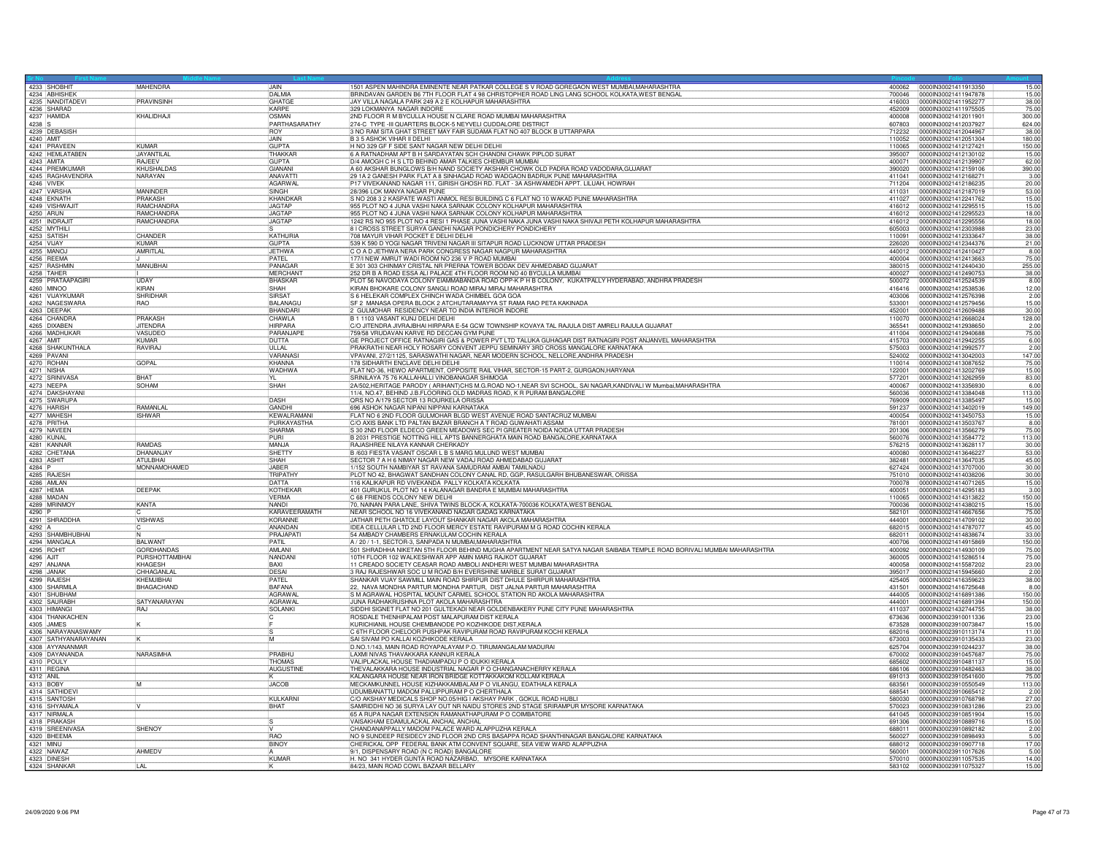|            | 4233 SHOBHIT                                    | <b>MAHENDRA</b>                            | <b>JAIN</b>                    | 1501 ASPEN MAHINDRA EMINENTE NEAR PATKAR COLLEGE S V ROAD GOREGAON WEST MUMBAI, MAHARASHTRA                                                                                              |                  | 400062 0000IN30021411913350                  | 15.00            |
|------------|-------------------------------------------------|--------------------------------------------|--------------------------------|------------------------------------------------------------------------------------------------------------------------------------------------------------------------------------------|------------------|----------------------------------------------|------------------|
|            | 4234 ABHISHEK                                   |                                            | DAI MIA                        | BRINDAVAN GARDEN B6 7TH FLOOR FLAT 4 98 CHRISTOPHER ROAD LING LANG SCHOOL KOLKATA WEST BENGAL                                                                                            | 700046           | 0000IN30021411947878                         | 15.00            |
|            | 4235 NANDITADEVI                                | PRAVINSINH                                 | GHATGE                         | JAY VILLA NAGALA PARK 249 A 2 E KOLHAPUR MAHARASHTRA                                                                                                                                     | 416003           | 0000IN30021411952277                         | 38.00            |
|            | 4236 SHARAD<br>4237 HAMIDA                      | KHALIDHAJI                                 | KARPF<br>OSMAN                 | 329 LOKMANYA NAGAR INDORE                                                                                                                                                                | 452009           | 0000IN30021411975505                         | 75.00            |
| 4238 S     |                                                 |                                            | PARTHASARATHY                  | 2ND FLOOR R M BYCULLA HOUSE N CLARE ROAD MUMBAI MAHARASHTRA<br>274-C TYPE - III QUARTERS BLOCK-5 NEYVELI CUDDALORE DISTRICT                                                              | 400008<br>607803 | 00000030021412011901<br>0000IN30021412037927 | 300.00<br>624.00 |
|            | 4239 DEBASISH                                   |                                            | IROY                           | 3 NO RAM SITA GHAT STREET MAY FAIR SUDAMA FLAT NO 407 BLOCK B UTTARPARA                                                                                                                  | 712232           | 0000IN30021412044967                         | 38.00            |
| 4240 AMIT  |                                                 |                                            | <b>JAIN</b>                    | <b>B 3 5 ASHOK VIHAR II DELHI</b>                                                                                                                                                        | 110052           | 0000IN30021412051304                         | 180.00           |
|            |                                                 | KUMAR                                      | <b>GUPTA</b>                   | H NO 329 GF F SIDE SANT NAGAR NEW DELHI DELHI                                                                                                                                            | 110065           | 0000IN30021412127421                         | 150.00           |
|            | 4241 PRAVEEN<br>4242 HEMLATABEN                 | <b>JAYANTILAL</b>                          | THAKKAR                        | 6 A RATNADHAM APT B H SARDAYATAN SCH CHANDNI CHAWK PIPLOD SURAT                                                                                                                          | 395007           | 0000IN30021412130102                         | 15.00            |
|            | 4243 AMITA                                      | RAJEEV                                     | <b>GUPTA</b>                   | D/4 AMOGH C H S LTD BEHIND AMAR TALKIES CHEMBUR MUMBAI                                                                                                                                   |                  | 400071 00000N30021412139907                  | 62.00            |
|            | 4244 PREMKUMAR                                  | KHUSHALDAS                                 | GIANANI                        | A 60 AKSHAR BUNGLOWS B/H NAND SOCIETY AKSHAR CHOWK OLD PADRA ROAD VADODARA GUJARAT                                                                                                       | 390020           | 10000IN30021412159106                        | 390.00           |
|            | 4245 RAGHAVENDRA                                | NARAYAN                                    | ANAVATT                        | 29 1A 2 GANESH PARK FLAT A 8 SINHAGAD ROAD WADGAON BADRUK PUNE MAHARASHTRA                                                                                                               | 411041           | 0000IN30021412168271                         | 3.00             |
|            | 4246 VIVEK                                      |                                            | AGARWAL                        | P17 VIVEKANAND NAGAR 111, GIRISH GHOSH RD. FLAT - 3A ASHWAMEDH APPT. LILUAH, HOWRAH                                                                                                      |                  | 711204 0000IN30021412186235                  | 20.00            |
|            | 4247 VARSHA                                     | MANINDER                                   | <b>SINGH</b>                   | 28/396 LOK MANYA NAGAR PUNE                                                                                                                                                              | 411031           | 00000N30021412187019                         | 53.00            |
|            | 4248 EKNATH                                     | <b>PRAKASH</b>                             | KHANDKAR                       | S NO 208 3 2 KASPATE WASTI ANMOL RESI BUILDING C 6 FLAT NO 10 WAKAD PUNE MAHARASHTRA                                                                                                     |                  | 411027 0000IN30021412241762                  | 15.00            |
|            | 4249 VISHWAJIT                                  | <b>RAMCHANDRA</b><br><b>RAMCHANDRA</b>     | <b>JAGTAP</b><br><b>JAGTAP</b> | 955 PLOT NO 4 JUNA VASHI NAKA SARNAIK COLONY KOLHAPUR MAHARASHTRA                                                                                                                        |                  | 416012  00000N30021412295515                 | 15.00            |
|            | 4250 ARUN<br>4251 INDRAJIT                      | RAMCHANDRA                                 | <b>JAGTAP</b>                  | 955 PLOT NO 4 JUNA VASHI NAKA SARNAIK COLONY KOLHAPUR MAHARASHTRA<br>1242 RS NO 955 PLOT NO 4 RESI 1 PHASE JUNA VASHI NAKA JUNA VASHI NAKA SHIVAJI PETH KOLHAPUR MAHARASHTRA             | 416012<br>416012 | 0000IN30021412295523<br>0000IN30021412295556 | 18.00<br>18.00   |
|            | 4252 MYTHILI                                    |                                            |                                | 8 I CROSS STREET SURYA GANDHI NAGAR PONDICHERY PONDICHERY                                                                                                                                | 605003           | 0000lN30021412303988                         | 23.00            |
|            | 4253 SATISH                                     | CHANDER                                    | KATHURIA                       | 708 MAYUR VIHAR POCKET E DELHI DELHI                                                                                                                                                     | 110091           | 0000IN30021412333647                         | 38.00            |
| 4254 VIJAY |                                                 | KUMAR                                      | <b>GUPTA</b>                   | 539 K 590 D YOGI NAGAR TRIVENI NAGAR III SITAPUR ROAD LUCKNOW UTTAR PRADESH                                                                                                              | 226020           | 0000IN30021412344376                         | 21.00            |
|            | 4255 MANO                                       | AMRITLAL                                   | <b>JETHWA</b>                  | C O A D JETHWA NERA PARK CONGRESS NAGAR NAGPUR MAHARASHTRA                                                                                                                               | 440012           | 0000IN30021412410427                         | 8.00             |
|            | 4256 REEMA                                      |                                            | PATEL                          | 177/I NEW AMRUT WADI ROOM NO 236 V P ROAD MUMBAI                                                                                                                                         | 400004           | 0000IN30021412413663                         | 75.00            |
|            | 4257 RASHMIN                                    | MANUBHAI                                   | PANAGAR                        | E 301 303 CHINMAY CRISTAL NR PRERNA TOWER BODAK DEV AHMEDABAD GUJARAT                                                                                                                    | 380015           | 0000IN30021412440430                         | 255.00           |
|            | 4258 TAHER<br>4259 PRATAAPAGIRI                 |                                            | MERCHANT                       | 252 DR B A ROAD ESSA ALI PALACE 4TH FLOOR ROOM NO 40 BYCULLA MUMBAI                                                                                                                      | 400027           | 00000N30021412490753                         | 38.00            |
|            |                                                 | <b>IIDAY</b>                               | <b>BHASKAR</b>                 | PLOT 56 NAVODAYA COLONY EIAMMABANDA ROAD OPP-K P H B COLONY, KUKATPALLY HYDERABAD, ANDHRA PRADESH                                                                                        | 500072           | 0000IN30021412524539                         | 8.00             |
|            | 4260 MINOO                                      | <b>KIRAN</b>                               | SHAH<br>SIRSA <sub>1</sub>     | KIRAN BHOKARE COLONY SANGLI ROAD MIRAJ MIRAJ MAHARASHTRA<br>S 6 HELEKAR COMPLEX CHINCH WADA CHIMBEL GOA GOA                                                                              | 416416           | 0000IN30021412538536                         | 12.00            |
|            | 4261 VIJAYKUMAR<br>4262 NAGESWARA               | SHRIDHAR<br><b>RAO</b>                     | BALANAGL                       | SF 2 MANASA OPERA BLOCK 2 ATCHUTARAMAYYA ST RAMA RAO PETA KAKINADA                                                                                                                       | 403006<br>533001 | 0000IN30021412576398<br>0000IN30021412579456 | 2.00<br>15.00    |
|            |                                                 |                                            | BHANDAR                        | 2 GULMOHAR RESIDENCY NEAR TO INDIA INTERIOR INDORE                                                                                                                                       | 452001           | 0000IN30021412609488                         | 30.00            |
|            | 4263 DEEPAK<br>4264 CHANDRA                     | PRAKASH                                    | <b>CHAWLA</b>                  | B 1 1103 VASANT KUNJ DELHI DELHI                                                                                                                                                         | 110070           | 0000lN30021412668024                         | 128.00           |
|            | 4265 DIXABEN                                    | <b>JITENDRA</b>                            | <b>HIRPARA</b>                 | C/O JITENDRA JIVRAJBHAI HIRPARA E-54 GCW TOWNSHIP KOVAYA TAL RAJULA DIST AMRELI RAJULA GUJARAT                                                                                           | 365541           | 0000IN30021412938650                         | 2.00             |
|            | 4266 MADHUKAR                                   | VASUDEO                                    | PARANJAP                       | 759/58 VRUDAVAN KARVE RD DECCAN GYM PUNE                                                                                                                                                 | 411004           | 0000IN30021412940688                         | 75.00            |
| 4267 AMIT  |                                                 | <b>KUMAR</b>                               | <b>DUTTA</b>                   | GE PROJECT OFFICE RATNAGIRI GAS & POWER PVT LTD TALUKA GUHAGAR DIST RATNAGIRI POST ANJANVEL MAHARASHTRA                                                                                  | 415703           | 0000IN30021412942255                         | 6.00             |
|            | 4268 SHAKUNTHALA                                | RAVIRAJ                                    | ULLAL                          | PRAKRATHI NEAR HOLY ROSARY CONVENT JEPPU SEMINARY 3RD CROSS MANGALORE KARNATAKA                                                                                                          | 575003           | 0000lN30021412992577                         | 2.00             |
|            | 4269 PAVANI                                     |                                            | VARANAS                        | VPAVANI, 27/2/1125, SARASWATHI NAGAR, NEAR MODERN SCHOOL, NELLORE, ANDHRA PRADESH                                                                                                        | 524002           | 0000IN30021413042003                         | 147,00           |
|            | 4270 ROHAN                                      | <b>GOPAL</b>                               | KHANNA                         | 178 SIDHARTH ENCLAVE DELHI DELHI                                                                                                                                                         | 110014           | 0000lN30021413087652                         | 75.00            |
|            | 4271 NISHA                                      |                                            | WADHWA                         | FLAT NO-36, HEWO APARTMENT, OPPOSITE RAIL VIHAR, SECTOR-15 PART-2, GURGAON, HARYANA                                                                                                      | 122001           | 0000IN30021413202769                         | 15.00            |
|            | 4272 SRINIVASA<br>4273 NEEPA<br>4274 DAKSHAYANI | BHAT                                       | IYL.<br>SHAH                   | SRINILAYA 75 76 KALLAHALLI VINOBANAGAR SHIMOGA                                                                                                                                           | 577201<br>400067 | 00000N30021413262959<br>0000IN30021413356930 | 83.00<br>6.00    |
|            |                                                 | SOHAM                                      |                                | 2A/502, HERITAGE PARODY (ARIHANT)CHS M.G.ROAD NO-1, NEAR SVI SCHOOL, SAI NAGAR, KANDIVALI W Mumbai, MAHARASHTRA<br>11/4, NO.47, BEHIND J.B.FLOORING OLD MADRAS ROAD, K R PURAM BANGALORE | 560036           | 0000IN30021413384048                         | 113.00           |
|            | 4275 SWARUPA                                    |                                            | DASH                           | QRS NO A/179 SECTOR 13 ROURKELA ORISSA                                                                                                                                                   | 769009           | 0000IN30021413385497                         | 15.00            |
|            | 4276 HARISH                                     | RAMANLA                                    | <b>GANDHI</b>                  | 696 ASHOK NAGAR NIPANI NIPPANI KARNATAKA                                                                                                                                                 | 591237           | 0000IN30021413402019                         | 149.00           |
|            | 4277 MAHESH                                     | <b>ISHWAR</b>                              | KEWALRAMANI                    | FLAT NO 6 2ND FLOOR GULMOHAR BLGD WEST AVENUE ROAD SANTACRUZ MUMBAI                                                                                                                      |                  | 400054 0000IN30021413450753                  | 15.00            |
|            | 4278 PRITHA<br>4279 NAVEEN                      |                                            | PURKAYASTHA                    | C/O AXIS BANK LTD PALTAN BAZAR BRANCH A T ROAD GUWAHATI ASSAM                                                                                                                            |                  | 781001 0000IN30021413503767                  | 8.00             |
|            |                                                 |                                            | SHARMA                         | S 30 2ND FLOOR ELDECO GREEN MEADOWS SEC PI GREATER NOIDA NOIDA UTTAR PRADESH                                                                                                             | 201306           | 0000lN30021413566279                         | 75.00            |
|            | 4280 KUNAL                                      |                                            | PURI                           | B 2031 PRESTIGE NOTTING HILL APTS BANNERGHATA MAIN ROAD BANGALORE, KARNATAKA                                                                                                             | 560076           | 00000N30021413584772                         | 113.00           |
|            | 4281 KANNAR                                     | RAMDAS                                     | MAN.IA                         | BAJASHREE NILAYA KANNAR CHERKADY                                                                                                                                                         | 576215           | 00000N30021413628117                         | 30.00            |
|            | 4282 CHETANA                                    | DHANAN.IAY                                 | <b>ISHETTY</b>                 | B /603 FIESTA VASANT OSCAR L B S MARG MULUND WEST MUMBAI                                                                                                                                 | 400080           | 100001N30021413646227                        | 53.00            |
| 4283 ASHIT |                                                 | <b>ATULBHAI</b>                            | SHAH                           | SECTOR 7 A H 6 NIMAY NAGAR NEW VADAJ ROAD AHMEDABAD GUJARAT                                                                                                                              | 382481           | 00000N30021413647035                         | 45.00            |
| 4284 P     | 4285 RAJESH                                     | <b>MONNAMOHAMED</b>                        | JABER<br>TRIPATHY              | 1/152 SOUTH NAMBIYAR ST RAVANA SAMUDRAM AMBAI TAMILNADU<br>PLOT NO 42, BHAGWAT SANDHAN COLONY CANAL RD, GGP, RASULGARH BHUBANESWAR, ORISSA                                               | 627424<br>751010 | 00000030021413707000<br>0000IN30021414038206 | 30.00<br>30.00   |
|            | 4286 AMLAN                                      |                                            | DATTA                          | 116 KALIKAPUR RD VIVEKANDA PALLY KOLKATA KOLKATA                                                                                                                                         | 700078           | 0000IN30021414071265                         | 15.00            |
| 4287 HEMA  |                                                 | <b>DEEPAK</b>                              | KOTHEKAR                       | 401 GURUKUL PLOT NO 14 KALANAGAR BANDRA E MUMBAI MAHARASHTRA                                                                                                                             | 400051           | 0000IN30021414295183                         | 3.00             |
|            | 4288 MADAN                                      |                                            | <b>VERMA</b>                   | C 68 FRIENDS COLONY NEW DELHI                                                                                                                                                            | 110065           | 0000lN30021414313822                         | 150.00           |
|            | 4289 MRINMOY                                    | <b>KANTA</b>                               | NANDI                          | 70, NAINAN PARA LANE, SHIVA TWINS BLOCK-A, KOLKATA-700036 KOLKATA, WEST BENGAL                                                                                                           | 700036           | 00000N30021414380215                         | 15.00            |
| 4290 P     |                                                 |                                            | KARAVEERAMATH                  | NEAR SCHOOL NO 16 VIVEKANAND NAGAR GADAG KARNATAKA                                                                                                                                       | 582101           | 0000IN30021414667656                         | 75.00            |
|            | 4291 SHRADDHA<br>4292 A                         | <b>VISHWAS</b>                             | KORANNE                        | JATHAR PETH GHATOLE LAYOUT SHANKAR NAGAR AKOLA MAHARASHTRA                                                                                                                               | 444001           | 0000IN30021414709102                         | 30.00            |
|            |                                                 |                                            | ANANDAN                        | IDEA CELLULAR LTD 2ND FLOOR MERCY ESTATE RAVIPURAM M G ROAD COCHIN KERALA                                                                                                                | 682015           | 00000030021414787077                         | 45.00            |
|            | 4293 SHAMBHUBHAI                                |                                            | PRAJAPATI                      | 54 AMBADY CHAMBERS ERNAKULAM COCHIN KERALA                                                                                                                                               | 682011           | 0000lN30021414838674                         | 33.00            |
|            |                                                 | <b>BAI WANT</b>                            | PATIL                          | A / 20 / 1-1, SECTOR-3, SANPADA N MUMBAI, MAHARASHTRA                                                                                                                                    | 400706           | 0000lN30021414915869                         | 150.00           |
|            | 4295 ROHIT                                      | <b>GORDHANDAS</b><br><b>PURSHOTTAMBHAI</b> | AMI ANI                        | 501 SHRADHHA NIKETAN 5TH FLOOR BEHIND MUGHA APARTMENT NEAR SATYA NAGAR SAIBABA TEMPLE ROAD BORIVALI MUMBAI MAHARASHTRA<br>10TH FLOOR 102 WALKESHWAR APP AMIN MARG RAJKOT GUJARAT         | 400092           | 00000N30021414930109                         | 75.00            |
|            | 4296 AJIT<br>4297 ANJANA                        | KHAGFSH                                    | NANDAN<br><b>BAXI</b>          | 11 CREADO SOCIETY CEASAR ROAD AMBOLI ANDHERI WEST MUMBAI MAHARASHTRA                                                                                                                     | 360005<br>400058 | 0000IN30021415286514<br>0000lN30021415587202 | 75.00<br>23.00   |
|            | 4298 JANAK                                      | CHHAGANLAL                                 | DESAI                          | 3 RAJ RAJESHWAR SOC U M ROAD B/H EVERSHINE MARBLE SURAT GUJARAT                                                                                                                          | 395017           | 0000IN30021415945660                         | 2.00             |
|            | 4299 RAJESH                                     | KHEMJIBHAI                                 | PATEL                          | SHANKAR VIJAY SAWMILL MAIN ROAD SHIRPUR DIST DHULE SHIRPUR MAHARASHTRA                                                                                                                   | 425405           | 00000030021416359623                         | 38.00            |
|            | 4300 SHARMILA                                   | BHAGACHAND                                 | <b>BAFANA</b>                  | 22, NAVA MONDHA PARTUR MONDHA PARTUR, DIST JALNA PARTUR MAHARASHTRA                                                                                                                      |                  | 431501 0000IN30021416725648                  | 8.00             |
|            | 4301 SHUBHAM<br>4302 SAURABH                    |                                            | AGRAWA                         | S M AGRAWAL HOSPITAL MOUNT CARMEL SCHOOL STATION RD AKOLA MAHARASHTRA                                                                                                                    | 444005           | 0000IN30021416891386                         | 150.00           |
|            |                                                 | <b>SATYANARAYAN</b>                        | AGRAWAL                        | JUNA RADHAKRUSHNA PLOT AKOLA MAHARASHTRA                                                                                                                                                 | 444001           | 0000lN30021416891394                         | 150,00           |
|            | 4303 HIMANGI                                    | RAJ                                        | <b>SOLANKI</b>                 | SIDDHI SIGNET FLAT NO 201 GULTEKADI NEAR GOLDENBAKERY PUNE CITY PUNE MAHARASHTRA                                                                                                         | 411037           | 0000IN30021432744755                         | 38.00            |
|            | 4304 THANKACHEN                                 |                                            |                                | ROSDALE THENHIPALAM POST MALAPURAM DIST KERALA                                                                                                                                           | 673636           | 0000IN30023910011336                         | 23.00            |
|            | 4305 JAMES                                      |                                            |                                | KURICHIANIL HOUSE CHEMBANODE PO KOZHIKODE DIST, KERALA                                                                                                                                   | 673528           | 0000IN30023910073847                         | 15.00            |
|            | 4306 NARAYANASWAMY<br>4307 SATHYANARAYANAN      |                                            | ĪМ                             | C 6TH FLOOR CHELOOR PUSHPAK RAVIPURAM ROAD RAVIPURAM KOCHI KERALA<br>SAI SIVAM PO KALLAI KOZHIKODE KERALA                                                                                | 682016<br>673003 | 0000IN30023910113174<br>00000N30023910135433 | 11.00<br>23.00   |
|            | 4308 AYYANANMAR                                 |                                            |                                | D.NO.1/143, MAIN ROAD ROYAPALAYAM P.O. TIRUMANGALAM MADURAI                                                                                                                              | 625704           | 0000IN30023910244237                         | 38.00            |
|            | 4309 DAYANANDA                                  | <b>NARASIMHA</b>                           | PRABHU                         | LAXMI NIVAS THAVAKKARA KANNUR KERALA                                                                                                                                                     | 670002           | 00000N30023910457687                         | 75.00            |
|            | 4310 POULY                                      |                                            | <b>THOMAS</b>                  | VALIPLACKAL HOUSE THADIAMPADU P O IDUKKI KERALA                                                                                                                                          | 685602           | 0000IN30023910481137                         | 15.00            |
|            | 4311 REGINA                                     |                                            | AUGUSTINE                      | THEVALAKKARA HOUSE INDUSTRIAL NAGAR P O CHANGANACHERRY KERALA                                                                                                                            | 686106           | 0000IN30023910482463                         | 38.00            |
| 4312 ANIL  |                                                 |                                            |                                | KALANGARA HOUSE NEAR IRON BRIDGE KOTTAKKAKOM KOLLAM KERALA                                                                                                                               | 691013           | 00000N30023910541600                         | 75.00            |
| 4313 BOBY  |                                                 | M                                          | <b>JACOB</b>                   | MECKAMKUNNEL HOUSE KIZHAKKAMBALAM P O VILANGU, EDATHALA KERALA                                                                                                                           | 683561           | 0000IN30023910550549                         | 113.00           |
|            | 4314 SATHIDEV                                   |                                            |                                | UDUMBANATTU MADOM PALLIPPURAM P O CHERTHALA                                                                                                                                              | 688541           | 00000830023910665412                         | 2.00             |
|            | 4315 SANTOSH                                    |                                            | KULKARNI                       | C/O AKSHAY MEDICALS SHOP NO.05/HIG I AKSHAY PARK, GOKUL ROAD HUBLI                                                                                                                       | 580030           | 0000IN30023910768798                         | 27.00            |
|            | 4316 SHYAMALA                                   |                                            | BHAT                           | SAMRIDDHI NO 36 SURYA LAY OUT NR NAIDU STORES 2ND STAGE SRIRAMPUR MYSORE KARNATAKA                                                                                                       | 570023           | 0000IN30023910831286                         | 23.00            |
|            | 4317 NIRMALA                                    |                                            |                                | 65 A RUPA NAGAR EXTENSION RAMANATHAPURAM P O COIMBATORE                                                                                                                                  | 641045           | 00000N30023910851904                         | 15.00            |
|            | 4318 PRAKASH<br>4319 SREENIVASA                 | SHENOY                                     |                                | VAISAKHAM EDAMULACKAL ANCHAL ANCHAL<br>CHANDANAPPALLY MADOM PALACE WARD ALAPPUZHA KERALA                                                                                                 | 691306<br>688011 | 0000IN30023910889716<br>0000IN30023910892182 | 15.00<br>2.00    |
|            | 4320 BHEEMA                                     |                                            | <b>RAO</b>                     | NO 9 SUNDEEP RESIDECY 2ND FLOOR 2ND CRS BASAPPA ROAD SHANTHINAGAR BANGALORE KARNATAKA                                                                                                    |                  | 560027 0000IN30023910898493                  | 5.00             |
| 4321 MINU  |                                                 |                                            | <b>BINO</b>                    | CHERICKAL OPP FEDERAL BANK ATM CONVENT SQUARE, SEA VIEW WARD ALAPPUZHA                                                                                                                   | 688012           | 0000IN30023910907718                         | 17.00            |
|            | 4322 NAWAZ                                      | AHMEDV                                     |                                | 9/1, DISPENSARY ROAD (N C ROAD) BANGALORE                                                                                                                                                | 560001           | 00000N30023911017626                         | 5.00             |
|            | 4323 DINESH                                     |                                            | KUMAR                          | H. NO 341 HYDER GUNTA ROAD NAZARBAD, MYSORE KARNATAKA                                                                                                                                    | 570010           | 0000IN30023911057535                         | 14.00            |
|            | 4324 SHANKAR                                    | <b>LAL</b>                                 |                                | 84/23, MAIN ROAD COWL BAZAAR BELLARY                                                                                                                                                     |                  | 583102 00000N30023911075327                  | 15.00            |
|            |                                                 |                                            |                                |                                                                                                                                                                                          |                  |                                              |                  |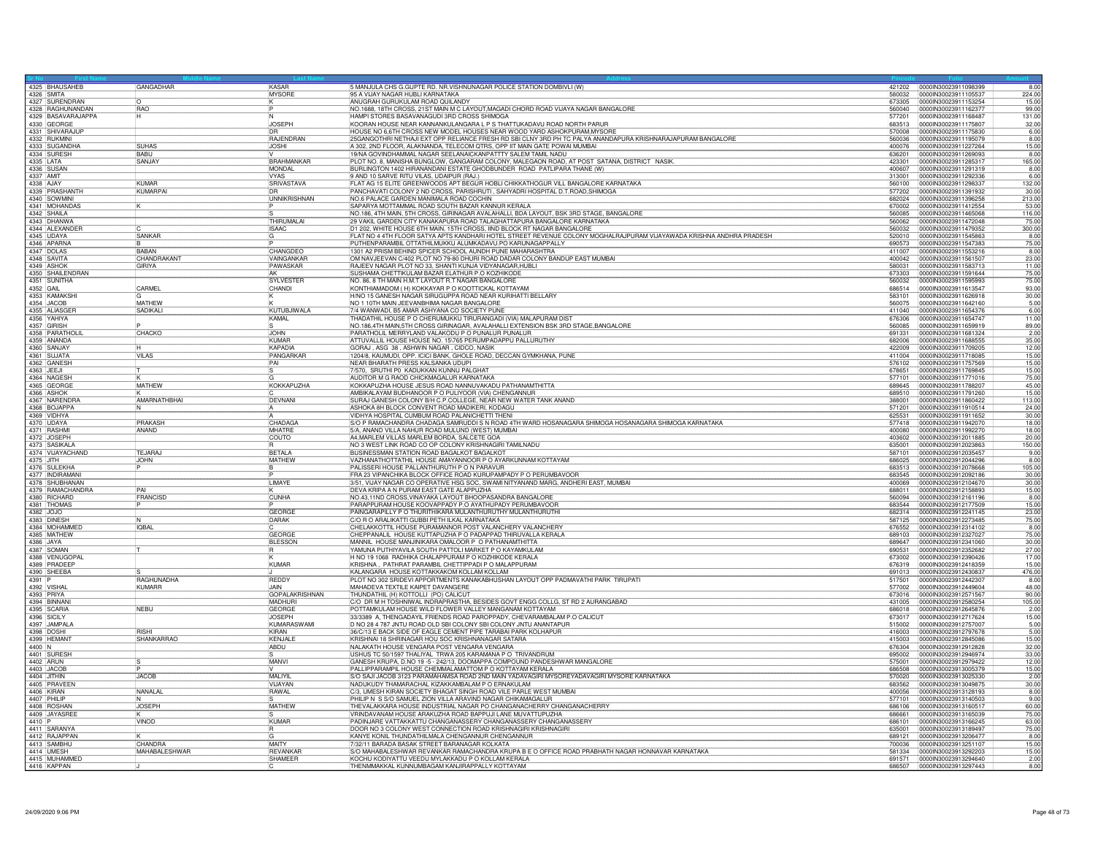|                         | 4325 BHAUSAHEB                         | GANGADHAR             | KASAR                      |                                                                                                                                                                                            |                  | 421202 0000IN30023911098399                         | 8.00            |
|-------------------------|----------------------------------------|-----------------------|----------------------------|--------------------------------------------------------------------------------------------------------------------------------------------------------------------------------------------|------------------|-----------------------------------------------------|-----------------|
|                         | 4326 SMITA                             |                       | <b>MYSORE</b>              | 5 MANJULA CHS G.GUPTE RD. NR.VISHNUNAGAR POLICE STATION DOMBIVLI (W)<br>95 A VIJAY NAGAR HUBLI KARNATAKA                                                                                   | 580032           | 0000IN30023911105537                                | 224.00          |
|                         | 4327 SURENDRAN                         |                       |                            | ANUGRAH GURUKULAM ROAD OUILANDY                                                                                                                                                            | 673305           | 0000IN30023911153254                                | 15.00           |
|                         | 4328 RAGHUNANDAN<br>4329 BASAVARAJAPPA | RAO<br>ΤÑ             |                            | NO.1688, 18TH CROSS, 21ST MAIN M C LAYOUT, MAGADI CHORD ROAD VIJAYA NAGAR BANGALORE<br> HAMPI STORES BASAVANAGUDI 3RD CROSS SHIMOGA                                                        | 560040           | 0000IN30023911162377                                | 99.00           |
|                         | 4330 GEORGE                            | π                     | <b>JOSEPH</b>              | KOORAN HOUSE NEAR KANNANKULANGARA L P S THATTUKADAVU ROAD NORTH PARUR                                                                                                                      | 577201<br>683513 | 00000130023911168487<br>0000IN30023911175807        | 131.00<br>32.00 |
|                         | 4331 SHIVARAJUR                        |                       |                            | HOUSE NO 6,6TH CROSS NEW MODEL HOUSES NEAR WOOD YARD ASHOKPURAM, MYSORI                                                                                                                    | 570008           | 0000IN30023911175830                                | 6.00            |
|                         | 4332 RUKMINI                           |                       | <b>RAJENDRAN</b>           | 25GANGOTHRI NETHAJI EXT OPP RELIANCE FRESH RD SBI CLNY 3RD PH TC PALYA ANANDAPURA KRISHNARAJAPURAM BANGALORE<br> A 302, 2ND FLOOR, ALAKNANDA, TELECOM QTRS, OPP IIT MAIN GATE POWAI MUMBAI | 560036           | 0000IN30023911195079                                | 8.00            |
|                         | 4333 SUGANDHA<br>4334 SURESH           | SUHAS<br>BABU         | JOSHI                      |                                                                                                                                                                                            | 400076           | 0000IN30023911227264                                | 15.00<br>8.00   |
| 4335 LATA               |                                        | SANJAY                | <b>BRAHMANKAR</b>          | 19/NA GOVINDHAMMAL NAGAR SEELANAICKANPATTTY SALEM TAMIL NADU<br>PLOT NO. 8, MANISHA BUNGLOW, GANGARAM COLONY, MALEGAON ROAD, AT POST SATANA, DISTRICT NASIK                                | 636201<br>423301 | 0000IN30023911269093<br>0000IN30023911285317        | 165.00          |
|                         | 4336 SUSAN                             |                       | MONDAL                     | BURLINGTON 1402 HIRANANDANI ESTATE GHODBUNDER ROAD PATLIPARA THANE (W)                                                                                                                     | 400607           | 0000IN30023911291319                                | 8.00            |
| 4337 AMIT<br>4338 AJAY  |                                        |                       | <b>VYAS</b>                | 9 AND 10 SARVE RITU VILAS, UDAIPUR (RAJ.)                                                                                                                                                  | 313001           | 00000N30023911292336                                | 6.00            |
|                         | 4339 PRASHANTH                         | KUMAR<br>KUMARPAI     | SRIVASTAVA<br>īпв          | FLAT AG 15 ELITE GREENWOODS APT BEGUR HOBLI CHIKKATHOGUR VILL BANGALORE KARNATAKA<br>PANCHAVATI COLONY 2 ND CROSS, PARISHRUTI, SAHYADRI HOSPITAL D.T.ROAD, SHIMOGA                         | 560100<br>577202 | 0000IN30023911298337<br>0000IN30023911391932        | 132.00<br>30.00 |
|                         | 4340 SOWMINI                           |                       | <b>UNNIKRISHNAN</b>        | NO.6 PALACE GARDEN MANIMALA ROAD COCHIN                                                                                                                                                    |                  | 682024 0000IN30023911396258                         | 213.00          |
|                         | 4341 MOHANDAS                          |                       |                            | SAPARYA MOTTAMMAL ROAD SOUTH BAZAR KANNUR KERALA                                                                                                                                           | 670002           | 00000N30023911412554                                | 53.00           |
|                         | 4342 SHAILA                            |                       |                            | NO.186, 4TH MAIN, 5TH CROSS, GIRINAGAR AVALAHALLI, BDA LAYOUT, BSK 3RD STAGE, BANGALORE                                                                                                    | 560085           | 0000IN30023911465068                                | 116.00          |
|                         | 4343 DHANWA<br>4344 ALEXANDER          |                       | THIRUMALAI<br><b>ISAAC</b> | 29 VAKIL GARDEN CITY KANAKAPURA ROAD TALAGHATTAPURA BANGALORE KARNATAKA<br>D1 202, WHITE HOUSE 6TH MAIN, 15TH CROSS, IIND BLOCK RT NAGAR BANGALORE                                         | 560062<br>560032 | 0000IN30023911472048<br>00000N30023911479352        | 75.00<br>300.00 |
|                         | 4345 UDAYA                             | <b>SANKAR</b>         |                            | FLAT NO 4 4TH FLOOR SATYA APTS KANDHARI HOTEL STREET REVENUE COLONY MOGHALRAJPURAM VIJAYAWADA KRISHNA ANDHRA PRADESH                                                                       | 520010           | 0000IN30023911545863                                | 8.00            |
|                         | 4346 APARNA                            |                       |                            | PUTHENPARAMBIL OTTATHILMUKKU ALUMKADAVU.PO KARUNAGAPPALLY                                                                                                                                  | 690573           | 00000N30023911547383                                | 75.00           |
|                         | 4347 DOLAS                             | <b>BARAN</b>          | CHANGDEO                   | 1301 A2 PRISM BEHIND SPICER SCHOOL AUNDH PUNE MAHARASHTRA                                                                                                                                  | 411007           | 0000IN30023911553216                                | 8.00            |
|                         | 4348 SAVITA<br>4349 ASHOK              | CHANDRAKANT<br>GIRIYA | VAINGANKAR<br>PAWASKAR     | OM NAVJEEVAN C/402 PLOT NO 79-80 DHURI ROAD DADAR COLONY BANDUP EAST MUMBAI<br>RAJEEV NAGAR PLOT NO 33, SHANTI KUNJA VIDYANAGAR, HUBLI                                                     | 400042<br>580031 | 0000IN30023911561507<br>0000IN30023911583713        | 23.00<br>11.00  |
|                         | 4350 SHAILENDRAN                       |                       |                            | SUSHAMA CHETTIKULAM BAZAR ELATHUR P.O KOZHIKODE                                                                                                                                            | 673303           | 0000IN30023911591644                                | 75.00           |
|                         | 4351 SUNITHA                           |                       | SYLVESTER                  | NO. 86, 8 TH MAIN H.M.T LAYOUT R.T NAGAR BANGALORE                                                                                                                                         | 560032           | 0000IN30023911595993                                | 75.00           |
| 4352 GAIL               |                                        | CARMEL                | CHANDI                     | KONTHIAMADOM (H) KOKKAYAR P O KOOTTICKAL KOTTAYAM                                                                                                                                          | 686514           | 0000IN30023911613547                                | 93.00           |
|                         | 4353 KAMAKSHI<br>4354 JACOB            | <b>MATHEW</b>         |                            | H/NO 15 GANESH NAGAR SIRUGUPPA ROAD NEAR KURIHATTI BELLARY<br>NO 1 10TH MAIN JEEVANBHIMA NAGAR BANGALORE                                                                                   | 583101<br>560075 | 0000IN30023911626918<br>00000030023911642160        | 30.00<br>5.00   |
|                         | 4355 ALIASGER                          | SADIKALI              | KUTUBJIWALA                | 7/4 WANWADI, B5 AMAR ASHYANA CO SOCIETY PUNE                                                                                                                                               | 411040           | 0000IN30023911654376                                | 6.00            |
|                         | 4356 YAHIYA                            |                       | KAMAL                      | THADATHIL HOUSE P O CHERUMUKKU TIRURANGADI (VIA) MALAPURAM DIST                                                                                                                            | 676306           | 0000IN30023911654747                                | 11.00           |
| 4357 GIRISH             |                                        |                       |                            | NO.186,4TH MAIN,5TH CROSS GIRINAGAR, AVALAHALLI EXTENSION BSK 3RD STAGE,BANGALORE                                                                                                          | 560085           | 0000IN30023911659919                                | 89.00           |
|                         | 4358 PARATHOLI<br>4359 ANANDA          | CHACKO                | <b>JOHN</b><br>KUMAF       | PARATHOLIL MERRYLAND VALAKODU P O PUNALUR PUNALUR<br>ATTUVALLIL HOUSE HOUSE NO. 15/765 PERUMPADAPPU PALLURUTHY                                                                             | 691331<br>682006 | 0000lN30023911681324<br>0000IN30023911688555        | 2.00<br>35.00   |
|                         |                                        |                       | KAPADIA                    | GORAJ, ASG 38, ASHWIN NAGAR, CIDCO, NASIK                                                                                                                                                  | 422009           | 0000IN30023911709205                                | 12.00           |
|                         | 4360 SANJAY<br>4361 SUJATA             | <b>VILAS</b>          | PANGARKAR                  | 1204/8, KAUMUDI, OPP. ICICI BANK, GHOLE ROAD, DECCAN GYMKHANA, PUNE                                                                                                                        | 411004           | 0000IN30023911718085                                | 15.00           |
|                         | 4362 GANESH                            |                       | PAI                        | NEAR BHARATH PRESS KALSANKA UDUPI                                                                                                                                                          | 576102           | 0000IN30023911757569                                | 15.00           |
| 4363 JEEJI              | 4364 NAGESH                            |                       |                            | 7/570, SRUTHI P0 KADUKKAN KUNNU PALGHAT<br>AUDITOR M G RAOD CHICKMAGALUR KARNATAKA                                                                                                         | 678651<br>577101 | 0000IN30023911769845<br>00000030023911771016        | 15.00<br>75.00  |
|                         |                                        | MATHEW                | KOKKAPUZHA                 | KOKKAPUZHA HOUSE JESUS ROAD NANNUVAKADU PATHANAMTHITTA                                                                                                                                     | 689645           | 0000IN30023911788207                                | 45.00           |
|                         | 4365 GEORGE                            |                       |                            | AMBIKALAYAM BUDHANOOR P O PULIYOOR (VIA) CHENGANNUR                                                                                                                                        | 689510           | 0000IN30023911791260                                | 15.00           |
|                         | 4367 NARENDRA                          | AMARNATHBHAI          | <b>DEVNANI</b>             | SURAJ GANESH COLONY B/H C.P.COLLEGE, NEAR NEW WATER TANK ANAND                                                                                                                             | 388001           | 0000IN30023911860422                                | 113.00          |
|                         | 4368 BOJAPPA<br>4369 VIDHYA            |                       |                            | ASHOKA 8H BLOCK CONVENT ROAD MADIKERI, KODAGU<br>VIDHYA HOSPITAL CUMBUM ROAD PALANICHETTI THENI                                                                                            | 571201<br>625531 | 00000N30023911910514<br>0000IN30023911911652        | 24.00<br>30.00  |
|                         |                                        | PRAKASH               | CHADAGA                    | S/O P RAMACHANDRA CHADAGA SAMRUDDI S N ROAD 4TH WARD HOSANAGARA SHIMOGA HOSANAGARA SHIMOGA KARNATAKA                                                                                       | 577418           | 0000IN30023911942070                                | 18.00           |
|                         | 4370 UDAYA<br>4371 RASHMI              | ANAND                 | <b>MHATRE</b>              | 5/A, ANAND VILLA NAHUR ROAD MULUND (WEST) MUMBAI                                                                                                                                           | 400080           | 00000030023911992270                                | 18.00           |
|                         | 4372 JOSEPH                            |                       | COUTO                      | A4, MARLEM VILLAS MARLEM BORDA, SALCETE GOA                                                                                                                                                | 403602           | 0000IN30023912011885                                | 20.00           |
|                         | 4373 SASIKALA<br>4374 VIJAYACHAND      | TF.JARAJ              | <b>BFTALA</b>              | NO 3 WEST LINK ROAD CO OP COLONY KRISHNAGIRI TAMILNADU<br>BUSINESSMAN STATION ROAD BAGALKOT BAGALKOT                                                                                       | 635001<br>587101 | 0000030023912023863<br>0000IN30023912035457         | 150.00<br>9.00  |
|                         |                                        | <b>JOHN</b>           | <b>MATHEW</b>              | VAZHANATHOTTATHIL HOUSE AMAYANNOOR P O AYARKUNNAM KOTTAYAM                                                                                                                                 | 686025           | 0000IN30023912044296                                | 8.00            |
|                         | 4375 JITH<br>4376 SULEKHA              |                       |                            | PALISSERI HOUSE PALLANTHURUTH P O N PARAVUR                                                                                                                                                |                  | 683513 00000N30023912078668                         | 105.00          |
|                         | 4377 INDIRAMANI                        |                       |                            | FRA 23 VIPANCHIKA BLOCK OFFICE ROAD KURUPAMPADY P O PERUMBAVOOR                                                                                                                            | 683545           | 0000IN30023912092186                                | 30.00           |
|                         | 4378 SHUBHANAN<br>4379 RAMACHANDRA     | PAI                   | LIMAYE                     | 3/51, VIJAY NAGAR CO OPERATIVE HSG SOC, SWAMI NITYANAND MARG, ANDHERI EAST, MUMBAI<br>DEVA KRIPA A N PURAM EAST GATE ALAPPUZHA                                                             | 400069           | 00000N30023912104670                                | 30.00<br>15.00  |
|                         | 4380 RICHARD                           | FRANCISD              | <b>CUNHA</b>               | NO.43,11ND CROSS, VINAYAKA LAYOUT BHOOPASANDRA BANGALORE                                                                                                                                   | 560094           | 688011 0000IN30023912158893<br>00000N30023912161196 | 8.00            |
|                         | 4381 THOMAS                            |                       |                            | PARAPPURAM HOUSE KOOVAPPADY P.O AYATHUPADY PERUMBAVOOR                                                                                                                                     |                  | 683544 00000N30023912177509                         | 15.00           |
| 4382 JOJO               |                                        |                       | GFORGE                     | PAINGARAPILLY P O THURITHIKARA MULANTHURUTHY MULANTHURUTHI                                                                                                                                 |                  | 682314 0000IN30023912241145                         | 23.00           |
|                         | 4383 DINESH<br>4384 MOHAMMED           | <b>IOBAL</b>          | DARAK                      | C/O R O ARALIKATTI GUBBI PETH ILKAL KARNATAKA<br>CHELAKKOTTIL HOUSE PURAMANNOR POST VALANCHERY VALANCHERY                                                                                  | 587125<br>676552 | 0000IN30023912273485<br>00000030023912314102        | 75.00<br>8.00   |
|                         | 4385 MATHEW                            |                       | GEORGE                     | CHEPPANALIL HOUSE KUTTAPUZHA P O PADAPPAD THIRUVALLA KERALA                                                                                                                                | 689103           | 0000IN30023912327027                                | 75.00           |
| 4386 JAYA               |                                        |                       | <b>BLESSON</b>             | MANNIL HOUSE MANJINIKARA OMALOOR P O PATHANAMTHITTA                                                                                                                                        | 689647           | 00000N30023912341060                                | 30.00           |
|                         | 4387 SOMAN                             |                       |                            | YAMUNA PUTHIYAVILA SOUTH PATTOLI MARKET P O KAYAMKULAM                                                                                                                                     | 690531           | 0000IN30023912352682                                | 27.00           |
|                         | 4388 VENUGOPAL<br>4389 PRADEEP         |                       | KUMAR                      | H NO 19 1068 RADHIKA CHALAPPURAM P O KOZHIKODE KERALA<br>KRISHNA, PATHRAT PARAMBIL CHETTIPPADI PO MALAPPURAM                                                                               | 673002<br>676319 | 0000IN30023912390426<br>0000IN30023912418359        | 17.00<br>15.00  |
|                         | 4390 SHEEBA                            |                       |                            | KALANGARA HOUSE KOTTAKKAKOM KOLLAM KOLLAM                                                                                                                                                  | 691013           | 0000IN30023912430837                                | 476.00          |
| 4391 P                  |                                        | RAGHUNADHA            | REDDY                      | PLOT NO 302 SRIDEVI APPORTMENTS KANAKABHUSHAN LAYOUT OPP PADMAVATHI PARK TIRUPATI                                                                                                          | 517501           | 00000N30023912442307                                | 8.00            |
| 4393 PRIYA              | 4392 VISHAL                            | KUMARR                | JAIN<br>GOPALAKRISHNAN     | MAHADEVA TEXTILE KAIPET DAVANGERE<br>THUNDATHIL (H) KOTTOLLI (PO) CALICUT                                                                                                                  | 577002<br>673016 | 0000IN30023912449604<br>0000IN30023912571567        | 48.00<br>90.00  |
|                         | 4394 BINNANI                           |                       | MADHURI                    | C/O DR M H TOSHNIWAL INDRAPRASTHA, BESIDES GOVT ENGG COLLG, ST RD 2 AURANGABAD                                                                                                             | 431005           | 0000030023912580254                                 | 105.00          |
|                         | 4395 SCARIA                            | <b>NEBU</b>           | <b>GEORGE</b>              | POTTAMKULAM HOUSE WILD FLOWER VALLEY MANGANAM KOTTAYAM                                                                                                                                     | 686018           | 0000IN30023912645876                                | 2.00            |
| 4396 SICILY             |                                        |                       | <b>JOSEPH</b>              | 33/3389 A, THENGADAYIL FRIENDS ROAD PAROPPADY, CHEVARAMBALAM P.O CALICUT                                                                                                                   | 673017           | 00000N30023912717624                                | 15.00           |
| 4398 DOSH               | 4397 JAMPALA                           | RISHI                 | KUMARASWAMI<br>KIRAN       | D NO 28 4 787 JNTU ROAD OLD SBI COLONY SBI COLONY JNTU ANANTAPUR<br>36/C/13 E BACK SIDE OF EAGLE CEMENT PIPE TARABAI PARK KOLHAPUR                                                         | 515002<br>416003 | 0000IN30023912757007<br>0000IN30023912797678        | 5.00<br>5.00    |
|                         | 4399 HEMAN                             | SHANKARRAO            | KENJALE                    | KRISHNAI 18 SHRINAGAR HOU SOC KRISHNANAGAR SATARA                                                                                                                                          |                  | 415003  00000IN30023912845086                       | 15.00           |
| 4400 N                  |                                        |                       | ABDU                       | NALAKATH HOUSE VENGARA POST VENGARA VENGARA<br>JUSHUS TC 50/1597 THALIYAL TRWA 205 KARAMANA PO TRIVANDRUM                                                                                  | 676304           | 0000IN30023912912828                                | 32.00           |
|                         | 4401 SURESH                            |                       |                            |                                                                                                                                                                                            | 695002           | 00000N30023912946974                                | 33.00           |
| 4402 ARUN<br>4403 JACOE |                                        |                       | MANVI                      | GANESH KRUPA, D.NO 19 -5 - 242/13, DOOMAPPA COMPOUND PANDESHWAR MANGALORE<br>PALLIPPARAMPIL HOUSE CHEMMALAMATTOM P O KOTTAYAM KERALA                                                       | 575001<br>686508 | 0000IN30023912979422<br>0000IN30023913005379        | 12.00<br>15.00  |
|                         | 4404 JITHIN                            | <b>JACOB</b>          | MALIYIL                    | S/O SAJI JACOB 3123 PARAMAHAMSA ROAD 2ND MAIN YADAVAGIRI MYSOREYADAVAGIRI MYSORE KARNATAKA                                                                                                 | 570020           | 0000IN30023913025330                                | 2.00            |
|                         | 4405 PRAVEEN                           |                       | VIJAYAN                    | NADUKUDY THAMARACHAL KIZAKKAMBALAM P O ERNAKULAM                                                                                                                                           | 683562           | 0000IN30023913049875                                | 30.00           |
|                         | 4406 KIRAN<br>4407 PHILIP              | NANALAL               | RAWAL                      | C/3, UMESH KIRAN SOCIETY BHAGAT SINGH ROAD VILE PARLE WEST MUMBAI                                                                                                                          | 400056<br>577101 | 0000IN30023913128193<br>0000IN30023913140503        | 8.00<br>9.00    |
|                         | 4408 ROSHAN                            | <b>JOSEPH</b>         | <b>MATHEW</b>              | PHILIP N S S/O SAMUEL ZION VILLA ARAVIND NAGAR CHIKAMAGALUR<br>THEVALAKKARA HOUSE INDUSTRIAL NAGAR PO CHANGANACHERRY CHANGANACHERRY                                                        | 686106           | 0000lN30023913160517                                | 60.00           |
|                         | 4409 JAYASREE                          |                       |                            | VRINDAVANAM HOUSE ARAKUZHA ROAD BAPPUJI LANE MUVATTUPUZHA                                                                                                                                  | 686661           | 00000N30023913165039                                | 75.00           |
|                         | 4410 P<br>4411 SARANYA                 | VINOD                 | KUMAR                      | PADINJARE VATTAKKATTU CHANGANASSERY CHANGANASSERY CHANGANASSERY                                                                                                                            |                  | 686101 0000IN30023913166245                         | 63.00           |
|                         | 4412 RAJAPPAN                          |                       |                            | DOOR NO 3 COLONY WEST CONNECTION ROAD KRISHNAGIRI KRISHNAGIRI<br>KANYE KONIL THUNDATHILMALA CHENGANNUR CHENGANNUR                                                                          | 635001<br>689121 | 00000N30023913189497<br>0000IN30023913206477        | 75.00<br>8.00   |
|                         | 4413 SAMBHU                            | CHANDRA               | MAITY                      | 7/32/11 BARADA BASAK STREET BARANAGAR KOLKATA                                                                                                                                              | 700036           | 0000IN30023913251107                                | 15.00           |
|                         | 4414 UMESH                             | <b>MAHABALESHWAR</b>  | REVANKAF                   | S/O MAHABALESHWAR REVANKAR RAMACHANDRA KRUPA B E O OFFICE ROAD PRABHATH NAGAR HONNAVAR KARNATAKA                                                                                           |                  |                                                     | 15.00           |
|                         | 4415 MUHAMMED                          |                       | SHAMEER                    | KOCHU KODIYATTU VEEDU MYLAKKADU P O KOLLAM KERALA                                                                                                                                          |                  | 691571 0000IN30023913294640                         | 2.00            |
|                         |                                        |                       |                            | THENMMAKKAL KUNNUMBAGAM KANJIRAPPALLY KOTTAYAM                                                                                                                                             |                  | 686507 00000N30023913297443                         | 8.00            |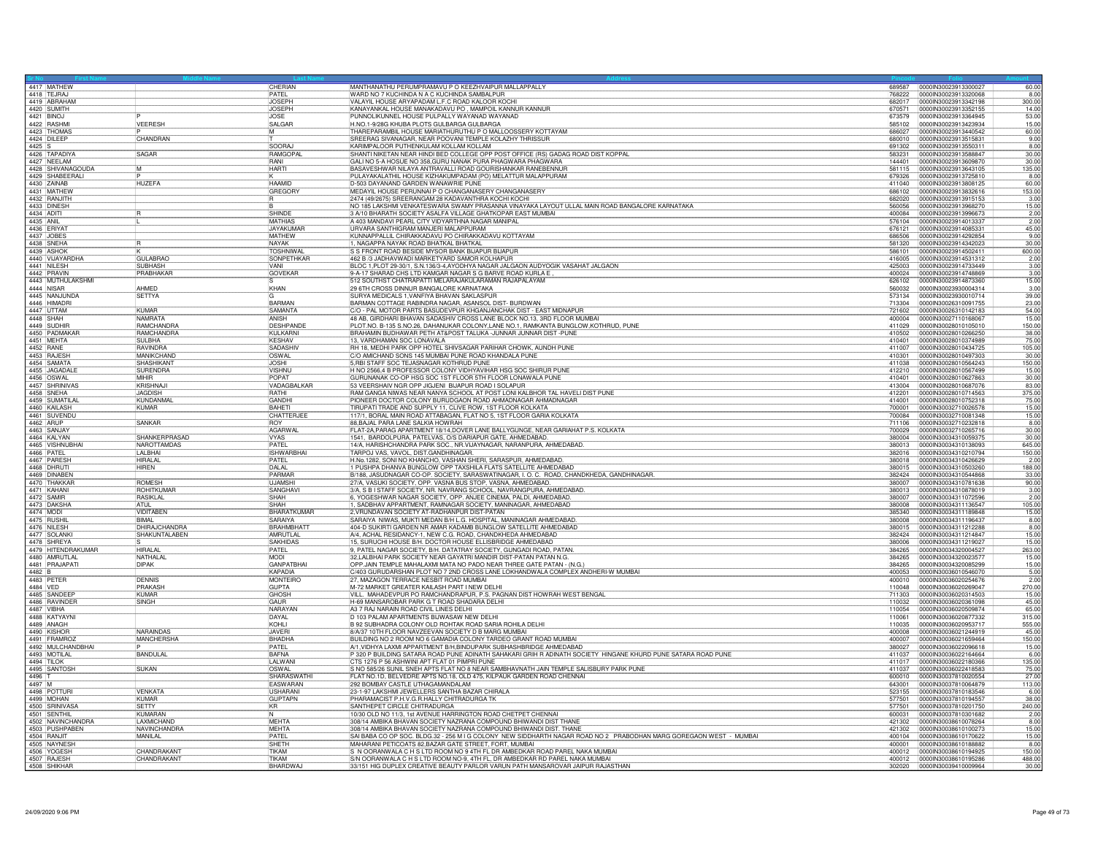| 4418 TFJRAJ               | 4417 MATHEW                         |                             | CHERIAN<br><b>PATFI</b>          | MANTHANATHU PERUMPRAMAVU P O KEEZHVAIPUR MALLAPPALLY                                                                                                                                 | 689587           | 00000N30023913300027                         | 60.00           |
|---------------------------|-------------------------------------|-----------------------------|----------------------------------|--------------------------------------------------------------------------------------------------------------------------------------------------------------------------------------|------------------|----------------------------------------------|-----------------|
|                           | 4419 ABRAHAM                        |                             | <b>JOSEPH</b>                    | WARD NO 7 KUCHINDA N A C KUCHINDA SAMBALPUR<br>VALAYIL HOUSE ARYAPADAM L.F.C ROAD KALOOR KOCH                                                                                        | 768222<br>682017 | 0000IN30023913320068<br>0000IN30023913342198 | 8.00<br>300.00  |
| 4420 SUMITH               |                                     |                             | <b>JOSEPH</b>                    | KANAYANKAL HOUSE MANAKADAVU PO, MAMPOIL KANNUR KANNUR                                                                                                                                | 670571           | 0000IN30023913352155                         | 14.00           |
| 4421 BINOJ                |                                     |                             | <b>JOSE</b>                      | PUNNOLIKUNNEL HOUSE PULPALLY WAYANAD WAYANAD                                                                                                                                         | 673579           | 0000IN30023913364945                         | 53.00           |
| 4422 RASHM                |                                     | VEERESH                     | SALGAR                           | H.NO.1-9/28G KHUBA PLOTS GULBARGA GULBARGA<br>THAREPARAMBIL HOUSE MARIATHURUTHU PO MALLOOSSERY KOTTAYAM                                                                              | 585102           | 00000N30023913423934                         | 15.00           |
|                           | 4423 THOMAS                         |                             | lМ                               |                                                                                                                                                                                      | 686027           | 0000IN30023913440542                         | 60.00           |
| 4424 DILEEP               |                                     | CHANDRAN                    |                                  | SREERAG SIVANAGAR, NEAR POOVANI TEMPLE KOLAZHY THRISSUR                                                                                                                              | 680010           | 0000IN30023913515831                         | 9.00            |
| 4425 S                    |                                     |                             | SOORAJ                           | KARIMPALOOR PUTHENKULAM KOLLAM KOLLAM                                                                                                                                                | 691302           | 0000IN30023913550311                         | 8.00            |
|                           | 4426 TAPADIYA                       | SAGAR                       | RAMGOPAL                         | SHANTI NIKETAN NEAR HINDI BED COLLEGE OPP POST OFFICE (RS) GADAG ROAD DIST KOPPAL                                                                                                    | 583231           | 0000IN30023913588847                         | 30.00           |
|                           | 4427 NFFI AM<br>4428 SHIVANAGOUDA   |                             | RANI<br><b>HARTI</b>             | GALI NO 5-A HOSUE NO 358 GURU NANAK PURA PHAGWARA PHAGWARA<br>BASAVESHWAR NILAYA ANTRAVALLI ROAD GOURISHANKAR RANEBENNUR                                                             | 144401<br>581115 | 0000IN30023913609870                         | 30.00<br>135.00 |
|                           | 4429 SHABEERALI                     |                             |                                  | PULAYAKALATHIL HOUSE KIZHAKUMPADAM (PO) MELATTUR MALAPPURAM                                                                                                                          | 679326           | 0000IN30023913643105<br>0000IN30023913725810 | 8.00            |
| 4430 ZAINAB               |                                     | <b>HUZEFA</b>               | <b>HAAMID</b>                    | D-503 DAYANAND GARDEN WANAWRIE PUNE                                                                                                                                                  | 411040           | 0000IN30023913808125                         | 60.00           |
|                           | 4431 MATHEW                         |                             | GREGORY                          | MEDAYIL HOUSE PERUNNAI P O CHANGANASERY CHANGANASERY                                                                                                                                 | 686102           | 0000IN30023913832616                         | 153.00          |
| 4432 RANJITH              |                                     |                             |                                  | 2474 (49/2675) SREERANGAM 28 KADAVANTHRA KOCHI KOCHI                                                                                                                                 | 682020           | 0000IN30023913915153                         | 3.00            |
| 4433 DINESH               |                                     |                             |                                  | NO 185 LAKSHMI VENKATESWARA SWAMY PRASANNA VINAYAKA LAYOUT ULLAL MAIN ROAD BANGALORE KARNATAKA                                                                                       | 560056           | 0000IN30023913968270                         | 15.00           |
| 4434 ADITI                |                                     |                             | SHINDE                           | 3 A/10 BHARATH SOCIETY ASALFA VILLAGE GHATKOPAR EAST MUMBAI                                                                                                                          | 400084           | 0000IN30023913996673                         | 2.00            |
| 4435 ANII                 |                                     |                             | <b>MATHIAS</b>                   | A 403 MANDAVI PEARL CITY VIDYARTHNA NAGAR MANIPAL                                                                                                                                    | 576104           | 0000IN30023914013337                         | 2.00            |
| 4436 ERIYA                |                                     |                             | <b>JAYAKUMAR</b>                 | URVARA SANTHIGRAM MANJERI MALAPPURAM                                                                                                                                                 | 676121           | 0000IN30023914085331                         | 45.00           |
| 4437 JOBES                |                                     |                             | <b>MATHEW</b>                    | KUNNAPPALLIL CHIRAKKADAVU PO CHIRAKKADAVU KOTTAYAM                                                                                                                                   | 686506           | 0000IN30023914292854                         | 9.00<br>30.00   |
| 4438 SNEHA<br>4439 ASHOP  |                                     |                             | NAYAK<br><b>TOSHNIWA</b>         | 1, NAGAPPA NAYAK ROAD BHATKAL BHATKAL                                                                                                                                                | 581320<br>586101 | 0000IN30023914342023<br>0000IN30023914502411 |                 |
|                           | 4440 VIJAYARDHA                     | <b>GULABRAO</b>             | SONPETHKAR                       | S S FRONT ROAD BESIDE MYSOR BANK BIJAPUR BIJAPUR<br>462 B /3 JADHAVWADI MARKETYARD SAMOR KOLHAPUR                                                                                    | 416005           | 0000IN30023914531312                         | 600.00<br>2.00  |
| 4441 NILESH               |                                     | <b>SUBHASH</b>              | <b>VANI</b>                      | BLOC 1, PLOT 29-30/1, S.N.136/3-4, AYODHYA NAGAR JALGAON AUDYOGIK VASAHAT JALGAON                                                                                                    | 425003           | 0000IN30023914733449                         | 3.00            |
| 4442 PRAVIN               |                                     | PRABHAKAR                   | <b>GOVEKAR</b>                   | 9-A-17 SHARAD CHS LTD KAMGAR NAGAR S G BARVE ROAD KURLA E                                                                                                                            | 400024           | 0000IN30023914748869                         | 3.00            |
|                           | 4443 MUTHULAKSHMI                   |                             |                                  | 512 SOUTHST CHATRAPATTI MELARAJAKULARAMAN RAJAPALAYAM                                                                                                                                | 626102           | 0000IN30023914873360                         | 15.00           |
| 4444 NISAR                |                                     | AHMED                       | KHAN                             | 29 6TH CROSS DINNUR BANGALORE KARNATAKA                                                                                                                                              | 560032           | 0000IN30023930004314                         | 3.00            |
|                           | 4445 NANJUNDA                       | <b>SETTYA</b>               |                                  | SURYA MEDICALS 1, VANFIYA BHAVAN SAKLASPUR                                                                                                                                           | 573134           | 0000IN30023930010714                         | 39.00           |
|                           | 4446 HIMADRI                        |                             | BARMAN                           | BARMAN COTTAGE RABINDRA NAGAR, ASANSOL DIST- BURDWAN                                                                                                                                 | 713304           | 0000IN30026310091755                         | 23.00           |
| 4447 UTTAM                |                                     | KUMAR                       | SAMANTA                          | C/O - PAL MOTOR PARTS BASUDEVPUR KHGANJANCHAK DIST - EAST MIDNAPUR                                                                                                                   | 721602           | 0000IN30026310142183                         | 54.00           |
| 4448 SHAH                 |                                     | <b>NAMRATA</b>              | <b>ANISH</b>                     | 48 AB, GIRDHARI BHAVAN SADASHIV CROSS LANE BLOCK NO.13, 3RD FLOOR MUMBAI                                                                                                             | 400004           | 0000lN30027110168067                         | 15.00           |
| 4449 SUDHI                |                                     | <b>RAMCHANDRA</b>           | <b>DESHPANDE</b>                 | PLOT.NO. B-135 S.NO.26, DAHANUKAR COLONY,LANE NO.1, RAMKANTA BUNGLOW,KOTHRUD, PUNE                                                                                                   | 411029           | 0000IN30028010105010                         | 150.00          |
| 4451 MEHTA                | 4450 PADMAKAR                       | RAMCHANDRA<br><b>SULBHA</b> | KULKARNI<br><b>KESHAV</b>        | BRAHAMIN BUDHAWAR PETH AT&POST TALUKA -JUNNAR JUNNAR DIST -PUNE<br>13. VARDHAMAN SOC LONAVALA                                                                                        | 410502<br>410401 | 0000IN30028010266250<br>0000IN30028010374989 | 38.00<br>75.00  |
| 4452 RANE                 |                                     | <b>RAVINDRA</b>             | SADASHIV                         | RH 18, MEDHI PARK OPP HOTEL SHIVSAGAR PARIHAR CHOWK, AUNDH PUNE                                                                                                                      | 411007           | 0000IN30028010434725                         | 105.00          |
| 4453 RAJESH               |                                     | MANIKCHAND                  | OSWAL                            | C/O AMICHAND SONS 145 MUMBAI PUNE ROAD KHANDALA PUNE                                                                                                                                 | 410301           | 0000IN30028010497303                         | 30.00           |
| 4454 SAMATA               |                                     | <b>SHASHIKANT</b>           | <b>JOSHI</b>                     | 5, RBI STAFF SOC TEJASNAGAR KOTHRUD PUNE                                                                                                                                             | 411038           | 0000IN30028010564243                         | 150.00          |
|                           | 4455 JAGADALI                       | <b>SURENDRA</b>             | VISHNU                           | H NO 2566.4 B PROFESSOR COLONY VIDHYAVIHAR HSG SOC SHIRUR PUNE<br>GURUNANAK CO-OP HSG SOC 1ST FLOOR 5TH FLOOR LONAWALA PUNE                                                          | 412210           | 0000IN30028010567499                         | 15.00           |
| 4456 OSWAL                |                                     | MIHIR                       | <b>POPAT</b>                     |                                                                                                                                                                                      | 410401           | 0000IN30028010627863                         | 30.00           |
|                           | 4457 SHRINIVAS                      | KRISHNAJ                    | VADAGBALKAR                      | 53 VEERSHAIV NGR OPP JIGJENI BIJAPUR ROAD I SOLAPUR                                                                                                                                  | 413004           | 0000IN30028010687076                         | 83.00           |
| 4458 SNEHA                |                                     | <b>JAGDISH</b>              | <b>RATHI</b>                     | RAM GANGA NIWAS NEAR NANYA SCHOOL AT POST LONI KALBHOR TAL HAVELI DIST PUNE                                                                                                          | 412201           | 0000IN30028010714563                         | 375.00          |
|                           | 4459 SUMATILAL                      | KUNDANMA                    | GANDH                            | PIONEER DOCTOR COLONY BURUDGAON ROAD AHMADNAGAR AHMADNAGAR                                                                                                                           | 414001           | 0000IN30028010752318                         | 75.00           |
|                           | 4460 KAILASH<br>4461 SUVENDU        | KUMAR                       | BAHETI<br>CHATTERJE              | TIRUPATI TRADE AND SUPPLY 11, CLIVE ROW, 1ST FLOOR KOLKATA<br>117/1, BORAL MAIN ROAD ATTABAGAN, FLAT NO 5, 1ST FLOOR GARIA KOLKATA                                                   | 700001           | 0000IN30032710026578                         | 15.00<br>15.00  |
| 4462 ARUP                 |                                     | SANKAR                      | <b>ROY</b>                       | 88, BAJAL PARA LANE SALKIA HOWRAH                                                                                                                                                    | 700084<br>711106 | 0000IN30032710081348<br>0000IN30032710232818 | 8.00            |
| 4463 SANJAY               |                                     |                             | AGARWAL                          | FLAT-2A PARAG APARTMENT 18/14 DOVER LANE BALLYGUNGE, NEAR GARIAHAT P.S. KOLKATA                                                                                                      | 700029           | 0000IN30032710265716                         | 30.00           |
| 4464 KALYAN               |                                     | SHANKERPRASAD               | <b>VYAS</b>                      |                                                                                                                                                                                      | 380004           | 0000IN30034310059375                         | 30.00           |
|                           | 4465 VISHNUBHAI                     | NAROTTAMDAS                 | PATEL                            | 1541, BARDOLPURA, PATELVAS, O/S DARIAPUR GATE, AHMEDABAD.<br>14/A, HARISHCHANDRA PARK SOC., NR.VIJAYNAGAR, NARANPURA, AHMEDABAD.                                                     | 380013           | 0000IN30034310138093                         | 645.00          |
| 4466 PATEL                |                                     | I AI BHAI                   | <b>ISHWARRHAI</b>                | TARPOJ VAS, VAVOL, DIST.GANDHINAGAR.                                                                                                                                                 | 382016           | 100001N30034310210794                        | 150.00          |
| 4467 PARESH               |                                     | HIRALAL                     | PATEL                            | H.No.1282, SONI NO KHANCHO, VASHAN SHERI, SARASPUR, AHMEDABAD.                                                                                                                       | 380018           | 0000IN30034310426629                         | 2.00            |
| 4468 DHRUT                |                                     | <b>HIREN</b>                | DALAL                            | 1 PUSHPA DHANVA BUNGLOW OPP TAXSHILA FLATS SATELLITE AHMEDABAD                                                                                                                       | 380015           | 0000IN30034310503260                         | 188.00          |
|                           | 4469 DINABEN                        |                             | PARMAR                           | B/188, JASUDNAGAR CO-OP. SOCIETY, SARASWATINAGAR, I. O. C. ROAD, CHANDKHEDA, GANDHINAGAR.                                                                                            | 382424           | 0000IN30034310544868                         | 33.00           |
| 4471 KAHANI               | 4470 THAKKAF                        | ROMESH<br>ROHITKUMAF        | <b>UJAMSHI</b><br><b>SANGHAV</b> | 27/A, VASUKI SOCIETY, OPP. VASNA BUS STOP, VASNA, AHMEDABAD.                                                                                                                         | 380007           | 0000IN30034310781638                         | 90.00           |
|                           |                                     |                             | SHAH                             | 3/A, S B I STAFF SOCIETY, NR. NAVRANG SCHOOL, NAVRANGPURA, AHMEDABAD.                                                                                                                | 380013<br>380007 | 0000IN30034310878019<br>0000IN30034311072596 | 3.00<br>2.00    |
| 4472 SAMIR<br>4473 DAKSHA |                                     | <b>RASIKLAL</b><br>ATUL     | <b>SHAH</b>                      | 6, YOGESHWAR NAGAR SOCIETY, OPP. ANJEE CINEMA, PALDI, AHMEDABAD.<br>1, SADBHAV APPARTMENT, RAMNAGAR SOCIETY, MANINAGAR, AHMEDABAD                                                    | 380008           | 00000N30034311136547                         | 105.00          |
| 4474 MODI                 |                                     | VIDITABEN                   | BHARATKUMAR                      | 2. VRUNDAVAN SOCIETY AT-RADHANPUR DIST-PATAN                                                                                                                                         | 385340           | 0000IN30034311189848                         | 15.00           |
| 4475 RUSHI                |                                     | <b>BIMAL</b>                | SARAIYA                          | SARAIYA NIWAS, MUKTI MEDAN B/H L.G. HOSPITAL, MANINAGAR AHMEDABAD                                                                                                                    | 380008           | 0000IN30034311196437                         | 8.00            |
| 4476 NILESH               |                                     | <b>DHIRA ICHANDRA</b>       | <b>BRAHMBHATT</b>                | 404-D SUKIRTI GARDEN NR AMAR KADAMB BUNGLOW SATELLITE AHMEDABAD                                                                                                                      | 380015           | 0000IN30034311212288                         | 8.00            |
| 4477 SOLANK               |                                     | SHAKUNTALABEN               | AMRUTLAL                         | A/4, ACHAL RESIDANCY-1, NEW C.G. ROAD, CHANDKHEDA AHMEDABAD                                                                                                                          | 382424           | 0000IN30034311214847                         | 15.00           |
| 4478 SHREYA               |                                     |                             | SAKHIDAS                         | 15, SURUCHI HOUSE B/H. DOCTOR HOUSE ELLISBRIDGE AHMEDABAD                                                                                                                            | 380006           | 00000N30034311219027                         | 15.00           |
|                           | 4479 HITENDRAKUMAR                  | <b>HIRALAL</b>              | PATEL                            | 9, PATEL NAGAR SOCIETY, B/H. DATATRAY SOCIETY, GUNGADI ROAD, PATAN.                                                                                                                  | 384265           | 0000IN30034320004527                         | 263.00          |
|                           | 4480 AMRUTLAL                       | NATHALA                     | <b>MODI</b>                      | 32, LALBHAI PARK SOCIETY NEAR GAYATRI MANDIR DIST-PATAN PATAN N.G.                                                                                                                   | 384265           | 0000IN30034320023577                         | 15.00           |
|                           | 4481 PRAJAPAT                       | <b>DIPAK</b>                | <b>GANPATBHAI</b><br>KAPADIA     | OPP.JAIN TEMPLE MAHALAXMI MATA NO PADO NEAR THREE GATE PATAN - (N.G.)                                                                                                                | 384265           | 0000IN30034320085299                         | 15.00           |
| 4482 B<br>4483 PETER      |                                     | <b>DENNIS</b>               | <b>MONTEIRO</b>                  | C/403 GURUDARSHAN PLOT NO 7 2ND CROSS LANE LOKHANDWALA COMPLEX ANDHERI-W MUMBAI<br>27, MAZAGON TERRACE NESBIT ROAD MUMBAI                                                            | 400053<br>400010 | 0000IN30036010546070<br>0000030036020254676  | 5.00<br>2.00    |
| 4484 VED                  |                                     | <b>PRAKASH</b>              | <b>GUPTA</b>                     | M-72 MARKET GREATER KAILASH PART I NEW DELHI                                                                                                                                         | 110048           | 0000IN30036020269047                         | 270.00          |
|                           | 4485 SANDEE                         | KUMAR                       | GHOSH                            | VILL. MAHADEVPUR PO RAMCHANDRAPUR, P.S. PAGNAN DIST HOWRAH WEST BENGAL                                                                                                               | 711303           | 0000IN30036020314503                         | 15.00           |
|                           | 4486 RAVINDER                       | SINGH                       | GAUR                             | H-69 MANSAROBAR PARK G T ROAD SHADARA DELHI                                                                                                                                          | 110032           | 0000IN30036020361098                         | 45.00           |
| 4487 VIBHA                |                                     |                             | NARAYAN                          | A3 7 RAJ NARAIN ROAD CIVIL LINES DELHI                                                                                                                                               | 110054           | 0000IN30036020509874                         | 65.00           |
|                           | 4488 KATYAYNI                       |                             | DAYAL                            | D 103 PALAM APARTMENTS BIJWASAW NEW DELHI                                                                                                                                            | 110061           | 0000IN30036020877332                         | 315.00          |
| 4489 ANAGH                |                                     |                             | KOHLI                            | B 92 SUBHADRA COLONY OLD ROHTAK ROAD SARIA ROHILA DELHI                                                                                                                              | 110035           | 0000IN30036020953717                         | 555.00          |
| 4490 KISHOF               |                                     | NARAINDAS                   | <b>JAVER</b>                     | 8/A/37 10TH FLOOR NAVZEEVAN SOCIETY D B MARG MUMBAI<br>BUILDING NO 2 ROOM NO 6 GAMADIA COLONY TARDEO GRANT ROAD MUMBAI                                                               | 400008           | 0000IN30036021244919                         | 45.00           |
|                           | 4491 FRAMROZ                        | <b>MANCHERSHA</b>           | BHADHA                           |                                                                                                                                                                                      | 400007           | 0000IN30036021659464                         | 150.00          |
| 4493 MOTILAL              | 4492 MULCHANDBHAI                   | BANDULAL                    | PATEL<br><b>BAFNA</b>            | A/1, VIDHYA LAXMI APPARTMENT B/H, BINDUPARK SUBHASHBRIDGE AHMEDABAD<br>P 320 P BUILDING SATARA ROAD PUNE ADINATH SAHAKARI GRIH R ADINATH SOCIETY HINGANE KHURD PUNE SATARA ROAD PUNE | 380027<br>411037 | 0000IN30036022096618<br>0000IN30036022164664 | 15.00<br>6.00   |
| 4494 TILOK                |                                     |                             | LALWANI                          | CTS 1276 P 56 ASHWINI APT FLAT 01 PIMPRI PUNE                                                                                                                                        | 411017           | 0000IN30036022180366                         | 135.00          |
|                           | 4495 SANTOSH                        | <b>SUKAN</b>                | <b>OSWAL</b>                     | S NO 585/26 SUNIL SNEH APTS FLAT NO 8 NEAR SAMBHAVNATH JAIN TEMPLE SALISBURY PARK PUNE                                                                                               | 411037           | 0000IN30036022418583                         | 75.00           |
| 4496 T                    |                                     |                             | SHARASWATHI                      | FLAT NO.1D, BELVEDRE APTS NO.18, OLD 475, KILPAUK GARDEN ROAD CHENNAI                                                                                                                | 600010           | 0000IN30037810020554                         | 27.00           |
| 4497 M                    |                                     |                             | EASWARAN                         | 292 BOMBAY CASTLE UTHAGAMANDALAM                                                                                                                                                     | 643001           | 0000IN30037810064879                         | 113.00          |
|                           | 4498 POTTUR                         | <b>VENKATA</b>              | <b>USHARANI</b>                  | 23-1-97 LAKSHMI JEWELLERS SANTHA BAZAR CHIRALA                                                                                                                                       | 523155           | 0000IN30037810183546                         | 6.00            |
| 4499 MOHAN                |                                     | KUMAR                       | <b>GUPTAPN</b>                   | PHARAMACIST P.H.V.G.R.HAI I Y CHITRADURGA TK                                                                                                                                         | 577501           | 0000IN30037810194557                         | 38.00           |
|                           | 4500 SRINIVASA                      | <b>SFTTY</b>                | <b>KR</b>                        | SANTHEPET CIRCLE CHITRADURGA                                                                                                                                                         | 577501           | 0000IN30037810201750                         | 240.00          |
|                           | 4501 SENTHIL                        | KUMARAN                     | N                                | 10/30 OLD NO 11/3, 1st AVENUE HARRINGTON ROAD CHETPET CHENNAI                                                                                                                        | 600031           | 0000IN30037810301682                         | 2.00            |
|                           | 4502 NAVINCHANDRA<br>4503 PUSHPABEN | LAXMICHAND<br>NAVINCHANDRA  | MEHTA<br>MEHTA                   | 308/14 AMBIKA BHAVAN SOCIETY NAZRANA COMPOUND BHIWANDI DIST THANE<br>308/14 AMBIKA BHAVAN SOCIETY NAZRANA COMPOUND BHIWANDI DIST. THANE                                              | 421302<br>421302 | 0000IN30038610078264<br>0000IN30038610100273 | 8.00<br>15.00   |
| 4504 RANJIT               |                                     | MANILAL                     | PATEL                            |                                                                                                                                                                                      | 400104           | 0000IN30038610170622                         | 15.00           |
|                           | 4505 NAYNESH                        |                             | SHFTH                            | SAI BABA CO OP SOC. BLDG.32 - 256 M I G COLONY NEW SIDDHARTH NAGAR ROAD NO 2 PRABODHAN MARG GOREGAON WEST - MUMBAI<br>MAHARANI PETICOATS 82,BAZAR GATE STREET, FORT, MUMBAI          | 400001           | 0000IN30038610188882                         | 8.00            |
|                           | 4506 YOGESH                         | CHANDRAKANT                 | TIKAM                            | S IN OORANWALA C HIS LTD ROOM NO 9 4TH FL DR AMBEDKAR ROAD PAREL NAKA MUMBAI                                                                                                         | 400012           | 0000IN30038610194925                         | 150.00          |
| 4507 RAJESH               |                                     | CHANDRAKANT                 | TIKAN                            | S/N OORANWALA C H S LTD ROOM NO-9, 4TH FL, DR AMBEDKAR RD PAREL NAKA MUMBAI                                                                                                          | 400012           | 0000IN30038610195286                         | 488.00          |
|                           | 4508 SHIKHAF                        |                             | BHARDWA                          | 33/151 HIG DUPLEX CREATIVE BEAUTY PARLOR VARUN PATH MANSAROVAR JAIPUR RAJASTHAN                                                                                                      | 302020           | 0000IN30039410009964                         | 30.00           |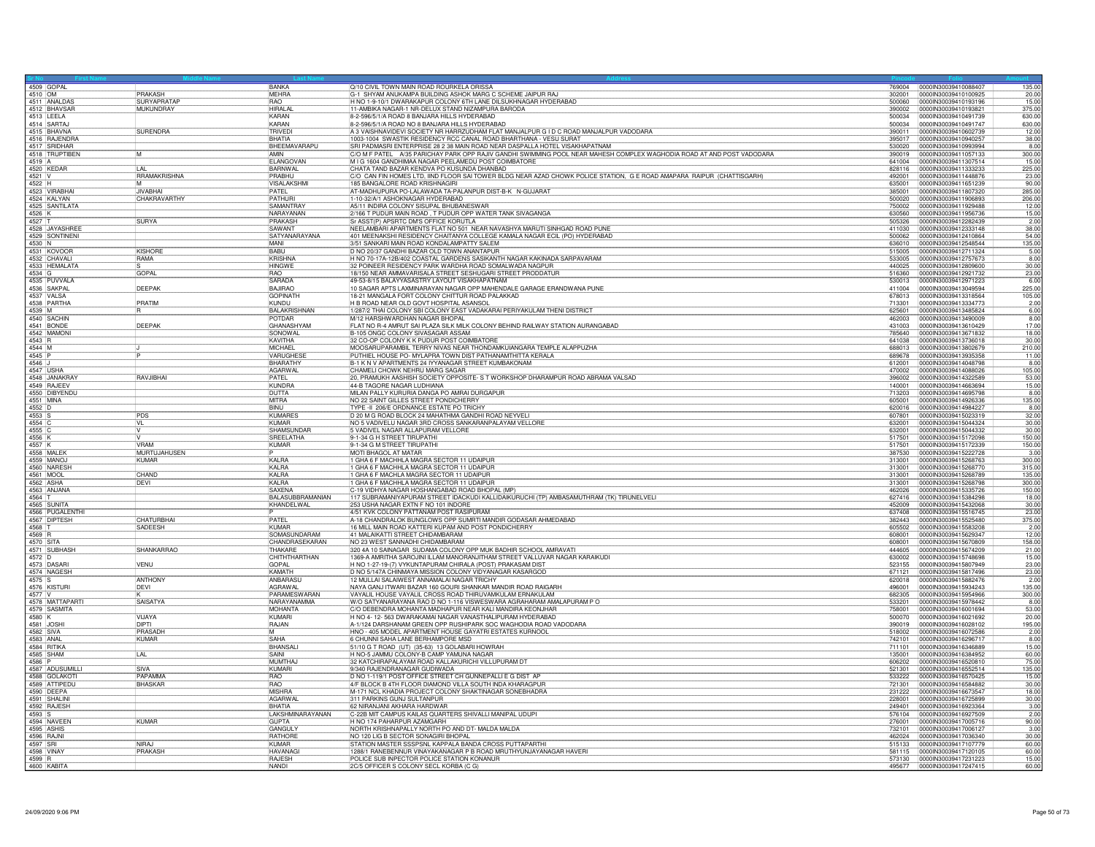| 4509 GOPAL<br>4510 OM |                                       | <b>BANKA</b>                        | Q/10 CIVIL TOWN MAIN ROAD ROURKELA ORISSA                                                                                                                                                              |                  | 769004 0000IN30039410088407                         | 135.00           |
|-----------------------|---------------------------------------|-------------------------------------|--------------------------------------------------------------------------------------------------------------------------------------------------------------------------------------------------------|------------------|-----------------------------------------------------|------------------|
|                       | <b>PRAKASH</b>                        | <b>MEHRA</b>                        | G-1 SHYAM ANUKAMPA BUILDING ASHOK MARG C SCHEME JAIPUR RAJ                                                                                                                                             | 302001           | 0000IN30039410100925                                | 20.00            |
|                       | 4511 ANALDAS<br>SURYAPRATAE           | <b>RAO</b>                          | H NO 1-9-10/1 DWARAKAPUR COLONY 6TH LANE DILSUKHNAGAR HYDERABAD                                                                                                                                        | 080005           | 00000N30039410193196                                | 15.00            |
| 4513 LEELA            | 4512 BHAVSAF<br><b>MUKUNDRAY</b>      | HIRAI AI<br><b>IKARAN</b>           | 11-AMBIKA NAGAR-1 NR-DELUX STAND NIZAMPURA BARODA                                                                                                                                                      | 390002           | 0000IN30039410193821                                | 375.00<br>630.00 |
|                       |                                       | KARAN                               | 8-2-596/5/1/A ROAD 8 BANJARA HILLS HYDERABAD                                                                                                                                                           | 500034           | 0000lN30039410491739                                | 630.00           |
|                       | 4514 SARTA<br>4515 BHAVNA<br>SURENDRA | TRIVEDI                             | 8-2-596/5/1/A ROAD NO 8 BANJARA HILLS HYDERABAD<br>A 3 VAISHNAVIDEVI SOCIETY NR HARRZUDHAM FLAT MANJALPUR G I D C ROAD MANJALPUR VADODARA                                                              | 390011           | 500034 0000IN30039410491747<br>00000N30039410602739 | 12.00            |
|                       |                                       | <b>BHATIA</b>                       | 1003-1004 SWASTIK RESIDENCY RCC CANAL ROAD BHARTHANA - VESU SURAT                                                                                                                                      | 395017           | 0000IN30039410940257                                | 38.00            |
|                       | 4516 RAJENDRA                         | BHEEMAVARAPU                        |                                                                                                                                                                                                        | 530020           | 00000N30039410993994                                | 8.00             |
|                       | 4517 SRIDHAR<br>4518 TRUPTIBEN<br>м   | AMIN                                | SRI PADMASRI ENTERPRISE 28 2 38 MAIN ROAD NEAR DASPALLA HOTEL VISAKHAPATNAM<br> C/O M F PATEL A/35 PARICHAY PARK OPP RAJIV GANDHI SWIMMING POOL NEAR MAHESH COMPLEX WAGHODIA ROAD AT AND POST VADODARA | 390019           | 0000IN30039411057133                                | 300.00           |
| 4519 A                |                                       | ELANGOVAN                           | M I G 1604 GANDHIMAA NAGAR PEELAMEDU POST COIMBATORE                                                                                                                                                   | 641004           | 0000IN30039411307514                                | 15.00            |
| 4520 KEDAR            | $\overline{A}$                        | <b>BARNWAL</b>                      | CHATA TAND BAZAR KENDVA PO KUSUNDA DHANBAD                                                                                                                                                             | 828116           | 00000N30039411333233                                | 225.00           |
| $4521$ V              | <b>RRAMAKRISHNA</b>                   | PRABHU                              | C/O CAN FIN HOMES LTD, IIND FLOOR SAI TOWER BLDG NEAR AZAD CHOWK POLICE STATION, G E ROAD AMAPARA RAIPUR (CHATTISGARH)                                                                                 | 492001           |                                                     |                  |
|                       | <b>IM</b>                             | VISALAKSHMI                         | 185 BANGALORE ROAD KRISHNAGIRI                                                                                                                                                                         | 635001           | 0000IN30039411448876<br>0000IN30039411651239        | 23.00<br>90.00   |
|                       | 4522 H<br><b>JIVABHA</b>              | <b>PATEL</b>                        | AT-MADHUPURA PO-LALAWADA TA-PALANPUR DIST-B-K N-GUJARAT                                                                                                                                                | 385001           | 0000IN30039411807320                                | 285.00           |
|                       | 4524 KALYAN<br>CHAKRAVARTHY           | PATHURI                             | 1-10-32/A/1 ASHOKNAGAR HYDERABAD                                                                                                                                                                       | 500020           | 0000IN30039411906893                                | 206.00           |
|                       | 4525 SANTILATA                        | <b>SAMANTRAY</b>                    | A5/11 INDIRA COLONY SISUPAL BHUBANESWAR                                                                                                                                                                | 750002           | 0000IN30039411929488                                | 12.00            |
| 4526 K                |                                       | NARAYANAN                           | 2/166 T PUDUR MAIN ROAD, T PUDUR OPP WATER TANK SIVAGANGA                                                                                                                                              | 630560           | 0000IN30039411956736                                | 15.00            |
|                       | <b>SURYA</b>                          | PRAKASH                             | Sr ASST(P) APSRTC DM'S OFFICE KORUTLA                                                                                                                                                                  | 505326           | 0000IN30039412282439                                | 2.00             |
|                       | 4527 T<br>4528 JAYASHREE              | SAWANT                              | NEELAMBARI APARTMENTS FLAT NO 501 NEAR NAVASHYA MARUTI SINHGAD ROAD PUNE                                                                                                                               | 411030           | 00000030039412333148                                | 38.00            |
|                       | 4529 SONTINENI                        | SATYANARAYANA                       | 401 MEENAKSHI RESIDENCY CHAITANYA COLLEGE KAMALA NAGAR ECIL (PO) HYDERABAD                                                                                                                             | 500062           | 0000IN30039412410864                                | 54.00            |
| 4530 N                |                                       | MANI                                | 3/51 SANKARI MAIN ROAD KONDALAMPATTY SALEM                                                                                                                                                             | 636010           | 0000IN30039412548544                                | 135.00           |
|                       | KISHORI                               | <b>RARLI</b>                        |                                                                                                                                                                                                        | 515005           | 0000IN30039412711324                                |                  |
|                       | 4531 KOVOOR<br>RAMA                   | <b>KRISHNA</b>                      | D NO 20/37 GANDHI BAZAR OLD TOWN ANANTAPUR<br>H NO 70-17A-12B/402 COASTAL GARDENS SASIKANTH NAGAR KAKINADA SARPAVARAM                                                                                  | 533005           | 0000IN30039412757673                                | 5.00<br>8.00     |
|                       | 4532 CHAVALI<br>4533 HEMALATA         | <b>HINGWE</b>                       | 32 POINEER RESIDENCY PARK WARDHA ROAD SOMALWADA NAGPUR                                                                                                                                                 | 440025           | 00000N30039412809600                                | 30.00            |
| $4534$ <sup>G</sup>   | GOPAL                                 | <b>RAO</b>                          | 18/150 NEAR AMMAVARISALA STREET SESHUGARI STREET PRODDATUR                                                                                                                                             | 516360           | 0000IN30039412921732                                | 23.00            |
|                       |                                       | SARADA                              | 49-53-8/15 BALAYYASASTRY LAYOUT VISAKHAPATNAM                                                                                                                                                          | 530013           | 10000IN30039412971223                               | 6.00             |
|                       | 4535 PUVVALA<br>4536 SAKPAL<br>DEEPAK | <b>BAJIRAO</b>                      | 10 SAGAR APTS LAXMINARAYAN NAGAR OPP MAHENDALE GARAGE ERANDWANA PUNE                                                                                                                                   | 411004           | 0000IN30039413049594                                | 225.00           |
| 4537 VALSA            |                                       | <b>GOPINATH</b>                     | 18-21 MANGALA FORT COLONY CHITTUR ROAD PALAKKAD                                                                                                                                                        | 678013           | 0000IN30039413318564                                | 105.00           |
|                       | 4538 PARTHA<br>PRATIM                 | KUNDU                               | H B ROAD NEAR OLD GOVT HOSPITAL ASANSOL                                                                                                                                                                | 713301           | 00000N30039413334773                                | 2.00             |
| 4539 M                |                                       | BALAKRISHNAN                        | 1/287/2 THAI COLONY SBI COLONY EAST VADAKARAI PERIYAKULAM THENI DISTRICT                                                                                                                               | 625601           | 0000IN30039413485824                                | 6.00             |
|                       | 4540 SACHIN                           | POTDAR                              | M/12 HARSHWARDHAN NAGAR BHOPAL                                                                                                                                                                         | 462003           | 00000N30039413490009                                | 8.00             |
| 4541 BONDE            | <b>DEEPAK</b>                         | GHANASHYAM                          | FLAT NO R-4 AMRUT SAI PLAZA SILK MILK COLONY BEHIND RAILWAY STATION AURANGABAD                                                                                                                         | 431003           | 0000IN30039413610429                                | 17.00            |
|                       | 4542 MAMON                            | SONOWAL                             | B-105 ONGC COLONY SIVASAGAR ASSAM                                                                                                                                                                      | 785640           | 0000IN30039413671832                                | 18.00            |
| 4543 R                |                                       | KAVITHA                             | 32 CO-OP COLONY K K PUDUR POST COIMBATORE                                                                                                                                                              | 641038           | 0000IN30039413736018                                | 30.00            |
| 4544 M                |                                       | MICHAEL                             | MOOSARUPARAMBIL TERRY NIVAS NEAR THONDAMKUIANGARA TEMPLE ALAPPUZHA                                                                                                                                     | 688013           | 0000IN30039413802679                                | 210.00           |
| 4545 P                |                                       | VARUGHESI                           | PUTHIEL HOUSE PO- MYLAPRA TOWN DIST PATHANAMTHITTA KERALA                                                                                                                                              | 689678           | 0000IN30039413935358                                | 11.00            |
| 4546                  |                                       | BHARATHY                            | B-1 K N V APARTMENTS 24 IYYANAGAR STREET KUMBAKONAM                                                                                                                                                    | 612001           | 0000IN30039414048798                                | 8.00             |
| 4547 USHA             |                                       | <b>AGARWAL</b>                      | CHAMELI CHOWK NEHRU MARG SAGAR                                                                                                                                                                         | 470002           | 0000IN30039414088026                                | 105.00           |
|                       | 4548 JANAKRAY<br>RAVJIBHAI            | PATEL                               | 20, PRAMUKH AASHISH SOCIETY OPPOSITE- S T WORKSHOP DHARAMPUR ROAD ABRAMA VALSAD                                                                                                                        | 396002           | 00000N30039414322589                                | 53.00            |
|                       | 4549 RAJEEV                           | KUNDBA                              | 44-B TAGORE NAGAR LUDHIANA                                                                                                                                                                             | 140001           | 0000IN30039414663694                                | 15.00            |
|                       | 4550 DIBYENDU                         | <b>DUTTA</b>                        | MILAN PALLY KURURIA DANGA PO AMRAI DURGAPUR                                                                                                                                                            | 713203           | 0000IN30039414695798                                | 8.00             |
| 4551 MINA             |                                       | <b>MITRA</b>                        | NO 22 SAINT GILLES STREET PONDICHERRY                                                                                                                                                                  | 605001           | 0000IN30039414926336                                | 135.00           |
| 4552 D                |                                       | <b>BINU</b>                         | TYPE -II 206/E ORDNANCE ESTATE PO TRICHY                                                                                                                                                               | 620016           | 0000IN30039414984227                                | 8.00             |
| 4553 S                | <b>PDS</b>                            | KUMARES                             | D 20 M G ROAD BLOCK 24 MAHATHMA GANDHI ROAD NEYVELI                                                                                                                                                    | 607801           | 0000IN30039415023319                                | 32.00            |
| $4554$ C<br>4555 C    | lм                                    | KUMAR                               | NO 5 VADIVELU NAGAR 3RD CROSS SANKARANPALAYAM VELLORE                                                                                                                                                  | 632001           | 00000N30039415044324                                | 30.00            |
|                       | IV.                                   | <b>ISHAMSUNDAR</b>                  | 5 VADIVEL NAGAR ALLAPURAM VELLORE                                                                                                                                                                      | 632001           | 00000N30039415044332                                | 30.00            |
| 4556 K                |                                       | SREELATHA                           | 9-1-34 G H STREET TIRUPATH                                                                                                                                                                             | 517501           | 0000IN30039415172098                                | 150.00           |
| 4557 K                | <b>VRAM</b>                           | KUMAR                               | 9-1-34 G M STREET TIRUPATHI                                                                                                                                                                            | 517501           | 0000IN30039415172339                                | 150.00           |
| 4558 MALEK            | MURTUJAHUSEN                          |                                     | <b>MOTI BHAGOL AT MATAR</b>                                                                                                                                                                            | 387530           | 00000N30039415222728                                | 3.00             |
| 4559 MANOJ            | KUMAR                                 | KAI RA                              | 1 GHA 6 F MACHHLA MAGRA SECTOR 11 UDAIPUR                                                                                                                                                              | 313001           | 0000IN30039415268763                                | 300.00           |
|                       | 4560 NARESH                           | KALRA                               | 1 GHA 6 F MACHHLA MAGRA SECTOR 11 UDAIPUR                                                                                                                                                              | 313001           | 00000N30039415268770                                | 315.00           |
| 4561 MOOL             | CHAND                                 | KALRA                               | GHA 6 F MACHLA MAGRA SECTOR 11 UDAIPUR                                                                                                                                                                 | 313001           | 0000IN30039415268789                                | 135.00           |
| 4562 ASHA             | <b>DEVI</b>                           | KALRA                               | 1 GHA 6 F MACHHLA MAGRA SECTOR 11 UDAIPUR                                                                                                                                                              | 313001           | 0000IN30039415268798                                | 300.00           |
|                       | 4563 ANJANA                           | <b>SAXENA</b>                       | C-19 VIDHYA NAGAR HOSHANGABAD ROAD BHOPAL (MP)                                                                                                                                                         | 462026           | 0000IN30039415335726                                | 150.00           |
| 4564 T<br>4565 SUNITA |                                       | BALASUBBRAMANIAN                    | 117 SUBRAMANIYAPURAM STREET IDACKUDI KALLIDAIKURUCHI (TP) AMBASAMUTHRAM (TK) TIRUNELVELI                                                                                                               | 627416           | 0000IN30039415384298                                | 18.00            |
|                       |                                       | KHANDELWAL                          | 253 USHA NAGAR EXTN F NO 101 INDORE                                                                                                                                                                    | 452009           | 0000IN30039415432068                                | 30.00            |
|                       | 4566 PUGALENTHI                       |                                     | 4/51 KVK COLONY PATTANAM POST RASIPURAM                                                                                                                                                                | 637408           | 0000IN30039415516745                                | 23.00            |
|                       | 4567 DIPTESH<br>CHATURBHAI            | PATEL                               | A-18 CHANDRALOK BUNGLOWS OPP SUMRTI MANDIR GODASAR AHMEDABAD                                                                                                                                           | 382443           | 0000IN30039415525480                                | 375.00           |
| 4568 T                | SADEESH                               | KUMAR                               | 16 MILL MAIN ROAD KATTERI KUPAM AND POST PONDICHERRY                                                                                                                                                   | 605502           | 100001N30039415583208                               | 2.00             |
| 4569 R<br>4570 SITA   |                                       | SOMASUNDARAM                        | 41 MALAIKATTI STREET CHIDAMBARAM                                                                                                                                                                       | 608001           | 0000IN30039415629347                                | 12.00            |
|                       |                                       | CHANDRASEKARAN                      | NO 23 WEST SANNADHI CHIDAMBARAM                                                                                                                                                                        | 608001           | 00000030039415670809                                | 158.00           |
|                       | 4571 SUBHASH<br>SHANKARRAO            | THAKARE                             | 320 4A 10 SAINAGAR SUDAMA COLONY OPP MUK BADHIR SCHOOL AMRAVAT                                                                                                                                         | 444605           | 0000IN30039415674209                                | 21.00            |
| $4572$ D              |                                       | CHITHTHARTHAN                       | 1369-A AMRITHA SAROJINI ILLAM MANORANJITHAM STREET VALLUVAR NAGAR KARAIKUDI                                                                                                                            | 630002           | 00000N30039415748698                                | 15.00            |
| 4573 DASARI           | VFNU                                  | <b>GOPAL</b>                        | H NO 1-27-19-(7) VYKUNTAPURAM CHIRALA (POST) PRAKASAM DIST                                                                                                                                             | 523155           | 00000N30039415807949                                | 23.00            |
|                       | 4574 NAGESH                           | KAMATH                              | D NO 5/147A CHINMAYA MISSION COLONY VIDYANAGAR KASARGOD                                                                                                                                                | 671121           | 0000IN30039415817496                                | 23.00            |
| 4575 S                | <b>ANTHONY</b>                        | ANBARAS                             | 12 MULLAI SALAIWEST ANNAMALAI NAGAR TRICHY                                                                                                                                                             | 620018           | 00000N30039415882476                                | 2.00             |
|                       | 4576 KISTURI<br>DEVI                  | <b>AGRAWAL</b>                      | NAYA GANJ ITWARI BAZAR 160 GOURI SHANKAR MANDIR ROAD RAIGARH                                                                                                                                           | 496001           | 0000IN30039415934243                                | 135.00           |
| 4577 V                |                                       | PARAMESWARAN                        | VAYALIL HOUSE VAYALIL CROSS ROAD THIRUVAMKULAM ERNAKULAM                                                                                                                                               | 682305           | 0000IN30039415954966                                | 300.00           |
|                       | 4578 MATTAPARTI<br><b>SAISATYA</b>    | <b>NARAYANAMMA</b>                  | W/O SATYANARAYANA RAO D NO 1-116 VISWESWARA AGRAHARAM AMALAPURAM P O                                                                                                                                   | 533201           | 0000IN30039415978442                                | 8.00             |
|                       | 4579 SASMITA                          | MOHANTA                             | C/O DEBENDRA MOHANTA MADHAPUR NEAR KALI MANDIRA KEONJHAR                                                                                                                                               | 758001           | 00000N30039416001694                                | 53.00            |
| 4580 K                | VIJAYA                                | <b>KUMAR</b>                        | H NO 4-12-563 DWARAKAMAI NAGAR VANASTHALIPURAM HYDERABAD                                                                                                                                               | 500070           | 0000IN30039416021692                                | 20.00            |
| 4581 JOSH             | DIPTI                                 | RAJAN                               | A-1/124 DARSHANAM GREEN OPP RUSHIPARK SOC WAGHODIA ROAD VADODARA                                                                                                                                       | 390019           | 0000IN30039416028102                                | 195.00           |
| 4582 SIVA             | PRASADE                               |                                     | HNO - 405 MODEL APARTMENT HOUSE GAYATRI ESTATES KURNOOL                                                                                                                                                | 518002           | 0000IN30039416072586                                | 2.00             |
| 4583 ANAL             | KUMAR                                 | <b>SAHA</b>                         | 6 CHUNNI SAHA LANE BERHAMPORE MSD                                                                                                                                                                      | 742101           | 00000N30039416296717                                | 8.00             |
| 4584 RITIKA           |                                       | <b>BHANSAL</b>                      | 51/10 G T ROAD (UT) (35-63) 13 GOLABARI HOWRAH                                                                                                                                                         | 711101           | 0000IN30039416346889                                | 15.00            |
| 4585 SHAM             | LAL                                   | <b>SAINT</b>                        | H NO-5 JAMMU COLONY-B CAMP YAMUNA NAGAR                                                                                                                                                                | 135001           | 0000IN30039416384952                                | 60.00            |
| 4586 P                |                                       | MUMTHA.                             | 32 KATCHIRAPALAYAM ROAD KALLAKURICHI VILLUPURAM DT                                                                                                                                                     | 606202           | 0000IN30039416520810                                | 75.00            |
|                       | 4587 ADUSUMILLI<br>SIVA               | KUMARI                              | 9/340 RAJENDRANAGAR GUDIWADA                                                                                                                                                                           | 521301           | 0000IN30039416552514                                | 135.00           |
|                       | 4588 GOLAKOTI<br>ΡΑΡΑΜΜΑ              | <b>RAO</b>                          | D NO 1-119/1 POST OFFICE STREET CH GUNNEPALLI E G DIST AP                                                                                                                                              | 533222           | 0000IN30039416570425                                | 15.00            |
|                       | 4589 ATTIPEDU<br><b>BHASKAR</b>       | RAO                                 | 4/F BLOCK B 4TH FLOOR DIAMOND VILLA SOUTH INDA KHARAGPUR                                                                                                                                               | 721301           | 0000IN30039416584882                                | 30.00            |
| 4590 DEEPA            |                                       | <b>MISHRA</b>                       | M-171 NCL KHADIA PROJECT COLONY SHAKTINAGAR SONEBHADRA                                                                                                                                                 | 231222           | 00000N30039416673547                                | 18.00            |
|                       | 4591 SHALINI                          | AGARWAL                             | 311 PARKINS GUNJ SULTANPUR                                                                                                                                                                             | 228001           | 0000IN30039416725899                                | 30.00            |
|                       | 4592 RAJESH                           | RHATIA                              | 62 NIRANJANI AKHARA HARDWAR                                                                                                                                                                            | 249401           | 0000IN30039416923364                                | 3.00             |
| $4593$ S              |                                       | LAKSHMINARAYANAN                    | C-22B MIT CAMPUS KAILAS QUARTERS SHIVALLI MANIPAL UDUPI                                                                                                                                                | 576104<br>276001 | 0000IN30039416927509                                | 2.00             |
| 4595 ASHIS            | 4594 NAVEEN<br>KUMAR                  | <b>GUPTA</b><br>GANGUL <sup>®</sup> | H NO 174 PAHARPUR AZAMGARH<br>NORTH KRISHNAPALLY NORTH PO AND DT- MALDA MALDA                                                                                                                          | 732101           | 0000IN30039417005716<br>00000N30039417006127        | 90.00<br>3.00    |
| 4596 RAJNI            |                                       | RATHORE                             |                                                                                                                                                                                                        | 462024           |                                                     |                  |
| 4597 SRI              | NIRA.                                 | KUMAR                               | NO 120 LIG B SECTOR SONAGIRI BHOPAL<br>STATION MASTER SSSPSNL KAPPALA BANDA CROSS PUTTAPARTHI                                                                                                          | 515133           | 0000IN30039417036340<br>0000IN30039417107779        | 30.00<br>60.00   |
| 4598 VINAY            | PRAKASH                               | <b>HAVANAG</b>                      | 1288/1 RANEBENNUR VINAYAKANAGAR P B ROAD MRUTHYUNJAYANAGAR HAVERI                                                                                                                                      |                  | 581115 00000030039417120105                         | 60.00            |
| 4599 R                |                                       | RAJESH                              | POLICE SUB INPECTOR POLICE STATION KONANUR                                                                                                                                                             | 573130           | 0000IN30039417231223                                | 15.00            |
|                       |                                       | NANDI                               | 2C/5 OFFICER S COLONY SECL KORBA (C G)                                                                                                                                                                 |                  |                                                     | 60.00            |
| 4600 KABIT/           |                                       |                                     |                                                                                                                                                                                                        |                  |                                                     |                  |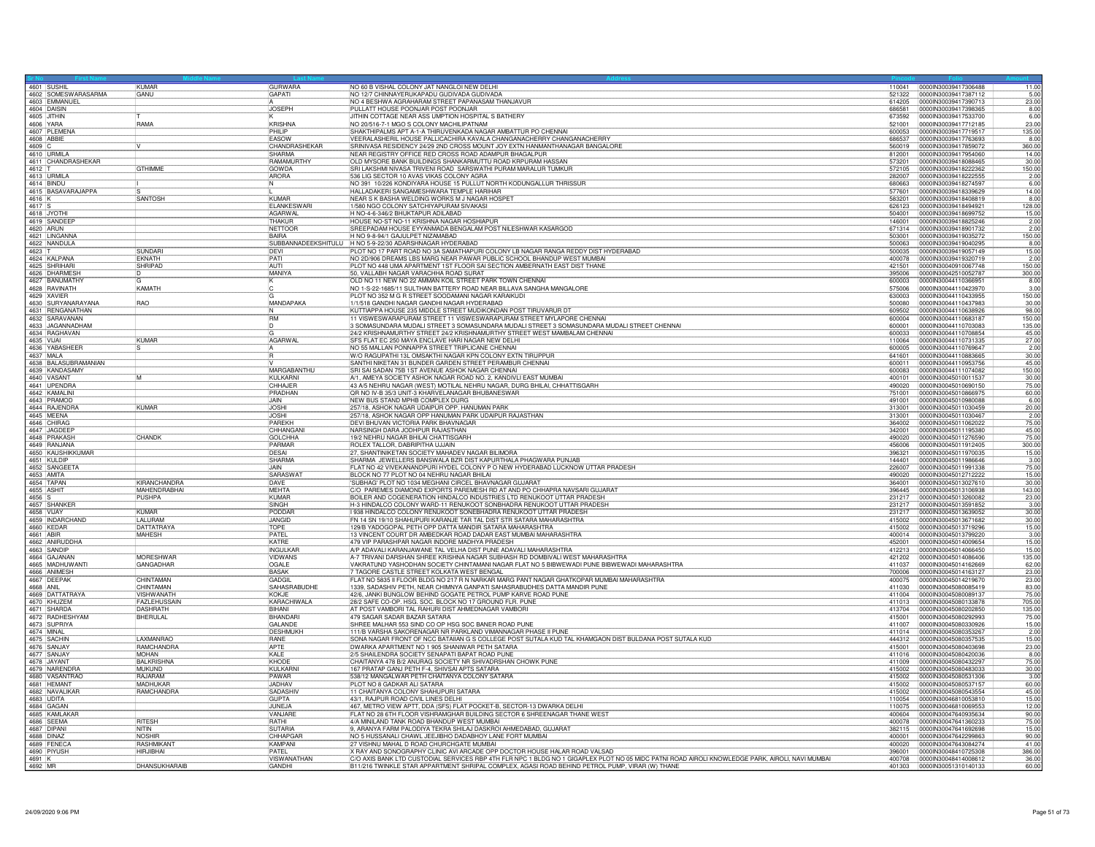|                       | 4601 SUSHIL                        | KUMAR                | GURWARA                        | NO 60 B VISHAL COLONY JAT NANGLOI NEW DELHI                                                                                                                                                                                                                                                                    | 110041           | 0000IN30039417306488<br>11.00                          |
|-----------------------|------------------------------------|----------------------|--------------------------------|----------------------------------------------------------------------------------------------------------------------------------------------------------------------------------------------------------------------------------------------------------------------------------------------------------------|------------------|--------------------------------------------------------|
|                       | 4602 SOMESWARASARMA                | GANU                 | GAPATI                         | NO 12/7 CHINNAYERUKAPADU GUDIVADA GUDIVADA                                                                                                                                                                                                                                                                     | 521322           | 0000IN30039417387112<br>5.00                           |
|                       | 4603 EMMANUEL                      |                      |                                | NO 4 BESHWA AGRAHARAM STREET PAPANASAM THANJAVUR                                                                                                                                                                                                                                                               | 614205           | 0000IN30039417390713<br>23.00                          |
|                       | 4604 DAISIN                        |                      | <b>JOSEPH</b>                  | PULLATT HOUSE POONJAR POST POONJAR                                                                                                                                                                                                                                                                             | 686581           | 0000IN30039417398365<br>8.00                           |
|                       | 4605 JITHIN                        |                      |                                | JITHIN COTTAGE NEAR ASS UMPTION HOSPITAL S BATHERY                                                                                                                                                                                                                                                             | 673592           | 0000IN30039417533700<br>6.00                           |
|                       | 4606 YARA                          | RAMA                 | KRISHNA                        | NO 20/516-7-1 MGO S COLONY MACHILIPATNAM                                                                                                                                                                                                                                                                       | 521001           | 0000IN30039417712185<br>23.00                          |
|                       | 4607 PLEMENA                       |                      | PHILIP                         | SHAKTHIPALMS APT A-1-A THIRUVENKADA NAGAR AMBATTUR PO CHENNAI                                                                                                                                                                                                                                                  | 600053           | 0000IN30039417719517<br>135.00                         |
|                       | 4608 ABBIE                         |                      | FASOW                          | VEERALASHERIL HOUSE PALLICACHIRA KAVALA CHANGANACHERRY CHANGANACHERRY                                                                                                                                                                                                                                          | 686537           | 0000IN30039417763693<br>8.00                           |
|                       | 4609 C<br>4610 URMILA              |                      | CHANDRASHEKAR                  | SRINIVASA RESIDENCY 24/29 2ND CROSS MOUNT JOY EXTN HANMANTHANAGAR BANGALORE                                                                                                                                                                                                                                    | 560019           | 0000IN30039417859072<br>360.00                         |
|                       |                                    |                      | SHARMA                         | NEAR REGISTRY OFFICE RED CROSS ROAD ADAMPUR BHAGALPUR                                                                                                                                                                                                                                                          | 812001           | 0000IN30039417954060<br>14.00                          |
|                       | 4611 CHANDRASHEKAR                 |                      | RAMAMURTHY                     | OLD MYSORE BANK BUILDINGS SHANKARMUTTU ROAD KRPURAM HASSAN                                                                                                                                                                                                                                                     | 573201           | 0000IN30039418088465<br>30.00                          |
| $4612$ T              |                                    | <b>GTHIMME</b>       | <b>GOWDA</b>                   | SRI LAKSHMI NIVASA TRIVENI ROAD SARSWATHI PURAM MARALUR TUMKUR                                                                                                                                                                                                                                                 | 572105           | 150.00<br>0000IN30039418222362                         |
|                       | 4613 URMILA                        |                      | ARORA                          | 536 LIG SECTOR 10 AVAS VIKAS COLONY AGRA                                                                                                                                                                                                                                                                       | 282007           | 0000IN30039418222555<br>2.00                           |
|                       | 4614 BINDU                         |                      | <b>N</b>                       | NO 391 10/226 KONDIYARA HOUSE 15 PULLUT NORTH KODUNGALLUR THRISSUR                                                                                                                                                                                                                                             | 680663           | 0000IN30039418274597<br>6.00                           |
|                       | 4615 BASAVARAJAPPA                 |                      |                                | HALLADAKERI SANGAMESHWARA TEMPLE HARIHAR                                                                                                                                                                                                                                                                       | 577601           | 14.00<br>0000IN30039418339629                          |
| 4616 K                |                                    | <b>SANTOSH</b>       | KUMAR                          | NEAR S K BASHA WELDING WORKS M J NAGAR HOSPET                                                                                                                                                                                                                                                                  | 583201           | 0000IN30039418408819<br>8.00                           |
| 4617 S                |                                    |                      | <b>FI ANKESWARI</b>            |                                                                                                                                                                                                                                                                                                                |                  | 128.00                                                 |
|                       |                                    |                      |                                | 1/580 NGO COLONY SATCHIYAPURAM SIVAKASI                                                                                                                                                                                                                                                                        | 626123           | 0000IN30039418494921                                   |
|                       | 4618 JYOTH                         |                      | AGARWAL                        | H NO-4-6-346/2 BHUKTAPUR ADILABAD                                                                                                                                                                                                                                                                              | 504001           | 0000IN30039418699752<br>15.00                          |
|                       | 4619 SANDEEF                       |                      | THAKUR                         | HOUSE NO-ST NO-11 KRISHNA NAGAR HOSHIAPUR                                                                                                                                                                                                                                                                      | 146001           | 2.00<br>0000IN30039418825246                           |
|                       | 4620 ARUN                          |                      | NETTOOR                        | SREEPADAM HOUSE EYYANMADA BENGALAM POST NILESHWAR KASARGOD                                                                                                                                                                                                                                                     | 671314           | 2.00<br>0000IN30039418901732                           |
|                       | 4621   INGANNA                     |                      | <b>BAIRA</b>                   | H NO 9-8-94/1 GAJULPET NIZAMABAD                                                                                                                                                                                                                                                                               | 503001           | 150.00<br>0000lN30039419035272                         |
|                       | 4622 NANDULA                       |                      |                                | SUBBANNADEEKSHITULU   H NO 5-9-22/30 ADARSHNAGAR HYDERABAD                                                                                                                                                                                                                                                     | 500063           | 0000IN30039419040295<br>8.00                           |
| 4623 T                |                                    | <b>SUNDAR</b>        |                                | PLOT NO 17 PART ROAD NO 3A SAMATHAPURI COLONY LB NAGAR RANGA REDDY DIST HYDERABAD                                                                                                                                                                                                                              | 500035           | 15.00<br>0000IN30039419057149                          |
|                       | 4624 KALPANA                       | EKNATH               | PATI                           | NO 2D/906 DREAMS LBS MARG NEAR PAWAR PUBLIC SCHOOL BHANDUP WEST MUMBAI                                                                                                                                                                                                                                         | 400078           | 0000IN30039419320719<br>2.00                           |
|                       | 4625 SHRIHAR                       | SHRIPAD              | AUTI                           | PLOT NO 448 UMA APARTMENT 1ST FLOOR SAI SECTION AMBERNATH EAST DIST THANE                                                                                                                                                                                                                                      | 421501           | 150.00<br>0000IN30040910067748                         |
|                       |                                    |                      | MANIYA                         | 50, VALLABH NAGAR VARACHHA ROAD SURAT                                                                                                                                                                                                                                                                          | 395006           | 0000lN30042510052787<br>300.00                         |
|                       | 4626 DHARMESH<br>4627 BANUMATHY    |                      | ΪK                             | OLD NO 11 NEW NO 22 AMMAN KOIL STREET PARK TOWN CHENNAL                                                                                                                                                                                                                                                        | 600003           | 0000IN30044110366951<br>8.00                           |
|                       | 4628 RAVINATH                      | KAMATH               |                                | NO 1-S-22-1685/11 SULTHAN BATTERY ROAD NEAR BILLAVA SANGHA MANGALORE                                                                                                                                                                                                                                           | 575006           | 0000IN30044110423970<br>3.00                           |
|                       | 4629 XAVIER                        |                      |                                | PLOT NO 352 M G R STREET SOODAMANI NAGAR KARAIKUDI                                                                                                                                                                                                                                                             | 630003           | 150.00<br>0000IN30044110433955                         |
|                       | 4630 SURYANARAYANA                 | RÄO                  | MANDAPAKA                      | 1/1/518 GANDHI NAGAR GANDHI NAGAR HYDERABAD                                                                                                                                                                                                                                                                    | 500080           | 0000IN30044110437983<br>30.00                          |
|                       |                                    |                      |                                | KUTTIAPPA HOUSE 235 MIDDLE STREET MUDIKONDAN POST TIRUVARUR DT                                                                                                                                                                                                                                                 | 609502           | 0000IN30044110638926<br>98.00                          |
|                       | 4631 RENGANATHAN<br>4632 SARAVANAN |                      | <b>RM</b>                      | 11 VISWESWARAPURAM STREET 11 VISWESWARAPURAM STREET MYLAPORE CHENNAL                                                                                                                                                                                                                                           | 600004           | 0000lN30044110683187<br>150.00                         |
|                       | 4633 JAGANNADHAM                   |                      | 1D                             | 3 SOMASUNDARA MUDALI STREET 3 SOMASUNDARA MUDALI STREET 3 SOMASUNDARA MUDALI STREET CHENNAI                                                                                                                                                                                                                    | 600001           | 0000lN30044110703083<br>135.00                         |
|                       | 4634 RAGHAVAN                      |                      | lG.                            | 24/2 KRISHNAMURTHY STREET 24/2 KRISHNAMURTHY STREET WEST MAMBALAM CHENNAI                                                                                                                                                                                                                                      | 600033           | 45.00<br>0000IN30044110708854                          |
|                       | 4635 VIJAI                         | KUMAR                | <b>AGARWAL</b>                 | ISFS FLAT EC 250 MAYA ENCLAVE HARI NAGAR NEW DELHI                                                                                                                                                                                                                                                             | 110064           | 0000IN30044110731335<br>27.00                          |
|                       |                                    |                      |                                |                                                                                                                                                                                                                                                                                                                |                  |                                                        |
|                       | 4636 YABASHEER<br>4637 MALA        |                      |                                | NO 55 MALLAN PONNAPPA STREET TRIPLICANE CHENNAI                                                                                                                                                                                                                                                                | 600005           | 0000lN30044110769647<br>2.00                           |
|                       |                                    |                      | ĪR                             | W/O RAGUPATHI 13L OMSAKTHI NAGAR KPN COLONY EXTN TIRUPPUR                                                                                                                                                                                                                                                      | 641601           | 30.00<br>0000IN30044110883665                          |
|                       | 4638 BALASUBRAMANIAN               |                      |                                | SANTHI NIKETAN 31 BUNDER GARDEN STREET PERAMBUR CHENNAL                                                                                                                                                                                                                                                        | 600011           | 0000IN30044110953756<br>45.00                          |
|                       | 4639 KANDASAMY                     |                      | MARGABANTHU                    | SRI SAI SADAN 75B 1ST AVENUE ASHOK NAGAR CHENNAL                                                                                                                                                                                                                                                               | 600083           | 0000IN30044111074082<br>150.00                         |
|                       | 4640 VASANT                        | <b>IM</b>            | KULKARNI                       | A/1, AMEYA SOCIETY ASHOK NAGAR ROAD NO. 2, KANDIVLI EAST MUMBAI                                                                                                                                                                                                                                                | 400101           | 0000IN30045010011537<br>30.00                          |
|                       | 4641 UPENDRA                       |                      | CHHAJER                        | 43 A/5 NEHRU NAGAR (WEST) MOTILAL NEHRU NAGAR, DURG BHILAI, CHHATTISGARH                                                                                                                                                                                                                                       | 490020           | 0000IN30045010690150<br>75.00                          |
|                       | 4642 KAMALINI                      |                      | PRADHAN                        | OR NO IV-B 35/3 UNIT-3 KHARVELANAGAR BHUBANESWAR                                                                                                                                                                                                                                                               | 751001           | 0000IN30045010866975<br>60.00                          |
|                       | 4643 PRAMOD                        |                      | JAIN                           | NEW BUS STAND MPHB COMPLEX DURG                                                                                                                                                                                                                                                                                | 491001           | 0000IN30045010980088<br>6.00                           |
|                       | 4644 RAJENDRA                      | KUMAR                | <b>I.IOSHI</b>                 | 257/18, ASHOK NAGAR UDAIPUR OPP. HANUMAN PARK                                                                                                                                                                                                                                                                  | 313001           | 0000IN30045011030459<br>20.00                          |
|                       | 4645 MEENA                         |                      | <b>JOSHI</b>                   | 257/18, ASHOK NAGAR OPP HANUMAN PARK UDAIPUR RAJASTHAN                                                                                                                                                                                                                                                         | 313001           | 00000N30045011030467<br>2.00                           |
|                       | 4646 CHIRAG                        |                      | PARFKH                         | DEVI BHUVAN VICTORIA PARK BHAVNAGAR                                                                                                                                                                                                                                                                            | 364002           | 0000IN30045011062022<br>75.00                          |
|                       | 4647 JAGDEER                       |                      | CHHANGAN                       | NARSINGH DARA JODHPUR RAJASTHAN                                                                                                                                                                                                                                                                                | 342001           | 45.00<br>0000IN30045011195380                          |
|                       | 4648 PRAKASH                       | CHANDK               | <b>GOI CHHA</b>                | 19/2 NEHRU NAGAR BHILAI CHATTISGARH                                                                                                                                                                                                                                                                            | 490020           | 0000IN30045011276590<br>75.00                          |
|                       | 4649 RANJANA                       |                      | PARMAR                         | ROLEX TALLOR, DABRIPITHA UJJAIN                                                                                                                                                                                                                                                                                | 456006           | 0000IN30045011912405<br>300.00                         |
|                       | 4650 KAUSHIKKUMAR                  |                      | <b>DESAI</b>                   | 27, SHANTINIKETAN SOCIETY MAHADEV NAGAR BILIMORA                                                                                                                                                                                                                                                               | 396321           | 0000IN30045011970035<br>15.00                          |
|                       | 4651 KULDIP                        |                      | <b>SHARMA</b>                  | SHARMA JEWELLERS BANSWALA BZR DIST KAPURTHALA PHAGWARA PUNJAB                                                                                                                                                                                                                                                  | 144401           | 0000IN30045011986646<br>3.00                           |
|                       | 4652 SANGEET/                      |                      | <b>LJAIN</b>                   | FLAT NO 42 VIVEKANANDPURI HYDEL COLONY P O NEW HYDERABAD LUCKNOW UTTAR PRADESH                                                                                                                                                                                                                                 | 226007           | 75.00<br>0000IN30045011991338                          |
|                       |                                    |                      |                                |                                                                                                                                                                                                                                                                                                                |                  |                                                        |
|                       | 4653 AMITA                         |                      | SARASWAT                       | BLOCK NO 77 PLOT NO 04 NEHRU NAGAR BHILAI                                                                                                                                                                                                                                                                      | 490020           | 0000IN30045012712222<br>15.00                          |
|                       | 4654 TAPAN                         | KIRANCHANDRA         | DAVE                           | 'SUBHAG' PLOT NO 1034 MEGHANI CIRCEL BHAVNAGAR GUJARAT                                                                                                                                                                                                                                                         | 364001           | 0000lN30045013027610<br>30.00                          |
|                       | 4655 ASHIT                         | MAHENDRABHA          | <b>MEHTA</b>                   | C/O PAREMES DIAMOND EXPORTS PAREMESH RD AT AND PO CHHAPRA NAVSARI GUJARAT                                                                                                                                                                                                                                      | 396445           | 0000IN30045013106938<br>143.00                         |
| 4656 S                |                                    | PUSHPA               | KUMAR                          | BOILER AND COGENERATION HINDALCO INDUSTRIES LTD RENUKOOT UTTAR PRADESH                                                                                                                                                                                                                                         | 231217           | 0000IN30045013260082<br>23.00                          |
|                       | 4657 SHANKER                       |                      | <b>SINGH</b>                   | H-3 HINDALCO COLONY WARD-11 RENUKOOT SONBHADRA RENUKOOT UTTAR PRADESH                                                                                                                                                                                                                                          | 231217           | 3.00<br>0000IN30045013591852                           |
|                       | 4658 VIJAY                         | KUMAR                | PODDAR                         | I 938 HINDALCO COLONY RENUKOOT SONEBHADRA RENUKOOT UTTAR PRADESH                                                                                                                                                                                                                                               | 231217           | 30.00<br>0000IN30045013639052                          |
|                       | 4659   INDARCHAND                  | LALURAN              | JANGID                         | FN 14 SN 19/10 SHAHUPURI KARANJE TAR TAL DIST STR SATARA MAHARASHTRA                                                                                                                                                                                                                                           | 415002           | 0000IN30045013671682<br>30.00                          |
|                       | 4660 KEDAR                         | <b>DATTATRAYA</b>    | TOPE                           | 129/B YADOGOPAL PETH OPP DATTA MANDIR SATARA MAHARASHTRA                                                                                                                                                                                                                                                       | 415002           | 15.00<br>0000IN30045013719296                          |
| 4661 ABIR             |                                    | <b>MAHESH</b>        | PATFI                          | 13 VINCENT COURT DR AMBEDKAR ROAD DADAR EAST MUMBAI MAHARASHTRA                                                                                                                                                                                                                                                | 400014           | 3.00<br>0000IN30045013799220                           |
|                       | 4662 ANIRUDDHA                     |                      | KATRE                          | 479 VIP PARASHPAR NAGAR INDORE MADHYA PRADESH                                                                                                                                                                                                                                                                  | 452001           | 15.00<br>0000IN30045014009654                          |
|                       | 4663 SANDIP                        |                      | INGULKAF                       | A/P ADAVALI KARANJAWANE TAL VELHA DIST PUNE ADAVALI MAHARASHTRA                                                                                                                                                                                                                                                | 412213           | 0000IN30045014066450<br>15.00                          |
|                       | 4664 GAJANAN                       | <b>MORESHWAR</b>     | <b>VIDWANS</b>                 |                                                                                                                                                                                                                                                                                                                |                  |                                                        |
|                       | 4665 MADHUWANT                     |                      |                                | A-7 TRIVANI DARSHAN SHREE KRISHNA NAGAR SUBHASH RD DOMBIVALI WEST MAHARASHTRA                                                                                                                                                                                                                                  | 421202           | 0000IN30045014086406<br>135.00                         |
|                       |                                    | <b>GANGADHAR</b>     | <b>OGALE</b>                   | VAKRATUND YASHODHAN SOCIETY CHINTAMANI NAGAR FLAT NO 5 BIBWEWADI PUNE BIBWEWADI MAHARASHTRA                                                                                                                                                                                                                    | 411037           | 00000N30045014162669<br>62.00                          |
|                       |                                    |                      | <b>BASAK</b>                   | 7 TAGORE CASTLE STREET KOLKATA WEST BENGAL                                                                                                                                                                                                                                                                     | 700006           | 0000IN30045014163127<br>23.00                          |
|                       | 4666 ANIMESH                       | CHINTAMAN            | GADGIL                         | FLAT NO 5835 II FLOOR BLDG NO 217 R N NARKAR MARG PANT NAGAR GHATKOPAR MUMBAI MAHARASHTRA                                                                                                                                                                                                                      | 400075           | 0000IN30045014219670<br>23.00                          |
|                       |                                    | CHINTAMAN            | SAHASRABUDHE                   | 1339, SADASHIV PETH, NEAR CHIMNYA GANPATI SAHASRABUDHES DATTA MANDIR PUNE                                                                                                                                                                                                                                      | 411030           | 0000IN30045080085419<br>83.00                          |
| 4668 ANIL             | 4669 DATTATRAYA                    | <b>VISHWANATH</b>    | KOKJE                          | 42/6, JANKI BUNGLOW BEHIND GOGATE PETROL PUMP KARVE ROAD PUNE                                                                                                                                                                                                                                                  | 411004           | 0000IN30045080089137<br>75.00                          |
|                       | 4670 KHUZEM                        | <b>FAZI FHUSSAIN</b> | KARACHIWALA                    | 28/2 SAFE CO-OP. HSG. SOC. BLOCK NO 17 GROUND FLR. PUNE                                                                                                                                                                                                                                                        | 411013           | 0000IN30045080133878<br>705.00                         |
|                       |                                    | <b>DASHRATH</b>      | BIHANI                         |                                                                                                                                                                                                                                                                                                                |                  |                                                        |
|                       |                                    |                      |                                | AT POST VAMBORI TAL RAHURI DIST AHMEDNAGAR VAMBORI                                                                                                                                                                                                                                                             | 413704<br>415001 | 0000IN30045080202850<br>135.00<br>0000IN30045080292993 |
|                       | 4671 SHARDA<br>4672 RADHESHYAM     | BHERULAL             | BHANDAR                        | 479 SAGAR SADAR BAZAR SATARA                                                                                                                                                                                                                                                                                   |                  | 75.00                                                  |
|                       | 4673 SUPRIYA                       |                      | GALANDE                        |                                                                                                                                                                                                                                                                                                                | 411007           | 15.00<br>0000IN30045080330926                          |
|                       | 4674 MINAI                         | <b>LAXMANRAC</b>     | <b>DESHMUKH</b><br><b>RANF</b> |                                                                                                                                                                                                                                                                                                                | 411014           | 0000IN30045080353267<br>2.00                           |
|                       | 4675 SACHIN                        |                      |                                | SHREE MALHAR 553 SIND CO OP HSG SOC BANER ROAD PUNE<br>111/18 VARSHA SAKORENAGAR NR PARKLAND VIMANNAGAR PHASE II PUNE<br>150NA NAGAR FRONT OF NCC BATAIIAN G S COLLEGE POST SUTALA KUD TAL KHAMGAON DIST BULDANA POST SUTALA KUD                                                                               | 444312           | 15.00<br>0000IN30045080357535                          |
|                       | 4676 SANJAY                        | RAMCHANDRA           | APTE                           | DWARKA APARTMENT NO 1 905 SHANIWAR PETH SATARA                                                                                                                                                                                                                                                                 | 415001           | 0000IN30045080403698<br>23.00                          |
|                       | 4677 SANJAY                        | <b>MOHAN</b>         | KALE                           | 2/5 SHAILENDRA SOCIETY SENAPATI BAPAT ROAD PUNE                                                                                                                                                                                                                                                                | 411016           | 0000IN30045080420036<br>8.00                           |
|                       | 4678 JAYANT                        | <b>BALKRISHNA</b>    | KHODE                          | CHAITANYA 478 B/2 ANURAG SOCIETY NR SHIVADRSHAN CHOWK PUNE                                                                                                                                                                                                                                                     | 411009           | 75.00<br>0000IN30045080432297                          |
|                       | 4679 NARENDRA                      | <b>MUKUND</b>        | KULKARNI                       | 167 PRATAP GANJ PETH F-4, SHIVSAI APTS SATARA                                                                                                                                                                                                                                                                  | 415002           | 0000IN30045080483033<br>30.00                          |
|                       | 4680 VASANTRAO                     | <b>RAJARAM</b>       | PAWAR                          | 538/12 MANGALWAR PETH CHAITANYA COLONY SATARA                                                                                                                                                                                                                                                                  | 415002           | 0000lN30045080531306<br>3.00                           |
|                       | 4681 HEMAN                         | MADHUKAF             | JADHAV                         | PLOT NO 8 GADKAR ALI SATARA                                                                                                                                                                                                                                                                                    | 415002           | 0000IN30045080537157<br>60.00                          |
|                       | 4682 NAVALIKAR                     | RAMCHANDRA           | <b>SADASHIV</b>                | 11 CHAITANYA COLONY SHAHUPURI SATARA                                                                                                                                                                                                                                                                           | 415002           | 0000IN30045080543554<br>45.00                          |
|                       | 4683 UDITA                         |                      | <b>GUPTA</b>                   | 43/1, RAJPUR ROAD CIVIL LINES DELHI                                                                                                                                                                                                                                                                            | 110054           | 0000IN30046810053810<br>15.00                          |
|                       | 4684 GAGAN                         |                      | JUNEJA                         | 467, METRO VIEW APTT, DDA (SFS) FLAT POCKET-B, SECTOR-13 DWARKA DELHI                                                                                                                                                                                                                                          | 110075           | 0000IN30046810069553<br>12.00                          |
|                       | 4685 KAMLAKAR                      |                      | VANJARE                        | FLAT NO 28 6TH FLOOR VISHRAMGHAR BUILDING SECTOR 6 SHREENAGAR THANE WEST                                                                                                                                                                                                                                       | 400604           | 0000IN30047640935634<br>90.00                          |
|                       | 4686 SEEMA                         | <b>RITESH</b>        | <b>RATHI</b>                   | 4/A MINILAND TANK ROAD BHANDUP WEST MUMBAI                                                                                                                                                                                                                                                                     | 400078           | 0000IN30047641360233<br>75.00                          |
|                       | 4687 DIPANI                        | NITIN                | <b>SUTARIA</b>                 | 9, ARANYA FARM PALODIYA TEKRA SHILAJ DASKROI AHMEDABAD, GUJARAT                                                                                                                                                                                                                                                | 382115           | 15.00<br>0000IN30047641692698                          |
|                       | 4688 DINAZ                         | <b>NOSHIR</b>        | CHHAPGAR                       | NO 5 HUSSANALI CHAWL JEEJIBHO DADABHOY LANE FORT MUMBAI                                                                                                                                                                                                                                                        | 400001           | 0000IN30047642299863<br>90.00                          |
|                       | 4689 FENECA                        | RASHMIKANT           | KAMPANI                        | 27 VISHNU MAHAL D ROAD CHURCHGATE MUMBAI                                                                                                                                                                                                                                                                       | 400020           | 0000IN30047643084274<br>41.00                          |
|                       |                                    | <b>HIRJIBHAI</b>     | PATEL                          |                                                                                                                                                                                                                                                                                                                | 396001           | 386.00<br>0000IN30048410725308                         |
| $4691$ K<br>$4692$ MR | 4690 PIYUSH                        | DHANSUKHARAIB        | <b>VISWANATHAM</b>             | X RAY AND SONOGRAPHY CLINIC AVI ARCADE OPP DOCTOR HOUSE HALAR ROAD VALSAD<br>C/O AXIS BANK LTD CUSTODIAL SERVICES RBP 4TH FLR NPC 1 BLDG NO 1 GIGAPLEX PLOT NO 05 MIDC PATNI ROAD AIROLI KNOWLEDGE PARK, AIROLI, NAVI MUMBAL<br>B11/216 TWINKLE STAR APPARTMENT SHRIPAL COMPLEX, AGASI ROAD BEHIND PETROL PUMP | 400708           | 36.00<br>0000IN30048414008612                          |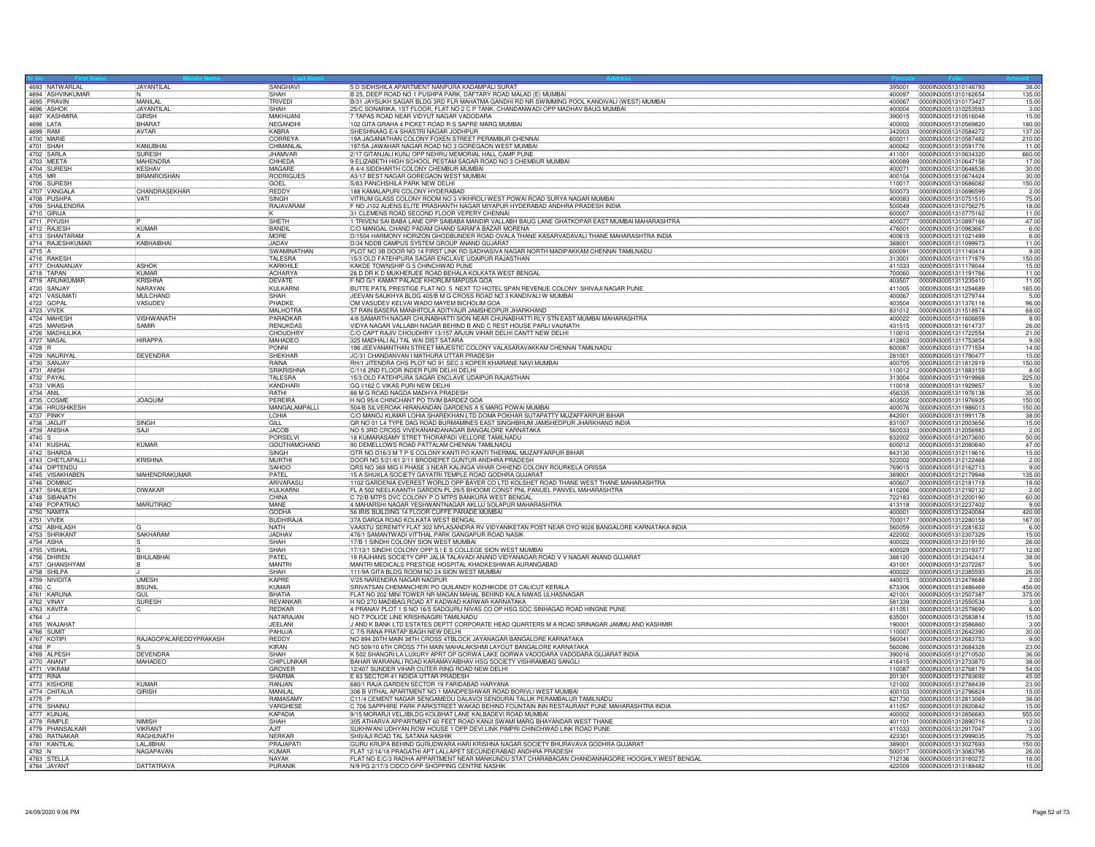| 4693 NATWARLAL                 | 4694 ASHVINKUMAR | JAYANTILAL              | SANGHAVI<br>SHAH                   | 5 D SIDHSHILA APARTMENT NANPURA KADAMPALI SURAT<br>B 25, DEEP ROAD NO 1 PUSHPA PARK, DAFTARY ROAD MALAD (E) MUMBAI                                      | 395001<br>400097 | 0000lN30051310148793<br>38.00<br>135.00<br>0000IN30051310162654  |
|--------------------------------|------------------|-------------------------|------------------------------------|---------------------------------------------------------------------------------------------------------------------------------------------------------|------------------|------------------------------------------------------------------|
| 4695 PRAVIN                    |                  | MANILAL                 | TRIVEDI                            | B/31 JAYSUKH SAGAR BLDG 3RD FLR MAHATMA GANDHI RD NR SWIMMING POOL KANDIVALI (WEST) MUMBAI                                                              | 400067           | 0000lN30051310173427<br>15.00                                    |
| 4696 ASHOP                     |                  | JAYANTILA               | SHAH                               | 25/C SONARIKA, 1ST FLOOR, FLAT NO 2 C P TANK, CHANDANWADI OPP MADHAV BAUG MUMBAI                                                                        | 400004           | 0000IN30051310253593<br>3.00                                     |
| 4697 KASHMIRA                  |                  | <b>GIRISH</b>           | MAKHIJAN                           | 7 TAPAS ROAD NEAR VIDYUT NAGAR VADODARA                                                                                                                 | 390015           | 0000lN30051310516048<br>15.00                                    |
| 4698 LATA                      |                  | <b>BHARA</b>            | NEGANDHI                           | 102 GITA GRAHA 4 PICKET ROAD R S SAPRE MARG MUMBAL                                                                                                      | 400002           | 0000IN30051310569820<br>180.00                                   |
| 4699 RAM                       |                  | AVTAR                   | KARRA                              | SHESHNAAG E/4 SHASTRI NAGAR JODHPUR                                                                                                                     | 342003           | 137.00<br>0000IN30051310584272                                   |
| 4700 MARIE<br>4701 SHAH        |                  | KANUBHAI                | CORREYA<br>CHIMANLAL               | 19A JAGANATHAN COLONY FOXEN STREET PERAMBUR CHENNAI<br>197/5A JAWAHAR NAGAR ROAD NO 3 GOREGAON WEST MUMBAI                                              | 600011<br>400062 | 0000IN30051310587482<br>210.00<br>0000IN30051310591776<br>11.00  |
| 4702 SARLA                     |                  | <b>SURESH</b>           | JHAMVAR                            | 2/17 GITANJALI KUNJ OPP NEHRU MEMORIAL HALL CAMP PUNE                                                                                                   | 411001           | 0000IN30051310634320<br>660.00                                   |
| 4703 MEETA                     |                  | MAHENDRA                | CHHEDA                             | 9 ELIZABETH HIGH SCHOOL PESTAM SAGAR ROAD NO 3 CHEMBUR MUMBAI                                                                                           | 400089           | 0000IN30051310647158<br>17.00                                    |
| 4704 SURESH                    |                  | KESHAV                  | MAGARE                             | A 4/4 SIDDHARTH COLONY CHEMBUR MUMBAI                                                                                                                   | 400071           | 30.00<br>0000lN30051310648536                                    |
| 4705 MR                        |                  | <b>BRIANROSHAN</b>      | RODRIGUE                           | A3/17 BEST NAGAR GOREGAON WEST MUMBAI                                                                                                                   | 400104           | 0000IN30051310674424<br>30.00                                    |
| 4706 SURESH<br>4707 VANGALA    |                  | CHANDRASEKHAR           | GOEL<br>REDDY                      | S/83 PANCHSHILA PARK NEW DELHI<br>188 KAMALAPURI COLONY HYDERABAD                                                                                       | 110017<br>500073 | 0000IN30051310686082<br>150.00<br>0000IN30051310696599<br>2.00   |
| 4708 PUSHPA                    |                  | VATI                    | SINGH                              | VITRUM GLASS COLONY ROOM NO 3 VIKHROLI WEST POWAI ROAD SURYA NAGAR MUMBAI                                                                               | 400083           | 75.00<br>0000IN30051310751510                                    |
|                                | 4709 SHAILENDRA  |                         | RAJAVARAM                          | F NO J102 ALIENS ELITE PRASHANTH NAGAR MIYAPUR HYDERABAD ANDHRA PRADESH INDIA                                                                           | 500049           | 0000IN30051310756275<br>18.00                                    |
| 4710 GIRIJA                    |                  |                         |                                    | 31 CLEMENS ROAD SECOND FLOOR VEPERY CHENNAL                                                                                                             | 600007           | 0000lN30051310775162<br>11.00                                    |
| 4711 PIYUSH                    |                  |                         | SHETH                              | 1 TRIVENI SAI BABA LANE OPP SAIBABA MANDIR VALLABH BAUG LANE GHATKOPAR EAST MUMBAI MAHARASHTRA                                                          | 400077           | 0000IN30051310897166<br>47.00                                    |
| 4712 RAJESH                    | 4713 SHANTARAM   | <b>KUMAR</b>            | <b>BANDIL</b><br><b>MORF</b>       | C/O MANGAL CHAND PADAM CHAND SARAFA BAZAR MORENA<br>D/1504 HARMONY HORIZON GHODBUNDER ROAD OVALA THANE KASARVADAVALI THANE MAHARASHTRA INDIA            | 476001<br>400615 | 0000IN30051310963667<br>6.00<br>0000IN30051311021499<br>6.00     |
|                                | 4714 RAJESHKUMAR | KABHAIBHAI              | <b>JADAV</b>                       | D/34 NDDB CAMPUS SYSTEM GROUP ANAND GUJARAT                                                                                                             | 388001           | 0000IN30051311099973<br>11.00                                    |
| 4715 A                         |                  |                         | <b>SWAMINATHAN</b>                 | PLOT NO 3B DOOR NO 14 FIRST LINK RD SADHASIVA NAGAR NORTH MADIPAKKAM CHENNAI TAMILNADU                                                                  | 600091           | 0000lN30051311140414<br>9.00                                     |
| 4716 RAKESH                    |                  |                         | <b>TAI FSRA</b>                    | 15/3 OLD FATEHPURA SAGAR ENCLAVE UDAIPUR RAJASTHAN                                                                                                      | 313001           | 0000IN30051311171979<br>150.00                                   |
| 4717 DHANANJAY                 |                  | <b>ASHOK</b>            | KARKHILE                           | KAKDE TOWNSHIP G 5 CHINCHWAD PUNE                                                                                                                       | 411033           | 15.00<br>0000IN30051311178044                                    |
| 4718 TAPAN                     |                  | <b>KIMAR</b><br>KRISHNA | ACHARYA                            | 28 D DR K D MUKHERJEE ROAD BEHALA KOLKATA WEST BENGAL                                                                                                   | 700060           | 0000IN30051311191766<br>11.00                                    |
| 4719 ARUNKUMAR<br>4720 SANJAY  |                  | NARAYAN                 | <b>IDEVATE</b><br>KULKARNI         | F NO G/1 KAMAT PALACE KHORLIM MAPUSA GOA<br>BUTTE PATIL PRESTIGE FLAT NO. 5 NEXT TO HOTEL SPAN REVENUE COLONY SHIVAJI NAGAR PUNE                        | 403507<br>411005 | 0000IN30051311235410<br>11.00<br>0000IN30051311254689<br>165.00  |
| 4721 VASUMAT                   |                  | <b>MULCHAND</b>         | SHAH                               | JEEVAN SAUKHYA BLDG 405/B M G CROSS ROAD NO 3 KANDIVALI W MUMBAI                                                                                        | 400067           | 0000lN30051311279744<br>5.00                                     |
| 4722 GOPAL                     |                  | <b>VASUDEV</b>          | PHADKE                             | OM VASUDEV KELVAI WADO MAYEM BICHOLIM GOA                                                                                                               | 403504           | 96.00<br>0000IN30051311376118                                    |
| 4723 VIVEK                     |                  |                         | MALHOTRA                           | 57 RAIN BASERA MANIHITOLA ADITYAUR JAMSHEDPUR JHARKHAND                                                                                                 | 831012           | 0000IN30051311518974<br>68.00                                    |
| 4724 MAHESH                    |                  | <b>VISHWANATH</b>       | PARADKAR                           | 4/8 SAMARTH NAGAR CHUNABHATTI SION NEAR CHUNABHATTI RLY STN EAST MUMBAI MAHARASHTRA                                                                     | 400022           | 0000IN30051311608859<br>8.00                                     |
| 4725 MANISHA<br>4726 MADHULIKA |                  | SAMIR                   | <b>RENUKDAS</b><br><b>CHOUDHRY</b> | VIDYA NAGAR VALLABH NAGAR BEHIND B AND C REST HOUSE PARLI VAIJNATH<br>C/O CAPT RAJIV CHOUDHRY 13/157 ARJUN VIHAR DELHI CANTT NEW DELHI                  | 431515<br>110010 | 0000IN30051311614737<br>26.00<br>0000IN30051311722554<br>21.00   |
| 4727 MASAL                     |                  | <b>HIRAPPA</b>          | MAHADEO                            | 325 MADHALI ALI TAL WAI DIST SATARA                                                                                                                     | 412803           | 0000IN30051311753854<br>9.00                                     |
| 4728 R                         |                  |                         | PONNI                              | 196 JEEVANANTHAN STREET MAJESTIC COLONY VALASARAVAKKAM CHENNAI TAMILNADU                                                                                | 600087           | 0000IN30051311771554<br>14.00                                    |
| 4729 NAURIYAL                  |                  | <b>DEVENDRA</b>         | SHEKHAR                            | JC/31 CHANDANVAN I MATHURA UTTAR PRADESH                                                                                                                | 281001           | 0000IN30051311790477<br>15.00                                    |
| 4730 SANJAY                    |                  |                         | <b>RAINA</b>                       | RH/1 JITENDRA CHS PLOT NO 91 SEC 3 KOPER KHAIRANE NAVI MUMBAI                                                                                           | 400705           | 0000IN30051311812919<br>150.00                                   |
| 4731 ANISH<br>4732 PAYAL       |                  |                         | SRIKRISHNA<br><b>TALESRA</b>       | C/116 2ND FLOOR INDER PURI DELHI DELHI<br>15/3 OLD FATEHPURA SAGAR ENCLAVE UDAIPUR RAJASTHAN                                                            | 110012<br>313004 | 0000IN30051311883159<br>8.00<br>225.00<br>00000830051311919968   |
|                                |                  |                         | KANDHAR                            | GG I/162 C VIKAS PURI NEW DELHI                                                                                                                         | 110018           | 0000IN30051311929857<br>5.00                                     |
| 4733 VIKAS                     |                  |                         | <b>RATHI</b>                       | 88 M G ROAD NAGDA MADHYA PRADESH                                                                                                                        | 456335           | 0000IN30051311976138<br>35.00                                    |
| 4735 COSME                     |                  | <b>JOAQUIM</b>          | PERFIRA                            | H NO 95/4 CHINCHANT PO TIVIM BARDEZ GOA                                                                                                                 | 403502           | 0000IN30051311976935<br>150.00                                   |
|                                | 4736 HRUSHIKESH  |                         | MANGALAMPALLI                      | 504/B SILVEROAK HIRANANDAN GARDENS A S MARG POWAI MUMBAI                                                                                                | 400076           | 0000IN30051311986013<br>150.00                                   |
| 4737 PINKY                     |                  |                         | <b>I</b> OHIA                      | C/O MANOJ KUMAR LOHIA SHAREKHAN LTD DOMA POKHAR SUTAPATTY MUZAFFARPUR BIHAR                                                                             | 842001<br>831007 | 0000IN30051311991178<br>38.00                                    |
| 4738 JAGJIT<br>4739 ANISHA     |                  | <b>SINGH</b><br>SAJI    | GILL<br><b>JACOB</b>               | OR NO 01 L4 TYPE DAG ROAD BURMAMINES EAST SINGHBHUM JAMSHEDPUR JHARKHAND INDIA<br>NO 5 3RD CROSS VIVEKANANDANAGAR BANGALORE KARNATAKA                   | 560033           | 0000IN30051312003656<br>15.00<br>2.00<br>0000IN30051312056983    |
| 4740 S                         |                  |                         | PORSELVI                           | 18 KUMARASAMY STRET THORAPADI VELLORE TAMILNADU                                                                                                         | 632002           | 0000IN30051312073600<br>50.00                                    |
| 4741 KUSHA                     |                  | <b>KUMAR</b>            | <b>GOUTHAMCHAND</b>                | 90 DEMELLOWS ROAD PATTALAM CHENNAI TAMILNADU                                                                                                            | 600012           | 47.00<br>0000IN30051312080640                                    |
| 4742 SHARDA                    |                  |                         | <b>ISINGH</b>                      | OTR NO D16/3 M T P S COLONY KANTI PO KANTI THERMAL MUZAFFARPUR BIHAR                                                                                    | 843130           | 15.00<br>0000IN30051312119616                                    |
| 4744 DIPTENDU                  | 4743 CHETLAPALLI | <b>KRISHNA</b>          | <b>MURTH</b><br><b>SAHOO</b>       | DOOR NO 5/21/61 2/11 BRODIEPET GUNTUR ANDHRA PRADESH<br>ORS NO 368 MIG II PHASE 3 NEAR KALINGA VIHAR CHHEND COLONY ROURKELA ORISSA                      | 522002<br>769015 | 0000lN30051312122468<br>2.00<br>9.00<br>0000IN30051312162713     |
|                                | 4745 VISAKHABEN  | MAHENDRAKUMAR           | PATEL                              | 15 A SHUKLA SOCIETY GAYATRI TEMPLE ROAD GODHRA GUJARAT                                                                                                  | 389001           | 0000IN30051312179948<br>135.00                                   |
| 4746 DOMINIC                   |                  |                         | ARIVARASI                          | 1102 GARDENIA EVEREST WORLD OPP BAYER CO LTD KOLSHET ROAD THANE WEST THANE MAHARASHTRA                                                                  | 400607           | 0000IN30051312181718<br>18.00                                    |
| 4747 SHALIESH                  |                  | <b>DIWAKAR</b>          | KULKARNI                           | FL A 502 NEELKAANTH GARDEN PL 29/5 BHOOMI CONST PNL PANUEL PANVEL MAHARASHTRA                                                                           | 410206           | 0000IN30051312192132<br>2.00                                     |
| 4748 SIBANATH                  |                  |                         | CHINA                              | C 72/B MTPS DVC COLONY P O MTPS BANKURA WEST BENGAL                                                                                                     | 722183           | 0000lN30051312200190<br>60.00                                    |
| 4749 POPATRAO                  |                  | <b>MARUTIRAO</b>        | MANE                               | 4 MAHARSHI NAGAR YESHWANTNAGAR AKLUJ SOLAPUR MAHARASHTRA                                                                                                | 413118           | 0000IN30051312237402<br>9.00                                     |
| 4750 NAMITA<br>4751 VIVEK      |                  |                         | GODHA<br>BUDHIRAJA                 | 56 IRIS BUILDING 14 FLOOR CUFFE PARADE MUMBAI<br>37A DARGA ROAD KOLKATA WEST BENGAL                                                                     | 400001<br>700017 | 0000IN30051312240084<br>420.00<br>0000IN30051312280158<br>167.00 |
| 4752 ABHILASH                  |                  |                         | NATH                               | VAASTU SERENITY FLAT 302 MYLASANDRA RV VIDYANIKETAN POST NEAR OYO 9026 BANGALORE KARNATAKA INDIA                                                        | 560059           | 0000IN30051312281632<br>6.00                                     |
| 4753 SHRIKANT<br>4754 ASHA     |                  | <b>SAKHARAM</b>         | JADHAV                             | 476/1 SAMANTWADI VITTHAL PARK GANGAPUR ROAD NASIK                                                                                                       | 422002           | 0000IN30051312307329<br>15.00                                    |
|                                |                  |                         | <b>SHAH</b>                        | 17/B 1 SINDHI COLONY SION WEST MUMBAI                                                                                                                   | 400022           | 0000IN30051312319150<br>26.00                                    |
| 4755 VISHAL<br>4756 DHIREN     |                  | <b>BHULABHA</b>         | SHAH<br>PATFI                      | 17/13/1 SINDHI COLONY OPP S I E S COLLEGE SION WEST MUMBAI<br>19 RAJHANS SOCIETY OPP JALIA TALAVADI ANAND VIDYANAGAR ROAD V V NAGAR ANAND GUJARAT       | 400029           | 0000IN30051312319377<br>12.00<br>0000IN30051312342414            |
|                                | 4757 GHANSHYAM   |                         | <b>MANTRI</b>                      | MANTRI MEDICALS PRESTIGE HOSPITAL KHADKESHWAR AURANGABAD                                                                                                | 388120<br>431001 | 38.00<br>5.00<br>0000IN30051312372267                            |
| 4758 SHILPA                    |                  |                         | SHAH                               | 111/9A GITA BLDG ROOM NO 24 SION WEST MUMBAI                                                                                                            | 400022           | 0000IN30051312385593<br>26.00                                    |
| 4759 NIVIDITA                  |                  | <b>UMESH</b>            | <b>KAPRE</b>                       | V/25 NARENDRA NAGAR NAGPUR                                                                                                                              | 440015           | 00000130051312478688<br>2.00                                     |
| 4760 C                         |                  | <b>BSUNIL</b>           | KUMAR                              | SRIVATSAN CHEMANCHERI PO QUILANDY KOZHIKODE DT CALICUT KERALA                                                                                           | 673306           | 456.00<br>0000IN30051312486469                                   |
| 4761 KARUNA                    |                  | igul                    | <b>BHATIA</b>                      | FLAT NO 202 MINI TOWER NR MAGAN MAHAL BEHIND KALA NIWAS ULHASNAGAR                                                                                      | 421001           | 0000IN30051312507387<br>375.00                                   |
| 4762 VINAY<br>4763 KAVITA      |                  | <b>SURESH</b>           | <b>REVANKAR</b><br><b>REDKAR</b>   | H NO 270 MADIBAG ROAD AT KADWAD KARWAR KARNATAKA<br>4 PRANAV PLOT 1 S NO 16/5 SADGURU NIVAS CO OP HSG SOC SINHAGAD ROAD HINGNE PUNE                     | 581339<br>411051 | 0000IN30051312550534<br>3.00<br>0000IN30051312578690<br>6.00     |
| 4764                           |                  |                         | NATARAJAN                          | NO 7 POLICE LINE KRISHNAGIRI TAMILNADU                                                                                                                  | 635001           | 15.00<br>0000lN30051312583814                                    |
| 4765 WAJAHA                    |                  |                         | JFFI ANI                           | J AND K BANK LTD ESTATES DEPTT CORPORATE HEAD QUARTERS M A ROAD SRINAGAR JAMMU AND KASHMIR                                                              | 190001           | 0000IN30051312586860<br>3.00                                     |
| 4766 SUMIT                     |                  |                         | PAHUJA                             | C 7/5 RANA PRATAP BAGH NEW DELHI                                                                                                                        | 110007           | 0000IN30051312642390<br>30.00                                    |
|                                |                  | RAJAGOPALAREDDYPRAKASH  | REDDY                              | NO 894 20TH MAIN 38TH CROSS 4TBLOCK JAYANAGAR BANGALORE KARNATAKA                                                                                       | 560041           | 00000N30051312683753<br>9.00                                     |
| 4768 P<br>4769 ALPESH          |                  | DEVENDRA                | KIRAN<br><b>SHAH</b>               | NO 509/10 6TH CROSS 7TH MAIN MAHALAKSHMI LAYOUT BANGALORE KARNATAKA<br>K 502 SHANGRI LA LUXURY APRT OP GORWA LAKE GORWA VADODARA VADODARA GUJARAT INDIA | 560086<br>390016 | 0000IN30051312684328<br>23.00<br>0000IN30051312710500<br>36.00   |
| 4770 ANANT                     |                  | MAHADEC                 | CHIPLUNKAR                         | BAHAR WARANALI ROAD KARAMAVAIBHAV HSG SOCIETY VISHRAMBAG SANGLI                                                                                         | 416415           | 0000IN30051312733870<br>38.00                                    |
| 4771 VIKRAM                    |                  |                         | <b>GROVER</b>                      | 12/407 SUNDER VIHAR OUTER RING ROAD NEW DELHI                                                                                                           | 110087           | 0000IN30051312768179<br>54.00                                    |
| 4772 RINA                      |                  |                         | <b>SHARMA</b>                      | E 83 SECTOR 41 NOIDA UTTAR PRADESH                                                                                                                      | 201301           | 0000IN30051312783692<br>45.00                                    |
| 4773 KISHOR                    |                  | <b>KUMAR</b>            | RANJAN                             | 680/1 RAJA GARDEN SECTOR 19 FARIDABAD HARYANA                                                                                                           | 121002           | 0000IN30051312788439<br>23.00                                    |
| 4774 CHITALIA                  |                  | GIRISH                  | MANILAL<br><b>RAMASAMY</b>         | 306 B VITHAL APARTMENT NO 1 MANDPESHWAR ROAD BORIVLI WEST MUMBAI<br>C11/4 CEMENT NAGAR SENGAMEDU DALAVOI SENDURAI TALUK PERAMBALUR TAMILNADU            | 400103           | 15.00<br>0000IN30051312796824                                    |
| 4775 P<br>4776 SHAINL          |                  |                         | VARGHESE                           | C 706 SAPPHIRE PARK PARKSTREET WAKAD BEHIND FOUNTAIN INN RESTAURANT PUNE MAHARASHTRA INDIA                                                              | 621730<br>411057 | 0000IN30051312813069<br>38.00<br>0000IN30051312820842<br>15.00   |
| 4777 KUNJAL                    |                  |                         | KAPADIA                            | 9/15 MORARJI VELJIBLDG KOLBHAT LANE KALBADEVI ROAD MUMBAI                                                                                               | 400002           | 0000IN30051312856683<br>555.00                                   |
| 4778 RIMPLE                    |                  | <b>NIMISH</b>           | SHAH                               | 305 ATHARVA APPARTMENT 60 FEET ROAD KANJI SWAMI MARG BHAYANDAR WEST THANE                                                                               | 401101           | 0000IN30051312890716<br>12.00                                    |
|                                | 4779 PHANSALKAR  | <b>VIKRAN</b>           | A.IIT                              | SUKHWANI UDHYAN ROW HOUSE 1 OPP DEVI LINK PIMPRI CHINCHWAD LINK ROAD PUNE                                                                               | 411033           | 3.00<br>00000N30051312917047                                     |
| 4780 RATNAKAR<br>4781 KANTILAL |                  | RAGHUNATH               | NERKAR                             | SHIVAJI ROAD TAL SATANA NASHIK                                                                                                                          | 423301           | 0000IN30051312999035<br>75.00                                    |
| 4782 N                         |                  | LALJIBHAI<br>NAGAPAVAN  | PRAJAPAT<br>KUMAR                  | GURU KRUPA BEHIND GURUDWARA HARI KRISHNA NAGAR SOCIETY BHURAVAVA GODHRA GUJARAT<br>FLAT 12/14/18 PRAGATHI APT LALLAPET SECUNDERABAD ANDHRA PRADESH      | 389001<br>500017 | 0000IN30051313027693<br>150.00<br>0000IN30051313083795<br>26.00  |
| 4783 STELLA                    |                  |                         | NAYAK                              | FLAT NO E/C/3 RADHA APPARTMENT NEAR MANKUNDU STAT CHARABAGAN CHANDANNAGORE HOOGHLY WEST BENGAL                                                          | 712136           | 0000lN30051313160272<br>18.00                                    |
| 4784 JAYANT                    |                  | DATTATRAYA              | PURANIK                            | N/9 PG 2/17/3 CIDCO OPP SHOPPING CENTRE NASHIK                                                                                                          | 422009           | 15.00<br>00000N30051313188482                                    |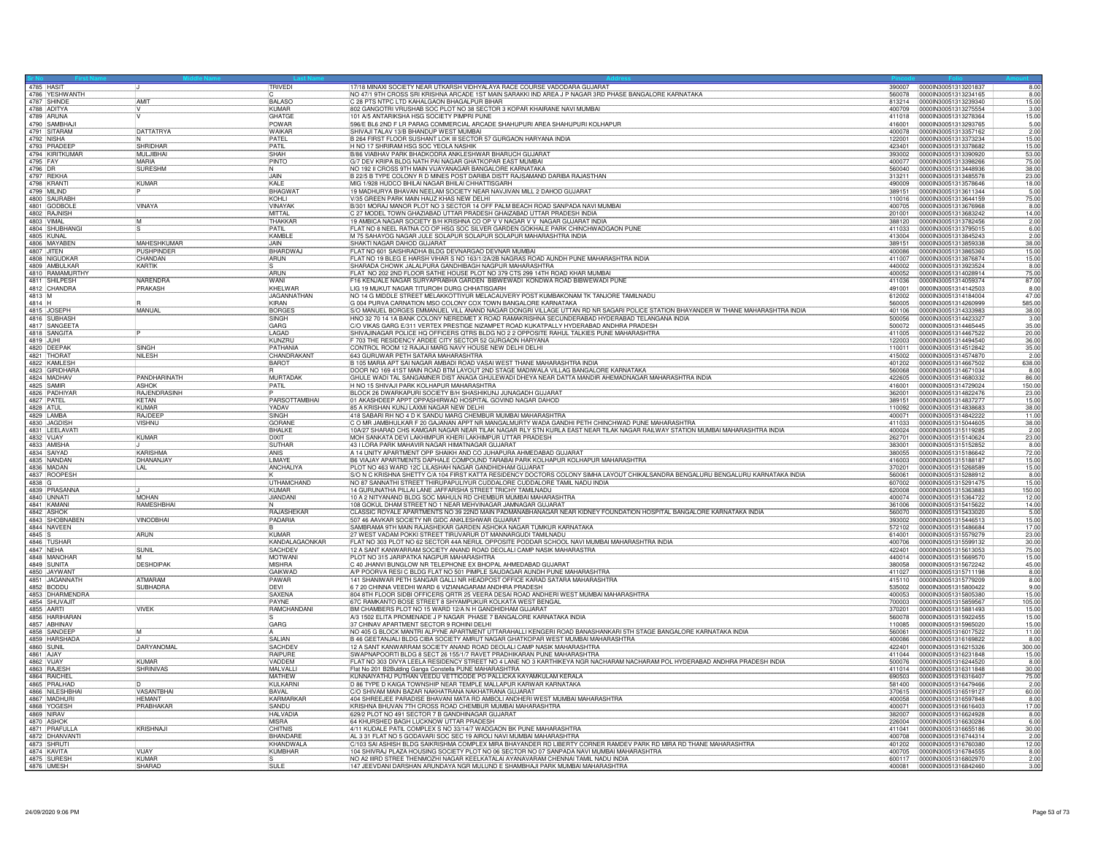| 4785 HASIT |                                 |                    | TRIVEDI            | 17/18 MINAXI SOCIETY NEAR UTKARSH VIDHYALAYA RACE COURSE VADODARA GUJARAT                                                         |        | 390007 0000IN30051313201837 |        | 8.00 |
|------------|---------------------------------|--------------------|--------------------|-----------------------------------------------------------------------------------------------------------------------------------|--------|-----------------------------|--------|------|
|            | 4786 YESHWANTH                  |                    |                    | NO 47/1 9TH CROSS SRI KRISHNA ARCADE 1ST MAIN SARAKKI IND AREA J P NAGAR 3RD PHASE BANGALORE KARNATAKA                            | 560078 | 0000IN30051313234165        |        | 8.00 |
|            | 4787 SHINDF                     | <b>AMIT</b>        | <b>RALASO</b>      | C 28 PTS NTPC LTD KAHALGAON BHAGALPUR BIHAR                                                                                       | 813214 | 0000IN30051313239340        | 15.00  |      |
|            | 4788 ADITYA                     |                    | KUMAR              | 802 GANGOTRI VRUSHAB SOC PLOT NO 38 SECTOR 3 KOPAR KHAIRANE NAVI MUMBAI                                                           | 400709 | 0000IN30051313275554        |        | 3.00 |
|            | 4789 ARUNA                      |                    | <b>GHATGE</b>      | 101 A/5 ANTARIKSHA HSG SOCIETY PIMPRI PUNE                                                                                        | 411018 | 00000N30051313278364        | 15.00  |      |
|            | 4790 SAMBHAJ                    |                    | POWAR              | 596/E BL6 2ND F LR PARAG COMMERCIAL ARCADE SHAHUPURI AREA SHAHUPURI KOLHAPUR                                                      | 416001 | 0000IN30051313293765        |        | 5.00 |
|            |                                 |                    |                    |                                                                                                                                   |        |                             |        |      |
|            | 4791 SITARAM                    | <b>DATTATRYA</b>   | WAIKAR             | SHIVAJI TALAV 13/B BHANDUP WEST MUMBAI                                                                                            | 400078 | 0000IN30051313357162        |        | 2.00 |
|            | 4792 NISHA                      |                    | PATFI              | B 264 FIRST FLOOR SUSHANT LOK III SECTOR 57 GURGAON HARYANA INDIA                                                                 | 122001 | 0000IN30051313373234        | 15.00  |      |
|            | 4793 PRADEEP<br>4794 KIRITKUMAR | SHRIDHAR           | PATIL              | H NO 17 SHRIRAM HSG SOC YEOLA NASHIK                                                                                              | 423401 | 0000IN30051313378682        | 15.00  |      |
|            |                                 | MULJIBHAI          | SHAH               | B/86 VIABHAV PARK BHADKODRA ANKLESHWAR BHARUCH GUJARAT                                                                            | 393002 | 0000lN30051313390920        | 53.00  |      |
| 4795 FAY   |                                 | MARIA              | PINTO              | G/7 DEV KRIPA BLDG NATH PAI NAGAR GHATKOPAR EAST MUMBAI                                                                           | 400077 | 0000IN30051313398266        | 75.00  |      |
| 4796 DR    |                                 | SURESHM<br>IN.     |                    | NO 192 II CROSS 9TH MAIN VIJAYANAGAR BANGALORE KARNATAKA                                                                          | 560040 | 10000IN30051313448936       | 38.00  |      |
|            | 4797 REKHA                      |                    | <b>LIAIN</b>       | B 22/5 B TYPE COLONY R D MINES POST DARIBA DISTT RAJSAMAND DARIBA RAJASTHAN                                                       | 313211 | 0000IN30051313485578        | 23.00  |      |
|            | 4798 KRANTI                     | <b>KUMAR</b>       | KALE               | MIG 1/928 HUDCO BHILAI NAGAR BHILAI CHHATTISGARH                                                                                  | 490009 | 0000IN30051313578646        | 18.00  |      |
|            | 4799 MILIND                     |                    | BHAGWAT            | 19 MADHURYA BHAVAN NEELAM SOCIETY NEAR NAVJIVAN MILL 2 DAHOD GUJARAT                                                              | 389151 | 00000N30051313611344        |        | 5.00 |
|            | 4800 SAURABH                    |                    | KOHLI              | V/35 GREEN PARK MAIN HAUZ KHAS NEW DELHI                                                                                          | 110016 | 0000IN30051313644159        | 75.00  |      |
|            | 4801 GODBOLE                    | <b>VINAYA</b>      | <b>VINAYAK</b>     | B/301 MORAJ MANOR PLOT NO 3 SECTOR 14 OFF PALM BEACH ROAD SANPADA NAVI MUMBAI                                                     |        | 0000030051313676968         |        |      |
|            |                                 |                    |                    |                                                                                                                                   | 400705 |                             |        | 8.00 |
|            | 4802 RAJNISH                    |                    | MITTAL             | C 27 MODEL TOWN GHAZIABAD UTTAR PRADESH GHAIZABAD UTTAR PRADESH INDIA                                                             | 201001 | 0000IN30051313683242        | 14.00  |      |
|            | 4803 VIMAL<br>4804 SHUBHANGI    | İМ                 | THAKKAR            | 19 AMBICA NAGAR SOCIETY B/H KRISHNA CO OP V V NAGAR V V NAGAR GUJARAT INDIA                                                       | 388120 | 0000IN30051313782456        |        | 2.00 |
|            |                                 |                    | PATIL              | FLAT NO 8 NEEL RATNA CO OP HSG SOC SILVER GARDEN GOKHALE PARK CHINCHWADGAON PUNE                                                  | 411033 | 0000IN30051313795015        |        | 6.00 |
| 4805 KUNAL |                                 |                    | KAMBLE             | M 75 SAHAYOG NAGAR JULE SOLAPUR SOLAPUR SOLAPUR MAHARASHTRA INDIA                                                                 | 413004 | 0000IN30051313845243        |        | 2.00 |
|            | 4806 MAYABEN                    | <b>MAHFSHKUMAR</b> | <b>JAIN</b>        | SHAKTI NAGAR DAHOD GUJARAT                                                                                                        | 389151 | 0000030051313859338         | 38.00  |      |
| 4807 JITEN |                                 | PUSHPINDEF         | <b>BHARDWA</b>     | FLAT NO 601 SAISHRADHA BLDG DEVNARGAO DEVNAR MUMBAI                                                                               | 400086 | 0000lN30051313865360        | 15.00  |      |
|            | 4808 NIGUDKAR                   | CHANDAN            | ARUN               | FLAT NO 19 BLEG E HARSH VIHAR S NO 163/1/2A/2B NAGRAS ROAD AUNDH PUNE MAHARASHTRA INDIA                                           | 411007 | 0000IN30051313876874        | 15.00  |      |
|            | 4809 AMBULKAR                   | KARTIK             |                    | SHARADA CHOWK JALALPURA GANDHIBAGH NAGPUR MAHARASHTRA                                                                             | 440002 | 0000IN30051313923524        |        | 8.00 |
|            | 4810 RAMAMURTHY                 |                    | ARUN               |                                                                                                                                   | 400052 | 0000IN30051314028914        |        |      |
|            | 4811 SHILPESH                   | NARENDRA           |                    | FLAT NO 202 2ND FLOOR SATHE HOUSE PLOT NO 379 CTS 299 14TH ROAD KHAR MUMBA                                                        |        |                             | 75.00  |      |
|            |                                 |                    | WANI               | F16 KENJALE NAGAR SURYAPRABHA GARDEN BIBWEWADI KONDWA ROAD BIBWEWADI PUNE                                                         | 411036 | 10000IN30051314059374       | 87.00  |      |
|            | 4812 CHANDRA                    | PRAKASH            | KHELWAR            | LIG 19 MUKUT NAGAR TITUROIH DURG CHHATISGARH                                                                                      | 491001 | 0000IN30051314142503        |        | 8.00 |
| 4813 M     |                                 |                    | JAGANNATHAN        | NO 14 G MIDDLE STREET MELAKKOTTIYUR MELACAUVERY POST KUMBAKONAM TK TANJORE TAMILNADU                                              | 612002 | 0000IN30051314184004        | 47.00  |      |
| 4814 H     |                                 |                    | KIRAN              | G 004 PURVA CARNATION MSO COLONY COX TOWN BANGALORE KARNATAKA                                                                     | 560005 | 0000lN30051314260999        | 585.00 |      |
|            | 4815 JOSEPH                     | MANUAL             | <b>BORGES</b>      | S/O MANUEL BORGES EMMANUEL VILL ANAND NAGAR DONGRI VILLAGE UTTAN RD NR SAGARI POLICE STATION BHAYANDER W THANE MAHARASHTRA INDIA  | 401106 | 0000IN30051314333983        | 38.00  |      |
|            | 4816 SUBHASH                    |                    | SINGH              | HNO 32 70 14 1A BANK COLONY NEREDMET X ROAD RAMAKRISHNA SECUNDERABAD HYDERABAD TELANGANA INDIA                                    | 500056 | 0000IN30051314423327        |        | 3.00 |
|            | 4817 SANGEETA                   |                    | GARG               | C/O VIKAS GARG E/311 VERTEX PRESTIGE NIZAMPET ROAD KUKATPALLY HYDERABAD ANDHRA PRADESH                                            | 500072 | 0000lN30051314465445        | 35.00  |      |
|            | 4818 SANGITA                    |                    | LAGAD              | SHIVAJINAGAR POLICE HO OFFICERS OTRS BLDG NO 2 2 OPPOSITE RAHUL TALKIES PUNE MAHARASHTRA                                          | 411005 |                             |        |      |
|            |                                 |                    | KUNZRU             |                                                                                                                                   |        | 0000IN30051314467522        | 20.00  |      |
| 4819 JUHI  |                                 |                    |                    | 703 THE RESIDENCY ARDEE CITY SECTOR 52 GURGAON HARYANA                                                                            | 122003 | 0000IN30051314494540        | 36.00  |      |
|            | 4820 DEEPAK                     | SINGH              | PATHANIA           | CONTROL ROOM 12 RAJAJI MARG NAVY HOUSE NEW DELHI DELHI                                                                            | 110011 | 0000IN30051314512842        | 35.00  |      |
|            | 4821 THORAT                     | NILESH             | <b>CHANDRAKANT</b> | 643 GURUWAR PETH SATARA MAHARASHTRA                                                                                               | 415002 | 0000IN30051314574870        |        | 2.00 |
|            | 4822 KAMLESH                    |                    | <b>BAROT</b>       | B 105 MARIA APT SAI NAGAR AMBADI ROAD VASAI WEST THANE MAHARASHTRA INDIA                                                          | 401202 | 0000IN30051314667502        | 638.00 |      |
|            | 4823 GIRIDHARA                  |                    |                    | DOOR NO 169 41ST MAIN ROAD BTM LAYOUT 2ND STAGE MADIWALA VILLAG BANGALORE KARNATAKA                                               | 560068 | 0000IN30051314671034        |        | 8.00 |
|            | 4824 MADHAV                     | PANDHARINATH       | <b>MURTADAK</b>    | GHULE WADI TAL SANGAMNER DIST ANAGA GHULEWADI DHEYA NEAR DATTA MANDIR AHEMADNAGAR MAHARASHTRA INDIA                               | 422605 | 0000IN30051314680332        | 86.00  |      |
|            | 4825 SAMIR                      | <b>ASHOK</b>       | PATIL              | H NO 15 SHIVAJI PARK KOLHAPUR MAHARASHTRA                                                                                         | 416001 | 0000IN30051314729024        | 150.00 |      |
|            | 4826 PADHIYAR                   | RAJENDRASINH       |                    | BLOCK 26 DWARKAPURI SOCIETY B/H SHASHIKUNJ JUNAGADH GUJARAT                                                                       | 362001 | 0000IN30051314822476        | 23.00  |      |
|            |                                 |                    |                    |                                                                                                                                   |        |                             |        |      |
| 4827 PATEL |                                 | KETAN              | PARSOTTAMBHAI      | 01 AKASHDEEP APPT OPPASHIRWAD HOSPITAL GOVIND NAGAR DAHOD                                                                         | 389151 | 0000IN30051314837277        | 15.00  |      |
| 4828 ATUL  |                                 | <b>KUMAF</b>       | YADAV              | 85 A KRISHAN KUNJ LAXMI NAGAR NEW DELHI                                                                                           | 110092 | 0000lN30051314838683        | 38.00  |      |
|            | 4829 LAMBA                      | RAJDEEP            | SINGH              | 418 SABARI RH NO 4 D K SANDU MARG CHEMBUR MUMBAI MAHARASHTRA                                                                      | 400071 | 0000IN30051314842222        | 11.00  |      |
|            | 4830 JAGDISH                    | VISHNU             | GORANE             | C O MR JAMBHULKAR F 20 GAJANAN APPT NR MANGALMURTY WADA GANDHI PETH CHINCHWAD PUNE MAHARASHTRA                                    | 411033 | 0000IN30051315044605        | 38.00  |      |
|            | 4831 LEELAVATI                  |                    | <b>BHALKE</b>      | 10A/27 SHARAD CHS KAMGAR NAGAR NEAR TILAK NAGAR RLY STN KURLA EAST NEAR TILAK NAGAR RAILWAY STATION MUMBAI MAHARASHTRA INDIA      | 400024 | 0000lN30051315119285        |        | 2.00 |
| 4832 VIJAY |                                 | <b>KUMAR</b>       | <b>DIXIT</b>       | MOH SANKATA DEVI LAKHIMPUR KHERI LAKHIMPUR UTTAR PRADESH                                                                          | 262701 | 0000IN30051315140624        | 23.00  |      |
|            | 4833 AMISHA                     |                    | SUTHAR             | 43 I LORA PARK MAHAVIR NAGAR HIMATNAGAR GUJARAT                                                                                   | 383001 | 0000lN30051315152852        |        | 8.00 |
|            | 4834 SAIYAD                     | <b>KARISHMA</b>    | ANIS               | A 14 UNITY APARTMENT OPP SHAIKH AND CO JUHAPURA AHMEDABAD GUJARAT                                                                 | 380055 | 0000IN30051315186642        | 72.00  |      |
|            |                                 |                    | <b>I IMAYE</b>     |                                                                                                                                   |        | 0000IN30051315188187        |        |      |
|            | 4835 NANDAN<br>4836 MADAN       | DHANANJAY          |                    | B6 VIAJAY APARTMENTS DAPHALE COMPOUND TARABAI PARK KOLHAPUR KOLHAPUR MAHARASHTRA                                                  | 416003 |                             | 15.00  |      |
|            |                                 | LAL                | ANCHALIYA          | PLOT NO 463 WARD 12C LILASHAH NAGAR GANDHIDHAM GUJARAT                                                                            | 370201 | 00000N30051315268589        | 15.00  |      |
|            | 4837 ROOPESH                    |                    |                    | S/O N C KRISHNA SHETTY C/A 104 FIRST KATTA RESIDENCY DOCTORS COLONY SIMHA LAYOUT CHIKALSANDRA BENGALURU BENGALURU KARNATAKA INDIA | 560061 | 0000lN30051315288912        |        | 8.00 |
| 4838 G     |                                 |                    | <b>UTHAMCHAND</b>  | NO 87 SANNATHI STREET THIRUPAPULIYUR CUDDALORE CUDDALORE TAMIL NADU INDIA                                                         | 607002 | 0000IN30051315291475        | 15.00  |      |
|            | 4839 PRASANNA                   |                    | KUMAR              | 14 GURUNATHA PILLAI LANE JAFFARSHA STREET TRICHY TAMILNADU                                                                        | 620008 | 0000IN30051315363883        | 150.00 |      |
|            | 4840 UNNATI                     | <b>MOHAN</b>       | JIANDANI           | 10 A 2 NITYANAND BLDG SOC MAHULN RD CHEMBUR MUMBAI MAHARASHTRA                                                                    | 400074 | 0000IN30051315364722        | 12.00  |      |
|            |                                 | RAMESHBHA          |                    | 108 GOKUL DHAM STREET NO 1 NEAR MEHVINAGAR JAMNAGAR GUJARAT                                                                       | 361006 | 0000030051315415622         | 14.00  |      |
|            | 4842 ASHOK                      |                    | RAJASHEKAR         | CLASSIC ROYALE APARTMENTS NO 39 22ND MAIN PADMANABHANAGAR NEAR KIDNEY FOUNDATION HOSPITAL BANGALORE KARNATAKA INDIA               | 560070 | 0000IN30051315433020        |        | 5.00 |
|            | 4843 SHOBNABEN                  | <b>VINODBHA</b>    |                    | 507 46 AAVKAR SOCIETY NR GIDC ANKLESHWAR GUJARAT                                                                                  | 393002 | 0000lN30051315446513        | 15.00  |      |
|            | 4844 NAVEEN                     |                    | PADARIA            | SAMBRAMA 9TH MAIN RAJASHEKAR GARDEN ASHOKA NAGAR TUMKUR KARNATAKA                                                                 |        |                             | 17.00  |      |
|            |                                 |                    |                    |                                                                                                                                   | 572102 | 0000IN30051315486684        |        |      |
|            |                                 | ARUN               | KUMAR              | 27 WEST VADAM POKKI STREET TIRUVARUR DT MANNARGUDI TAMILNADU                                                                      | 614001 | 0000IN30051315579279        | 23.00  |      |
|            | 4845 S<br>4846 TUSHAR           |                    | KANDALAGAONKAR     | FLAT NO 303 PLOT NO 62 SECTOR 44A NERUL OPPOSITE PODDAR SCHOOL NAVI MUMBAI MAHARASHTRA INDIA                                      | 400706 | 0000IN30051315599132        | 30.00  |      |
|            | 4847 NEHA                       | <b>SUNIL</b>       | <b>SACHDEV</b>     | 12 A SANT KANWARRAM SOCIETY ANAND ROAD DEOLALI CAMP NASIK MAHARASTRA                                                              | 422401 | 0000lN30051315613053        | 75.00  |      |
|            | 4848 MANOHAR                    |                    | MOTWANI            | PLOT NO 315 JARIPATKA NAGPUR MAHARASHTRA                                                                                          | 440014 | 0000IN30051315669570        | 15.00  |      |
|            | 4849 SUNITA                     | <b>DESHDIPAK</b>   | <b>MISHRA</b>      | C 40 JHANVI BUNGLOW NR TELEPHONE EX BHOPAL AHMEDABAD GUJARAT                                                                      | 380058 | 00000N30051315672242        | 45.00  |      |
|            |                                 |                    | <b>GAIKWAD</b>     | A/P POORVA RESI C BLDG FLAT NO 501 PIMPLE SAUDAGAR AUNDH PUNE MAHARASHTRA                                                         | 411027 | 0000IN30051315711198        |        | 8.00 |
|            | 4850 JAYWANT<br>4851 JAGANNATH  | <b>ATMARAM</b>     | PAWAR              | 141 SHANIWAR PETH SANGAR GALLI NR HEADPOST OFFICE KARAD SATARA MAHARASHTRA                                                        | 415110 | 00000N30051315779209        |        | 8.00 |
|            | 4852 BODDU                      | <b>SUBHADRA</b>    | DEVI               | 6 7 20 CHINNA VEEDHI WARD 6 VIZIANAGARAM ANDHRA PRADESH                                                                           | 535002 | 0000lN30051315800422        |        | 9.00 |
|            | 4853 DHARMENDRA                 |                    | <b>SAXENA</b>      |                                                                                                                                   | 400053 | 00000N30051315805380        | 15.00  |      |
|            | 4854 SHUVAJIT                   |                    | PAYNE              | 804 8TH FLOOR SIDBI OFFICERS ORTR 25 VEERA DESAI ROAD ANDHERI WEST MUMBAI MAHARASHTRA                                             | 700003 | 00000N30051315859567        | 105.00 |      |
|            |                                 |                    |                    |                                                                                                                                   |        |                             |        |      |
|            | 4855 AARTI<br>4856 HARIHARAN    | <b>VIVEK</b>       | RAMCHANDANI        | BM CHAMBERS PLOT NO 15 WARD 12/A N H GANDHIDHAM GUJARAT                                                                           | 370201 | 0000IN30051315881493        | 15.00  |      |
|            |                                 |                    |                    | A/3 1502 ELITA PROMENADE J P NAGAR PHASE 7 BANGALORE KARNATAKA INDIA                                                              | 560078 | 0000IN30051315922455        | 15.00  |      |
|            | 4857 ABHINAV                    |                    | GARG               | 37 CHINAV APARTMENT SECTOR 9 ROHINI DELHI                                                                                         | 110085 | 0000IN30051315965020        | 15.00  |      |
|            | 4858 SANDEEP                    |                    |                    | NO 405 G BLOCK MANTRI ALPYNE APARTMENT UTTARAHALLI KENGERI ROAD BANASHANKARI 5TH STAGE BANGALORE KARNATAKA INDIA                  | 560061 | 0000IN30051316017522        | 11.00  |      |
|            | 4859 HARSHADA                   |                    | <b>SALIAN</b>      | B 46 GEETANJALI BLDG CIBA SOCIETY AMRUT NAGAR GHATKOPAR WEST MUMBAI MAHARASHTRA                                                   | 400086 | 0000IN30051316169822        |        | 8.00 |
| 4860 SUNIL |                                 | DARYANOMAL         | SACHDEV            | 12 A SANT KANWARRAM SOCIETY ANAND ROAD DEOLALI CAMP NASIK MAHARASHTRA                                                             | 422401 | 0000IN30051316215326        | 300.00 |      |
| 4861 AJAY  |                                 |                    | RAIPURE            | SWAPNAPOORTI BLDG 8 SECT 26 155/1/7 RAVET PRADHIKARAN PUNE MAHARASHTRA                                                            | 411044 | 00000N30051316231848        | 15.00  |      |
| 4862 VIJAY |                                 | <b>KUMAR</b>       | VADDEM             | FLAT NO 303 DIVYA LEELA RESIDENCY STREET NO 4 LANE NO 3 KARTHIKEYA NGR NACHARAM NACHARAM POL HYDERABAD ANDHRA PRADESH INDIA       | 500076 | 0000IN30051316244520        |        | 8.00 |
|            | 4863 RAJESH                     | <b>SHRINIVAS</b>   | MAI VALL           |                                                                                                                                   | 411014 | 0000IN30051316311848        | 30.00  |      |
|            | 4864 RAICHEL                    |                    | <b>MATHEW</b>      | Flat No 201 B2Bulding Ganga Constella PUNE MAHARASHTRA<br>KUNNAIYATHU PUTHAN VEEDU VETTICODE PO PALLICKA KAYAMKULAM KERALA        | 690503 | 0000IN30051316316407        | 75.00  |      |
|            |                                 |                    |                    |                                                                                                                                   |        |                             |        |      |
|            | 4865 PRALHAD                    |                    | KULKARNI           | D 86 TYPE D KAIGA TOWNSHIP NEAR TEMPLE MALLAPUR KARWAR KARNATAKA                                                                  | 581400 | 0000lN30051316479466        |        | 2.00 |
|            | 4866 NILESHBHA                  | <b>VASANTBHAI</b>  | BAVAL              | C/O SHIVAM MAIN BAZAR NAKHATRANA NAKHATRANA GUJARAT                                                                               | 370615 | 0000IN30051316519127        | 60.00  |      |
|            | 4867 MADHURI                    | <b>HEMANT</b>      | KARMARKAF          | 404 SHREEJEE PARADISE BHAVANI MATA RD AMBOLI ANDHERI WEST MUMBAI MAHARASHTRA                                                      | 400058 | 0000IN30051316597848        |        | 8.00 |
|            | 4868 YOGESH                     | PRABHAKAE          | SANDU              | KRISHNA BHUVAN 7TH CROSS ROAD CHEMBUR MUMBAI MAHARASHTRA                                                                          | 400071 | 0000IN30051316616403        | 17.00  |      |
|            | 4869 NIRAV                      |                    | <b>HALVADIA</b>    | 629/2 PLOT NO 491 SECTOR 7 B GANDHINAGAR GUJARAT                                                                                  | 382007 | 0000IN30051316624928        |        | 8.00 |
|            | 4870 ASHOK                      |                    | <b>MISRA</b>       | 64 KHURSHED BAGH LUCKNOW UTTAR PRADESH                                                                                            | 226004 | 0000IN30051316630284        |        | 6.00 |
|            | 4871 PRAFULLA                   | <b>KRISHNAJI</b>   | CHITNIS            | 4/11 KUDALE PATIL COMPLEX S NO 33/14/7 WADGAON BK PUNE MAHARASHTRA                                                                | 411041 | 0000IN30051316655186        | 30.00  |      |
|            |                                 |                    | <b>BHANDAR</b>     | AL 3 31 FLAT NO 5 GODAVARI SOC SEC 19 AIROLI NAVI MUMBAI MAHARASHTRA                                                              | 400708 | 0000IN30051316744314        |        |      |
|            | 4872 DHANVANT                   |                    |                    |                                                                                                                                   |        |                             |        | 2.00 |
|            | 4873 SHRUTI                     |                    | KHANDWALA          | C/103 SAI ASHISH BLDG SAIKRISHMA COMPLEX MIRA BHAYANDER RD LIBERTY CORNER RAMDEV PARK RD MIRA RD THANE MAHARASHTRA                | 401202 | 0000030051316760380         | 12.00  |      |
|            | 4874 KAVITA                     | VLIAY              | KUMBHAR            | 104 SHIVRAJ PLAZA HOUSING SOCIETY PLOT NO 06 SECTOR NO 07 SANPADA NAVI MUMBAI MAHARASHTRA                                         | 400705 | 0000IN30051316784555        |        | 8.00 |
|            | 4875 SURESH                     | <b>KUMAF</b>       |                    | NO A2 IIIRD STREE THENMOZHI NAGAR KEELKATALAI AYANAVARAM CHENNAI TAMIL NADU INDIA                                                 | 600117 | 0000IN30051316802970        |        | 2.00 |
|            | 4876 UMESH                      | SHARAD             | SULE               | 147 JEEVDANI DARSHAN ARUNDAYA NGR MULUND E SHAMBHAJI PARK MUMBAI MAHARASHTRA                                                      | 400081 | 00000N30051316842460        |        | 3.00 |
|            |                                 |                    |                    |                                                                                                                                   |        |                             |        |      |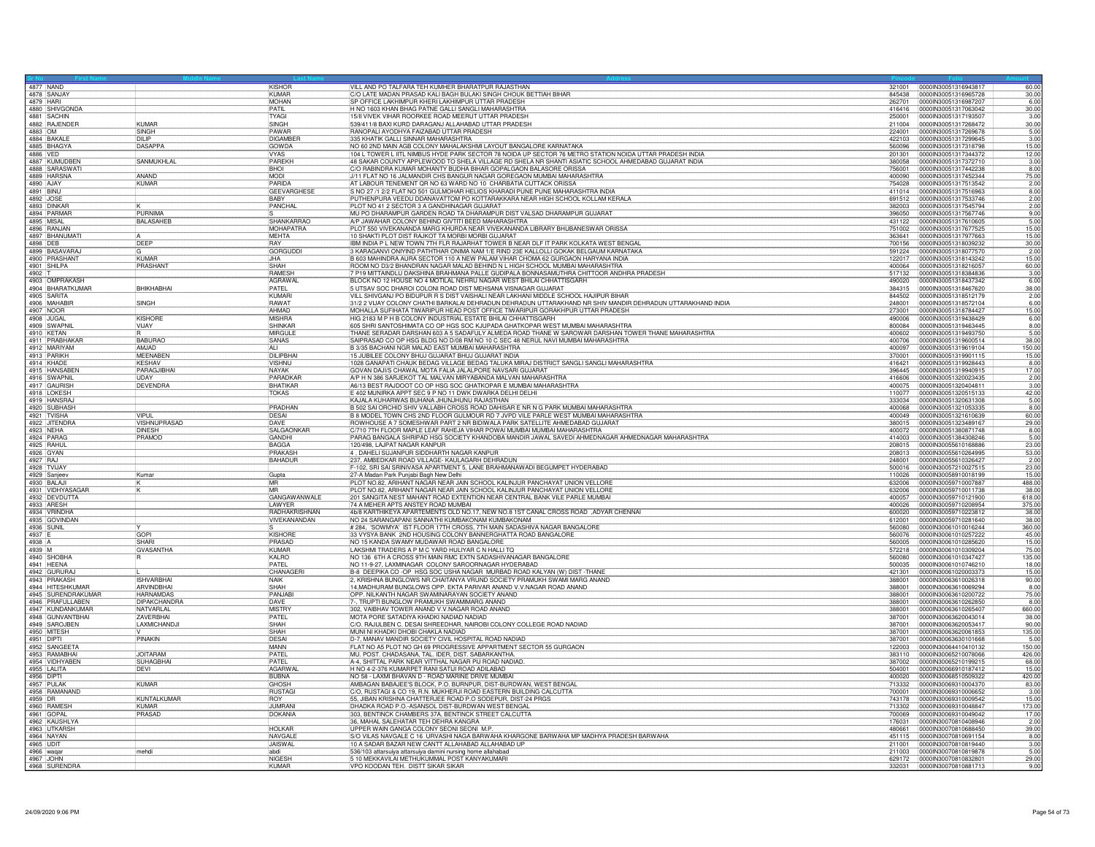| 4877 NAND                     |                     | KISHOR              | VILL AND PO TALFARA TEH KUMHER BHARATPUR RAJASTHAN                                                                         |        | 321001 0000IN30051316943817   | 60.00         |
|-------------------------------|---------------------|---------------------|----------------------------------------------------------------------------------------------------------------------------|--------|-------------------------------|---------------|
| 4878 SANJAY                   |                     | KUMAR               | C/O LATE MADAN PRASAD KALI BAGH BULAKI SINGH CHOUK BETTIAH BIHAR                                                           | 845438 | 0000IN30051316965728          | 30.00         |
| 4879 HARI                     |                     | <b>MOHAN</b>        | SP OFFICE LAKHIMPUR KHERI LAKHIMPUR UTTAR PRADESH                                                                          | 262701 | 0000IN30051316987207          | 6.00          |
| 4880 SHIVGONDA<br>4881 SACHIN |                     | PATIL               | H NO 1603 KHAN BHAG PATNE GALLI SANGLI MAHARASHTRA                                                                         | 416416 | 0000IN30051317063042          | 30.00         |
|                               |                     | TYAGI               | 15/II VIVEK VIHAR ROORKEE ROAD MEERUT UTTAR PRADESH                                                                        | 250001 | 00000030051317193507          | 3.00          |
| 4882 RAJENDEF                 | KUMAR               | SINGH               | 539/411/8 BAXI KURD DARAGANJ ALLAHABAD UTTAR PRADESH                                                                       | 211004 | 0000IN30051317268472          | 30.00         |
| 4883 OM                       | SINGH               | PAWAR               | RANOPALI AYODHYA FAIZABAD UTTAR PRADESH                                                                                    | 224001 | 0000IN30051317269678          | 5.00          |
| 4884 BAKAL                    | DII IP              | <b>DIGAMBEI</b>     | 335 KHATIK GALLI SINNAR MAHARASHTRA                                                                                        | 422103 | 0000IN30051317299645          | 3.00          |
| 4885 BHAGYA<br>4886 VED       | DASAPPA             | GOWDA               | NO 60 2ND MAIN AGB COLONY MAHALAKSHMI LAYOUT BANGALORE KARNATAKA                                                           | 560096 | 0000IN30051317318798          | 15.00         |
|                               |                     | <b>VYAS</b>         | 104 L TOWER L IITL NIMBUS HYDE PARK SECTOR 78 NOIDA UP SECTOR 76 METRO STATION NOIDA UTTAR PRADESH INDIA                   | 201301 | 00000130051317344372          | 12.00         |
| 4887 KUMUDBEN                 | <b>SANMUKHLAI</b>   | PAREKH              | 48 SAKAR COUNTY APPLEWOOD TO SHELA VILLAGE RD SHELA NR SHANTI ASIATIC SCHOOL AHMEDABAD GUJARAT INDIA                       | 380058 | 00000N30051317372710          | 3.00          |
| 4888 SARASWAT                 |                     | <b>IBHOL</b>        | C/O RABINDRA KUMAR MOHANTY BUDHA BIHAR GOPALGAON BALASORE ORISSA                                                           | 756001 | 00000N30051317442238          | 8.00          |
| 4889 HARSNA                   | <b>ANAND</b>        | MODI                | J/11 FLAT NO 16 JALMANDIR CHS BANGUR NAGAR GOREGAON MUMBAI MAHARASHTRA                                                     | 400090 | 0000IN30051317452344          | 75.00         |
| 4890 AJAY                     | KUMAR               | PARIDA              | AT LABOUR TENEMENT OR NO 63 WARD NO 10 CHARBATIA CUTTACK ORISSA                                                            |        | 754028 0000IN30051317513542   | 2.00          |
|                               |                     | <b>GEEVARGHESE</b>  | S NO 27 /1 2/2 FLAT NO 501 GULMOHAR HELIOS KHARADI PUNE PUNE MAHARASHTRA INDIA                                             | 411014 | 0000IN30051317516963          | 8.00          |
| 4892 JOSE                     |                     | BABY                | PUTHENPURA VEEDU DDANAVATTOM PO KOTTARAKKARA NEAR HIGH SCHOOL KOLLAM KERALA                                                |        | 691512 0000IN30051317533746   | 2.00          |
| 4893 DINKAR                   |                     | PANCHAL             | PLOT NO 41 2 SECTOR 3 A GANDHINAGAR GUJARAT                                                                                |        | 382003  00000IN30051317545794 | 2.00          |
| 4894 PARMAF                   | PURNIMA             |                     | MU PO DHARAMPUR GARDEN ROAD TA DHARAMPUR DIST VALSAD DHARAMPUR GUJARAT                                                     | 396050 | 0000IN30051317567746          | 9.00          |
| 4895 MISAL                    | <b>BALASAHEE</b>    | SHANKARRAO          | A/P JAWAHAR COLONY BEHIND GIVTITI BEED MAHARASHTRA                                                                         | 431122 | 00000130051317610605          | 5.00          |
| 4896 RANJAN                   |                     | MOHAPATRA           | PLOT 550 VIVEKANANDA MARG KHURDA NEAR VIVEKANANDA LIBRARY BHUBANESWAR ORISSA                                               | 751002 | 00000N30051317677525          | 15.00         |
| 4897 BHANUMATI                |                     | MEHTA               | 10 SHAKTI PLOT DIST RAJKOT TA MORBI MORBI GUJARAT                                                                          | 363641 | 0000IN30051317977663          | 15.00         |
| 4898 DEB                      | DFFP                | <b>RAY</b>          | IBM INDIA P L NEW TOWN 7TH FLR RAJARHAT TOWER B NEAR DLF IT PARK KOLKATA WEST BENGAL                                       | 700156 | 0000IN30051318039232          | 30.00         |
| 4899 BASAVARA                 |                     | GORGUDD             | 3 KARAGANVI ONIYIND PATHTHAR ONIMA NAM 1/E RIND 23E KALLOLLI GOKAK BELGAUM KARNATAKA                                       | 591224 | 0000IN30051318077570          | 2.00          |
| 4900 PRASHANT                 | KUMAF               | JHA                 | B 603 MAHINDRA AURA SECTOR 110 A NEW PALAM VIHAR CHOMA 62 GURGAON HARYANA INDIA                                            | 122017 | 0000IN30051318143242          | 15.00         |
| 4901 SHILPA                   | PRASHANT            | SHAH                | ROOM NO D3/2 BHANDRAN NAGAR MALAD BEHIND N L HIGH SCHOOL MUMBAI MAHARASHTRA                                                | 400064 | 0000lN30051318216057          | 60.00         |
| 4902 T                        |                     | <b>RAMESH</b>       | 7 P19 MITTAINDLU DAKSHINA BRAHMANA PALLE GUDIPALA BONNASAMUTHRA CHITTOOR ANDHRA PRADESH                                    | 517132 | 0000IN30051318384836          | 3.00          |
| 4903 OMPRAKASH                |                     | AGRAWAL             | BLOCK NO 12 HOUSE NO 4 MOTILAL NEHRU NAGAR WEST BHILAI CHHATTISGARH                                                        |        | 490020  0000IN30051318437342  | 6.00          |
| 4904 BHARATKUMAR              | BHIKHABHAI          | PATEL               | 5 UTSAV SOC DHAROI COLONI ROAD DIST MEHSANA VISNAGAR GUJARAT                                                               | 384315 | 0000IN30051318467620          | 38.00         |
| 4905 SARITA                   |                     | KUMARI              | VILL SHIVGANJ PO BIDUPUR R S DIST VAISHALI NEAR LAKHANI MIDDLE SCHOOL HAJIPUR BIHAR                                        | 844502 | 0000IN30051318512179          | 2.00          |
| 4906 MAHABIF                  | <b>SINGH</b>        | <b>RAWAT</b>        | 31/2 2 VIJAY COLONY CHATHI BARKALAI DEHRADUN DEHRADUN UTTARAKHAND NR SHIV MANDIR DEHRADUN UTTARAKHAND INDIA                | 248001 | 0000IN30051318572104          | 6.00          |
| 4907 NOOR                     |                     | AHMAD               | MOHALLA SUFIHATA TIWARIPUR HEAD POST OFFICE TIWARIPUR GORAKHPUR UTTAR PRADESH                                              | 273001 | 0000IN30051318784427          | 15.00         |
| 4908 JUGAL                    | KISHORE             | <b>MISHRA</b>       |                                                                                                                            | 490006 | 0000IN30051319438429          | 6.00          |
| 4909 SWAPNII                  | VIJAY               | SHINKAR             | 605 SHRI SANTOSHIMATA CO OP HGS SOC KJUPADA GHATKOPAR WEST MUMBAI MAHARASHTRA                                              | 800084 | 0000IN30051319463445          | 8.00          |
| 4910 KETAN                    |                     | MIRGULE             | THANE SERADAR DARSHAN 603 A 5 SADAFULY ALMEDA ROAD THANE W SAROWAR DARSHAN TOWER THANE MAHARASHTRA                         | 400602 | 0000IN30051319493750          | 5.00          |
| 4911 PRABHAKAR                | <b>BABURAO</b>      | <b>SANAS</b>        | SAIPRASAD CO OP HSG BLDG NO D/08 RM NO 10 C SEC 48 NERUL NAVI MUMBAI MAHARASHTRA                                           | 400706 | 0000IN30051319600514          | 38.00         |
| 4912 MARIYAM                  | AMJAD               | AII                 | B 3/35 BACHANI NGR MALAD EAST MUMBAI MAHARASHTRA                                                                           | 400097 | 0000IN30051319619104          | 150.00        |
| 4913 PARIKH                   | <b>MEENABEN</b>     | <b>DI IPBHAI</b>    | 15 JUBILEE COLONY BHUJ GUJARAT BHUJ GUJARAT INDIA                                                                          | 370001 | 00000N30051319901115          | 15.00         |
| 4914 KHADE                    | <b>KESHAV</b>       | VISHNU              | 1028 GANAPATI CHAUK BEDAG VILLAGE BEDAG TALUKA MIRAJ DISTRICT SANGLI SANGLI MAHARASHTRA                                    | 416421 | 0000IN30051319928443          | 8.00          |
| 4915 HANSABEN                 | PARAGJIBHAI         | <b>NAYAK</b>        | GOVAN DAJI/S CHAWAL MOTA FALIA JALALPORE NAVSARI GUJARAT                                                                   | 396445 | 0000IN30051319940915          | 17.00         |
| 4916 SWAPNIL                  | <b>UDAY</b>         | PARADKAR            | A/P H N 386 SARJEKOT TAL MALVAN MIRYABANDA MALVAN MAHARASHTRA                                                              | 416606 | 0000IN30051320023435          | 2.00          |
|                               |                     |                     |                                                                                                                            | 400075 | 0000lN30051320404811          |               |
| 4917 GAURISH                  | <b>DEVENDRA</b>     | BHATIKAR            | AG/13 BEST RAJDOOT CO OP HSG SOC GHATKOPAR E MUMBAI MAHARASHTRA<br>E 402 MUNIRKA APPT SEC 9 P NO 11 DWK DWARKA DELHI DELHI |        |                               | 3.00<br>42.00 |
|                               |                     | <b>TOKAS</b>        |                                                                                                                            | 110077 | 0000IN30051320515133          |               |
| 4919 HANSRA                   |                     |                     | KAJALA KUHARWAS BUHANA JHUNJHUNU RAJASTHAN                                                                                 | 333034 | 0000lN30051320631308          | 5.00          |
| 4920 SUBHASH                  |                     | PRADHAN             | B 502 SAI ORCHID SHIV VALLABH CROSS ROAD DAHISAR E NR N G PARK MUMBAI MAHARASHTRA                                          | 400068 | 0000IN30051321053335          | 8.00          |
| 4921 TVISHA                   | VIPUL               | <b>DESAI</b>        | B 8 MODEL TOWN CHS 2ND FLOOR GULMOUR RD 7 JVPD VILE PARLE WEST MUMBAI MAHARASHTRA                                          | 400049 | 0000lN30051321610639          | 60.00         |
| 4922 JITENDRA<br>4923 NEHA    | VISHNUPRASAD        | DAVE                | ROWHOUSE A 7 SOMESHWAR PART 2 NR BIDIWALA PARK SATELLITE AHMEDABAD GUJARAT                                                 | 380015 | 0000IN30051323489167          | 29.00         |
|                               | <b>DINESH</b>       | SALGAONKAR          | C/710 7TH FLOOR MAPLE LEAF RAHEJA VIHAR POWAI MUMBAI MUMBAI MAHARASHTRA                                                    | 400072 | 0000IN30051380871748          | 8.00          |
| 4924 PARAG                    | PRAMOD              | <b>GANDHI</b>       | PARAG BANGALA SHRIPAD HSG SOCIETY KHANDOBA MANDIR JAWAL SAVEDI AHMEDNAGAR AHMEDNAGAR MAHARASHTRA                           | 414003 | 0000lN30051384308246          | 5.00          |
| 4925 RAHUI                    |                     | <b>BAGGA</b>        | 120/498, LAJPAT NAGAR KANPUR                                                                                               | 208015 | 0000IN30055610168886          | 23.00         |
| 4926 GYAN                     |                     | PRAKASH             | 4, DAHELI SUJANPUR SIDDHARTH NAGAR KANPUR                                                                                  | 208013 | 00000N30055610264995          | 53.00         |
| 4927 RAJ<br>4928 TVIJAY       |                     | BAHADUR             | 237, AMBEDKAR ROAD VILLAGE- KAULAGARH DEHRADUN                                                                             | 248001 | 0000IN30055610326427          | 2.00          |
|                               |                     |                     | F-102, SRI SAI SRINIVASA APARTMENT 5, LANE BRAHMANAWADI BEGUMPET HYDERABAD                                                 | 500016 | 00000030057210027515          | 23.00         |
| 4929 Sanjee                   | Kumar               | Gupta               | 27-A Madan Park Puniabi Bagh New Delhi                                                                                     | 110026 | 0000IN30058910018199          | 15.00         |
| 4930 BALAJ                    |                     | MR                  | PLOT NO.82, ARIHANT NAGAR NEAR JAIN SCHOOL KALINJUR PANCHAYAT UNION VELLORE                                                | 632006 | 00000N30059710007887          | 488.00        |
| 4931 VIDHYASAGAR              |                     | <b>MR</b>           | PLOT NO.82, ARIHANT NAGAR NEAR JAIN SCHOOL KALINJUR PANCHAYAT UNION VELLORE                                                | 632006 | 0000IN30059710011738          | 38.00         |
| 4932 DEVDUTTA                 |                     | <b>GANGAWANWALE</b> | 201 SANGITA NEST MAHANT ROAD EXTENTION NEAR CENTRAL BANK VILE PARLE MUMBAI                                                 | 400057 | 0000IN30059710121900          | 618.00        |
| 4933 ARESH                    |                     | I AWYFR             | 74 A MEHER APTS ANSTEY ROAD MUMBAI                                                                                         | 400026 | 00000030059710208954          | 375.00        |
| 4934 VRINDHA                  |                     | RADHAKRISHNAN       | 4b/8 KARTHIKEYA APARTEMENTS OLD NO.17, NEW NO.8 1ST CANAL CROSS ROAD , ADYAR CHENNAI                                       | 600020 | 0000IN30059710223812          | 38.00         |
| 4935 GOVINDAM                 |                     | VIVEKANANDAN        | NO 24 SARANGAPANI SANNATHI KUMBAKONAM KUMBAKONAM                                                                           | 612001 | 0000IN30059710281640          | 38.00         |
| 4936 SUNIL                    |                     |                     | # 284, 'SOWMYA' IST FLOOR 17TH CROSS, 7TH MAIN SADASHIVA NAGAR BANGALORE                                                   | 560080 | 00000N30061010016244          | 360.00        |
| 4937 E                        | <b>GOPI</b>         | KISHORI             | 33 VYSYA BANK 2ND HOUSING COLONY BANNERGHATTA ROAD BANGALORE                                                               | 560076 | 0000lN30061010257222          | 45.00         |
| 4938 A                        | SHARI               | PRASAD              | NO 15 KANDA SWAMY MUDAWAR ROAD BANGALORE                                                                                   | 560005 | 00000130061010285620          | 15.00         |
| 4939 M                        | <b>GVASANTHA</b>    | KUMAR               | LAKSHMI TRADERS A P M C YARD HULIYAR C N HALLI TO                                                                          | 572218 | 0000IN30061010309204          | 75.00         |
| 4940 SHOBHA                   |                     | KAI RO              | NO 136 6TH A CROSS 9TH MAIN RMC EXTN SADASHIVANAGAR BANGALORE                                                              | 560080 | 0000IN30061010347427          | 135.00        |
| 4941 HEENA                    |                     | <b>PATEL</b>        | NO 11-9-27, LAXMINAGAR COLONY SAROORNAGAR HYDERABAD                                                                        | 500035 | 0000IN30061010746210          | 18.00         |
| 4942 GURURA                   |                     | CHANAGER            | B-8 DEEPIKA CO -OP HSG SOC USHA NAGAR MURBAD ROAD KALYAN (W) DIST -THANE                                                   | 421301 | 0000IN30061020003373          | 15.00         |
| 4943 PRAKASH                  | <b>ISHVARBHAI</b>   | <b>NAIK</b>         | 2, KRISHNA BUNGLOWS NR.CHAITANYA VRUND SOCIETY PRAMUKH SWAMI MARG ANAND                                                    | 388001 | 00000N30063610026318          | 90.00         |
| 4944 HITESHKUMAR              | <b>ARVINDBHAI</b>   | SHAH                | 14, MADHURAM BUNGLOWS OPP. EKTA PARIVAR ANAND V.V. NAGAR ROAD ANAND                                                        | 388001 | 0000IN30063610069294          | 8.00          |
| 4945 SURENDRAKUMAR            | <b>HARNAMDAS</b>    | PAN.IAR             | OPP. NILKANTH NAGAR SWAMINARAYAN SOCIETY ANAND                                                                             | 388001 | 0000IN30063610200722          | 75.00         |
| 4946 PRAFULLABEN              | <b>DIPAKCHANDRA</b> | DAVE                | 7-, TRUPTI BUNGLOW PRAMUKH SWAMIMARG ANAND                                                                                 | 388001 | 0000IN30063610262850          | 8.00          |
| 4947 KUNDANKUMAF              | NATVARLAL           | <b>MISTRY</b>       | 302, VAIBHAV TOWER ANAND V.V.NAGAR ROAD ANAND                                                                              | 388001 | 0000IN30063610265407          | 660.00        |
| 4948 GUNVANTBHAI              | ZAVERBHA            | PATEL               | MOTA PORE SATADIYA KHADKI NADIAD NADIAD                                                                                    | 387001 | 00000N30063620043014          | 38.00         |
| 4949 SAROJBEN                 | LAXMICHANDJ         | SHAH                | C/O. RAJULBEN C. DESAI SHREEDHAR, NAIROBI COLONY COLLEGE ROAD NADIAD                                                       | 387001 | 0000IN30063620053417          | 90.00         |
| 4950 MITESH                   |                     | SHAH                | MUNI NI KHADKI DHOBI CHAKLA NADIAD                                                                                         | 387001 | 0000IN30063620061853          | 135.00        |
| 4951 DIPTI                    | PINAKIN             | <b>IDESAI</b>       | D-7, MANAV MANDIR SOCIETY CIVIL HOSPITAL ROAD NADIAD                                                                       | 387001 | 0000IN30063630101668          | 5.00          |
| 4952 SANGEETA                 |                     | MANN                | FLAT NO A5 PLOT NO GH 69 PROGRESSIVE APPARTMENT SECTOR 55 GURGAON                                                          | 122003 | 0000IN30064410410132          | 150.00        |
| 4953 RAMABHAI                 | <b>JOITARAM</b>     | PATFI               | MU. POST. CHADASANA, TAL. IDER, DIST. SABARKANTHA                                                                          | 383110 | 0000IN30065210078066          | 426.00        |
| 4954 VIDHYABEN                | <b>SUHAGBHA</b>     | PATFI               | A-4, SHITTAL PARK NEAR VITTHAL NAGAR PIJ ROAD NADIAD                                                                       | 387002 | 0000IN30065210199215          | 68.00         |
| 4955   ALITA                  | DEVI                | AGARWA              | H NO 4-2-376 KUMARPET RANI SATIJI ROAD ADILABAD                                                                            | 504001 | 0000IN30066910187412          | 15.00         |
| 4956 DIPTI                    |                     | <b>BUBNA</b>        | NO 58 - LAXMI BHAVAN D - ROAD MARINE DRIVE MUMBAI                                                                          | 400020 | 0000IN30068510509322          | 420.00        |
| 4957 PULAK                    | <b>KUMAR</b>        | GHOSH               | AMBAGAN BABAJEE'S BLOCK, P.O. BURNPUR, DIST-BURDWAN, WEST BENGAL                                                           | 713332 | 0000IN30069310004370          | 83.00         |
| 4958 RAMANAND                 |                     | <b>RUSTAGI</b>      | C/O, RUSTAGI & CO 19, R.N. MUKHERJI ROAD EASTERN BUILDING CALCUTTA                                                         | 700001 | 00000N30069310006652          | 3.00          |
| 4959 DR                       | KUNTALKUMAR         | <b>IROY</b>         | 55, JIBAN KRISHNA CHATTERJEE ROAD P.O SODEPUR, DIST-24 PRGS                                                                | 743178 | 0000IN30069310009542          | 15.00         |
|                               | KIIMAR              | <b>JUMBAN</b>       | DHADKA ROAD P.O.-ASANSOL DIST-BURDWAN WEST BENGAL                                                                          | 713302 | 0000IN30069310048847          | 173.00        |
| 4960 RAMES                    | PRASAD              | <b>DOKANIA</b>      | 303, BENTINCK CHAMBERS 37A, BENTINCK STREET CALCUTTA                                                                       | 700069 | 0000IN30069310049042          | 17.00         |
| 4962 KAUSHLYA                 |                     |                     | 36, MAHAL SALEHATAR TEH DEHRA KANGRA                                                                                       | 176031 | 0000IN30070810408946          | 2.00          |
| 4963 UTKARSH                  |                     | <b>HOLKAR</b>       | UPPER WAIN GANGA COLONY SEONI SEONI M.P                                                                                    | 480661 | 00000030070810688450          | 39.00         |
| 4964 NAYAN                    |                     | <b>NAVGALE</b>      | S/O VILAS NAVGALE C 16 URVASHI NAGA BARWAHA KHARGONE BARWAHA MP MADHYA PRADESH BARWAHA                                     | 451115 | 0000IN30070810691154          | 8.00          |
| 4965 UDIT                     |                     | JAISWAL             | 10 A SADAR BAZAR NEW CANTT ALLAHABAD ALLAHABAD UP                                                                          | 211001 | 0000IN30070810819440          | 3.00          |
| 4966 waqar                    | mehdi               | abdi                | 536/103 attarsuiya attarsuiya damini nursing home allahabad                                                                | 211003 | 00000030070810819878          | 5.00          |
| 4967 JOHN                     |                     | <b>NIGESH</b>       | 5 10 MEKKAVILAI METHUKUMMAL POST KANYAKUMARI                                                                               | 629172 | 0000IN30070810832801          | 29.00         |
|                               |                     | KUMAR               | VPO KOODAN TEH. DISTT SIKAR SIKAR                                                                                          |        |                               | 9.00          |
| 4968 SURENDRA                 |                     |                     |                                                                                                                            |        |                               |               |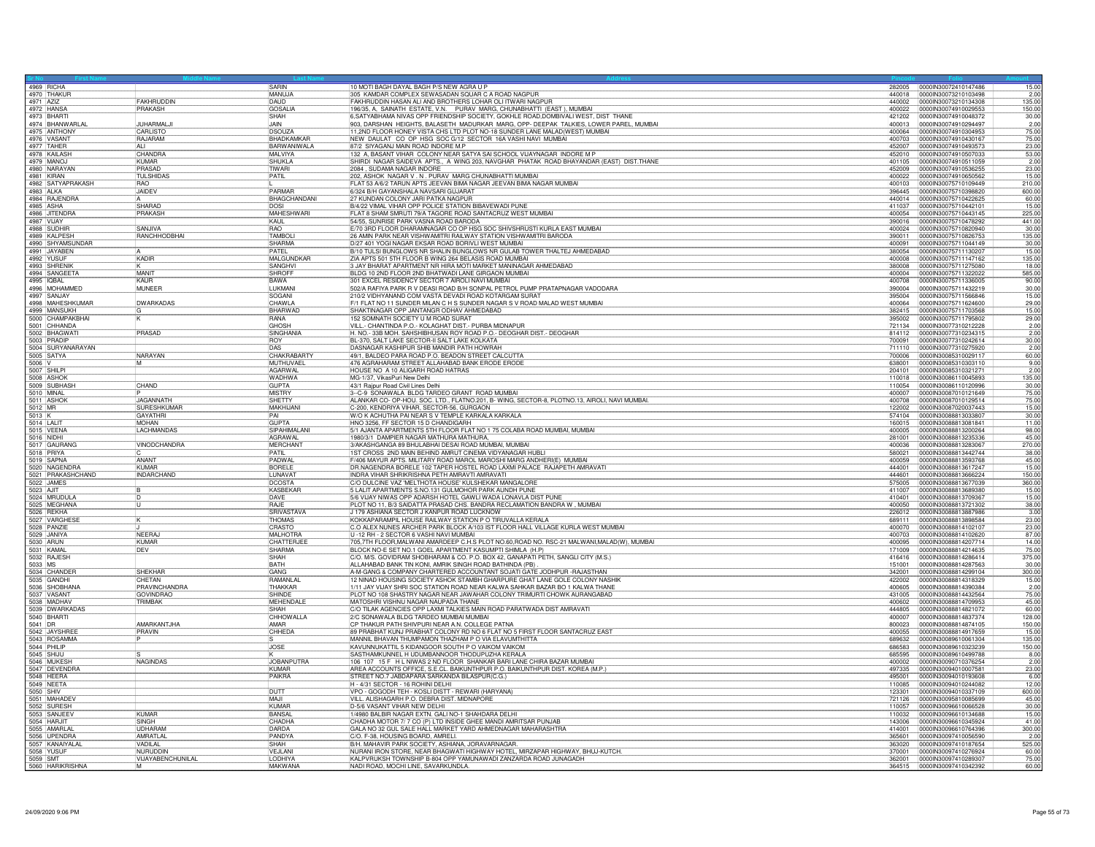|                       | 4969 RICHA                         |                                | SARIN                          | 10 MOTI BAGH DAYAL BAGH P/S NEW AGRA U P                                                                                                                                                                                 |                  | 282005 0000IN30072410147486                         | 15.00                   |
|-----------------------|------------------------------------|--------------------------------|--------------------------------|--------------------------------------------------------------------------------------------------------------------------------------------------------------------------------------------------------------------------|------------------|-----------------------------------------------------|-------------------------|
|                       | 4970 THAKUR                        |                                | MANUJA                         | 605 KAMDAR COMPLEX SEWASADAN SQUAR C A ROAD NAGPUF                                                                                                                                                                       | 440018           | 0000IN30073210103498                                | 2.00                    |
| 4971 AZIZ             |                                    | <b>FAKHRUDDIN</b>              | DAUD                           | FAKHRUDDIN HASAN ALI AND BROTHERS LOHAR OLI ITWARI NAGPUR<br>1986S, A. SAINATH ESTATE, V.N. PURAV MARG, CHUNABHATTI (EAST), MUMBAI<br>16,SATYABHAMA NIVAS OPP FRIENDSHIP SOCIETY, GOKHLE ROAD,DOMBIVALI WEST, DIST THANE | 440002           | 00000N30073210134308                                | 135.00                  |
|                       | 4972 HANS/<br>4973 BHART           | PRAKASH                        | <b>GOSALIA</b><br><b>ISHAH</b> |                                                                                                                                                                                                                          | 400022           | 0000IN30074910029553                                | 150.00<br>30.00         |
|                       | 4974 BHANWARLAL                    | <b>JUHARMALJI</b>              | JAIN                           | 903, DARSHAN HEIGHTS, BALASETH MADURKAR MARG, OPP- DEEPAK TALKIES, LOWER PAREL, MUMBAI                                                                                                                                   | 421202           | 0000IN30074910048372<br>400013 0000IN30074910294497 | 2.00                    |
|                       | 4975 ANTHONY                       | CARLISTO                       | <b>IDSOUZA</b>                 | 11,2ND FLOOR HONEY VISTA CHS LTD PLOT NO-18 SUNDER LANE MALAD(WEST) MUMBAI                                                                                                                                               | 400064           | 00000N30074910304953                                | 75.00                   |
|                       | 4976 VASANT                        | RAJARAM                        | BHADKAMKAR                     | NEW DAULAT CO OP HSG SOC G/12 SECTOR 16A VASHI NAVI MUMBAI                                                                                                                                                               | 400703           | 0000030074910430167                                 | 75.00                   |
|                       | 4977 TAHER<br>4978 KAILASH         | AI I<br>CHANDRA                | BARWANIWALA<br><b>MALVIYA</b>  | 87/2 SIYAGANJ MAIN ROAD INDORE M.P<br>132 A, BASANT VIHAR COLONY NEAR SATYA SAI SCHOOL VIJAYNAGAR INDORE M P                                                                                                             | 452007<br>452010 | 0000IN30074910493573<br>00000030074910507033        | 23.00<br>53.00          |
|                       | 4979 MANO                          | <b>KUMAR</b>                   | SHUKLA                         | SHIRDI NAGAR SAIDEVA APTS., A WING 203, NAVGHAR PHATAK ROAD BHAYANDAR (EAST) DIST.THANE                                                                                                                                  | 401105           | 0000IN30074910511059                                | 2.00                    |
|                       | 4980 NARAYAN                       | PRASAD                         | TIWARI                         | 2084 SUDAMA NAGAR INDORF                                                                                                                                                                                                 | 452009           | 00000N30074910536255                                | 23.00                   |
|                       | 4981 KIRAN                         | <b>TULSHIDAS</b>               | PATIL                          | 202, ASHOK NAGAR V. N. PURAV MARG CHUNABHATTI MUMBAI                                                                                                                                                                     | 400022           | 0000IN30074910650562                                | 15.00                   |
|                       | 4982 SATYAPRAKASH                  | RAO<br><b>JAIDEV</b>           | PARMAR                         | FLAT 53 A/6/2 TARUN APTS JEEVAN BIMA NAGAR JEEVAN BIMA NAGAR MUMBAI<br>6/324 B/H GAYANSHALA NAVSARI GUJARAT                                                                                                              | 400103<br>396445 | 0000IN30075710109449<br>0000IN30075710398820        | 210.00<br>600.00        |
|                       | 4984 RAJENDRA                      |                                | BHAGCHANDANI                   | 27 KUNDAN COLONY JARI PATKA NAGPUR                                                                                                                                                                                       | 440014           | 0000IN30075710422625                                | 60.00                   |
|                       | 4985 ASHA                          | SHARAD                         | DOSI                           | B/4/22 VIMAL VIHAR OPP POLICE STATION BIBAVEWADI PUNE                                                                                                                                                                    | 411037           | 0000IN30075710442101                                | 15.00                   |
|                       | 4986 JITENDRA                      | PRAKASH                        | <b>MAHESHWARI</b><br>KAUL      | FLAT 8 SHAM SMRUTI 79/A TAGORE ROAD SANTACRUZ WEST MUMBAL                                                                                                                                                                | 400054           | 0000IN30075710443145                                | 225.00                  |
|                       | 4987 VIJAY<br>4988 SUDHIR          | SANJIVA                        | <b>RAO</b>                     | 54/55, SUNRISE PARK VASNA ROAD BARODA<br>E/70 3RD FLOOR DHARAMNAGAR CO OP HSG SOC SHIVSHRUSTI KURLA EAST MUMBAI                                                                                                          | 400024           | 390016 0000IN30075710478292<br>0000IN30075710820940 | 441.00<br>30.00         |
|                       | 4989 KALPESH                       | RANCHHODBHAI                   | TAMBOI                         | 26 AMIN PARK NEAR VISHWAMITRI RAILWAY STATION VISHWAMITRI BARODA                                                                                                                                                         | 390011           | 0000IN30075710826753                                | 135.00                  |
|                       | 4990 SHYAMSUNDAR                   |                                | SHARMA                         | D/27 401 YOGI NAGAR EKSAR ROAD BORIVLI WEST MUMBAI                                                                                                                                                                       | 400091           | 0000IN30075711044149                                | 30.00                   |
|                       | 4991 JAYABEN                       |                                | PATEL                          | B/10 TULSI BUNGLOWS NR SHALIN BUNGLOWS NR GULAB TOWER THALTEJ AHMEDABAD                                                                                                                                                  | 380054           | 0000IN30075711130207                                | 15.00                   |
|                       | 4992 YUSUF<br>4993 SHRENIK         | <b>KADIR</b>                   | MALGUNDKAR<br>SANGHVI          | ZIA APTS 501 5TH FLOOR B WING 264 BELASIS ROAD MUMBAI<br>3 JAY BHARAT APARTMENT NR HIRA MOTI MARKET MANINAGAR AHMEDABAD                                                                                                  | 400008<br>380008 | 0000IN30075711147162<br>00000N30075711275080        | 135.00<br>18.00         |
|                       | 4994 SANGEETA                      | <b>MANI</b>                    | SHROFF                         | BLDG 10 2ND FLOOR 2ND BHATWADI LANE GIRGAON MUMBAI                                                                                                                                                                       |                  | 400004  0000IN30075711322022                        | 585.00                  |
|                       | 4995 IQBAL                         | KAUR                           | <b>BAWA</b>                    | 301 EXCEL RESIDENCY SECTOR 7 AIROLI NAVI MUMBAI                                                                                                                                                                          | 400708           | 00000N30075711336005                                | 90.00                   |
|                       | 4996 MOHAMMED                      | MUNEER                         | LUKMAN                         | 502/A RAFIYA PARK R V DEASI ROAD B/H SONPAL PETROL PUMP PRATAPNAGAR VADODARA<br>210/2 VIDHYANAND COM VASTA DEVADI ROAD KOTARGAM SURAT                                                                                    | 390004           | 0000IN30075711432219                                | 30.00                   |
|                       | 4997 SANJAY<br>4998 MAHESHKUMAR    | <b>DWARKADAS</b>               | SOGANI<br>CHAWLA               | F/1 FLAT NO 11 SUNDER MILAN C H S SUNDER NAGAR S V ROAD MALAD WEST MUMBAI                                                                                                                                                | 395004<br>400064 | 0000IN30075711566846<br>00000030075711624600        | 15.00<br>29.00          |
|                       | 4999 MANSUKH                       |                                | BHARWAD                        | SHAKTINAGAR OPP JANTANGR ODHAV AHMEDABAD                                                                                                                                                                                 |                  | 382415 0000IN30075711703568                         | 15.00                   |
|                       | 5000 CHAMPAKBHAI                   |                                | RANA                           | 152 SOMNATH SOCIETY U M ROAD SURAT                                                                                                                                                                                       |                  | 395002  00000N30075711795802                        | 29.00                   |
|                       | 5001 CHHANDA                       |                                | GHOSH                          | VILL.- CHANTINDA P.O.- KOLAGHAT DIST.- PURBA MIDNAPUR                                                                                                                                                                    | 721134           | 0000IN30077310212228                                | 2.00                    |
|                       | 5002 BHAGWAT                       | PRASAD                         | SINGHANIA<br>ROY               | H. NO.- 33B MOH. SAHSHIBHUSAN ROY ROAD P.O.- DEOGHAR DIST.- DEOGHAR                                                                                                                                                      | 814112<br>700091 | 0000IN30077310234315<br>00000N30077310242614        | 2.00<br>30.00           |
|                       |                                    |                                | DAS                            | BL-370, SALT LAKE SECTOR-II SALT LAKE KOLKATA<br>DASNAGAR KASHIPUR SHIB MANDIR PATH HOWRAH                                                                                                                               | 711110           | 0000IN30077310275920                                | 2.00                    |
|                       | 5004 SURYANARAYAN<br>5005 SATYA    | NARAYAN                        | CHAKRABARTY                    | 49/1, BALDEO PARA ROAD P.O. BEADON STREET CALCUTTA                                                                                                                                                                       | 700006           | 0000IN30085310029117                                | 60.00                   |
| 5006 V                |                                    | İМ                             | MUTHUVAEL                      | 476 AGRAHARAM STREET ALLAHABAD BANK ERODE ERODE                                                                                                                                                                          | 638001           | 0000IN30085310303110                                | 9.00                    |
|                       | 5007 SHILPI                        |                                | AGARWAL                        | HOUSE NO A 10 ALIGARH ROAD HATRAS                                                                                                                                                                                        | 204101           | 0000IN30085310321271                                | 2.00                    |
|                       | 5009 SUBHASH                       | CHAND                          | <b>WADHWA</b><br><b>GUPTA</b>  | MG-1/37, VikasPuri New Delhi<br>43/1 Rajpur Road Civil Lines Delhi                                                                                                                                                       | 110018<br>110054 | 00000N30086110045893<br>0000IN30086110120996        | 135.00<br>30.00         |
|                       | 5010 MINAL                         |                                | <b>MISTRY</b>                  | 3-C-9 SONAWALA BLDG TARDEO GRANT ROAD MUMBAI                                                                                                                                                                             | 400007           | 00000N30087010121649                                | 75.00                   |
|                       | 5011 ASHOP                         | <b>JAGANNATH</b>               | SHETTY                         | ALANKAR CO- OP-HOU. SOC. LTD., FLATNO.201, B- WING, SECTOR-8, PLOTNO.13, AIROLI, NAVI MUMBAI.                                                                                                                            | 400708           | 0000IN30087010129514                                | 75.00                   |
| $\frac{5012}{5013}$ K |                                    | <b>SURESHKUMAR</b>             | MAKHIJAN                       | C-200, KENDRIYA VIHAR, SECTOR-56, GURGAON                                                                                                                                                                                | 122002           | 0000IN30087020037443                                | 15.00                   |
| 5014 LALIT            |                                    | <b>GAYATHR</b><br><b>MOHAN</b> | PAI<br><b>GUPTA</b>            | W/O K ACHUTHA PAI NEAR S V TEMPLE KARKALA KARKALA<br>HNO 3256, FF SECTOR 15 D CHANDIGARH                                                                                                                                 | 574104<br>160015 | 00000N30088813033807<br>0000IN30088813081841        | 30.00<br>11.00          |
|                       | 5015 VEENA                         | <b>LACHMANDAS</b>              | SIPAHIMALAN                    | 5/1 AJANTA APARTMENTS 5TH FLOOR FLAT NO 1 75 COLABA ROAD MUMBAI, MUMBAI                                                                                                                                                  | 400005           | 0000IN30088813200264                                | 98.00                   |
|                       |                                    |                                |                                |                                                                                                                                                                                                                          |                  |                                                     |                         |
|                       | 5016 NIDHI                         |                                | AGRAWAL                        | 1980/3/1 DAMPIER NAGAR MATHURA MATHURA,                                                                                                                                                                                  | 281001           | 0000IN30088813235336                                | 45.00                   |
|                       |                                    | VINODCHANDRA                   | <b>MERCHAN</b>                 | 3/AKASHGANGA 89 BHULABHAI DESAI ROAD MUMBAI, MUMBA                                                                                                                                                                       | 400036           | 0000IN30088813283067                                | 270.00                  |
|                       | 5017 GAURANG                       |                                | PATIL                          | 1ST CROSS 2ND MAIN BEHIND AMRUT CINEMA VIDYANAGAR HUBL                                                                                                                                                                   | 580021           | 0000lN30088813442744                                | 38.00                   |
|                       | 5019 SAPNA                         | ANAN <sup>®</sup><br>KUMAR     | PADWAL                         | F/406 MAYUR APTS. MILITARY ROAD MAROL MAROSHI MARG ANDHERI(E) MUMBAI                                                                                                                                                     | 400059           | 0000IN30088813593768                                | 45.00<br>15.00          |
|                       | 5020 NAGENDRA<br>5021 PRAKASHCHAND |                                | <b>BORELE</b><br>LUNAVAT       | DR.NAGENDRA BORELE 102 TAPER HOSTEL ROAD LAXMI PALACE RAJAPETH AMRAVATI                                                                                                                                                  | 444001<br>444601 | 00000N30088813617247<br>0000IN30088813666224        | 150.00                  |
|                       |                                    | <b>INDARCHAND</b>              | <b>DCOSTA</b>                  | INDRA VIHAR SHRIKRISHNA PETH AMRAVTI AMRAVATI<br>C/O DULCINE VAZ 'MELTHOTA HOUSE' KULSHEKAR MANGALORE                                                                                                                    | 575005           | 0000IN30088813677039                                | 360.00                  |
|                       | 5022 JAMES                         |                                | <b>KASBEKAF</b>                | 5 LALIT APARTMENTS S.NO.131 GULMOHOR PARK AUNDH PUNE                                                                                                                                                                     | 411007           | 0000IN30088813689380                                | 15.00                   |
|                       | 5024 MRUDULA                       | in.                            | DAVE                           |                                                                                                                                                                                                                          | 410401           | 0000IN30088813709367                                |                         |
|                       | 5025 MEGHANA                       | ΙU                             | <b>RAJF</b>                    | 5/6 VIJAY NIWAS OPP ADARSH HOTEL GAWLI WADA LONAVLA DIST PUNE<br>PLOT NO 11, B/3 SAIDATTA PRASAD CHS. BANDRA RECLAMATION BANDRA W , MUMBAI                                                                               | 400050<br>226012 | 0000IN30088813721302<br>0000IN30088813887986        | 38.00<br>3.00           |
|                       | 5026 REKHA<br>5027 VARGHES         |                                | SRIVASTAVA<br><b>THOMAS</b>    | J 179 ASHIANA SECTOR J KANPUR ROAD LUCKNOW<br>KOKKAPARAMPIL HOUSE RAILWAY STATION P O TIRUVALLA KERALA                                                                                                                   | 689111           | 00000N30088813898584                                | 23.00                   |
|                       | 5028 PANZIE                        |                                | CRASTO                         | C.O ALEX NUNES ARCHER PARK BLOCK A/103 IST FLOOR HALL VILLAGE KURLA WEST MUMBAI                                                                                                                                          | 400070           | 0000IN30088814102107                                | 23.00                   |
|                       | 5029 JANIYA                        | NFFRA.<br>KIIMAR               | MALHOTRA                       | U -12 RH - 2 SECTOR 6 VASHI NAVI MUMBAI                                                                                                                                                                                  | 400703           | 0000IN30088814102620                                | 87.00                   |
|                       | 5030 ARUN<br>5031 KAMAI            | DEV                            | CHATTERJE<br><b>SHARMA</b>     | 705,7TH FLOOR, MALWANI AMARDEEP C.H.S PLOT NO.60, ROAD NO. RSC-21 MALWANI, MALAD(W), MUMBAI                                                                                                                              | 400095<br>171009 | 0000IN30088814207714<br>0000IN30088814214635        | 15.00<br>14.00<br>75.00 |
|                       |                                    |                                | SHAH                           | BLOCK NO-E SET NO.1 GOEL APARTMENT KASUMPTI SHIMLA (H.P)<br>C/O. M/S. GOVIDRAM SHOBHARAM & CO. P.O. BOX 42, GANAPATI PETH, SANGLI CITY (M.S.)                                                                            | 416416           | 0000IN30088814286414                                | 375.00                  |
|                       | 5032 RAJESH                        |                                | <b>BATH</b>                    | ALLAHABAD BANK TIN KONI, AMRIK SINGH ROAD BATHINDA (PB)                                                                                                                                                                  | 151001           | 0000IN30088814287563                                | 30.00                   |
|                       | 5034 CHANDER                       | SHFKHAR<br>CHETAN              | GANG<br><b>RAMANIA</b>         | A-M-GANG & COMPANY CHARTERED ACCOUNTANT SOJATI GATE JODHPUR - RAJASTHAN                                                                                                                                                  | 342001<br>422002 | 0000IN30088814299104                                | 300.00                  |
|                       | 5035 GANDHI<br>5036 SHOBHANA       | PRAVINCHANDRA                  | THAKKAR                        | 12 NINAD HOUSING SOCIETY ASHOK STAMBH GHARPURE GHAT LANE GOLE COLONY NASHIK<br>1/11 JAY VIJAY SHRI SOC STATION ROAD NEAR KALWA SAHKAR BAZAR BO 1 KALWA THANE                                                             | 400605           | 0000IN30088814318329<br>0000IN30088814390384        | 15.00<br>2.00           |
|                       |                                    | <b>GOVINDRAO</b>               | SHINDE                         | PLOT NO 108 SHASTRY NAGAR NEAR JAWAHAR COLONY TRIMURTI CHOWK AURANGABAD                                                                                                                                                  | 431005           | 0000IN30088814432564                                | 75.00                   |
|                       | 5037 VASANT                        | TRIMBAK                        | MEHENDALE                      | MATOSHRI VISHNU NAGAR NAUPADA THANE                                                                                                                                                                                      | 400602           | 0000IN30088814709953                                | 45.00                   |
|                       |                                    |                                | SHAH                           | C/O TILAK AGENCIES OPP LAXMI TALKIES MAIN ROAD PARATWADA DIST AMRAVATI                                                                                                                                                   | 444805           | 0000IN30088814821072                                | 60.00                   |
| 5041 DR               | 5039 DWARKADAS<br>5040 BHARTI      | AMARKANTJHA                    | CHHOWALLA<br>AMAR              | 2/C SONAWALA BLDG TARDEO MUMBAI MUMBAI<br>CP THAKUR PATH SHIVPURI NEAR A.N. COLLEGE PATNA                                                                                                                                | 400007<br>800023 | 0000IN30088814837374<br>0000IN30088814874105        | 128.00<br>150.00        |
|                       | 5042 JAYSHRE                       | PRAVIN                         | CHHEDA                         | 89 PRABHAT KUNJ PRABHAT COLONY RD NO 6 FLAT NO 5 FIRST FLOOR SANTACRUZ EAST                                                                                                                                              | 400055           | 0000IN30088814917659                                | 15.00                   |
|                       | 5043 ROSAMMA                       |                                |                                | MANNIL BHAVAN THUMPAMON THAZHAM P O VIA ELAVUMTHITTA                                                                                                                                                                     | 689632           | 00000N30089610061304                                | 135.00                  |
|                       | 5044 PHILIP                        |                                | JOSE                           | KAVUNNUKATTIL 5 KIDANGOOR SOUTH P O VAIKOM VAIKOM                                                                                                                                                                        | 686583           | 0000IN30089610323239                                | 150.00                  |
|                       | 5045 SHIJU<br>5046 MUKESH          | NAGINDAS                       | <b>JOBANPUTRA</b>              | SASTHAMKUNNEL H UDUMBANNOOR THODUPUZHA KERALA<br>106 107 15 F H L NIWAS 2 ND FLOOR SHANKAR BARI LANE CHIRA BAZAR MUMBAI                                                                                                  | 685595<br>400002 | 00000N30089610499788<br>0000IN30090710376254        | 8.00<br>2.00            |
|                       | 5047 DEVENDRA                      |                                | KUMAR                          | AREA ACCOUNTS OFFICE, S.E.CL. BAIKUNTHPUR P.O. BAIKUNTHPUR DIST. KOREA (M.P.)                                                                                                                                            | 497335           | 0000IN30094010007581                                | 23.00                   |
|                       | 5048 HEERA                         |                                | PAIKRA                         | STREET NO.7 JABDAPARA SARKANDA BILASPUR(C.G.)                                                                                                                                                                            | 495001           | 0000IN30094010193608                                | 6.00                    |
|                       |                                    |                                |                                | H - 4/31 SECTOR - 16 ROHINI DELHI                                                                                                                                                                                        | 110085           | 0000IN30094010244082                                | 12.00                   |
|                       | 5049 NEETA                         |                                | <b>DUTT</b><br>MA.II           | VPO - GOGODH TEH - KOSLI DISTT - REWARI (HARYANA)                                                                                                                                                                        | 123301<br>721126 | 0000IN30094010337109<br>0000IN30095810085699        | 600.00                  |
|                       | 5051 MAHADEV<br>5052 SURESH        |                                | KUMAR                          | VILL. ALISHAGARH P.O. DEBRA DIST. MIDNAPORE<br>D-5/6 VASANT VIHAR NEW DELHI                                                                                                                                              | 110057           | 0000IN30096610066528                                | 45.00<br>30.00          |
|                       | 5053 SANJEEV                       | KUMAR                          | <b>BANSAL</b>                  | 1/4980 BALBIR NAGAR EXTN. GALI NO-1 SHAHDARA DELHI                                                                                                                                                                       | 110032           | 100001N30096610134688                               | 15.00                   |
|                       |                                    | SINGH                          | CHADHA                         | CHADHA MOTOR 7/ 7 CO (P) LTD INSIDE GHEE MANDI AMRITSAR PUNJAB                                                                                                                                                           | 143006           | 0000IN30096610345924                                | 41.00                   |
|                       | 5054 HARJIT<br>5055 AMARLAL        | <b>UDHARAM</b>                 | DARDA                          | GALA NO 32 GUL SALE HALL MARKET YARD AHMEDNAGAR MAHARASHTRA                                                                                                                                                              | 414001           | 0000IN30096610764396                                | 300.00<br>2.00          |
|                       | 5056 UPENDRA                       | AMRATLAL<br>VADILAL            | PANDYA<br>SHAH                 | C/O. F-38, HOUSING BOARD, AMRELI.<br>B/H. MAHAVIR PARK SOCIETY, ASHIANA, JORAVARNAGAR.                                                                                                                                   | 365601<br>363020 | 0000IN30097410056590<br>0000IN30097410187654        | 525.00                  |
|                       | 5057 KANAIYALA                     | NURUDDIN                       | VF.II AN                       | NURANI IRON STORE, NEAR BHAGWATI HIGHWAY HOTEL, MIRZAPAR HIGHWAY, BHUJ-KUTCH.                                                                                                                                            | 370001           | 00000N30097410276924                                | 60.00                   |
|                       | 5059 SMT<br>5060 HARIKRISHNA       | VIJAYABENCHUNILAL              | LODHIYA<br>MAKWAN.             | KALPVRUKSH TOWNSHIP B-804 OPP YAMUNAWADI ZANZARDA ROAD JUNAGADH<br>NADI ROAD, MOCHI LINE, SAVARKUNDLA.                                                                                                                   | 362001           | 0000IN30097410289307<br>364515 00000N30097410342392 | 75.00<br>60.00          |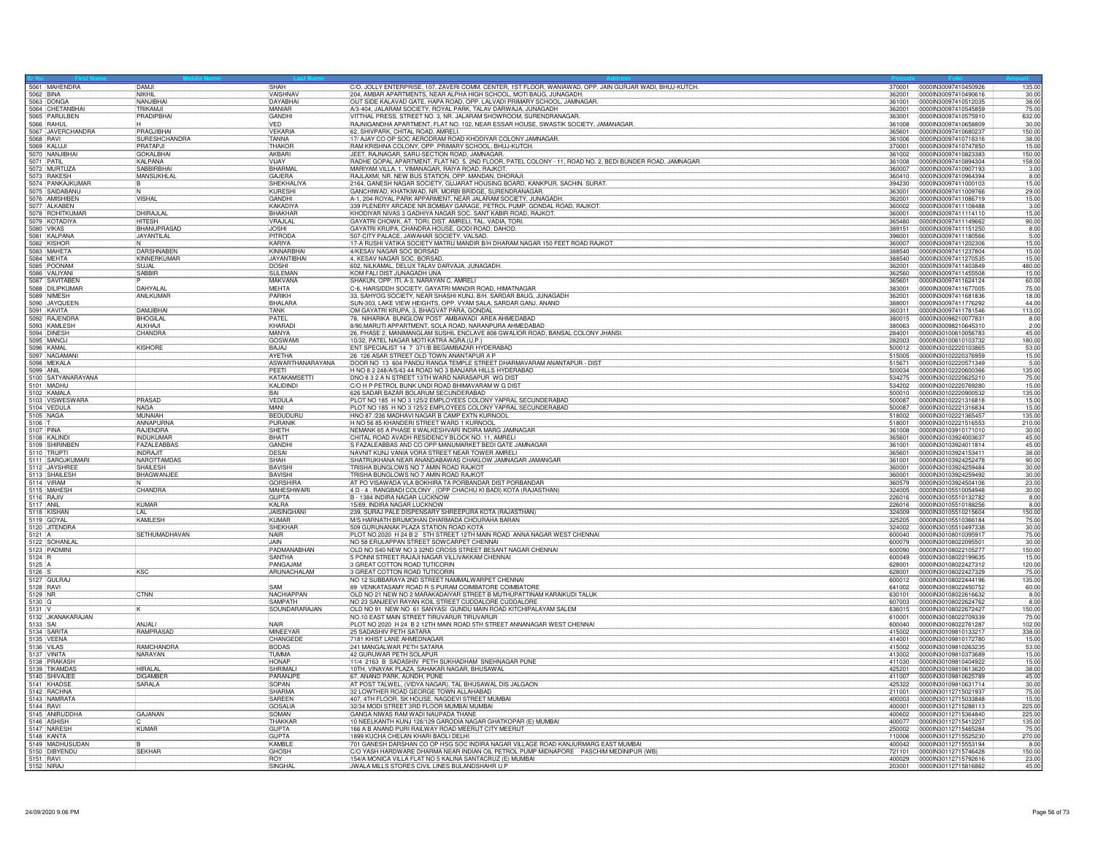|           | 5061 MAHENDRA                   | DAMJI                        | <b>SHAH</b>             | C/O. JOLLY ENTERPRISE, 107, ZAVERI COMM. CENTER, 1ST FLOOR, WANIAWAD, OPP. JAIN GURJAR WADI, BHUJ-KUTCH. |                  | 370001 0000IN30097410450926                  | 135.00          |
|-----------|---------------------------------|------------------------------|-------------------------|----------------------------------------------------------------------------------------------------------|------------------|----------------------------------------------|-----------------|
|           |                                 | NIKHIL                       | VAISHNAV                | 204, AMBAR APARTMENTS, NEAR ALPHA HIGH SCHOOL, MOTI BAUG, JUNAGADH                                       | 362001           | 0000IN30097410490616                         | 30.00           |
|           | 5063 DONGA                      | NAN.IIRHA                    | DAYARHAI                | OUT SIDE KALAVAD GATE, HAPA ROAD, OPP. LALVADI PRIMARY SCHOOL, JAMNAGAR.                                 | 361001           | 00000N30097410512035                         | 38.00           |
|           | 5064 CHETANBHAI                 | TRIKAMJI                     | MANIAR                  | A/3-404, JALARAM SOCIETY, ROYAL PARK, TALAV DARWAJA, JUNAGADH                                            | 362001           | 0000IN30097410545859                         | 75.00           |
|           | 5065 PARULBEN                   | PRADIPBHAI                   | GANDHI                  | VITTHAL PRESS, STREET NO. 3, NR. JALARAM SHOWROOM, SURENDRANAGAR.                                        | 363001           | 00000N30097410575910                         | 632.00          |
|           | 5066 RAHUL<br>5067 JAVERCHANDRA |                              | VED                     | RAJNIGANDHA APARTMENT, FLAT NO. 102, NEAR ESSAR HOUSE, SWASTIK SOCIETY, JAMANAGAR.                       | 361008           | 0000IN30097410658809                         | 30.00           |
|           |                                 | PRAGJIBHAI                   | VEKARIA                 | 62, SHIVPARK, CHITAL ROAD, AMRELI.                                                                       | 365601           | 0000IN30097410680237                         | 150.00          |
|           | 5068 RAVI                       | <b>SURESHCHANDRA</b>         | <b>TANNA</b>            | 17/ AJAY CO OP SOC AERODRAM ROAD KHODIYAR COLONY JAMNAGAR.                                               | 361006           | 0000IN30097410718316                         | 38.00           |
|           | 5069 KALUJ                      | PRATAPJ                      | THAKOR                  | RAM KRISHNA COLONY, OPP. PRIMARY SCHOOL, BHUJ-KUTCH.                                                     | 370001           | 0000IN30097410747850                         | 15.00           |
|           | 5070 NANJIBHAI                  | <b>GOKALBHAI</b>             | AKBARI                  | JEET, RAJNAGAR, SARU-SECTION ROAD, JAMNAGAR                                                              | 361002           | 00000N30097410823383                         | 150.00          |
|           | 5071 PATIL                      | KALPANA                      | VIJAY                   | RADHE GOPAL APARTMENT, FLAT NO. 5, 2ND FLOOR, PATEL COLONY - 11, ROAD NO. 2, BEDI BUNDER ROAD, JAMNAGAR  | 361008           | 00000N30097410894304                         | 158.00          |
|           | 5072 MURTUZA                    | SABBIRBHA                    | <b>BHARMAL</b>          | MARIYAM VILLA, 1. VIMANAGAR, RAIYA ROAD, RAJKOT,                                                         | 360007           | 0000IN30097410907193                         | 3.00            |
|           | 5073 RAKESH                     | MANSUKHLAL                   | GAJERA                  | RAJLAXMI, NR. NEW BUS STATION, OPP. MANDAN, DHORAJI.                                                     | 360410           | 0000IN30097410964394                         | 8.00            |
|           | 5074 PANKAJKUMAR                |                              | SHEKHALIYA              | 2164, GANESH NAGAR SOCIETY, GUJARAT HOUSING BOARD, KANKPUR, SACHIN. SURAT.                               | 394230           | 0000IN30097411000103                         | 15.00           |
|           | 5075 SAIDABANU                  |                              | KURESHI                 | GANCHIWAD, KHATKIWAD, NR. MORBI BRIDGE, SURENDRANAGAR                                                    | 363001           | 0000IN30097411009766                         | 29.00           |
|           | 5076 AMISHIBEN<br>5077 ALKABEN  | <b>VISHAL</b>                | GANDHI                  | A-1, 204-ROYAL PARK APPARMENT, NEAR JALARAM SOCIETY, JUNAGADH                                            | 362001           | 0000IN30097411086719                         | 15.00           |
|           |                                 |                              | KAKADIYA                | 339 PLENERY ARCADE NR.BOMBAY GARAGE, PETROL PUMP, GONDAL ROAD, RAJKOT.                                   | 360002           | 0000IN30097411108488                         | 3.00            |
|           | 5078 ROHITKUMAR                 | DHIRAJLAL                    | <b>BHAKHAR</b>          | KHODIYAR NIVAS 3 GADHIYA NAGAR SOC. SANT KABIR ROAD, RAJKOT                                              | 360001           | 0000lN30097411114110                         | 15.00           |
|           | 5079 KOTADIYA                   | <b>HITESH</b>                | VRAJLAL                 | GAYATRI CHOWK, AT. TORI, DIST. AMRELI, TAL. VADIA, TORI.                                                 | 365480           | 00000N30097411149662                         | 90.00           |
|           | <b>5080 VIKAS</b>               | <b>BHANUPRASAD</b>           | <b>JOSHI</b>            | GAYATRI KRUPA, CHANDRA HOUSE, GODI ROAD, DAHOD.                                                          | 389151           | 0000IN30097411151250                         | 8.00            |
|           | 5081 KALPANA                    | JAYANTILAL                   | PITRODA                 | 507-CITY PALACE, JAWAHAR SOCIETY, VALSAD.                                                                | 396001           | 0000IN30097411180566                         | 5.00            |
|           | 5082 KISHOR                     | IN.                          | KARIYA                  | 17-A RUSHI VATIKA SOCIETY MATRU MANDIR B/H DHARAM NAGAR 150 FEET ROAD RAJKOT                             | 360007           | 0000IN30097411202306                         | 15.00           |
|           | 5083 MAHETA                     | <b>DARSHNABEN</b>            | KINNARBHA               | 4/KESAV NAGAR SOC BORSAD                                                                                 | 388540           | 0000lN30097411237804                         | 15.00           |
|           | 5084 MEHTA                      | KINNERKUMAR                  | JAYANTIBHAI             | 4, KESAV NAGAR SOC, BORSAD                                                                               | 388540           | 0000IN30097411270535                         | 15.00           |
|           | 5085 POONAM                     | SUJAL                        | DOSHI                   | 602, NILKAMAL, DELUX TALAV DARVAJA, JUNAGADH.                                                            | 362001           | 0000IN30097411403849                         | 480.00          |
|           | 5086 VALIYANI                   | <b>SABBIR</b>                | SULFMAN                 | KOM FALI DIST JUNAGADH UNA                                                                               | 362560           | 0000IN30097411455508                         | 15.00           |
|           | 5087 SAVITABEN                  |                              | <b>MAKVANA</b>          | SHAKUN, OPP. ITI, A-3, NARAYAN C, AMRELI                                                                 | 365601           | 0000lN30097411624124                         | 60.00           |
|           | 5088 DILIPKUMAF                 | DAHYALAL                     | MEHTA                   | C-6, HARSIDDH SOCIETY, GAYATRI MANDIR ROAD, HIMATNAGAR                                                   | 383001           | 0000IN30097411677005                         | 75.00           |
|           |                                 | ANILKUMAR                    | PARIKH                  | 33, SAHYOG SOCIETY, NEAR SHASHI KUNJ, B/H. SARDAR BAUG, JUNAGADH                                         | 362001           | 0000IN30097411681836                         | 18.00           |
|           | 5089 NIMESH<br>5090 JAYQUEEN    |                              | <b>BHALARA</b>          | SUN-303, LAKE VIEW HEIGHTS, OPP. VYAM SALA, SARDAR GANJ, ANAND                                           | 388001           | 00000N30097411776292                         | 44.00           |
|           | 5091 KAVITA                     | <b>DAMJIRHAI</b>             | TANK                    | OM GAYATRI KRUPA, 3, BHAGVAT PARA, GONDAL                                                                | 360311           | 0000IN30097411781546                         | 113.00          |
|           | 5092 RAJENDRA                   | <b>BHOGILAL</b>              | PATFL                   | 78, NIHARIKA BUNGLOW POST AMBAWADI AREA AHMEDABAD                                                        |                  | 380015  0000IN30098210077831                 | 8.00            |
|           | 5093 KAMLESH                    | AI KHAJ                      | KHARAD                  | 8/90, MARUTI APPARTMENT, SOLA ROAD, NARANPURA AHMEDABAD                                                  | 380063           | 00000N30098210645310                         | 2.00            |
|           |                                 | <b>CHANDRA</b>               | MANYA                   | 26, PHASE 2, MANIMANGLAM SUSHIL ENCLAVE 808 GWALIOR ROAD, BANSAL COLONY JHANSI                           | 284001           | 0000IN30100610056783                         | 45.00           |
|           | 5094 DINESH                     |                              | <b>GOSWAM</b>           | 10/32. PATFL NAGAR MOTLKATRA AGRA (U.P.)                                                                 | 282003           | 00000N30100610103732                         | 180.00          |
|           | 5096 KAMAL                      | KISHORE                      | BAJAJ                   | ENT SPECIALIST 14 7 371/B BEGAMBAZAR HYDERABAD                                                           | 500012           | 0000IN30102220103865                         | 53.00           |
|           | 5097 NAGAMANI                   |                              | AYETHA                  | 26 126 ASAR STREET OLD TOWN ANANTAPUR A P                                                                | 515005           | 00000030102220376959                         | 15.00           |
|           | 5098 MEKALA                     |                              | ASWARTHANARAYANA        | DOOR NO 13 604 PANDU RANGA TEMPLE STREET DHARMAVARAM ANANTAPUR - DIST                                    | 515671           | 0000IN30102220571349                         | 5.00            |
| 5099 ANIL |                                 |                              | PEETI                   | H NO 8 2 248/A/5/43 44 ROAD NO 3 BANJARA HILLS HYDERABAD                                                 | 500034           | 0000IN30102220600366                         | 135.00          |
|           | 5100 SATYANARAYANA              |                              | KATAKAMSETTI            | DNO 8 3 2 A N STREET 13TH WARD NARASAPUR WG DIST                                                         | 534275           | 0000IN30102220625210                         | 75.00           |
|           | 5101 MADHU                      |                              | <b>KALIDINDI</b>        | C/O H P PETROL BUNK UNDI ROAD BHIMAVARAM W G DIST                                                        | 534202           | 0000IN30102220769280                         | 15.00           |
|           | 5102 KAMALA                     |                              | <b>RAI</b>              | 626 SADAR BAZAR BOLARUM SECUNDERABAD                                                                     | 500010           | 00000N30102220900532                         | 135.00          |
|           | 5103 VISWESWARA                 | PRASAD                       | VEDULA                  | PLOT NO 185 H NO 3 125/2 EMPLOYEES COLONY YAPRAL SECUNDERABAD                                            | 500087           | 0000IN30102221316818                         | 15.00           |
|           | 5104 VEDULA                     | <b>NAGA</b>                  | <b>MANI</b>             | PLOT NO 185 H NO 3 125/2 EMPLOYEES COLONY YAPRAL SECUNDERABAD                                            | 500087           | 00000N30102221316834                         | 15.00           |
|           | 5105 NAGA                       | <b>MUNAIAH</b>               | BEDUDURL                |                                                                                                          |                  |                                              | 135.00          |
|           |                                 |                              |                         | HNO 87 / 236 MADHAVI NAGAR B CAMP EXTN KURNOOL                                                           | 518002<br>518001 | 0000IN30102221365457                         |                 |
| 5106      | 5107 PINA                       | ANNAPURNA<br><b>RAJENDRA</b> | PURANIK<br><b>SHETH</b> | H NO 56 85 KHANDERI STREET WARD 1 KURNOOL<br>NEMANK 65 A PHASE II WALKESHVARI INDIRA MARG JAMNAGAR       | 361008           | 0000IN30102221516553<br>00000N30103910171010 | 210.00<br>30.00 |
|           | 5108 KALIND                     | <b>INDUKUMAR</b>             | <b>BHATT</b>            | CHITAL ROAD AVADH RESIDENCY BLOCK NO. 11, AMRELI                                                         |                  | 00000N30103924003637                         | 45.00           |
|           |                                 |                              | GANDHI                  |                                                                                                          | 365601<br>361001 |                                              |                 |
|           | 5109 SHIRINBEN                  | <b>FAZALEABBAS</b>           | <b>IDESAL</b>           | S FAZALEABBAS AND CO OPP MANUMARKET BEDI GATE JAMNAGAR                                                   |                  | 0000IN30103924011814                         | 45.00           |
|           | 5110 TRUPTI                     | <b>INDRAJIT</b>              |                         | NAVNIT KUNJ VANIA VORA STREET NEAR TOWER AMRELI                                                          | 365601           | 00000N30103924153411                         | 38.00           |
|           | 5111 SAROJKUMARI                | NAROTTAMDAS                  | SHAH                    | SHATRUKHANA NEAR ANANDABAWAS CHAKLOW JAMNAGAR JAMANGAR                                                   | 361001           | 0000IN30103924252478                         | 90.00           |
|           | 5112 JAYSHREE                   | SHAILESH                     | <b>BAVISH</b>           | TRISHA BUNGLOWS NO 7 AMIN ROAD RAJKOT                                                                    | 360001           | 00000N30103924259484                         | 30.00           |
|           | 5113 SHAILESH                   | BHAGWANJEE                   | <b>BAVISHI</b>          | TRISHA BUNGLOWS NO 7 AMIN ROAD RAJKOT                                                                    | 360001           | 00000N30103924259492                         | 30.00           |
|           | 5114 VIRAM                      |                              | GORSHIRA                | AT PO VISAWADA VLA BOKHIRA TA PORBANDAR DIST PORBANDAR                                                   | 360579           | 0000IN30103924504106                         | 23.00           |
|           | 5115 MAHESH                     | CHANDRA                      | <b>MAHESHWAR</b>        | 4 D - 4, RANGBADI COLONY, (OPP CHACHU KI BADI) KOTA (RAJASTHAN)                                          | 324005           | 0000lN30105510054948                         | 30.00           |
|           | 5116 RAJIV                      |                              | <b>GUPTA</b>            | B - 1384 INDIRA NAGAR LUCKNOW                                                                            | 226016           | 0000IN30105510132782                         | 8.00            |
|           |                                 | KUMAR                        | KAI RA                  | 15/69, INDIRA NAGAR LUCKNOW                                                                              | 226016           | 00000030105510188256                         | 8.00            |
|           | 5118 KISHAN                     | i Al                         | <b>JAISINGHAN</b>       | 239, SURAJ PALE DISPENSARY SHREEPURA KOTA (RAJASTHAN)                                                    | 324009           | 0000lN30105510215604                         | 150.00          |
|           | 5119 GOYAL                      | KAMLESH                      | KI IMAR                 | M/S HARNATH BRIJMOHAN DHARMADA CHOURAHA BARAN                                                            | 325205           | 00000N30105510366184                         | 75.00           |
|           | 5120 JITENDRA                   |                              | SHEKHAR                 | 509 GURUNANAK PLAZA STATION ROAD KOTA                                                                    | 324002           | 0000lN30105510497338                         | 30.00           |
|           | 5121 A<br>5122 SOHANLAL         | <b>SETHUMADHAVAN</b>         | <b>NAIR</b>             | PLOT NO.2020 H 24 B 2 5TH STREET 12TH MAIN ROAD ANNA NAGAR WEST CHENNAI                                  | 600040           | 0000IN30108010395917                         | 75.00           |
|           |                                 |                              | <b>JAIN</b>             | NO 58 ERULAPPAN STREET SOWCARPET CHENNAL                                                                 | 600079           | 00000N30108022095501                         | 30.00           |
|           | 5123 PADMINI                    |                              | PADMANARHAN             | OLD NO S40 NEW NO 3 32ND CROSS STREET BESANT NAGAR CHENNAI                                               | 600090           | 0000IN30108022105277                         | 150.00          |
| 5124 R    |                                 |                              | <b>SANTHA</b>           | 5 PONNI STREET RAJAJI NAGAR VILLIVAKKAM CHENNAI                                                          | 600049           | 0000IN30108022199635                         | 15.00           |
| $5125$ A  |                                 |                              | PANGAJAM                | 3 GREAT COTTON ROAD TUTICORIN                                                                            | 628001           | 00000030108022427312                         | 120.00          |
|           | 5126 S<br>5127 GULRAJ           | KSC                          | ARUNACHALAM             | 3 GREAT COTTON ROAD TUTICORIN                                                                            | 628001           | 0000IN30108022427329                         | 75.00           |
|           |                                 |                              |                         | NO 12 SUBBARAYA 2ND STREET NAMMALWARPET CHENNAL                                                          | 600012           | 00000030108022444196                         | 135.00          |
|           | 5128 RAVI                       |                              | SAM                     | 89 VENKATASAMY ROAD R S PURAM COIMBATORE COIMBATORE                                                      | 641002           | 0000IN30108022450752                         | 60.00           |
| 5129 NR   |                                 | <b>CTNN</b>                  | NACHIAPPAN              | OLD NO 21 NEW NO 2 MARAKADAIYAR STREET B MUTHUPATTINAM KARAIKUDI TALUK                                   | 630101           | 0000IN30108022616632                         | 8.00            |
| 5130 G    |                                 |                              | SAMPATH                 | NO 23 SANJEEVI RAYAN KOIL STREET CUDDALORE CUDDALORE                                                     | 607003           | 00000130108022624762                         | 8.00            |
| $5131$ V  |                                 |                              | SOUNDARARAJAN           | OLD NO 91 NEW NO 61 SANYASI GUNDU MAIN ROAD KITCHIPALAYAM SALEM                                          | 636015           | 0000IN30108022672427                         | 150.00          |
|           | 5132 JKANAKARAJAN               |                              |                         | NO.10 FAST MAIN STREET TIRUVARUR TIRUVARUR                                                               | 610001           | 00000830108022709339                         | 75.00           |
| 5133 SAI  |                                 | ANJAI I                      | NAIR                    | PLOT NO 2020 H 24 B 2 12TH MAIN ROAD 5TH STREET ANNANAGAR WEST CHENNAI                                   | 600040           | 0000IN30108022761287                         | 102.00          |
|           | 5134 SARIT                      | RAMPRASAD                    | <b>MINEEYAF</b>         | 25 SADASHIV PETH SATARA                                                                                  | 415002           | 0000lN30109810133217                         | 338.00          |
|           | 5135 VEENA                      |                              | CHANGEDE                | 7181 KHIST LANE AHMEDNAGAF                                                                               |                  | 414001  00000 N30109810172780                | 15.00           |
|           | 5136 VILAS<br>5137 VINITA       | <b>RAMCHANDRA</b>            | <b>BODAS</b>            | 241 MANGALWAR PETH SATARA                                                                                | 415002           | 00000N30109810263235                         | 53.00           |
|           |                                 | NARAYAN                      | <b>TUMMA</b>            | 42 GURUWAR PETH SOLAPUR                                                                                  | 413002           | 10000IN30109810373689                        | 15.00           |
|           | 5138 PRAKASH                    |                              | <b>HONAP</b>            | 11/4 2163 B SADASHIV PETH SUKHADHAM SNEHNAGAR PUNE                                                       | 411030           | 0000IN30109810404922                         | 15.00           |
|           | 5139 TIKAMDA                    | <b>HIRALAL</b>               | SHRIMAL                 | 10TH, VINAYAK PLAZA, SAHAKAR NAGAR, BHUSAWAL                                                             | 425201           | 0000IN30109810613620                         | 38.00           |
|           | 5140 SHIVAJEE                   | <b>DIGAMBER</b>              | PARANJPI                | 67, ANAND PARK, AUNDH, PUNE                                                                              | 411007           | 00000030109810625789                         | 45.00           |
|           | 5141 KHADSF                     | SARALA                       | SOPAN                   | AT POST TALWEL, (VIDYA NAGAR), TAL BHUSAWAL DIS JALGAON                                                  | 425322           | 0000IN30109810631714                         | 30.00           |
|           | 5142 RACHNA                     |                              | SHARMA                  | 32 LOWTHER ROAD GEORGE TOWN ALLAHABAD                                                                    | 211001           | 0000IN30112715021937                         | 75.00           |
|           | 5143 NAMRATA                    |                              | SAREEN                  | 407, 4TH FLOOR, SK HOUSE, NAGDEVI STREET MUMBAI                                                          | 400003           | 0000IN30112715033848                         | 15.00           |
|           | 5144 RAVI                       |                              | <b>GOSALIA</b>          | 32/34 MODI STREET 3RD FLOOR MUMBAI MUMBAI                                                                | 400001           | 0000IN30112715288113                         | 225.00          |
|           | 5145 ANIRUDDHA                  | GAJANAN                      | SOMAN                   | GANGA NIWAS RAM WADI NAUPADA THANE                                                                       | 400602           | 00000N30112715364840                         | 225.00          |
|           | 5146 ASHISH                     |                              | <b>THAKKAF</b>          | 10 NEELKANTH KUNJ 128/129 GARODIA NAGAR GHATKOPAR (E) MUMBAI                                             | 400077           | 0000IN30112715412207                         | 135.00          |
|           | 5147 NARESH                     | KUMAR                        | <b>GUPTA</b>            | 166 A B ANAND PURI RAILWAY ROAD MEERUT CITY MEERUT                                                       | 250002           | 00000130112715465284                         | 75.00           |
|           | 5148 KANTA                      |                              | <b>GUPTA</b>            | 1899 KUCHA CHELAN KHARI BAOLI DELHI                                                                      | 110006           | 0000IN30112715525230                         | 270.00          |
|           | 5149 MADHUSUDAN                 |                              | KAMBLE                  | 701 GANESH DARSHAN CO OP HSG SOC INDIRA NAGAR VILLAGE ROAD KANJURMARG EAST MUMBAI                        | 400042           | 0000lN30112715553194                         | 8.00            |
|           | 5150 DIBYENDU                   | <b>SEKHAR</b>                | <b>GHOSH</b>            | C/O YASH HARDWARE DHARMA NEAR INDIAN OIL PETROL PUMP MIDNAPORE PASCHIM MEDINIPUR (WB)                    | 721101           | 00000030112715746428                         | 150.00          |
|           |                                 |                              | <b>ROY</b>              | 154/A MONICA VILLA FLAT NO 5 KALINA SANTACRUZ (E) MUMBAI                                                 |                  | 400029 00000N30112715792616                  | 23.00           |
|           | 5151 RAVI<br>5152 NIRAJ         |                              | <b>SINGHA</b>           | JWALA MILLS STORES CIVIL LINES BULANDSHAHR U.P                                                           | 203001           | 000000112715816862                           | 45.00           |
|           |                                 |                              |                         |                                                                                                          |                  |                                              |                 |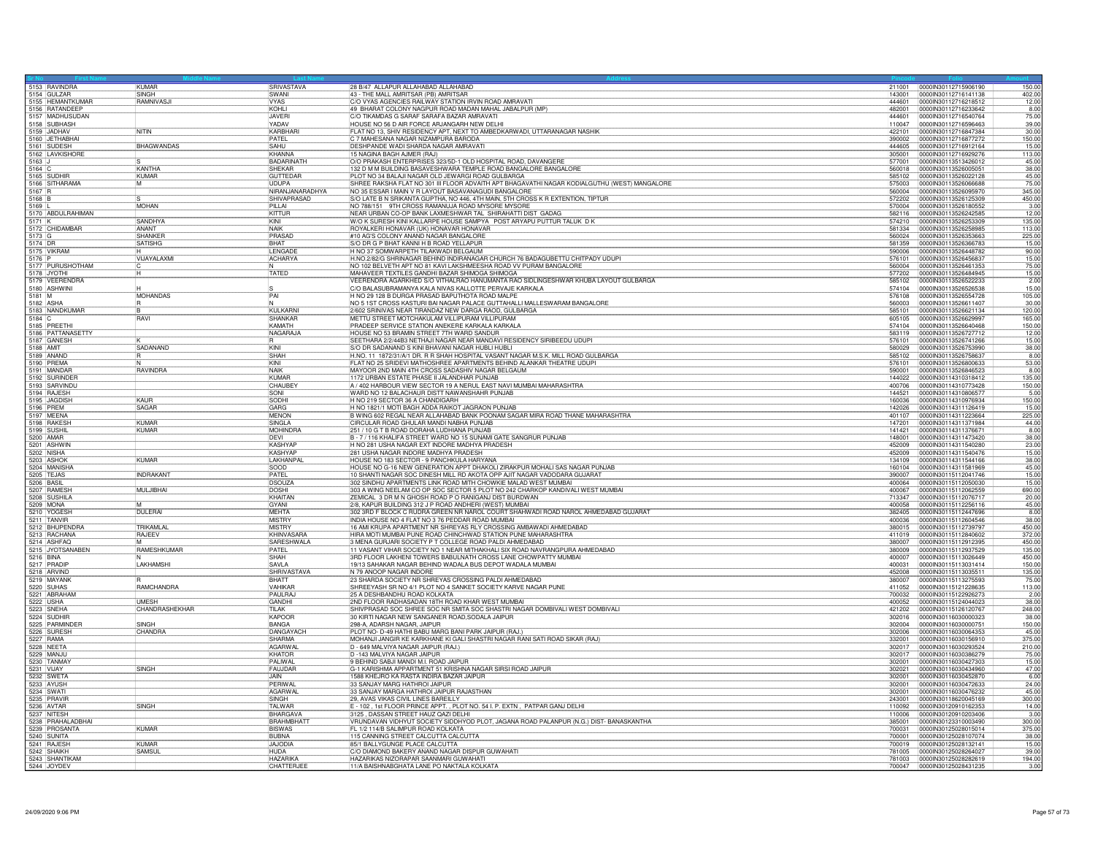|            | 5153 RAVINDRA<br>5154 GULZAR       | KUMAR             | SRIVASTAVA        | 28 B/47 ALLAPUR ALLAHABAD ALLAHABAD                                                                                     | 211001           | 00000N30112715906190                         | 150.00         |
|------------|------------------------------------|-------------------|-------------------|-------------------------------------------------------------------------------------------------------------------------|------------------|----------------------------------------------|----------------|
|            |                                    | SINGH             | <b>SWANI</b>      | 43 - THE MALL AMRITSAR (PB) AMRITSAR                                                                                    | 143001           | 0000lN30112716141138                         | 402.00         |
|            | 5155 HEMANTKUMAR                   | RAMNIVASJ         | <b>VYAS</b>       | C/O VYAS AGENCIES RAILWAY STATION IRVIN ROAD AMRAVATI                                                                   | 444601           | 0000lN30112716218512                         | 12.00          |
|            | 5156 RATANDEEP<br>5157 MADHUSUDAN  |                   | KOHL<br>JAVERI    | 49 BHARAT COLONY NAGPUR ROAD MADAN MAHAL JABALPUR (MP)<br>C/O TIKAMDAS G SARAF SARAFA BAZAR AMRAVATI                    | 482001<br>444601 | 0000lN30112716233642<br>00000N30112716540764 | 8.00<br>75.00  |
|            |                                    |                   | YADAV             |                                                                                                                         |                  |                                              |                |
|            | 5158 SUBHASH<br>5159 JADHAV        | <b>NITIN</b>      | KARBHAR           | HOUSE NO 56 D AIR FORCE ARJANGARH NEW DELHI<br>FLAT NO 13, SHIV RESIDENCY APT, NEXT TO AMBEDKARWADI, UTTARANAGAR NASHIK | 110047<br>422101 | 0000IN30112716596463<br>0000lN30112716847384 | 39.00<br>30.00 |
|            | 5160 JETHABHA                      |                   | PATEL             | C 7 MAHESANA NAGAR NIZAMPURA BARODA                                                                                     | 390002           | 0000lN30112716877272                         | 150.00         |
|            |                                    | <b>BHAGWANDAS</b> | SAHU              | DESHPANDE WADI SHARDA NAGAR AMRAVATI                                                                                    | 444605           | 0000lN30112716912164                         | 15.00          |
|            | 5161 SUDESH<br>5162 LAVKISHORI     |                   | KHANNA            | 15 NAGINA BAGH AJMER (RAJ)                                                                                              | 305001           | 0000IN30112716929276                         | 113.00         |
| $5163$ J   |                                    |                   | BADARINATH        | O/O PRAKASH ENTERPRISES 323/5D-1 OLD HOSPITAL ROAD, DAVANGERE                                                           | 577001           | 0000lN30113513426012                         |                |
| 5164 C     |                                    | KANTHA            | SHEKAR            | 132 D M M BUILDING BASAVESHWARA TEMPLE ROAD BANGALORE BANGALORE                                                         | 560018           | 0000IN30113526005051                         | 45.00<br>38.00 |
|            | 5165 SUDHIR                        | KUMAR             | <b>GUTTEDAF</b>   | PLOT NO 34 BALAJI NAGAR OLD JEWARGI ROAD GULBARGA                                                                       | 585102           | 0000lN30113526022128                         | 45.00          |
|            |                                    |                   | <b>UDUPA</b>      | SHREE RAKSHA FLAT NO 301 III FLOOR ADVAITH APT BHAGAVATHI NAGAR KODIALGUTHU (WEST) MANGALORE                            | 575003           | 0000IN30113526066688                         | 75.00          |
|            | 5166 SITHARAMA                     |                   | NIRANJANARADHYA   | NO 35 ESSAR I MAIN V R LAYOUT BASAVANAGUDI BANGALORE                                                                    | 560004           | 0000IN30113526095970                         | 345.00         |
| 5168 B     |                                    |                   | SHIVAPRASAD       | S/O LATE B N SRIKANTA GUPTHA, NO 446, 4TH MAIN, 5TH CROSS K R EXTENTION, TIPTUR                                         | 572202           | 0000IN30113526125309                         | 450.00         |
| 5169       |                                    | MOHAN             | PILAI             | NO 788/151 9TH CROSS RAMANUJA ROAD MYSORE MYSORE                                                                        | 570004           | 0000IN30113526180552                         | 3.00           |
|            | 5170 ABDULRAHIMAN                  |                   | KITTUR            | NEAR URBAN CO-OP BANK LAXMESHWAR TAL SHIRAHATTI DIST GADAG                                                              | 582116           | 0000IN30113526242585                         | 12.00          |
| 5171 K     |                                    | SANDHYA           | KINI              | W/O K SURESH KINI KALLARPE HOUSE SAMPYA POST ARYAPU PUTTUR TALUK D K                                                    | 574210           | 0000030113526253309                          | 135.00         |
|            | 5172 CHIDAMBAR                     | ANANT             | <b>NAIK</b>       | ROYALKERI HONAVAR (UK) HONAVAR HONAVAR                                                                                  | 581334           | 0000lN30113526258985                         | 113.00         |
| 5173 G     |                                    | SHANKER           | PRASAD            | #10 AG'S COLONY ANAND NAGAR BANGALORE                                                                                   | 560024           | 0000IN30113526353663                         | 225.00         |
| 5174 DR    |                                    | SATISHG           | BHAT              | S/O DR G P BHAT KANNI H B ROAD YELLAPUR                                                                                 | 581359           | 0000IN30113526366783                         | 15.00          |
|            | 5175 VIKRAM                        |                   | LENGADE           | H NO 37 SOMWARPETH TILAKWADI BELGAUM                                                                                    | 590006           | 0000IN30113526448782                         | 90.00          |
|            |                                    | VIJAYALAXMI       | <b>ACHARYA</b>    | H.NO.2/82/G SHRINAGAR BEHIND INDIRANAGAR CHURCH 76 BADAGUBETTU CHITPADY UDUPI                                           | 576101           | 0000IN30113526456837                         | 15.00          |
|            | 5176 P<br>5177 PURUSHOTHAM         | IN.               |                   | NO 102 BELVETH APT NO 81 KAVI LAKSHMEESHA ROAD VV PURAM BANGALORE                                                       | 560004           | 0000IN30113526461353                         | 75.00          |
|            | 5178 JYOTHI                        |                   | TATED             | MAHAVEER TEXTILES GANDHI BAZAR SHIMOGA SHIMOGA                                                                          | 577202           | 0000IN30113526484945                         | 15.00          |
|            | 5179 VEERENDRA                     |                   |                   | VEERENDRA AGARKHED S/O VITHALRAO HANUMANTA RAO SIDLINGESHWAR KHUBA LAYOUT GULBARGA                                      | 585102           | 0000IN30113526522233                         | 2.00           |
|            | 5180 ASHWINI                       |                   |                   | C/O BALASUBRAMANYA KALA NIVAS KALLOTTE PERVAJE KARKALA                                                                  | 574104           | 0000IN30113526526538                         | 15.00          |
| $5181$ M   |                                    | <b>MOHANDAS</b>   | $\frac{S}{PAI}$   | H NO 29 128 B DURGA PRASAD BAPUTHOTA ROAD MALPE                                                                         | 576108           | 0000IN30113526554728                         | 105.00         |
|            | 5182 ASHA                          | ΪÑ                |                   | NO 5 1ST CROSS KASTURI BAI NAGAR PALACE GUTTAHALLI MALLESWARAM BANGALORE                                                | 560003           | 0000IN30113526611407                         | 30.00          |
|            | 5183 NANDKUMAR                     |                   | KULKARNI          | 2/602 SRINIVAS NEAR TIRANDAZ NEW DARGA RAOD, GULBARGA                                                                   | 585101           | 0000lN30113526621134                         | 120.00         |
| 5184 C     |                                    | RAVI              | SHANKAR           | METTU STREET MOTCHAKULAM VILLIPURAM VILLIPURAM                                                                          | 605105           | 0000IN30113526629997                         | 165.00         |
|            |                                    |                   | KAMATH            | PRADEEP SERVICE STATION ANEKERE KARKALA KARKALA                                                                         | 574104           | 0000IN30113526640468                         | 150.00         |
|            | 5185 PREETHI                       |                   | NAGARAJA          | HOUSE NO 53 BRAMIN STREET 7TH WARD SANDUR                                                                               | 583119           | 0000lN30113526727712                         |                |
|            | 5186 PATTANASETTY<br>5187 GANESH   |                   |                   | SEETHARA 2/2/44B3 NETHAJI NAGAR NEAR MANDAVI RESIDENCY SIRIBEEDU UDUPI                                                  | 576101           | 0000lN30113526741266                         | 12.00<br>15.00 |
| 5188 AMIT  |                                    | SADANAND          | KINI              | S/O DR SADANAND S KINI BHAVANI NAGAR HUBLI HUBLI                                                                        | 580029           | 0000lN30113526753990                         | 38.00          |
|            | 5189 ANAND                         |                   | SHAH              | H.NO. 11 1872/31/A/1 DR. R R SHAH HOSPITAL VASANT NAGAR M.S.K. MILL ROAD GULBARGA                                       | 585102           | 0000IN30113526758637                         | 8.00           |
|            | 5190 PREMA                         |                   | KINI              | FLAT NO 25 SRIDEVI MATHOSHREE APARTMENTS BEHIND ALANKAR THEATRE UDUPI                                                   | 576101           | 0000IN30113526800633                         | 53.00          |
|            | 5191 MANDAR                        | RAVINDRA          | NAIK              | MAYOOR 2ND MAIN 4TH CROSS SADASHIV NAGAR BELGAUM                                                                        | 590001           | 0000IN30113526846523                         | 8.00           |
|            | 5192 SURINDER                      |                   | KUMAR             | 1172 URBAN ESTATE PHASE II JALANDHAR PUNJAB                                                                             | 144022           | 0000IN30114310318412                         | 135.00         |
|            |                                    |                   | CHAUBEY           | A / 402 HARBOUR VIEW SECTOR 19 A NERUL EAST NAVI MUMBAI MAHARASHTRA                                                     | 400706           | 0000lN30114310773428                         | 150.00         |
|            | 5193 SARVINDU                      |                   | <b>ISONI</b>      | WARD NO 12 BALACHAUR DISTT NAWANSHAHR PUNJAB                                                                            | 144521           | 0000IN30114310806577                         | 5.00           |
|            | 5195 JAGDISH                       | KALIR             | SODHI             | H NO 219 SECTOR 36 A CHANDIGARH                                                                                         | 160036           | 0000IN30114310976934                         | 150.00         |
|            | 5196 PREM                          | SAGAR             | GARG              | H NO 1821/1 MOTI BAGH ADDA RAIKOT JAGRAON PUNJAB                                                                        | 142026           | 0000lN30114311126419                         | 15.00          |
|            | 5197 MEENA                         |                   | <b>MENON</b>      | B WING 602 REGAL NEAR ALLAHABAD BANK POONAM SAGAR MIRA ROAD THANE MAHARASHTRA                                           | 401107           | 0000lN30114311223664                         | 225.00         |
|            | 5198 RAKESH                        | KUMAR             | SINGLA            | CIRCULAR ROAD GHULAR MANDI NABHA PUNJAB                                                                                 | 147201           | 0000IN30114311371984                         | 44.00          |
|            | 5199 SUSHIL                        | KUMAR             | <b>MOHINDRA</b>   | 251 / 10 G T B ROAD DORAHA LUDHIANA PUNJAB                                                                              | 141421           | 0000IN30114311376671                         | 8.00           |
|            | 5200 AMAR                          |                   | DEVI              | B - 7 / 116 KHALIFA STREET WARD NO 15 SUNAMI GATE SANGRUR PUNJAB                                                        | 148001           | 0000lN30114311473420                         | 38.00          |
|            | 5201 ASHWIN                        |                   | <b>KASHYAF</b>    | H NO 281 USHA NAGAR EXT INDORE MADHYA PRADESH                                                                           | 452009           | 0000IN30114311540280                         | 23.00          |
|            | 5202 NISHA                         |                   | <b>KASHYAP</b>    | 281 USHA NAGAR INDORE MADHYA PRADESH                                                                                    | 452009           | 0000lN30114311540476                         | 15.00          |
|            | 5203 ASHOK                         | KUMAR             | LAKHANPAL         | HOUSE NO 183 SECTOR - 9 PANCHKULA HARYANA                                                                               | 134109           | 0000030114311544166                          | 38.00          |
|            | 5204 MANISHA                       |                   | <b>SOOD</b>       | HOUSE NO G-16 NEW GENERATION APPT DHAKOLI ZIRAKPUR MOHALI SAS NAGAR PUNJAB                                              | 160104           | 0000IN30114311581969                         | 45.00          |
|            | 5205 TEJAS                         | <b>INDRAKANT</b>  | PATEL             | 10 SHANTI NAGAR SOC DINESH MILL RD AKOTA OPP AJIT NAGAR VADODARA GUJARAT                                                | 390007           | 0000lN30115112041746                         | 15.00          |
| 5206 BASIL |                                    |                   | <b>DSOUZA</b>     | 302 SINDHU APARTMENTS LINK ROAD MITH CHOWKIE MALAD WEST MUMBAI                                                          | 400064           | 0000IN30115112050030                         | 15.00          |
|            | 5207 RAMESH                        | <b>MULJIBHAI</b>  | <b>DOSHI</b>      | 303 A WING NEELAM CO OP SOC SECTOR 5 PLOT NO 242 CHARKOP KANDIVALI WEST MUMBAI                                          | 400067           | 0000IN30115112062559                         | 690.00         |
|            | 5208 SUSHILA                       |                   | KHAITAN           | ZEMICAL 3 DR M N GHOSH ROAD P O RANIGANJ DIST BURDWAN                                                                   | 713347           | 0000lN30115112076717                         | 20.00          |
|            | 5209 MONA                          |                   | <b>GYANI</b>      | 2/8, KAPUR BUILDING 312 J P ROAD ANDHERI (WEST) MUMBAI                                                                  | 400058           | 0000IN30115112256116                         | 45.00          |
|            | 5210 YOGESH                        | DULERAI           | MEHTA             | 302 3RD F BLOCK C RUDRA GREEN NR NAROL COURT SHAHWADI ROAD NAROL AHMEDABAD GUJARAT                                      | 382405           | 0000IN30115112447696                         | 8.00           |
|            |                                    |                   | <b>MISTRY</b>     | INDIA HOUSE NO 4 FLAT NO 3 76 PEDDAR ROAD MUMBAI                                                                        | 400036           | 0000lN30115112604546                         | 38.00          |
|            | 5211 TANVIR<br>5212 BHUPENDRA      | TRIKAMLAL         | MISTRY            | 16 AMI KRUPA APARTMENT NR SHREYAS RLY CROSSING AMBAWADI AHMEDABAD                                                       | 380015           | 0000lN30115112739797                         | 450.00         |
|            | 5213 RACHANA                       | <b>RAJEEV</b>     | KHINVASARA        | HIRA MOTI MUMBAI PUNE ROAD CHINCHWAD STATION PUNE MAHARASHTRA                                                           | 411019           | 0000lN30115112840602                         | 372.00         |
|            | 5214 ASHFAQ                        |                   | SARESHWALA        | 3 MENA GURJARI SOCIETY P T COLLEGE ROAD PALDI AHMEDABAD                                                                 | 380007           | 0000IN30115112912395                         | 450.00         |
|            | 5215 JYOTSANABEN                   | RAMESHKUMAR       | PATEL             | 11 VASANT VIHAR SOCIETY NO 1 NEAR MITHAKHALI SIX ROAD NAVRANGPURA AHMEDABAD                                             | 380009           | 0000lN30115112937529                         | 135.00         |
|            |                                    |                   | SHAH              | 3RD FLOOR LAKHENI TOWERS BABULNATH CROSS LANE CHOWPATTY MUMBAI                                                          | 400007           | 0000lN30115113026449                         | 450.00         |
|            | 5216 BINA<br>5217 PRADIE           | LAKHAMSHI         | <b>SAVIA</b>      | 19/13 SAHAKAR NAGAR BEHIND WADALA BUS DEPOT WADALA MUMBAI                                                               | 400031           | 00000N30115113031414                         | 150.00         |
|            | 5218 ARVIND                        |                   | SHRIVASTAVA       | N 79 ANOOP NAGAR INDORE                                                                                                 | 452008           | 0000IN30115113035511                         | 135.00         |
|            | 5219 MAYANK                        |                   | <b>RHATT</b>      | 23 SHARDA SOCIETY NR SHREYAS CROSSING PALDI AHMEDABAD                                                                   | 380007           | 0000IN30115113275593                         | 75.00          |
|            | 5220 SUHAS                         | RAMCHANDRA        | VAHIKAF           | SHREEYASH SR NO 4/1 PLOT NO 4 SANKET SOCIETY KARVE NAGAR PUNE                                                           | 411052           | 0000lN30115121228635                         | 113.00         |
|            | 5221 ABRAHAM                       |                   | PAULRAJ           | 25 A DESHBANDHU ROAD KOLKATA                                                                                            | 700032           | 0000IN30115122926273                         | 2.00           |
|            | 5222 USHA                          | <b>UMFSH</b>      | GANDHI            | 2ND FLOOR RADHASADAN 18TH ROAD KHAR WEST MUMBAI                                                                         | 400052           | 0000IN30115124044023                         | 38.00          |
|            | 5223 SNEHA                         | CHANDRASHEKHAR    | <b>TILAK</b>      | SHIVPRASAD SOC SHREE SOC NR SMITA SOC SHASTRI NAGAR DOMBIVALI WEST DOMBIVALI                                            | 421202           | 0000lN30115126120767                         | 248.00         |
|            | 5224 SUDHIF                        |                   | KAPOOR            | 30 KIRTI NAGAR NEW SANGANER ROAD, SODALA JAIPUR                                                                         | 302016           | 0000IN30116030000323                         | 38.00          |
|            | 5225 PARMINDER                     | SINGH             | BANGA             | 298-A, ADARSH NAGAR, JAIPUR                                                                                             | 302004           | 0000IN30116030000751                         | 150.00         |
|            |                                    | CHANDRA           | <b>DANGAYACH</b>  | PLOT NO- D-49 HATHI BABU MARG BANI PARK JAIPUR (RAJ.)                                                                   | 302006           | 0000IN30116030064353                         | 45.00          |
|            | 5226 SURESH<br>5227 RAMA           |                   | <b>SHARMA</b>     | MOHANJI JANGIR KE KARKHANE KI GALI SHASTRI NAGAR RANI SATI ROAD SIKAR (RAJ)                                             | 332001           | 0000IN30116030156910                         | 375.00         |
|            | 5228 NEETA                         |                   | <b>AGARWAL</b>    | D - 649 MALVIYA NAGAR JAIPUR (RAJ.)                                                                                     | 302017           | 0000lN30116030293524                         | 210.00         |
|            | 5229 MANJU                         |                   | <b>KHATOR</b>     | D -143 MALVIYA NAGAR JAIPUF                                                                                             | 302017           | 0000IN30116030386279                         | 75.00          |
|            | 5230 TANMAY                        |                   | PAI IWAI          | 9 BEHIND SABJI MANDI M.I. BOAD JAIPUR                                                                                   | 302001           | 0000IN30116030427303                         | 15.00          |
|            | 5231 VIJAY                         | SINGH             | FAUJDAR           | G-1 KARISHMA APPARTMENT 51 KRISHNA NAGAR SIRSI ROAD JAIPUR                                                              | 302021           | 0000IN30116030434960                         | 47.00          |
|            | 5232 SWETA                         |                   | <b>JAIN</b>       | 1588 KHEJRO KA RASTA INDIRA BAZAR JAIPUR                                                                                | 302001           | 0000IN30116030452870                         | 6.00           |
|            | 5233 AYUSH                         |                   | PERIWAL           | 33 SANJAY MARG HATHROI JAIPUR                                                                                           | 302001           | 0000IN30116030472633                         | 24.00          |
|            | 5234 SWAT                          |                   | AGARWAL           | 33 SANJAY MARGA HATHROI JAIPUR RAJASTHAN                                                                                | 302001           | 0000IN30116030476232                         | 45.00          |
|            | 5235 PRAVIR                        |                   | SINGH             | 29, AVAS VIKAS CIVIL LINES BAREILLY                                                                                     | 243001           | 0000IN30118620045169                         | 300.00         |
|            | 5236 AVTAR                         | SINGH             | <b>TAI WAR</b>    | E - 102, 1st FLOOR PRINCE APPT., PLOT NO. 54 I. P. EXTN, PATPAR GANJ DELHI                                              | 110092           | 0000lN30120910162353                         | 14.00          |
|            | 5237 NITESH                        |                   | BHARGAVA          | 3125, DASSAN STREET HAUZ QAZI DELHI                                                                                     | 110006           | 0000IN30120910203406                         | 3.00           |
|            |                                    |                   | <b>BRAHMBHATT</b> | VRUNDAVAN VIDHYUT SOCIETY SIDDHYOD PLOT, JAGANA ROAD PALANPUR (N.G.) DIST- BANASKANTHA                                  | 385001           | 0000IN30123310003490                         | 300.00         |
|            | 5238 PRAHALADBHAI<br>5239 PROSANTA | <b>KUMAR</b>      | <b>BISWAS</b>     | FL 1/2 114/B SALIMPUR ROAD KOLKATA                                                                                      | 700031           | 00000N30125028015014                         | 375.00         |
|            | 5240 SUNITA                        |                   | <b>BUBNA</b>      | 115 CANNING STREET CALCUTTA CALCUTTA                                                                                    | 700001           | 0000IN30125028107074                         | 38.00          |
|            | 5241 RAJESH                        | <b>KUMAR</b>      | <b>JAJODIA</b>    | 85/1 BALLYGUNGE PLACE CALCUTTA                                                                                          | 700019           | 0000IN30125028132141                         | 15.00          |
|            | 5242 SHAIKH                        | <b>SAMSUL</b>     | <b>HUDA</b>       | C/O DIAMOND BAKERY ANAND NAGAR DISPUR GUWAHATI                                                                          | 781005           | 00000N30125028264027                         | 39.00          |
|            |                                    |                   | <b>HAZARIKA</b>   | HAZARIKAS NIZORAPAR SAANMARI GUWAHATI                                                                                   | 781003           | 0000lN30125028282619                         | 194.00         |
|            | 5243 SHANTIKAM                     |                   | CHATTERJE         | 11/A BAISHNABGHATA LANE PO NAKTALA KOLKATA                                                                              | 700047           | 00000N30125028431235                         | 3.00           |
|            |                                    |                   |                   |                                                                                                                         |                  |                                              |                |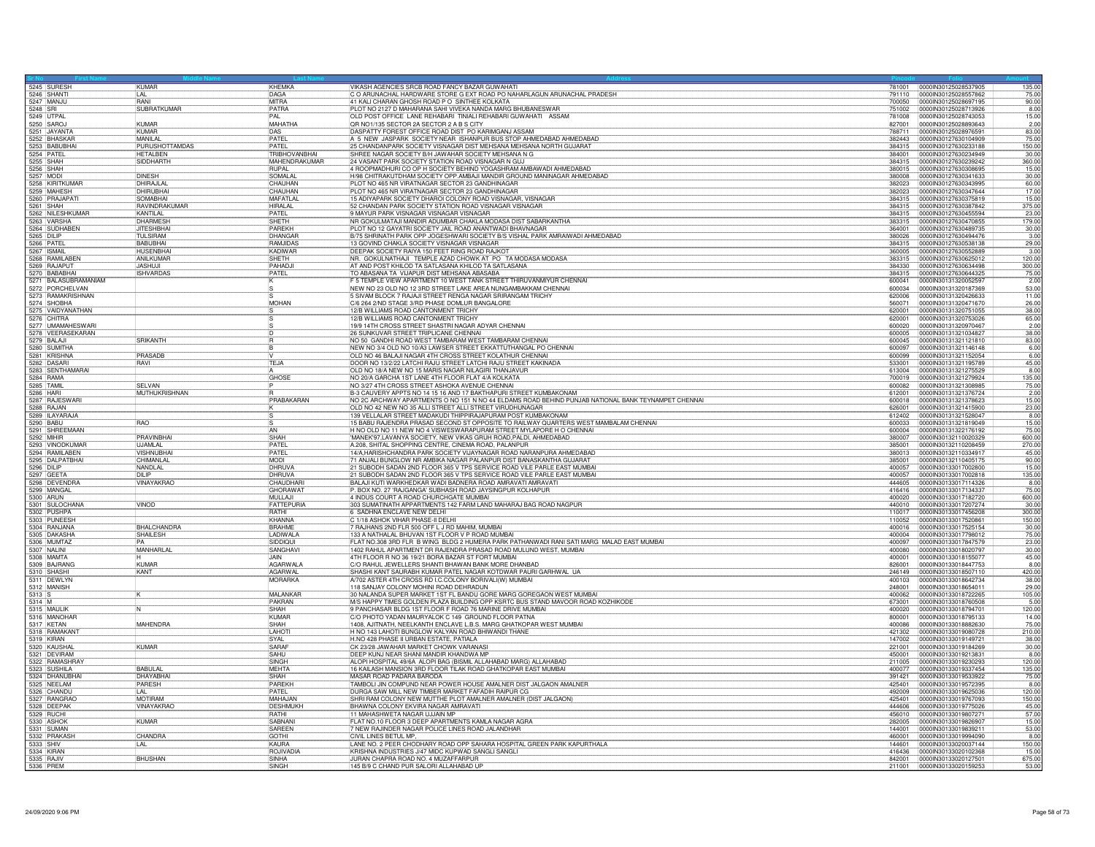| KHEMKA<br>781001 0000IN30125028537905<br>C O ARUNACHAL HARDWARE STORE G EXT ROAD PO NAHARLAGUN ARUNACHAL PRADESH<br>5246 SHANTI<br>0000IN30125028557862<br>75.00<br>DAGA<br>791110<br>LAL<br>41 KALI CHARAN GHOSH ROAD P O SINTHEE KOLKATA<br><b>RANI</b><br><b>MITRA</b><br>700050<br>0000IN30125028697195<br>90.00<br><b>SUBRATKUMAR</b><br>5248 SRI<br>PATRA<br>PLOT NO 2127 D MAHARANA SAHI VIVEKA NANDA MARG BHUBANESWAR<br>751002<br>0000IN30125028713926<br>8.00<br>OLD POST OFFICE LANE REHABARI TINIALI REHABARI GUWAHATI ASSAM<br>5249 UTPAL<br>PAI<br>00000N30125028743053<br>15.00<br>781008<br>QR NO1/135 SECTOR 2A SECTOR 2 A B S CITY<br>5250 SARO<br>KUMAF<br>MAHATHA<br>827001<br>0000IN30125028893643<br>2.00<br>DASPATTY FOREST OFFICE ROAD DIST PO KARIMGANJ ASSAM<br>5251 JAYANTA<br>KUMAR<br>83.00<br><b>DAS</b><br>0000IN30125028976591<br>788711<br>PATFI<br>5252 BHASKAR<br>MANII AI<br>A 5 NEW JASPARK SOCIETY NEAR ISHANPUR BUS STOP AHMEDABAD AHMEDABAD<br>382443<br>0000IN30127630104909<br>75.00<br>PURUSHOTTAMDAS<br>5253 BABUBHA<br>PATFI<br>25 CHANDANPARK SOCIETY VISNAGAR DIST MEHSANA MEHSANA NORTH GUJARAT<br>384315<br>0000IN30127630233188<br>150.00<br>5254 PATEL<br><b>HETALBEN</b><br>TRIBHOVANBHAI<br>SHREE NAGAR SOCIETY B/H JAWAHAR SOCIETY MEHSANA N G<br>30.00<br>384001<br>0000IN30127630234949<br>24 VASANT PARK SOCIETY STATION ROAD VISNAGAR N GUJ<br>5255 SHAH<br>SIDDHARTH<br>MAHENDRAKUMAR<br>384315<br>00000N30127630239242<br>360.00<br>4 ROOPMADHURI CO OP H SOCIETY BEHIND YOGASHRAM AMBAWADI AHMEDABAD<br>5256 SHAH<br>0000IN30127630308695<br>15.00<br>RUPAL<br>380015<br>H/98 CHITRAKUTDHAM SOCIETY OPP.AMBAJI MANDIR GROUND MANINAGAR AHMEDABAD<br>5257 MODI<br><b>DINESH</b><br>SOMAL AI<br>380008<br>0000IN30127630341633<br>30.00<br>PLOT NO 465 NR VIRATNAGAR SECTOR 23 GANDHINAGAR<br>5258 KIRITKUMAR<br>DHIRAJLAI<br>CHAUHAN<br>0000IN30127630343995<br>60.00<br>382023<br>5259 MAHESH<br><b>DHIRUBHAI</b><br>CHAUHAN<br>PLOT NO 465 NR VIRATNAGAR SECTOR 23 GANDHINAGAR<br>17.00<br>382023<br>0000IN30127630347644<br>15 ADIYAPARK SOCIETY DHAROI COLONY ROAD VISNAGAR, VISNAGAR<br>52 CHANDAN PARK SOCIETY STATION ROAD VISNAGAR VISNAGAR<br>5260 PRAJAPATI<br><b>SOMABHAI</b><br>MAFATLAL<br>384315<br>00000N30127630375819<br>15.00<br>5261 SHAH<br>RAVINDRAKUMAR<br>375.00<br><b>HIRALAL</b><br>384315<br>I0000IN30127630387842<br>5262 NILESHKUMAR<br>KANTII AI<br>PATEL<br>9 MAYUR PARK VISNAGAR VISNAGAR VISNAGAR<br>384315<br>0000lN30127630455594<br>23.00<br>5263 VARSHA<br><b>DHARMES</b><br>SHETH<br>NR GOKULMATAJI MANDIR ADUMBAR CHAKLA MODASA DIST SABARKANTHA<br>0000IN30127630470855<br>179.00<br>383315<br>5264 SUDHABEN<br><b>JITESHBHAI</b><br>PAREKH<br>PLOT NO 12 GAYATRI SOCIETY JAIL ROAD ANANTWADI BHAVNAGAR<br>30.00<br>364001<br>00000N30127630489735<br>B/75 SHRINATH PARK OPP JOGESHWARI SOCIETY B/S VISHAL PARK AMRAIWADI AHMEDABAD<br>5265 DILIP<br><b>TULSIRAM</b><br>DHANGAR<br>00000N30127630494476<br>3.00<br>380026<br>13 GOVIND CHAKLA SOCIETY VISNAGAR VISNAGAR<br>5266 PATFL<br><b>BABUBHAL</b><br><b>RAMJIDAS</b><br>29.00<br>384315<br>0000IN30127630538138<br>5267 ISMAIL<br><b>HUSENBHA</b><br>KADIWAR<br>DEEPAK SOCIETY RAIYA 150 FEET RING ROAD RAJKOT<br>360005<br>0000lN30127630552889<br>3.00<br>5268 RAMILABEN<br>ANILKUMAR<br>NR. GOKULNATHAJI TEMPLE AZAD CHOWK AT PO TA MODASA MODASA<br>0000lN30127630625012<br>120.00<br>SHETH<br>383315<br>PAHADJI<br>AT AND POST KHILOD TA SATLASANA KHILOD TA SATLASANA<br>300.00<br>5269 RAJAPUT<br><b>JASHUJ</b><br>384330<br>00000N30127630634498<br>5270 BABABHAI<br>PATEL<br>TO ABASANA TA VIJAPUR DIST MEHSANA ABASABA<br><b>ISHVARDAS</b><br>384315<br>0000IN30127630644325<br>75.00<br>F 5 TEMPLE VIEW APARTMENT 10 WEST TANK STREET THIRUVANMIYUR CHENNAL<br>5271 BALASUBRAMANIAM<br>600041<br>0000IN30131320052597<br>2.00<br>5272 PORCHELVAN<br>NEW NO 23 OLD NO 12 3RD STREET LAKE AREA NUNGAMBAKKAM CHENNA<br>600034<br>0000IN30131320187369<br>53.00<br>5273 RAMAKRISHNAN<br>5 SIVAM BLOCK 7 RAJAJI STREET RENGA NAGAR SRIRANGAM TRICHY<br>11.00<br>620006<br>0000IN30131320426633<br>5274 SHOBHA<br>MOHAN<br>C/6 264 2/ND STAGE 3/RD PHASE DOMLUR BANGALORE<br>26.00<br>560071<br>0000IN30131320471670<br>5275 VAIDYANATHAN<br>12/B WILLIAMS ROAD CANTONMENT TRICHY<br>0000lN30131320751055<br>620001<br>12/B WILLIAMS ROAD CANTONMENT TRICHY<br>5276 CHITRA<br>65.00<br>620001<br>0000IN30131320753026<br>19/9 14TH CROSS STREET SHASTRI NAGAR ADYAR CHENNAL<br>600020<br>0000IN30131320970467<br>5278 VEERASEKARAN<br>26 SUNKUVAR STREET TRIPLICANE CHENNAI<br>38.00<br>600005<br>0000IN30131321034827<br>NO 50 GANDHI ROAD WEST TAMBARAM WEST TAMBARAM CHENNAI<br>5279 BALAJI<br><b>SRIKANTH</b><br>600045<br>0000IN30131321121810<br>83.00<br>R<br>5280 SUMITHA<br>NEW NO 3/4 OLD NO 10/A3 LAWSER STREET EKKATTUTHANGAL PO CHENNAI<br>0000030131321146148<br>6.00<br>600097<br>PRASADB<br>OLD NO 46 BALAJI NAGAR 4TH CROSS STREET KOLATHUR CHENNAI<br>600099<br>0000IN30131321152054<br>TEJA<br>DOOR NO 13/2/22 LATCHI RAJU STREET LATCHI RAJU STREET KAKINADA<br>RAVI<br>533001<br>0000lN30131321195789<br>5283 SENTHAMARAI<br>OLD NO 18/A NEW NO 15 MARIS NAGAR NILAGIRI THANJAVUR<br>613004<br>0000IN30131321275529<br>8.00<br>NO 20/A GARCHA 1ST LANE 4TH FLOOR FLAT 4/A KOLKATA<br>5284 RAMA<br>GHOSE<br>0000lN30131321279924<br>135.00<br>700019<br>NO 3/27 4TH CROSS STREET ASHOKA AVENUE CHENNAI<br>5285 TAMIL<br>75.00<br><b>SFI VAN</b><br>600082<br>0000IN30131321308985<br>B-3 CAUVERY APPTS NO 14 15 16 AND 17 BAKTHAPURI STREET KUMBAKONAM<br>MUTHUKRISHNAN<br>612001<br>0000lN30131321376724<br>5287 RAJESWARI<br>PRABAKARAN<br>NO 2C ARCHWAY APARTMENTS O NO 151 N NO 44 ELDAMS ROAD BEHIND PUNJAB NATIONAL BANK TEYNAMPET CHENNAI<br>15.00<br>600018<br>0000lN30131321378623<br>OLD NO 42 NEW NO 35 ALLI STREET ALLI STREET VIRUDHUNAGAR<br>5288 RAJAN<br>626001<br>0000IN30131321415900<br>5289 ILAYARAJA<br>39 VELLALAR STREET MADAKUDI THIPPIRAJAPURAM POST KUMBAKONAM<br>0000lN30131321528047<br>8.00<br>612402<br>15 BABU RAJENDRA PRASAD SECOND ST OPPOSITE TO RAILWAY QUARTERS WEST MAMBALAM CHENNAI<br>H NO OLD NO 11 NEW NO 4 VISWESWARAPURAM STREET MYLAPORE H O CHENNAI<br>5290 BABU<br><b>RAO</b><br>15.00<br>600033<br>0000IN30131321819049<br>AN<br>600004<br>0000IN30131322176192<br>5292 MIHIR<br>PRAVINBHA<br>'MANEK'97,LAVANYA SOCIETY, NEW VIKAS GRUH ROAD,PALDI, AHMEDABAD<br>SHAF<br>380007<br>0000IN30132110020329<br>600.00<br>A.208, SHITAL SHOPPING CENTRE, CINEMA ROAD, PALANPUR<br>5293 VINODKUMAR<br><b>UJAMLA</b><br>PATEI<br>385001<br>0000IN30132110208459<br>270.00<br>14/A, HARISHCHANDRA PARK SOCIETY VIJAYNAGAR ROAD NARANPURA AHMEDABAD<br>5294 RAMILABEN<br>VISHNUBHAI<br>PATEL<br>45.00<br>380013<br>0000IN30132110334917<br>71 ANJALI BUNGLOW NR AMBIKA NAGAR PALANPUR DIST BANASKANTHA GUJARAT<br>5295 DALPATBHA<br>CHIMANI AI<br><b>MODI</b><br>385001<br>0000IN30132110405175<br>90.00<br>21 SUBODH SADAN 2ND FLOOR 365 V TPS SERVICE ROAD VILE PARLE EAST MUMBAI<br>5296 DILIP<br>NANDLAL<br>DHRUVA<br>400057<br>0000IN30133017002800<br>15.00<br>5297 GEETA<br><b>DHRUVA</b><br>21 SUBODH SADAN 2ND FLOOR 365 V TPS SERVICE ROAD VILE PARLE EAST MUMBAI<br>DILIP<br>400057<br>0000IN30133017002818<br>135.00<br>BALAJI KUTI WARKHEDKAR WADI BADNERA ROAD AMRAVATI AMRAVATI<br>5298 DEVENDRA<br>VINAYAKRAO<br>CHAUDHAR<br>444605<br>0000IN30133017114326<br>8.00<br>5299 MANGAL<br><b>GHORAWAT</b><br>P. BOX NO. 27 'RAJGANGA' SUBHASH ROAD JAYSINGPUR KOLHAPUR<br>0000lN30133017134337<br>75.00<br>416416<br>4 INDUS COURT A ROAD CHURCHGATE MUMBAI<br>303 SUMATINATH APPARTMENTS 142 FARM LAND MAHARAJ BAG ROAD NAGPUR<br>5300 ARUN<br>MULLA JL<br>400020<br>0000IN30133017182720<br>600.00<br>VINOD <sup>1</sup><br>5301 SULOCHANA<br>FATTEPURIA<br>440010<br>0000IN30133017207274<br>30.00<br>5302 PUSHPA<br>RATHI<br>6 SADHNA ENCLAVE NEW DELHI<br>110017<br>0000IN30133017456208<br>300.00<br>5303 PUNEESH<br>KHANNA<br>C 1/18 ASHOK VIHAR PHASE-II DELHI<br>110052<br>0000lN30133017520861<br>150.00<br>5304 RANJANA<br>BHALCHANDRA<br>BRAHME<br>7 RAJHANS 2ND FLR 500 OFF L J RD MAHIM, MUMBAI<br>400016<br>0000IN30133017525154<br>30.00<br>133 A NATHALAL BHUVAN 1ST FLOOR V P ROAD MUMBAI<br>5305 DAKASHA<br>SHAILESH<br>LADIWALA<br>400004<br>0000IN30133017798012<br>75.00<br>FLAT NO.308 3RD FLR B WING BLDG 2 HUMERA PARK PATHANWADI RANI SATI MARG MALAD EAST MUMBAI<br>5306 MUMTAZ<br>SIDDIQUI<br>400097<br>0000IN30133017847579<br>23.00<br>PA<br>5307 NALINI<br>MANHARLAL<br>SANGHAVI<br>1402 RAHUL APARTMENT DR RAJENDRA PRASAD ROAD MULUND WEST, MUMBAI<br>400080<br>0000IN30133018020797<br>30.00<br>4TH FLOOR R NO 36 19/21 BORA BAZAR ST FORT MUMBAI<br>5308 MAMTA<br>400001<br>0000lN30133018155077<br>45.00<br>JAIN.<br>C/O RAHUL JEWELLERS SHANTI BHAWAN BANK MORE DHANBAD<br>5309 BAJRANG<br>KUMAR<br>AGARWALA<br>8.00<br>0000IN30133018447753<br>826001<br>SHASHI KANT SAURABH KUMAR PATEL NAGAR KOTDWAR PAURI GARHWAL UA<br>AGARWAI<br>KANT<br>246149<br>0000IN30133018507110<br>420.00<br><b>MORARKA</b><br>A/702 ASTER 4TH CROSS RD I.C.COLONY BORIVALI(W) MUMBAI<br>400103<br>00000N30133018642734<br>38.00<br>118 SANJAY COLONY MOHINI ROAD DEHRADUN<br>248001<br>0000IN30133018654011<br>MALANKAR<br>30 NALANDA SUPER MARKET 1ST FL BANDU GORE MARG GOREGAON WEST MUMBAI<br>400062<br>0000IN30133018722265<br>M/S HAPPY TIMES GOLDEN PLAZA BUILDING OPP KSRTC BUS STAND MAVOOR ROAD KOZHIKODE<br>PAKRAN<br>673001<br>0000IN30133018760508<br>9 PANCHASAR BLDG 1ST FLOOR F ROAD 76 MARINE DRIVE MUMBAL<br>İN.<br>SHAH<br>400020<br>0000lN30133018794701<br>KUMAR<br>C/O PHOTO YADAN MAURYALOK C 149 GROUND FLOOR PATNA<br>800001<br>00000N30133018795133<br>MAHENDRA<br>SHAH<br>1408, AJITNATH, NEELKANTH ENCLAVE L.B.S. MARG GHATKOPAR WEST MUMBAI<br>400086<br>0000IN30133018882630<br>LAHOTI<br>H NO 143 LAHOTI BUNGLOW KALYAN ROAD BHIWANDI THANE<br>421302<br>0000IN30133019080728<br>H.NO 428 PHASE II URBAN ESTATE, PATIALA<br>00000N30133019149721<br>SYAL<br>147002<br><b>KUMAR</b><br>CK 23/28 JAWAHAR MARKET CHOWK VARANASI<br>SARAF<br>221001<br>0000IN30133019184269<br>SAHU<br>DEEP KUNJ NEAR SHANI MANDIR KHANDWA MP<br>450001<br>00000N30133019213831<br><b>SINGH</b><br>ALOPI HOSPITAL 49/6A ALOPI BAG (BISMIL ALLAHABAD MARG) ALLAHABAD<br>211005<br>0000lN30133019230293<br>16 KAILASH MANSION 3RD FLOOR TILAK ROAD GHATKOPAR EAST MUMBAI<br><b>MEHTA</b><br><b>BABULAL</b><br>400077<br>0000IN30133019337454<br><b>MASAR ROAD PADARA BARODA</b><br>DHAYABHA<br>SHAH<br>0000IN30133019533922<br>391421<br>PAREKH<br>TAMBOLI JIN COMPUND NEAR POWER HOUSE AMALNER DIST JALGAON AMALNER<br>PARESH<br>425401<br>0000IN30133019572395<br>DURGA SAW MILL NEW TIMBER MARKET FAFADIH RAIPUR CG<br>PATEL<br>492009<br>00000N30133019625036<br>ll Al<br>5327 RANGRAC<br><b>MOTIRAN</b><br>MAHAJAN<br>SHRI RAM COLONY NEW MUTTHE PLOT AMALNER AMALNER (DIST JALGAON)<br>425401<br>0000IN30133019767093<br><b>DESHMUKH</b><br>BHAWNA COLONY EKVIRA NAGAR AMRAVATI<br>VINAYAKRAC<br>444606<br>0000IN30133019775026<br>11 MAHASHWETA NAGAR UJJAIN MF<br>456010<br>RATHI<br>I0000IN30133019807271<br><b>KUMAR</b><br>SABNANI<br>FLAT NO.10 FLOOR 3 DEEP APARTMENTS KAMLA NAGAR AGRA<br>282005<br>0000IN30133019826907<br>SAREEN<br>7 NEW RAJINDER NAGAR POLICE LINES ROAD JALANDHAR<br>144001<br>0000IN30133019839211<br>5332 PRAKASH<br>CIVIL LINES BETUL MP.<br>0000IN30133019994090<br>CHANDRA<br><b>GOTHI</b><br>460001<br>LANE NO. 2 PEER CHODHARY ROAD OPP SAHARA HOSPITAL GREEN PARK KAPURTHALA<br>KAURA<br>144601<br>0000IN30133020037144<br>LAL<br>KRISHNA INDUSTRIES J/47 MIDC KUPWAD SANGLI SANGLI<br><b>ROJIVADIA</b><br>416436<br>0000IN30133020102368<br><b>BHUSHAN</b><br>SINHA<br>JURAN CHAPRA ROAD NO. 4 MUZAFFARPUR<br>842001<br>0000IN30133020127501<br>5336 PREM<br>145 B/9 C CHAND PUR SALORI ALLAHABAD UP<br>00000030133020159253<br>53.00<br>SINGH<br>211001 |                   |       |                                                |  |                |
|-------------------------------------------------------------------------------------------------------------------------------------------------------------------------------------------------------------------------------------------------------------------------------------------------------------------------------------------------------------------------------------------------------------------------------------------------------------------------------------------------------------------------------------------------------------------------------------------------------------------------------------------------------------------------------------------------------------------------------------------------------------------------------------------------------------------------------------------------------------------------------------------------------------------------------------------------------------------------------------------------------------------------------------------------------------------------------------------------------------------------------------------------------------------------------------------------------------------------------------------------------------------------------------------------------------------------------------------------------------------------------------------------------------------------------------------------------------------------------------------------------------------------------------------------------------------------------------------------------------------------------------------------------------------------------------------------------------------------------------------------------------------------------------------------------------------------------------------------------------------------------------------------------------------------------------------------------------------------------------------------------------------------------------------------------------------------------------------------------------------------------------------------------------------------------------------------------------------------------------------------------------------------------------------------------------------------------------------------------------------------------------------------------------------------------------------------------------------------------------------------------------------------------------------------------------------------------------------------------------------------------------------------------------------------------------------------------------------------------------------------------------------------------------------------------------------------------------------------------------------------------------------------------------------------------------------------------------------------------------------------------------------------------------------------------------------------------------------------------------------------------------------------------------------------------------------------------------------------------------------------------------------------------------------------------------------------------------------------------------------------------------------------------------------------------------------------------------------------------------------------------------------------------------------------------------------------------------------------------------------------------------------------------------------------------------------------------------------------------------------------------------------------------------------------------------------------------------------------------------------------------------------------------------------------------------------------------------------------------------------------------------------------------------------------------------------------------------------------------------------------------------------------------------------------------------------------------------------------------------------------------------------------------------------------------------------------------------------------------------------------------------------------------------------------------------------------------------------------------------------------------------------------------------------------------------------------------------------------------------------------------------------------------------------------------------------------------------------------------------------------------------------------------------------------------------------------------------------------------------------------------------------------------------------------------------------------------------------------------------------------------------------------------------------------------------------------------------------------------------------------------------------------------------------------------------------------------------------------------------------------------------------------------------------------------------------------------------------------------------------------------------------------------------------------------------------------------------------------------------------------------------------------------------------------------------------------------------------------------------------------------------------------------------------------------------------------------------------------------------------------------------------------------------------------------------------------------------------------------------------------------------------------------------------------------------------------------------------------------------------------------------------------------------------------------------------------------------------------------------------------------------------------------------------------------------------------------------------------------------------------------------------------------------------------------------------------------------------------------------------------------------------------------------------------------------------------------------------------------------------------------------------------------------------------------------------------------------------------------------------------------------------------------------------------------------------------------------------------------------------------------------------------------------------------------------------------------------------------------------------------------------------------------------------------------------------------------------------------------------------------------------------------------------------------------------------------------------------------------------------------------------------------------------------------------------------------------------------------------------------------------------------------------------------------------------------------------------------------------------------------------------------------------------------------------------------------------------------------------------------------------------------------------------------------------------------------------------------------------------------------------------------------------------------------------------------------------------------------------------------------------------------------------------------------------------------------------------------------------------------------------------------------------------------------------------------------------------------------------------------------------------------------------------------------------------------------------------------------------------------------------------------------------------------------------------------------------------------------------------------------------------------------------------------------------------------------------------------------------------------------------------------------------------------------------------------------------------------------------------------------------------------------------------------------------------------------------------------------------------------------------------------------------------------------------------------------------------------------------------------------------------------------------------------------------------------------------------------------------------------------------------------------------------------------------------------------------------------------------------------------------------------------------------------------------------------------------------------------------------------------------------------------------------------------------------------------------------------------------------------------------------------------------------------------------------------------------------------------------------------------------------------------------------------------------------------------------------------------------------------------------------------------------------------------------------------------------------------------------------------------------------------------------------------------------------------------------------------------------------------------------------------------------------------------------------------------------------------------------------------------------------------------------------------------------------------------------------------------------------------------------------------------------------------------------------------------------------------------------------------------------------------------------------------------------------------------------------------------------------------------------------------------------------------------------------------------------------------------------------------------------------------------------------------------------------------------------------------------------------------------------------------------------------------------------------------------------------------------------------------------------------------------------------------------------------------------------------------------------------------------------------------------------------------------------------------------------------------------------------------------------------------------------------------------------------------------------------------------------------------------------------------------------------------------------------------------------------------------------------------------------------------------------------------------------------------------------------------------------------------------------------------------------------------------------------------------------------------------------------------------------------------------------------------------------------------------------------------------------------------------------------------------------------------------------------------------------------------------------------------------------------------------------------------------------------------------------------------------------------------------------------------------------------------------------------------------------------------------------------------------------------------------------------------------------------------------------------------------------------------------------------------------------------------------------------------------|-------------------|-------|------------------------------------------------|--|----------------|
|                                                                                                                                                                                                                                                                                                                                                                                                                                                                                                                                                                                                                                                                                                                                                                                                                                                                                                                                                                                                                                                                                                                                                                                                                                                                                                                                                                                                                                                                                                                                                                                                                                                                                                                                                                                                                                                                                                                                                                                                                                                                                                                                                                                                                                                                                                                                                                                                                                                                                                                                                                                                                                                                                                                                                                                                                                                                                                                                                                                                                                                                                                                                                                                                                                                                                                                                                                                                                                                                                                                                                                                                                                                                                                                                                                                                                                                                                                                                                                                                                                                                                                                                                                                                                                                                                                                                                                                                                                                                                                                                                                                                                                                                                                                                                                                                                                                                                                                                                                                                                                                                                                                                                                                                                                                                                                                                                                                                                                                                                                                                                                                                                                                                                                                                                                                                                                                                                                                                                                                                                                                                                                                                                                                                                                                                                                                                                                                                                                                                                                                                                                                                                                                                                                                                                                                                                                                                                                                                                                                                                                                                                                                                                                                                                                                                                                                                                                                                                                                                                                                                                                                                                                                                                                                                                                                                                                                                                                                                                                                                                                                                                                                                                                                                                                                                                                                                                                                                                                                                                                                                                                                                                                                                                                                                                                                                                                                                                                                                                                                                                                                                                                                                                                                                                                                                                                                                                                                                                                                                                                                                                                                                                                                                                                                                                                                                                                                                                                                                                                                                                                                                                                                                                                                                                                                                                                                                                                                                                                                                                                                                                                                                                                                                                                                                                                                                                                                                                                                                                                                                                                                                                                                                                                                                                                                                                                                                                                                                                                                                                                                                                                                                                                                                                                                                                                                                                                                                                                                                                                                                                                                                         | 5245 SURESH       | KUMAR | VIKASH AGENCIES SRCB ROAD FANCY BAZAR GUWAHATI |  | 135.00         |
|                                                                                                                                                                                                                                                                                                                                                                                                                                                                                                                                                                                                                                                                                                                                                                                                                                                                                                                                                                                                                                                                                                                                                                                                                                                                                                                                                                                                                                                                                                                                                                                                                                                                                                                                                                                                                                                                                                                                                                                                                                                                                                                                                                                                                                                                                                                                                                                                                                                                                                                                                                                                                                                                                                                                                                                                                                                                                                                                                                                                                                                                                                                                                                                                                                                                                                                                                                                                                                                                                                                                                                                                                                                                                                                                                                                                                                                                                                                                                                                                                                                                                                                                                                                                                                                                                                                                                                                                                                                                                                                                                                                                                                                                                                                                                                                                                                                                                                                                                                                                                                                                                                                                                                                                                                                                                                                                                                                                                                                                                                                                                                                                                                                                                                                                                                                                                                                                                                                                                                                                                                                                                                                                                                                                                                                                                                                                                                                                                                                                                                                                                                                                                                                                                                                                                                                                                                                                                                                                                                                                                                                                                                                                                                                                                                                                                                                                                                                                                                                                                                                                                                                                                                                                                                                                                                                                                                                                                                                                                                                                                                                                                                                                                                                                                                                                                                                                                                                                                                                                                                                                                                                                                                                                                                                                                                                                                                                                                                                                                                                                                                                                                                                                                                                                                                                                                                                                                                                                                                                                                                                                                                                                                                                                                                                                                                                                                                                                                                                                                                                                                                                                                                                                                                                                                                                                                                                                                                                                                                                                                                                                                                                                                                                                                                                                                                                                                                                                                                                                                                                                                                                                                                                                                                                                                                                                                                                                                                                                                                                                                                                                                                                                                                                                                                                                                                                                                                                                                                                                                                                                                                                                         |                   |       |                                                |  |                |
|                                                                                                                                                                                                                                                                                                                                                                                                                                                                                                                                                                                                                                                                                                                                                                                                                                                                                                                                                                                                                                                                                                                                                                                                                                                                                                                                                                                                                                                                                                                                                                                                                                                                                                                                                                                                                                                                                                                                                                                                                                                                                                                                                                                                                                                                                                                                                                                                                                                                                                                                                                                                                                                                                                                                                                                                                                                                                                                                                                                                                                                                                                                                                                                                                                                                                                                                                                                                                                                                                                                                                                                                                                                                                                                                                                                                                                                                                                                                                                                                                                                                                                                                                                                                                                                                                                                                                                                                                                                                                                                                                                                                                                                                                                                                                                                                                                                                                                                                                                                                                                                                                                                                                                                                                                                                                                                                                                                                                                                                                                                                                                                                                                                                                                                                                                                                                                                                                                                                                                                                                                                                                                                                                                                                                                                                                                                                                                                                                                                                                                                                                                                                                                                                                                                                                                                                                                                                                                                                                                                                                                                                                                                                                                                                                                                                                                                                                                                                                                                                                                                                                                                                                                                                                                                                                                                                                                                                                                                                                                                                                                                                                                                                                                                                                                                                                                                                                                                                                                                                                                                                                                                                                                                                                                                                                                                                                                                                                                                                                                                                                                                                                                                                                                                                                                                                                                                                                                                                                                                                                                                                                                                                                                                                                                                                                                                                                                                                                                                                                                                                                                                                                                                                                                                                                                                                                                                                                                                                                                                                                                                                                                                                                                                                                                                                                                                                                                                                                                                                                                                                                                                                                                                                                                                                                                                                                                                                                                                                                                                                                                                                                                                                                                                                                                                                                                                                                                                                                                                                                                                                                                                                         | 5247 MANJL        |       |                                                |  |                |
|                                                                                                                                                                                                                                                                                                                                                                                                                                                                                                                                                                                                                                                                                                                                                                                                                                                                                                                                                                                                                                                                                                                                                                                                                                                                                                                                                                                                                                                                                                                                                                                                                                                                                                                                                                                                                                                                                                                                                                                                                                                                                                                                                                                                                                                                                                                                                                                                                                                                                                                                                                                                                                                                                                                                                                                                                                                                                                                                                                                                                                                                                                                                                                                                                                                                                                                                                                                                                                                                                                                                                                                                                                                                                                                                                                                                                                                                                                                                                                                                                                                                                                                                                                                                                                                                                                                                                                                                                                                                                                                                                                                                                                                                                                                                                                                                                                                                                                                                                                                                                                                                                                                                                                                                                                                                                                                                                                                                                                                                                                                                                                                                                                                                                                                                                                                                                                                                                                                                                                                                                                                                                                                                                                                                                                                                                                                                                                                                                                                                                                                                                                                                                                                                                                                                                                                                                                                                                                                                                                                                                                                                                                                                                                                                                                                                                                                                                                                                                                                                                                                                                                                                                                                                                                                                                                                                                                                                                                                                                                                                                                                                                                                                                                                                                                                                                                                                                                                                                                                                                                                                                                                                                                                                                                                                                                                                                                                                                                                                                                                                                                                                                                                                                                                                                                                                                                                                                                                                                                                                                                                                                                                                                                                                                                                                                                                                                                                                                                                                                                                                                                                                                                                                                                                                                                                                                                                                                                                                                                                                                                                                                                                                                                                                                                                                                                                                                                                                                                                                                                                                                                                                                                                                                                                                                                                                                                                                                                                                                                                                                                                                                                                                                                                                                                                                                                                                                                                                                                                                                                                                                                                                         |                   |       |                                                |  |                |
|                                                                                                                                                                                                                                                                                                                                                                                                                                                                                                                                                                                                                                                                                                                                                                                                                                                                                                                                                                                                                                                                                                                                                                                                                                                                                                                                                                                                                                                                                                                                                                                                                                                                                                                                                                                                                                                                                                                                                                                                                                                                                                                                                                                                                                                                                                                                                                                                                                                                                                                                                                                                                                                                                                                                                                                                                                                                                                                                                                                                                                                                                                                                                                                                                                                                                                                                                                                                                                                                                                                                                                                                                                                                                                                                                                                                                                                                                                                                                                                                                                                                                                                                                                                                                                                                                                                                                                                                                                                                                                                                                                                                                                                                                                                                                                                                                                                                                                                                                                                                                                                                                                                                                                                                                                                                                                                                                                                                                                                                                                                                                                                                                                                                                                                                                                                                                                                                                                                                                                                                                                                                                                                                                                                                                                                                                                                                                                                                                                                                                                                                                                                                                                                                                                                                                                                                                                                                                                                                                                                                                                                                                                                                                                                                                                                                                                                                                                                                                                                                                                                                                                                                                                                                                                                                                                                                                                                                                                                                                                                                                                                                                                                                                                                                                                                                                                                                                                                                                                                                                                                                                                                                                                                                                                                                                                                                                                                                                                                                                                                                                                                                                                                                                                                                                                                                                                                                                                                                                                                                                                                                                                                                                                                                                                                                                                                                                                                                                                                                                                                                                                                                                                                                                                                                                                                                                                                                                                                                                                                                                                                                                                                                                                                                                                                                                                                                                                                                                                                                                                                                                                                                                                                                                                                                                                                                                                                                                                                                                                                                                                                                                                                                                                                                                                                                                                                                                                                                                                                                                                                                                                                                         |                   |       |                                                |  |                |
|                                                                                                                                                                                                                                                                                                                                                                                                                                                                                                                                                                                                                                                                                                                                                                                                                                                                                                                                                                                                                                                                                                                                                                                                                                                                                                                                                                                                                                                                                                                                                                                                                                                                                                                                                                                                                                                                                                                                                                                                                                                                                                                                                                                                                                                                                                                                                                                                                                                                                                                                                                                                                                                                                                                                                                                                                                                                                                                                                                                                                                                                                                                                                                                                                                                                                                                                                                                                                                                                                                                                                                                                                                                                                                                                                                                                                                                                                                                                                                                                                                                                                                                                                                                                                                                                                                                                                                                                                                                                                                                                                                                                                                                                                                                                                                                                                                                                                                                                                                                                                                                                                                                                                                                                                                                                                                                                                                                                                                                                                                                                                                                                                                                                                                                                                                                                                                                                                                                                                                                                                                                                                                                                                                                                                                                                                                                                                                                                                                                                                                                                                                                                                                                                                                                                                                                                                                                                                                                                                                                                                                                                                                                                                                                                                                                                                                                                                                                                                                                                                                                                                                                                                                                                                                                                                                                                                                                                                                                                                                                                                                                                                                                                                                                                                                                                                                                                                                                                                                                                                                                                                                                                                                                                                                                                                                                                                                                                                                                                                                                                                                                                                                                                                                                                                                                                                                                                                                                                                                                                                                                                                                                                                                                                                                                                                                                                                                                                                                                                                                                                                                                                                                                                                                                                                                                                                                                                                                                                                                                                                                                                                                                                                                                                                                                                                                                                                                                                                                                                                                                                                                                                                                                                                                                                                                                                                                                                                                                                                                                                                                                                                                                                                                                                                                                                                                                                                                                                                                                                                                                                                                                                         |                   |       |                                                |  |                |
|                                                                                                                                                                                                                                                                                                                                                                                                                                                                                                                                                                                                                                                                                                                                                                                                                                                                                                                                                                                                                                                                                                                                                                                                                                                                                                                                                                                                                                                                                                                                                                                                                                                                                                                                                                                                                                                                                                                                                                                                                                                                                                                                                                                                                                                                                                                                                                                                                                                                                                                                                                                                                                                                                                                                                                                                                                                                                                                                                                                                                                                                                                                                                                                                                                                                                                                                                                                                                                                                                                                                                                                                                                                                                                                                                                                                                                                                                                                                                                                                                                                                                                                                                                                                                                                                                                                                                                                                                                                                                                                                                                                                                                                                                                                                                                                                                                                                                                                                                                                                                                                                                                                                                                                                                                                                                                                                                                                                                                                                                                                                                                                                                                                                                                                                                                                                                                                                                                                                                                                                                                                                                                                                                                                                                                                                                                                                                                                                                                                                                                                                                                                                                                                                                                                                                                                                                                                                                                                                                                                                                                                                                                                                                                                                                                                                                                                                                                                                                                                                                                                                                                                                                                                                                                                                                                                                                                                                                                                                                                                                                                                                                                                                                                                                                                                                                                                                                                                                                                                                                                                                                                                                                                                                                                                                                                                                                                                                                                                                                                                                                                                                                                                                                                                                                                                                                                                                                                                                                                                                                                                                                                                                                                                                                                                                                                                                                                                                                                                                                                                                                                                                                                                                                                                                                                                                                                                                                                                                                                                                                                                                                                                                                                                                                                                                                                                                                                                                                                                                                                                                                                                                                                                                                                                                                                                                                                                                                                                                                                                                                                                                                                                                                                                                                                                                                                                                                                                                                                                                                                                                                                                                         |                   |       |                                                |  |                |
|                                                                                                                                                                                                                                                                                                                                                                                                                                                                                                                                                                                                                                                                                                                                                                                                                                                                                                                                                                                                                                                                                                                                                                                                                                                                                                                                                                                                                                                                                                                                                                                                                                                                                                                                                                                                                                                                                                                                                                                                                                                                                                                                                                                                                                                                                                                                                                                                                                                                                                                                                                                                                                                                                                                                                                                                                                                                                                                                                                                                                                                                                                                                                                                                                                                                                                                                                                                                                                                                                                                                                                                                                                                                                                                                                                                                                                                                                                                                                                                                                                                                                                                                                                                                                                                                                                                                                                                                                                                                                                                                                                                                                                                                                                                                                                                                                                                                                                                                                                                                                                                                                                                                                                                                                                                                                                                                                                                                                                                                                                                                                                                                                                                                                                                                                                                                                                                                                                                                                                                                                                                                                                                                                                                                                                                                                                                                                                                                                                                                                                                                                                                                                                                                                                                                                                                                                                                                                                                                                                                                                                                                                                                                                                                                                                                                                                                                                                                                                                                                                                                                                                                                                                                                                                                                                                                                                                                                                                                                                                                                                                                                                                                                                                                                                                                                                                                                                                                                                                                                                                                                                                                                                                                                                                                                                                                                                                                                                                                                                                                                                                                                                                                                                                                                                                                                                                                                                                                                                                                                                                                                                                                                                                                                                                                                                                                                                                                                                                                                                                                                                                                                                                                                                                                                                                                                                                                                                                                                                                                                                                                                                                                                                                                                                                                                                                                                                                                                                                                                                                                                                                                                                                                                                                                                                                                                                                                                                                                                                                                                                                                                                                                                                                                                                                                                                                                                                                                                                                                                                                                                                                                                         |                   |       |                                                |  |                |
|                                                                                                                                                                                                                                                                                                                                                                                                                                                                                                                                                                                                                                                                                                                                                                                                                                                                                                                                                                                                                                                                                                                                                                                                                                                                                                                                                                                                                                                                                                                                                                                                                                                                                                                                                                                                                                                                                                                                                                                                                                                                                                                                                                                                                                                                                                                                                                                                                                                                                                                                                                                                                                                                                                                                                                                                                                                                                                                                                                                                                                                                                                                                                                                                                                                                                                                                                                                                                                                                                                                                                                                                                                                                                                                                                                                                                                                                                                                                                                                                                                                                                                                                                                                                                                                                                                                                                                                                                                                                                                                                                                                                                                                                                                                                                                                                                                                                                                                                                                                                                                                                                                                                                                                                                                                                                                                                                                                                                                                                                                                                                                                                                                                                                                                                                                                                                                                                                                                                                                                                                                                                                                                                                                                                                                                                                                                                                                                                                                                                                                                                                                                                                                                                                                                                                                                                                                                                                                                                                                                                                                                                                                                                                                                                                                                                                                                                                                                                                                                                                                                                                                                                                                                                                                                                                                                                                                                                                                                                                                                                                                                                                                                                                                                                                                                                                                                                                                                                                                                                                                                                                                                                                                                                                                                                                                                                                                                                                                                                                                                                                                                                                                                                                                                                                                                                                                                                                                                                                                                                                                                                                                                                                                                                                                                                                                                                                                                                                                                                                                                                                                                                                                                                                                                                                                                                                                                                                                                                                                                                                                                                                                                                                                                                                                                                                                                                                                                                                                                                                                                                                                                                                                                                                                                                                                                                                                                                                                                                                                                                                                                                                                                                                                                                                                                                                                                                                                                                                                                                                                                                                                                                         |                   |       |                                                |  |                |
|                                                                                                                                                                                                                                                                                                                                                                                                                                                                                                                                                                                                                                                                                                                                                                                                                                                                                                                                                                                                                                                                                                                                                                                                                                                                                                                                                                                                                                                                                                                                                                                                                                                                                                                                                                                                                                                                                                                                                                                                                                                                                                                                                                                                                                                                                                                                                                                                                                                                                                                                                                                                                                                                                                                                                                                                                                                                                                                                                                                                                                                                                                                                                                                                                                                                                                                                                                                                                                                                                                                                                                                                                                                                                                                                                                                                                                                                                                                                                                                                                                                                                                                                                                                                                                                                                                                                                                                                                                                                                                                                                                                                                                                                                                                                                                                                                                                                                                                                                                                                                                                                                                                                                                                                                                                                                                                                                                                                                                                                                                                                                                                                                                                                                                                                                                                                                                                                                                                                                                                                                                                                                                                                                                                                                                                                                                                                                                                                                                                                                                                                                                                                                                                                                                                                                                                                                                                                                                                                                                                                                                                                                                                                                                                                                                                                                                                                                                                                                                                                                                                                                                                                                                                                                                                                                                                                                                                                                                                                                                                                                                                                                                                                                                                                                                                                                                                                                                                                                                                                                                                                                                                                                                                                                                                                                                                                                                                                                                                                                                                                                                                                                                                                                                                                                                                                                                                                                                                                                                                                                                                                                                                                                                                                                                                                                                                                                                                                                                                                                                                                                                                                                                                                                                                                                                                                                                                                                                                                                                                                                                                                                                                                                                                                                                                                                                                                                                                                                                                                                                                                                                                                                                                                                                                                                                                                                                                                                                                                                                                                                                                                                                                                                                                                                                                                                                                                                                                                                                                                                                                                                                                                         |                   |       |                                                |  |                |
|                                                                                                                                                                                                                                                                                                                                                                                                                                                                                                                                                                                                                                                                                                                                                                                                                                                                                                                                                                                                                                                                                                                                                                                                                                                                                                                                                                                                                                                                                                                                                                                                                                                                                                                                                                                                                                                                                                                                                                                                                                                                                                                                                                                                                                                                                                                                                                                                                                                                                                                                                                                                                                                                                                                                                                                                                                                                                                                                                                                                                                                                                                                                                                                                                                                                                                                                                                                                                                                                                                                                                                                                                                                                                                                                                                                                                                                                                                                                                                                                                                                                                                                                                                                                                                                                                                                                                                                                                                                                                                                                                                                                                                                                                                                                                                                                                                                                                                                                                                                                                                                                                                                                                                                                                                                                                                                                                                                                                                                                                                                                                                                                                                                                                                                                                                                                                                                                                                                                                                                                                                                                                                                                                                                                                                                                                                                                                                                                                                                                                                                                                                                                                                                                                                                                                                                                                                                                                                                                                                                                                                                                                                                                                                                                                                                                                                                                                                                                                                                                                                                                                                                                                                                                                                                                                                                                                                                                                                                                                                                                                                                                                                                                                                                                                                                                                                                                                                                                                                                                                                                                                                                                                                                                                                                                                                                                                                                                                                                                                                                                                                                                                                                                                                                                                                                                                                                                                                                                                                                                                                                                                                                                                                                                                                                                                                                                                                                                                                                                                                                                                                                                                                                                                                                                                                                                                                                                                                                                                                                                                                                                                                                                                                                                                                                                                                                                                                                                                                                                                                                                                                                                                                                                                                                                                                                                                                                                                                                                                                                                                                                                                                                                                                                                                                                                                                                                                                                                                                                                                                                                                                                                         |                   |       |                                                |  |                |
|                                                                                                                                                                                                                                                                                                                                                                                                                                                                                                                                                                                                                                                                                                                                                                                                                                                                                                                                                                                                                                                                                                                                                                                                                                                                                                                                                                                                                                                                                                                                                                                                                                                                                                                                                                                                                                                                                                                                                                                                                                                                                                                                                                                                                                                                                                                                                                                                                                                                                                                                                                                                                                                                                                                                                                                                                                                                                                                                                                                                                                                                                                                                                                                                                                                                                                                                                                                                                                                                                                                                                                                                                                                                                                                                                                                                                                                                                                                                                                                                                                                                                                                                                                                                                                                                                                                                                                                                                                                                                                                                                                                                                                                                                                                                                                                                                                                                                                                                                                                                                                                                                                                                                                                                                                                                                                                                                                                                                                                                                                                                                                                                                                                                                                                                                                                                                                                                                                                                                                                                                                                                                                                                                                                                                                                                                                                                                                                                                                                                                                                                                                                                                                                                                                                                                                                                                                                                                                                                                                                                                                                                                                                                                                                                                                                                                                                                                                                                                                                                                                                                                                                                                                                                                                                                                                                                                                                                                                                                                                                                                                                                                                                                                                                                                                                                                                                                                                                                                                                                                                                                                                                                                                                                                                                                                                                                                                                                                                                                                                                                                                                                                                                                                                                                                                                                                                                                                                                                                                                                                                                                                                                                                                                                                                                                                                                                                                                                                                                                                                                                                                                                                                                                                                                                                                                                                                                                                                                                                                                                                                                                                                                                                                                                                                                                                                                                                                                                                                                                                                                                                                                                                                                                                                                                                                                                                                                                                                                                                                                                                                                                                                                                                                                                                                                                                                                                                                                                                                                                                                                                                                                                         |                   |       |                                                |  |                |
|                                                                                                                                                                                                                                                                                                                                                                                                                                                                                                                                                                                                                                                                                                                                                                                                                                                                                                                                                                                                                                                                                                                                                                                                                                                                                                                                                                                                                                                                                                                                                                                                                                                                                                                                                                                                                                                                                                                                                                                                                                                                                                                                                                                                                                                                                                                                                                                                                                                                                                                                                                                                                                                                                                                                                                                                                                                                                                                                                                                                                                                                                                                                                                                                                                                                                                                                                                                                                                                                                                                                                                                                                                                                                                                                                                                                                                                                                                                                                                                                                                                                                                                                                                                                                                                                                                                                                                                                                                                                                                                                                                                                                                                                                                                                                                                                                                                                                                                                                                                                                                                                                                                                                                                                                                                                                                                                                                                                                                                                                                                                                                                                                                                                                                                                                                                                                                                                                                                                                                                                                                                                                                                                                                                                                                                                                                                                                                                                                                                                                                                                                                                                                                                                                                                                                                                                                                                                                                                                                                                                                                                                                                                                                                                                                                                                                                                                                                                                                                                                                                                                                                                                                                                                                                                                                                                                                                                                                                                                                                                                                                                                                                                                                                                                                                                                                                                                                                                                                                                                                                                                                                                                                                                                                                                                                                                                                                                                                                                                                                                                                                                                                                                                                                                                                                                                                                                                                                                                                                                                                                                                                                                                                                                                                                                                                                                                                                                                                                                                                                                                                                                                                                                                                                                                                                                                                                                                                                                                                                                                                                                                                                                                                                                                                                                                                                                                                                                                                                                                                                                                                                                                                                                                                                                                                                                                                                                                                                                                                                                                                                                                                                                                                                                                                                                                                                                                                                                                                                                                                                                                                                                                         |                   |       |                                                |  |                |
|                                                                                                                                                                                                                                                                                                                                                                                                                                                                                                                                                                                                                                                                                                                                                                                                                                                                                                                                                                                                                                                                                                                                                                                                                                                                                                                                                                                                                                                                                                                                                                                                                                                                                                                                                                                                                                                                                                                                                                                                                                                                                                                                                                                                                                                                                                                                                                                                                                                                                                                                                                                                                                                                                                                                                                                                                                                                                                                                                                                                                                                                                                                                                                                                                                                                                                                                                                                                                                                                                                                                                                                                                                                                                                                                                                                                                                                                                                                                                                                                                                                                                                                                                                                                                                                                                                                                                                                                                                                                                                                                                                                                                                                                                                                                                                                                                                                                                                                                                                                                                                                                                                                                                                                                                                                                                                                                                                                                                                                                                                                                                                                                                                                                                                                                                                                                                                                                                                                                                                                                                                                                                                                                                                                                                                                                                                                                                                                                                                                                                                                                                                                                                                                                                                                                                                                                                                                                                                                                                                                                                                                                                                                                                                                                                                                                                                                                                                                                                                                                                                                                                                                                                                                                                                                                                                                                                                                                                                                                                                                                                                                                                                                                                                                                                                                                                                                                                                                                                                                                                                                                                                                                                                                                                                                                                                                                                                                                                                                                                                                                                                                                                                                                                                                                                                                                                                                                                                                                                                                                                                                                                                                                                                                                                                                                                                                                                                                                                                                                                                                                                                                                                                                                                                                                                                                                                                                                                                                                                                                                                                                                                                                                                                                                                                                                                                                                                                                                                                                                                                                                                                                                                                                                                                                                                                                                                                                                                                                                                                                                                                                                                                                                                                                                                                                                                                                                                                                                                                                                                                                                                                                                         |                   |       |                                                |  |                |
|                                                                                                                                                                                                                                                                                                                                                                                                                                                                                                                                                                                                                                                                                                                                                                                                                                                                                                                                                                                                                                                                                                                                                                                                                                                                                                                                                                                                                                                                                                                                                                                                                                                                                                                                                                                                                                                                                                                                                                                                                                                                                                                                                                                                                                                                                                                                                                                                                                                                                                                                                                                                                                                                                                                                                                                                                                                                                                                                                                                                                                                                                                                                                                                                                                                                                                                                                                                                                                                                                                                                                                                                                                                                                                                                                                                                                                                                                                                                                                                                                                                                                                                                                                                                                                                                                                                                                                                                                                                                                                                                                                                                                                                                                                                                                                                                                                                                                                                                                                                                                                                                                                                                                                                                                                                                                                                                                                                                                                                                                                                                                                                                                                                                                                                                                                                                                                                                                                                                                                                                                                                                                                                                                                                                                                                                                                                                                                                                                                                                                                                                                                                                                                                                                                                                                                                                                                                                                                                                                                                                                                                                                                                                                                                                                                                                                                                                                                                                                                                                                                                                                                                                                                                                                                                                                                                                                                                                                                                                                                                                                                                                                                                                                                                                                                                                                                                                                                                                                                                                                                                                                                                                                                                                                                                                                                                                                                                                                                                                                                                                                                                                                                                                                                                                                                                                                                                                                                                                                                                                                                                                                                                                                                                                                                                                                                                                                                                                                                                                                                                                                                                                                                                                                                                                                                                                                                                                                                                                                                                                                                                                                                                                                                                                                                                                                                                                                                                                                                                                                                                                                                                                                                                                                                                                                                                                                                                                                                                                                                                                                                                                                                                                                                                                                                                                                                                                                                                                                                                                                                                                                                                                         |                   |       |                                                |  |                |
|                                                                                                                                                                                                                                                                                                                                                                                                                                                                                                                                                                                                                                                                                                                                                                                                                                                                                                                                                                                                                                                                                                                                                                                                                                                                                                                                                                                                                                                                                                                                                                                                                                                                                                                                                                                                                                                                                                                                                                                                                                                                                                                                                                                                                                                                                                                                                                                                                                                                                                                                                                                                                                                                                                                                                                                                                                                                                                                                                                                                                                                                                                                                                                                                                                                                                                                                                                                                                                                                                                                                                                                                                                                                                                                                                                                                                                                                                                                                                                                                                                                                                                                                                                                                                                                                                                                                                                                                                                                                                                                                                                                                                                                                                                                                                                                                                                                                                                                                                                                                                                                                                                                                                                                                                                                                                                                                                                                                                                                                                                                                                                                                                                                                                                                                                                                                                                                                                                                                                                                                                                                                                                                                                                                                                                                                                                                                                                                                                                                                                                                                                                                                                                                                                                                                                                                                                                                                                                                                                                                                                                                                                                                                                                                                                                                                                                                                                                                                                                                                                                                                                                                                                                                                                                                                                                                                                                                                                                                                                                                                                                                                                                                                                                                                                                                                                                                                                                                                                                                                                                                                                                                                                                                                                                                                                                                                                                                                                                                                                                                                                                                                                                                                                                                                                                                                                                                                                                                                                                                                                                                                                                                                                                                                                                                                                                                                                                                                                                                                                                                                                                                                                                                                                                                                                                                                                                                                                                                                                                                                                                                                                                                                                                                                                                                                                                                                                                                                                                                                                                                                                                                                                                                                                                                                                                                                                                                                                                                                                                                                                                                                                                                                                                                                                                                                                                                                                                                                                                                                                                                                                                                                         |                   |       |                                                |  |                |
|                                                                                                                                                                                                                                                                                                                                                                                                                                                                                                                                                                                                                                                                                                                                                                                                                                                                                                                                                                                                                                                                                                                                                                                                                                                                                                                                                                                                                                                                                                                                                                                                                                                                                                                                                                                                                                                                                                                                                                                                                                                                                                                                                                                                                                                                                                                                                                                                                                                                                                                                                                                                                                                                                                                                                                                                                                                                                                                                                                                                                                                                                                                                                                                                                                                                                                                                                                                                                                                                                                                                                                                                                                                                                                                                                                                                                                                                                                                                                                                                                                                                                                                                                                                                                                                                                                                                                                                                                                                                                                                                                                                                                                                                                                                                                                                                                                                                                                                                                                                                                                                                                                                                                                                                                                                                                                                                                                                                                                                                                                                                                                                                                                                                                                                                                                                                                                                                                                                                                                                                                                                                                                                                                                                                                                                                                                                                                                                                                                                                                                                                                                                                                                                                                                                                                                                                                                                                                                                                                                                                                                                                                                                                                                                                                                                                                                                                                                                                                                                                                                                                                                                                                                                                                                                                                                                                                                                                                                                                                                                                                                                                                                                                                                                                                                                                                                                                                                                                                                                                                                                                                                                                                                                                                                                                                                                                                                                                                                                                                                                                                                                                                                                                                                                                                                                                                                                                                                                                                                                                                                                                                                                                                                                                                                                                                                                                                                                                                                                                                                                                                                                                                                                                                                                                                                                                                                                                                                                                                                                                                                                                                                                                                                                                                                                                                                                                                                                                                                                                                                                                                                                                                                                                                                                                                                                                                                                                                                                                                                                                                                                                                                                                                                                                                                                                                                                                                                                                                                                                                                                                                                                                         |                   |       |                                                |  |                |
|                                                                                                                                                                                                                                                                                                                                                                                                                                                                                                                                                                                                                                                                                                                                                                                                                                                                                                                                                                                                                                                                                                                                                                                                                                                                                                                                                                                                                                                                                                                                                                                                                                                                                                                                                                                                                                                                                                                                                                                                                                                                                                                                                                                                                                                                                                                                                                                                                                                                                                                                                                                                                                                                                                                                                                                                                                                                                                                                                                                                                                                                                                                                                                                                                                                                                                                                                                                                                                                                                                                                                                                                                                                                                                                                                                                                                                                                                                                                                                                                                                                                                                                                                                                                                                                                                                                                                                                                                                                                                                                                                                                                                                                                                                                                                                                                                                                                                                                                                                                                                                                                                                                                                                                                                                                                                                                                                                                                                                                                                                                                                                                                                                                                                                                                                                                                                                                                                                                                                                                                                                                                                                                                                                                                                                                                                                                                                                                                                                                                                                                                                                                                                                                                                                                                                                                                                                                                                                                                                                                                                                                                                                                                                                                                                                                                                                                                                                                                                                                                                                                                                                                                                                                                                                                                                                                                                                                                                                                                                                                                                                                                                                                                                                                                                                                                                                                                                                                                                                                                                                                                                                                                                                                                                                                                                                                                                                                                                                                                                                                                                                                                                                                                                                                                                                                                                                                                                                                                                                                                                                                                                                                                                                                                                                                                                                                                                                                                                                                                                                                                                                                                                                                                                                                                                                                                                                                                                                                                                                                                                                                                                                                                                                                                                                                                                                                                                                                                                                                                                                                                                                                                                                                                                                                                                                                                                                                                                                                                                                                                                                                                                                                                                                                                                                                                                                                                                                                                                                                                                                                                                                                                         |                   |       |                                                |  |                |
|                                                                                                                                                                                                                                                                                                                                                                                                                                                                                                                                                                                                                                                                                                                                                                                                                                                                                                                                                                                                                                                                                                                                                                                                                                                                                                                                                                                                                                                                                                                                                                                                                                                                                                                                                                                                                                                                                                                                                                                                                                                                                                                                                                                                                                                                                                                                                                                                                                                                                                                                                                                                                                                                                                                                                                                                                                                                                                                                                                                                                                                                                                                                                                                                                                                                                                                                                                                                                                                                                                                                                                                                                                                                                                                                                                                                                                                                                                                                                                                                                                                                                                                                                                                                                                                                                                                                                                                                                                                                                                                                                                                                                                                                                                                                                                                                                                                                                                                                                                                                                                                                                                                                                                                                                                                                                                                                                                                                                                                                                                                                                                                                                                                                                                                                                                                                                                                                                                                                                                                                                                                                                                                                                                                                                                                                                                                                                                                                                                                                                                                                                                                                                                                                                                                                                                                                                                                                                                                                                                                                                                                                                                                                                                                                                                                                                                                                                                                                                                                                                                                                                                                                                                                                                                                                                                                                                                                                                                                                                                                                                                                                                                                                                                                                                                                                                                                                                                                                                                                                                                                                                                                                                                                                                                                                                                                                                                                                                                                                                                                                                                                                                                                                                                                                                                                                                                                                                                                                                                                                                                                                                                                                                                                                                                                                                                                                                                                                                                                                                                                                                                                                                                                                                                                                                                                                                                                                                                                                                                                                                                                                                                                                                                                                                                                                                                                                                                                                                                                                                                                                                                                                                                                                                                                                                                                                                                                                                                                                                                                                                                                                                                                                                                                                                                                                                                                                                                                                                                                                                                                                                                                                         |                   |       |                                                |  |                |
|                                                                                                                                                                                                                                                                                                                                                                                                                                                                                                                                                                                                                                                                                                                                                                                                                                                                                                                                                                                                                                                                                                                                                                                                                                                                                                                                                                                                                                                                                                                                                                                                                                                                                                                                                                                                                                                                                                                                                                                                                                                                                                                                                                                                                                                                                                                                                                                                                                                                                                                                                                                                                                                                                                                                                                                                                                                                                                                                                                                                                                                                                                                                                                                                                                                                                                                                                                                                                                                                                                                                                                                                                                                                                                                                                                                                                                                                                                                                                                                                                                                                                                                                                                                                                                                                                                                                                                                                                                                                                                                                                                                                                                                                                                                                                                                                                                                                                                                                                                                                                                                                                                                                                                                                                                                                                                                                                                                                                                                                                                                                                                                                                                                                                                                                                                                                                                                                                                                                                                                                                                                                                                                                                                                                                                                                                                                                                                                                                                                                                                                                                                                                                                                                                                                                                                                                                                                                                                                                                                                                                                                                                                                                                                                                                                                                                                                                                                                                                                                                                                                                                                                                                                                                                                                                                                                                                                                                                                                                                                                                                                                                                                                                                                                                                                                                                                                                                                                                                                                                                                                                                                                                                                                                                                                                                                                                                                                                                                                                                                                                                                                                                                                                                                                                                                                                                                                                                                                                                                                                                                                                                                                                                                                                                                                                                                                                                                                                                                                                                                                                                                                                                                                                                                                                                                                                                                                                                                                                                                                                                                                                                                                                                                                                                                                                                                                                                                                                                                                                                                                                                                                                                                                                                                                                                                                                                                                                                                                                                                                                                                                                                                                                                                                                                                                                                                                                                                                                                                                                                                                                                                                                         |                   |       |                                                |  |                |
|                                                                                                                                                                                                                                                                                                                                                                                                                                                                                                                                                                                                                                                                                                                                                                                                                                                                                                                                                                                                                                                                                                                                                                                                                                                                                                                                                                                                                                                                                                                                                                                                                                                                                                                                                                                                                                                                                                                                                                                                                                                                                                                                                                                                                                                                                                                                                                                                                                                                                                                                                                                                                                                                                                                                                                                                                                                                                                                                                                                                                                                                                                                                                                                                                                                                                                                                                                                                                                                                                                                                                                                                                                                                                                                                                                                                                                                                                                                                                                                                                                                                                                                                                                                                                                                                                                                                                                                                                                                                                                                                                                                                                                                                                                                                                                                                                                                                                                                                                                                                                                                                                                                                                                                                                                                                                                                                                                                                                                                                                                                                                                                                                                                                                                                                                                                                                                                                                                                                                                                                                                                                                                                                                                                                                                                                                                                                                                                                                                                                                                                                                                                                                                                                                                                                                                                                                                                                                                                                                                                                                                                                                                                                                                                                                                                                                                                                                                                                                                                                                                                                                                                                                                                                                                                                                                                                                                                                                                                                                                                                                                                                                                                                                                                                                                                                                                                                                                                                                                                                                                                                                                                                                                                                                                                                                                                                                                                                                                                                                                                                                                                                                                                                                                                                                                                                                                                                                                                                                                                                                                                                                                                                                                                                                                                                                                                                                                                                                                                                                                                                                                                                                                                                                                                                                                                                                                                                                                                                                                                                                                                                                                                                                                                                                                                                                                                                                                                                                                                                                                                                                                                                                                                                                                                                                                                                                                                                                                                                                                                                                                                                                                                                                                                                                                                                                                                                                                                                                                                                                                                                                                                                         |                   |       |                                                |  |                |
|                                                                                                                                                                                                                                                                                                                                                                                                                                                                                                                                                                                                                                                                                                                                                                                                                                                                                                                                                                                                                                                                                                                                                                                                                                                                                                                                                                                                                                                                                                                                                                                                                                                                                                                                                                                                                                                                                                                                                                                                                                                                                                                                                                                                                                                                                                                                                                                                                                                                                                                                                                                                                                                                                                                                                                                                                                                                                                                                                                                                                                                                                                                                                                                                                                                                                                                                                                                                                                                                                                                                                                                                                                                                                                                                                                                                                                                                                                                                                                                                                                                                                                                                                                                                                                                                                                                                                                                                                                                                                                                                                                                                                                                                                                                                                                                                                                                                                                                                                                                                                                                                                                                                                                                                                                                                                                                                                                                                                                                                                                                                                                                                                                                                                                                                                                                                                                                                                                                                                                                                                                                                                                                                                                                                                                                                                                                                                                                                                                                                                                                                                                                                                                                                                                                                                                                                                                                                                                                                                                                                                                                                                                                                                                                                                                                                                                                                                                                                                                                                                                                                                                                                                                                                                                                                                                                                                                                                                                                                                                                                                                                                                                                                                                                                                                                                                                                                                                                                                                                                                                                                                                                                                                                                                                                                                                                                                                                                                                                                                                                                                                                                                                                                                                                                                                                                                                                                                                                                                                                                                                                                                                                                                                                                                                                                                                                                                                                                                                                                                                                                                                                                                                                                                                                                                                                                                                                                                                                                                                                                                                                                                                                                                                                                                                                                                                                                                                                                                                                                                                                                                                                                                                                                                                                                                                                                                                                                                                                                                                                                                                                                                                                                                                                                                                                                                                                                                                                                                                                                                                                                                                                                         |                   |       |                                                |  |                |
|                                                                                                                                                                                                                                                                                                                                                                                                                                                                                                                                                                                                                                                                                                                                                                                                                                                                                                                                                                                                                                                                                                                                                                                                                                                                                                                                                                                                                                                                                                                                                                                                                                                                                                                                                                                                                                                                                                                                                                                                                                                                                                                                                                                                                                                                                                                                                                                                                                                                                                                                                                                                                                                                                                                                                                                                                                                                                                                                                                                                                                                                                                                                                                                                                                                                                                                                                                                                                                                                                                                                                                                                                                                                                                                                                                                                                                                                                                                                                                                                                                                                                                                                                                                                                                                                                                                                                                                                                                                                                                                                                                                                                                                                                                                                                                                                                                                                                                                                                                                                                                                                                                                                                                                                                                                                                                                                                                                                                                                                                                                                                                                                                                                                                                                                                                                                                                                                                                                                                                                                                                                                                                                                                                                                                                                                                                                                                                                                                                                                                                                                                                                                                                                                                                                                                                                                                                                                                                                                                                                                                                                                                                                                                                                                                                                                                                                                                                                                                                                                                                                                                                                                                                                                                                                                                                                                                                                                                                                                                                                                                                                                                                                                                                                                                                                                                                                                                                                                                                                                                                                                                                                                                                                                                                                                                                                                                                                                                                                                                                                                                                                                                                                                                                                                                                                                                                                                                                                                                                                                                                                                                                                                                                                                                                                                                                                                                                                                                                                                                                                                                                                                                                                                                                                                                                                                                                                                                                                                                                                                                                                                                                                                                                                                                                                                                                                                                                                                                                                                                                                                                                                                                                                                                                                                                                                                                                                                                                                                                                                                                                                                                                                                                                                                                                                                                                                                                                                                                                                                                                                                                                                                         |                   |       |                                                |  |                |
|                                                                                                                                                                                                                                                                                                                                                                                                                                                                                                                                                                                                                                                                                                                                                                                                                                                                                                                                                                                                                                                                                                                                                                                                                                                                                                                                                                                                                                                                                                                                                                                                                                                                                                                                                                                                                                                                                                                                                                                                                                                                                                                                                                                                                                                                                                                                                                                                                                                                                                                                                                                                                                                                                                                                                                                                                                                                                                                                                                                                                                                                                                                                                                                                                                                                                                                                                                                                                                                                                                                                                                                                                                                                                                                                                                                                                                                                                                                                                                                                                                                                                                                                                                                                                                                                                                                                                                                                                                                                                                                                                                                                                                                                                                                                                                                                                                                                                                                                                                                                                                                                                                                                                                                                                                                                                                                                                                                                                                                                                                                                                                                                                                                                                                                                                                                                                                                                                                                                                                                                                                                                                                                                                                                                                                                                                                                                                                                                                                                                                                                                                                                                                                                                                                                                                                                                                                                                                                                                                                                                                                                                                                                                                                                                                                                                                                                                                                                                                                                                                                                                                                                                                                                                                                                                                                                                                                                                                                                                                                                                                                                                                                                                                                                                                                                                                                                                                                                                                                                                                                                                                                                                                                                                                                                                                                                                                                                                                                                                                                                                                                                                                                                                                                                                                                                                                                                                                                                                                                                                                                                                                                                                                                                                                                                                                                                                                                                                                                                                                                                                                                                                                                                                                                                                                                                                                                                                                                                                                                                                                                                                                                                                                                                                                                                                                                                                                                                                                                                                                                                                                                                                                                                                                                                                                                                                                                                                                                                                                                                                                                                                                                                                                                                                                                                                                                                                                                                                                                                                                                                                                                                                         |                   |       |                                                |  |                |
|                                                                                                                                                                                                                                                                                                                                                                                                                                                                                                                                                                                                                                                                                                                                                                                                                                                                                                                                                                                                                                                                                                                                                                                                                                                                                                                                                                                                                                                                                                                                                                                                                                                                                                                                                                                                                                                                                                                                                                                                                                                                                                                                                                                                                                                                                                                                                                                                                                                                                                                                                                                                                                                                                                                                                                                                                                                                                                                                                                                                                                                                                                                                                                                                                                                                                                                                                                                                                                                                                                                                                                                                                                                                                                                                                                                                                                                                                                                                                                                                                                                                                                                                                                                                                                                                                                                                                                                                                                                                                                                                                                                                                                                                                                                                                                                                                                                                                                                                                                                                                                                                                                                                                                                                                                                                                                                                                                                                                                                                                                                                                                                                                                                                                                                                                                                                                                                                                                                                                                                                                                                                                                                                                                                                                                                                                                                                                                                                                                                                                                                                                                                                                                                                                                                                                                                                                                                                                                                                                                                                                                                                                                                                                                                                                                                                                                                                                                                                                                                                                                                                                                                                                                                                                                                                                                                                                                                                                                                                                                                                                                                                                                                                                                                                                                                                                                                                                                                                                                                                                                                                                                                                                                                                                                                                                                                                                                                                                                                                                                                                                                                                                                                                                                                                                                                                                                                                                                                                                                                                                                                                                                                                                                                                                                                                                                                                                                                                                                                                                                                                                                                                                                                                                                                                                                                                                                                                                                                                                                                                                                                                                                                                                                                                                                                                                                                                                                                                                                                                                                                                                                                                                                                                                                                                                                                                                                                                                                                                                                                                                                                                                                                                                                                                                                                                                                                                                                                                                                                                                                                                                                                                         |                   |       |                                                |  |                |
|                                                                                                                                                                                                                                                                                                                                                                                                                                                                                                                                                                                                                                                                                                                                                                                                                                                                                                                                                                                                                                                                                                                                                                                                                                                                                                                                                                                                                                                                                                                                                                                                                                                                                                                                                                                                                                                                                                                                                                                                                                                                                                                                                                                                                                                                                                                                                                                                                                                                                                                                                                                                                                                                                                                                                                                                                                                                                                                                                                                                                                                                                                                                                                                                                                                                                                                                                                                                                                                                                                                                                                                                                                                                                                                                                                                                                                                                                                                                                                                                                                                                                                                                                                                                                                                                                                                                                                                                                                                                                                                                                                                                                                                                                                                                                                                                                                                                                                                                                                                                                                                                                                                                                                                                                                                                                                                                                                                                                                                                                                                                                                                                                                                                                                                                                                                                                                                                                                                                                                                                                                                                                                                                                                                                                                                                                                                                                                                                                                                                                                                                                                                                                                                                                                                                                                                                                                                                                                                                                                                                                                                                                                                                                                                                                                                                                                                                                                                                                                                                                                                                                                                                                                                                                                                                                                                                                                                                                                                                                                                                                                                                                                                                                                                                                                                                                                                                                                                                                                                                                                                                                                                                                                                                                                                                                                                                                                                                                                                                                                                                                                                                                                                                                                                                                                                                                                                                                                                                                                                                                                                                                                                                                                                                                                                                                                                                                                                                                                                                                                                                                                                                                                                                                                                                                                                                                                                                                                                                                                                                                                                                                                                                                                                                                                                                                                                                                                                                                                                                                                                                                                                                                                                                                                                                                                                                                                                                                                                                                                                                                                                                                                                                                                                                                                                                                                                                                                                                                                                                                                                                                                                                         |                   |       |                                                |  |                |
|                                                                                                                                                                                                                                                                                                                                                                                                                                                                                                                                                                                                                                                                                                                                                                                                                                                                                                                                                                                                                                                                                                                                                                                                                                                                                                                                                                                                                                                                                                                                                                                                                                                                                                                                                                                                                                                                                                                                                                                                                                                                                                                                                                                                                                                                                                                                                                                                                                                                                                                                                                                                                                                                                                                                                                                                                                                                                                                                                                                                                                                                                                                                                                                                                                                                                                                                                                                                                                                                                                                                                                                                                                                                                                                                                                                                                                                                                                                                                                                                                                                                                                                                                                                                                                                                                                                                                                                                                                                                                                                                                                                                                                                                                                                                                                                                                                                                                                                                                                                                                                                                                                                                                                                                                                                                                                                                                                                                                                                                                                                                                                                                                                                                                                                                                                                                                                                                                                                                                                                                                                                                                                                                                                                                                                                                                                                                                                                                                                                                                                                                                                                                                                                                                                                                                                                                                                                                                                                                                                                                                                                                                                                                                                                                                                                                                                                                                                                                                                                                                                                                                                                                                                                                                                                                                                                                                                                                                                                                                                                                                                                                                                                                                                                                                                                                                                                                                                                                                                                                                                                                                                                                                                                                                                                                                                                                                                                                                                                                                                                                                                                                                                                                                                                                                                                                                                                                                                                                                                                                                                                                                                                                                                                                                                                                                                                                                                                                                                                                                                                                                                                                                                                                                                                                                                                                                                                                                                                                                                                                                                                                                                                                                                                                                                                                                                                                                                                                                                                                                                                                                                                                                                                                                                                                                                                                                                                                                                                                                                                                                                                                                                                                                                                                                                                                                                                                                                                                                                                                                                                                                                                                         |                   |       |                                                |  |                |
|                                                                                                                                                                                                                                                                                                                                                                                                                                                                                                                                                                                                                                                                                                                                                                                                                                                                                                                                                                                                                                                                                                                                                                                                                                                                                                                                                                                                                                                                                                                                                                                                                                                                                                                                                                                                                                                                                                                                                                                                                                                                                                                                                                                                                                                                                                                                                                                                                                                                                                                                                                                                                                                                                                                                                                                                                                                                                                                                                                                                                                                                                                                                                                                                                                                                                                                                                                                                                                                                                                                                                                                                                                                                                                                                                                                                                                                                                                                                                                                                                                                                                                                                                                                                                                                                                                                                                                                                                                                                                                                                                                                                                                                                                                                                                                                                                                                                                                                                                                                                                                                                                                                                                                                                                                                                                                                                                                                                                                                                                                                                                                                                                                                                                                                                                                                                                                                                                                                                                                                                                                                                                                                                                                                                                                                                                                                                                                                                                                                                                                                                                                                                                                                                                                                                                                                                                                                                                                                                                                                                                                                                                                                                                                                                                                                                                                                                                                                                                                                                                                                                                                                                                                                                                                                                                                                                                                                                                                                                                                                                                                                                                                                                                                                                                                                                                                                                                                                                                                                                                                                                                                                                                                                                                                                                                                                                                                                                                                                                                                                                                                                                                                                                                                                                                                                                                                                                                                                                                                                                                                                                                                                                                                                                                                                                                                                                                                                                                                                                                                                                                                                                                                                                                                                                                                                                                                                                                                                                                                                                                                                                                                                                                                                                                                                                                                                                                                                                                                                                                                                                                                                                                                                                                                                                                                                                                                                                                                                                                                                                                                                                                                                                                                                                                                                                                                                                                                                                                                                                                                                                                                                                         |                   |       |                                                |  |                |
|                                                                                                                                                                                                                                                                                                                                                                                                                                                                                                                                                                                                                                                                                                                                                                                                                                                                                                                                                                                                                                                                                                                                                                                                                                                                                                                                                                                                                                                                                                                                                                                                                                                                                                                                                                                                                                                                                                                                                                                                                                                                                                                                                                                                                                                                                                                                                                                                                                                                                                                                                                                                                                                                                                                                                                                                                                                                                                                                                                                                                                                                                                                                                                                                                                                                                                                                                                                                                                                                                                                                                                                                                                                                                                                                                                                                                                                                                                                                                                                                                                                                                                                                                                                                                                                                                                                                                                                                                                                                                                                                                                                                                                                                                                                                                                                                                                                                                                                                                                                                                                                                                                                                                                                                                                                                                                                                                                                                                                                                                                                                                                                                                                                                                                                                                                                                                                                                                                                                                                                                                                                                                                                                                                                                                                                                                                                                                                                                                                                                                                                                                                                                                                                                                                                                                                                                                                                                                                                                                                                                                                                                                                                                                                                                                                                                                                                                                                                                                                                                                                                                                                                                                                                                                                                                                                                                                                                                                                                                                                                                                                                                                                                                                                                                                                                                                                                                                                                                                                                                                                                                                                                                                                                                                                                                                                                                                                                                                                                                                                                                                                                                                                                                                                                                                                                                                                                                                                                                                                                                                                                                                                                                                                                                                                                                                                                                                                                                                                                                                                                                                                                                                                                                                                                                                                                                                                                                                                                                                                                                                                                                                                                                                                                                                                                                                                                                                                                                                                                                                                                                                                                                                                                                                                                                                                                                                                                                                                                                                                                                                                                                                                                                                                                                                                                                                                                                                                                                                                                                                                                                                                                                         |                   |       |                                                |  |                |
|                                                                                                                                                                                                                                                                                                                                                                                                                                                                                                                                                                                                                                                                                                                                                                                                                                                                                                                                                                                                                                                                                                                                                                                                                                                                                                                                                                                                                                                                                                                                                                                                                                                                                                                                                                                                                                                                                                                                                                                                                                                                                                                                                                                                                                                                                                                                                                                                                                                                                                                                                                                                                                                                                                                                                                                                                                                                                                                                                                                                                                                                                                                                                                                                                                                                                                                                                                                                                                                                                                                                                                                                                                                                                                                                                                                                                                                                                                                                                                                                                                                                                                                                                                                                                                                                                                                                                                                                                                                                                                                                                                                                                                                                                                                                                                                                                                                                                                                                                                                                                                                                                                                                                                                                                                                                                                                                                                                                                                                                                                                                                                                                                                                                                                                                                                                                                                                                                                                                                                                                                                                                                                                                                                                                                                                                                                                                                                                                                                                                                                                                                                                                                                                                                                                                                                                                                                                                                                                                                                                                                                                                                                                                                                                                                                                                                                                                                                                                                                                                                                                                                                                                                                                                                                                                                                                                                                                                                                                                                                                                                                                                                                                                                                                                                                                                                                                                                                                                                                                                                                                                                                                                                                                                                                                                                                                                                                                                                                                                                                                                                                                                                                                                                                                                                                                                                                                                                                                                                                                                                                                                                                                                                                                                                                                                                                                                                                                                                                                                                                                                                                                                                                                                                                                                                                                                                                                                                                                                                                                                                                                                                                                                                                                                                                                                                                                                                                                                                                                                                                                                                                                                                                                                                                                                                                                                                                                                                                                                                                                                                                                                                                                                                                                                                                                                                                                                                                                                                                                                                                                                                                                                         |                   |       |                                                |  |                |
|                                                                                                                                                                                                                                                                                                                                                                                                                                                                                                                                                                                                                                                                                                                                                                                                                                                                                                                                                                                                                                                                                                                                                                                                                                                                                                                                                                                                                                                                                                                                                                                                                                                                                                                                                                                                                                                                                                                                                                                                                                                                                                                                                                                                                                                                                                                                                                                                                                                                                                                                                                                                                                                                                                                                                                                                                                                                                                                                                                                                                                                                                                                                                                                                                                                                                                                                                                                                                                                                                                                                                                                                                                                                                                                                                                                                                                                                                                                                                                                                                                                                                                                                                                                                                                                                                                                                                                                                                                                                                                                                                                                                                                                                                                                                                                                                                                                                                                                                                                                                                                                                                                                                                                                                                                                                                                                                                                                                                                                                                                                                                                                                                                                                                                                                                                                                                                                                                                                                                                                                                                                                                                                                                                                                                                                                                                                                                                                                                                                                                                                                                                                                                                                                                                                                                                                                                                                                                                                                                                                                                                                                                                                                                                                                                                                                                                                                                                                                                                                                                                                                                                                                                                                                                                                                                                                                                                                                                                                                                                                                                                                                                                                                                                                                                                                                                                                                                                                                                                                                                                                                                                                                                                                                                                                                                                                                                                                                                                                                                                                                                                                                                                                                                                                                                                                                                                                                                                                                                                                                                                                                                                                                                                                                                                                                                                                                                                                                                                                                                                                                                                                                                                                                                                                                                                                                                                                                                                                                                                                                                                                                                                                                                                                                                                                                                                                                                                                                                                                                                                                                                                                                                                                                                                                                                                                                                                                                                                                                                                                                                                                                                                                                                                                                                                                                                                                                                                                                                                                                                                                                                                                                         |                   |       |                                                |  | 38.00          |
|                                                                                                                                                                                                                                                                                                                                                                                                                                                                                                                                                                                                                                                                                                                                                                                                                                                                                                                                                                                                                                                                                                                                                                                                                                                                                                                                                                                                                                                                                                                                                                                                                                                                                                                                                                                                                                                                                                                                                                                                                                                                                                                                                                                                                                                                                                                                                                                                                                                                                                                                                                                                                                                                                                                                                                                                                                                                                                                                                                                                                                                                                                                                                                                                                                                                                                                                                                                                                                                                                                                                                                                                                                                                                                                                                                                                                                                                                                                                                                                                                                                                                                                                                                                                                                                                                                                                                                                                                                                                                                                                                                                                                                                                                                                                                                                                                                                                                                                                                                                                                                                                                                                                                                                                                                                                                                                                                                                                                                                                                                                                                                                                                                                                                                                                                                                                                                                                                                                                                                                                                                                                                                                                                                                                                                                                                                                                                                                                                                                                                                                                                                                                                                                                                                                                                                                                                                                                                                                                                                                                                                                                                                                                                                                                                                                                                                                                                                                                                                                                                                                                                                                                                                                                                                                                                                                                                                                                                                                                                                                                                                                                                                                                                                                                                                                                                                                                                                                                                                                                                                                                                                                                                                                                                                                                                                                                                                                                                                                                                                                                                                                                                                                                                                                                                                                                                                                                                                                                                                                                                                                                                                                                                                                                                                                                                                                                                                                                                                                                                                                                                                                                                                                                                                                                                                                                                                                                                                                                                                                                                                                                                                                                                                                                                                                                                                                                                                                                                                                                                                                                                                                                                                                                                                                                                                                                                                                                                                                                                                                                                                                                                                                                                                                                                                                                                                                                                                                                                                                                                                                                                                                                         |                   |       |                                                |  |                |
|                                                                                                                                                                                                                                                                                                                                                                                                                                                                                                                                                                                                                                                                                                                                                                                                                                                                                                                                                                                                                                                                                                                                                                                                                                                                                                                                                                                                                                                                                                                                                                                                                                                                                                                                                                                                                                                                                                                                                                                                                                                                                                                                                                                                                                                                                                                                                                                                                                                                                                                                                                                                                                                                                                                                                                                                                                                                                                                                                                                                                                                                                                                                                                                                                                                                                                                                                                                                                                                                                                                                                                                                                                                                                                                                                                                                                                                                                                                                                                                                                                                                                                                                                                                                                                                                                                                                                                                                                                                                                                                                                                                                                                                                                                                                                                                                                                                                                                                                                                                                                                                                                                                                                                                                                                                                                                                                                                                                                                                                                                                                                                                                                                                                                                                                                                                                                                                                                                                                                                                                                                                                                                                                                                                                                                                                                                                                                                                                                                                                                                                                                                                                                                                                                                                                                                                                                                                                                                                                                                                                                                                                                                                                                                                                                                                                                                                                                                                                                                                                                                                                                                                                                                                                                                                                                                                                                                                                                                                                                                                                                                                                                                                                                                                                                                                                                                                                                                                                                                                                                                                                                                                                                                                                                                                                                                                                                                                                                                                                                                                                                                                                                                                                                                                                                                                                                                                                                                                                                                                                                                                                                                                                                                                                                                                                                                                                                                                                                                                                                                                                                                                                                                                                                                                                                                                                                                                                                                                                                                                                                                                                                                                                                                                                                                                                                                                                                                                                                                                                                                                                                                                                                                                                                                                                                                                                                                                                                                                                                                                                                                                                                                                                                                                                                                                                                                                                                                                                                                                                                                                                                                                                         | 5277 UMAMAHESWARI |       |                                                |  | 2.00           |
|                                                                                                                                                                                                                                                                                                                                                                                                                                                                                                                                                                                                                                                                                                                                                                                                                                                                                                                                                                                                                                                                                                                                                                                                                                                                                                                                                                                                                                                                                                                                                                                                                                                                                                                                                                                                                                                                                                                                                                                                                                                                                                                                                                                                                                                                                                                                                                                                                                                                                                                                                                                                                                                                                                                                                                                                                                                                                                                                                                                                                                                                                                                                                                                                                                                                                                                                                                                                                                                                                                                                                                                                                                                                                                                                                                                                                                                                                                                                                                                                                                                                                                                                                                                                                                                                                                                                                                                                                                                                                                                                                                                                                                                                                                                                                                                                                                                                                                                                                                                                                                                                                                                                                                                                                                                                                                                                                                                                                                                                                                                                                                                                                                                                                                                                                                                                                                                                                                                                                                                                                                                                                                                                                                                                                                                                                                                                                                                                                                                                                                                                                                                                                                                                                                                                                                                                                                                                                                                                                                                                                                                                                                                                                                                                                                                                                                                                                                                                                                                                                                                                                                                                                                                                                                                                                                                                                                                                                                                                                                                                                                                                                                                                                                                                                                                                                                                                                                                                                                                                                                                                                                                                                                                                                                                                                                                                                                                                                                                                                                                                                                                                                                                                                                                                                                                                                                                                                                                                                                                                                                                                                                                                                                                                                                                                                                                                                                                                                                                                                                                                                                                                                                                                                                                                                                                                                                                                                                                                                                                                                                                                                                                                                                                                                                                                                                                                                                                                                                                                                                                                                                                                                                                                                                                                                                                                                                                                                                                                                                                                                                                                                                                                                                                                                                                                                                                                                                                                                                                                                                                                                                                                         |                   |       |                                                |  |                |
|                                                                                                                                                                                                                                                                                                                                                                                                                                                                                                                                                                                                                                                                                                                                                                                                                                                                                                                                                                                                                                                                                                                                                                                                                                                                                                                                                                                                                                                                                                                                                                                                                                                                                                                                                                                                                                                                                                                                                                                                                                                                                                                                                                                                                                                                                                                                                                                                                                                                                                                                                                                                                                                                                                                                                                                                                                                                                                                                                                                                                                                                                                                                                                                                                                                                                                                                                                                                                                                                                                                                                                                                                                                                                                                                                                                                                                                                                                                                                                                                                                                                                                                                                                                                                                                                                                                                                                                                                                                                                                                                                                                                                                                                                                                                                                                                                                                                                                                                                                                                                                                                                                                                                                                                                                                                                                                                                                                                                                                                                                                                                                                                                                                                                                                                                                                                                                                                                                                                                                                                                                                                                                                                                                                                                                                                                                                                                                                                                                                                                                                                                                                                                                                                                                                                                                                                                                                                                                                                                                                                                                                                                                                                                                                                                                                                                                                                                                                                                                                                                                                                                                                                                                                                                                                                                                                                                                                                                                                                                                                                                                                                                                                                                                                                                                                                                                                                                                                                                                                                                                                                                                                                                                                                                                                                                                                                                                                                                                                                                                                                                                                                                                                                                                                                                                                                                                                                                                                                                                                                                                                                                                                                                                                                                                                                                                                                                                                                                                                                                                                                                                                                                                                                                                                                                                                                                                                                                                                                                                                                                                                                                                                                                                                                                                                                                                                                                                                                                                                                                                                                                                                                                                                                                                                                                                                                                                                                                                                                                                                                                                                                                                                                                                                                                                                                                                                                                                                                                                                                                                                                                                                                         |                   |       |                                                |  |                |
|                                                                                                                                                                                                                                                                                                                                                                                                                                                                                                                                                                                                                                                                                                                                                                                                                                                                                                                                                                                                                                                                                                                                                                                                                                                                                                                                                                                                                                                                                                                                                                                                                                                                                                                                                                                                                                                                                                                                                                                                                                                                                                                                                                                                                                                                                                                                                                                                                                                                                                                                                                                                                                                                                                                                                                                                                                                                                                                                                                                                                                                                                                                                                                                                                                                                                                                                                                                                                                                                                                                                                                                                                                                                                                                                                                                                                                                                                                                                                                                                                                                                                                                                                                                                                                                                                                                                                                                                                                                                                                                                                                                                                                                                                                                                                                                                                                                                                                                                                                                                                                                                                                                                                                                                                                                                                                                                                                                                                                                                                                                                                                                                                                                                                                                                                                                                                                                                                                                                                                                                                                                                                                                                                                                                                                                                                                                                                                                                                                                                                                                                                                                                                                                                                                                                                                                                                                                                                                                                                                                                                                                                                                                                                                                                                                                                                                                                                                                                                                                                                                                                                                                                                                                                                                                                                                                                                                                                                                                                                                                                                                                                                                                                                                                                                                                                                                                                                                                                                                                                                                                                                                                                                                                                                                                                                                                                                                                                                                                                                                                                                                                                                                                                                                                                                                                                                                                                                                                                                                                                                                                                                                                                                                                                                                                                                                                                                                                                                                                                                                                                                                                                                                                                                                                                                                                                                                                                                                                                                                                                                                                                                                                                                                                                                                                                                                                                                                                                                                                                                                                                                                                                                                                                                                                                                                                                                                                                                                                                                                                                                                                                                                                                                                                                                                                                                                                                                                                                                                                                                                                                                                                                         |                   |       |                                                |  |                |
|                                                                                                                                                                                                                                                                                                                                                                                                                                                                                                                                                                                                                                                                                                                                                                                                                                                                                                                                                                                                                                                                                                                                                                                                                                                                                                                                                                                                                                                                                                                                                                                                                                                                                                                                                                                                                                                                                                                                                                                                                                                                                                                                                                                                                                                                                                                                                                                                                                                                                                                                                                                                                                                                                                                                                                                                                                                                                                                                                                                                                                                                                                                                                                                                                                                                                                                                                                                                                                                                                                                                                                                                                                                                                                                                                                                                                                                                                                                                                                                                                                                                                                                                                                                                                                                                                                                                                                                                                                                                                                                                                                                                                                                                                                                                                                                                                                                                                                                                                                                                                                                                                                                                                                                                                                                                                                                                                                                                                                                                                                                                                                                                                                                                                                                                                                                                                                                                                                                                                                                                                                                                                                                                                                                                                                                                                                                                                                                                                                                                                                                                                                                                                                                                                                                                                                                                                                                                                                                                                                                                                                                                                                                                                                                                                                                                                                                                                                                                                                                                                                                                                                                                                                                                                                                                                                                                                                                                                                                                                                                                                                                                                                                                                                                                                                                                                                                                                                                                                                                                                                                                                                                                                                                                                                                                                                                                                                                                                                                                                                                                                                                                                                                                                                                                                                                                                                                                                                                                                                                                                                                                                                                                                                                                                                                                                                                                                                                                                                                                                                                                                                                                                                                                                                                                                                                                                                                                                                                                                                                                                                                                                                                                                                                                                                                                                                                                                                                                                                                                                                                                                                                                                                                                                                                                                                                                                                                                                                                                                                                                                                                                                                                                                                                                                                                                                                                                                                                                                                                                                                                                                                                                         | 5281 KRISHNA      |       |                                                |  | 6.00           |
|                                                                                                                                                                                                                                                                                                                                                                                                                                                                                                                                                                                                                                                                                                                                                                                                                                                                                                                                                                                                                                                                                                                                                                                                                                                                                                                                                                                                                                                                                                                                                                                                                                                                                                                                                                                                                                                                                                                                                                                                                                                                                                                                                                                                                                                                                                                                                                                                                                                                                                                                                                                                                                                                                                                                                                                                                                                                                                                                                                                                                                                                                                                                                                                                                                                                                                                                                                                                                                                                                                                                                                                                                                                                                                                                                                                                                                                                                                                                                                                                                                                                                                                                                                                                                                                                                                                                                                                                                                                                                                                                                                                                                                                                                                                                                                                                                                                                                                                                                                                                                                                                                                                                                                                                                                                                                                                                                                                                                                                                                                                                                                                                                                                                                                                                                                                                                                                                                                                                                                                                                                                                                                                                                                                                                                                                                                                                                                                                                                                                                                                                                                                                                                                                                                                                                                                                                                                                                                                                                                                                                                                                                                                                                                                                                                                                                                                                                                                                                                                                                                                                                                                                                                                                                                                                                                                                                                                                                                                                                                                                                                                                                                                                                                                                                                                                                                                                                                                                                                                                                                                                                                                                                                                                                                                                                                                                                                                                                                                                                                                                                                                                                                                                                                                                                                                                                                                                                                                                                                                                                                                                                                                                                                                                                                                                                                                                                                                                                                                                                                                                                                                                                                                                                                                                                                                                                                                                                                                                                                                                                                                                                                                                                                                                                                                                                                                                                                                                                                                                                                                                                                                                                                                                                                                                                                                                                                                                                                                                                                                                                                                                                                                                                                                                                                                                                                                                                                                                                                                                                                                                                                                                         | 5282 DASARI       |       |                                                |  | 45.00          |
|                                                                                                                                                                                                                                                                                                                                                                                                                                                                                                                                                                                                                                                                                                                                                                                                                                                                                                                                                                                                                                                                                                                                                                                                                                                                                                                                                                                                                                                                                                                                                                                                                                                                                                                                                                                                                                                                                                                                                                                                                                                                                                                                                                                                                                                                                                                                                                                                                                                                                                                                                                                                                                                                                                                                                                                                                                                                                                                                                                                                                                                                                                                                                                                                                                                                                                                                                                                                                                                                                                                                                                                                                                                                                                                                                                                                                                                                                                                                                                                                                                                                                                                                                                                                                                                                                                                                                                                                                                                                                                                                                                                                                                                                                                                                                                                                                                                                                                                                                                                                                                                                                                                                                                                                                                                                                                                                                                                                                                                                                                                                                                                                                                                                                                                                                                                                                                                                                                                                                                                                                                                                                                                                                                                                                                                                                                                                                                                                                                                                                                                                                                                                                                                                                                                                                                                                                                                                                                                                                                                                                                                                                                                                                                                                                                                                                                                                                                                                                                                                                                                                                                                                                                                                                                                                                                                                                                                                                                                                                                                                                                                                                                                                                                                                                                                                                                                                                                                                                                                                                                                                                                                                                                                                                                                                                                                                                                                                                                                                                                                                                                                                                                                                                                                                                                                                                                                                                                                                                                                                                                                                                                                                                                                                                                                                                                                                                                                                                                                                                                                                                                                                                                                                                                                                                                                                                                                                                                                                                                                                                                                                                                                                                                                                                                                                                                                                                                                                                                                                                                                                                                                                                                                                                                                                                                                                                                                                                                                                                                                                                                                                                                                                                                                                                                                                                                                                                                                                                                                                                                                                                                                                         |                   |       |                                                |  |                |
|                                                                                                                                                                                                                                                                                                                                                                                                                                                                                                                                                                                                                                                                                                                                                                                                                                                                                                                                                                                                                                                                                                                                                                                                                                                                                                                                                                                                                                                                                                                                                                                                                                                                                                                                                                                                                                                                                                                                                                                                                                                                                                                                                                                                                                                                                                                                                                                                                                                                                                                                                                                                                                                                                                                                                                                                                                                                                                                                                                                                                                                                                                                                                                                                                                                                                                                                                                                                                                                                                                                                                                                                                                                                                                                                                                                                                                                                                                                                                                                                                                                                                                                                                                                                                                                                                                                                                                                                                                                                                                                                                                                                                                                                                                                                                                                                                                                                                                                                                                                                                                                                                                                                                                                                                                                                                                                                                                                                                                                                                                                                                                                                                                                                                                                                                                                                                                                                                                                                                                                                                                                                                                                                                                                                                                                                                                                                                                                                                                                                                                                                                                                                                                                                                                                                                                                                                                                                                                                                                                                                                                                                                                                                                                                                                                                                                                                                                                                                                                                                                                                                                                                                                                                                                                                                                                                                                                                                                                                                                                                                                                                                                                                                                                                                                                                                                                                                                                                                                                                                                                                                                                                                                                                                                                                                                                                                                                                                                                                                                                                                                                                                                                                                                                                                                                                                                                                                                                                                                                                                                                                                                                                                                                                                                                                                                                                                                                                                                                                                                                                                                                                                                                                                                                                                                                                                                                                                                                                                                                                                                                                                                                                                                                                                                                                                                                                                                                                                                                                                                                                                                                                                                                                                                                                                                                                                                                                                                                                                                                                                                                                                                                                                                                                                                                                                                                                                                                                                                                                                                                                                                                                                         |                   |       |                                                |  |                |
|                                                                                                                                                                                                                                                                                                                                                                                                                                                                                                                                                                                                                                                                                                                                                                                                                                                                                                                                                                                                                                                                                                                                                                                                                                                                                                                                                                                                                                                                                                                                                                                                                                                                                                                                                                                                                                                                                                                                                                                                                                                                                                                                                                                                                                                                                                                                                                                                                                                                                                                                                                                                                                                                                                                                                                                                                                                                                                                                                                                                                                                                                                                                                                                                                                                                                                                                                                                                                                                                                                                                                                                                                                                                                                                                                                                                                                                                                                                                                                                                                                                                                                                                                                                                                                                                                                                                                                                                                                                                                                                                                                                                                                                                                                                                                                                                                                                                                                                                                                                                                                                                                                                                                                                                                                                                                                                                                                                                                                                                                                                                                                                                                                                                                                                                                                                                                                                                                                                                                                                                                                                                                                                                                                                                                                                                                                                                                                                                                                                                                                                                                                                                                                                                                                                                                                                                                                                                                                                                                                                                                                                                                                                                                                                                                                                                                                                                                                                                                                                                                                                                                                                                                                                                                                                                                                                                                                                                                                                                                                                                                                                                                                                                                                                                                                                                                                                                                                                                                                                                                                                                                                                                                                                                                                                                                                                                                                                                                                                                                                                                                                                                                                                                                                                                                                                                                                                                                                                                                                                                                                                                                                                                                                                                                                                                                                                                                                                                                                                                                                                                                                                                                                                                                                                                                                                                                                                                                                                                                                                                                                                                                                                                                                                                                                                                                                                                                                                                                                                                                                                                                                                                                                                                                                                                                                                                                                                                                                                                                                                                                                                                                                                                                                                                                                                                                                                                                                                                                                                                                                                                                                                                         |                   |       |                                                |  |                |
|                                                                                                                                                                                                                                                                                                                                                                                                                                                                                                                                                                                                                                                                                                                                                                                                                                                                                                                                                                                                                                                                                                                                                                                                                                                                                                                                                                                                                                                                                                                                                                                                                                                                                                                                                                                                                                                                                                                                                                                                                                                                                                                                                                                                                                                                                                                                                                                                                                                                                                                                                                                                                                                                                                                                                                                                                                                                                                                                                                                                                                                                                                                                                                                                                                                                                                                                                                                                                                                                                                                                                                                                                                                                                                                                                                                                                                                                                                                                                                                                                                                                                                                                                                                                                                                                                                                                                                                                                                                                                                                                                                                                                                                                                                                                                                                                                                                                                                                                                                                                                                                                                                                                                                                                                                                                                                                                                                                                                                                                                                                                                                                                                                                                                                                                                                                                                                                                                                                                                                                                                                                                                                                                                                                                                                                                                                                                                                                                                                                                                                                                                                                                                                                                                                                                                                                                                                                                                                                                                                                                                                                                                                                                                                                                                                                                                                                                                                                                                                                                                                                                                                                                                                                                                                                                                                                                                                                                                                                                                                                                                                                                                                                                                                                                                                                                                                                                                                                                                                                                                                                                                                                                                                                                                                                                                                                                                                                                                                                                                                                                                                                                                                                                                                                                                                                                                                                                                                                                                                                                                                                                                                                                                                                                                                                                                                                                                                                                                                                                                                                                                                                                                                                                                                                                                                                                                                                                                                                                                                                                                                                                                                                                                                                                                                                                                                                                                                                                                                                                                                                                                                                                                                                                                                                                                                                                                                                                                                                                                                                                                                                                                                                                                                                                                                                                                                                                                                                                                                                                                                                                                                                                         | 5286 HARI         |       |                                                |  | 2.00           |
|                                                                                                                                                                                                                                                                                                                                                                                                                                                                                                                                                                                                                                                                                                                                                                                                                                                                                                                                                                                                                                                                                                                                                                                                                                                                                                                                                                                                                                                                                                                                                                                                                                                                                                                                                                                                                                                                                                                                                                                                                                                                                                                                                                                                                                                                                                                                                                                                                                                                                                                                                                                                                                                                                                                                                                                                                                                                                                                                                                                                                                                                                                                                                                                                                                                                                                                                                                                                                                                                                                                                                                                                                                                                                                                                                                                                                                                                                                                                                                                                                                                                                                                                                                                                                                                                                                                                                                                                                                                                                                                                                                                                                                                                                                                                                                                                                                                                                                                                                                                                                                                                                                                                                                                                                                                                                                                                                                                                                                                                                                                                                                                                                                                                                                                                                                                                                                                                                                                                                                                                                                                                                                                                                                                                                                                                                                                                                                                                                                                                                                                                                                                                                                                                                                                                                                                                                                                                                                                                                                                                                                                                                                                                                                                                                                                                                                                                                                                                                                                                                                                                                                                                                                                                                                                                                                                                                                                                                                                                                                                                                                                                                                                                                                                                                                                                                                                                                                                                                                                                                                                                                                                                                                                                                                                                                                                                                                                                                                                                                                                                                                                                                                                                                                                                                                                                                                                                                                                                                                                                                                                                                                                                                                                                                                                                                                                                                                                                                                                                                                                                                                                                                                                                                                                                                                                                                                                                                                                                                                                                                                                                                                                                                                                                                                                                                                                                                                                                                                                                                                                                                                                                                                                                                                                                                                                                                                                                                                                                                                                                                                                                                                                                                                                                                                                                                                                                                                                                                                                                                                                                                                                                         |                   |       |                                                |  |                |
|                                                                                                                                                                                                                                                                                                                                                                                                                                                                                                                                                                                                                                                                                                                                                                                                                                                                                                                                                                                                                                                                                                                                                                                                                                                                                                                                                                                                                                                                                                                                                                                                                                                                                                                                                                                                                                                                                                                                                                                                                                                                                                                                                                                                                                                                                                                                                                                                                                                                                                                                                                                                                                                                                                                                                                                                                                                                                                                                                                                                                                                                                                                                                                                                                                                                                                                                                                                                                                                                                                                                                                                                                                                                                                                                                                                                                                                                                                                                                                                                                                                                                                                                                                                                                                                                                                                                                                                                                                                                                                                                                                                                                                                                                                                                                                                                                                                                                                                                                                                                                                                                                                                                                                                                                                                                                                                                                                                                                                                                                                                                                                                                                                                                                                                                                                                                                                                                                                                                                                                                                                                                                                                                                                                                                                                                                                                                                                                                                                                                                                                                                                                                                                                                                                                                                                                                                                                                                                                                                                                                                                                                                                                                                                                                                                                                                                                                                                                                                                                                                                                                                                                                                                                                                                                                                                                                                                                                                                                                                                                                                                                                                                                                                                                                                                                                                                                                                                                                                                                                                                                                                                                                                                                                                                                                                                                                                                                                                                                                                                                                                                                                                                                                                                                                                                                                                                                                                                                                                                                                                                                                                                                                                                                                                                                                                                                                                                                                                                                                                                                                                                                                                                                                                                                                                                                                                                                                                                                                                                                                                                                                                                                                                                                                                                                                                                                                                                                                                                                                                                                                                                                                                                                                                                                                                                                                                                                                                                                                                                                                                                                                                                                                                                                                                                                                                                                                                                                                                                                                                                                                                                                                         |                   |       |                                                |  | 23.00          |
|                                                                                                                                                                                                                                                                                                                                                                                                                                                                                                                                                                                                                                                                                                                                                                                                                                                                                                                                                                                                                                                                                                                                                                                                                                                                                                                                                                                                                                                                                                                                                                                                                                                                                                                                                                                                                                                                                                                                                                                                                                                                                                                                                                                                                                                                                                                                                                                                                                                                                                                                                                                                                                                                                                                                                                                                                                                                                                                                                                                                                                                                                                                                                                                                                                                                                                                                                                                                                                                                                                                                                                                                                                                                                                                                                                                                                                                                                                                                                                                                                                                                                                                                                                                                                                                                                                                                                                                                                                                                                                                                                                                                                                                                                                                                                                                                                                                                                                                                                                                                                                                                                                                                                                                                                                                                                                                                                                                                                                                                                                                                                                                                                                                                                                                                                                                                                                                                                                                                                                                                                                                                                                                                                                                                                                                                                                                                                                                                                                                                                                                                                                                                                                                                                                                                                                                                                                                                                                                                                                                                                                                                                                                                                                                                                                                                                                                                                                                                                                                                                                                                                                                                                                                                                                                                                                                                                                                                                                                                                                                                                                                                                                                                                                                                                                                                                                                                                                                                                                                                                                                                                                                                                                                                                                                                                                                                                                                                                                                                                                                                                                                                                                                                                                                                                                                                                                                                                                                                                                                                                                                                                                                                                                                                                                                                                                                                                                                                                                                                                                                                                                                                                                                                                                                                                                                                                                                                                                                                                                                                                                                                                                                                                                                                                                                                                                                                                                                                                                                                                                                                                                                                                                                                                                                                                                                                                                                                                                                                                                                                                                                                                                                                                                                                                                                                                                                                                                                                                                                                                                                                                                                                         |                   |       |                                                |  |                |
|                                                                                                                                                                                                                                                                                                                                                                                                                                                                                                                                                                                                                                                                                                                                                                                                                                                                                                                                                                                                                                                                                                                                                                                                                                                                                                                                                                                                                                                                                                                                                                                                                                                                                                                                                                                                                                                                                                                                                                                                                                                                                                                                                                                                                                                                                                                                                                                                                                                                                                                                                                                                                                                                                                                                                                                                                                                                                                                                                                                                                                                                                                                                                                                                                                                                                                                                                                                                                                                                                                                                                                                                                                                                                                                                                                                                                                                                                                                                                                                                                                                                                                                                                                                                                                                                                                                                                                                                                                                                                                                                                                                                                                                                                                                                                                                                                                                                                                                                                                                                                                                                                                                                                                                                                                                                                                                                                                                                                                                                                                                                                                                                                                                                                                                                                                                                                                                                                                                                                                                                                                                                                                                                                                                                                                                                                                                                                                                                                                                                                                                                                                                                                                                                                                                                                                                                                                                                                                                                                                                                                                                                                                                                                                                                                                                                                                                                                                                                                                                                                                                                                                                                                                                                                                                                                                                                                                                                                                                                                                                                                                                                                                                                                                                                                                                                                                                                                                                                                                                                                                                                                                                                                                                                                                                                                                                                                                                                                                                                                                                                                                                                                                                                                                                                                                                                                                                                                                                                                                                                                                                                                                                                                                                                                                                                                                                                                                                                                                                                                                                                                                                                                                                                                                                                                                                                                                                                                                                                                                                                                                                                                                                                                                                                                                                                                                                                                                                                                                                                                                                                                                                                                                                                                                                                                                                                                                                                                                                                                                                                                                                                                                                                                                                                                                                                                                                                                                                                                                                                                                                                                                                                         |                   |       |                                                |  |                |
|                                                                                                                                                                                                                                                                                                                                                                                                                                                                                                                                                                                                                                                                                                                                                                                                                                                                                                                                                                                                                                                                                                                                                                                                                                                                                                                                                                                                                                                                                                                                                                                                                                                                                                                                                                                                                                                                                                                                                                                                                                                                                                                                                                                                                                                                                                                                                                                                                                                                                                                                                                                                                                                                                                                                                                                                                                                                                                                                                                                                                                                                                                                                                                                                                                                                                                                                                                                                                                                                                                                                                                                                                                                                                                                                                                                                                                                                                                                                                                                                                                                                                                                                                                                                                                                                                                                                                                                                                                                                                                                                                                                                                                                                                                                                                                                                                                                                                                                                                                                                                                                                                                                                                                                                                                                                                                                                                                                                                                                                                                                                                                                                                                                                                                                                                                                                                                                                                                                                                                                                                                                                                                                                                                                                                                                                                                                                                                                                                                                                                                                                                                                                                                                                                                                                                                                                                                                                                                                                                                                                                                                                                                                                                                                                                                                                                                                                                                                                                                                                                                                                                                                                                                                                                                                                                                                                                                                                                                                                                                                                                                                                                                                                                                                                                                                                                                                                                                                                                                                                                                                                                                                                                                                                                                                                                                                                                                                                                                                                                                                                                                                                                                                                                                                                                                                                                                                                                                                                                                                                                                                                                                                                                                                                                                                                                                                                                                                                                                                                                                                                                                                                                                                                                                                                                                                                                                                                                                                                                                                                                                                                                                                                                                                                                                                                                                                                                                                                                                                                                                                                                                                                                                                                                                                                                                                                                                                                                                                                                                                                                                                                                                                                                                                                                                                                                                                                                                                                                                                                                                                                                                                                         | 5291 SHREEMAAN    |       |                                                |  | 75.00          |
|                                                                                                                                                                                                                                                                                                                                                                                                                                                                                                                                                                                                                                                                                                                                                                                                                                                                                                                                                                                                                                                                                                                                                                                                                                                                                                                                                                                                                                                                                                                                                                                                                                                                                                                                                                                                                                                                                                                                                                                                                                                                                                                                                                                                                                                                                                                                                                                                                                                                                                                                                                                                                                                                                                                                                                                                                                                                                                                                                                                                                                                                                                                                                                                                                                                                                                                                                                                                                                                                                                                                                                                                                                                                                                                                                                                                                                                                                                                                                                                                                                                                                                                                                                                                                                                                                                                                                                                                                                                                                                                                                                                                                                                                                                                                                                                                                                                                                                                                                                                                                                                                                                                                                                                                                                                                                                                                                                                                                                                                                                                                                                                                                                                                                                                                                                                                                                                                                                                                                                                                                                                                                                                                                                                                                                                                                                                                                                                                                                                                                                                                                                                                                                                                                                                                                                                                                                                                                                                                                                                                                                                                                                                                                                                                                                                                                                                                                                                                                                                                                                                                                                                                                                                                                                                                                                                                                                                                                                                                                                                                                                                                                                                                                                                                                                                                                                                                                                                                                                                                                                                                                                                                                                                                                                                                                                                                                                                                                                                                                                                                                                                                                                                                                                                                                                                                                                                                                                                                                                                                                                                                                                                                                                                                                                                                                                                                                                                                                                                                                                                                                                                                                                                                                                                                                                                                                                                                                                                                                                                                                                                                                                                                                                                                                                                                                                                                                                                                                                                                                                                                                                                                                                                                                                                                                                                                                                                                                                                                                                                                                                                                                                                                                                                                                                                                                                                                                                                                                                                                                                                                                                                                         |                   |       |                                                |  |                |
|                                                                                                                                                                                                                                                                                                                                                                                                                                                                                                                                                                                                                                                                                                                                                                                                                                                                                                                                                                                                                                                                                                                                                                                                                                                                                                                                                                                                                                                                                                                                                                                                                                                                                                                                                                                                                                                                                                                                                                                                                                                                                                                                                                                                                                                                                                                                                                                                                                                                                                                                                                                                                                                                                                                                                                                                                                                                                                                                                                                                                                                                                                                                                                                                                                                                                                                                                                                                                                                                                                                                                                                                                                                                                                                                                                                                                                                                                                                                                                                                                                                                                                                                                                                                                                                                                                                                                                                                                                                                                                                                                                                                                                                                                                                                                                                                                                                                                                                                                                                                                                                                                                                                                                                                                                                                                                                                                                                                                                                                                                                                                                                                                                                                                                                                                                                                                                                                                                                                                                                                                                                                                                                                                                                                                                                                                                                                                                                                                                                                                                                                                                                                                                                                                                                                                                                                                                                                                                                                                                                                                                                                                                                                                                                                                                                                                                                                                                                                                                                                                                                                                                                                                                                                                                                                                                                                                                                                                                                                                                                                                                                                                                                                                                                                                                                                                                                                                                                                                                                                                                                                                                                                                                                                                                                                                                                                                                                                                                                                                                                                                                                                                                                                                                                                                                                                                                                                                                                                                                                                                                                                                                                                                                                                                                                                                                                                                                                                                                                                                                                                                                                                                                                                                                                                                                                                                                                                                                                                                                                                                                                                                                                                                                                                                                                                                                                                                                                                                                                                                                                                                                                                                                                                                                                                                                                                                                                                                                                                                                                                                                                                                                                                                                                                                                                                                                                                                                                                                                                                                                                                                                                                         |                   |       |                                                |  |                |
|                                                                                                                                                                                                                                                                                                                                                                                                                                                                                                                                                                                                                                                                                                                                                                                                                                                                                                                                                                                                                                                                                                                                                                                                                                                                                                                                                                                                                                                                                                                                                                                                                                                                                                                                                                                                                                                                                                                                                                                                                                                                                                                                                                                                                                                                                                                                                                                                                                                                                                                                                                                                                                                                                                                                                                                                                                                                                                                                                                                                                                                                                                                                                                                                                                                                                                                                                                                                                                                                                                                                                                                                                                                                                                                                                                                                                                                                                                                                                                                                                                                                                                                                                                                                                                                                                                                                                                                                                                                                                                                                                                                                                                                                                                                                                                                                                                                                                                                                                                                                                                                                                                                                                                                                                                                                                                                                                                                                                                                                                                                                                                                                                                                                                                                                                                                                                                                                                                                                                                                                                                                                                                                                                                                                                                                                                                                                                                                                                                                                                                                                                                                                                                                                                                                                                                                                                                                                                                                                                                                                                                                                                                                                                                                                                                                                                                                                                                                                                                                                                                                                                                                                                                                                                                                                                                                                                                                                                                                                                                                                                                                                                                                                                                                                                                                                                                                                                                                                                                                                                                                                                                                                                                                                                                                                                                                                                                                                                                                                                                                                                                                                                                                                                                                                                                                                                                                                                                                                                                                                                                                                                                                                                                                                                                                                                                                                                                                                                                                                                                                                                                                                                                                                                                                                                                                                                                                                                                                                                                                                                                                                                                                                                                                                                                                                                                                                                                                                                                                                                                                                                                                                                                                                                                                                                                                                                                                                                                                                                                                                                                                                                                                                                                                                                                                                                                                                                                                                                                                                                                                                                                                                         |                   |       |                                                |  |                |
|                                                                                                                                                                                                                                                                                                                                                                                                                                                                                                                                                                                                                                                                                                                                                                                                                                                                                                                                                                                                                                                                                                                                                                                                                                                                                                                                                                                                                                                                                                                                                                                                                                                                                                                                                                                                                                                                                                                                                                                                                                                                                                                                                                                                                                                                                                                                                                                                                                                                                                                                                                                                                                                                                                                                                                                                                                                                                                                                                                                                                                                                                                                                                                                                                                                                                                                                                                                                                                                                                                                                                                                                                                                                                                                                                                                                                                                                                                                                                                                                                                                                                                                                                                                                                                                                                                                                                                                                                                                                                                                                                                                                                                                                                                                                                                                                                                                                                                                                                                                                                                                                                                                                                                                                                                                                                                                                                                                                                                                                                                                                                                                                                                                                                                                                                                                                                                                                                                                                                                                                                                                                                                                                                                                                                                                                                                                                                                                                                                                                                                                                                                                                                                                                                                                                                                                                                                                                                                                                                                                                                                                                                                                                                                                                                                                                                                                                                                                                                                                                                                                                                                                                                                                                                                                                                                                                                                                                                                                                                                                                                                                                                                                                                                                                                                                                                                                                                                                                                                                                                                                                                                                                                                                                                                                                                                                                                                                                                                                                                                                                                                                                                                                                                                                                                                                                                                                                                                                                                                                                                                                                                                                                                                                                                                                                                                                                                                                                                                                                                                                                                                                                                                                                                                                                                                                                                                                                                                                                                                                                                                                                                                                                                                                                                                                                                                                                                                                                                                                                                                                                                                                                                                                                                                                                                                                                                                                                                                                                                                                                                                                                                                                                                                                                                                                                                                                                                                                                                                                                                                                                                                                                         |                   |       |                                                |  |                |
|                                                                                                                                                                                                                                                                                                                                                                                                                                                                                                                                                                                                                                                                                                                                                                                                                                                                                                                                                                                                                                                                                                                                                                                                                                                                                                                                                                                                                                                                                                                                                                                                                                                                                                                                                                                                                                                                                                                                                                                                                                                                                                                                                                                                                                                                                                                                                                                                                                                                                                                                                                                                                                                                                                                                                                                                                                                                                                                                                                                                                                                                                                                                                                                                                                                                                                                                                                                                                                                                                                                                                                                                                                                                                                                                                                                                                                                                                                                                                                                                                                                                                                                                                                                                                                                                                                                                                                                                                                                                                                                                                                                                                                                                                                                                                                                                                                                                                                                                                                                                                                                                                                                                                                                                                                                                                                                                                                                                                                                                                                                                                                                                                                                                                                                                                                                                                                                                                                                                                                                                                                                                                                                                                                                                                                                                                                                                                                                                                                                                                                                                                                                                                                                                                                                                                                                                                                                                                                                                                                                                                                                                                                                                                                                                                                                                                                                                                                                                                                                                                                                                                                                                                                                                                                                                                                                                                                                                                                                                                                                                                                                                                                                                                                                                                                                                                                                                                                                                                                                                                                                                                                                                                                                                                                                                                                                                                                                                                                                                                                                                                                                                                                                                                                                                                                                                                                                                                                                                                                                                                                                                                                                                                                                                                                                                                                                                                                                                                                                                                                                                                                                                                                                                                                                                                                                                                                                                                                                                                                                                                                                                                                                                                                                                                                                                                                                                                                                                                                                                                                                                                                                                                                                                                                                                                                                                                                                                                                                                                                                                                                                                                                                                                                                                                                                                                                                                                                                                                                                                                                                                                                                                         |                   |       |                                                |  |                |
|                                                                                                                                                                                                                                                                                                                                                                                                                                                                                                                                                                                                                                                                                                                                                                                                                                                                                                                                                                                                                                                                                                                                                                                                                                                                                                                                                                                                                                                                                                                                                                                                                                                                                                                                                                                                                                                                                                                                                                                                                                                                                                                                                                                                                                                                                                                                                                                                                                                                                                                                                                                                                                                                                                                                                                                                                                                                                                                                                                                                                                                                                                                                                                                                                                                                                                                                                                                                                                                                                                                                                                                                                                                                                                                                                                                                                                                                                                                                                                                                                                                                                                                                                                                                                                                                                                                                                                                                                                                                                                                                                                                                                                                                                                                                                                                                                                                                                                                                                                                                                                                                                                                                                                                                                                                                                                                                                                                                                                                                                                                                                                                                                                                                                                                                                                                                                                                                                                                                                                                                                                                                                                                                                                                                                                                                                                                                                                                                                                                                                                                                                                                                                                                                                                                                                                                                                                                                                                                                                                                                                                                                                                                                                                                                                                                                                                                                                                                                                                                                                                                                                                                                                                                                                                                                                                                                                                                                                                                                                                                                                                                                                                                                                                                                                                                                                                                                                                                                                                                                                                                                                                                                                                                                                                                                                                                                                                                                                                                                                                                                                                                                                                                                                                                                                                                                                                                                                                                                                                                                                                                                                                                                                                                                                                                                                                                                                                                                                                                                                                                                                                                                                                                                                                                                                                                                                                                                                                                                                                                                                                                                                                                                                                                                                                                                                                                                                                                                                                                                                                                                                                                                                                                                                                                                                                                                                                                                                                                                                                                                                                                                                                                                                                                                                                                                                                                                                                                                                                                                                                                                                                                                         |                   |       |                                                |  |                |
|                                                                                                                                                                                                                                                                                                                                                                                                                                                                                                                                                                                                                                                                                                                                                                                                                                                                                                                                                                                                                                                                                                                                                                                                                                                                                                                                                                                                                                                                                                                                                                                                                                                                                                                                                                                                                                                                                                                                                                                                                                                                                                                                                                                                                                                                                                                                                                                                                                                                                                                                                                                                                                                                                                                                                                                                                                                                                                                                                                                                                                                                                                                                                                                                                                                                                                                                                                                                                                                                                                                                                                                                                                                                                                                                                                                                                                                                                                                                                                                                                                                                                                                                                                                                                                                                                                                                                                                                                                                                                                                                                                                                                                                                                                                                                                                                                                                                                                                                                                                                                                                                                                                                                                                                                                                                                                                                                                                                                                                                                                                                                                                                                                                                                                                                                                                                                                                                                                                                                                                                                                                                                                                                                                                                                                                                                                                                                                                                                                                                                                                                                                                                                                                                                                                                                                                                                                                                                                                                                                                                                                                                                                                                                                                                                                                                                                                                                                                                                                                                                                                                                                                                                                                                                                                                                                                                                                                                                                                                                                                                                                                                                                                                                                                                                                                                                                                                                                                                                                                                                                                                                                                                                                                                                                                                                                                                                                                                                                                                                                                                                                                                                                                                                                                                                                                                                                                                                                                                                                                                                                                                                                                                                                                                                                                                                                                                                                                                                                                                                                                                                                                                                                                                                                                                                                                                                                                                                                                                                                                                                                                                                                                                                                                                                                                                                                                                                                                                                                                                                                                                                                                                                                                                                                                                                                                                                                                                                                                                                                                                                                                                                                                                                                                                                                                                                                                                                                                                                                                                                                                                                                                                         |                   |       |                                                |  |                |
|                                                                                                                                                                                                                                                                                                                                                                                                                                                                                                                                                                                                                                                                                                                                                                                                                                                                                                                                                                                                                                                                                                                                                                                                                                                                                                                                                                                                                                                                                                                                                                                                                                                                                                                                                                                                                                                                                                                                                                                                                                                                                                                                                                                                                                                                                                                                                                                                                                                                                                                                                                                                                                                                                                                                                                                                                                                                                                                                                                                                                                                                                                                                                                                                                                                                                                                                                                                                                                                                                                                                                                                                                                                                                                                                                                                                                                                                                                                                                                                                                                                                                                                                                                                                                                                                                                                                                                                                                                                                                                                                                                                                                                                                                                                                                                                                                                                                                                                                                                                                                                                                                                                                                                                                                                                                                                                                                                                                                                                                                                                                                                                                                                                                                                                                                                                                                                                                                                                                                                                                                                                                                                                                                                                                                                                                                                                                                                                                                                                                                                                                                                                                                                                                                                                                                                                                                                                                                                                                                                                                                                                                                                                                                                                                                                                                                                                                                                                                                                                                                                                                                                                                                                                                                                                                                                                                                                                                                                                                                                                                                                                                                                                                                                                                                                                                                                                                                                                                                                                                                                                                                                                                                                                                                                                                                                                                                                                                                                                                                                                                                                                                                                                                                                                                                                                                                                                                                                                                                                                                                                                                                                                                                                                                                                                                                                                                                                                                                                                                                                                                                                                                                                                                                                                                                                                                                                                                                                                                                                                                                                                                                                                                                                                                                                                                                                                                                                                                                                                                                                                                                                                                                                                                                                                                                                                                                                                                                                                                                                                                                                                                                                                                                                                                                                                                                                                                                                                                                                                                                                                                                                                                         |                   |       |                                                |  |                |
|                                                                                                                                                                                                                                                                                                                                                                                                                                                                                                                                                                                                                                                                                                                                                                                                                                                                                                                                                                                                                                                                                                                                                                                                                                                                                                                                                                                                                                                                                                                                                                                                                                                                                                                                                                                                                                                                                                                                                                                                                                                                                                                                                                                                                                                                                                                                                                                                                                                                                                                                                                                                                                                                                                                                                                                                                                                                                                                                                                                                                                                                                                                                                                                                                                                                                                                                                                                                                                                                                                                                                                                                                                                                                                                                                                                                                                                                                                                                                                                                                                                                                                                                                                                                                                                                                                                                                                                                                                                                                                                                                                                                                                                                                                                                                                                                                                                                                                                                                                                                                                                                                                                                                                                                                                                                                                                                                                                                                                                                                                                                                                                                                                                                                                                                                                                                                                                                                                                                                                                                                                                                                                                                                                                                                                                                                                                                                                                                                                                                                                                                                                                                                                                                                                                                                                                                                                                                                                                                                                                                                                                                                                                                                                                                                                                                                                                                                                                                                                                                                                                                                                                                                                                                                                                                                                                                                                                                                                                                                                                                                                                                                                                                                                                                                                                                                                                                                                                                                                                                                                                                                                                                                                                                                                                                                                                                                                                                                                                                                                                                                                                                                                                                                                                                                                                                                                                                                                                                                                                                                                                                                                                                                                                                                                                                                                                                                                                                                                                                                                                                                                                                                                                                                                                                                                                                                                                                                                                                                                                                                                                                                                                                                                                                                                                                                                                                                                                                                                                                                                                                                                                                                                                                                                                                                                                                                                                                                                                                                                                                                                                                                                                                                                                                                                                                                                                                                                                                                                                                                                                                                                                                         |                   |       |                                                |  |                |
|                                                                                                                                                                                                                                                                                                                                                                                                                                                                                                                                                                                                                                                                                                                                                                                                                                                                                                                                                                                                                                                                                                                                                                                                                                                                                                                                                                                                                                                                                                                                                                                                                                                                                                                                                                                                                                                                                                                                                                                                                                                                                                                                                                                                                                                                                                                                                                                                                                                                                                                                                                                                                                                                                                                                                                                                                                                                                                                                                                                                                                                                                                                                                                                                                                                                                                                                                                                                                                                                                                                                                                                                                                                                                                                                                                                                                                                                                                                                                                                                                                                                                                                                                                                                                                                                                                                                                                                                                                                                                                                                                                                                                                                                                                                                                                                                                                                                                                                                                                                                                                                                                                                                                                                                                                                                                                                                                                                                                                                                                                                                                                                                                                                                                                                                                                                                                                                                                                                                                                                                                                                                                                                                                                                                                                                                                                                                                                                                                                                                                                                                                                                                                                                                                                                                                                                                                                                                                                                                                                                                                                                                                                                                                                                                                                                                                                                                                                                                                                                                                                                                                                                                                                                                                                                                                                                                                                                                                                                                                                                                                                                                                                                                                                                                                                                                                                                                                                                                                                                                                                                                                                                                                                                                                                                                                                                                                                                                                                                                                                                                                                                                                                                                                                                                                                                                                                                                                                                                                                                                                                                                                                                                                                                                                                                                                                                                                                                                                                                                                                                                                                                                                                                                                                                                                                                                                                                                                                                                                                                                                                                                                                                                                                                                                                                                                                                                                                                                                                                                                                                                                                                                                                                                                                                                                                                                                                                                                                                                                                                                                                                                                                                                                                                                                                                                                                                                                                                                                                                                                                                                                                                                         |                   |       |                                                |  |                |
|                                                                                                                                                                                                                                                                                                                                                                                                                                                                                                                                                                                                                                                                                                                                                                                                                                                                                                                                                                                                                                                                                                                                                                                                                                                                                                                                                                                                                                                                                                                                                                                                                                                                                                                                                                                                                                                                                                                                                                                                                                                                                                                                                                                                                                                                                                                                                                                                                                                                                                                                                                                                                                                                                                                                                                                                                                                                                                                                                                                                                                                                                                                                                                                                                                                                                                                                                                                                                                                                                                                                                                                                                                                                                                                                                                                                                                                                                                                                                                                                                                                                                                                                                                                                                                                                                                                                                                                                                                                                                                                                                                                                                                                                                                                                                                                                                                                                                                                                                                                                                                                                                                                                                                                                                                                                                                                                                                                                                                                                                                                                                                                                                                                                                                                                                                                                                                                                                                                                                                                                                                                                                                                                                                                                                                                                                                                                                                                                                                                                                                                                                                                                                                                                                                                                                                                                                                                                                                                                                                                                                                                                                                                                                                                                                                                                                                                                                                                                                                                                                                                                                                                                                                                                                                                                                                                                                                                                                                                                                                                                                                                                                                                                                                                                                                                                                                                                                                                                                                                                                                                                                                                                                                                                                                                                                                                                                                                                                                                                                                                                                                                                                                                                                                                                                                                                                                                                                                                                                                                                                                                                                                                                                                                                                                                                                                                                                                                                                                                                                                                                                                                                                                                                                                                                                                                                                                                                                                                                                                                                                                                                                                                                                                                                                                                                                                                                                                                                                                                                                                                                                                                                                                                                                                                                                                                                                                                                                                                                                                                                                                                                                                                                                                                                                                                                                                                                                                                                                                                                                                                                                                                                         |                   |       |                                                |  |                |
|                                                                                                                                                                                                                                                                                                                                                                                                                                                                                                                                                                                                                                                                                                                                                                                                                                                                                                                                                                                                                                                                                                                                                                                                                                                                                                                                                                                                                                                                                                                                                                                                                                                                                                                                                                                                                                                                                                                                                                                                                                                                                                                                                                                                                                                                                                                                                                                                                                                                                                                                                                                                                                                                                                                                                                                                                                                                                                                                                                                                                                                                                                                                                                                                                                                                                                                                                                                                                                                                                                                                                                                                                                                                                                                                                                                                                                                                                                                                                                                                                                                                                                                                                                                                                                                                                                                                                                                                                                                                                                                                                                                                                                                                                                                                                                                                                                                                                                                                                                                                                                                                                                                                                                                                                                                                                                                                                                                                                                                                                                                                                                                                                                                                                                                                                                                                                                                                                                                                                                                                                                                                                                                                                                                                                                                                                                                                                                                                                                                                                                                                                                                                                                                                                                                                                                                                                                                                                                                                                                                                                                                                                                                                                                                                                                                                                                                                                                                                                                                                                                                                                                                                                                                                                                                                                                                                                                                                                                                                                                                                                                                                                                                                                                                                                                                                                                                                                                                                                                                                                                                                                                                                                                                                                                                                                                                                                                                                                                                                                                                                                                                                                                                                                                                                                                                                                                                                                                                                                                                                                                                                                                                                                                                                                                                                                                                                                                                                                                                                                                                                                                                                                                                                                                                                                                                                                                                                                                                                                                                                                                                                                                                                                                                                                                                                                                                                                                                                                                                                                                                                                                                                                                                                                                                                                                                                                                                                                                                                                                                                                                                                                                                                                                                                                                                                                                                                                                                                                                                                                                                                                                                                         |                   |       |                                                |  |                |
|                                                                                                                                                                                                                                                                                                                                                                                                                                                                                                                                                                                                                                                                                                                                                                                                                                                                                                                                                                                                                                                                                                                                                                                                                                                                                                                                                                                                                                                                                                                                                                                                                                                                                                                                                                                                                                                                                                                                                                                                                                                                                                                                                                                                                                                                                                                                                                                                                                                                                                                                                                                                                                                                                                                                                                                                                                                                                                                                                                                                                                                                                                                                                                                                                                                                                                                                                                                                                                                                                                                                                                                                                                                                                                                                                                                                                                                                                                                                                                                                                                                                                                                                                                                                                                                                                                                                                                                                                                                                                                                                                                                                                                                                                                                                                                                                                                                                                                                                                                                                                                                                                                                                                                                                                                                                                                                                                                                                                                                                                                                                                                                                                                                                                                                                                                                                                                                                                                                                                                                                                                                                                                                                                                                                                                                                                                                                                                                                                                                                                                                                                                                                                                                                                                                                                                                                                                                                                                                                                                                                                                                                                                                                                                                                                                                                                                                                                                                                                                                                                                                                                                                                                                                                                                                                                                                                                                                                                                                                                                                                                                                                                                                                                                                                                                                                                                                                                                                                                                                                                                                                                                                                                                                                                                                                                                                                                                                                                                                                                                                                                                                                                                                                                                                                                                                                                                                                                                                                                                                                                                                                                                                                                                                                                                                                                                                                                                                                                                                                                                                                                                                                                                                                                                                                                                                                                                                                                                                                                                                                                                                                                                                                                                                                                                                                                                                                                                                                                                                                                                                                                                                                                                                                                                                                                                                                                                                                                                                                                                                                                                                                                                                                                                                                                                                                                                                                                                                                                                                                                                                                                                                                         |                   |       |                                                |  |                |
|                                                                                                                                                                                                                                                                                                                                                                                                                                                                                                                                                                                                                                                                                                                                                                                                                                                                                                                                                                                                                                                                                                                                                                                                                                                                                                                                                                                                                                                                                                                                                                                                                                                                                                                                                                                                                                                                                                                                                                                                                                                                                                                                                                                                                                                                                                                                                                                                                                                                                                                                                                                                                                                                                                                                                                                                                                                                                                                                                                                                                                                                                                                                                                                                                                                                                                                                                                                                                                                                                                                                                                                                                                                                                                                                                                                                                                                                                                                                                                                                                                                                                                                                                                                                                                                                                                                                                                                                                                                                                                                                                                                                                                                                                                                                                                                                                                                                                                                                                                                                                                                                                                                                                                                                                                                                                                                                                                                                                                                                                                                                                                                                                                                                                                                                                                                                                                                                                                                                                                                                                                                                                                                                                                                                                                                                                                                                                                                                                                                                                                                                                                                                                                                                                                                                                                                                                                                                                                                                                                                                                                                                                                                                                                                                                                                                                                                                                                                                                                                                                                                                                                                                                                                                                                                                                                                                                                                                                                                                                                                                                                                                                                                                                                                                                                                                                                                                                                                                                                                                                                                                                                                                                                                                                                                                                                                                                                                                                                                                                                                                                                                                                                                                                                                                                                                                                                                                                                                                                                                                                                                                                                                                                                                                                                                                                                                                                                                                                                                                                                                                                                                                                                                                                                                                                                                                                                                                                                                                                                                                                                                                                                                                                                                                                                                                                                                                                                                                                                                                                                                                                                                                                                                                                                                                                                                                                                                                                                                                                                                                                                                                                                                                                                                                                                                                                                                                                                                                                                                                                                                                                                                                         |                   |       |                                                |  |                |
|                                                                                                                                                                                                                                                                                                                                                                                                                                                                                                                                                                                                                                                                                                                                                                                                                                                                                                                                                                                                                                                                                                                                                                                                                                                                                                                                                                                                                                                                                                                                                                                                                                                                                                                                                                                                                                                                                                                                                                                                                                                                                                                                                                                                                                                                                                                                                                                                                                                                                                                                                                                                                                                                                                                                                                                                                                                                                                                                                                                                                                                                                                                                                                                                                                                                                                                                                                                                                                                                                                                                                                                                                                                                                                                                                                                                                                                                                                                                                                                                                                                                                                                                                                                                                                                                                                                                                                                                                                                                                                                                                                                                                                                                                                                                                                                                                                                                                                                                                                                                                                                                                                                                                                                                                                                                                                                                                                                                                                                                                                                                                                                                                                                                                                                                                                                                                                                                                                                                                                                                                                                                                                                                                                                                                                                                                                                                                                                                                                                                                                                                                                                                                                                                                                                                                                                                                                                                                                                                                                                                                                                                                                                                                                                                                                                                                                                                                                                                                                                                                                                                                                                                                                                                                                                                                                                                                                                                                                                                                                                                                                                                                                                                                                                                                                                                                                                                                                                                                                                                                                                                                                                                                                                                                                                                                                                                                                                                                                                                                                                                                                                                                                                                                                                                                                                                                                                                                                                                                                                                                                                                                                                                                                                                                                                                                                                                                                                                                                                                                                                                                                                                                                                                                                                                                                                                                                                                                                                                                                                                                                                                                                                                                                                                                                                                                                                                                                                                                                                                                                                                                                                                                                                                                                                                                                                                                                                                                                                                                                                                                                                                                                                                                                                                                                                                                                                                                                                                                                                                                                                                                                                                         |                   |       |                                                |  |                |
|                                                                                                                                                                                                                                                                                                                                                                                                                                                                                                                                                                                                                                                                                                                                                                                                                                                                                                                                                                                                                                                                                                                                                                                                                                                                                                                                                                                                                                                                                                                                                                                                                                                                                                                                                                                                                                                                                                                                                                                                                                                                                                                                                                                                                                                                                                                                                                                                                                                                                                                                                                                                                                                                                                                                                                                                                                                                                                                                                                                                                                                                                                                                                                                                                                                                                                                                                                                                                                                                                                                                                                                                                                                                                                                                                                                                                                                                                                                                                                                                                                                                                                                                                                                                                                                                                                                                                                                                                                                                                                                                                                                                                                                                                                                                                                                                                                                                                                                                                                                                                                                                                                                                                                                                                                                                                                                                                                                                                                                                                                                                                                                                                                                                                                                                                                                                                                                                                                                                                                                                                                                                                                                                                                                                                                                                                                                                                                                                                                                                                                                                                                                                                                                                                                                                                                                                                                                                                                                                                                                                                                                                                                                                                                                                                                                                                                                                                                                                                                                                                                                                                                                                                                                                                                                                                                                                                                                                                                                                                                                                                                                                                                                                                                                                                                                                                                                                                                                                                                                                                                                                                                                                                                                                                                                                                                                                                                                                                                                                                                                                                                                                                                                                                                                                                                                                                                                                                                                                                                                                                                                                                                                                                                                                                                                                                                                                                                                                                                                                                                                                                                                                                                                                                                                                                                                                                                                                                                                                                                                                                                                                                                                                                                                                                                                                                                                                                                                                                                                                                                                                                                                                                                                                                                                                                                                                                                                                                                                                                                                                                                                                                                                                                                                                                                                                                                                                                                                                                                                                                                                                                                                                         |                   |       |                                                |  |                |
|                                                                                                                                                                                                                                                                                                                                                                                                                                                                                                                                                                                                                                                                                                                                                                                                                                                                                                                                                                                                                                                                                                                                                                                                                                                                                                                                                                                                                                                                                                                                                                                                                                                                                                                                                                                                                                                                                                                                                                                                                                                                                                                                                                                                                                                                                                                                                                                                                                                                                                                                                                                                                                                                                                                                                                                                                                                                                                                                                                                                                                                                                                                                                                                                                                                                                                                                                                                                                                                                                                                                                                                                                                                                                                                                                                                                                                                                                                                                                                                                                                                                                                                                                                                                                                                                                                                                                                                                                                                                                                                                                                                                                                                                                                                                                                                                                                                                                                                                                                                                                                                                                                                                                                                                                                                                                                                                                                                                                                                                                                                                                                                                                                                                                                                                                                                                                                                                                                                                                                                                                                                                                                                                                                                                                                                                                                                                                                                                                                                                                                                                                                                                                                                                                                                                                                                                                                                                                                                                                                                                                                                                                                                                                                                                                                                                                                                                                                                                                                                                                                                                                                                                                                                                                                                                                                                                                                                                                                                                                                                                                                                                                                                                                                                                                                                                                                                                                                                                                                                                                                                                                                                                                                                                                                                                                                                                                                                                                                                                                                                                                                                                                                                                                                                                                                                                                                                                                                                                                                                                                                                                                                                                                                                                                                                                                                                                                                                                                                                                                                                                                                                                                                                                                                                                                                                                                                                                                                                                                                                                                                                                                                                                                                                                                                                                                                                                                                                                                                                                                                                                                                                                                                                                                                                                                                                                                                                                                                                                                                                                                                                                                                                                                                                                                                                                                                                                                                                                                                                                                                                                                                                                         |                   |       |                                                |  |                |
|                                                                                                                                                                                                                                                                                                                                                                                                                                                                                                                                                                                                                                                                                                                                                                                                                                                                                                                                                                                                                                                                                                                                                                                                                                                                                                                                                                                                                                                                                                                                                                                                                                                                                                                                                                                                                                                                                                                                                                                                                                                                                                                                                                                                                                                                                                                                                                                                                                                                                                                                                                                                                                                                                                                                                                                                                                                                                                                                                                                                                                                                                                                                                                                                                                                                                                                                                                                                                                                                                                                                                                                                                                                                                                                                                                                                                                                                                                                                                                                                                                                                                                                                                                                                                                                                                                                                                                                                                                                                                                                                                                                                                                                                                                                                                                                                                                                                                                                                                                                                                                                                                                                                                                                                                                                                                                                                                                                                                                                                                                                                                                                                                                                                                                                                                                                                                                                                                                                                                                                                                                                                                                                                                                                                                                                                                                                                                                                                                                                                                                                                                                                                                                                                                                                                                                                                                                                                                                                                                                                                                                                                                                                                                                                                                                                                                                                                                                                                                                                                                                                                                                                                                                                                                                                                                                                                                                                                                                                                                                                                                                                                                                                                                                                                                                                                                                                                                                                                                                                                                                                                                                                                                                                                                                                                                                                                                                                                                                                                                                                                                                                                                                                                                                                                                                                                                                                                                                                                                                                                                                                                                                                                                                                                                                                                                                                                                                                                                                                                                                                                                                                                                                                                                                                                                                                                                                                                                                                                                                                                                                                                                                                                                                                                                                                                                                                                                                                                                                                                                                                                                                                                                                                                                                                                                                                                                                                                                                                                                                                                                                                                                                                                                                                                                                                                                                                                                                                                                                                                                                                                                                                                         |                   |       |                                                |  |                |
|                                                                                                                                                                                                                                                                                                                                                                                                                                                                                                                                                                                                                                                                                                                                                                                                                                                                                                                                                                                                                                                                                                                                                                                                                                                                                                                                                                                                                                                                                                                                                                                                                                                                                                                                                                                                                                                                                                                                                                                                                                                                                                                                                                                                                                                                                                                                                                                                                                                                                                                                                                                                                                                                                                                                                                                                                                                                                                                                                                                                                                                                                                                                                                                                                                                                                                                                                                                                                                                                                                                                                                                                                                                                                                                                                                                                                                                                                                                                                                                                                                                                                                                                                                                                                                                                                                                                                                                                                                                                                                                                                                                                                                                                                                                                                                                                                                                                                                                                                                                                                                                                                                                                                                                                                                                                                                                                                                                                                                                                                                                                                                                                                                                                                                                                                                                                                                                                                                                                                                                                                                                                                                                                                                                                                                                                                                                                                                                                                                                                                                                                                                                                                                                                                                                                                                                                                                                                                                                                                                                                                                                                                                                                                                                                                                                                                                                                                                                                                                                                                                                                                                                                                                                                                                                                                                                                                                                                                                                                                                                                                                                                                                                                                                                                                                                                                                                                                                                                                                                                                                                                                                                                                                                                                                                                                                                                                                                                                                                                                                                                                                                                                                                                                                                                                                                                                                                                                                                                                                                                                                                                                                                                                                                                                                                                                                                                                                                                                                                                                                                                                                                                                                                                                                                                                                                                                                                                                                                                                                                                                                                                                                                                                                                                                                                                                                                                                                                                                                                                                                                                                                                                                                                                                                                                                                                                                                                                                                                                                                                                                                                                                                                                                                                                                                                                                                                                                                                                                                                                                                                                                                                                         |                   |       |                                                |  |                |
|                                                                                                                                                                                                                                                                                                                                                                                                                                                                                                                                                                                                                                                                                                                                                                                                                                                                                                                                                                                                                                                                                                                                                                                                                                                                                                                                                                                                                                                                                                                                                                                                                                                                                                                                                                                                                                                                                                                                                                                                                                                                                                                                                                                                                                                                                                                                                                                                                                                                                                                                                                                                                                                                                                                                                                                                                                                                                                                                                                                                                                                                                                                                                                                                                                                                                                                                                                                                                                                                                                                                                                                                                                                                                                                                                                                                                                                                                                                                                                                                                                                                                                                                                                                                                                                                                                                                                                                                                                                                                                                                                                                                                                                                                                                                                                                                                                                                                                                                                                                                                                                                                                                                                                                                                                                                                                                                                                                                                                                                                                                                                                                                                                                                                                                                                                                                                                                                                                                                                                                                                                                                                                                                                                                                                                                                                                                                                                                                                                                                                                                                                                                                                                                                                                                                                                                                                                                                                                                                                                                                                                                                                                                                                                                                                                                                                                                                                                                                                                                                                                                                                                                                                                                                                                                                                                                                                                                                                                                                                                                                                                                                                                                                                                                                                                                                                                                                                                                                                                                                                                                                                                                                                                                                                                                                                                                                                                                                                                                                                                                                                                                                                                                                                                                                                                                                                                                                                                                                                                                                                                                                                                                                                                                                                                                                                                                                                                                                                                                                                                                                                                                                                                                                                                                                                                                                                                                                                                                                                                                                                                                                                                                                                                                                                                                                                                                                                                                                                                                                                                                                                                                                                                                                                                                                                                                                                                                                                                                                                                                                                                                                                                                                                                                                                                                                                                                                                                                                                                                                                                                                                                                                         | 5310 SHASHI       |       |                                                |  |                |
|                                                                                                                                                                                                                                                                                                                                                                                                                                                                                                                                                                                                                                                                                                                                                                                                                                                                                                                                                                                                                                                                                                                                                                                                                                                                                                                                                                                                                                                                                                                                                                                                                                                                                                                                                                                                                                                                                                                                                                                                                                                                                                                                                                                                                                                                                                                                                                                                                                                                                                                                                                                                                                                                                                                                                                                                                                                                                                                                                                                                                                                                                                                                                                                                                                                                                                                                                                                                                                                                                                                                                                                                                                                                                                                                                                                                                                                                                                                                                                                                                                                                                                                                                                                                                                                                                                                                                                                                                                                                                                                                                                                                                                                                                                                                                                                                                                                                                                                                                                                                                                                                                                                                                                                                                                                                                                                                                                                                                                                                                                                                                                                                                                                                                                                                                                                                                                                                                                                                                                                                                                                                                                                                                                                                                                                                                                                                                                                                                                                                                                                                                                                                                                                                                                                                                                                                                                                                                                                                                                                                                                                                                                                                                                                                                                                                                                                                                                                                                                                                                                                                                                                                                                                                                                                                                                                                                                                                                                                                                                                                                                                                                                                                                                                                                                                                                                                                                                                                                                                                                                                                                                                                                                                                                                                                                                                                                                                                                                                                                                                                                                                                                                                                                                                                                                                                                                                                                                                                                                                                                                                                                                                                                                                                                                                                                                                                                                                                                                                                                                                                                                                                                                                                                                                                                                                                                                                                                                                                                                                                                                                                                                                                                                                                                                                                                                                                                                                                                                                                                                                                                                                                                                                                                                                                                                                                                                                                                                                                                                                                                                                                                                                                                                                                                                                                                                                                                                                                                                                                                                                                                                                                         | 5311 DEWLYN       |       |                                                |  |                |
|                                                                                                                                                                                                                                                                                                                                                                                                                                                                                                                                                                                                                                                                                                                                                                                                                                                                                                                                                                                                                                                                                                                                                                                                                                                                                                                                                                                                                                                                                                                                                                                                                                                                                                                                                                                                                                                                                                                                                                                                                                                                                                                                                                                                                                                                                                                                                                                                                                                                                                                                                                                                                                                                                                                                                                                                                                                                                                                                                                                                                                                                                                                                                                                                                                                                                                                                                                                                                                                                                                                                                                                                                                                                                                                                                                                                                                                                                                                                                                                                                                                                                                                                                                                                                                                                                                                                                                                                                                                                                                                                                                                                                                                                                                                                                                                                                                                                                                                                                                                                                                                                                                                                                                                                                                                                                                                                                                                                                                                                                                                                                                                                                                                                                                                                                                                                                                                                                                                                                                                                                                                                                                                                                                                                                                                                                                                                                                                                                                                                                                                                                                                                                                                                                                                                                                                                                                                                                                                                                                                                                                                                                                                                                                                                                                                                                                                                                                                                                                                                                                                                                                                                                                                                                                                                                                                                                                                                                                                                                                                                                                                                                                                                                                                                                                                                                                                                                                                                                                                                                                                                                                                                                                                                                                                                                                                                                                                                                                                                                                                                                                                                                                                                                                                                                                                                                                                                                                                                                                                                                                                                                                                                                                                                                                                                                                                                                                                                                                                                                                                                                                                                                                                                                                                                                                                                                                                                                                                                                                                                                                                                                                                                                                                                                                                                                                                                                                                                                                                                                                                                                                                                                                                                                                                                                                                                                                                                                                                                                                                                                                                                                                                                                                                                                                                                                                                                                                                                                                                                                                                                                                                                         | 5312 MANISH       |       |                                                |  | 29.00          |
|                                                                                                                                                                                                                                                                                                                                                                                                                                                                                                                                                                                                                                                                                                                                                                                                                                                                                                                                                                                                                                                                                                                                                                                                                                                                                                                                                                                                                                                                                                                                                                                                                                                                                                                                                                                                                                                                                                                                                                                                                                                                                                                                                                                                                                                                                                                                                                                                                                                                                                                                                                                                                                                                                                                                                                                                                                                                                                                                                                                                                                                                                                                                                                                                                                                                                                                                                                                                                                                                                                                                                                                                                                                                                                                                                                                                                                                                                                                                                                                                                                                                                                                                                                                                                                                                                                                                                                                                                                                                                                                                                                                                                                                                                                                                                                                                                                                                                                                                                                                                                                                                                                                                                                                                                                                                                                                                                                                                                                                                                                                                                                                                                                                                                                                                                                                                                                                                                                                                                                                                                                                                                                                                                                                                                                                                                                                                                                                                                                                                                                                                                                                                                                                                                                                                                                                                                                                                                                                                                                                                                                                                                                                                                                                                                                                                                                                                                                                                                                                                                                                                                                                                                                                                                                                                                                                                                                                                                                                                                                                                                                                                                                                                                                                                                                                                                                                                                                                                                                                                                                                                                                                                                                                                                                                                                                                                                                                                                                                                                                                                                                                                                                                                                                                                                                                                                                                                                                                                                                                                                                                                                                                                                                                                                                                                                                                                                                                                                                                                                                                                                                                                                                                                                                                                                                                                                                                                                                                                                                                                                                                                                                                                                                                                                                                                                                                                                                                                                                                                                                                                                                                                                                                                                                                                                                                                                                                                                                                                                                                                                                                                                                                                                                                                                                                                                                                                                                                                                                                                                                                                                                                                         | 5313 S            |       |                                                |  | 105.00         |
|                                                                                                                                                                                                                                                                                                                                                                                                                                                                                                                                                                                                                                                                                                                                                                                                                                                                                                                                                                                                                                                                                                                                                                                                                                                                                                                                                                                                                                                                                                                                                                                                                                                                                                                                                                                                                                                                                                                                                                                                                                                                                                                                                                                                                                                                                                                                                                                                                                                                                                                                                                                                                                                                                                                                                                                                                                                                                                                                                                                                                                                                                                                                                                                                                                                                                                                                                                                                                                                                                                                                                                                                                                                                                                                                                                                                                                                                                                                                                                                                                                                                                                                                                                                                                                                                                                                                                                                                                                                                                                                                                                                                                                                                                                                                                                                                                                                                                                                                                                                                                                                                                                                                                                                                                                                                                                                                                                                                                                                                                                                                                                                                                                                                                                                                                                                                                                                                                                                                                                                                                                                                                                                                                                                                                                                                                                                                                                                                                                                                                                                                                                                                                                                                                                                                                                                                                                                                                                                                                                                                                                                                                                                                                                                                                                                                                                                                                                                                                                                                                                                                                                                                                                                                                                                                                                                                                                                                                                                                                                                                                                                                                                                                                                                                                                                                                                                                                                                                                                                                                                                                                                                                                                                                                                                                                                                                                                                                                                                                                                                                                                                                                                                                                                                                                                                                                                                                                                                                                                                                                                                                                                                                                                                                                                                                                                                                                                                                                                                                                                                                                                                                                                                                                                                                                                                                                                                                                                                                                                                                                                                                                                                                                                                                                                                                                                                                                                                                                                                                                                                                                                                                                                                                                                                                                                                                                                                                                                                                                                                                                                                                                                                                                                                                                                                                                                                                                                                                                                                                                                                                                                                                         | 5314 M            |       |                                                |  | 5.00           |
|                                                                                                                                                                                                                                                                                                                                                                                                                                                                                                                                                                                                                                                                                                                                                                                                                                                                                                                                                                                                                                                                                                                                                                                                                                                                                                                                                                                                                                                                                                                                                                                                                                                                                                                                                                                                                                                                                                                                                                                                                                                                                                                                                                                                                                                                                                                                                                                                                                                                                                                                                                                                                                                                                                                                                                                                                                                                                                                                                                                                                                                                                                                                                                                                                                                                                                                                                                                                                                                                                                                                                                                                                                                                                                                                                                                                                                                                                                                                                                                                                                                                                                                                                                                                                                                                                                                                                                                                                                                                                                                                                                                                                                                                                                                                                                                                                                                                                                                                                                                                                                                                                                                                                                                                                                                                                                                                                                                                                                                                                                                                                                                                                                                                                                                                                                                                                                                                                                                                                                                                                                                                                                                                                                                                                                                                                                                                                                                                                                                                                                                                                                                                                                                                                                                                                                                                                                                                                                                                                                                                                                                                                                                                                                                                                                                                                                                                                                                                                                                                                                                                                                                                                                                                                                                                                                                                                                                                                                                                                                                                                                                                                                                                                                                                                                                                                                                                                                                                                                                                                                                                                                                                                                                                                                                                                                                                                                                                                                                                                                                                                                                                                                                                                                                                                                                                                                                                                                                                                                                                                                                                                                                                                                                                                                                                                                                                                                                                                                                                                                                                                                                                                                                                                                                                                                                                                                                                                                                                                                                                                                                                                                                                                                                                                                                                                                                                                                                                                                                                                                                                                                                                                                                                                                                                                                                                                                                                                                                                                                                                                                                                                                                                                                                                                                                                                                                                                                                                                                                                                                                                                                                                         | 5315 MAULIK       |       |                                                |  | 120.00         |
|                                                                                                                                                                                                                                                                                                                                                                                                                                                                                                                                                                                                                                                                                                                                                                                                                                                                                                                                                                                                                                                                                                                                                                                                                                                                                                                                                                                                                                                                                                                                                                                                                                                                                                                                                                                                                                                                                                                                                                                                                                                                                                                                                                                                                                                                                                                                                                                                                                                                                                                                                                                                                                                                                                                                                                                                                                                                                                                                                                                                                                                                                                                                                                                                                                                                                                                                                                                                                                                                                                                                                                                                                                                                                                                                                                                                                                                                                                                                                                                                                                                                                                                                                                                                                                                                                                                                                                                                                                                                                                                                                                                                                                                                                                                                                                                                                                                                                                                                                                                                                                                                                                                                                                                                                                                                                                                                                                                                                                                                                                                                                                                                                                                                                                                                                                                                                                                                                                                                                                                                                                                                                                                                                                                                                                                                                                                                                                                                                                                                                                                                                                                                                                                                                                                                                                                                                                                                                                                                                                                                                                                                                                                                                                                                                                                                                                                                                                                                                                                                                                                                                                                                                                                                                                                                                                                                                                                                                                                                                                                                                                                                                                                                                                                                                                                                                                                                                                                                                                                                                                                                                                                                                                                                                                                                                                                                                                                                                                                                                                                                                                                                                                                                                                                                                                                                                                                                                                                                                                                                                                                                                                                                                                                                                                                                                                                                                                                                                                                                                                                                                                                                                                                                                                                                                                                                                                                                                                                                                                                                                                                                                                                                                                                                                                                                                                                                                                                                                                                                                                                                                                                                                                                                                                                                                                                                                                                                                                                                                                                                                                                                                                                                                                                                                                                                                                                                                                                                                                                                                                                                                                                                         | 5316 MANOHAR      |       |                                                |  | 14.00          |
|                                                                                                                                                                                                                                                                                                                                                                                                                                                                                                                                                                                                                                                                                                                                                                                                                                                                                                                                                                                                                                                                                                                                                                                                                                                                                                                                                                                                                                                                                                                                                                                                                                                                                                                                                                                                                                                                                                                                                                                                                                                                                                                                                                                                                                                                                                                                                                                                                                                                                                                                                                                                                                                                                                                                                                                                                                                                                                                                                                                                                                                                                                                                                                                                                                                                                                                                                                                                                                                                                                                                                                                                                                                                                                                                                                                                                                                                                                                                                                                                                                                                                                                                                                                                                                                                                                                                                                                                                                                                                                                                                                                                                                                                                                                                                                                                                                                                                                                                                                                                                                                                                                                                                                                                                                                                                                                                                                                                                                                                                                                                                                                                                                                                                                                                                                                                                                                                                                                                                                                                                                                                                                                                                                                                                                                                                                                                                                                                                                                                                                                                                                                                                                                                                                                                                                                                                                                                                                                                                                                                                                                                                                                                                                                                                                                                                                                                                                                                                                                                                                                                                                                                                                                                                                                                                                                                                                                                                                                                                                                                                                                                                                                                                                                                                                                                                                                                                                                                                                                                                                                                                                                                                                                                                                                                                                                                                                                                                                                                                                                                                                                                                                                                                                                                                                                                                                                                                                                                                                                                                                                                                                                                                                                                                                                                                                                                                                                                                                                                                                                                                                                                                                                                                                                                                                                                                                                                                                                                                                                                                                                                                                                                                                                                                                                                                                                                                                                                                                                                                                                                                                                                                                                                                                                                                                                                                                                                                                                                                                                                                                                                                                                                                                                                                                                                                                                                                                                                                                                                                                                                                                                                         | 5317 KETAN        |       |                                                |  | 75.00          |
|                                                                                                                                                                                                                                                                                                                                                                                                                                                                                                                                                                                                                                                                                                                                                                                                                                                                                                                                                                                                                                                                                                                                                                                                                                                                                                                                                                                                                                                                                                                                                                                                                                                                                                                                                                                                                                                                                                                                                                                                                                                                                                                                                                                                                                                                                                                                                                                                                                                                                                                                                                                                                                                                                                                                                                                                                                                                                                                                                                                                                                                                                                                                                                                                                                                                                                                                                                                                                                                                                                                                                                                                                                                                                                                                                                                                                                                                                                                                                                                                                                                                                                                                                                                                                                                                                                                                                                                                                                                                                                                                                                                                                                                                                                                                                                                                                                                                                                                                                                                                                                                                                                                                                                                                                                                                                                                                                                                                                                                                                                                                                                                                                                                                                                                                                                                                                                                                                                                                                                                                                                                                                                                                                                                                                                                                                                                                                                                                                                                                                                                                                                                                                                                                                                                                                                                                                                                                                                                                                                                                                                                                                                                                                                                                                                                                                                                                                                                                                                                                                                                                                                                                                                                                                                                                                                                                                                                                                                                                                                                                                                                                                                                                                                                                                                                                                                                                                                                                                                                                                                                                                                                                                                                                                                                                                                                                                                                                                                                                                                                                                                                                                                                                                                                                                                                                                                                                                                                                                                                                                                                                                                                                                                                                                                                                                                                                                                                                                                                                                                                                                                                                                                                                                                                                                                                                                                                                                                                                                                                                                                                                                                                                                                                                                                                                                                                                                                                                                                                                                                                                                                                                                                                                                                                                                                                                                                                                                                                                                                                                                                                                                                                                                                                                                                                                                                                                                                                                                                                                                                                                                                                                         | 5318 RAMAKANT     |       |                                                |  | 210.00         |
|                                                                                                                                                                                                                                                                                                                                                                                                                                                                                                                                                                                                                                                                                                                                                                                                                                                                                                                                                                                                                                                                                                                                                                                                                                                                                                                                                                                                                                                                                                                                                                                                                                                                                                                                                                                                                                                                                                                                                                                                                                                                                                                                                                                                                                                                                                                                                                                                                                                                                                                                                                                                                                                                                                                                                                                                                                                                                                                                                                                                                                                                                                                                                                                                                                                                                                                                                                                                                                                                                                                                                                                                                                                                                                                                                                                                                                                                                                                                                                                                                                                                                                                                                                                                                                                                                                                                                                                                                                                                                                                                                                                                                                                                                                                                                                                                                                                                                                                                                                                                                                                                                                                                                                                                                                                                                                                                                                                                                                                                                                                                                                                                                                                                                                                                                                                                                                                                                                                                                                                                                                                                                                                                                                                                                                                                                                                                                                                                                                                                                                                                                                                                                                                                                                                                                                                                                                                                                                                                                                                                                                                                                                                                                                                                                                                                                                                                                                                                                                                                                                                                                                                                                                                                                                                                                                                                                                                                                                                                                                                                                                                                                                                                                                                                                                                                                                                                                                                                                                                                                                                                                                                                                                                                                                                                                                                                                                                                                                                                                                                                                                                                                                                                                                                                                                                                                                                                                                                                                                                                                                                                                                                                                                                                                                                                                                                                                                                                                                                                                                                                                                                                                                                                                                                                                                                                                                                                                                                                                                                                                                                                                                                                                                                                                                                                                                                                                                                                                                                                                                                                                                                                                                                                                                                                                                                                                                                                                                                                                                                                                                                                                                                                                                                                                                                                                                                                                                                                                                                                                                                                                                                                         | 5319 KIRAN        |       |                                                |  | 38.00          |
|                                                                                                                                                                                                                                                                                                                                                                                                                                                                                                                                                                                                                                                                                                                                                                                                                                                                                                                                                                                                                                                                                                                                                                                                                                                                                                                                                                                                                                                                                                                                                                                                                                                                                                                                                                                                                                                                                                                                                                                                                                                                                                                                                                                                                                                                                                                                                                                                                                                                                                                                                                                                                                                                                                                                                                                                                                                                                                                                                                                                                                                                                                                                                                                                                                                                                                                                                                                                                                                                                                                                                                                                                                                                                                                                                                                                                                                                                                                                                                                                                                                                                                                                                                                                                                                                                                                                                                                                                                                                                                                                                                                                                                                                                                                                                                                                                                                                                                                                                                                                                                                                                                                                                                                                                                                                                                                                                                                                                                                                                                                                                                                                                                                                                                                                                                                                                                                                                                                                                                                                                                                                                                                                                                                                                                                                                                                                                                                                                                                                                                                                                                                                                                                                                                                                                                                                                                                                                                                                                                                                                                                                                                                                                                                                                                                                                                                                                                                                                                                                                                                                                                                                                                                                                                                                                                                                                                                                                                                                                                                                                                                                                                                                                                                                                                                                                                                                                                                                                                                                                                                                                                                                                                                                                                                                                                                                                                                                                                                                                                                                                                                                                                                                                                                                                                                                                                                                                                                                                                                                                                                                                                                                                                                                                                                                                                                                                                                                                                                                                                                                                                                                                                                                                                                                                                                                                                                                                                                                                                                                                                                                                                                                                                                                                                                                                                                                                                                                                                                                                                                                                                                                                                                                                                                                                                                                                                                                                                                                                                                                                                                                                                                                                                                                                                                                                                                                                                                                                                                                                                                                                                                                         | 5320 KAUSHAL      |       |                                                |  | 30.00          |
|                                                                                                                                                                                                                                                                                                                                                                                                                                                                                                                                                                                                                                                                                                                                                                                                                                                                                                                                                                                                                                                                                                                                                                                                                                                                                                                                                                                                                                                                                                                                                                                                                                                                                                                                                                                                                                                                                                                                                                                                                                                                                                                                                                                                                                                                                                                                                                                                                                                                                                                                                                                                                                                                                                                                                                                                                                                                                                                                                                                                                                                                                                                                                                                                                                                                                                                                                                                                                                                                                                                                                                                                                                                                                                                                                                                                                                                                                                                                                                                                                                                                                                                                                                                                                                                                                                                                                                                                                                                                                                                                                                                                                                                                                                                                                                                                                                                                                                                                                                                                                                                                                                                                                                                                                                                                                                                                                                                                                                                                                                                                                                                                                                                                                                                                                                                                                                                                                                                                                                                                                                                                                                                                                                                                                                                                                                                                                                                                                                                                                                                                                                                                                                                                                                                                                                                                                                                                                                                                                                                                                                                                                                                                                                                                                                                                                                                                                                                                                                                                                                                                                                                                                                                                                                                                                                                                                                                                                                                                                                                                                                                                                                                                                                                                                                                                                                                                                                                                                                                                                                                                                                                                                                                                                                                                                                                                                                                                                                                                                                                                                                                                                                                                                                                                                                                                                                                                                                                                                                                                                                                                                                                                                                                                                                                                                                                                                                                                                                                                                                                                                                                                                                                                                                                                                                                                                                                                                                                                                                                                                                                                                                                                                                                                                                                                                                                                                                                                                                                                                                                                                                                                                                                                                                                                                                                                                                                                                                                                                                                                                                                                                                                                                                                                                                                                                                                                                                                                                                                                                                                                                                                                         | 5321 DEVIRAM      |       |                                                |  | 8.00           |
|                                                                                                                                                                                                                                                                                                                                                                                                                                                                                                                                                                                                                                                                                                                                                                                                                                                                                                                                                                                                                                                                                                                                                                                                                                                                                                                                                                                                                                                                                                                                                                                                                                                                                                                                                                                                                                                                                                                                                                                                                                                                                                                                                                                                                                                                                                                                                                                                                                                                                                                                                                                                                                                                                                                                                                                                                                                                                                                                                                                                                                                                                                                                                                                                                                                                                                                                                                                                                                                                                                                                                                                                                                                                                                                                                                                                                                                                                                                                                                                                                                                                                                                                                                                                                                                                                                                                                                                                                                                                                                                                                                                                                                                                                                                                                                                                                                                                                                                                                                                                                                                                                                                                                                                                                                                                                                                                                                                                                                                                                                                                                                                                                                                                                                                                                                                                                                                                                                                                                                                                                                                                                                                                                                                                                                                                                                                                                                                                                                                                                                                                                                                                                                                                                                                                                                                                                                                                                                                                                                                                                                                                                                                                                                                                                                                                                                                                                                                                                                                                                                                                                                                                                                                                                                                                                                                                                                                                                                                                                                                                                                                                                                                                                                                                                                                                                                                                                                                                                                                                                                                                                                                                                                                                                                                                                                                                                                                                                                                                                                                                                                                                                                                                                                                                                                                                                                                                                                                                                                                                                                                                                                                                                                                                                                                                                                                                                                                                                                                                                                                                                                                                                                                                                                                                                                                                                                                                                                                                                                                                                                                                                                                                                                                                                                                                                                                                                                                                                                                                                                                                                                                                                                                                                                                                                                                                                                                                                                                                                                                                                                                                                                                                                                                                                                                                                                                                                                                                                                                                                                                                                                                                         | 5322 RAMASHRAY    |       |                                                |  | 120.00         |
|                                                                                                                                                                                                                                                                                                                                                                                                                                                                                                                                                                                                                                                                                                                                                                                                                                                                                                                                                                                                                                                                                                                                                                                                                                                                                                                                                                                                                                                                                                                                                                                                                                                                                                                                                                                                                                                                                                                                                                                                                                                                                                                                                                                                                                                                                                                                                                                                                                                                                                                                                                                                                                                                                                                                                                                                                                                                                                                                                                                                                                                                                                                                                                                                                                                                                                                                                                                                                                                                                                                                                                                                                                                                                                                                                                                                                                                                                                                                                                                                                                                                                                                                                                                                                                                                                                                                                                                                                                                                                                                                                                                                                                                                                                                                                                                                                                                                                                                                                                                                                                                                                                                                                                                                                                                                                                                                                                                                                                                                                                                                                                                                                                                                                                                                                                                                                                                                                                                                                                                                                                                                                                                                                                                                                                                                                                                                                                                                                                                                                                                                                                                                                                                                                                                                                                                                                                                                                                                                                                                                                                                                                                                                                                                                                                                                                                                                                                                                                                                                                                                                                                                                                                                                                                                                                                                                                                                                                                                                                                                                                                                                                                                                                                                                                                                                                                                                                                                                                                                                                                                                                                                                                                                                                                                                                                                                                                                                                                                                                                                                                                                                                                                                                                                                                                                                                                                                                                                                                                                                                                                                                                                                                                                                                                                                                                                                                                                                                                                                                                                                                                                                                                                                                                                                                                                                                                                                                                                                                                                                                                                                                                                                                                                                                                                                                                                                                                                                                                                                                                                                                                                                                                                                                                                                                                                                                                                                                                                                                                                                                                                                                                                                                                                                                                                                                                                                                                                                                                                                                                                                                                                                         | 5323 SUSHILA      |       |                                                |  | 135.00         |
|                                                                                                                                                                                                                                                                                                                                                                                                                                                                                                                                                                                                                                                                                                                                                                                                                                                                                                                                                                                                                                                                                                                                                                                                                                                                                                                                                                                                                                                                                                                                                                                                                                                                                                                                                                                                                                                                                                                                                                                                                                                                                                                                                                                                                                                                                                                                                                                                                                                                                                                                                                                                                                                                                                                                                                                                                                                                                                                                                                                                                                                                                                                                                                                                                                                                                                                                                                                                                                                                                                                                                                                                                                                                                                                                                                                                                                                                                                                                                                                                                                                                                                                                                                                                                                                                                                                                                                                                                                                                                                                                                                                                                                                                                                                                                                                                                                                                                                                                                                                                                                                                                                                                                                                                                                                                                                                                                                                                                                                                                                                                                                                                                                                                                                                                                                                                                                                                                                                                                                                                                                                                                                                                                                                                                                                                                                                                                                                                                                                                                                                                                                                                                                                                                                                                                                                                                                                                                                                                                                                                                                                                                                                                                                                                                                                                                                                                                                                                                                                                                                                                                                                                                                                                                                                                                                                                                                                                                                                                                                                                                                                                                                                                                                                                                                                                                                                                                                                                                                                                                                                                                                                                                                                                                                                                                                                                                                                                                                                                                                                                                                                                                                                                                                                                                                                                                                                                                                                                                                                                                                                                                                                                                                                                                                                                                                                                                                                                                                                                                                                                                                                                                                                                                                                                                                                                                                                                                                                                                                                                                                                                                                                                                                                                                                                                                                                                                                                                                                                                                                                                                                                                                                                                                                                                                                                                                                                                                                                                                                                                                                                                                                                                                                                                                                                                                                                                                                                                                                                                                                                                                                                                         | 5324 DHANUBHA     |       |                                                |  | 75.00          |
|                                                                                                                                                                                                                                                                                                                                                                                                                                                                                                                                                                                                                                                                                                                                                                                                                                                                                                                                                                                                                                                                                                                                                                                                                                                                                                                                                                                                                                                                                                                                                                                                                                                                                                                                                                                                                                                                                                                                                                                                                                                                                                                                                                                                                                                                                                                                                                                                                                                                                                                                                                                                                                                                                                                                                                                                                                                                                                                                                                                                                                                                                                                                                                                                                                                                                                                                                                                                                                                                                                                                                                                                                                                                                                                                                                                                                                                                                                                                                                                                                                                                                                                                                                                                                                                                                                                                                                                                                                                                                                                                                                                                                                                                                                                                                                                                                                                                                                                                                                                                                                                                                                                                                                                                                                                                                                                                                                                                                                                                                                                                                                                                                                                                                                                                                                                                                                                                                                                                                                                                                                                                                                                                                                                                                                                                                                                                                                                                                                                                                                                                                                                                                                                                                                                                                                                                                                                                                                                                                                                                                                                                                                                                                                                                                                                                                                                                                                                                                                                                                                                                                                                                                                                                                                                                                                                                                                                                                                                                                                                                                                                                                                                                                                                                                                                                                                                                                                                                                                                                                                                                                                                                                                                                                                                                                                                                                                                                                                                                                                                                                                                                                                                                                                                                                                                                                                                                                                                                                                                                                                                                                                                                                                                                                                                                                                                                                                                                                                                                                                                                                                                                                                                                                                                                                                                                                                                                                                                                                                                                                                                                                                                                                                                                                                                                                                                                                                                                                                                                                                                                                                                                                                                                                                                                                                                                                                                                                                                                                                                                                                                                                                                                                                                                                                                                                                                                                                                                                                                                                                                                                                                                         | 5325 NEELAM       |       |                                                |  | 8.00           |
|                                                                                                                                                                                                                                                                                                                                                                                                                                                                                                                                                                                                                                                                                                                                                                                                                                                                                                                                                                                                                                                                                                                                                                                                                                                                                                                                                                                                                                                                                                                                                                                                                                                                                                                                                                                                                                                                                                                                                                                                                                                                                                                                                                                                                                                                                                                                                                                                                                                                                                                                                                                                                                                                                                                                                                                                                                                                                                                                                                                                                                                                                                                                                                                                                                                                                                                                                                                                                                                                                                                                                                                                                                                                                                                                                                                                                                                                                                                                                                                                                                                                                                                                                                                                                                                                                                                                                                                                                                                                                                                                                                                                                                                                                                                                                                                                                                                                                                                                                                                                                                                                                                                                                                                                                                                                                                                                                                                                                                                                                                                                                                                                                                                                                                                                                                                                                                                                                                                                                                                                                                                                                                                                                                                                                                                                                                                                                                                                                                                                                                                                                                                                                                                                                                                                                                                                                                                                                                                                                                                                                                                                                                                                                                                                                                                                                                                                                                                                                                                                                                                                                                                                                                                                                                                                                                                                                                                                                                                                                                                                                                                                                                                                                                                                                                                                                                                                                                                                                                                                                                                                                                                                                                                                                                                                                                                                                                                                                                                                                                                                                                                                                                                                                                                                                                                                                                                                                                                                                                                                                                                                                                                                                                                                                                                                                                                                                                                                                                                                                                                                                                                                                                                                                                                                                                                                                                                                                                                                                                                                                                                                                                                                                                                                                                                                                                                                                                                                                                                                                                                                                                                                                                                                                                                                                                                                                                                                                                                                                                                                                                                                                                                                                                                                                                                                                                                                                                                                                                                                                                                                                                                                         | 5326 CHANDU       |       |                                                |  | 120.00         |
|                                                                                                                                                                                                                                                                                                                                                                                                                                                                                                                                                                                                                                                                                                                                                                                                                                                                                                                                                                                                                                                                                                                                                                                                                                                                                                                                                                                                                                                                                                                                                                                                                                                                                                                                                                                                                                                                                                                                                                                                                                                                                                                                                                                                                                                                                                                                                                                                                                                                                                                                                                                                                                                                                                                                                                                                                                                                                                                                                                                                                                                                                                                                                                                                                                                                                                                                                                                                                                                                                                                                                                                                                                                                                                                                                                                                                                                                                                                                                                                                                                                                                                                                                                                                                                                                                                                                                                                                                                                                                                                                                                                                                                                                                                                                                                                                                                                                                                                                                                                                                                                                                                                                                                                                                                                                                                                                                                                                                                                                                                                                                                                                                                                                                                                                                                                                                                                                                                                                                                                                                                                                                                                                                                                                                                                                                                                                                                                                                                                                                                                                                                                                                                                                                                                                                                                                                                                                                                                                                                                                                                                                                                                                                                                                                                                                                                                                                                                                                                                                                                                                                                                                                                                                                                                                                                                                                                                                                                                                                                                                                                                                                                                                                                                                                                                                                                                                                                                                                                                                                                                                                                                                                                                                                                                                                                                                                                                                                                                                                                                                                                                                                                                                                                                                                                                                                                                                                                                                                                                                                                                                                                                                                                                                                                                                                                                                                                                                                                                                                                                                                                                                                                                                                                                                                                                                                                                                                                                                                                                                                                                                                                                                                                                                                                                                                                                                                                                                                                                                                                                                                                                                                                                                                                                                                                                                                                                                                                                                                                                                                                                                                                                                                                                                                                                                                                                                                                                                                                                                                                                                                                                                         |                   |       |                                                |  | 150.00         |
|                                                                                                                                                                                                                                                                                                                                                                                                                                                                                                                                                                                                                                                                                                                                                                                                                                                                                                                                                                                                                                                                                                                                                                                                                                                                                                                                                                                                                                                                                                                                                                                                                                                                                                                                                                                                                                                                                                                                                                                                                                                                                                                                                                                                                                                                                                                                                                                                                                                                                                                                                                                                                                                                                                                                                                                                                                                                                                                                                                                                                                                                                                                                                                                                                                                                                                                                                                                                                                                                                                                                                                                                                                                                                                                                                                                                                                                                                                                                                                                                                                                                                                                                                                                                                                                                                                                                                                                                                                                                                                                                                                                                                                                                                                                                                                                                                                                                                                                                                                                                                                                                                                                                                                                                                                                                                                                                                                                                                                                                                                                                                                                                                                                                                                                                                                                                                                                                                                                                                                                                                                                                                                                                                                                                                                                                                                                                                                                                                                                                                                                                                                                                                                                                                                                                                                                                                                                                                                                                                                                                                                                                                                                                                                                                                                                                                                                                                                                                                                                                                                                                                                                                                                                                                                                                                                                                                                                                                                                                                                                                                                                                                                                                                                                                                                                                                                                                                                                                                                                                                                                                                                                                                                                                                                                                                                                                                                                                                                                                                                                                                                                                                                                                                                                                                                                                                                                                                                                                                                                                                                                                                                                                                                                                                                                                                                                                                                                                                                                                                                                                                                                                                                                                                                                                                                                                                                                                                                                                                                                                                                                                                                                                                                                                                                                                                                                                                                                                                                                                                                                                                                                                                                                                                                                                                                                                                                                                                                                                                                                                                                                                                                                                                                                                                                                                                                                                                                                                                                                                                                                                                                                                         | 5328 DEEPAK       |       |                                                |  |                |
|                                                                                                                                                                                                                                                                                                                                                                                                                                                                                                                                                                                                                                                                                                                                                                                                                                                                                                                                                                                                                                                                                                                                                                                                                                                                                                                                                                                                                                                                                                                                                                                                                                                                                                                                                                                                                                                                                                                                                                                                                                                                                                                                                                                                                                                                                                                                                                                                                                                                                                                                                                                                                                                                                                                                                                                                                                                                                                                                                                                                                                                                                                                                                                                                                                                                                                                                                                                                                                                                                                                                                                                                                                                                                                                                                                                                                                                                                                                                                                                                                                                                                                                                                                                                                                                                                                                                                                                                                                                                                                                                                                                                                                                                                                                                                                                                                                                                                                                                                                                                                                                                                                                                                                                                                                                                                                                                                                                                                                                                                                                                                                                                                                                                                                                                                                                                                                                                                                                                                                                                                                                                                                                                                                                                                                                                                                                                                                                                                                                                                                                                                                                                                                                                                                                                                                                                                                                                                                                                                                                                                                                                                                                                                                                                                                                                                                                                                                                                                                                                                                                                                                                                                                                                                                                                                                                                                                                                                                                                                                                                                                                                                                                                                                                                                                                                                                                                                                                                                                                                                                                                                                                                                                                                                                                                                                                                                                                                                                                                                                                                                                                                                                                                                                                                                                                                                                                                                                                                                                                                                                                                                                                                                                                                                                                                                                                                                                                                                                                                                                                                                                                                                                                                                                                                                                                                                                                                                                                                                                                                                                                                                                                                                                                                                                                                                                                                                                                                                                                                                                                                                                                                                                                                                                                                                                                                                                                                                                                                                                                                                                                                                                                                                                                                                                                                                                                                                                                                                                                                                                                                                                                                         | 5329 RUCH         |       |                                                |  | 45.00<br>57.00 |
|                                                                                                                                                                                                                                                                                                                                                                                                                                                                                                                                                                                                                                                                                                                                                                                                                                                                                                                                                                                                                                                                                                                                                                                                                                                                                                                                                                                                                                                                                                                                                                                                                                                                                                                                                                                                                                                                                                                                                                                                                                                                                                                                                                                                                                                                                                                                                                                                                                                                                                                                                                                                                                                                                                                                                                                                                                                                                                                                                                                                                                                                                                                                                                                                                                                                                                                                                                                                                                                                                                                                                                                                                                                                                                                                                                                                                                                                                                                                                                                                                                                                                                                                                                                                                                                                                                                                                                                                                                                                                                                                                                                                                                                                                                                                                                                                                                                                                                                                                                                                                                                                                                                                                                                                                                                                                                                                                                                                                                                                                                                                                                                                                                                                                                                                                                                                                                                                                                                                                                                                                                                                                                                                                                                                                                                                                                                                                                                                                                                                                                                                                                                                                                                                                                                                                                                                                                                                                                                                                                                                                                                                                                                                                                                                                                                                                                                                                                                                                                                                                                                                                                                                                                                                                                                                                                                                                                                                                                                                                                                                                                                                                                                                                                                                                                                                                                                                                                                                                                                                                                                                                                                                                                                                                                                                                                                                                                                                                                                                                                                                                                                                                                                                                                                                                                                                                                                                                                                                                                                                                                                                                                                                                                                                                                                                                                                                                                                                                                                                                                                                                                                                                                                                                                                                                                                                                                                                                                                                                                                                                                                                                                                                                                                                                                                                                                                                                                                                                                                                                                                                                                                                                                                                                                                                                                                                                                                                                                                                                                                                                                                                                                                                                                                                                                                                                                                                                                                                                                                                                                                                                                                                         | 5330 ASHOK        |       |                                                |  | 15.00          |
|                                                                                                                                                                                                                                                                                                                                                                                                                                                                                                                                                                                                                                                                                                                                                                                                                                                                                                                                                                                                                                                                                                                                                                                                                                                                                                                                                                                                                                                                                                                                                                                                                                                                                                                                                                                                                                                                                                                                                                                                                                                                                                                                                                                                                                                                                                                                                                                                                                                                                                                                                                                                                                                                                                                                                                                                                                                                                                                                                                                                                                                                                                                                                                                                                                                                                                                                                                                                                                                                                                                                                                                                                                                                                                                                                                                                                                                                                                                                                                                                                                                                                                                                                                                                                                                                                                                                                                                                                                                                                                                                                                                                                                                                                                                                                                                                                                                                                                                                                                                                                                                                                                                                                                                                                                                                                                                                                                                                                                                                                                                                                                                                                                                                                                                                                                                                                                                                                                                                                                                                                                                                                                                                                                                                                                                                                                                                                                                                                                                                                                                                                                                                                                                                                                                                                                                                                                                                                                                                                                                                                                                                                                                                                                                                                                                                                                                                                                                                                                                                                                                                                                                                                                                                                                                                                                                                                                                                                                                                                                                                                                                                                                                                                                                                                                                                                                                                                                                                                                                                                                                                                                                                                                                                                                                                                                                                                                                                                                                                                                                                                                                                                                                                                                                                                                                                                                                                                                                                                                                                                                                                                                                                                                                                                                                                                                                                                                                                                                                                                                                                                                                                                                                                                                                                                                                                                                                                                                                                                                                                                                                                                                                                                                                                                                                                                                                                                                                                                                                                                                                                                                                                                                                                                                                                                                                                                                                                                                                                                                                                                                                                                                                                                                                                                                                                                                                                                                                                                                                                                                                                                                                                         | 5331 SUMAN        |       |                                                |  | 53.00          |
|                                                                                                                                                                                                                                                                                                                                                                                                                                                                                                                                                                                                                                                                                                                                                                                                                                                                                                                                                                                                                                                                                                                                                                                                                                                                                                                                                                                                                                                                                                                                                                                                                                                                                                                                                                                                                                                                                                                                                                                                                                                                                                                                                                                                                                                                                                                                                                                                                                                                                                                                                                                                                                                                                                                                                                                                                                                                                                                                                                                                                                                                                                                                                                                                                                                                                                                                                                                                                                                                                                                                                                                                                                                                                                                                                                                                                                                                                                                                                                                                                                                                                                                                                                                                                                                                                                                                                                                                                                                                                                                                                                                                                                                                                                                                                                                                                                                                                                                                                                                                                                                                                                                                                                                                                                                                                                                                                                                                                                                                                                                                                                                                                                                                                                                                                                                                                                                                                                                                                                                                                                                                                                                                                                                                                                                                                                                                                                                                                                                                                                                                                                                                                                                                                                                                                                                                                                                                                                                                                                                                                                                                                                                                                                                                                                                                                                                                                                                                                                                                                                                                                                                                                                                                                                                                                                                                                                                                                                                                                                                                                                                                                                                                                                                                                                                                                                                                                                                                                                                                                                                                                                                                                                                                                                                                                                                                                                                                                                                                                                                                                                                                                                                                                                                                                                                                                                                                                                                                                                                                                                                                                                                                                                                                                                                                                                                                                                                                                                                                                                                                                                                                                                                                                                                                                                                                                                                                                                                                                                                                                                                                                                                                                                                                                                                                                                                                                                                                                                                                                                                                                                                                                                                                                                                                                                                                                                                                                                                                                                                                                                                                                                                                                                                                                                                                                                                                                                                                                                                                                                                                                                                                         |                   |       |                                                |  | 8.00           |
|                                                                                                                                                                                                                                                                                                                                                                                                                                                                                                                                                                                                                                                                                                                                                                                                                                                                                                                                                                                                                                                                                                                                                                                                                                                                                                                                                                                                                                                                                                                                                                                                                                                                                                                                                                                                                                                                                                                                                                                                                                                                                                                                                                                                                                                                                                                                                                                                                                                                                                                                                                                                                                                                                                                                                                                                                                                                                                                                                                                                                                                                                                                                                                                                                                                                                                                                                                                                                                                                                                                                                                                                                                                                                                                                                                                                                                                                                                                                                                                                                                                                                                                                                                                                                                                                                                                                                                                                                                                                                                                                                                                                                                                                                                                                                                                                                                                                                                                                                                                                                                                                                                                                                                                                                                                                                                                                                                                                                                                                                                                                                                                                                                                                                                                                                                                                                                                                                                                                                                                                                                                                                                                                                                                                                                                                                                                                                                                                                                                                                                                                                                                                                                                                                                                                                                                                                                                                                                                                                                                                                                                                                                                                                                                                                                                                                                                                                                                                                                                                                                                                                                                                                                                                                                                                                                                                                                                                                                                                                                                                                                                                                                                                                                                                                                                                                                                                                                                                                                                                                                                                                                                                                                                                                                                                                                                                                                                                                                                                                                                                                                                                                                                                                                                                                                                                                                                                                                                                                                                                                                                                                                                                                                                                                                                                                                                                                                                                                                                                                                                                                                                                                                                                                                                                                                                                                                                                                                                                                                                                                                                                                                                                                                                                                                                                                                                                                                                                                                                                                                                                                                                                                                                                                                                                                                                                                                                                                                                                                                                                                                                                                                                                                                                                                                                                                                                                                                                                                                                                                                                                                                                                         | 5333 SHIV         |       |                                                |  | 150.00         |
|                                                                                                                                                                                                                                                                                                                                                                                                                                                                                                                                                                                                                                                                                                                                                                                                                                                                                                                                                                                                                                                                                                                                                                                                                                                                                                                                                                                                                                                                                                                                                                                                                                                                                                                                                                                                                                                                                                                                                                                                                                                                                                                                                                                                                                                                                                                                                                                                                                                                                                                                                                                                                                                                                                                                                                                                                                                                                                                                                                                                                                                                                                                                                                                                                                                                                                                                                                                                                                                                                                                                                                                                                                                                                                                                                                                                                                                                                                                                                                                                                                                                                                                                                                                                                                                                                                                                                                                                                                                                                                                                                                                                                                                                                                                                                                                                                                                                                                                                                                                                                                                                                                                                                                                                                                                                                                                                                                                                                                                                                                                                                                                                                                                                                                                                                                                                                                                                                                                                                                                                                                                                                                                                                                                                                                                                                                                                                                                                                                                                                                                                                                                                                                                                                                                                                                                                                                                                                                                                                                                                                                                                                                                                                                                                                                                                                                                                                                                                                                                                                                                                                                                                                                                                                                                                                                                                                                                                                                                                                                                                                                                                                                                                                                                                                                                                                                                                                                                                                                                                                                                                                                                                                                                                                                                                                                                                                                                                                                                                                                                                                                                                                                                                                                                                                                                                                                                                                                                                                                                                                                                                                                                                                                                                                                                                                                                                                                                                                                                                                                                                                                                                                                                                                                                                                                                                                                                                                                                                                                                                                                                                                                                                                                                                                                                                                                                                                                                                                                                                                                                                                                                                                                                                                                                                                                                                                                                                                                                                                                                                                                                                                                                                                                                                                                                                                                                                                                                                                                                                                                                                                                                                         | 5334 KIRAN        |       |                                                |  | 15.00          |
|                                                                                                                                                                                                                                                                                                                                                                                                                                                                                                                                                                                                                                                                                                                                                                                                                                                                                                                                                                                                                                                                                                                                                                                                                                                                                                                                                                                                                                                                                                                                                                                                                                                                                                                                                                                                                                                                                                                                                                                                                                                                                                                                                                                                                                                                                                                                                                                                                                                                                                                                                                                                                                                                                                                                                                                                                                                                                                                                                                                                                                                                                                                                                                                                                                                                                                                                                                                                                                                                                                                                                                                                                                                                                                                                                                                                                                                                                                                                                                                                                                                                                                                                                                                                                                                                                                                                                                                                                                                                                                                                                                                                                                                                                                                                                                                                                                                                                                                                                                                                                                                                                                                                                                                                                                                                                                                                                                                                                                                                                                                                                                                                                                                                                                                                                                                                                                                                                                                                                                                                                                                                                                                                                                                                                                                                                                                                                                                                                                                                                                                                                                                                                                                                                                                                                                                                                                                                                                                                                                                                                                                                                                                                                                                                                                                                                                                                                                                                                                                                                                                                                                                                                                                                                                                                                                                                                                                                                                                                                                                                                                                                                                                                                                                                                                                                                                                                                                                                                                                                                                                                                                                                                                                                                                                                                                                                                                                                                                                                                                                                                                                                                                                                                                                                                                                                                                                                                                                                                                                                                                                                                                                                                                                                                                                                                                                                                                                                                                                                                                                                                                                                                                                                                                                                                                                                                                                                                                                                                                                                                                                                                                                                                                                                                                                                                                                                                                                                                                                                                                                                                                                                                                                                                                                                                                                                                                                                                                                                                                                                                                                                                                                                                                                                                                                                                                                                                                                                                                                                                                                                                                                                         | 5335 RAJIV        |       |                                                |  | 675.00         |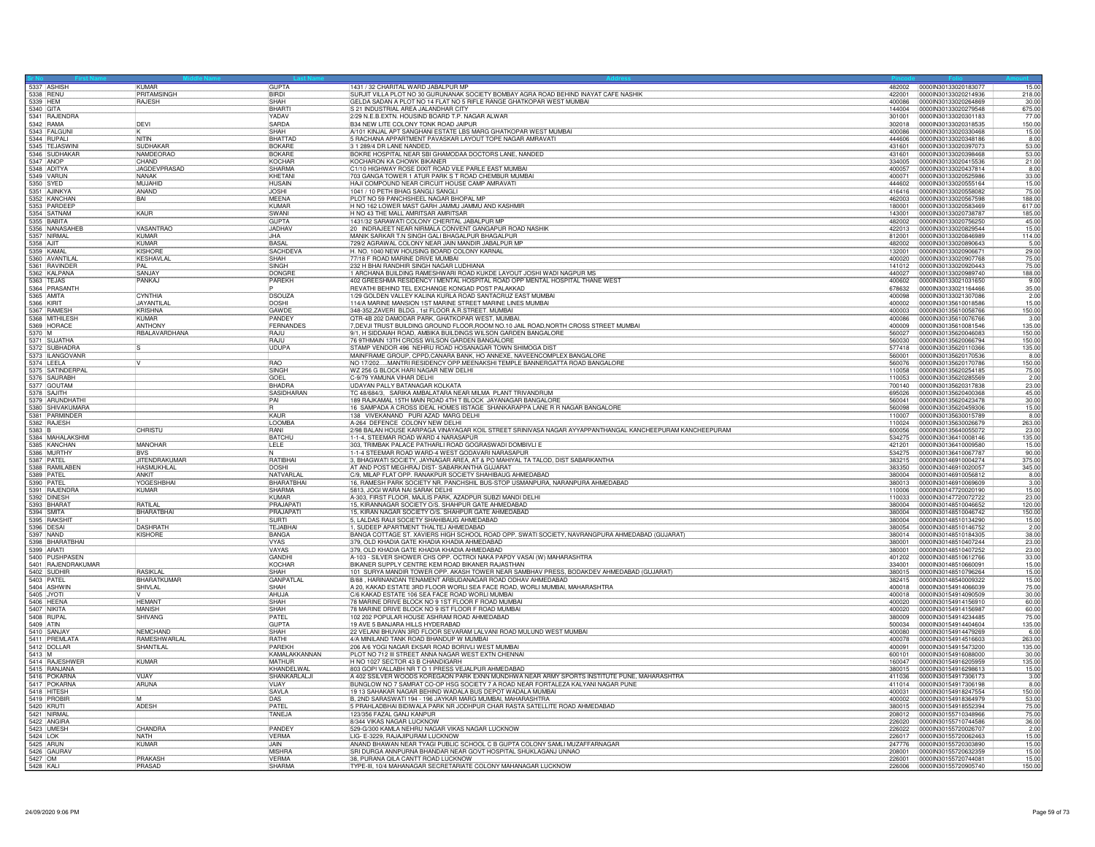| 5337 ASHISH                      | KIMAR<br><b>PRITAMSING</b>                | <b>GUPTA</b><br><b>BIRDI</b> | 1431 / 32 CHARITAL WARD JABALPUR MP                                                                                                        |                  | 482002 0000IN30133020183077                  | 15.00           |
|----------------------------------|-------------------------------------------|------------------------------|--------------------------------------------------------------------------------------------------------------------------------------------|------------------|----------------------------------------------|-----------------|
| 5338 RENU                        |                                           | SHAH                         | SURJIT VILLA PLOT NO 30 GURUNANAK SOCIETY BOMBAY AGRA ROAD BEHIND INAYAT CAFE NASHIK                                                       | 422001<br>400086 | 0000lN30133020214936                         | 218.00<br>30.00 |
| 5339 HEM<br>5340 GITA            | RAJESH                                    | <b>BHART</b>                 | GELDA SADAN A PLOT NO 14 FLAT NO 5 RIFLE RANGE GHATKOPAR WEST MUMBAI<br>S 21 INDUSTRIAL AREA JALANDHAR CITY                                | 144004           | 0000IN30133020264869<br>0000IN30133020279548 | 675.00          |
| 5341 RAJENDRA                    |                                           | YADAV                        | 2/29 N.E.B.EXTN. HOUSIND BOARD T.P. NAGAR ALWAR                                                                                            | 301001           | 00000830133020301183                         | 77.00           |
| 5342 RAMA                        | DEVI                                      | SARDA                        | B34 NEW LITE COLONY TONK ROAD JAIPUR                                                                                                       | 302018           | 0000IN30133020318535                         | 150.00          |
| 5343 FALGUN                      |                                           | SHAH                         | A/101 KINJAL APT SANGHANI ESTATE LBS MARG GHATKOPAR WEST MUMBAI                                                                            | 400086           | 0000IN30133020330468                         | 15.00           |
| 5344 RUPALI                      | NITIN                                     | <b>BHATTAD</b>               | 5 RACHANA APPARTMENT PAVASKAR LAYOUT TOPE NAGAR AMRAVATI                                                                                   | 444606           | 0000IN30133020348186                         | 8.00            |
| 5345 TEJASWIN                    | <b>SUDHAKAF</b>                           | <b>BOKARE</b>                | 3 1 289/4 DR LANE NANDED                                                                                                                   | 431601           | 00000N30133020397073                         | 53.00           |
| 5346 SUDHAKAF                    | NAMDEORAC                                 | <b>BOKARE</b>                | BOKRE HOSPITAL NEAR SBI GHAMODAA DOCTORS LANE, NANDED                                                                                      | 431601           | 0000IN30133020398468                         | 53.00           |
| 5347 ANOP                        | CHAND                                     | <b>KOCHAR</b>                | KOCHARON KA CHOWK BIKANER                                                                                                                  | 334005           | 0000IN30133020415536                         | 21.00           |
| 5348 ADITYA                      | <b>JAGDEVPRASAD</b>                       | <b>SHARMA</b>                | C1/10 HIGHWAY ROSE DIXIT ROAD VILE PARLE EAST MUMBAI                                                                                       | 400057           | 0000IN30133020437814                         | 8.00            |
| 5349 VARUN                       | NANAK                                     | KHETANI                      | 703 GANGA TOWER 1 ATUR PARK S T ROAD CHEMBUR MUMBAI                                                                                        | 400071           | 0000IN30133020525986                         | 33.00           |
| 5350 SYED                        | MUJAHID                                   | <b>HUSAIN</b>                | HAJI COMPOUND NEAR CIRCUIT HOUSE CAMP AMRAVATI                                                                                             | 444602           | 0000IN30133020555164                         | 15.00           |
| 5351 AJINKY                      | ANAND                                     | <b>JOSHI</b>                 | 1041 / 10 PETH BHAG SANGLI SANGLI                                                                                                          | 416416           | 0000IN30133020558082                         | 75.00           |
| 5352 KANCHAN                     | BAI                                       | <b>MEENA</b>                 | PLOT NO 59 PANCHSHEEL NAGAR BHOPAL MP                                                                                                      | 462003           | 0000IN30133020567598                         | 188.00          |
| 5353 PARDEEF                     |                                           | <b>KUMAR</b>                 | H NO 162 LOWER MAST GARH JAMMU JAMMU AND KASHMIR                                                                                           | 180001           | 0000IN30133020583469                         | 617.00          |
| 5354 SATNAM                      | KAUR                                      | SWANI                        | H NO 43 THE MALL AMRITSAR AMRITSAR                                                                                                         | 143001           | 00000030133020738787                         | 185.00          |
| 5355 BABITA                      |                                           | GUPTA                        | 1431/32 SARAWATI COLONY CHERITAL JABALPUR MP                                                                                               | 482002           | 0000IN30133020756250                         | 45.00           |
| 5356 NANASAHEE                   | <b>VASANTRAO</b>                          | <b>JADHAV</b>                | 20 INDRAJEET NEAR NIRMALA CONVENT GANGAPUR ROAD NASHIK                                                                                     | 422013           | 0000IN30133020829544                         | 15.00           |
| 5357 NIRMAL                      | <b>KUMAR</b>                              | JHA                          | MANIK SARKAR T.N SINGH GALI BHAGALPUR BHAGALPUR                                                                                            | 812001           | 0000IN30133020846989                         | 114.00          |
| 5358 AJIT                        | KUMAR                                     | <b>BASAL</b>                 | 729/2 AGRAWAL COLONY NEAR JAIN MANDIR JABALPUR MP                                                                                          | 482002           | 0000IN30133020890643                         | 5.00            |
| 5359 KAMAI                       | <b>KISHORE</b>                            | SACHDEV/                     | H. NO. 1040 NEW HOUSING BOARD COLONY KARNAL                                                                                                | 132001           | 0000IN30133020906671                         | 29.00           |
| 5360 AVANTILA                    | KESHAVLAL                                 | SHAH                         | 77/18 F ROAD MARINE DRIVE MUMBAI                                                                                                           | 400020           | 0000IN30133020907768                         | 75.00           |
| 5361 RAVINDEF                    | PAI                                       | SINGH                        | 232 H BHAI RANDHIR SINGH NAGAR LUDHIANA                                                                                                    | 141012           | 00000N30133020920443                         | 75.00           |
| 5362 KALPANA                     | SANJAY                                    | <b>DONGRE</b>                | 1 ARCHANA BUILDING RAMESHWARI ROAD KUKDE LAYOUT JOSHI WADI NAGPUR MS                                                                       | 440027           | 0000IN30133020989740                         | 188.00          |
| 5363 TEJAS                       | PANKAJ                                    | PARFKH                       | 402 GREESHMA RESIDENCY I MENTAL HOSPITAL ROAD OPP MENTAL HOSPITAL THANE WEST                                                               | 400602           | 0000IN30133021031650                         | 9.00            |
| 5364 PRASANTH                    |                                           |                              | REVATHI BEHIND TEL EXCHANGE KONGAD POST PALAKKAD                                                                                           | 678632           | 0000IN30133021164466                         | 35.00           |
| 5365 AMITA                       | <b>CYNTHIA</b>                            | <b>DSOUZA</b>                | 1/29 GOLDEN VALLEY KALINA KURLA ROAD SANTACRUZ EAST MUMBAI                                                                                 | 400098           | 0000lN30133021307086                         | 2.00            |
| 5366 KIRIT                       | JAYANTILAI                                | <b>DOSHI</b>                 | 114/A MARINE MANSION 1ST MARINE STREET MARINE LINES MUMBAL                                                                                 | 400002           | 00000N30135610018586                         | 15.00           |
| 5367 RAMESH                      | <b>KRISHNA</b>                            | GAWDE                        | 348-352, ZAVERI BLDG, 1st FLOOR A.R.STREET. MUMBAI                                                                                         | 400003           | 0000IN30135610058766                         | 150.00          |
| 5368 MITHILESH                   | <b>KUMAR</b>                              | PANDEY                       | QTR-4B 202 DAMODAR PARK, GHATKOPAR WEST, MUMBAI                                                                                            | 400086           | 0000IN30135610076766                         | 3.00            |
| 5369 HORACE                      | ANTHONY                                   | FERNANDES                    | 7, DEVJI TRUST BUILDING GROUND FLOOR, ROOM NO.10 JAIL ROAD, NORTH CROSS STREET MUMBAI                                                      | 400009           | 0000IN30135610081546                         | 135.00          |
| 5370 M                           | RBALAVARDHANA                             | RAJU                         | 9/1, H SIDDAIAH ROAD, AMBIKA BUILDINGS WILSON GARDEN BANGALORE                                                                             | 560027           | 0000IN30135620046083                         | 150.00          |
| 5371 SUJATHA                     |                                           | RAJU                         | 76 9THMAIN 13TH CROSS WILSON GARDEN BANGALORE                                                                                              | 560030           | 00000N30135620066794                         | 150.00          |
| 5372 SUBHADRA                    |                                           | <b>UDUPA</b>                 | STAMP VENDOR 496 NEHRU ROAD HOSANAGAR TOWN SHIMOGA DIST                                                                                    | 577418           | 00000N30135620110366                         | 135.00          |
| 5373 ILANGOVANR                  |                                           |                              | MAINFRAME GROUP, CPPD, CANARA BANK, HO ANNEXE, NAVEENCOMPLEX BANGALORE                                                                     | 560001           | 0000IN30135620170536                         | 8.00            |
| 5374 LEELA                       |                                           | <b>RAO</b>                   | NO 17/202MANTRI RESIDENCY OPP.MEENAKSHI TEMPLE BANNERGATTA ROAD BANGALORE                                                                  | 560076           | 0000lN30135620170786                         | 150.00          |
| 5375 SATINDERPAI                 |                                           | SINGH                        | WZ 256 G BLOCK HARI NAGAR NEW DELHI                                                                                                        | 110058           | 0000IN30135620254185                         | 75.00           |
| 5376 SAURABH                     |                                           | GOEL                         | C-9/79 YAMUNA VIHAR DELHI                                                                                                                  | 110053           | 00000N30135620285569                         | 2.00            |
| 5377 GOUTAM                      |                                           | <b>BHADRA</b>                | UDAYAN PALLY BATANAGAR KOLKATA                                                                                                             | 700140           | 0000IN30135620317838                         | 23.00           |
| 5378 SAJITH                      |                                           | SASIDHARAN                   | TC 48/684/3. SARIKA AMBALATARA NEAR MILMA PLANT TRIVANDRUM                                                                                 | 695026           | 100001N30135620400368                        | 45.00           |
| 5379 ARUNDHATHI                  |                                           | PAI                          | 189 RAJKAMAL 15TH MAIN ROAD 4TH T BLOCK JAYANAGAR BANGALORE                                                                                | 560041           | 0000lN30135620423478                         | 30.00           |
| 5380 SHIVAKUMARA                 |                                           |                              | 16 SAMPADA A CROSS IDEAL HOMES IISTAGE SHANKARAPPA LANE R R NAGAR BANGALORE                                                                | 560098           | 0000IN30135620459306                         | 15.00           |
| 5381 PARMINDER                   |                                           | <b>KAUR</b>                  | 138 VIVEKANAND PURI AZAD MARG DELHI                                                                                                        | 110007           | 0000IN30135630015789                         | 8.00            |
|                                  |                                           |                              |                                                                                                                                            |                  |                                              |                 |
| 5382 RAJESH                      |                                           | LOOMBA                       |                                                                                                                                            | 110024           | 0000IN30135630026679                         | 263.00          |
| 5383 B                           | <b>CHRISTU</b>                            | RANI                         | A-264 DEFENCE COLONY NEW DELHI                                                                                                             | 600056           | 0000IN30135640055072                         | 23.00           |
|                                  |                                           |                              | 2/98 BALAN HOUSE KARPAGA VINAYAGAR KOIL STREET SRINIVASA NAGAR AYYAPPANTHANGAL KANCHEEPURAM KANCHEEPURAM                                   |                  |                                              |                 |
| 5384 MAHALAKSHMI<br>5385 KANCHAN |                                           | <b>BATCHU</b>                | 1-1-4, STEEMAR ROAD WARD 4 NARASAPUR                                                                                                       | 534275<br>421201 | 0000IN30136410008146<br>0000IN30136410009580 | 135.00          |
| 5386 MURTHY                      | MANOHAR<br><b>BVS</b>                     | <b>LELE</b>                  | 303, TRIMBAK PALACE PATHARLI ROAD GOGRASWADI DOMBIVLI E<br>-1-4 STEEMAR ROAD WARD-4 WEST GODAVARI NARASAPUR                                | 534275           | 0000lN30136410067787                         | 15.00<br>90.00  |
| 5387 PATEL                       |                                           |                              |                                                                                                                                            | 383215           | 0000IN30146910004274                         | 375.00          |
| 5388 RAMILABEN                   | <b>JITENDRAKUMAR</b><br><b>HASMUKHLAL</b> | RATIBHAI<br>DOSHI            | 3, BHAGWATI SOCIETY, JAYNAGAR AREA, AT & PO MAHIYAL TA TALOD, DIST SABARKANTHA<br>AT AND POST MEGHRAJ DIST- SABARKANTHA GUJARAT            | 383350           | 0000IN30146910020057                         | 345.00          |
| 5389 PATEL                       | <b>ANKIT</b>                              | NATVARLAL                    |                                                                                                                                            | 380004           | 0000lN30146910056812                         |                 |
| 5390 PATE                        | YOGESHBHAI                                | BHARATBHA                    | C/9, MILAP FLAT OPP. RANAKPUR SOCIETY SHAHIBAUG AHMEDABAD<br>16, RAMESH PARK SOCIETY NR. PANCHSHIL BUS-STOP USMANPURA, NARANPURA AHMEDABAD | 380013           | 0000IN30146910069609                         | 8.00<br>3.00    |
| 5391 RAJENDRA                    | <b>KUMAR</b>                              | SHARMA                       | 5813, JOGI WARA NAI SARAK DELHI                                                                                                            | 110006           | 0000IN30147720020190                         | 15.00           |
| 5392 DINESH                      |                                           | KUMAR                        | A-303, FIRST FLOOR, MAJLIS PARK, AZADPUR SUBZI MANDI DELHI                                                                                 | 110033           | 0000lN30147720072722                         | 23.00           |
| 5393 BHARA1                      | <b>RATILAL</b>                            | PRAJAPAT                     | 15, KIRANNAGAR SOCIETY O/S. SHAHPUR GATE AHMEDABAD                                                                                         | 380004           | 0000IN30148510046652                         | 120.00          |
| 5394 SMITA                       | BHARATBHAI                                | PRAJAPATI                    | 15, KIRAN NAGAR SOCIETY O/S. SHAHPUR GATE AHMEDABAD                                                                                        | 380004           | 0000IN30148510046742                         | 150.00          |
| 5395 RAKSHIT                     |                                           | <b>SURTI</b>                 | 5, LALDAS RAIJI SOCIETY SHAHIBAUG AHMEDABAD                                                                                                | 380004           | 0000IN30148510134290                         | 15.00           |
| 5396 <b>DESAI</b>                | <b>DASHRATH</b>                           | <b>TEJABHAI</b>              | 1. SUDEEP APARTMENT THALTEJ AHMEDABAD                                                                                                      | 380054           | 00000130148510146752                         | 2.00            |
| 5397 NAND                        | KISHORE                                   | BANGA                        | BANGA COTTAGE ST. XAVIERS HIGH SCHOOL ROAD OPP. SWATI SOCIETY, NAVRANGPURA AHMEDABAD (GUJARAT)                                             | 380014           | 0000IN30148510184305                         | 38.00           |
| 5398 BHARATBHAI                  |                                           | <b>VYAS</b>                  | 379, OLD KHADIA GATE KHADIA KHADIA AHMEDABAD                                                                                               | 380001           | 0000lN30148510407244                         | 23.00           |
| 5399 ARATI                       |                                           | VAYAS                        | 379, OLD KHADIA GATE KHADIA KHADIA AHMEDABAD                                                                                               | 380001           | 0000IN30148510407252                         | 23.00           |
| 5400 PUSHPASEN                   |                                           | GANDH                        | A-103 - SILVER SHOWER CHS OPP. OCTROI NAKA PAPDY VASAI (W) MAHARASHTRA                                                                     | 401202           | 0000lN30148510612766                         | 33.00           |
| 5401 RAJENDRAKUMAR               |                                           | KOCHAF                       | BIKANER SUPPLY CENTRE KEM ROAD BIKANER RAJASTHAN                                                                                           | 334001           | 0000IN30148510660091                         | 15.00           |
| 5402 SUDHIR                      | <b>RASIKI AI</b>                          | SHAH                         | 101 SURYA MANDIR TOWER OPP. AKASH TOWER NEAR SAMBHAV PRESS, BODAKDEV AHMEDABAD (GUJARAT)                                                   | 380015           | 0000lN30148510796264                         | 15.00           |
| 5403 PATEL                       | BHARATKUMAF                               | <b>GANPATLAL</b>             | B/88, HARINANDAN TENAMENT ARBUDANAGAR ROAD ODHAV AHMEDABAD                                                                                 | 382415           | 00000N30148540009322                         | 15.00           |
| 5404 ASHWIN                      | SHIVLAL                                   | SHAH                         | A 20, KAKAD ESTATE 3RD FLOOR WORLI SEA FACE ROAD, WORLI MUMBAI, MAHARASHTRA                                                                | 400018           | 0000lN30154914066039                         | 75.00           |
| 5405 JYOTI                       |                                           | AHUJA                        | C/6 KAKAD ESTATE 106 SEA FACE ROAD WORLI MUMBAI                                                                                            | 400018           | 0000IN30154914090509                         | 30.00           |
| 5406 HEEN/                       | <b>HEMANT</b>                             | <b>SHAH</b>                  | 78 MARINE DRIVE BLOCK NO 9 1ST FLOOR F ROAD MUMBAI                                                                                         | 400020           | 0000IN30154914156910                         | 60.00           |
| 5407 NIKITA                      | <b>MANISH</b>                             | SHAH                         | 78 MARINE DRIVE BLOCK NO 9 IST FLOOR F ROAD MUMBAI                                                                                         | 400020           | 0000IN30154914156987                         | 60.00           |
| 5408 RUPAL                       | SHIVANG                                   | PATEL                        | 102 202 POPULAR HOUSE ASHRAM ROAD AHMEDABAD                                                                                                | 380009           | 00000N30154914234485                         | 75.00           |
| 5409 ATIN                        |                                           | <b>GUPTA</b>                 | 19 AVE 5 BANJARA HILLS HYDERABAD                                                                                                           | 500034           | 0000lN30154914404604                         | 135.00          |
| 5410 SANJAY                      | <b>NEMCHAND</b>                           | SHAH                         | 22 VELANI BHUVAN 3RD FLOOR SEVARAM LALVANI ROAD MULUND WEST MUMBAI                                                                         | 400080           | 0000IN30154914479269                         | 6.00            |
| 5411 PREMI ATA                   | RAMESHWARI AI                             | <b>BATHI</b>                 | 4/A MINILAND TANK ROAD BHANDUP W MUMBAI                                                                                                    | 400078           | 00000N30154914516603                         | 263.00          |
| 5412 DOLLAR                      | SHANTILAL                                 | PAREKH                       | 206 A/6 YOGI NAGAR EKSAR ROAD BORIVLI WEST MUMBAI                                                                                          | 400091           | 0000IN30154915473200                         | 135.00          |
| $5413$ M                         |                                           | KAMALAKKANNAN                | PLOT NO 712 III STREET ANNA NAGAR WEST EXTN CHENNAI                                                                                        | 600101           | 00000N30154916088000                         | 30.00           |
| 5414 RAJESHWER                   | <b>KUMAR</b>                              | <b>MATHUR</b>                | H NO 1027 SECTOR 43 B CHANDIGARH                                                                                                           | 160047           | 0000IN30154916205959                         | 135.00          |
| 5415 RANJANA                     | <b>VIJAY</b>                              | KHANDELWAI                   | 803 GOPI VALLABH NR T O 1 PRESS VEJALPUR AHMEDABAD                                                                                         | 380015<br>411036 | 00000N30154916298613                         | 15.00           |
| 5416 POKARNA                     |                                           | SHANKARLALJI                 | A 402 SSILVER WOODS KOREGAON PARK EXNN MUNDHWA NEAR ARMY SPORTS INSTITUTE PUNE, MAHARASHTRA                                                |                  | 0000IN30154917306173                         | 3.00            |
| 5417 POKARNA                     | ARUNA                                     | VIJAY                        | BUNGLOW NO 7 SAMRAT CO-OP HSG SOCIETY 7 A ROAD NEAR FORTALEZA KALYANI NAGAR PUNE                                                           | 411014           | 0000IN30154917306198                         | 8.00            |
| 5418 HITESH                      |                                           | <b>SAVLA</b>                 | 19 13 SAHAKAR NAGAR BEHIND WADALA BUS DEPOT WADALA MUMBAI                                                                                  | 400031           | 00000N30154918247554                         | 150.00          |
| 5419 PROBIR<br>5420 KRUTI        | ADESH                                     | DAS                          | B, 2ND SARASWATI 194 - 196 JAYKAR MARG MUMBAI, MAHARASHTRA                                                                                 | 400002<br>380015 | 0000IN30154918364979<br>0000IN30154918552394 | 53.00<br>75.00  |
| 5421 NIRMA                       |                                           | PATEL<br>TANEJA              | 5 PRAHLADBHAI BIDIWALA PARK NR JODHPUR CHAR RASTA SATELLITE ROAD AHMEDABAD<br>123/356 FAZAL GANJ KANPUR                                    | 208012           | 0000IN30155710348966                         |                 |
|                                  |                                           |                              |                                                                                                                                            | 226020           |                                              | 75.00           |
| 5422 ANGIRA                      |                                           |                              | 8/344 VIKAS NAGAR LUCKNOW                                                                                                                  | 226022           | 0000lN30155710744586<br>00000N30155720026707 | 36.00           |
| 5423 UMESH<br>5424 I OK          | CHANDRA<br>NATH                           | PANDEY                       | 529-G/300 KAMLA NEHRU NAGAR VIKAS NAGAR LUCKNOW                                                                                            | 226017           |                                              | 2.00            |
| 5425 ARUN                        | KUMAR                                     | <b>VERMA</b><br>JAIN.        | LIG- E-3229, RAJAJIPURAM LUCKNOW                                                                                                           | 247776           | 0000IN30155720062463<br>0000IN30155720303890 | 15.00<br>15.00  |
| 5426 GAURAV                      |                                           | <b>MISHRA</b>                | ANAND BHAWAN NEAR TYAGI PUBLIC SCHOOL C B GUPTA COLONY SAMLI MUZAFFARNAGAR                                                                 | 208001           |                                              | 15.00           |
| 5427 OM                          |                                           | <b>VERMA</b>                 | SRI DURGA ANNPURNA BHANDAR NEAR GOVT HOSPITAL SHUKLAGANJ UNNAO                                                                             | 226001           | 0000IN30155720632359<br>0000IN30155720744081 | 15.00           |
| 5428 KALI                        | PRAKASH<br>PRASAD                         | SHARMA                       | 38, PURANA QILA CANTT ROAD LUCKNOW<br>TYPE-III, 10/4 MAHANAGAR SECRETARIATE COLONY MAHANAGAR LUCKNOW                                       | 226006           | 0000IN30155720905740                         | 150.00          |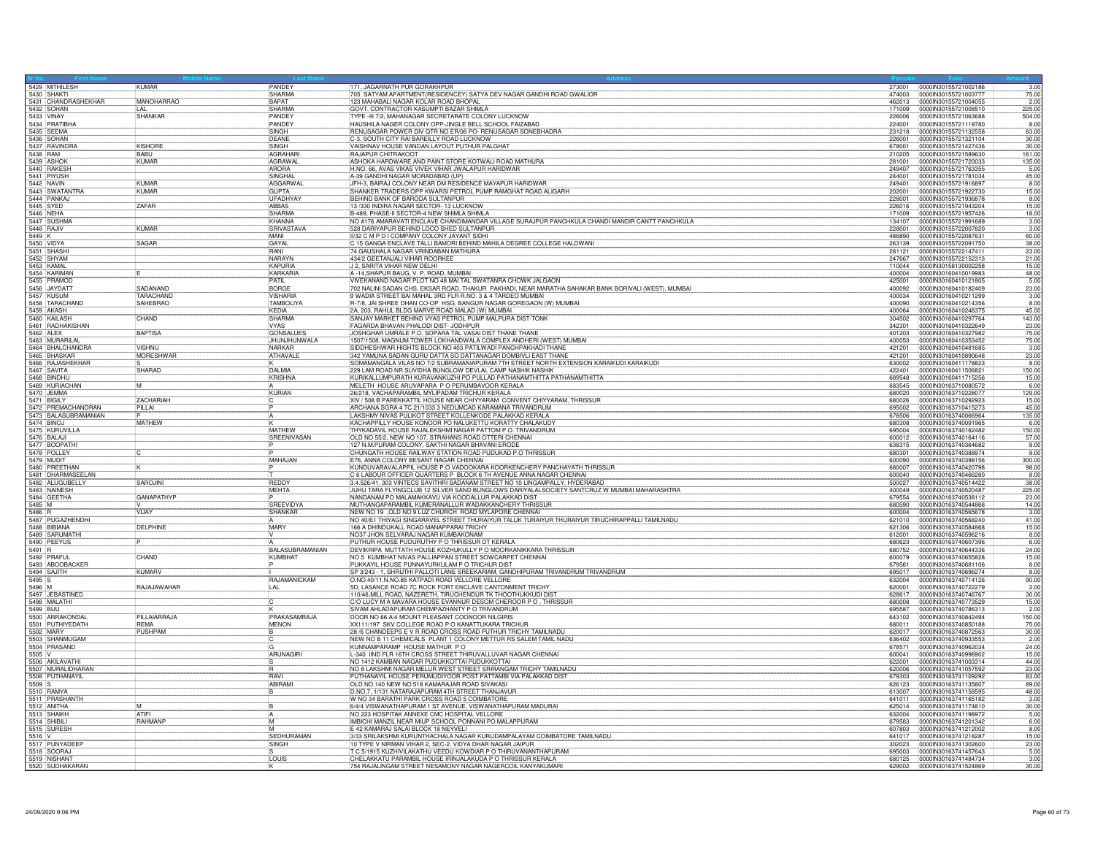|           | 5429 MITHILESH                   | KUMAR             | PANDEY                     | 171, JAGARNATH PUR GORAKHPUR                                                                                                        | 273001           | 0000IN30155721002186<br>3.00                                   |
|-----------|----------------------------------|-------------------|----------------------------|-------------------------------------------------------------------------------------------------------------------------------------|------------------|----------------------------------------------------------------|
|           | 5430 SHAKTI                      |                   | <b>SHARMA</b>              | 705 SATYAM APARTMENT(RESIDENCEY) SATYA DEV NAGAR GANDHI ROAD GWALIOR                                                                | 474003           | 75.00<br>0000IN30155721003777                                  |
|           | 5431 CHANDRASHEKHAR              | <b>MANOHARRAO</b> | <b>BAPAT</b><br>SHARMA     | 123 MAHABALLNAGAR KOLAR ROAD BHOPAL<br>GOVT. CONTRACTOR KASUMPTI BAZAR SHIMLA                                                       | 462013<br>171009 | 0000IN30155721004055<br>2.00<br>0000IN30155721008510           |
|           | 5432 SOHAN<br>5433 VINAY         | SHANKAR           | <b>PANDEY</b>              | TYPE -III 7/2, MAHANAGAR SECRETARATE COLONY LUCKNOW                                                                                 | 226006           | 225.00<br>504.00<br>0000lN30155721063688                       |
|           | 5434 PRATIBHA                    |                   | PANDEY                     | HAUSHILA NAGER COLONY OPP-JINGLE BELL SCHOOL FAIZABAD                                                                               | 224001           | 0000IN30155721119780<br>8.00                                   |
|           | 5435 SEEMA                       |                   | SINGH                      | RENUSAGAR POWER DIV OTR NO ER/06 PO- RENUSAGAR SONEBHADRA                                                                           | 231218           | 0000IN30155721132558<br>83.00                                  |
|           | 5436 SOHAN                       |                   | DFANF                      | C-3, SOUTH CITY RAI BAREILLY ROAD LUCKNOW                                                                                           | 226001           | 0000IN30155721321104<br>30.00                                  |
|           |                                  | <b>KISHORE</b>    | <b>SINGH</b>               | VAISHNAV HOUSE VANDAN LAYOUT PUTHUR PALGHAT                                                                                         | 678001           | 0000IN30155721427436<br>30.00                                  |
|           | 5437 RAVINDRA<br>5438 RAM        | <b>BABU</b>       | AGRAHARI                   | RAJAPUR CHITRAKOOT                                                                                                                  | 210205           | 0000lN30155721589630<br>161.00                                 |
|           | 5439 ASHO                        | KUMAR             | AGRAWAL                    | ASHOKA HARDWARE AND PAINT STORE KOTWALI ROAD MATHURA                                                                                | 281001           | 0000IN30155721720033<br>135.00                                 |
|           | 5440 RAKESH                      |                   | ARORA                      | H.NO. 66, AVAS VIKAS VIVEK VIHAR JWALAPUR HARIDWAR                                                                                  | 249407           | 0000IN30155721763355<br>5.00                                   |
|           | 5441 PIYUSH                      |                   | SINGHAI                    | A-39 GANDHI NAGAR MORADABAD (UP)                                                                                                    | 244001           | 45.00<br>0000IN30155721781034                                  |
|           | 5442 NAVIN<br>5443 SWATANTRA     | <b>KIMAR</b>      | AGGARWAL                   | JEH-3, BAIRAJ COLONY NEAR DM RESIDENCE MAYAPUR HARIDWAR<br>SHANKER TRADERS OPP KWARSI PETROL PUMP RAMGHAT ROAD ALIGARH              | 249401           | 0000IN30155721916897<br>8.00                                   |
|           |                                  | <b>KUMAR</b>      | <b>GUPTA</b>               |                                                                                                                                     | 202001           | 15.00<br>0000lN30155721922730                                  |
|           | 5444 PANKAJ                      |                   | <b>UPADHYAY</b>            | BEHIND BANK OF BARODA SULTANPUR                                                                                                     | 228001           | 0000lN30155721936878<br>8.00                                   |
|           | 5445 SYED                        | <b>ZAFAR</b>      | <b>ABBAS</b>               | 13/330 INDIRA NAGAR SECTOR- 13 LUCKNOW                                                                                              | 226016           | 0000IN30155721943204<br>15.00                                  |
| 5446 NEHA |                                  |                   | SHARMA                     | B-489, PHASE-II SECTOR-4 NEW SHIMLA SHIMLA                                                                                          | 171009           | 0000lN30155721957426<br>18.00                                  |
|           | 5447 SUSHMA<br>5448 RAJIV        |                   | KHANNA                     | NO #176 AMARAVATI ENCLAVE CHANDIMANDAR VILLAGE SURAJPUR PANCHKULA CHANDI MANDIR CANTT PANCHKULA                                     | 134107           | 0000lN30155721991689<br>3.00                                   |
|           |                                  | <b>KUMAR</b>      | <b>SRIVASTAVA</b><br>MANI  | 528 DARIYAPUR BEHIND LOCO SHED SULTANPUR                                                                                            | 228001           | 0000IN30155722007820<br>3.00                                   |
| 5449 K    | 5450 VIDYA                       | SAGAR             | GAYAL                      | II/32 C M P D I COMPANY COLONY JAYANT SIDHI<br>C 15 GANGA ENCLAVE TALLI BAMORI BEHIND MAHILA DEGREE COLLEGE HALDWANI                | 486890<br>263139 | 0000lN30155722087631<br>60.00<br>0000IN30155722091750<br>38.00 |
|           | 5451 SHASH                       |                   | RANI                       | 74 GAUSHALA NAGAR VRINDABAN MATHURA                                                                                                 | 281121           |                                                                |
|           | 5452 SHYAM                       |                   | NARAYN                     | 434/2 GEETANJALI VIHAR ROORKEE                                                                                                      | 247667           | 0000lN30155722147411<br>23.00<br>0000IN30155722152313<br>21.00 |
|           | 5453 KAMAL                       |                   | KAPURIA                    | J 2, SARITA VIHAR NEW DELHI                                                                                                         | 110044           | 15.00<br>0000IN30158130002258                                  |
|           |                                  |                   | <b>KARKARIA</b>            | A -14, SHAPUR BAUG, V. P. ROAD, MUMBAI                                                                                              | 400004           | 0000IN30160410019983<br>48.00                                  |
|           | 5454 KARIMAN<br>5455 PRAMOD      |                   | PATIL                      | VIVEKANAND NAGAR PLOT NO 48 MAI TAL SWATANRA CHOWK JALGAON                                                                          | 425001           | 5.00<br>0000IN30160410121805                                   |
|           | 5456 JAYDATT                     | SADANAND          | <b>BORGE</b>               | 702 NALINI SADAN CHS, EKSAR ROAD, THAKUR PAKHADI, NEAR MARATHA SAHAKAR BANK BORIVALI (WEST), MUMBAI                                 | 400092           | 0000IN30160410182409<br>23.00                                  |
|           |                                  | TARACHAND         | <b>VISHARIA</b>            | 9 WADIA STREET BAI MAHAL 3RD FLR R.NO. 3 & 4 TARDEO MUMBAI                                                                          | 400034           | 0000lN30160410211299<br>3.00                                   |
|           | 5457 KUSUM<br>5458 TARACHAND     | <b>SAHEBRAO</b>   | TAMBOLIYA                  | R-7/8, JAI SHREE DHAN CO-OP. HSG. BANGUR NAGAR GOREGAON (W) MUMBAI                                                                  | 400090           | 8.00<br>0000IN30160410214356                                   |
|           | 5459 AKASH                       |                   | KEDIA                      | 2A, 203, RAHUL BLDG MARVE ROAD MALAD (W) MUMBAI                                                                                     | 400064           | 0000IN30160410246375<br>45.00                                  |
|           | 5460 KAILASH                     | CHAND             | SHARMA                     | SANJAY MARKET BEHIND VYAS PETROL PUMP MALPURA DIST-TONK                                                                             | 304502           | 0000IN30160410297764<br>143.00                                 |
|           | 5461 RADHAKISHAN                 |                   | <b>VYAS</b>                | FAGARDA BHAVAN PHALODI DIST- JODHPUR                                                                                                | 342301           | 0000IN30160410322649<br>23.00                                  |
| 5462 ALEX |                                  | <b>BAPTISA</b>    | <b>GONSALUES</b>           | JOSHGHAR UMRALE P.O. SOPARA TAL VASAI DIST THANE THANE                                                                              | 401203           | 75.00<br>0000IN30160410327982                                  |
|           | 5463 MURARILAL                   |                   | <b>JHUNJHUNWALA</b>        | 1507/1508, MAGNUM TOWER LOKHANDWALA COMPLEX ANDHERI (WEST) MUMBAI                                                                   | 400053           | 75.00<br>0000IN30160410353452                                  |
|           | 5464 BHALCHANDRA<br>5465 BHASKAR | <b>VISHNU</b>     | NARKAR                     | SIDDHESHWAR HIGHTS BLOCK NO 403 PATILWADI PANCHPAKHADI THANE                                                                        | 421201           | 3.00<br>0000IN30160410481685                                   |
|           |                                  | <b>MORESHWAR</b>  | <b>ATHAVALI</b>            | 342 YAMUNA SADAN GURU DATTA SO DATTANAGAR DOMBIVLI EAST THANE                                                                       | 421201           | 23.00<br>0000IN30160410890648                                  |
|           | 5466 RAJASHEKHAR                 |                   |                            | SOMAMANGALA VILAS NO 7/2 SUBRAMANIAPURAM 7TH STREET NORTH EXTENSION KARAIKUDI KARAIKUDI                                             | 630002           | 0000lN30160411178823<br>8.00                                   |
|           | 5467 SAVITA                      | SHARAD            | DALMIA                     | 229 LAM ROAD NR SUVIDHA BUNGLOW DEVLAL CAMP NASHIK NASHIK                                                                           | 422401<br>689548 | 150.00<br>0000IN30160411506821                                 |
|           | 5468 BINDHL                      |                   | <b>KRISHNA</b>             | KURIKALLUMPURATH KURAVANKUZHI PO PULLAD PATHANAMTHITTA PATHANAMTHITTA<br>MELETH HOUSE ARUVAPARA P O PERUMBAVOOR KERALA              | 683545           | 0000lN30160411715256<br>15.00<br>6.00<br>0000IN30163710080572  |
|           | 5469 KURIACHAN<br>5470 JEMMA     |                   | KURIAN                     | 26/218, VACHAPARAMBIL MYLIPADAM TRICHUR KERALA                                                                                      | 680020           | 0000IN30163710228077<br>129.00                                 |
|           | 5471 BIGILY                      | ZACHARIAH         |                            | XIV / 508 B PAREKKATTIL HOUSE NEAR CHIYYARAM CONVENT CHIYYARAM, THRISSUR                                                            | 680026           | 0000IN30163710292923<br>15.00                                  |
|           | 5472 PREMACHANDRAN               | PILLAI            |                            | ARCHANA SGRA 4 TC 21/1033 3 NEDUMCAD KARAMANA TRIVANDRUM                                                                            | 695002           | 0000IN30163710415273<br>45.00                                  |
|           | 5473 BALASUBRAMANIAN             |                   | ΪĀ                         | LAKSHMY NIVAS PULIKOT STREET KOLLENKODE PALAKKAD KERALA                                                                             | 678506           | 0000IN30163740066964<br>135.00                                 |
|           | 5474 BINOJ                       | <b>MATHEW</b>     | Ιĸ                         | KACHAPPILLY HOUSE KONOOR PO NALUKETTU KORATTY CHALAKUDY                                                                             | 680308           | 0000IN30163740091965<br>6.00                                   |
|           | 5475 KURUVILLA                   |                   | MATHEW                     | THYKADAVIL HOUSE RAJALEKSHMI NAGAR PATTOM P.O. TRIVANDRUM                                                                           | 695004           | 0000IN30163740162482<br>150.00                                 |
|           | 5476 BALAJI                      |                   | SREENIVASAN                | OLD NO 55/2, NEW NO 107, STRAHANS ROAD OTTERI CHENNAI                                                                               | 600012           | 57.00<br>0000IN30163740164116                                  |
|           | 5477 BOOPATH                     |                   |                            | 127 N.M.PURAM COLONY, SAKTHI NAGAR BHAVANI ERODE                                                                                    | 638315           | 0000lN30163740364682<br>8.00                                   |
|           | 5478 POLLEY                      |                   |                            | CHUNGATH HOUSE RAILWAY STATION ROAD PUDUKAD P.O THRISSUR                                                                            | 680301           | 0000IN30163740388974<br>8.00                                   |
|           | 5479 MUDIT                       |                   | MAHAJAN                    | E76, ANNA COLONY BESANT NAGAR CHENNAI                                                                                               | 600090           | 0000lN30163740398156<br>300.00                                 |
|           | 5480 PREETHAN                    |                   |                            | KUNDUVARAVALAPPIL HOUSE P.O.VADOOKARA KOORKENCHERY PANCHAYATH THRISSUR                                                              | 680007           | 0000IN30163740420798<br>98.00                                  |
|           | 5481 DHARMASEELAN                |                   |                            | C 6 LABOUR OFFICER QUARTERS P BLOCK 6 TH AVENUE ANNA NAGAR CHENNAI                                                                  | 600040           | 0000IN30163740466260<br>8.00                                   |
|           | 5482 ALUGUBELLY                  | SAROJINI          | <b>REDDY</b>               | 3.4.526/41, 303 VINTECS SAVITHRI SADANAM STREET NO 10 LINGAMPALLY, HYDERABAD                                                        | 500027           |                                                                |
|           |                                  |                   |                            |                                                                                                                                     |                  | 0000lN30163740514422<br>38.00                                  |
|           |                                  |                   | MEHTA                      | JUHU TARA FLYINGCLUB 12 SILVER SAND BUNGLOWS DARIYALALSOCIETY SANTCRUZ W MUMBAI MAHARASHTRA                                         | 400049           | 0000IN30163740520487<br>225.00                                 |
|           |                                  | GANAPATHYP        |                            | NANDANAM PO MALAMAKKAVU VIA KOODALLUR PALAKKAD DIST                                                                                 | 679554           | 0000IN30163740538112<br>23.00                                  |
|           | 5484 GEETHA                      |                   | SREEVIDYA                  | MUTHANGAPARAMBIL KUMERANALLUR WADAKKANCHERY THRISSUR                                                                                | 680590           | 0000lN30163740544866<br>14.00                                  |
| 5486 R    |                                  | VIJAY             | SHANKAR                    | NEW NO 19 ,OLD NO 9 LUZ CHURCH ROAD MYLAPORE CHENNAI                                                                                | 600004           | 0000IN30163740565678<br>3.00                                   |
|           | 5487 PUGAZHENDHI                 |                   |                            | NO 40/E1 THIYAGI SINGARAVEL STREET THURAIYUR TALUK TURAIYUR THURAIYUR TIRUCHIRAPPALLI TAMILNADU                                     | 621010           | 0000lN30163740568240<br>41.00                                  |
|           | 5488 BIBIANA                     | <b>DELPHINE</b>   | MARY                       | 166 A DHINDUKALL ROAD MANAPPARAI TRICHY                                                                                             | 621306           | 15.00<br>0000IN30163740584868                                  |
|           | 5489 SARUMATHI                   |                   |                            | NO37 JHON SELVARAJ NAGAR KUMBAKONAM                                                                                                 | 612001           | 0000IN30163740596216<br>8.00                                   |
|           | 5490 PEEYUS                      |                   |                            | PUTHUR HOUSE PUDURUTHY P O THRISSUR DT KERALA                                                                                       | 680623           | 00000N30163740607396<br>6.00                                   |
| 5491 R    |                                  | CHAND             | BALASUBRAMANIAN<br>KUMBHAT | DEVIKRIPA MUTTATH HOUSE KOZHUKULLY P O MOORKANIKKARA THRISSUR                                                                       | 680752<br>600079 | 0000lN30163740644336<br>24.00<br>0000lN30163740655828<br>15.00 |
|           | 5492 PRAFL<br>5493 ABOOBACKER    |                   |                            | NO.5 KUMBHAT NIVAS PALLIAPPAN STREET SOWCARPET CHENNAL<br>PUKKAYIL HOUSE PUNNAYURKULAM P O TRICHUR DIST                             | 679561           | 0000IN30163740681106<br>8.00                                   |
|           | 5494 SAJITH                      | <b>KUMARV</b>     |                            | SP 3/243 - 1, SHRUTHI PALLOTI LANE SREEKARIAM, GANDHIPURAM TRIVANDRUM TRIVANDRUM                                                    | 695017           | 0000IN30163740696274<br>8.00                                   |
| $5495$ S  |                                  |                   | RAJAMANICKAM               | O.NO.40/11, N.NO.85 KATPADI ROAD VELLORE VELLORE                                                                                    | 632004           | 00000N30163740714126<br>90.00                                  |
| 5496 M    |                                  | RAJAJAWAHAR       | <b>LAL</b>                 | 5D, LASANCE ROAD 7C ROCK FORT ENCLAVE CANTONMENT TRICHY                                                                             | 620001           | 0000lN30163740722279<br>2.00                                   |
|           |                                  |                   |                            | 110/46, MILL ROAD, NAZERETH, TIRUCHENDUR TK THOOTHUKKUDI DIST                                                                       | 628617           | 0000IN30163740746767<br>30.00                                  |
|           | 5497 JEBASTINED                  |                   |                            | C/O LUCY M A MAVARA HOUSE EVANNUR DESOM CHEROOR PO, THRISSUR                                                                        | 680008           | 15.00<br>0000IN30163740773529                                  |
| 5499 BIJU |                                  |                   |                            | SIVAM AHLADAPURAM CHEMPAZHANTY P O TRIVANDRUM                                                                                       | 695587           | 0000IN30163740786313<br>2.00                                   |
|           | 5500 ARRAKONDAL                  | PILLAIARRAJA      | PRAKASAMRAJA               | DOOR NO 66 A/4 MOUNT PLEASANT COONOOR NILGIRIS                                                                                      | 643102           | 0000lN30163740842494<br>150.00                                 |
|           | 5501 PUTHIYEDATH                 | RFMA              | <b>MENON</b>               | XX111/197 SKV COLLEGE ROAD P O KANATTUKARA TRICHUR                                                                                  | 680011           | 0000IN30163740850188<br>75.00                                  |
|           | 5502 MARY                        | PUSHPAM           |                            | 28 /6 CHANDEEPS E V R ROAD CROSS ROAD PUTHUR TRICHY TAMILNADU                                                                       | 620017           | 0000IN30163740872563<br>30.00                                  |
|           | 5503 SHANMUGAM                   |                   |                            | NEW NO B 11 CHEMICALS PLANT 1 COLONY METTUR RS SALEM TAMIL NADU                                                                     | 636402           | 0000IN30163740933553<br>2.00                                   |
|           | 5504 PRASAND                     |                   |                            | KUNNAMPARAMP HOUSE MATHUR PO                                                                                                        | 678571           | 0000IN30163740962034<br>24.00                                  |
| 5505 V    |                                  |                   | ARUNAGIRI                  | L-340 IIND FLR 16TH CROSS STREET THIRUVALLUVAR NAGAR CHENNAL                                                                        | 600041           | 15.00<br>0000IN30163740996902                                  |
|           | 5506 AKILAVATHI                  |                   |                            | NO 1412 KAMBAN NAGAR PUDUKKOTTAI PUDUKKOTTAI                                                                                        | 622001<br>620006 | 44.00<br>0000IN30163741003314<br>0000IN30163741057592<br>23.00 |
|           | 5507 MURALIDHARAN                |                   | <b>RAVI</b>                | NO 8 LAKSHMI NAGAR MELUR WEST STREET SRIRANGAM TRICHY TAMILNADU                                                                     | 679303           | 0000IN30163741109292<br>83.00                                  |
|           | 5508 PUTHANAYIL                  |                   |                            | PUTHANAYIL HOUSE PERUMUDIYOOR POST PATTAMBI VIA PALAKKAD DIST                                                                       | 626123           | 0000030163741135807<br>89.00                                   |
| 5509 S    | 5510 RAMYA                       |                   | ABIRAMI                    | OLD NO.140 NEW NO 518 KAMARAJAR ROAD SIVAKASI<br>D.NO.7, 1/131 NATARAJAPURAM 4TH STREET THANJAVUR                                   | 613007           | 0000lN30163741158595<br>48.00                                  |
|           | 5511 PRASHANTH                   |                   |                            | W NO 34 BARATHI PARK CROSS ROAD 5 COIMBATORE                                                                                        | 641011           | 0000IN30163741165182<br>3.00                                   |
|           | 5512 ANITHA                      |                   | lB.                        | 6/4/4 VISWANATHAPURAM 1 ST AVENUE, VISWANATHAPURAM MADURAI                                                                          | 625014           | 0000IN30163741174810<br>30.00                                  |
|           |                                  | <b>ATIFI</b>      | A                          | NO 223 HOSPITAK ANNEXE CMC HOSPITAL VELLORE                                                                                         | 632004           | 5.00<br>0000IN30163741198972                                   |
|           | 5513 SHAIKH<br>5514 SHIBILI      | RAHMANP           | Īм                         | IMBICHI MANZIL NEAR MIUP SCHOOL PONNANI PO MALAPPURAM                                                                               | 679583           | 0000IN30163741201342<br>6.00                                   |
|           | 5515 SURESH                      |                   | ĪМ                         | E 42 KAMARAJ SALAI BLOCK 18 NEYVELI                                                                                                 | 607803           | 8.00<br>0000IN30163741212002                                   |
|           |                                  |                   | <b>SEDHURAMAN</b>          |                                                                                                                                     | 641017           | 15.00<br>0000IN30163741218287                                  |
|           | 5516 V<br>5517 PUNYADEER         |                   | <b>SINGH</b>               | 3/33 SRILAKSHMI KURUNTHACHALA NAGAR KURUDAMPALAYAM COIMBATORE TAMILNADU<br>10 TYPE V NIRMAN VIHAR 2, SEC-2, VIDYA DHAR NAGAR JAIPUR | 302023           | 23.00<br>0000IN30163741302600                                  |
|           | 5518 SOORAJ                      |                   |                            | T C 5/1915 KUZHIVILAKATHU VEEDU KOWDIAR P O THIRUVANANTHAPURAM                                                                      | 695003           | 5.00<br>0000IN30163741457643                                   |
|           | 5519 NISHANT<br>5520 SUDHAKARAN  |                   | LOUIS<br>lΚ                | CHELAKKATU PARAMBIL HOUSE IRINJALAKUDA P O THRISSUR KERALA<br>754 RAJALINGAM STREET NESAMONY NAGAR NAGERCOIL KANYAKUMARI            | 680125<br>629002 | 0000lN30163741484734<br>3.00<br>00000030163741524869<br>30.00  |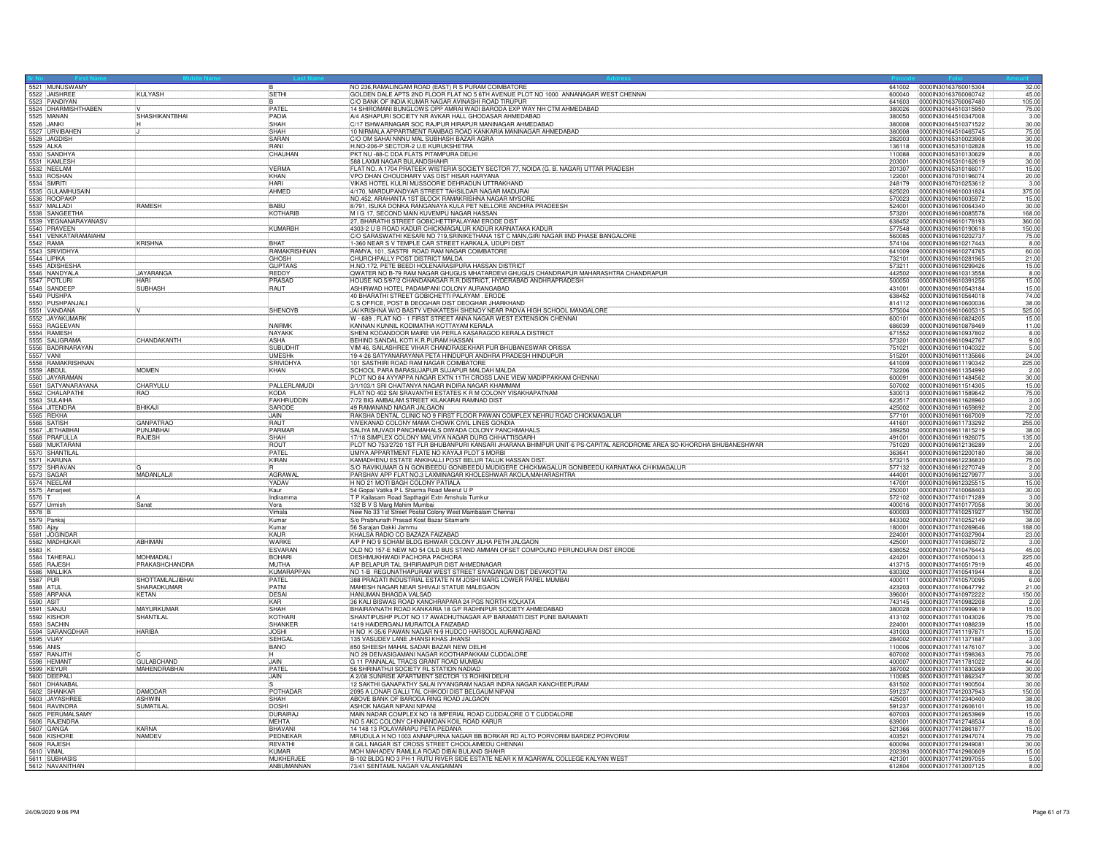|                       | 5521 MUNUSWAMY                       |                    |                 | NO 236, RAMALINGAM ROAD (EAST) R S PURAM COIMBATORE                                                                  |        | 641002 00000N30163760015304   | 32.00  |
|-----------------------|--------------------------------------|--------------------|-----------------|----------------------------------------------------------------------------------------------------------------------|--------|-------------------------------|--------|
|                       | 5522 JAISHREE                        | KULYASH            | <b>SETHI</b>    | 3OLDEN DALE APTS 2ND FLOOR FLAT NO 5 6TH AVENUE PLOT NO 1000 ANNANAGAR WEST CHENNAI                                  | 600040 | 0000IN30163760060742          | 45.00  |
|                       | 5523 PANDIYAN                        |                    |                 | C/O BANK OF INDIA KUMAR NAGAR AVINASHI ROAD TIRUPUR                                                                  | 641603 | 0000IN30163760067480          | 105.00 |
|                       | 5524 DHARMISHTHABEN                  |                    | PATFI           | 14 SHIROMANI BUNGLOWS OPP AMRAI WADI BARODA EXP WAY NH CTM AHMEDABAD                                                 | 380026 | 0000IN30164510315950          | 75.00  |
|                       |                                      | SHASHIKANTBHAI     | PADIA           | A/4 ASHAPURI SOCIETY NR AVKAR HALL GHODASAR AHMEDABAD                                                                | 380050 | 0000IN30164510347008          | 3.00   |
| 5526 JANKI            |                                      |                    | SHAH            | C/17 ISHWARNAGAR SOC RAJPUR HIRAPUR MANINAGAR AHMEDABAD                                                              |        | 380008 00000IN30164510371522  | 30.00  |
|                       | 5527 URVIBAHEN                       |                    | SHAH            | 0 NIRMALA APPARTMENT RAMBAG ROAD KANKARIA MANINAGAR AHMEDABAD                                                        | 380008 | 0000IN30164510465745          | 75.00  |
|                       | 5528 JAGDISH                         |                    | SARAN           | C/O OM SAHAI NNNU MAL SUBHASH BAZAR AGRA                                                                             | 282003 | 0000IN30165310023908          | 30.00  |
|                       |                                      |                    |                 |                                                                                                                      |        |                               |        |
|                       | 5529 ALKA<br>5530 SANDHYA            |                    | <b>RANI</b>     | H.NO-206-P SECTOR-2 U.E KURUKSHETRA                                                                                  | 136118 | 00000N30165310102828          | 15.00  |
|                       |                                      |                    | CHAUHAN         | PKT NU -88-C DDA FLATS PITAMPURA DELHI                                                                               | 110088 | 00000030165310130629          | 8.00   |
|                       | 5531 KAMLESH                         |                    |                 | 588 LAXMI NAGAR BULANDSHAHR                                                                                          |        | 203001 0000IN30165310162619   | 30.00  |
|                       | 5532 NEELAM                          |                    | <b>VERMA</b>    | FLAT NO. A 1704 PRATEEK WISTERIA SOCIETY SECTOR 77, NOIDA (G. B. NAGAR) UTTAR PRADESH                                | 201307 | 0000IN30165310166017          | 15.00  |
|                       | 5533 ROSHAN                          |                    | KHAN            | VPO DHAN CHOUDHARY VAS DIST HISAR HARYANA                                                                            | 122001 | 0000IN30167010196074          | 20.00  |
|                       | 5534 SMRITI                          |                    | <b>HARI</b>     | VIKAS HOTEL KULRI MUSSOORIE DEHRADUN UTTRAKHAND                                                                      |        | 248179  0000IN30167010253612  | 3.00   |
|                       |                                      |                    |                 |                                                                                                                      |        |                               |        |
|                       | 5535 GULAMHUSAIN                     |                    | AHMED           | 4/170, MARDUPANDYAR STREET TAHSILDAR NAGAR MADURAI                                                                   | 625020 | 00000N30169610031824          | 375.00 |
|                       | 5536 ROOPAKP                         |                    |                 | NO.452, ARAHANTA 1ST BLOCK RAMAKRISHNA NAGAR MYSORI                                                                  |        | 570023 0000IN30169610035972   | 15.00  |
|                       | 5537 MALLADI                         | RAMESH             | BABU            | 8/791, ISUKA DONKA RANGANAYA KULA PET NELLORE ANDHRA PRADEESH                                                        | 524001 | 0000IN30169610064340          | 30.00  |
|                       | 5538 SANGEETHA                       |                    | KOTHARIB        | M I G 17, SECOND MAIN KUVEMPU NAGAR HASSAN                                                                           | 573201 | 0000IN30169610085578          | 168.00 |
|                       |                                      |                    |                 | 27, BHARATHI STREET GOBICHETTIPALAYAM ERODE DIST                                                                     |        | 638452 0000IN30169610178193   | 360.00 |
|                       | 5539 YEGNANARAYANASV<br>5540 PRAVEEN |                    | <b>KUMARBH</b>  | 4303-2 U B ROAD KADUR CHICKMAGALUR KADUR KARNATAKA KADUR                                                             | 577548 | 0000lN30169610190618          | 150,00 |
|                       |                                      |                    |                 |                                                                                                                      |        |                               |        |
|                       | 5541 VENKATARAMAIAHM                 |                    |                 | C/O SARASWATHI KESARI NO 719, SRINIKETHANA 1ST C MAIN, GIRI NAGAR IIND PHASE BANGALORE                               |        |                               | 75.00  |
|                       | 5542 RAMA                            | <b>KRISHNA</b>     | <b>BHAT</b>     | -360 NEAR S V TEMPLE CAR STREET KARKALA, UDUPI DIST                                                                  | 574104 | 00000N30169610217443          | 8.00   |
|                       | 5543 SRIVIDHYA                       |                    | RAMAKRISHNAN    | RAMYA, 101, SASTRI ROAD RAM NAGAR COIMBATORE                                                                         | 641009 | 0000IN30169610274765          | 60.00  |
|                       | 5544 LIPIKA<br>5545 ADISHESHA        |                    | GHOSH           | CHURCHPALLY POST DISTRICT MALDA                                                                                      | 732101 | 0000IN30169610281965          | 21.00  |
|                       |                                      |                    | GUPTAAS         | H.NO.172, PETE BEEDI HOLENARASIPURA HASSAN DISTRICT                                                                  | 573211 | 00000030169610299426          | 15.00  |
|                       |                                      | <b>JAYARANGA</b>   | REDDY           | QWATER NO B-79 RAM NAGAR GHUGUS MHATARDEVI GHUGUS CHANDRAPUR MAHARASHTRA CHANDRAPUR                                  | 442502 | 0000IN30169610313558          | 8.00   |
|                       | 5546 NANDYALA                        |                    | PRASAD          | HOUSE NO.5/97/2 CHANDANAGAR R.R.DISTRICT, HYDERABAD ANDHRAPRADESH                                                    |        |                               | 15.00  |
|                       |                                      | <b>HARI</b>        |                 |                                                                                                                      | 500050 | 0000IN30169610391256          |        |
|                       | 5548 SANDEEP                         | SUBHASH            | RAUT            | ASHIRWAD HOTEL PADAMPANI COLONY AURANGABAD                                                                           | 431001 | 0000IN30169610543184          | 15.00  |
|                       | 5549 PUSHPA<br>5550 PUSHPANJALI      |                    |                 | 40 BHARATHI STREET GOBICHETTI PALAYAM. ERODE                                                                         | 638452 | 0000IN30169610564018          | 74.00  |
|                       |                                      |                    |                 | C'S OFFICE, POST B DEOGHAR DIST DEOGHAR JHARKHAND                                                                    | 814112 | 00000N30169610600036          | 38.00  |
|                       | 5551 VANDANA                         |                    | SHENOYB         | JAI KRISHNA W/O BASTY VENKATESH SHENOY NEAR PADVA HIGH SCHOOL MANGALORE                                              |        | 575004 0000000169610605315    | 525.00 |
|                       | 5552 JAYAKUMARK                      |                    |                 | W - 689, FLAT NO - 1 FIRST STREET ANNA NAGAR WEST EXTENSION CHENNAL                                                  |        | 600101  00000 N30169610824205 | 15.00  |
|                       |                                      |                    | NAIRMK          |                                                                                                                      |        |                               |        |
|                       | 5553 RAGEEVAN                        |                    |                 | KANNAN KUNNIL KODIMATHA KOTTAYAM KERALA                                                                              | 686039 | 0000IN30169610878469          | 11.00  |
|                       | 5554 RAMESH                          |                    | NAYAKK          | SHENI KODANDOOR MAIRE VIA PERLA KASARAGOD KERALA DISTRICT                                                            |        | 671552 0000IN30169610937802   | 8.00   |
|                       | 5555 SALIGRAMA                       | CHANDAKANTH        | <b>ASHA</b>     | BEHIND SANDAL KOTI K.R.PURAM HASSAN                                                                                  | 573201 | 00000N30169610942767          | 9.00   |
|                       | 5556 BADRINARAYAN                    |                    | <b>SUBUDHIT</b> | VIM 46, SAILASHREE VIHAR CHANDRASEKHAR PUR BHUBANESWAR ORISSA                                                        | 751021 | 0000IN30169611040322          | 5.00   |
| 5557 VANI             |                                      |                    | <b>UMFSHk</b>   | 19-4-26 SATYANARAYANA PETA HINDUPUR ANDHRA PRADESH HINDUPUR                                                          | 515201 | 0000IN30169611135666          | 24.00  |
|                       | 5558 RAMAKRISHNAN                    |                    | SRIVIDHY/       | 101 SASTHIRI ROAD RAM NAGAR COIMBATORE                                                                               | 641009 | 0000IN30169611190342          | 225.00 |
|                       | 5559 ABDUL                           | <b>MOMEN</b>       | KHAN            | SCHOOL PARA BARASUJAPUR SUJAPUR MALDAH MALDA                                                                         | 732206 | 0000IN30169611354990          | 2.00   |
|                       | 5560 JAYARAMAN                       |                    |                 | PLOT NO 84 AYYAPPA NAGAR EXTN 11TH CROSS LANE VIEW MADIPPAKKAM CHENNAI                                               | 600091 | 00000N30169611484562          | 30.00  |
|                       |                                      |                    |                 |                                                                                                                      |        |                               |        |
|                       | 5561 SATYANARAYANA                   | CHARYULU           | PALLERLAMUDI    | 3/1/103/1 SRI CHAITANYA NAGAR INDIRA NAGAR KHAMMAM                                                                   | 507002 | 0000lN30169611514305          | 15.00  |
|                       | 5562 CHALAPATHI                      | RAO                | <b>KODA</b>     | FLAT NO 402 SAI SRAVANTHI ESTATES K R M COLONY VISAKHAPATNAM                                                         |        |                               | 75.00  |
|                       | 5563 SULAIHA                         |                    | FAKHRUDDIN      | 7/72 BIG AMBALAM STREET KILAKARAI RAMNAD DIST                                                                        | 623517 | 0000IN30169611628960          | 3.00   |
|                       | 5564 JITENDRA<br>5565 REKHA          | <b>BHIKAJI</b>     | SARODE          | 49 RAMANAND NAGAR JALGAON                                                                                            | 425002 | 0000IN30169611659892          | 2.00   |
|                       |                                      |                    | JAIN            | RAKSHA DENTAL CLINIC NO 9 FIRST FLOOR PAWAN COMPLEX NEHRU ROAD CHICKMAGALUR                                          | 577101 | 0000IN30169611667009          | 72.00  |
|                       | 5566 SATISH                          | <b>GANPATRAO</b>   | RAUT            | VIVEKANAD COLONY MAMA CHOWK CIVIL LINES GONDIA                                                                       | 441601 | 0000030169611733292           | 255.00 |
|                       |                                      |                    |                 |                                                                                                                      |        |                               |        |
|                       | 5567 JETHABHAI                       | PUNJABHA           | PARMAR          | SALIYA MUVADI PANCHMAHALS DIWADA COLONY PANCHMAHALS                                                                  | 389250 | 0000IN30169611815219          | 38.00  |
|                       | 5568 PRAFULLA                        | <b>RAJESH</b>      | SHAH            | 17/18 SIMPLEX COLONY MALVIYA NAGAR DURG CHHATTISGARH                                                                 | 491001 | 0000IN30169611926075          | 135.00 |
|                       |                                      |                    | ROUT            | PLOT NO 753/2720 1ST FLR BHUBANPURI KANSARI JHARANA BHIMPUR UNIT-6 PS-CAPITAL AERODROME AREA SO-KHORDHA BHUBANESHWAR | 751020 | 0000IN30169612136289          | 2.00   |
|                       | 5569 MUKTARANI<br>5570 SHANTILAL     |                    | PATFI           | UMIYA APPARTMENT FLATE NO KAYAJI PLOT 5 MORBI                                                                        | 363641 | 0000IN30169612200180          | 38.00  |
|                       | 5571 KARUNA                          |                    | KIRAN           | KAMADHENU ESTATE ANKIHALLI POST BELUR TALUK HASSAN DIST.                                                             | 573215 | 00000N30169612236830          | 75.00  |
|                       | 5572 SHRAVAN                         |                    |                 | S/O RAVIKUMAR G N GONIBEEDU GONIBEEDU MÜDIGERE CHICKMAGALUR GONIBEEDU KARNATAKA CHIKMAGALUR                          | 577132 | 00000030169612270749          | 2.00   |
|                       |                                      |                    |                 |                                                                                                                      |        |                               |        |
|                       | 5573 SAGAR                           | MADANLALJI         | <b>AGRAWA</b>   | PARSHAV APP FLAT NO.3 LAXMINAGAR KHOLESHWAR AKOLA, MAHARASHTRA                                                       | 444001 | 0000IN30169612279977          | 3.00   |
|                       | 5574 NEELAM<br>5575 Amarjeet         |                    | YADAV           | H NO 21 MOTI BAGH COLONY PATIALA                                                                                     | 147001 | 0000IN30169612325515          | 15.00  |
|                       |                                      |                    | Kaur            | 54 Gopal Vatika P L Sharma Road Meerut U I                                                                           | 250001 | 0000IN30177410068403          | 30.00  |
| 5576 T<br>5577 Urmish |                                      |                    | Indiramma       | T P Kailasam Road Sapthagiri Extn Amshula Tumkur                                                                     | 572102 | 0000IN30177410171289          | 3.00   |
|                       |                                      | Sanat              | Vora            | 132 B V S Marg Mahim Mumbai                                                                                          | 400016 | 000000177410177058            | 30.00  |
| 5578 B                |                                      |                    | Vimala          | New No 33 1st Street Postal Colony West Mambalam Chennai                                                             | 600003 | 0000IN30177410251927          | 150.00 |
|                       | 5579 Pankaj                          |                    | Kumar           |                                                                                                                      | 843302 |                               |        |
|                       |                                      |                    |                 | S/o Prabhunath Prasad Koat Bazar Sitamarhi                                                                           |        | 00000N30177410252149          | 38.00  |
| 5580 Ajay             |                                      |                    | Kumar           | 56 Saraian Dakki Jammu                                                                                               |        |                               | 188.00 |
|                       | 5581 JOGINDAR                        |                    | KALIR           | KHALSA RADIO CO BAZAZA FAIZABAD                                                                                      | 224001 | 0000lN30177410327904          | 23.00  |
|                       | 5582 MADHUKAR                        | ABHIMAN            | <b>WARKE</b>    | A/P P NO 9 SOHAM BLDG ISHWAR COLONY JILHA PETH JALGAON                                                               | 425001 | 0000IN30177410365072          | 3.00   |
| 5583 K                |                                      |                    | <b>ESVARAN</b>  | OLD NO 157-E NEW NO 54 OLD BUS STAND AMMAN OFSET COMPOUND PERUNDURAI DIST ERODE                                      | 638052 | 0000lN30177410476443          | 45.00  |
|                       | 5584 TAHERALI                        | <b>MOHMADALI</b>   | <b>BOHARI</b>   | DESHMUKHWADI PACHORA PACHORA                                                                                         | 424201 | 00000N30177410500413          | 225.00 |
|                       | 5585 RAJESH                          | PRAKASHCHANDRA     | <b>IMUTHA</b>   | A/P BELAPUR TAL SHRIRAMPUR DIST AHMEDNAGAR                                                                           |        |                               | 45.00  |
|                       | 5586 MALLIKA                         |                    | KUMARAPPAN      | NO 1-B REGUNATHAPURAM WEST STREET SIVAGANGAI DIST DEVAKOTTAI                                                         | 630302 | 0000IN30177410541944          | 8.00   |
| 5587 PUR              |                                      | SHOTTAMLALJIBHAI   | <b>PATEL</b>    | 388 PRAGATI INDUSTRIAL ESTATE N M JOSHI MARG LOWER PAREL MUMBAI                                                      |        | 400011 00000N30177410570095   | 6.00   |
|                       |                                      |                    | PATNI           |                                                                                                                      |        |                               |        |
| 5588 ATUL             |                                      | SHARADKUMAR        |                 | MAHESH NAGAR NEAR SHIVAJI STATUE MALEGAON                                                                            | 423203 | 0000lN30177410647792          | 21.00  |
|                       | 5589 ARPANA                          | KETAN              | DESAI           | HANUMAN BHAGDA VALSAD                                                                                                | 396001 | 0000IN30177410972222          | 150.00 |
| 5590 ASIT             |                                      |                    | KAR             | 36 KALI BISWAS ROAD KANCHRAPARA 24 PGS NORTH KOLKATA                                                                 |        | 743145 00000N30177410982208   | 2.00   |
|                       |                                      | <b>MAYURKUMAR</b>  | SHAH            | BHAIRAVNATH ROAD KANKARIA 18 G/F RADHNPUR SOCIETY AHMEDABAD                                                          | 380028 | 0000IN30177410999619          | 15.00  |
|                       | 5591 SANJU<br>5592 KISHOF            | SHANTILAL          | KOTHARI         | SHANTIPUSHP PLOT NO 17 AWADHUTNAGAR A/P BARAMATI DIST PUNE BARAMATI                                                  |        | 413102 00000N30177411043026   | 75.00  |
|                       | 5593 SACHIN                          |                    | SHANKER         | 1419 HAIDERGANJ MURAITOLA FAIZABAD                                                                                   |        | 224001 00000N30177411088239   | 15.00  |
|                       | 5594 SARANGDHAR                      | <b>HARIBA</b>      | <b>JOSHI</b>    | H NO K-35/6 PAWAN NAGAR N-9 HUDCO HARSOOL AURANGABAD                                                                 | 431003 | 0000IN30177411197871          | 15.00  |
| 5595 VIJAY            |                                      |                    | <b>SFHGAL</b>   | 135 VASUDEV LANE JHANSI KHAS JHANSI                                                                                  |        | 284002  00000IN30177411371887 | 3.00   |
|                       |                                      |                    |                 |                                                                                                                      |        |                               |        |
| 5596 ANIS             |                                      |                    | <b>BANO</b>     | 850 SHEESH MAHAL SADAR BAZAR NEW DELHI                                                                               |        | 110006 0000IN30177411476107   | 3.00   |
|                       | 5597 RANJITH                         |                    |                 | NO 29 DEIVASIGAMANI NAGAR KOOTHAPAKKAM CUDDALORE                                                                     |        | 607002  0000000177411598363   | 75.00  |
|                       | 5598 HEMANT                          | <b>GULABCHAND</b>  | JAIN            | G 11 PANNALAL TRACS GRANT ROAD MUMBAI                                                                                | 400007 | 0000lN30177411781022          | 44.00  |
|                       | 5599 KEYUR                           | <b>MAHFNDRABHA</b> | PATEL           | 56 SHRINATHJI SOCIETY RL STATION NADIAD                                                                              | 387002 | 0000030177411830269           | 30.00  |
|                       | 5600 DEEPALI                         |                    | <b>JAIN</b>     | A 2/08 SUNRISE APARTMENT SECTOR 13 ROHINI DELHI                                                                      |        |                               | 30.00  |
|                       | 5601 DHANABAI                        |                    |                 | 12 SAKTHI GANAPATHY SALAI IYYANGRAM NAGAR INDRA NAGAR KANCHEEPURAM                                                   | 631502 | 0000lN30177411900504          | 30.00  |
|                       | 5602 SHANKAR                         | <b>DAMODAR</b>     | POTHADAR        | 2095 A LONAR GALLI TAL CHIKODI DIST BELGAUM NIPANI                                                                   | 591237 | 00000N30177412037943          | 150.00 |
|                       |                                      |                    |                 |                                                                                                                      |        |                               |        |
|                       | 5603 JAYASHREE                       | ASHWIN             | SHAH            | ABOVE BANK OF BARODA RING ROAD JALGAON                                                                               | 425001 | 0000lN30177412340400          | 38.00  |
|                       | 5604 RAVINDRA                        | SUMATILAL          | DOSHI           | ASHOK NAGAR NIPANI NIPANI                                                                                            | 591237 | 0000030177412606101           | 15.00  |
|                       | 5605 PERUMALSAMY                     |                    | <b>DURAIRAJ</b> | MAIN NADAR COMPLEX NO 18 IMPERIAL ROAD CUDDALORE O T CUDDALORE                                                       | 607003 | 0000IN30177412653969          | 15.00  |
|                       | 5606 RAJENDRA                        |                    | <b>MEHTA</b>    | NO 5 AKC COLONY CHINNANDAN KOIL ROAD KARUR                                                                           | 639001 | 0000lN30177412748534          | 8.00   |
|                       | 5607 GANGA                           | KARNA              | BHAVANI         | 14 148 13 POLAVARAPU PETA PEDANA                                                                                     | 521366 | 00000N30177412861877          | 15.00  |
|                       | 5608 KISHORE                         | <b>NAMDEV</b>      | PEDNEKAE        | MRUDULA H NO 1003 ANNAPURNA NAGAR BB BORKAR RD ALTO PORVORIM BARDEZ PORVORIM                                         | 403521 | 0000IN30177412947074          | 75.00  |
|                       |                                      |                    | <b>REVATHI</b>  | 8 GILL NAGAR IST CROSS STREET CHOOLAIMEDU CHENNAI                                                                    |        | 600094 00000030177412949081   | 30.00  |
|                       |                                      |                    |                 |                                                                                                                      |        |                               |        |
|                       | 5609 RAJESH                          |                    |                 |                                                                                                                      |        |                               |        |
| 5610 VIMAL            |                                      |                    | <b>KIMAR</b>    | MOH MAHADEV RAMLILA ROAD DIBAI BULAND SHAHR                                                                          |        |                               | 15.00  |
|                       | 5611 SUBHASI                         |                    | <b>MUKHERJE</b> | B-102 BLDG NO 3 PH-1 RUTU RIVER SIDE ESTATE NEAR K M AGARWAL COLLEGE KALYAN WEST                                     | 421301 | 0000lN30177412997055          | 5.00   |
|                       | 5612 NAVANITHAN                      |                    | ANBUMANNAN      | 73/41 SENTAMIL NAGAR VALANGAIMAN                                                                                     |        | 612804 00000N30177413007125   | 8.00   |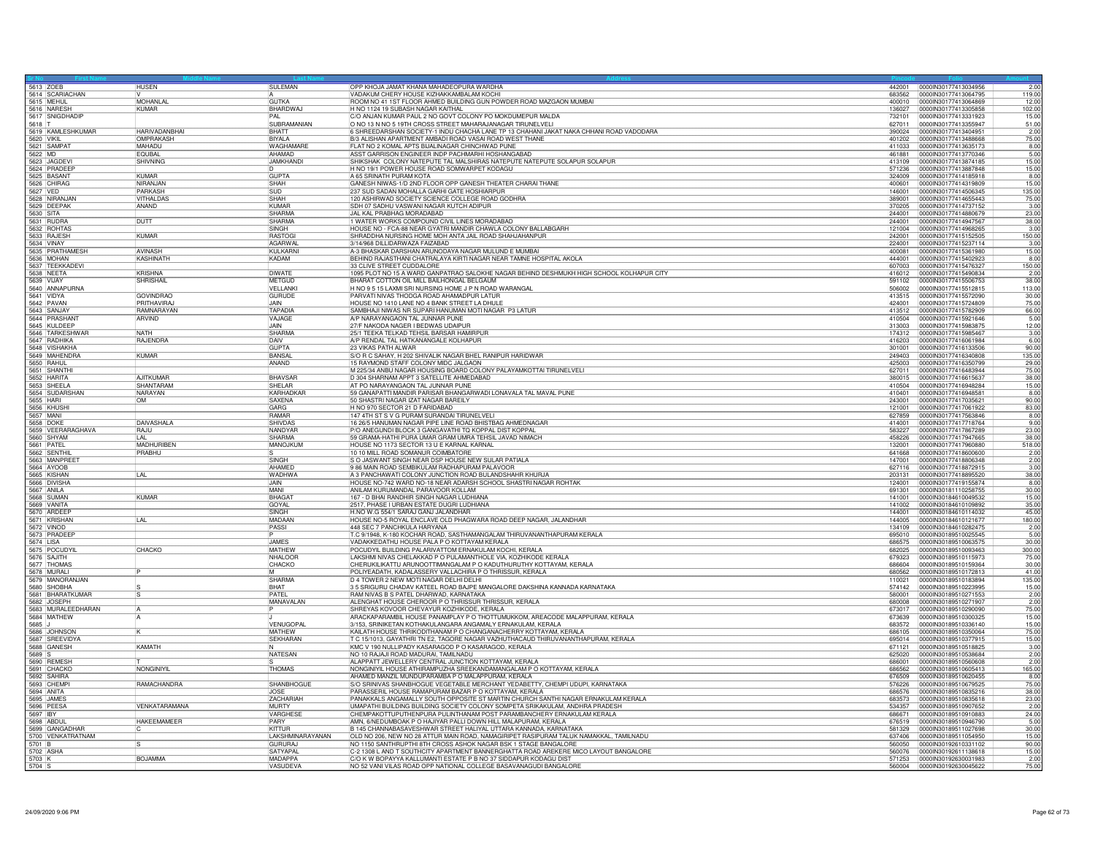| 5613 ZOEB                       | <b>HUSEN</b>         | SULEMAN          | OPP KHOJA JAMAT KHANA MAHADEOPURA WARDHA                                                                   |                  | 2.00<br>442001 0000IN30177413034956                            |
|---------------------------------|----------------------|------------------|------------------------------------------------------------------------------------------------------------|------------------|----------------------------------------------------------------|
| 5614 SCARIACHAN                 |                      |                  | VADAKUM CHERY HOUSE KIZHAKKAMBALAM KOCHI                                                                   | 683562           | 0000lN30177413064795<br>119.00                                 |
| 5615 MEHUL                      | <b>MOHANLA</b>       | <b>GUTKA</b>     | ROOM NO 41 1ST FLOOR AHMED BUILDING GUN POWDER ROAD MAZGAON MUMBAI                                         | 400010           | 0000IN30177413064869<br>12.00                                  |
| 5616 NARESH                     | <b>KUMAR</b>         | BHARDWAJ         | H NO 1124 19 SUBASH NAGAR KAITHAL                                                                          | 136027           | 0000lN30177413305858<br>102.00                                 |
| 5617 SNIGDHADIP                 |                      | <b>PAI</b>       | C/O ANJAN KUMAR PAUL 2 NO GOVT COLONY PO MOKDUMEPUR MALDA                                                  | 732101           | 100001N30177413331923<br>15.00                                 |
| 5618 T                          |                      | SUBRAMANIAN      | O NO 13 N NO 5 19TH CROSS STREET MAHARAJANAGAR TIRUNELVELI                                                 | 627011           | 0000IN30177413355947<br>51.00                                  |
| 5619 KAMLESHKUMAR               | <b>HARIVADANBHAI</b> | <b>BHATT</b>     | S SHREEDARSHAN SOCIETY-1 INDU CHACHA LANE TP 13 CHAHANI JAKAT NAKA CHHANI ROAD VADODARA                    | 390024           | 0000IN30177413404951<br>2.00                                   |
| 5620 VIKIL                      | <b>OMPRAKASH</b>     | <b>BIYALA</b>    | B/3 ALISHAN APARTMENT AMBADI ROAD VASAI ROAD WEST THANE                                                    | 401202           | 0000lN30177413488668<br>75.00                                  |
| 5621 SAMPAT                     | MAHADU               | <b>WAGHAMARE</b> | FLAT NO 2 KOMAL APTS BIJALINAGAR CHINCHWAD PUNE                                                            | 411033           | 0000lN30177413635173<br>8.00                                   |
| 5622 MD                         | <b>FOURAL</b>        | AHAMAD           | ASST GARRISON ENGINEER INDP PACHMARHI HOSHANGABAD                                                          | 461881           | 00000N30177413770346<br>5.00                                   |
| 5623 JAGDEVI                    | SHIVNING             | <b>JAMKHANDI</b> | SHIKSHAK COLONY NATEPUTE TAL MALSHIRAS NATEPUTE NATEPUTE SOLAPUR SOLAPUR                                   | 413109           | 00000130177413874185<br>15.00                                  |
| 5624 PRADEEP                    |                      |                  | H NO 19/1 POWER HOUSE ROAD SOMWARPET KODAGU                                                                | 571236           | 15.00<br>0000lN30177413887848                                  |
| 5625 BASANT                     | <b>KUMAR</b>         | <b>GUPTA</b>     | A 65 SRINATH PURAM KOTA                                                                                    | 324009           | 00000N30177414185918<br>8.00                                   |
| 5626 CHIRAG                     | NIRAN.IAN            | SHAH             | GANESH NIWAS-1/D 2ND FLOOR OPP GANESH THEATER CHARAI THANE                                                 | 400601           | 00000N30177414319809<br>15.00                                  |
| 5627 VED                        | PARKASH              | <b>SUD</b>       | 237 SUD SADAN MOHALLA GARHI GATE HOSHIARPUR                                                                | 146001           | 0000lN30177414506345<br>135.00                                 |
| 5628 NIRANJAN                   | <b>VITHALDAS</b>     | SHAH             | 120 ASHIRWAD SOCIETY SCIENCE COLLEGE ROAD GODHRA                                                           | 389001           | 0000IN30177414655443<br>75.00                                  |
| 5629 DEEPAK                     | ANAND                | KUMAR            | SDH 07 SADHU VASWANI NAGAR KUTCH ADIPUR                                                                    | 370205           | 0000IN30177414737152<br>3.00                                   |
| 5630 SITA                       |                      | SHARMA           | JAL KAL PRABHAG MORADABAD                                                                                  | 244001           | 0000030177414880679<br>23.00                                   |
| 5631 RUDRA                      | <b>DUTT</b>          | SHARMA           | 1 WATER WORKS COMPOUND CIVIL LINES MORADABAD                                                               | 244001           | 0000IN30177414947567                                           |
|                                 |                      | SINGH            | HOUSE NO - FCA-88 NEAR GYATRI MANDIR CHAWLA COLONY BALLABGARH                                              | 121004           | 38.00<br>3.00<br>0000lN30177414968265                          |
| 5632 ROHTAS                     |                      |                  |                                                                                                            |                  |                                                                |
| 5633 RAJESH                     | <b>KUMAR</b>         | <b>RASTOG</b>    | SHRADDHA NURSING HOME MOH ANTA JAIL ROAD SHAHJAHANPUR                                                      | 242001           | 0000IN30177415152505<br>150.00                                 |
| 5634 VINAY                      |                      | <b>AGARWAI</b>   | 3/14/968 DILLIDARWAZA FAIZABAD                                                                             | 224001           | 0000lN30177415237114<br>3.00                                   |
| 5635 PRATHAMESH                 | AVINASH              | KUI KARN         | A-3 BHASKAR DARSHAN ARUNODAYA NAGAR MULUND E MUMBAI                                                        | 400081           | 15.00<br>0000IN30177415361980                                  |
| 5636 MOHAN<br>5637 TEEKKADEVI   | KASHINATH            | KADAM            | BEHIND RAJASTHANI CHATRALAYA KIRTI NAGAR NEAR TAMNE HOSPITAL AKOLA                                         | 444001           | 0000lN30177415402923<br>8.00                                   |
|                                 |                      |                  | 33 CLIVE STREET CUDDALORE                                                                                  | 607003           | 00000N30177415476327<br>150.00                                 |
| 5638 NEETA                      | KRISHNA              | <b>DIWATE</b>    | 1095 PLOT NO 15 A WARD GANPATRAO SALOKHE NAGAR BEHIND DESHMUKH HIGH SCHOOL KOLHAPUR CITY                   | 416012           | 0000lN30177415490834<br>2.00                                   |
| 5639 VIJAY                      | <b>SHRISHAIL</b>     | METGUD           | BHARAT COTTON OIL MILL BAILHONGAL BELGAUM                                                                  | 591102           | 0000IN30177415506753<br>38.00                                  |
| 5640 ANNAPURNA                  |                      | VELLANK          | H NO 9 5 15 LAXMI SRI NURSING HOME J P N ROAD WARANGAL                                                     | 506002           | 0000IN30177415512815<br>113.00                                 |
| 5641 VIDYA                      | <b>GOVINDBAC</b>     | GURUDE           | PARVATI NIVAS THODGA ROAD AHAMADPUR LATUR                                                                  | 413515           | 0000lN30177415572090<br>30.00                                  |
| 5642 PAVAN                      | <b>PRITHAVIRA</b>    | JAIN             | HOUSE NO 1410 LANE NO 4 BANK STREET LA DHULE                                                               | 424001           | 00000030177415724809<br>75.00                                  |
| 5643 SANJAY                     | RAMNARAYAN           | TAPADIA          | SAMBHAJI NIWAS NR SUPARI HANUMAN MOTI NAGAR P3 LATUR                                                       | 413512           | 00000N30177415782909<br>66.00                                  |
| 5644 PRASHANT                   | ARVIND               | VAJAGE           | A/P NARAYANGAON TAL JUNNAR PUNE                                                                            | 410504           | 0000lN30177415921646<br>5.00                                   |
| 5645 KULDEEP                    |                      | <b>JAIN</b>      | 27/F NAKODA NAGER I BEDWAS UDAIPUR                                                                         | 313003           | 12.00<br>0000IN30177415983875                                  |
|                                 | <b>NATH</b>          | SHARMA           | 25/1 TEEKA TELKAD TEHSIL BARSAR HAMIRPUR                                                                   | 174312           | 0000IN30177415985467<br>3.00                                   |
| 5646 TARKESHWAR<br>5647 RADHIKA | RAJENDRA             | DAIV             | AP RENDAL TAL HATKANANGALE KOLHAPUR                                                                        | 416203           | 00000N30177416061984<br>6.00                                   |
| 5648 VISHAKHA                   |                      | <b>GUPTA</b>     | 23 VIKAS PATH ALWAR                                                                                        | 301001           | 00000N30177416133506<br>90.00                                  |
| 5649 MAHENDBA                   | <b>KUMAR</b>         | <b>BANSAL</b>    | S/O R C SAHAY, H 202 SHIVALIK NAGAR BHEL RANIPUR HARIDWAR                                                  | 249403           | 00000N30177416340808<br>135.00                                 |
|                                 |                      |                  |                                                                                                            | 425003           |                                                                |
| 5650 RAHUL                      |                      | ANAND            | 15 RAYMOND STAFF COLONY MIDC JALGAON<br>M 225/34 ANBU NAGAR HOUSING BOARD COLONY PALAYAMKOTTAI TIRUNELVELI |                  | 0000lN30177416350799<br>29.00                                  |
| 5651 SHANTHI                    | <b>AJITKUMAR</b>     | <b>BHAVSAR</b>   |                                                                                                            | 627011<br>380015 | 0000lN30177416483944<br>75.00<br>00000N30177416615637<br>38.00 |
| 5652 HARITA                     |                      |                  | D 304 SHARNAM APPT 3 SATELLITE AHMEDABAD                                                                   |                  |                                                                |
| 5653 SHEELA                     | <b>SHANTARAM</b>     | SHFI AR          | AT PO NARAYANGAON TAL JUNNAR PUNE                                                                          | 410504           | 0000lN30177416948284<br>15.00                                  |
| 5654 SUDARSHAN                  | NARAYAN              | KARHADKAF        | 59 GANAPATTI MANDIR PARISAR BHANGARWADI LONAVALA TAL MAVAL PUNE                                            | 410401           | 00000N30177416948581<br>8.00                                   |
| 5655 HARI                       | <b>OM</b>            | SAXENA           | 50 SHASTRI NAGAR IZAT NAGAR BAREILY                                                                        | 243001           | 0000lN30177417035621<br>90.00                                  |
| 5656 KHUSH                      |                      | GARG             | H NO 970 SECTOR 21 D FARIDABAD                                                                             | 121001           | 0000lN30177417061922<br>83.00                                  |
| 5657 MANI                       |                      | RAMAR            | 147 4TH ST S V G PURAM SURANDAI TIRUNELVELI                                                                | 627859           | 0000IN30177417563846<br>8.00                                   |
| 5658 DOKE                       | <b>DAIVASHALA</b>    | <b>SHIVDAS</b>   | 16 26/5 HANUMAN NAGAR PIPE LINE ROAD BHISTBAG AHMEDNAGAR                                                   | 414001           | 00000130177417718764<br>9.00                                   |
| 5659 VEERARAGHAVA               | RAJU                 | NANDYAF          | P/O ANEGUNDI BLOCK 3 GANGAVATHI TO KOPPAL DIST KOPPAL                                                      | 583227           | 23.00<br>0000lN30177417867289                                  |
| 5660 SHYAM                      | LAL                  | SHARMA           | 59 GRAMA-HATHI PURA UMAR GRAM UMRA TEHSIL JAVAD NIMACH                                                     | 458226           | 0000lN30177417947665<br>38.00                                  |
| 5661 PATEL                      | <b>MADHURIBEN</b>    | MANOJKUM         | HOUSE NO 1173 SECTOR 13 U E KARNAL KARNAL                                                                  | 132001           | 518.00<br>0000IN30177417960880                                 |
| 5662 SENTHI                     | PRABHU               |                  | 10 10 MILL ROAD SOMANUR COIMBATORE                                                                         | 641668           | 0000IN30177418600600<br>2.00                                   |
| 5663 MANPREE                    |                      | SINGH            | IS O JASWANT SINGH NEAR DSP HOUSE NEW SULAR PATIALA                                                        | 147001           | 0000IN30177418806348<br>2.00                                   |
| 5664 AYOOB                      |                      | AHAMED           | 9 86 MAIN ROAD SEMBIKULAM RADHAPURAM PALAVOOR                                                              | 627116           | 00000N30177418872915<br>3.00                                   |
| 5665 KISHAN                     | LAL                  | <b>WADHWA</b>    | A 3 PANCHAWATI COLONY JUNCTION ROAD BULANDSHAHR KHURJA                                                     | 203131           | 0000lN30177418895520<br>38.00                                  |
| 5666 DIVISHA                    |                      | <b>JAIN</b>      | HOUSE NO-742 WARD NO-18 NEAR ADARSH SCHOOL SHASTRI NAGAR ROHTAK                                            | 124001           | 0000lN30177419155874<br>8.00                                   |
| 5667 ANILA                      |                      | MANI             | ANILAM KURUMANDAL PARAVOOR KOLLAM                                                                          | 691301           | 0000IN30181110258755<br>30.00                                  |
|                                 |                      |                  |                                                                                                            |                  | 15.00                                                          |
| 5668 SUMAN                      | <b>KUMAR</b>         | <b>BHAGAT</b>    | 167 - D BHAI RANDHIR SINGH NAGAR LUDHIANA                                                                  | 141001           | 0000IN30184610049532                                           |
| 5669 VANITA                     |                      | <b>GOYAL</b>     | 2517, PHASE I URBAN ESTATE DUGRI LUDHIANA                                                                  | 141002           | 00000030184610109892<br>35.00                                  |
| 5670 ARDEER                     |                      | SINGH            | H.NO W.G 554/1 SARAJ GANJ JALANDHAR                                                                        | 144001           | 0000lN30184610114032<br>45.00                                  |
| 5671 KRISHAN                    | LAL                  | MADAAN           | HOUSE NO-5 ROYAL ENCLAVE OLD PHAGWARA ROAD DEEP NAGAR, JALANDHAR                                           | 144005           | 0000IN30184610121677<br>180.00                                 |
| 5672 VINOD                      |                      | PASSI            | 448 SEC 7 PANCHKULA HARYANA                                                                                | 134109           | 00000N30184610282475<br>2.00                                   |
| 5673 PRADEEP                    |                      |                  | T.C 9/1948, K-180 KOCHAR ROAD, SASTHAMANGALAM THIRUVANANTHAPURAM KERALA                                    | 695010           | 0000IN30189510025545<br>5.00                                   |
| 5674 LISA                       |                      | <b>JAMES</b>     | VADAKKEDATHU HOUSE PALA P O KOTTAYAM KERALA                                                                | 686575           | 00000N30189510063575<br>30.00                                  |
| 5675 POCUDYIL                   | CHACKO               | <b>MATHEW</b>    | POCUDYIL BUILDING PALARIVATTOM ERNAKULAM KOCHI, KERALA                                                     | 682025           | 0000lN30189510093463<br>300.00                                 |
| 5676 SAJITH                     |                      | NHALOOR          | LAKSHMI NIVAS CHELAKKAD P O PULAMANTHOLE VIA, KOZHIKODE KERALA                                             | 679323           | 0000IN30189510115973<br>75.00                                  |
| 5677 THOMAS                     |                      | CHACKO           | CHERUKILIKATTU ARUNOOTTIMANGALAM P O KADUTHURUTHY KOTTAYAM, KERALA                                         | 686604           | 00000N30189510159364<br>30.00                                  |
| 5678 MURALI                     |                      | IM.              | POLIYEADATH, KADALASSERY VALLACHIRA P O THRISSUR, KERALA                                                   | 680562           | 0000IN30189510172813<br>41.00                                  |
| 5679 MANORANJAN                 |                      | SHARMA           | D 4 TOWER 2 NEW MOTI NAGAR DELHI DELHI                                                                     | 110021           | 00000030189510183894<br>135.00                                 |
| 5680 SHOBHA                     |                      | <b>BHAT</b>      | 3 5 SRIGURU CHADAV KATEEL ROAD BAJPE MANGALORE DAKSHINA KANNADA KARNATAKA                                  | 574142           | 0000IN30189510223995<br>15.00                                  |
| 5681 BHARATKUMAR                |                      | PATFI            | RAM NIVAS B S PATEL DHARWAD, KARNATAKA                                                                     | 580001           | 00000N30189510271553<br>2.00                                   |
| 5682 JOSEPH                     |                      | MANAVALAN        | ALENGHAT HOUSE CHEROOR P O THRISSUR THRISSUR, KERALA                                                       | 680008           | 0000IN30189510271907<br>2.00                                   |
| 5683 MURALEEDHARAN              |                      |                  | SHREYAS KOVOOR CHEVAYUR KOZHIKODE, KERALA                                                                  | 673017           | 0000IN30189510290090<br>75.00                                  |
| 5684 MATHEW                     | A                    |                  | ARACKAPARAMBIL HOUSE PANAMPLAY P O THOTTUMUKKOM, AREACODE MALAPPURAM, KERALA                               | 673639           | 15.00<br>0000IN30189510300325                                  |
| 5685                            |                      | VENUGOPAL        | 3/153, SRINIKETAN KOTHAKULANGARA ANGAMALY ERNAKULAM, KERALA                                                | 683572           | 0000IN30189510336140<br>15.00                                  |
| 5686 JOHNSON                    |                      | <b>MATHFW</b>    | KAILATH HOUSE THRIKODITHANAM P O CHANGANACHERRY KOTTAYAM, KERALA                                           | 686105           | 0000IN30189510350064<br>75.00                                  |
| 5687 SREEVIDYA                  |                      | SEKHARAN         | T C 15/1013, GAYATHRI TN E2, TAGORE NAGAR VAZHUTHACAUD THIRUVANANTHAPURAM, KERALA                          | 695014           | 15.00<br>0000IN30189510377915                                  |
|                                 |                      |                  |                                                                                                            |                  |                                                                |
| 5688 GANESH                     | <b>KAMATH</b>        |                  | KMC V 190 NULLIPADY KASARAGOD P O KASARAGOD, KERALA                                                        | 671121           | 0000IN30189510518825<br>3.00                                   |
| $5689$ S                        |                      | NATESAN          | NO 10 RAJAJI ROAD MADURAI, TAMILNADU                                                                       | 625020           | 2.00<br>00000N30189510538684                                   |
| 5690 REMESH                     |                      |                  | ALAPPATT JEWELLERY CENTRAL JUNCTION KOTTAYAM, KERALA                                                       | 686001           | 00000830189510560608<br>2.00                                   |
| 5691 CHACKO                     | NONGINIYIL           | THOMAS           | NONGINIYIL HOUSE ATHIRAMPUZHA SREEKANDAMANGALAM P O KOTTAYAM, KERALA                                       | 686562           | 0000IN30189510605413<br>165.00                                 |
| 5692 SAHIRA                     |                      |                  | AHAMED MANZIL MUNDUPARAMBA P O MALAPPURAM, KERALA                                                          | 676509           | 00000N30189510620455<br>8.00                                   |
| 5693 CHEMPI                     | RAMACHANDRA          | SHANBHOGUE       | S/O SRINIVAS SHANBHOGUE VEGETABLE MERCHANT YEDABETTY, CHEMPI UDUPI, KARNATAKA                              | 576226           | 0000IN30189510679525<br>75.00                                  |
| 5694 ANITA                      |                      | <b>JOSE</b>      | PARASSERIL HOUSE RAMAPURAM BAZAR P O KOTTAYAM, KERALA                                                      | 686576           | 0000IN30189510835216<br>38.00                                  |
| 5695 JAMES                      |                      | <b>ZACHARIAH</b> | PANAKKALS ANGAMALLY SOUTH OPPOSITE ST MARTIN CHURCH SANTHI NAGAR ERNAKULAM KERALA                          | 683573           | 0000IN30189510835618<br>23.00                                  |
| 5696 PEESA                      | VENKATARAMANA        | <b>MLIRTY</b>    | UMAPATHI BUILDING BUILDING SOCIETY COLONY SOMPETA SRIKAKULAM, ANDHRA PRADESH                               | 534357           | 0000IN30189510907652<br>2.00                                   |
| 5697 IBY                        |                      | VARGHES          | CHEMPAKOTTUPUTHENPURA PULINTHANAM POST PARAMBANCHERY ERNAKULAM KERALA                                      | 686671           | 0000IN30189510910883<br>24.00                                  |
| 5698 ABDU                       | <b>HAKEEMAMEER</b>   | PARY             | AMN, 6/NEDUMBOAK P O HAJIYAR PALLI DOWN HILL MALAPURAM, KERALA                                             | 676519           | 0000IN30189510946790<br>5.00                                   |
| 5699 GANGADHAR                  | $\overline{C}$       | KITTUR           | B 145 CHANNABASAVESHWAR STREET HALIYAL UTTARA KANNADA, KARNATAKA                                           | 581329           | 30.00<br>00000N30189511027698                                  |
| 5700 VENKATRATNAM               |                      | LAKSHMINARAYANAN | OLD NO 206, NEW NO 28 ATTUR MAIN ROAD, NAMAGIRIPET RASIPURAM TALUK NAMAKKAL, TAMILNADU                     | 637406           | 15.00<br>0000IN30189511054950                                  |
| 5701 B                          |                      | <b>GURURAJ</b>   | NO 1150 SANTHRUPTHI 8TH CROSS ASHOK NAGAR BSK 1 STAGE BANGALORE                                            | 560050           | 0000IN30192610331102<br>90.00                                  |
| 5702 ASHA                       |                      | SATYAPAL         | C-2 1308 L AND T SOUTHCITY APARTMENT BANNERGHATTA ROAD AREKERE MICO LAYOUT BANGALORE                       | 560076           | 00000030192611138618<br>15.00                                  |
| 5703 K                          | <b>BOJAMMA</b>       | <b>MADAPPA</b>   | C/O K W BOPAYYA KALLUMANTI ESTATE P B NO 37 SIDDAPUR KODAGU DIST                                           | 571253           | 0000IN30192630031983<br>2.00                                   |
| $5704$ S                        |                      | VASUDEVA         | NO 52 VANI VILAS ROAD OPP NATIONAL COLLEGE BASAVANAGUDI BANGALORE                                          |                  | 75.00                                                          |
|                                 |                      |                  |                                                                                                            |                  |                                                                |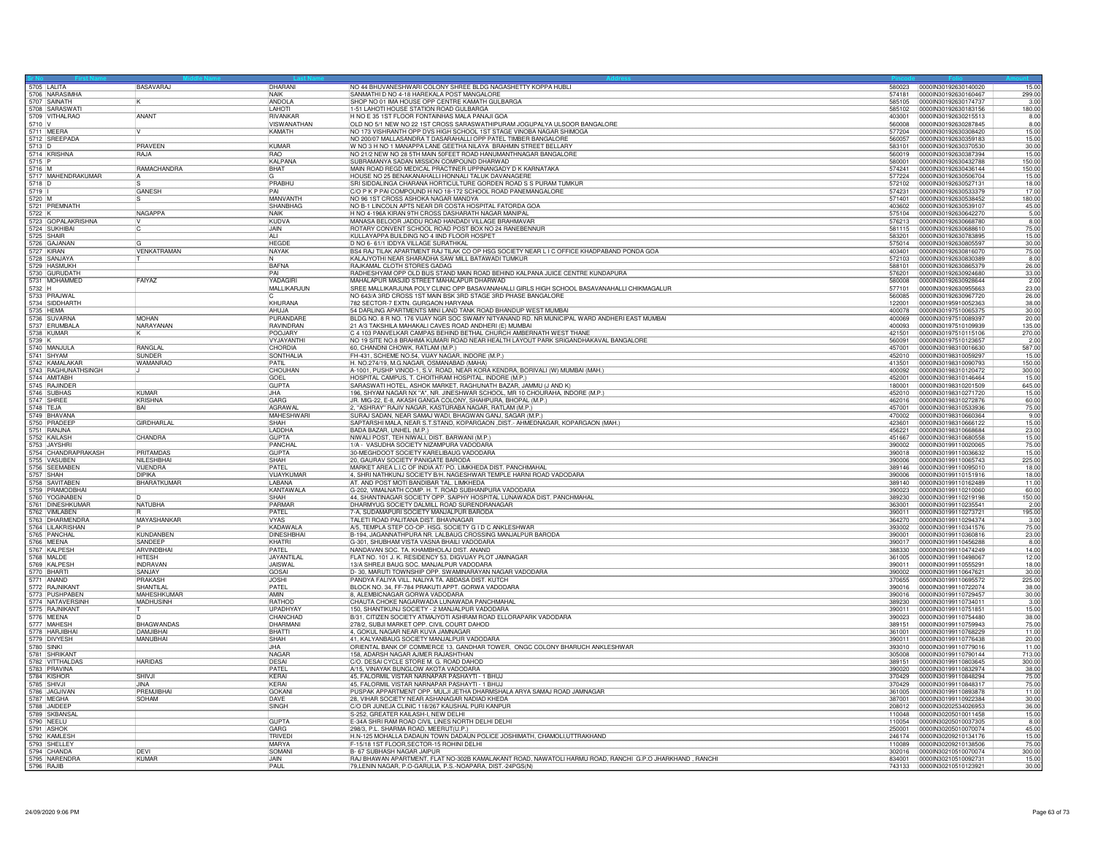| 5705 LALITA                         | BASAVARAJ          | DHARANI                           | NO 44 BHUVANESHWARI COLONY SHREE BLDG NAGASHETTY KOPPA HUBLI                                                       | 580023           | 15.00<br>0000IN30192630140020                                   |
|-------------------------------------|--------------------|-----------------------------------|--------------------------------------------------------------------------------------------------------------------|------------------|-----------------------------------------------------------------|
|                                     |                    | <b>NAIK</b><br>ANDOL A            | SANMATHI D NO 4-18 HAREKALA POST MANGALORE                                                                         | 574181           | 299.00<br>0000IN30192630160467                                  |
| 5707 SAINATH                        |                    | LAHOTI                            | SHOP NO 01 IMA HOUSE OPP CENTRE KAMATH GULBARGA                                                                    | 585105           | 0000IN30192630174737<br>3.00                                    |
| 5708 SARASWATI                      | ANANT              | RIVANKAR                          | 1-51 LAHOTI HOUSE STATION ROAD GULBARGA<br>H NO E 35 1ST FLOOR FONTAINHAS MALA PANAJI GOA                          | 585102<br>403001 | 0000IN30192630183156<br>180.00<br>0000IN30192630215513<br>8.00  |
|                                     |                    | <b>VISWANATHAN</b>                | OLD NO 5/1 NEW NO 22 1ST CROSS SARASWATHIPURAM JOGUPALYA ULSOOR BANGALORE                                          | 560008           | 0000IN30192630287845<br>8.00                                    |
| 5710 V<br>5711 MEERA                |                    | KAMATH                            | NO 173 VISHRANTH OPP DVS HIGH SCHOOL 1ST STAGE VINOBA NAGAR SHIMOGA                                                | 577204           | 15.00<br>0000IN30192630308420                                   |
| 5712 SREEPADA                       |                    |                                   | NO 200/07 MALLASANDRA T DASARAHALLI OPP PATEL TIMBER BANGALORE                                                     | 560057           | 0000IN30192630359183<br>15.00                                   |
|                                     | PRAVEEN            | KUMAR                             | W NO 3 H NO 1 MANAPPA LANE GEETHA NILAYA BRAHMIN STREET BELLARY                                                    | 583101           | 0000IN30192630370530<br>30.00                                   |
| 5713 D<br>5714 KRISHNA              | RAJA               | <b>RAO</b>                        | NO 21/2 NEW NO 28 5TH MAIN 50FEET ROAD HANUMANTHNAGAR BANGALORE                                                    | 560019           | 0000IN30192630387394<br>15.00                                   |
| 5715 P                              |                    | KALPANA                           | SUBRAMANYA SADAN MISSION COMPOUND DHARWAD                                                                          | 580001           | 00000N30192630432788<br>150.00                                  |
| 5716 M                              | RAMACHANDRA        | <b>BHAT</b>                       | MAIN ROAD REGD MEDICAL PRACTINER UPPINANGADY D K KARNATAKA                                                         | 574241           | 150.00<br>10000IN30192630436144                                 |
| 5717 MAHENDRAKUMAR                  |                    |                                   | HOUSE NO 25 BENAKANAHALLI HONNALI TALUK DAVANAGERE                                                                 | 577224           | 0000IN30192630506704<br>15.00                                   |
| $\frac{5718}{5719}$ D               |                    | PRABHU                            | SRI SIDDALINGA CHARANA HORTICULTURE GORDEN ROAD S S PURAM TUMKUR                                                   | 572102           | 18.00<br>0000IN30192630527131                                   |
|                                     | <b>GANESH</b>      | PAI<br>MANVANTH                   | C/O P K P PAI COMPOUND H NO 18-172 SCHOOL ROAD PANEMANGALORE<br>NO 96 1ST CROSS ASHOKA NAGAR MANDYA                | 574231<br>571401 | 17.00<br>0000IN30192630533379<br>0000IN30192630538452<br>180.00 |
| 5720 M<br>5721 PREMNATH             |                    | SHANBHAG                          | NO B-1 LINCOLN APTS NEAR DR COSTA HOSPITAL FATORDA GOA                                                             | 403602           | 45.00<br>0000IN30192630539107                                   |
| 5722 K                              | NAGAPPA            | NAIK                              | H NO 4-196A KIRAN 9TH CROSS DASHARATH NAGAR MANIPAL                                                                | 575104           | 0000IN30192630642270<br>5.00                                    |
|                                     |                    | KUDVA                             | MANASA BELOOR JADDU ROAD HANDADI VILLAGE BRAHMAVAF                                                                 | 576213           | 8.00<br>0000IN30192630668780                                    |
| 5723 GOPALAKRISHNA                  |                    | <b>JAIN</b>                       | ROTARY CONVENT SCHOOL ROAD POST BOX NO 24 RANEBENNUR                                                               | 581115           | 0000IN30192630688610<br>75.00                                   |
| 5725 SHAIR                          |                    | ALI                               | KULLAYAPPA BUILDING NO 4 IIND FLOOR HOSPET                                                                         | 583201           | 0000IN30192630783895<br>15.00                                   |
| 5726 GAJANAN                        |                    | <b>HFGDF</b>                      | D NO 6- 61/1 IDDYA VILLAGE SURATHKAL                                                                               | 575014           | 0000IN30192630805597<br>30.00                                   |
| 5727 KIRAN                          | VENKATRAMAN        | NAYAK                             | BS4 RAJ TILAK APARTMENT RAJ TILAK CO OP HSG SOCIETY NEAR L I C OFFICE KHADPABAND PONDA GOA                         | 403401           | 0000IN30192630816070<br>75.00                                   |
| 5728 SANJAYA                        |                    |                                   | KALAJYOTHI NEAR SHARADHA SAW MILL BATAWADI TUMKUR                                                                  | 572103           | 0000IN30192630830389<br>8.00                                    |
| 5729 HASMUKH                        |                    | BAFNA                             | RAJKAMAL CLOTH STORES GADAG                                                                                        | 588101           | 0000IN30192630865379<br>26.00                                   |
| 5730 GURUDATH                       |                    | PAI                               | RADHESHYAM OPP OLD BUS STAND MAIN ROAD BEHIND KALPANA JUICE CENTRE KUNDAPURA                                       | 576201           | 0000IN30192630924680<br>33.00                                   |
| 5731 MOHAMMED                       | FAIYAZ             | YADAGIRI                          | MAHALAPUR MASJID STREET MAHALAPUR DHARWAD                                                                          | 580008           | 0000IN30192630928644<br>2.00                                    |
| 5732 H                              |                    | MALLIKARJUN                       | SREE MALLIKARJUNA POLY CLINIC OPP BASAVANAHALLI GIRLS HIGH SCHOOL BASAVANAHALLI CHIKMAGALUR                        | 577101           | 0000IN30192630955663<br>23.00                                   |
| 5733 PRAJWAL<br>5734 SIDDHARTH      |                    |                                   | NO 643/A 3RD CROSS 1ST MAIN BSK 3RD STAGE 3RD PHASE BANGALORE                                                      | 560085           | 0000IN30192630967720<br>26.00                                   |
| 5735 HEMA                           |                    | KHURANA<br>AHUJA                  | 782 SECTOR-7 EXTN. GURGAON HARYANA<br>54 DARLING APARTMENTS MINI LAND TANK ROAD BHANDUP WEST MUMBAI                | 122001<br>400078 | 0000IN30195910052363<br>38.00<br>0000IN30197510065375<br>30.00  |
|                                     | MOHAN              | PURANDARI                         | BLDG NO. 8 R NO. 176 VIJAY NGR SOC SWAMY NITYANAND RD. NR MUNICIPAL WARD ANDHERI EAST MUMBAI                       | 400069           | 0000IN30197510089397<br>20.00                                   |
| 5736 SUVARNA<br>5737 ERUMBALA       | NARAYANAM          | RAVINDRAN                         | 21 A/3 TAKSHILA MAHAKALI CAVES ROAD ANDHERI (E) MUMBAI                                                             | 400093           | 0000lN30197510109939<br>135.00                                  |
|                                     |                    | POOJARY                           | C 4 103 PANVELKAR CAMPAS BEHIND BETHAL CHURCH AMBERNATH WEST THANE                                                 | 421501           | 0000lN30197510115106<br>270.00                                  |
| 5738 KUMAR                          |                    | VYJAYANTHI                        | NO 19 SITE NO.8 BRAHMA KUMARI ROAD NEAR HEALTH LAYOUT PARK SRIGANDHAKAVAL BANGALORE                                | 560091           | 0000IN30197510123657<br>2.00                                    |
| 5740 MANJULA                        | <b>RANGLAI</b>     | CHORDIA                           | 60. CHANDNI CHOWK, BATLAM (M.P.)                                                                                   | 457001           | 587.00<br>0000IN30198310016630                                  |
| 5741 SHYAM                          | SUNDER             | SONTHALIA                         | FH-431, SCHEME NO.54, VIJAY NAGAR, INDORE (M.P.)                                                                   | 452010           | 0000lN30198310059297<br>15.00                                   |
| 5742 KAMALAKAR                      | <b>WAMANRAO</b>    | PATIL                             | H. NO.274/19, M.G.NAGAR, OSMANABAD (MAHA)                                                                          | 413501           | 0000IN30198310090793<br>150.00                                  |
| 5743 RAGHUNATHSINGH                 |                    | CHOUHAN                           | A-1001, PUSHP VINOD-1, S.V. ROAD, NEAR KORA KENDRA, BORIVALI (W) MUMBAI (MAH.)                                     | 400092           | 0000lN30198310120472<br>300.00                                  |
| 5744 AMITABH                        |                    | <b>GOEL</b>                       | HOSPITAL CAMPUS, T. CHOITHRAM HOSPITAL, INDORE (M.P.)                                                              | 452001           | 0000IN30198310146464<br>15.00                                   |
| 5745 RAJINDER                       |                    | <b>GUPTA</b>                      | SARASWATI HOTEL, ASHOK MARKET, RAGHUNATH BAZAR, JAMMU (J AND K)                                                    | 180001           | 645.00<br>0000IN30198310201509                                  |
| 5746 SUBHAS                         | KUMAR              | I.IHA                             | 196, SHYAM NAGAR NX "A", NR. JINESHWAR SCHOOL, MR 10 CHOURAHA, INDORE (M.P.)                                       | 452010           | 00000N30198310271720<br>15.00                                   |
| 5747 SHREE                          | <b>KRISHNA</b>     | GARG                              | JR. MIG-22, E-8, AKASH GANGA COLONY, SHAHPURA, BHOPAL (M.P.)                                                       | 462016           | 0000IN30198310272876<br>60.00                                   |
| 5748 TEJA<br>5749 BHAVANA           | <b>BAI</b>         | <b>AGRAWA</b><br><b>MAHESHWAR</b> | 2, "ASHRAY" RAJIV NAGAR, KASTURABA NAGAR, RATLAM (M.P.)<br>SURAJ SADAN, NEAR SAMAJ WADI, BHAGWAN GANJ, SAGAR (M.P. | 457001<br>470002 | 0000IN30198310533936<br>75.00<br>0000IN30198310660364<br>9.00   |
| 5750 PRADEEP                        | GIRDHARLAL         | SHAH                              | SAPTARSHI MALA, NEAR S.T.STAND, KOPARGAON ,DIST.- AHMEDNAGAR, KOPARGAON (MAH.)                                     | 423601           | 15.00<br>0000IN30198310666122                                   |
| 5751 RANJNA                         |                    | LADDHA                            | BADA BAZAR, UNHEL (M.P.)                                                                                           | 456221           | 0000IN30198310668684<br>23.00                                   |
| 5752 KAILASH                        | CHANDRA            | <b>GUPTA</b>                      | NIWALI POST, TEH NIWALI, DIST. BARWANI (M.P.)                                                                      | 451667           | 0000IN30198310680558<br>15.00                                   |
| 5753 JAYSHRI                        |                    | PANCHAL                           | 1/A - VASUDHA SOCIETY NIZAMPURA VADODARA                                                                           | 390002           | 0000IN30199110020065<br>75.00                                   |
| 5754 CHANDRAPRAKASH                 | PRITAMDAS          | <b>GUPTA</b>                      | 30-MEGHDOOT SOCIETY KARELIBAUG VADODARA                                                                            | 390018           | 15.00<br>0000030199110036632                                    |
|                                     | NILESHBHAI         | SHAH                              | 20. GAURAV SOCIETY PANIGATE BARODA                                                                                 | 390006           | 0000IN30199110065743<br>225.00                                  |
| 5755 VASUBEN<br>5756 SEEMABEN       | VIJENDRA           | PATEL                             | MARKET AREA L.I.C OF INDIA AT/ PO. LIMKHEDA DIST. PANCHMAHAL                                                       | 389146           | 0000IN30199110095010<br>18.00                                   |
| 5757 SHAH                           | DIPIKA             | VIJAYKUMAF                        | 4, SHRI NATHKUNJ SOCIETY B/H. NAGESHWAR TEMPLE HARNI ROAD VADODARA                                                 | 390006           | 0000lN30199110151916<br>18.00                                   |
| 5758 SAVITABEN                      | <b>BHARATKUMAF</b> | LABANA                            | AT. AND POST MOTI BANDIBAR TAL. LIMKHEDA                                                                           | 389140           | 0000IN30199110162489<br>11.00                                   |
| 5759 PRAMODBHAI                     |                    | KANTAWALA                         | G-202, VIMALNATH COMP. H. T. ROAD SUBHANPURA VADODARA                                                              | 390023           | 60.00<br>0000IN30199110210060                                   |
| 5760 YOGINABEN<br>5761 DINESHKUMAR  |                    | SHAH                              | 44, SHANTINAGAR SOCIETY OPP. SAIPHY HOSPITAL LUNAWADA DIST. PANCHMAHAL                                             | 389230           | 0000IN30199110219198<br>150.00                                  |
|                                     | NATUBHA            | PARMAE                            | DHARMYUG SOCIETY DALMILL ROAD SURENDRANAGAR                                                                        | 363001           | 00000N30199110235541<br>2.00                                    |
| 5762 VIMLABEN                       |                    | PATEL<br><b>VYAS</b>              | 7-A, SUDAMAPURI SOCIETY MANJALPUR BARODA                                                                           | 390011           | 0000lN30199110273721<br>195.00<br>0000IN30199110294374          |
| 5763 DHARMENDRA<br>5764 LILAKRISHAN | MAYASHANKAR        | KADAWALA                          | TALETI ROAD PALITANA DIST. BHAVNAGAR<br>A/5, TEMPLA STEP CO-OP. HSG. SOCIETY G I D C ANKLESHWAR                    | 364270<br>393002 | 3.00<br>75.00<br>0000IN30199110341576                           |
|                                     | KUNDANBEN          | <b>DINESHBHAI</b>                 | B-194, JAGANNATHPURA NR. LALBAUG CROSSING MANJALPUR BARODA                                                         | 390001           | 0000lN30199110360816<br>23.00                                   |
| 5765 PANCHAL<br>5766 MEENA          | SANDEEP            | KHATRI                            | G-301, SHUBHAM VISTA VASNA BHAILI VADODARA                                                                         | 390017           | 0000IN30199110456288<br>8.00                                    |
| 5767 KALPESH                        | <b>ARVINDBHAI</b>  | PATEL                             | NANDAVAN SOC. TA. KHAMBHOLAJ DIST. ANAND                                                                           | 388330           | 0000IN30199110474249<br>14.00                                   |
| 5768 MALDE                          | <b>HITFSH</b>      | JAYANTII A                        | FLAT NO. 101 J. K. RESIDENCY 53, DIGVIJAY PLOT JAMNAGAR                                                            | 361005           | 0000IN30199110498067<br>12.00                                   |
| 5769 KALPESH                        | <b>INDRAVAN</b>    | <b>JAISWAL</b>                    | 13/A SHREJI BAUG SOC. MANJALPUR VADODARA                                                                           | 390011           | 0000IN30199110555291<br>18.00                                   |
| 5770 BHART                          | SANJAY             | GOSAI                             | D- 30, MARUTI TOWNSHIP OPP. SWAMINARAYAN NAGAR VADODARA                                                            | 390002           | 0000lN30199110647621<br>30.00                                   |
|                                     | PRAKASH            | <b>JOSHI</b>                      | PANDYA FALIYA VILL. NALIYA TA. ABDASA DIST. KUTCH                                                                  | 370655           | 00000N30199110695572<br>225.00                                  |
| 5772 RAINIKANT                      | SHANTILAL          | PATFI                             | BLOCK NO. 34, FF-784 PRAKUTI APPT, GORWA VADODARA                                                                  | 390016           | 0000IN30199110722074<br>38.00                                   |
| 5773 PUSHPABEN                      | MAHFSHKUMAR        | <b>AMIN</b>                       | 8. ALEMBICNAGAR GORWA VADODARA                                                                                     | 390016           | 0000IN30199110729457<br>30.00                                   |
| 5774 NATAVERSINH                    | <b>MADHUSINH</b>   | <b>RATHOD</b>                     | CHAUTA CHOKE NAGARWADA LUNAWADA PANCHMAHAL                                                                         | 389230           | 0000lN30199110734011<br>3.00                                    |
| 5775 RAJNIKANT                      |                    | UPADHYAY                          | 150, SHANTIKUNJ SOCIETY - 2 MANJALPUR VADODARA                                                                     | 390011           | 0000IN30199110751851<br>15.00<br>0000lN30199110754480<br>38.00  |
| 5777 MAHFSH                         | <b>BHAGWANDAS</b>  | CHANCHAD<br>DHARMANI              | B/31, CITIZEN SOCIETY ATMAJYOTI ASHRAM ROAD ELLORAPARK VADODARA<br>278/2, SUBJI MARKET OPP. CIVIL COURT DAHOD      | 390023<br>389151 | 0000IN30199110759943<br>75.00                                   |
| 5778 HARJIBHA                       | <b>DAMJIRHAI</b>   | <b>BHATTI</b>                     | 4. GOKUL NAGAR NEAR KUVA JAMNAGAR                                                                                  | 361001           | 0000IN30199110768229<br>11.00                                   |
| 5779 DIVYESH                        | MANUBHAI           | <b>ISHAH</b>                      | 41, KALYANBAUG SOCIETY MANJALPUR VADODARA                                                                          | 390011           | 0000lN30199110776438<br>20.00                                   |
|                                     |                    | JHA                               | ORIENTAL BANK OF COMMERCE 13, GANDHAR TOWER, ONGC COLONY BHARUCH ANKLESHWAR                                        | 393010           | 0000IN30199110779016<br>11.00                                   |
| 5780 SINKI<br>5781 SHRIKAN          |                    | <b>NAGAE</b>                      | 158, ADARSH NAGAR AJMER RAJASHTHAN                                                                                 | 305008           | 0000IN30199110790144<br>713.00                                  |
| 5782 VITTHALDAS                     | <b>HARIDAS</b>     | DESAL                             | C/O. DESAI CYCLE STORE M. G. ROAD DAHOD                                                                            | 389151           | 0000IN30199110803645<br>300.00                                  |
| 5783 PRAVINA                        |                    | PATFI                             | A/15, VINAYAK BUNGLOW AKOTA VADODARA                                                                               | 390020           | 0000IN30199110832974<br>38.00                                   |
| 5784 KISHOR                         | SHIVJI             | KFRAI                             | 45, FALORMIL VISTAR NARNAPAR PASHAYTI - 1 BHUJ                                                                     | 370429           | 75.00<br>0000IN30199110848294                                   |
| 5785 SHIVJI<br>5786 JAGJIVAN        |                    | KERAI                             | 45, FALORMIL VISTAR NARNAPAR PASHAYTI - 1 BHUJ                                                                     | 370429           | 0000IN30199110848317<br>75.00                                   |
|                                     | PREMJIBHAI         | GOKANI                            | PUSPAK APPARTMENT OPP. MULJI JETHA DHARMSHALA ARYA SAMAJ ROAD JAMNAGAR                                             | 361005           | 0000IN30199110893878<br>11.00                                   |
| 5787 MEGHA                          | SOHAM              | <b>IDAVE</b>                      | 28. VIHAR SOCIETY NEAR ASHANAGAR NADIAD KHEDA                                                                      | 387001           | 30.00<br>0000IN30199110922384                                   |
| 5788 JAIDEEF<br>5789 SKBANSAL       |                    | SINGH                             | C/O DR JUNEJA CLINIC 118/267 KAUSHAL PURI KANPUR<br>S-252, GREATER KAILASH-I, NEW DELHI                            | 208012<br>110048 | 0000IN30202534026953<br>36.00<br>0000IN30205010011458<br>15.00  |
|                                     |                    | <b>GUPTA</b>                      | E-34A SHRI RAM ROAD CIVIL LINES NORTH DELHI DELHI                                                                  | 110054           | 0000IN30205010037305<br>8.00                                    |
| 5790 NEELU                          |                    | GARG                              | 298/3, P.L. SHARMA ROAD, MEERUT(U.P.)                                                                              | 250001           | 45.00<br>00000N30205010070074                                   |
| 5792 KAMLESH                        |                    | TRIVED                            | H.N-125 MOHALLA DADAUN TOWN DADAUN POLICE JOSHIMATH, CHAMOLI,UTTRAKHAND                                            | 246174           | 0000IN30209210134176<br>15.00                                   |
| 5793 SHELLEY                        |                    | MARYA                             | F-15/18 1ST FLOOR, SECTOR-15 ROHINI DELHI                                                                          | 110089           | 0000IN30209210138506<br>75.00                                   |
| 5794 CHANDA                         | <b>DEVI</b>        | <b>SOMAN</b>                      | B- 67 SUBHASH NAGAR JAIPUR                                                                                         | 302016           | 0000lN30210510070074<br>300.00                                  |
| 5795 NARENDRA<br>5796 RAJIB         | <b>KUMAR</b>       | JAIN                              | RAJ BHAWAN APARTMENT, FLAT NO-302B KAMALAKANT ROAD, NAWATOLI HARMU ROAD, RANCHI G.P.O JHARKHAND, RANCHI            | 834001           | 0000lN30210510092731<br>15.00                                   |
|                                     |                    | PAUL                              | 79, LENIN NAGAR, P.O-GARULIA, P.S.-NOAPARA, DIST.-24PGS(N)                                                         | 743133           | 30.00<br>00000N30210510123921                                   |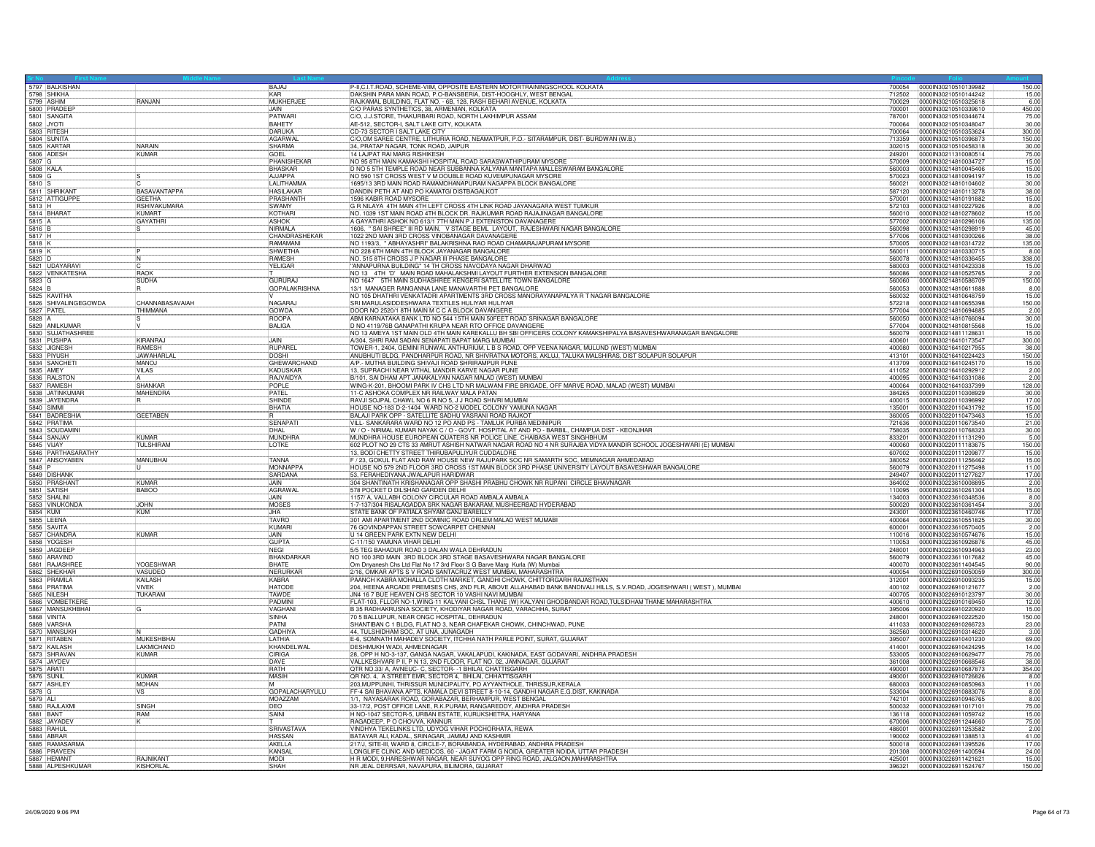|                        | 5797 BALKISHAN                   |                     | BAJAJ                   | P-II,C.I.T.ROAD, SCHEME-VIIM, OPPOSITE EASTERN MOTORTRAININGSCHOOL KOLKATA                                                                        |                  | 700054 0000IN30210510139982                  | 150.00                |
|------------------------|----------------------------------|---------------------|-------------------------|---------------------------------------------------------------------------------------------------------------------------------------------------|------------------|----------------------------------------------|-----------------------|
|                        | 5798 SHIKHA                      |                     |                         | DAKSHIN PARA MAIN ROAD, P.O-BANSBERIA, DIST-HOOGHLY, WEST BENGAL                                                                                  | 712502           | 0000lN30210510144242                         | 15.00                 |
|                        | 5799 ASHIM<br>5800 PRADEER       | <b>RANJAN</b>       | MUKHERJEE               | RAJKAMAL BUILDING, FLAT NO. - 6B, 128, RASH BEHARI AVENUE, KOLKATA                                                                                | 700029           | 0000IN30210510325618                         | 6.00                  |
|                        | 5801 SANGITA                     |                     | JAIN.<br>PATWARI        | CO PARAS SYNTHETICS, 38, ARMENIAN, KOLKATA<br>CO PARAS SYNTHETICS, 38, ARMENIAN, KOLKATA<br>CO, J.J.STORE, THAKURBARI ROAD, NORTH LAKHIMPUR ASSAM | 700001<br>787001 | 0000IN30210510339610<br>00000N30210510344674 | 450.00                |
| 5802 JYOTI             |                                  |                     | <b>BAHETY</b>           | AE-512, SECTOR-I, SALT LAKE CITY, KOLKATA                                                                                                         |                  |                                              | 75.00<br>30.00        |
| 5803 RITESH            |                                  |                     | DARUKA                  | CD-73 SECTOR I SALT LAKE CITY                                                                                                                     | 700064<br>700064 | 0000IN30210510348047<br>0000IN30210510353624 | 300.00                |
| 5804 SUNITA            |                                  |                     | AGARWAL                 | C/O,OM SAREE CENTRE, LITHURIA ROAD, NEAMATPUR, P.O.- SITARAMPUR, DIST- BURDWAN (W.B.                                                              | 713359           | 0000IN30210510396873                         | 150.00                |
|                        | 5805 KARTAR                      | <b>NARAIN</b>       | <b>SHARMA</b>           | 34, PRATAP NAGAR, TONK ROAD, JAIPUR                                                                                                               | 302015           | 0000IN30210510458318                         |                       |
| 5806 ADESH             |                                  | KUMAR               | GOEL                    | 14 LAJPAT RAI MARG RISHIKESH                                                                                                                      | 249201           | 00000N30211310080514                         | $\frac{30.00}{75.00}$ |
| 5807 G                 |                                  |                     | PHANISHEKAR             | NO 95 8TH MAIN KAMAKSHI HOSPITAL ROAD SARASWATHIPURAM MYSORE                                                                                      | 570009           | 0000IN30214810034727                         | 15.00                 |
| 5808 KALA              |                                  |                     | <b>BHASKAR</b>          | D NO 5 5TH TEMPLE ROAD NEAR SUBBANNA KALYANA MANTAPA MALLESWARAM BANGALORE                                                                        | 560003           | 0000IN30214810045406                         | 15.00                 |
| 5809 G                 |                                  |                     | AJJAPPA                 | NO 590 1ST CROSS WEST V M DOUBLE ROAD KUVEMPUNAGAR MYSORE                                                                                         | 570023           | 0000IN30214810094197                         | 15.00                 |
|                        |                                  |                     | LALITHAMMA              | 1695/13 3RD MAIN ROAD RAMAMOHANAPURAM NAGAPPA BLOCK BANGALORE                                                                                     | 560021           | 0000IN30214810104602                         | 30.00                 |
|                        | 5810 S<br>5811 SHRIKANT          | <b>BASAVANTAPPA</b> | <b>HASILAKAR</b>        | DANDIN PETH AT AND PO KAMATGI DISTBAGALKOT                                                                                                        | 587120           | 0000lN30214810113278                         | 38.00                 |
|                        | 5812 ATTIGUPPE                   | <b>GEETHA</b>       | PRASHANTH               | 1596 KABIR ROAD MYSORE                                                                                                                            | 570001           | 0000lN30214810191882                         | 15.00                 |
| $5813$ H               |                                  | <b>RSHIVAKUMARA</b> | <b>ISWAMY</b>           | G R NILAYA 4TH MAIN 4TH LEFT CROSS 4TH LINK ROAD JAYANAGARA WEST TUMKUR                                                                           | 572103           | 0000IN30214810227926                         | 8.00                  |
|                        | 5814 BHARAT                      | KUMART              | KOTHARI                 | NO. 1039 1ST MAIN ROAD 4TH BLOCK DR. RAJKUMAR ROAD RAJAJINAGAR BANGALORE                                                                          | 560010           | 0000IN30214810278602                         | 15.00                 |
| 5815 A<br>5816 B       |                                  | <b>GAYATHR</b>      | ASHOK                   | A GAYATHRI ASHOK NO 613/1 7TH MAIN P J EXTENISTON DAVANAGERE                                                                                      | 577002           | 0000IN30214810296106                         | 135.00                |
|                        |                                  |                     | NIRMALA                 | 1606, "SAI SHREE" III RD MAIN, V STAGE BEML LAYOUT, RAJESHWARI NAGAR BANGALORE                                                                    | 560098           | 0000lN30214810298919                         | 45.00                 |
| $\frac{5817}{5818}$ K  |                                  |                     | CHANDRASHEKAR           | 1022 2ND MAIN 3RD CROSS VINOBANAGAR DAVANAGERE                                                                                                    | 577006           | 0000IN30214810300266                         | 38.00                 |
|                        |                                  |                     | RAMAMANI                | NO 1193/3, " ABHAYASHRI" BALAKRISHNA RAO ROAD CHAMARAJAPURAM MYSORE                                                                               | 570005           | 0000IN30214810314722                         | 135.00                |
| 5819 K                 |                                  |                     | <b>SHWETHA</b>          | NO 228 6TH MAIN 4TH BLOCK JAYANAGAR BANGALORE                                                                                                     | 560011           | 0000IN30214810330715                         | 8.00                  |
| 5820 D                 | 5821 UDAYARAVI                   |                     | RAMESH<br>YELIGAR       | NO. 515 8TH CROSS J P NAGAR III PHASE BANGALORE<br>"ANNAPURNA BUILDING" 14 TH CROSS NAVODAYA NAGAR DHARWAD                                        | 560078<br>580003 | 0000lN30214810336455<br>0000IN30214810423338 | 338.00<br>15.00       |
|                        | 5822 VENKATESHA                  | RAOK                |                         | NO 13 4TH 'D' MAIN ROAD MAHALAKSHMI LAYOUT FURTHER EXTENSION BANGALORE                                                                            | 560086           | 0000IN30214810525765                         |                       |
| $5823$ <sup>G</sup>    |                                  | <b>SUDHA</b>        | GURURAJ                 | NO 1647 5TH MAIN SUDHASHREE KENGERI SATELLITE TOWN BANGALORE                                                                                      | 560060           | 0000IN30214810586709                         | $\frac{2.00}{150.00}$ |
| 5824 B                 |                                  |                     | <b>GOPALAKRISHNA</b>    | 13/1 MANAGER RANGANNA LANE MANAVARTHI PET BANGALORE                                                                                               | 560053           | 0000lN30214810611888                         | 8.00                  |
|                        | 5825 KAVITHA                     |                     |                         | NO 105 DHATHRI VENKATADRI APARTMENTS 3RD CROSS MANORAYANAPALYA R T NAGAR BANGALORE                                                                | 560032           | 0000IN30214810648759                         | 15.00                 |
|                        | 5826 SHIVALINGEGOWDA             | CHANNABASAVAIAH     | NAGARAJ                 | SRI MARULASIDDESHWARA TEXTILES HULIYAR HULIYAR                                                                                                    | 572218           | 0000IN30214810655398                         | 150.00                |
| 5827 PATEL             |                                  | THIMMANA            | <b>GOWDA</b>            | DOOR NO 2520/1 8TH MAIN M C C A BLOCK DAVANGERE                                                                                                   | 577004           | 0000IN30214810694885                         | 2.00                  |
| 5828 A                 |                                  |                     | <b>ROOPA</b>            | ABM KARNATAKA BANK LTD NO 544 15TH MAIN 50FEET ROAD SRINAGAR BANGALORE                                                                            | 560050           | 0000IN30214810766094                         | 30.00                 |
|                        | 5829 ANILKUMAR                   |                     | <b>BALIGA</b>           | D NO 4119/76B GANAPATHI KRUPA NEAR RTO OFFICE DAVANGERE                                                                                           | 577004           | 0000lN30214810815568                         | 15.00                 |
|                        | 5830 SUJATHASHREE                |                     |                         | NO 13 AMEYA 1ST MAIN OLD 4TH MAIN KAREKALLU BH SBI OFFICERS COLONY KAMAKSHIPALYA BASAVESHWARANAGAR BANGALORE                                      | 560079           | 0000lN30214811128631                         | 15.00                 |
|                        | 5831 PUSHPA                      | KIRANRAJ            | JAIN                    | A/304, SHRI RAM SADAN SENAPATI BAPAT MARG MUMBAI                                                                                                  | 400601           | 0000IN30216410173547                         | 300.00                |
|                        | 5832 JIGNESH                     | <b>RAMESH</b>       | RUPAREL                 | TOWER-1, 2404, GEMINI RUNWAL ANTHURIUM, L B S ROAD, OPP VEENA NAGAR, MULUND (WEST) MUMBA                                                          | 400080           | 0000IN30216410217955                         | 38.00                 |
| 5833 PIYUSH            |                                  | JAWAHARI A          | DOSHI                   | ANUBHUTI BLDG, PANDHARPUR ROAD, NR SHIVRATNA MOTORS, AKLUJ, TALUKA MALSHIRAS, DIST SOLAPUR SOLAPUR                                                | 413101           | 0000lN30216410224423                         | 150.00                |
|                        | 5834 SANCHET                     | MANOJ               | <b>GHEWARCHAND</b>      | A/P.- MUTHA BUILDING SHIVAJI ROAD SHRIRAMPUR PUNE                                                                                                 | 413709           | 0000IN30216410245170                         | 15.00                 |
|                        | 5835 AMEY<br>5836 RALSTON        | VILAS               | <b>KADUSKAR</b>         | 13, SUPRACHI NEAR VITHAL MANDIR KARVE NAGAR PUNE                                                                                                  | 411052           | 0000lN30216410292912                         | 2.00<br>2.00          |
|                        |                                  | SHANKAR             | RAJVAIDYA<br>POPLE      | B/101, SAI DHAM APT JANAKALYAN NAGAR MALAD (WEST) MUMBAI                                                                                          | 400095<br>400064 | 0000IN30216410331086                         |                       |
|                        | 5837 RAMESH                      | MAHENDRA            | <b>PATFI</b>            | WING-K-201, BHOOMI PARK IV CHS LTD NR MALWANI FIRE BRIGADE, OFF MARVE ROAD, MALAD (WEST) MUMBAI<br>11-C ASHOKA COMPLEX NR RAILWAY MALA PATAN      | 384265           | 0000IN30216410337399<br>0000IN30220110308929 | 128.00<br>30.00       |
|                        | 5838 JATINKUMAR<br>5839 JAYENDRA |                     | SHINDE                  | RAVJI SOJPAL CHAWL NO 6 R.NO 5, J J ROAD SHIVRI MUMBAI                                                                                            | 400015           | 0000IN30220110396992                         | 17.00                 |
|                        |                                  |                     | BHATIA                  | HOUSE NO-183 D-2-1404 WARD NO-2 MODEL COLONY YAMUNA NAGAR                                                                                         | 135001           | 0000lN30220110431792                         | 15.00                 |
|                        | 5840 SIMMI<br>5841 BADRESHIA     | <b>GEETABEN</b>     |                         | BALAJI PARK OPP - SATELLITE SADHU VASRANI ROAD RAJKOT                                                                                             | 360005           | 0000IN30220110473463                         | 15.00                 |
|                        | 5842 PRATIMA                     |                     | SENAPATI                | VILL- SANKARARA WARD NO 12 PO AND PS - TAMLUK PURBA MEDINIPUR                                                                                     | 721636           | 0000lN30220110673540                         | 21.00                 |
|                        | 5843 SOUDAMINI                   |                     | <b>DHAI</b>             | W / O - NIRMAL KUMAR NAYAK C / O - GOVT. HOSPITAL AT AND PO - BARBIL, CHAMPUA DIST - KEONJHAR                                                     | 758035           | 0000lN30220110768323                         | 30.00                 |
|                        | 5844 SANJAY                      | KUMAR               | MUNDHRA                 | MUNDHRA HOUSE EUROPEAN QUATERS NR POLICE LINE, CHAIBASA WEST SINGHBHUM                                                                            | 833201           | 0000lN30220111131290                         | 5.00                  |
| 5845 VIJAY             |                                  | <b>TULSHIRAM</b>    | LOTKE                   | 602 PLOT NO 29 CTS 33 AMRUT ASHISH NATWAR NAGAR ROAD NO 4 NR SURAJBA VIDYA MANDIR SCHOOL JOGESHWARI (E) MUMBAI                                    | 400060           | 0000IN30220111183675                         | 150.00                |
|                        | 5846 PARTHASARATHY               |                     |                         | 13, BODI CHETTY STREET THIRUBAPULIYUR CUDDALORE                                                                                                   | 607002           | 0000IN30220111209877                         | 15.00                 |
|                        | 5847 ANSOYABEN                   | MANUBHAI            | TANNA                   | F / 23, GOKUL FLAT AND RAW HOUSE NEW RAJUPARK SOC NR SAMARTH SOC, MEMNAGAR AHMEDABAD                                                              | 380052           | 0000IN30220111256462                         | 15.00                 |
| 5848 P                 |                                  |                     | MONNAPPA                | HOUSE NO 579 2ND FLOOR 3RD CROSS 1ST MAIN BLOCK 3RD PHASE UNIVERSITY LAYOUT BASAVESHWAR BANGALORE                                                 | 560079           | 0000lN30220111275498                         | 11.00                 |
|                        | 5849 DISHANK                     |                     | <b>SARDANA</b>          | 53, FERAHEDIYANA JWALAPUR HARIDWAR                                                                                                                | 249407           | 0000lN30220111277627                         | 17.00                 |
|                        | 5850 PRASHANT                    | KUMAR               | JAIN                    | 304 SHANTINATH KRISHANAGAR OPP SHASHI PRABHU CHOWK NR RUPANI CIRCLE BHAVNAGAR                                                                     | 364002           | 0000IN30223610008895                         | 2.00                  |
|                        | 5851 SATISH                      | BABOO               | AGRAWAL                 | 578 POCKET D DILSHAD GARDEN DELHI                                                                                                                 | 110095           | 0000IN30223610261304                         | 15.00                 |
|                        | 5852 SHALINI                     |                     | JAIN                    | 1157/ A, VALLABH COLONY CIRCULAR ROAD AMBALA AMBALA                                                                                               | 134003           | 0000lN30223610348536                         | 8.00                  |
|                        | 5853 VINUKONDA                   | JOHN <sup>'</sup>   | <b>MOSES</b>            | 1-7-137/304 RISALAGADDA SRK NAGAR BAKARAM, MUSHEERBAD HYDERABAD                                                                                   | 500020           | 0000IN30223610361454                         | 3.00                  |
| 5854 KUM<br>5855 LEENA |                                  | <b>KUM</b>          | JHA<br>TAVRO            | STATE BANK OF PATIALA SHYAM GANJ BAREILLY<br>301 AMI APARTMENT 2ND DOMINIC ROAD ORLEM MALAD WEST MUMABI                                           | 243001<br>400064 | 0000IN30223610460746<br>0000IN30223610551825 | 17.00<br>30.00        |
| 5856 SAVITA            |                                  |                     | KUMARI                  | 76 GOVINDAPPAN STREET SOWCARPET CHENNAI                                                                                                           | 600001           | 0000IN30223610570405                         | 2.00                  |
|                        | 5857 CHANDRA                     | KUMAR               | JAIN                    | U 14 GREEN PARK EXTN NEW DELHI                                                                                                                    | 110016           | 0000lN30223610574676                         | 15.00                 |
|                        | 5858 YOGESH                      |                     | <b>GUPTA</b>            | C-11/150 YAMUNA VIHAR DELHI                                                                                                                       | 110053           | 0000IN30223610926876                         | 45.00                 |
|                        | 5859 JAGDEEP                     |                     | NFGI                    | 5/5 TEG BAHADUR ROAD 3 DAI AN WALA DEHRADUN                                                                                                       | 248001           | 0000IN30223610934963                         | 23.00                 |
|                        | 5860 ARAVIND                     |                     | BHANDARKAR              | NO 100 3RD MAIN 3RD BLOCK 3RD STAGE BASAVESHWARA NAGAR BANGALORE                                                                                  | 560079           | 0000IN30223611017682                         | 45.00                 |
|                        | 5861 RAJASHREE                   | YOGESHWAR           | <b>BHATE</b>            | Om Dnyanesh Chs Ltd Flat No 17 3rd Floor S G Barve Marg Kurla (W) Mumbai                                                                          | 400070           | 0000IN30223611404545                         | 90.00                 |
|                        | 5862 SHEKHAR<br>5863 PRAMILA     | VASUDEO             | NERURKAR                | 2/16, OMKAR APTS S V ROAD SANTACRUZ WEST MUMBAI, MAHARASHTRA                                                                                      | 400054           | 0000IN30226910050059                         | 300.00                |
|                        |                                  | KAILASH             | KABRA                   | PAANCH KABRA MOHALLA CLOTH MARKET, GANDHI CHOWK, CHITTORGARH RAJASTHAN                                                                            | 312001           | 0000IN30226910093235                         | 15.00                 |
|                        | 5864 PRATIMA                     | <b>VIVEK</b>        | <b>HATODE</b>           | 204, HEENA ARCADE PREMISES CHS, 2ND FLR, ABOVE ALLAHABAD BANK BANDIVALI HILLS, S.V.ROAD, JOGESHWARI (WEST), MUMBAI                                | 400102           | 0000IN30226910121677                         | 2.00                  |
|                        | 5865 NILESH                      | TUKARAM             | TAWDE                   | JN4 16 7 BUE HEAVEN CHS SECTOR 10 VASHI NAVI MUMBAI                                                                                               | 400705           | 0000IN30226910123797                         | 30.00                 |
|                        | 5866 VOMBETKERE                  |                     | PADMINI                 | FLAT-103, FLLOR NO-T, WING-11 KALYANI CHSL THANE (W) KALYANI GHODBANDAR ROAD, TULSIDHAM THANE MAHARASHTRA                                         | 400610           | 0000IN30226910169450                         | 12.00                 |
|                        | 5867 MANSUKHBHAI                 |                     | VAGHANI<br><b>SINHA</b> | B 35 RADHAKRUSNA SOCIETY, KHODIYAR NAGAR ROAD, VARACHHA, SURAT<br>70 5 BALLUPUR, NEAR ONGC HOSPITAL, DEHRADUN                                     | 395006<br>248001 | 0000IN30226910220920                         | 15.00<br>150.00       |
|                        | 5869 VARSHA                      |                     | PATNI                   |                                                                                                                                                   | 411033           | 0000IN30226910222520<br>0000IN30226910266723 |                       |
|                        |                                  |                     | <b>GADHIYA</b>          | SHANTIBAN C 1 BLDG, FLAT NO 3, NEAR CHAFEKAR CHOWK, CHINCHWAD, PUNE<br>44, TULSHIDHAM SOC, AT UNA, JUNAGADH                                       | 362560           | 0000lN30226910314620                         | 23.00<br>3.00         |
|                        | 5870 MANSUKH                     | <b>MUKESHBHAI</b>   | LATHIA                  | E-6, SOMNATH MAHADEV SOCIETY, ITCHHA NATH PARLE POINT, SURAT, GUJARAT                                                                             | 395007           | 00000N30226910401230                         | 69.00                 |
|                        |                                  | LAKMICHAND          | KHANDELWAL              | DESHMUKH WADI, AHMEDNAGAR                                                                                                                         | 414001           | 0000IN30226910424295                         | 14.00                 |
|                        | 5872 KAILASH<br>5873 SHRAVAN     | <b>KUMAR</b>        | CIRIGA                  | 28, OPP H NO-3-137, GANGA NAGAR, VAKALAPUDI, KAKINADA, EAST GODAVARI, ANDHRA PRADESH                                                              | 533005           | 0000IN30226910629477                         | 75.00                 |
|                        | 5874 JAYDEV                      |                     | DAVE                    | VALLKESHVARI P II, P N 13, 2ND FLOOR, FLAT NO. 02, JAMNAGAR, GUJARAT                                                                              | 361008           | 0000IN30226910668546                         | 38.00                 |
| 5875 ARATI             |                                  |                     | <b>RATH</b>             | QTR NO.33/ A, AVNEUC- C, SECTOR- -1 BHILAI, CHATTISGARH                                                                                           | 490001           | 0000IN30226910687873                         | 354.00                |
| 5876 SUNIL             |                                  | KUMAR               | MASIH                   | OR NO. 4, A STREET EMR, SECTOR 4, BHILAI, CHHATTISGARH                                                                                            | 490001           | 0000IN30226910726826                         | 8.00                  |
| 5877 ASHLEY            |                                  | <b>MOHAN</b>        | M                       | 203, MUPPUNHI, THRISSUR MUNICIPALITY, PO AYYANTHOLE, THRISSUR, KERALA                                                                             | 680003           | 0000IN30226910850963                         | 11.00                 |
|                        |                                  | <b>VS</b>           | GOPALACHARYULU          | FF-4 SAI BHAVANA APTS, KAMALA DEVI STREET 8-10-14, GANDHI NAGAR E.G.DIST, KAKINADA                                                                | 533004           | 0000IN30226910883076                         | 8.00                  |
| 5879 ALI               |                                  |                     | MOAZZAM                 | 1/1, NAYASARAK ROAD, GORABAZAR, BERHAMPUR, WEST BENGAL                                                                                            | 742101           | 0000IN30226910946765                         | 8.00                  |
|                        | 5880 RAJLAXMI                    | SINGH               | DEO                     | 33-17/2, POST OFFICE LANE, R.K.PURAM, RANGAREDDY, ANDHRA PRADESH                                                                                  | 500032           | 0000lN30226911017101                         | 75.00                 |
| 5881 BANT              |                                  | <b>RAM</b>          | SAINI                   | H NO-1047 SECTOR-5, URBAN ESTATE, KURUKSHETRA, HARYANA                                                                                            | 136118           | 0000IN30226911059742                         | 15.00                 |
| 5883 RAHUL             | 5882 JAYADEV                     |                     | SRIVASTAVA              | RAGADEEP, P O CHOVVA, KANNUR<br>VINDHYA TEKELINKS LTD, UDYOG VIHAR POCHORHATA, REWA                                                               | 670006<br>486001 | 0000IN30226911244660<br>0000IN30226911253582 | 75.00<br>2.00         |
| 5884 ABRAR             |                                  |                     | <b>HASSAN</b>           |                                                                                                                                                   | 190002           | 0000IN30226911388513                         | 41.00                 |
|                        | 5885 RAMASARMA                   |                     | AKELLA                  | BATAYAR ALI, KADAL, SRINAGAR, JAMMU AND KASHMIR<br>217/J, SITE-III, WARD 8, CIRCLE-7, BORABANDA, HYDERABAD, ANDHRA PRADESH                        | 500018           | 0000IN30226911395526                         | 17.00                 |
|                        | 5886 PRAVEEN                     |                     | KANSA                   | LONGLIFE CLINIC AND MEDICOS, 60 - JAGAT FARM G NOIDA, GREATER NOIDA, UTTAR PRADESH                                                                | 201308           | 0000IN30226911400594                         | 24.00                 |
|                        | 5887 HEMANT                      | <b>RAJNIKAN</b>     | <b>MODI</b>             | H R MODI, 9, HARESHWAR NAGAR, NEAR SUYOG OPP RING ROAD, JALGAON, MAHARASHTRA                                                                      | 425001           | 0000IN30226911421621                         | 15.00                 |
|                        | 5888 ALPESHKUMAR                 | KISHORLAL           | SHAH                    | NR JEAL DERRSAR, NAVAPURA, BILIMORA, GUJARAT                                                                                                      | 396321           | 0000IN30226911524767                         | 150.00                |
|                        |                                  |                     |                         |                                                                                                                                                   |                  |                                              |                       |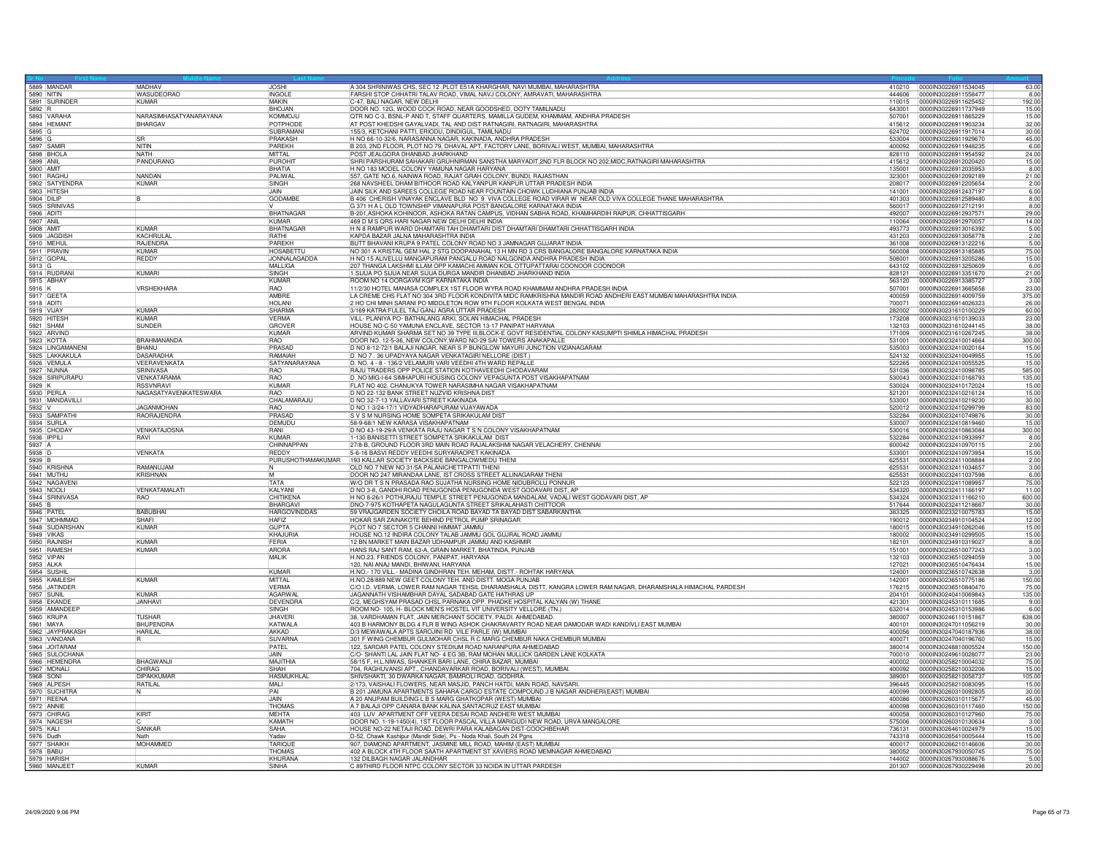|                          | 5889 MANDAR                 | MADHAV                 | JOSHI               | A 304 SHRINIWAS CHS, SEC 12, PLOT E51A KHARGHAR, NAVI MUMBAI, MAHARASHTRA                                                              |        | 410210 0000IN30226911534045 | 63.00        |
|--------------------------|-----------------------------|------------------------|---------------------|----------------------------------------------------------------------------------------------------------------------------------------|--------|-----------------------------|--------------|
| 5890 NITIN               |                             | <b>WASUDEORAO</b>      | <b>INGOLE</b>       | FARSHI STOP CHHATRI TALAV ROAD, VIMAL NAVJ COLONY, AMRAVATI, MAHARASHTRA                                                               | 444606 | 0000IN30226911558477        | 8.00         |
|                          | 5891 SURINDEF               | <b>KUMAR</b>           | <b>MAKIN</b>        | C-47, BALI NAGAR, NEW DELHI                                                                                                            | 110015 | 0000IN30226911625452        | 192.00       |
|                          | 5892 R<br>5893 VARAHA       |                        | <b>BHOJAN</b>       | DOOR NO. 12G, WOOD COCK ROAD, NEAR GOODSHED, OOTY TAMILNADU                                                                            | 643001 | 0000IN30226911737949        | 15.00        |
|                          |                             | NARASIMHASATYANARAYANA | <b>KOMMOJU</b>      | OTR NO C-3, BSNL-P AND T, STAFF QUARTERS, MAMILLA GUDEM, KHAMMAM, ANDHRA PRADESH                                                       | 507001 | 0000IN30226911865229        | 15.00        |
|                          | 5894 HEMANT                 | <b>BHARGAV</b>         | POTPHODE            | AT POST KHEDSHI GAYALVADI, TAL AND DIST RATNAGIRI, RATNAGIRI, MAHARASHTRA                                                              | 415612 | 0000IN30226911903234        | 32.00        |
| 5895 G                   |                             |                        | SUBRAMAN            | 155/3, KETCHANI PATTI, ERIODU, DINDIGUL, TAMILNADU                                                                                     | 624702 | 0000IN30226911917014        | 30.00        |
| 5896 G                   |                             | <b>SR</b>              | PRAKASH             | H NO 66-10-32/6, NARASANNA NAGAR, KAKINADA, ANDHRA PRADESH                                                                             | 533004 | 0000IN30226911929670        | 45.00        |
| 5897 SAMIR<br>5898 BHOLA |                             | NITIN                  | PAREKH              | B 203, 2ND FLOOR, PLOT NO 79, DHAVAL APT, FACTORY LANE, BORIVALI WEST, MUMBAI, MAHARASHTRA                                             | 400092 | 0000IN30226911948235        | 6.00         |
|                          |                             | <b>NATH</b>            | MITTAL              | POST JEALGORA DHANBAD JHARKHAND                                                                                                        | 828110 | 0000lN30226911954592        | 24.00        |
| 5899 ANIL                |                             | PANDURANG              | PUROHIT             | SHRI PARSHURAM SAHAKARI GRUHNIRMAN SANSTHA MARYADIT, 2ND FLR BLOCK NO 202, MIDC, RATNAGIRI MAHARASHTRA                                 | 415612 | 0000IN30226912020420        | 15.00        |
| 5900 AMIT                |                             |                        | <b>BHATIA</b>       | H NO 183 MODEL COLONY YAMUNA NAGAR HARYANA                                                                                             | 135001 | 0000IN30226912035953        | 8.00         |
|                          | 5901 RAGHU                  | NANDAN                 | PALIWAL             | 557, GATE NO.6, NAINWA ROAD, RAJAT GRAH COLONY, BUNDI, RAJASTHAN                                                                       | 323001 | 0000lN30226912092189        | 21.00        |
|                          | 5902 SATYENDRA              | <b>KUMAR</b>           | SINGH               | 268 NAVSHEEL DHAM BITHOOR ROAD KALYANPUR KANPUR UTTAR PRADESH INDIA                                                                    | 208017 | 0000IN30226912205654        | 2.00         |
|                          | 5903 HITESH                 |                        | <b>JAIN</b>         | JAIN SILK AND SAREES COLLEGE ROAD NEAR FOUNTAIN CHOWK LUDHIANA PUNJAB INDIA                                                            | 141001 | 0000IN30226912437197        | 6.00         |
|                          | 5904 DILIP<br>5905 SRINIVAS |                        | <b>GODAMBE</b>      | B 406 CHERISH VINAYAK ENCLAVE BLD NO 9 VIVA COLLEGE ROAD VIRAR W NEAR OLD VIVA COLLEGE THANE MAHARASHTRA                               | 401303 | 0000IN30226912589480        | 8.00         |
|                          |                             |                        |                     | G 371 H A L OLD TOWNSHIP VIMANAPURA POST BANGALORE KARNATAKA INDIA                                                                     | 560017 | 0000IN30226912712191        | 8.00         |
| 5906 ADITI               |                             |                        | <b>BHATNAGAR</b>    | B-201, ASHOKA KOHINOOR, ASHOKA RATAN CAMPUS, VIDHAN SABHA ROAD, KHAMHARDIH RAIPUR, CHHATTISGARH                                        | 492007 | 0000lN30226912937571        | 29.00        |
| 5907 ANIL                |                             |                        | <b>KUMAR</b>        | 469 D M S QRS HARI NAGAR NEW DELHI DELHI INDIA                                                                                         | 110064 | 0000IN30226912970057        | 14.00        |
| 5908 AMIT                |                             | <b>KUMAR</b>           | BHATNAGAR           | H N 8 RAMPUR WARD DHAMTARI TAH DHAMTARI DIST DHAMTARI DHAMTARI CHHATTISGARH INDIA                                                      | 493773 | 0000lN30226913016392        | 5.00         |
|                          | 5909 JAGDISH                | <b>KACHRULA</b>        | RATHI               | KAPDA BAZAR JALNA MAHARASHTRA INDIA                                                                                                    | 431203 | 0000IN30226913058778        | 2.00         |
|                          | 5910 MEHUL                  | RAJENDRA               | PARFKH              | BUTT BHAVANI KRUPA 9 PATEL COLONY ROAD NO 3 JAMNAGAR GUJARAT INDIA                                                                     | 361008 | 0000IN30226913122216        | 5.00         |
|                          | 5911 PRAVIN                 | <b>KUMAR</b>           | <b>HOSABETTL</b>    | NO 301 A KRISTAL GEM HAL 2 STG DOOPANAHAL 13 H MN RD 3 CRS BANGALORE BANGALORE KARNATAKA INDIA                                         | 560008 | 0000IN30226913185885        | 75.00        |
| 5912 GOPAL               |                             | <b>REDDY</b>           | <b>JONNALAGADDA</b> | H NO 15 ALIVELLU MANGAPURAM PANGALU ROAD NALGONDA ANDHRA PRADESH INDIA                                                                 | 508001 | 0000IN30226913205286        | 15.00        |
| 5913 G                   |                             |                        | MALLIGA             | 207 THANGA LAKSHMI ILLAM OPP KAMACHI AMMAN KOIL OTTUPATTARAI COONOOR COONOOR                                                           | 643102 | 0000IN30226913250609        | 6.00         |
|                          |                             | KUMARI                 | SINGH               | 1 SIJUA PO SIJUA NEAR SIJUA DURGA MANDIR DHANBAD JHARKHAND INDIA                                                                       | 828121 | 0000lN30226913351670        | 21.00        |
|                          | 5914 RUDRANI                |                        | KUMAR               | ROOM NO 14 OORGAVM KGF KARNATAKA INDIA                                                                                                 | 563120 | 0000IN30226913385727        | 3.00         |
| 5916 K                   |                             | VRSHEKHARA             | RAO                 | 11/2/30 HOTEL MANASA COMPLEX 1ST FLOOR WYRA ROAD KHAMMAM ANDHRA PRADESH INDIA                                                          | 507001 | 0000IN30226913665658        | 23.00        |
| 5917 GEETA               |                             |                        | AMBRE               | LA CREME CHS FLAT NO 304 3RD FLOOR KONDIVITA MIDC RAMKRISHNA MANDIR ROAD ANDHERI EAST MUMBAI MAHARASHTRA INDIA                         | 400059 | 0000IN30226914009759        | 375.00       |
| 5918 ADITI               |                             |                        | <b>HOLANI</b>       | 2 HO CHI MINH SARANI PO MIDDLETON ROW 9TH FLOOR KOLKATA WEST BENGAL INDIA                                                              | 700071 | 0000IN30226914026323        | 26.00        |
| 5919 VIJAY               |                             | KUMAR                  | SHARMA              | 3/169 KATRA FULEL TAJ GANJ AGRA UTTAR PRADESH                                                                                          | 282002 | 0000IN30231610100229        | 60.00        |
|                          | 5920 HITESH                 | KUMAR                  | <b>VFRMA</b>        | VILL- PLANIYA PO- BATHALANG ARKI, SOLAN HIMACHAL PRADESH                                                                               | 173208 | 0000IN30231610139033        | 23.00        |
| 5921 SHAM                |                             | <b>SUNDER</b>          | <b>GROVER</b>       | HOUSE NO-C-50 YAMUNA ENCLAVE, SECTOR 13-17 PANIPAT HARYANA                                                                             | 132103 | 0000IN30231610244145        | 38.00        |
|                          | 5922 ARVIND                 |                        | KUMAR               | ARVIND KUMAR SHARMA SET NO 39 TYPE III, BLOCK-E GOVT RESIDENTIAL COLONY KASUMPTI SHIMLA HIMACHAL PRADESH                               | 171009 | 0000lN30231610267245        | 38.00        |
|                          | 5923 KOTTA                  | <b>BRAHMANANDA</b>     | <b>RAO</b>          | DOOR NO. 12-5-36, NEW COLONY, WARD NO-29 SAI TOWERS ANAKAPALLE                                                                         | 531001 | 0000lN30232410014664        | 300.00       |
|                          | 5924 LINGAMANENI            | <b>BHANU</b>           | PRASAD              | D NO 8-12-72/1 BALAJI NAGAR, NEAR S P BUNGLOW MAYURI JUNCTION VIZIANAGARAM<br> D. NO 7 . 36 UPADYAYA NAGAR VENKATAGIRI NELLORE (DIST.) | 535003 | 0000IN30232410020164        | 15.00        |
|                          | 5925 LAKKAKULA              | <b>DASARADHA</b>       | <b>RAMAIAH</b>      |                                                                                                                                        | 524132 | 0000IN30232410049955        | 15.00        |
|                          | 5926 VEMULA                 | <b>VEERAVENKATA</b>    | SATYANARAYANA       | D. NO. 4 - 8 - 136/2 VELAMURI VARI VEEDHI 4TH WARD REPALLE                                                                             | 522265 | 0000IN30232410055525        | 15.00        |
|                          | 5927 NUNNA                  | <b>SRINIVASA</b>       | RAO                 | RAJU TRADERS OPP POLICE STATION KOTHAVEEDHI CHODAVARAM                                                                                 | 531036 | 0000IN30232410098785        | 585.00       |
|                          | 5928 SIRIPURAPU             | VENKATARAMA            | <b>RAO</b>          | D. NO MIG-I-64 SIMHAPURI HOUSING COLONY VEPAGUNTA POST VISAKHAPATNAM                                                                   | 530043 | 0000IN30232410168793        | 135.00       |
| 5929 K                   |                             | <b>RSSVNRAVI</b>       | KUMAR               | FLAT NO 402, CHANUKYA TOWER NARASIMHA NAGAR VISAKHAPATNAM                                                                              | 530024 | 0000IN30232410172024        | 15.00        |
|                          | 5930 PERLA                  | NAGASATYAVENKATESWARA  | <b>RAO</b>          | D NO 22-132 BANK STREET NUZVID KRISHNA DIST                                                                                            | 521201 | 0000lN30232410216124        | 15.00        |
|                          | 5931 MANDAVILLI             |                        | CHALAMARAJU         | D NO 32-7-13 YALLAVARI STREET KAKINADA                                                                                                 | 533001 | 0000IN30232410219230        | 30.00        |
|                          |                             | <b>JAGANMOHAN</b>      | <b>RAO</b>          | D NO 1-3/24-17/1 VIDYADHARAPURAM VIJAYAWADA                                                                                            | 520012 | 0000IN30232410299799        | 83.00        |
|                          | 5932 V<br>5933 SAMPATHI     | RAORAJENDRA            | PRASAD              | S V S M NURSING HOME SOMPETA SRIKAKULAM DIST                                                                                           | 532284 | 0000IN30232410749876        | 30.00        |
|                          | 5934 SURLA                  |                        | DEMUDU              | 58-9-68/1 NEW KARASA VISAKHAPATNAM                                                                                                     | 530007 | 0000IN30232410819460        | 15.00        |
|                          | 5935 CHODAY                 | <b>VENKATAJOSNA</b>    | <b>RANI</b>         | D NO 43-19-29/A VENKATA RAJU NAGAR T S N COLONY VISAKHAPATNAM                                                                          | 530016 | 0000lN30232410863084        | 300.00       |
| 5936 IPPILI              |                             | RAVI                   | KUMAF               | 1-130 BANISETTI STREET SOMPETA SRIKAKULAM DIST                                                                                         | 532284 | 0000IN30232410933997        | 8.00         |
|                          |                             |                        | CHINNAPPAN          | 27/8-B, GROUND FLOOR 3RD MAIN ROAD RAJALAKSHMI NAGAR VELACHERY, CHENNAI                                                                | 600042 | 0000lN30232410970115        | 2.00         |
| 5937 A<br>5938 D         |                             | <b>VENKATA</b>         | <b>REDDY</b>        | 5-6-16 BASVI REDDY VEEDHI SURYARAOPET KAKINADA                                                                                         | 533001 | 0000IN30232410973954        | 15.00        |
| 5939 B                   |                             |                        | PURUSHOTHAMAKUMAR   | 193 KALLAR SOCIETY BACKSIDE BANGALOWMEDU THENI                                                                                         | 625531 | 0000IN30232411008884        |              |
|                          | 5940 KRISHNA                | RAMANUJAM              | W.                  | OLD NO 7 NEW NO 31/5A PALANICHETTPATTI THENI                                                                                           | 625531 | 0000IN30232411034657        | 2.00<br>3.00 |
|                          | 5941 MUTHU                  | M<br>KRISHNAN          |                     | DOOR NO 247 MIRANDAA LANE, IST CROSS STREET ALLINAGARAM THENI                                                                          | 625531 | 0000IN30232411037598        | 6.00         |
|                          | 5942 NAGAVENI               |                        | TATA                | W/O DR T S N PRASADA RAO SUJATHA NURSING HOME NIDUBROLU PONNUF                                                                         | 522123 | 0000IN30232411089957        | 75.00        |
|                          | 5943 NOOLI                  | VENKATAMALATI          | KALYANI             | D NO 3-8, GANDHI ROAD PENUGONDA PENUGONDA WEST GODAVARI DIST, AF                                                                       | 534320 | 0000IN30232411166197        | 11.00        |
|                          | 5944 SRINIVASA              | <b>RAO</b>             | CHITIKENA           | H NO 8-26/1 POTHURAJU TEMPLE STREET PENUGONDA MANDALAM, VADALI WEST GODAVARI DIST, AP                                                  | 534324 | 0000IN30232411166210        | 600.00       |
| 5945 B                   |                             |                        | BHARGAVI            | DNO-7-975 KOTHAPETA NAGULAGUNTA STREET SRIKALAHASTI CHITTOOR                                                                           | 517644 | 00000N30232411218667        | 30.00        |
| 5946 PATEL               |                             | <b>BABUBHAI</b>        | <b>HARGOVINDDAS</b> | 59 VRAJGARDEN SOCIETY CHOILA ROAD BAYAD TA BAYAD DIST SABARKANTHA                                                                      | 383325 | 0000IN30233210075783        | 15.00        |
|                          | 5947 MOHMMAD                | <b>SHAFI</b>           | <b>HAFIZ</b>        | HOKAR SAR ZAINAKOTE BEHIND PETROL PUMP SRINAGAR                                                                                        | 190012 | 0000lN30234910104524        | 12.00        |
|                          | 5948 SUDARSHAN              | <b>KUMAR</b>           | <b>GUPTA</b>        | PLOT NO 7 SECTOR 5 CHANNI HIMMAT JAMMU                                                                                                 | 180015 | 0000IN30234910262046        | 15.00        |
| 5949 VIKAS               |                             |                        | KHAJURIA            | HOUSE NO.12 INDIRA COLONY TALAB JAMMU GOL GUJRAL ROAD JAMMU                                                                            | 180002 | 0000IN30234910299505        | 15.00        |
|                          | 5950 RAJNISH                | <b>KUMAR</b>           | FERIA               | 12 BN MARKET MAIN BAZAR UDHAMPUR JAMMU AND KASHMIR                                                                                     | 182101 | 0000IN30234910319027        | 8.00         |
|                          | 5951 RAMESH                 | KUMAR                  | ARORA               | HANS RAJ SANT RAM, 63-A, GRAIN MARKET, BHATINDA, PUNJAB                                                                                | 151001 | 0000IN30236510077243        | 3.00         |
|                          |                             |                        | <b>MALIK</b>        |                                                                                                                                        | 132103 | 0000IN30236510294059        | 3.00         |
| 5952 VIPAN<br>5953 ALKA  |                             |                        |                     | H.NO.23, FRIENDS COLONY, PANIPAT, HARYANA                                                                                              | 127021 | 0000IN30236510476434        | 15.00        |
| 5954 SUSHII              |                             |                        | KUMAR               | H.NO.- 170 VILL.- MADINA GINDHRAN TEH. MEHAM, DISTT.- ROHTAK HARYANA                                                                   | 124001 | 0000IN30236510742638        | 3.00         |
|                          | 5955 KAMLESH                | KUMAR                  | MITTAI              | H.NO.28/889 NEW GEET COLONY TEH. AND DISTT. MOGA PUNJAB                                                                                | 142001 | 0000IN30236510775186        | 150.00       |
|                          | 5956 JATINDER               |                        | <b>VFRMA</b>        | C/O I.D. VERMA, LOWER RAM NAGAR TEHSIL DHARAMSHALA, DISTT. KANGRA LOWER RAM NAGAR, DHARAMSHALA HIMACHAL PARDESH                        | 176215 | 0000IN30236510840470        | 75.00        |
|                          |                             | KUMAR                  | AGARWA              |                                                                                                                                        | 204101 | 0000IN30240410069843        | 135.00       |
|                          | 5957 SUNIL                  | JANHAVI                | <b>DEVENDRA</b>     | JAGANNATH VISHAMBHAR DAYAL SADABAD GATE HATHRAS UP<br>C/2, MEGHSYAM PRASAD CHSL PARNAKA OPP. PHADKE HOSPITAL KALYAN (W) THANE          | 421301 | 0000IN30245310111685        | 9.00         |
|                          | 5959 AMANDEEP               |                        | SINGH               | ROOM NO- 105, H- BLOCK MEN'S HOSTEL VIT UNIVERSITY VELLORE (TN.)                                                                       | 632014 | 0000IN30245310153986        | 6.00         |
| 5960 KRUPA               |                             | <b>TUSHAR</b>          | JHAVERI             | 38, VARDHAMAN FLAT, JAIN MERCHANT SOCIETY, PALDI. AHMEDABAD.                                                                           | 380007 | 0000IN30246110151867        | 638.00       |
| 5961 MAYA                |                             | <b>BHUPENDRA</b>       | <b>KATWALA</b>      | 403 B HARMONY BLDG 4 FLR B WING ASHOK CHAKRAVARTY ROAD NEAR DAMODAR WADI KANDIVLI EAST MUMBAI                                          | 400101 | 0000IN30247011056219        | 30.00        |
|                          |                             | <b>HARILAL</b>         | AKKAD               | D/3 MEWAWALA APTS SAROJINI RD VILE PARLE (W) MUMBAI                                                                                    | 400056 | 0000IN30247040187936        | 38.00        |
|                          | 5962 JAYPRAKASH             |                        | <b>SUVARNA</b>      | 301 F WING CHEMBUR GULMOHAR CHSL R C MARG CHEMBUR NAKA CHEMBUR MUMBAI                                                                  | 400071 | 0000IN30247040196760        | 15.00        |
|                          | 5964 JOITARAM               |                        | PATEL               | 122, SARDAR PATEL COLONY STEDIUM ROAD NARANPURA AHMEDABAD                                                                              | 380014 | 0000IN30248810005524        | 150.00       |
|                          | 5965 SULOCHANA              |                        | <b>JAIN</b>         | C/O- SHANTI LAL JAIN FLAT NO- 4 EG 3B, RAM MOHAN MULLICK GARDEN LANE KOLKATA                                                           | 700010 | 0000IN30249610028077        | 23.00        |
|                          | 5966 HEMENDRA               | <b>BHAGWANJ</b>        | MAJITHIA            | 58/15 F, H.L.NIWAS, SHANKER BARI LANE, CHIRA BAZAR, MUMBAI                                                                             | 400002 | 0000IN30258210004032        | 75.00        |
|                          |                             | CHIRAG                 | SHAH                | 704, RAGHUVANSI APT., CHANDAVARKAR ROAD, BORIVALI (WEST), MUMBA                                                                        | 400092 | 0000IN30258210032206        | 15.00        |
|                          | 5967 MONALI                 | <b>DIPAKKUMAF</b>      | <b>HASMUKHLAL</b>   | SHIVSHAKTI, 30 DWARKA NAGAR, BAMROLI ROAD, GODHRA.                                                                                     | 389001 | 0000IN30258210058737        | 105.00       |
|                          | 5969 ALPESH                 | RATILAL                | MAI I               | 2/173, VAISHALI FLOWERS, NEAR MASJID, PANCH HATDI, MAIN ROAD, NAVSARI                                                                  | 396445 | 0000IN30258210083095        | 15.00        |
|                          | 5970 SUCHITRA               | N                      | PAI                 | B 201 JAMUNA APARTMENTS SAHARA CARGO ESTATE COMPOUND J B NAGAR ANDHERI(EAST) MUMBAI                                                    | 400099 | 0000IN30260310092805        | 30.00        |
|                          | 5971 REENA                  |                        | JAIN                | A 20 ANUPAM BUILDING L B S MARG GHATKOPAR (WEST) MUMBAI                                                                                | 400086 | 0000IN30260310115677        | 45.00        |
| 5972 ANNIE               |                             |                        | THOMAS              | A 7 BALAJI OPP CANARA BANK KALINA SANTACRUZ EAST MUMBAI                                                                                | 400098 | 0000IN30260310117460        | 150.00       |
|                          | 5973 CHIRAG                 | KIRIT                  | <b>MEHTA</b>        | 403 LUV APARTMENT OFF VEERA DESAI ROAD ANDHERI WEST MUMBAI                                                                             | 400058 | 0000IN30260310127960        | 75.00        |
|                          | 5974 NAGESH                 |                        | KAMATH              | DOOR NO. 1-19-1450(4), 1ST FLOOR PASCAL VILLA MARIGUDI NEW ROAD, URVA MANGALORE                                                        | 575006 | 0000IN30260310130634        | 3.00         |
| 5975 KALI                |                             | <b>SANKAR</b>          | SAHA                | HOUSE NO-22 NETAJI ROAD, DEWRI PARA KALABAGAN DIST-COOCHBEHAR                                                                          | 736131 | 0000IN30264610024979        | 15.00        |
|                          |                             | Nath                   | Yadav               |                                                                                                                                        | 743318 | 0000IN30265410005444        | 15.00        |
|                          | 5976 Dudh<br>5977 SHAIKH    | MOHAMMED               | <b>TARIOUR</b>      | D-52, Chawk Kashipur (Mandir Side), Ps - Noda Khali, South 24 Pgns<br>907, DIAMOND APARTMENT, JASMINE MILL ROAD, MAHIM (EAST) MUMBAI   | 400017 | 0000IN30266210146606        | 30.00        |
| 5978 BABU                |                             |                        | <b>THOMAS</b>       | 402 A BLOCK 4TH FLOOR SAATH APARTMENT ST XAVIERS ROAD MEMNAGAR AHMEDABAD                                                               | 380052 | 0000lN30267930050745        | 75.00        |
| 5979 HARISI              |                             |                        | <b>KHURAN</b>       | 132 DILBAGH NAGAR JALANDHAR                                                                                                            | 144002 | 0000IN30267930088676        | 5.00         |
|                          | 5980 MANJEE                 | KUMAR                  | <b>SINHA</b>        | C 89THIRD FLOOR NTPC COLONY SECTOR 33 NOIDA IN UTTAR PARDESH                                                                           | 201307 | 0000IN30267930229498        | 20.00        |
|                          |                             |                        |                     |                                                                                                                                        |        |                             |              |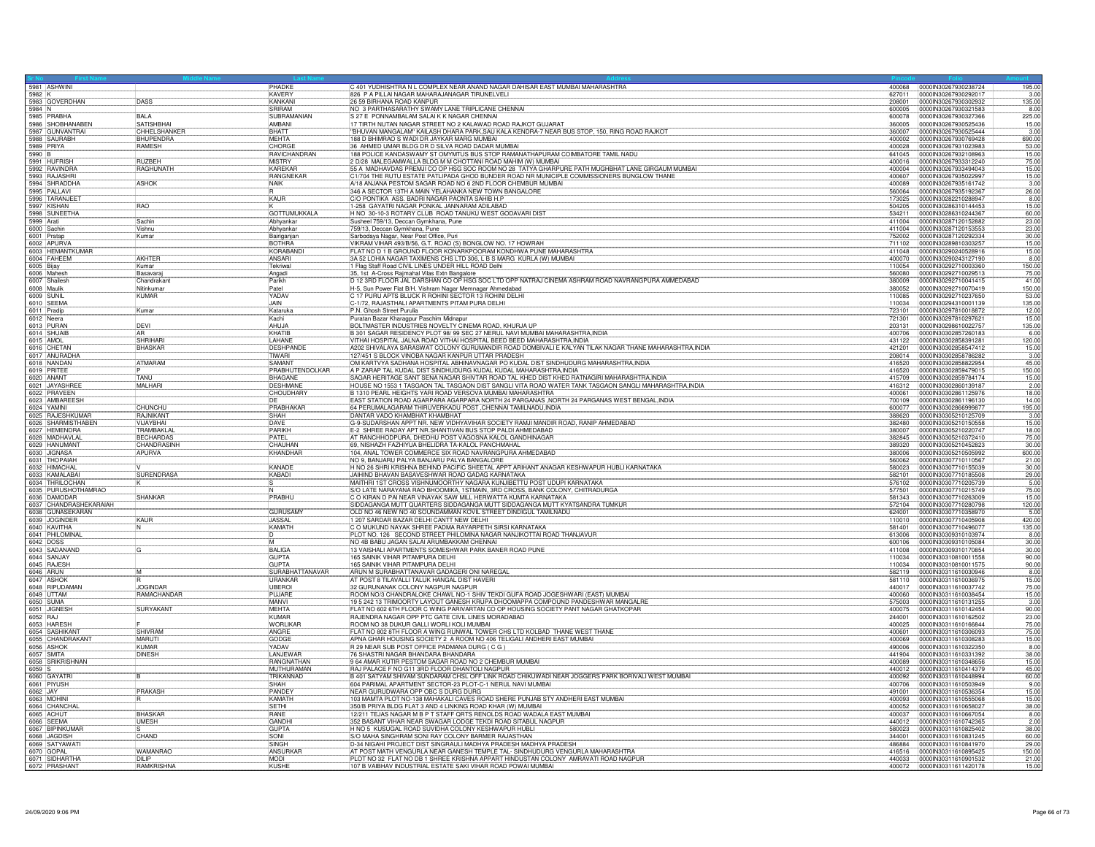| 5981 ASHWINI                        |                    | PHADKE                   | C 401 YUDHISHTRA N L COMPLEX NEAR ANAND NAGAR DAHISAR EAST MUMBAI MAHARASHTRA                                                                     |                  | 400068 0000IN30267930238724 | 195.00 |
|-------------------------------------|--------------------|--------------------------|---------------------------------------------------------------------------------------------------------------------------------------------------|------------------|-----------------------------|--------|
|                                     |                    | <b>KAVERY</b>            | 826 P A PILLAI NAGAR MAHARAJANAGAR TIRUNELVELI                                                                                                    | 627011           | 0000IN30267930292017        | 3.00   |
| 5983 GOVERDHAN                      | DASS               | <b>KANKANI</b>           | 26 59 BIRHANA ROAD KANPUR                                                                                                                         | 208001           | 0000IN30267930302932        | 135.00 |
| 5984 N<br>5985 PRABHA               |                    | SRIRAM                   | NO 3 PARTHASARATHY SWAMY LANE TRIPLICANE CHENNAI                                                                                                  | 600005           | 0000IN30267930321583        | 8.00   |
|                                     | BALA               | SUBRAMANIAN              | S 27 E PONNAMBALAM SALAI K K NAGAR CHENNAI                                                                                                        | 600078           | 0000IN30267930327366        | 225.00 |
| 5986 SHOBHANABEN                    | <b>SATISHBHAI</b>  | AMBANI                   | 17 TIRTH NUTAN NAGAR STREET NO 2 KALAWAD ROAD RAJKOT GUJARAT                                                                                      | 360005           | 0000IN30267930525436        | 15.00  |
| 5987 GUNVANTRAI                     | CHHELSHANKER       | BHATT                    | "BHUVAN MANGALAM" KAILASH DHARA PARK, SAU KALA KENDRA-7 NEAR BUS STOP, 150, RING ROAD RAJKOT                                                      | 360007           | 0000IN30267930525444        | 3.00   |
| 5988 SAURABH                        | <b>BHUPENDRA</b>   | <b>MFHTA</b>             | 188 D BHIMRAO S WADI DR JAYKAR MARG MUMBAI                                                                                                        | 400002           | 0000IN30267930769428        | 690.00 |
| 5989 PRIYA                          | RAMESH             | CHORGE                   | 36 AHMED UMAR BLDG DR D SILVA ROAD DADAR MUMBAI                                                                                                   | 400028           | 0000IN30267931023983        | 53.00  |
|                                     |                    | RAVICHANDRAN             | 188 POLICE KANDASWAMY ST OMYMTUS BUS STOP RAMANATHAPURAM COIMBATORE TAMIL NADU                                                                    | 641045           | 00000N30267932108963        | 15.00  |
| 5991 HUFRISH                        | <b>RUZBEH</b>      | <b>MISTRY</b>            | 2 D/28 MALEGAMWALLA BLDG M M CHOTTANI ROAD MAHIM (W) MUMBAI                                                                                       | 400016           | 0000IN30267933312240        | 75.00  |
| 5992 RAVINDRA                       | <b>RAGHUNATH</b>   | KARFKAR                  | 55 A MADHAVDAS PREMJI CO OP HSG SOC ROOM NO 28 TATYA GHARPURE PATH MUGHBHAT LANE GIRGAUM MUMBAI                                                   | 400004           | 00000830267933494043        | 15.00  |
| 5993 RAJASHRI                       |                    | RANGNEKAR                | C1/704 THE RUTU ESTATE PATLIPADA GHOD BUNDER ROAD NR MUNICIPLE COMMISSIONERS BUNGLOW THANE                                                        | 400607           | 0000IN30267935022997        | 15.00  |
| 5994 SHRADDHA                       | <b>ASHOK</b>       | NAIK                     | A/18 ANJANA PESTOM SAGAR ROAD NO 6 2ND FLOOR CHEMBUR MUMBAI                                                                                       | 400089           | 0000IN30267935161742        | 3.00   |
|                                     |                    |                          | 346 A SECTOR 13TH A MAIN YELAHANKA NEW TOWN BANGALORE                                                                                             | 560064           | 00000N30267935192367        | 26.00  |
| 5996 TARANJEET                      |                    | KAUR                     | C/O PONTIKA ASS. BADRI NAGAR PAONTA SAHIB H.P                                                                                                     | 173025           | 0000IN30282210288947        | 8.00   |
| 5997 KISHAN                         | <b>BAO</b>         |                          | 1-258 GAYATRI NAGAR PONKAL JANNARAM ADILABAD                                                                                                      | 504205           | 00000N30286310144453        | 15.00  |
| 5998 SUNEETHA                       |                    | <b>GOTTUMUKKALA</b>      | H NO 30-10-3 ROTARY CLUB ROAD TANUKU WEST GODAVARI DIST                                                                                           | 534211           | 0000IN30286310244367        | 60.00  |
| 5999 Arati                          | Sachin             | Abhyankar                | Susheel 759/13, Deccan Gymkhana, Pune                                                                                                             | 411004           | 0000IN30287120152882        | 23.00  |
| 6000 Sachin                         | Vishnu             | Abhyankar                | 759/13, Deccan Gymkhana, Pune                                                                                                                     | 411004           | 0000IN30287120153553        | 23.00  |
| 6001 Pratan                         | Kumar              | Bairiganjan              | Sarbodaya Nagar, Near Post Office, Puri<br>VIKRAM VIHAR 493/B/56, G.T. ROAD (S) BONGLOW NO. 17 HOWRAH                                             | 752002           | 00000N30287120292334        | 30.00  |
| 6002 APURVA                         |                    | <b>BOTHRA</b>            |                                                                                                                                                   | 711102           | 0000IN30289810303257        | 15.00  |
| 6003 HEMANTKUMAR                    |                    | KORABAND                 | FLAT NO D 1 B GROUND FLOOR KONARKPOORAM KONDHWA PUNE MAHARASHTRA                                                                                  | 411048           | 0000IN30290240528916        | 15.00  |
| 6004 FAHEEM                         | AKHTER             | ANSARI                   | 3A 52 LOHIA NAGAR TAXIMENS CHS LTD 306, L B S MARG KURLA (W) MUMBAI                                                                               | 400070           | 0000IN30290243127190        | 8.00   |
| 6005 Bijay                          | Kumar              | Tekriwal                 | 1 Flag Staff Road CIVIL LINES UNDER HILL ROAD Delhi                                                                                               | 110054           | 0000lN30292710003360        | 150.00 |
| 6006 Mahes                          | Basavarai          | Angadi                   |                                                                                                                                                   | 560080           | 0000IN30292710029513        | 75.00  |
| 6007 Shailesh                       | Chandrakan         | Parikh                   | 35, 1st A-Cross Rajmahal Vilas Extn Bangalore<br>D 12 3RD FLOOR JAL DARSHAN CO OP HSG SOC LTD OPP NATRAJ CINEMA ASHRAM ROAD NAVRANGPURA AMMEDABAD | 380009           | 0000IN30292710041415        | 41.00  |
| 6008 Maulik                         | Nitinkuma          | Patel                    | H-5, Sun Power Flat B/H. Vishram Nagar Memnagar Ahmedabad                                                                                         | 380052           | 0000lN30292710070419        | 150.00 |
| 6009 SUNI                           | KUMAR              | YADAV                    | C 17 PURU APTS BLUCK R ROHINI SECTOR 13 ROHINI DELHI                                                                                              | 110085           | 0000IN30292710237650        | 53.00  |
| 6010 SEEMA                          |                    | JAIN                     | C-1/72, RAJASTHALI APARTMENTS PITAM PURA DELHI                                                                                                    | 110034           | 0000IN30294310001139        | 135.00 |
| 6011 Pradip                         | Kumar              | Kataruka                 | P.N. Ghosh Street Purulia                                                                                                                         | 723101           | 0000IN30297810018872        | 12.00  |
| 6012 Neera                          |                    | Kachi                    | Puratan Bazar Kharagpur Paschim Midnapur                                                                                                          | 721301           | 0000IN30297810297621        | 15.00  |
| 6013 PURAN                          | DEVI               | AHUJA                    | BOLTMASTER INDUSTRIES NOVELTY CINEMA ROAD, KHURJA UP                                                                                              | 203131           | 0000IN30298610022757        | 135.00 |
| 6014 SHUAIB                         | AR                 | KHATIE                   | B 301 SAGAR RESIDENCY PLOT 98/ 99 SEC 27 NERUL NAVI MUMBAI MAHARASHTRA, INDIA                                                                     | 400706           | 0000IN30302857260183        | 6.00   |
| 6015 AMOL                           | <b>SHRIHARI</b>    | LAHANE                   | VITHAI HOSPITAL JALNA ROAD VITHAI HOSPITAL BEED BEED MAHARASHTRA, INDIA                                                                           | 431122           | 0000IN30302858391281        | 120.00 |
| 6016 CHETAN                         | <b>BHASKAR</b>     | DESHPANDE                | A202 SHIVALAYA SARASWAT COLONY GURUMANDIR ROAD DOMBIVALI E KALYAN TILAK NAGAR THANE MAHARASHTRA, INDIA                                            | 421201           | 0000IN30302858547412        | 15.00  |
| 6017 ANURADHA                       |                    | <b>TIWARI</b>            | 127/451 S BLOCK VINOBA NAGAR KANPUR UTTAR PRADESH                                                                                                 | 208014           | 0000IN30302858786282        | 3.00   |
| 6018 NANDAN                         | ATMARAM            | <b>SAMANT</b>            | OM KARTVYA SADHANA HOSPITAL ABHINAVNAGAR PO KUDAL DIST SINDHUDURG MAHARASHTRA, INDIA                                                              | 416520           | 0000IN30302858822954        | 45.00  |
| 6019 PRITEE                         |                    | PRABHUTENDOLKAR          | A P ZARAP TAL KUDAL DIST SINDHUDURG KUDAL KUDAL MAHARASHTRA, INDIA                                                                                | 416520           | 0000IN30302859479015        | 150.00 |
| 6020 ANANT                          | <b>TANU</b>        | <b>BHAGANE</b>           | SAGAR HERITAGE SANT SENA NAGAR SHIVTAR ROAD TAL KHED DIST KHED RATNAGIRI MAHARASHTRA INDIA                                                        | 415709           | 00000N30302859784174        | 15.00  |
| 6021 JAYASHREE                      | MALHARI            | <b>DESHMANE</b>          | HOUSE NO 1553 1 TASGAON TAL TASGAON DIST SANGLI VITA ROAD WATER TANK TASGAON SANGLI MAHARASHTRA, INDIA                                            | 416312           | 0000IN30302860139187        | 2.00   |
|                                     |                    | CHOUDHARY                | B 1310 PEARL HEIGHTS YARI ROAD VERSOVA MUMBAI MAHARASHTRA                                                                                         | 400061           | 0000IN30302861125976        | 18.00  |
| 6022 PRAVEEN                        |                    |                          | EAST STATION ROAD AGARPARA AGARPARA NORTH 24 PARGANAS , NORTH 24 PARGANAS WEST BENGAL, INDIA                                                      |                  | 0000IN30302861196130        | 14.00  |
| 6023 AMBAREESH<br>6024 YAMINI       | CHUNCHU            | PRABHAKAR                |                                                                                                                                                   | 700109<br>600077 | 0000IN30302866999877        | 195.00 |
| 6025 RAJESHKUMAR                    | RAJNIKANT          | SHAH                     | 64 PERUMALAGARAM THIRUVERKADU POST ,CHENNAI TAMILNADU, INDIA<br>DANTAR VADO KHAMBHAT KHAMBHAT                                                     |                  |                             |        |
|                                     | <b>VIJAYBHAI</b>   |                          |                                                                                                                                                   | 388620           | 0000IN30305210125709        | 3.00   |
| 6026 SHARMISTHABEN<br>6027 HEMENDRA |                    | DAVF                     | G-9-SUDARSHAN APPT NR. NEW VIDHYAVIHAR SOCIETY RAMJI MANDIR ROAD, RANIP AHMEDABAD                                                                 | 382480           | 0000IN30305210150558        | 15.00  |
|                                     | TRAMBAKLA          | PARIKH                   | E-2 SHREE RADAY APT NR.SHANTIVAN BUS STOP PALDI AHMEDABAD                                                                                         | 380007           | 0000lN30305210220747        | 18.00  |
| 6028 MADHAVLA                       | <b>BECHARDAS</b>   | PATFI                    | AT RANCHHODPURA, DHEDHU POST VAGOSNA KALOL GANDHINAGAR                                                                                            | 382845           | 0000IN30305210372410        | 75.00  |
| 6029 HANUMANT                       | CHANDRASINH        | CHAUHAN                  | 69, NISHAZH FAZHIYUA BHELIDRA TA-KALOL PANCHMAHAL                                                                                                 | 389320           | 0000IN30305210452823        | 30.00  |
| 6030 JIGNASA                        | <b>APURVA</b>      | KHANDHAR                 | 104, ANAL TOWER COMMERCE SIX ROAD NAVRANGPURA AHMEDABAD                                                                                           | 380006           | 00000N30305210505992        | 600.00 |
| 6031 THOPAIAH                       |                    |                          | NO 9, BANJARU PALYA BANJARU PALYA BANGALORE                                                                                                       | 560062           | 0000IN30307710110567        | 21.00  |
| 6032 HIMACHAL                       |                    | KANADE                   | H NO 26 SHRI KRISHNA BEHIND PACIFIC SHEETAL APPT ARIHANT ANAGAR KESHWAPUR HUBLI KARNATAKA                                                         | 580023           | 00000030307710155039        | 30.00  |
| 6033 KAMALABAI                      | <b>SURENDRASA</b>  | KABADI                   | JAIHIND BHAVAN BASAVESHWAR ROAD GADAG KARNATAKA                                                                                                   | 582101           | 0000IN30307710185508        | 29.00  |
| 6034 THRILOCHAN                     |                    |                          | MAITHRI 1ST CROSS VISHNUMOORTHY NAGARA KUNJIBETTU POST UDUPI KARNATAKA                                                                            | 576102           | 0000IN30307710205739        | 5.00   |
| 6035 PURUSHOTHAMRAO                 |                    | IN.                      | S/O LATE NARAYANA RAO BHOOMIKA, 1STMAIN, 3RD CROSS, BANK COLONY, CHITRADURGA                                                                      | 577501           | 0000030307710215749         | 75.00  |
| 6036 DAMODAR                        | SHANKAR            | PRABHU                   | C O KIRAN D PAI NEAR VINAYAK SAW MILL HERWATTA KUMTA KARNATAKA                                                                                    | 581343           | 0000IN30307710263009        | 15.00  |
| 6037 CHANDRASHEKARAIAH              |                    |                          | SÍDDAGANGA MUTT QUARTERS SÍDDAGANGA MÚTT SIDDAGANGA MÚTT KYATSANDRA TUMKUR                                                                        | 572104           | 00000N30307710280798        | 120.00 |
| 6038 GUNASEKARAN                    |                    | <b>GURUSAMY</b>          | OLD NO 46 NEW NO 40 SOUNDAMMAN KOVIL STREET DINDIGUL TAMILNADU                                                                                    | 624001           | 0000IN30307710358970        | 5.00   |
| 6039 JOGINDER                       | KAUR               | <b>JASSAI</b>            | 1 207 SARDAR BAZAR DELHI CANTT NEW DELHI                                                                                                          | 110010           | 00000830307710405908        | 420.00 |
| 6040 KAVITHA                        | IN.                | KAMATH                   | C O MUKUND NAYAK SHREE PADMA RAYARPETH SIRSI KARNATAKA                                                                                            | 581401           | 0000IN30307710496077        | 135.00 |
| 6041 PHILOMINAL                     |                    | 1D                       | PLOT NO. 126 SECOND STREET PHILOMINA NAGAR NANJIKOTTAI ROAD THANJAVUR                                                                             | 613006           | 0000IN30309310103974        | 8.00   |
| 6042 DOSS                           |                    | ĪМ                       | NO 4B BABU JAGAN SALAI ARUMBAKKAM CHENNAI                                                                                                         | 600106           | 00000N30309310105084        | 30.00  |
| 6043 SADANAND                       |                    | BALIGA                   | 13 VAISHALI APARTMENTS SOMESHWAR PARK BANER ROAD PUNE                                                                                             | 411008           | 0000IN30309310170854        | 30.00  |
| 6044 SANJAY                         |                    | GUPTA                    | 165 SAINIK VIHAR PITAMPURA DELHI                                                                                                                  | 110034           | 00000830310810011558        | 90.00  |
| 6045 RAJESH                         |                    | <b>GUPTA</b>             | 165 SAINIK VIHAR PITAMPURA DELHI                                                                                                                  | 110034           | 00000N30310810011575        | 90.00  |
| 6046 ARUN                           |                    | SURABHATTANAVAR          | ARUN M SURABHATTANAVAR GADAGERI ONI NAREGAL                                                                                                       | 582119           | 00000N30311610030946        | 8.00   |
| 6047 ASHOK                          |                    | URANKAR                  | AT POST 8 TILAVALLI TALUK HANGAL DIST HAVERI                                                                                                      | 581110           | 0000lN30311610036975        | 15.00  |
| 6048 RIPUDAMAN                      | <b>JOGINDAR</b>    | <b>UBERO</b>             | 32 GURUNANAK COLONY NAGPUR NAGPUR                                                                                                                 | 440017           | 0000IN30311610037742        | 75.00  |
| 6049 UTTAM                          | <b>RAMACHANDAR</b> | PUJARE                   | ROOM NO/3 CHANDRALOKE CHAWL NO-1 SHIV TEKDI GUFA ROAD JOGESHWARI (EAST) MUMBAI                                                                    | 400060           | 0000IN30311610038454        | 15.00  |
| 6050 SUMA                           |                    | <b>MANVI</b>             | 19 5 242 13 TRIMOORTY LAYOUT GANESH KRUPA DHOOMAPPA COMPOUND PANDESHWAR MANGALRE                                                                  | 575003           | 00000N30311610131255        | 3.00   |
| 6051 JIGNESH                        | SURYAKANT          | MEHTA                    | FLAT NO 602 6TH FLOOR C WING PARIVARTAN CO OP HOUSING SOCIETY PANT NAGAR GHATKOPAR                                                                | 400075           | 0000IN30311610142454        | 90.00  |
| 6052 RAJ                            |                    | KUMAR                    | RAJENDRA NAGAR OPP PTC GATE CIVIL LINES MORADABAD                                                                                                 | 244001           | 0000IN30311610162502        | 23.00  |
| 6053 HARFSH                         |                    | WORLIKAR                 | ROOM NO 38 DUKUR GALLI WORLI KOLI MUMBAI                                                                                                          | 400025           | 0000IN30311610166844        | 75.00  |
| 6054 SASHIKANT                      | SHIVRAM            | ANGRE                    | FLAT NO 802 8TH FLOOR A WING RUNWAL TOWER CHS LTD KOLBAD THANE WEST THANE                                                                         | 400601           | 0000IN30311610306093        | 75.00  |
| 6055 CHANDRAKANT                    | MARUTI             | GODGE                    | APNA GHAR HOUSING SOCIETY 2 A ROOM NO 406 TELIGALI ANDHERI EAST MUMBAI                                                                            | 400069           | 0000lN30311610308283        | 15.00  |
| 6056 ASHOK                          | KUMAR              | YADAV                    | R 29 NEAR SUB POST OFFICE PADMANA DURG (CG)                                                                                                       | 490006           | 0000IN30311610322350        | 8.00   |
| 6057 SMITA                          | <b>DINESH</b>      | LANJEWAR                 | 76 SHASTRI NAGAR BHANDARA BHANDARA                                                                                                                | 441904           | 0000IN30311610331392        | 38.00  |
| 6058 SRIKRISHNAN                    |                    | <b>RANGNATHAN</b>        | 9 64 AMAR KUTIR PESTOM SAGAR ROAD NO 2 CHEMBUR MUMBAI                                                                                             | 400089           | 0000IN30311610348656        | 15.00  |
| 6059 5                              |                    | MI ITHI IRAMAN           | RAJ PALACE F NO G11 3RD FLOOR DHANTOLI NAGPUR                                                                                                     | 440012           | 0000IN30311610414379        | 45.00  |
| 6060 GAYATR                         |                    | TRIKANNAD                | B 401 SATYAM SHIVAM SUNDARAM CHSL OFF LINK ROAD CHIKUWADI NEAR JOGGERS PARK BORIVALI WEST MUMBAI                                                  | 400092           | 00000N30311610448994        | 60.00  |
| 6061 PIYUSH                         |                    | SHAH                     | 604 PARIMAL APARTMENT SECTOR-23 PLOT-C-1 NERUL NAVI MUMBAI                                                                                        | 400706           | 0000IN30311610503949        | 9.00   |
| 6062 JAY                            | PRAKASH            | <b>PANDEY</b>            | NEAR GURUDWARA OPP OBC S DURG DURG                                                                                                                | 491001           | 00000N30311610536354        | 15.00  |
| 6063 MOHIN                          |                    | KAMATH                   | 103 MAMTA PLOT NO-138 MAHAKALI CAVES ROAD SHERE PUNJAB STY ANDHERI EAST MUMBAI                                                                    | 400093           | 0000IN30311610555068        | 15.00  |
| 6064 CHANCHA                        |                    | SETHI                    | 350/B PRIYA BLDG FLAT 3 AND 4 LINKING ROAD KHAR (W) MUMBAI                                                                                        | 400052           | 0000IN30311610658027        | 38.00  |
| 6065 ACHUT                          | <b>BHASKAR</b>     | RANE                     | 12/211 TEJAS NAGAR M B P T STAFF ORTS RENOLDS ROAD WADALA EAST MUMBAL                                                                             | 400037           | 00000N30311610667054        | 8.00   |
| 6066 SEEMA                          | <b>JMESH</b>       | GANDHI                   | 352 BASANT VIHAR NEAR SWAGAR LODGE TEKDI ROAD SITABUL NAGPUR                                                                                      | 440012           | 0000IN30311610742365        | 2.00   |
| 6067 BIPINKUMAR                     |                    | <b>GUPTA</b>             | H NO 5 KUSUGAL ROAD SUVIDHA COLONY KESHWAPUR HUBLI                                                                                                | 580023           | 00000N30311610825402        | 38.00  |
|                                     |                    |                          |                                                                                                                                                   |                  |                             |        |
| 6068 JAGDISH                        | CHAND              | SONI                     | S/O MAHA SINGHRAM SONI RAY COLONY BARMER RAJASTHAN                                                                                                | 344001<br>486884 | 0000IN30311610831245        | 60.00  |
| 6069 SATYAWATI                      | WAMANRAC           | SINGH<br><b>ANSURKAR</b> | D-34 NIGAHI PROJECT DIST SINGRAULI MADHYA PRADESH MADHYA PRADESH                                                                                  |                  | 0000IN30311610841970        | 29.00  |
| 6070 GOPAL                          |                    |                          | AT POST MATH VENGURLA NEAR GANESH TEMPLE TAL- SINDHUDURG VENGURLA MAHARASHTRA                                                                     | 416516           | 00000030311610895425        | 150.00 |
| 6071 SIDHARTHA                      | DIL IP             | <b>MODI</b>              | PLOT NO 32 FLAT NO DB 1 SHREE KRISHNA APPART HINDUSTAN COLONY AMRAVATI ROAD NAGPUR                                                                | 440033           | 0000IN30311610901532        | 21.00  |
| 6072 PRASHANT                       | RAMKRISHNA         | KUSHE                    | 107 B VAIBHAV INDUSTRIAL ESTATE SAKI VIHAR ROAD POWAI MUMBAI                                                                                      | 400072           | 00000030311611420178        | 15.00  |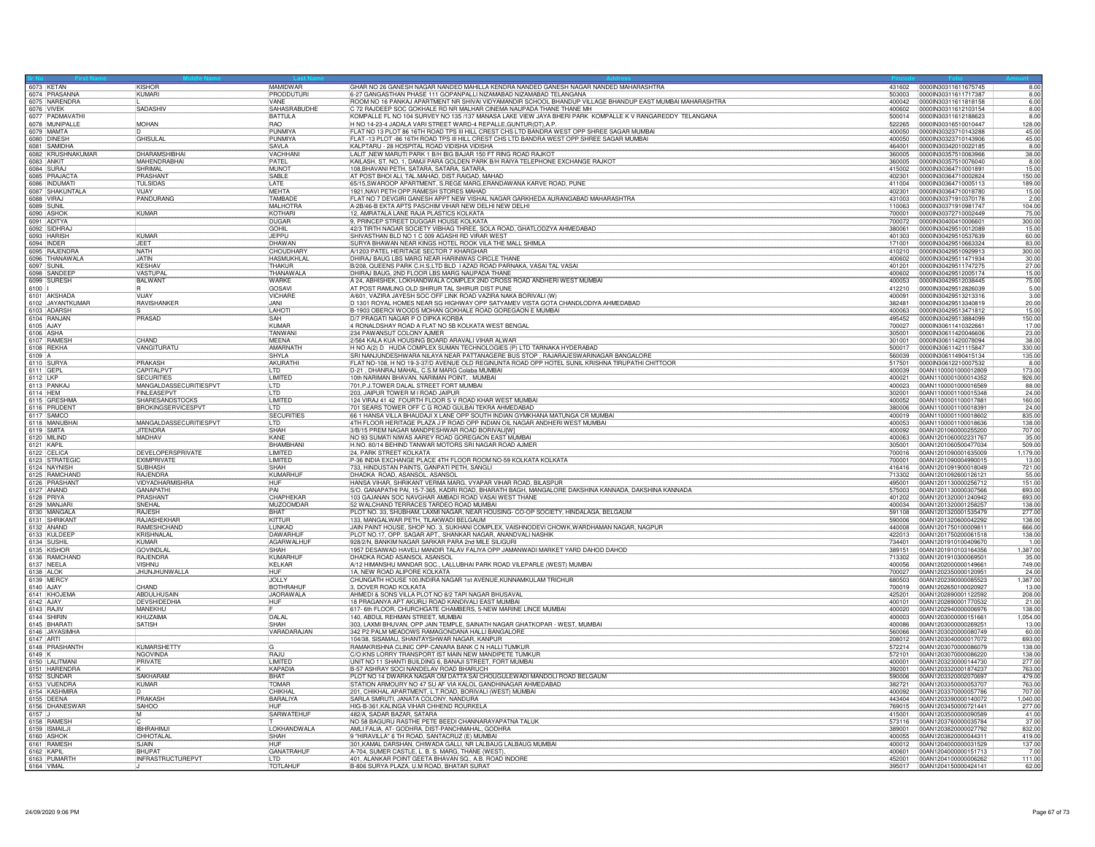| 6073 KETAN                 | <b>KISHOR</b>             | MAMIDWAR          | GHAR NO 26 GANESH NAGAR NANDED MAHILLA KENDRA NANDED GANESH NAGAR NANDED MAHARASHTRA                     |                  | 431602 0000IN30311611675745                         | 8.00            |
|----------------------------|---------------------------|-------------------|----------------------------------------------------------------------------------------------------------|------------------|-----------------------------------------------------|-----------------|
| 6074 PRASANNA              | KUMARI                    | <b>PRODDUTURI</b> | 6-27 GANGASTHAN PHASE 111 GOPANPALLI NIZAMABAD NIZAMABAD TELANGANA                                       | 503003           | 0000lN30311611717387                                | 8.00            |
| 6075 NARENDRA              |                           | VANF              | ROOM NO 16 PANKAJ APARTMENT NR SHIVAI VIDYAMANDIR SCHOOL BHANDUP VILLAGE BHANDUP EAST MUMBAI MAHARASHTRA | 400042           | 00000N30311611818158                                | 6.00            |
| 6076 VIVEK                 | <b>SADASHIV</b>           | SAHASRABUDHE      | C 72 RAJDEEP SOC GOKHALE RD NR MALHAR CINEMA NAUPADA THANE THANE MH                                      | 400602           | 0000lN30311612103154                                | 8.00            |
| 6077 PADMAVATHI            |                           | <b>BATTULA</b>    | KOMPALLE FL NO 104 SURVEY NO 135 /137 MANASA LAKE VIEW JAYA BHERI PARK KOMPALLE K V RANGAREDDY TELANGANA |                  | 500014  00000030311612188623                        | 8.00            |
| 6078 MUNIPALLE             | <b>MOHAN</b>              | RAO               | H NO 14-23-4 JADALA VARI STREET WARD-4 REPALLE, GUNTUR(DT), A.P.                                         |                  | 522265 000000030316510010447                        | 128.00          |
| 6079 MAMTA                 |                           | <b>PUNMIYA</b>    | FLAT NO 13 PLOT 86 16TH ROAD TPS III HILL CREST CHS LTD BANDRA WEST OPP SHREE SAGAR MUMBAI               | 400050           | 0000IN30323710143288                                | 45.00           |
| 6080 DINESH                | <b>GHISULAL</b>           | PUNMIYA           | FLAT -13 PLOT -86 16TH ROAD TPS III HILL CREST CHS LTD BANDRA WEST OPP SHREE SAGAR MUMBAI                | 400050           | 0000030323710143906                                 | 45.00           |
| 6081 SAMIDHA               |                           | <b>SAVLA</b>      | KALPTARU - 28 HOSPITAL ROAD VIDISHA VIDISHA                                                              | 464001           | 0000IN30342010022185                                | 8.00            |
| 6082 KRUSHNAKUMAR          | <b>DHARAMSHIBHAI</b>      | VACHHAN           | LALIT, NEW MARUTI PARK 1 B/H BIG BAJAR 150 FT RING ROAD RAJKOT                                           | 360005           | 00000N30357510063966                                | 38.00           |
| 6083 ANKIT                 | MAHENDRABHAI              | PATEL             | KAILASH, ST. NO. 1, DAMJI PARA GOLDEN PARK B/H RAIYA TELEPHONE EXCHANGE RAJKOT                           |                  | 360005 0000IN30357510076040                         | 8.00            |
| 6084 SURA                  | SHRIMAL                   | MUNOT             | 108, BHAVANI PETH, SATARA, SATARA, SATARA,                                                               | 415002           | 00000N30364710001891                                | 15.00           |
| 6085 PRAJACTA              | PRASHAN <sup>®</sup>      | SABLE             | AT POST BHOI ALI, TAL.MAHAD, DIST.RAIGAD, MAHAD                                                          | 402301           | 0000IN30364710002824                                | 150.00          |
| 6086 INDUMATI              | TULSIDAS                  | LATE              | 65/15, SWAROOP APARTMENT, S.REGE MARG, ERANDAWANA KARVE ROAD, PUNE                                       |                  | 411004 00000N30364710005113                         | 189.00          |
| 6087 SHAKUNTALA            | <b>VIJAY</b>              | <b>MEHTA</b>      | 1921, NAVI PETH OPP. RAMESH STORES MAHAD                                                                 | 402301           | 00000N30364710018780                                | 15.00           |
| 6088 VIRAJ                 | PANDURANG                 | <b>TAMBADE</b>    | FLAT NO 7 DEVGIRI GANESH APPT NEW VISHAL NAGAR GARKHEDA AURANGABAD MAHARASHTRA                           |                  | 431003 0000IN30371910370178                         | 2.00            |
| 6089 SUNIL                 |                           | MALHOTRA          | A-2B/46-B EKTA APTS PASCHIM VIHAR NEW DELHI NEW DELHI                                                    | 110063           | 00000N30371910981747                                | 104.00          |
| 6090 ASHOK                 | <b>KUMAR</b>              | KOTHARI           | 12, AMRATALA LANE RAJA PLASTICS KOLKATA                                                                  | 700001           | 0000IN30372710002449                                | 75.00           |
| 6091 ADITYA                |                           | DUGAR             | 9, PRINCEP STREET DUGGAR HOUSE KOLKATA                                                                   | 700072           | 0000IN30400410006601                                | 300.00          |
| 6092 SIDHRAJ               |                           | <b>GOHIL</b>      | 42/3 TIRTH NAGAR SOCIETY VIBHAG THREE, SOLA ROAD, GHATLODZYA AHMEDABAD                                   | 380061           | 00000N30429510012089                                | 15.00           |
| 6093 HARISH                | KUMAR                     | <b>JEPPU</b>      | SHIVASTHAN BLD NO 1 C 009 AGASHI RD VIRAR WEST                                                           | 401303           | 0000IN30429510537639                                | 60.00           |
| 6094 INDER                 | <b>JFFT</b>               | DHAWAN            | SURYA BHAWAN NEAR KINGS HOTEL ROOK VILA THE MALL SHIMLA                                                  | 171001           | 0000IN30429510663324                                | 83.00           |
| 6095 RAJENDRA              | NATH                      | CHOUDHARY         | A/1203 PATEL HERITAGE SECTOR 7 KHARGHAR                                                                  | 410210           | 0000IN30429510929913                                | 300.00          |
| 6096 THANAWALA             | JATIN                     | <b>HASMUKHLAL</b> | DHIRAJ BAUG LBS MARG NEAR HARINIWAS CIRCLE THANE                                                         | 400602           | 0000lN30429511471934                                | 30.00           |
| 6097 SUNIL                 | KESHAV                    | THAKUR            | B/208, QUEENS PARK C.H.S.LTD BLD   AZAD ROAD PARNAKA, VASAI TAL VASAI                                    | 401201           | 00000N30429511747275                                | 27.00           |
| 6098 SANDEEP               | VASTUPAL                  |                   | DHIRAJ BAUG, 2ND FLOOR LBS MARG NAUPADA THANE                                                            |                  |                                                     |                 |
|                            |                           | <b>THANAWALA</b>  |                                                                                                          | 400602           | 0000lN30429512005174                                | 15.00           |
| 6099 SURESH                | BALWANT                   | <b>WARKF</b>      | A 24, ABHISHEK, LOKHANDWALA COMPLEX 2ND CROSS ROAD ANDHERI WEST MUMBAI                                   |                  | 400053  0000IN30429512038445                        | 75.00           |
| 6100                       |                           | GOSAV             | AT POST RAMLING OLD SHIRUR TAL SHIRUR DIST PUNE                                                          | 412210           | 0000IN30429512826039                                | 5.00            |
| 6101 AKSHADA               | <b>VIJAY</b>              | <b>VICHARE</b>    | A/601, VAZIRA JAYESH SOC OFF LINK ROAD VAZIRA NAKA BORIVALI (W)                                          | 400091           | 0000lN30429513213316                                | 3.00            |
| 6102 JAYANTKUMAR           | RAVISHANKER               | JANI              | D 1301 ROYAL HOMES NEAR SG HIGHWAY OPP SATYAMEV VISTA GOTA CHANDLODIYA AHMEDABAD                         | 382481           | 0000IN30429513340819                                | 20.00           |
| 6103 ADARSH                |                           | LAHOTI            | B-1903 OBEROI WOODS MOHAN GOKHALE ROAD GOREGAON E MUMBAI                                                 | 400063           | 00000N30429513471812                                | 15.00           |
| 6104 RANJAN                | PRASAD                    | <b>SAH</b>        | D/7 PRAGATI NAGAR P O DIPKA KORBA                                                                        | 495452           | 0000IN30429513884099                                | 150.00          |
| 6105 AJAY                  |                           | KUMAR             | 4 RONALDSHAY ROAD A FLAT NO 5B KOLKATA WEST BENGAL                                                       | 700027           | 0000lN30611410322661                                | 17.00           |
| 6106 ASHA                  |                           | TANWAN            | 234 PAWANSUT COLONY AJMER                                                                                | 305001           | 0000IN30611420046606                                | 23.00           |
| 6107 RAMESH                | CHAND                     | <b>MEENA</b>      | 2/564 KALA KUA HOUSING BOARD ARAVALI VIHAR ALWAR                                                         | 301001           | 0000lN30611420078094                                | 38.00           |
| 6108 REKHA                 | VANGITURATU               | AMARNATH          | H NO A(2) D HUDA COMPLEX SUMAN TECHNOLOGIES (P) LTD TARNAKA HYDERABAD                                    | 500017           | 00000N30611421115847                                | 330.00          |
| 6109 A                     |                           | SHYLA             | SRI NANJUNDESHWARA NILAYA NEAR PATTANAGERE BUS STOP, RAJARAJESWARINAGAR BANGALORE                        | 560039           | 0000lN30611490415134                                | 135.00          |
| 6110 SURYA                 | PRAKASH                   | AKURATHI          | FLAT NO-108, H NO 19-3-37/D AVENUE OLD REGINUNTA ROAD OPP HOTEL SUNIL KRISHNA TIRUPATHI CHITTOOR         | 517501           | 0000IN30612210007532                                | 8.00            |
| 6111 GEPL                  | CAPITALPV                 | LTD               | D-21, DHANRAJ MAHAL, C.S.M MARG Colaba MUMBAI                                                            | 400039           | 00AN1100001000012809                                | 173.00          |
| 6112 LKP                   | <b>SECURITIES</b>         | LIMITED           | 10th NARIMAN BHAVAN, NARIMAN POINT, MUMBAI                                                               | 400021           | 00AN1100001000014352                                | 926.00          |
| 6113 PANKAJ                | MANGALDASSECURITIESPVT    | II TD             | 701, P.J. TOWER DALAL STREET FORT MUMBAI                                                                 | 400023           | 00AN1100001000016569                                | 88.00           |
| 6114 HEM                   | <b>FINLEASEPVT</b>        | <b>ILTD</b>       | 203, JAIPUR TOWER M I ROAD JAIPUR                                                                        | 302001           | 00AN1100001100015348                                | 24.00           |
| 6115 GRESHMA               | SHARESANDSTOCKS           | LIMITED           | 124 VIRAJ 41 42 FOURTH FLOOR S V ROAD KHAR WEST MUMBAI                                                   | 400052           | 00AN1100001100017881                                | 160.00          |
| 6116 PRUDENT               | <b>BROKINGSERVICESPVT</b> | I TD              | 701 SEARS TOWER OFF C G ROAD GULBAI TEKRA AHMEDABAD                                                      | 380006           | 00AN1100001100018391                                | 24.00           |
| 6117 SAMCO                 |                           | <b>SECURITIES</b> | 66 1 HANSA VILLA BHAUDAJI X LANE OPP SOUTH INDIAN GYMKHANA MATUNGA CR MUMBAI                             |                  |                                                     | 835.00          |
| 6118 MANUBHAI              | MANGALDASSECURITIESPVT    | II TD             | 4TH FLOOR HERITAGE PLAZA J P ROAD OPP INDIAN OIL NAGAR ANDHERI WEST MUMBAI                               | 400053           | 00AN1100001100018636                                | 138.00          |
| 6119 SMITA                 | <b>JITENDRA</b>           | <b>SHAH</b>       | 3/B/15 PREM NAGAR MANDPESHWAR ROAD BORIVALI[W]                                                           |                  | 400092 00AN1201060000255200                         | 707.00          |
| 6120 MILIND                | <b>MADHAV</b>             | KANE              | NO 93 SUMATI NIWAS AAREY ROAD GOREGAON EAST MUMBA                                                        | 400063           | 00AN1201060002231767                                | 35.00           |
| 6121 KAPIL                 |                           | BHAMBHANI         | H.NO. 80/14 BEHIND TANWAR MOTORS SRI NAGAR ROAD AJMER                                                    | 305001           | 00AN1201060500477034                                | 509.00          |
|                            | <b>DEVELOPERSPRIVATE</b>  | <b>ILIMITED</b>   | 24. PARK STREET KOLKATA                                                                                  |                  |                                                     |                 |
| 6122 CELICA                |                           |                   |                                                                                                          |                  |                                                     | 1.179.00        |
| 6123 STRATEGIC             | EXIMPRIVATE               | LIMITED           | P-36 INDIA EXCHANGE PLACE 4TH FLOOR ROOM NO-59 KOLKATA KOLKATA                                           | 700001           | 00AN1201090004990015                                | 13.00           |
| 6124 NAYNISH               | SUBHASH                   | SHAH              | 733, HINDUSTAN PAINTS, GANPATI PETH, SANGLI                                                              |                  |                                                     | 721.00          |
| 6125 RAMCHAND              | <b>RAJENDRA</b>           | KUMARHUF          | DHADKA ROAD, ASANSOL. ASANSOL                                                                            | 713302           | 00AN1201092600126121                                | 55.00           |
| 6126 PRASHANT              | VIDYADHARMISHRA           | <b>IHUF</b>       | HANSA VIHAR, SHRIKANT VERMA MARG, VYAPAR VIHAR ROAD, BILASPUR                                            | 495001           | 00AN1201130000256712                                | 151.00          |
| 6127 ANAND                 | GANAPATHI                 | <b>PAI</b>        | S/O. GANAPATHI PAI, 15-7-365, KADRI ROAD, BHARATH BAGH, MANGALORE DAKSHINA KANNADA, DAKSHINA KANNADA     |                  | 575003  00AN1201130000307566                        | 693.00          |
| 6128 PRIYA                 | PRASHANT                  | CHAPHEKAR         | 103 GAJANAN SOC NAVGHAR AMBADI ROAD VASAI WEST THANE                                                     | 401202           | 00AN1201320001240942                                | 693.00          |
| 6129 MANJAR                | SNEHAL                    | MUZOOMDAR         | 52 WALCHAND TERRACES TARDEO ROAD MUMBAI                                                                  |                  |                                                     | 138.00          |
| 6130 MANGAL/               | <b>RAJESH</b>             | BHAT              | PLOT NO. 33, SHUBHAM, LAXMI NAGAR, NEAR HOUSING- CO-OP SOCIETY, HINDALAGA, BELGAUM                       | 591108           | 00AN1201320001535479                                | 277.00          |
| 6131 SHRIKANT              | <b>RAJASHEKHAF</b>        | KITTUR            | 133, MANGALWAR PETH, TILAKWADI BELGAUM                                                                   | 590006           | 00AN1201320600042292                                | 138.00          |
| 6132 ANAND                 | RAMESHCHAND               | LUNKAD            | JAIN PAINT HOUSE, SHOP NO. 3, SUKHANI COMPLEX, VAISHNODEVI CHOWK, WARDHAMAN NAGAR, NAGPUR                |                  | 440008  00AN1201750100009811                        | 666.00          |
| 6133 KULDEEP               | KRISHNALAL                | DAWARHUI          | PLOT NO.17, OPP. SAGAR APT., SHANKAR NAGAR, ANANDVALI NASHIK                                             | 422013           | 00AN1201750200061518                                | 138.00          |
| 6134 SUSHIL                | <b>KUMAR</b>              | AGARWALHUR        | 928/2/N, BANKIM NAGAR SARKAR PARA 2nd MILE SILIGURI                                                      | 734401           | 00AN1201910100409670                                | 1.00            |
| 6135 KISHOR                | <b>GOVINDI AI</b>         | SHAH              | 1957 DESAIWAD HAVELI MANDIR TALAV FALIYA OPP JAMANWADI MARKET YARD DAHOD DAHOD                           | 389151           | 00AN1201910103164356                                | 1,387.00        |
| 6136 RAMCHAND              | RAJENDRA                  | KUMARHUI          | DHADKA ROAD ASANSOL ASANSOL                                                                              | 713302           | 00AN1201910300069501                                | 35.00           |
| 6137 NEELA                 | VISHNU                    | KELKAR            | A/12 HIMANSHU MANDAR SOC., LALLUBHAI PARK ROAD VILEPARLE (WEST) MUMBAI                                   | 400056           | 00AN1202000000149661                                | 749.00          |
| 6138 ALOK                  | JHUNJHUNWALLA             |                   | 1A, NEW ROAD ALIPORE KOLKATA                                                                             | 700027           | 00AN1202350000120951                                | 24.00           |
| 6139 MERCY                 |                           | JOLLY             | CHUNGATH HOUSE 100, INDIRA NAGAR 1st AVENUE, KUNNAMKULAM TRICHUR                                         | 680503           | 00AN1202390000085523                                | 1,387.00        |
| 6140 AJAY                  | CHAND                     |                   |                                                                                                          |                  | 700019  00AN1202650100020927                        | 13.00           |
|                            |                           | <b>BOTHRAHUR</b>  | 3. DOVER ROAD KOLKATA                                                                                    |                  |                                                     |                 |
| 6141 KHOJEMA               | ABDULHUSAIN               | JAORAWALA         |                                                                                                          |                  |                                                     |                 |
| 6142 AJAY                  | <b>DEVSHIDEDHIA</b>       | <b>HUF</b>        | AHMEDI & SONS VILLA PLOT NO 8/2 TAPI NAGAR BHUSAVAL                                                      | 425201<br>400101 | 00AN1202890001122592<br>00AN1202890001770532        | 208.00          |
|                            |                           |                   | 18 PRAGANYA APT AKURLI ROAD KANDIVALI EAST MUMBAI                                                        |                  |                                                     | 21.00           |
| 6143 RAJIV                 | MANEKHU                   |                   | 617- 6th FLOOR, CHURCHGATE CHAMBERS, 5-NEW MARINE LINCE MUMBAI                                           | 400020           | 00AN1202940000006976                                | 138.00          |
| 6144 SHIRIN                | KHUZAIMA                  | DALAL             | 140, ABDUL REHMAN STREET, MUMBAI                                                                         | 400003           | 00AN1203000000151661                                | 1,054.00        |
| 6145 BHARATI               | SATISH                    | SHAH              | 303, LAXMI BHUVAN, OPP JAIN TEMPLE, SAINATH NAGAR GHATKOPAR - WEST, MUMBAI                               | 400086           | 00AN1203000000269251                                | 13.00           |
| 6146 JAYASIMHA             |                           | VARADARAJAN       | 342 P2 PALM MEADOWS RAMAGONDANA HALLI BANGALORE                                                          | 560066           | 00AN1203020000080749                                | 60.00           |
| 6147 ARTI                  |                           |                   | 104/38, SISAMAU, SHANTAYSHWAR NAGAR, KANPUR                                                              |                  |                                                     | 693.00          |
| 6148 PRASHANTH             | <b>KUMARSHETTY</b>        |                   | RAMAKRISHNA CLINIC OPP-CANARA BANK C N HALLI TUMKUR                                                      | 572214           | 00AN1203070000086079                                | 138.00          |
| 6149 K                     | NGOVINDA                  | RAJU              | C/O:KNS LORRY TRANSPORT IST MAIN NEW MANDIPETE TUMKUR                                                    | 572101           | 00AN1203070000086220                                | 138.00          |
| 6150 LALITMANI             | PRIVATE                   | <b>I IMITED</b>   | UNIT NO 11 SHANTI BUILDING 6, BANAJI STREET, FORT MUMBAI                                                 | 400001           | 00AN1203230000144730                                | 277.00          |
| 6151 HARENDRA              |                           | KAPADIA           | B-57 ASHRAY SOCI NANDELAV ROAD BHARUCH                                                                   | 392001           | 00AN1203320001874237                                | 763.00          |
| 6152 SUNDAR                | SAKHARAM                  | <b>BHAT</b>       | PLOT NO 14 DWARKA NAGAR OM DATTA SAI CHOUGULEWADI MANDOLI ROAD BELGAUM                                   | 590006           | 00AN1203320002070697                                | 479.00          |
| 6153 VIJENDRA              | KUMAR                     | <b>TOMAR</b>      | STATION ARMOURY NO 47 SU AF VIA KALOL GANDHINAGAR AHMEDABAD                                              | 382721           | 00AN1203350000053707                                | 763.00          |
| 6154 KASHMIRA              |                           | CHIKHAI           | 201, CHIKHAL APARTMENT, L.T.ROAD, BORIVALI (WEST) MUMBAI                                                 | 400092           | 00AN1203370000057786                                | 707.00          |
| 6155 DEENA                 | PRAKASH                   | BARALIYA          | SARLA SMRUTI, JANATA COLONY, NANDURA                                                                     |                  | 443404  00AN1203390000140072                        | 1,040.00        |
| 6156 DHANESWAR             | SAHOO                     |                   | HIG-B-361, KALINGA VIHAR CHHEND ROURKELA                                                                 | 769015           | 00AN1203450000721441                                | 277.00          |
| $6157$ J                   | M                         | SARWATEHUF        | 482/A, SADAR BAZAR, SATARA                                                                               | 415001           | 00AN1203500000090589                                | 41.00           |
| 6158 RAMESH                |                           |                   | NO 58 BAGURU RASTHE PETE BEEDI CHANNARAYAPATNA TALUK                                                     | 573116           | 00AN1203760000035784                                | 37.00           |
| 6159 ISMAILJI              | <b>IBHRAHIMJ</b>          | LOKHANDWALA       | AMLI FALIA, AT- GODHRA, DIST-PANCHMAHAL, GODHRA                                                          | 389001           | 00AN1203820000027792                                | 832.00          |
| 6160 ASHOK                 | CHHOTALAI                 | SHAH              | 9 "HIRAVILLA" 6 TH ROAD, SANTACRUZ (E) MUMBAI                                                            |                  | 400055 00AN1203820000044311                         | 419.00          |
| 6161 RAMESH                | SJAIN                     |                   | 301, KAMAL DARSHAN, CHIWADA GALLI, NR LALBAUG LALBAUG MUMBAI                                             | 400012           | 00AN1204000000031529                                | 137.00          |
| 6162 KAPIL                 | <b>BHUPAT</b>             | GANATRAHUF        | A-704, SUMER CASTLE, L. B. S. MARG, THANE (WEST)                                                         | 400601           | 00AN1204000000151713                                | 7.00            |
| 6163 PUMARTH<br>6164 VIMAL | <b>INFRASTRUCTUREPVT</b>  | I TD<br>TOTLAHUR  | 401. ALANKAR POINT GEETA BHAVAN SQ., A.B. ROAD INDORE<br>B-806 SURYA PLAZA, U.M ROAD, BHATAR SURAT       | 452001           | 00AN1204100000006262<br>395017 00AN1204150000424141 | 111.00<br>62.00 |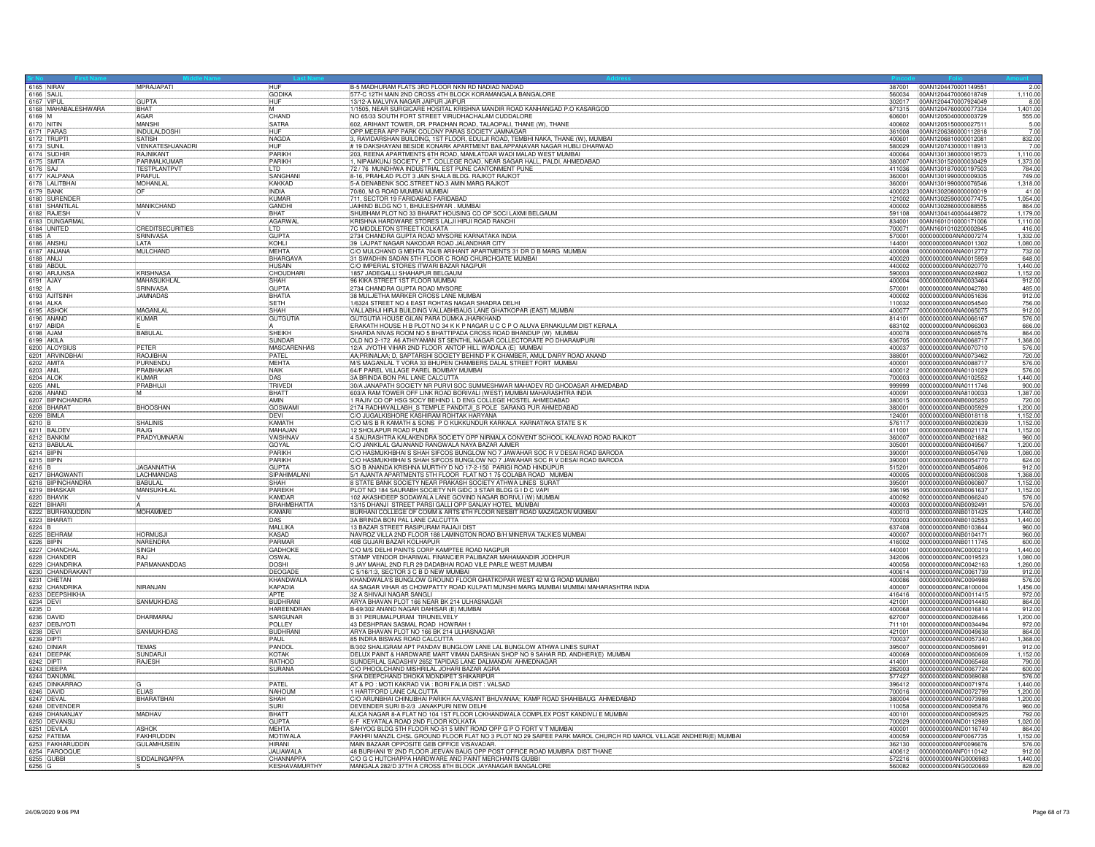| 6165 NIRAV               |                                   | MPRAJAPATI                       | <b>HUF</b>                       | B-5 MADHURAM FLATS 3RD FLOOR NKN RD NADIAD NADIAD                                                                                                              |                  | 387001 00AN1204470001149551                  | 2.00               |
|--------------------------|-----------------------------------|----------------------------------|----------------------------------|----------------------------------------------------------------------------------------------------------------------------------------------------------------|------------------|----------------------------------------------|--------------------|
| 6166 SALIL<br>6167 VIPUL |                                   | GUPTA                            | GODIKA<br><b>HUF</b>             | 577-C 12TH MAIN 2ND CROSS 4TH BLOCK KORAMANGALA BANGALORE<br>13/12-A MALVIYA NAGAR JAIPUR JAIPUR                                                               | 560034<br>302017 | 00AN1204470006018749<br>00AN1204470007924049 | 1,110.00<br>8.00   |
|                          | 6168 MAHABALESHWARA               | <b>BHAT</b>                      |                                  | 1/1505, NEAR SURGICARE HOSITAL KRISHNA MANDIR ROAD KANHANGAD P.O KASARGOD                                                                                      | 671315           | 00AN1204760000077334                         | 1.401.00           |
| 6169 M                   |                                   | <b>AGAR</b>                      | CHAND                            | NO 65/33 SOUTH FORT STREET VIRUDHACHALAM CUDDALORE                                                                                                             | 606001           | 00AN1205040000003729                         | 555.00             |
| 6170 NITIN               |                                   | MANSHI                           | <b>SATRA</b>                     | 602, ARIHANT TOWER, DR. PRADHAN ROAD, TALAOPALI, THANE (W), THANE                                                                                              |                  | 400602 00AN1205150000027511                  | 5.00               |
| 6171 PARAS               |                                   | <b>INDULALDOSHI</b>              | <b>HUF</b>                       | OPP MEERA APP PARK COLONY PARAS SOCIETY JAMNAGAR                                                                                                               | 361008           | 00AN1206380000112818                         | 7.00               |
|                          | 6172 TRUPT                        | <b>SATISH</b>                    | NAGDA                            | 3, RAVIDARSHAN BUILDING, 1ST FLOOR, EDULJI ROAD, TEMBHI NAKA, THANE (W), MUMBAI                                                                                | 400601           | 00AN1206810000012081                         | 832.00             |
| 6173 SUNIL               |                                   | VENKATESHJANADRI                 | <b>HUF</b>                       | #19 DAKSHAYANI BESIDE KONARK APARTMENT BAILAPPANAVAR NAGAR HUBLI DHARWAD                                                                                       | 580029           | 00AN1207430000118913                         | 7.00               |
|                          | 6174 SUDHIF                       | RAJNIKANT                        | PARIKH                           | 203, REENA APARTMENTS 6TH ROAD, MAMLATDAR WADI MALAD WEST MUMBAI                                                                                               | 400064           | 00AN1301380000019573                         | 1,110.00           |
| 6175 SMITA               |                                   | PARIMALKUMAF                     | PARIKH                           | 1, NIPAMKUNJ SOCIETY, P.T. COLLEGE ROAD, NEAR SAGAR HALL, PALDI, AHMEDABAD                                                                                     | 380007           | 00AN1301520000030429                         | 1,373.00           |
| 6176 SAJ                 |                                   | <b>TESTPLANTPVT</b>              | LTD                              | 72 / 76 MUNDHWA INDUSTRIAL EST PUNE CANTONMENT PUNE                                                                                                            | 411036           | 00AN1301870000197503                         | 784.00             |
|                          | 6177 KALPANA                      | PRAFUL                           | SANGHAN                          | 8-16, PRAHLAD PLOT 3 JAIN SHALA BLDG. RAJKOT RAJKOT<br>5-A DENABENK SOC.STREET NO.3 AMIN MARG RAJKOT                                                           | 360001           | 00AN1301990000009335                         | 749.00             |
|                          | 6178 LALITBHAI                    | MOHANLA                          | <b>KAKKAD</b>                    |                                                                                                                                                                | 360001           | 00AN1301990000076546                         | 1,318.00           |
| 6179 BANK                |                                   |                                  | <b>INDIA</b>                     | 70/80, M G ROAD MUMBAI MUMBAI                                                                                                                                  | 400023           | 00AN1302080000000019                         | 41.00              |
|                          | 6180 SURENDER                     |                                  | KUMAR                            | 711, SECTOR 19 FARIDABAD FARIDABAD                                                                                                                             | 121002           | 00AN1302590000077475                         | 1,054.00           |
|                          | 6181 SHANTILAL                    | <b>MANIKCHAND</b>                | GANDHI                           | JAIHIND BLDG NO 1, BHULESHWAR . MUMBAI                                                                                                                         | 400002           | 00AN1302860000088555                         | 864.00             |
|                          | 6182 RAJESH                       |                                  | BHAT                             | SHUBHAM PLOT NO 33 BHARAT HOUSING CO OP SOCI LAXMI BELGAUM                                                                                                     | 591108           | 00AN1304140004449872                         | 1,179.00           |
|                          | 6183 DUNGARMAI<br>6184 UNITED     | <b>CREDITSECURITIES</b>          | <b>AGARWA</b><br>LTD             | KRISHNA HARDWARE STORES LALJI HIRJI ROAD RANCHI<br>7C MIDDLETON STREET KOLKATA                                                                                 | 834001<br>700071 | 00AN1601010000171006<br>00AN1601010200002845 | 1,110.00<br>416.00 |
| 6185 A                   |                                   | SRINIVASA                        | <b>GUPTA</b>                     | 2734 CHANDRA GUPTA ROAD MYSORE KARNATAKA INDIA                                                                                                                 | 570001           | 0000000000ANA0007274                         | 1,332.00           |
| 6186 ANSHU               |                                   | LATA                             | KOHLI                            | 39 LAJPAT NAGAR NAKODAR ROAD JALANDHAR CITY                                                                                                                    | 144001           | 0000000000ANA0011302                         | 1.080.00           |
|                          | 6187 ANJANA                       | MULCHAND                         | <b>MFHTA</b>                     | C/O MULCHAND G MEHTA 704/B ARIHANT APARTMENTS 31 DR D B MARG MUMBAL                                                                                            | 400008           | 0000000000ANA0012772                         | 732.00             |
| 6188 ANUJ                |                                   |                                  | BHARGAVA                         | 31 SWADHIN SADAN 5TH FLOOR C ROAD CHURCHGATE MUMBAI                                                                                                            | 400020           | 0000000000ANA0015959                         | 648.00             |
| 6189 ABDUI               |                                   |                                  | <b>HUSAIN</b>                    | C/O IMPERIAL STORES ITWARI BAZAR NAGPUR                                                                                                                        | 440002           | 0000000000ANA0020770                         | 1.440.00           |
|                          | 6190 ARJUNSA                      | <b>KRISHNASA</b>                 | CHOUDHARI                        | 1857 JADEGALLI SHAHAPUR BELGAUM                                                                                                                                | 590003           | 0000000000ANA0024902                         | 1,152.00           |
| 6191 AJAY                |                                   | <b>MAHASUKHI AI</b>              | <b>ISHAH</b>                     | 96 KIKA STREET 1ST FLOOR MUMBAI                                                                                                                                | 1400004          | 10000000000ANA0033464                        | 912.00             |
| 6192 A                   |                                   | SRINIVASA                        | <b>GUPTA</b>                     | 2734 CHANDRA GUPTA ROAD MYSORE                                                                                                                                 | 570001           | 0000000000ANA0042780                         | 485.00             |
|                          | 6193 AJITSINH                     | <b>JAMNADAS</b>                  | BHATIA                           | 38 MULJETHA MARKER CROSS LANE MUMBAI                                                                                                                           | 400002           | 0000000000ANA0051636                         | 912.00             |
| 6194 ALKA                |                                   |                                  | <b>SETH</b>                      | 1/6324 STREET NO 4 EAST ROHTAS NAGAR SHADRA DELHI                                                                                                              | 110032           | 0000000000ANA0054540                         | 756.00             |
| 6195 ASHO                |                                   | MAGANLA                          | SHAH                             | VALLABHJI HIRJI BUILDING VALLABHBAUG LANE GHATKOPAR (EAST) MUMBAI                                                                                              | 400077           | 0000000000ANA0065075                         | 912.0              |
|                          | 6196 ANAND                        | KUMAR                            | <b>GUTGUTIA</b>                  | GUTGUTIA HOUSE GILAN PARA DUMKA JHARKHAND                                                                                                                      | 814101           | 0000000000ANA0066167                         | 576.00             |
| 6197 ABIDA               |                                   |                                  |                                  | ERAKATH HOUSE H B PLOT NO 34 K K P NAGAR U C C P O ALUVA ERNAKULAM DIST KERALA                                                                                 | 683102           | 0000000000ANA0066303                         | 666.00             |
| 6198 AJAM                |                                   | <b>BABULAL</b>                   | SHEIKH                           | SHARDA NIVAS ROOM NO 5 BHATTIPADA CROSS ROAD BHANDUP (W) MUMBA                                                                                                 | 400078           | 0000000000ANA0066576                         | 864.00             |
| 6199 AKILA               |                                   | PFTFR                            | SUNDAF                           | OLD NO 2-172 A6 ATHIYAMAN ST SENTHIL NAGAR COLLECTORATE PO DHARAMPURI                                                                                          | 636705<br>400037 | 0000000000ANA0068717<br>0000000000ANA0070710 | 1,368.00<br>576.00 |
|                          | 6200 ALOYSIUS<br>6201 ARVINDBHAI  | RAO.IIRHAI                       | <b>MASCARENHAS</b><br>PATFI      | 12/A JYOTHI VIHAR 2ND FLOOR ANTOP HILL WADALA (E) MUMBAI<br>AA; PRINALAA; D, SAPTARSHI SOCIETY BEHIND P K CHAMBER, AMUL DAIRY ROAD ANAND                       | 388001           | 0000000000ANA0073462                         | 720.00             |
| 6202 AMITA               |                                   | PURNENDL                         | <b>MEHTA</b>                     | M/S MAGANLAL T VORA 33 BHUPEN CHAMBERS DALAL STREET FORT MUMBAI                                                                                                | 400001           | 0000000000ANA0088717                         | 576.00             |
| 6203 ANIL                |                                   | PRABHAKAF                        | NAIK                             | 64/F PAREL VILLAGE PAREL BOMBAY MUMBAI                                                                                                                         | 400012           | 0000000000ANA0101029                         | 576.00             |
| 6204 ALOK                |                                   | KUMAR                            | DAS                              | 3A BRINDA BON PAL LANE CALCUTTA                                                                                                                                | 700003           | 0000000000ANA0102552                         | 1,440.00           |
| 6205 ANIL                |                                   | PRABHUJI                         | TRIVED                           | 30/A JANAPATH SOCIETY NR PURVI SOC SUMMESHWAR MAHADEV RD GHODASAR AHMEDABAD                                                                                    | 999999           | 0000000000ANA0111746                         | 900.00             |
|                          | 6206 ANAND                        |                                  | <b>BHATT</b>                     | 603/A RAM TOWER OFF LINK ROAD BORIVALI (WEST) MUMBAI MAHARASHTRA INDIA                                                                                         | 400091           | 0000000000ANA8100033                         | 1,387.00           |
|                          | 6207 BIPINCHANDRA                 |                                  | AMIN                             | 1 RAJIV CO OP HSG SOCY BEHIND L D ENG COLLEGE HOSTEL AHMEDABAD                                                                                                 | 380015           | 0000000000ANB0005250                         | 720.00             |
|                          | 6208 BHARAT                       | <b>BHOOSHAN</b>                  | <b>GOSWAM</b>                    | 2174 RADHAVALLABH_S TEMPLE PANDITJI_S POLE SARANG PUR AHMEDABAD                                                                                                | 380001           | 0000000000ANB0005929                         | 1,200.00           |
| 6209 BIMLA               |                                   |                                  | DEVI                             | C/O JUGALKISHORE KASHIRAM ROHTAK HARYANA                                                                                                                       | 124001           | 0000000000ANB0018118                         | 1.152.00           |
| 6210 B                   |                                   | SHALINIS                         | KAMATH                           | C/O M/S B R KAMATH & SONS P O KUKKUNDUR KARKALA KARNATAKA STATE S K                                                                                            | 576117           | 0000000000ANB0020639                         | 1.152.0            |
|                          | 6211 BALDEY                       | <b>RAIG</b>                      | MAHAJAN                          | 12 SHOLAPUR ROAD PUNE                                                                                                                                          | 411001           | 0000000000ANB0021174                         | 1.152.00           |
|                          | 6212 BANKIN                       | PRADYUMNARAI                     | VAISHNAV                         | 4 SAURASHTRA KALAKENDRA SOCIETY OPP NIRMALA CONVENT SCHOOL KALAVAD ROAD RAJKOT                                                                                 | 360007           | 0000000000ANB0021882                         | 960.00             |
|                          | 6213 BABULA                       |                                  | GOYAL                            | C/O JANKILAL GAJANAND RANGWALA NAYA BAZAR AJMER                                                                                                                | 305001           | 0000000000ANB0049567                         | 1,200.00           |
| 6214 BIPIN               |                                   |                                  | PARIKH                           | OO HASMUKHBHAI S SHAH SIFCOS BUNGLOW NO 7 JAWAHAR SOC R V DESAI ROAD BARODA<br>COO HASMUKHBHAI S SHAH SIFCOS BUNGLOW NO 7 JAWAHAR SOC R V DESAI ROAD BARODA    | 1390001          | 0000000000ANB0054769                         | 1.080.00           |
| 6215 BIPIN               |                                   |                                  | PARIKH                           |                                                                                                                                                                | 390001           | 0000000000ANB0054770                         | 624.00             |
| $6216$ B                 |                                   | <b>JAGANNATHA</b>                | <b>GUPTA</b>                     | S/O B ANANDA KRISHNA MURTHY D NO 17-2-150 PARIGI ROAD HINDUPUR                                                                                                 | 515201           | 0000000000ANB0054806                         | 912.00             |
|                          | 6217 BHAGWANTI                    | ACHMANDAS                        | SIPAHIMALANI                     | 5/1 AJANTA APARTMENTS 5TH FLOOR FLAT NO 1 75 COLABA ROAD MUMBA                                                                                                 | 400005           | 0000000000ANB0060308                         | 1,368.00           |
|                          | 6218 BIPINCHANDRA<br>6219 BHASKAR | <b>BABULAL</b>                   | SHAH<br>PAREKH                   | 8 STATE BANK SOCIETY NEAR PRAKASH SOCIETY ATHWA LINES SURAT<br>PLOT NO 184 SAURABH SOCIETY NR GIDC 3 STAR BLDG G I D C VAPI                                    | 395001           | 0000000000ANB0060807<br>0000000000ANB0061637 | 1,152.00           |
|                          |                                   | MANSUKHLAL                       | KAMDAR                           |                                                                                                                                                                | 396195<br>400092 | 0000000000ANB0066240                         | 1.152.00           |
|                          | 6220 BHAVIK<br>6221 BIHARI        |                                  | BRAHMBHATTA                      | 102 AKASHDEEP SODAWALA LANE GOVIND NAGAR BORIVLI (W) MUMBAI<br>13/15 DHANJI STREET PARSI GALLI OPP SANJAY HOTEL MUMBAI                                         | 400003           | 0000000000ANB0092491                         | 576.00<br>576.00   |
|                          | 6222 BURHANUDDIN                  | <b>MOHAMMED</b>                  | KAMARI                           | BURHANI COLLEGE OF COMM & ARTS 6TH FLOOR NESBIT ROAD MAZAGAON MUMBAI                                                                                           | 400010           | 0000000000ANB0101425                         | 1,440.00           |
|                          |                                   |                                  | DAS                              | 3A BRINDA BON PAL LANE CALCUTTA                                                                                                                                | 700003           | 0000000000ANB0102553                         | 1.440.00           |
|                          | 6223 BHARATI                      |                                  | MAI LIKA                         | 13 BAZAR STREET RASIPURAM RAJAJI DIST                                                                                                                          |                  | 637408  00000000000ANB0103844                | 960.00             |
|                          | 6225 BEHRAN                       | <b>HORMUSJ</b>                   | KASAD                            | NAVROZ VILLA 2ND FLOOR 188 LAMINGTON ROAD B/H MINERVA TALKIES MUMBAI                                                                                           | 400007           | 0000000000ANB0104171                         | 960.00             |
| 6226 BIPIN               |                                   | NARENDRA                         | PARMAF                           | 40B GUJARI BAZAR KOLHAPUR                                                                                                                                      | 416002           | 10000000000ANB0111745                        | 600.00             |
|                          | 6227 CHANCHAL                     | SINGH                            | <b>GADHOKE</b>                   | C/O M/S DELHI PAINTS CORP KAMPTEE ROAD NAGPUR                                                                                                                  | 440001           | 0000000000ANC0000219                         | 1.440.00           |
|                          | 6228 CHANDER                      | RA.I                             | OSWAL                            | STAMP VENDOR DHARIWAL FINANCIER PALIBAZAR MAHAMANDIR JODHPUR                                                                                                   | 342006           | 0000000000ANC0019523                         | 1.080.00           |
|                          | 6229 CHANDRIKA                    | PARMANANDDAS                     | <b>DOSHI</b>                     | 9 JAY MAHAL 2ND FLR 29 DADABHAI ROAD VILE PARLE WEST MUMBAI                                                                                                    | 400056           | 0000000000ANC0042163                         | 1.260.00           |
|                          | 6230 CHANDRAKANT                  |                                  | DEOGADE                          | C 5/16/1:3, SECTOR 3 C B D NEW MUMBAI                                                                                                                          | 400614           | 0000000000ANC0061739                         | 912.0              |
|                          | 6231 CHETAN                       |                                  | KHANDWALA                        | KHANDWALA'S BUNGLOW GROUND FLOOR GHATKOPAR WEST 42 M G ROAD MUMBAI                                                                                             | 400086           | 0000000000ANC0094988                         | 576.00             |
|                          | 6232 CHANDRIKA                    | NIRANJAN                         | KAPADIA                          | 4A SAGAR VIHAR 45 CHOWPATTY ROAD KULPATI MUNSHI MARG MUMBAI MUMBAI MAHARASHTRA INDIA                                                                           | 400007           | 0000000000ANC8100004                         | 1.456.00           |
|                          | 6233 DEEPSHIKHA                   |                                  | APTF                             | 32 A SHIVAJI NAGAR SANGLI                                                                                                                                      | 416416           | 0000000000AND0011415                         | 972.00             |
| 6234 DEVI                |                                   | SANMUKHDAS                       | <b>BUDHRAN</b>                   | ARYA BHAVAN PLOT 166 NEAR BK 214 ULHASNAGAR                                                                                                                    | 421001           | 0000000000AND0014480                         | 864.00             |
| 6235 D<br>6236 DAVID     |                                   | DHARMARAJ                        | <b>HAREENDRAN</b>                | B-69/302 ANAND NAGAR DAHISAR (E) MUMBAI<br><b>B 31 PERUMALPURAM TIRUNELVELY</b>                                                                                | 400068           | 0000000000AND0016814                         | 912.0<br>1,200.00  |
|                          | 6237 DEBJYOT                      |                                  | SARGUNAR<br><b>POLLEY</b>        | 43 DESHPRAN SASMAL ROAD HOWRAH                                                                                                                                 | 627007<br>711101 | 0000000000AND0028466<br>0000000000AND0034494 | 972.00             |
| 6238 DEVI                |                                   | SANMUKHDAS                       | <b>BUDHRAN</b>                   | ARYA BHAVAN PLOT NO 166 BK 214 ULHASNAGAR                                                                                                                      | 421001           | 0000000000AND0049638                         | 864.00             |
| 6239 DIPTI               |                                   |                                  | PAUL                             | 85 INDRA BISWAS ROAD CALCUTTA                                                                                                                                  | 700037           | 0000000000AND0057340                         | 1,368.00           |
| 6240 DINIAF              |                                   | <b>TEMAS</b>                     | PANDOL                           | B/302 SHALIGRAM APT PANDAV BUNGLOW LANE LAL BUNGLOW ATHWA LINES SURAT                                                                                          | 395007           | 0000000000AND0058691                         | 912.0              |
|                          | 6241 DEEPAK                       | SUNDARJI                         | KOTAK                            | DELUX PAINT & HARDWARE MART VIMAN DARSHAN SHOP NO 9 SAHAR RD, ANDHERI(E) MUMBAI                                                                                | 400069           | 0000000000AND0060609                         | 1,152.00           |
| 6242 DIPTI               |                                   | <b>RAJESH</b>                    | RATHOD                           | SUNDERLAL SADASHIV 2652 TAPIDAS LANE DALMANDAI AHMEDNAGAR                                                                                                      | 414001           | 0000000000AND0065468                         | 790.00             |
| 6243 DEFPA               |                                   |                                  | <b>SURANA</b>                    | C/O PHOOLCHAND MISHRILAL JOHARI BAZAR AGRA                                                                                                                     | 282003           | 0000000000AND0067724                         | 600.00             |
|                          | 6244 DANUMAL                      |                                  |                                  | SHA DEEPCHAND DHOKA MONDIPET SHIKARIPUR                                                                                                                        | 577427           | 0000000000AND0069088                         | 576.00             |
|                          | 6245 DINKARRAO                    |                                  | PATEL                            | AT & PO: MOTI KAKRAD VIA: BORI FALIA DIST: VALSAD                                                                                                              | 396412           | 0000000000AND0071974                         | 1,440.00           |
| 6246 DAVID               |                                   | <b>FI</b> IAS                    | NAHOUM                           | 1 HARTFORD LANE CALCUTTA                                                                                                                                       | 700016           | 0000000000AND0072799                         | 1,200.00           |
| 6247 DEVAL               |                                   | BHARATBHAI                       | <b>SHAH</b>                      | C/O ARUNBHAI CHINUBHAI PARIKH AA; VASANT BHUVANAA; KAMP ROAD SHAHIBAUG AHMEDABAD                                                                               | 380004           | 0000000000AND0073988                         | 1,200.00           |
|                          | 6248 DEVENDER                     |                                  | SURI                             | DEVENDER SURI B-2/3 JANAKPURI NEW DELHI                                                                                                                        | 110058           | 0000000000AND0095876                         | 960.00             |
|                          | 6249 DHANANJAY                    | MADHAV                           | BHATT                            | ALICA NAGAR 8-A FLAT NO 104 1ST FLOOR LOKHANDWALA COMPLEX POST KANDIVLI E MUMBAI                                                                               | 400101           | 0000000000AND0095925                         | 792.00             |
|                          | 6250 DEVANSU                      | <b>ASHOK</b>                     | GUPTA<br>MFHTA                   | 6-F KEYATALA ROAD 2ND FLOOR KOLKATA<br>SAHYOG BLDG 5TH FLOOR NO-51 5 MINT ROAD OPP G P O FORT V T MUMBAI                                                       | 700029           | 0000000000AND0112989                         | 1,020.0            |
|                          |                                   |                                  |                                  |                                                                                                                                                                | 400001           | 0000000000AND0116749                         | 864.00             |
|                          | 6252 FATEMA<br>6253 FAKHARUDDIN   | FAKHRUDDIN<br><b>GULAMHUSEIN</b> | <b>MOTIWALA</b><br><b>HIRANI</b> | FAKHRI MANZIL CHSL GROUND FLOOR FLAT NO 3 PLOT NO 29 SAIFEE PARK MAROL CHURCH RD MAROL VILLAGE ANDHERI(E) MUMBAI<br>MAIN BAZAAR OPPOSITE GEB OFFICE VISAVADAR. | 400059<br>362130 | 0000000000ANF0067735<br>0000000000ANF0096676 | 1,152.00<br>576.00 |
|                          | 6254 FAROOQUE                     |                                  | <b>JALIAWALA</b>                 | 48 BURHANI 'B' 2ND FLOOR JEEVAN BAUG OPP POST OFFICE ROAD MUMBRA DIST THANE                                                                                    |                  |                                              | 912.00             |
| 6255 GUBBI               |                                   | SIDDALINGAPPA                    | CHANNAPP/                        | C/O G C HUTCHAPPA HARDWARE AND PAINT MERCHANTS GUBBI                                                                                                           | 572216           | 0000000000ANG0006983                         | 1.440.00           |
| $6256$ <sup>G</sup>      |                                   |                                  | KESHAVAMURTHY                    | MANGALA 282/D 37TH A CROSS 8TH BLOCK JAYANAGAR BANGALORE                                                                                                       |                  | 560082 0000000000ANG0020669                  | 828.00             |
|                          |                                   |                                  |                                  |                                                                                                                                                                |                  |                                              |                    |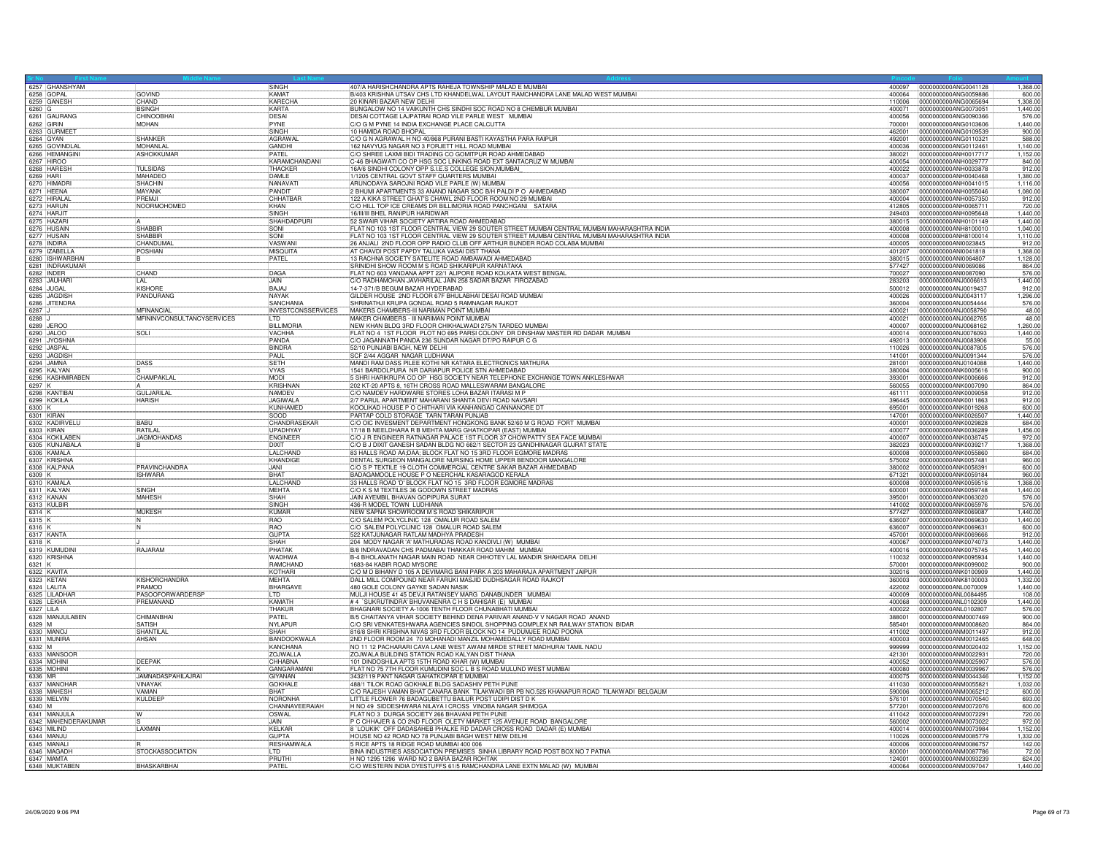| 6257 GHANSHYAM               |                                   | <b>SINGH</b>              | 407/A HARISHCHANDRA APTS RAHEJA TOWNSHIP MALAD E MUMBAI                                     |        | 400097  0000000000ANG0041128<br>1,368.00                           |
|------------------------------|-----------------------------------|---------------------------|---------------------------------------------------------------------------------------------|--------|--------------------------------------------------------------------|
| 6258 GOPAL                   | <b>GOVIND</b>                     | KAMAT                     | B/403 KRISHNA UTSAV CHS LTD KHANDELWAL LAYOUT RAMCHANDRA LANE MALAD WEST MUMBAL             | 400064 | 0000000000ANG0059886<br>600.00                                     |
| 6259 GANES                   | CHAND                             | KARFCHA                   | 20 KINARI BAZAR NEW DELHI                                                                   | 110006 | 0000000000ANG0065694<br>1.308.00                                   |
| 6260 G                       | <b>BSINGH</b>                     | KARTA                     | BUNGALOW NO 14 VAIKUNTH CHS SINDHI SOC ROAD NO 8 CHEMBUR MUMBAI                             | 400071 | 0000000000ANG0073051<br>1,440.00                                   |
| 6261 GAURANG                 | CHINOOBHAI                        | <b>DESAI</b>              | DESAI COTTAGE LAJPATRAI ROAD VILE PARLE WEST MUMBAI                                         | 400056 | 0000000000ANG0090366<br>576.0                                      |
| 6262 GIRIN                   | <b>MOHAN</b>                      | PYNE                      | C/O G M PYNE 14 INDIA EXCHANGE PLACE CALCUTTA                                               | 700001 | 0000000000ANG0103606<br>1,440.00                                   |
| 6263 GURMEE                  |                                   | <b>ISINGH</b>             | 10 HAMIDA ROAD BHOPAL                                                                       | 462001 | 0000000000ANG0109539<br>900.00                                     |
| 6264 GYAN                    | <b>SHANKER</b>                    | <b>AGRAWA</b>             | C/O G N AGRAWAL H NO 40/868 PURANI BASTI KAYASTHA PARA RAIPUR                               | 492001 | 0000000000ANG0110321<br>588.00                                     |
| 6265 GOVINDLA                | <b>MOHANLAL</b>                   | GANDHI                    | 162 NAVYUG NAGAR NO 3 FORJETT HILL ROAD MUMBAI                                              | 400036 | 0000000000ANG0112461<br>1,140.00                                   |
| 6266 HEMANGINI               | <b>ASHOKKUMAR</b>                 | PATEL                     | C/O SHREE LAXMI BIDI TRADING CO GOMITPUR ROAD AHMEDABAD                                     | 380021 | 0000000000ANH0017717<br>1,152.00                                   |
| 6267 HIROO                   |                                   | KARAMCHANDANI             | C-46 BHAGWATI CO OP HSG SOC LINKING ROAD EXT SANTACRUZ W MUMBAI                             | 400054 | 0000000000ANH0029777<br>840.00                                     |
| 6268 HARESH                  | <b>TUI SIDAS</b>                  | <b>THACKER</b>            | 16A/6 SINDHI COLONY OPP S.I.E.S COLLEGE SION, MUMBAL                                        | 400022 | 0000000000ANH0033878<br>912.00                                     |
| 6269 HARI                    | MAHADEO                           | DAMLE                     | 1/1205 CENTRAL GOVT STAFF QUARTERS MUMBAI                                                   | 400037 | 0000000000ANH0040468<br>1,380.0                                    |
| 6270 HIMADR                  | <b>SHACHIN</b>                    | NANAVAT                   | ARUNODAYA SAROJNI ROAD VILE PARLE (W) MUMBAI                                                | 400056 | 0000000000ANH0041015<br>1.116.00                                   |
| 6271 HEENA                   | MAYANK                            | PANDIT                    | 2 BHUMI APARTMENTS 33 ANAND NAGAR SOC B/H PALDI P O AHMEDABAD                               | 380007 | 0000000000ANH0055046<br>1.080.00                                   |
| 6272 HIRALAL                 | PREMIL                            | CHHATBAR                  | 122 A KIKA STREET GHAT'S CHAWL 2ND FLOOR ROOM NO 29 MUMBAI                                  | 400004 | 0000000000ANH0057350<br>912.0                                      |
| 6273 HARUN                   | NOORMOHOMED                       | KHAN                      | C/O HILL TOP ICE CREAMS DR BILLIMORIA ROAD PANCHGANI SATARA                                 | 412805 | 0000000000ANH0065711<br>720.00                                     |
| 6274 HARJIT                  |                                   | SINGH                     | 16/III/III BHEL RANIPUR HARIDWAR                                                            | 249403 | 0000000000ANH0095648<br>1.440.00                                   |
| 6275 HAZAR                   |                                   | SHAHDADPURI               | 52 SWAIR VIHAR SOCIETY ARTIRA ROAD AHMEDABAD                                                | 380015 | 0000000000ANH0101149<br>1,440.00                                   |
| 6276 HUSAIN                  | <b>SHABBIR</b>                    | SONI                      | FLAT NO 103 1ST FLOOR CENTRAL VIEW 29 SOUTER STREET MUMBAI CENTRAL MUMBAI MAHARASHTRA INDIA | 400008 | 0000000000ANH8100010<br>1.040.00                                   |
|                              | SHARRIR                           | SONI                      | FLAT NO 103 1ST FLOOR CENTRAL VIEW 29 SOUTER STREET MUMBAI CENTRAL MUMBAI MAHARASHTRA INDIA | 400008 | 0000000000ANH8100014<br>1.110.0                                    |
| 6277 HUSAIN                  | CHANDUMA                          | VASWANI                   | 26 ANJALI 2ND FLOOR OPP RADIO CLUB OFF ARTHUR BUNDER ROAD COLABA MUMBAI                     | 400005 | 0000000000ANI0023845<br>912.00                                     |
| 6279 ZABELLA                 | POSHIAN                           | <b>MISQUITA</b>           | AT CHAVDI POST PAPDY TALUKA VASAI DIST THANA                                                | 401207 | 0000000000ANI0041818<br>1,368.00                                   |
| 6280 ISHWARBHA               |                                   | PATEL                     | 13 RACHNA SOCIETY SATELITE ROAD AMBAWADI AHMEDABAD                                          | 380015 | 0000000000ANI0064807<br>1,128.00                                   |
| 6281 INDRAKUMAR              |                                   |                           | SRINIDHI SHOW ROOM M S ROAD SHIKARIPUR KARNATAKA                                            | 577427 | 0000000000ANI0069086<br>864.00                                     |
|                              |                                   | DAGA                      | FLAT NO 603 VANDANA APPT 22/1 ALIPORE ROAD KOLKATA WEST BENGAL                              | 700027 |                                                                    |
| 6282 INDER<br>6283 JAUHAR    | CHAND<br><b>LAL</b>               | <b>JAIN</b>               | C/O RADHAMOHAN JAVHARILAL JAIN 258 SADAR BAZAR FIROZABAD                                    | 283203 | 0000000000ANI0087090<br>576.00<br>0000000000ANJ0006613<br>1,440.00 |
| 6284 JUGAL                   | KISHORE                           | BAJAJ                     | 14-7-371/B BEGUM BAZAR HYDERABAD                                                            | 500012 | 0000000000ANJ0019437<br>912.00                                     |
| 6285 JAGDISH                 | PANDURANG                         | <b>NAYAK</b>              | GILDER HOUSE 2ND FLOOR 67F BHULABHAI DESAI ROAD MUMBAI                                      | 400026 | 0000000000AN.J0043117<br>1.296.00                                  |
| 6286 JITENDRA                |                                   | SANCHANIA                 | SHRINATHJI KRUPA GONDAL ROAD 5 RAMNAGAR RAJKOT                                              | 360004 | 0000000000ANJ0054444                                               |
|                              |                                   |                           |                                                                                             |        | 576.00                                                             |
| 6287 J                       | MFINANCIA                         | <b>INVESTCONSSERVICES</b> | MAKERS CHAMBERS-III NARIMAN POINT MUMBAI                                                    | 400021 | 0000000000ANJ0058790<br>48.00                                      |
| 6288                         | <b>MFININVCONSULTANCYSERVICES</b> | <b>LTD</b>                | MAKER CHAMBERS - III NARIMAN POINT MUMBAI                                                   | 400021 | 0000000000ANJ0062765<br>48.00                                      |
| 6289 JFROO                   |                                   | <b>BILLIMORIA</b>         | NEW KHAN BLDG 3BD ELOOB CHIKHALWADL275/N TABDEO MUMBAL                                      | 400007 | 0000000000AN.J0068162<br>1.260.00                                  |
| 6290 JALOC                   | $S$ <sub>Oll</sub>                | <b>VACHHA</b>             | FLAT NO 4 1ST FLOOR PLOT NO 695 PARSI COLONY DR DINSHAW MASTER RD DADAR MUMBAI              | 400014 | 0000000000ANJ0076093<br>1.440.00                                   |
| 6291 JYOSHNA                 |                                   | PANDA                     | C/O JAGANNATH PANDA 236 SUNDAR NAGAR DT/PO RAIPUR C G                                       | 492013 | 0000000000ANJ0083906<br>55.00                                      |
| 6292 JASPAL                  |                                   | <b>BINDRA</b>             | 52/10 PUNJABI BAGH, NEW DELHI                                                               | 110026 | 0000000000ANJ0087805<br>576.0                                      |
| 6293 JAGDISH                 |                                   | PAUL                      | SCF 2/44 AGGAR NAGAR LUDHIANA                                                               | 141001 | 576.00<br>0000000000ANJ0091344                                     |
| 6294 JAMNA                   | DASS                              | SFTH                      | MANDI RAM DASS PILEE KOTHI NR KATARA ELECTRONICS MATHURA                                    | 281001 | 0000000000AN.J0104088<br>1.440.00                                  |
| 6295 KALYAN                  |                                   | <b>VYAS</b>               | 1541 BARDOLPURA NR DARIAPUR POLICE STN AHMEDABAD                                            | 380004 | 0000000000ANK0005616<br>900.00                                     |
| 6296 KASHMIRABEN             | CHAMPAKLAI                        | <b>MODI</b>               | 5 SHRI HARIKRUPA CO OP HSG SOCIETY NEAR TELEPHONE EXCHANGE TOWN ANKLESHWAR                  | 393001 | 0000000000ANK0006666<br>912.00                                     |
| 6297 K                       |                                   | <b>KRISHNAN</b>           | 202 KT-20 APTS 8, 16TH CROSS ROAD MALLESWARAM BANGALORE                                     | 560055 | 0000000000ANK0007090<br>864.00                                     |
| 6298 KANTIBAL                | GULJARILAL                        | NAMDEV                    | C/O NAMDEV HARDWARE STORES LOHA BAZAR ITARASI M P                                           | 461111 | 0000000000ANK0009058<br>912.00                                     |
| 6299 KOKILA                  | <b>HARISH</b>                     | <b>JAGIWALA</b>           | 2/7 PARUL APARTMENT MAHARANI SHANTA DEVI ROAD NAVSARI                                       | 396445 | 0000000000ANK0011863<br>912.00                                     |
| 6300 K<br>6301 KIRAN         |                                   | KUNHAMED                  | KOOLIKAD HOUSE P O CHITHARI VIA KANHANGAD CANNANORE DT                                      | 695001 | 0000000000ANK0019268<br>600.00                                     |
|                              |                                   | SOOD                      | PARTAP COLD STORAGE TARN TARAN PUNJAB                                                       | 147001 | 0000000000ANK0026507<br>1,440.00                                   |
| 6302 KADIRVELU               | <b>BABU</b>                       | CHANDRASEKAR              | C/O OIC INVESMENT DEPARTMENT HONGKONG BANK 52/60 M G ROAD FORT MUMBAI                       | 400001 | 0000000000ANK0029828<br>684.00                                     |
| 6303 KIRAN                   | <b>RATILAL</b>                    | <b>IIPADHYAY</b>          | 17/18 B NEELDHARA R B MEHTA MARG GHATKOPAR (EAST) MUMBAI                                    | 400077 | 1,456.00<br>0000000000ANK0036289                                   |
| 6304 KOKILABEN               | JAGMOHANDAS                       | <b>ENGINEER</b>           | C/O J R ENGINEER RATNAGAR PALACE 1ST FLOOR 37 CHOWPATTY SEA FACE MUMBAI                     | 400007 | 0000000000ANK0038745<br>972.00                                     |
| 6305 KUNJABALA               |                                   | DIXIT                     | C/O B J DIXIT GANESH SADAN BLDG NO 662/1 SECTOR 23 GANDHINAGAR GUJRAT STATE                 | 382023 | 0000000000ANK0039217<br>1,368.00                                   |
| 6306 KAMALA                  |                                   | LALCHAND                  | 83 HALLS ROAD AA;DAA; BLOCK FLAT NO 15 3RD FLOOR EGMORE MADRAS                              | 600008 | 0000000000ANK0055860<br>684.00                                     |
| 6307 KRISHNA                 |                                   | KHANDIGE                  | DENTAL SURGEON MANGALORE NURSING HOME UPPER BENDOOR MANGALORE                               | 575002 | 0000000000ANK0057481<br>960.00                                     |
| 6308 KALPANA                 | PRAVINCHANDRA                     | <b>JANI</b>               | C/O S P TEXTILE 19 CLOTH COMMERCIAL CENTRE SAKAR BAZAR AHMEDABAD                            | 380002 | 600.00<br>00000000000ANK0058391                                    |
| 6309 K                       | <b>ISHWARA</b>                    | <b>BHAT</b>               | BADAGAMOOLE HOUSE P O NEERCHAL KASARAGOD KERALA                                             | 671321 | 0000000000ANK0059184<br>960.00                                     |
| 6310 KAMALA                  |                                   | LALCHAND                  | 33 HALLS ROAD 'D' BLOCK FLAT NO 15 3RD FLOOR EGMORE MADRAS                                  | 600008 | 0000000000ANK0059516<br>1.368.0                                    |
| 6311 KALYAN                  | <b>SINGH</b>                      | MEHTA                     | C/O K S M TEXTILES 36 GODOWN STREET MADRAS                                                  | 600001 | 0000000000ANK0059748<br>1,440.00                                   |
|                              | MAHESH                            | SHAH                      | JAIN AYEMBIL BHAVAN GOPIPURA SURAT                                                          | 395001 | 0000000000ANK0063020                                               |
| 6312 KANAN<br>6313 KULBIR    |                                   | SINGH                     | 436-R MODEL TOWN LUDHIANA                                                                   | 141002 | 576.00<br>0000000000ANK0065976                                     |
|                              |                                   |                           |                                                                                             |        |                                                                    |
| 6314 K                       | <b>MUKESH</b>                     | KUMAR                     | NEW SAPNA SHOWROOM M S ROAD SHIKARIPUR                                                      | 577427 | 0000000000ANK0069087<br>1.440.00                                   |
| 6315 K<br>6316 K             | 'N                                | <b>RAO</b><br><b>RAO</b>  | C/O SALEM POLYCLINIC 128 OMALUR ROAD SALEM<br>C/O SALEM POLYCLINIC 128 OMALUR ROAD SALEM    | 636007 | 0000000000ANK0069630<br>1,440.00<br>0000000000ANK0069631<br>600.00 |
|                              |                                   |                           |                                                                                             | 636007 |                                                                    |
| 6317 KANTA                   |                                   | <b>GUPTA</b>              | 522 KATJUNAGAR RATLAM MADHYA PRADESH                                                        | 457001 | 0000000000ANK0069666<br>912.00                                     |
|                              |                                   | SHAH                      | 204 MODY NAGAR 'A' MATHURADAS ROAD KANDIVLI (W) MUMBAI                                      | 400067 | 10000000000ANK0074073<br>1.440.00                                  |
| 6319 KUMUDIN                 | RAJARAM                           | PHATAK                    | B/8 INDRAVADAN CHS PADMABAI THAKKAR ROAD MAHIM MUMBAI                                       | 400016 | 0000000000ANK0075745<br>1.440.00                                   |
| 6320 KRISHNA<br>$6321$ K     |                                   | <b>WADHWA</b>             | B-4 BHOLANATH NAGAR MAIN ROAD NEAR CHHOTEY LAL MANDIR SHAHDARA DELHI                        | 110032 | 0000000000ANK0095934<br>1.440.00                                   |
|                              |                                   | RAMCHAND                  | 1683-84 KABIR ROAD MYSORE                                                                   | 570001 | 0000000000ANK0099002<br>900.00                                     |
| 6322 KAVITA<br>6323 KETAN    |                                   | KOTHARI                   | C/O M D BIHANY D 105 A DEVIMARG BANI PARK A 203 MAHARAJA APARTMENT JAIPUR                   | 302016 | 0000000000ANK0100909<br>1,440.00                                   |
|                              | <b>KISHORCHANDRA</b>              | MEHTA                     | DALL MILL COMPOUND NEAR FARUKI MASJID DUDHSAGAR ROAD RAJKOT                                 | 360003 | 0000000000ANK8100003<br>1,332.00                                   |
| 6324 LALITA                  | PRAMOD                            | BHARGAVE                  | 480 GOLE COLONY GAYKE SADAN NASIK                                                           | 422002 | 0000000000ANL0070009<br>1,440.00                                   |
| 6325  LILADHAF               | PASOOFORWARDERSP                  | <b>LTD</b>                | MULJI HOUSE 41 45 DEVJI RATANSEY MARG DANABUNDER MUMBAI                                     | 400009 | 0000000000ANL0084495<br>108.0                                      |
| 6326 LEKHA                   | <b>PREMANAND</b>                  | KAMATH                    | # 4 `SUKRUTINDRA' BHUVANENRA C H S DAHISAR (E) MUMBAI                                       | 400068 | 1.440.00<br>00000000000ANL0102309                                  |
| 6327 LILA<br>6328 MANJULABEN |                                   | <b>THAKUR</b>             | BHAGNARI SOCIETY A-1006 TENTH FLOOR CHUNABHATI MUMBAI                                       | 400022 | 0000000000ANL0102807<br>576.00                                     |
|                              | CHIMANBHAI                        | PATEL                     | B/5 CHAITANYA VIHAR SOCIETY BEHIND DENA PARIVAR ANAND-V V NAGAR ROAD ANAND                  | 388001 | 0000000000ANM0007469<br>900.00                                     |
| 6329 M                       | SATISH                            | NYLAPUR                   | C/O SRI VENKATESHWARA AGENCIES SINDOL SHOPPING COMPLEX NR RAILWAY STATION BIDAR             | 585401 | 0000000000ANM0008620<br>864.00                                     |
| 6330 MANO                    | SHANTII A                         | SHAH                      | 816/8 SHRI KRISHNA NIVAS 3RD FLOOR BLOCK NO 14 PUDUMJEE ROAD POONA                          | 411002 | 0000000000ANM0011497<br>912.0                                      |
| 6331 MUNIRA                  | AHSAN                             | BANDOOKWALA               | 2ND FLOOR ROOM 24 70 MOHANADI MANZIL MOHAMEDALLY ROAD MUMBAI                                | 400003 | 0000000000ANM0012465<br>648.00                                     |
| 6332 M                       |                                   | KANCHANA                  | NO 11 12 PACHARARI CAVA LANE WEST AWANI MIRDE STREET MADHURAI TAMIL NADU                    | 999999 | 0000000000ANM0020402<br>1,152.00                                   |
| 6333 MANSOOR                 |                                   | ZOJWALLA                  | ZOJWALA BUILDING STATION ROAD KALYAN DIST THANA                                             | 421301 | 0000000000ANM0022931<br>720.00                                     |
| 6334 MOHINI                  | DEEPAK                            | CHHABNA                   | 101 DINDOSHILA APTS 15TH ROAD KHAR (W) MUMBAI                                               | 400052 | 0000000000ANM0025907<br>576.00                                     |
| 6335 MOHINI                  |                                   | <b>GANGARAMAN</b>         | FLAT NO 75 7TH FLOOR KUMUDINI SOC L B S ROAD MULUND WEST MUMBAI                             | 400080 | 0000000000ANM0039967<br>576.00                                     |
| 6336 MR                      | <b>JAMNADASPAHILAJRAI</b>         | GIYANAN                   | 3432/119 PANT NAGAR GAHATKOPAR E MUMBAI                                                     | 400075 | 0000000000ANM0044346<br>1,152.00                                   |
| 6337 MANOHAR                 | VINAYAK                           | <b>GOKHALE</b>            | 488/1 TILOK ROAD GOKHALE BLDG SADASHIV PETH PUNE                                            | 411030 | 0000000000ANM0055821<br>1.032.00                                   |
| 6338 MAHESH                  | VAMAN                             | <b>BHAT</b>               | C/O RAJESH VAMAN BHAT CANARA BANK TILAKWADI BR PB NO.525 KHANAPUR ROAD TILAKWADI BELGAUM    | 590006 | 0000000000ANM0065212<br>600.00                                     |
| 6339 MELVIN                  | KULDEEF                           | NORONHA                   | LITTLE FLOWER 76 BADAGUBETTU BAILUR POST UDIPI DIST D K                                     | 576101 | 0000000000ANM0070540<br>693.00                                     |
|                              |                                   | CHANNAVEERAIAH            | H NO 49 SIDDESHWARA NILAYA I CROSS VINOBA NAGAR SHIMOGA                                     | 577201 | 0000000000ANM0072076<br>600.00                                     |
| 6340 M<br>6341 MANJULA       | IW                                | OSWAL                     | FLAT NO 3 DURGA SOCIETY 266 BHAVANI PETH PUNE                                               | 411042 | 0000000000ANM0072291<br>720.00                                     |
| 6342 MAHENDERAKUMAR          |                                   | <b>JAIN</b>               | P C CHHAJER & CO 2ND FLOOR OLETY MARKET 125 AVENUE ROAD BANGALORE                           | 560002 | 0000000000ANM0073022<br>972.00                                     |
| 6343 MILIND                  | LAXMAN                            | KELKAR                    | 8 LOUKIK' OFF DADASAHEB PHALKE RD DADAR CROSS ROAD DADAR (E) MUMBAI                         | 400014 | 0000000000ANM0073984<br>1.152.00                                   |
| 6344 MANJL                   |                                   | GUPTA                     | HOUSE NO 42 ROAD NO 78 PUNJABI BAGH WEST NEW DELHI                                          | 110026 | 0000000000ANM0085779<br>1,332.00                                   |
| 6345 MANAL                   |                                   | <b>RESHAMWALA</b>         | 5 RICE APTS 18 RIDGE ROAD MUMBAI 400 006                                                    | 400006 | 0000000000ANM0086757<br>142.00                                     |
| 6346 MAGADH                  | <b>STOCKASSOCIATION</b>           |                           | BINA INDUSTRIES ASSOCIATION PREMISES SINHA LIBRARY ROAD POST BOX NO 7 PATNA                 | 800001 | 0000000000ANM0087786<br>72.00                                      |
| 6347 MAMTA                   |                                   | PRUTH                     | H NO 1295 1296 WARD NO 2 BARA BAZAR ROHTAK                                                  | 124001 | 0000000000ANM0093239<br>624.00                                     |
| 6348 MUKTABEN                | BHASKARBHAI                       | PATFI                     | C/O WESTERN INDIA DYESTUFFS 61/5 RAMCHANDRA LANE EXTN MALAD (W) MUMBAI                      |        | 1.440.00                                                           |
|                              |                                   |                           |                                                                                             |        |                                                                    |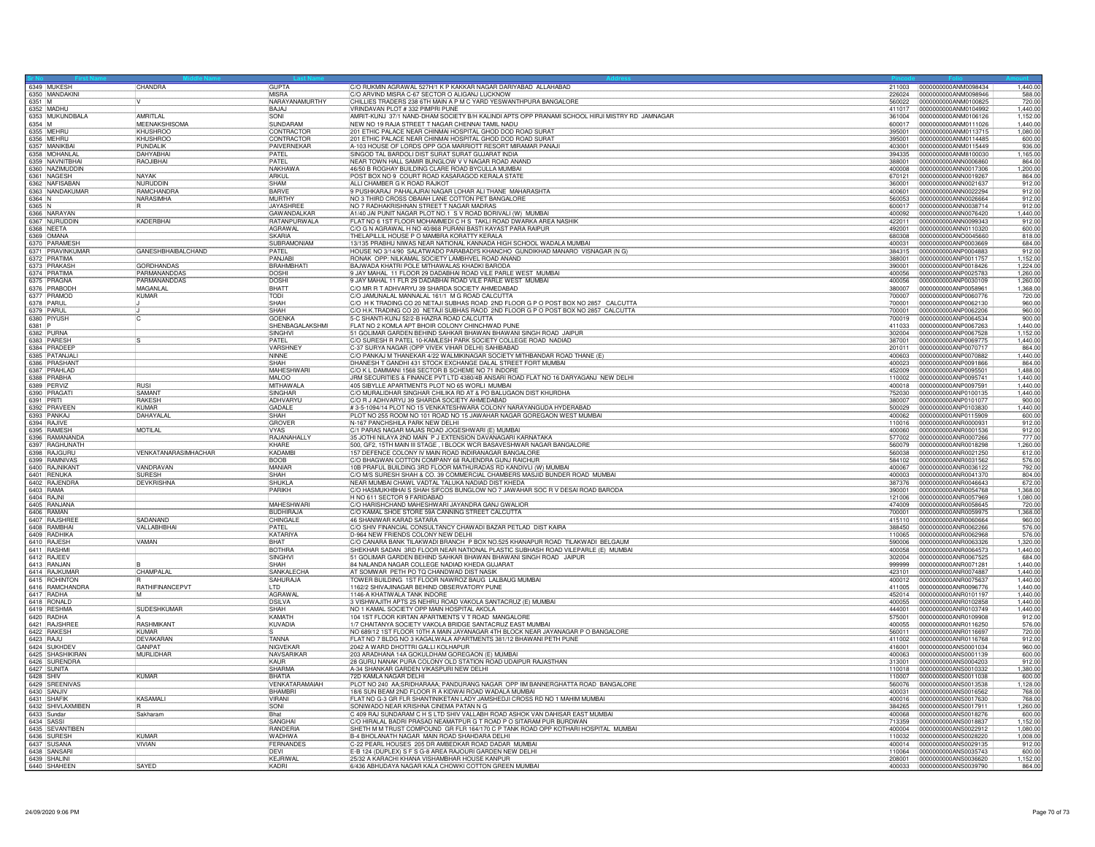|                            | 6349 MUKESH                       | CHANDRA                   | <b>GUPTA</b>                     | C/O RUKMIN AGRAWAL 527H/1 K P KAKKAR NAGAR DARIYABAD ALLAHABAD                                                                          |                  | 211003 0000000000ANM0098434                  | 1,440.00             |
|----------------------------|-----------------------------------|---------------------------|----------------------------------|-----------------------------------------------------------------------------------------------------------------------------------------|------------------|----------------------------------------------|----------------------|
|                            | 6350 MANDAKINI                    |                           |                                  | C/O ARVIND MISRA C-67 SECTOR O ALIGANJ LUCKNOW                                                                                          | 226024           | 0000000000ANM0098946                         | 588.00               |
| 6351 M                     |                                   |                           | NARAYANAMURTHY                   | CHILLIES TRADERS 238 6TH MAIN A P M C YARD YESWANTHPURA BANGALORE                                                                       | 560022           | 0000000000ANM0100825                         | 720.00               |
| 6352 MADHL                 |                                   |                           | BAJAJ                            | VRINDAVAN PLOT #332 PIMPRI PUNE                                                                                                         | 411017           | 0000000000ANM0104992                         | 1.440.00             |
|                            | 6353 MUKUNDBALA                   | AMRITLAL                  | <b>SONI</b>                      | AMRIT-KUNJ 37/1 NAND-DHAM SOCIETY B/H KALINDI APTS OPP PRANAMI SCHOOL HIRJI MISTRY RD JAMNAGAR                                          | 361004           | 0000000000ANM0106126                         | 1,152.00             |
| 6354 M                     |                                   | MEENAKSHISOMA             | SUNDARAM                         | NEW NO 19 RAJA STREET T NAGAR CHENNAI TAMIL NADU                                                                                        | 600017           | 0000000000ANM0111026                         | 1.440.00             |
| 6355 MEHRL                 |                                   | <b>KHUSHROO</b>           | CONTRACTOR                       | 201 ETHIC PALACE NEAR CHINMAI HOSPITAL GHOD DOD ROAD SURAT                                                                              | 395001           | 0000000000ANM0113715                         | 1,080.00             |
| 6356 MEHRL                 |                                   | KHUSHROO                  | CONTRACTOR                       | 201 ETHIC PALACE NEAR CHINMAI HOSPITAL GHOD DOD ROAD SURAT                                                                              | 395001           | 0000000000ANM0114485                         | 600.00               |
|                            | 6357 MANIKBAI                     | PUNDAL IK                 | PAIVERNEKAR                      | A-103 HOUSE OF LORDS OPP GOA MARRIOTT RESORT MIRAMAR PANAJI                                                                             | 403001           | 0000000000ANM0115449                         | 936.00               |
|                            | 6358 MOHANLAL                     | <b>DAHYABHA</b>           | PATEL                            | SINGOD TAL BARDOLI DIST SURAT SURAT GUJARAT INDIA                                                                                       | 394335           | 0000000000ANM8100030                         | 1.165.00             |
|                            | 6359 NAVNITBHAI                   | RAOJIBHAI                 | PATEL                            | NEAR TOWN HALL SAMIR BUNGLOW V V NAGAR ROAD ANAND                                                                                       | 388001           | 0000000000ANN0006860                         | 864.00               |
|                            | 6360 NAZIMUDDIN                   |                           | <b>NAKHAWA</b>                   | 46/50 B ROGHAY BUILDING CLARE ROAD BYCULLA MUMBAI                                                                                       | 400008           | 0000000000ANN0017306                         | 1,200.00             |
|                            | 6361 NAGESH                       | NAYAK                     | ARKUL                            | POST BOX NO 9 COURT ROAD KASARAGOD KERALA STATE                                                                                         | 670121           | 0000000000ANN0019267                         | 864.00               |
|                            |                                   | <b>NURUDDIN</b>           | SHAM                             | ALLI CHAMBER G K ROAD RAJKOT                                                                                                            | 360001           | 0000000000ANN0021637                         | 912.00               |
|                            | 6362 NAFISABAN<br>6363 NANDAKUMAR | RAMCHANDRA                | <b>BARVE</b>                     | 9 PUSHKARAJ PAHALAJRAI NAGAR LOHAR ALI THANE MAHARASHTA                                                                                 | 400601           | 0000000000ANN0022294                         | 912.00               |
| 6364 N                     |                                   | NARASIMHA                 | MURTHY                           | NO 3 THIRD CROSS OBAIAH LANE COTTON PET BANGALORE                                                                                       | 560053           | 0000000000ANN0026664                         | 912.00               |
| 6365 N                     |                                   |                           | JAYASHREI                        | NO 7 RADHAKRISHNAN STREET T NAGAR MADRAS                                                                                                | 600017           | 0000000000ANN0038714                         | 912.00               |
|                            |                                   |                           |                                  |                                                                                                                                         |                  |                                              |                      |
|                            | 6366 NARAYAN                      |                           | GAWANDALKAR                      | A1/40 JAI PUNIT NAGAR PLOT NO.1 S V ROAD BORIVALI (W) MUMBAI                                                                            | 400092           | 0000000000ANN0076420                         | 1.440.00             |
|                            | 6367 NURUDDIN<br>6368 NEETA       | KADERBHAI                 | RATANPURWALA                     | FLAT NO 6 1ST FLOOR MOHAMMEDIC H S. TAKLI ROAD DWARKA AREA NASHIK                                                                       | 422011           | 0000000000ANN0099343                         | 912.00               |
|                            |                                   |                           | <b>AGRAWAL</b>                   | C/O G N AGRAWAL H NO 40/868 PURANI BASTI KAYAST PARA RAIPUR                                                                             | 492001           | 0000000000ANN0110320                         | 600.00               |
| 6369 OMANA                 |                                   |                           | <b>SKARIA</b>                    | THELAPILLIL HOUSE P O MAMBRA KORATTY KERALA                                                                                             | 680308           | 0000000000ANO0045660                         | 818.00               |
|                            | 6370 PARAMESH                     |                           | SUBRAMONIAM                      | 13/135 PRABHU NIWAS NEAR NATIONAL KANNADA HIGH SCHOOL WADALA MUMBAI                                                                     | 400031           | 0000000000ANP0003669                         | 684.00               |
|                            | 6371 PRAVINKUMAR                  | <b>GANESHBHAIBALCHAND</b> | PATFI                            | HOUSE NO 3/14/90 SALATWADO PARABADI'S KHANCHO GUNDIKHAD MANARO VISNAGAR (N G)                                                           | 384315           | 0000000000ANP0004883                         | 912.00               |
|                            | 6372 PRATIMA<br>6373 PRAKASH      |                           | PANJAB                           | RONAK OPP: NILKAMAL SOCIETY LAMBHVEL ROAD ANAND                                                                                         | 388001           | 0000000000ANP0011757                         | 1,152.00             |
|                            |                                   | <b>GORDHANDAS</b>         | BRAHMBHAT                        | BAJWADA KHATRI POLE MITHAWALAS KHADKI BARODA                                                                                            | 390001           | 0000000000ANP0018426                         | 1,224.00             |
|                            | 6374 PRATIMA                      | PARMANANDDAS              | <b>DOSHI</b>                     | 9 JAY MAHAL 11 FLOOR 29 DADABHAI ROAD VILE PARLE WEST MUMBAI                                                                            | 400056           | 0000000000ANP0025783                         | 1.260.00             |
|                            | 6375 PRAGNA                       | PARMANANDDAS              | <b>DOSHI</b>                     | 9 JAY MAHAL 11 FLR 29 DADABHAI ROAD VILE PARLE WEST MUMBAI                                                                              | 400056           | 0000000000ANP0030109                         | 1.260.00             |
|                            | 6376 PRABODH                      | MAGANLA                   | <b>BHATT</b>                     | C/O MR R T ADHVARYU 39 SHARDA SOCIETY AHMEDABAD                                                                                         | 380007           | 0000000000ANP0058961                         | 1,368.00             |
|                            | 6377 PRAMOD<br>6378 PARUL         | <b>KUMAR</b>              | <b>TODI</b>                      | C/O JAMUNALAL MANNALAL 161/1 M G ROAD CALCUTTA                                                                                          | 700007           | 0000000000ANP0060776                         | 720.00               |
|                            |                                   |                           | SHAH                             | C/O H K TRADING CO 20 NETAJI SUBHAS ROAD 2ND FLOOR G P O POST BOX NO 2857 CALCUTTA                                                      | 700001           | 0000000000ANP0062130                         | 960.00               |
| 6379 PARUL                 |                                   |                           | SHAH                             | C/O H.K.TRADING CO 20 NETAJI SUBHAS RAOD 2ND FLOOR G P O POST BOX NO 2857 CALCUTTA                                                      | 700001           | 0000000000ANP0062206                         | 960.00               |
| 6380 PIYUSH                |                                   |                           | <b>GOFNKA</b>                    | 5-C SHANTI-KUNJ 52/2-B HAZRA ROAD CALCUTTA                                                                                              | 700019           | 0000000000ANP0064534                         | 900.00               |
| 6381 P                     |                                   |                           | SHENBAGALAKSHMI                  | FLAT NO 2 KOMLA APT BHOIR COLONY CHINCHWAD PUNE                                                                                         | 411033           | 0000000000ANP0067263                         | 1.440.00             |
| 6382 PURNA<br>6383 PARESH  |                                   |                           | SINGHVI                          | 51 GOLIMAR GARDEN BEHIND SAHKAR BHAWAN BHAWANI SINGH ROAD JAIPUR                                                                        | 302004           | 0000000000ANP0067528                         | 1,152.00             |
|                            |                                   |                           | PATEL                            | C/O SURESH R PATEL 10-KAMLESH PARK SOCIETY COLLEGE ROAD NADIAD                                                                          | 387001           | 0000000000ANP0069775                         | 1.440.00             |
|                            | 6384 PRADEEF                      |                           | VARSHNEY                         | C-37 SURYA NAGAR (OPP VIVEK VIHAR DELHI) SAHIBABAD                                                                                      | 201011           | 0000000000ANP0070717                         | 864.00               |
|                            | 6385 PATANJALI                    |                           | NINNE                            | C/O PANKAJ M THANEKAR 4/22 WALMIKINAGAR SOCIETY MITHBANDAR ROAD THANE (E)                                                               | 400603           | 0000000000ANP0070882                         | 1.440.00             |
|                            | 6386 PRASHANT                     |                           | <b>SHAH</b>                      | DHANESH T GANDHI 431 STOCK EXCHANGE DALAL STREET FORT MUMBAI                                                                            | 400023           | 0000000000ANP0091866                         | 864.00               |
|                            | 6387 PRAHLAD                      |                           | MAHESHWARI                       | C/O K L DAMMANI 1568 SECTOR B SCHEME NO 71 INDORE                                                                                       | 452009           | 0000000000ANP0095501                         | 1,488.00             |
| 6388 PRABHA                |                                   |                           | MALOO                            | JRM SECURITIES & FINANCE PVT LTD 4380/4B ANSARI ROAD FLAT NO 16 DARYAGANJ NEW DELHI                                                     | 110002           | 0000000000ANP0095741                         | 1,440.00             |
| 6389 PERVIZ                |                                   | <b>RUSI</b>               | <b>MITHAWALA</b>                 | 405 SIBYLLE APARTMENTS PLOT NO 65 WORLI MUMBAI                                                                                          | 400018           | 0000000000ANP0097591                         | 1.440.00             |
| 6390 PRAGAT                |                                   | SAMANT                    | <b>SINGHAR</b>                   | C/O MURALIDHAR SINGHAR CHILIKA RD AT & PO BALUGAON DIST KHURDHA                                                                         | 752030           | 0000000000ANP0100135                         | 1.440.00             |
| 6391 PRITI                 |                                   | RAKESH                    | ADHVARYL                         | C/O R J ADHVARYU 39 SHARDA SOCIETY AHMEDABAD                                                                                            | 380007           | 0000000000ANP0101077                         | 900.00               |
|                            | 6392 PRAVEEN                      | KUMAR                     | GADALE                           | #3-5-1094/14 PLOT NO 15 VENKATESHWARA COLONY NARAYANGUDA HYDERABAD                                                                      | 500029           | 0000000000ANP0103830                         | 1.440.00             |
| 6393 PANKAJ                |                                   | DAHAYALAL                 | SHAH                             | PLOT NO 255 ROOM NO 101 ROAD NO 15 JAWAHAR NAGAR GOREGAON WEST MUMBAI                                                                   | 400062           | 0000000000ANP0115909                         | 600.00               |
| 6394 RAJIVE                |                                   |                           | GROVER                           | N-167 PANCHSHILA PARK NEW DELHI                                                                                                         | 110016           | 0000000000ANR0000931                         | 912.00               |
|                            |                                   |                           |                                  |                                                                                                                                         |                  |                                              |                      |
|                            |                                   |                           |                                  |                                                                                                                                         |                  |                                              |                      |
| 6395 RAMESH                |                                   | MOTILAL                   | <b>VYAS</b>                      | C/1 PARAS NAGAR MAJAS ROAD JOGESHWARI (E) MUMBAI                                                                                        | 400060           | 0000000000ANR0001536                         | 912.00               |
|                            | 6396 RAMANANDA                    |                           | RAJANAHALLY                      | 35 JOTHI NILAYA 2ND MAIN P J EXTENSION DAVANAGARI KARNATAKA                                                                             | 577002           | 0000000000ANR0007266                         | 777.00               |
|                            | 6397 RAGHUNATH                    |                           | KHARE                            | 500, GF2, 15TH MAIN III STAGE, I BLOCK WCR BASAVESHWAR NAGAR BANGALORE                                                                  | 560079           | 0000000000ANR0018298                         | 1,260.00             |
|                            | 6398 RAJGURU                      | VENKATANARASIMHACHAR      | <b>KADAMB</b>                    | 57 DEFENCE COLONY IV MAIN ROAD INDIRANAGAR BANGALORE                                                                                    | 560038           | 0000000000ANR0021250                         | 612.00               |
|                            | 6399 RAMNIVAS                     |                           | <b>BOOB</b>                      | C/O BHAGWAN COTTON COMPANY 68 RAJENDRA GUNJ RAICHUR                                                                                     | 584102           | 0000000000ANR0031562                         | 576.00               |
|                            | 6400 RAJNIKANT                    | VANDRAVAN                 | <b>MANIAR</b>                    | 10B PRAFUL BUILDING 3RD FLOOR MATHURADAS RD KANDIVLI (W) MUMBAI                                                                         | 400067           | 0000000000ANR0036122                         | 792.00               |
| 6401 RENUKA                |                                   | <b>SURESH</b>             | SHAH                             | C/O M/S SURESH SHAH & CO. 39 COMMERCIAL CHAMBERS MASJID BUNDER ROAD MUMBAI                                                              | 400003           | 0000000000ANR0041370                         | 804.00               |
|                            | 6402 RAJENDRA                     | <b>DEVKRISHNA</b>         | SHUKLA                           | NEAR MUMBAI CHAWL VADTAL TALUKA NADIAD DIST KHEDA                                                                                       | 387376           | 0000000000ANR0046643                         | 672.00               |
| 6403 RAMA                  |                                   |                           | PARIKH                           | C/O HASMUKHBHAI S SHAH SIFCOS BUNGLOW NO 7 JAWAHAR SOC R V DESAI ROAD BARODA                                                            | 390001           | 0000000000ANR0054768                         | 1.368.00             |
| 6404 RAJNI                 |                                   |                           |                                  | H NO 611 SECTOR 9 FARIDABAD                                                                                                             | 121006           | 0000000000ANR0057969                         | 1,080.00             |
|                            | 6405 RANJANA                      |                           | MAHESHWARI                       | C/O HARISHCHAND MAHESHWARI JAYANDRA GANJ GWALIOR                                                                                        | 474009           | 0000000000ANR0058645                         | 720.00               |
| 6406 RAMAN                 |                                   |                           | BUDHIRAJA                        | C/O KAMAL SHOE STORE 59A CANNING STREET CALCUTTA                                                                                        | 700001           | 0000000000ANR0059975                         | 1,368.00             |
|                            | 6407 RAJSHREE                     | SADANAND                  | CHINGALE                         | 46 SHANIWAR KARAD SATARA                                                                                                                | 415110           | 0000000000ANR0060664                         | 960.00               |
|                            | 6408 RAMBHAI                      | VALLABHBHA                | PATEL                            | C/O SHIV FINANCIAL CONSULTANCY CHAWADI BAZAR PETLAD DIST KAIRA                                                                          | 388450           | 0000000000ANR0062266                         | 576.00               |
|                            | 6409 RADHIKA                      |                           | KATARIYA                         | D-964 NEW FRIENDS COLONY NEW DELHI                                                                                                      | 110065           | 0000000000ANR0062968                         | 576.00               |
|                            |                                   | <b>VAMAN</b>              | <b>BHAT</b>                      | C/O CANARA BANK TILAKWADI BRANCH P BOX NO.525 KHANAPUR ROAD TILAKWADI BELGAUM                                                           | 590006           | 0000000000ANR0063326                         | 1.320.00             |
| 6410 RAJESH<br>6411 RASHMI |                                   |                           | <b>BOTHRA</b>                    | SHEKHAR SADAN 3RD FLOOR NEAR NATIONAL PLASTIC SUBHASH ROAD VILEPARLE (E) MUMBAI                                                         | 400058           | 0000000000ANR0064573                         | 1,440.00             |
| 6412 RAJEEV                |                                   |                           | <b>SINGHVI</b>                   | 51 GOLIMAR GARDEN BEHIND SAHKAR BHAWAN BHAWANI SINGH ROAD JAIPUR                                                                        | 302004           | 0000000000ANR0067525                         | 684.00               |
| 6413 RANJAN                |                                   |                           | <b>ISHAH</b>                     | 84 NALANDA NAGAR COLLEGE NADIAD KHEDA GUJARAT                                                                                           | 999999           | 0000000000ANR0071281                         | 1.440.00             |
|                            | 6414 RAJKUMAR                     | CHAMPALAL                 | SANKALECHA                       | AT SOMWAR PETH PO TO CHANDWAD DIST NASIK                                                                                                | 423101           | 0000000000ANR0074887                         | 1.440.00             |
|                            | 6415 ROHINTON                     |                           | SAHURAJA                         | TOWER BUILDING 1ST FLOOR NAWROZ BAUG LALBAUG MUMBAI                                                                                     | 400012           | 0000000000ANR0075637                         | 1,440.00             |
|                            | 6416 RAMCHANDRA                   | RATHIFINANCEPVT           | LTD                              | 1162/2 SHIVAJINAGAR BEHIND OBSERVATORY PUNE                                                                                             | 411005           | 0000000000ANR0096776                         | 1,440.00             |
| 6417 RADHA                 |                                   |                           | AGRAWA                           | 1146-A KHATIWALA TANK INDORE                                                                                                            | 452014           | 0000000000ANR0101197                         | 1.440.00             |
| 6418 RONALD                |                                   |                           | <b>DSILVA</b>                    | 3 VISHWAJITH APTS 25 NEHRU ROAD VAKOLA SANTACRUZ (E) MUMBAI                                                                             | 400055           | 0000000000ANB0102858                         | 1,440.00             |
|                            | 6419 RESHMA                       | SUDESHKUMAR               | SHAH                             | NO 1 KAMAL SOCIETY OPP MAIN HOSPITAL AKOLA                                                                                              | 444001           | 0000000000ANR0103749                         | 1,440.00             |
| 6420 RADHA                 |                                   |                           | KAMATH                           | 104 1ST FLOOR KIRTAN APARTMENTS V T ROAD MANGALORE                                                                                      | 575001           | 0000000000ANR0109908                         | 912.00               |
|                            | 6421 RAJSHREE                     | <b>RASHMIKANT</b>         | KUVADIA                          | 1/7 CHAITANYA SOCIETY VAKOLA BRIDGE SANTACRUZ EAST MUMBAI                                                                               | 400055           | 0000000000ANR0116250                         | 576.00               |
| 6422 RAKESH                |                                   | <b>KUMAR</b>              |                                  | NO 689/12 1ST FLOOR 10TH A MAIN JAYANAGAR 4TH BLOCK NEAR JAYANAGAR P O BANGALORE                                                        | 560011           | 0000000000ANR0116697                         | 720.00               |
| 6423 RAJU                  |                                   | <b>DFVAKARAN</b>          | TANNA                            | FLAT NO 7 BLDG NO 3 KAGALWALA APARTMENTS 381/12 BHAWANI PETH PUNE                                                                       | 411002           | 0000000000ANR0116768                         | 912.00               |
|                            | 6424 SUKHDEV                      | <b>GANPAT</b>             | NIGVEKAR                         | 2042 A WARD DHOTTRI GALLI KOLHAPUR                                                                                                      | 416001           | 0000000000ANS0001034                         | 960.00               |
|                            | 6425 SHASHIKIRAN                  | MURLIDHAF                 | NAVSARIKAR                       | 203 ARADHANA 14A GOKULDHAM GOREGAON (E) MUMBAI                                                                                          | 400063           | 0000000000ANS0001139                         | 600.00               |
|                            | 6426 SURENDRA                     |                           | KAUR                             | 28 GURU NANAK PURA COLONY OLD STATION ROAD UDAIPUR RAJASTHAN                                                                            | 313001           | 0000000000ANS0004203                         | 912.00               |
| 6427 SUNITA                |                                   |                           | SHARMA                           | A-34 SHANKAR GARDEN VIKASPURI NEW DELHI                                                                                                 | 110018           | 0000000000ANS0010332                         | 1.380.00             |
|                            |                                   | <b>KUMAR</b>              | <b>BHATIA</b>                    | 72D KAMI A NAGAR DELHI                                                                                                                  | 110007           | 0000000000ANS0011038                         | 600.00               |
| 6428 SHIV                  |                                   |                           | VENKATARAMAIAH                   |                                                                                                                                         | 560076           | 0000000000ANS0013538                         | 1,128.00             |
| 6430 SANJIV                | 6429 SREENIVAS                    |                           | BHAMBRI                          | PLOT NO 240 AA;SRIDHARAAA; PANDURANG NAGAR OPP IIM BANNERGHATTA ROAD BANGALORE<br>18/6 SUN BEAM 2ND FLOOR R A KIDWAI ROAD WADALA MUMBAI | 400031           | 0000000000ANS0016562                         | 768.00               |
| 6431 SHAFIP                |                                   | KASAMALI                  | VIRANI                           |                                                                                                                                         | 400016           | 0000000000ANS0017630                         | 768.00               |
|                            | 6432 SHIVLAXMIBEN                 |                           | SONI                             | FLAT NO G-3 GR FLR SHANTINIKETAN LADY JAMSHEDJI CROSS RD NO 1 MAHIM MUMBAI<br>SONIWADO NEAR KRISHNA CINEMA PATAN N G                    | 384265           | 0000000000ANS0017911                         | 1.260.00             |
|                            |                                   | Sakharam                  | <b>Bhat</b>                      |                                                                                                                                         | 400068           | 0000000000ANS0018276                         | 600.00               |
| 6433 Sundar                |                                   |                           |                                  | IC 409 RAJ SUNDARAM C H S LTD SHIV VALLABH ROAD ASHOK VAN DAHISAR EAST MUMBAI                                                           |                  | 0000000000ANS0018837                         |                      |
| 6434 SASSI                 |                                   |                           | SANGHAI                          | C/O HIRALAL BADRI PRASAD NEAMATPUR G T ROAD P O SITARAM PUR BURDWAN                                                                     | 713359           | 0000000000ANS0022912                         | 1,152.00<br>1.080.00 |
|                            | 6435 SEVANTIBEN                   | KUMAR                     | RANDERIA<br><b>WADHWA</b>        | SHETH M M TRUST COMPOUND GR FLR 164/170 C P TANK ROAD OPP KOTHARI HOSPITAL MUMBAI                                                       | 400004<br>110032 |                                              |                      |
| 6436 SURESH                |                                   |                           |                                  | B-4 BHOLANATH NAGAR MAIN ROAD SHAHDARA DELHI                                                                                            |                  | 0000000000ANS0028220                         | 1,008.00             |
| 6437 SUSANA                |                                   | <b>VIVIAN</b>             | <b>FERNANDES</b><br><b>IDFVI</b> | C-22 PEARL HOUSES 205 DR AMBEDKAR ROAD DADAR MUMBAL                                                                                     | 400014           | 0000000000ANS0029135                         | 912.00               |
|                            | 6438 SANSARI                      |                           |                                  | E-B 124 (DUPLEX) S F S G-8 AREA RAJOURI GARDEN NEW DELHI                                                                                | 110064           | 0000000000ANS0035743                         | 600.00               |
| 6439 SHALINI               | 6440 SHAHEEN                      | SAYED                     | <b>KEJRIWA</b><br>KADRI          | 25/32 A KARACHI KHANA VISHAMBHAR HOUSE KANPUR<br>6/436 ABHUDAYA NAGAR KALA CHOWKI COTTON GREEN MUMBAI                                   | 208001<br>400033 | 0000000000ANS0036620<br>0000000000ANS0039790 | 1,152.00<br>864.00   |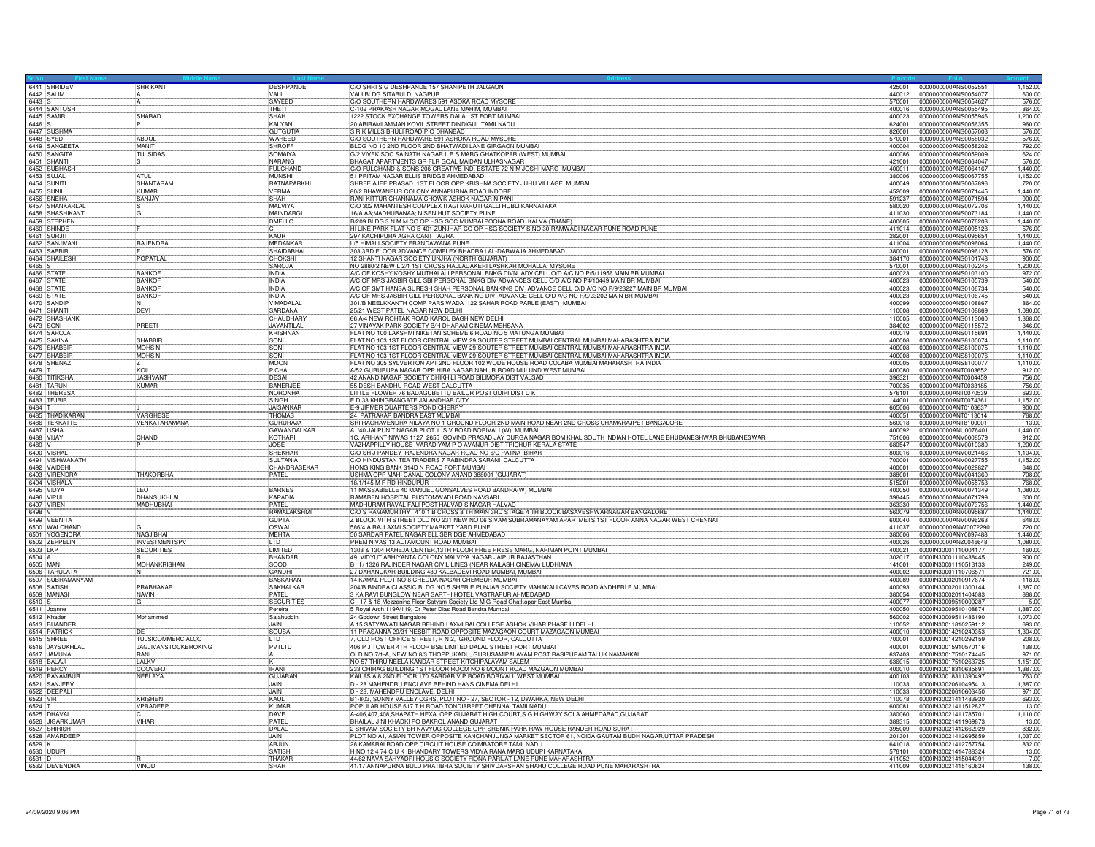|                            | 6441 SHRIDEVI                     | SHRIKANT                            | DESHPANDE               | C/O SHRIS G DESHPANDE 157 SHANIPETH JALGAON                                                                                                                                             |                  | 425001 0000000000ANS0052551                   | 1,152.00             |
|----------------------------|-----------------------------------|-------------------------------------|-------------------------|-----------------------------------------------------------------------------------------------------------------------------------------------------------------------------------------|------------------|-----------------------------------------------|----------------------|
|                            | 6442 SALIM                        |                                     | VALI                    | VALI BLDG SITABULDI NAGPUR                                                                                                                                                              | 440012           | 0000000000ANS0054077                          | 600.00               |
| $6443$ S                   |                                   |                                     | <b>SAYEED</b>           | C/O SOUTHERN HARDWARES 591 ASOKA ROAD MYSORE                                                                                                                                            | 570001           | 0000000000ANS0054627                          | 576.00               |
|                            | 6444 SANTOSH                      | SHARAD                              | THETI<br><b>SHAH</b>    | C-102 PRAKASH NAGAR MOGAL LANE MAHIM, MUMBAI<br>1222 STOCK EXCHANGE TOWERS DALAL ST FORT MUMBAI                                                                                         | 400016<br>400023 | 0000000000ANS0055495<br>0000000000ANS0055946  | 864.00<br>1,200.00   |
| 6446 S                     |                                   |                                     | KALYANI                 | 20 ABIRAMI AMMAN KOVIL STREET DINDIGUL TAMILNADU                                                                                                                                        | 624001           | 0000000000ANS0056355                          | 960.00               |
|                            | 6447 SUSHMA                       |                                     | <b>GUTGUTIA</b>         | S R K MILLS BHULI ROAD P O DHANBAD                                                                                                                                                      | 826001           | 0000000000ANS0057003                          | 576.00               |
| 6448 SYED                  |                                   | <b>ABDUL</b>                        | WAHEED                  | C/O SOUTHERN HARDWARE 591 ASHOKA ROAD MYSORE                                                                                                                                            | 570001           | 0000000000ANS0058032                          | 576.00               |
|                            |                                   | MANIT                               | SHROFF                  | BLDG NO 10 2ND FLOOR 2ND BHATWADI LANE GIRGAON MUMBAI                                                                                                                                   | 400004           | 0000000000ANS0058202                          | 792.00               |
|                            | 6449 SANGEETA                     | <b>TULSIDAS</b>                     | SOMAIYA                 | G/2 VIVEK SOC SAINATH NAGAR L B S MARG GHATKOPAR (WEST) MUMBAI                                                                                                                          | 400086           | 0000000000ANS0059009                          | 624.00               |
|                            | 6451 SHANTI                       |                                     | NARANG                  | BHAGAT APARTMENTS GR FLR GOAL MAIDAN ULHASNAGAR                                                                                                                                         | 421001           | 0000000000ANS0064047                          | 576.00               |
|                            | 6452 SUBHASH                      |                                     | FULCHAND                | C/O FULCHAND & SONS 206 CREATIVE IND. ESTATE 72 N M JOSHI MARG MUMBAI                                                                                                                   | 400011           | 0000000000ANS0064167                          | 1.440.00             |
| 6453 SUJAL                 |                                   | ATUL                                | MUNSHI                  | 51 PRITAM NAGAR ELLIS BRIDGE AHMEDABAD                                                                                                                                                  | 380006           | 0000000000ANS0067755                          | 1,152.00             |
| 6454 SUNIT                 |                                   | SHANTARAM                           | RATNAPARKHI             | SHREE AJEE PRASAD 1ST FLOOR OPP KRISHNA SOCIETY JUHU VILLAGE MUMBAI                                                                                                                     | 400049           | 0000000000ANS0067896                          | 720.00               |
|                            |                                   | KUMAR                               | <b>VERMA</b>            | 80/2 BHAWANPUR COLONY ANNAPURNA ROAD INDORE                                                                                                                                             | 452009           | 0000000000ANS0071445                          | 1,440.00             |
|                            | 6456 SNEHA                        | SANJAY                              | SHAH<br>MAI VIYA        | RANI KITTUR CHANNAMA CHOWK ASHOK NAGAR NIPANI                                                                                                                                           | 591237           | 0000000000ANS0071594                          | 900.00<br>1.440.00   |
|                            | 6457 SHANKARLAL                   |                                     | MAINDARG                | C/O 302 MAHANTESH COMPLEX ITAGI MARUTI GALLI HUBLI KARNATAKA                                                                                                                            | 580020           | 0000000000ANS0072706                          |                      |
|                            | 6458 SHASHIKANT                   |                                     | DMELLO                  | 16/A AA;MADHUBANAA; NISEN HUT SOCIETY PUNE<br>B/209 BLDG 3 N M M CO OP HSG SOC MUMBAI POONA ROAD KALVA (THANE                                                                           | 411030<br>400605 | 0000000000ANS0073184<br>0000000000ANS0076208  | 1,440.00<br>1,440.00 |
|                            | 6459 STEPHEN                      |                                     |                         | HI LINE PARK FLAT NO B 401 ZUNJHAR CO OP HSG SOCIETY S NO 30 RAMWADI NAGAR PUNE ROAD PUNE                                                                                               | 411014           | 0000000000ANS0095128                          | 576.00               |
|                            | 6461 SURJIT                       |                                     | KAUR                    | 297 KACHIPURA AGRA CANTT AGRA                                                                                                                                                           | 282001           | 0000000000ANS0095654                          | 1.440.00             |
|                            | 6462 SANJIVANI                    | <b>RAJENDRA</b>                     | MFDANKAR                | L/5 HIMALI SOCIETY ERANDAWANA PUNE                                                                                                                                                      | 411004           | 0000000000ANS0096064                          | 1.440.00             |
|                            | 6463 SABBIR                       |                                     | SHAIDABHAI              | 303 3RD FLOOR ADVANCE COMPLEX BHADRA LAL-DARWAJA AHMEDABAD                                                                                                                              | 380001           | 0000000000ANS0096128                          | 576.00               |
|                            |                                   | POPATLAL                            | CHOKSHI                 | 12 SHANTI NAGAR SOCIETY UNJHA (NORTH GUJARAT)                                                                                                                                           | 384170           | 0000000000ANS0101748                          | 900.00               |
|                            | 6464 SHAILESH                     |                                     | SAROJA                  | NO 2880/2 NEW L 2/1 1ST CROSS HALLADAKERI LASHKAR MOHALLA MYSORE                                                                                                                        | 570001           | 0000000000ANS0102245                          | 1,200.00             |
| 6466 STATE                 |                                   | <b>BANKO</b>                        | <b>INDIA</b>            | A/C OF KOSHY KOSHY MUTHALALI PERSONAL BNKG DIVN ADV CELL O/D A/C NO P/5/11956 MAIN BR MUMBAI                                                                                            | 400023           | 0000000000ANS0103100                          | 972.00               |
| 6467 STATE                 |                                   | <b>BANKOR</b>                       | <b>INDIA</b>            | A/C OF MRS JASBIR GILL SBI PERSONAL BNKG DIV ADVANCES CELL O/D A/C NO P4/10449 MAIN BR MUMBAI                                                                                           | 400023           | 10000000000ANS0105739                         | 540.00               |
| 6468 STATE                 |                                   | <b>BANKOR</b>                       | <b>INDIA</b>            | A/C OF SMT HANSA SURESH SHAH PERSONAL BANKING DIV ADVANCE CELL O/D A/C NO P/9/23227 MAIN BR MUMBAI                                                                                      | 400023           | 0000000000ANS0106734                          | 540.00               |
| 6469 STATE                 |                                   | <b>BANKOF</b>                       | <b>INDIA</b>            | A/C OF MRS JASBIR GILL PERSONAL BANKING DIV ADVANCE CELL O/D A/C NO P/9/23202 MAIN BR MUMBAI                                                                                            | 400023           | 0000000000ANS0106745                          | 540.00               |
| 6470 SANDI                 |                                   |                                     | VIMADALAL               | 301/B NEELKKANTH COMP PARSIWADA 122 SAHAR ROAD PARLE (EAST) MUMBAI                                                                                                                      | 400099           | 0000000000ANS0108867                          | 864.00               |
|                            | 6471 SHANTI                       | DEVI                                | SARDANA                 | 25/21 WEST PATEL NAGAR NEW DELHI                                                                                                                                                        | 110008           | 0000000000ANS0108869                          | 1,080.00             |
|                            | 6472 SHASHANK                     |                                     | <b>CHAUDHARY</b>        | 66 A/4 NEW ROHTAK ROAD KAROL BAGH NEW DELHI                                                                                                                                             | 110005           | 0000000000ANS0113060                          | 1,368.00             |
| 6473 SONI                  | 6474 SAROJ                        | PREETI                              | JAYANTILAI<br>KRISHNAN  | 27 VINAYAK PARK SOCIETY B/H DHARAM CINEMA MEHSANA<br>FLAT NO 100 LAKSHMI NIKETAN SCHEME 6 ROAD NO 5 MATUNGA MUMBAI                                                                      | 384002<br>400019 | 0000000000ANS0115572<br>0000000000ANS0115694  | 346.00<br>1,440.00   |
|                            | 6475 SAKINA                       | SHABBIR                             | SONI                    | FLAT NO 103 1ST FLOOR CENTRAL VIEW 29 SOUTER STREET MUMBAI CENTRAL MUMBAI MAHARASHTRA INDIA                                                                                             | 400008           | 0000000000ANS8100074                          | 1,110.00             |
|                            | 6476 SHABBIF                      | <b>MOHSIN</b>                       | SONI                    | FLAT NO 103 1ST FLOOR CENTRAL VIEW 29 SOUTER STREET MUMBAI CENTRAL MUMBAI MAHARASHTRA INDIA                                                                                             | 400008           | 0000000000ANS8100075                          | 1.110.00             |
|                            | 6477 SHABBIR                      | <b>MOHSIN</b>                       | SONI                    | FLAT NO 103 1ST FLOOR CENTRAL VIEW 29 SOUTER STREET MUMBAI CENTRAL MUMBAI MAHARASHTRA INDIA                                                                                             | 400008           | 0000000000ANS8100076                          | 1.110.00             |
|                            | 6478 SHENAZ                       |                                     | MOON                    | FLAT NO 305 SYLVERTON APT 2ND FLOOR 102 WODE HOUSE ROAD COLABA MUMBAI MAHARASHTRA INDIA                                                                                                 | 400005           | 0000000000ANS8100077                          | 1.110.00             |
| 6479 T                     |                                   | KOIL                                | PICHA                   | A/52 GURURUPA NAGAR OPP HIRA NAGAR NAHUR ROAD MULUND WEST MUMBAI                                                                                                                        | 400080           | 0000000000ANT0003652                          | 912.00               |
|                            | 6480 TITIKSHA                     | <b>JASHVANT</b>                     | DESAI                   | 42 ANAND NAGAR SOCIETY CHIKHILI ROAD BILIMORA DIST VALSAD                                                                                                                               | 396321           | 0000000000ANT0004459                          | 756.00               |
|                            | 6481 TARUN                        | <b>KUMAR</b>                        | BANERJEE                | 55 DESH BANDHU ROAD WEST CALCUTTA                                                                                                                                                       | 700035           | 0000000000ANT0033185                          | 756.00               |
|                            | 6482 THERESA                      |                                     | NORONHA                 | LITTLE FLOWER 76 BADAGUBETTU BAILUR POST UDIPI DIST D K                                                                                                                                 | 576101           | 0000000000ANT0070539                          | 693.00               |
|                            | 6483 TEJBIR                       |                                     | SINGH                   | E D 33 KHINGRANGATE JALANDHAR CITY                                                                                                                                                      | 144001           | 0000000000ANT0074361                          | 1,152.00             |
| 6484 T                     |                                   |                                     | JAISANKAF               | E-9 JIPMER QUARTERS PONDICHERRY                                                                                                                                                         | 605006           | 0000000000ANT0103637                          | 900.00               |
|                            | 6485 THADIKARAN                   | VARGHESE                            | <b>THOMAS</b>           | 24 PATRAKAR BANDRA EAST MUMBAI                                                                                                                                                          | 400051           | 0000000000ANT0113014                          | 768.00               |
|                            | 6486 TEKKATTE                     | VENKATARAMANA                       | <b>GURURAJA</b>         | SRI RAGHAVENDRA NILAYA NO 1 GROUND FLOOR 2ND MAIN ROAD NEAR 2ND CROSS CHAMARAJPET BANGALORE                                                                                             | 560018           | 0000000000ANT8100001                          | 13.00                |
| 6487 USHA                  |                                   |                                     | GAWANDALKAR             | A1/40 JAI PUNIT NAGAR PLOT 1 S V ROAD BORIVALI (W) MUMBAI                                                                                                                               | 400092           | 0000000000ANU0076401                          | 1,440.00             |
| 6488 VIJAY                 |                                   | CHAND                               | KOTHARI<br>JOSE         | 1C, ARIHANT NIWAS 1127 2655 GOVIND PRASAD JAY DURGA NAGAR BOMIKHAL SOUTH INDIAN HOTEL LANE BHUBANESHWAR BHUBANESWAR<br>VAZHAPPILLY HOUSE VARADIYAM P O AVANUR DIST TRICHUR KERALA STATE | 751006           | 0000000000ANV0008579                          | 912.00               |
| 6489 V                     | 6490 VISHAL                       |                                     | SHEKHAR                 | C/O SH J PANDEY RAJENDRA NAGAR ROAD NO 6/C PATNA BIHAR                                                                                                                                  | 680547<br>800016 | 0000000000ANV0019380<br>0000000000ANV0021466  | 1,200.00<br>1.104.00 |
|                            | 6491 VISHWANATH                   |                                     | SULTANIA                | C/O HINDUSTAN TEA TRADERS 7 RABINDRA SARANI CALCUTTA                                                                                                                                    | 700001           | 0000000000ANV0027755                          | 1.152.00             |
|                            | 6492 VAIDEHI                      |                                     | CHANDRASEKAR            | HONG KING BANK 314D N ROAD FORT MUMBAI                                                                                                                                                  | 400001           | 0000000000ANV0029827                          | 648.00               |
|                            | 6493 VIRENDRA                     | <b>HAKORBHAI</b>                    | PATEL                   | USHMA OPP MAHI CANAL COLONY ANAND 388001 (GUJARAT)                                                                                                                                      | 388001           | 0000000000ANV0041360                          | 708.00               |
|                            | 6494 VISHALA                      |                                     |                         | 18/1/145 M F RD HINDUPUR                                                                                                                                                                | 515201           | 0000000000ANV0055753                          | 768.00               |
| 6495 VIDYA                 |                                   | I FO                                | <b>BARNES</b>           | 11 MASSABIELLE 40 MANUEL GONSALVES ROAD BANDRA(W) MUMBAI                                                                                                                                | 400050           | 0000000000ANV0071349                          | 1.080.00             |
| 6496 VIPUL                 |                                   | <b>DHANSUKHLA</b>                   | KAPADIA                 | RAMABEN HOSPITAL RUSTOMWADI ROAD NAVSARI                                                                                                                                                | 396445           | 0000000000ANV0071799                          | 600.00               |
|                            |                                   | MADHUBHAI                           | PATEL                   | MADHURAM RAVAL FALI POST HALVAD SINAGAR HALVAD                                                                                                                                          | 363330           | 0000000000ANV0073756                          | 1,440.00             |
| 6498 V                     |                                   |                                     | RAMALAKSHMI             | C/O S RAMAMURTHY 410 1 B CROSS 8 TH MAIN 3RD STAGE 4 TH BLOCK BASAVESHWARNAGAR BANGALORE                                                                                                | 560079           | 0000000000ANV0095687                          | 1,440.00             |
|                            | 6499 VEENITA                      |                                     | <b>GUPTA</b>            | Z BLOCK VITH STREET OLD NO 231 NEW NO 06 SIVAM SUBRAMANAYAM APARTMETS 1ST FLOOR ANNA NAGAR WEST CHENNAI                                                                                 | 600040           | 0000000000ANV0096263                          | 648.00               |
|                            | 6500 WALCHAND                     |                                     | OSWAL                   | 586/4 A RAJLAXMI SOCIETY MARKET YARD PUNE                                                                                                                                               | 411037           | 0000000000ANW0072290                          | 720.00               |
|                            | 6501 YOGENDRA                     | NAGJIBHAI                           | MEHTA                   | 50 SARDAR PATEL NAGAR ELLISBRIDGE AHMEDABAD                                                                                                                                             | 380006           | 0000000000ANY0097488                          | 1,440.00             |
|                            |                                   | <b>INVESTMENTSPVT</b>               | LTD                     | PREM NIVAS 13 ALTAMOUNT ROAD MUMBAI                                                                                                                                                     | 400026           | 0000000000ANZ0046648                          | 1,080.00             |
| 6503 LKP<br>6504 A         |                                   | <b>SECURITIES</b>                   | LIMITED<br>BHANDAR      | 1303 & 1304, RAHEJA CENTER, 13TH FLOOR FREE PRESS MARG, NARIMAN POINT MUMBAI<br>49 VIDYUT ABHIYANTA COLONY MALVIYA NAGAR JAIPUR RAJASTHAN                                               | 400021<br>302017 | 0000IN30001110004177<br>0000IN30001110438445  | 160.00<br>900.00     |
| 6505 MAN                   |                                   | <b>MOHANKRISHAN</b>                 | <b>ISOOD</b>            | B 1/1326 RAJINDER NAGAR CIVIL LINES (NEAR KAILASH CINEMA) LUDHIANA                                                                                                                      | 141001           | 00000N30001110513133                          | 249.00               |
|                            |                                   |                                     | GANDHI                  | 27 DAHANUKAR BUILDING 480 KALBADEVI ROAD MUMBAI, MUMBAI                                                                                                                                 | 400002           | 0000IN30001110706571                          | 721.00               |
|                            | 6506 TARULATA<br>6507 SUBRAMANYAM |                                     | BASKARAN                | 14 KAMAL PLOT NO 8 CHEDDA NAGAR CHEMBUR MUMBAI                                                                                                                                          | 400089           | 00000030002010917674                          | 118.00               |
|                            | 6508 SATISH                       | PRABHAKAR                           | <b>SAKHALKAF</b>        | 204/B BINDRA CLASSIC BLDG NO.5 SHER E PUNJAB SOCIETY MAHAKALI CAVES ROAD, ANDHERI E MUMBAI                                                                                              | 400093           | 0000IN30002011300144                          | 1,387.00             |
|                            | 6509 MANAS                        | NAVIN                               | PATEL                   | 3 KAIRAVI BUNGLOW NEAR SARTHI HOTEL VASTRAPUR AHMEDABAD                                                                                                                                 | 380054           | 0000IN30002011404083                          | 888.00               |
| 6510 S                     |                                   | lG.                                 | <b>SECURITIES</b>       | C - 17 & 18 Mezzanine Floor Satyam Society Ltd M G Road Ghatkopar East Mumbai                                                                                                           | 400077           | 00000N30009510000287                          | $-5.00$              |
| 6511 Joanne<br>6512 Khader |                                   |                                     | Pereira                 | 5 Royal Arch 119A/119, Dr Peter Dias Road Bandra Mumbai                                                                                                                                 | 400050           | 0000IN30009510108874                          | 1,387.00             |
|                            |                                   | Mohammed                            | Salahuddir              | 24 Godown Street Bangalore                                                                                                                                                              | 560002           | 00000030009511486190                          | 1,073.00             |
|                            | 6513 BIJANDER                     |                                     | JAIN                    | A 15 SATYAWATI NAGAR BEHIND LAXMI BAI COLLEGE ASHOK VIHAR PHASE III DELHI                                                                                                               | 110052           | 0000IN30011810259112                          | 693.00               |
|                            | 6514 PATRICK                      | <b>TULSICOMMERCIALCO</b>            | <b>SOUSA</b>            | 11 PRASANNA 29/31 NESBIT ROAD OPPOSITE MAZAGAON COURT MAZAGAON MUMBAL 7, OLD POST OFFICE STREET, R N 2, GROUND FLOOR, CALCUTTA                                                          | 400010           | 0000IN30014210249353                          | 1.304.00             |
|                            | 6515 SHREE                        |                                     | II TD                   |                                                                                                                                                                                         | 700001           | 00000N30014210292159                          | 208.00               |
|                            | 6516 JAYSUKHLAL                   | JAGJIVANSTOCKBROKING<br><b>RANI</b> | PVTLTD                  | 406 P J TOWER 4TH FLOOR BSE LIMITED DALAL STREET FORT MUMBAI<br>OLD NO 7/1-A, NEW NO 8/3 THOPPUKADU, GURUSAMIPALAYAM POST RASIPURAM TALUK NAMAKKAL                                      | 400001<br>637403 | 0000IN30015910570116<br>100001N30017510174445 | 138.00<br>971.00     |
|                            | 6518 BALAJI                       | LALKV                               |                         | NO 57 THIRU NEELA KANDAR STREET KITCHIPALAYAM SALEM                                                                                                                                     | 636015           | 0000IN30017510263725                          | 1,151.00             |
|                            | 6519 PFRC)                        | COOVERJ                             | <b>IRANI</b>            | 233 CHIRAG BUILDING 1ST FLOOR ROOM NO 6 MOUNT ROAD MAZGAON MUMBAI                                                                                                                       | 400010           | 0000IN30018310635691                          | 1.387.00             |
|                            | 6520 PANAMBUR                     | NEELAYA                             | <b>GUJARAN</b>          | KAILAS A 8 2ND FLOOR 170 SARDAR V P ROAD BORIVALI WEST MUMBAI                                                                                                                           | 400103           | 00000N30018311390497                          | 763.00               |
|                            |                                   |                                     | <b>JAIN</b>             | D - 28 MAHENDRU ENCLAVE BEHIND HANS CINEMA DELHI                                                                                                                                        | 110033           | 0000IN30020610495413                          | 1,387.00             |
|                            | 6521 SANJEEV                      |                                     | JAIN                    | D - 28. MAHENDRU ENCLAVE, DELHI                                                                                                                                                         | 110033           | 0000IN30020610603450                          | 971.00               |
| 6523 VIR                   |                                   | KRISHEN                             | <b>KAUL</b>             | B1-803, SUNNY VALLEY CGHS, PLOT NO - 27, SECTOR - 12, DWARKA, NEW DELHI                                                                                                                 | 110078           | 0000IN30021411483920                          | 693.00               |
| 6524 T                     |                                   | VPRADEE                             | KUMAR                   | POPULAR HOUSE 617 T H ROAD TONDIARPET CHENNAI TAMILNADU                                                                                                                                 | 600081           | 0000IN30021411512827                          | 13.00                |
|                            | 6525 DHAVAL                       |                                     | DAVE                    | A-406,407,408,SHAPATH HEXA, OPP GUJARAT HIGH COURT,S.G HIGHWAY SOLA AHMEDABAD,GUJARAT                                                                                                   | 380060           | 0000IN30021411785701                          | 1,110.00             |
|                            | 6526 JIGARKUMAR<br>6527 SHIRISH   | VIHARI                              | PATEL                   | BHAILAL JINI KHADKI PO BAKROL ANAND GUJARAT                                                                                                                                             | 388315           | 0000IN30021411969873                          | 13.0                 |
|                            |                                   |                                     | DALAL                   | 2 SHIVAM SOCIETY BH NAVYUG COLLEGE OPP SRENIK PARK RAW HOUSE RANDER ROAD SURAT                                                                                                          | 395009           | 0000IN30021412662929                          | 832.00               |
| 6529 K                     | 6528 AMARDEEP                     |                                     | JAIN.                   | PLOT NO A1, ASIAN TOWER OPPOSITE KANCHANJUNGA MARKET SECTOR 61, NOIDA GAUTAM BUDH NAGAR,UTTAR PRADESH<br>28 KAMARAI ROAD OPP CIRCUIT HOUSE COIMBATORE TAMILNADU                         | 201301           | 00000N30021412695659                          | 1.037.0              |
|                            |                                   |                                     | AR.IUN<br><b>SATISH</b> |                                                                                                                                                                                         | 641018<br>576101 | 0000IN30021412757754                          | 832.0<br>13.00       |
| 6530 UDUPI                 |                                   |                                     | <b>THAKAF</b>           | H NO 12 4 74 C U K BHANDARY TOWERS VIDYA RANA MARG UDUPI KARNATAKA<br>44/62 NAVA SAHYADRI HOUSIG SOCIETY FIONA PARIJAT LANE PUNE MAHARASHTRA                                            | 411052           | 0000lN30021414788324<br>0000IN30021415044391  | 7.00                 |
|                            | 6531 D<br>6532 DEVENDRA           | VINOD                               | SHAH                    | 41/17 ANNAPURNA BULD PRATIBHA SOCIETY SHIVDARSHAN SHAHU COLLEGE ROAD PUNE MAHARASHTRA                                                                                                   |                  | 411009 0000IN30021415160624                   | 138.00               |
|                            |                                   |                                     |                         |                                                                                                                                                                                         |                  |                                               |                      |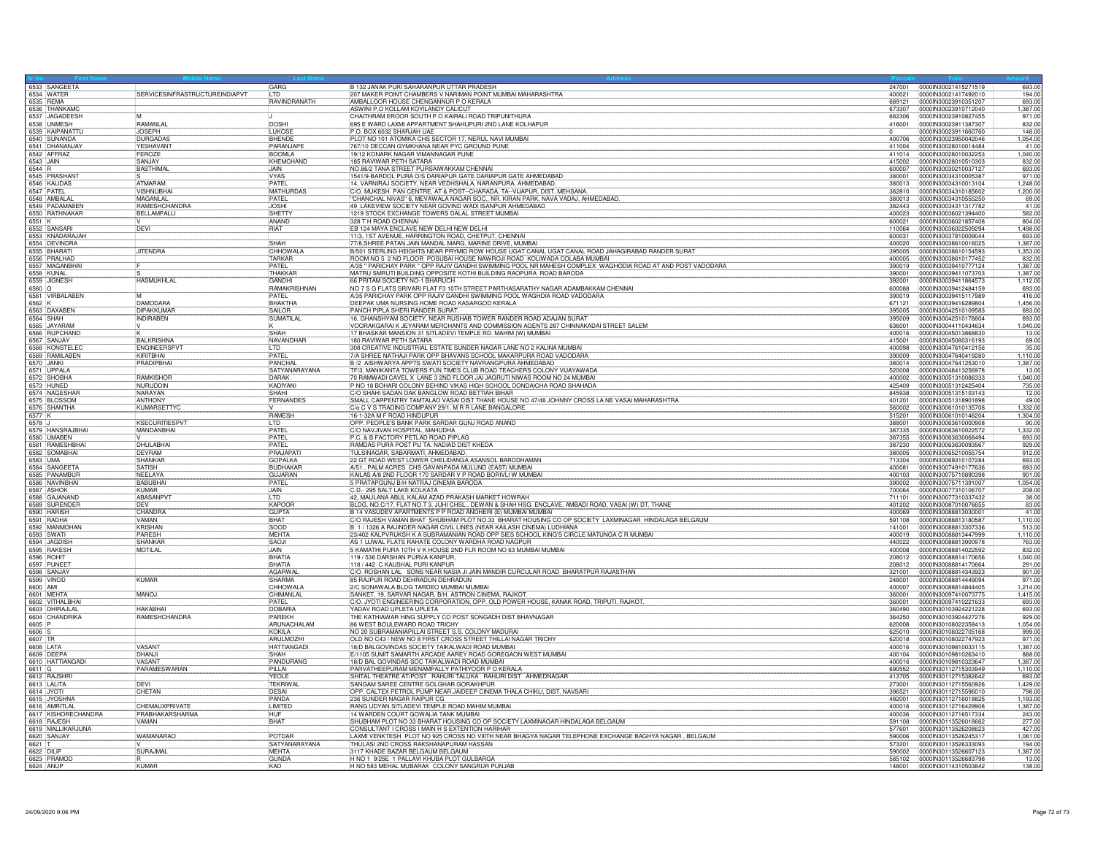|             | 6533 SANGEETA                   |                                | GARG                     | B 132 JANAK PURI SAHARANPUR UTTAR PRADESH                                                                                                        |                  | 247001 00000N30021415271519                         | 693.00             |
|-------------|---------------------------------|--------------------------------|--------------------------|--------------------------------------------------------------------------------------------------------------------------------------------------|------------------|-----------------------------------------------------|--------------------|
|             | 6534 WATER                      | SERVICESINFRASTRUCTUREINDIAPVT | RAVINDRANATH             | 207 MAKER POINT CHAMBERS V NARIMAN POINT MUMBAI MAHARASHTRA                                                                                      | 400021<br>689121 | 0000IN30021417492010<br>00000830023910351207        | 194.00<br>693.00   |
| 6535 REMA   |                                 |                                |                          | AMBALLOOR HOUSE CHENGANNUR P O KERALA                                                                                                            |                  |                                                     |                    |
|             | 6536 THANKAMO<br>6537 JAGADEESH | M                              |                          | ASWINI P.O KOLLAM KOYILANDY CALICUT<br>CHAITHRAM EROOR SOUTH P O KAIRALI ROAD TRIPUNITHURA                                                       | 673307           | 0000IN30023910712040                                | 1.387.00           |
|             |                                 |                                | <b>DOSHI</b>             |                                                                                                                                                  | 682306           | 00000N30023910827455                                | 971.00<br>832.00   |
|             | 6538 UNMESH<br>6539 KAIPANATTU  | RAMANLAL<br><b>JOSEPH</b>      | LUKOSE                   | 695 E WARD LAXMI APPARTMENT SHAHUPURI 2ND LANE KOLHAPUR<br>P.O. BOX 6032 SHARJAH UAE                                                             | 416001           | 0000IN30023911387307<br>0000IN30023911660760        | 148.00             |
|             | 6540 SUNANDA                    | <b>DURGADAS</b>                | <b>BHFNDF</b>            | PLOT NO 101 ATOMIKA CHS SECTOR 17, NERUL NAVI MUMBAI                                                                                             | 400706           | 0000IN30023950042046                                | 1.054.00           |
|             |                                 | <b>YESHAVAN</b>                | PARANJAPE                | 767/10 DECCAN GYMKHANA NEAR PYC GROUND PUNE                                                                                                      |                  |                                                     | 41.00              |
|             | 6541 DHANANJAY<br>6542 AFFRAZ   | FEROZE                         | <b>BOOMLA</b>            |                                                                                                                                                  | 411014           | 00000N30028010032253                                | 1.040.00           |
| 6543 JAIN   |                                 | SANJAY                         |                          | 19/12 KONARK NAGAR VIMANNAGAR PUNE<br>185 RAVIWAR PETH SATARA                                                                                    | 415002           |                                                     | 832.00             |
| 6544 R      |                                 | <b>BASTHIMAL</b>               | KHEMCHAND<br><b>JAIN</b> | NO.86/2 TANA STREET PURSAIWAKKAM CHENNAI                                                                                                         | 600007           | 0000IN30028010510303<br>0000IN30030210037127        | 693.00             |
|             | 6545 PRASHANT                   |                                | <b>VYAS</b>              |                                                                                                                                                  | 380001           | 0000IN30034310005387                                | 971.00             |
|             |                                 | <b>ATMARAM</b>                 | PATFI                    | 1541/9-BARDOL PURA O/S DARIAPUR GATE DARIAPUR GATE AHMEDABAD                                                                                     | 380013           | 0000IN30034310013104                                | 1,248.00           |
| 6547 PATEL  | 6546 KALIDAS                    | <b>VISHNUBHA</b>               | <b>MATHURDAS</b>         | 14, VARNIRAJ SOCIETY, NEAR VEDHSHALA, NARANPURA, AHMEDABAD.<br>C/O. MUKESH PAN CENTRE, AT & POST--CHARADA, TA--VIJAPUR, DIST. MEHSANA            | 382810           | 0000IN30034310185602                                | 1,200,00           |
|             | 6548 AMBALA                     | MAGANLAL                       | PATEL                    | "CHANCHAL NIVAS" 6, MEVAWALA NAGAR SOC., NR. KIRAN PARK, NAVA VADAJ, AHMEDABAD.                                                                  | 380013           | 0000IN30034310555250                                | 69.00              |
|             | 6549 PADAMABEN                  | RAMESHCHANDRA                  | <b>JOSHI</b>             | 49 LAKEVIEW SOCIETY NEAR GOVIND WADI ISANPUR AHMEDABAD                                                                                           | 382443           | 0000IN30034311317782                                | 41.00              |
|             | 6550 RATHNAKAR                  | BELLAMPALLI                    | SHETTY                   |                                                                                                                                                  | 400023           | 0000IN30036021394400                                | 582.00             |
|             |                                 |                                | ANAND                    | 1219 STOCK EXCHANGE TOWERS DALAL STREET MUMBAI<br>328 T H ROAD CHENNAI                                                                           | 600021           | 0000IN30036021857408                                | 804.00             |
|             | 6551 K<br>6552 SANSAR           | DEVI                           | <b>RIAT</b>              | EB 124 MAYA ENCLAVE NEW DELHI NEW DELHI                                                                                                          | 110064           | 0000IN30036022509294                                | 1.498.00           |
|             | 6553 KNADARAJAH                 |                                |                          | 11/3, 1ST AVENUE, HARRINGTON ROAD, CHETPUT, CHENNAI                                                                                              | 600031           | 0000IN30037810009044                                | 693.00             |
|             | 6554 DEVINDRA                   |                                | SHAH                     | 77/8, SHREE PATAN JAIN MANDAL MARG, MARINE DRIVE, MUMBA                                                                                          | 400020           | 0000IN30038610016025                                | 1,387.00           |
|             | 6555 BHARATI                    | <b>JITENDRA</b>                | <b>CHHOWALA</b>          | B/501 STERLING HEIGHTS NEAR PRYMID ROW HOUSE UGAT CANAL UGAT CANAL ROAD JAHAGIRABAD RANDER SURAT                                                 | 395005           | 0000IN30038610154593                                |                    |
|             |                                 |                                | TARKAR                   | ROOM NO 5 2 ND FLOOR POSUBAI HOUSE NAWROJI ROAD KOLIWADA COLABA MUMBAI                                                                           | 400005           | 0000IN30038610177452                                | 1,353.00<br>832.00 |
|             | 6556 PRALHAD<br>6557 MAGANBHA   |                                | PATFI                    | A/35 " PARICHAY PARK " OPP RAJIV GANDHI SWIMMING POOL NR MAHESH COMPLEX WAGHODIA ROAD AT AND POST VADODARA                                       | 390019           | 0000IN30039410777124                                | 1,387.00           |
| 6558 KUNAL  |                                 |                                | THAKKAR                  | MATRU SMRUTI BUILDING OPPOSITE KOTHI BUILDING RAOPURA ROAD BARODA                                                                                | 390001           | 0000IN30039411073703                                | 1,387.00           |
|             | 6559 JIGNESH                    | <b>HASMUKHLAL</b>              | <b>GANDHI</b>            | 66 PRITAM SOCIETY NO-1 BHARUCH                                                                                                                   | 392001           | 0000IN30039411864573                                | 1.112.00           |
| 6560 G      |                                 |                                | <b>RAMAKRISHNAN</b>      | NO 7 S G FLATS SRIVARI FLAT F3 10TH STREET PARTHASARATHY NAGAR ADAMBAKKAM CHENNAI                                                                | 600088           | 0000IN30039412484159                                | 693.00             |
|             | 6561 VIRBALABEN                 |                                | PATEL                    | A/35 PARICHAY PARK OPP RAJIV GANDHI SWIMMING POOL WAGHDIA ROAD VADODARA                                                                          | 390019           | 0000IN30039415117989                                | 416.00             |
| 6562 K      |                                 | DAMODARA                       | <b>BHAKTHA</b>           | DEEPAK UMA NURSING HOME ROAD KASARGOD KERALA                                                                                                     | 671121           | 0000IN30039416289804                                | 1.456.00           |
|             | 6563 DAXABEN                    | DIPAKKUMAR                     | SAILOR                   | PANCH PIPLA SHERI RANDER SURAT.                                                                                                                  | 395005           | 0000IN30042510109583                                | 693.00             |
| 6564 SHAH   |                                 | <b>INDIRABEN</b>               | SUMATILA                 | 16, GHANSHYAM SOCIETY, NEAR RUSHAB TOWER RANDER ROAD ADAJAN SURAT                                                                                | 395009           | 00000N30042510178804                                | 693.00             |
|             | 6565 JAYARAM                    |                                |                          | VOORAKGARAI K JEYARAM MERCHANTS AND COMMISSION AGENTS 287 CHINNAKADAI STREET SALEM                                                               | 636001           | 0000IN30044110434634                                | 1,040.00           |
|             | 6566 RUPCHAND                   |                                | <b>SHAH</b>              | 17 BHASKAR MANSION 31 SITLADEVI TEMPLE RD. MAHIM (W) MUMBAI                                                                                      | 400016           | 0000IN30045013868830                                | 13.00              |
|             | 6567 SANJAY                     | <b>BALKRISHNA</b>              | NAVANDHAR                | 180 RAVIWAR PETH SATARA                                                                                                                          | 415001           | 0000IN30045080316193                                | 69.00              |
|             | 6568 KONSTELEO                  | ENGINEERSPVT                   | LTD                      | 308 CREATIVE INDUSTRIAL ESTATE SUNDER NAGAR LANE NO 2 KALINA MUMBAI                                                                              | 400098           | 00000N30047610412156                                | 35.00              |
|             | 6569 RAMILABEN                  | KIRITRHAI                      | PATFI                    | 7/A SHREE NATHAJI PARK OPP BHAVANS SCHOOL MAKARPURA ROAD VADODARA                                                                                | 390009           | 0000IN30047640419280                                | 1.110.00           |
| 6570 JANKI  |                                 | PRADIPBHAI                     | PANCHAI                  | B /2 AISHWARYA APPTS SWATI SOCIETY NAVRANGPURA AHMEDABAD                                                                                         | 380014           | 0000IN30047641253010                                | 1,387.00           |
|             | 6571 UPPALA                     |                                | SATYANARAYANA            | TF/3, MANIKANTA TOWERS FUN TIMES CLUB ROAD TEACHERS COLONY VIJAYAWADA                                                                            | 520008           | 0000IN30048413256978                                | 13.00              |
|             | 6572 SHOBHA                     | RAMKISHOR                      | DARAK                    | 70 RAMWADI CAVEL X LANE 3 2ND FLOOR JAI JAGRUTI NIWAS ROOM NO 24 MUMBAI                                                                          | 400002           | 00000N30051310086333                                | 1.040.00           |
|             | 6573 HUNED                      | NURUDDIN                       | KADIYANI                 | P NO 18 BOHARI COLONY BEHIND VIKAS HIGH SCHOOL DONDAICHA ROAD SHAHADA                                                                            | 425409           | 0000IN30051312425404                                | 735.00             |
|             | 6574 NAGESHAR                   | NARAYAN                        | SHAHI                    | C/O SHAHI SADAN DAK BANGLOW ROAD BETTIAH BIHAR                                                                                                   | 845938           | 0000IN30051315103143                                | 12.00              |
|             | 6575 BLOSSOM                    | <b>ANTHONY</b>                 | FERNANDES                | SMALL CARPENTRY TAMTALAO VASAI DIST THANE HOUSE NO 47/48 JOHNNY CROSS LA NE VASAI MAHARASHTRA                                                    | 401201           | 0000IN30051318901898                                | 49.00              |
|             | 6576 SHANTHA                    | <b>KUMARSETTYC</b>             |                          | C/o C V S TRADING COMPANY 29/1, M R R LANE BANGALORE                                                                                             | 560002           | 0000IN30061010135708                                | 1,332.00           |
| 6577 K      |                                 |                                | RAMESH                   | 16-1-32A M F ROAD HINDUPUR                                                                                                                       | 515201           | 0000IN30061010146204                                | 1,304.00           |
| 6578 J      |                                 | <b>KSECURITIESPVT</b>          | II TD                    | OPP. PEOPLE'S BANK PARK SARDAR GUNJ ROAD ANAND                                                                                                   | 388001           | 0000IN30063610000908                                | 90.00              |
|             | 6579 HANSRAJBHAI                | MANDANBHAI                     | <b>PATFI</b>             | C/O NAVJIVAN HOSPITAL, MAHUDHA                                                                                                                   | 387335           | 0000IN30063610022572                                | 1,332.00           |
|             | 6580 UMABEN                     |                                | PATEL                    | P.C. & B FACTORY PETLAD ROAD PIPLAG                                                                                                              | 387355           | 0000IN30063630068494                                | 693.00             |
|             | 6581 RAMESHBHA                  | DHULABHAI                      | PATEL                    | RAMDAS PURA POST PIJ TA. NADIAD DIST KHEDA                                                                                                       | 387230           | 0000IN30063630093567                                | 929.00             |
|             | 6582 SOMABHAI                   | <b>DEVRAM</b>                  | PRAJAPATI                | TULSINAGAR, SABARMATI, AHMEDABAD.                                                                                                                | 380005           | 0000IN30065210055754                                | 912.00             |
| 6583 UMA    |                                 | SHANKAR                        | <b>GOPALKA</b>           | 22 GT ROAD WEST LOWER CHELIDANGA ASANSOL BARDDHAMAN                                                                                              | 713304           | 0000IN30069310107284                                | 693.00             |
|             | 6584 SANGEETA                   | SATISH                         | <b>BUDHAKAF</b>          | A/51, PALM ACRES CHS GAVANPADA MULUND (EAST) MUMBAI                                                                                              | 400081           | 00000N30074910177636                                | 693.00             |
|             | 6585 PANAMBUF                   | NEELAYA                        | <b>GUJARAN</b>           | KAILAS A/8 2ND FLOOR 170 SARDAR V P ROAD BORIVLI W MUMBAI                                                                                        | 400103           | 0000IN30075710890398                                | 901.00             |
|             | 6586 NAVINBHAI                  | <b>BABUBHAI</b>                | PATEL                    | 5 PRATAPGUNJ B/H NATRAJ CINEMA BARODA                                                                                                            | 390002           | 00000N30075711391007                                | 1,054.00           |
|             | 6587 ASHOK                      | <b>KUMAR</b>                   | JAIN                     | C.D.- 295 SALT LAKE KOLKATA                                                                                                                      | 700064           | 00000N30077310106707                                | 208,00             |
|             | 6588 GAJANAND                   | ABASANPVT                      | II TD                    | 42, MAULANA ABUL KALAM AZAD PRAKASH MARKET HOWRAH                                                                                                | 711101           | 0000IN30077310337432                                | 38.00              |
|             | 6589 SURENDER                   | <b>IDFV</b>                    | KAPOOF                   | BLDG. NO.C/17, FLAT NO.T 3, JUHI CHSL., DEWAN & SHAH HSG. ENCLAVE, AMBADI ROAD, VASAI (W) DT. THANE                                              | 401202           | 0000IN30087010076655                                | 83.00              |
|             | 6590 HARISH                     | CHANDRA                        | <b>GUPTA</b>             | B 14 VASUDEV APARTMENTS P P ROAD ANDHERI (E) MUMBAI MUMBAI                                                                                       | 400069           | 0000IN30088813030001                                | 41.00              |
|             | 6591 RADHA                      | VAMAN                          | <b>BHAT</b>              | C/O RAJESH VAMAN BHAT SHUBHAM PLOT NO.33 BHARAT HOUSING CO OP SOCIETY LAXMINAGAR HINDALAGA BELGAUM                                               | 591108           | 0000IN30088813180587                                | 1,110.00           |
|             | 6592 MANMOHAN                   | KRISHAN                        | SOOD                     | B 1 / 1326 A RAJINDER NAGAR CIVIL LINES (NEAR KAILASH CINEMA) LUDHIANA                                                                           | 141001           | 0000IN30088813307336                                | 513.00             |
| 6593 SWATI  |                                 | PARESH                         | <b>MEHTA</b>             | 23/402 KALPVRUKSH K A SUBRAMANIAN ROAD OPP SIES SCHOOL KING'S CIRCLE MATUNGA C R MUMBAI                                                          | 400019           | 0000IN30088813447999                                | 1,110.00           |
|             | 6594 JAGDISH                    | SHANKAR                        | SAOJI                    | AS 1 UJWAL FLATS RAHATE COLONY WARDHA ROAD NAGPUR                                                                                                | 440022           | 0000IN30088813900978                                | 763.00             |
|             | 6595 RAKESH                     | <b>MOTILAL</b>                 | JAIN                     | 5 KAMATHI PURA 10TH V K HOUSE 2ND FLR ROOM NO 63 MUMBAI MUMBAI                                                                                   | 400008           | 0000IN30088814022592                                | 832.00             |
| 6596 ROHIT  |                                 |                                | BHATIA                   | 119 / 536 DARSHAN PURVA KANPUR.                                                                                                                  | 208012           | 0000IN30088814170656                                | 1.040.00           |
|             | 6597 PUNEE                      |                                | <b>BHATIA</b>            | 118 / 442 C KAUSHAL PURI KANPUR                                                                                                                  |                  |                                                     | 291.00             |
|             | 6598 SANJAY                     |                                | <b>AGARWA</b>            | C/O. ROSHAN LAL SONS NEAR NASIA JI JAIN MANDIR CURCULAR ROAD BHARATPUR RAJASTHAN                                                                 | 321001           | 0000IN30088814343923                                | 901.00             |
| 6599 VINOD  |                                 | KUMAR                          | SHARMA                   | 85 RAJPUR ROAD DEHRADUN DEHRADUN                                                                                                                 | 248001           | 0000lN30088814449094                                | 971.00             |
| 6600 AMI    |                                 |                                | CHHOWALA                 | 2/C SONAWALA BLDG TARDEO MUMBAI MUMBAI                                                                                                           | 400007           | 0000lN30088814844405                                | 1,214.00           |
| 6601 MEHTA  |                                 | MANOJ                          | CHIMANLAL                | SANKET, 19, SARVAR NAGAR, B/H. ASTRON CINEMA, RAJKOT.                                                                                            | 360001           | 0000IN30097410073775                                | 1.415.00           |
|             | 6602 VITHAL BHAL                |                                | PATFI                    | C/O. JYOTI ENGINEERING CORPORATION, OPP. OLD POWER HOUSE, KANAK ROAD, TRIPUTI, RAJKOT                                                            | 360001           | 0000IN30097410221633                                | 693.00             |
|             | 6603 DHIRAJLAL                  | <b>HAKABHAI</b>                | DOBARIA                  | YADAV ROAD UPLETA UPLETA                                                                                                                         | 360490           | 0000IN30103924221228                                | 693.00             |
|             | 6604 CHANDRIKA                  | RAMESHCHANDRA                  | PAREKH                   | THE KATHIAWAR HING SUPPLY CO POST SONGADH DIST BHAVNAGAR                                                                                         | 364250           | 00000030103924427276                                | 929.00             |
| 6605 P      |                                 |                                | ARUNACHALAM              | 86 WEST BOULEWARD ROAD TRICHY                                                                                                                    | 620008           | 0000IN30108022358413                                | 1,054.00           |
| 6606 S      |                                 |                                | KOKILA                   | NO 20 SUBRAMANIAPILLAI STREET S.S. COLONY MADURAI                                                                                                | 625010           | 0000IN30108022705168                                | 999.00             |
| 6607 TR     |                                 |                                | ARUI MOZH                | OLD NO C43 / NEW NO 8 FIRST CROSS STREET THILLAI NAGAR TRICHY                                                                                    |                  |                                                     | 971.00             |
| 6608 LATA   |                                 | VASANT                         | <b>HATTIANGADI</b>       | 18/D BALGOVINDAS SOCIETY TAIKALWADI ROAD MUMBAI                                                                                                  | 400016           | 00000N30109810033115                                | 1,387.00           |
| 6609 DEEPA  |                                 | DHAN.II                        | <b>SHAH</b>              | E/1105 SUMIT SAMARTH ARCADE AAREY ROAD GOREGAON WEST MUMBAI                                                                                      | 400104           | 100001N30109810263410                               | 888.00             |
|             | 6610 HATTIANGADI                | VASANT                         | PANDURANG                | 18/D BAL GOVINDAS SOC TAIKALWADI ROAD MUMBAI                                                                                                     | 400016           | 0000IN30109810323647                                | 1,387.00           |
| $6611$ G    |                                 | PARAMESWARAN                   | PILAI                    | PARVATHEEPURAM MENAMPALLY PATHIYOOR P O KERALA                                                                                                   | 690552           | 00000N30112715303949                                | 1.110.00           |
|             | 6612 RAJSHRI                    |                                | YFOI F                   | SHITAL THEATRE AT/POST RAHURI TALUKA RAHURI DIST AHMEDNAGAR                                                                                      |                  | 413705 0000IN30112715382642                         | 693.00             |
| 6613 LALITA |                                 | <b>DEVI</b>                    | <b>TEKRIWAL</b>          | SANGAM SAREE CENTRE GOLGHAR GORAKHPUR                                                                                                            | 273001           | 0000IN30112715560926                                | 1,429.00           |
| 6614 JYOTI  |                                 | CHETAN                         | <b>DESAI</b>             | OPP. CALTEX PETROL PUMP NEAR JAIDEEP CINEMA THALA CHIKLI, DIST. NAVSARI                                                                          | 396521           | 00000030112715596010                                | 798.00             |
|             | 6615 JYOSHNA                    |                                | PANDA                    | 236 SUNDER NAGAR RAIPUR CG                                                                                                                       | 492001           | 0000IN30112716018825                                | 1.193.00           |
|             | 6616 AMRITLAL                   | CHEMAUXPRIVATE                 | LIMITED<br><b>HUF</b>    | RANG UDYAN SITLADEVI TEMPLE ROAD MAHIM MUMBAI                                                                                                    | 400016           | 0000030112716429908                                 | 1.387.00           |
|             | 6617 KISHORECHANDRA             | PRABHAKARSHARMA                |                          | 14 WARDEN COURT GOWALIA TANK MUMBAI                                                                                                              | 400036           | 0000IN30112716517334                                | 243.00             |
|             | 6618 RAJESH                     | VAMAN                          | BHAT                     | SHUBHAM PLOT NO 33 BHARAT HOUSING CO OP SOCIETY LAXMINAGAR HINDALAGA BELGAUM                                                                     | 591108           | 0000IN30113526018662                                | 277.00             |
|             | 6619 MALLIKARJUNA               |                                |                          | CONSULTANT I CROSS I MAIN H S EXTENTION HARIHAR                                                                                                  | 577601           | 00000N30113526208623                                | 427.00             |
|             | 6620 SANJAY                     | WAMANARAO                      | POTDAR                   | LAXMI VENKTESH PLOT NO 925 CROSS NO VIIITH NEAR BHAGYA NAGAR TELEPHONE EXCHANGE BAGHYA NAGAR , BELGAUM<br>THULASI 2ND CROSS RAKSHANAPURAM HASSAN | 590006           | 0000IN30113526245317                                | 1,081.00           |
| 6621 T      |                                 |                                | SATYANARAYANA            |                                                                                                                                                  | 573201           | 0000IN30113526333093<br>590002 0000000113526607123  | 194.00<br>1,387.00 |
|             |                                 |                                |                          |                                                                                                                                                  |                  |                                                     |                    |
|             | 6622 DILIP                      | SURAJMAI                       | <b>MFHTA</b>             | 3117 KHADE BAZAR BELGAUM BELGAUM                                                                                                                 |                  |                                                     |                    |
| 6624 ANUP   | 6623 PRAMOD                     | KUMAR                          | <b>GUNDA</b><br>KAD      | H NO 1 9/25E 1 PALLAVI KHUBA PLOT GULBARGA<br>H NO 583 MEHAL MUBARAK COLONY SANGRUR PUNJAB                                                       | 585102           | 0000IN30113526683798<br>148001 00000N30114310503842 | 13.00<br>138.00    |